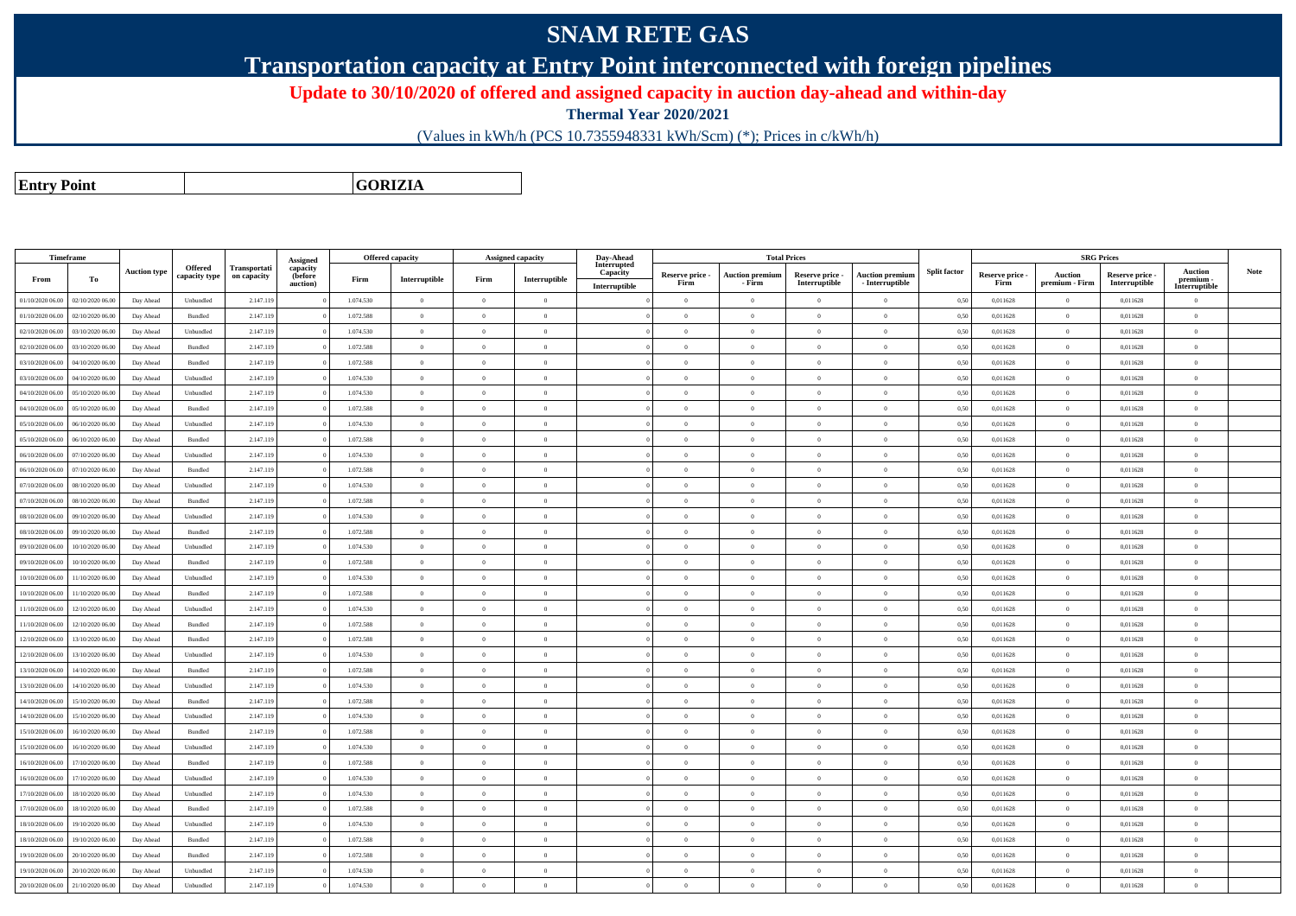## **SNAM RETE GAS**

**Transportation capacity at Entry Point interconnected with foreign pipelines**

**Update to 30/10/2020 of offered and assigned capacity in auction day-ahead and within-day**

**Thermal Year 2020/2021**

(Values in kWh/h (PCS 10.7355948331 kWh/Scm) (\*); Prices in c/kWh/h)

**Entry Point**

**GORIZIA**

| Timeframe        |                  |                     |                             |                             | <b>Assigned</b>                 |           | <b>Offered capacity</b> | Assigned capacity |                | Day-Ahead                                |                         |                                  | <b>Total Prices</b>              |                                           |                     |                         |                                  | <b>SRG Prices</b>                |                                              |             |
|------------------|------------------|---------------------|-----------------------------|-----------------------------|---------------------------------|-----------|-------------------------|-------------------|----------------|------------------------------------------|-------------------------|----------------------------------|----------------------------------|-------------------------------------------|---------------------|-------------------------|----------------------------------|----------------------------------|----------------------------------------------|-------------|
| From             | To               | <b>Auction type</b> | Offered<br>capacity type    | Transportati<br>on capacity | capacity<br>(before<br>auction) | Firm      | Interruptible           | Firm              | Interruptible  | Interrupted<br>Capacity<br>Interruptible | Reserve price -<br>Firm | <b>Auction premium</b><br>- Firm | Reserve price -<br>Interruptible | <b>Auction premium</b><br>- Interruptible | <b>Split factor</b> | Reserve price -<br>Firm | <b>Auction</b><br>premium - Firm | Reserve price -<br>Interruptible | <b>Auction</b><br>premium -<br>Interruptible | <b>Note</b> |
| 01/10/2020 06:00 | 02/10/2020 06.00 | Day Ahead           | Unbundled                   | 2.147.119                   |                                 | 1.074.530 | $\overline{0}$          | $\Omega$          | $\overline{0}$ |                                          | $\overline{0}$          | $\overline{0}$                   | $\Omega$                         | $\theta$                                  | 0,50                | 0,011628                | $\Omega$                         | 0,011628                         | $\theta$                                     |             |
| 01/10/2020 06:00 | 02/10/2020 06:00 | Day Ahead           | Bundled                     | 2.147.119                   |                                 | 1.072.588 | $\overline{0}$          | $\Omega$          | $\overline{0}$ |                                          | $\overline{0}$          | $\overline{0}$                   | $\Omega$                         | $\overline{0}$                            | 0,50                | 0.011628                | $\bf{0}$                         | 0,011628                         | $\theta$                                     |             |
| 02/10/2020 06.00 | 03/10/2020 06.00 | Day Ahead           | Unbundled                   | 2.147.119                   |                                 | 1.074.530 | $\,$ 0                  | $\Omega$          | $\theta$       |                                          | $\theta$                | $\Omega$                         | $\Omega$                         | $\bf{0}$                                  | 0,50                | 0,011628                | $\,$ 0 $\,$                      | 0,011628                         | $\theta$                                     |             |
| 02/10/2020 06.00 | 03/10/2020 06.00 | Day Ahead           | Bundled                     | 2.147.119                   |                                 | 1.072.588 | $\overline{0}$          | $\Omega$          | $\theta$       |                                          | $\theta$                | $\theta$                         | $\Omega$                         | $\bf{0}$                                  | 0,50                | 0,011628                | $\overline{0}$                   | 0,011628                         | $\theta$                                     |             |
| 03/10/2020 06.00 | 04/10/2020 06.0  | Day Ahead           | Bundled                     | 2.147.119                   |                                 | 1.072.588 | $\overline{0}$          | $\Omega$          | $\theta$       |                                          | $\theta$                | $\Omega$                         | $\Omega$                         | $\bf{0}$                                  | 0,50                | 0,011628                | $\theta$                         | 0,011628                         | $\theta$                                     |             |
| 03/10/2020 06:00 | 04/10/2020 06.0  | Day Ahead           | Unbundled                   | 2.147.119                   |                                 | 1.074.530 | $\overline{0}$          | $\overline{0}$    | $\overline{0}$ |                                          | $\overline{0}$          | $\overline{0}$                   | $\overline{0}$                   | $\bf{0}$                                  | 0,50                | 0,011628                | $\theta$                         | 0,011628                         | $\overline{0}$                               |             |
| 04/10/2020 06.00 | 05/10/2020 06.0  | Day Ahead           | Unbundled                   | 2.147.119                   |                                 | 1.074.530 | $\overline{0}$          | $\overline{0}$    | $\theta$       |                                          | $\theta$                | $\Omega$                         | $\Omega$                         | $\bf{0}$                                  | 0,50                | 0,011628                | $\overline{0}$                   | 0,011628                         | $\overline{0}$                               |             |
| 04/10/2020 06:00 | 05/10/2020 06.00 | Day Ahead           | Bundled                     | 2.147.119                   |                                 | 1.072.588 | $\overline{0}$          | $\overline{0}$    | $\theta$       |                                          | $\overline{0}$          | $\overline{0}$                   | $\overline{0}$                   | $\bf{0}$                                  | 0,50                | 0,011628                | $\,$ 0                           | 0,011628                         | $\overline{0}$                               |             |
| 05/10/2020 06:00 | 06/10/2020 06:00 | Day Ahead           | Unbundled                   | 2.147.119                   |                                 | 1.074.530 | $\theta$                |                   | $\theta$       |                                          | $\theta$                | $\theta$                         |                                  | $\theta$                                  | 0,50                | 0,011628                | $\theta$                         | 0,011628                         | $\theta$                                     |             |
| 05/10/2020 06:00 | 06/10/2020 06:00 | Day Ahead           | Bundled                     | 2.147.119                   |                                 | 1.072.588 | $\theta$                | $\Omega$          | $\overline{0}$ |                                          | $\overline{0}$          | $\theta$                         | $\Omega$                         | $\bf{0}$                                  | 0,50                | 0,011628                | $\theta$                         | 0,011628                         | $\theta$                                     |             |
| 06/10/2020 06:00 | 07/10/2020 06.00 | Day Ahead           | Unbundled                   | 2.147.119                   |                                 | 1.074.530 | $\theta$                | $\Omega$          | $\overline{0}$ |                                          | $\overline{0}$          | $\overline{0}$                   | $\overline{0}$                   | $\bf{0}$                                  | 0,50                | 0,011628                | $\mathbf{0}$                     | 0,011628                         | $\overline{0}$                               |             |
| 06/10/2020 06:00 | 07/10/2020 06.00 | Day Ahead           | Bundled                     | 2.147.119                   |                                 | 1.072.588 | $\overline{0}$          | $\Omega$          | $\theta$       |                                          | $\theta$                | $\theta$                         | $\Omega$                         | $\theta$                                  | 0,50                | 0,011628                | $\overline{0}$                   | 0.011628                         | $\theta$                                     |             |
| 07/10/2020 06:00 | 08/10/2020 06:00 | Day Ahead           | Unbundled                   | 2.147.119                   |                                 | 1.074.530 | $\overline{0}$          | $\Omega$          | $\theta$       |                                          | $\theta$                | $\sqrt{2}$                       | $\Omega$                         | $\Omega$                                  | 0,50                | 0.011628                | $\theta$                         | 0.011628                         | $\theta$                                     |             |
| 07/10/2020 06:00 | 08/10/2020 06:00 | Day Ahead           | Bundled                     | 2.147.119                   |                                 | 1.072.588 | $\,$ 0 $\,$             | $\overline{0}$    | $\overline{0}$ |                                          | $\overline{0}$          | $\overline{0}$                   | $\Omega$                         | $\,$ 0 $\,$                               | 0,50                | 0,011628                | $\,$ 0 $\,$                      | 0,011628                         | $\overline{0}$                               |             |
| 08/10/2020 06:00 | 09/10/2020 06:0  | Day Ahead           | Unbundled                   | 2.147.119                   |                                 | 1.074.530 | $\overline{0}$          | $\Omega$          | $\overline{0}$ |                                          | $\overline{0}$          | $\theta$                         | $\Omega$                         | $\overline{0}$                            | 0,50                | 0.011628                | $\bf{0}$                         | 0,011628                         | $\theta$                                     |             |
| 08/10/2020 06.00 | 09/10/2020 06.0  | Day Ahead           | Bundled                     | 2.147.119                   |                                 | 1.072.588 | $\overline{0}$          | $\overline{0}$    | $\theta$       |                                          | $\theta$                | $\overline{0}$                   | $\overline{0}$                   | $\bf{0}$                                  | 0,50                | 0,011628                | $\overline{0}$                   | 0,011628                         | $\overline{0}$                               |             |
| 09/10/2020 06:00 | 10/10/2020 06.00 | Day Ahead           | Unbundled                   | 2.147.119                   |                                 | 1.074.530 | $\overline{0}$          | $\Omega$          | $\overline{0}$ |                                          | $\overline{0}$          | $\overline{0}$                   | $\Omega$                         | $\bf{0}$                                  | 0,50                | 0,011628                | $\,$ 0                           | 0,011628                         | $\theta$                                     |             |
| 09/10/2020 06.00 | 10/10/2020 06.0  | Day Ahead           | Bundled                     | 2.147.119                   |                                 | 1.072.588 | $\theta$                | $\Omega$          | $\theta$       |                                          | $\theta$                | $\Omega$                         | $\Omega$                         | $\bf{0}$                                  | 0,50                | 0,011628                | $\theta$                         | 0,011628                         | $\overline{0}$                               |             |
| 10/10/2020 06:00 | 11/10/2020 06.00 | Day Ahead           | Unbundled                   | 2.147.119                   |                                 | 1.074.530 | $\,$ 0                  | $\overline{0}$    | $\,$ 0 $\,$    |                                          | $\overline{0}$          | $\overline{0}$                   | $\overline{0}$                   | $\,$ 0 $\,$                               | 0,50                | 0,011628                | $\bf{0}$                         | 0,011628                         | $\overline{0}$                               |             |
| 10/10/2020 06.00 | 1/10/2020 06.0   | Day Ahead           | Bundled                     | 2.147.119                   |                                 | 1.072.588 | $\overline{0}$          | $\Omega$          | $\theta$       |                                          | $\theta$                | $\Omega$                         | $\Omega$                         | $\bf{0}$                                  | 0,50                | 0,011628                | $\overline{0}$                   | 0,011628                         | $\overline{0}$                               |             |
| 11/10/2020 06:00 | 12/10/2020 06.00 | Day Ahead           | Unbundled                   | 2.147.119                   |                                 | 1.074.530 | $\Omega$                | $\Omega$          | $\theta$       |                                          | $\theta$                | $\Omega$                         | $\Omega$                         | $\Omega$                                  | 0,50                | 0,011628                | $\overline{0}$                   | 0,011628                         | $\theta$                                     |             |
| 11/10/2020 06:00 | 12/10/2020 06:00 | Day Ahead           | Bundled                     | 2.147.119                   |                                 | 1.072.588 | $\theta$                | $\Omega$          | $\overline{0}$ |                                          | $\overline{0}$          | $\theta$                         | $\Omega$                         | $\bf{0}$                                  | 0,50                | 0,011628                | $\theta$                         | 0,011628                         | $\theta$                                     |             |
| 12/10/2020 06:00 | 13/10/2020 06:00 | Day Ahead           | Bundled                     | 2.147.119                   |                                 | 1.072.588 | $\overline{0}$          | $\Omega$          | $\theta$       |                                          | $\overline{0}$          | $\overline{0}$                   | $\Omega$                         | $\theta$                                  | 0,50                | 0,011628                | $\overline{0}$                   | 0,011628                         | $\overline{0}$                               |             |
| 12/10/2020 06:00 | 13/10/2020 06:00 | Day Ahead           | Unbundled                   | 2.147.119                   |                                 | 1.074.530 | $\mathbf{0}$            | $\Omega$          | $\overline{0}$ |                                          | $\overline{0}$          | $\theta$                         | $\Omega$                         | $\bf{0}$                                  | 0.50                | 0.011628                | $\theta$                         | 0.011628                         | $\overline{0}$                               |             |
| 13/10/2020 06:00 | 14/10/2020 06:00 | Day Ahead           | Bundled                     | 2.147.119                   |                                 | 1.072.588 | $\overline{0}$          | $\overline{0}$    | $\Omega$       |                                          | $\theta$                | $\theta$                         | $\Omega$                         | $\theta$                                  | 0,50                | 0,011628                | $\theta$                         | 0,011628                         | $\theta$                                     |             |
| 13/10/2020 06:00 | 14/10/2020 06:00 | Day Ahead           | Unbundled                   | 2.147.119                   |                                 | 1.074.530 | $\Omega$                | $\Omega$          | $\theta$       |                                          | $\theta$                | $\overline{0}$                   | $\Omega$                         | $\theta$                                  | 0,50                | 0.011628                | $\Omega$                         | 0.011628                         | $\theta$                                     |             |
| 14/10/2020 06:00 | 15/10/2020 06:00 | Day Ahead           | Bundled                     | 2.147.119                   |                                 | 1.072.588 | $\,$ 0 $\,$             | $\overline{0}$    | $\overline{0}$ |                                          | $\overline{0}$          | $\theta$                         | $\Omega$                         | $\overline{0}$                            | 0,50                | 0,011628                | $\,$ 0 $\,$                      | 0,011628                         | $\overline{0}$                               |             |
| 14/10/2020 06:00 | 15/10/2020 06.00 | Day Ahead           | Unbundled                   | 2.147.119                   |                                 | 1.074.530 | $\bf{0}$                | $\Omega$          | $\overline{0}$ |                                          | $\theta$                | $\overline{0}$                   | $\Omega$                         | $\bf{0}$                                  | 0,50                | 0,011628                | $\,$ 0                           | 0,011628                         | $\theta$                                     |             |
| 15/10/2020 06:00 | 16/10/2020 06:00 | Day Ahead           | Bundled                     | 2.147.119                   |                                 | 1.072.588 | $\theta$                | $\Omega$          | $\theta$       |                                          | $\overline{0}$          | $\overline{0}$                   | $\Omega$                         | $\overline{0}$                            | 0,50                | 0,011628                | $\,$ 0 $\,$                      | 0,011628                         | $\theta$                                     |             |
| 15/10/2020 06:00 | 16/10/2020 06:00 | Day Ahead           | $\ensuremath{\mathsf{Unb}}$ | 2.147.119                   |                                 | 1.074.530 | $\theta$                | $\Omega$          | $\theta$       |                                          | $\theta$                | $\overline{0}$                   | $\Omega$                         | $\bf{0}$                                  | 0,50                | 0,011628                | $\theta$                         | 0,011628                         | $\theta$                                     |             |
| 16/10/2020 06:00 | 17/10/2020 06.0  | Day Ahead           | Bundled                     | 2.147.119                   |                                 | 1.072.588 | $\overline{0}$          | $\Omega$          | $\theta$       |                                          | $\theta$                | $\Omega$                         | $\Omega$                         | $\bf{0}$                                  | 0,50                | 0,011628                | $\theta$                         | 0,011628                         | $\overline{0}$                               |             |
| 16/10/2020 06:00 | 17/10/2020 06.00 | Day Ahead           | Unbundled                   | 2.147.119                   |                                 | 1.074.530 | $\overline{0}$          | $\overline{0}$    | $\overline{0}$ |                                          | $\overline{0}$          | $\overline{0}$                   | $\overline{0}$                   | $\overline{0}$                            | 0,50                | 0,011628                | $\overline{0}$                   | 0,011628                         | $\overline{0}$                               |             |
| 17/10/2020 06.00 | 18/10/2020 06.0  | Day Ahead           | Unbundled                   | 2.147.119                   |                                 | 1.074.530 | $\overline{0}$          | $\overline{0}$    | $\overline{0}$ |                                          | $\overline{0}$          | $\overline{0}$                   | $\Omega$                         | $\bf{0}$                                  | 0,50                | 0,011628                | $\,$ 0 $\,$                      | 0,011628                         | $\overline{0}$                               |             |
| 17/10/2020 06:00 | 18/10/2020 06:00 | Day Ahead           | Bundled                     | 2.147.119                   |                                 | 1.072.588 | $\overline{0}$          | $\Omega$          | $\theta$       |                                          | $\theta$                | $\Omega$                         | $\Omega$                         | $\bf{0}$                                  | 0,50                | 0,011628                | $\overline{0}$                   | 0,011628                         | $\theta$                                     |             |
| 18/10/2020 06:00 | 19/10/2020 06.00 | Day Ahead           | Unbundled                   | 2.147.119                   |                                 | 1.074.530 | $\overline{0}$          | $\overline{0}$    | $\overline{0}$ |                                          | $\overline{0}$          | $\overline{0}$                   | $\overline{0}$                   | $\bf{0}$                                  | 0,50                | 0,011628                | $\overline{0}$                   | 0,011628                         | $\overline{0}$                               |             |
| 18/10/2020 06:00 | 19/10/2020 06:00 | Day Ahead           | Bundled                     | 2.147.119                   |                                 | 1.072.588 | $\overline{0}$          | $\Omega$          | $\theta$       |                                          | $\overline{0}$          | $\overline{0}$                   | $\Omega$                         | $\bf{0}$                                  | 0,50                | 0,011628                | $\overline{0}$                   | 0,011628                         | $\overline{0}$                               |             |
| 19/10/2020 06:00 | 20/10/2020 06:00 | Day Ahead           | Bundled                     | 2.147.119                   |                                 | 1.072.588 | $\Omega$                | $\Omega$          | $\theta$       |                                          | $\theta$                | $\theta$                         | $\Omega$                         | $\theta$                                  | 0.50                | 0.011628                | $\theta$                         | 0.011628                         | $\theta$                                     |             |
| 19/10/2020 06:00 | 20/10/2020 06.00 | Day Ahead           | Unbundled                   | 2.147.119                   |                                 | 1.074.530 | $\overline{0}$          | $\Omega$          | $\theta$       |                                          | $\overline{0}$          | $\bf{0}$                         | $\Omega$                         | $\theta$                                  | 0,50                | 0,011628                | $\overline{0}$                   | 0,011628                         | $\overline{0}$                               |             |
| 20/10/2020 06:00 | 21/10/2020 06:00 | Day Ahead           | Unbundled                   | 2.147.119                   |                                 | 1.074.530 | $\theta$                |                   | $\theta$       |                                          | $\theta$                | $\Omega$                         |                                  | $\Omega$                                  | 0,50                | 0.011628                | $\theta$                         | 0.011628                         | $\theta$                                     |             |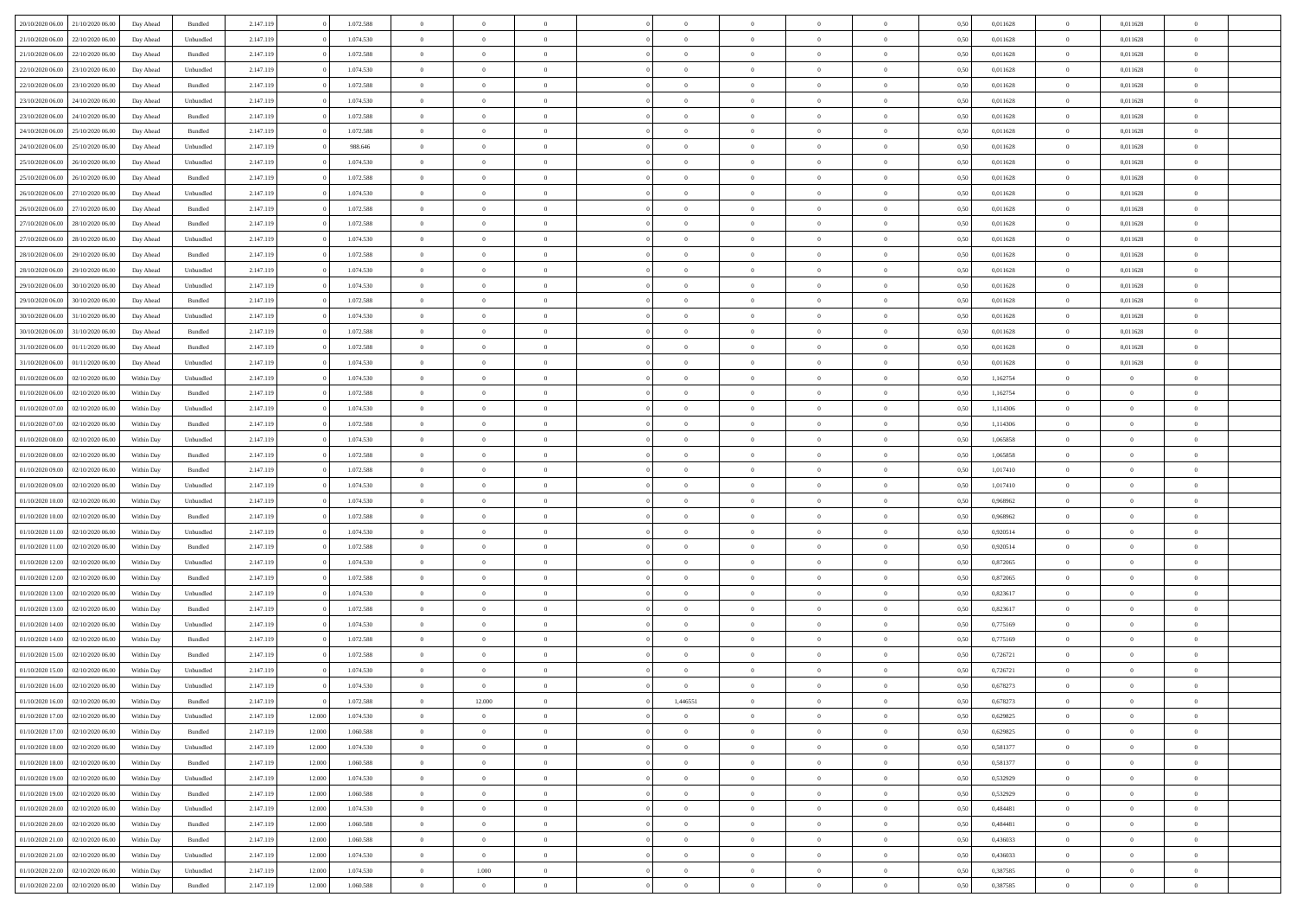| 20/10/2020 06:00 | 21/10/2020 06:00 | Day Ahead  | Bundled            | 2.147.119 |        | 1.072.588 | $\overline{0}$ | $\Omega$       |                | $\Omega$       | $\Omega$       | $\Omega$       | $\theta$       | 0.50 | 0,011628 | $\theta$       | 0,011628       | $\theta$       |  |
|------------------|------------------|------------|--------------------|-----------|--------|-----------|----------------|----------------|----------------|----------------|----------------|----------------|----------------|------|----------|----------------|----------------|----------------|--|
|                  |                  |            |                    |           |        |           |                |                |                |                |                |                |                |      |          |                |                |                |  |
| 21/10/2020 06.00 | 22/10/2020 06.00 | Day Ahead  | Unbundled          | 2.147.119 |        | 1.074.530 | $\overline{0}$ | $\theta$       | $\overline{0}$ | $\overline{0}$ | $\bf{0}$       | $\overline{0}$ | $\overline{0}$ | 0,50 | 0,011628 | $\theta$       | 0,011628       | $\overline{0}$ |  |
| 21/10/2020 06.00 | 22/10/2020 06.00 | Day Ahead  | Bundled            | 2.147.119 |        | 1.072.588 | $\overline{0}$ | $\overline{0}$ | $\overline{0}$ | $\bf{0}$       | $\bf{0}$       | $\bf{0}$       | $\bf{0}$       | 0,50 | 0,011628 | $\overline{0}$ | 0,011628       | $\overline{0}$ |  |
| 22/10/2020 06:00 | 23/10/2020 06:00 | Day Ahead  | Unbundled          | 2.147.119 |        | 1.074.530 | $\overline{0}$ | $\theta$       | $\overline{0}$ | $\overline{0}$ | $\bf{0}$       | $\overline{0}$ | $\overline{0}$ | 0.50 | 0.011628 | $\overline{0}$ | 0.011628       | $\overline{0}$ |  |
| 22/10/2020 06.00 | 23/10/2020 06.00 | Day Ahead  | Bundled            | 2.147.119 |        | 1.072.588 | $\overline{0}$ | $\theta$       | $\overline{0}$ | $\overline{0}$ | $\bf{0}$       | $\overline{0}$ | $\bf{0}$       | 0,50 | 0,011628 | $\,$ 0 $\,$    | 0,011628       | $\overline{0}$ |  |
| 23/10/2020 06.00 | 24/10/2020 06.00 | Day Ahead  | Unbundled          | 2.147.119 |        | 1.074.530 | $\overline{0}$ | $\bf{0}$       | $\overline{0}$ | $\bf{0}$       | $\overline{0}$ | $\overline{0}$ | $\mathbf{0}$   | 0,50 | 0,011628 | $\overline{0}$ | 0,011628       | $\bf{0}$       |  |
|                  |                  |            |                    |           |        |           |                |                |                |                | $\bf{0}$       |                |                |      |          | $\overline{0}$ |                | $\overline{0}$ |  |
| 23/10/2020 06:00 | 24/10/2020 06.00 | Day Ahead  | Bundled            | 2.147.119 |        | 1.072.588 | $\overline{0}$ | $\overline{0}$ | $\overline{0}$ | $\overline{0}$ |                | $\overline{0}$ | $\overline{0}$ | 0.50 | 0,011628 |                | 0,011628       |                |  |
| 24/10/2020 06.00 | 25/10/2020 06.00 | Day Ahead  | Bundled            | 2.147.119 |        | 1.072.588 | $\overline{0}$ | $\theta$       | $\overline{0}$ | $\overline{0}$ | $\bf{0}$       | $\overline{0}$ | $\bf{0}$       | 0,50 | 0,011628 | $\,$ 0 $\,$    | 0,011628       | $\overline{0}$ |  |
| 24/10/2020 06:00 | 25/10/2020 06.00 | Day Ahead  | Unbundled          | 2.147.119 |        | 988.646   | $\overline{0}$ | $\overline{0}$ | $\overline{0}$ | $\bf{0}$       | $\bf{0}$       | $\bf{0}$       | $\bf{0}$       | 0,50 | 0,011628 | $\overline{0}$ | 0,011628       | $\overline{0}$ |  |
| 25/10/2020 06:00 | 26/10/2020 06:00 | Day Ahead  | Unbundled          | 2.147.119 |        | 1.074.530 | $\overline{0}$ | $\overline{0}$ | $\overline{0}$ | $\overline{0}$ | $\overline{0}$ | $\overline{0}$ | $\overline{0}$ | 0.50 | 0,011628 | $\theta$       | 0,011628       | $\overline{0}$ |  |
| 25/10/2020 06.00 | 26/10/2020 06.00 | Day Ahead  | Bundled            | 2.147.119 |        | 1.072.588 | $\overline{0}$ | $\theta$       | $\overline{0}$ | $\overline{0}$ | $\bf{0}$       | $\overline{0}$ | $\bf{0}$       | 0,50 | 0,011628 | $\,$ 0 $\,$    | 0,011628       | $\overline{0}$ |  |
| 26/10/2020 06.00 | 27/10/2020 06.00 | Day Ahead  | Unbundled          | 2.147.119 |        | 1.074.530 | $\overline{0}$ | $\overline{0}$ | $\overline{0}$ | $\bf{0}$       | $\bf{0}$       | $\bf{0}$       | $\bf{0}$       | 0,50 | 0,011628 | $\overline{0}$ | 0,011628       | $\overline{0}$ |  |
| 26/10/2020 06:00 | 27/10/2020 06.00 | Day Ahead  | Bundled            | 2.147.119 |        | 1.072.588 | $\overline{0}$ | $\overline{0}$ | $\overline{0}$ | $\overline{0}$ | $\bf{0}$       | $\overline{0}$ | $\overline{0}$ | 0.50 | 0.011628 | $\theta$       | 0.011628       | $\overline{0}$ |  |
| 27/10/2020 06.00 | 28/10/2020 06.00 |            |                    | 2.147.119 |        | 1.072.588 | $\overline{0}$ | $\theta$       | $\overline{0}$ | $\overline{0}$ | $\bf{0}$       | $\overline{0}$ | $\overline{0}$ |      | 0,011628 | $\,$ 0 $\,$    |                | $\overline{0}$ |  |
|                  |                  | Day Ahead  | Bundled            |           |        |           |                |                |                |                |                |                |                | 0,50 |          |                | 0,011628       |                |  |
| 27/10/2020 06.00 | 28/10/2020 06.00 | Day Ahead  | Unbundled          | 2.147.119 |        | 1.074.530 | $\overline{0}$ | $\bf{0}$       | $\overline{0}$ | $\bf{0}$       | $\overline{0}$ | $\overline{0}$ | $\mathbf{0}$   | 0,50 | 0,011628 | $\overline{0}$ | 0,011628       | $\bf{0}$       |  |
| 28/10/2020 06:00 | 29/10/2020 06:00 | Day Ahead  | Bundled            | 2.147.119 |        | 1.072.588 | $\overline{0}$ | $\overline{0}$ | $\overline{0}$ | $\overline{0}$ | $\overline{0}$ | $\overline{0}$ | $\overline{0}$ | 0.50 | 0,011628 | $\overline{0}$ | 0,011628       | $\overline{0}$ |  |
| 28/10/2020 06.00 | 29/10/2020 06.00 | Day Ahead  | Unbundled          | 2.147.119 |        | 1.074.530 | $\overline{0}$ | $\theta$       | $\overline{0}$ | $\overline{0}$ | $\bf{0}$       | $\overline{0}$ | $\bf{0}$       | 0,50 | 0,011628 | $\theta$       | 0,011628       | $\overline{0}$ |  |
| 29/10/2020 06.00 | 30/10/2020 06.00 | Day Ahead  | Unbundled          | 2.147.119 |        | 1.074.530 | $\overline{0}$ | $\overline{0}$ | $\overline{0}$ | $\bf{0}$       | $\bf{0}$       | $\bf{0}$       | $\bf{0}$       | 0,50 | 0,011628 | $\bf{0}$       | 0,011628       | $\overline{0}$ |  |
| 29/10/2020 06.00 | 30/10/2020 06:00 | Day Ahead  | Bundled            | 2.147.119 |        | 1.072.588 | $\overline{0}$ | $\overline{0}$ | $\overline{0}$ | $\overline{0}$ | $\overline{0}$ | $\overline{0}$ | $\overline{0}$ | 0.50 | 0,011628 | $\overline{0}$ | 0,011628       | $\overline{0}$ |  |
| 30/10/2020 06.00 | 31/10/2020 06.00 | Day Ahead  | Unbundled          | 2.147.119 |        | 1.074.530 | $\overline{0}$ | $\theta$       | $\overline{0}$ | $\overline{0}$ | $\bf{0}$       | $\overline{0}$ | $\bf{0}$       | 0,50 | 0,011628 | $\,$ 0 $\,$    | 0,011628       | $\overline{0}$ |  |
| 30/10/2020 06.00 | 31/10/2020 06.00 | Day Ahead  | Bundled            | 2.147.119 |        | 1.072.588 | $\overline{0}$ | $\overline{0}$ | $\overline{0}$ | $\bf{0}$       | $\bf{0}$       | $\overline{0}$ | $\bf{0}$       | 0,50 | 0,011628 | $\bf{0}$       | 0,011628       | $\overline{0}$ |  |
| 31/10/2020 06.00 | 01/11/2020 06:00 |            | Bundled            |           |        | 1.072.588 | $\overline{0}$ | $\overline{0}$ |                |                | $\bf{0}$       | $\overline{0}$ |                | 0.50 | 0.011628 | $\overline{0}$ | 0.011628       | $\overline{0}$ |  |
|                  |                  | Day Ahead  |                    | 2.147.119 |        |           |                |                | $\overline{0}$ | $\overline{0}$ |                |                | $\overline{0}$ |      |          |                |                |                |  |
| 31/10/2020 06.00 | 01/11/2020 06.00 | Day Ahead  | Unbundled          | 2.147.119 |        | 1.074.530 | $\overline{0}$ | $\theta$       | $\overline{0}$ | $\overline{0}$ | $\bf{0}$       | $\overline{0}$ | $\bf{0}$       | 0,50 | 0,011628 | $\theta$       | 0,011628       | $\overline{0}$ |  |
| 01/10/2020 06.00 | 02/10/2020 06.00 | Within Day | Unbundled          | 2.147.119 |        | 1.074.530 | $\overline{0}$ | $\bf{0}$       | $\overline{0}$ | $\overline{0}$ | $\overline{0}$ | $\overline{0}$ | $\mathbf{0}$   | 0,50 | 1,162754 | $\bf{0}$       | $\overline{0}$ | $\bf{0}$       |  |
| 01/10/2020 06:00 | 02/10/2020 06:00 | Within Dav | Bundled            | 2.147.119 |        | 1.072.588 | $\overline{0}$ | $\overline{0}$ | $\overline{0}$ | $\overline{0}$ | $\overline{0}$ | $\overline{0}$ | $\overline{0}$ | 0.50 | 1,162754 | $\overline{0}$ | $\overline{0}$ | $\overline{0}$ |  |
| 01/10/2020 07.00 | 02/10/2020 06.00 | Within Day | Unbundled          | 2.147.119 |        | 1.074.530 | $\overline{0}$ | $\theta$       | $\overline{0}$ | $\overline{0}$ | $\bf{0}$       | $\overline{0}$ | $\bf{0}$       | 0,50 | 1,114306 | $\theta$       | $\theta$       | $\overline{0}$ |  |
| 01/10/2020 07.00 | 02/10/2020 06.00 | Within Day | Bundled            | 2.147.119 |        | 1.072.588 | $\overline{0}$ | $\overline{0}$ | $\overline{0}$ | $\overline{0}$ | $\bf{0}$       | $\overline{0}$ | $\bf{0}$       | 0,50 | 1,114306 | $\,0\,$        | $\overline{0}$ | $\overline{0}$ |  |
| 01/10/2020 08:00 | 02/10/2020 06.00 | Within Day | Unbundled          | 2.147.119 |        | 1.074.530 | $\overline{0}$ | $\overline{0}$ | $\overline{0}$ | $\overline{0}$ | $\overline{0}$ | $\overline{0}$ | $\overline{0}$ | 0.50 | 1,065858 | $\theta$       | $\overline{0}$ | $\overline{0}$ |  |
| 01/10/2020 08:00 | 02/10/2020 06.00 | Within Day | Bundled            | 2.147.119 |        | 1.072.588 | $\overline{0}$ | $\theta$       | $\overline{0}$ | $\overline{0}$ | $\bf{0}$       | $\overline{0}$ | $\bf{0}$       | 0,50 | 1,065858 | $\theta$       | $\theta$       | $\overline{0}$ |  |
|                  |                  |            |                    |           |        |           |                |                |                |                |                |                |                |      |          |                |                |                |  |
| 01/10/2020 09.00 | 02/10/2020 06.00 | Within Day | Bundled            | 2.147.119 |        | 1.072.588 | $\overline{0}$ | $\overline{0}$ | $\overline{0}$ | $\bf{0}$       | $\bf{0}$       | $\bf{0}$       | $\bf{0}$       | 0,50 | 1,017410 | $\bf{0}$       | $\overline{0}$ | $\overline{0}$ |  |
| 01/10/2020 09:00 | 02/10/2020 06.00 | Within Day | Unbundled          | 2.147.119 |        | 1.074.530 | $\overline{0}$ | $\Omega$       | $\Omega$       | $\Omega$       | $\Omega$       | $\Omega$       | $\overline{0}$ | 0,50 | 1,017410 | $\,0\,$        | $\theta$       | $\theta$       |  |
| 01/10/2020 10:00 | 02/10/2020 06.00 | Within Day | Unbundled          | 2.147.119 |        | 1.074.530 | $\overline{0}$ | $\theta$       | $\overline{0}$ | $\overline{0}$ | $\bf{0}$       | $\overline{0}$ | $\bf{0}$       | 0,50 | 0,968962 | $\theta$       | $\theta$       | $\overline{0}$ |  |
| 01/10/2020 10.00 | 02/10/2020 06.00 | Within Day | Bundled            | 2.147.119 |        | 1.072.588 | $\overline{0}$ | $\overline{0}$ | $\overline{0}$ | $\bf{0}$       | $\bf{0}$       | $\overline{0}$ | $\mathbf{0}$   | 0,50 | 0,968962 | $\bf{0}$       | $\overline{0}$ | $\bf{0}$       |  |
| 01/10/2020 11:00 | 02/10/2020 06.00 | Within Day | Unbundled          | 2.147.119 |        | 1.074.530 | $\overline{0}$ | $\Omega$       | $\Omega$       | $\Omega$       | $\bf{0}$       | $\overline{0}$ | $\overline{0}$ | 0.50 | 0,920514 | $\theta$       | $\theta$       | $\theta$       |  |
| 01/10/2020 11:00 | 02/10/2020 06.00 | Within Day | Bundled            | 2.147.119 |        | 1.072.588 | $\overline{0}$ | $\theta$       | $\overline{0}$ | $\overline{0}$ | $\bf{0}$       | $\overline{0}$ | $\bf{0}$       | 0,50 | 0,920514 | $\theta$       | $\theta$       | $\overline{0}$ |  |
| 01/10/2020 12.00 | 02/10/2020 06.00 | Within Day | Unbundled          | 2.147.119 |        | 1.074.530 | $\overline{0}$ | $\overline{0}$ | $\overline{0}$ | $\bf{0}$       | $\bf{0}$       | $\bf{0}$       | $\bf{0}$       | 0,50 | 0,872065 | $\,0\,$        | $\overline{0}$ | $\overline{0}$ |  |
| 01/10/2020 12:00 | 02/10/2020 06:00 | Within Day | Bundled            | 2.147.119 |        | 1.072.588 | $\overline{0}$ | $\Omega$       | $\Omega$       | $\Omega$       | $\Omega$       | $\theta$       | $\overline{0}$ | 0.50 | 0,872065 | $\theta$       | $\theta$       | $\theta$       |  |
| 01/10/2020 13:00 | 02/10/2020 06.00 |            |                    | 2.147.119 |        | 1.074.530 | $\overline{0}$ | $\theta$       | $\overline{0}$ | $\overline{0}$ | $\bf{0}$       | $\overline{0}$ |                |      | 0,823617 | $\,$ 0 $\,$    | $\theta$       | $\overline{0}$ |  |
|                  |                  | Within Day | Unbundled          |           |        |           |                |                |                |                |                |                | $\bf{0}$       | 0,50 |          |                |                |                |  |
| 01/10/2020 13.00 | 02/10/2020 06.00 | Within Day | Bundled            | 2.147.119 |        | 1.072.588 | $\overline{0}$ | $\overline{0}$ | $\overline{0}$ | $\bf{0}$       | $\bf{0}$       | $\bf{0}$       | $\bf{0}$       | 0,50 | 0,823617 | $\bf{0}$       | $\overline{0}$ | $\overline{0}$ |  |
| 01/10/2020 14:00 | 02/10/2020 06.00 | Within Day | Unbundled          | 2.147.119 |        | 1.074.530 | $\overline{0}$ | $\Omega$       | $\Omega$       | $\Omega$       | $\Omega$       | $\overline{0}$ | $\overline{0}$ | 0.50 | 0,775169 | $\,0\,$        | $\theta$       | $\theta$       |  |
| 01/10/2020 14:00 | 02/10/2020 06.00 | Within Day | Bundled            | 2.147.119 |        | 1.072.588 | $\overline{0}$ | $\theta$       | $\overline{0}$ | $\overline{0}$ | $\bf{0}$       | $\overline{0}$ | $\bf{0}$       | 0,50 | 0,775169 | $\,$ 0 $\,$    | $\overline{0}$ | $\overline{0}$ |  |
| 01/10/2020 15:00 | 02/10/2020 06.00 | Within Day | Bundled            | 2.147.119 |        | 1.072.588 | $\overline{0}$ | $\overline{0}$ | $\overline{0}$ | $\bf{0}$       | $\bf{0}$       | $\bf{0}$       | $\mathbf{0}$   | 0,50 | 0,726721 | $\overline{0}$ | $\overline{0}$ | $\bf{0}$       |  |
| 01/10/2020 15:00 | 02/10/2020 06:00 | Within Day | Unbundled          | 2.147.119 |        | 1.074.530 | $\overline{0}$ | $\Omega$       | $\Omega$       | $\Omega$       | $\Omega$       | $\Omega$       | $\overline{0}$ | 0.50 | 0,726721 | $\theta$       | $\theta$       | $\theta$       |  |
| 01/10/2020 16.00 | 02/10/2020 06.00 | Within Day | Unbundled          | 2.147.119 |        | 1.074.530 | $\overline{0}$ | $\,$ 0 $\,$    | $\overline{0}$ | $\overline{0}$ | $\,$ 0         | $\bf{0}$       | $\bf{0}$       | 0,50 | 0,678273 | $\,0\,$        | $\overline{0}$ | $\overline{0}$ |  |
| 01/10/2020 16:00 | 02/10/2020 06:00 | Within Day | $\mathbf B$ undled | 2.147.119 |        | 1.072.588 | $\bf{0}$       | 12.000         |                | 1,446551       | $\bf{0}$       |                |                | 0,50 | 0,678273 | $\bf{0}$       | $\overline{0}$ |                |  |
| 01/10/2020 17.00 | 02/10/2020 06:00 |            |                    | 2.147.119 |        | 1.074.530 | $\overline{0}$ | $\overline{0}$ | $\Omega$       | $\Omega$       | $\theta$       | $\overline{0}$ | $\overline{0}$ | 0.50 |          | $\theta$       | $\theta$       | $\theta$       |  |
|                  |                  | Within Day | Unbundled          |           | 12.000 |           |                |                |                |                |                |                |                |      | 0,629825 |                |                |                |  |
| 01/10/2020 17.00 | 02/10/2020 06.00 | Within Day | Bundled            | 2.147.119 | 12.000 | 1.060.588 | $\overline{0}$ | $\,$ 0         | $\overline{0}$ | $\bf{0}$       | $\,$ 0 $\,$    | $\overline{0}$ | $\mathbf{0}$   | 0,50 | 0,629825 | $\,$ 0 $\,$    | $\,$ 0 $\,$    | $\,$ 0         |  |
| 01/10/2020 18.00 | 02/10/2020 06.00 | Within Day | Unbundled          | 2.147.119 | 12.000 | 1.074.530 | $\overline{0}$ | $\overline{0}$ | $\overline{0}$ | $\overline{0}$ | $\overline{0}$ | $\overline{0}$ | $\mathbf{0}$   | 0,50 | 0,581377 | $\overline{0}$ | $\bf{0}$       | $\bf{0}$       |  |
| 01/10/2020 18:00 | 02/10/2020 06.00 | Within Day | Bundled            | 2.147.119 | 12.000 | 1.060.588 | $\overline{0}$ | $\overline{0}$ | $\overline{0}$ | $\Omega$       | $\overline{0}$ | $\overline{0}$ | $\overline{0}$ | 0,50 | 0,581377 | $\overline{0}$ | $\theta$       | $\overline{0}$ |  |
| 01/10/2020 19:00 | 02/10/2020 06.00 | Within Day | Unbundled          | 2.147.119 | 12.000 | 1.074.530 | $\overline{0}$ | $\,$ 0         | $\overline{0}$ | $\overline{0}$ | $\,$ 0 $\,$    | $\overline{0}$ | $\mathbf{0}$   | 0,50 | 0,532929 | $\,$ 0 $\,$    | $\overline{0}$ | $\overline{0}$ |  |
| 01/10/2020 19:00 | 02/10/2020 06.00 | Within Day | Bundled            | 2.147.119 | 12.000 | 1.060.588 | $\overline{0}$ | $\overline{0}$ | $\overline{0}$ | $\overline{0}$ | $\overline{0}$ | $\overline{0}$ | $\mathbf{0}$   | 0,50 | 0,532929 | $\overline{0}$ | $\overline{0}$ | $\bf{0}$       |  |
| 01/10/2020 20.00 | 02/10/2020 06.00 | Within Day | Unbundled          | 2.147.119 | 12.000 | 1.074.530 | $\overline{0}$ | $\overline{0}$ | $\overline{0}$ | $\overline{0}$ | $\overline{0}$ | $\overline{0}$ | $\bf{0}$       | 0.50 | 0.484481 | $\overline{0}$ | $\theta$       | $\overline{0}$ |  |
| 01/10/2020 20:00 | 02/10/2020 06.00 | Within Day | Bundled            | 2.147.119 | 12.000 | 1.060.588 | $\overline{0}$ | $\,$ 0         | $\overline{0}$ | $\bf{0}$       | $\bf{0}$       | $\bf{0}$       | $\bf{0}$       | 0,50 | 0,484481 | $\,$ 0 $\,$    | $\overline{0}$ | $\overline{0}$ |  |
| 01/10/2020 21:00 | 02/10/2020 06.00 | Within Day | Bundled            | 2.147.119 | 12.000 | 1.060.588 | $\overline{0}$ | $\bf{0}$       | $\overline{0}$ | $\overline{0}$ | $\overline{0}$ | $\bf{0}$       | $\mathbf{0}$   | 0,50 | 0,436033 | $\overline{0}$ | $\overline{0}$ | $\bf{0}$       |  |
|                  |                  |            |                    |           |        |           |                |                |                |                |                |                |                |      |          |                |                |                |  |
| 01/10/2020 21:00 | 02/10/2020 06.00 | Within Day | Unbundled          | 2.147.119 | 12.000 | 1.074.530 | $\overline{0}$ | $\overline{0}$ | $\overline{0}$ | $\Omega$       | $\overline{0}$ | $\overline{0}$ | $\bf{0}$       | 0.50 | 0.436033 | $\overline{0}$ | $\theta$       | $\overline{0}$ |  |
| 01/10/2020 22.00 | 02/10/2020 06.00 | Within Day | Unbundled          | 2.147.119 | 12.000 | 1.074.530 | $\overline{0}$ | $1.000\,$      | $\overline{0}$ | $\overline{0}$ | $\bf{0}$       | $\bf{0}$       | $\mathbf{0}$   | 0,50 | 0,387585 | $\,$ 0 $\,$    | $\,$ 0 $\,$    | $\bf{0}$       |  |
| 01/10/2020 22.00 | 02/10/2020 06.00 | Within Day | Bundled            | 2.147.119 | 12.000 | 1.060.588 | $\overline{0}$ | $\overline{0}$ | $\overline{0}$ | $\overline{0}$ | $\overline{0}$ | $\bf{0}$       | $\mathbf{0}$   | 0,50 | 0,387585 | $\overline{0}$ | $\bf{0}$       | $\overline{0}$ |  |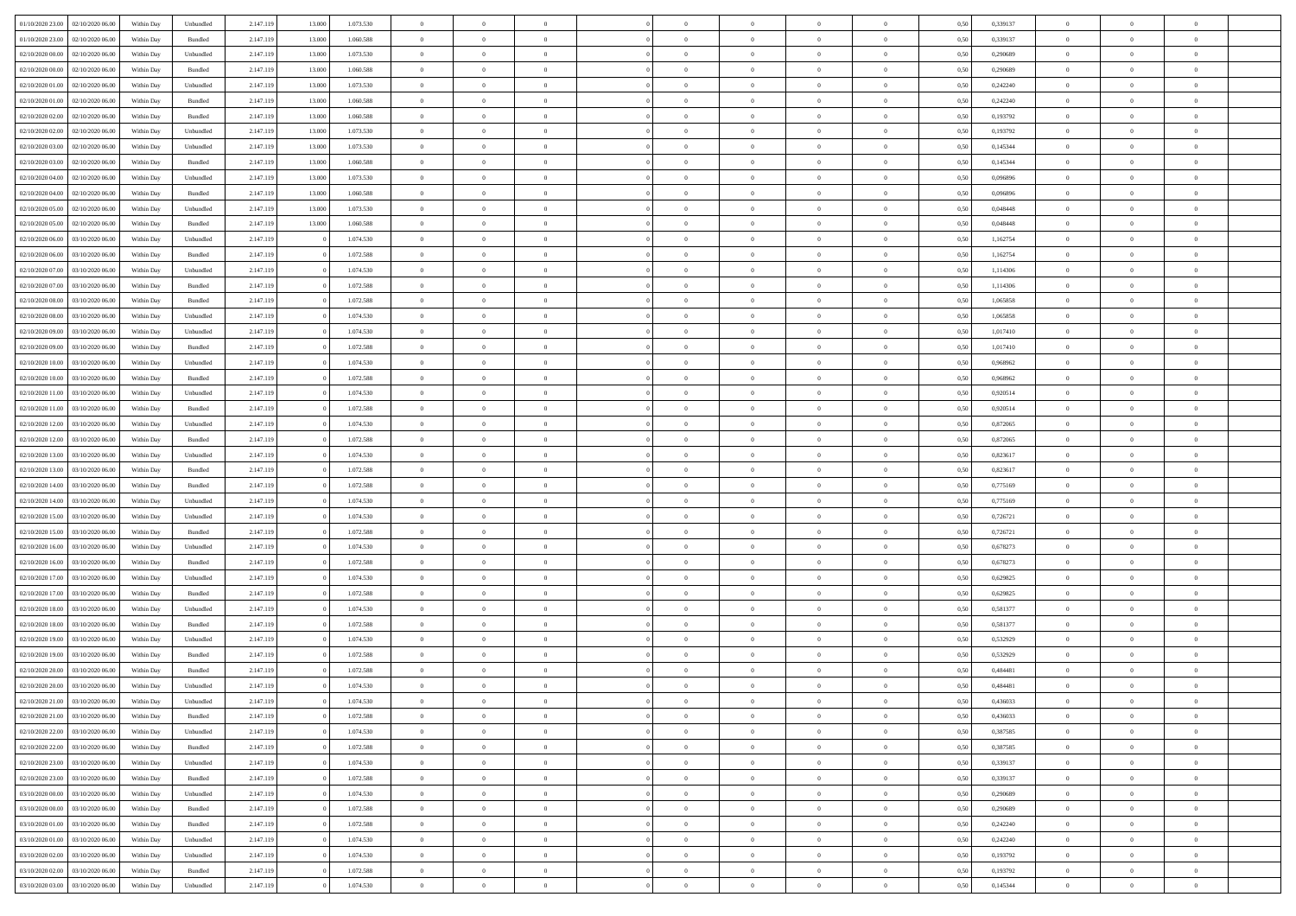| 01/10/2020 23.00                  | 02/10/2020 06:00 | Within Day | Unbundled | 2.147.119 | 13.000 | 1.073.530 | $\overline{0}$ | $\theta$       |                | $\overline{0}$ | $\bf{0}$       | $\overline{0}$ | $\theta$       | 0,50 | 0,339137 | $\theta$       | $\theta$       | $\overline{0}$           |  |
|-----------------------------------|------------------|------------|-----------|-----------|--------|-----------|----------------|----------------|----------------|----------------|----------------|----------------|----------------|------|----------|----------------|----------------|--------------------------|--|
| 01/10/2020 23.00                  | 02/10/2020 06.0  | Within Day | Bundled   | 2.147.119 | 13.000 | 1.060.588 | $\overline{0}$ | $\overline{0}$ | $\overline{0}$ | $\overline{0}$ | $\,$ 0         | $\bf{0}$       | $\bf{0}$       | 0,50 | 0,339137 | $\,$ 0 $\,$    | $\overline{0}$ | $\overline{0}$           |  |
|                                   |                  |            |           |           |        |           |                |                |                |                |                |                |                |      |          |                |                |                          |  |
| 02/10/2020 00:00                  | 02/10/2020 06:00 | Within Day | Unbundled | 2.147.119 | 13.000 | 1.073.530 | $\overline{0}$ | $\overline{0}$ | $\overline{0}$ | $\overline{0}$ | $\bf{0}$       | $\overline{0}$ | $\mathbf{0}$   | 0,50 | 0,290689 | $\bf{0}$       | $\overline{0}$ | $\overline{0}$           |  |
| 02/10/2020 00.00                  | 02/10/2020 06.00 | Within Day | Bundled   | 2.147.119 | 13.000 | 1.060.588 | $\overline{0}$ | $\overline{0}$ | $\overline{0}$ | $\overline{0}$ | $\,$ 0         | $\overline{0}$ | $\overline{0}$ | 0,50 | 0,290689 | $\,$ 0 $\,$    | $\overline{0}$ | $\overline{0}$           |  |
| 02/10/2020 01:00                  | 02/10/2020 06.00 | Within Day | Unbundled | 2.147.119 | 13.000 | 1.073.530 | $\overline{0}$ | $\theta$       | $\overline{0}$ |                | $\overline{0}$ | $\overline{0}$ | $\bf{0}$       | 0,50 | 0,242240 | $\,$ 0 $\,$    | $\overline{0}$ | $\overline{0}$           |  |
| 02/10/2020 01:00                  | 02/10/2020 06:00 | Within Day | Bundled   | 2.147.119 | 13,000 | 1.060.588 | $\overline{0}$ | $\overline{0}$ | $\overline{0}$ | $\overline{0}$ | $\bf{0}$       | $\overline{0}$ | $\bf{0}$       | 0.50 | 0,242240 | $\,0\,$        | $\theta$       | $\overline{0}$           |  |
| 02/10/2020 02.00                  | 02/10/2020 06.00 | Within Day | Bundled   | 2.147.119 | 13.000 | 1.060.588 | $\overline{0}$ | $\overline{0}$ | $\overline{0}$ | $\overline{0}$ | $\bf{0}$       | $\overline{0}$ | $\overline{0}$ | 0,50 | 0,193792 | $\,$ 0 $\,$    | $\theta$       | $\overline{0}$           |  |
| 02/10/2020 02.00                  | 02/10/2020 06.00 | Within Day | Unbundled | 2.147.119 | 13.000 | 1.073.530 | $\overline{0}$ | $\theta$       | $\overline{0}$ | $\overline{0}$ | $\,$ 0         | $\overline{0}$ | $\bf{0}$       | 0,50 | 0,193792 | $\,$ 0 $\,$    | $\overline{0}$ | $\overline{0}$           |  |
| 02/10/2020 03.00                  | 02/10/2020 06:00 | Within Day | Unbundled | 2.147.119 | 13.000 | 1.073.530 | $\overline{0}$ | $\overline{0}$ | $\overline{0}$ | $\overline{0}$ | $\bf{0}$       | $\overline{0}$ | $\bf{0}$       | 0.50 | 0.145344 | $\,0\,$        | $\overline{0}$ | $\overline{0}$           |  |
| 02/10/2020 03.00                  | 02/10/2020 06.00 | Within Day | Bundled   | 2.147.119 | 13.000 | 1.060.588 | $\overline{0}$ | $\overline{0}$ | $\overline{0}$ | $\overline{0}$ | $\,$ 0         | $\overline{0}$ | $\bf{0}$       | 0,50 | 0,145344 | $\,$ 0 $\,$    | $\overline{0}$ | $\overline{0}$           |  |
| 02/10/2020 04:00                  | 02/10/2020 06.00 | Within Day | Unbundled | 2.147.119 | 13.000 | 1.073.530 | $\bf{0}$       | $\theta$       | $\overline{0}$ | $\overline{0}$ | $\,$ 0         | $\overline{0}$ | $\bf{0}$       | 0,50 | 0,096896 | $\,$ 0 $\,$    | $\overline{0}$ | $\overline{0}$           |  |
|                                   |                  |            |           |           |        |           |                |                |                |                |                |                |                |      |          |                |                |                          |  |
| 02/10/2020 04:00                  | 02/10/2020 06:00 | Within Day | Bundled   | 2.147.119 | 13,000 | 1.060.588 | $\overline{0}$ | $\overline{0}$ | $\overline{0}$ | $\overline{0}$ | $\bf{0}$       | $\overline{0}$ | $\mathbf{0}$   | 0.50 | 0.096896 | $\bf{0}$       | $\overline{0}$ | $\overline{\phantom{a}}$ |  |
| 02/10/2020 05:00                  | 02/10/2020 06.00 | Within Day | Unbundled | 2.147.119 | 13.000 | 1.073.530 | $\overline{0}$ | $\overline{0}$ | $\overline{0}$ | $\overline{0}$ | $\,$ 0         | $\overline{0}$ | $\overline{0}$ | 0,50 | 0,048448 | $\,$ 0 $\,$    | $\overline{0}$ | $\overline{0}$           |  |
| 02/10/2020 05:00                  | 02/10/2020 06.00 | Within Day | Bundled   | 2.147.119 | 13.000 | 1.060.588 | $\overline{0}$ | $\theta$       | $\overline{0}$ | $\overline{0}$ | $\bf{0}$       | $\overline{0}$ | $\bf{0}$       | 0,50 | 0,048448 | $\,$ 0 $\,$    | $\overline{0}$ | $\overline{0}$           |  |
| 02/10/2020 06:00                  | 03/10/2020 06:00 | Within Day | Unbundled | 2.147.119 |        | 1.074.530 | $\overline{0}$ | $\overline{0}$ | $\overline{0}$ | $\overline{0}$ | $\,$ 0         | $\overline{0}$ | $\bf{0}$       | 0.50 | 1,162754 | $\,0\,$        | $\theta$       | $\overline{0}$           |  |
| 02/10/2020 06:00                  | 03/10/2020 06.00 | Within Day | Bundled   | 2.147.119 |        | 1.072.588 | $\overline{0}$ | $\overline{0}$ | $\overline{0}$ | $\overline{0}$ | $\,$ 0         | $\overline{0}$ | $\bf{0}$       | 0,50 | 1,162754 | $\,$ 0 $\,$    | $\theta$       | $\overline{0}$           |  |
| 02/10/2020 07:00                  | 03/10/2020 06.00 | Within Day | Unbundled | 2.147.119 |        | 1.074.530 | $\overline{0}$ | $\theta$       | $\overline{0}$ |                | $\,$ 0         | $\overline{0}$ | $\bf{0}$       | 0,50 | 1,114306 | $\,$ 0 $\,$    | $\overline{0}$ | $\overline{0}$           |  |
| 02/10/2020 07.00                  | 03/10/2020 06:00 | Within Day | Bundled   | 2.147.119 |        | 1.072.588 | $\overline{0}$ | $\overline{0}$ | $\overline{0}$ | $\overline{0}$ | $\bf{0}$       | $\overline{0}$ | $\bf{0}$       | 0.50 | 1.114306 | $\bf{0}$       | $\overline{0}$ | $\overline{\phantom{a}}$ |  |
| 02/10/2020 08:00                  | 03/10/2020 06.00 | Within Day | Bundled   | 2.147.119 |        | 1.072.588 | $\overline{0}$ | $\overline{0}$ | $\overline{0}$ | $\overline{0}$ | $\bf{0}$       | $\overline{0}$ | $\bf{0}$       | 0,50 | 1,065858 | $\,$ 0 $\,$    | $\overline{0}$ | $\overline{0}$           |  |
| 02/10/2020 08:00                  | 03/10/2020 06.00 | Within Day | Unbundled | 2.147.119 |        | 1.074.530 | $\overline{0}$ | $\theta$       | $\overline{0}$ | $\overline{0}$ | $\,$ 0         | $\bf{0}$       | $\bf{0}$       | 0,50 | 1,065858 | $\,$ 0 $\,$    | $\overline{0}$ | $\overline{0}$           |  |
|                                   |                  |            |           |           |        |           |                |                |                |                |                |                |                |      |          |                |                |                          |  |
| 02/10/2020 09:00                  | 03/10/2020 06:00 | Within Day | Unbundled | 2.147.119 |        | 1.074.530 | $\overline{0}$ | $\overline{0}$ | $\overline{0}$ | $\overline{0}$ | $\bf{0}$       | $\overline{0}$ | $\mathbf{0}$   | 0.50 | 1.017410 | $\bf{0}$       | $\overline{0}$ | $\overline{\phantom{a}}$ |  |
| 02/10/2020 09:00                  | 03/10/2020 06.00 | Within Day | Bundled   | 2.147.119 |        | 1.072.588 | $\overline{0}$ | $\overline{0}$ | $\overline{0}$ | $\overline{0}$ | $\,$ 0         | $\overline{0}$ | $\overline{0}$ | 0,50 | 1,017410 | $\,$ 0 $\,$    | $\overline{0}$ | $\overline{0}$           |  |
| 02/10/2020 10:00                  | 03/10/2020 06.00 | Within Day | Unbundled | 2.147.119 |        | 1.074.530 | $\overline{0}$ | $\theta$       | $\overline{0}$ | $\overline{0}$ | $\,$ 0         | $\overline{0}$ | $\bf{0}$       | 0,50 | 0,968962 | $\,$ 0 $\,$    | $\overline{0}$ | $\overline{0}$           |  |
| 02/10/2020 10:00                  | 03/10/2020 06:00 | Within Day | Bundled   | 2.147.119 |        | 1.072.588 | $\overline{0}$ | $\overline{0}$ | $\overline{0}$ | $\overline{0}$ | $\bf{0}$       | $\overline{0}$ | $\bf{0}$       | 0.50 | 0.968962 | $\,0\,$        | $\theta$       | $\overline{0}$           |  |
| 02/10/2020 11:00                  | 03/10/2020 06.00 | Within Day | Unbundled | 2.147.119 |        | 1.074.530 | $\overline{0}$ | $\overline{0}$ | $\overline{0}$ | $\overline{0}$ | $\,$ 0         | $\overline{0}$ | $\overline{0}$ | 0,50 | 0,920514 | $\,0\,$        | $\theta$       | $\overline{0}$           |  |
| 02/10/2020 11:00                  | 03/10/2020 06.00 | Within Day | Bundled   | 2.147.119 |        | 1.072.588 | $\overline{0}$ | $\theta$       | $\overline{0}$ |                | $\bf{0}$       | $\overline{0}$ | $\bf{0}$       | 0,50 | 0,920514 | $\,$ 0 $\,$    | $\overline{0}$ | $\overline{0}$           |  |
| 02/10/2020 12:00                  | 03/10/2020 06:00 | Within Day | Unbundled | 2.147.119 |        | 1.074.530 | $\overline{0}$ | $\overline{0}$ | $\overline{0}$ | $\overline{0}$ | $\bf{0}$       | $\overline{0}$ | $\bf{0}$       | 0.50 | 0.872065 | $\,0\,$        | $\overline{0}$ | $\overline{0}$           |  |
| 02/10/2020 12:00                  | 03/10/2020 06.00 | Within Day | Bundled   | 2.147.119 |        | 1.072.588 | $\overline{0}$ | $\overline{0}$ | $\overline{0}$ | $\overline{0}$ | $\bf{0}$       | $\overline{0}$ | $\bf{0}$       | 0,50 | 0,872065 | $\,$ 0 $\,$    | $\overline{0}$ | $\overline{0}$           |  |
| 02/10/2020 13:00                  | 03/10/2020 06.00 | Within Day | Unbundled | 2.147.119 |        | 1.074.530 | $\overline{0}$ | $\overline{0}$ | $\overline{0}$ | $\overline{0}$ | $\bf{0}$       | $\bf{0}$       | $\bf{0}$       | 0,50 | 0,823617 | $\,$ 0 $\,$    | $\overline{0}$ | $\overline{0}$           |  |
|                                   |                  |            |           |           |        |           |                |                |                |                |                |                |                |      |          |                |                |                          |  |
| 02/10/2020 13:00                  | 03/10/2020 06:00 | Within Day | Bundled   | 2.147.119 |        | 1.072.588 | $\overline{0}$ | $\overline{0}$ | $\overline{0}$ | $\overline{0}$ | $\bf{0}$       | $\overline{0}$ | $\mathbf{0}$   | 0.50 | 0.823617 | $\overline{0}$ | $\overline{0}$ | $\overline{\phantom{a}}$ |  |
| 02/10/2020 14:00                  | 03/10/2020 06.00 | Within Dav | Bundled   | 2.147.119 |        | 1.072.588 | $\overline{0}$ | $\overline{0}$ | $\overline{0}$ | $\overline{0}$ | $\overline{0}$ | $\overline{0}$ | $\overline{0}$ | 0.50 | 0,775169 | $\theta$       | $\overline{0}$ | $\overline{0}$           |  |
| 02/10/2020 14.00                  | 03/10/2020 06.00 | Within Day | Unbundled | 2.147.119 |        | 1.074.530 | $\overline{0}$ | $\theta$       | $\overline{0}$ | $\overline{0}$ | $\,$ 0         | $\overline{0}$ | $\bf{0}$       | 0,50 | 0,775169 | $\,$ 0 $\,$    | $\overline{0}$ | $\overline{0}$           |  |
| 02/10/2020 15:00                  | 03/10/2020 06:00 | Within Day | Unbundled | 2.147.119 |        | 1.074.530 | $\overline{0}$ | $\overline{0}$ | $\overline{0}$ | $\overline{0}$ | $\,$ 0         | $\overline{0}$ | $\bf{0}$       | 0.50 | 0,726721 | $\,0\,$        | $\theta$       | $\overline{0}$           |  |
| 02/10/2020 15:00                  | 03/10/2020 06.00 | Within Dav | Bundled   | 2.147.119 |        | 1.072.588 | $\overline{0}$ | $\overline{0}$ | $\Omega$       | $\overline{0}$ | $\mathbf{0}$   | $\overline{0}$ | $\overline{0}$ | 0.50 | 0,726721 | $\theta$       | $\overline{0}$ | $\overline{0}$           |  |
| 02/10/2020 16:00                  | 03/10/2020 06.00 | Within Day | Unbundled | 2.147.119 |        | 1.074.530 | $\bf{0}$       | $\theta$       | $\overline{0}$ | $\overline{0}$ | $\,$ 0         | $\overline{0}$ | $\bf{0}$       | 0,50 | 0,678273 | $\,$ 0 $\,$    | $\overline{0}$ | $\overline{0}$           |  |
| 02/10/2020 16.00                  | 03/10/2020 06:00 | Within Day | Bundled   | 2.147.119 |        | 1.072.588 | $\overline{0}$ | $\overline{0}$ | $\overline{0}$ | $\overline{0}$ | $\bf{0}$       | $\overline{0}$ | $\bf{0}$       | 0.50 | 0.678273 | $\,0\,$        | $\overline{0}$ | $\overline{0}$           |  |
| 02/10/2020 17:00                  | 03/10/2020 06.00 | Within Dav | Unbundled | 2.147.119 |        | 1.074.530 | $\overline{0}$ | $\overline{0}$ | $\overline{0}$ | $\overline{0}$ | $\overline{0}$ | $\overline{0}$ | $\overline{0}$ | 0.50 | 0,629825 | $\theta$       | $\overline{0}$ | $\overline{0}$           |  |
| 02/10/2020 17:00                  | 03/10/2020 06.00 | Within Day | Bundled   | 2.147.119 |        | 1.072.588 | $\overline{0}$ | $\overline{0}$ | $\overline{0}$ | $\bf{0}$       | $\bf{0}$       | $\bf{0}$       | $\bf{0}$       | 0,50 | 0,629825 | $\,$ 0 $\,$    | $\overline{0}$ | $\overline{0}$           |  |
| 02/10/2020 18:00                  | 03/10/2020 06:00 | Within Day | Unbundled | 2.147.119 |        | 1.074.530 | $\overline{0}$ | $\overline{0}$ | $\overline{0}$ | $\overline{0}$ | $\bf{0}$       | $\overline{0}$ | $\mathbf{0}$   | 0.50 | 0,581377 | $\,$ 0 $\,$    | $\overline{0}$ | $\overline{0}$           |  |
|                                   |                  |            |           |           |        |           |                | $\overline{0}$ | $\Omega$       |                | $\mathbf{0}$   |                |                |      |          | $\theta$       | $\overline{0}$ | $\overline{0}$           |  |
| 02/10/2020 18:00                  | 03/10/2020 06.00 | Within Dav | Bundled   | 2.147.119 |        | 1.072.588 | $\overline{0}$ |                |                | $\overline{0}$ |                | $\overline{0}$ | $\overline{0}$ | 0.50 | 0,581377 |                |                |                          |  |
| 02/10/2020 19:00                  | 03/10/2020 06.00 | Within Day | Unbundled | 2.147.119 |        | 1.074.530 | $\bf{0}$       | $\theta$       | $\overline{0}$ | $\overline{0}$ | $\,$ 0         | $\overline{0}$ | $\bf{0}$       | 0,50 | 0,532929 | $\,$ 0 $\,$    | $\overline{0}$ | $\overline{0}$           |  |
| 02/10/2020 19:00                  | 03/10/2020 06:00 | Within Day | Bundled   | 2.147.119 |        | 1.072.588 | $\overline{0}$ | $\theta$       | $\overline{0}$ | $\overline{0}$ | $\bf{0}$       | $\overline{0}$ | $\overline{0}$ | 0.50 | 0,532929 | $\,0\,$        | $\theta$       | $\overline{0}$           |  |
| 02/10/2020 20:00                  | 03/10/2020 06.00 | Within Dav | Bundled   | 2.147.119 |        | 1.072.588 | $\overline{0}$ | $\Omega$       | $\Omega$       | $\Omega$       | $\bf{0}$       | $\overline{0}$ | $\bf{0}$       | 0.50 | 0,484481 | $\theta$       | $\theta$       | $\overline{0}$           |  |
| 02/10/2020 20:00                  | 03/10/2020 06.00 | Within Day | Unbundled | 2.147.119 |        | 1.074.530 | $\overline{0}$ | $\,$ 0 $\,$    | $\overline{0}$ | $\bf{0}$       | $\,$ 0         | $\bf{0}$       | $\bf{0}$       | 0,50 | 0,484481 | $\,$ 0 $\,$    | $\overline{0}$ | $\overline{0}$           |  |
| 02/10/2020 21.00                  | 03/10/2020 06:00 | Within Day | Unbundled | 2.147.119 |        | 1.074.530 | $\bf{0}$       | $\theta$       |                | $\Omega$       | $\Omega$       |                |                | 0,50 | 0.436033 | $\bf{0}$       | $\theta$       |                          |  |
| 02/10/2020 21.00                  | 03/10/2020 06.00 | Within Day | Bundled   | 2.147.119 |        | 1.072.588 | $\overline{0}$ | $\overline{0}$ | $\overline{0}$ | $\overline{0}$ | $\overline{0}$ | $\overline{0}$ | $\mathbf{0}$   | 0,50 | 0,436033 | $\theta$       | $\overline{0}$ | $\overline{0}$           |  |
| 02/10/2020 22.00                  | 03/10/2020 06.00 | Within Day | Unbundled | 2.147.119 |        | 1.074.530 | $\overline{0}$ | $\overline{0}$ | $\overline{0}$ | $\bf{0}$       | $\overline{0}$ | $\overline{0}$ | $\mathbf{0}$   | 0,50 | 0,387585 | $\bf{0}$       | $\overline{0}$ | $\bf{0}$                 |  |
| 02/10/2020 22.00                  | 03/10/2020 06.00 | Within Day | Bundled   | 2.147.119 |        | 1.072.588 | $\overline{0}$ | $\overline{0}$ | $\overline{0}$ | $\overline{0}$ | $\bf{0}$       | $\overline{0}$ | $\mathbf{0}$   | 0.50 | 0,387585 | $\overline{0}$ | $\bf{0}$       | $\bf{0}$                 |  |
| 02/10/2020 23.00                  | 03/10/2020 06:00 | Within Day | Unbundled | 2.147.119 |        | 1.074.530 | $\overline{0}$ | $\overline{0}$ | $\overline{0}$ | $\overline{0}$ | $\overline{0}$ | $\overline{0}$ | $\mathbf{0}$   | 0,50 | 0,339137 | $\overline{0}$ | $\theta$       | $\overline{0}$           |  |
|                                   |                  |            |           |           |        |           |                |                |                |                |                |                |                |      |          |                |                |                          |  |
| 02/10/2020 23.00                  | 03/10/2020 06.00 | Within Day | Bundled   | 2.147.119 |        | 1.072.588 | $\bf{0}$       | $\overline{0}$ | $\overline{0}$ | $\overline{0}$ | $\bf{0}$       | $\bf{0}$       | $\bf{0}$       | 0,50 | 0,339137 | $\bf{0}$       | $\overline{0}$ | $\overline{0}$           |  |
| 03/10/2020 00:00                  | 03/10/2020 06:00 | Within Day | Unbundled | 2.147.119 |        | 1.074.530 | $\overline{0}$ | $\overline{0}$ | $\overline{0}$ | $\overline{0}$ | $\bf{0}$       | $\overline{0}$ | $\mathbf{0}$   | 0.50 | 0.290689 | $\,$ 0 $\,$    | $\,0\,$        | $\,$ 0                   |  |
| 03/10/2020 00:00                  | 03/10/2020 06:00 | Within Day | Bundled   | 2.147.119 |        | 1.072.588 | $\overline{0}$ | $\overline{0}$ | $\overline{0}$ | $\overline{0}$ | $\overline{0}$ | $\overline{0}$ | $\overline{0}$ | 0,50 | 0,290689 | $\overline{0}$ | $\theta$       | $\overline{0}$           |  |
| 03/10/2020 01.00                  | 03/10/2020 06.00 | Within Day | Bundled   | 2.147.119 |        | 1.072.588 | $\overline{0}$ | $\,$ 0         | $\overline{0}$ | $\bf{0}$       | $\,$ 0 $\,$    | $\bf{0}$       | $\bf{0}$       | 0,50 | 0,242240 | $\,$ 0 $\,$    | $\overline{0}$ | $\,$ 0                   |  |
| 03/10/2020 01:00                  | 03/10/2020 06:00 | Within Day | Unbundled | 2.147.119 |        | 1.074.530 | $\overline{0}$ | $\overline{0}$ | $\overline{0}$ | $\overline{0}$ | $\bf{0}$       | $\overline{0}$ | $\mathbf{0}$   | 0.50 | 0.242240 | $\mathbf{0}$   | $\,$ 0 $\,$    | $\overline{0}$           |  |
| 03/10/2020 02:00                  | 03/10/2020 06:00 | Within Day | Unbundled | 2.147.119 |        | 1.074.530 | $\overline{0}$ | $\overline{0}$ | $\overline{0}$ | $\overline{0}$ | $\overline{0}$ | $\overline{0}$ | $\overline{0}$ | 0,50 | 0,193792 | $\overline{0}$ | $\overline{0}$ | $\overline{0}$           |  |
| 03/10/2020 02.00                  | 03/10/2020 06.00 | Within Day | Bundled   | 2.147.119 |        | 1.072.588 | $\overline{0}$ | $\overline{0}$ | $\overline{0}$ | $\bf{0}$       | $\bf{0}$       | $\bf{0}$       | $\bf{0}$       | 0,50 | 0,193792 | $\bf{0}$       | $\overline{0}$ | $\bf{0}$                 |  |
|                                   |                  |            |           |           |        | 1.074.530 | $\overline{0}$ |                |                |                |                |                |                |      | 0,145344 | $\overline{0}$ | $\,$ 0 $\,$    | $\,$ 0 $\,$              |  |
| 03/10/2020 03:00 03/10/2020 06:00 |                  | Within Day | Unbundled | 2.147.119 |        |           |                | $\overline{0}$ | $\overline{0}$ | $\overline{0}$ | $\bf{0}$       | $\overline{0}$ | $\,$ 0 $\,$    | 0,50 |          |                |                |                          |  |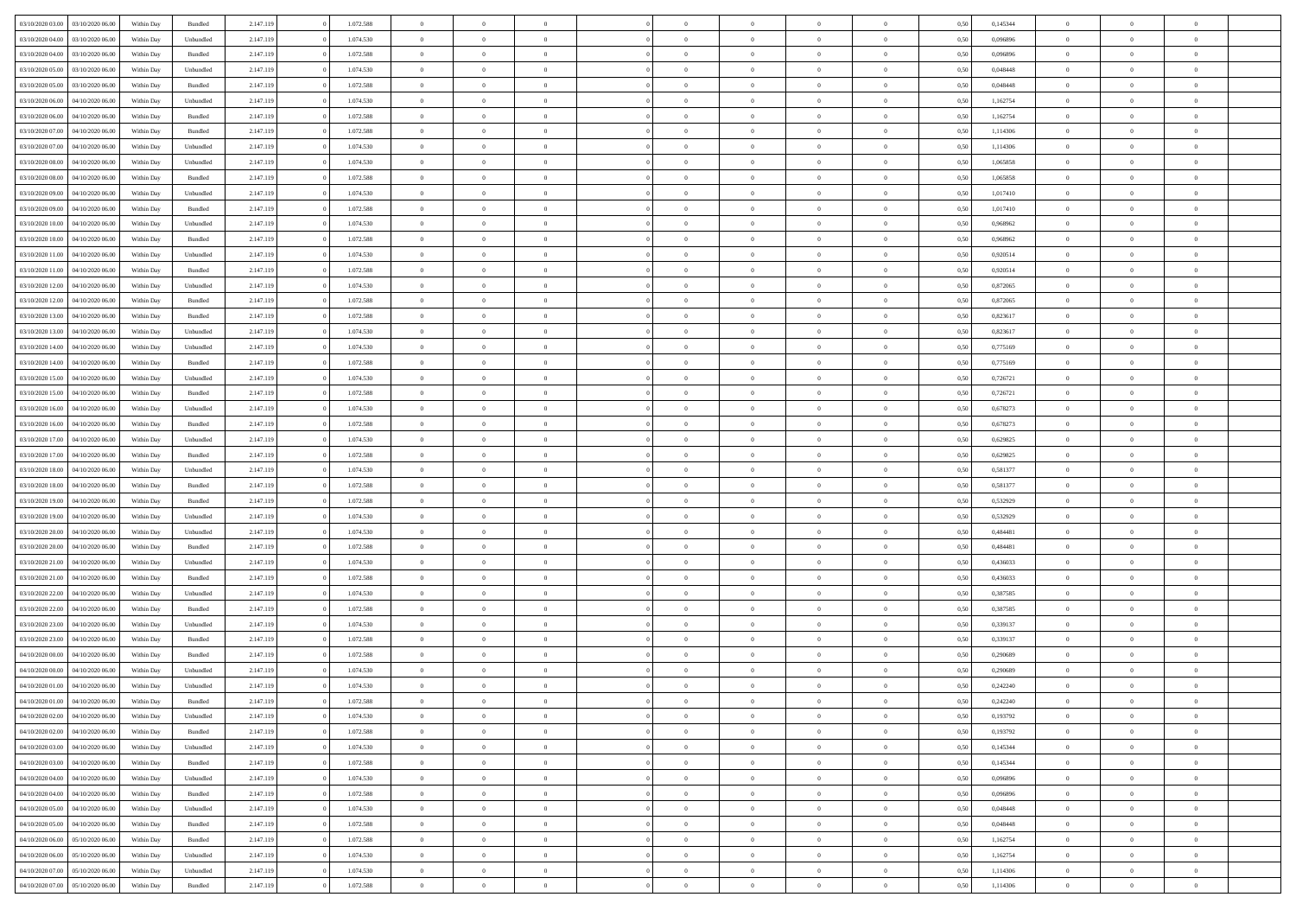| 03/10/2020 03:00                  | 03/10/2020 06:00 | Within Dav | Bundled            | 2.147.119 | 1.072.588 | $\overline{0}$ | $\Omega$       |                | $\Omega$       | $\Omega$       | $\Omega$       | $\theta$       | 0.50 | 0,145344 | $\theta$       | $\theta$       | $\theta$       |  |
|-----------------------------------|------------------|------------|--------------------|-----------|-----------|----------------|----------------|----------------|----------------|----------------|----------------|----------------|------|----------|----------------|----------------|----------------|--|
| 03/10/2020 04:00                  | 03/10/2020 06.00 | Within Day | Unbundled          | 2.147.119 | 1.074.530 | $\overline{0}$ | $\theta$       | $\overline{0}$ | $\overline{0}$ | $\bf{0}$       | $\overline{0}$ | $\overline{0}$ | 0,50 | 0,096896 | $\theta$       | $\overline{0}$ | $\overline{0}$ |  |
| 03/10/2020 04.00                  | 03/10/2020 06.00 | Within Day | Bundled            | 2.147.119 | 1.072.588 | $\overline{0}$ | $\overline{0}$ | $\overline{0}$ | $\bf{0}$       | $\bf{0}$       | $\bf{0}$       | $\bf{0}$       | 0,50 | 0,096896 | $\bf{0}$       | $\overline{0}$ | $\overline{0}$ |  |
|                                   |                  |            |                    |           |           |                |                |                |                |                |                |                |      |          | $\theta$       |                |                |  |
| 03/10/2020 05:00                  | 03/10/2020 06:00 | Within Dav | Unbundled          | 2.147.119 | 1.074.530 | $\overline{0}$ | $\overline{0}$ | $\overline{0}$ | $\overline{0}$ | $\bf{0}$       | $\overline{0}$ | $\overline{0}$ | 0.50 | 0.048448 |                | $\theta$       | $\overline{0}$ |  |
| 03/10/2020 05:00                  | 03/10/2020 06.00 | Within Day | Bundled            | 2.147.119 | 1.072.588 | $\overline{0}$ | $\theta$       | $\overline{0}$ | $\overline{0}$ | $\bf{0}$       | $\overline{0}$ | $\bf{0}$       | 0,50 | 0,048448 | $\theta$       | $\theta$       | $\overline{0}$ |  |
| 03/10/2020 06.00                  | 04/10/2020 06.00 | Within Day | Unbundled          | 2.147.119 | 1.074.530 | $\overline{0}$ | $\bf{0}$       | $\overline{0}$ | $\bf{0}$       | $\overline{0}$ | $\overline{0}$ | $\mathbf{0}$   | 0,50 | 1,162754 | $\bf{0}$       | $\overline{0}$ | $\bf{0}$       |  |
| 03/10/2020 06:00                  | 04/10/2020 06.00 | Within Dav | Bundled            | 2.147.119 | 1.072.588 | $\overline{0}$ | $\overline{0}$ | $\overline{0}$ | $\overline{0}$ | $\overline{0}$ | $\overline{0}$ | $\overline{0}$ | 0.50 | 1,162754 | $\theta$       | $\overline{0}$ | $\overline{0}$ |  |
|                                   |                  |            |                    |           |           |                |                |                |                |                |                |                |      |          |                |                |                |  |
| 03/10/2020 07.00                  | 04/10/2020 06.00 | Within Day | Bundled            | 2.147.119 | 1.072.588 | $\overline{0}$ | $\theta$       | $\overline{0}$ | $\overline{0}$ | $\bf{0}$       | $\overline{0}$ | $\bf{0}$       | 0,50 | 1,114306 | $\theta$       | $\theta$       | $\overline{0}$ |  |
| 03/10/2020 07:00                  | 04/10/2020 06.00 | Within Day | Unbundled          | 2.147.119 | 1.074.530 | $\overline{0}$ | $\overline{0}$ | $\overline{0}$ | $\bf{0}$       | $\bf{0}$       | $\bf{0}$       | $\bf{0}$       | 0,50 | 1,114306 | $\,0\,$        | $\overline{0}$ | $\overline{0}$ |  |
| 03/10/2020 08:00                  | 04/10/2020 06.00 | Within Dav | Unbundled          | 2.147.119 | 1.074.530 | $\overline{0}$ | $\overline{0}$ | $\overline{0}$ | $\overline{0}$ | $\overline{0}$ | $\overline{0}$ | $\overline{0}$ | 0.50 | 1,065858 | $\theta$       | $\overline{0}$ | $\overline{0}$ |  |
|                                   |                  |            |                    |           |           |                |                |                |                |                |                |                |      |          |                |                |                |  |
| 03/10/2020 08:00                  | 04/10/2020 06.00 | Within Day | Bundled            | 2.147.119 | 1.072.588 | $\overline{0}$ | $\theta$       | $\overline{0}$ | $\overline{0}$ | $\bf{0}$       | $\overline{0}$ | $\bf{0}$       | 0,50 | 1,065858 | $\theta$       | $\theta$       | $\overline{0}$ |  |
| 03/10/2020 09:00                  | 04/10/2020 06.00 | Within Day | Unbundled          | 2.147.119 | 1.074.530 | $\overline{0}$ | $\overline{0}$ | $\overline{0}$ | $\bf{0}$       | $\bf{0}$       | $\bf{0}$       | $\bf{0}$       | 0,50 | 1,017410 | $\bf{0}$       | $\overline{0}$ | $\overline{0}$ |  |
| 03/10/2020 09:00                  | 04/10/2020 06.00 | Within Day | Bundled            | 2.147.119 | 1.072.588 | $\overline{0}$ | $\overline{0}$ | $\overline{0}$ | $\overline{0}$ | $\bf{0}$       | $\overline{0}$ | $\overline{0}$ | 0.50 | 1,017410 | $\theta$       | $\theta$       | $\overline{0}$ |  |
| 03/10/2020 10:00                  | 04/10/2020 06.00 | Within Day | Unbundled          | 2.147.119 | 1.074.530 | $\overline{0}$ | $\theta$       | $\overline{0}$ | $\overline{0}$ | $\bf{0}$       | $\overline{0}$ | $\overline{0}$ | 0,50 | 0,968962 | $\theta$       | $\theta$       | $\overline{0}$ |  |
|                                   |                  |            |                    |           |           |                |                |                |                |                |                |                |      |          |                |                |                |  |
| 03/10/2020 10:00                  | 04/10/2020 06.00 | Within Day | Bundled            | 2.147.119 | 1.072.588 | $\overline{0}$ | $\bf{0}$       | $\overline{0}$ | $\bf{0}$       | $\overline{0}$ | $\overline{0}$ | $\mathbf{0}$   | 0,50 | 0,968962 | $\bf{0}$       | $\overline{0}$ | $\bf{0}$       |  |
| 03/10/2020 11:00                  | 04/10/2020 06.00 | Within Dav | Unbundled          | 2.147.119 | 1.074.530 | $\overline{0}$ | $\overline{0}$ | $\overline{0}$ | $\overline{0}$ | $\overline{0}$ | $\overline{0}$ | $\overline{0}$ | 0.50 | 0.920514 | $\theta$       | $\overline{0}$ | $\overline{0}$ |  |
| 03/10/2020 11:00                  | 04/10/2020 06.00 | Within Day | Bundled            | 2.147.119 | 1.072.588 | $\overline{0}$ | $\theta$       | $\overline{0}$ | $\overline{0}$ | $\bf{0}$       | $\overline{0}$ | $\bf{0}$       | 0,50 | 0,920514 | $\theta$       | $\theta$       | $\overline{0}$ |  |
|                                   |                  |            |                    |           |           |                |                |                |                |                |                |                |      |          |                |                |                |  |
| 03/10/2020 12.00                  | 04/10/2020 06.00 | Within Day | Unbundled          | 2.147.119 | 1.074.530 | $\overline{0}$ | $\overline{0}$ | $\overline{0}$ | $\overline{0}$ | $\bf{0}$       | $\overline{0}$ | $\bf{0}$       | 0,50 | 0,872065 | $\,0\,$        | $\overline{0}$ | $\overline{0}$ |  |
| 03/10/2020 12:00                  | 04/10/2020 06.00 | Within Dav | Bundled            | 2.147.119 | 1.072.588 | $\overline{0}$ | $\overline{0}$ | $\overline{0}$ | $\overline{0}$ | $\overline{0}$ | $\overline{0}$ | $\overline{0}$ | 0.50 | 0,872065 | $\theta$       | $\overline{0}$ | $\overline{0}$ |  |
| 03/10/2020 13:00                  | 04/10/2020 06.00 | Within Day | Bundled            | 2.147.119 | 1.072.588 | $\overline{0}$ | $\theta$       | $\overline{0}$ | $\overline{0}$ | $\bf{0}$       | $\overline{0}$ | $\bf{0}$       | 0,50 | 0,823617 | $\,$ 0 $\,$    | $\theta$       | $\overline{0}$ |  |
| 03/10/2020 13.00                  | 04/10/2020 06.00 | Within Day | Unbundled          | 2.147.119 | 1.074.530 | $\overline{0}$ | $\overline{0}$ | $\overline{0}$ | $\overline{0}$ | $\bf{0}$       | $\overline{0}$ | $\bf{0}$       | 0,50 | 0,823617 | $\,0\,$        | $\overline{0}$ | $\overline{0}$ |  |
|                                   | 04/10/2020 06.00 |            | Unbundled          |           | 1.074.530 | $\overline{0}$ | $\overline{0}$ |                |                | $\bf{0}$       | $\overline{0}$ |                | 0.50 | 0.775169 | $\theta$       | $\theta$       | $\overline{0}$ |  |
| 03/10/2020 14:00                  |                  | Within Day |                    | 2.147.119 |           |                |                | $\overline{0}$ | $\overline{0}$ |                |                | $\overline{0}$ |      |          |                |                |                |  |
| 03/10/2020 14:00                  | 04/10/2020 06.00 | Within Day | Bundled            | 2.147.119 | 1.072.588 | $\overline{0}$ | $\theta$       | $\overline{0}$ | $\overline{0}$ | $\bf{0}$       | $\overline{0}$ | $\bf{0}$       | 0,50 | 0,775169 | $\,$ 0 $\,$    | $\overline{0}$ | $\overline{0}$ |  |
| 03/10/2020 15:00                  | 04/10/2020 06.00 | Within Day | Unbundled          | 2.147.119 | 1.074.530 | $\overline{0}$ | $\bf{0}$       | $\overline{0}$ | $\overline{0}$ | $\overline{0}$ | $\overline{0}$ | $\mathbf{0}$   | 0,50 | 0,726721 | $\bf{0}$       | $\overline{0}$ | $\bf{0}$       |  |
| 03/10/2020 15:00                  | 04/10/2020 06.00 | Within Dav | Bundled            | 2.147.119 | 1.072.588 | $\overline{0}$ | $\overline{0}$ | $\overline{0}$ | $\overline{0}$ | $\overline{0}$ | $\overline{0}$ | $\overline{0}$ | 0.50 | 0,726721 | $\theta$       | $\overline{0}$ | $\overline{0}$ |  |
|                                   |                  |            |                    |           |           |                |                |                |                |                |                |                |      |          |                |                |                |  |
| 03/10/2020 16:00                  | 04/10/2020 06.00 | Within Day | Unbundled          | 2.147.119 | 1.074.530 | $\overline{0}$ | $\theta$       | $\overline{0}$ | $\overline{0}$ | $\bf{0}$       | $\overline{0}$ | $\bf{0}$       | 0,50 | 0,678273 | $\theta$       | $\theta$       | $\overline{0}$ |  |
| 03/10/2020 16:00                  | 04/10/2020 06.00 | Within Day | Bundled            | 2.147.119 | 1.072.588 | $\overline{0}$ | $\overline{0}$ | $\overline{0}$ | $\overline{0}$ | $\bf{0}$       | $\bf{0}$       | $\bf{0}$       | 0,50 | 0,678273 | $\,0\,$        | $\overline{0}$ | $\overline{0}$ |  |
| 03/10/2020 17.00                  | 04/10/2020 06.00 | Within Day | Unbundled          | 2.147.119 | 1.074.530 | $\overline{0}$ | $\overline{0}$ | $\overline{0}$ | $\overline{0}$ | $\overline{0}$ | $\overline{0}$ | $\overline{0}$ | 0.50 | 0,629825 | $\theta$       | $\overline{0}$ | $\overline{0}$ |  |
| 03/10/2020 17:00                  | 04/10/2020 06.00 | Within Day | Bundled            | 2.147.119 | 1.072.588 | $\overline{0}$ | $\theta$       | $\overline{0}$ | $\overline{0}$ | $\bf{0}$       | $\overline{0}$ | $\bf{0}$       | 0,50 | 0,629825 | $\,$ 0 $\,$    | $\overline{0}$ | $\overline{0}$ |  |
|                                   |                  |            |                    |           |           |                |                |                |                |                |                |                |      |          |                |                |                |  |
| 03/10/2020 18.00                  | 04/10/2020 06.00 | Within Day | Unbundled          | 2.147.119 | 1.074.530 | $\overline{0}$ | $\overline{0}$ | $\overline{0}$ | $\bf{0}$       | $\bf{0}$       | $\bf{0}$       | $\bf{0}$       | 0,50 | 0,581377 | $\bf{0}$       | $\overline{0}$ | $\overline{0}$ |  |
| 03/10/2020 18:00                  | 04/10/2020 06.00 | Within Day | Bundled            | 2.147.119 | 1.072.588 | $\overline{0}$ | $\Omega$       | $\Omega$       | $\Omega$       | $\Omega$       | $\Omega$       | $\overline{0}$ | 0,50 | 0,581377 | $\,0\,$        | $\theta$       | $\theta$       |  |
| 03/10/2020 19:00                  | 04/10/2020 06.00 | Within Day | Bundled            | 2.147.119 | 1.072.588 | $\overline{0}$ | $\theta$       | $\overline{0}$ | $\overline{0}$ | $\bf{0}$       | $\overline{0}$ | $\bf{0}$       | 0,50 | 0,532929 | $\theta$       | $\theta$       | $\overline{0}$ |  |
| 03/10/2020 19:00                  | 04/10/2020 06.00 | Within Day | Unbundled          | 2.147.119 | 1.074.530 | $\overline{0}$ | $\overline{0}$ | $\overline{0}$ | $\bf{0}$       | $\bf{0}$       | $\overline{0}$ | $\mathbf{0}$   | 0,50 | 0,532929 | $\overline{0}$ | $\overline{0}$ | $\bf{0}$       |  |
|                                   |                  |            |                    |           |           |                |                |                |                |                |                |                |      |          |                |                |                |  |
| 03/10/2020 20:00                  | 04/10/2020 06.00 | Within Day | Unbundled          | 2.147.119 | 1.074.530 | $\overline{0}$ | $\Omega$       | $\Omega$       | $\Omega$       | $\bf{0}$       | $\overline{0}$ | $\overline{0}$ | 0.50 | 0.484481 | $\,0\,$        | $\theta$       | $\theta$       |  |
| 03/10/2020 20.00                  | 04/10/2020 06.00 | Within Day | Bundled            | 2.147.119 | 1.072.588 | $\overline{0}$ | $\theta$       | $\overline{0}$ | $\overline{0}$ | $\bf{0}$       | $\overline{0}$ | $\bf{0}$       | 0,50 | 0,484481 | $\theta$       | $\theta$       | $\overline{0}$ |  |
| 03/10/2020 21.00                  | 04/10/2020 06.00 | Within Day | Unbundled          | 2.147.119 | 1.074.530 | $\overline{0}$ | $\overline{0}$ | $\overline{0}$ | $\bf{0}$       | $\bf{0}$       | $\bf{0}$       | $\bf{0}$       | 0,50 | 0,436033 | $\,0\,$        | $\overline{0}$ | $\overline{0}$ |  |
| 03/10/2020 21:00                  | 04/10/2020 06.00 | Within Day | Bundled            | 2.147.119 | 1.072.588 | $\overline{0}$ | $\Omega$       | $\Omega$       | $\Omega$       | $\theta$       | $\theta$       | $\overline{0}$ | 0.50 | 0.436033 | $\,0\,$        | $\theta$       | $\theta$       |  |
|                                   |                  |            |                    |           |           |                |                |                |                |                |                |                |      |          |                |                |                |  |
| 03/10/2020 22.00                  | 04/10/2020 06.00 | Within Day | Unbundled          | 2.147.119 | 1.074.530 | $\overline{0}$ | $\theta$       | $\overline{0}$ | $\overline{0}$ | $\bf{0}$       | $\overline{0}$ | $\bf{0}$       | 0,50 | 0,387585 | $\,$ 0 $\,$    | $\overline{0}$ | $\overline{0}$ |  |
| 03/10/2020 22.00                  | 04/10/2020 06.00 | Within Day | Bundled            | 2.147.119 | 1.072.588 | $\overline{0}$ | $\overline{0}$ | $\overline{0}$ | $\overline{0}$ | $\bf{0}$       | $\overline{0}$ | $\bf{0}$       | 0,50 | 0,387585 | $\bf{0}$       | $\overline{0}$ | $\overline{0}$ |  |
| 03/10/2020 23.00                  | 04/10/2020 06.00 | Within Day | Unbundled          | 2.147.119 | 1.074.530 | $\overline{0}$ | $\Omega$       | $\Omega$       | $\Omega$       | $\Omega$       | $\overline{0}$ | $\overline{0}$ | 0.50 | 0,339137 | $\,0\,$        | $\theta$       | $\theta$       |  |
| 03/10/2020 23.00                  | 04/10/2020 06.00 | Within Day | Bundled            | 2.147.119 | 1.072.588 | $\overline{0}$ | $\theta$       | $\overline{0}$ | $\overline{0}$ | $\bf{0}$       | $\overline{0}$ | $\bf{0}$       | 0,50 | 0,339137 | $\,$ 0 $\,$    | $\overline{0}$ | $\overline{0}$ |  |
|                                   |                  |            |                    |           |           |                |                |                |                |                |                |                |      |          |                |                |                |  |
| 04/10/2020 00.00                  | 04/10/2020 06.00 | Within Day | Bundled            | 2.147.119 | 1.072.588 | $\overline{0}$ | $\overline{0}$ | $\overline{0}$ | $\overline{0}$ | $\bf{0}$       | $\overline{0}$ | $\mathbf{0}$   | 0,50 | 0,290689 | $\bf{0}$       | $\overline{0}$ | $\bf{0}$       |  |
| 04/10/2020 00.00                  | 04/10/2020 06.00 | Within Day | Unbundled          | 2.147.119 | 1.074.530 | $\overline{0}$ | $\Omega$       | $\Omega$       | $\Omega$       | $\Omega$       | $\Omega$       | $\overline{0}$ | 0.50 | 0,290689 | $\theta$       | $\theta$       | $\theta$       |  |
| 04/10/2020 01:00                  | 04/10/2020 06.00 | Within Day | Unbundled          | 2.147.119 | 1.074.530 | $\overline{0}$ | $\overline{0}$ | $\overline{0}$ | $\bf{0}$       | $\,$ 0         | $\overline{0}$ | $\bf{0}$       | 0,50 | 0,242240 | $\,0\,$        | $\,$ 0 $\,$    | $\overline{0}$ |  |
| 04/10/2020 01:00 04/10/2020 06:00 |                  | Within Day | $\mathbf B$ undled | 2.147.119 | 1.072.588 | $\bf{0}$       | $\bf{0}$       |                |                | $\bf{0}$       |                |                | 0,50 | 0,242240 | $\bf{0}$       | $\overline{0}$ |                |  |
|                                   |                  |            |                    |           |           |                |                |                |                |                |                |                |      |          |                |                |                |  |
| 04/10/2020 02.00                  | 04/10/2020 06:00 | Within Day | Unbundled          | 2.147.119 | 1.074.530 | $\overline{0}$ | $\overline{0}$ | $\overline{0}$ | $\Omega$       | $\overline{0}$ | $\overline{0}$ | $\overline{0}$ | 0,50 | 0,193792 | $\theta$       | $\theta$       | $\theta$       |  |
| 04/10/2020 02.00                  | 04/10/2020 06.00 | Within Day | Bundled            | 2.147.119 | 1.072.588 | $\overline{0}$ | $\,$ 0         | $\overline{0}$ | $\bf{0}$       | $\,$ 0 $\,$    | $\overline{0}$ | $\mathbf{0}$   | 0,50 | 0,193792 | $\,$ 0 $\,$    | $\,$ 0 $\,$    | $\,$ 0         |  |
| 04/10/2020 03:00                  | 04/10/2020 06.00 | Within Day | Unbundled          | 2.147.119 | 1.074.530 | $\overline{0}$ | $\overline{0}$ | $\overline{0}$ | $\overline{0}$ | $\overline{0}$ | $\overline{0}$ | $\mathbf{0}$   | 0,50 | 0,145344 | $\overline{0}$ | $\bf{0}$       | $\bf{0}$       |  |
| 04/10/2020 03:00                  | 04/10/2020 06.00 | Within Day | $\mathbf B$ undled | 2.147.119 | 1.072.588 | $\overline{0}$ | $\overline{0}$ | $\overline{0}$ | $\Omega$       | $\overline{0}$ | $\overline{0}$ | $\bf{0}$       | 0,50 | 0,145344 | $\overline{0}$ | $\theta$       | $\overline{0}$ |  |
|                                   |                  |            |                    |           |           |                |                |                |                |                |                |                |      |          |                |                |                |  |
| 04/10/2020 04.00                  | 04/10/2020 06.00 | Within Day | Unbundled          | 2.147.119 | 1.074.530 | $\overline{0}$ | $\,$ 0         | $\overline{0}$ | $\overline{0}$ | $\overline{0}$ | $\overline{0}$ | $\bf{0}$       | 0,50 | 0,096896 | $\,$ 0 $\,$    | $\overline{0}$ | $\overline{0}$ |  |
| 04/10/2020 04:00                  | 04/10/2020 06.00 | Within Day | Bundled            | 2.147.119 | 1.072.588 | $\overline{0}$ | $\overline{0}$ | $\overline{0}$ | $\overline{0}$ | $\overline{0}$ | $\overline{0}$ | $\mathbf{0}$   | 0,50 | 0,096896 | $\overline{0}$ | $\overline{0}$ | $\bf{0}$       |  |
| 04/10/2020 05.00                  | 04/10/2020 06:00 | Within Day | Unbundled          | 2.147.119 | 1.074.530 | $\overline{0}$ | $\overline{0}$ | $\overline{0}$ | $\Omega$       | $\overline{0}$ | $\overline{0}$ | $\bf{0}$       | 0.50 | 0.048448 | $\overline{0}$ | $\theta$       | $\overline{0}$ |  |
|                                   |                  |            |                    |           |           |                |                |                |                |                |                |                |      |          |                |                |                |  |
| 04/10/2020 05.00                  | 04/10/2020 06.00 | Within Day | Bundled            | 2.147.119 | 1.072.588 | $\overline{0}$ | $\,$ 0         | $\overline{0}$ | $\bf{0}$       | $\bf{0}$       | $\bf{0}$       | $\bf{0}$       | 0,50 | 0,048448 | $\,$ 0 $\,$    | $\overline{0}$ | $\overline{0}$ |  |
| 04/10/2020 06.00                  | 05/10/2020 06.00 | Within Day | Bundled            | 2.147.119 | 1.072.588 | $\overline{0}$ | $\bf{0}$       | $\overline{0}$ | $\overline{0}$ | $\overline{0}$ | $\bf{0}$       | $\mathbf{0}$   | 0,50 | 1,162754 | $\overline{0}$ | $\overline{0}$ | $\bf{0}$       |  |
| 04/10/2020 06.00                  | 05/10/2020 06:00 | Within Day | Unbundled          | 2.147.119 | 1.074.530 | $\overline{0}$ | $\overline{0}$ | $\overline{0}$ | $\Omega$       | $\overline{0}$ | $\overline{0}$ | $\bf{0}$       | 0.50 | 1,162754 | $\overline{0}$ | $\theta$       | $\overline{0}$ |  |
| 04/10/2020 07.00                  | 05/10/2020 06.00 | Within Day | Unbundled          | 2.147.119 | 1.074.530 | $\overline{0}$ | $\bf{0}$       | $\overline{0}$ | $\overline{0}$ | $\bf{0}$       | $\bf{0}$       | $\bf{0}$       | 0,50 | 1,114306 | $\,$ 0 $\,$    | $\,$ 0 $\,$    | $\bf{0}$       |  |
|                                   |                  |            |                    |           |           |                |                |                |                |                |                |                |      |          |                |                |                |  |
| 04/10/2020 07.00                  | 05/10/2020 06.00 | Within Day | Bundled            | 2.147.119 | 1.072.588 | $\overline{0}$ | $\bf{0}$       | $\overline{0}$ | $\bf{0}$       | $\bf{0}$       | $\bf{0}$       | $\bf{0}$       | 0,50 | 1,114306 | $\overline{0}$ | $\overline{0}$ | $\bf{0}$       |  |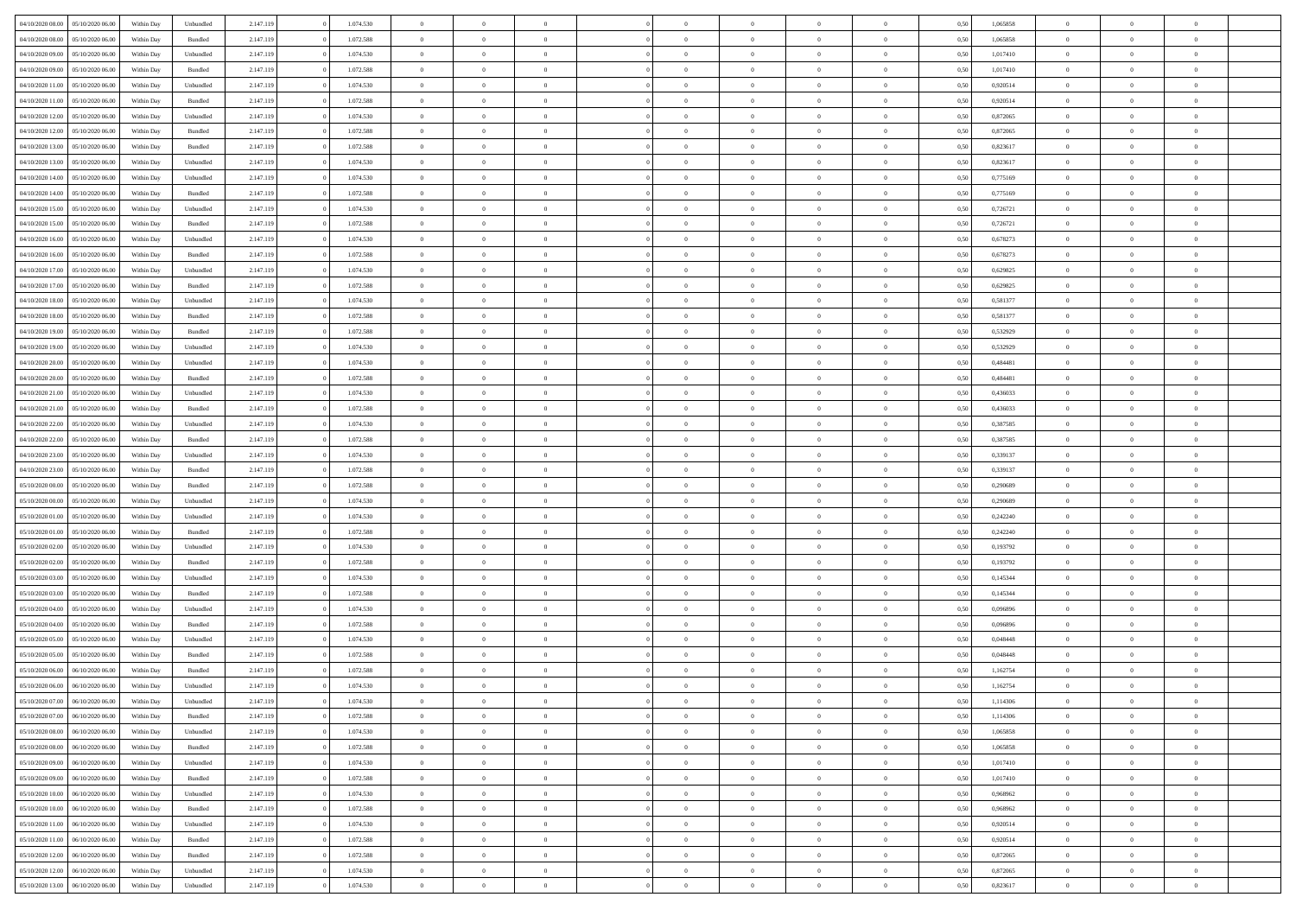| 04/10/2020 08:00 | 05/10/2020 06:00 | Within Dav | Unbundled | 2.147.119 | 1.074.530 | $\overline{0}$ | $\Omega$       |                | $\Omega$       | $\Omega$       | $\Omega$       | $\theta$       | 0.50 | 1,065858 | $\theta$       | $\theta$       | $\theta$       |  |
|------------------|------------------|------------|-----------|-----------|-----------|----------------|----------------|----------------|----------------|----------------|----------------|----------------|------|----------|----------------|----------------|----------------|--|
|                  |                  |            |           |           |           |                |                |                |                |                |                |                |      |          |                |                |                |  |
| 04/10/2020 08.00 | 05/10/2020 06.00 | Within Day | Bundled   | 2.147.119 | 1.072.588 | $\overline{0}$ | $\theta$       | $\overline{0}$ | $\overline{0}$ | $\bf{0}$       | $\overline{0}$ | $\bf{0}$       | 0,50 | 1,065858 | $\theta$       | $\overline{0}$ | $\overline{0}$ |  |
| 04/10/2020 09.00 | 05/10/2020 06.00 | Within Day | Unbundled | 2.147.119 | 1.074.530 | $\overline{0}$ | $\overline{0}$ | $\overline{0}$ | $\bf{0}$       | $\bf{0}$       | $\bf{0}$       | $\bf{0}$       | 0,50 | 1,017410 | $\bf{0}$       | $\overline{0}$ | $\overline{0}$ |  |
| 04/10/2020 09:00 | 05/10/2020 06:00 | Within Dav | Bundled   | 2.147.119 | 1.072.588 | $\overline{0}$ | $\overline{0}$ | $\overline{0}$ | $\overline{0}$ | $\bf{0}$       | $\overline{0}$ | $\overline{0}$ | 0.50 | 1,017410 | $\theta$       | $\theta$       | $\overline{0}$ |  |
| 04/10/2020 11:00 | 05/10/2020 06.00 | Within Day | Unbundled | 2.147.119 | 1.074.530 | $\overline{0}$ | $\theta$       | $\overline{0}$ | $\overline{0}$ | $\bf{0}$       | $\overline{0}$ | $\bf{0}$       | 0,50 | 0,920514 | $\theta$       | $\theta$       | $\overline{0}$ |  |
| 04/10/2020 11.00 | 05/10/2020 06.00 | Within Day | Bundled   | 2.147.119 | 1.072.588 | $\overline{0}$ | $\bf{0}$       | $\overline{0}$ | $\bf{0}$       | $\overline{0}$ | $\overline{0}$ | $\mathbf{0}$   | 0,50 | 0,920514 | $\overline{0}$ | $\overline{0}$ | $\bf{0}$       |  |
|                  |                  |            |           |           |           |                |                |                |                | $\overline{0}$ |                |                |      |          | $\theta$       | $\overline{0}$ | $\overline{0}$ |  |
| 04/10/2020 12:00 | 05/10/2020 06:00 | Within Dav | Unbundled | 2.147.119 | 1.074.530 | $\overline{0}$ | $\overline{0}$ | $\overline{0}$ | $\overline{0}$ |                | $\overline{0}$ | $\overline{0}$ | 0.50 | 0,872065 |                |                |                |  |
| 04/10/2020 12:00 | 05/10/2020 06.00 | Within Day | Bundled   | 2.147.119 | 1.072.588 | $\overline{0}$ | $\theta$       | $\overline{0}$ | $\overline{0}$ | $\bf{0}$       | $\overline{0}$ | $\bf{0}$       | 0,50 | 0,872065 | $\theta$       | $\theta$       | $\overline{0}$ |  |
| 04/10/2020 13:00 | 05/10/2020 06.00 | Within Day | Bundled   | 2.147.119 | 1.072.588 | $\overline{0}$ | $\overline{0}$ | $\overline{0}$ | $\bf{0}$       | $\bf{0}$       | $\bf{0}$       | $\bf{0}$       | 0,50 | 0,823617 | $\,0\,$        | $\overline{0}$ | $\overline{0}$ |  |
| 04/10/2020 13:00 | 05/10/2020 06.00 | Within Dav | Unbundled | 2.147.119 | 1.074.530 | $\overline{0}$ | $\overline{0}$ | $\overline{0}$ | $\overline{0}$ | $\overline{0}$ | $\overline{0}$ | $\overline{0}$ | 0.50 | 0,823617 | $\theta$       | $\overline{0}$ | $\overline{0}$ |  |
| 04/10/2020 14:00 | 05/10/2020 06.00 | Within Day | Unbundled | 2.147.119 | 1.074.530 | $\overline{0}$ | $\theta$       | $\overline{0}$ | $\overline{0}$ | $\bf{0}$       | $\overline{0}$ | $\bf{0}$       | 0,50 | 0,775169 | $\,$ 0 $\,$    | $\theta$       | $\overline{0}$ |  |
| 04/10/2020 14:00 | 05/10/2020 06.00 | Within Day | Bundled   | 2.147.119 | 1.072.588 | $\overline{0}$ | $\overline{0}$ | $\overline{0}$ | $\bf{0}$       | $\bf{0}$       | $\bf{0}$       | $\bf{0}$       | 0,50 | 0,775169 | $\bf{0}$       | $\overline{0}$ | $\overline{0}$ |  |
| 04/10/2020 15:00 | 05/10/2020 06:00 | Within Day | Unbundled | 2.147.119 | 1.074.530 | $\overline{0}$ | $\overline{0}$ | $\overline{0}$ | $\overline{0}$ | $\bf{0}$       | $\overline{0}$ | $\overline{0}$ | 0.50 | 0,726721 | $\theta$       | $\theta$       | $\overline{0}$ |  |
|                  |                  |            |           |           |           | $\overline{0}$ | $\theta$       |                |                |                |                |                |      |          | $\theta$       |                |                |  |
| 04/10/2020 15:00 | 05/10/2020 06.00 | Within Day | Bundled   | 2.147.119 | 1.072.588 |                |                | $\overline{0}$ | $\overline{0}$ | $\bf{0}$       | $\overline{0}$ | $\bf{0}$       | 0,50 | 0,726721 |                | $\theta$       | $\overline{0}$ |  |
| 04/10/2020 16.00 | 05/10/2020 06.00 | Within Day | Unbundled | 2.147.119 | 1.074.530 | $\overline{0}$ | $\bf{0}$       | $\overline{0}$ | $\bf{0}$       | $\overline{0}$ | $\overline{0}$ | $\mathbf{0}$   | 0,50 | 0,678273 | $\bf{0}$       | $\overline{0}$ | $\bf{0}$       |  |
| 04/10/2020 16:00 | 05/10/2020 06:00 | Within Dav | Bundled   | 2.147.119 | 1.072.588 | $\overline{0}$ | $\overline{0}$ | $\overline{0}$ | $\overline{0}$ | $\overline{0}$ | $\overline{0}$ | $\overline{0}$ | 0.50 | 0,678273 | $\theta$       | $\overline{0}$ | $\overline{0}$ |  |
| 04/10/2020 17.00 | 05/10/2020 06.00 | Within Day | Unbundled | 2.147.119 | 1.074.530 | $\overline{0}$ | $\theta$       | $\overline{0}$ | $\overline{0}$ | $\bf{0}$       | $\overline{0}$ | $\bf{0}$       | 0,50 | 0,629825 | $\theta$       | $\theta$       | $\overline{0}$ |  |
| 04/10/2020 17.00 | 05/10/2020 06.00 | Within Day | Bundled   | 2.147.119 | 1.072.588 | $\overline{0}$ | $\overline{0}$ | $\overline{0}$ | $\bf{0}$       | $\bf{0}$       | $\bf{0}$       | $\bf{0}$       | 0,50 | 0,629825 | $\,0\,$        | $\overline{0}$ | $\overline{0}$ |  |
| 04/10/2020 18:00 | 05/10/2020 06:00 | Within Day | Unbundled | 2.147.119 | 1.074.530 | $\overline{0}$ | $\overline{0}$ | $\overline{0}$ | $\overline{0}$ | $\overline{0}$ | $\overline{0}$ | $\overline{0}$ | 0.50 | 0,581377 | $\theta$       | $\overline{0}$ | $\overline{0}$ |  |
| 04/10/2020 18.00 | 05/10/2020 06.00 | Within Day | Bundled   | 2.147.119 | 1.072.588 | $\overline{0}$ | $\theta$       | $\overline{0}$ | $\overline{0}$ | $\bf{0}$       | $\overline{0}$ | $\bf{0}$       | 0,50 | 0,581377 | $\,$ 0 $\,$    | $\theta$       | $\overline{0}$ |  |
|                  |                  |            |           |           |           |                |                |                |                |                |                |                |      |          |                |                |                |  |
| 04/10/2020 19.00 | 05/10/2020 06.00 | Within Day | Bundled   | 2.147.119 | 1.072.588 | $\overline{0}$ | $\overline{0}$ | $\overline{0}$ | $\bf{0}$       | $\bf{0}$       | $\bf{0}$       | $\bf{0}$       | 0,50 | 0,532929 | $\,0\,$        | $\overline{0}$ | $\overline{0}$ |  |
| 04/10/2020 19:00 | 05/10/2020 06:00 | Within Day | Unbundled | 2.147.119 | 1.074.530 | $\overline{0}$ | $\overline{0}$ | $\overline{0}$ | $\overline{0}$ | $\bf{0}$       | $\overline{0}$ | $\overline{0}$ | 0.50 | 0.532929 | $\theta$       | $\theta$       | $\overline{0}$ |  |
| 04/10/2020 20.00 | 05/10/2020 06.00 | Within Day | Unbundled | 2.147.119 | 1.074.530 | $\overline{0}$ | $\theta$       | $\overline{0}$ | $\overline{0}$ | $\bf{0}$       | $\overline{0}$ | $\bf{0}$       | 0,50 | 0,484481 | $\theta$       | $\overline{0}$ | $\overline{0}$ |  |
| 04/10/2020 20.00 | 05/10/2020 06.00 | Within Day | Bundled   | 2.147.119 | 1.072.588 | $\overline{0}$ | $\bf{0}$       | $\overline{0}$ | $\bf{0}$       | $\overline{0}$ | $\overline{0}$ | $\mathbf{0}$   | 0,50 | 0,484481 | $\bf{0}$       | $\overline{0}$ | $\bf{0}$       |  |
| 04/10/2020 21:00 | 05/10/2020 06:00 | Within Dav | Unbundled | 2.147.119 | 1.074.530 | $\overline{0}$ | $\overline{0}$ | $\overline{0}$ | $\overline{0}$ | $\overline{0}$ | $\overline{0}$ | $\overline{0}$ | 0.50 | 0,436033 | $\theta$       | $\overline{0}$ | $\overline{0}$ |  |
| 04/10/2020 21.00 | 05/10/2020 06.00 | Within Day | Bundled   | 2.147.119 | 1.072.588 | $\overline{0}$ | $\theta$       | $\overline{0}$ | $\overline{0}$ | $\bf{0}$       | $\overline{0}$ | $\bf{0}$       | 0,50 | 0,436033 | $\theta$       | $\theta$       | $\overline{0}$ |  |
| 04/10/2020 22.00 | 05/10/2020 06.00 | Within Day | Unbundled | 2.147.119 | 1.074.530 | $\overline{0}$ | $\overline{0}$ | $\overline{0}$ | $\bf{0}$       | $\bf{0}$       | $\bf{0}$       | $\bf{0}$       | 0,50 | 0,387585 | $\,0\,$        | $\overline{0}$ | $\overline{0}$ |  |
|                  | 05/10/2020 06:00 |            | Bundled   |           | 1.072.588 | $\overline{0}$ | $\overline{0}$ | $\overline{0}$ | $\overline{0}$ | $\overline{0}$ | $\overline{0}$ | $\overline{0}$ | 0.50 | 0,387585 | $\theta$       | $\overline{0}$ | $\overline{0}$ |  |
| 04/10/2020 22.00 |                  | Within Day |           | 2.147.119 |           |                |                |                |                |                |                |                |      |          |                |                |                |  |
| 04/10/2020 23.00 | 05/10/2020 06.00 | Within Day | Unbundled | 2.147.119 | 1.074.530 | $\overline{0}$ | $\theta$       | $\overline{0}$ | $\overline{0}$ | $\bf{0}$       | $\overline{0}$ | $\bf{0}$       | 0,50 | 0,339137 | $\,$ 0 $\,$    | $\overline{0}$ | $\overline{0}$ |  |
| 04/10/2020 23.00 | 05/10/2020 06.00 | Within Day | Bundled   | 2.147.119 | 1.072.588 | $\overline{0}$ | $\overline{0}$ | $\overline{0}$ | $\bf{0}$       | $\bf{0}$       | $\bf{0}$       | $\bf{0}$       | 0,50 | 0,339137 | $\bf{0}$       | $\overline{0}$ | $\overline{0}$ |  |
| 05/10/2020 00:00 | 05/10/2020 06.00 | Within Day | Bundled   | 2.147.119 | 1.072.588 | $\overline{0}$ | $\Omega$       | $\Omega$       | $\Omega$       | $\Omega$       | $\overline{0}$ | $\overline{0}$ | 0.50 | 0,290689 | $\,0\,$        | $\theta$       | $\theta$       |  |
| 05/10/2020 00.00 | 05/10/2020 06.00 | Within Day | Unbundled | 2.147.119 | 1.074.530 | $\overline{0}$ | $\theta$       | $\overline{0}$ | $\overline{0}$ | $\bf{0}$       | $\overline{0}$ | $\bf{0}$       | 0,50 | 0,290689 | $\theta$       | $\theta$       | $\overline{0}$ |  |
| 05/10/2020 01.00 | 05/10/2020 06.00 | Within Day | Unbundled | 2.147.119 | 1.074.530 | $\overline{0}$ | $\overline{0}$ | $\overline{0}$ | $\bf{0}$       | $\bf{0}$       | $\overline{0}$ | $\mathbf{0}$   | 0,50 | 0,242240 | $\overline{0}$ | $\overline{0}$ | $\bf{0}$       |  |
| 05/10/2020 01:00 | 05/10/2020 06:00 | Within Day | Bundled   | 2.147.119 | 1.072.588 | $\overline{0}$ | $\Omega$       | $\Omega$       | $\Omega$       | $\bf{0}$       | $\overline{0}$ | $\overline{0}$ | 0.50 | 0,242240 | $\,0\,$        | $\theta$       | $\theta$       |  |
| 05/10/2020 02.00 | 05/10/2020 06.00 | Within Day | Unbundled | 2.147.119 | 1.074.530 | $\overline{0}$ | $\theta$       | $\overline{0}$ | $\overline{0}$ | $\bf{0}$       | $\overline{0}$ | $\bf{0}$       | 0,50 | 0,193792 | $\,$ 0 $\,$    | $\theta$       | $\overline{0}$ |  |
|                  |                  |            |           |           |           |                |                |                |                |                |                |                |      |          |                |                |                |  |
| 05/10/2020 02.00 | 05/10/2020 06.00 | Within Day | Bundled   | 2.147.119 | 1.072.588 | $\overline{0}$ | $\overline{0}$ | $\overline{0}$ | $\bf{0}$       | $\bf{0}$       | $\bf{0}$       | $\bf{0}$       | 0,50 | 0,193792 | $\,0\,$        | $\overline{0}$ | $\overline{0}$ |  |
| 05/10/2020 03.00 | 05/10/2020 06:00 | Within Day | Unbundled | 2.147.119 | 1.074.530 | $\overline{0}$ | $\Omega$       | $\Omega$       | $\Omega$       | $\theta$       | $\theta$       | $\overline{0}$ | 0.50 | 0,145344 | $\,0\,$        | $\theta$       | $\theta$       |  |
| 05/10/2020 03.00 | 05/10/2020 06.00 | Within Day | Bundled   | 2.147.119 | 1.072.588 | $\overline{0}$ | $\theta$       | $\overline{0}$ | $\overline{0}$ | $\bf{0}$       | $\overline{0}$ | $\bf{0}$       | 0,50 | 0,145344 | $\,$ 0 $\,$    | $\overline{0}$ | $\overline{0}$ |  |
| 05/10/2020 04.00 | 05/10/2020 06.00 | Within Day | Unbundled | 2.147.119 | 1.074.530 | $\overline{0}$ | $\overline{0}$ | $\overline{0}$ | $\bf{0}$       | $\bf{0}$       | $\bf{0}$       | $\bf{0}$       | 0,50 | 0,096896 | $\overline{0}$ | $\overline{0}$ | $\overline{0}$ |  |
| 05/10/2020 04:00 | 05/10/2020 06.00 | Within Day | Bundled   | 2.147.119 | 1.072.588 | $\overline{0}$ | $\Omega$       | $\overline{0}$ | $\Omega$       | $\Omega$       | $\overline{0}$ | $\overline{0}$ | 0.50 | 0.096896 | $\,0\,$        | $\theta$       | $\theta$       |  |
| 05/10/2020 05:00 | 05/10/2020 06.00 | Within Day | Unbundled | 2.147.119 | 1.074.530 | $\overline{0}$ | $\theta$       | $\overline{0}$ | $\overline{0}$ | $\bf{0}$       | $\overline{0}$ | $\bf{0}$       | 0,50 | 0,048448 | $\,$ 0 $\,$    | $\overline{0}$ | $\overline{0}$ |  |
| 05/10/2020 05.00 | 05/10/2020 06.00 | Within Day | Bundled   | 2.147.119 | 1.072.588 | $\overline{0}$ | $\overline{0}$ | $\overline{0}$ | $\overline{0}$ | $\bf{0}$       | $\overline{0}$ | $\mathbf{0}$   | 0,50 | 0,048448 | $\overline{0}$ | $\overline{0}$ | $\bf{0}$       |  |
| 05/10/2020 06.00 | 06/10/2020 06:00 | Within Day | Bundled   | 2.147.119 | 1.072.588 | $\overline{0}$ | $\Omega$       | $\Omega$       | $\Omega$       | $\Omega$       | $\Omega$       | $\overline{0}$ | 0.50 | 1,162754 | $\theta$       | $\theta$       | $\theta$       |  |
| 05/10/2020 06.00 | 06/10/2020 06.00 | Within Day | Unbundled | 2.147.119 | 1.074.530 | $\overline{0}$ | $\,$ 0 $\,$    | $\overline{0}$ | $\bf{0}$       | $\,$ 0         | $\overline{0}$ | $\bf{0}$       | 0,50 | 1,162754 | $\,0\,$        | $\overline{0}$ | $\overline{0}$ |  |
|                  |                  |            |           |           |           |                |                |                |                |                |                |                |      |          |                |                |                |  |
| 05/10/2020 07:00 | 06/10/2020 06:00 | Within Day | Unbundled | 2.147.119 | 1.074.530 | $\bf{0}$       | $\bf{0}$       |                |                |                |                |                | 0,50 | 1,114306 | $\bf{0}$       | $\overline{0}$ |                |  |
| 05/10/2020 07.00 | 06/10/2020 06:00 | Within Day | Bundled   | 2.147.119 | 1.072.588 | $\overline{0}$ | $\overline{0}$ | $\overline{0}$ | $\Omega$       | $\overline{0}$ | $\overline{0}$ | $\overline{0}$ | 0,50 | 1,114306 | $\theta$       | $\theta$       | $\theta$       |  |
| 05/10/2020 08:00 | 06/10/2020 06.00 | Within Day | Unbundled | 2.147.119 | 1.074.530 | $\overline{0}$ | $\,$ 0         | $\overline{0}$ | $\overline{0}$ | $\,$ 0 $\,$    | $\overline{0}$ | $\mathbf{0}$   | 0,50 | 1,065858 | $\,$ 0 $\,$    | $\,$ 0 $\,$    | $\,$ 0         |  |
| 05/10/2020 08:00 | 06/10/2020 06.00 | Within Day | Bundled   | 2.147.119 | 1.072.588 | $\overline{0}$ | $\overline{0}$ | $\overline{0}$ | $\overline{0}$ | $\overline{0}$ | $\overline{0}$ | $\mathbf{0}$   | 0,50 | 1,065858 | $\overline{0}$ | $\bf{0}$       | $\bf{0}$       |  |
| 05/10/2020 09:00 | 06/10/2020 06.00 | Within Day | Unbundled | 2.147.119 | 1.074.530 | $\overline{0}$ | $\overline{0}$ | $\overline{0}$ | $\Omega$       | $\overline{0}$ | $\overline{0}$ | $\overline{0}$ | 0,50 | 1,017410 | $\overline{0}$ | $\theta$       | $\overline{0}$ |  |
| 05/10/2020 09:00 | 06/10/2020 06.00 | Within Day | Bundled   | 2.147.119 | 1.072.588 | $\overline{0}$ | $\,$ 0         | $\overline{0}$ | $\overline{0}$ | $\,$ 0 $\,$    | $\overline{0}$ | $\mathbf{0}$   | 0,50 | 1,017410 | $\,$ 0 $\,$    | $\overline{0}$ | $\overline{0}$ |  |
| 05/10/2020 10:00 | 06/10/2020 06.00 | Within Day | Unbundled | 2.147.119 | 1.074.530 | $\overline{0}$ | $\overline{0}$ | $\overline{0}$ | $\overline{0}$ | $\overline{0}$ | $\overline{0}$ | $\mathbf{0}$   | 0,50 | 0,968962 | $\overline{0}$ | $\overline{0}$ | $\bf{0}$       |  |
|                  |                  |            |           |           |           |                |                |                |                |                |                |                |      |          |                |                |                |  |
| 05/10/2020 10:00 | 06/10/2020 06:00 | Within Day | Bundled   | 2.147.119 | 1.072.588 | $\overline{0}$ | $\overline{0}$ | $\overline{0}$ | $\Omega$       | $\overline{0}$ | $\overline{0}$ | $\bf{0}$       | 0.50 | 0,968962 | $\overline{0}$ | $\theta$       | $\overline{0}$ |  |
| 05/10/2020 11:00 | 06/10/2020 06.00 | Within Day | Unbundled | 2.147.119 | 1.074.530 | $\overline{0}$ | $\,$ 0         | $\overline{0}$ | $\overline{0}$ | $\bf{0}$       | $\overline{0}$ | $\bf{0}$       | 0,50 | 0,920514 | $\,$ 0 $\,$    | $\overline{0}$ | $\overline{0}$ |  |
| 05/10/2020 11:00 | 06/10/2020 06.00 | Within Day | Bundled   | 2.147.119 | 1.072.588 | $\overline{0}$ | $\bf{0}$       | $\overline{0}$ | $\overline{0}$ | $\overline{0}$ | $\overline{0}$ | $\mathbf{0}$   | 0,50 | 0,920514 | $\overline{0}$ | $\overline{0}$ | $\bf{0}$       |  |
| 05/10/2020 12:00 | 06/10/2020 06:00 | Within Day | Bundled   | 2.147.119 | 1.072.588 | $\overline{0}$ | $\overline{0}$ | $\overline{0}$ | $\Omega$       | $\overline{0}$ | $\overline{0}$ | $\bf{0}$       | 0,50 | 0,872065 | $\overline{0}$ | $\theta$       | $\overline{0}$ |  |
| 05/10/2020 12:00 | 06/10/2020 06.00 | Within Day | Unbundled | 2.147.119 | 1.074.530 | $\overline{0}$ | $\bf{0}$       | $\overline{0}$ | $\bf{0}$       | $\bf{0}$       | $\bf{0}$       | $\mathbf{0}$   | 0,50 | 0,872065 | $\,$ 0 $\,$    | $\,$ 0 $\,$    | $\bf{0}$       |  |
| 05/10/2020 13:00 | 06/10/2020 06.00 | Within Day | Unbundled | 2.147.119 | 1.074.530 | $\overline{0}$ | $\overline{0}$ | $\overline{0}$ | $\overline{0}$ | $\bf{0}$       | $\bf{0}$       | $\mathbf{0}$   | 0,50 | 0,823617 | $\overline{0}$ | $\bf{0}$       | $\bf{0}$       |  |
|                  |                  |            |           |           |           |                |                |                |                |                |                |                |      |          |                |                |                |  |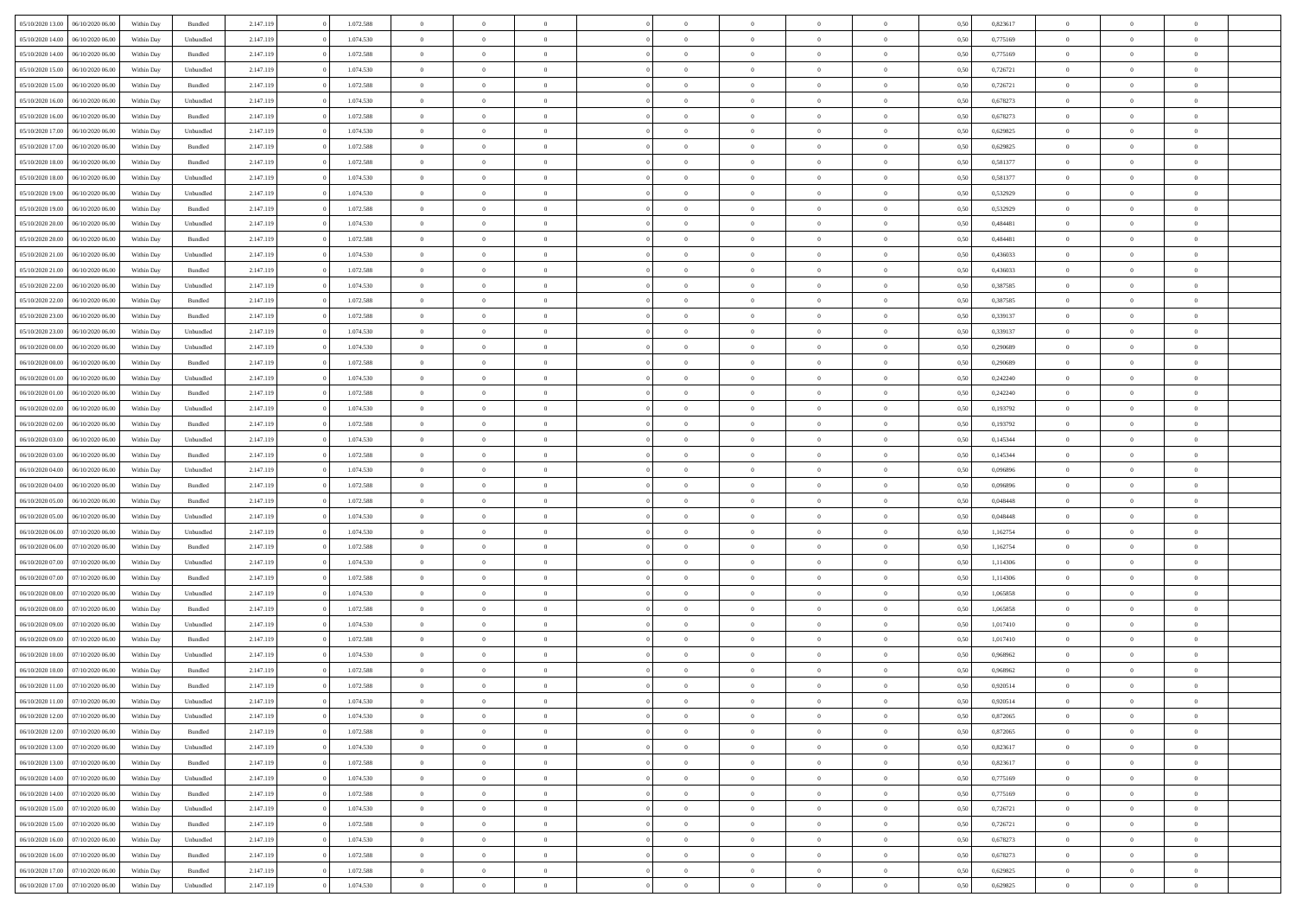| 05/10/2020 13:00                  | 06/10/2020 06:00 | Within Dav | Bundled            | 2.147.119 | 1.072.588 | $\overline{0}$ | $\Omega$       |                | $\Omega$       | $\Omega$       | $\theta$       | $\theta$       | 0.50 | 0,823617 | $\theta$       | $\theta$       | $\overline{0}$ |  |
|-----------------------------------|------------------|------------|--------------------|-----------|-----------|----------------|----------------|----------------|----------------|----------------|----------------|----------------|------|----------|----------------|----------------|----------------|--|
|                                   |                  |            |                    |           |           |                |                |                |                |                |                |                |      |          |                |                |                |  |
| 05/10/2020 14:00                  | 06/10/2020 06.00 | Within Day | Unbundled          | 2.147.119 | 1.074.530 | $\overline{0}$ | $\theta$       | $\overline{0}$ | $\overline{0}$ | $\bf{0}$       | $\overline{0}$ | $\bf{0}$       | 0,50 | 0,775169 | $\theta$       | $\overline{0}$ | $\overline{0}$ |  |
| 05/10/2020 14:00                  | 06/10/2020 06.00 | Within Day | Bundled            | 2.147.119 | 1.072.588 | $\overline{0}$ | $\bf{0}$       | $\overline{0}$ | $\bf{0}$       | $\bf{0}$       | $\bf{0}$       | $\mathbf{0}$   | 0,50 | 0,775169 | $\bf{0}$       | $\overline{0}$ | $\overline{0}$ |  |
| 05/10/2020 15:00                  | 06/10/2020 06:00 | Within Dav | Unbundled          | 2.147.119 | 1.074.530 | $\overline{0}$ | $\overline{0}$ | $\overline{0}$ | $\overline{0}$ | $\bf{0}$       | $\overline{0}$ | $\overline{0}$ | 0.50 | 0,726721 | $\theta$       | $\theta$       | $\overline{0}$ |  |
| 05/10/2020 15:00                  | 06/10/2020 06.00 | Within Day | Bundled            | 2.147.119 | 1.072.588 | $\overline{0}$ | $\theta$       | $\overline{0}$ | $\overline{0}$ | $\bf{0}$       | $\overline{0}$ | $\bf{0}$       | 0,50 | 0,726721 | $\,$ 0 $\,$    | $\overline{0}$ | $\overline{0}$ |  |
| 05/10/2020 16:00                  | 06/10/2020 06.00 | Within Day | Unbundled          | 2.147.119 | 1.074.530 | $\overline{0}$ | $\overline{0}$ | $\overline{0}$ | $\bf{0}$       | $\overline{0}$ | $\overline{0}$ | $\mathbf{0}$   | 0,50 | 0,678273 | $\bf{0}$       | $\overline{0}$ | $\bf{0}$       |  |
|                                   |                  |            |                    |           |           |                | $\overline{0}$ |                |                | $\overline{0}$ |                |                |      |          | $\theta$       | $\overline{0}$ | $\overline{0}$ |  |
| 05/10/2020 16:00                  | 06/10/2020 06.00 | Within Dav | Bundled            | 2.147.119 | 1.072.588 | $\overline{0}$ |                | $\overline{0}$ | $\overline{0}$ |                | $\overline{0}$ | $\overline{0}$ | 0.50 | 0,678273 |                |                |                |  |
| 05/10/2020 17.00                  | 06/10/2020 06.00 | Within Day | Unbundled          | 2.147.119 | 1.074.530 | $\overline{0}$ | $\theta$       | $\overline{0}$ | $\overline{0}$ | $\bf{0}$       | $\overline{0}$ | $\bf{0}$       | 0,50 | 0,629825 | $\theta$       | $\theta$       | $\overline{0}$ |  |
| 05/10/2020 17:00                  | 06/10/2020 06.00 | Within Day | Bundled            | 2.147.119 | 1.072.588 | $\overline{0}$ | $\overline{0}$ | $\overline{0}$ | $\bf{0}$       | $\bf{0}$       | $\bf{0}$       | $\bf{0}$       | 0,50 | 0,629825 | $\,0\,$        | $\overline{0}$ | $\overline{0}$ |  |
| 05/10/2020 18:00                  | 06/10/2020 06:00 | Within Dav | Bundled            | 2.147.119 | 1.072.588 | $\overline{0}$ | $\overline{0}$ | $\overline{0}$ | $\overline{0}$ | $\overline{0}$ | $\overline{0}$ | $\overline{0}$ | 0.50 | 0,581377 | $\theta$       | $\overline{0}$ | $\overline{0}$ |  |
| 05/10/2020 18:00                  | 06/10/2020 06.00 | Within Day | Unbundled          | 2.147.119 | 1.074.530 | $\overline{0}$ | $\theta$       | $\overline{0}$ | $\overline{0}$ | $\bf{0}$       | $\overline{0}$ | $\bf{0}$       | 0,50 | 0,581377 | $\,$ 0 $\,$    | $\overline{0}$ | $\overline{0}$ |  |
| 05/10/2020 19:00                  | 06/10/2020 06.00 | Within Day | Unbundled          | 2.147.119 | 1.074.530 | $\overline{0}$ | $\overline{0}$ | $\overline{0}$ | $\bf{0}$       | $\bf{0}$       | $\bf{0}$       | $\bf{0}$       | 0,50 | 0,532929 | $\bf{0}$       | $\overline{0}$ | $\bf{0}$       |  |
| 05/10/2020 19:00                  | 06/10/2020 06:00 | Within Day | Bundled            | 2.147.119 | 1.072.588 | $\overline{0}$ | $\overline{0}$ | $\overline{0}$ | $\overline{0}$ | $\bf{0}$       | $\overline{0}$ | $\overline{0}$ | 0.50 | 0,532929 | $\theta$       | $\theta$       | $\overline{0}$ |  |
| 05/10/2020 20.00                  | 06/10/2020 06.00 |            |                    | 2.147.119 | 1.074.530 | $\overline{0}$ | $\theta$       | $\overline{0}$ | $\overline{0}$ | $\bf{0}$       | $\overline{0}$ |                |      | 0,484481 | $\theta$       | $\overline{0}$ | $\overline{0}$ |  |
|                                   |                  | Within Day | Unbundled          |           |           |                |                |                |                |                |                | $\bf{0}$       | 0,50 |          |                |                |                |  |
| 05/10/2020 20.00                  | 06/10/2020 06.00 | Within Day | Bundled            | 2.147.119 | 1.072.588 | $\overline{0}$ | $\overline{0}$ | $\overline{0}$ | $\bf{0}$       | $\overline{0}$ | $\overline{0}$ | $\mathbf{0}$   | 0,50 | 0,484481 | $\bf{0}$       | $\overline{0}$ | $\bf{0}$       |  |
| 05/10/2020 21.00                  | 06/10/2020 06:00 | Within Dav | Unbundled          | 2.147.119 | 1.074.530 | $\overline{0}$ | $\overline{0}$ | $\overline{0}$ | $\overline{0}$ | $\overline{0}$ | $\overline{0}$ | $\overline{0}$ | 0.50 | 0,436033 | $\theta$       | $\overline{0}$ | $\overline{0}$ |  |
| 05/10/2020 21.00                  | 06/10/2020 06.00 | Within Day | Bundled            | 2.147.119 | 1.072.588 | $\overline{0}$ | $\theta$       | $\overline{0}$ | $\overline{0}$ | $\bf{0}$       | $\overline{0}$ | $\bf{0}$       | 0,50 | 0,436033 | $\theta$       | $\theta$       | $\overline{0}$ |  |
| 05/10/2020 22.00                  | 06/10/2020 06.00 | Within Day | Unbundled          | 2.147.119 | 1.074.530 | $\overline{0}$ | $\overline{0}$ | $\overline{0}$ | $\bf{0}$       | $\bf{0}$       | $\bf{0}$       | $\bf{0}$       | 0,50 | 0,387585 | $\bf{0}$       | $\overline{0}$ | $\overline{0}$ |  |
| 05/10/2020 22.00                  | 06/10/2020 06:00 | Within Day | Bundled            | 2.147.119 | 1.072.588 | $\overline{0}$ | $\overline{0}$ | $\overline{0}$ | $\overline{0}$ | $\overline{0}$ | $\overline{0}$ | $\overline{0}$ | 0.50 | 0,387585 | $\theta$       | $\overline{0}$ | $\overline{0}$ |  |
| 05/10/2020 23.00                  | 06/10/2020 06.00 | Within Day | Bundled            | 2.147.119 | 1.072.588 | $\overline{0}$ | $\theta$       | $\overline{0}$ | $\overline{0}$ | $\bf{0}$       | $\overline{0}$ | $\bf{0}$       | 0,50 | 0,339137 | $\,$ 0 $\,$    | $\overline{0}$ | $\overline{0}$ |  |
| 05/10/2020 23.00                  | 06/10/2020 06.00 | Within Day | Unbundled          | 2.147.119 | 1.074.530 | $\overline{0}$ | $\overline{0}$ | $\overline{0}$ | $\bf{0}$       | $\bf{0}$       | $\bf{0}$       | $\bf{0}$       | 0,50 | 0,339137 | $\overline{0}$ | $\overline{0}$ | $\bf{0}$       |  |
| 06/10/2020 00:00                  | 06/10/2020 06:00 | Within Day | Unbundled          | 2.147.119 | 1.074.530 | $\overline{0}$ | $\overline{0}$ | $\overline{0}$ | $\overline{0}$ | $\bf{0}$       | $\overline{0}$ | $\overline{0}$ | 0.50 | 0.290689 | $\theta$       | $\overline{0}$ | $\overline{0}$ |  |
|                                   |                  |            |                    |           |           |                |                |                |                |                |                |                |      |          |                |                |                |  |
| 06/10/2020 00:00                  | 06/10/2020 06.00 | Within Day | Bundled            | 2.147.119 | 1.072.588 | $\overline{0}$ | $\theta$       | $\overline{0}$ | $\overline{0}$ | $\bf{0}$       | $\overline{0}$ | $\bf{0}$       | 0,50 | 0,290689 | $\,$ 0 $\,$    | $\overline{0}$ | $\overline{0}$ |  |
| 06/10/2020 01:00                  | 06/10/2020 06.00 | Within Day | Unbundled          | 2.147.119 | 1.074.530 | $\overline{0}$ | $\overline{0}$ | $\overline{0}$ | $\overline{0}$ | $\overline{0}$ | $\overline{0}$ | $\mathbf{0}$   | 0,50 | 0,242240 | $\overline{0}$ | $\overline{0}$ | $\bf{0}$       |  |
| 06/10/2020 01:00                  | 06/10/2020 06.00 | Within Dav | Bundled            | 2.147.119 | 1.072.588 | $\overline{0}$ | $\overline{0}$ | $\overline{0}$ | $\overline{0}$ | $\overline{0}$ | $\overline{0}$ | $\overline{0}$ | 0.50 | 0,242240 | $\theta$       | $\overline{0}$ | $\overline{0}$ |  |
| 06/10/2020 02.00                  | 06/10/2020 06.00 | Within Day | Unbundled          | 2.147.119 | 1.074.530 | $\overline{0}$ | $\theta$       | $\overline{0}$ | $\overline{0}$ | $\bf{0}$       | $\overline{0}$ | $\bf{0}$       | 0,50 | 0,193792 | $\theta$       | $\theta$       | $\overline{0}$ |  |
| 06/10/2020 02.00                  | 06/10/2020 06.00 | Within Day | Bundled            | 2.147.119 | 1.072.588 | $\overline{0}$ | $\overline{0}$ | $\overline{0}$ | $\overline{0}$ | $\bf{0}$       | $\overline{0}$ | $\bf{0}$       | 0,50 | 0,193792 | $\,0\,$        | $\overline{0}$ | $\overline{0}$ |  |
| 06/10/2020 03:00                  | 06/10/2020 06:00 | Within Day | Unbundled          | 2.147.119 | 1.074.530 | $\overline{0}$ | $\overline{0}$ | $\overline{0}$ | $\overline{0}$ | $\overline{0}$ | $\overline{0}$ | $\overline{0}$ | 0.50 | 0,145344 | $\theta$       | $\overline{0}$ | $\overline{0}$ |  |
| 06/10/2020 03:00                  | 06/10/2020 06.00 | Within Day | Bundled            | 2.147.119 | 1.072.588 | $\overline{0}$ | $\theta$       | $\overline{0}$ | $\overline{0}$ | $\bf{0}$       | $\overline{0}$ | $\bf{0}$       | 0,50 | 0,145344 | $\,$ 0 $\,$    | $\overline{0}$ | $\overline{0}$ |  |
|                                   |                  |            |                    |           |           |                | $\overline{0}$ |                |                | $\bf{0}$       |                |                |      |          |                | $\overline{0}$ | $\bf{0}$       |  |
| 06/10/2020 04.00                  | 06/10/2020 06.00 | Within Day | Unbundled          | 2.147.119 | 1.074.530 | $\overline{0}$ |                | $\overline{0}$ | $\overline{0}$ |                | $\overline{0}$ | $\bf{0}$       | 0,50 | 0,096896 | $\overline{0}$ |                |                |  |
| 06/10/2020 04:00                  | 06/10/2020 06:00 | Within Day | Bundled            | 2.147.119 | 1.072.588 | $\overline{0}$ | $\Omega$       | $\Omega$       | $\Omega$       | $\Omega$       | $\overline{0}$ | $\overline{0}$ | 0,50 | 0.096896 | $\,0\,$        | $\theta$       | $\theta$       |  |
| 06/10/2020 05:00                  | 06/10/2020 06.00 | Within Day | Bundled            | 2.147.119 | 1.072.588 | $\overline{0}$ | $\theta$       | $\overline{0}$ | $\overline{0}$ | $\bf{0}$       | $\overline{0}$ | $\bf{0}$       | 0,50 | 0,048448 | $\theta$       | $\overline{0}$ | $\overline{0}$ |  |
| 06/10/2020 05.00                  | 06/10/2020 06.00 | Within Day | Unbundled          | 2.147.119 | 1.074.530 | $\overline{0}$ | $\overline{0}$ | $\overline{0}$ | $\overline{0}$ | $\overline{0}$ | $\overline{0}$ | $\mathbf{0}$   | 0,50 | 0,048448 | $\overline{0}$ | $\overline{0}$ | $\bf{0}$       |  |
| 06/10/2020 06:00                  | 07/10/2020 06.00 | Within Day | Unbundled          | 2.147.119 | 1.074.530 | $\overline{0}$ | $\Omega$       | $\Omega$       | $\Omega$       | $\bf{0}$       | $\overline{0}$ | $\overline{0}$ | 0.50 | 1,162754 | $\,0\,$        | $\theta$       | $\theta$       |  |
| 06/10/2020 06.00                  | 07/10/2020 06.00 | Within Day | Bundled            | 2.147.119 | 1.072.588 | $\overline{0}$ | $\theta$       | $\overline{0}$ | $\overline{0}$ | $\bf{0}$       | $\overline{0}$ | $\bf{0}$       | 0,50 | 1,162754 | $\,$ 0 $\,$    | $\overline{0}$ | $\overline{0}$ |  |
| 06/10/2020 07.00                  | 07/10/2020 06.00 | Within Day | Unbundled          | 2.147.119 | 1.074.530 | $\overline{0}$ | $\overline{0}$ | $\overline{0}$ | $\overline{0}$ | $\bf{0}$       | $\overline{0}$ | $\bf{0}$       | 0,50 | 1,114306 | $\bf{0}$       | $\overline{0}$ | $\overline{0}$ |  |
| 06/10/2020 07.00                  | 07/10/2020 06.00 | Within Day | Bundled            | 2.147.119 | 1.072.588 | $\overline{0}$ | $\Omega$       | $\Omega$       | $\Omega$       | $\theta$       | $\overline{0}$ | $\overline{0}$ | 0.50 | 1,114306 | $\,$ 0 $\,$    | $\theta$       | $\theta$       |  |
| 06/10/2020 08:00                  | 07/10/2020 06.00 | Within Day | Unbundled          | 2.147.119 | 1.074.530 | $\overline{0}$ | $\theta$       | $\overline{0}$ | $\overline{0}$ | $\bf{0}$       | $\overline{0}$ | $\bf{0}$       | 0,50 | 1,065858 | $\,$ 0 $\,$    | $\overline{0}$ | $\overline{0}$ |  |
|                                   |                  |            |                    |           |           |                |                |                |                |                |                |                |      |          |                |                |                |  |
| 06/10/2020 08.00                  | 07/10/2020 06.00 | Within Day | Bundled            | 2.147.119 | 1.072.588 | $\overline{0}$ | $\bf{0}$       | $\overline{0}$ | $\bf{0}$       | $\bf{0}$       | $\bf{0}$       | $\bf{0}$       | 0,50 | 1,065858 | $\overline{0}$ | $\overline{0}$ | $\bf{0}$       |  |
| 06/10/2020 09:00                  | 07/10/2020 06.00 | Within Day | Unbundled          | 2.147.119 | 1.074.530 | $\overline{0}$ | $\Omega$       | $\overline{0}$ | $\Omega$       | $\overline{0}$ | $\overline{0}$ | $\overline{0}$ | 0,50 | 1,017410 | $\,0\,$        | $\theta$       | $\theta$       |  |
| 06/10/2020 09:00                  | 07/10/2020 06.00 | Within Day | Bundled            | 2.147.119 | 1.072.588 | $\overline{0}$ | $\theta$       | $\overline{0}$ | $\overline{0}$ | $\bf{0}$       | $\overline{0}$ | $\bf{0}$       | 0,50 | 1,017410 | $\,$ 0 $\,$    | $\overline{0}$ | $\overline{0}$ |  |
| 06/10/2020 10:00                  | 07/10/2020 06.00 | Within Day | Unbundled          | 2.147.119 | 1.074.530 | $\overline{0}$ | $\overline{0}$ | $\overline{0}$ | $\bf{0}$       | $\bf{0}$       | $\bf{0}$       | $\mathbf{0}$   | 0,50 | 0,968962 | $\overline{0}$ | $\overline{0}$ | $\bf{0}$       |  |
| 06/10/2020 10:00                  | 07/10/2020 06.00 | Within Day | Bundled            | 2.147.119 | 1.072.588 | $\overline{0}$ | $\Omega$       | $\Omega$       | $\Omega$       | $\Omega$       | $\Omega$       | $\overline{0}$ | 0.50 | 0.968962 | $\theta$       | $\theta$       | $\theta$       |  |
| 06/10/2020 11:00                  | 07/10/2020 06.00 | Within Day | Bundled            | 2.147.119 | 1.072.588 | $\overline{0}$ | $\overline{0}$ | $\overline{0}$ | $\bf{0}$       | $\,$ 0         | $\bf{0}$       | $\bf{0}$       | 0,50 | 0,920514 | $\,0\,$        | $\,$ 0 $\,$    | $\overline{0}$ |  |
| 06/10/2020 11:00 07/10/2020 06:00 |                  | Within Day | Unbundled          | 2.147.119 | 1.074.530 | $\bf{0}$       | $\bf{0}$       |                |                | $\bf{0}$       |                |                | 0,50 | 0,920514 | $\bf{0}$       | $\overline{0}$ |                |  |
| 06/10/2020 12:00                  | 07/10/2020 06:00 | Within Day | Unbundled          | 2.147.119 | 1.074.530 | $\overline{0}$ | $\overline{0}$ | $\overline{0}$ | $\Omega$       | $\theta$       | $\overline{0}$ | $\overline{0}$ | 0.50 | 0,872065 | $\theta$       | $\theta$       | $\theta$       |  |
| 06/10/2020 12:00                  | 07/10/2020 06.00 | Within Day | Bundled            | 2.147.119 | 1.072.588 | $\overline{0}$ | $\,$ 0         | $\overline{0}$ | $\bf{0}$       | $\,$ 0 $\,$    | $\overline{0}$ | $\mathbf{0}$   | 0,50 | 0,872065 | $\,$ 0 $\,$    | $\,$ 0 $\,$    | $\,$ 0         |  |
|                                   |                  |            |                    |           |           |                |                |                |                |                |                |                |      |          |                |                |                |  |
| 06/10/2020 13:00                  | 07/10/2020 06.00 | Within Day | Unbundled          | 2.147.119 | 1.074.530 | $\overline{0}$ | $\overline{0}$ | $\overline{0}$ | $\overline{0}$ | $\overline{0}$ | $\overline{0}$ | $\mathbf{0}$   | 0,50 | 0,823617 | $\overline{0}$ | $\bf{0}$       | $\bf{0}$       |  |
| 06/10/2020 13:00                  | 07/10/2020 06.00 | Within Day | $\mathbf B$ undled | 2.147.119 | 1.072.588 | $\overline{0}$ | $\overline{0}$ | $\overline{0}$ | $\Omega$       | $\overline{0}$ | $\overline{0}$ | $\bf{0}$       | 0,50 | 0,823617 | $\overline{0}$ | $\theta$       | $\overline{0}$ |  |
| 06/10/2020 14:00                  | 07/10/2020 06.00 | Within Day | Unbundled          | 2.147.119 | 1.074.530 | $\overline{0}$ | $\,$ 0         | $\overline{0}$ | $\overline{0}$ | $\overline{0}$ | $\overline{0}$ | $\bf{0}$       | 0,50 | 0,775169 | $\,$ 0 $\,$    | $\overline{0}$ | $\overline{0}$ |  |
| 06/10/2020 14:00                  | 07/10/2020 06.00 | Within Day | Bundled            | 2.147.119 | 1.072.588 | $\overline{0}$ | $\overline{0}$ | $\overline{0}$ | $\overline{0}$ | $\overline{0}$ | $\overline{0}$ | $\mathbf{0}$   | 0,50 | 0,775169 | $\overline{0}$ | $\overline{0}$ | $\bf{0}$       |  |
| 06/10/2020 15:00                  | 07/10/2020 06.00 | Within Day | Unbundled          | 2.147.119 | 1.074.530 | $\overline{0}$ | $\overline{0}$ | $\overline{0}$ | $\Omega$       | $\overline{0}$ | $\overline{0}$ | $\bf{0}$       | 0.50 | 0,726721 | $\overline{0}$ | $\theta$       | $\overline{0}$ |  |
| 06/10/2020 15:00                  | 07/10/2020 06.00 | Within Day | Bundled            | 2.147.119 | 1.072.588 | $\overline{0}$ | $\,$ 0         | $\overline{0}$ | $\bf{0}$       | $\bf{0}$       | $\bf{0}$       | $\bf{0}$       | 0,50 | 0,726721 | $\,$ 0 $\,$    | $\overline{0}$ | $\overline{0}$ |  |
| 06/10/2020 16.00                  | 07/10/2020 06.00 | Within Day | Unbundled          | 2.147.119 | 1.074.530 | $\overline{0}$ | $\bf{0}$       | $\overline{0}$ | $\overline{0}$ | $\overline{0}$ | $\bf{0}$       | $\mathbf{0}$   | 0,50 | 0,678273 | $\overline{0}$ | $\overline{0}$ | $\bf{0}$       |  |
| 06/10/2020 16:00                  | 07/10/2020 06:00 | Within Day | Bundled            |           | 1.072.588 | $\overline{0}$ | $\overline{0}$ | $\overline{0}$ | $\Omega$       | $\overline{0}$ | $\overline{0}$ | $\bf{0}$       | 0.50 | 0,678273 | $\overline{0}$ | $\theta$       | $\overline{0}$ |  |
|                                   |                  |            |                    | 2.147.119 |           |                |                |                |                |                |                |                |      |          |                |                |                |  |
| 06/10/2020 17.00                  | 07/10/2020 06.00 | Within Day | Bundled            | 2.147.119 | 1.072.588 | $\overline{0}$ | $\bf{0}$       | $\overline{0}$ | $\overline{0}$ | $\bf{0}$       | $\bf{0}$       | $\bf{0}$       | 0,50 | 0,629825 | $\,$ 0 $\,$    | $\,$ 0 $\,$    | $\bf{0}$       |  |
| 06/10/2020 17.00                  | 07/10/2020 06.00 | Within Day | Unbundled          | 2.147.119 | 1.074.530 | $\overline{0}$ | $\overline{0}$ | $\overline{0}$ | $\overline{0}$ | $\bf{0}$       | $\bf{0}$       | $\mathbf{0}$   | 0,50 | 0,629825 | $\overline{0}$ | $\bf{0}$       | $\bf{0}$       |  |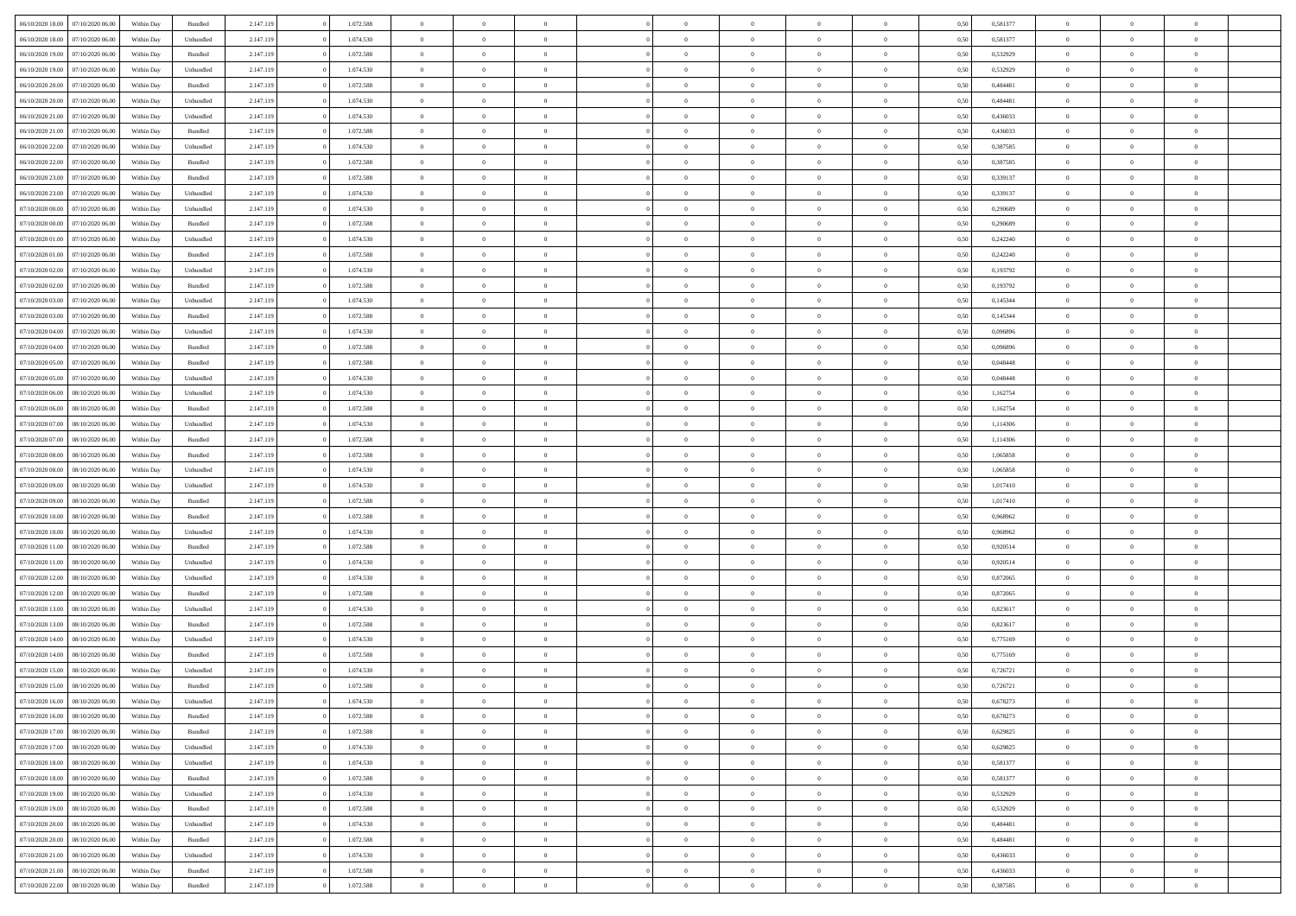| 06/10/2020 18:00                  | 07/10/2020 06.00 | Within Dav | Bundled            | 2.147.119 | 1.072.588 | $\overline{0}$ | $\Omega$       |                | $\Omega$       | $\Omega$       | $\theta$       | $\theta$       | 0.50 | 0,581377 | $\theta$       | $\theta$       | $\overline{0}$ |  |
|-----------------------------------|------------------|------------|--------------------|-----------|-----------|----------------|----------------|----------------|----------------|----------------|----------------|----------------|------|----------|----------------|----------------|----------------|--|
|                                   |                  |            |                    |           |           |                |                |                |                |                |                |                |      |          |                |                |                |  |
| 06/10/2020 18:00                  | 07/10/2020 06.00 | Within Day | Unbundled          | 2.147.119 | 1.074.530 | $\overline{0}$ | $\theta$       | $\overline{0}$ | $\overline{0}$ | $\bf{0}$       | $\overline{0}$ | $\bf{0}$       | 0,50 | 0,581377 | $\theta$       | $\overline{0}$ | $\overline{0}$ |  |
| 06/10/2020 19.00                  | 07/10/2020 06.00 | Within Day | Bundled            | 2.147.119 | 1.072.588 | $\overline{0}$ | $\bf{0}$       | $\overline{0}$ | $\overline{0}$ | $\bf{0}$       | $\overline{0}$ | $\mathbf{0}$   | 0,50 | 0,532929 | $\bf{0}$       | $\overline{0}$ | $\overline{0}$ |  |
| 06/10/2020 19:00                  | 07/10/2020 06.00 | Within Dav | Unbundled          | 2.147.119 | 1.074.530 | $\overline{0}$ | $\overline{0}$ | $\overline{0}$ | $\overline{0}$ | $\bf{0}$       | $\overline{0}$ | $\overline{0}$ | 0.50 | 0,532929 | $\theta$       | $\theta$       | $\overline{0}$ |  |
| 06/10/2020 20.00                  | 07/10/2020 06.00 | Within Day | Bundled            | 2.147.119 | 1.072.588 | $\overline{0}$ | $\theta$       | $\overline{0}$ | $\overline{0}$ | $\bf{0}$       | $\overline{0}$ | $\bf{0}$       | 0,50 | 0,484481 | $\theta$       | $\overline{0}$ | $\overline{0}$ |  |
| 06/10/2020 20.00                  | 07/10/2020 06.00 | Within Day | Unbundled          | 2.147.119 | 1.074.530 | $\overline{0}$ | $\overline{0}$ | $\overline{0}$ | $\overline{0}$ | $\overline{0}$ | $\overline{0}$ | $\mathbf{0}$   | 0,50 | 0,484481 | $\bf{0}$       | $\overline{0}$ | $\bf{0}$       |  |
| 06/10/2020 21:00                  | 07/10/2020 06.00 | Within Dav | Unbundled          | 2.147.119 | 1.074.530 | $\overline{0}$ | $\overline{0}$ | $\overline{0}$ | $\overline{0}$ | $\overline{0}$ | $\overline{0}$ | $\overline{0}$ | 0.50 | 0,436033 | $\theta$       | $\overline{0}$ | $\overline{0}$ |  |
|                                   |                  |            |                    |           |           |                |                |                |                |                |                |                |      |          |                |                |                |  |
| 06/10/2020 21.00                  | 07/10/2020 06.00 | Within Day | Bundled            | 2.147.119 | 1.072.588 | $\overline{0}$ | $\theta$       | $\overline{0}$ | $\overline{0}$ | $\bf{0}$       | $\overline{0}$ | $\bf{0}$       | 0,50 | 0,436033 | $\theta$       | $\theta$       | $\overline{0}$ |  |
| 06/10/2020 22.00                  | 07/10/2020 06.00 | Within Day | Unbundled          | 2.147.119 | 1.074.530 | $\overline{0}$ | $\overline{0}$ | $\overline{0}$ | $\overline{0}$ | $\bf{0}$       | $\overline{0}$ | $\bf{0}$       | 0,50 | 0,387585 | $\,0\,$        | $\overline{0}$ | $\overline{0}$ |  |
| 06/10/2020 22.00                  | 07/10/2020 06.00 | Within Dav | Bundled            | 2.147.119 | 1.072.588 | $\overline{0}$ | $\overline{0}$ | $\overline{0}$ | $\overline{0}$ | $\overline{0}$ | $\overline{0}$ | $\overline{0}$ | 0.50 | 0,387585 | $\theta$       | $\overline{0}$ | $\overline{0}$ |  |
| 06/10/2020 23.00                  | 07/10/2020 06.00 | Within Day | Bundled            | 2.147.119 | 1.072.588 | $\overline{0}$ | $\theta$       | $\overline{0}$ | $\overline{0}$ | $\bf{0}$       | $\overline{0}$ | $\bf{0}$       | 0,50 | 0,339137 | $\,$ 0 $\,$    | $\overline{0}$ | $\overline{0}$ |  |
| 06/10/2020 23.00                  | 07/10/2020 06.00 | Within Day | Unbundled          | 2.147.119 | 1.074.530 | $\overline{0}$ | $\overline{0}$ | $\overline{0}$ | $\bf{0}$       | $\bf{0}$       | $\bf{0}$       | $\bf{0}$       | 0,50 | 0,339137 | $\overline{0}$ | $\overline{0}$ | $\bf{0}$       |  |
| 07/10/2020 00:00                  | 07/10/2020 06.00 | Within Day | Unbundled          | 2.147.119 | 1.074.530 | $\overline{0}$ | $\overline{0}$ | $\overline{0}$ | $\overline{0}$ | $\bf{0}$       | $\overline{0}$ | $\overline{0}$ | 0.50 | 0.290689 | $\theta$       | $\theta$       | $\overline{0}$ |  |
| 07/10/2020 00.00                  | 07/10/2020 06.00 | Within Day | Bundled            | 2.147.119 | 1.072.588 | $\overline{0}$ | $\theta$       | $\overline{0}$ | $\overline{0}$ | $\bf{0}$       | $\overline{0}$ | $\bf{0}$       | 0,50 | 0,290689 | $\theta$       | $\overline{0}$ | $\overline{0}$ |  |
|                                   |                  |            |                    |           |           |                |                |                |                |                |                |                |      |          |                |                |                |  |
| 07/10/2020 01.00                  | 07/10/2020 06.00 | Within Day | Unbundled          | 2.147.119 | 1.074.530 | $\overline{0}$ | $\overline{0}$ | $\overline{0}$ | $\bf{0}$       | $\overline{0}$ | $\overline{0}$ | $\mathbf{0}$   | 0,50 | 0,242240 | $\overline{0}$ | $\overline{0}$ | $\bf{0}$       |  |
| 07/10/2020 01:00                  | 07/10/2020 06.00 | Within Dav | Bundled            | 2.147.119 | 1.072.588 | $\overline{0}$ | $\overline{0}$ | $\overline{0}$ | $\overline{0}$ | $\overline{0}$ | $\overline{0}$ | $\overline{0}$ | 0.50 | 0,242240 | $\theta$       | $\overline{0}$ | $\overline{0}$ |  |
| 07/10/2020 02.00                  | 07/10/2020 06.00 | Within Day | Unbundled          | 2.147.119 | 1.074.530 | $\overline{0}$ | $\theta$       | $\overline{0}$ | $\overline{0}$ | $\bf{0}$       | $\overline{0}$ | $\bf{0}$       | 0,50 | 0,193792 | $\theta$       | $\theta$       | $\overline{0}$ |  |
| 07/10/2020 02.00                  | 07/10/2020 06.00 | Within Day | Bundled            | 2.147.119 | 1.072.588 | $\overline{0}$ | $\overline{0}$ | $\overline{0}$ | $\bf{0}$       | $\bf{0}$       | $\bf{0}$       | $\bf{0}$       | 0,50 | 0,193792 | $\,0\,$        | $\overline{0}$ | $\overline{0}$ |  |
| 07/10/2020 03:00                  | 07/10/2020 06.00 | Within Day | Unbundled          | 2.147.119 | 1.074.530 | $\overline{0}$ | $\overline{0}$ | $\overline{0}$ | $\overline{0}$ | $\overline{0}$ | $\overline{0}$ | $\overline{0}$ | 0.50 | 0,145344 | $\theta$       | $\overline{0}$ | $\overline{0}$ |  |
| 07/10/2020 03.00                  | 07/10/2020 06.00 | Within Day | Bundled            | 2.147.119 | 1.072.588 | $\overline{0}$ | $\theta$       | $\overline{0}$ | $\overline{0}$ | $\bf{0}$       | $\overline{0}$ | $\bf{0}$       | 0,50 | 0,145344 | $\,$ 0 $\,$    | $\overline{0}$ | $\overline{0}$ |  |
| 07/10/2020 04.00                  | 07/10/2020 06.00 | Within Day | Unbundled          | 2.147.119 | 1.074.530 | $\overline{0}$ | $\overline{0}$ | $\overline{0}$ | $\bf{0}$       | $\bf{0}$       | $\bf{0}$       | $\bf{0}$       | 0,50 | 0,096896 | $\bf{0}$       | $\overline{0}$ | $\overline{0}$ |  |
| 07/10/2020 04:00                  | 07/10/2020 06.00 | Within Day | Bundled            | 2.147.119 | 1.072.588 | $\overline{0}$ | $\overline{0}$ | $\overline{0}$ | $\overline{0}$ | $\bf{0}$       | $\overline{0}$ | $\overline{0}$ | 0.50 | 0.096896 | $\theta$       | $\overline{0}$ | $\overline{0}$ |  |
| 07/10/2020 05.00                  | 07/10/2020 06.00 | Within Day | Bundled            | 2.147.119 | 1.072.588 | $\overline{0}$ | $\theta$       | $\overline{0}$ | $\overline{0}$ | $\bf{0}$       | $\overline{0}$ | $\bf{0}$       | 0,50 | 0,048448 | $\,$ 0 $\,$    | $\overline{0}$ | $\overline{0}$ |  |
|                                   |                  |            |                    |           |           |                |                |                |                |                |                |                |      |          |                |                |                |  |
| 07/10/2020 05.00                  | 07/10/2020 06.00 | Within Day | Unbundled          | 2.147.119 | 1.074.530 | $\overline{0}$ | $\overline{0}$ | $\overline{0}$ | $\bf{0}$       | $\overline{0}$ | $\overline{0}$ | $\mathbf{0}$   | 0,50 | 0,048448 | $\overline{0}$ | $\overline{0}$ | $\bf{0}$       |  |
| 07/10/2020 06.00                  | 08/10/2020 06:00 | Within Dav | Unbundled          | 2.147.119 | 1.074.530 | $\overline{0}$ | $\overline{0}$ | $\overline{0}$ | $\overline{0}$ | $\overline{0}$ | $\overline{0}$ | $\overline{0}$ | 0.50 | 1,162754 | $\theta$       | $\overline{0}$ | $\overline{0}$ |  |
| 07/10/2020 06.00                  | 08/10/2020 06.00 | Within Day | Bundled            | 2.147.119 | 1.072.588 | $\overline{0}$ | $\theta$       | $\overline{0}$ | $\overline{0}$ | $\bf{0}$       | $\overline{0}$ | $\bf{0}$       | 0,50 | 1,162754 | $\theta$       | $\theta$       | $\overline{0}$ |  |
| 07/10/2020 07:00                  | 08/10/2020 06.00 | Within Day | Unbundled          | 2.147.119 | 1.074.530 | $\overline{0}$ | $\overline{0}$ | $\overline{0}$ | $\bf{0}$       | $\bf{0}$       | $\bf{0}$       | $\bf{0}$       | 0,50 | 1,114306 | $\,0\,$        | $\overline{0}$ | $\overline{0}$ |  |
| 07/10/2020 07.00                  | 08/10/2020 06:00 | Within Day | Bundled            | 2.147.119 | 1.072.588 | $\overline{0}$ | $\overline{0}$ | $\overline{0}$ | $\overline{0}$ | $\overline{0}$ | $\overline{0}$ | $\overline{0}$ | 0.50 | 1,114306 | $\theta$       | $\overline{0}$ | $\overline{0}$ |  |
| 07/10/2020 08:00                  | 08/10/2020 06.00 | Within Day | Bundled            | 2.147.119 | 1.072.588 | $\overline{0}$ | $\theta$       | $\overline{0}$ | $\overline{0}$ | $\bf{0}$       | $\overline{0}$ | $\bf{0}$       | 0,50 | 1,065858 | $\,$ 0 $\,$    | $\overline{0}$ | $\overline{0}$ |  |
| 07/10/2020 08.00                  | 08/10/2020 06.00 | Within Day | Unbundled          | 2.147.119 | 1.074.530 | $\overline{0}$ | $\overline{0}$ | $\overline{0}$ | $\bf{0}$       | $\bf{0}$       | $\bf{0}$       | $\bf{0}$       | 0,50 | 1,065858 | $\overline{0}$ | $\overline{0}$ | $\bf{0}$       |  |
| 07/10/2020 09:00                  | 08/10/2020 06:00 | Within Day | Unbundled          | 2.147.119 | 1.074.530 | $\overline{0}$ | $\Omega$       | $\Omega$       | $\Omega$       | $\Omega$       | $\overline{0}$ | $\overline{0}$ | 0,50 | 1,017410 | $\,0\,$        | $\theta$       | $\theta$       |  |
| 07/10/2020 09:00                  | 08/10/2020 06.00 |            |                    | 2.147.119 | 1.072.588 | $\overline{0}$ | $\theta$       | $\overline{0}$ | $\overline{0}$ | $\bf{0}$       | $\overline{0}$ |                |      | 1,017410 | $\,$ 0 $\,$    | $\overline{0}$ | $\overline{0}$ |  |
|                                   |                  | Within Day | Bundled            |           |           |                |                |                |                |                |                | $\bf{0}$       | 0,50 |          |                |                |                |  |
| 07/10/2020 10.00                  | 08/10/2020 06:00 | Within Day | Bundled            | 2.147.119 | 1.072.588 | $\overline{0}$ | $\overline{0}$ | $\overline{0}$ | $\bf{0}$       | $\overline{0}$ | $\overline{0}$ | $\mathbf{0}$   | 0,50 | 0,968962 | $\overline{0}$ | $\overline{0}$ | $\bf{0}$       |  |
| 07/10/2020 10:00                  | 08/10/2020 06:00 | Within Day | Unbundled          | 2.147.119 | 1.074.530 | $\overline{0}$ | $\Omega$       | $\Omega$       | $\Omega$       | $\bf{0}$       | $\overline{0}$ | $\overline{0}$ | 0.50 | 0.968962 | $\,0\,$        | $\theta$       | $\theta$       |  |
| 07/10/2020 11:00                  | 08/10/2020 06.00 | Within Day | Bundled            | 2.147.119 | 1.072.588 | $\overline{0}$ | $\theta$       | $\overline{0}$ | $\overline{0}$ | $\bf{0}$       | $\overline{0}$ | $\bf{0}$       | 0,50 | 0,920514 | $\theta$       | $\overline{0}$ | $\overline{0}$ |  |
| 07/10/2020 11:00                  | 08/10/2020 06.00 | Within Day | Unbundled          | 2.147.119 | 1.074.530 | $\overline{0}$ | $\overline{0}$ | $\overline{0}$ | $\bf{0}$       | $\bf{0}$       | $\bf{0}$       | $\bf{0}$       | 0,50 | 0,920514 | $\bf{0}$       | $\overline{0}$ | $\overline{0}$ |  |
| 07/10/2020 12:00                  | 08/10/2020 06:00 | Within Day | Unbundled          | 2.147.119 | 1.074.530 | $\overline{0}$ | $\Omega$       | $\Omega$       | $\Omega$       | $\overline{0}$ | $\overline{0}$ | $\overline{0}$ | 0.50 | 0,872065 | $\,$ 0 $\,$    | $\theta$       | $\theta$       |  |
| 07/10/2020 12:00                  | 08/10/2020 06.00 | Within Day | Bundled            | 2.147.119 | 1.072.588 | $\overline{0}$ | $\theta$       | $\overline{0}$ | $\overline{0}$ | $\,$ 0         | $\overline{0}$ | $\bf{0}$       | 0,50 | 0,872065 | $\,$ 0 $\,$    | $\overline{0}$ | $\overline{0}$ |  |
| 07/10/2020 13.00                  | 08/10/2020 06:00 | Within Day | Unbundled          | 2.147.119 | 1.074.530 | $\overline{0}$ | $\bf{0}$       | $\overline{0}$ | $\bf{0}$       | $\bf{0}$       | $\bf{0}$       | $\bf{0}$       | 0,50 | 0,823617 | $\overline{0}$ | $\overline{0}$ | $\bf{0}$       |  |
| 07/10/2020 13:00                  | 08/10/2020 06.00 | Within Day | $\mathbf B$ undled | 2.147.119 | 1.072.588 | $\overline{0}$ | $\Omega$       | $\overline{0}$ | $\Omega$       | $\overline{0}$ | $\overline{0}$ | $\overline{0}$ | 0,50 | 0,823617 | $\,0\,$        | $\theta$       | $\theta$       |  |
| 07/10/2020 14:00                  | 08/10/2020 06.00 | Within Day | Unbundled          | 2.147.119 | 1.074.530 | $\overline{0}$ | $\theta$       | $\overline{0}$ | $\overline{0}$ | $\,$ 0         | $\overline{0}$ | $\bf{0}$       | 0,50 | 0,775169 | $\,$ 0 $\,$    | $\overline{0}$ | $\overline{0}$ |  |
|                                   |                  |            |                    |           |           |                |                |                |                |                |                |                |      |          |                |                |                |  |
| 07/10/2020 14.00                  | 08/10/2020 06.00 | Within Day | Bundled            | 2.147.119 | 1.072.588 | $\overline{0}$ | $\overline{0}$ | $\overline{0}$ | $\bf{0}$       | $\bf{0}$       | $\bf{0}$       | $\mathbf{0}$   | 0,50 | 0,775169 | $\bf{0}$       | $\overline{0}$ | $\bf{0}$       |  |
| 07/10/2020 15:00                  | 08/10/2020 06:00 | Within Day | Unbundled          | 2.147.119 | 1.074.530 | $\overline{0}$ | $\Omega$       | $\Omega$       | $\Omega$       | $\Omega$       | $\Omega$       | $\overline{0}$ | 0.50 | 0,726721 | $\theta$       | $\theta$       | $\theta$       |  |
| 07/10/2020 15.00                  | 08/10/2020 06.00 | Within Day | Bundled            | 2.147.119 | 1.072.588 | $\overline{0}$ | $\overline{0}$ | $\overline{0}$ | $\bf{0}$       | $\,$ 0         | $\bf{0}$       | $\bf{0}$       | 0,50 | 0,726721 | $\,0\,$        | $\,$ 0 $\,$    | $\overline{0}$ |  |
| 07/10/2020 16:00 08/10/2020 06:00 |                  | Within Day | Unbundled          | 2.147.119 | 1.074.530 | $\bf{0}$       | $\bf{0}$       |                |                | $\bf{0}$       |                |                | 0,50 | 0,678273 | $\bf{0}$       | $\overline{0}$ |                |  |
| 07/10/2020 16:00                  | 08/10/2020 06:00 | Within Day | Bundled            | 2.147.119 | 1.072.588 | $\overline{0}$ | $\overline{0}$ | $\overline{0}$ | $\Omega$       | $\overline{0}$ | $\overline{0}$ | $\overline{0}$ | 0,50 | 0,678273 | $\theta$       | $\theta$       | $\theta$       |  |
| 07/10/2020 17.00                  | 08/10/2020 06.00 | Within Day | Bundled            | 2.147.119 | 1.072.588 | $\overline{0}$ | $\,$ 0         | $\overline{0}$ | $\bf{0}$       | $\,$ 0 $\,$    | $\overline{0}$ | $\mathbf{0}$   | 0,50 | 0,629825 | $\,$ 0 $\,$    | $\,$ 0 $\,$    | $\,$ 0         |  |
| 07/10/2020 17.00                  | 08/10/2020 06:00 | Within Day | Unbundled          | 2.147.119 | 1.074.530 | $\overline{0}$ | $\overline{0}$ | $\overline{0}$ | $\overline{0}$ | $\overline{0}$ | $\overline{0}$ | $\mathbf{0}$   | 0,50 | 0,629825 | $\overline{0}$ | $\bf{0}$       | $\bf{0}$       |  |
| 07/10/2020 18:00                  | 08/10/2020 06:00 | Within Day | Unbundled          | 2.147.119 | 1.074.530 | $\overline{0}$ | $\overline{0}$ | $\overline{0}$ | $\Omega$       | $\overline{0}$ | $\overline{0}$ | $\bf{0}$       | 0,50 | 0,581377 | $\bf{0}$       | $\theta$       | $\overline{0}$ |  |
| 07/10/2020 18:00                  | 08/10/2020 06.00 | Within Day | Bundled            | 2.147.119 | 1.072.588 | $\overline{0}$ | $\,$ 0         | $\overline{0}$ | $\overline{0}$ | $\,$ 0 $\,$    | $\overline{0}$ | $\bf{0}$       | 0,50 | 0,581377 | $\,$ 0 $\,$    | $\overline{0}$ | $\overline{0}$ |  |
|                                   |                  |            |                    |           |           |                |                |                |                |                |                |                |      |          |                |                |                |  |
| 07/10/2020 19:00                  | 08/10/2020 06:00 | Within Day | Unbundled          | 2.147.119 | 1.074.530 | $\overline{0}$ | $\overline{0}$ | $\overline{0}$ | $\overline{0}$ | $\overline{0}$ | $\overline{0}$ | $\mathbf{0}$   | 0,50 | 0,532929 | $\overline{0}$ | $\overline{0}$ | $\bf{0}$       |  |
| 07/10/2020 19:00                  | 08/10/2020 06:00 | Within Day | Bundled            | 2.147.119 | 1.072.588 | $\overline{0}$ | $\overline{0}$ | $\overline{0}$ | $\Omega$       | $\overline{0}$ | $\overline{0}$ | $\bf{0}$       | 0.50 | 0,532929 | $\overline{0}$ | $\theta$       | $\overline{0}$ |  |
| 07/10/2020 20.00                  | 08/10/2020 06.00 | Within Day | Unbundled          | 2.147.119 | 1.074.530 | $\overline{0}$ | $\,$ 0         | $\overline{0}$ | $\bf{0}$       | $\bf{0}$       | $\bf{0}$       | $\bf{0}$       | 0,50 | 0,484481 | $\,$ 0 $\,$    | $\overline{0}$ | $\overline{0}$ |  |
| 07/10/2020 20.00                  | 08/10/2020 06:00 | Within Day | Bundled            | 2.147.119 | 1.072.588 | $\overline{0}$ | $\bf{0}$       | $\overline{0}$ | $\overline{0}$ | $\overline{0}$ | $\bf{0}$       | $\mathbf{0}$   | 0,50 | 0,484481 | $\overline{0}$ | $\overline{0}$ | $\bf{0}$       |  |
| 07/10/2020 21:00                  | 08/10/2020 06:00 | Within Day | Unbundled          | 2.147.119 | 1.074.530 | $\overline{0}$ | $\overline{0}$ | $\overline{0}$ | $\Omega$       | $\overline{0}$ | $\overline{0}$ | $\bf{0}$       | 0.50 | 0.436033 | $\overline{0}$ | $\theta$       | $\overline{0}$ |  |
| 07/10/2020 21.00                  | 08/10/2020 06.00 | Within Day | Bundled            | 2.147.119 | 1.072.588 | $\overline{0}$ | $\bf{0}$       | $\overline{0}$ | $\bf{0}$       | $\bf{0}$       | $\bf{0}$       | $\mathbf{0}$   | 0,50 | 0,436033 | $\,$ 0 $\,$    | $\,$ 0 $\,$    | $\bf{0}$       |  |
| 07/10/2020 22.00                  | 08/10/2020 06.00 | Within Day | Bundled            | 2.147.119 | 1.072.588 | $\overline{0}$ | $\overline{0}$ | $\overline{0}$ | $\overline{0}$ | $\bf{0}$       | $\bf{0}$       | $\mathbf{0}$   | 0,50 | 0,387585 | $\overline{0}$ | $\bf{0}$       | $\bf{0}$       |  |
|                                   |                  |            |                    |           |           |                |                |                |                |                |                |                |      |          |                |                |                |  |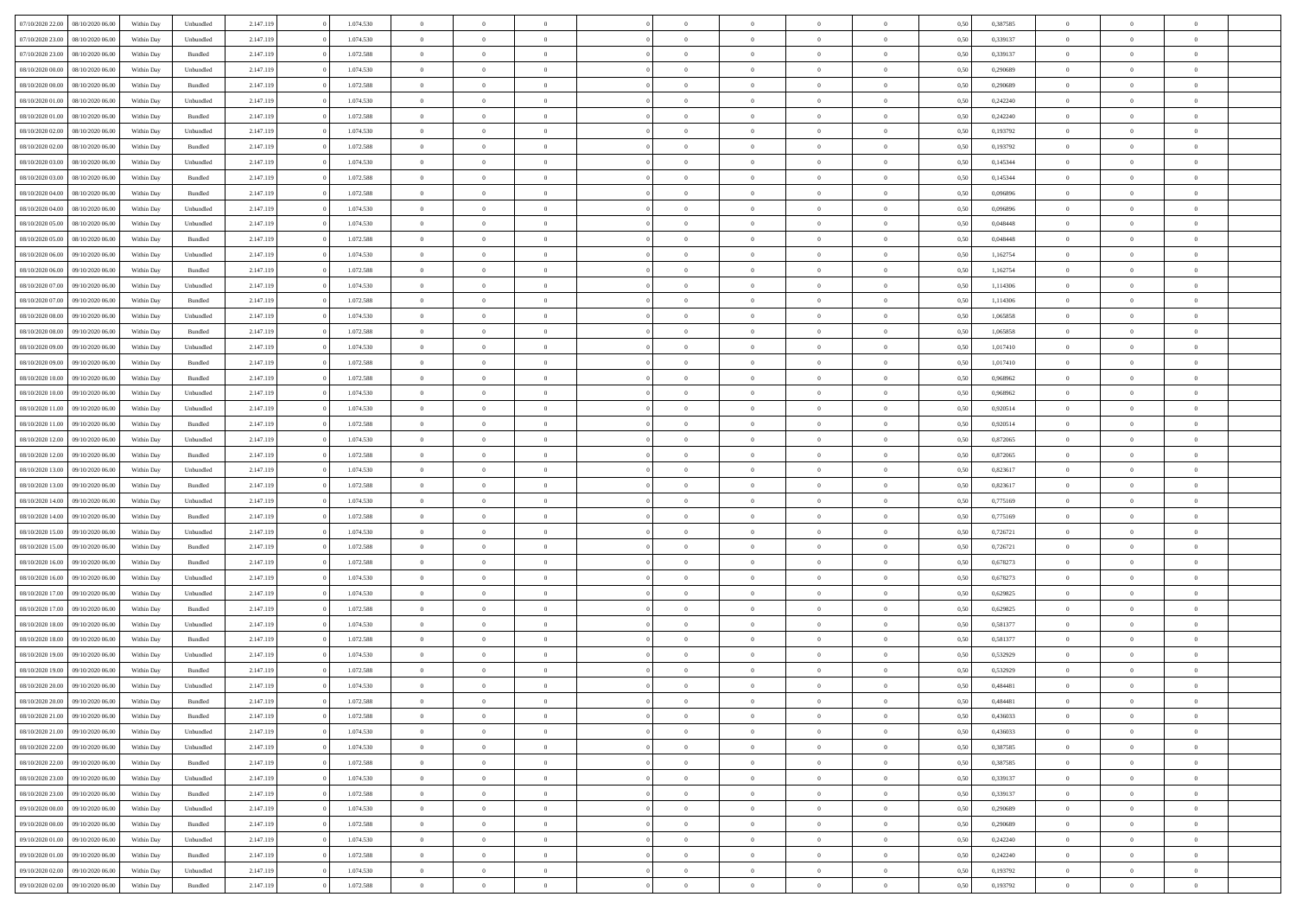| 07/10/2020 22.00 | 08/10/2020 06:00 | Within Dav | Unbundled          | 2.147.119 | 1.074.530 | $\overline{0}$ | $\theta$       |                | $\Omega$       | $\Omega$       | $\theta$       | $\theta$       | 0.50 | 0,387585 | $\theta$       | $\overline{0}$ | $\overline{0}$ |  |
|------------------|------------------|------------|--------------------|-----------|-----------|----------------|----------------|----------------|----------------|----------------|----------------|----------------|------|----------|----------------|----------------|----------------|--|
|                  |                  |            |                    |           |           |                |                |                |                |                |                |                |      |          |                |                |                |  |
| 07/10/2020 23.00 | 08/10/2020 06.00 | Within Day | Unbundled          | 2.147.119 | 1.074.530 | $\overline{0}$ | $\theta$       | $\overline{0}$ | $\overline{0}$ | $\bf{0}$       | $\overline{0}$ | $\bf{0}$       | 0,50 | 0,339137 | $\theta$       | $\overline{0}$ | $\overline{0}$ |  |
| 07/10/2020 23.00 | 08/10/2020 06.00 | Within Day | Bundled            | 2.147.119 | 1.072.588 | $\overline{0}$ | $\bf{0}$       | $\overline{0}$ | $\bf{0}$       | $\bf{0}$       | $\bf{0}$       | $\bf{0}$       | 0,50 | 0,339137 | $\overline{0}$ | $\overline{0}$ | $\overline{0}$ |  |
| 08/10/2020 00:00 | 08/10/2020 06:00 | Within Dav | Unbundled          | 2.147.119 | 1.074.530 | $\overline{0}$ | $\overline{0}$ | $\overline{0}$ | $\overline{0}$ | $\bf{0}$       | $\overline{0}$ | $\overline{0}$ | 0.50 | 0.290689 | $\theta$       | $\theta$       | $\overline{0}$ |  |
|                  |                  |            |                    |           |           |                |                |                |                |                |                |                |      |          |                |                |                |  |
| 08/10/2020 00:00 | 08/10/2020 06.00 | Within Day | Bundled            | 2.147.119 | 1.072.588 | $\overline{0}$ | $\theta$       | $\overline{0}$ | $\overline{0}$ | $\bf{0}$       | $\overline{0}$ | $\bf{0}$       | 0,50 | 0,290689 | $\theta$       | $\overline{0}$ | $\overline{0}$ |  |
| 08/10/2020 01.00 | 08/10/2020 06.00 | Within Day | Unbundled          | 2.147.119 | 1.074.530 | $\overline{0}$ | $\overline{0}$ | $\overline{0}$ | $\bf{0}$       | $\overline{0}$ | $\overline{0}$ | $\mathbf{0}$   | 0,50 | 0,242240 | $\overline{0}$ | $\overline{0}$ | $\bf{0}$       |  |
| 08/10/2020 01:00 | 08/10/2020 06.00 | Within Dav | Bundled            | 2.147.119 | 1.072.588 | $\overline{0}$ | $\overline{0}$ | $\overline{0}$ | $\overline{0}$ | $\overline{0}$ | $\overline{0}$ | $\overline{0}$ | 0.50 | 0,242240 | $\theta$       | $\overline{0}$ | $\overline{0}$ |  |
| 08/10/2020 02.00 | 08/10/2020 06.00 | Within Day | Unbundled          | 2.147.119 | 1.074.530 | $\overline{0}$ | $\theta$       | $\overline{0}$ | $\overline{0}$ | $\bf{0}$       | $\overline{0}$ | $\bf{0}$       | 0,50 | 0,193792 | $\theta$       | $\theta$       | $\overline{0}$ |  |
|                  |                  |            |                    |           |           |                |                |                |                |                |                |                |      |          |                |                |                |  |
| 08/10/2020 02.00 | 08/10/2020 06.00 | Within Day | Bundled            | 2.147.119 | 1.072.588 | $\overline{0}$ | $\overline{0}$ | $\overline{0}$ | $\bf{0}$       | $\bf{0}$       | $\bf{0}$       | $\bf{0}$       | 0,50 | 0,193792 | $\,0\,$        | $\overline{0}$ | $\overline{0}$ |  |
| 08/10/2020 03:00 | 08/10/2020 06:00 | Within Dav | Unbundled          | 2.147.119 | 1.074.530 | $\overline{0}$ | $\overline{0}$ | $\overline{0}$ | $\overline{0}$ | $\overline{0}$ | $\overline{0}$ | $\overline{0}$ | 0.50 | 0,145344 | $\theta$       | $\overline{0}$ | $\overline{0}$ |  |
| 08/10/2020 03:00 | 08/10/2020 06.00 | Within Day | Bundled            | 2.147.119 | 1.072.588 | $\overline{0}$ | $\theta$       | $\overline{0}$ | $\overline{0}$ | $\bf{0}$       | $\overline{0}$ | $\bf{0}$       | 0,50 | 0,145344 | $\,$ 0 $\,$    | $\overline{0}$ | $\overline{0}$ |  |
| 08/10/2020 04.00 | 08/10/2020 06.00 | Within Day | Bundled            | 2.147.119 | 1.072.588 | $\overline{0}$ | $\overline{0}$ | $\overline{0}$ | $\bf{0}$       | $\bf{0}$       | $\bf{0}$       | $\bf{0}$       | 0,50 | 0,096896 | $\overline{0}$ | $\overline{0}$ | $\bf{0}$       |  |
|                  |                  |            |                    |           |           |                |                |                |                |                |                |                |      |          | $\theta$       |                |                |  |
| 08/10/2020 04:00 | 08/10/2020 06:00 | Within Day | Unbundled          | 2.147.119 | 1.074.530 | $\overline{0}$ | $\overline{0}$ | $\overline{0}$ | $\overline{0}$ | $\bf{0}$       | $\overline{0}$ | $\overline{0}$ | 0.50 | 0.096896 |                | $\theta$       | $\overline{0}$ |  |
| 08/10/2020 05:00 | 08/10/2020 06.00 | Within Day | Unbundled          | 2.147.119 | 1.074.530 | $\overline{0}$ | $\theta$       | $\overline{0}$ | $\overline{0}$ | $\bf{0}$       | $\overline{0}$ | $\overline{0}$ | 0,50 | 0,048448 | $\theta$       | $\overline{0}$ | $\overline{0}$ |  |
| 08/10/2020 05:00 | 08/10/2020 06.00 | Within Day | Bundled            | 2.147.119 | 1.072.588 | $\overline{0}$ | $\overline{0}$ | $\overline{0}$ | $\bf{0}$       | $\overline{0}$ | $\overline{0}$ | $\mathbf{0}$   | 0,50 | 0,048448 | $\overline{0}$ | $\overline{0}$ | $\bf{0}$       |  |
| 08/10/2020 06:00 | 09/10/2020 06:00 | Within Dav | Unbundled          | 2.147.119 | 1.074.530 | $\overline{0}$ | $\overline{0}$ | $\overline{0}$ | $\overline{0}$ | $\overline{0}$ | $\overline{0}$ | $\overline{0}$ | 0.50 | 1,162754 | $\theta$       | $\overline{0}$ | $\overline{0}$ |  |
| 08/10/2020 06.00 | 09/10/2020 06.00 |            |                    | 2.147.119 | 1.072.588 | $\overline{0}$ | $\theta$       | $\overline{0}$ | $\overline{0}$ | $\bf{0}$       | $\overline{0}$ |                |      | 1,162754 | $\,$ 0 $\,$    | $\theta$       | $\overline{0}$ |  |
|                  |                  | Within Day | Bundled            |           |           |                |                |                |                |                |                | $\bf{0}$       | 0,50 |          |                |                |                |  |
| 08/10/2020 07.00 | 09/10/2020 06.00 | Within Day | Unbundled          | 2.147.119 | 1.074.530 | $\overline{0}$ | $\overline{0}$ | $\overline{0}$ | $\bf{0}$       | $\bf{0}$       | $\bf{0}$       | $\bf{0}$       | 0,50 | 1,114306 | $\bf{0}$       | $\overline{0}$ | $\overline{0}$ |  |
| 08/10/2020 07:00 | 09/10/2020 06:00 | Within Dav | Bundled            | 2.147.119 | 1.072.588 | $\overline{0}$ | $\overline{0}$ | $\overline{0}$ | $\overline{0}$ | $\overline{0}$ | $\overline{0}$ | $\overline{0}$ | 0.50 | 1,114306 | $\theta$       | $\overline{0}$ | $\overline{0}$ |  |
| 08/10/2020 08:00 | 09/10/2020 06.00 | Within Day | Unbundled          | 2.147.119 | 1.074.530 | $\overline{0}$ | $\theta$       | $\overline{0}$ | $\overline{0}$ | $\bf{0}$       | $\overline{0}$ | $\bf{0}$       | 0,50 | 1,065858 | $\,$ 0 $\,$    | $\overline{0}$ | $\overline{0}$ |  |
| 08/10/2020 08:00 | 09/10/2020 06.00 | Within Day | Bundled            | 2.147.119 | 1.072.588 | $\overline{0}$ | $\overline{0}$ | $\overline{0}$ | $\bf{0}$       | $\bf{0}$       | $\bf{0}$       | $\bf{0}$       | 0,50 | 1,065858 | $\overline{0}$ | $\overline{0}$ | $\bf{0}$       |  |
|                  |                  |            |                    |           |           |                |                |                |                |                |                |                |      |          |                |                |                |  |
| 08/10/2020 09:00 | 09/10/2020 06:00 | Within Day | Unbundled          | 2.147.119 | 1.074.530 | $\overline{0}$ | $\overline{0}$ | $\overline{0}$ | $\overline{0}$ | $\bf{0}$       | $\overline{0}$ | $\overline{0}$ | 0.50 | 1,017410 | $\theta$       | $\overline{0}$ | $\overline{0}$ |  |
| 08/10/2020 09:00 | 09/10/2020 06.00 | Within Day | Bundled            | 2.147.119 | 1.072.588 | $\overline{0}$ | $\theta$       | $\overline{0}$ | $\overline{0}$ | $\bf{0}$       | $\overline{0}$ | $\bf{0}$       | 0,50 | 1,017410 | $\,$ 0 $\,$    | $\overline{0}$ | $\overline{0}$ |  |
| 08/10/2020 10:00 | 09/10/2020 06.00 | Within Day | Bundled            | 2.147.119 | 1.072.588 | $\overline{0}$ | $\overline{0}$ | $\overline{0}$ | $\bf{0}$       | $\overline{0}$ | $\overline{0}$ | $\mathbf{0}$   | 0,50 | 0,968962 | $\overline{0}$ | $\overline{0}$ | $\bf{0}$       |  |
| 08/10/2020 10:00 | 09/10/2020 06:00 | Within Dav | Unbundled          | 2.147.119 | 1.074.530 | $\overline{0}$ | $\overline{0}$ | $\overline{0}$ | $\overline{0}$ | $\overline{0}$ | $\overline{0}$ | $\overline{0}$ | 0.50 | 0.968962 | $\theta$       | $\overline{0}$ | $\overline{0}$ |  |
|                  |                  |            |                    |           |           |                |                |                |                |                |                |                |      |          |                |                |                |  |
| 08/10/2020 11:00 | 09/10/2020 06.00 | Within Day | Unbundled          | 2.147.119 | 1.074.530 | $\overline{0}$ | $\theta$       | $\overline{0}$ | $\overline{0}$ | $\bf{0}$       | $\overline{0}$ | $\bf{0}$       | 0,50 | 0,920514 | $\theta$       | $\theta$       | $\overline{0}$ |  |
| 08/10/2020 11:00 | 09/10/2020 06.00 | Within Day | Bundled            | 2.147.119 | 1.072.588 | $\overline{0}$ | $\overline{0}$ | $\overline{0}$ | $\bf{0}$       | $\bf{0}$       | $\bf{0}$       | $\bf{0}$       | 0,50 | 0,920514 | $\,0\,$        | $\overline{0}$ | $\overline{0}$ |  |
| 08/10/2020 12:00 | 09/10/2020 06:00 | Within Day | Unbundled          | 2.147.119 | 1.074.530 | $\overline{0}$ | $\overline{0}$ | $\overline{0}$ | $\overline{0}$ | $\overline{0}$ | $\overline{0}$ | $\overline{0}$ | 0.50 | 0,872065 | $\theta$       | $\overline{0}$ | $\overline{0}$ |  |
| 08/10/2020 12:00 | 09/10/2020 06.00 | Within Day | Bundled            | 2.147.119 | 1.072.588 | $\overline{0}$ | $\theta$       | $\overline{0}$ | $\overline{0}$ | $\bf{0}$       | $\overline{0}$ | $\bf{0}$       | 0,50 | 0,872065 | $\,$ 0 $\,$    | $\overline{0}$ | $\overline{0}$ |  |
|                  |                  |            |                    |           |           |                |                |                |                |                |                |                |      |          |                |                |                |  |
| 08/10/2020 13:00 | 09/10/2020 06.00 | Within Day | Unbundled          | 2.147.119 | 1.074.530 | $\overline{0}$ | $\overline{0}$ | $\overline{0}$ | $\bf{0}$       | $\bf{0}$       | $\bf{0}$       | $\bf{0}$       | 0,50 | 0,823617 | $\overline{0}$ | $\overline{0}$ | $\bf{0}$       |  |
| 08/10/2020 13:00 | 09/10/2020 06:00 | Within Day | Bundled            | 2.147.119 | 1.072.588 | $\overline{0}$ | $\Omega$       | $\Omega$       | $\Omega$       | $\Omega$       | $\overline{0}$ | $\overline{0}$ | 0,50 | 0,823617 | $\,0\,$        | $\theta$       | $\theta$       |  |
| 08/10/2020 14:00 | 09/10/2020 06.00 | Within Day | Unbundled          | 2.147.119 | 1.074.530 | $\overline{0}$ | $\theta$       | $\overline{0}$ | $\overline{0}$ | $\bf{0}$       | $\overline{0}$ | $\bf{0}$       | 0,50 | 0,775169 | $\,$ 0 $\,$    | $\overline{0}$ | $\overline{0}$ |  |
| 08/10/2020 14:00 | 09/10/2020 06.00 | Within Day | Bundled            | 2.147.119 | 1.072.588 | $\overline{0}$ | $\overline{0}$ | $\overline{0}$ | $\bf{0}$       | $\overline{0}$ | $\overline{0}$ | $\mathbf{0}$   | 0,50 | 0,775169 | $\bf{0}$       | $\overline{0}$ | $\bf{0}$       |  |
| 08/10/2020 15:00 | 09/10/2020 06:00 | Within Day | Unbundled          | 2.147.119 | 1.074.530 | $\overline{0}$ | $\Omega$       | $\Omega$       | $\Omega$       | $\bf{0}$       | $\overline{0}$ | $\overline{0}$ | 0.50 | 0,726721 | $\,0\,$        | $\theta$       | $\theta$       |  |
|                  |                  |            |                    |           |           |                |                |                |                |                |                |                |      |          |                |                |                |  |
| 08/10/2020 15:00 | 09/10/2020 06.00 | Within Day | Bundled            | 2.147.119 | 1.072.588 | $\overline{0}$ | $\theta$       | $\overline{0}$ | $\overline{0}$ | $\bf{0}$       | $\overline{0}$ | $\bf{0}$       | 0,50 | 0,726721 | $\,$ 0 $\,$    | $\overline{0}$ | $\overline{0}$ |  |
| 08/10/2020 16.00 | 09/10/2020 06.00 | Within Day | Bundled            | 2.147.119 | 1.072.588 | $\overline{0}$ | $\overline{0}$ | $\overline{0}$ | $\bf{0}$       | $\bf{0}$       | $\bf{0}$       | $\bf{0}$       | 0,50 | 0,678273 | $\bf{0}$       | $\overline{0}$ | $\bf{0}$       |  |
| 08/10/2020 16:00 | 09/10/2020 06:00 | Within Day | Unbundled          | 2.147.119 | 1.074.530 | $\overline{0}$ | $\Omega$       | $\Omega$       | $\Omega$       | $\theta$       | $\overline{0}$ | $\overline{0}$ | 0.50 | 0.678273 | $\,$ 0 $\,$    | $\theta$       | $\theta$       |  |
| 08/10/2020 17:00 | 09/10/2020 06.00 | Within Day | Unbundled          | 2.147.119 | 1.074.530 | $\overline{0}$ | $\theta$       | $\overline{0}$ | $\overline{0}$ | $\bf{0}$       | $\overline{0}$ | $\bf{0}$       | 0,50 | 0,629825 | $\,$ 0 $\,$    | $\overline{0}$ | $\overline{0}$ |  |
|                  |                  |            |                    |           |           |                |                |                |                |                |                |                |      |          |                |                |                |  |
| 08/10/2020 17.00 | 09/10/2020 06.00 | Within Day | Bundled            | 2.147.119 | 1.072.588 | $\overline{0}$ | $\bf{0}$       | $\overline{0}$ | $\bf{0}$       | $\bf{0}$       | $\bf{0}$       | $\bf{0}$       | 0,50 | 0,629825 | $\bf{0}$       | $\overline{0}$ | $\bf{0}$       |  |
| 08/10/2020 18:00 | 09/10/2020 06.00 | Within Day | Unbundled          | 2.147.119 | 1.074.530 | $\overline{0}$ | $\Omega$       | $\overline{0}$ | $\Omega$       | $\overline{0}$ | $\overline{0}$ | $\overline{0}$ | 0,50 | 0,581377 | $\,0\,$        | $\theta$       | $\theta$       |  |
| 08/10/2020 18:00 | 09/10/2020 06.00 | Within Day | Bundled            | 2.147.119 | 1.072.588 | $\overline{0}$ | $\overline{0}$ | $\overline{0}$ | $\overline{0}$ | $\,$ 0         | $\overline{0}$ | $\bf{0}$       | 0,50 | 0,581377 | $\,$ 0 $\,$    | $\overline{0}$ | $\overline{0}$ |  |
| 08/10/2020 19:00 | 09/10/2020 06.00 | Within Day | Unbundled          | 2.147.119 | 1.074.530 | $\overline{0}$ | $\overline{0}$ | $\overline{0}$ | $\bf{0}$       | $\bf{0}$       | $\bf{0}$       | $\mathbf{0}$   | 0,50 | 0,532929 | $\bf{0}$       | $\overline{0}$ | $\bf{0}$       |  |
| 08/10/2020 19:00 | 09/10/2020 06:00 | Within Day | Bundled            | 2.147.119 | 1.072.588 | $\overline{0}$ | $\Omega$       | $\Omega$       | $\Omega$       | $\Omega$       | $\Omega$       | $\overline{0}$ | 0.50 | 0,532929 | $\theta$       | $\theta$       | $\theta$       |  |
|                  |                  |            |                    |           |           |                |                |                |                |                |                |                |      |          |                |                |                |  |
| 08/10/2020 20:00 | 09/10/2020 06.00 | Within Day | Unbundled          | 2.147.119 | 1.074.530 | $\overline{0}$ | $\overline{0}$ | $\overline{0}$ | $\bf{0}$       | $\,$ 0         | $\bf{0}$       | $\bf{0}$       | 0,50 | 0,484481 | $\,0\,$        | $\,0\,$        | $\overline{0}$ |  |
| 08/10/2020 20:00 | 09/10/2020 06.00 | Within Day | $\mathbf B$ undled | 2.147.119 | 1.072.588 | $\bf{0}$       | $\bf{0}$       |                |                | $\bf{0}$       |                |                | 0,50 | 0,484481 | $\bf{0}$       | $\overline{0}$ |                |  |
| 08/10/2020 21:00 | 09/10/2020 06:00 | Within Day | Bundled            | 2.147.119 | 1.072.588 | $\overline{0}$ | $\Omega$       | $\overline{0}$ | $\Omega$       | $\theta$       | $\overline{0}$ | $\overline{0}$ | 0.50 | 0.436033 | $\theta$       | $\theta$       | $\theta$       |  |
| 08/10/2020 21.00 | 09/10/2020 06.00 | Within Day | Unbundled          | 2.147.119 | 1.074.530 | $\overline{0}$ | $\,$ 0         | $\overline{0}$ | $\bf{0}$       | $\,$ 0 $\,$    | $\overline{0}$ | $\mathbf{0}$   | 0,50 | 0,436033 | $\,$ 0 $\,$    | $\,$ 0 $\,$    | $\,$ 0         |  |
|                  |                  |            |                    |           |           |                |                |                |                |                |                |                |      |          |                |                |                |  |
| 08/10/2020 22.00 | 09/10/2020 06.00 | Within Day | Unbundled          | 2.147.119 | 1.074.530 | $\overline{0}$ | $\overline{0}$ | $\overline{0}$ | $\overline{0}$ | $\overline{0}$ | $\overline{0}$ | $\mathbf{0}$   | 0,50 | 0,387585 | $\overline{0}$ | $\bf{0}$       | $\bf{0}$       |  |
| 08/10/2020 22.00 | 09/10/2020 06.00 | Within Day | $\mathbf B$ undled | 2.147.119 | 1.072.588 | $\overline{0}$ | $\overline{0}$ | $\overline{0}$ | $\Omega$       | $\overline{0}$ | $\overline{0}$ | $\bf{0}$       | 0,50 | 0,387585 | $\overline{0}$ | $\theta$       | $\overline{0}$ |  |
| 08/10/2020 23.00 | 09/10/2020 06.00 | Within Day | Unbundled          | 2.147.119 | 1.074.530 | $\overline{0}$ | $\,$ 0         | $\overline{0}$ | $\overline{0}$ | $\overline{0}$ | $\overline{0}$ | $\bf{0}$       | 0,50 | 0,339137 | $\,$ 0 $\,$    | $\overline{0}$ | $\overline{0}$ |  |
| 08/10/2020 23.00 | 09/10/2020 06.00 | Within Day | Bundled            | 2.147.119 | 1.072.588 | $\overline{0}$ | $\overline{0}$ | $\overline{0}$ | $\overline{0}$ | $\overline{0}$ | $\overline{0}$ | $\mathbf{0}$   | 0,50 | 0,339137 | $\overline{0}$ | $\overline{0}$ | $\bf{0}$       |  |
|                  |                  |            |                    |           |           |                |                |                |                |                |                |                |      |          |                |                |                |  |
| 09/10/2020 00.00 | 09/10/2020 06:00 | Within Day | Unbundled          | 2.147.119 | 1.074.530 | $\overline{0}$ | $\overline{0}$ | $\overline{0}$ | $\Omega$       | $\overline{0}$ | $\overline{0}$ | $\bf{0}$       | 0.50 | 0,290689 | $\overline{0}$ | $\theta$       | $\overline{0}$ |  |
| 09/10/2020 00.00 | 09/10/2020 06.00 | Within Day | Bundled            | 2.147.119 | 1.072.588 | $\overline{0}$ | $\,$ 0         | $\overline{0}$ | $\bf{0}$       | $\bf{0}$       | $\bf{0}$       | $\bf{0}$       | 0,50 | 0,290689 | $\,$ 0 $\,$    | $\overline{0}$ | $\overline{0}$ |  |
| 09/10/2020 01:00 | 09/10/2020 06.00 | Within Day | Unbundled          | 2.147.119 | 1.074.530 | $\overline{0}$ | $\bf{0}$       | $\overline{0}$ | $\overline{0}$ | $\overline{0}$ | $\bf{0}$       | $\mathbf{0}$   | 0,50 | 0,242240 | $\overline{0}$ | $\overline{0}$ | $\bf{0}$       |  |
| 09/10/2020 01.00 | 09/10/2020 06:00 | Within Day | Bundled            | 2.147.119 | 1.072.588 | $\overline{0}$ | $\overline{0}$ | $\overline{0}$ | $\Omega$       | $\overline{0}$ | $\overline{0}$ | $\bf{0}$       | 0.50 | 0,242240 | $\overline{0}$ | $\theta$       | $\overline{0}$ |  |
| 09/10/2020 02.00 | 09/10/2020 06.00 | Within Day | Unbundled          | 2.147.119 | 1.074.530 | $\overline{0}$ | $\bf{0}$       | $\overline{0}$ | $\overline{0}$ | $\bf{0}$       | $\bf{0}$       | $\bf{0}$       | 0,50 | 0,193792 | $\,$ 0 $\,$    | $\,$ 0 $\,$    | $\bf{0}$       |  |
|                  |                  |            |                    |           |           |                |                |                |                |                |                |                |      |          |                |                |                |  |
| 09/10/2020 02.00 | 09/10/2020 06.00 | Within Day | Bundled            | 2.147.119 | 1.072.588 | $\overline{0}$ | $\overline{0}$ | $\overline{0}$ | $\overline{0}$ | $\bf{0}$       | $\bf{0}$       | $\mathbf{0}$   | 0,50 | 0,193792 | $\overline{0}$ | $\bf{0}$       | $\bf{0}$       |  |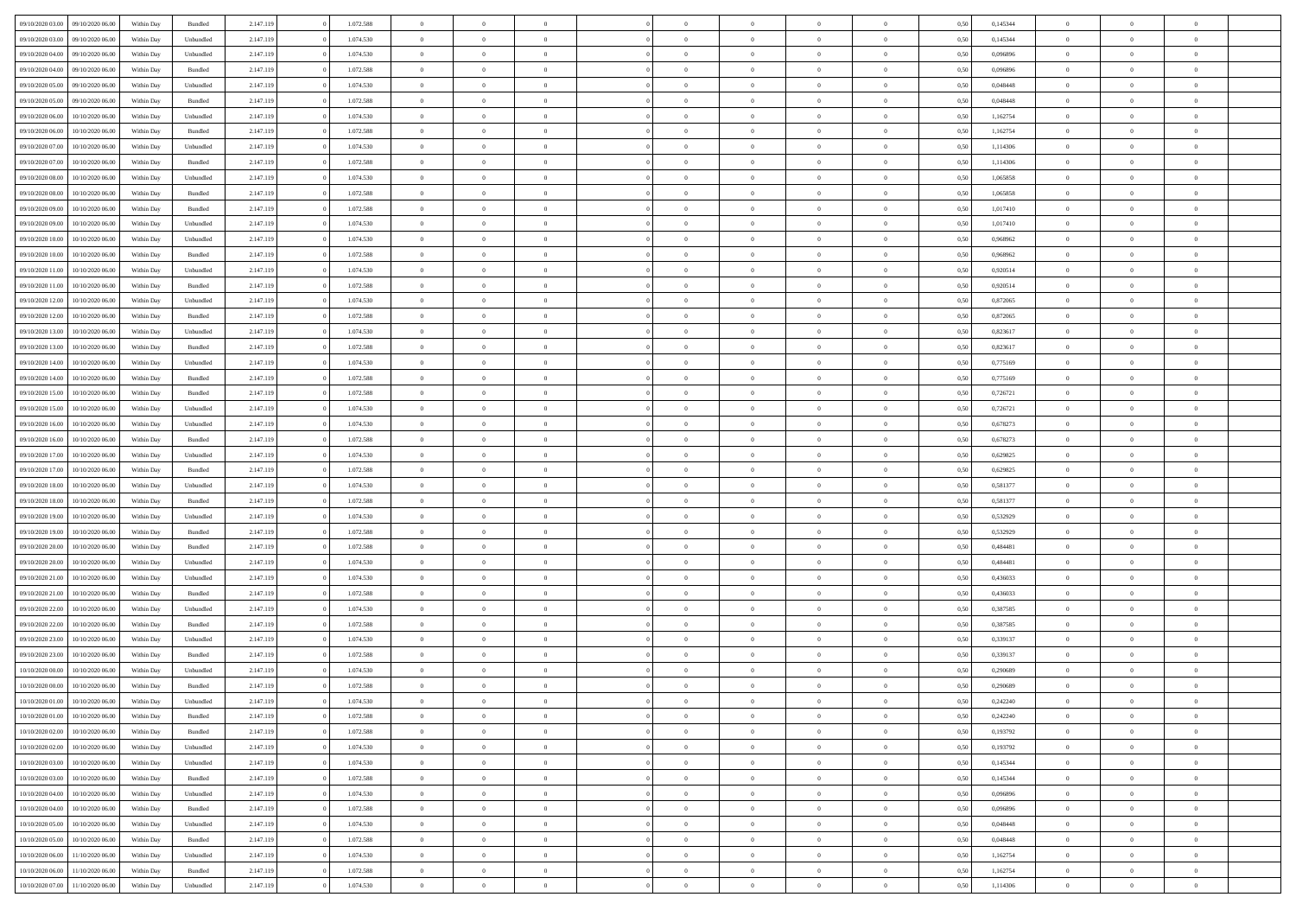| 09/10/2020 03:00 | 09/10/2020 06:00 | Within Dav | Bundled   | 2.147.119 | 1.072.588 | $\overline{0}$ | $\Omega$       |                | $\Omega$       | $\Omega$       | $\theta$       | $\theta$       | 0.50 | 0,145344 | $\theta$       | $\theta$       | $\theta$       |  |
|------------------|------------------|------------|-----------|-----------|-----------|----------------|----------------|----------------|----------------|----------------|----------------|----------------|------|----------|----------------|----------------|----------------|--|
|                  |                  |            |           |           |           |                |                |                |                |                |                |                |      |          |                |                |                |  |
| 09/10/2020 03.00 | 09/10/2020 06.00 | Within Day | Unbundled | 2.147.119 | 1.074.530 | $\overline{0}$ | $\theta$       | $\overline{0}$ | $\overline{0}$ | $\bf{0}$       | $\overline{0}$ | $\bf{0}$       | 0,50 | 0,145344 | $\theta$       | $\overline{0}$ | $\overline{0}$ |  |
| 09/10/2020 04.00 | 09/10/2020 06.00 | Within Day | Unbundled | 2.147.119 | 1.074.530 | $\overline{0}$ | $\overline{0}$ | $\overline{0}$ | $\bf{0}$       | $\bf{0}$       | $\bf{0}$       | $\bf{0}$       | 0,50 | 0,096896 | $\overline{0}$ | $\overline{0}$ | $\overline{0}$ |  |
| 09/10/2020 04:00 | 09/10/2020 06:00 | Within Dav | Bundled   | 2.147.119 | 1.072.588 | $\overline{0}$ | $\overline{0}$ | $\overline{0}$ | $\overline{0}$ | $\bf{0}$       | $\overline{0}$ | $\overline{0}$ | 0.50 | 0.096896 | $\theta$       | $\theta$       | $\overline{0}$ |  |
| 09/10/2020 05:00 | 09/10/2020 06.00 | Within Day | Unbundled | 2.147.119 | 1.074.530 | $\overline{0}$ | $\theta$       | $\overline{0}$ | $\overline{0}$ | $\bf{0}$       | $\overline{0}$ | $\bf{0}$       | 0,50 | 0,048448 | $\theta$       | $\overline{0}$ | $\overline{0}$ |  |
| 09/10/2020 05.00 | 09/10/2020 06.00 | Within Day | Bundled   | 2.147.119 | 1.072.588 | $\overline{0}$ | $\bf{0}$       | $\overline{0}$ | $\bf{0}$       | $\overline{0}$ | $\overline{0}$ | $\mathbf{0}$   | 0,50 | 0,048448 | $\overline{0}$ | $\overline{0}$ | $\bf{0}$       |  |
| 09/10/2020 06:00 | 10/10/2020 06:00 | Within Dav | Unbundled | 2.147.119 | 1.074.530 | $\overline{0}$ | $\overline{0}$ | $\overline{0}$ | $\overline{0}$ | $\overline{0}$ | $\overline{0}$ | $\overline{0}$ | 0.50 | 1,162754 | $\theta$       | $\overline{0}$ | $\overline{0}$ |  |
|                  |                  |            |           |           |           |                |                |                |                |                |                |                |      |          |                |                |                |  |
| 09/10/2020 06.00 | 10/10/2020 06:00 | Within Day | Bundled   | 2.147.119 | 1.072.588 | $\overline{0}$ | $\theta$       | $\overline{0}$ | $\overline{0}$ | $\bf{0}$       | $\overline{0}$ | $\bf{0}$       | 0,50 | 1,162754 | $\theta$       | $\theta$       | $\overline{0}$ |  |
| 09/10/2020 07.00 | 10/10/2020 06:00 | Within Day | Unbundled | 2.147.119 | 1.074.530 | $\overline{0}$ | $\overline{0}$ | $\overline{0}$ | $\bf{0}$       | $\bf{0}$       | $\bf{0}$       | $\bf{0}$       | 0,50 | 1,114306 | $\,0\,$        | $\overline{0}$ | $\overline{0}$ |  |
| 09/10/2020 07.00 | 10/10/2020 06:00 | Within Dav | Bundled   | 2.147.119 | 1.072.588 | $\overline{0}$ | $\overline{0}$ | $\overline{0}$ | $\overline{0}$ | $\overline{0}$ | $\overline{0}$ | $\overline{0}$ | 0.50 | 1,114306 | $\theta$       | $\overline{0}$ | $\overline{0}$ |  |
| 09/10/2020 08:00 | 10/10/2020 06:00 | Within Day | Unbundled | 2.147.119 | 1.074.530 | $\overline{0}$ | $\theta$       | $\overline{0}$ | $\overline{0}$ | $\bf{0}$       | $\overline{0}$ | $\bf{0}$       | 0,50 | 1,065858 | $\,$ 0 $\,$    | $\overline{0}$ | $\overline{0}$ |  |
| 09/10/2020 08:00 | 10/10/2020 06:00 | Within Day | Bundled   | 2.147.119 | 1.072.588 | $\overline{0}$ | $\overline{0}$ | $\overline{0}$ | $\bf{0}$       | $\bf{0}$       | $\bf{0}$       | $\bf{0}$       | 0,50 | 1,065858 | $\bf{0}$       | $\overline{0}$ | $\overline{0}$ |  |
| 09/10/2020 09:00 | 10/10/2020 06:00 | Within Day | Bundled   | 2.147.119 | 1.072.588 | $\overline{0}$ | $\overline{0}$ | $\overline{0}$ | $\overline{0}$ | $\bf{0}$       | $\overline{0}$ | $\overline{0}$ | 0.50 | 1,017410 | $\theta$       | $\theta$       | $\overline{0}$ |  |
| 09/10/2020 09:00 | 10/10/2020 06:00 | Within Day | Unbundled | 2.147.119 | 1.074.530 | $\overline{0}$ | $\theta$       | $\overline{0}$ | $\overline{0}$ | $\bf{0}$       | $\overline{0}$ | $\overline{0}$ | 0,50 | 1,017410 | $\theta$       | $\overline{0}$ | $\overline{0}$ |  |
|                  |                  |            |           |           |           |                |                |                |                |                |                |                |      |          |                |                |                |  |
| 09/10/2020 10:00 | 10/10/2020 06:00 | Within Day | Unbundled | 2.147.119 | 1.074.530 | $\overline{0}$ | $\bf{0}$       | $\overline{0}$ | $\bf{0}$       | $\overline{0}$ | $\overline{0}$ | $\mathbf{0}$   | 0,50 | 0,968962 | $\bf{0}$       | $\overline{0}$ | $\bf{0}$       |  |
| 09/10/2020 10:00 | 10/10/2020 06:00 | Within Dav | Bundled   | 2.147.119 | 1.072.588 | $\overline{0}$ | $\overline{0}$ | $\overline{0}$ | $\overline{0}$ | $\overline{0}$ | $\overline{0}$ | $\overline{0}$ | 0.50 | 0.968962 | $\theta$       | $\overline{0}$ | $\overline{0}$ |  |
| 09/10/2020 11:00 | 10/10/2020 06:00 | Within Day | Unbundled | 2.147.119 | 1.074.530 | $\overline{0}$ | $\theta$       | $\overline{0}$ | $\overline{0}$ | $\bf{0}$       | $\overline{0}$ | $\bf{0}$       | 0,50 | 0,920514 | $\theta$       | $\theta$       | $\overline{0}$ |  |
| 09/10/2020 11:00 | 10/10/2020 06:00 | Within Day | Bundled   | 2.147.119 | 1.072.588 | $\overline{0}$ | $\overline{0}$ | $\overline{0}$ | $\bf{0}$       | $\bf{0}$       | $\bf{0}$       | $\bf{0}$       | 0,50 | 0,920514 | $\,0\,$        | $\overline{0}$ | $\overline{0}$ |  |
| 09/10/2020 12:00 | 10/10/2020 06:00 | Within Day | Unbundled | 2.147.119 | 1.074.530 | $\overline{0}$ | $\overline{0}$ | $\overline{0}$ | $\overline{0}$ | $\overline{0}$ | $\overline{0}$ | $\overline{0}$ | 0.50 | 0,872065 | $\theta$       | $\overline{0}$ | $\overline{0}$ |  |
| 09/10/2020 12:00 | 10/10/2020 06:00 | Within Day | Bundled   | 2.147.119 | 1.072.588 | $\overline{0}$ | $\theta$       | $\overline{0}$ | $\overline{0}$ | $\bf{0}$       | $\overline{0}$ | $\bf{0}$       | 0,50 | 0,872065 | $\,$ 0 $\,$    | $\theta$       | $\overline{0}$ |  |
| 09/10/2020 13:00 | 10/10/2020 06:00 | Within Day | Unbundled | 2.147.119 | 1.074.530 | $\overline{0}$ | $\overline{0}$ | $\overline{0}$ | $\bf{0}$       | $\bf{0}$       | $\bf{0}$       | $\bf{0}$       | 0,50 | 0,823617 | $\,0\,$        | $\overline{0}$ | $\overline{0}$ |  |
| 09/10/2020 13:00 | 10/10/2020 06:00 | Within Day | Bundled   | 2.147.119 | 1.072.588 | $\overline{0}$ | $\overline{0}$ | $\overline{0}$ | $\overline{0}$ | $\bf{0}$       | $\overline{0}$ | $\overline{0}$ | 0.50 | 0.823617 | $\theta$       | $\theta$       | $\overline{0}$ |  |
|                  |                  |            |           |           |           |                |                |                |                |                |                |                |      |          |                |                |                |  |
| 09/10/2020 14:00 | 10/10/2020 06:00 | Within Day | Unbundled | 2.147.119 | 1.074.530 | $\overline{0}$ | $\theta$       | $\overline{0}$ | $\overline{0}$ | $\bf{0}$       | $\overline{0}$ | $\bf{0}$       | 0,50 | 0,775169 | $\,$ 0 $\,$    | $\overline{0}$ | $\overline{0}$ |  |
| 09/10/2020 14:00 | 10/10/2020 06:00 | Within Day | Bundled   | 2.147.119 | 1.072.588 | $\overline{0}$ | $\bf{0}$       | $\overline{0}$ | $\bf{0}$       | $\overline{0}$ | $\overline{0}$ | $\mathbf{0}$   | 0,50 | 0,775169 | $\bf{0}$       | $\overline{0}$ | $\bf{0}$       |  |
| 09/10/2020 15:00 | 10/10/2020 06:00 | Within Dav | Bundled   | 2.147.119 | 1.072.588 | $\overline{0}$ | $\overline{0}$ | $\overline{0}$ | $\overline{0}$ | $\overline{0}$ | $\overline{0}$ | $\overline{0}$ | 0.50 | 0,726721 | $\theta$       | $\overline{0}$ | $\overline{0}$ |  |
| 09/10/2020 15:00 | 10/10/2020 06:00 | Within Day | Unbundled | 2.147.119 | 1.074.530 | $\overline{0}$ | $\theta$       | $\overline{0}$ | $\overline{0}$ | $\bf{0}$       | $\overline{0}$ | $\bf{0}$       | 0,50 | 0,726721 | $\theta$       | $\theta$       | $\overline{0}$ |  |
| 09/10/2020 16:00 | 10/10/2020 06:00 | Within Day | Unbundled | 2.147.119 | 1.074.530 | $\overline{0}$ | $\overline{0}$ | $\overline{0}$ | $\bf{0}$       | $\bf{0}$       | $\bf{0}$       | $\bf{0}$       | 0,50 | 0,678273 | $\,0\,$        | $\overline{0}$ | $\overline{0}$ |  |
| 09/10/2020 16:00 | 10/10/2020 06:00 | Within Day | Bundled   | 2.147.119 | 1.072.588 | $\overline{0}$ | $\overline{0}$ | $\overline{0}$ | $\overline{0}$ | $\overline{0}$ | $\overline{0}$ | $\overline{0}$ | 0.50 | 0,678273 | $\theta$       | $\overline{0}$ | $\overline{0}$ |  |
| 09/10/2020 17.00 | 10/10/2020 06:00 | Within Day | Unbundled | 2.147.119 | 1.074.530 | $\overline{0}$ | $\theta$       | $\overline{0}$ | $\overline{0}$ | $\bf{0}$       | $\overline{0}$ | $\bf{0}$       | 0,50 | 0,629825 | $\,$ 0 $\,$    | $\overline{0}$ | $\overline{0}$ |  |
|                  |                  |            |           |           |           |                | $\overline{0}$ |                |                | $\bf{0}$       |                |                |      |          |                | $\overline{0}$ | $\overline{0}$ |  |
| 09/10/2020 17:00 | 10/10/2020 06:00 | Within Day | Bundled   | 2.147.119 | 1.072.588 | $\overline{0}$ |                | $\overline{0}$ | $\bf{0}$       |                | $\bf{0}$       | $\bf{0}$       | 0,50 | 0,629825 | $\bf{0}$       |                |                |  |
| 09/10/2020 18:00 | 10/10/2020 06:00 | Within Day | Unbundled | 2.147.119 | 1.074.530 | $\overline{0}$ | $\Omega$       | $\Omega$       | $\Omega$       | $\Omega$       | $\Omega$       | $\overline{0}$ | 0,50 | 0,581377 | $\,0\,$        | $\theta$       | $\theta$       |  |
| 09/10/2020 18:00 | 10/10/2020 06:00 | Within Day | Bundled   | 2.147.119 | 1.072.588 | $\overline{0}$ | $\theta$       | $\overline{0}$ | $\overline{0}$ | $\bf{0}$       | $\overline{0}$ | $\bf{0}$       | 0,50 | 0,581377 | $\,$ 0 $\,$    | $\overline{0}$ | $\overline{0}$ |  |
| 09/10/2020 19:00 | 10/10/2020 06:00 | Within Day | Unbundled | 2.147.119 | 1.074.530 | $\overline{0}$ | $\overline{0}$ | $\overline{0}$ | $\overline{0}$ | $\bf{0}$       | $\overline{0}$ | $\mathbf{0}$   | 0,50 | 0,532929 | $\bf{0}$       | $\overline{0}$ | $\bf{0}$       |  |
| 09/10/2020 19:00 | 10/10/2020 06:00 | Within Day | Bundled   | 2.147.119 | 1.072.588 | $\overline{0}$ | $\Omega$       | $\Omega$       | $\Omega$       | $\bf{0}$       | $\overline{0}$ | $\overline{0}$ | 0.50 | 0,532929 | $\,0\,$        | $\theta$       | $\theta$       |  |
| 09/10/2020 20.00 | 10/10/2020 06:00 | Within Day | Bundled   | 2.147.119 | 1.072.588 | $\overline{0}$ | $\theta$       | $\overline{0}$ | $\overline{0}$ | $\bf{0}$       | $\overline{0}$ | $\bf{0}$       | 0,50 | 0,484481 | $\,$ 0 $\,$    | $\theta$       | $\overline{0}$ |  |
| 09/10/2020 20:00 | 10/10/2020 06:00 | Within Day | Unbundled | 2.147.119 | 1.074.530 | $\overline{0}$ | $\overline{0}$ | $\overline{0}$ | $\overline{0}$ | $\bf{0}$       | $\overline{0}$ | $\bf{0}$       | 0,50 | 0,484481 | $\,0\,$        | $\overline{0}$ | $\overline{0}$ |  |
| 09/10/2020 21.00 | 10/10/2020 06:00 | Within Day | Unbundled | 2.147.119 | 1.074.530 | $\overline{0}$ | $\Omega$       | $\Omega$       | $\Omega$       | $\theta$       | $\theta$       | $\overline{0}$ | 0.50 | 0.436033 | $\theta$       | $\theta$       | $\theta$       |  |
| 09/10/2020 21.00 | 10/10/2020 06:00 | Within Day | Bundled   | 2.147.119 | 1.072.588 | $\overline{0}$ | $\theta$       | $\overline{0}$ | $\overline{0}$ | $\bf{0}$       | $\overline{0}$ | $\bf{0}$       | 0,50 | 0,436033 | $\,$ 0 $\,$    | $\overline{0}$ | $\overline{0}$ |  |
|                  |                  |            |           |           |           |                |                |                |                |                |                |                |      |          |                |                |                |  |
| 09/10/2020 22.00 | 10/10/2020 06:00 | Within Day | Unbundled | 2.147.119 | 1.074.530 | $\overline{0}$ | $\overline{0}$ | $\overline{0}$ | $\bf{0}$       | $\bf{0}$       | $\bf{0}$       | $\bf{0}$       | 0,50 | 0,387585 | $\bf{0}$       | $\overline{0}$ | $\overline{0}$ |  |
| 09/10/2020 22.00 | 10/10/2020 06:00 | Within Day | Bundled   | 2.147.119 | 1.072.588 | $\overline{0}$ | $\Omega$       | $\Omega$       | $\Omega$       | $\Omega$       | $\overline{0}$ | $\overline{0}$ | 0.50 | 0,387585 | $\,0\,$        | $\theta$       | $\theta$       |  |
| 09/10/2020 23.00 | 10/10/2020 06:00 | Within Day | Unbundled | 2.147.119 | 1.074.530 | $\overline{0}$ | $\theta$       | $\overline{0}$ | $\overline{0}$ | $\bf{0}$       | $\overline{0}$ | $\bf{0}$       | 0,50 | 0,339137 | $\,$ 0 $\,$    | $\overline{0}$ | $\overline{0}$ |  |
| 09/10/2020 23.00 | 10/10/2020 06:00 | Within Day | Bundled   | 2.147.119 | 1.072.588 | $\overline{0}$ | $\overline{0}$ | $\overline{0}$ | $\bf{0}$       | $\bf{0}$       | $\bf{0}$       | $\mathbf{0}$   | 0,50 | 0,339137 | $\bf{0}$       | $\overline{0}$ | $\bf{0}$       |  |
| 10/10/2020 00:00 | 10/10/2020 06:00 | Within Day | Unbundled | 2.147.119 | 1.074.530 | $\overline{0}$ | $\Omega$       | $\Omega$       | $\Omega$       | $\Omega$       | $\Omega$       | $\overline{0}$ | 0.50 | 0,290689 | $\theta$       | $\theta$       | $\theta$       |  |
| 10/10/2020 00:00 | 10/10/2020 06:00 | Within Day | Bundled   | 2.147.119 | 1.072.588 | $\overline{0}$ | $\,$ 0 $\,$    | $\overline{0}$ | $\bf{0}$       | $\,$ 0         | $\bf{0}$       | $\bf{0}$       | 0,50 | 0,290689 | $\,0\,$        | $\,$ 0 $\,$    | $\overline{0}$ |  |
| 10/10/2020 01:00 | 10/10/2020 06:00 | Within Day | Unbundled | 2.147.119 | 1.074.530 | $\bf{0}$       | $\bf{0}$       |                |                |                |                |                | 0,50 | 0,242240 | $\bf{0}$       | $\overline{0}$ |                |  |
| 10/10/2020 01:00 | 10/10/2020 06:00 | Within Day | Bundled   | 2.147.119 | 1.072.588 | $\overline{0}$ | $\overline{0}$ | $\overline{0}$ | $\Omega$       | $\theta$       | $\overline{0}$ | $\overline{0}$ | 0,50 | 0,242240 | $\theta$       | $\theta$       | $\theta$       |  |
| 10/10/2020 02:00 | 10/10/2020 06:00 | Within Day | Bundled   | 2.147.119 | 1.072.588 | $\overline{0}$ | $\,$ 0         | $\overline{0}$ | $\bf{0}$       | $\,$ 0 $\,$    | $\overline{0}$ | $\mathbf{0}$   | 0,50 | 0,193792 | $\,$ 0 $\,$    | $\,$ 0 $\,$    | $\,$ 0         |  |
|                  |                  |            |           |           |           |                |                |                |                |                |                |                |      |          |                |                |                |  |
| 10/10/2020 02:00 | 10/10/2020 06:00 | Within Day | Unbundled | 2.147.119 | 1.074.530 | $\overline{0}$ | $\overline{0}$ | $\overline{0}$ | $\overline{0}$ | $\overline{0}$ | $\overline{0}$ | $\mathbf{0}$   | 0,50 | 0,193792 | $\overline{0}$ | $\bf{0}$       | $\bf{0}$       |  |
| 10/10/2020 03:00 | 10/10/2020 06:00 | Within Day | Unbundled | 2.147.119 | 1.074.530 | $\overline{0}$ | $\overline{0}$ | $\overline{0}$ | $\Omega$       | $\overline{0}$ | $\overline{0}$ | $\bf{0}$       | 0,50 | 0,145344 | $\bf{0}$       | $\theta$       | $\overline{0}$ |  |
| 10/10/2020 03:00 | 10/10/2020 06.00 | Within Day | Bundled   | 2.147.119 | 1.072.588 | $\overline{0}$ | $\,$ 0         | $\overline{0}$ | $\overline{0}$ | $\overline{0}$ | $\overline{0}$ | $\bf{0}$       | 0,50 | 0,145344 | $\,$ 0 $\,$    | $\overline{0}$ | $\overline{0}$ |  |
| 10/10/2020 04:00 | 10/10/2020 06:00 | Within Day | Unbundled | 2.147.119 | 1.074.530 | $\overline{0}$ | $\overline{0}$ | $\overline{0}$ | $\overline{0}$ | $\overline{0}$ | $\overline{0}$ | $\mathbf{0}$   | 0,50 | 0,096896 | $\overline{0}$ | $\overline{0}$ | $\bf{0}$       |  |
| 10/10/2020 04:00 | 10/10/2020 06:00 | Within Day | Bundled   | 2.147.119 | 1.072.588 | $\overline{0}$ | $\overline{0}$ | $\overline{0}$ | $\Omega$       | $\overline{0}$ | $\overline{0}$ | $\bf{0}$       | 0.50 | 0.096896 | $\overline{0}$ | $\theta$       | $\overline{0}$ |  |
| 10/10/2020 05:00 | 10/10/2020 06.00 | Within Day | Unbundled | 2.147.119 | 1.074.530 | $\overline{0}$ | $\,$ 0         | $\overline{0}$ | $\overline{0}$ | $\bf{0}$       | $\overline{0}$ | $\bf{0}$       | 0,50 | 0,048448 | $\,$ 0 $\,$    | $\overline{0}$ | $\overline{0}$ |  |
| 10/10/2020 05:00 | 10/10/2020 06:00 | Within Day | Bundled   | 2.147.119 | 1.072.588 | $\overline{0}$ | $\bf{0}$       | $\overline{0}$ | $\overline{0}$ | $\overline{0}$ | $\overline{0}$ | $\mathbf{0}$   | 0,50 | 0,048448 | $\overline{0}$ | $\overline{0}$ | $\bf{0}$       |  |
| 10/10/2020 06:00 | 11/10/2020 06:00 | Within Day | Unbundled |           | 1.074.530 | $\overline{0}$ | $\overline{0}$ | $\overline{0}$ | $\Omega$       | $\overline{0}$ | $\overline{0}$ | $\bf{0}$       | 0.50 | 1,162754 | $\overline{0}$ | $\theta$       | $\overline{0}$ |  |
|                  |                  |            |           | 2.147.119 |           |                |                |                |                |                |                |                |      |          |                |                |                |  |
| 10/10/2020 06:00 | 11/10/2020 06.00 | Within Day | Bundled   | 2.147.119 | 1.072.588 | $\overline{0}$ | $\bf{0}$       | $\overline{0}$ | $\overline{0}$ | $\bf{0}$       | $\overline{0}$ | $\mathbf{0}$   | 0,50 | 1,162754 | $\,$ 0 $\,$    | $\,$ 0 $\,$    | $\bf{0}$       |  |
| 10/10/2020 07:00 | 11/10/2020 06.00 | Within Day | Unbundled | 2.147.119 | 1.074.530 | $\overline{0}$ | $\overline{0}$ | $\overline{0}$ | $\overline{0}$ | $\bf{0}$       | $\overline{0}$ | $\mathbf{0}$   | 0,50 | 1,114306 | $\overline{0}$ | $\bf{0}$       | $\bf{0}$       |  |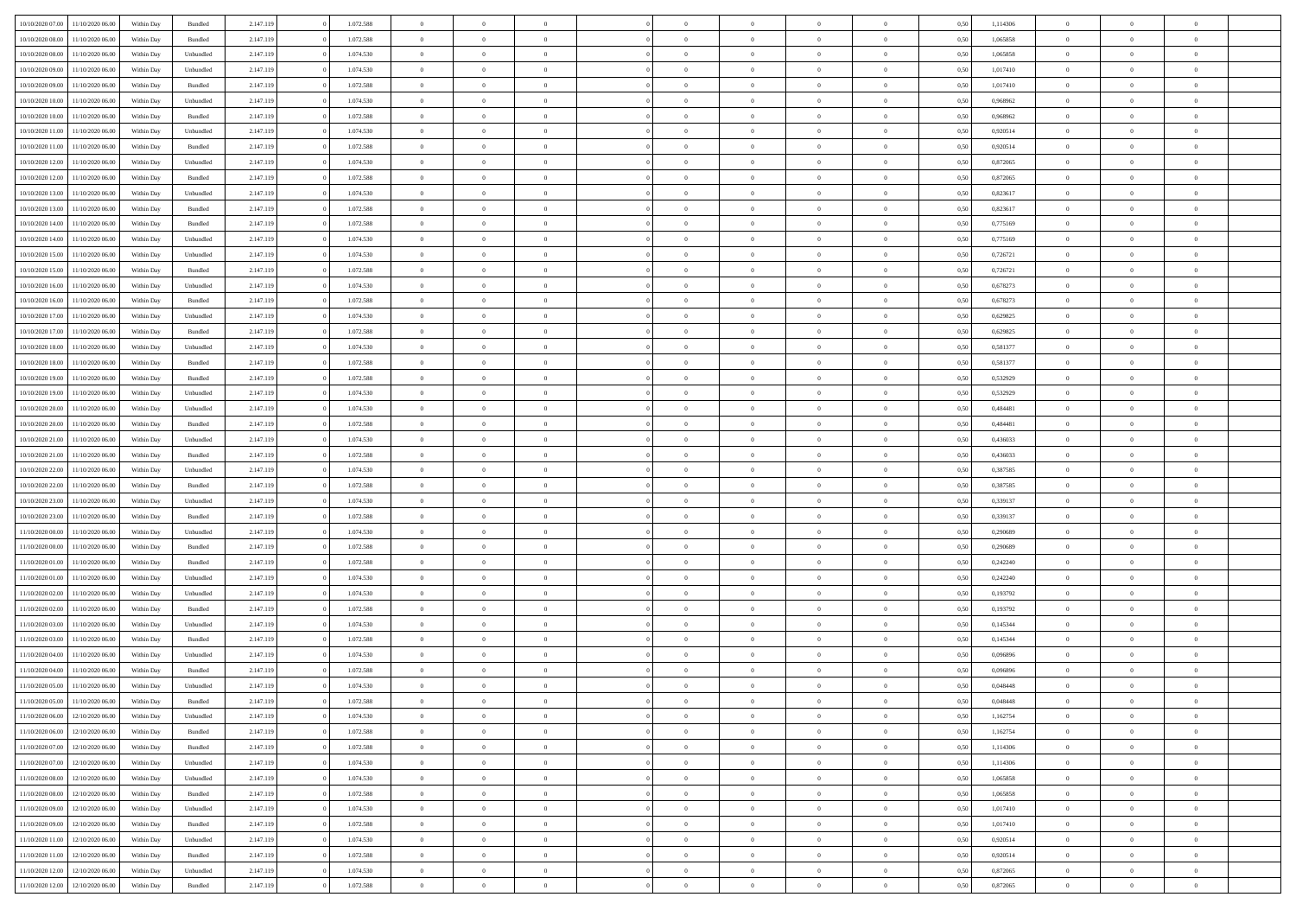| 10/10/2020 07:00 | 11/10/2020 06:00 | Within Dav | Bundled            | 2.147.119 | 1.072.588 | $\overline{0}$ | $\Omega$       |                | $\Omega$       | $\Omega$       | $\Omega$       | $\theta$       | 0.50 | 1,114306 | $\theta$       | $\theta$       | $\theta$       |  |
|------------------|------------------|------------|--------------------|-----------|-----------|----------------|----------------|----------------|----------------|----------------|----------------|----------------|------|----------|----------------|----------------|----------------|--|
|                  |                  |            |                    |           |           |                |                |                |                |                |                |                |      |          |                |                |                |  |
| 10/10/2020 08:00 | 11/10/2020 06.00 | Within Day | Bundled            | 2.147.119 | 1.072.588 | $\overline{0}$ | $\theta$       | $\overline{0}$ | $\overline{0}$ | $\bf{0}$       | $\overline{0}$ | $\overline{0}$ | 0,50 | 1,065858 | $\theta$       | $\overline{0}$ | $\overline{0}$ |  |
| 10/10/2020 08:00 | 11/10/2020 06.00 | Within Day | Unbundled          | 2.147.119 | 1.074.530 | $\overline{0}$ | $\overline{0}$ | $\overline{0}$ | $\overline{0}$ | $\bf{0}$       | $\overline{0}$ | $\bf{0}$       | 0,50 | 1,065858 | $\overline{0}$ | $\overline{0}$ | $\overline{0}$ |  |
| 10/10/2020 09:00 | 11/10/2020 06:00 | Within Dav | Unbundled          | 2.147.119 | 1.074.530 | $\overline{0}$ | $\overline{0}$ | $\overline{0}$ | $\overline{0}$ | $\bf{0}$       | $\overline{0}$ | $\overline{0}$ | 0.50 | 1,017410 | $\theta$       | $\theta$       | $\overline{0}$ |  |
|                  |                  |            |                    |           |           |                |                |                |                |                |                |                |      |          |                |                |                |  |
| 10/10/2020 09:00 | 11/10/2020 06.00 | Within Day | Bundled            | 2.147.119 | 1.072.588 | $\overline{0}$ | $\theta$       | $\overline{0}$ | $\overline{0}$ | $\bf{0}$       | $\overline{0}$ | $\bf{0}$       | 0,50 | 1,017410 | $\theta$       | $\theta$       | $\overline{0}$ |  |
| 10/10/2020 10:00 | 11/10/2020 06.00 | Within Day | Unbundled          | 2.147.119 | 1.074.530 | $\overline{0}$ | $\bf{0}$       | $\overline{0}$ | $\overline{0}$ | $\overline{0}$ | $\overline{0}$ | $\mathbf{0}$   | 0,50 | 0,968962 | $\overline{0}$ | $\overline{0}$ | $\bf{0}$       |  |
| 10/10/2020 10:00 | 11/10/2020 06.00 | Within Dav | Bundled            | 2.147.119 | 1.072.588 | $\overline{0}$ | $\overline{0}$ | $\overline{0}$ | $\overline{0}$ | $\overline{0}$ | $\overline{0}$ | $\overline{0}$ | 0.50 | 0.968962 | $\theta$       | $\overline{0}$ | $\overline{0}$ |  |
| 10/10/2020 11:00 | 11/10/2020 06.00 | Within Day | Unbundled          | 2.147.119 | 1.074.530 | $\overline{0}$ | $\theta$       | $\overline{0}$ | $\overline{0}$ | $\bf{0}$       | $\overline{0}$ | $\bf{0}$       | 0,50 | 0,920514 | $\theta$       | $\theta$       | $\overline{0}$ |  |
|                  |                  |            |                    |           |           |                |                |                |                |                |                |                |      |          |                |                |                |  |
| 10/10/2020 11:00 | 11/10/2020 06.00 | Within Day | Bundled            | 2.147.119 | 1.072.588 | $\overline{0}$ | $\overline{0}$ | $\overline{0}$ | $\overline{0}$ | $\bf{0}$       | $\overline{0}$ | $\bf{0}$       | 0,50 | 0,920514 | $\,0\,$        | $\overline{0}$ | $\overline{0}$ |  |
| 10/10/2020 12:00 | 11/10/2020 06:00 | Within Dav | Unbundled          | 2.147.119 | 1.074.530 | $\overline{0}$ | $\overline{0}$ | $\overline{0}$ | $\overline{0}$ | $\overline{0}$ | $\overline{0}$ | $\overline{0}$ | 0.50 | 0,872065 | $\theta$       | $\overline{0}$ | $\overline{0}$ |  |
| 10/10/2020 12:00 | 11/10/2020 06.00 | Within Day | Bundled            | 2.147.119 | 1.072.588 | $\overline{0}$ | $\theta$       | $\overline{0}$ | $\overline{0}$ | $\bf{0}$       | $\overline{0}$ | $\bf{0}$       | 0,50 | 0,872065 | $\,$ 0 $\,$    | $\theta$       | $\overline{0}$ |  |
| 10/10/2020 13:00 | 11/10/2020 06.00 | Within Day | Unbundled          | 2.147.119 | 1.074.530 | $\overline{0}$ | $\overline{0}$ | $\overline{0}$ | $\overline{0}$ | $\bf{0}$       | $\overline{0}$ | $\bf{0}$       | 0,50 | 0,823617 | $\bf{0}$       | $\overline{0}$ | $\overline{0}$ |  |
|                  |                  |            |                    |           |           |                |                |                |                |                |                |                |      |          |                |                |                |  |
| 10/10/2020 13:00 | 11/10/2020 06:00 | Within Dav | Bundled            | 2.147.119 | 1.072.588 | $\overline{0}$ | $\overline{0}$ | $\overline{0}$ | $\overline{0}$ | $\bf{0}$       | $\overline{0}$ | $\overline{0}$ | 0.50 | 0,823617 | $\theta$       | $\theta$       | $\overline{0}$ |  |
| 10/10/2020 14:00 | 11/10/2020 06.00 | Within Day | Bundled            | 2.147.119 | 1.072.588 | $\overline{0}$ | $\theta$       | $\overline{0}$ | $\overline{0}$ | $\bf{0}$       | $\overline{0}$ | $\overline{0}$ | 0,50 | 0,775169 | $\theta$       | $\theta$       | $\overline{0}$ |  |
| 10/10/2020 14:00 | 11/10/2020 06.00 | Within Day | Unbundled          | 2.147.119 | 1.074.530 | $\overline{0}$ | $\bf{0}$       | $\overline{0}$ | $\overline{0}$ | $\overline{0}$ | $\overline{0}$ | $\mathbf{0}$   | 0,50 | 0,775169 | $\bf{0}$       | $\overline{0}$ | $\bf{0}$       |  |
| 10/10/2020 15:00 | 11/10/2020 06:00 | Within Dav | Unbundled          | 2.147.119 | 1.074.530 | $\overline{0}$ | $\overline{0}$ | $\overline{0}$ | $\overline{0}$ | $\overline{0}$ | $\overline{0}$ | $\overline{0}$ | 0.50 | 0,726721 | $\theta$       | $\overline{0}$ | $\overline{0}$ |  |
|                  |                  |            |                    |           |           |                |                |                |                |                |                |                |      |          |                |                |                |  |
| 10/10/2020 15:00 | 11/10/2020 06.00 | Within Day | Bundled            | 2.147.119 | 1.072.588 | $\overline{0}$ | $\theta$       | $\overline{0}$ | $\overline{0}$ | $\bf{0}$       | $\overline{0}$ | $\bf{0}$       | 0,50 | 0,726721 | $\theta$       | $\theta$       | $\overline{0}$ |  |
| 10/10/2020 16:00 | 11/10/2020 06.00 | Within Day | Unbundled          | 2.147.119 | 1.074.530 | $\overline{0}$ | $\overline{0}$ | $\overline{0}$ | $\bf{0}$       | $\bf{0}$       | $\bf{0}$       | $\bf{0}$       | 0,50 | 0,678273 | $\,0\,$        | $\overline{0}$ | $\overline{0}$ |  |
| 10/10/2020 16:00 | 11/10/2020 06:00 | Within Day | Bundled            | 2.147.119 | 1.072.588 | $\overline{0}$ | $\overline{0}$ | $\overline{0}$ | $\overline{0}$ | $\overline{0}$ | $\overline{0}$ | $\overline{0}$ | 0.50 | 0,678273 | $\theta$       | $\overline{0}$ | $\overline{0}$ |  |
| 10/10/2020 17:00 | 11/10/2020 06.00 | Within Day | Unbundled          | 2.147.119 | 1.074.530 | $\overline{0}$ | $\theta$       | $\overline{0}$ | $\overline{0}$ | $\bf{0}$       | $\overline{0}$ | $\bf{0}$       | 0,50 | 0,629825 | $\,$ 0 $\,$    | $\theta$       | $\overline{0}$ |  |
|                  |                  |            |                    |           |           |                |                |                |                |                |                |                |      |          |                |                |                |  |
| 10/10/2020 17.00 | 11/10/2020 06.00 | Within Day | Bundled            | 2.147.119 | 1.072.588 | $\overline{0}$ | $\overline{0}$ | $\overline{0}$ | $\bf{0}$       | $\bf{0}$       | $\bf{0}$       | $\bf{0}$       | 0,50 | 0,629825 | $\,0\,$        | $\overline{0}$ | $\overline{0}$ |  |
| 10/10/2020 18:00 | 11/10/2020 06:00 | Within Day | Unbundled          | 2.147.119 | 1.074.530 | $\overline{0}$ | $\overline{0}$ | $\overline{0}$ | $\overline{0}$ | $\bf{0}$       | $\overline{0}$ | $\overline{0}$ | 0.50 | 0,581377 | $\theta$       | $\theta$       | $\overline{0}$ |  |
| 10/10/2020 18:00 | 11/10/2020 06.00 | Within Day | Bundled            | 2.147.119 | 1.072.588 | $\overline{0}$ | $\theta$       | $\overline{0}$ | $\overline{0}$ | $\bf{0}$       | $\overline{0}$ | $\bf{0}$       | 0,50 | 0,581377 | $\,$ 0 $\,$    | $\overline{0}$ | $\overline{0}$ |  |
| 10/10/2020 19:00 | 11/10/2020 06.00 | Within Day | Bundled            | 2.147.119 | 1.072.588 | $\overline{0}$ | $\bf{0}$       | $\overline{0}$ | $\bf{0}$       | $\overline{0}$ | $\overline{0}$ | $\mathbf{0}$   | 0,50 | 0,532929 | $\bf{0}$       | $\overline{0}$ | $\bf{0}$       |  |
| 10/10/2020 19:00 | 11/10/2020 06.00 | Within Dav | Unbundled          | 2.147.119 | 1.074.530 | $\overline{0}$ | $\overline{0}$ | $\overline{0}$ | $\overline{0}$ | $\overline{0}$ | $\overline{0}$ | $\overline{0}$ | 0.50 | 0,532929 | $\theta$       | $\overline{0}$ | $\overline{0}$ |  |
|                  |                  |            |                    |           |           |                |                |                |                |                |                |                |      |          |                |                |                |  |
| 10/10/2020 20:00 | 11/10/2020 06.00 | Within Day | Unbundled          | 2.147.119 | 1.074.530 | $\overline{0}$ | $\theta$       | $\overline{0}$ | $\overline{0}$ | $\bf{0}$       | $\overline{0}$ | $\bf{0}$       | 0,50 | 0,484481 | $\theta$       | $\theta$       | $\overline{0}$ |  |
| 10/10/2020 20:00 | 11/10/2020 06.00 | Within Day | Bundled            | 2.147.119 | 1.072.588 | $\overline{0}$ | $\overline{0}$ | $\overline{0}$ | $\bf{0}$       | $\bf{0}$       | $\bf{0}$       | $\bf{0}$       | 0,50 | 0,484481 | $\,0\,$        | $\overline{0}$ | $\overline{0}$ |  |
| 10/10/2020 21:00 | 11/10/2020 06:00 | Within Day | Unbundled          | 2.147.119 | 1.074.530 | $\overline{0}$ | $\overline{0}$ | $\overline{0}$ | $\overline{0}$ | $\overline{0}$ | $\overline{0}$ | $\overline{0}$ | 0.50 | 0,436033 | $\theta$       | $\overline{0}$ | $\overline{0}$ |  |
| 10/10/2020 21:00 | 11/10/2020 06.00 | Within Day | Bundled            | 2.147.119 | 1.072.588 | $\overline{0}$ | $\theta$       | $\overline{0}$ | $\overline{0}$ | $\bf{0}$       | $\overline{0}$ | $\bf{0}$       | 0,50 | 0,436033 | $\,$ 0 $\,$    | $\overline{0}$ | $\overline{0}$ |  |
|                  |                  |            |                    |           |           |                |                |                |                |                |                |                |      |          |                |                |                |  |
| 10/10/2020 22.00 | 11/10/2020 06.00 | Within Day | Unbundled          | 2.147.119 | 1.074.530 | $\overline{0}$ | $\overline{0}$ | $\overline{0}$ | $\bf{0}$       | $\bf{0}$       | $\bf{0}$       | $\bf{0}$       | 0,50 | 0,387585 | $\bf{0}$       | $\overline{0}$ | $\overline{0}$ |  |
| 10/10/2020 22.00 | 11/10/2020 06.00 | Within Day | Bundled            | 2.147.119 | 1.072.588 | $\overline{0}$ | $\Omega$       | $\Omega$       | $\Omega$       | $\Omega$       | $\Omega$       | $\overline{0}$ | 0.50 | 0,387585 | $\,0\,$        | $\theta$       | $\theta$       |  |
| 10/10/2020 23:00 | 11/10/2020 06.00 | Within Day | Unbundled          | 2.147.119 | 1.074.530 | $\overline{0}$ | $\theta$       | $\overline{0}$ | $\overline{0}$ | $\bf{0}$       | $\overline{0}$ | $\bf{0}$       | 0,50 | 0,339137 | $\theta$       | $\theta$       | $\overline{0}$ |  |
| 10/10/2020 23:00 | 11/10/2020 06.00 | Within Day | Bundled            | 2.147.119 | 1.072.588 | $\overline{0}$ | $\overline{0}$ | $\overline{0}$ | $\bf{0}$       | $\bf{0}$       | $\overline{0}$ | $\mathbf{0}$   | 0,50 | 0,339137 | $\bf{0}$       | $\overline{0}$ | $\bf{0}$       |  |
|                  |                  |            |                    |           |           |                |                |                |                |                |                |                |      |          |                |                |                |  |
| 11/10/2020 00:00 | 11/10/2020 06.00 | Within Day | Unbundled          | 2.147.119 | 1.074.530 | $\overline{0}$ | $\Omega$       | $\Omega$       | $\Omega$       | $\bf{0}$       | $\overline{0}$ | $\overline{0}$ | 0.50 | 0,290689 | $\,0\,$        | $\theta$       | $\theta$       |  |
| 11/10/2020 00:00 | 11/10/2020 06.00 | Within Day | Bundled            | 2.147.119 | 1.072.588 | $\overline{0}$ | $\theta$       | $\overline{0}$ | $\overline{0}$ | $\bf{0}$       | $\overline{0}$ | $\bf{0}$       | 0,50 | 0,290689 | $\theta$       | $\theta$       | $\overline{0}$ |  |
| 11/10/2020 01:00 | 11/10/2020 06.00 | Within Day | Bundled            | 2.147.119 | 1.072.588 | $\overline{0}$ | $\overline{0}$ | $\overline{0}$ | $\bf{0}$       | $\bf{0}$       | $\bf{0}$       | $\bf{0}$       | 0,50 | 0,242240 | $\bf{0}$       | $\overline{0}$ | $\overline{0}$ |  |
| 11/10/2020 01:00 | 11/10/2020 06:00 | Within Day | Unbundled          | 2.147.119 | 1.074.530 | $\overline{0}$ | $\Omega$       | $\Omega$       | $\Omega$       | $\Omega$       | $\theta$       | $\overline{0}$ | 0.50 | 0,242240 | $\,$ 0 $\,$    | $\theta$       | $\theta$       |  |
| 11/10/2020 02:00 | 11/10/2020 06.00 | Within Day | Unbundled          | 2.147.119 | 1.074.530 | $\overline{0}$ | $\theta$       | $\overline{0}$ | $\overline{0}$ | $\bf{0}$       | $\overline{0}$ | $\bf{0}$       | 0,50 | 0,193792 | $\,$ 0 $\,$    | $\overline{0}$ | $\overline{0}$ |  |
|                  |                  |            |                    |           |           |                |                |                |                |                |                |                |      |          |                |                |                |  |
| 11/10/2020 02.00 | 11/10/2020 06.00 | Within Day | Bundled            | 2.147.119 | 1.072.588 | $\overline{0}$ | $\overline{0}$ | $\overline{0}$ | $\bf{0}$       | $\bf{0}$       | $\bf{0}$       | $\bf{0}$       | 0,50 | 0,193792 | $\overline{0}$ | $\overline{0}$ | $\overline{0}$ |  |
| 11/10/2020 03:00 | 11/10/2020 06.00 | Within Day | Unbundled          | 2.147.119 | 1.074.530 | $\overline{0}$ | $\Omega$       | $\Omega$       | $\Omega$       | $\Omega$       | $\overline{0}$ | $\overline{0}$ | 0.50 | 0,145344 | $\,0\,$        | $\theta$       | $\theta$       |  |
| 11/10/2020 03:00 | 11/10/2020 06.00 | Within Day | Bundled            | 2.147.119 | 1.072.588 | $\overline{0}$ | $\theta$       | $\overline{0}$ | $\overline{0}$ | $\bf{0}$       | $\overline{0}$ | $\bf{0}$       | 0,50 | 0,145344 | $\,$ 0 $\,$    | $\overline{0}$ | $\overline{0}$ |  |
| 11/10/2020 04.00 | 11/10/2020 06.00 | Within Day | Unbundled          | 2.147.119 | 1.074.530 | $\overline{0}$ | $\overline{0}$ | $\overline{0}$ | $\bf{0}$       | $\bf{0}$       | $\bf{0}$       | $\mathbf{0}$   | 0,50 | 0,096896 | $\overline{0}$ | $\overline{0}$ | $\bf{0}$       |  |
|                  |                  |            |                    |           |           |                |                |                |                |                |                |                |      |          |                |                |                |  |
| 11/10/2020 04:00 | 11/10/2020 06.00 | Within Day | Bundled            | 2.147.119 | 1.072.588 | $\overline{0}$ | $\Omega$       | $\Omega$       | $\Omega$       | $\Omega$       | $\Omega$       | $\overline{0}$ | 0.50 | 0.096896 | $\theta$       | $\theta$       | $\theta$       |  |
| 11/10/2020 05:00 | 11/10/2020 06:00 | Within Day | Unbundled          | 2.147.119 | 1.074.530 | $\overline{0}$ | $\,$ 0 $\,$    | $\overline{0}$ | $\bf{0}$       | $\,$ 0         | $\bf{0}$       | $\bf{0}$       | 0,50 | 0,048448 | $\,0\,$        | $\overline{0}$ | $\overline{0}$ |  |
| 11/10/2020 05:00 | 11/10/2020 06.00 | Within Day | $\mathbf B$ undled | 2.147.119 | 1.072.588 | $\bf{0}$       | $\bf{0}$       |                |                |                |                |                | 0,50 | 0,048448 | $\bf{0}$       | $\overline{0}$ |                |  |
| 11/10/2020 06.00 | 12/10/2020 06:00 | Within Day | Unbundled          | 2.147.119 | 1.074.530 | $\overline{0}$ | $\overline{0}$ | $\overline{0}$ | $\Omega$       | $\theta$       | $\overline{0}$ | $\overline{0}$ | 0,50 | 1,162754 | $\theta$       | $\theta$       | $\theta$       |  |
| 11/10/2020 06:00 | 12/10/2020 06.00 | Within Day | Bundled            | 2.147.119 | 1.072.588 | $\overline{0}$ | $\,$ 0         | $\overline{0}$ | $\bf{0}$       | $\,$ 0 $\,$    | $\overline{0}$ | $\mathbf{0}$   | 0,50 | 1,162754 | $\,$ 0 $\,$    | $\,$ 0 $\,$    | $\,$ 0         |  |
|                  |                  |            |                    |           |           |                |                |                |                |                |                |                |      |          |                |                |                |  |
| 11/10/2020 07.00 | 12/10/2020 06:00 | Within Day | Bundled            | 2.147.119 | 1.072.588 | $\overline{0}$ | $\overline{0}$ | $\overline{0}$ | $\overline{0}$ | $\overline{0}$ | $\overline{0}$ | $\mathbf{0}$   | 0,50 | 1,114306 | $\overline{0}$ | $\bf{0}$       | $\bf{0}$       |  |
| 11/10/2020 07:00 | 12/10/2020 06:00 | Within Day | Unbundled          | 2.147.119 | 1.074.530 | $\overline{0}$ | $\overline{0}$ | $\overline{0}$ | $\Omega$       | $\overline{0}$ | $\overline{0}$ | $\bf{0}$       | 0,50 | 1,114306 | $\overline{0}$ | $\theta$       | $\overline{0}$ |  |
| 11/10/2020 08:00 | 12/10/2020 06.00 | Within Day | Unbundled          | 2.147.119 | 1.074.530 | $\overline{0}$ | $\,$ 0         | $\overline{0}$ | $\overline{0}$ | $\overline{0}$ | $\overline{0}$ | $\bf{0}$       | 0,50 | 1,065858 | $\,$ 0 $\,$    | $\overline{0}$ | $\overline{0}$ |  |
| 11/10/2020 08:00 | 12/10/2020 06:00 | Within Day | Bundled            | 2.147.119 | 1.072.588 | $\overline{0}$ | $\overline{0}$ | $\overline{0}$ | $\overline{0}$ | $\overline{0}$ | $\overline{0}$ | $\mathbf{0}$   | 0,50 | 1,065858 | $\overline{0}$ | $\overline{0}$ | $\bf{0}$       |  |
|                  |                  |            |                    |           |           |                |                |                |                |                |                |                |      |          |                |                |                |  |
| 11/10/2020 09:00 | 12/10/2020 06:00 | Within Day | Unbundled          | 2.147.119 | 1.074.530 | $\overline{0}$ | $\overline{0}$ | $\overline{0}$ | $\Omega$       | $\overline{0}$ | $\overline{0}$ | $\bf{0}$       | 0.50 | 1,017410 | $\overline{0}$ | $\theta$       | $\overline{0}$ |  |
| 11/10/2020 09:00 | 12/10/2020 06.00 | Within Day | Bundled            | 2.147.119 | 1.072.588 | $\overline{0}$ | $\,$ 0         | $\overline{0}$ | $\bf{0}$       | $\bf{0}$       | $\bf{0}$       | $\bf{0}$       | 0,50 | 1,017410 | $\,$ 0 $\,$    | $\overline{0}$ | $\overline{0}$ |  |
| 11/10/2020 11:00 | 12/10/2020 06:00 | Within Day | Unbundled          | 2.147.119 | 1.074.530 | $\overline{0}$ | $\bf{0}$       | $\overline{0}$ | $\overline{0}$ | $\overline{0}$ | $\bf{0}$       | $\mathbf{0}$   | 0,50 | 0,920514 | $\overline{0}$ | $\overline{0}$ | $\bf{0}$       |  |
| 11/10/2020 11:00 | 12/10/2020 06:00 | Within Day | Bundled            | 2.147.119 | 1.072.588 | $\overline{0}$ | $\overline{0}$ | $\overline{0}$ | $\Omega$       | $\overline{0}$ | $\overline{0}$ | $\bf{0}$       | 0,50 | 0,920514 | $\overline{0}$ | $\theta$       | $\overline{0}$ |  |
|                  |                  |            |                    |           |           |                |                |                |                |                |                |                |      |          |                |                |                |  |
| 11/10/2020 12:00 | 12/10/2020 06.00 | Within Day | Unbundled          | 2.147.119 | 1.074.530 | $\overline{0}$ | $\bf{0}$       | $\overline{0}$ | $\overline{0}$ | $\bf{0}$       | $\bf{0}$       | $\mathbf{0}$   | 0,50 | 0,872065 | $\,$ 0 $\,$    | $\,$ 0 $\,$    | $\bf{0}$       |  |
| 11/10/2020 12:00 | 12/10/2020 06.00 | Within Day | Bundled            | 2.147.119 | 1.072.588 | $\overline{0}$ | $\overline{0}$ | $\overline{0}$ | $\overline{0}$ | $\bf{0}$       | $\overline{0}$ | $\mathbf{0}$   | 0,50 | 0,872065 | $\overline{0}$ | $\bf{0}$       | $\bf{0}$       |  |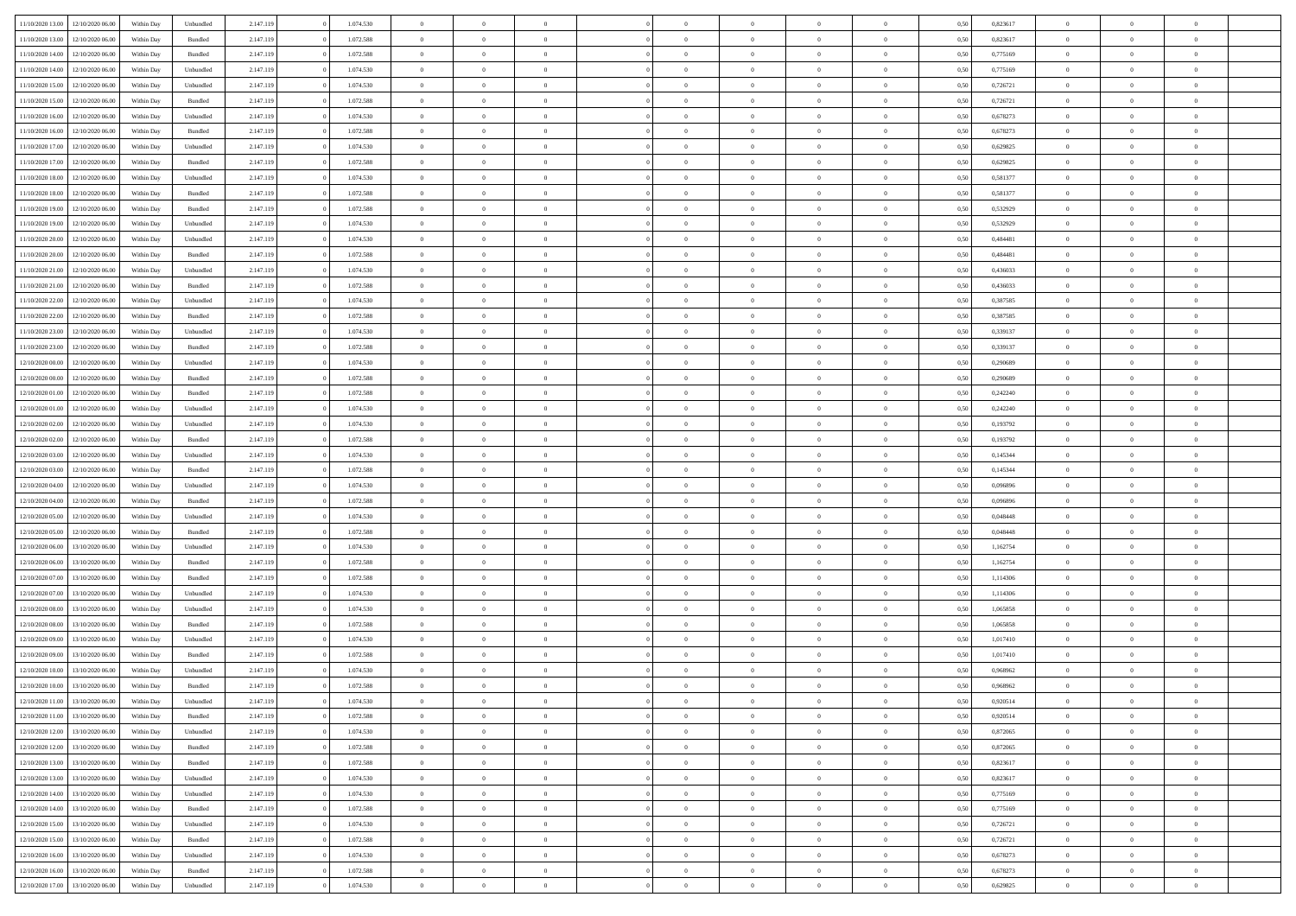|                                   |                  |            |                    |           |           |                |                |                |                | $\Omega$       | $\theta$       | $\theta$       |      |          | $\theta$       | $\overline{0}$ |                |  |
|-----------------------------------|------------------|------------|--------------------|-----------|-----------|----------------|----------------|----------------|----------------|----------------|----------------|----------------|------|----------|----------------|----------------|----------------|--|
| 11/10/2020 13:00                  | 12/10/2020 06:00 | Within Dav | Unbundled          | 2.147.119 | 1.074.530 | $\overline{0}$ | $\theta$       |                | $\Omega$       |                |                |                | 0.50 | 0,823617 |                |                | $\overline{0}$ |  |
| 11/10/2020 13:00                  | 12/10/2020 06.00 | Within Day | Bundled            | 2.147.119 | 1.072.588 | $\overline{0}$ | $\theta$       | $\overline{0}$ | $\overline{0}$ | $\bf{0}$       | $\overline{0}$ | $\bf{0}$       | 0,50 | 0,823617 | $\theta$       | $\overline{0}$ | $\overline{0}$ |  |
| 11/10/2020 14:00                  | 12/10/2020 06:00 | Within Day | Bundled            | 2.147.119 | 1.072.588 | $\overline{0}$ | $\bf{0}$       | $\overline{0}$ | $\overline{0}$ | $\bf{0}$       | $\overline{0}$ | $\mathbf{0}$   | 0,50 | 0,775169 | $\bf{0}$       | $\overline{0}$ | $\overline{0}$ |  |
| 11/10/2020 14:00                  | 12/10/2020 06:00 | Within Dav | Unbundled          | 2.147.119 | 1.074.530 | $\overline{0}$ | $\overline{0}$ | $\overline{0}$ | $\overline{0}$ | $\bf{0}$       | $\overline{0}$ | $\overline{0}$ | 0.50 | 0,775169 | $\theta$       | $\overline{0}$ | $\overline{0}$ |  |
|                                   |                  |            |                    |           |           |                |                |                |                |                |                |                |      |          |                |                |                |  |
| 11/10/2020 15:00                  | 12/10/2020 06.00 | Within Day | Unbundled          | 2.147.119 | 1.074.530 | $\overline{0}$ | $\theta$       | $\overline{0}$ | $\overline{0}$ | $\bf{0}$       | $\overline{0}$ | $\bf{0}$       | 0,50 | 0,726721 | $\,$ 0 $\,$    | $\overline{0}$ | $\overline{0}$ |  |
| 11/10/2020 15:00                  | 12/10/2020 06:00 | Within Day | Bundled            | 2.147.119 | 1.072.588 | $\overline{0}$ | $\overline{0}$ | $\overline{0}$ | $\overline{0}$ | $\overline{0}$ | $\overline{0}$ | $\mathbf{0}$   | 0,50 | 0,726721 | $\bf{0}$       | $\overline{0}$ | $\bf{0}$       |  |
| 11/10/2020 16:00                  | 12/10/2020 06.00 | Within Dav | Unbundled          | 2.147.119 | 1.074.530 | $\overline{0}$ | $\overline{0}$ | $\overline{0}$ | $\overline{0}$ | $\overline{0}$ | $\overline{0}$ | $\overline{0}$ | 0.50 | 0,678273 | $\theta$       | $\overline{0}$ | $\overline{0}$ |  |
| 11/10/2020 16:00                  | 12/10/2020 06.00 | Within Day | Bundled            | 2.147.119 | 1.072.588 | $\overline{0}$ | $\theta$       | $\overline{0}$ | $\overline{0}$ | $\bf{0}$       | $\overline{0}$ | $\bf{0}$       | 0,50 | 0,678273 | $\theta$       | $\theta$       | $\overline{0}$ |  |
|                                   |                  |            |                    |           |           |                | $\overline{0}$ |                |                | $\bf{0}$       |                |                |      |          | $\,0\,$        | $\overline{0}$ | $\overline{0}$ |  |
| 11/10/2020 17:00                  | 12/10/2020 06:00 | Within Day | Unbundled          | 2.147.119 | 1.074.530 | $\overline{0}$ |                | $\overline{0}$ | $\overline{0}$ |                | $\overline{0}$ | $\bf{0}$       | 0,50 | 0,629825 |                |                |                |  |
| 11/10/2020 17:00                  | 12/10/2020 06:00 | Within Dav | Bundled            | 2.147.119 | 1.072.588 | $\overline{0}$ | $\overline{0}$ | $\overline{0}$ | $\overline{0}$ | $\overline{0}$ | $\overline{0}$ | $\overline{0}$ | 0.50 | 0,629825 | $\theta$       | $\overline{0}$ | $\overline{0}$ |  |
| 11/10/2020 18:00                  | 12/10/2020 06.00 | Within Day | Unbundled          | 2.147.119 | 1.074.530 | $\overline{0}$ | $\theta$       | $\overline{0}$ | $\overline{0}$ | $\bf{0}$       | $\overline{0}$ | $\bf{0}$       | 0,50 | 0,581377 | $\,$ 0 $\,$    | $\overline{0}$ | $\overline{0}$ |  |
| 11/10/2020 18.00                  | 12/10/2020 06:00 | Within Day | Bundled            | 2.147.119 | 1.072.588 | $\overline{0}$ | $\overline{0}$ | $\overline{0}$ | $\overline{0}$ | $\bf{0}$       | $\overline{0}$ | $\mathbf{0}$   | 0,50 | 0,581377 | $\bf{0}$       | $\overline{0}$ | $\bf{0}$       |  |
| 11/10/2020 19:00                  | 12/10/2020 06:00 | Within Day | Bundled            | 2.147.119 | 1.072.588 | $\overline{0}$ | $\overline{0}$ | $\overline{0}$ | $\overline{0}$ | $\bf{0}$       | $\overline{0}$ | $\overline{0}$ | 0.50 | 0,532929 | $\theta$       | $\theta$       | $\overline{0}$ |  |
|                                   |                  |            |                    |           |           | $\overline{0}$ | $\theta$       | $\overline{0}$ | $\overline{0}$ | $\bf{0}$       | $\overline{0}$ |                |      |          | $\theta$       | $\overline{0}$ | $\overline{0}$ |  |
| 11/10/2020 19:00                  | 12/10/2020 06.00 | Within Day | Unbundled          | 2.147.119 | 1.074.530 |                |                |                |                |                |                | $\bf{0}$       | 0,50 | 0,532929 |                |                |                |  |
| 11/10/2020 20:00                  | 12/10/2020 06:00 | Within Day | Unbundled          | 2.147.119 | 1.074.530 | $\overline{0}$ | $\overline{0}$ | $\overline{0}$ | $\overline{0}$ | $\overline{0}$ | $\overline{0}$ | $\mathbf{0}$   | 0,50 | 0,484481 | $\bf{0}$       | $\overline{0}$ | $\bf{0}$       |  |
| 11/10/2020 20:00                  | 12/10/2020 06:00 | Within Dav | Bundled            | 2.147.119 | 1.072.588 | $\overline{0}$ | $\overline{0}$ | $\overline{0}$ | $\overline{0}$ | $\overline{0}$ | $\overline{0}$ | $\overline{0}$ | 0.50 | 0,484481 | $\theta$       | $\overline{0}$ | $\overline{0}$ |  |
| 11/10/2020 21.00                  | 12/10/2020 06.00 | Within Day | Unbundled          | 2.147.119 | 1.074.530 | $\overline{0}$ | $\theta$       | $\overline{0}$ | $\overline{0}$ | $\bf{0}$       | $\overline{0}$ | $\bf{0}$       | 0,50 | 0,436033 | $\theta$       | $\theta$       | $\overline{0}$ |  |
| 11/10/2020 21:00                  | 12/10/2020 06:00 | Within Day | Bundled            | 2.147.119 | 1.072.588 | $\overline{0}$ | $\overline{0}$ | $\overline{0}$ | $\overline{0}$ | $\bf{0}$       | $\overline{0}$ | $\bf{0}$       | 0,50 | 0,436033 | $\bf{0}$       | $\overline{0}$ | $\overline{0}$ |  |
|                                   |                  |            |                    |           |           |                |                |                |                |                |                |                |      |          |                |                |                |  |
| 11/10/2020 22.00                  | 12/10/2020 06.00 | Within Day | Unbundled          | 2.147.119 | 1.074.530 | $\overline{0}$ | $\overline{0}$ | $\overline{0}$ | $\overline{0}$ | $\overline{0}$ | $\overline{0}$ | $\overline{0}$ | 0.50 | 0,387585 | $\theta$       | $\overline{0}$ | $\overline{0}$ |  |
| 11/10/2020 22.00                  | 12/10/2020 06.00 | Within Day | Bundled            | 2.147.119 | 1.072.588 | $\overline{0}$ | $\theta$       | $\overline{0}$ | $\overline{0}$ | $\bf{0}$       | $\overline{0}$ | $\bf{0}$       | 0,50 | 0,387585 | $\,$ 0 $\,$    | $\overline{0}$ | $\overline{0}$ |  |
| 11/10/2020 23.00                  | 12/10/2020 06:00 | Within Day | Unbundled          | 2.147.119 | 1.074.530 | $\overline{0}$ | $\overline{0}$ | $\overline{0}$ | $\overline{0}$ | $\bf{0}$       | $\overline{0}$ | $\bf{0}$       | 0,50 | 0,339137 | $\bf{0}$       | $\overline{0}$ | $\bf{0}$       |  |
| 11/10/2020 23.00                  | 12/10/2020 06:00 | Within Day | Bundled            | 2.147.119 | 1.072.588 | $\overline{0}$ | $\overline{0}$ | $\overline{0}$ | $\overline{0}$ | $\bf{0}$       | $\overline{0}$ | $\overline{0}$ | 0.50 | 0,339137 | $\theta$       | $\overline{0}$ | $\overline{0}$ |  |
| 12/10/2020 00:00                  | 12/10/2020 06.00 | Within Day | Unbundled          | 2.147.119 | 1.074.530 | $\overline{0}$ | $\theta$       | $\overline{0}$ | $\overline{0}$ | $\bf{0}$       | $\overline{0}$ | $\bf{0}$       | 0,50 | 0,290689 | $\,$ 0 $\,$    | $\overline{0}$ | $\overline{0}$ |  |
|                                   |                  |            |                    |           |           |                |                |                |                |                |                |                |      |          |                |                |                |  |
| 12/10/2020 00:00                  | 12/10/2020 06:00 | Within Day | Bundled            | 2.147.119 | 1.072.588 | $\overline{0}$ | $\overline{0}$ | $\overline{0}$ | $\overline{0}$ | $\overline{0}$ | $\overline{0}$ | $\mathbf{0}$   | 0,50 | 0,290689 | $\bf{0}$       | $\overline{0}$ | $\bf{0}$       |  |
| 12/10/2020 01:00                  | 12/10/2020 06.00 | Within Dav | Bundled            | 2.147.119 | 1.072.588 | $\overline{0}$ | $\overline{0}$ | $\overline{0}$ | $\overline{0}$ | $\overline{0}$ | $\overline{0}$ | $\overline{0}$ | 0.50 | 0,242240 | $\theta$       | $\overline{0}$ | $\overline{0}$ |  |
| 12/10/2020 01:00                  | 12/10/2020 06.00 | Within Day | Unbundled          | 2.147.119 | 1.074.530 | $\overline{0}$ | $\theta$       | $\overline{0}$ | $\overline{0}$ | $\bf{0}$       | $\overline{0}$ | $\bf{0}$       | 0,50 | 0,242240 | $\theta$       | $\theta$       | $\overline{0}$ |  |
| 12/10/2020 02:00                  | 12/10/2020 06:00 | Within Day | Unbundled          | 2.147.119 | 1.074.530 | $\overline{0}$ | $\overline{0}$ | $\overline{0}$ | $\overline{0}$ | $\bf{0}$       | $\overline{0}$ | $\bf{0}$       | 0,50 | 0,193792 | $\,0\,$        | $\overline{0}$ | $\overline{0}$ |  |
| 12/10/2020 02:00                  | 12/10/2020 06:00 | Within Day | Bundled            | 2.147.119 | 1.072.588 | $\overline{0}$ | $\overline{0}$ | $\overline{0}$ | $\overline{0}$ | $\overline{0}$ | $\overline{0}$ | $\overline{0}$ | 0.50 | 0,193792 | $\theta$       | $\overline{0}$ | $\overline{0}$ |  |
|                                   |                  |            |                    |           |           |                |                |                |                |                |                |                |      |          |                |                |                |  |
| 12/10/2020 03:00                  | 12/10/2020 06.00 | Within Day | Unbundled          | 2.147.119 | 1.074.530 | $\overline{0}$ | $\theta$       | $\overline{0}$ | $\overline{0}$ | $\bf{0}$       | $\overline{0}$ | $\bf{0}$       | 0,50 | 0,145344 | $\,$ 0 $\,$    | $\overline{0}$ | $\overline{0}$ |  |
| 12/10/2020 03:00                  | 12/10/2020 06:00 | Within Day | Bundled            | 2.147.119 | 1.072.588 | $\overline{0}$ | $\overline{0}$ | $\overline{0}$ | $\overline{0}$ | $\bf{0}$       | $\overline{0}$ | $\bf{0}$       | 0,50 | 0,145344 | $\bf{0}$       | $\overline{0}$ | $\bf{0}$       |  |
| 12/10/2020 04:00                  | 12/10/2020 06.00 | Within Day | Unbundled          | 2.147.119 | 1.074.530 | $\bf{0}$       | $\Omega$       | $\Omega$       | $\Omega$       | $\Omega$       | $\overline{0}$ | $\overline{0}$ | 0,50 | 0.096896 | $\,0\,$        | $\theta$       | $\theta$       |  |
| 12/10/2020 04:00                  | 12/10/2020 06.00 | Within Day | Bundled            | 2.147.119 | 1.072.588 | $\overline{0}$ | $\theta$       | $\overline{0}$ | $\overline{0}$ | $\bf{0}$       | $\overline{0}$ | $\bf{0}$       | 0,50 | 0,096896 | $\,$ 0 $\,$    | $\overline{0}$ | $\overline{0}$ |  |
|                                   | 12/10/2020 06:00 | Within Day | Unbundled          | 2.147.119 | 1.074.530 | $\overline{0}$ | $\overline{0}$ | $\overline{0}$ | $\bf{0}$       | $\overline{0}$ | $\overline{0}$ | $\mathbf{0}$   | 0,50 | 0,048448 | $\overline{0}$ | $\overline{0}$ | $\bf{0}$       |  |
| 12/10/2020 05:00                  |                  |            |                    |           |           |                |                |                |                |                |                |                |      |          |                |                |                |  |
| 12/10/2020 05:00                  | 12/10/2020 06.00 | Within Day | Bundled            | 2.147.119 | 1.072.588 | $\overline{0}$ | $\Omega$       | $\Omega$       | $\Omega$       | $\bf{0}$       | $\overline{0}$ | $\overline{0}$ | 0.50 | 0.048448 | $\,0\,$        | $\theta$       | $\theta$       |  |
| 12/10/2020 06:00                  | 13/10/2020 06.00 | Within Day | Unbundled          | 2.147.119 | 1.074.530 | $\overline{0}$ | $\theta$       | $\overline{0}$ | $\overline{0}$ | $\bf{0}$       | $\overline{0}$ | $\bf{0}$       | 0,50 | 1,162754 | $\,$ 0 $\,$    | $\overline{0}$ | $\overline{0}$ |  |
| 12/10/2020 06:00                  | 13/10/2020 06.00 | Within Day | Bundled            | 2.147.119 | 1.072.588 | $\overline{0}$ | $\overline{0}$ | $\overline{0}$ | $\bf{0}$       | $\bf{0}$       | $\bf{0}$       | $\bf{0}$       | 0,50 | 1,162754 | $\bf{0}$       | $\overline{0}$ | $\bf{0}$       |  |
| 12/10/2020 07:00                  | 13/10/2020 06:00 | Within Day | Bundled            | 2.147.119 | 1.072.588 | $\overline{0}$ | $\Omega$       | $\Omega$       | $\Omega$       | $\overline{0}$ | $\overline{0}$ | $\overline{0}$ | 0.50 | 1,114306 | $\,$ 0 $\,$    | $\theta$       | $\theta$       |  |
| 12/10/2020 07:00                  | 13/10/2020 06.00 | Within Day | Unbundled          | 2.147.119 | 1.074.530 | $\overline{0}$ | $\theta$       | $\overline{0}$ | $\overline{0}$ | $\,$ 0         | $\overline{0}$ | $\bf{0}$       | 0,50 | 1,114306 | $\,$ 0 $\,$    | $\overline{0}$ | $\overline{0}$ |  |
|                                   |                  |            |                    |           |           |                |                |                |                |                |                |                |      |          |                |                |                |  |
| 12/10/2020 08:00                  | 13/10/2020 06:00 | Within Day | Unbundled          | 2.147.119 | 1.074.530 | $\overline{0}$ | $\bf{0}$       | $\overline{0}$ | $\bf{0}$       | $\bf{0}$       | $\bf{0}$       | $\bf{0}$       | 0,50 | 1,065858 | $\overline{0}$ | $\overline{0}$ | $\bf{0}$       |  |
| 12/10/2020 08:00                  | 13/10/2020 06.00 | Within Day | Bundled            | 2.147.119 | 1.072.588 | $\overline{0}$ | $\Omega$       | $\overline{0}$ | $\Omega$       | $\overline{0}$ | $\overline{0}$ | $\overline{0}$ | 0.50 | 1,065858 | $\,0\,$        | $\theta$       | $\theta$       |  |
| 12/10/2020 09:00                  | 13/10/2020 06.00 | Within Day | Unbundled          | 2.147.119 | 1.074.530 | $\overline{0}$ | $\overline{0}$ | $\overline{0}$ | $\overline{0}$ | $\,$ 0         | $\overline{0}$ | $\bf{0}$       | 0,50 | 1,017410 | $\,$ 0 $\,$    | $\overline{0}$ | $\overline{0}$ |  |
| 12/10/2020 09:00                  | 13/10/2020 06.00 | Within Day | Bundled            | 2.147.119 | 1.072.588 | $\overline{0}$ | $\overline{0}$ | $\overline{0}$ | $\bf{0}$       | $\bf{0}$       | $\bf{0}$       | $\mathbf{0}$   | 0,50 | 1,017410 | $\overline{0}$ | $\overline{0}$ | $\bf{0}$       |  |
| 12/10/2020 10:00                  | 13/10/2020 06:00 |            | Unbundled          | 2.147.119 | 1.074.530 | $\overline{0}$ | $\Omega$       | $\Omega$       | $\Omega$       | $\Omega$       | $\Omega$       | $\overline{0}$ | 0.50 | 0.968962 | $\theta$       | $\theta$       | $\theta$       |  |
|                                   |                  | Within Day |                    |           |           |                |                |                |                |                |                |                |      |          |                |                |                |  |
| 12/10/2020 10:00                  | 13/10/2020 06.00 | Within Day | Bundled            | 2.147.119 | 1.072.588 | $\overline{0}$ | $\overline{0}$ | $\overline{0}$ | $\bf{0}$       | $\,$ 0         | $\bf{0}$       | $\bf{0}$       | 0,50 | 0,968962 | $\,0\,$        | $\,$ 0 $\,$    | $\overline{0}$ |  |
| 12/10/2020 11:00                  | 13/10/2020 06:00 | Within Day | Unbundled          | 2.147.119 | 1.074.530 | $\bf{0}$       | $\bf{0}$       |                |                | $\bf{0}$       |                |                | 0,50 | 0,920514 | $\bf{0}$       | $\overline{0}$ |                |  |
| 12/10/2020 11:00                  | 13/10/2020 06:00 | Within Day | Bundled            | 2.147.119 | 1.072.588 | $\overline{0}$ | $\overline{0}$ | $\overline{0}$ | $\Omega$       | $\theta$       | $\overline{0}$ | $\overline{0}$ | 0.50 | 0.920514 | $\theta$       | $\theta$       | $\theta$       |  |
| 12/10/2020 12:00                  | 13/10/2020 06.00 | Within Day | Unbundled          | 2.147.119 | 1.074.530 | $\overline{0}$ | $\,$ 0         | $\overline{0}$ | $\bf{0}$       | $\,$ 0 $\,$    | $\overline{0}$ | $\mathbf{0}$   | 0,50 | 0,872065 | $\,$ 0 $\,$    | $\,$ 0 $\,$    | $\,$ 0         |  |
| 12/10/2020 12:00                  | 13/10/2020 06:00 | Within Day | Bundled            | 2.147.119 | 1.072.588 | $\overline{0}$ | $\overline{0}$ | $\overline{0}$ | $\overline{0}$ | $\overline{0}$ | $\overline{0}$ | $\mathbf{0}$   | 0,50 | 0,872065 | $\overline{0}$ | $\bf{0}$       | $\bf{0}$       |  |
|                                   |                  |            |                    |           |           |                |                |                |                |                |                |                |      |          |                |                |                |  |
| 12/10/2020 13:00                  | 13/10/2020 06:00 | Within Day | $\mathbf B$ undled | 2.147.119 | 1.072.588 | $\overline{0}$ | $\overline{0}$ | $\overline{0}$ | $\Omega$       | $\overline{0}$ | $\overline{0}$ | $\bf{0}$       | 0,50 | 0,823617 | $\overline{0}$ | $\theta$       | $\overline{0}$ |  |
| 12/10/2020 13:00                  | 13/10/2020 06.00 | Within Day | Unbundled          | 2.147.119 | 1.074.530 | $\overline{0}$ | $\,$ 0         | $\overline{0}$ | $\overline{0}$ | $\overline{0}$ | $\overline{0}$ | $\bf{0}$       | 0,50 | 0,823617 | $\,$ 0 $\,$    | $\overline{0}$ | $\overline{0}$ |  |
| 12/10/2020 14:00                  | 13/10/2020 06:00 | Within Day | Unbundled          | 2.147.119 | 1.074.530 | $\overline{0}$ | $\overline{0}$ | $\overline{0}$ | $\overline{0}$ | $\overline{0}$ | $\overline{0}$ | $\mathbf{0}$   | 0,50 | 0,775169 | $\overline{0}$ | $\overline{0}$ | $\bf{0}$       |  |
| 12/10/2020 14:00                  | 13/10/2020 06:00 | Within Day | Bundled            | 2.147.119 | 1.072.588 | $\overline{0}$ | $\overline{0}$ | $\overline{0}$ | $\Omega$       | $\overline{0}$ | $\overline{0}$ | $\bf{0}$       | 0.50 | 0,775169 | $\overline{0}$ | $\theta$       | $\overline{0}$ |  |
| 12/10/2020 15:00                  | 13/10/2020 06.00 | Within Day | Unbundled          | 2.147.119 | 1.074.530 | $\overline{0}$ | $\,$ 0         | $\overline{0}$ | $\bf{0}$       | $\bf{0}$       | $\bf{0}$       | $\bf{0}$       | 0,50 | 0,726721 | $\,$ 0 $\,$    | $\overline{0}$ | $\overline{0}$ |  |
|                                   |                  |            |                    |           |           |                |                |                |                |                |                |                |      |          |                |                |                |  |
| 12/10/2020 15:00                  | 13/10/2020 06:00 | Within Day | Bundled            | 2.147.119 | 1.072.588 | $\overline{0}$ | $\bf{0}$       | $\overline{0}$ | $\overline{0}$ | $\overline{0}$ | $\bf{0}$       | $\mathbf{0}$   | 0,50 | 0,726721 | $\overline{0}$ | $\overline{0}$ | $\bf{0}$       |  |
| 12/10/2020 16:00                  | 13/10/2020 06:00 | Within Day | Unbundled          | 2.147.119 | 1.074.530 | $\overline{0}$ | $\overline{0}$ | $\overline{0}$ | $\Omega$       | $\overline{0}$ | $\overline{0}$ | $\bf{0}$       | 0.50 | 0,678273 | $\overline{0}$ | $\theta$       | $\overline{0}$ |  |
| 12/10/2020 16:00                  | 13/10/2020 06.00 | Within Day | Bundled            | 2.147.119 | 1.072.588 | $\overline{0}$ | $\bf{0}$       | $\overline{0}$ | $\overline{0}$ | $\bf{0}$       | $\bf{0}$       | $\bf{0}$       | 0,50 | 0,678273 | $\,$ 0 $\,$    | $\,$ 0 $\,$    | $\bf{0}$       |  |
| 12/10/2020 17:00 13/10/2020 06:00 |                  | Within Day | Unbundled          | 2.147.119 | 1.074.530 | $\overline{0}$ | $\overline{0}$ | $\overline{0}$ | $\overline{0}$ | $\bf{0}$       | $\bf{0}$       | $\mathbf{0}$   | 0,50 | 0,629825 | $\overline{0}$ | $\bf{0}$       | $\bf{0}$       |  |
|                                   |                  |            |                    |           |           |                |                |                |                |                |                |                |      |          |                |                |                |  |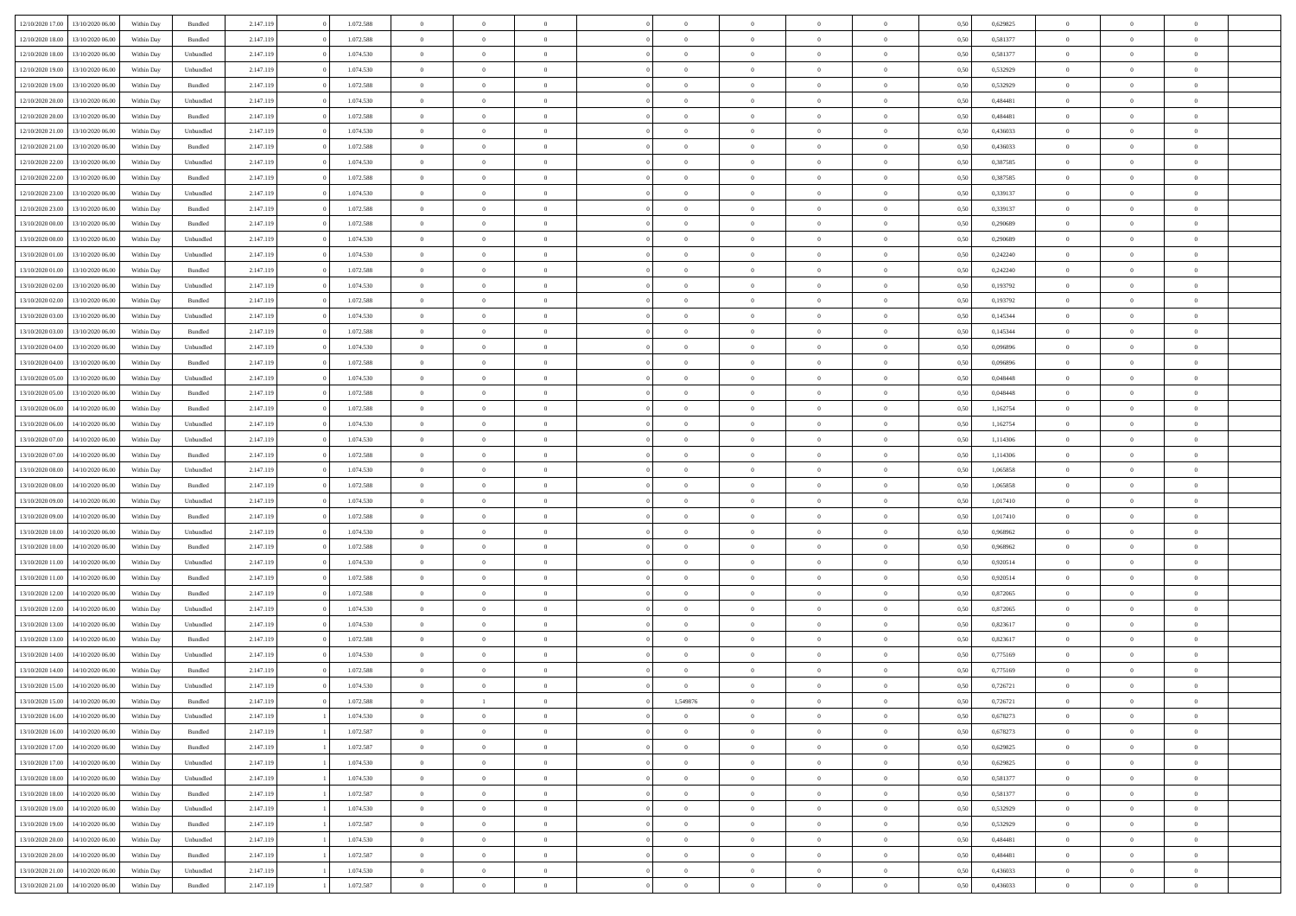| 12/10/2020 17:00 | 13/10/2020 06:00 | Within Dav | Bundled            | 2.147.119 | 1.072.588 | $\overline{0}$ | $\theta$       |                | $\Omega$       | $\Omega$       | $\theta$       | $\theta$       | 0.50 | 0,629825 | $\theta$       | $\overline{0}$ | $\overline{0}$ |  |
|------------------|------------------|------------|--------------------|-----------|-----------|----------------|----------------|----------------|----------------|----------------|----------------|----------------|------|----------|----------------|----------------|----------------|--|
| 12/10/2020 18:00 | 13/10/2020 06.00 | Within Day | Bundled            | 2.147.119 | 1.072.588 | $\overline{0}$ | $\theta$       | $\overline{0}$ | $\overline{0}$ | $\bf{0}$       | $\overline{0}$ | $\bf{0}$       | 0,50 | 0,581377 | $\theta$       | $\overline{0}$ | $\overline{0}$ |  |
| 12/10/2020 18:00 | 13/10/2020 06:00 | Within Day | Unbundled          | 2.147.119 | 1.074.530 | $\overline{0}$ | $\bf{0}$       | $\overline{0}$ | $\bf{0}$       | $\bf{0}$       | $\bf{0}$       | $\mathbf{0}$   | 0,50 | 0,581377 | $\overline{0}$ | $\overline{0}$ | $\overline{0}$ |  |
|                  |                  |            |                    |           |           |                |                |                |                |                |                |                |      |          | $\theta$       |                |                |  |
| 12/10/2020 19:00 | 13/10/2020 06:00 | Within Dav | Unbundled          | 2.147.119 | 1.074.530 | $\overline{0}$ | $\overline{0}$ | $\overline{0}$ | $\overline{0}$ | $\bf{0}$       | $\overline{0}$ | $\overline{0}$ | 0.50 | 0,532929 |                | $\theta$       | $\overline{0}$ |  |
| 12/10/2020 19:00 | 13/10/2020 06.00 | Within Day | Bundled            | 2.147.119 | 1.072.588 | $\overline{0}$ | $\theta$       | $\overline{0}$ | $\overline{0}$ | $\bf{0}$       | $\overline{0}$ | $\bf{0}$       | 0,50 | 0,532929 | $\,$ 0 $\,$    | $\overline{0}$ | $\overline{0}$ |  |
| 12/10/2020 20:00 | 13/10/2020 06:00 | Within Day | Unbundled          | 2.147.119 | 1.074.530 | $\overline{0}$ | $\overline{0}$ | $\overline{0}$ | $\bf{0}$       | $\overline{0}$ | $\overline{0}$ | $\mathbf{0}$   | 0,50 | 0,484481 | $\overline{0}$ | $\overline{0}$ | $\bf{0}$       |  |
| 12/10/2020 20:00 | 13/10/2020 06:00 | Within Dav | Bundled            | 2.147.119 | 1.072.588 | $\overline{0}$ | $\overline{0}$ | $\overline{0}$ | $\overline{0}$ | $\overline{0}$ | $\overline{0}$ | $\overline{0}$ | 0.50 | 0,484481 | $\theta$       | $\overline{0}$ | $\overline{0}$ |  |
|                  |                  |            |                    |           |           |                |                |                |                |                |                |                |      |          |                |                |                |  |
| 12/10/2020 21.00 | 13/10/2020 06.00 | Within Day | Unbundled          | 2.147.119 | 1.074.530 | $\overline{0}$ | $\theta$       | $\overline{0}$ | $\overline{0}$ | $\bf{0}$       | $\overline{0}$ | $\bf{0}$       | 0,50 | 0,436033 | $\theta$       | $\theta$       | $\overline{0}$ |  |
| 12/10/2020 21:00 | 13/10/2020 06:00 | Within Day | Bundled            | 2.147.119 | 1.072.588 | $\overline{0}$ | $\overline{0}$ | $\overline{0}$ | $\bf{0}$       | $\bf{0}$       | $\bf{0}$       | $\bf{0}$       | 0,50 | 0,436033 | $\,0\,$        | $\overline{0}$ | $\overline{0}$ |  |
| 12/10/2020 22.00 | 13/10/2020 06:00 | Within Dav | Unbundled          | 2.147.119 | 1.074.530 | $\overline{0}$ | $\overline{0}$ | $\overline{0}$ | $\overline{0}$ | $\overline{0}$ | $\overline{0}$ | $\overline{0}$ | 0.50 | 0,387585 | $\theta$       | $\overline{0}$ | $\overline{0}$ |  |
| 12/10/2020 22.00 | 13/10/2020 06.00 | Within Day | Bundled            | 2.147.119 | 1.072.588 | $\overline{0}$ | $\theta$       | $\overline{0}$ | $\overline{0}$ | $\bf{0}$       | $\overline{0}$ |                |      | 0,387585 | $\,$ 0 $\,$    | $\overline{0}$ | $\overline{0}$ |  |
|                  |                  |            |                    |           |           |                |                |                |                |                |                | $\bf{0}$       | 0,50 |          |                |                |                |  |
| 12/10/2020 23.00 | 13/10/2020 06:00 | Within Day | Unbundled          | 2.147.119 | 1.074.530 | $\overline{0}$ | $\overline{0}$ | $\overline{0}$ | $\bf{0}$       | $\bf{0}$       | $\bf{0}$       | $\mathbf{0}$   | 0,50 | 0,339137 | $\overline{0}$ | $\overline{0}$ | $\bf{0}$       |  |
| 12/10/2020 23:00 | 13/10/2020 06:00 | Within Day | Bundled            | 2.147.119 | 1.072.588 | $\overline{0}$ | $\overline{0}$ | $\overline{0}$ | $\overline{0}$ | $\bf{0}$       | $\overline{0}$ | $\overline{0}$ | 0.50 | 0,339137 | $\theta$       | $\theta$       | $\overline{0}$ |  |
| 13/10/2020 00:00 | 13/10/2020 06.00 | Within Day | Bundled            | 2.147.119 | 1.072.588 | $\overline{0}$ | $\theta$       | $\overline{0}$ | $\overline{0}$ | $\bf{0}$       | $\overline{0}$ | $\bf{0}$       | 0,50 | 0,290689 | $\theta$       | $\overline{0}$ | $\overline{0}$ |  |
|                  |                  |            |                    |           |           |                |                |                |                |                |                |                |      |          |                |                |                |  |
| 13/10/2020 00:00 | 13/10/2020 06:00 | Within Day | Unbundled          | 2.147.119 | 1.074.530 | $\overline{0}$ | $\overline{0}$ | $\overline{0}$ | $\bf{0}$       | $\overline{0}$ | $\overline{0}$ | $\mathbf{0}$   | 0,50 | 0,290689 | $\overline{0}$ | $\overline{0}$ | $\bf{0}$       |  |
| 13/10/2020 01:00 | 13/10/2020 06:00 | Within Dav | Unbundled          | 2.147.119 | 1.074.530 | $\overline{0}$ | $\overline{0}$ | $\overline{0}$ | $\overline{0}$ | $\overline{0}$ | $\overline{0}$ | $\overline{0}$ | 0.50 | 0,242240 | $\theta$       | $\overline{0}$ | $\overline{0}$ |  |
| 13/10/2020 01:00 | 13/10/2020 06.00 | Within Day | Bundled            | 2.147.119 | 1.072.588 | $\overline{0}$ | $\theta$       | $\overline{0}$ | $\overline{0}$ | $\bf{0}$       | $\overline{0}$ | $\bf{0}$       | 0,50 | 0,242240 | $\,$ 0 $\,$    | $\theta$       | $\overline{0}$ |  |
| 13/10/2020 02:00 | 13/10/2020 06:00 | Within Day | Unbundled          | 2.147.119 | 1.074.530 | $\overline{0}$ | $\overline{0}$ | $\overline{0}$ | $\bf{0}$       | $\bf{0}$       | $\bf{0}$       | $\bf{0}$       | 0,50 | 0,193792 | $\bf{0}$       | $\overline{0}$ | $\overline{0}$ |  |
|                  | 13/10/2020 06:00 |            | Bundled            |           | 1.072.588 | $\overline{0}$ | $\overline{0}$ | $\overline{0}$ | $\overline{0}$ | $\overline{0}$ | $\overline{0}$ | $\overline{0}$ | 0.50 | 0,193792 | $\theta$       | $\overline{0}$ | $\overline{0}$ |  |
| 13/10/2020 02:00 |                  | Within Day |                    | 2.147.119 |           |                |                |                |                |                |                |                |      |          |                |                |                |  |
| 13/10/2020 03:00 | 13/10/2020 06.00 | Within Day | Unbundled          | 2.147.119 | 1.074.530 | $\overline{0}$ | $\theta$       | $\overline{0}$ | $\overline{0}$ | $\bf{0}$       | $\overline{0}$ | $\bf{0}$       | 0,50 | 0,145344 | $\,$ 0 $\,$    | $\overline{0}$ | $\overline{0}$ |  |
| 13/10/2020 03:00 | 13/10/2020 06:00 | Within Day | Bundled            | 2.147.119 | 1.072.588 | $\overline{0}$ | $\overline{0}$ | $\overline{0}$ | $\bf{0}$       | $\bf{0}$       | $\bf{0}$       | $\bf{0}$       | 0,50 | 0,145344 | $\overline{0}$ | $\overline{0}$ | $\bf{0}$       |  |
| 13/10/2020 04:00 | 13/10/2020 06:00 | Within Day | Unbundled          | 2.147.119 | 1.074.530 | $\overline{0}$ | $\overline{0}$ | $\overline{0}$ | $\overline{0}$ | $\bf{0}$       | $\overline{0}$ | $\overline{0}$ | 0.50 | 0.096896 | $\theta$       | $\overline{0}$ | $\overline{0}$ |  |
|                  |                  |            |                    |           |           |                |                |                |                |                |                |                |      |          |                |                |                |  |
| 13/10/2020 04:00 | 13/10/2020 06.00 | Within Day | Bundled            | 2.147.119 | 1.072.588 | $\overline{0}$ | $\theta$       | $\overline{0}$ | $\overline{0}$ | $\bf{0}$       | $\overline{0}$ | $\bf{0}$       | 0,50 | 0,096896 | $\,$ 0 $\,$    | $\overline{0}$ | $\overline{0}$ |  |
| 13/10/2020 05:00 | 13/10/2020 06:00 | Within Day | Unbundled          | 2.147.119 | 1.074.530 | $\overline{0}$ | $\overline{0}$ | $\overline{0}$ | $\bf{0}$       | $\overline{0}$ | $\overline{0}$ | $\mathbf{0}$   | 0,50 | 0,048448 | $\overline{0}$ | $\overline{0}$ | $\bf{0}$       |  |
| 13/10/2020 05:00 | 13/10/2020 06:00 | Within Dav | Bundled            | 2.147.119 | 1.072.588 | $\overline{0}$ | $\overline{0}$ | $\overline{0}$ | $\overline{0}$ | $\overline{0}$ | $\overline{0}$ | $\overline{0}$ | 0.50 | 0,048448 | $\theta$       | $\overline{0}$ | $\overline{0}$ |  |
| 13/10/2020 06:00 | 14/10/2020 06.00 | Within Day | Bundled            | 2.147.119 | 1.072.588 | $\overline{0}$ | $\theta$       | $\overline{0}$ | $\overline{0}$ | $\bf{0}$       | $\overline{0}$ | $\bf{0}$       | 0,50 | 1,162754 | $\theta$       | $\theta$       | $\overline{0}$ |  |
|                  |                  |            |                    |           |           |                |                |                |                |                |                |                |      |          |                |                |                |  |
| 13/10/2020 06:00 | 14/10/2020 06.00 | Within Day | Unbundled          | 2.147.119 | 1.074.530 | $\overline{0}$ | $\overline{0}$ | $\overline{0}$ | $\bf{0}$       | $\bf{0}$       | $\bf{0}$       | $\bf{0}$       | 0,50 | 1,162754 | $\,0\,$        | $\overline{0}$ | $\overline{0}$ |  |
| 13/10/2020 07:00 | 14/10/2020 06:00 | Within Day | Unbundled          | 2.147.119 | 1.074.530 | $\overline{0}$ | $\overline{0}$ | $\overline{0}$ | $\overline{0}$ | $\overline{0}$ | $\overline{0}$ | $\overline{0}$ | 0.50 | 1,114306 | $\theta$       | $\overline{0}$ | $\overline{0}$ |  |
| 13/10/2020 07:00 | 14/10/2020 06.00 | Within Day | Bundled            | 2.147.119 | 1.072.588 | $\overline{0}$ | $\theta$       | $\overline{0}$ | $\overline{0}$ | $\bf{0}$       | $\overline{0}$ | $\bf{0}$       | 0,50 | 1,114306 | $\,$ 0 $\,$    | $\overline{0}$ | $\overline{0}$ |  |
| 13/10/2020 08:00 | 14/10/2020 06.00 | Within Day | Unbundled          | 2.147.119 | 1.074.530 | $\overline{0}$ | $\overline{0}$ | $\overline{0}$ | $\bf{0}$       | $\bf{0}$       | $\bf{0}$       | $\bf{0}$       | 0,50 | 1,065858 | $\bf{0}$       | $\overline{0}$ | $\bf{0}$       |  |
|                  |                  |            |                    |           |           |                | $\Omega$       | $\Omega$       | $\Omega$       | $\Omega$       |                |                |      |          |                |                | $\theta$       |  |
| 13/10/2020 08:00 | 14/10/2020 06.00 | Within Day | Bundled            | 2.147.119 | 1.072.588 | $\bf{0}$       |                |                |                |                | $\overline{0}$ | $\overline{0}$ | 0,50 | 1,065858 | $\,0\,$        | $\theta$       |                |  |
| 13/10/2020 09:00 | 14/10/2020 06.00 | Within Day | Unbundled          | 2.147.119 | 1.074.530 | $\overline{0}$ | $\theta$       | $\overline{0}$ | $\overline{0}$ | $\bf{0}$       | $\overline{0}$ | $\bf{0}$       | 0,50 | 1,017410 | $\,$ 0 $\,$    | $\overline{0}$ | $\overline{0}$ |  |
| 13/10/2020 09:00 | 14/10/2020 06.00 | Within Day | Bundled            | 2.147.119 | 1.072.588 | $\overline{0}$ | $\overline{0}$ | $\overline{0}$ | $\bf{0}$       | $\overline{0}$ | $\overline{0}$ | $\mathbf{0}$   | 0,50 | 1,017410 | $\bf{0}$       | $\overline{0}$ | $\bf{0}$       |  |
| 13/10/2020 10:00 | 14/10/2020 06.00 | Within Day | Unbundled          | 2.147.119 | 1.074.530 | $\overline{0}$ | $\Omega$       | $\Omega$       | $\Omega$       | $\bf{0}$       | $\overline{0}$ | $\overline{0}$ | 0.50 | 0.968962 | $\,0\,$        | $\theta$       | $\theta$       |  |
| 13/10/2020 10:00 | 14/10/2020 06.00 |            |                    | 2.147.119 | 1.072.588 | $\overline{0}$ | $\theta$       | $\overline{0}$ | $\overline{0}$ | $\bf{0}$       | $\overline{0}$ |                |      | 0,968962 | $\,$ 0 $\,$    | $\overline{0}$ | $\overline{0}$ |  |
|                  |                  | Within Day | Bundled            |           |           |                |                |                |                |                |                | $\bf{0}$       | 0,50 |          |                |                |                |  |
| 13/10/2020 11:00 | 14/10/2020 06.00 | Within Day | Unbundled          | 2.147.119 | 1.074.530 | $\overline{0}$ | $\overline{0}$ | $\overline{0}$ | $\bf{0}$       | $\bf{0}$       | $\bf{0}$       | $\bf{0}$       | 0,50 | 0,920514 | $\bf{0}$       | $\overline{0}$ | $\bf{0}$       |  |
| 13/10/2020 11:00 | 14/10/2020 06:00 | Within Day | Bundled            | 2.147.119 | 1.072.588 | $\overline{0}$ | $\Omega$       | $\Omega$       | $\Omega$       | $\overline{0}$ | $\overline{0}$ | $\overline{0}$ | 0.50 | 0.920514 | $\,$ 0 $\,$    | $\theta$       | $\theta$       |  |
| 13/10/2020 12:00 | 14/10/2020 06.00 | Within Day | Bundled            | 2.147.119 | 1.072.588 | $\overline{0}$ | $\theta$       | $\overline{0}$ | $\overline{0}$ | $\,$ 0         | $\overline{0}$ | $\bf{0}$       | 0,50 | 0,872065 | $\,$ 0 $\,$    | $\overline{0}$ | $\overline{0}$ |  |
|                  |                  |            |                    |           |           |                |                |                |                |                |                |                |      |          |                |                |                |  |
| 13/10/2020 12:00 | 14/10/2020 06.00 | Within Day | Unbundled          | 2.147.119 | 1.074.530 | $\overline{0}$ | $\bf{0}$       | $\overline{0}$ | $\bf{0}$       | $\bf{0}$       | $\bf{0}$       | $\bf{0}$       | 0,50 | 0,872065 | $\bf{0}$       | $\overline{0}$ | $\bf{0}$       |  |
| 13/10/2020 13:00 | 14/10/2020 06.00 | Within Day | Unbundled          | 2.147.119 | 1.074.530 | $\overline{0}$ | $\Omega$       | $\overline{0}$ | $\Omega$       | $\overline{0}$ | $\overline{0}$ | $\overline{0}$ | 0,50 | 0,823617 | $\,0\,$        | $\theta$       | $\theta$       |  |
| 13/10/2020 13:00 | 14/10/2020 06.00 | Within Day | Bundled            | 2.147.119 | 1.072.588 | $\overline{0}$ | $\theta$       | $\overline{0}$ | $\overline{0}$ | $\,$ 0         | $\overline{0}$ | $\bf{0}$       | 0,50 | 0,823617 | $\,$ 0 $\,$    | $\overline{0}$ | $\overline{0}$ |  |
| 13/10/2020 14:00 | 14/10/2020 06.00 | Within Day | Unbundled          | 2.147.119 | 1.074.530 | $\overline{0}$ | $\overline{0}$ | $\overline{0}$ | $\bf{0}$       | $\bf{0}$       | $\bf{0}$       | $\mathbf{0}$   | 0,50 | 0,775169 | $\overline{0}$ | $\overline{0}$ | $\bf{0}$       |  |
| 13/10/2020 14:00 | 14/10/2020 06.00 |            | Bundled            | 2.147.119 | 1.072.588 | $\overline{0}$ | $\Omega$       | $\Omega$       | $\Omega$       | $\Omega$       | $\Omega$       | $\overline{0}$ | 0.50 | 0,775169 | $\theta$       | $\theta$       | $\theta$       |  |
|                  |                  | Within Day |                    |           |           |                |                |                |                |                |                |                |      |          |                |                |                |  |
| 13/10/2020 15:00 | 14/10/2020 06.00 | Within Day | Unbundled          | 2.147.119 | 1.074.530 | $\overline{0}$ | $\overline{0}$ | $\overline{0}$ | $\overline{0}$ | $\,$ 0         | $\bf{0}$       | $\bf{0}$       | 0,50 | 0,726721 | $\,0\,$        | $\,0\,$        | $\overline{0}$ |  |
| 13/10/2020 15:00 | 14/10/2020 06.00 | Within Day | $\mathbf B$ undled | 2.147.119 | 1.072.588 | $\bf{0}$       |                |                | 1,549876       | $\bf{0}$       |                |                | 0,50 | 0,726721 | $\bf{0}$       | $\overline{0}$ |                |  |
| 13/10/2020 16:00 | 14/10/2020 06:00 | Within Day | Unbundled          | 2.147.119 | 1.074.530 | $\overline{0}$ | $\overline{0}$ | $\overline{0}$ | $\Omega$       | $\theta$       | $\overline{0}$ | $\overline{0}$ | 0,50 | 0,678273 | $\theta$       | $\theta$       | $\theta$       |  |
| 13/10/2020 16:00 | 14/10/2020 06.00 | Within Day | Bundled            | 2.147.119 | 1.072.587 | $\overline{0}$ | $\,$ 0         | $\overline{0}$ | $\bf{0}$       | $\,$ 0 $\,$    | $\overline{0}$ | $\mathbf{0}$   | 0,50 | 0,678273 | $\,$ 0 $\,$    | $\,$ 0 $\,$    | $\,$ 0         |  |
|                  |                  |            |                    |           |           |                |                |                |                |                |                |                |      |          |                |                |                |  |
| 13/10/2020 17:00 | 14/10/2020 06.00 | Within Day | Bundled            | 2.147.119 | 1.072.587 | $\overline{0}$ | $\overline{0}$ | $\overline{0}$ | $\overline{0}$ | $\overline{0}$ | $\overline{0}$ | $\mathbf{0}$   | 0,50 | 0,629825 | $\overline{0}$ | $\bf{0}$       | $\bf{0}$       |  |
| 13/10/2020 17:00 | 14/10/2020 06.00 | Within Day | Unbundled          | 2.147.119 | 1.074.530 | $\overline{0}$ | $\overline{0}$ | $\overline{0}$ | $\Omega$       | $\overline{0}$ | $\overline{0}$ | $\bf{0}$       | 0,50 | 0,629825 | $\overline{0}$ | $\theta$       | $\overline{0}$ |  |
| 13/10/2020 18:00 | 14/10/2020 06.00 | Within Day | Unbundled          | 2.147.119 | 1.074.530 | $\overline{0}$ | $\,$ 0         | $\overline{0}$ | $\overline{0}$ | $\overline{0}$ | $\overline{0}$ | $\bf{0}$       | 0,50 | 0,581377 | $\,$ 0 $\,$    | $\overline{0}$ | $\overline{0}$ |  |
| 13/10/2020 18:00 | 14/10/2020 06.00 | Within Day | Bundled            | 2.147.119 | 1.072.587 | $\overline{0}$ | $\overline{0}$ | $\overline{0}$ | $\overline{0}$ | $\overline{0}$ | $\overline{0}$ | $\mathbf{0}$   | 0,50 | 0,581377 | $\overline{0}$ | $\overline{0}$ | $\bf{0}$       |  |
|                  |                  |            |                    |           |           |                |                |                |                |                |                |                |      |          |                |                |                |  |
| 13/10/2020 19:00 | 14/10/2020 06.00 | Within Day | Unbundled          | 2.147.119 | 1.074.530 | $\overline{0}$ | $\overline{0}$ | $\overline{0}$ | $\Omega$       | $\overline{0}$ | $\overline{0}$ | $\bf{0}$       | 0.50 | 0,532929 | $\overline{0}$ | $\theta$       | $\overline{0}$ |  |
| 13/10/2020 19:00 | 14/10/2020 06.00 | Within Day | Bundled            | 2.147.119 | 1.072.587 | $\overline{0}$ | $\,$ 0         | $\overline{0}$ | $\bf{0}$       | $\bf{0}$       | $\bf{0}$       | $\bf{0}$       | 0,50 | 0,532929 | $\,$ 0 $\,$    | $\overline{0}$ | $\overline{0}$ |  |
| 13/10/2020 20:00 | 14/10/2020 06.00 | Within Day | Unbundled          | 2.147.119 | 1.074.530 | $\overline{0}$ | $\bf{0}$       | $\overline{0}$ | $\bf{0}$       | $\overline{0}$ | $\bf{0}$       | $\mathbf{0}$   | 0,50 | 0,484481 | $\overline{0}$ | $\overline{0}$ | $\bf{0}$       |  |
| 13/10/2020 20:00 | 14/10/2020 06.00 | Within Day | Bundled            | 2.147.119 | 1.072.587 | $\overline{0}$ | $\overline{0}$ | $\overline{0}$ | $\Omega$       | $\overline{0}$ | $\overline{0}$ | $\bf{0}$       | 0.50 | 0.484481 | $\overline{0}$ | $\theta$       | $\overline{0}$ |  |
|                  |                  |            |                    |           |           |                |                |                |                |                |                |                |      |          |                |                |                |  |
| 13/10/2020 21:00 | 14/10/2020 06.00 | Within Day | Unbundled          | 2.147.119 | 1.074.530 | $\overline{0}$ | $\bf{0}$       | $\overline{0}$ | $\overline{0}$ | $\bf{0}$       | $\bf{0}$       | $\bf{0}$       | 0,50 | 0,436033 | $\,$ 0 $\,$    | $\,$ 0 $\,$    | $\bf{0}$       |  |
| 13/10/2020 21:00 | 14/10/2020 06.00 | Within Day | Bundled            | 2.147.119 | 1.072.587 | $\overline{0}$ | $\overline{0}$ | $\overline{0}$ | $\overline{0}$ | $\bf{0}$       | $\bf{0}$       | $\mathbf{0}$   | 0,50 | 0,436033 | $\overline{0}$ | $\bf{0}$       | $\bf{0}$       |  |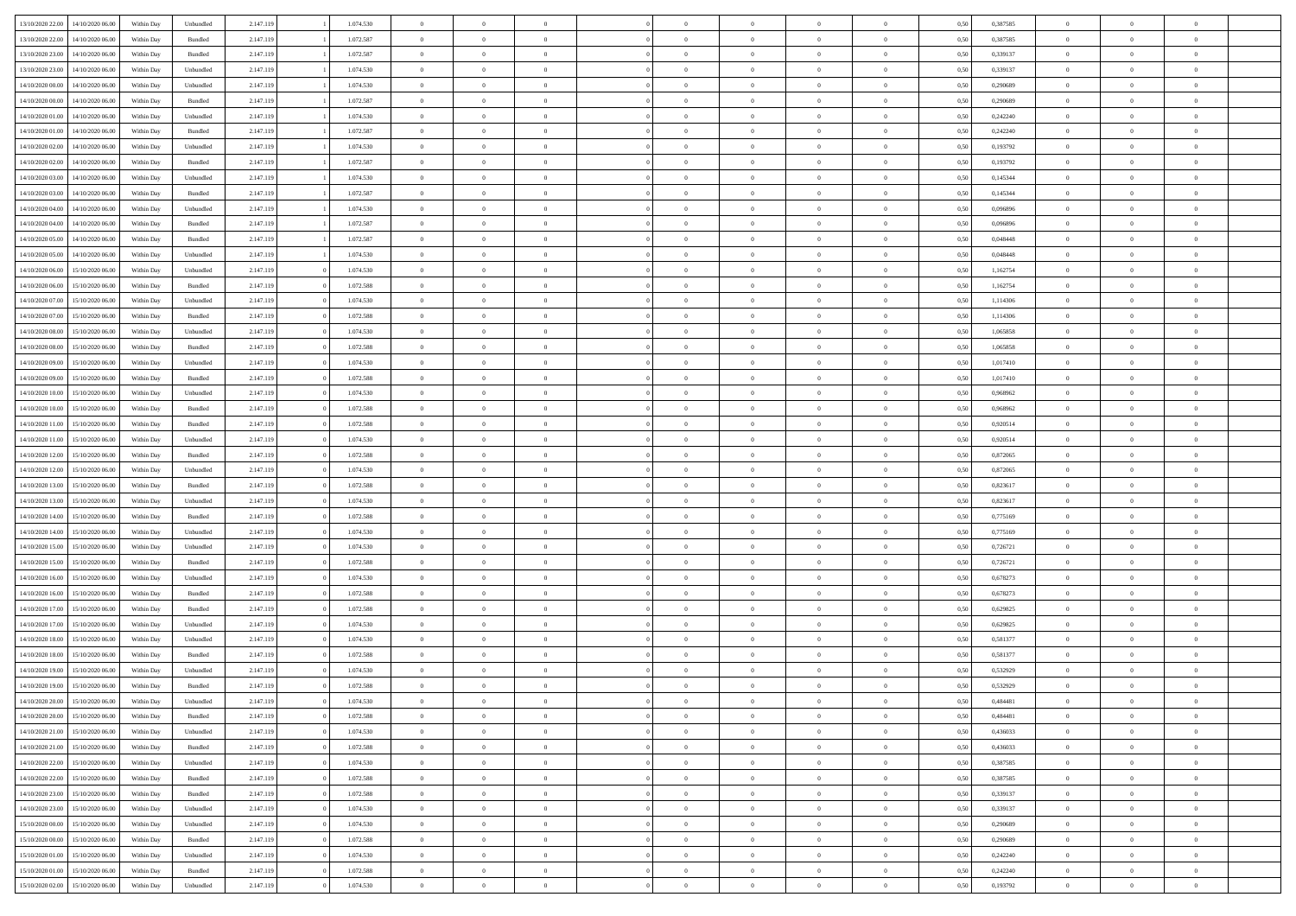|                  |                  |            |           |           |           |                |                |                |                | $\Omega$       | $\theta$       | $\theta$       |      |          | $\theta$       | $\overline{0}$ |                |  |
|------------------|------------------|------------|-----------|-----------|-----------|----------------|----------------|----------------|----------------|----------------|----------------|----------------|------|----------|----------------|----------------|----------------|--|
| 13/10/2020 22.00 | 14/10/2020 06:00 | Within Dav | Unbundled | 2.147.119 | 1.074.530 | $\overline{0}$ | $\theta$       |                | $\Omega$       |                |                |                | 0.50 | 0,387585 |                |                | $\overline{0}$ |  |
| 13/10/2020 22.00 | 14/10/2020 06.00 | Within Day | Bundled   | 2.147.119 | 1.072.587 | $\overline{0}$ | $\theta$       | $\overline{0}$ | $\overline{0}$ | $\bf{0}$       | $\overline{0}$ | $\bf{0}$       | 0,50 | 0,387585 | $\theta$       | $\overline{0}$ | $\overline{0}$ |  |
| 13/10/2020 23.00 | 14/10/2020 06.00 | Within Day | Bundled   | 2.147.119 | 1.072.587 | $\overline{0}$ | $\bf{0}$       | $\overline{0}$ | $\bf{0}$       | $\bf{0}$       | $\bf{0}$       | $\mathbf{0}$   | 0,50 | 0,339137 | $\overline{0}$ | $\overline{0}$ | $\overline{0}$ |  |
| 13/10/2020 23:00 | 14/10/2020 06:00 | Within Dav | Unbundled | 2.147.119 | 1.074.530 | $\overline{0}$ | $\overline{0}$ | $\overline{0}$ | $\overline{0}$ | $\bf{0}$       | $\overline{0}$ | $\overline{0}$ | 0.50 | 0,339137 | $\theta$       | $\theta$       | $\overline{0}$ |  |
|                  |                  |            |           |           |           |                |                |                |                |                |                |                |      |          |                |                |                |  |
| 14/10/2020 00.00 | 14/10/2020 06.00 | Within Day | Unbundled | 2.147.119 | 1.074.530 | $\overline{0}$ | $\theta$       | $\overline{0}$ | $\overline{0}$ | $\bf{0}$       | $\overline{0}$ | $\bf{0}$       | 0,50 | 0,290689 | $\theta$       | $\overline{0}$ | $\overline{0}$ |  |
| 14/10/2020 00:00 | 14/10/2020 06.00 | Within Day | Bundled   | 2.147.119 | 1.072.587 | $\overline{0}$ | $\overline{0}$ | $\overline{0}$ | $\bf{0}$       | $\overline{0}$ | $\overline{0}$ | $\mathbf{0}$   | 0,50 | 0,290689 | $\bf{0}$       | $\overline{0}$ | $\bf{0}$       |  |
| 14/10/2020 01:00 | 14/10/2020 06.00 | Within Dav | Unbundled | 2.147.119 | 1.074.530 | $\overline{0}$ | $\overline{0}$ | $\overline{0}$ | $\overline{0}$ | $\overline{0}$ | $\overline{0}$ | $\overline{0}$ | 0.50 | 0,242240 | $\theta$       | $\overline{0}$ | $\overline{0}$ |  |
| 14/10/2020 01:00 | 14/10/2020 06.00 | Within Day | Bundled   | 2.147.119 | 1.072.587 | $\overline{0}$ | $\theta$       | $\overline{0}$ | $\overline{0}$ | $\bf{0}$       | $\overline{0}$ | $\bf{0}$       | 0,50 | 0,242240 | $\theta$       | $\theta$       | $\overline{0}$ |  |
| 14/10/2020 02.00 | 14/10/2020 06.00 | Within Day | Unbundled | 2.147.119 | 1.074.530 | $\overline{0}$ | $\overline{0}$ | $\overline{0}$ | $\bf{0}$       | $\bf{0}$       | $\bf{0}$       | $\bf{0}$       | 0,50 | 0,193792 | $\,0\,$        | $\overline{0}$ | $\overline{0}$ |  |
|                  |                  |            |           |           |           |                |                |                |                |                |                |                |      |          |                |                |                |  |
| 14/10/2020 02.00 | 14/10/2020 06.00 | Within Dav | Bundled   | 2.147.119 | 1.072.587 | $\overline{0}$ | $\overline{0}$ | $\overline{0}$ | $\overline{0}$ | $\overline{0}$ | $\overline{0}$ | $\overline{0}$ | 0.50 | 0,193792 | $\theta$       | $\overline{0}$ | $\overline{0}$ |  |
| 14/10/2020 03:00 | 14/10/2020 06.00 | Within Day | Unbundled | 2.147.119 | 1.074.530 | $\overline{0}$ | $\theta$       | $\overline{0}$ | $\overline{0}$ | $\bf{0}$       | $\overline{0}$ | $\bf{0}$       | 0,50 | 0,145344 | $\,$ 0 $\,$    | $\overline{0}$ | $\overline{0}$ |  |
| 14/10/2020 03.00 | 14/10/2020 06.00 | Within Day | Bundled   | 2.147.119 | 1.072.587 | $\overline{0}$ | $\overline{0}$ | $\overline{0}$ | $\bf{0}$       | $\bf{0}$       | $\bf{0}$       | $\bf{0}$       | 0,50 | 0,145344 | $\bf{0}$       | $\overline{0}$ | $\bf{0}$       |  |
| 14/10/2020 04:00 | 14/10/2020 06:00 | Within Day | Unbundled | 2.147.119 | 1.074.530 | $\overline{0}$ | $\overline{0}$ | $\overline{0}$ | $\overline{0}$ | $\bf{0}$       | $\overline{0}$ | $\overline{0}$ | 0.50 | 0.096896 | $\theta$       | $\theta$       | $\overline{0}$ |  |
| 14/10/2020 04:00 | 14/10/2020 06.00 | Within Day | Bundled   | 2.147.119 | 1.072.587 | $\overline{0}$ | $\theta$       | $\overline{0}$ | $\overline{0}$ | $\bf{0}$       | $\overline{0}$ | $\bf{0}$       | 0,50 | 0,096896 | $\theta$       | $\overline{0}$ | $\overline{0}$ |  |
|                  |                  |            |           |           |           |                |                |                |                |                |                |                |      |          |                |                |                |  |
| 14/10/2020 05:00 | 14/10/2020 06.00 | Within Day | Bundled   | 2.147.119 | 1.072.587 | $\overline{0}$ | $\overline{0}$ | $\overline{0}$ | $\bf{0}$       | $\overline{0}$ | $\overline{0}$ | $\mathbf{0}$   | 0,50 | 0,048448 | $\bf{0}$       | $\overline{0}$ | $\bf{0}$       |  |
| 14/10/2020 05:00 | 14/10/2020 06.00 | Within Dav | Unbundled | 2.147.119 | 1.074.530 | $\overline{0}$ | $\overline{0}$ | $\overline{0}$ | $\overline{0}$ | $\overline{0}$ | $\overline{0}$ | $\overline{0}$ | 0.50 | 0.048448 | $\theta$       | $\overline{0}$ | $\overline{0}$ |  |
| 14/10/2020 06.00 | 15/10/2020 06.00 | Within Day | Unbundled | 2.147.119 | 1.074.530 | $\overline{0}$ | $\theta$       | $\overline{0}$ | $\overline{0}$ | $\bf{0}$       | $\overline{0}$ | $\bf{0}$       | 0,50 | 1,162754 | $\,$ 0 $\,$    | $\theta$       | $\overline{0}$ |  |
| 14/10/2020 06.00 | 15/10/2020 06.00 | Within Day | Bundled   | 2.147.119 | 1.072.588 | $\overline{0}$ | $\overline{0}$ | $\overline{0}$ | $\bf{0}$       | $\bf{0}$       | $\bf{0}$       | $\bf{0}$       | 0,50 | 1,162754 | $\bf{0}$       | $\overline{0}$ | $\overline{0}$ |  |
| 14/10/2020 07:00 | 15/10/2020 06:00 | Within Day | Unbundled | 2.147.119 | 1.074.530 | $\overline{0}$ | $\overline{0}$ | $\overline{0}$ | $\overline{0}$ | $\overline{0}$ | $\overline{0}$ | $\overline{0}$ | 0.50 | 1,114306 | $\theta$       | $\overline{0}$ | $\overline{0}$ |  |
| 14/10/2020 07:00 | 15/10/2020 06.00 | Within Day | Bundled   | 2.147.119 | 1.072.588 | $\overline{0}$ | $\theta$       | $\overline{0}$ | $\overline{0}$ | $\bf{0}$       | $\overline{0}$ | $\bf{0}$       | 0,50 | 1,114306 | $\,$ 0 $\,$    | $\overline{0}$ | $\overline{0}$ |  |
|                  |                  |            |           |           |           |                |                |                |                |                |                |                |      |          |                |                |                |  |
| 14/10/2020 08:00 | 15/10/2020 06:00 | Within Day | Unbundled | 2.147.119 | 1.074.530 | $\overline{0}$ | $\overline{0}$ | $\overline{0}$ | $\bf{0}$       | $\bf{0}$       | $\bf{0}$       | $\bf{0}$       | 0,50 | 1,065858 | $\bf{0}$       | $\overline{0}$ | $\bf{0}$       |  |
| 14/10/2020 08:00 | 15/10/2020 06:00 | Within Day | Bundled   | 2.147.119 | 1.072.588 | $\overline{0}$ | $\overline{0}$ | $\overline{0}$ | $\overline{0}$ | $\bf{0}$       | $\overline{0}$ | $\overline{0}$ | 0.50 | 1.065858 | $\theta$       | $\overline{0}$ | $\overline{0}$ |  |
| 14/10/2020 09:00 | 15/10/2020 06.00 | Within Day | Unbundled | 2.147.119 | 1.074.530 | $\overline{0}$ | $\theta$       | $\overline{0}$ | $\overline{0}$ | $\bf{0}$       | $\overline{0}$ | $\bf{0}$       | 0,50 | 1,017410 | $\,$ 0 $\,$    | $\overline{0}$ | $\overline{0}$ |  |
| 14/10/2020 09:00 | 15/10/2020 06.00 | Within Day | Bundled   | 2.147.119 | 1.072.588 | $\overline{0}$ | $\overline{0}$ | $\overline{0}$ | $\bf{0}$       | $\overline{0}$ | $\overline{0}$ | $\mathbf{0}$   | 0,50 | 1,017410 | $\bf{0}$       | $\overline{0}$ | $\bf{0}$       |  |
| 14/10/2020 10:00 | 15/10/2020 06.00 | Within Dav | Unbundled | 2.147.119 | 1.074.530 | $\overline{0}$ | $\overline{0}$ | $\overline{0}$ | $\overline{0}$ | $\overline{0}$ | $\overline{0}$ | $\overline{0}$ | 0.50 | 0,968962 | $\theta$       | $\overline{0}$ | $\overline{0}$ |  |
| 14/10/2020 10:00 | 15/10/2020 06.00 | Within Day | Bundled   | 2.147.119 | 1.072.588 | $\overline{0}$ | $\theta$       | $\overline{0}$ | $\overline{0}$ | $\bf{0}$       | $\overline{0}$ | $\bf{0}$       | 0,50 | 0,968962 | $\theta$       | $\theta$       | $\overline{0}$ |  |
|                  | 15/10/2020 06.00 | Within Day | Bundled   | 2.147.119 | 1.072.588 | $\overline{0}$ | $\overline{0}$ | $\overline{0}$ | $\bf{0}$       | $\bf{0}$       | $\bf{0}$       | $\bf{0}$       | 0,50 | 0,920514 | $\,0\,$        | $\overline{0}$ | $\overline{0}$ |  |
| 14/10/2020 11:00 |                  |            |           |           |           |                |                |                |                |                |                |                |      |          |                |                |                |  |
| 14/10/2020 11:00 | 15/10/2020 06:00 | Within Day | Unbundled | 2.147.119 | 1.074.530 | $\overline{0}$ | $\overline{0}$ | $\overline{0}$ | $\overline{0}$ | $\overline{0}$ | $\overline{0}$ | $\overline{0}$ | 0.50 | 0.920514 | $\theta$       | $\overline{0}$ | $\overline{0}$ |  |
| 14/10/2020 12:00 | 15/10/2020 06.00 | Within Day | Bundled   | 2.147.119 | 1.072.588 | $\overline{0}$ | $\theta$       | $\overline{0}$ | $\overline{0}$ | $\bf{0}$       | $\overline{0}$ | $\bf{0}$       | 0,50 | 0,872065 | $\,$ 0 $\,$    | $\overline{0}$ | $\overline{0}$ |  |
| 14/10/2020 12.00 | 15/10/2020 06.00 | Within Day | Unbundled | 2.147.119 | 1.074.530 | $\overline{0}$ | $\overline{0}$ | $\overline{0}$ | $\bf{0}$       | $\bf{0}$       | $\bf{0}$       | $\bf{0}$       | 0,50 | 0,872065 | $\bf{0}$       | $\overline{0}$ | $\bf{0}$       |  |
| 14/10/2020 13:00 | 15/10/2020 06.00 | Within Day | Bundled   | 2.147.119 | 1.072.588 | $\bf{0}$       | $\Omega$       | $\Omega$       | $\Omega$       | $\Omega$       | $\overline{0}$ | $\overline{0}$ | 0,50 | 0,823617 | $\,0\,$        | $\theta$       | $\theta$       |  |
| 14/10/2020 13:00 | 15/10/2020 06.00 | Within Day | Unbundled | 2.147.119 | 1.074.530 | $\overline{0}$ | $\theta$       | $\overline{0}$ | $\overline{0}$ | $\bf{0}$       | $\overline{0}$ | $\bf{0}$       | 0,50 | 0,823617 | $\,$ 0 $\,$    | $\overline{0}$ | $\overline{0}$ |  |
| 14/10/2020 14:00 | 15/10/2020 06:00 | Within Day | Bundled   | 2.147.119 | 1.072.588 | $\overline{0}$ | $\overline{0}$ | $\overline{0}$ | $\bf{0}$       | $\overline{0}$ | $\overline{0}$ | $\mathbf{0}$   | 0,50 | 0,775169 | $\bf{0}$       | $\overline{0}$ | $\bf{0}$       |  |
|                  |                  |            |           |           | 1.074.530 | $\overline{0}$ | $\Omega$       | $\Omega$       | $\Omega$       | $\bf{0}$       | $\overline{0}$ |                |      |          |                | $\theta$       | $\theta$       |  |
| 14/10/2020 14:00 | 15/10/2020 06.00 | Within Day | Unbundled | 2.147.119 |           |                |                |                |                |                |                | $\overline{0}$ | 0.50 | 0,775169 | $\,0\,$        |                |                |  |
| 14/10/2020 15:00 | 15/10/2020 06.00 | Within Day | Unbundled | 2.147.119 | 1.074.530 | $\overline{0}$ | $\theta$       | $\overline{0}$ | $\overline{0}$ | $\bf{0}$       | $\overline{0}$ | $\bf{0}$       | 0,50 | 0,726721 | $\,$ 0 $\,$    | $\overline{0}$ | $\overline{0}$ |  |
| 14/10/2020 15:00 | 15/10/2020 06.00 | Within Day | Bundled   | 2.147.119 | 1.072.588 | $\overline{0}$ | $\overline{0}$ | $\overline{0}$ | $\bf{0}$       | $\bf{0}$       | $\bf{0}$       | $\bf{0}$       | 0,50 | 0,726721 | $\bf{0}$       | $\overline{0}$ | $\overline{0}$ |  |
| 14/10/2020 16.00 | 15/10/2020 06:00 | Within Day | Unbundled | 2.147.119 | 1.074.530 | $\overline{0}$ | $\Omega$       | $\Omega$       | $\Omega$       | $\overline{0}$ | $\overline{0}$ | $\overline{0}$ | 0.50 | 0,678273 | $\,$ 0 $\,$    | $\theta$       | $\theta$       |  |
| 14/10/2020 16:00 | 15/10/2020 06.00 | Within Day | Bundled   | 2.147.119 | 1.072.588 | $\overline{0}$ | $\theta$       | $\overline{0}$ | $\overline{0}$ | $\,$ 0         | $\overline{0}$ | $\bf{0}$       | 0,50 | 0,678273 | $\,$ 0 $\,$    | $\overline{0}$ | $\overline{0}$ |  |
| 14/10/2020 17.00 | 15/10/2020 06:00 | Within Day | Bundled   | 2.147.119 | 1.072.588 | $\overline{0}$ | $\bf{0}$       | $\overline{0}$ | $\bf{0}$       | $\bf{0}$       | $\bf{0}$       | $\bf{0}$       | 0,50 | 0,629825 | $\overline{0}$ | $\overline{0}$ | $\bf{0}$       |  |
|                  |                  |            |           |           |           | $\overline{0}$ | $\Omega$       |                | $\Omega$       |                |                |                |      |          |                | $\theta$       | $\theta$       |  |
| 14/10/2020 17:00 | 15/10/2020 06.00 | Within Day | Unbundled | 2.147.119 | 1.074.530 |                |                | $\overline{0}$ |                | $\overline{0}$ | $\overline{0}$ | $\overline{0}$ | 0,50 | 0,629825 | $\,0\,$        |                |                |  |
| 14/10/2020 18:00 | 15/10/2020 06.00 | Within Day | Unbundled | 2.147.119 | 1.074.530 | $\overline{0}$ | $\theta$       | $\overline{0}$ | $\overline{0}$ | $\,$ 0         | $\overline{0}$ | $\bf{0}$       | 0,50 | 0,581377 | $\,$ 0 $\,$    | $\overline{0}$ | $\overline{0}$ |  |
| 14/10/2020 18.00 | 15/10/2020 06.00 | Within Day | Bundled   | 2.147.119 | 1.072.588 | $\overline{0}$ | $\overline{0}$ | $\overline{0}$ | $\bf{0}$       | $\bf{0}$       | $\bf{0}$       | $\mathbf{0}$   | 0,50 | 0,581377 | $\overline{0}$ | $\overline{0}$ | $\bf{0}$       |  |
| 14/10/2020 19:00 | 15/10/2020 06:00 | Within Day | Unbundled | 2.147.119 | 1.074.530 | $\overline{0}$ | $\Omega$       | $\Omega$       | $\Omega$       | $\Omega$       | $\Omega$       | $\overline{0}$ | 0.50 | 0,532929 | $\theta$       | $\theta$       | $\theta$       |  |
| 14/10/2020 19:00 | 15/10/2020 06.00 | Within Day | Bundled   | 2.147.119 | 1.072.588 | $\overline{0}$ | $\overline{0}$ | $\overline{0}$ | $\bf{0}$       | $\,$ 0         | $\bf{0}$       | $\bf{0}$       | 0,50 | 0,532929 | $\,0\,$        | $\,$ 0 $\,$    | $\overline{0}$ |  |
| 14/10/2020 20:00 | 15/10/2020 06.00 | Within Day | Unbundled | 2.147.119 | 1.074.530 | $\bf{0}$       | $\bf{0}$       |                |                | $\bf{0}$       |                |                | 0,50 | 0,484481 | $\bf{0}$       | $\overline{0}$ |                |  |
| 14/10/2020 20:00 | 15/10/2020 06:00 | Within Day | Bundled   | 2.147.119 | 1.072.588 | $\overline{0}$ | $\Omega$       | $\overline{0}$ | $\Omega$       | $\theta$       | $\overline{0}$ | $\overline{0}$ | 0.50 | 0.484481 | $\theta$       | $\theta$       | $\theta$       |  |
| 14/10/2020 21.00 | 15/10/2020 06.00 |            |           | 2.147.119 | 1.074.530 | $\overline{0}$ | $\,$ 0         |                |                | $\,$ 0 $\,$    | $\overline{0}$ |                |      | 0,436033 | $\,$ 0 $\,$    | $\,$ 0 $\,$    | $\,$ 0         |  |
|                  |                  | Within Day | Unbundled |           |           |                |                | $\overline{0}$ | $\bf{0}$       |                |                | $\mathbf{0}$   | 0,50 |          |                |                |                |  |
| 14/10/2020 21.00 | 15/10/2020 06:00 | Within Day | Bundled   | 2.147.119 | 1.072.588 | $\overline{0}$ | $\overline{0}$ | $\overline{0}$ | $\overline{0}$ | $\overline{0}$ | $\overline{0}$ | $\mathbf{0}$   | 0,50 | 0,436033 | $\overline{0}$ | $\bf{0}$       | $\bf{0}$       |  |
| 14/10/2020 22:00 | 15/10/2020 06.00 | Within Day | Unbundled | 2.147.119 | 1.074.530 | $\overline{0}$ | $\overline{0}$ | $\overline{0}$ | $\Omega$       | $\overline{0}$ | $\overline{0}$ | $\bf{0}$       | 0,50 | 0,387585 | $\overline{0}$ | $\theta$       | $\overline{0}$ |  |
| 14/10/2020 22.00 | 15/10/2020 06.00 | Within Day | Bundled   | 2.147.119 | 1.072.588 | $\overline{0}$ | $\,$ 0         | $\overline{0}$ | $\overline{0}$ | $\overline{0}$ | $\overline{0}$ | $\bf{0}$       | 0,50 | 0,387585 | $\,$ 0 $\,$    | $\overline{0}$ | $\overline{0}$ |  |
| 14/10/2020 23.00 | 15/10/2020 06.00 | Within Day | Bundled   | 2.147.119 | 1.072.588 | $\overline{0}$ | $\overline{0}$ | $\overline{0}$ | $\overline{0}$ | $\overline{0}$ | $\overline{0}$ | $\mathbf{0}$   | 0,50 | 0,339137 | $\overline{0}$ | $\overline{0}$ | $\bf{0}$       |  |
| 14/10/2020 23.00 | 15/10/2020 06.00 | Within Day | Unbundled | 2.147.119 | 1.074.530 | $\overline{0}$ | $\overline{0}$ | $\overline{0}$ | $\Omega$       | $\overline{0}$ | $\overline{0}$ | $\bf{0}$       | 0.50 | 0,339137 | $\overline{0}$ | $\theta$       | $\overline{0}$ |  |
| 15/10/2020 00:00 | 15/10/2020 06.00 | Within Day | Unbundled | 2.147.119 | 1.074.530 | $\overline{0}$ | $\,$ 0         | $\overline{0}$ | $\bf{0}$       | $\bf{0}$       | $\bf{0}$       | $\bf{0}$       | 0,50 | 0,290689 | $\,$ 0 $\,$    | $\overline{0}$ | $\overline{0}$ |  |
|                  |                  |            |           |           |           |                |                |                |                |                |                |                |      |          |                |                |                |  |
| 15/10/2020 00:00 | 15/10/2020 06.00 | Within Day | Bundled   | 2.147.119 | 1.072.588 | $\overline{0}$ | $\bf{0}$       | $\overline{0}$ | $\overline{0}$ | $\overline{0}$ | $\bf{0}$       | $\mathbf{0}$   | 0,50 | 0,290689 | $\overline{0}$ | $\overline{0}$ | $\bf{0}$       |  |
| 15/10/2020 01.00 | 15/10/2020 06.00 | Within Day | Unbundled | 2.147.119 | 1.074.530 | $\overline{0}$ | $\overline{0}$ | $\overline{0}$ | $\Omega$       | $\overline{0}$ | $\overline{0}$ | $\bf{0}$       | 0.50 | 0,242240 | $\overline{0}$ | $\theta$       | $\overline{0}$ |  |
| 15/10/2020 01:00 | 15/10/2020 06.00 | Within Day | Bundled   | 2.147.119 | 1.072.588 | $\overline{0}$ | $\bf{0}$       | $\overline{0}$ | $\overline{0}$ | $\bf{0}$       | $\bf{0}$       | $\bf{0}$       | 0,50 | 0,242240 | $\,$ 0 $\,$    | $\,$ 0 $\,$    | $\bf{0}$       |  |
| 15/10/2020 02:00 | 15/10/2020 06.00 | Within Day | Unbundled | 2.147.119 | 1.074.530 | $\overline{0}$ | $\overline{0}$ | $\overline{0}$ | $\overline{0}$ | $\bf{0}$       | $\bf{0}$       | $\mathbf{0}$   | 0,50 | 0,193792 | $\overline{0}$ | $\bf{0}$       | $\bf{0}$       |  |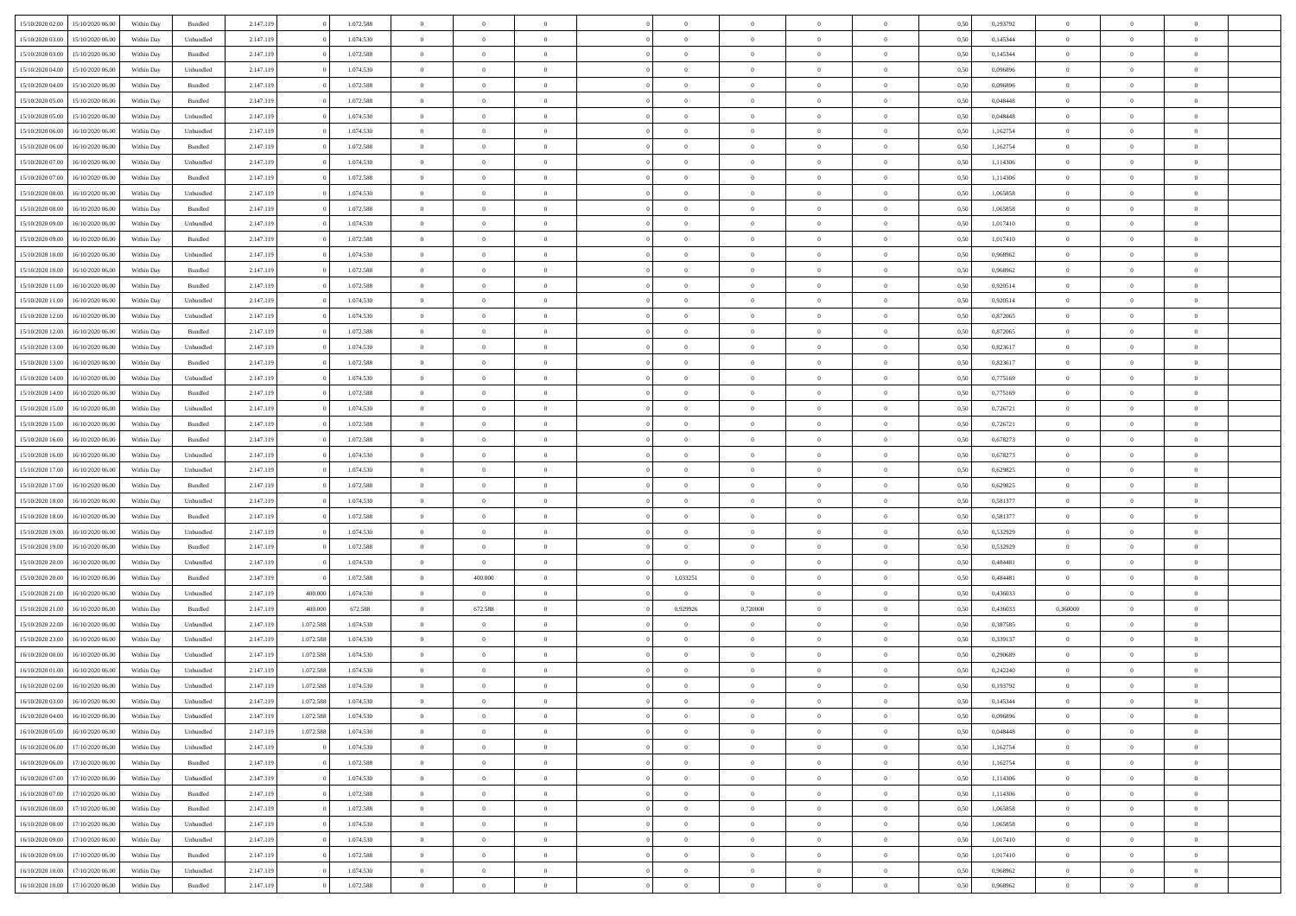|                  | 15/10/2020 06:00 | Within Dav | Bundled            | 2.147.119 |           | 1.072.588 | $\overline{0}$ | $\Omega$       |                | $\Omega$       | $\Omega$       | $\Omega$       | $\theta$       | 0.50 | 0,193792 | $\theta$       | $\theta$       | $\theta$       |  |
|------------------|------------------|------------|--------------------|-----------|-----------|-----------|----------------|----------------|----------------|----------------|----------------|----------------|----------------|------|----------|----------------|----------------|----------------|--|
| 15/10/2020 02.00 |                  |            |                    |           |           |           |                |                |                |                |                |                |                |      |          |                |                |                |  |
| 15/10/2020 03:00 | 15/10/2020 06.00 | Within Day | Unbundled          | 2.147.119 |           | 1.074.530 | $\overline{0}$ | $\theta$       | $\overline{0}$ | $\overline{0}$ | $\bf{0}$       | $\overline{0}$ | $\overline{0}$ | 0,50 | 0,145344 | $\theta$       | $\theta$       | $\overline{0}$ |  |
| 15/10/2020 03:00 | 15/10/2020 06:00 | Within Day | Bundled            | 2.147.119 |           | 1.072.588 | $\overline{0}$ | $\overline{0}$ | $\overline{0}$ | $\bf{0}$       | $\bf{0}$       | $\bf{0}$       | $\bf{0}$       | 0,50 | 0,145344 | $\bf{0}$       | $\overline{0}$ | $\overline{0}$ |  |
| 15/10/2020 04:00 | 15/10/2020 06:00 | Within Dav | Unbundled          | 2.147.119 |           | 1.074.530 | $\overline{0}$ | $\overline{0}$ | $\overline{0}$ | $\overline{0}$ | $\bf{0}$       | $\overline{0}$ | $\overline{0}$ | 0.50 | 0.096896 | $\theta$       | $\theta$       | $\overline{0}$ |  |
| 15/10/2020 04:00 | 15/10/2020 06.00 | Within Day | Bundled            | 2.147.119 |           | 1.072.588 | $\overline{0}$ | $\theta$       | $\overline{0}$ | $\overline{0}$ | $\bf{0}$       | $\overline{0}$ | $\bf{0}$       | 0,50 | 0,096896 | $\theta$       | $\theta$       | $\overline{0}$ |  |
|                  |                  |            |                    |           |           |           |                |                |                |                |                |                |                |      |          |                |                |                |  |
| 15/10/2020 05:00 | 15/10/2020 06:00 | Within Day | Bundled            | 2.147.119 |           | 1.072.588 | $\overline{0}$ | $\bf{0}$       | $\overline{0}$ | $\bf{0}$       | $\overline{0}$ | $\overline{0}$ | $\mathbf{0}$   | 0,50 | 0,048448 | $\bf{0}$       | $\overline{0}$ | $\bf{0}$       |  |
| 15/10/2020 05:00 | 15/10/2020 06:00 | Within Dav | Unbundled          | 2.147.119 |           | 1.074.530 | $\overline{0}$ | $\overline{0}$ | $\overline{0}$ | $\overline{0}$ | $\overline{0}$ | $\overline{0}$ | $\overline{0}$ | 0.50 | 0.048448 | $\theta$       | $\overline{0}$ | $\overline{0}$ |  |
| 15/10/2020 06.00 | 16/10/2020 06.00 | Within Day | Unbundled          | 2.147.119 |           | 1.074.530 | $\overline{0}$ | $\theta$       | $\overline{0}$ | $\overline{0}$ | $\bf{0}$       | $\overline{0}$ | $\bf{0}$       | 0,50 | 1,162754 | $\theta$       | $\theta$       | $\overline{0}$ |  |
| 15/10/2020 06:00 | 16/10/2020 06.00 | Within Day | Bundled            | 2.147.119 |           | 1.072.588 | $\overline{0}$ | $\overline{0}$ | $\overline{0}$ | $\bf{0}$       | $\bf{0}$       | $\bf{0}$       | $\bf{0}$       | 0,50 | 1,162754 | $\,0\,$        | $\overline{0}$ | $\overline{0}$ |  |
| 15/10/2020 07:00 | 16/10/2020 06:00 | Within Dav | Unbundled          | 2.147.119 |           | 1.074.530 | $\overline{0}$ | $\overline{0}$ | $\overline{0}$ | $\overline{0}$ | $\overline{0}$ | $\overline{0}$ | $\overline{0}$ | 0.50 | 1,114306 | $\theta$       | $\overline{0}$ | $\overline{0}$ |  |
| 15/10/2020 07.00 | 16/10/2020 06.00 | Within Day | Bundled            | 2.147.119 |           | 1.072.588 | $\overline{0}$ | $\theta$       | $\overline{0}$ | $\overline{0}$ | $\bf{0}$       | $\overline{0}$ | $\bf{0}$       | 0,50 | 1,114306 | $\,$ 0 $\,$    | $\theta$       | $\overline{0}$ |  |
| 15/10/2020 08:00 | 16/10/2020 06.00 | Within Day | Unbundled          | 2.147.119 |           | 1.074.530 | $\overline{0}$ | $\overline{0}$ | $\overline{0}$ | $\bf{0}$       | $\bf{0}$       | $\bf{0}$       | $\bf{0}$       | 0,50 | 1,065858 | $\bf{0}$       | $\overline{0}$ | $\overline{0}$ |  |
|                  |                  |            |                    |           |           |           |                |                |                |                |                |                |                |      |          | $\theta$       |                |                |  |
| 15/10/2020 08:00 | 16/10/2020 06:00 | Within Dav | Bundled            | 2.147.119 |           | 1.072.588 | $\overline{0}$ | $\overline{0}$ | $\overline{0}$ | $\overline{0}$ | $\bf{0}$       | $\overline{0}$ | $\overline{0}$ | 0.50 | 1.065858 |                | $\theta$       | $\overline{0}$ |  |
| 15/10/2020 09:00 | 16/10/2020 06.00 | Within Day | Unbundled          | 2.147.119 |           | 1.074.530 | $\overline{0}$ | $\theta$       | $\overline{0}$ | $\overline{0}$ | $\bf{0}$       | $\overline{0}$ | $\overline{0}$ | 0,50 | 1,017410 | $\theta$       | $\theta$       | $\overline{0}$ |  |
| 15/10/2020 09:00 | 16/10/2020 06.00 | Within Day | Bundled            | 2.147.119 |           | 1.072.588 | $\overline{0}$ | $\overline{0}$ | $\overline{0}$ | $\bf{0}$       | $\bf{0}$       | $\overline{0}$ | $\mathbf{0}$   | 0,50 | 1,017410 | $\bf{0}$       | $\overline{0}$ | $\bf{0}$       |  |
| 15/10/2020 10:00 | 16/10/2020 06:00 | Within Dav | Unbundled          | 2.147.119 |           | 1.074.530 | $\overline{0}$ | $\overline{0}$ | $\overline{0}$ | $\overline{0}$ | $\overline{0}$ | $\overline{0}$ | $\overline{0}$ | 0.50 | 0.968962 | $\theta$       | $\overline{0}$ | $\overline{0}$ |  |
| 15/10/2020 10:00 | 16/10/2020 06.00 | Within Day | Bundled            | 2.147.119 |           | 1.072.588 | $\overline{0}$ | $\theta$       | $\overline{0}$ | $\overline{0}$ | $\bf{0}$       | $\overline{0}$ | $\bf{0}$       | 0,50 | 0,968962 | $\theta$       | $\theta$       | $\overline{0}$ |  |
| 15/10/2020 11:00 | 16/10/2020 06.00 | Within Day | Bundled            | 2.147.119 |           | 1.072.588 | $\overline{0}$ | $\overline{0}$ | $\overline{0}$ | $\bf{0}$       | $\bf{0}$       | $\bf{0}$       | $\bf{0}$       | 0,50 | 0,920514 | $\,0\,$        | $\overline{0}$ | $\overline{0}$ |  |
| 15/10/2020 11:00 | 16/10/2020 06:00 | Within Day | Unbundled          | 2.147.119 |           | 1.074.530 | $\overline{0}$ | $\overline{0}$ | $\overline{0}$ | $\overline{0}$ | $\overline{0}$ | $\overline{0}$ | $\overline{0}$ | 0.50 | 0.920514 | $\theta$       | $\overline{0}$ | $\overline{0}$ |  |
| 15/10/2020 12:00 | 16/10/2020 06.00 |            |                    | 2.147.119 |           | 1.074.530 | $\overline{0}$ | $\theta$       | $\overline{0}$ | $\overline{0}$ | $\bf{0}$       | $\overline{0}$ |                |      | 0,872065 | $\theta$       | $\theta$       | $\overline{0}$ |  |
|                  |                  | Within Day | Unbundled          |           |           |           |                |                |                |                |                |                | $\bf{0}$       | 0,50 |          |                |                |                |  |
| 15/10/2020 12:00 | 16/10/2020 06.00 | Within Day | Bundled            | 2.147.119 |           | 1.072.588 | $\overline{0}$ | $\overline{0}$ | $\overline{0}$ | $\bf{0}$       | $\bf{0}$       | $\bf{0}$       | $\bf{0}$       | 0,50 | 0,872065 | $\,0\,$        | $\overline{0}$ | $\overline{0}$ |  |
| 15/10/2020 13:00 | 16/10/2020 06:00 | Within Day | Unbundled          | 2.147.119 |           | 1.074.530 | $\overline{0}$ | $\overline{0}$ | $\overline{0}$ | $\overline{0}$ | $\bf{0}$       | $\overline{0}$ | $\overline{0}$ | 0.50 | 0.823617 | $\theta$       | $\theta$       | $\overline{0}$ |  |
| 15/10/2020 13:00 | 16/10/2020 06.00 | Within Day | Bundled            | 2.147.119 |           | 1.072.588 | $\overline{0}$ | $\theta$       | $\overline{0}$ | $\overline{0}$ | $\bf{0}$       | $\overline{0}$ | $\bf{0}$       | 0,50 | 0,823617 | $\theta$       | $\overline{0}$ | $\overline{0}$ |  |
| 15/10/2020 14:00 | 16/10/2020 06.00 | Within Day | Unbundled          | 2.147.119 |           | 1.074.530 | $\overline{0}$ | $\bf{0}$       | $\overline{0}$ | $\bf{0}$       | $\overline{0}$ | $\overline{0}$ | $\mathbf{0}$   | 0,50 | 0,775169 | $\overline{0}$ | $\overline{0}$ | $\bf{0}$       |  |
| 15/10/2020 14:00 | 16/10/2020 06:00 | Within Dav | Bundled            | 2.147.119 |           | 1.072.588 | $\overline{0}$ | $\overline{0}$ | $\overline{0}$ | $\overline{0}$ | $\overline{0}$ | $\overline{0}$ | $\overline{0}$ | 0.50 | 0,775169 | $\theta$       | $\overline{0}$ | $\overline{0}$ |  |
| 15/10/2020 15:00 | 16/10/2020 06.00 | Within Day | Unbundled          | 2.147.119 |           | 1.074.530 | $\overline{0}$ | $\theta$       | $\overline{0}$ | $\overline{0}$ | $\bf{0}$       | $\overline{0}$ | $\bf{0}$       | 0,50 | 0,726721 | $\theta$       | $\theta$       | $\overline{0}$ |  |
|                  |                  |            |                    |           |           |           |                |                |                |                |                |                |                |      |          |                |                |                |  |
| 15/10/2020 15:00 | 16/10/2020 06.00 | Within Day | Bundled            | 2.147.119 |           | 1.072.588 | $\overline{0}$ | $\overline{0}$ | $\overline{0}$ | $\bf{0}$       | $\bf{0}$       | $\bf{0}$       | $\bf{0}$       | 0,50 | 0,726721 | $\,0\,$        | $\overline{0}$ | $\overline{0}$ |  |
| 15/10/2020 16:00 | 16/10/2020 06:00 | Within Day | Bundled            | 2.147.119 |           | 1.072.588 | $\overline{0}$ | $\overline{0}$ | $\overline{0}$ | $\overline{0}$ | $\overline{0}$ | $\overline{0}$ | $\overline{0}$ | 0.50 | 0,678273 | $\theta$       | $\overline{0}$ | $\overline{0}$ |  |
| 15/10/2020 16:00 | 16/10/2020 06.00 | Within Day | Unbundled          | 2.147.119 |           | 1.074.530 | $\overline{0}$ | $\theta$       | $\overline{0}$ | $\overline{0}$ | $\bf{0}$       | $\overline{0}$ | $\bf{0}$       | 0,50 | 0,678273 | $\,$ 0 $\,$    | $\theta$       | $\overline{0}$ |  |
| 15/10/2020 17.00 | 16/10/2020 06.00 | Within Day | Unbundled          | 2.147.119 |           | 1.074.530 | $\overline{0}$ | $\overline{0}$ | $\overline{0}$ | $\overline{0}$ | $\bf{0}$       | $\overline{0}$ | $\bf{0}$       | 0,50 | 0,629825 | $\bf{0}$       | $\overline{0}$ | $\overline{0}$ |  |
| 15/10/2020 17:00 | 16/10/2020 06.00 | Within Day | Bundled            | 2.147.119 |           | 1.072.588 | $\overline{0}$ | $\Omega$       | $\Omega$       | $\Omega$       | $\Omega$       | $\Omega$       | $\overline{0}$ | 0,50 | 0,629825 | $\,0\,$        | $\theta$       | $\theta$       |  |
| 15/10/2020 18:00 | 16/10/2020 06.00 | Within Day | Unbundled          | 2.147.119 |           | 1.074.530 | $\overline{0}$ | $\theta$       | $\overline{0}$ | $\overline{0}$ | $\bf{0}$       | $\overline{0}$ | $\bf{0}$       | 0,50 | 0,581377 | $\theta$       | $\theta$       | $\overline{0}$ |  |
| 15/10/2020 18:00 | 16/10/2020 06:00 | Within Day | Bundled            | 2.147.119 |           | 1.072.588 | $\overline{0}$ | $\bf{0}$       | $\overline{0}$ | $\overline{0}$ | $\bf{0}$       | $\overline{0}$ | $\mathbf{0}$   | 0,50 | 0,581377 | $\bf{0}$       | $\overline{0}$ | $\bf{0}$       |  |
|                  | 16/10/2020 06:00 |            |                    |           |           | 1.074.530 | $\overline{0}$ | $\Omega$       | $\Omega$       | $\Omega$       | $\bf{0}$       | $\overline{0}$ | $\overline{0}$ | 0.50 |          | $\,0\,$        | $\theta$       | $\theta$       |  |
| 15/10/2020 19:00 |                  | Within Day | Unbundled          | 2.147.119 |           |           |                |                |                |                |                |                |                |      | 0,532929 |                |                |                |  |
| 15/10/2020 19:00 | 16/10/2020 06.00 | Within Day | Bundled            | 2.147.119 |           | 1.072.588 | $\overline{0}$ | $\theta$       | $\overline{0}$ | $\overline{0}$ | $\bf{0}$       | $\overline{0}$ | $\bf{0}$       | 0,50 | 0,532929 | $\,$ 0 $\,$    | $\theta$       | $\overline{0}$ |  |
| 15/10/2020 20:00 | 16/10/2020 06.00 | Within Day | Unbundled          | 2.147.119 |           | 1.074.530 | $\overline{0}$ | $\bf{0}$       | $\overline{0}$ | $\overline{0}$ | $\bf{0}$       | $\overline{0}$ | $\bf{0}$       | 0,50 | 0,484481 | $\,0\,$        | $\overline{0}$ | $\overline{0}$ |  |
| 15/10/2020 20:00 | 16/10/2020 06:00 | Within Day | Bundled            | 2.147.119 |           | 1.072.588 | $\overline{0}$ | 400,000        | $\Omega$       | 1,033251       | $\Omega$       | $\theta$       | $\overline{0}$ | 0.50 | 0.484481 | $\theta$       | $\theta$       | $\theta$       |  |
| 15/10/2020 21.00 | 16/10/2020 06.00 | Within Day | Unbundled          | 2.147.119 | 400.000   | 1.074.530 | $\overline{0}$ | $\overline{0}$ | $\overline{0}$ | $\overline{0}$ | $\bf{0}$       | $\overline{0}$ | $\bf{0}$       | 0,50 | 0,436033 | $\,$ 0 $\,$    | $\overline{0}$ | $\overline{0}$ |  |
| 15/10/2020 21.00 | 16/10/2020 06.00 | Within Day | Bundled            | 2.147.119 | 400.000   | 672.588   | $\overline{0}$ | 672.588        | $\overline{0}$ | 0,929926       | 0,720000       | $\overline{0}$ | $\bf{0}$       | 0,50 | 0,436033 | 0,360000       | $\overline{0}$ | $\overline{0}$ |  |
| 15/10/2020 22.00 | 16/10/2020 06.00 | Within Day | Unbundled          | 2.147.119 | 1.072.588 | 1.074.530 | $\overline{0}$ | $\Omega$       | $\Omega$       | $\Omega$       | $\Omega$       | $\overline{0}$ | $\overline{0}$ | 0.50 | 0,387585 | $\bf{0}$       | $\theta$       | $\theta$       |  |
| 15/10/2020 23.00 | 16/10/2020 06.00 | Within Day | Unbundled          | 2.147.119 | 1.072.588 | 1.074.530 | $\overline{0}$ | $\theta$       | $\overline{0}$ | $\overline{0}$ | $\bf{0}$       | $\overline{0}$ | $\bf{0}$       | 0,50 | 0,339137 | $\,$ 0 $\,$    | $\theta$       | $\overline{0}$ |  |
| 16/10/2020 00.00 | 16/10/2020 06.00 | Within Day | Unbundled          | 2.147.119 | 1.072.588 | 1.074.530 | $\overline{0}$ | $\overline{0}$ | $\overline{0}$ | $\overline{0}$ | $\bf{0}$       | $\overline{0}$ | $\mathbf{0}$   | 0,50 | 0,290689 | $\overline{0}$ | $\overline{0}$ | $\bf{0}$       |  |
|                  |                  |            |                    |           |           |           |                |                |                |                |                |                |                |      |          |                |                |                |  |
| 16/10/2020 01:00 | 16/10/2020 06:00 | Within Day | Unbundled          | 2.147.119 | 1.072.588 | 1.074.530 | $\overline{0}$ | $\Omega$       | $\Omega$       | $\Omega$       | $\Omega$       | $\Omega$       | $\overline{0}$ | 0.50 | 0,242240 | $\theta$       | $\theta$       | $\theta$       |  |
| 16/10/2020 02.00 | 16/10/2020 06:00 | Within Day | Unbundled          | 2.147.119 | 1.072.588 | 1.074.530 | $\overline{0}$ | $\overline{0}$ | $\overline{0}$ | $\bf{0}$       | $\,$ 0         | $\overline{0}$ | $\bf{0}$       | 0,50 | 0,193792 | $\,0\,$        | $\overline{0}$ | $\overline{0}$ |  |
| 16/10/2020 03:00 | 16/10/2020 06.00 | Within Day | Unbundled          | 2.147.119 | 1.072.588 | 1.074.530 | $\bf{0}$       | $\bf{0}$       |                |                |                |                |                | 0,50 | 0,145344 | $\bf{0}$       | $\overline{0}$ |                |  |
| 16/10/2020 04:00 | 16/10/2020 06:00 | Within Day | Unbundled          | 2.147.119 | 1.072.588 | 1.074.530 | $\overline{0}$ | $\overline{0}$ | $\overline{0}$ | $\Omega$       | $\theta$       | $\overline{0}$ | $\overline{0}$ | 0.50 | 0.096896 | $\theta$       | $\theta$       | $\theta$       |  |
| 16/10/2020 05:00 | 16/10/2020 06.00 | Within Day | Unbundled          | 2.147.119 | 1.072.588 | 1.074.530 | $\overline{0}$ | $\,$ 0         | $\overline{0}$ | $\overline{0}$ | $\,$ 0 $\,$    | $\overline{0}$ | $\mathbf{0}$   | 0,50 | 0,048448 | $\,$ 0 $\,$    | $\,$ 0 $\,$    | $\,$ 0         |  |
| 16/10/2020 06:00 | 17/10/2020 06.00 | Within Day | Unbundled          | 2.147.119 |           | 1.074.530 | $\overline{0}$ | $\overline{0}$ | $\overline{0}$ | $\overline{0}$ | $\overline{0}$ | $\overline{0}$ | $\mathbf{0}$   | 0,50 | 1,162754 | $\overline{0}$ | $\bf{0}$       | $\bf{0}$       |  |
|                  | 17/10/2020 06.00 | Within Day | $\mathbf B$ undled | 2.147.119 |           | 1.072.588 | $\overline{0}$ | $\overline{0}$ | $\overline{0}$ | $\Omega$       | $\overline{0}$ | $\overline{0}$ | $\bf{0}$       | 0,50 | 1,162754 | $\overline{0}$ | $\theta$       | $\overline{0}$ |  |
| 16/10/2020 06:00 |                  |            |                    |           |           |           |                |                |                |                |                |                |                |      |          |                |                |                |  |
| 16/10/2020 07:00 | 17/10/2020 06.00 | Within Day | Unbundled          | 2.147.119 |           | 1.074.530 | $\overline{0}$ | $\,$ 0         | $\overline{0}$ | $\overline{0}$ | $\overline{0}$ | $\overline{0}$ | $\bf{0}$       | 0,50 | 1,114306 | $\,$ 0 $\,$    | $\overline{0}$ | $\overline{0}$ |  |
| 16/10/2020 07:00 | 17/10/2020 06.00 | Within Day | Bundled            | 2.147.119 |           | 1.072.588 | $\overline{0}$ | $\overline{0}$ | $\overline{0}$ | $\overline{0}$ | $\overline{0}$ | $\overline{0}$ | $\mathbf{0}$   | 0,50 | 1,114306 | $\overline{0}$ | $\overline{0}$ | $\bf{0}$       |  |
| 16/10/2020 08:00 | 17/10/2020 06.00 | Within Day | Bundled            | 2.147.119 |           | 1.072.588 | $\overline{0}$ | $\overline{0}$ | $\overline{0}$ | $\Omega$       | $\overline{0}$ | $\overline{0}$ | $\bf{0}$       | 0.50 | 1,065858 | $\overline{0}$ | $\theta$       | $\overline{0}$ |  |
| 16/10/2020 08:00 | 17/10/2020 06.00 | Within Day | Unbundled          | 2.147.119 |           | 1.074.530 | $\overline{0}$ | $\,$ 0         | $\overline{0}$ | $\overline{0}$ | $\bf{0}$       | $\overline{0}$ | $\bf{0}$       | 0,50 | 1,065858 | $\,$ 0 $\,$    | $\overline{0}$ | $\overline{0}$ |  |
| 16/10/2020 09:00 | 17/10/2020 06.00 | Within Day | Unbundled          | 2.147.119 |           | 1.074.530 | $\overline{0}$ | $\bf{0}$       | $\overline{0}$ | $\overline{0}$ | $\overline{0}$ | $\overline{0}$ | $\mathbf{0}$   | 0,50 | 1,017410 | $\overline{0}$ | $\overline{0}$ | $\bf{0}$       |  |
| 16/10/2020 09:00 | 17/10/2020 06.00 | Within Day | Bundled            | 2.147.119 |           | 1.072.588 | $\overline{0}$ | $\overline{0}$ | $\overline{0}$ | $\Omega$       | $\overline{0}$ | $\overline{0}$ | $\bf{0}$       | 0.50 | 1,017410 | $\overline{0}$ | $\theta$       | $\overline{0}$ |  |
| 16/10/2020 10:00 | 17/10/2020 06.00 | Within Day | Unbundled          | 2.147.119 |           | 1.074.530 | $\overline{0}$ | $\bf{0}$       | $\overline{0}$ | $\overline{0}$ | $\bf{0}$       | $\overline{0}$ | $\mathbf{0}$   | 0,50 | 0,968962 | $\,$ 0 $\,$    | $\,$ 0 $\,$    | $\bf{0}$       |  |
|                  |                  |            |                    |           |           |           |                |                |                |                |                |                |                |      |          |                |                |                |  |
| 16/10/2020 10:00 | 17/10/2020 06.00 | Within Day | Bundled            | 2.147.119 |           | 1.072.588 | $\overline{0}$ | $\overline{0}$ | $\overline{0}$ | $\overline{0}$ | $\bf{0}$       | $\overline{0}$ | $\mathbf{0}$   | 0,50 | 0,968962 | $\overline{0}$ | $\bf{0}$       | $\bf{0}$       |  |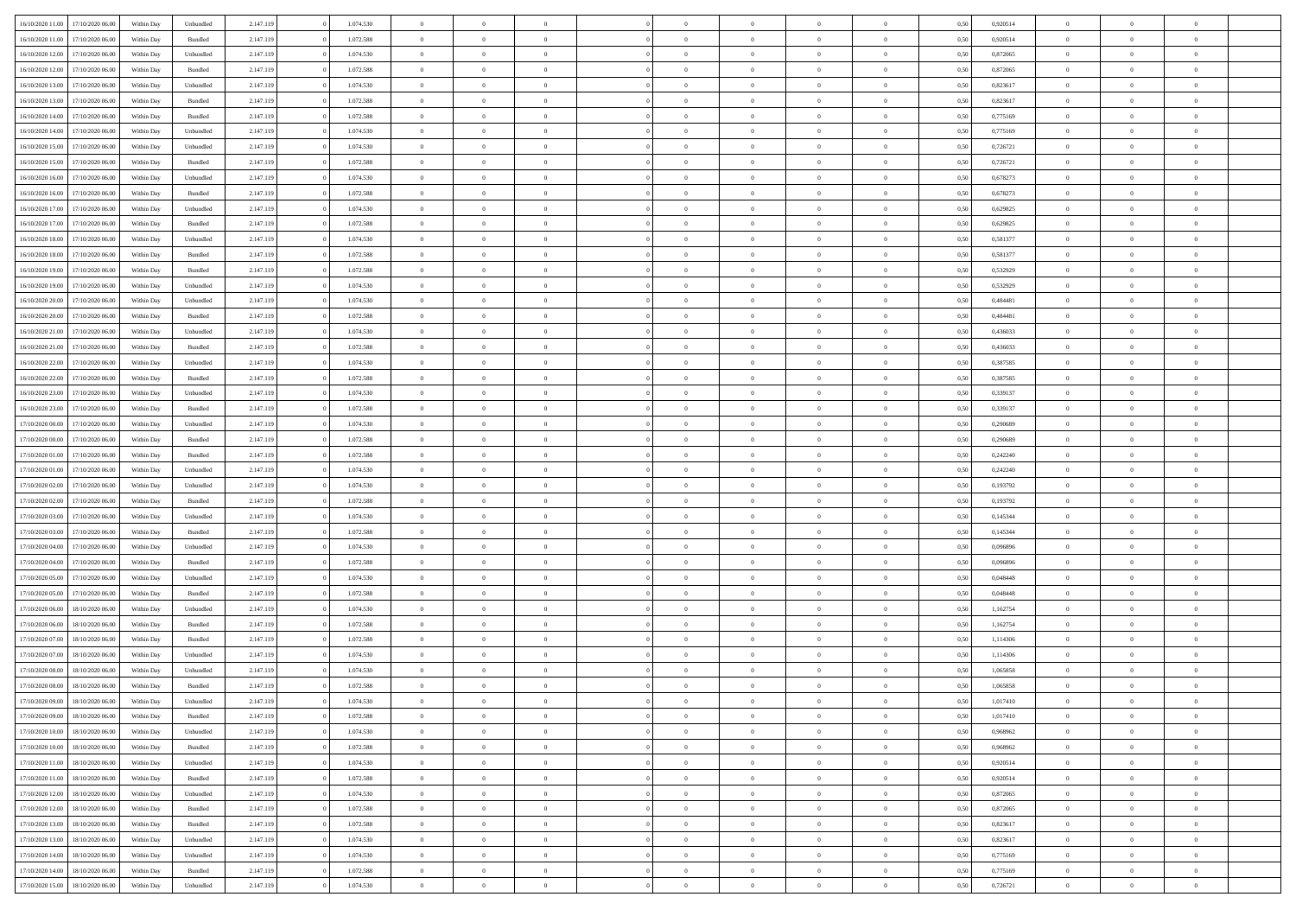|                  |                  |            |           |           |           |                |                |                |                | $\Omega$       | $\theta$       | $\theta$       |      |          | $\theta$       | $\overline{0}$ |                |  |
|------------------|------------------|------------|-----------|-----------|-----------|----------------|----------------|----------------|----------------|----------------|----------------|----------------|------|----------|----------------|----------------|----------------|--|
| 16/10/2020 11:00 | 17/10/2020 06:00 | Within Dav | Unbundled | 2.147.119 | 1.074.530 | $\overline{0}$ | $\theta$       |                | $\Omega$       |                |                |                | 0.50 | 0,920514 |                |                | $\overline{0}$ |  |
| 16/10/2020 11:00 | 17/10/2020 06.00 | Within Day | Bundled   | 2.147.119 | 1.072.588 | $\overline{0}$ | $\theta$       | $\overline{0}$ | $\overline{0}$ | $\bf{0}$       | $\overline{0}$ | $\bf{0}$       | 0,50 | 0,920514 | $\theta$       | $\overline{0}$ | $\overline{0}$ |  |
| 16/10/2020 12:00 | 17/10/2020 06.00 | Within Day | Unbundled | 2.147.119 | 1.074.530 | $\overline{0}$ | $\bf{0}$       | $\overline{0}$ | $\bf{0}$       | $\bf{0}$       | $\bf{0}$       | $\bf{0}$       | 0,50 | 0,872065 | $\overline{0}$ | $\overline{0}$ | $\overline{0}$ |  |
| 16/10/2020 12:00 | 17/10/2020 06:00 | Within Dav | Bundled   | 2.147.119 | 1.072.588 | $\overline{0}$ | $\overline{0}$ | $\overline{0}$ | $\overline{0}$ | $\bf{0}$       | $\overline{0}$ | $\overline{0}$ | 0.50 | 0.872065 | $\theta$       | $\overline{0}$ | $\overline{0}$ |  |
|                  |                  |            |           |           |           |                |                |                |                |                |                |                |      |          |                |                |                |  |
| 16/10/2020 13:00 | 17/10/2020 06.00 | Within Day | Unbundled | 2.147.119 | 1.074.530 | $\overline{0}$ | $\theta$       | $\overline{0}$ | $\overline{0}$ | $\bf{0}$       | $\overline{0}$ | $\bf{0}$       | 0,50 | 0,823617 | $\theta$       | $\overline{0}$ | $\overline{0}$ |  |
| 16/10/2020 13:00 | 17/10/2020 06.00 | Within Day | Bundled   | 2.147.119 | 1.072.588 | $\overline{0}$ | $\overline{0}$ | $\overline{0}$ | $\bf{0}$       | $\overline{0}$ | $\overline{0}$ | $\mathbf{0}$   | 0,50 | 0,823617 | $\overline{0}$ | $\overline{0}$ | $\bf{0}$       |  |
| 16/10/2020 14:00 | 17/10/2020 06.00 | Within Dav | Bundled   | 2.147.119 | 1.072.588 | $\overline{0}$ | $\overline{0}$ | $\overline{0}$ | $\overline{0}$ | $\overline{0}$ | $\overline{0}$ | $\overline{0}$ | 0.50 | 0,775169 | $\theta$       | $\overline{0}$ | $\overline{0}$ |  |
| 16/10/2020 14:00 | 17/10/2020 06.00 | Within Day | Unbundled | 2.147.119 | 1.074.530 | $\overline{0}$ | $\theta$       | $\overline{0}$ | $\overline{0}$ | $\bf{0}$       | $\overline{0}$ | $\bf{0}$       | 0,50 | 0,775169 | $\theta$       | $\theta$       | $\overline{0}$ |  |
|                  |                  |            |           |           |           |                |                |                |                |                |                |                |      |          |                |                |                |  |
| 16/10/2020 15:00 | 17/10/2020 06.00 | Within Day | Unbundled | 2.147.119 | 1.074.530 | $\overline{0}$ | $\overline{0}$ | $\overline{0}$ | $\bf{0}$       | $\bf{0}$       | $\bf{0}$       | $\bf{0}$       | 0,50 | 0,726721 | $\,0\,$        | $\overline{0}$ | $\overline{0}$ |  |
| 16/10/2020 15:00 | 17/10/2020 06.00 | Within Dav | Bundled   | 2.147.119 | 1.072.588 | $\overline{0}$ | $\overline{0}$ | $\overline{0}$ | $\overline{0}$ | $\overline{0}$ | $\overline{0}$ | $\overline{0}$ | 0.50 | 0,726721 | $\theta$       | $\overline{0}$ | $\overline{0}$ |  |
| 16/10/2020 16:00 | 17/10/2020 06.00 | Within Day | Unbundled | 2.147.119 | 1.074.530 | $\overline{0}$ | $\theta$       | $\overline{0}$ | $\overline{0}$ | $\bf{0}$       | $\overline{0}$ | $\bf{0}$       | 0,50 | 0,678273 | $\,$ 0 $\,$    | $\overline{0}$ | $\overline{0}$ |  |
| 16/10/2020 16.00 | 17/10/2020 06.00 | Within Day | Bundled   | 2.147.119 | 1.072.588 | $\overline{0}$ | $\bf{0}$       | $\overline{0}$ | $\bf{0}$       | $\bf{0}$       | $\bf{0}$       | $\mathbf{0}$   | 0,50 | 0,678273 | $\overline{0}$ | $\overline{0}$ | $\bf{0}$       |  |
|                  |                  |            |           |           |           |                |                |                |                |                |                |                |      |          | $\theta$       |                |                |  |
| 16/10/2020 17:00 | 17/10/2020 06:00 | Within Day | Unbundled | 2.147.119 | 1.074.530 | $\overline{0}$ | $\overline{0}$ | $\overline{0}$ | $\overline{0}$ | $\bf{0}$       | $\overline{0}$ | $\overline{0}$ | 0.50 | 0.629825 |                | $\theta$       | $\overline{0}$ |  |
| 16/10/2020 17.00 | 17/10/2020 06.00 | Within Day | Bundled   | 2.147.119 | 1.072.588 | $\overline{0}$ | $\theta$       | $\overline{0}$ | $\overline{0}$ | $\bf{0}$       | $\overline{0}$ | $\bf{0}$       | 0,50 | 0,629825 | $\theta$       | $\overline{0}$ | $\overline{0}$ |  |
| 16/10/2020 18:00 | 17/10/2020 06.00 | Within Day | Unbundled | 2.147.119 | 1.074.530 | $\overline{0}$ | $\overline{0}$ | $\overline{0}$ | $\bf{0}$       | $\overline{0}$ | $\overline{0}$ | $\mathbf{0}$   | 0,50 | 0,581377 | $\overline{0}$ | $\overline{0}$ | $\bf{0}$       |  |
| 16/10/2020 18:00 | 17/10/2020 06.00 | Within Dav | Bundled   | 2.147.119 | 1.072.588 | $\overline{0}$ | $\overline{0}$ | $\overline{0}$ | $\overline{0}$ | $\overline{0}$ | $\overline{0}$ | $\overline{0}$ | 0.50 | 0,581377 | $\theta$       | $\overline{0}$ | $\overline{0}$ |  |
| 16/10/2020 19:00 | 17/10/2020 06.00 |            |           | 2.147.119 | 1.072.588 | $\overline{0}$ | $\theta$       | $\overline{0}$ | $\overline{0}$ | $\bf{0}$       | $\overline{0}$ |                |      | 0,532929 | $\,$ 0 $\,$    | $\theta$       | $\overline{0}$ |  |
|                  |                  | Within Day | Bundled   |           |           |                |                |                |                |                |                | $\bf{0}$       | 0,50 |          |                |                |                |  |
| 16/10/2020 19:00 | 17/10/2020 06.00 | Within Day | Unbundled | 2.147.119 | 1.074.530 | $\overline{0}$ | $\overline{0}$ | $\overline{0}$ | $\bf{0}$       | $\bf{0}$       | $\bf{0}$       | $\bf{0}$       | 0,50 | 0,532929 | $\bf{0}$       | $\overline{0}$ | $\overline{0}$ |  |
| 16/10/2020 20:00 | 17/10/2020 06:00 | Within Day | Unbundled | 2.147.119 | 1.074.530 | $\overline{0}$ | $\overline{0}$ | $\overline{0}$ | $\overline{0}$ | $\overline{0}$ | $\overline{0}$ | $\overline{0}$ | 0.50 | 0,484481 | $\theta$       | $\overline{0}$ | $\overline{0}$ |  |
| 16/10/2020 20:00 | 17/10/2020 06.00 | Within Day | Bundled   | 2.147.119 | 1.072.588 | $\overline{0}$ | $\theta$       | $\overline{0}$ | $\overline{0}$ | $\bf{0}$       | $\overline{0}$ | $\bf{0}$       | 0,50 | 0,484481 | $\,$ 0 $\,$    | $\overline{0}$ | $\overline{0}$ |  |
| 16/10/2020 21.00 | 17/10/2020 06.00 | Within Day | Unbundled | 2.147.119 | 1.074.530 | $\overline{0}$ | $\overline{0}$ | $\overline{0}$ | $\bf{0}$       | $\bf{0}$       | $\bf{0}$       | $\bf{0}$       | 0,50 | 0,436033 | $\overline{0}$ | $\overline{0}$ | $\bf{0}$       |  |
|                  |                  |            |           |           |           |                |                |                |                |                |                |                |      |          |                |                |                |  |
| 16/10/2020 21:00 | 17/10/2020 06:00 | Within Day | Bundled   | 2.147.119 | 1.072.588 | $\overline{0}$ | $\overline{0}$ | $\overline{0}$ | $\overline{0}$ | $\overline{0}$ | $\overline{0}$ | $\overline{0}$ | 0.50 | 0,436033 | $\theta$       | $\overline{0}$ | $\overline{0}$ |  |
| 16/10/2020 22.00 | 17/10/2020 06.00 | Within Day | Unbundled | 2.147.119 | 1.074.530 | $\overline{0}$ | $\theta$       | $\overline{0}$ | $\overline{0}$ | $\bf{0}$       | $\overline{0}$ | $\bf{0}$       | 0,50 | 0,387585 | $\,$ 0 $\,$    | $\overline{0}$ | $\overline{0}$ |  |
| 16/10/2020 22.00 | 17/10/2020 06.00 | Within Day | Bundled   | 2.147.119 | 1.072.588 | $\overline{0}$ | $\overline{0}$ | $\overline{0}$ | $\overline{0}$ | $\overline{0}$ | $\overline{0}$ | $\mathbf{0}$   | 0,50 | 0,387585 | $\overline{0}$ | $\overline{0}$ | $\bf{0}$       |  |
| 16/10/2020 23:00 | 17/10/2020 06.00 | Within Dav | Unbundled | 2.147.119 | 1.074.530 | $\overline{0}$ | $\overline{0}$ | $\overline{0}$ | $\overline{0}$ | $\overline{0}$ | $\overline{0}$ | $\overline{0}$ | 0.50 | 0,339137 | $\overline{0}$ | $\overline{0}$ | $\overline{0}$ |  |
|                  |                  |            |           |           |           |                |                |                |                |                |                |                |      |          |                |                |                |  |
| 16/10/2020 23.00 | 17/10/2020 06.00 | Within Day | Bundled   | 2.147.119 | 1.072.588 | $\overline{0}$ | $\theta$       | $\overline{0}$ | $\overline{0}$ | $\bf{0}$       | $\overline{0}$ | $\bf{0}$       | 0,50 | 0,339137 | $\theta$       | $\theta$       | $\overline{0}$ |  |
| 17/10/2020 00:00 | 17/10/2020 06.00 | Within Day | Unbundled | 2.147.119 | 1.074.530 | $\overline{0}$ | $\overline{0}$ | $\overline{0}$ | $\overline{0}$ | $\bf{0}$       | $\overline{0}$ | $\bf{0}$       | 0,50 | 0,290689 | $\,0\,$        | $\overline{0}$ | $\overline{0}$ |  |
| 17/10/2020 00:00 | 17/10/2020 06:00 | Within Day | Bundled   | 2.147.119 | 1.072.588 | $\overline{0}$ | $\overline{0}$ | $\overline{0}$ | $\overline{0}$ | $\overline{0}$ | $\overline{0}$ | $\overline{0}$ | 0.50 | 0.290689 | $\theta$       | $\overline{0}$ | $\overline{0}$ |  |
| 17/10/2020 01:00 | 17/10/2020 06.00 | Within Day | Bundled   | 2.147.119 | 1.072.588 | $\overline{0}$ | $\theta$       | $\overline{0}$ | $\overline{0}$ | $\bf{0}$       | $\overline{0}$ | $\bf{0}$       | 0,50 | 0,242240 | $\,$ 0 $\,$    | $\overline{0}$ | $\overline{0}$ |  |
|                  |                  |            |           |           |           |                |                |                |                |                |                |                |      |          |                |                |                |  |
| 17/10/2020 01.00 | 17/10/2020 06.00 | Within Day | Unbundled | 2.147.119 | 1.074.530 | $\overline{0}$ | $\overline{0}$ | $\overline{0}$ | $\overline{0}$ | $\bf{0}$       | $\overline{0}$ | $\bf{0}$       | 0,50 | 0,242240 | $\overline{0}$ | $\overline{0}$ | $\bf{0}$       |  |
| 17/10/2020 02.00 | 17/10/2020 06.00 | Within Day | Unbundled | 2.147.119 | 1.074.530 | $\overline{0}$ | $\Omega$       | $\Omega$       | $\Omega$       | $\Omega$       | $\overline{0}$ | $\overline{0}$ | 0,50 | 0,193792 | $\,0\,$        | $\theta$       | $\theta$       |  |
| 17/10/2020 02.00 | 17/10/2020 06.00 | Within Day | Bundled   | 2.147.119 | 1.072.588 | $\overline{0}$ | $\theta$       | $\overline{0}$ | $\overline{0}$ | $\bf{0}$       | $\overline{0}$ | $\bf{0}$       | 0,50 | 0,193792 | $\,$ 0 $\,$    | $\overline{0}$ | $\overline{0}$ |  |
| 17/10/2020 03:00 | 17/10/2020 06.00 | Within Day | Unbundled | 2.147.119 | 1.074.530 | $\overline{0}$ | $\overline{0}$ | $\overline{0}$ | $\overline{0}$ | $\overline{0}$ | $\overline{0}$ | $\mathbf{0}$   | 0,50 | 0,145344 | $\overline{0}$ | $\overline{0}$ | $\bf{0}$       |  |
| 17/10/2020 03:00 | 17/10/2020 06.00 |            | Bundled   | 2.147.119 | 1.072.588 | $\overline{0}$ | $\Omega$       | $\Omega$       | $\Omega$       | $\bf{0}$       | $\overline{0}$ | $\overline{0}$ | 0.50 | 0,145344 | $\,0\,$        | $\theta$       | $\theta$       |  |
|                  |                  | Within Day |           |           |           |                |                |                |                |                |                |                |      |          |                |                |                |  |
| 17/10/2020 04:00 | 17/10/2020 06.00 | Within Day | Unbundled | 2.147.119 | 1.074.530 | $\overline{0}$ | $\theta$       | $\overline{0}$ | $\overline{0}$ | $\bf{0}$       | $\overline{0}$ | $\bf{0}$       | 0,50 | 0,096896 | $\,$ 0 $\,$    | $\overline{0}$ | $\overline{0}$ |  |
| 17/10/2020 04.00 | 17/10/2020 06.00 | Within Day | Bundled   | 2.147.119 | 1.072.588 | $\overline{0}$ | $\overline{0}$ | $\overline{0}$ | $\overline{0}$ | $\bf{0}$       | $\overline{0}$ | $\bf{0}$       | 0,50 | 0,096896 | $\bf{0}$       | $\overline{0}$ | $\bf{0}$       |  |
| 17/10/2020 05:00 | 17/10/2020 06:00 | Within Day | Unbundled | 2.147.119 | 1.074.530 | $\overline{0}$ | $\Omega$       | $\Omega$       | $\Omega$       | $\overline{0}$ | $\overline{0}$ | $\overline{0}$ | 0.50 | 0.048448 | $\,$ 0 $\,$    | $\theta$       | $\theta$       |  |
| 17/10/2020 05:00 | 17/10/2020 06.00 | Within Day | Bundled   | 2.147.119 | 1.072.588 | $\overline{0}$ | $\theta$       | $\overline{0}$ | $\overline{0}$ | $\,$ 0         | $\overline{0}$ | $\bf{0}$       | 0,50 | 0,048448 | $\,$ 0 $\,$    | $\overline{0}$ | $\overline{0}$ |  |
|                  |                  |            |           |           |           |                |                |                |                |                |                |                |      |          |                |                |                |  |
| 17/10/2020 06.00 | 18/10/2020 06:00 | Within Day | Unbundled | 2.147.119 | 1.074.530 | $\overline{0}$ | $\bf{0}$       | $\overline{0}$ | $\overline{0}$ | $\bf{0}$       | $\overline{0}$ | $\bf{0}$       | 0,50 | 1,162754 | $\overline{0}$ | $\overline{0}$ | $\bf{0}$       |  |
| 17/10/2020 06.00 | 18/10/2020 06:00 | Within Day | Bundled   | 2.147.119 | 1.072.588 | $\overline{0}$ | $\Omega$       | $\overline{0}$ | $\Omega$       | $\overline{0}$ | $\overline{0}$ | $\overline{0}$ | 0,50 | 1,162754 | $\,0\,$        | $\theta$       | $\theta$       |  |
| 17/10/2020 07:00 | 18/10/2020 06:00 | Within Day | Bundled   | 2.147.119 | 1.072.588 | $\overline{0}$ | $\overline{0}$ | $\overline{0}$ | $\overline{0}$ | $\,$ 0         | $\overline{0}$ | $\bf{0}$       | 0,50 | 1,114306 | $\,$ 0 $\,$    | $\overline{0}$ | $\overline{0}$ |  |
| 17/10/2020 07.00 | 18/10/2020 06:00 | Within Day | Unbundled | 2.147.119 | 1.074.530 | $\overline{0}$ | $\overline{0}$ | $\overline{0}$ | $\overline{0}$ | $\bf{0}$       | $\overline{0}$ | $\mathbf{0}$   | 0,50 | 1,114306 | $\bf{0}$       | $\overline{0}$ | $\bf{0}$       |  |
| 17/10/2020 08:00 | 18/10/2020 06:00 | Within Day | Unbundled | 2.147.119 | 1.074.530 | $\overline{0}$ | $\Omega$       | $\Omega$       | $\Omega$       | $\Omega$       | $\Omega$       | $\overline{0}$ | 0.50 | 1,065858 | $\theta$       | $\theta$       | $\theta$       |  |
|                  |                  |            |           |           |           |                |                |                |                |                |                |                |      |          |                |                |                |  |
| 17/10/2020 08:00 | 18/10/2020 06.00 | Within Day | Bundled   | 2.147.119 | 1.072.588 | $\overline{0}$ | $\overline{0}$ | $\overline{0}$ | $\bf{0}$       | $\,$ 0         | $\overline{0}$ | $\bf{0}$       | 0,50 | 1,065858 | $\,0\,$        | $\,$ 0 $\,$    | $\overline{0}$ |  |
| 17/10/2020 09:00 | 18/10/2020 06:00 | Within Day | Unbundled | 2.147.119 | 1.074.530 | $\bf{0}$       | $\bf{0}$       |                |                | $\bf{0}$       |                |                | 0,50 | 1,017410 | $\bf{0}$       | $\overline{0}$ |                |  |
| 17/10/2020 09:00 | 18/10/2020 06:00 | Within Day | Bundled   | 2.147.119 | 1.072.588 | $\overline{0}$ | $\overline{0}$ | $\overline{0}$ | $\Omega$       | $\theta$       | $\overline{0}$ | $\overline{0}$ | 0,50 | 1,017410 | $\theta$       | $\theta$       | $\theta$       |  |
| 17/10/2020 10:00 | 18/10/2020 06.00 | Within Day | Unbundled | 2.147.119 | 1.074.530 | $\overline{0}$ | $\,$ 0         | $\overline{0}$ | $\overline{0}$ | $\,$ 0 $\,$    | $\overline{0}$ | $\mathbf{0}$   | 0,50 | 0,968962 | $\,$ 0 $\,$    | $\,$ 0 $\,$    | $\,$ 0         |  |
|                  |                  |            |           |           |           |                |                |                |                |                |                |                |      |          |                |                |                |  |
| 17/10/2020 10:00 | 18/10/2020 06:00 | Within Day | Bundled   | 2.147.119 | 1.072.588 | $\overline{0}$ | $\overline{0}$ | $\overline{0}$ | $\overline{0}$ | $\overline{0}$ | $\overline{0}$ | $\mathbf{0}$   | 0,50 | 0,968962 | $\overline{0}$ | $\bf{0}$       | $\bf{0}$       |  |
| 17/10/2020 11:00 | 18/10/2020 06:00 | Within Day | Unbundled | 2.147.119 | 1.074.530 | $\overline{0}$ | $\overline{0}$ | $\overline{0}$ | $\Omega$       | $\overline{0}$ | $\overline{0}$ | $\bf{0}$       | 0,50 | 0,920514 | $\bf{0}$       | $\theta$       | $\overline{0}$ |  |
| 17/10/2020 11:00 | 18/10/2020 06.00 | Within Day | Bundled   | 2.147.119 | 1.072.588 | $\overline{0}$ | $\,$ 0         | $\overline{0}$ | $\overline{0}$ | $\overline{0}$ | $\overline{0}$ | $\bf{0}$       | 0,50 | 0,920514 | $\,$ 0 $\,$    | $\overline{0}$ | $\overline{0}$ |  |
| 17/10/2020 12:00 | 18/10/2020 06:00 | Within Day | Unbundled | 2.147.119 | 1.074.530 | $\overline{0}$ | $\overline{0}$ | $\overline{0}$ | $\overline{0}$ | $\overline{0}$ | $\overline{0}$ | $\mathbf{0}$   | 0,50 | 0,872065 | $\overline{0}$ | $\overline{0}$ | $\bf{0}$       |  |
|                  |                  |            |           |           |           | $\overline{0}$ | $\overline{0}$ | $\overline{0}$ | $\Omega$       | $\overline{0}$ | $\overline{0}$ |                | 0.50 |          |                | $\theta$       | $\overline{0}$ |  |
| 17/10/2020 12:00 | 18/10/2020 06:00 | Within Day | Bundled   | 2.147.119 | 1.072.588 |                |                |                |                |                |                | $\bf{0}$       |      | 0,872065 | $\overline{0}$ |                |                |  |
| 17/10/2020 13:00 | 18/10/2020 06.00 | Within Day | Bundled   | 2.147.119 | 1.072.588 | $\overline{0}$ | $\,$ 0         | $\overline{0}$ | $\bf{0}$       | $\bf{0}$       | $\bf{0}$       | $\bf{0}$       | 0,50 | 0,823617 | $\,$ 0 $\,$    | $\overline{0}$ | $\overline{0}$ |  |
| 17/10/2020 13:00 | 18/10/2020 06:00 | Within Day | Unbundled | 2.147.119 | 1.074.530 | $\overline{0}$ | $\bf{0}$       | $\overline{0}$ | $\overline{0}$ | $\overline{0}$ | $\bf{0}$       | $\mathbf{0}$   | 0,50 | 0,823617 | $\overline{0}$ | $\overline{0}$ | $\bf{0}$       |  |
| 17/10/2020 14:00 | 18/10/2020 06:00 | Within Day | Unbundled | 2.147.119 | 1.074.530 | $\overline{0}$ | $\overline{0}$ | $\overline{0}$ | $\Omega$       | $\overline{0}$ | $\overline{0}$ | $\bf{0}$       | 0.50 | 0,775169 | $\overline{0}$ | $\theta$       | $\overline{0}$ |  |
| 17/10/2020 14:00 | 18/10/2020 06.00 | Within Day | Bundled   | 2.147.119 | 1.072.588 | $\overline{0}$ | $\bf{0}$       | $\overline{0}$ | $\overline{0}$ | $\bf{0}$       | $\bf{0}$       | $\mathbf{0}$   | 0,50 | 0,775169 | $\,$ 0 $\,$    | $\,$ 0 $\,$    | $\bf{0}$       |  |
|                  |                  |            |           |           |           |                |                |                |                |                |                |                |      |          |                |                |                |  |
| 17/10/2020 15:00 | 18/10/2020 06.00 | Within Day | Unbundled | 2.147.119 | 1.074.530 | $\overline{0}$ | $\overline{0}$ | $\overline{0}$ | $\overline{0}$ | $\bf{0}$       | $\bf{0}$       | $\mathbf{0}$   | 0,50 | 0,726721 | $\overline{0}$ | $\bf{0}$       | $\bf{0}$       |  |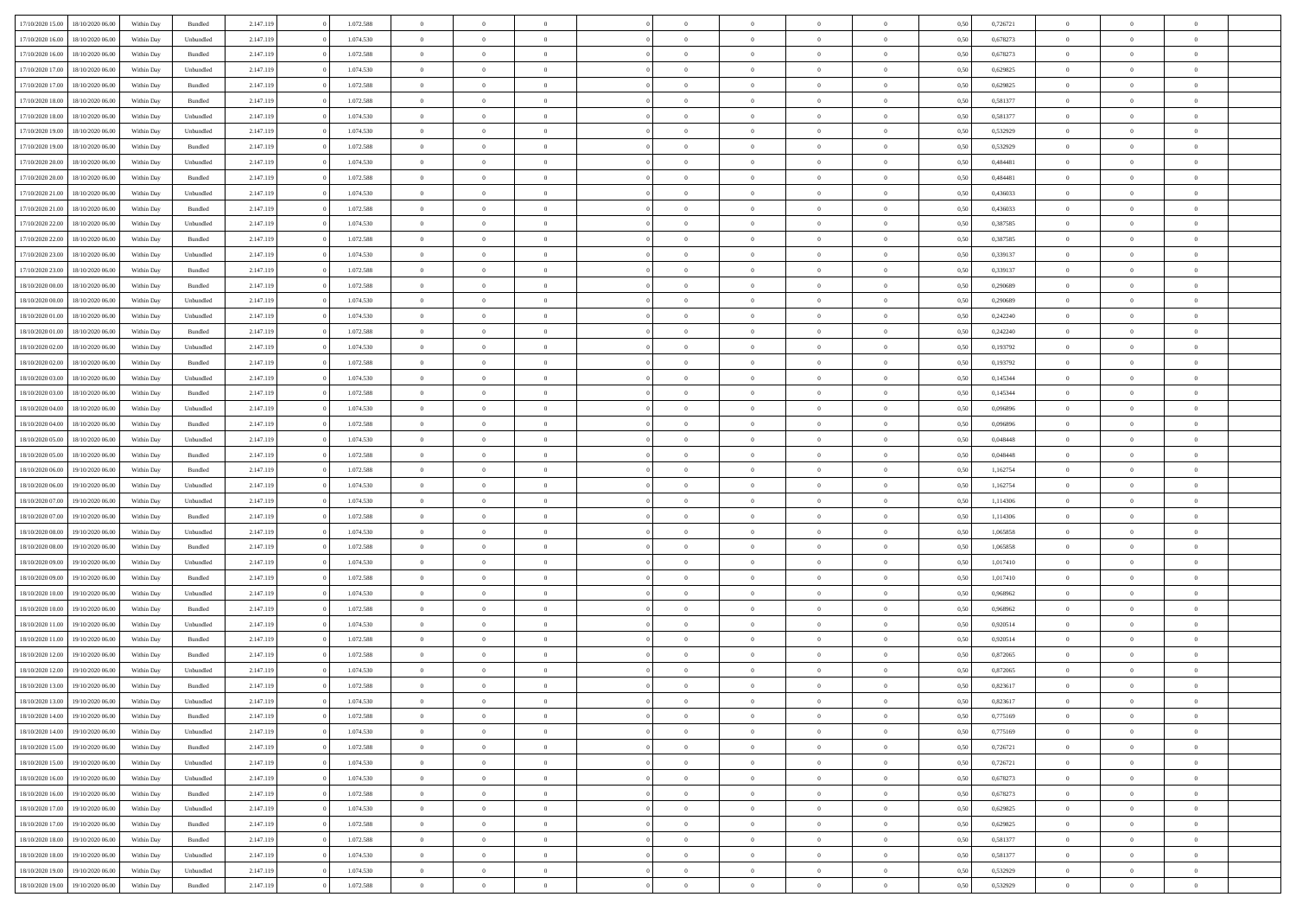|                  |                  |            |           |           | 1.072.588 |                |                |                |                | $\Omega$       | $\theta$       | $\theta$       |      |          | $\theta$       |                |                |  |
|------------------|------------------|------------|-----------|-----------|-----------|----------------|----------------|----------------|----------------|----------------|----------------|----------------|------|----------|----------------|----------------|----------------|--|
| 17/10/2020 15:00 | 18/10/2020 06:00 | Within Dav | Bundled   | 2.147.119 |           | $\overline{0}$ | $\theta$       |                | $\Omega$       |                |                |                | 0.50 | 0,726721 |                | $\theta$       | $\overline{0}$ |  |
| 17/10/2020 16:00 | 18/10/2020 06:00 | Within Day | Unbundled | 2.147.119 | 1.074.530 | $\overline{0}$ | $\theta$       | $\overline{0}$ | $\overline{0}$ | $\bf{0}$       | $\overline{0}$ | $\bf{0}$       | 0,50 | 0,678273 | $\theta$       | $\overline{0}$ | $\overline{0}$ |  |
| 17/10/2020 16.00 | 18/10/2020 06:00 | Within Day | Bundled   | 2.147.119 | 1.072.588 | $\overline{0}$ | $\overline{0}$ | $\overline{0}$ | $\bf{0}$       | $\bf{0}$       | $\bf{0}$       | $\bf{0}$       | 0,50 | 0,678273 | $\bf{0}$       | $\overline{0}$ | $\overline{0}$ |  |
| 17/10/2020 17:00 | 18/10/2020 06:00 | Within Dav | Unbundled | 2.147.119 | 1.074.530 | $\overline{0}$ | $\overline{0}$ | $\overline{0}$ | $\overline{0}$ | $\bf{0}$       | $\overline{0}$ | $\overline{0}$ | 0.50 | 0.629825 | $\theta$       | $\theta$       | $\overline{0}$ |  |
|                  |                  |            |           |           |           |                |                |                |                |                |                |                |      |          |                |                |                |  |
| 17/10/2020 17:00 | 18/10/2020 06:00 | Within Day | Bundled   | 2.147.119 | 1.072.588 | $\overline{0}$ | $\theta$       | $\overline{0}$ | $\overline{0}$ | $\bf{0}$       | $\overline{0}$ | $\bf{0}$       | 0,50 | 0,629825 | $\theta$       | $\overline{0}$ | $\overline{0}$ |  |
| 17/10/2020 18:00 | 18/10/2020 06:00 | Within Day | Bundled   | 2.147.119 | 1.072.588 | $\overline{0}$ | $\overline{0}$ | $\overline{0}$ | $\bf{0}$       | $\overline{0}$ | $\overline{0}$ | $\mathbf{0}$   | 0,50 | 0,581377 | $\bf{0}$       | $\overline{0}$ | $\bf{0}$       |  |
| 17/10/2020 18:00 | 18/10/2020 06:00 | Within Dav | Unbundled | 2.147.119 | 1.074.530 | $\overline{0}$ | $\overline{0}$ | $\overline{0}$ | $\overline{0}$ | $\overline{0}$ | $\overline{0}$ | $\overline{0}$ | 0.50 | 0,581377 | $\theta$       | $\overline{0}$ | $\overline{0}$ |  |
| 17/10/2020 19:00 | 18/10/2020 06:00 | Within Day | Unbundled | 2.147.119 | 1.074.530 | $\overline{0}$ | $\theta$       | $\overline{0}$ | $\overline{0}$ | $\bf{0}$       | $\overline{0}$ | $\bf{0}$       | 0,50 | 0,532929 | $\theta$       | $\theta$       | $\overline{0}$ |  |
|                  |                  |            |           |           |           |                | $\overline{0}$ |                |                | $\bf{0}$       |                |                |      |          | $\,0\,$        | $\overline{0}$ | $\overline{0}$ |  |
| 17/10/2020 19:00 | 18/10/2020 06:00 | Within Day | Bundled   | 2.147.119 | 1.072.588 | $\overline{0}$ |                | $\overline{0}$ | $\bf{0}$       |                | $\bf{0}$       | $\bf{0}$       | 0,50 | 0,532929 |                |                |                |  |
| 17/10/2020 20:00 | 18/10/2020 06:00 | Within Dav | Unbundled | 2.147.119 | 1.074.530 | $\overline{0}$ | $\overline{0}$ | $\overline{0}$ | $\overline{0}$ | $\overline{0}$ | $\overline{0}$ | $\overline{0}$ | 0.50 | 0,484481 | $\theta$       | $\overline{0}$ | $\overline{0}$ |  |
| 17/10/2020 20.00 | 18/10/2020 06:00 | Within Day | Bundled   | 2.147.119 | 1.072.588 | $\overline{0}$ | $\theta$       | $\overline{0}$ | $\overline{0}$ | $\bf{0}$       | $\overline{0}$ | $\bf{0}$       | 0,50 | 0,484481 | $\,$ 0 $\,$    | $\overline{0}$ | $\overline{0}$ |  |
| 17/10/2020 21.00 | 18/10/2020 06:00 | Within Day | Unbundled | 2.147.119 | 1.074.530 | $\overline{0}$ | $\overline{0}$ | $\overline{0}$ | $\bf{0}$       | $\bf{0}$       | $\bf{0}$       | $\bf{0}$       | 0,50 | 0,436033 | $\overline{0}$ | $\overline{0}$ | $\bf{0}$       |  |
| 17/10/2020 21.00 | 18/10/2020 06:00 | Within Day | Bundled   | 2.147.119 | 1.072.588 | $\overline{0}$ | $\overline{0}$ | $\overline{0}$ | $\overline{0}$ | $\bf{0}$       | $\overline{0}$ | $\overline{0}$ | 0.50 | 0,436033 | $\theta$       | $\theta$       | $\overline{0}$ |  |
|                  |                  |            |           |           |           |                |                |                |                |                |                |                |      |          |                |                |                |  |
| 17/10/2020 22.00 | 18/10/2020 06:00 | Within Day | Unbundled | 2.147.119 | 1.074.530 | $\overline{0}$ | $\theta$       | $\overline{0}$ | $\overline{0}$ | $\bf{0}$       | $\overline{0}$ | $\bf{0}$       | 0,50 | 0,387585 | $\theta$       | $\overline{0}$ | $\overline{0}$ |  |
| 17/10/2020 22.00 | 18/10/2020 06:00 | Within Day | Bundled   | 2.147.119 | 1.072.588 | $\overline{0}$ | $\overline{0}$ | $\overline{0}$ | $\bf{0}$       | $\overline{0}$ | $\overline{0}$ | $\mathbf{0}$   | 0,50 | 0,387585 | $\overline{0}$ | $\overline{0}$ | $\bf{0}$       |  |
| 17/10/2020 23.00 | 18/10/2020 06:00 | Within Dav | Unbundled | 2.147.119 | 1.074.530 | $\overline{0}$ | $\overline{0}$ | $\overline{0}$ | $\overline{0}$ | $\overline{0}$ | $\overline{0}$ | $\overline{0}$ | 0.50 | 0,339137 | $\theta$       | $\overline{0}$ | $\overline{0}$ |  |
| 17/10/2020 23.00 | 18/10/2020 06:00 | Within Day | Bundled   | 2.147.119 | 1.072.588 | $\overline{0}$ | $\theta$       | $\overline{0}$ | $\overline{0}$ | $\bf{0}$       | $\overline{0}$ | $\bf{0}$       | 0,50 | 0,339137 | $\,$ 0 $\,$    | $\theta$       | $\overline{0}$ |  |
| 18/10/2020 00:00 | 18/10/2020 06:00 | Within Day | Bundled   | 2.147.119 | 1.072.588 | $\overline{0}$ | $\overline{0}$ | $\overline{0}$ | $\bf{0}$       | $\bf{0}$       | $\bf{0}$       | $\bf{0}$       | 0,50 | 0,290689 | $\,0\,$        | $\overline{0}$ | $\overline{0}$ |  |
|                  |                  |            |           |           |           |                |                |                |                |                |                |                |      |          |                |                |                |  |
| 18/10/2020 00:00 | 18/10/2020 06:00 | Within Dav | Unbundled | 2.147.119 | 1.074.530 | $\overline{0}$ | $\overline{0}$ | $\overline{0}$ | $\overline{0}$ | $\overline{0}$ | $\overline{0}$ | $\overline{0}$ | 0.50 | 0.290689 | $\theta$       | $\overline{0}$ | $\overline{0}$ |  |
| 18/10/2020 01:00 | 18/10/2020 06:00 | Within Day | Unbundled | 2.147.119 | 1.074.530 | $\overline{0}$ | $\theta$       | $\overline{0}$ | $\overline{0}$ | $\bf{0}$       | $\overline{0}$ | $\bf{0}$       | 0,50 | 0,242240 | $\,$ 0 $\,$    | $\overline{0}$ | $\overline{0}$ |  |
| 18/10/2020 01:00 | 18/10/2020 06:00 | Within Day | Bundled   | 2.147.119 | 1.072.588 | $\overline{0}$ | $\overline{0}$ | $\overline{0}$ | $\bf{0}$       | $\bf{0}$       | $\bf{0}$       | $\bf{0}$       | 0,50 | 0,242240 | $\bf{0}$       | $\overline{0}$ | $\bf{0}$       |  |
| 18/10/2020 02:00 | 18/10/2020 06:00 | Within Day | Unbundled | 2.147.119 | 1.074.530 | $\overline{0}$ | $\overline{0}$ | $\overline{0}$ | $\overline{0}$ | $\bf{0}$       | $\overline{0}$ | $\overline{0}$ | 0.50 | 0,193792 | $\theta$       | $\overline{0}$ | $\overline{0}$ |  |
|                  |                  |            |           |           |           |                |                |                |                |                |                |                |      |          |                |                |                |  |
| 18/10/2020 02:00 | 18/10/2020 06:00 | Within Day | Bundled   | 2.147.119 | 1.072.588 | $\overline{0}$ | $\theta$       | $\overline{0}$ | $\overline{0}$ | $\bf{0}$       | $\overline{0}$ | $\bf{0}$       | 0,50 | 0,193792 | $\,$ 0 $\,$    | $\overline{0}$ | $\overline{0}$ |  |
| 18/10/2020 03:00 | 18/10/2020 06:00 | Within Day | Unbundled | 2.147.119 | 1.074.530 | $\overline{0}$ | $\overline{0}$ | $\overline{0}$ | $\overline{0}$ | $\overline{0}$ | $\overline{0}$ | $\mathbf{0}$   | 0,50 | 0,145344 | $\bf{0}$       | $\overline{0}$ | $\bf{0}$       |  |
| 18/10/2020 03:00 | 18/10/2020 06:00 | Within Dav | Bundled   | 2.147.119 | 1.072.588 | $\overline{0}$ | $\overline{0}$ | $\overline{0}$ | $\overline{0}$ | $\overline{0}$ | $\overline{0}$ | $\overline{0}$ | 0.50 | 0,145344 | $\theta$       | $\overline{0}$ | $\overline{0}$ |  |
| 18/10/2020 04:00 | 18/10/2020 06:00 | Within Day | Unbundled | 2.147.119 | 1.074.530 | $\overline{0}$ | $\theta$       | $\overline{0}$ | $\overline{0}$ | $\bf{0}$       | $\overline{0}$ | $\bf{0}$       | 0,50 | 0,096896 | $\theta$       | $\theta$       | $\overline{0}$ |  |
|                  |                  |            |           |           |           |                |                |                |                |                |                |                |      |          |                |                |                |  |
| 18/10/2020 04:00 | 18/10/2020 06:00 | Within Day | Bundled   | 2.147.119 | 1.072.588 | $\overline{0}$ | $\overline{0}$ | $\overline{0}$ | $\overline{0}$ | $\bf{0}$       | $\overline{0}$ | $\bf{0}$       | 0,50 | 0,096896 | $\,0\,$        | $\overline{0}$ | $\overline{0}$ |  |
| 18/10/2020 05:00 | 18/10/2020 06:00 | Within Day | Unbundled | 2.147.119 | 1.074.530 | $\overline{0}$ | $\overline{0}$ | $\overline{0}$ | $\overline{0}$ | $\overline{0}$ | $\overline{0}$ | $\overline{0}$ | 0.50 | 0.048448 | $\theta$       | $\overline{0}$ | $\overline{0}$ |  |
| 18/10/2020 05:00 | 18/10/2020 06:00 | Within Day | Bundled   | 2.147.119 | 1.072.588 | $\overline{0}$ | $\theta$       | $\overline{0}$ | $\overline{0}$ | $\bf{0}$       | $\overline{0}$ | $\bf{0}$       | 0,50 | 0,048448 | $\,$ 0 $\,$    | $\overline{0}$ | $\overline{0}$ |  |
| 18/10/2020 06.00 | 19/10/2020 06.00 | Within Day | Bundled   | 2.147.119 | 1.072.588 | $\overline{0}$ | $\overline{0}$ | $\overline{0}$ | $\overline{0}$ | $\bf{0}$       | $\bf{0}$       | $\bf{0}$       | 0,50 | 1,162754 | $\overline{0}$ | $\overline{0}$ | $\bf{0}$       |  |
| 18/10/2020 06.00 | 19/10/2020 06:00 | Within Day | Unbundled | 2.147.119 | 1.074.530 | $\overline{0}$ | $\Omega$       | $\Omega$       | $\Omega$       | $\Omega$       | $\overline{0}$ | $\overline{0}$ | 0,50 | 1,162754 | $\,0\,$        | $\theta$       | $\theta$       |  |
|                  |                  |            |           |           |           | $\overline{0}$ | $\theta$       |                |                |                |                |                |      |          |                |                |                |  |
| 18/10/2020 07.00 | 19/10/2020 06.00 | Within Day | Unbundled | 2.147.119 | 1.074.530 |                |                | $\overline{0}$ | $\overline{0}$ | $\bf{0}$       | $\overline{0}$ | $\bf{0}$       | 0,50 | 1,114306 | $\,$ 0 $\,$    | $\overline{0}$ | $\overline{0}$ |  |
| 18/10/2020 07:00 | 19/10/2020 06.00 | Within Day | Bundled   | 2.147.119 | 1.072.588 | $\overline{0}$ | $\overline{0}$ | $\overline{0}$ | $\bf{0}$       | $\overline{0}$ | $\overline{0}$ | $\mathbf{0}$   | 0,50 | 1,114306 | $\overline{0}$ | $\overline{0}$ | $\bf{0}$       |  |
| 18/10/2020 08:00 | 19/10/2020 06:00 | Within Day | Unbundled | 2.147.119 | 1.074.530 | $\overline{0}$ | $\Omega$       | $\Omega$       | $\Omega$       | $\bf{0}$       | $\overline{0}$ | $\overline{0}$ | 0.50 | 1,065858 | $\,0\,$        | $\theta$       | $\theta$       |  |
| 18/10/2020 08:00 | 19/10/2020 06.00 | Within Day | Bundled   | 2.147.119 | 1.072.588 | $\overline{0}$ | $\theta$       | $\overline{0}$ | $\overline{0}$ | $\bf{0}$       | $\overline{0}$ | $\bf{0}$       | 0,50 | 1,065858 | $\,$ 0 $\,$    | $\overline{0}$ | $\overline{0}$ |  |
| 18/10/2020 09:00 | 19/10/2020 06.00 | Within Day | Unbundled | 2.147.119 | 1.074.530 | $\overline{0}$ | $\overline{0}$ | $\overline{0}$ | $\bf{0}$       | $\bf{0}$       | $\bf{0}$       | $\bf{0}$       | 0,50 | 1,017410 | $\bf{0}$       | $\overline{0}$ | $\overline{0}$ |  |
|                  |                  |            |           |           |           |                |                |                |                |                |                |                |      |          |                |                |                |  |
| 18/10/2020 09:00 | 19/10/2020 06:00 | Within Day | Bundled   | 2.147.119 | 1.072.588 | $\overline{0}$ | $\Omega$       | $\Omega$       | $\Omega$       | $\theta$       | $\overline{0}$ | $\overline{0}$ | 0.50 | 1,017410 | $\,$ 0 $\,$    | $\theta$       | $\theta$       |  |
| 18/10/2020 10:00 | 19/10/2020 06.00 | Within Day | Unbundled | 2.147.119 | 1.074.530 | $\overline{0}$ | $\theta$       | $\overline{0}$ | $\overline{0}$ | $\bf{0}$       | $\overline{0}$ | $\bf{0}$       | 0,50 | 0,968962 | $\,$ 0 $\,$    | $\overline{0}$ | $\overline{0}$ |  |
| 18/10/2020 10:00 | 19/10/2020 06:00 | Within Day | Bundled   | 2.147.119 | 1.072.588 | $\overline{0}$ | $\overline{0}$ | $\overline{0}$ | $\bf{0}$       | $\bf{0}$       | $\bf{0}$       | $\bf{0}$       | 0,50 | 0,968962 | $\overline{0}$ | $\overline{0}$ | $\bf{0}$       |  |
| 18/10/2020 11:00 | 19/10/2020 06.00 | Within Day | Unbundled | 2.147.119 | 1.074.530 | $\overline{0}$ | $\Omega$       | $\overline{0}$ | $\Omega$       | $\overline{0}$ | $\overline{0}$ | $\overline{0}$ | 0,50 | 0,920514 | $\,0\,$        | $\theta$       | $\theta$       |  |
| 18/10/2020 11:00 | 19/10/2020 06.00 | Within Day | Bundled   | 2.147.119 | 1.072.588 | $\overline{0}$ | $\overline{0}$ | $\overline{0}$ | $\overline{0}$ | $\,$ 0         | $\overline{0}$ | $\bf{0}$       | 0,50 | 0,920514 | $\,$ 0 $\,$    | $\overline{0}$ | $\overline{0}$ |  |
|                  |                  |            |           |           |           |                |                |                |                |                |                |                |      |          |                |                |                |  |
| 18/10/2020 12:00 | 19/10/2020 06.00 | Within Day | Bundled   | 2.147.119 | 1.072.588 | $\overline{0}$ | $\overline{0}$ | $\overline{0}$ | $\overline{0}$ | $\bf{0}$       | $\overline{0}$ | $\mathbf{0}$   | 0,50 | 0,872065 | $\overline{0}$ | $\overline{0}$ | $\bf{0}$       |  |
| 18/10/2020 12:00 | 19/10/2020 06:00 | Within Day | Unbundled | 2.147.119 | 1.074.530 | $\overline{0}$ | $\Omega$       | $\Omega$       | $\Omega$       | $\Omega$       | $\Omega$       | $\overline{0}$ | 0.50 | 0,872065 | $\theta$       | $\theta$       | $\theta$       |  |
| 18/10/2020 13:00 | 19/10/2020 06:00 | Within Day | Bundled   | 2.147.119 | 1.072.588 | $\overline{0}$ | $\overline{0}$ | $\overline{0}$ | $\bf{0}$       | $\,$ 0         | $\overline{0}$ | $\bf{0}$       | 0,50 | 0,823617 | $\,0\,$        | $\,$ 0 $\,$    | $\overline{0}$ |  |
| 18/10/2020 13:00 | 19/10/2020 06.00 | Within Day | Unbundled | 2.147.119 | 1.074.530 | $\bf{0}$       | $\bf{0}$       |                |                | $\bf{0}$       |                |                | 0,50 | 0,823617 | $\bf{0}$       | $\overline{0}$ |                |  |
|                  | 19/10/2020 06:00 |            |           |           | 1.072.588 | $\overline{0}$ | $\overline{0}$ | $\overline{0}$ | $\Omega$       | $\theta$       | $\overline{0}$ |                |      |          | $\theta$       | $\theta$       | $\theta$       |  |
| 18/10/2020 14:00 |                  | Within Day | Bundled   | 2.147.119 |           |                |                |                |                |                |                | $\overline{0}$ | 0,50 | 0,775169 |                |                |                |  |
| 18/10/2020 14:00 | 19/10/2020 06.00 | Within Day | Unbundled | 2.147.119 | 1.074.530 | $\overline{0}$ | $\,$ 0         | $\overline{0}$ | $\overline{0}$ | $\,$ 0 $\,$    | $\overline{0}$ | $\mathbf{0}$   | 0,50 | 0,775169 | $\,$ 0 $\,$    | $\,$ 0 $\,$    | $\,$ 0         |  |
| 18/10/2020 15:00 | 19/10/2020 06:00 | Within Day | Bundled   | 2.147.119 | 1.072.588 | $\overline{0}$ | $\overline{0}$ | $\overline{0}$ | $\overline{0}$ | $\overline{0}$ | $\overline{0}$ | $\mathbf{0}$   | 0,50 | 0,726721 | $\overline{0}$ | $\bf{0}$       | $\bf{0}$       |  |
| 18/10/2020 15:00 | 19/10/2020 06:00 | Within Day | Unbundled | 2.147.119 | 1.074.530 | $\overline{0}$ | $\overline{0}$ | $\overline{0}$ | $\Omega$       | $\overline{0}$ | $\overline{0}$ | $\bf{0}$       | 0,50 | 0,726721 | $\overline{0}$ | $\theta$       | $\overline{0}$ |  |
| 18/10/2020 16:00 | 19/10/2020 06.00 | Within Day | Unbundled | 2.147.119 | 1.074.530 | $\overline{0}$ | $\,$ 0         | $\overline{0}$ | $\overline{0}$ | $\overline{0}$ | $\overline{0}$ | $\bf{0}$       | 0,50 | 0,678273 | $\,$ 0 $\,$    | $\overline{0}$ | $\overline{0}$ |  |
|                  |                  |            |           |           |           |                |                |                |                |                |                |                |      |          |                |                |                |  |
| 18/10/2020 16:00 | 19/10/2020 06:00 | Within Day | Bundled   | 2.147.119 | 1.072.588 | $\overline{0}$ | $\overline{0}$ | $\overline{0}$ | $\overline{0}$ | $\overline{0}$ | $\overline{0}$ | $\mathbf{0}$   | 0,50 | 0,678273 | $\overline{0}$ | $\overline{0}$ | $\bf{0}$       |  |
| 18/10/2020 17:00 | 19/10/2020 06:00 | Within Day | Unbundled | 2.147.119 | 1.074.530 | $\overline{0}$ | $\overline{0}$ | $\overline{0}$ | $\Omega$       | $\overline{0}$ | $\overline{0}$ | $\bf{0}$       | 0.50 | 0,629825 | $\overline{0}$ | $\theta$       | $\overline{0}$ |  |
| 18/10/2020 17:00 | 19/10/2020 06.00 | Within Day | Bundled   | 2.147.119 | 1.072.588 | $\overline{0}$ | $\,$ 0         | $\overline{0}$ | $\overline{0}$ | $\bf{0}$       | $\overline{0}$ | $\bf{0}$       | 0,50 | 0,629825 | $\,$ 0 $\,$    | $\overline{0}$ | $\overline{0}$ |  |
| 18/10/2020 18:00 | 19/10/2020 06:00 | Within Day | Bundled   | 2.147.119 | 1.072.588 | $\overline{0}$ | $\bf{0}$       | $\overline{0}$ | $\overline{0}$ | $\overline{0}$ | $\overline{0}$ | $\mathbf{0}$   | 0,50 | 0,581377 | $\overline{0}$ | $\overline{0}$ | $\bf{0}$       |  |
|                  |                  |            |           |           | 1.074.530 | $\overline{0}$ | $\overline{0}$ |                | $\Omega$       | $\overline{0}$ | $\overline{0}$ |                |      |          |                | $\theta$       | $\overline{0}$ |  |
| 18/10/2020 18:00 | 19/10/2020 06:00 | Within Day | Unbundled | 2.147.119 |           |                |                | $\overline{0}$ |                |                |                | $\bf{0}$       | 0.50 | 0,581377 | $\overline{0}$ |                |                |  |
| 18/10/2020 19:00 | 19/10/2020 06.00 | Within Day | Unbundled | 2.147.119 | 1.074.530 | $\overline{0}$ | $\bf{0}$       | $\overline{0}$ | $\overline{0}$ | $\bf{0}$       | $\overline{0}$ | $\mathbf{0}$   | 0,50 | 0,532929 | $\,$ 0 $\,$    | $\,$ 0 $\,$    | $\bf{0}$       |  |
| 18/10/2020 19:00 | 19/10/2020 06.00 | Within Day | Bundled   | 2.147.119 | 1.072.588 | $\overline{0}$ | $\overline{0}$ | $\overline{0}$ | $\overline{0}$ | $\bf{0}$       | $\overline{0}$ | $\mathbf{0}$   | 0,50 | 0,532929 | $\overline{0}$ | $\bf{0}$       | $\bf{0}$       |  |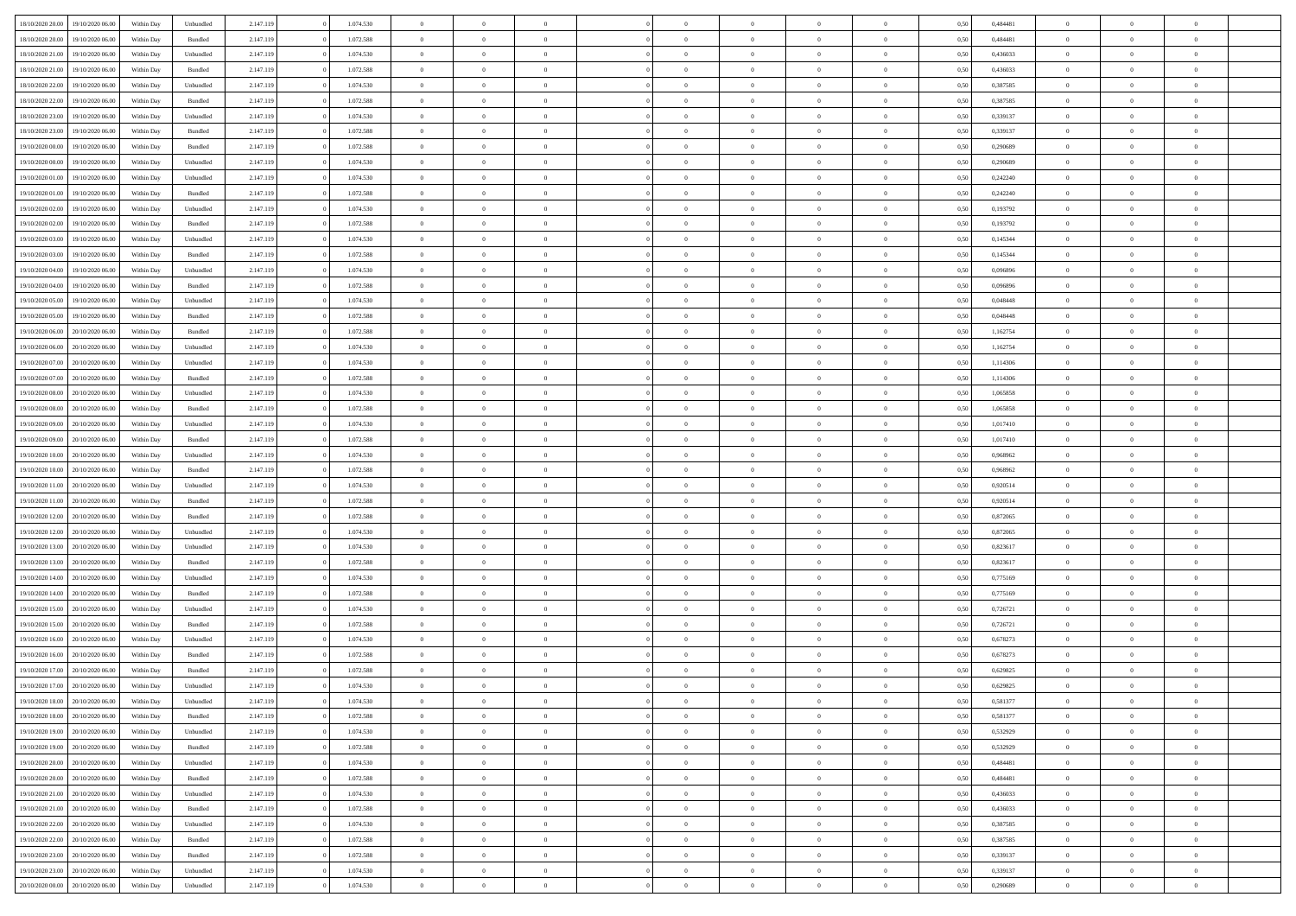| 18/10/2020 20:00 | 19/10/2020 06:00 | Within Dav | Unbundled          | 2.147.119 | 1.074.530 | $\overline{0}$ | $\theta$       |                | $\Omega$       | $\Omega$       | $\theta$       | $\theta$       | 0.50 | 0,484481 | $\theta$       | $\overline{0}$ | $\overline{0}$ |  |
|------------------|------------------|------------|--------------------|-----------|-----------|----------------|----------------|----------------|----------------|----------------|----------------|----------------|------|----------|----------------|----------------|----------------|--|
|                  |                  |            |                    |           |           |                |                |                |                |                |                |                |      |          |                |                |                |  |
| 18/10/2020 20:00 | 19/10/2020 06.00 | Within Day | Bundled            | 2.147.119 | 1.072.588 | $\overline{0}$ | $\theta$       | $\overline{0}$ | $\overline{0}$ | $\bf{0}$       | $\overline{0}$ | $\bf{0}$       | 0,50 | 0,484481 | $\theta$       | $\overline{0}$ | $\overline{0}$ |  |
| 18/10/2020 21.00 | 19/10/2020 06:00 | Within Day | Unbundled          | 2.147.119 | 1.074.530 | $\overline{0}$ | $\bf{0}$       | $\overline{0}$ | $\bf{0}$       | $\bf{0}$       | $\bf{0}$       | $\bf{0}$       | 0,50 | 0,436033 | $\overline{0}$ | $\overline{0}$ | $\overline{0}$ |  |
| 18/10/2020 21:00 | 19/10/2020 06:00 | Within Dav | Bundled            | 2.147.119 | 1.072.588 | $\overline{0}$ | $\overline{0}$ | $\overline{0}$ | $\overline{0}$ | $\bf{0}$       | $\overline{0}$ | $\overline{0}$ | 0.50 | 0,436033 | $\theta$       | $\theta$       | $\overline{0}$ |  |
|                  |                  |            |                    |           |           |                |                |                |                |                |                |                |      |          |                |                |                |  |
| 18/10/2020 22.00 | 19/10/2020 06.00 | Within Day | Unbundled          | 2.147.119 | 1.074.530 | $\overline{0}$ | $\theta$       | $\overline{0}$ | $\overline{0}$ | $\bf{0}$       | $\overline{0}$ | $\bf{0}$       | 0,50 | 0,387585 | $\theta$       | $\overline{0}$ | $\overline{0}$ |  |
| 18/10/2020 22.00 | 19/10/2020 06.00 | Within Day | Bundled            | 2.147.119 | 1.072.588 | $\overline{0}$ | $\overline{0}$ | $\overline{0}$ | $\bf{0}$       | $\overline{0}$ | $\overline{0}$ | $\mathbf{0}$   | 0,50 | 0,387585 | $\overline{0}$ | $\overline{0}$ | $\bf{0}$       |  |
| 18/10/2020 23:00 | 19/10/2020 06.00 | Within Dav | Unbundled          | 2.147.119 | 1.074.530 | $\overline{0}$ | $\overline{0}$ | $\overline{0}$ | $\overline{0}$ | $\overline{0}$ | $\overline{0}$ | $\overline{0}$ | 0.50 | 0,339137 | $\theta$       | $\overline{0}$ | $\overline{0}$ |  |
| 18/10/2020 23:00 | 19/10/2020 06.00 | Within Day | Bundled            | 2.147.119 | 1.072.588 | $\overline{0}$ | $\theta$       | $\overline{0}$ | $\overline{0}$ | $\bf{0}$       | $\overline{0}$ | $\bf{0}$       | 0,50 | 0,339137 | $\theta$       | $\theta$       | $\overline{0}$ |  |
|                  |                  |            |                    |           |           |                |                |                |                |                |                |                |      |          |                |                |                |  |
| 19/10/2020 00:00 | 19/10/2020 06.00 | Within Day | Bundled            | 2.147.119 | 1.072.588 | $\overline{0}$ | $\overline{0}$ | $\overline{0}$ | $\bf{0}$       | $\bf{0}$       | $\bf{0}$       | $\bf{0}$       | 0,50 | 0,290689 | $\,0\,$        | $\overline{0}$ | $\overline{0}$ |  |
| 19/10/2020 00:00 | 19/10/2020 06:00 | Within Dav | Unbundled          | 2.147.119 | 1.074.530 | $\overline{0}$ | $\overline{0}$ | $\overline{0}$ | $\overline{0}$ | $\overline{0}$ | $\overline{0}$ | $\overline{0}$ | 0.50 | 0.290689 | $\theta$       | $\overline{0}$ | $\overline{0}$ |  |
| 19/10/2020 01:00 | 19/10/2020 06.00 | Within Day | Unbundled          | 2.147.119 | 1.074.530 | $\overline{0}$ | $\theta$       | $\overline{0}$ | $\overline{0}$ | $\bf{0}$       | $\overline{0}$ | $\bf{0}$       | 0,50 | 0,242240 | $\,$ 0 $\,$    | $\overline{0}$ | $\overline{0}$ |  |
| 19/10/2020 01.00 | 19/10/2020 06.00 | Within Day | Bundled            | 2.147.119 | 1.072.588 | $\overline{0}$ | $\overline{0}$ | $\overline{0}$ | $\bf{0}$       | $\bf{0}$       | $\bf{0}$       | $\bf{0}$       | 0,50 | 0,242240 | $\overline{0}$ | $\overline{0}$ | $\bf{0}$       |  |
| 19/10/2020 02:00 | 19/10/2020 06:00 | Within Dav | Unbundled          | 2.147.119 | 1.074.530 | $\overline{0}$ | $\overline{0}$ | $\overline{0}$ | $\overline{0}$ | $\bf{0}$       | $\overline{0}$ | $\overline{0}$ | 0.50 | 0,193792 | $\theta$       | $\theta$       | $\overline{0}$ |  |
|                  |                  |            |                    |           |           |                |                |                |                |                |                |                |      |          |                |                |                |  |
| 19/10/2020 02.00 | 19/10/2020 06.00 | Within Day | Bundled            | 2.147.119 | 1.072.588 | $\overline{0}$ | $\theta$       | $\overline{0}$ | $\overline{0}$ | $\bf{0}$       | $\overline{0}$ | $\bf{0}$       | 0,50 | 0,193792 | $\theta$       | $\overline{0}$ | $\overline{0}$ |  |
| 19/10/2020 03:00 | 19/10/2020 06.00 | Within Day | Unbundled          | 2.147.119 | 1.074.530 | $\overline{0}$ | $\overline{0}$ | $\overline{0}$ | $\bf{0}$       | $\overline{0}$ | $\overline{0}$ | $\mathbf{0}$   | 0,50 | 0,145344 | $\overline{0}$ | $\overline{0}$ | $\bf{0}$       |  |
| 19/10/2020 03:00 | 19/10/2020 06:00 | Within Dav | Bundled            | 2.147.119 | 1.072.588 | $\overline{0}$ | $\overline{0}$ | $\overline{0}$ | $\overline{0}$ | $\overline{0}$ | $\overline{0}$ | $\overline{0}$ | 0.50 | 0,145344 | $\theta$       | $\overline{0}$ | $\overline{0}$ |  |
| 19/10/2020 04:00 | 19/10/2020 06.00 | Within Day | Unbundled          | 2.147.119 | 1.074.530 | $\overline{0}$ | $\theta$       | $\overline{0}$ | $\overline{0}$ | $\bf{0}$       | $\overline{0}$ | $\bf{0}$       | 0,50 | 0,096896 | $\theta$       | $\theta$       | $\overline{0}$ |  |
|                  |                  |            |                    |           |           |                |                |                |                |                |                |                |      |          |                |                |                |  |
| 19/10/2020 04:00 | 19/10/2020 06.00 | Within Day | Bundled            | 2.147.119 | 1.072.588 | $\overline{0}$ | $\overline{0}$ | $\overline{0}$ | $\bf{0}$       | $\bf{0}$       | $\bf{0}$       | $\bf{0}$       | 0,50 | 0,096896 | $\bf{0}$       | $\overline{0}$ | $\overline{0}$ |  |
| 19/10/2020 05:00 | 19/10/2020 06:00 | Within Day | Unbundled          | 2.147.119 | 1.074.530 | $\overline{0}$ | $\overline{0}$ | $\overline{0}$ | $\overline{0}$ | $\overline{0}$ | $\overline{0}$ | $\overline{0}$ | 0.50 | 0.048448 | $\theta$       | $\overline{0}$ | $\overline{0}$ |  |
| 19/10/2020 05:00 | 19/10/2020 06.00 | Within Day | Bundled            | 2.147.119 | 1.072.588 | $\overline{0}$ | $\theta$       | $\overline{0}$ | $\overline{0}$ | $\bf{0}$       | $\overline{0}$ | $\bf{0}$       | 0,50 | 0,048448 | $\,$ 0 $\,$    | $\overline{0}$ | $\overline{0}$ |  |
| 19/10/2020 06.00 | 20/10/2020 06:00 | Within Day | Bundled            | 2.147.119 | 1.072.588 | $\overline{0}$ | $\overline{0}$ | $\overline{0}$ | $\bf{0}$       | $\bf{0}$       | $\bf{0}$       | $\bf{0}$       | 0,50 | 1,162754 | $\bf{0}$       | $\overline{0}$ | $\bf{0}$       |  |
| 19/10/2020 06:00 | 20/10/2020 06:00 | Within Day | Unbundled          | 2.147.119 | 1.074.530 | $\overline{0}$ | $\overline{0}$ | $\overline{0}$ | $\overline{0}$ | $\bf{0}$       | $\overline{0}$ | $\overline{0}$ | 0.50 | 1,162754 | $\theta$       | $\overline{0}$ | $\overline{0}$ |  |
|                  |                  |            |                    |           |           |                |                |                |                |                |                |                |      |          |                |                |                |  |
| 19/10/2020 07:00 | 20/10/2020 06.00 | Within Day | Unbundled          | 2.147.119 | 1.074.530 | $\overline{0}$ | $\theta$       | $\overline{0}$ | $\overline{0}$ | $\bf{0}$       | $\overline{0}$ | $\bf{0}$       | 0,50 | 1,114306 | $\,$ 0 $\,$    | $\overline{0}$ | $\overline{0}$ |  |
| 19/10/2020 07.00 | 20/10/2020 06:00 | Within Day | Bundled            | 2.147.119 | 1.072.588 | $\overline{0}$ | $\overline{0}$ | $\overline{0}$ | $\overline{0}$ | $\overline{0}$ | $\overline{0}$ | $\mathbf{0}$   | 0,50 | 1,114306 | $\overline{0}$ | $\overline{0}$ | $\bf{0}$       |  |
| 19/10/2020 08:00 | 20/10/2020 06:00 | Within Dav | Unbundled          | 2.147.119 | 1.074.530 | $\overline{0}$ | $\overline{0}$ | $\overline{0}$ | $\overline{0}$ | $\overline{0}$ | $\overline{0}$ | $\overline{0}$ | 0.50 | 1,065858 | $\theta$       | $\overline{0}$ | $\overline{0}$ |  |
| 19/10/2020 08:00 | 20/10/2020 06.00 | Within Day | Bundled            | 2.147.119 | 1.072.588 | $\overline{0}$ | $\theta$       | $\overline{0}$ | $\overline{0}$ | $\bf{0}$       | $\overline{0}$ | $\bf{0}$       | 0,50 | 1,065858 | $\theta$       | $\theta$       | $\overline{0}$ |  |
|                  |                  |            |                    |           |           |                | $\overline{0}$ |                |                | $\bf{0}$       |                |                |      |          | $\,0\,$        | $\overline{0}$ | $\overline{0}$ |  |
| 19/10/2020 09:00 | 20/10/2020 06:00 | Within Day | Unbundled          | 2.147.119 | 1.074.530 | $\overline{0}$ |                | $\overline{0}$ | $\overline{0}$ |                | $\overline{0}$ | $\bf{0}$       | 0,50 | 1,017410 |                |                |                |  |
| 19/10/2020 09:00 | 20/10/2020 06:00 | Within Day | Bundled            | 2.147.119 | 1.072.588 | $\overline{0}$ | $\overline{0}$ | $\overline{0}$ | $\overline{0}$ | $\overline{0}$ | $\overline{0}$ | $\overline{0}$ | 0.50 | 1,017410 | $\theta$       | $\overline{0}$ | $\overline{0}$ |  |
| 19/10/2020 10:00 | 20/10/2020 06.00 | Within Day | Unbundled          | 2.147.119 | 1.074.530 | $\overline{0}$ | $\theta$       | $\overline{0}$ | $\overline{0}$ | $\bf{0}$       | $\overline{0}$ | $\bf{0}$       | 0,50 | 0,968962 | $\,$ 0 $\,$    | $\overline{0}$ | $\overline{0}$ |  |
| 19/10/2020 10:00 | 20/10/2020 06:00 | Within Day | Bundled            | 2.147.119 | 1.072.588 | $\overline{0}$ | $\overline{0}$ | $\overline{0}$ | $\overline{0}$ | $\bf{0}$       | $\overline{0}$ | $\bf{0}$       | 0,50 | 0,968962 | $\overline{0}$ | $\overline{0}$ | $\bf{0}$       |  |
| 19/10/2020 11:00 | 20/10/2020 06.00 | Within Day | Unbundled          | 2.147.119 | 1.074.530 | $\overline{0}$ | $\Omega$       | $\Omega$       | $\Omega$       | $\Omega$       | $\overline{0}$ | $\overline{0}$ | 0,50 | 0,920514 | $\,0\,$        | $\theta$       | $\theta$       |  |
|                  |                  |            |                    |           |           | $\overline{0}$ | $\theta$       |                |                |                |                |                |      |          | $\theta$       |                |                |  |
| 19/10/2020 11:00 | 20/10/2020 06.00 | Within Day | Bundled            | 2.147.119 | 1.072.588 |                |                | $\overline{0}$ | $\overline{0}$ | $\bf{0}$       | $\overline{0}$ | $\bf{0}$       | 0,50 | 0,920514 |                | $\overline{0}$ | $\overline{0}$ |  |
| 19/10/2020 12:00 | 20/10/2020 06:00 | Within Day | Bundled            | 2.147.119 | 1.072.588 | $\overline{0}$ | $\overline{0}$ | $\overline{0}$ | $\overline{0}$ | $\overline{0}$ | $\overline{0}$ | $\mathbf{0}$   | 0,50 | 0,872065 | $\overline{0}$ | $\overline{0}$ | $\bf{0}$       |  |
| 19/10/2020 12:00 | 20/10/2020 06:00 | Within Day | Unbundled          | 2.147.119 | 1.074.530 | $\overline{0}$ | $\Omega$       | $\Omega$       | $\Omega$       | $\bf{0}$       | $\overline{0}$ | $\overline{0}$ | 0.50 | 0,872065 | $\,0\,$        | $\theta$       | $\theta$       |  |
| 19/10/2020 13:00 | 20/10/2020 06.00 | Within Day | Unbundled          | 2.147.119 | 1.074.530 | $\overline{0}$ | $\theta$       | $\overline{0}$ | $\overline{0}$ | $\bf{0}$       | $\overline{0}$ | $\bf{0}$       | 0,50 | 0,823617 | $\,$ 0 $\,$    | $\overline{0}$ | $\overline{0}$ |  |
| 19/10/2020 13:00 | 20/10/2020 06:00 | Within Day | Bundled            | 2.147.119 | 1.072.588 | $\overline{0}$ | $\overline{0}$ | $\overline{0}$ | $\overline{0}$ | $\bf{0}$       | $\overline{0}$ | $\bf{0}$       | 0,50 | 0,823617 | $\bf{0}$       | $\overline{0}$ | $\overline{0}$ |  |
|                  |                  |            |                    |           |           |                |                |                |                |                |                |                |      |          |                |                |                |  |
| 19/10/2020 14:00 | 20/10/2020 06:00 | Within Day | Unbundled          | 2.147.119 | 1.074.530 | $\overline{0}$ | $\Omega$       | $\Omega$       | $\Omega$       | $\theta$       | $\overline{0}$ | $\overline{0}$ | 0.50 | 0,775169 | $\,$ 0 $\,$    | $\theta$       | $\theta$       |  |
| 19/10/2020 14:00 | 20/10/2020 06.00 | Within Day | Bundled            | 2.147.119 | 1.072.588 | $\overline{0}$ | $\theta$       | $\overline{0}$ | $\overline{0}$ | $\bf{0}$       | $\overline{0}$ | $\bf{0}$       | 0,50 | 0,775169 | $\,$ 0 $\,$    | $\overline{0}$ | $\overline{0}$ |  |
| 19/10/2020 15:00 | 20/10/2020 06:00 | Within Day | Unbundled          | 2.147.119 | 1.074.530 | $\overline{0}$ | $\bf{0}$       | $\overline{0}$ | $\overline{0}$ | $\bf{0}$       | $\overline{0}$ | $\bf{0}$       | 0,50 | 0,726721 | $\bf{0}$       | $\overline{0}$ | $\bf{0}$       |  |
| 19/10/2020 15:00 | 20/10/2020 06.00 | Within Day | $\mathbf B$ undled | 2.147.119 | 1.072.588 | $\overline{0}$ | $\Omega$       | $\overline{0}$ | $\Omega$       | $\overline{0}$ | $\overline{0}$ | $\overline{0}$ | 0,50 | 0,726721 | $\,0\,$        | $\theta$       | $\theta$       |  |
| 19/10/2020 16:00 | 20/10/2020 06.00 | Within Day | Unbundled          | 2.147.119 | 1.074.530 | $\overline{0}$ | $\theta$       | $\overline{0}$ | $\overline{0}$ | $\bf{0}$       | $\overline{0}$ | $\bf{0}$       | 0,50 | 0,678273 | $\,$ 0 $\,$    | $\overline{0}$ | $\overline{0}$ |  |
|                  |                  |            |                    |           |           |                |                |                |                |                |                |                |      |          |                |                |                |  |
| 19/10/2020 16.00 | 20/10/2020 06:00 | Within Day | Bundled            | 2.147.119 | 1.072.588 | $\overline{0}$ | $\overline{0}$ | $\overline{0}$ | $\overline{0}$ | $\bf{0}$       | $\overline{0}$ | $\mathbf{0}$   | 0,50 | 0,678273 | $\bf{0}$       | $\overline{0}$ | $\bf{0}$       |  |
| 19/10/2020 17:00 | 20/10/2020 06:00 | Within Day | Bundled            | 2.147.119 | 1.072.588 | $\overline{0}$ | $\Omega$       | $\Omega$       | $\Omega$       | $\Omega$       | $\Omega$       | $\overline{0}$ | 0.50 | 0,629825 | $\theta$       | $\theta$       | $\theta$       |  |
| 19/10/2020 17:00 | 20/10/2020 06.00 | Within Day | Unbundled          | 2.147.119 | 1.074.530 | $\overline{0}$ | $\overline{0}$ | $\overline{0}$ | $\bf{0}$       | $\,$ 0         | $\overline{0}$ | $\bf{0}$       | 0,50 | 0,629825 | $\,0\,$        | $\,$ 0 $\,$    | $\overline{0}$ |  |
| 19/10/2020 18:00 | 20/10/2020 06:00 | Within Day | Unbundled          | 2.147.119 | 1.074.530 | $\bf{0}$       | $\bf{0}$       |                |                | $\bf{0}$       |                |                | 0,50 | 0,581377 | $\bf{0}$       | $\overline{0}$ |                |  |
|                  |                  |            |                    |           |           |                |                |                |                |                |                |                |      |          |                |                |                |  |
| 19/10/2020 18:00 | 20/10/2020 06:00 | Within Day | Bundled            | 2.147.119 | 1.072.588 | $\overline{0}$ | $\overline{0}$ | $\overline{0}$ | $\Omega$       | $\theta$       | $\overline{0}$ | $\overline{0}$ | 0,50 | 0,581377 | $\theta$       | $\theta$       | $\theta$       |  |
| 19/10/2020 19:00 | 20/10/2020 06.00 | Within Day | Unbundled          | 2.147.119 | 1.074.530 | $\overline{0}$ | $\,$ 0         | $\overline{0}$ | $\overline{0}$ | $\,$ 0 $\,$    | $\overline{0}$ | $\mathbf{0}$   | 0,50 | 0,532929 | $\,$ 0 $\,$    | $\,$ 0 $\,$    | $\,$ 0         |  |
| 19/10/2020 19:00 | 20/10/2020 06.00 | Within Day | Bundled            | 2.147.119 | 1.072.588 | $\overline{0}$ | $\overline{0}$ | $\overline{0}$ | $\overline{0}$ | $\overline{0}$ | $\overline{0}$ | $\mathbf{0}$   | 0,50 | 0,532929 | $\overline{0}$ | $\bf{0}$       | $\bf{0}$       |  |
| 19/10/2020 20:00 | 20/10/2020 06.00 | Within Day | Unbundled          | 2.147.119 | 1.074.530 | $\overline{0}$ | $\overline{0}$ | $\overline{0}$ | $\Omega$       | $\overline{0}$ | $\overline{0}$ | $\bf{0}$       | 0,50 | 0.484481 | $\overline{0}$ | $\theta$       | $\overline{0}$ |  |
| 19/10/2020 20:00 | 20/10/2020 06.00 | Within Day | Bundled            | 2.147.119 | 1.072.588 | $\overline{0}$ | $\,$ 0         | $\overline{0}$ | $\overline{0}$ | $\overline{0}$ | $\overline{0}$ | $\bf{0}$       | 0,50 | 0,484481 | $\,$ 0 $\,$    | $\overline{0}$ | $\overline{0}$ |  |
|                  |                  |            |                    |           |           |                |                |                |                |                |                |                |      |          |                |                |                |  |
| 19/10/2020 21:00 | 20/10/2020 06.00 | Within Day | Unbundled          | 2.147.119 | 1.074.530 | $\overline{0}$ | $\overline{0}$ | $\overline{0}$ | $\overline{0}$ | $\overline{0}$ | $\overline{0}$ | $\mathbf{0}$   | 0,50 | 0,436033 | $\overline{0}$ | $\overline{0}$ | $\bf{0}$       |  |
| 19/10/2020 21:00 | 20/10/2020 06:00 | Within Day | Bundled            | 2.147.119 | 1.072.588 | $\overline{0}$ | $\overline{0}$ | $\overline{0}$ | $\Omega$       | $\overline{0}$ | $\overline{0}$ | $\bf{0}$       | 0.50 | 0,436033 | $\overline{0}$ | $\theta$       | $\overline{0}$ |  |
| 19/10/2020 22.00 | 20/10/2020 06.00 | Within Day | Unbundled          | 2.147.119 | 1.074.530 | $\overline{0}$ | $\,$ 0         | $\overline{0}$ | $\bf{0}$       | $\bf{0}$       | $\bf{0}$       | $\bf{0}$       | 0,50 | 0,387585 | $\,$ 0 $\,$    | $\overline{0}$ | $\overline{0}$ |  |
| 19/10/2020 22.00 | 20/10/2020 06.00 | Within Day | Bundled            | 2.147.119 | 1.072.588 | $\overline{0}$ | $\bf{0}$       | $\overline{0}$ | $\overline{0}$ | $\overline{0}$ | $\bf{0}$       | $\mathbf{0}$   | 0,50 | 0,387585 | $\overline{0}$ | $\overline{0}$ | $\bf{0}$       |  |
|                  | 20/10/2020 06:00 |            |                    |           |           |                | $\overline{0}$ |                | $\Omega$       | $\overline{0}$ | $\overline{0}$ |                |      |          |                | $\theta$       | $\overline{0}$ |  |
| 19/10/2020 23.00 |                  | Within Day | Bundled            | 2.147.119 | 1.072.588 | $\overline{0}$ |                | $\overline{0}$ |                |                |                | $\bf{0}$       | 0.50 | 0,339137 | $\overline{0}$ |                |                |  |
| 19/10/2020 23.00 | 20/10/2020 06.00 | Within Day | Unbundled          | 2.147.119 | 1.074.530 | $\overline{0}$ | $\bf{0}$       | $\overline{0}$ | $\overline{0}$ | $\bf{0}$       | $\bf{0}$       | $\bf{0}$       | 0,50 | 0,339137 | $\,$ 0 $\,$    | $\,$ 0 $\,$    | $\bf{0}$       |  |
| 20/10/2020 00:00 | 20/10/2020 06:00 | Within Day | Unbundled          | 2.147.119 | 1.074.530 | $\overline{0}$ | $\overline{0}$ | $\overline{0}$ | $\overline{0}$ | $\bf{0}$       | $\bf{0}$       | $\mathbf{0}$   | 0,50 | 0,290689 | $\overline{0}$ | $\bf{0}$       | $\bf{0}$       |  |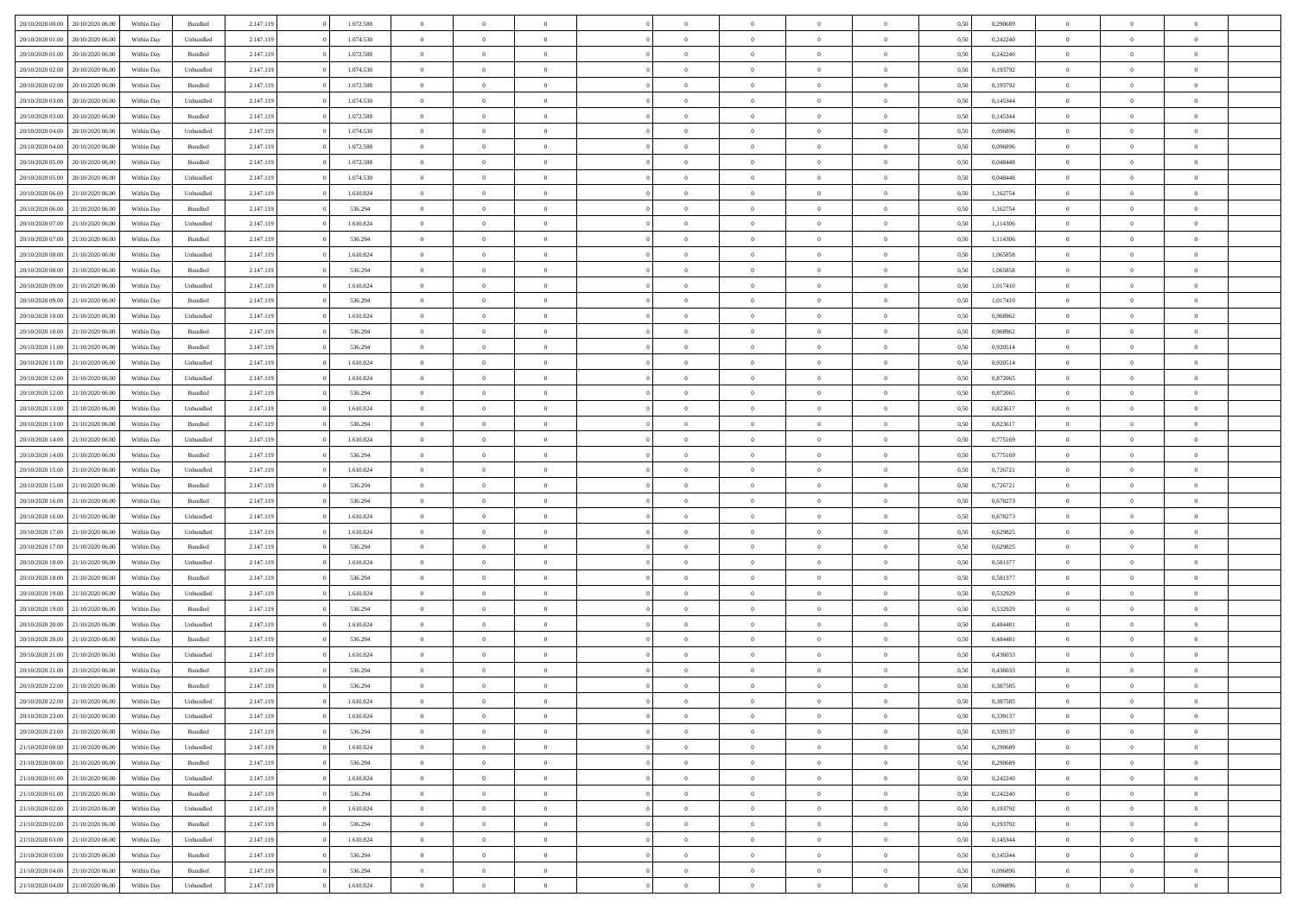| 20/10/2020 00:00                  | 20/10/2020 06:00 | Within Dav | Bundled            | 2.147.119 | 1.072.588 | $\overline{0}$ | $\Omega$       |                | $\Omega$       | $\Omega$       | $\Omega$       | $\theta$       | 0.50 | 0,290689 | $\theta$       | $\theta$       | $\theta$       |  |
|-----------------------------------|------------------|------------|--------------------|-----------|-----------|----------------|----------------|----------------|----------------|----------------|----------------|----------------|------|----------|----------------|----------------|----------------|--|
| 20/10/2020 01:00                  | 20/10/2020 06.00 | Within Day | Unbundled          | 2.147.119 | 1.074.530 | $\overline{0}$ | $\theta$       | $\overline{0}$ | $\overline{0}$ | $\bf{0}$       | $\overline{0}$ | $\bf{0}$       | 0,50 | 0,242240 | $\theta$       | $\overline{0}$ | $\overline{0}$ |  |
| 20/10/2020 01:00                  | 20/10/2020 06:00 | Within Day | Bundled            | 2.147.119 | 1.072.588 | $\overline{0}$ | $\overline{0}$ | $\overline{0}$ | $\bf{0}$       | $\bf{0}$       | $\bf{0}$       | $\bf{0}$       | 0,50 | 0,242240 | $\bf{0}$       | $\overline{0}$ | $\overline{0}$ |  |
| 20/10/2020 02:00                  | 20/10/2020 06:00 | Within Dav | Unbundled          | 2.147.119 | 1.074.530 | $\overline{0}$ | $\overline{0}$ | $\overline{0}$ | $\overline{0}$ | $\bf{0}$       | $\overline{0}$ | $\overline{0}$ | 0.50 | 0,193792 | $\theta$       | $\theta$       | $\overline{0}$ |  |
| 20/10/2020 02:00                  | 20/10/2020 06.00 | Within Day | Bundled            | 2.147.119 | 1.072.588 | $\overline{0}$ | $\theta$       | $\overline{0}$ | $\overline{0}$ | $\bf{0}$       | $\overline{0}$ | $\bf{0}$       | 0,50 | 0,193792 | $\theta$       | $\overline{0}$ | $\overline{0}$ |  |
|                                   |                  |            |                    |           |           |                |                |                |                |                |                |                |      |          |                |                |                |  |
| 20/10/2020 03:00                  | 20/10/2020 06:00 | Within Day | Unbundled          | 2.147.119 | 1.074.530 | $\overline{0}$ | $\bf{0}$       | $\overline{0}$ | $\bf{0}$       | $\overline{0}$ | $\overline{0}$ | $\mathbf{0}$   | 0,50 | 0,145344 | $\overline{0}$ | $\overline{0}$ | $\bf{0}$       |  |
| 20/10/2020 03:00                  | 20/10/2020 06:00 | Within Dav | Bundled            | 2.147.119 | 1.072.588 | $\overline{0}$ | $\overline{0}$ | $\overline{0}$ | $\overline{0}$ | $\overline{0}$ | $\overline{0}$ | $\overline{0}$ | 0.50 | 0,145344 | $\theta$       | $\overline{0}$ | $\overline{0}$ |  |
| 20/10/2020 04:00                  | 20/10/2020 06.00 | Within Day | Unbundled          | 2.147.119 | 1.074.530 | $\overline{0}$ | $\theta$       | $\overline{0}$ | $\overline{0}$ | $\bf{0}$       | $\overline{0}$ | $\bf{0}$       | 0,50 | 0,096896 | $\theta$       | $\theta$       | $\overline{0}$ |  |
| 20/10/2020 04:00                  | 20/10/2020 06:00 | Within Day | Bundled            | 2.147.119 | 1.072.588 | $\overline{0}$ | $\overline{0}$ | $\overline{0}$ | $\bf{0}$       | $\bf{0}$       | $\bf{0}$       | $\bf{0}$       | 0,50 | 0,096896 | $\,0\,$        | $\overline{0}$ | $\overline{0}$ |  |
| 20/10/2020 05:00                  | 20/10/2020 06:00 | Within Dav | Bundled            | 2.147.119 | 1.072.588 | $\overline{0}$ | $\overline{0}$ | $\overline{0}$ | $\overline{0}$ | $\overline{0}$ | $\overline{0}$ | $\overline{0}$ | 0.50 | 0.048448 | $\theta$       | $\overline{0}$ | $\overline{0}$ |  |
| 20/10/2020 05:00                  | 20/10/2020 06.00 | Within Day | Unbundled          | 2.147.119 | 1.074.530 | $\overline{0}$ | $\theta$       | $\overline{0}$ | $\overline{0}$ | $\bf{0}$       | $\overline{0}$ | $\bf{0}$       | 0,50 | 0,048448 | $\,$ 0 $\,$    | $\overline{0}$ | $\overline{0}$ |  |
| 20/10/2020 06.00                  | 21/10/2020 06.00 | Within Day | Unbundled          | 2.147.119 | 1.610.824 | $\overline{0}$ | $\overline{0}$ | $\overline{0}$ | $\bf{0}$       | $\bf{0}$       | $\bf{0}$       | $\bf{0}$       | 0,50 | 1,162754 | $\overline{0}$ | $\overline{0}$ | $\overline{0}$ |  |
| 20/10/2020 06:00                  | 21/10/2020 06:00 |            | Bundled            |           | 536.294   | $\overline{0}$ | $\overline{0}$ | $\overline{0}$ |                | $\bf{0}$       | $\overline{0}$ | $\overline{0}$ | 0.50 | 1,162754 | $\theta$       | $\theta$       | $\overline{0}$ |  |
|                                   |                  | Within Day |                    | 2.147.119 |           |                |                |                | $\overline{0}$ |                |                |                |      |          |                |                |                |  |
| 20/10/2020 07.00                  | 21/10/2020 06.00 | Within Day | Unbundled          | 2.147.119 | 1.610.824 | $\overline{0}$ | $\theta$       | $\overline{0}$ | $\overline{0}$ | $\bf{0}$       | $\overline{0}$ | $\bf{0}$       | 0,50 | 1,114306 | $\theta$       | $\theta$       | $\overline{0}$ |  |
| 20/10/2020 07:00                  | 21/10/2020 06.00 | Within Day | Bundled            | 2.147.119 | 536.294   | $\overline{0}$ | $\bf{0}$       | $\overline{0}$ | $\bf{0}$       | $\overline{0}$ | $\overline{0}$ | $\mathbf{0}$   | 0,50 | 1,114306 | $\overline{0}$ | $\overline{0}$ | $\bf{0}$       |  |
| 20/10/2020 08:00                  | 21/10/2020 06.00 | Within Dav | Unbundled          | 2.147.119 | 1.610.824 | $\overline{0}$ | $\overline{0}$ | $\overline{0}$ | $\overline{0}$ | $\overline{0}$ | $\overline{0}$ | $\overline{0}$ | 0.50 | 1,065858 | $\theta$       | $\overline{0}$ | $\overline{0}$ |  |
| 20/10/2020 08:00                  | 21/10/2020 06.00 | Within Day | Bundled            | 2.147.119 | 536.294   | $\overline{0}$ | $\theta$       | $\overline{0}$ | $\overline{0}$ | $\bf{0}$       | $\overline{0}$ | $\bf{0}$       | 0,50 | 1,065858 | $\theta$       | $\theta$       | $\overline{0}$ |  |
| 20/10/2020 09:00                  | 21/10/2020 06.00 | Within Day | Unbundled          | 2.147.119 | 1.610.824 | $\overline{0}$ | $\overline{0}$ | $\overline{0}$ | $\bf{0}$       | $\bf{0}$       | $\bf{0}$       | $\bf{0}$       | 0,50 | 1,017410 | $\,0\,$        | $\overline{0}$ | $\overline{0}$ |  |
| 20/10/2020 09:00                  | 21/10/2020 06:00 | Within Day | Bundled            | 2.147.119 | 536.294   | $\overline{0}$ | $\overline{0}$ | $\overline{0}$ | $\overline{0}$ | $\overline{0}$ | $\overline{0}$ | $\overline{0}$ | 0.50 | 1,017410 | $\theta$       | $\overline{0}$ | $\overline{0}$ |  |
|                                   |                  |            |                    |           |           |                |                |                |                |                |                |                |      |          |                |                |                |  |
| 20/10/2020 10:00                  | 21/10/2020 06.00 | Within Day | Unbundled          | 2.147.119 | 1.610.824 | $\overline{0}$ | $\theta$       | $\overline{0}$ | $\overline{0}$ | $\bf{0}$       | $\overline{0}$ | $\bf{0}$       | 0,50 | 0,968962 | $\,$ 0 $\,$    | $\theta$       | $\overline{0}$ |  |
| 20/10/2020 10:00                  | 21/10/2020 06.00 | Within Day | Bundled            | 2.147.119 | 536.294   | $\overline{0}$ | $\overline{0}$ | $\overline{0}$ | $\bf{0}$       | $\bf{0}$       | $\bf{0}$       | $\bf{0}$       | 0,50 | 0,968962 | $\,0\,$        | $\overline{0}$ | $\overline{0}$ |  |
| 20/10/2020 11:00                  | 21/10/2020 06:00 | Within Day | Bundled            | 2.147.119 | 536.294   | $\overline{0}$ | $\overline{0}$ | $\overline{0}$ | $\overline{0}$ | $\bf{0}$       | $\overline{0}$ | $\overline{0}$ | 0.50 | 0.920514 | $\theta$       | $\theta$       | $\overline{0}$ |  |
| 20/10/2020 11:00                  | 21/10/2020 06.00 | Within Day | Unbundled          | 2.147.119 | 1.610.824 | $\overline{0}$ | $\theta$       | $\overline{0}$ | $\overline{0}$ | $\bf{0}$       | $\overline{0}$ | $\bf{0}$       | 0,50 | 0,920514 | $\,$ 0 $\,$    | $\overline{0}$ | $\overline{0}$ |  |
| 20/10/2020 12:00                  | 21/10/2020 06.00 | Within Day | Unbundled          | 2.147.119 | 1.610.824 | $\overline{0}$ | $\bf{0}$       | $\overline{0}$ | $\overline{0}$ | $\overline{0}$ | $\overline{0}$ | $\mathbf{0}$   | 0,50 | 0,872065 | $\bf{0}$       | $\overline{0}$ | $\bf{0}$       |  |
| 20/10/2020 12:00                  | 21/10/2020 06:00 | Within Day | Bundled            | 2.147.119 | 536.294   | $\overline{0}$ | $\overline{0}$ | $\overline{0}$ | $\overline{0}$ | $\overline{0}$ | $\overline{0}$ | $\overline{0}$ | 0.50 | 0,872065 | $\theta$       | $\overline{0}$ | $\overline{0}$ |  |
| 20/10/2020 13:00                  | 21/10/2020 06.00 | Within Day | Unbundled          | 2.147.119 | 1.610.824 | $\overline{0}$ | $\theta$       | $\overline{0}$ | $\overline{0}$ | $\bf{0}$       | $\overline{0}$ | $\bf{0}$       | 0,50 | 0,823617 | $\theta$       | $\theta$       | $\overline{0}$ |  |
|                                   |                  |            |                    |           |           |                |                |                |                |                |                |                |      |          |                |                |                |  |
| 20/10/2020 13:00                  | 21/10/2020 06.00 | Within Day | Bundled            | 2.147.119 | 536.294   | $\overline{0}$ | $\overline{0}$ | $\overline{0}$ | $\overline{0}$ | $\bf{0}$       | $\overline{0}$ | $\bf{0}$       | 0,50 | 0,823617 | $\,0\,$        | $\overline{0}$ | $\overline{0}$ |  |
| 20/10/2020 14:00                  | 21/10/2020 06:00 | Within Day | Unbundled          | 2.147.119 | 1.610.824 | $\overline{0}$ | $\overline{0}$ | $\overline{0}$ | $\overline{0}$ | $\overline{0}$ | $\overline{0}$ | $\overline{0}$ | 0.50 | 0,775169 | $\theta$       | $\overline{0}$ | $\overline{0}$ |  |
| 20/10/2020 14:00                  | 21/10/2020 06.00 | Within Day | Bundled            | 2.147.119 | 536.294   | $\overline{0}$ | $\theta$       | $\overline{0}$ | $\overline{0}$ | $\bf{0}$       | $\overline{0}$ | $\bf{0}$       | 0,50 | 0,775169 | $\,$ 0 $\,$    | $\overline{0}$ | $\overline{0}$ |  |
| 20/10/2020 15:00                  | 21/10/2020 06.00 | Within Day | Unbundled          | 2.147.119 | 1.610.824 | $\overline{0}$ | $\overline{0}$ | $\overline{0}$ | $\overline{0}$ | $\bf{0}$       | $\overline{0}$ | $\bf{0}$       | 0,50 | 0,726721 | $\overline{0}$ | $\overline{0}$ | $\overline{0}$ |  |
| 20/10/2020 15:00                  | 21/10/2020 06.00 | Within Day | Bundled            | 2.147.119 | 536.294   | $\overline{0}$ | $\Omega$       | $\Omega$       | $\Omega$       | $\Omega$       | $\overline{0}$ | $\overline{0}$ | 0,50 | 0,726721 | $\,0\,$        | $\theta$       | $\theta$       |  |
| 20/10/2020 16:00                  | 21/10/2020 06.00 | Within Day | Bundled            | 2.147.119 | 536.294   | $\overline{0}$ | $\theta$       | $\overline{0}$ | $\overline{0}$ | $\bf{0}$       | $\overline{0}$ | $\bf{0}$       | 0,50 | 0,678273 | $\,$ 0 $\,$    | $\theta$       | $\overline{0}$ |  |
| 20/10/2020 16:00                  | 21/10/2020 06.00 | Within Day | Unbundled          | 2.147.119 | 1.610.824 | $\overline{0}$ | $\overline{0}$ | $\overline{0}$ | $\bf{0}$       | $\bf{0}$       | $\overline{0}$ | $\mathbf{0}$   | 0,50 | 0,678273 | $\overline{0}$ | $\overline{0}$ | $\bf{0}$       |  |
|                                   |                  |            |                    |           |           |                |                |                |                |                |                |                |      |          |                |                |                |  |
| 20/10/2020 17:00                  | 21/10/2020 06.00 | Within Day | Unbundled          | 2.147.119 | 1.610.824 | $\overline{0}$ | $\Omega$       | $\Omega$       | $\Omega$       | $\bf{0}$       | $\overline{0}$ | $\overline{0}$ | 0.50 | 0,629825 | $\,0\,$        | $\theta$       | $\theta$       |  |
| 20/10/2020 17:00                  | 21/10/2020 06.00 | Within Day | Bundled            | 2.147.119 | 536.294   | $\overline{0}$ | $\theta$       | $\overline{0}$ | $\overline{0}$ | $\bf{0}$       | $\overline{0}$ | $\bf{0}$       | 0,50 | 0,629825 | $\,$ 0 $\,$    | $\theta$       | $\overline{0}$ |  |
| 20/10/2020 18:00                  | 21/10/2020 06.00 | Within Day | Unbundled          | 2.147.119 | 1.610.824 | $\overline{0}$ | $\overline{0}$ | $\overline{0}$ | $\bf{0}$       | $\bf{0}$       | $\bf{0}$       | $\bf{0}$       | 0,50 | 0,581377 | $\bf{0}$       | $\overline{0}$ | $\overline{0}$ |  |
| 20/10/2020 18:00                  | 21/10/2020 06:00 | Within Day | Bundled            | 2.147.119 | 536.294   | $\overline{0}$ | $\Omega$       | $\Omega$       | $\Omega$       | $\theta$       | $\overline{0}$ | $\overline{0}$ | 0.50 | 0,581377 | $\,$ 0 $\,$    | $\theta$       | $\theta$       |  |
| 20/10/2020 19:00                  | 21/10/2020 06.00 | Within Day | Unbundled          | 2.147.119 | 1.610.824 | $\overline{0}$ | $\theta$       | $\overline{0}$ | $\overline{0}$ | $\,$ 0         | $\overline{0}$ | $\bf{0}$       | 0,50 | 0,532929 | $\,$ 0 $\,$    | $\overline{0}$ | $\overline{0}$ |  |
| 20/10/2020 19:00                  | 21/10/2020 06.00 | Within Day | Bundled            | 2.147.119 | 536.294   | $\overline{0}$ | $\overline{0}$ | $\overline{0}$ | $\bf{0}$       | $\bf{0}$       | $\bf{0}$       | $\bf{0}$       | 0,50 | 0,532929 | $\overline{0}$ | $\overline{0}$ | $\overline{0}$ |  |
| 20/10/2020 20:00                  | 21/10/2020 06.00 | Within Day | Unbundled          | 2.147.119 | 1.610.824 | $\overline{0}$ | $\Omega$       | $\overline{0}$ | $\Omega$       | $\Omega$       | $\overline{0}$ | $\overline{0}$ | 0,50 | 0,484481 | $\,0\,$        | $\theta$       | $\theta$       |  |
| 20/10/2020 20:00                  | 21/10/2020 06.00 |            |                    | 2.147.119 | 536.294   | $\overline{0}$ | $\theta$       | $\overline{0}$ | $\overline{0}$ | $\,$ 0         | $\overline{0}$ |                |      | 0,484481 | $\,$ 0 $\,$    | $\overline{0}$ | $\overline{0}$ |  |
|                                   |                  | Within Day | Bundled            |           |           |                |                |                |                |                |                | $\bf{0}$       | 0,50 |          |                |                |                |  |
| 20/10/2020 21.00                  | 21/10/2020 06.00 | Within Day | Unbundled          | 2.147.119 | 1.610.824 | $\overline{0}$ | $\overline{0}$ | $\overline{0}$ | $\overline{0}$ | $\bf{0}$       | $\overline{0}$ | $\mathbf{0}$   | 0,50 | 0,436033 | $\overline{0}$ | $\overline{0}$ | $\bf{0}$       |  |
| 20/10/2020 21:00                  | 21/10/2020 06:00 | Within Day | Bundled            | 2.147.119 | 536.294   | $\overline{0}$ | $\Omega$       | $\Omega$       | $\Omega$       | $\Omega$       | $\Omega$       | $\overline{0}$ | 0.50 | 0.436033 | $\theta$       | $\theta$       | $\theta$       |  |
| 20/10/2020 22.00                  | 21/10/2020 06.00 | Within Day | Bundled            | 2.147.119 | 536.294   | $\overline{0}$ | $\,$ 0 $\,$    | $\overline{0}$ | $\bf{0}$       | $\,$ 0         | $\overline{0}$ | $\bf{0}$       | 0,50 | 0,387585 | $\,0\,$        | $\overline{0}$ | $\overline{0}$ |  |
| 20/10/2020 22:00                  | 21/10/2020 06.00 | Within Day | Unbundled          | 2.147.119 | 1.610.824 | $\bf{0}$       | $\bf{0}$       |                |                |                |                |                | 0,50 | 0,387585 | $\bf{0}$       | $\overline{0}$ |                |  |
| 20/10/2020 23:00                  | 21/10/2020 06:00 | Within Day | Unbundled          | 2.147.119 | 1.610.824 | $\overline{0}$ | $\overline{0}$ | $\overline{0}$ | $\Omega$       | $\overline{0}$ | $\overline{0}$ | $\overline{0}$ | 0,50 | 0,339137 | $\theta$       | $\theta$       | $\theta$       |  |
| 20/10/2020 23.00                  | 21/10/2020 06.00 | Within Day | Bundled            | 2.147.119 | 536.294   | $\overline{0}$ | $\,$ 0         | $\overline{0}$ | $\overline{0}$ | $\,$ 0 $\,$    | $\overline{0}$ | $\mathbf{0}$   | 0,50 | 0,339137 | $\,$ 0 $\,$    | $\,$ 0 $\,$    | $\,$ 0         |  |
| 21/10/2020 00.00                  | 21/10/2020 06.00 | Within Day | Unbundled          | 2.147.119 | 1.610.824 | $\overline{0}$ | $\overline{0}$ | $\overline{0}$ | $\overline{0}$ | $\overline{0}$ | $\overline{0}$ | $\mathbf{0}$   | 0,50 | 0,290689 | $\overline{0}$ | $\bf{0}$       | $\bf{0}$       |  |
|                                   |                  |            |                    |           |           |                |                |                |                |                |                |                |      |          |                |                |                |  |
| 21/10/2020 00:00                  | 21/10/2020 06.00 | Within Day | $\mathbf B$ undled | 2.147.119 | 536.294   | $\overline{0}$ | $\overline{0}$ | $\overline{0}$ | $\Omega$       | $\overline{0}$ | $\overline{0}$ | $\bf{0}$       | 0,50 | 0,290689 | $\overline{0}$ | $\theta$       | $\overline{0}$ |  |
| 21/10/2020 01:00                  | 21/10/2020 06.00 | Within Day | Unbundled          | 2.147.119 | 1.610.824 | $\overline{0}$ | $\,$ 0         | $\overline{0}$ | $\overline{0}$ | $\,$ 0 $\,$    | $\overline{0}$ | $\mathbf{0}$   | 0,50 | 0,242240 | $\,$ 0 $\,$    | $\overline{0}$ | $\overline{0}$ |  |
| 21/10/2020 01.00                  | 21/10/2020 06.00 | Within Day | Bundled            | 2.147.119 | 536.294   | $\overline{0}$ | $\overline{0}$ | $\overline{0}$ | $\overline{0}$ | $\overline{0}$ | $\overline{0}$ | $\mathbf{0}$   | 0,50 | 0,242240 | $\overline{0}$ | $\overline{0}$ | $\bf{0}$       |  |
| 21/10/2020 02:00                  | 21/10/2020 06.00 | Within Day | Unbundled          | 2.147.119 | 1.610.824 | $\overline{0}$ | $\overline{0}$ | $\overline{0}$ | $\Omega$       | $\overline{0}$ | $\overline{0}$ | $\bf{0}$       | 0.50 | 0,193792 | $\overline{0}$ | $\theta$       | $\overline{0}$ |  |
| 21/10/2020 02.00                  | 21/10/2020 06.00 | Within Day | Bundled            | 2.147.119 | 536.294   | $\overline{0}$ | $\,$ 0         | $\overline{0}$ | $\overline{0}$ | $\bf{0}$       | $\overline{0}$ | $\bf{0}$       | 0,50 | 0,193792 | $\,$ 0 $\,$    | $\overline{0}$ | $\overline{0}$ |  |
| 21/10/2020 03:00                  | 21/10/2020 06.00 | Within Day | Unbundled          | 2.147.119 | 1.610.824 | $\overline{0}$ | $\bf{0}$       | $\overline{0}$ | $\overline{0}$ | $\overline{0}$ | $\overline{0}$ | $\mathbf{0}$   | 0,50 | 0,145344 | $\overline{0}$ | $\overline{0}$ | $\bf{0}$       |  |
|                                   | 21/10/2020 06:00 |            | Bundled            |           |           | $\overline{0}$ | $\overline{0}$ | $\overline{0}$ | $\Omega$       | $\overline{0}$ | $\overline{0}$ |                | 0.50 |          | $\overline{0}$ | $\theta$       | $\overline{0}$ |  |
| 21/10/2020 03.00                  |                  | Within Day |                    | 2.147.119 | 536.294   |                |                |                |                |                |                | $\bf{0}$       |      | 0,145344 |                |                |                |  |
| 21/10/2020 04:00                  | 21/10/2020 06.00 | Within Day | Bundled            | 2.147.119 | 536.294   | $\overline{0}$ | $\bf{0}$       | $\overline{0}$ | $\overline{0}$ | $\bf{0}$       | $\overline{0}$ | $\bf{0}$       | 0,50 | 0,096896 | $\,$ 0 $\,$    | $\,$ 0 $\,$    | $\bf{0}$       |  |
| 21/10/2020 04:00 21/10/2020 06:00 |                  | Within Day | Unbundled          | 2.147.119 | 1.610.824 | $\overline{0}$ | $\bf{0}$       | $\overline{0}$ | $\bf{0}$       | $\bf{0}$       | $\overline{0}$ | $\bf{0}$       | 0,50 | 0,096896 | $\overline{0}$ | $\overline{0}$ | $\bf{0}$       |  |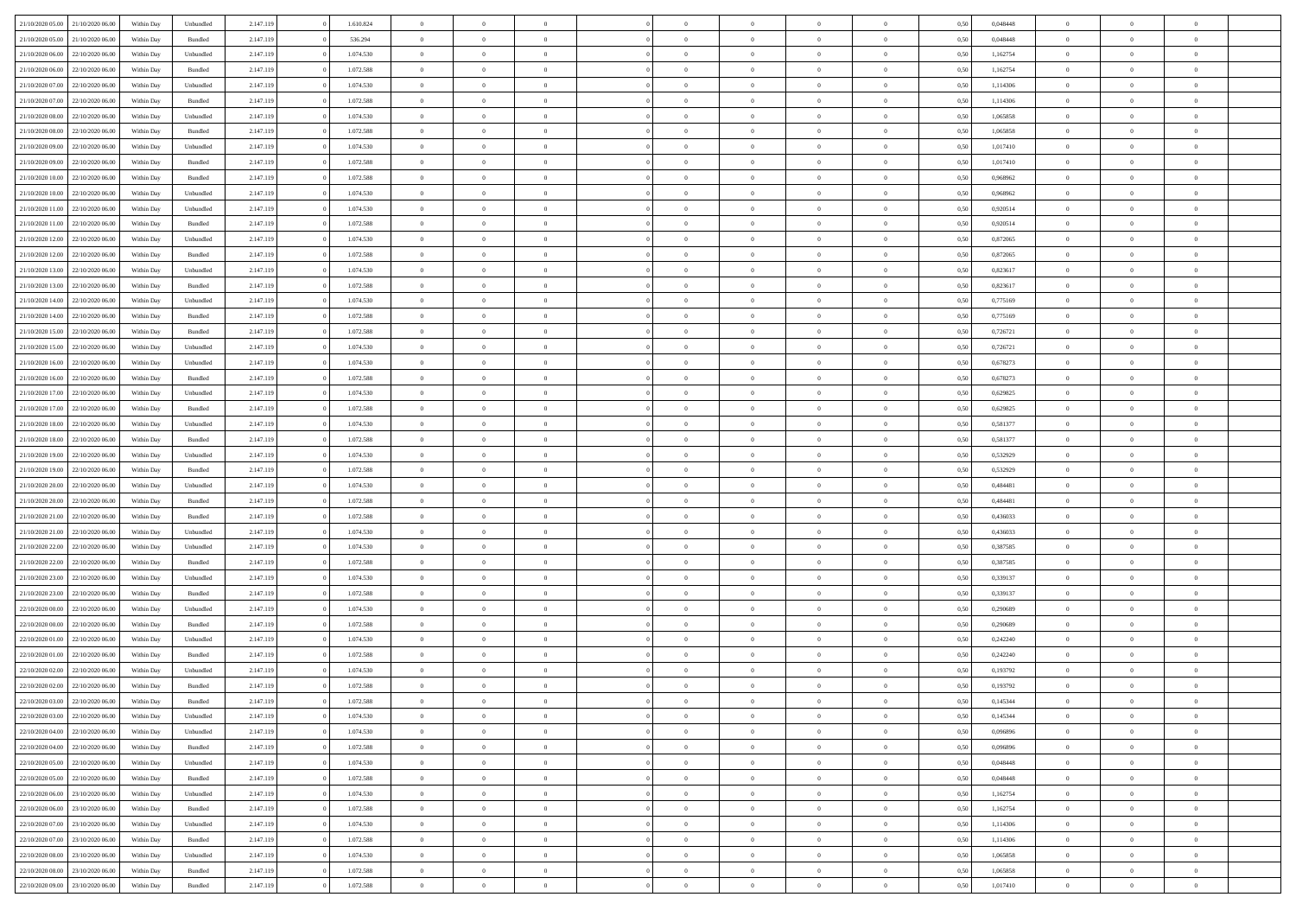| 21/10/2020 05:00                  | 21/10/2020 06:00 | Within Dav | Unbundled          | 2.147.119 | 1.610.824 | $\overline{0}$ | $\Omega$       |                | $\Omega$       | $\Omega$       | $\Omega$       | $\theta$       | 0,50 | 0,048448 | $\theta$       | $\theta$       | $\theta$       |  |
|-----------------------------------|------------------|------------|--------------------|-----------|-----------|----------------|----------------|----------------|----------------|----------------|----------------|----------------|------|----------|----------------|----------------|----------------|--|
|                                   |                  |            |                    |           |           |                |                |                |                |                |                |                |      |          |                |                |                |  |
| 21/10/2020 05:00                  | 21/10/2020 06.00 | Within Day | Bundled            | 2.147.119 | 536.294   | $\overline{0}$ | $\theta$       | $\overline{0}$ | $\overline{0}$ | $\bf{0}$       | $\overline{0}$ | $\overline{0}$ | 0,50 | 0,048448 | $\theta$       | $\overline{0}$ | $\overline{0}$ |  |
| 21/10/2020 06:00                  | 22/10/2020 06.00 | Within Day | Unbundled          | 2.147.119 | 1.074.530 | $\overline{0}$ | $\overline{0}$ | $\overline{0}$ | $\bf{0}$       | $\bf{0}$       | $\bf{0}$       | $\bf{0}$       | 0,50 | 1,162754 | $\bf{0}$       | $\overline{0}$ | $\overline{0}$ |  |
| 21/10/2020 06:00                  | 22/10/2020 06:00 | Within Dav | Bundled            | 2.147.119 | 1.072.588 | $\overline{0}$ | $\overline{0}$ | $\overline{0}$ | $\overline{0}$ | $\bf{0}$       | $\overline{0}$ | $\overline{0}$ | 0.50 | 1,162754 | $\theta$       | $\theta$       | $\overline{0}$ |  |
|                                   |                  |            |                    |           |           |                |                |                |                |                |                |                |      |          |                |                |                |  |
| 21/10/2020 07.00                  | 22/10/2020 06.00 | Within Day | Unbundled          | 2.147.119 | 1.074.530 | $\overline{0}$ | $\theta$       | $\overline{0}$ | $\overline{0}$ | $\bf{0}$       | $\overline{0}$ | $\bf{0}$       | 0,50 | 1,114306 | $\theta$       | $\theta$       | $\overline{0}$ |  |
| 21/10/2020 07:00                  | 22/10/2020 06.00 | Within Day | Bundled            | 2.147.119 | 1.072.588 | $\overline{0}$ | $\bf{0}$       | $\overline{0}$ | $\bf{0}$       | $\overline{0}$ | $\overline{0}$ | $\mathbf{0}$   | 0,50 | 1,114306 | $\overline{0}$ | $\overline{0}$ | $\bf{0}$       |  |
| 21/10/2020 08:00                  | 22/10/2020 06.00 | Within Dav | Unbundled          | 2.147.119 | 1.074.530 | $\overline{0}$ | $\overline{0}$ | $\overline{0}$ | $\overline{0}$ | $\bf{0}$       | $\overline{0}$ | $\overline{0}$ | 0.50 | 1,065858 | $\theta$       | $\overline{0}$ | $\overline{0}$ |  |
| 21/10/2020 08:00                  | 22/10/2020 06.00 | Within Day | Bundled            | 2.147.119 | 1.072.588 | $\overline{0}$ | $\theta$       | $\overline{0}$ | $\overline{0}$ | $\bf{0}$       | $\overline{0}$ | $\bf{0}$       | 0,50 | 1,065858 | $\theta$       | $\theta$       | $\overline{0}$ |  |
|                                   |                  |            |                    |           |           |                | $\overline{0}$ |                |                | $\bf{0}$       |                |                |      |          | $\,0\,$        | $\overline{0}$ | $\overline{0}$ |  |
| 21/10/2020 09:00                  | 22/10/2020 06.00 | Within Day | Unbundled          | 2.147.119 | 1.074.530 | $\overline{0}$ |                | $\overline{0}$ | $\bf{0}$       |                | $\bf{0}$       | $\bf{0}$       | 0,50 | 1,017410 |                |                |                |  |
| 21/10/2020 09:00                  | 22/10/2020 06:00 | Within Dav | Bundled            | 2.147.119 | 1.072.588 | $\overline{0}$ | $\overline{0}$ | $\overline{0}$ | $\overline{0}$ | $\overline{0}$ | $\overline{0}$ | $\overline{0}$ | 0.50 | 1,017410 | $\theta$       | $\overline{0}$ | $\overline{0}$ |  |
| 21/10/2020 10:00                  | 22/10/2020 06.00 | Within Day | Bundled            | 2.147.119 | 1.072.588 | $\overline{0}$ | $\theta$       | $\overline{0}$ | $\overline{0}$ | $\bf{0}$       | $\overline{0}$ | $\bf{0}$       | 0,50 | 0,968962 | $\,$ 0 $\,$    | $\theta$       | $\overline{0}$ |  |
| 21/10/2020 10:00                  | 22/10/2020 06.00 | Within Day | Unbundled          | 2.147.119 | 1.074.530 | $\overline{0}$ | $\overline{0}$ | $\overline{0}$ | $\bf{0}$       | $\bf{0}$       | $\bf{0}$       | $\bf{0}$       | 0,50 | 0,968962 | $\overline{0}$ | $\overline{0}$ | $\overline{0}$ |  |
| 21/10/2020 11:00                  | 22/10/2020 06:00 | Within Day | Unbundled          | 2.147.119 | 1.074.530 | $\overline{0}$ | $\overline{0}$ | $\overline{0}$ | $\overline{0}$ | $\bf{0}$       | $\overline{0}$ | $\overline{0}$ | 0.50 | 0.920514 | $\theta$       | $\theta$       | $\overline{0}$ |  |
|                                   |                  |            |                    |           |           | $\overline{0}$ | $\theta$       | $\overline{0}$ | $\overline{0}$ | $\bf{0}$       | $\overline{0}$ | $\overline{0}$ |      |          | $\theta$       | $\theta$       | $\overline{0}$ |  |
| 21/10/2020 11:00                  | 22/10/2020 06.00 | Within Day | Bundled            | 2.147.119 | 1.072.588 |                |                |                |                |                |                |                | 0,50 | 0,920514 |                |                |                |  |
| 21/10/2020 12:00                  | 22/10/2020 06.00 | Within Day | Unbundled          | 2.147.119 | 1.074.530 | $\overline{0}$ | $\bf{0}$       | $\overline{0}$ | $\bf{0}$       | $\overline{0}$ | $\overline{0}$ | $\mathbf{0}$   | 0,50 | 0,872065 | $\overline{0}$ | $\overline{0}$ | $\bf{0}$       |  |
| 21/10/2020 12:00                  | 22/10/2020 06:00 | Within Dav | Bundled            | 2.147.119 | 1.072.588 | $\overline{0}$ | $\overline{0}$ | $\overline{0}$ | $\overline{0}$ | $\overline{0}$ | $\overline{0}$ | $\overline{0}$ | 0.50 | 0,872065 | $\theta$       | $\overline{0}$ | $\overline{0}$ |  |
| 21/10/2020 13:00                  | 22/10/2020 06.00 | Within Day | Unbundled          | 2.147.119 | 1.074.530 | $\overline{0}$ | $\theta$       | $\overline{0}$ | $\overline{0}$ | $\bf{0}$       | $\overline{0}$ | $\bf{0}$       | 0,50 | 0,823617 | $\theta$       | $\theta$       | $\overline{0}$ |  |
| 21/10/2020 13:00                  | 22/10/2020 06.00 | Within Day | Bundled            | 2.147.119 | 1.072.588 | $\overline{0}$ | $\overline{0}$ | $\overline{0}$ | $\bf{0}$       | $\bf{0}$       | $\bf{0}$       | $\bf{0}$       | 0,50 | 0,823617 | $\,0\,$        | $\overline{0}$ | $\overline{0}$ |  |
|                                   |                  |            |                    |           |           |                |                |                |                |                |                |                |      |          |                |                |                |  |
| 21/10/2020 14:00                  | 22/10/2020 06:00 | Within Day | Unbundled          | 2.147.119 | 1.074.530 | $\overline{0}$ | $\overline{0}$ | $\overline{0}$ | $\overline{0}$ | $\overline{0}$ | $\overline{0}$ | $\overline{0}$ | 0.50 | 0,775169 | $\theta$       | $\overline{0}$ | $\overline{0}$ |  |
| 21/10/2020 14:00                  | 22/10/2020 06.00 | Within Day | Bundled            | 2.147.119 | 1.072.588 | $\overline{0}$ | $\theta$       | $\overline{0}$ | $\overline{0}$ | $\bf{0}$       | $\overline{0}$ | $\bf{0}$       | 0,50 | 0,775169 | $\,$ 0 $\,$    | $\theta$       | $\overline{0}$ |  |
| 21/10/2020 15.00                  | 22/10/2020 06.00 | Within Day | Bundled            | 2.147.119 | 1.072.588 | $\overline{0}$ | $\overline{0}$ | $\overline{0}$ | $\bf{0}$       | $\bf{0}$       | $\bf{0}$       | $\bf{0}$       | 0,50 | 0,726721 | $\,0\,$        | $\overline{0}$ | $\overline{0}$ |  |
| 21/10/2020 15:00                  | 22/10/2020 06:00 | Within Day | Unbundled          | 2.147.119 | 1.074.530 | $\overline{0}$ | $\overline{0}$ | $\overline{0}$ | $\overline{0}$ | $\bf{0}$       | $\overline{0}$ | $\overline{0}$ | 0.50 | 0,726721 | $\theta$       | $\theta$       | $\overline{0}$ |  |
| 21/10/2020 16:00                  | 22/10/2020 06.00 | Within Day | Unbundled          | 2.147.119 | 1.074.530 | $\overline{0}$ | $\theta$       | $\overline{0}$ | $\overline{0}$ | $\bf{0}$       | $\overline{0}$ | $\bf{0}$       | 0,50 | 0,678273 | $\,$ 0 $\,$    | $\overline{0}$ | $\overline{0}$ |  |
|                                   |                  |            |                    |           |           |                |                |                |                |                |                |                |      |          |                |                |                |  |
| 21/10/2020 16.00                  | 22/10/2020 06.00 | Within Day | Bundled            | 2.147.119 | 1.072.588 | $\overline{0}$ | $\bf{0}$       | $\overline{0}$ | $\bf{0}$       | $\overline{0}$ | $\overline{0}$ | $\mathbf{0}$   | 0,50 | 0,678273 | $\overline{0}$ | $\overline{0}$ | $\bf{0}$       |  |
| 21/10/2020 17:00                  | 22/10/2020 06.00 | Within Dav | Unbundled          | 2.147.119 | 1.074.530 | $\overline{0}$ | $\overline{0}$ | $\overline{0}$ | $\overline{0}$ | $\overline{0}$ | $\overline{0}$ | $\overline{0}$ | 0.50 | 0,629825 | $\theta$       | $\overline{0}$ | $\overline{0}$ |  |
| 21/10/2020 17.00                  | 22/10/2020 06.00 | Within Day | Bundled            | 2.147.119 | 1.072.588 | $\overline{0}$ | $\theta$       | $\overline{0}$ | $\overline{0}$ | $\bf{0}$       | $\overline{0}$ | $\bf{0}$       | 0,50 | 0,629825 | $\theta$       | $\theta$       | $\overline{0}$ |  |
| 21/10/2020 18:00                  | 22/10/2020 06.00 | Within Day | Unbundled          | 2.147.119 | 1.074.530 | $\overline{0}$ | $\overline{0}$ | $\overline{0}$ | $\bf{0}$       | $\bf{0}$       | $\bf{0}$       | $\bf{0}$       | 0,50 | 0,581377 | $\,0\,$        | $\overline{0}$ | $\overline{0}$ |  |
| 21/10/2020 18:00                  | 22/10/2020 06:00 | Within Day | Bundled            | 2.147.119 | 1.072.588 | $\overline{0}$ | $\overline{0}$ | $\overline{0}$ | $\overline{0}$ | $\overline{0}$ | $\overline{0}$ | $\overline{0}$ | 0.50 | 0,581377 | $\theta$       | $\overline{0}$ | $\overline{0}$ |  |
|                                   |                  |            |                    |           |           |                |                |                |                |                |                |                |      |          |                |                |                |  |
| 21/10/2020 19:00                  | 22/10/2020 06.00 | Within Day | Unbundled          | 2.147.119 | 1.074.530 | $\overline{0}$ | $\theta$       | $\overline{0}$ | $\overline{0}$ | $\bf{0}$       | $\overline{0}$ | $\bf{0}$       | 0,50 | 0,532929 | $\,$ 0 $\,$    | $\overline{0}$ | $\overline{0}$ |  |
| 21/10/2020 19:00                  | 22/10/2020 06.00 | Within Day | Bundled            | 2.147.119 | 1.072.588 | $\overline{0}$ | $\overline{0}$ | $\overline{0}$ | $\overline{0}$ | $\bf{0}$       | $\overline{0}$ | $\bf{0}$       | 0,50 | 0,532929 | $\overline{0}$ | $\overline{0}$ | $\overline{0}$ |  |
| 21/10/2020 20:00                  | 22/10/2020 06.00 | Within Day | Unbundled          | 2.147.119 | 1.074.530 | $\overline{0}$ | $\Omega$       | $\Omega$       | $\Omega$       | $\Omega$       | $\Omega$       | $\overline{0}$ | 0,50 | 0,484481 | $\,0\,$        | $\theta$       | $\theta$       |  |
| 21/10/2020 20.00                  | 22/10/2020 06.00 | Within Day | Bundled            | 2.147.119 | 1.072.588 | $\overline{0}$ | $\theta$       | $\overline{0}$ | $\overline{0}$ | $\bf{0}$       | $\overline{0}$ | $\bf{0}$       | 0,50 | 0,484481 | $\theta$       | $\theta$       | $\overline{0}$ |  |
| 21/10/2020 21:00                  | 22/10/2020 06.00 | Within Day | Bundled            | 2.147.119 | 1.072.588 | $\overline{0}$ | $\overline{0}$ | $\overline{0}$ | $\overline{0}$ | $\bf{0}$       | $\overline{0}$ | $\mathbf{0}$   | 0,50 | 0,436033 | $\overline{0}$ | $\overline{0}$ | $\bf{0}$       |  |
|                                   |                  |            |                    |           |           |                |                |                |                |                |                |                |      |          |                |                |                |  |
| 21/10/2020 21:00                  | 22/10/2020 06.00 | Within Day | Unbundled          | 2.147.119 | 1.074.530 | $\overline{0}$ | $\Omega$       | $\Omega$       | $\Omega$       | $\bf{0}$       | $\overline{0}$ | $\overline{0}$ | 0.50 | 0,436033 | $\,0\,$        | $\theta$       | $\theta$       |  |
| 21/10/2020 22.00                  | 22/10/2020 06.00 | Within Day | Unbundled          | 2.147.119 | 1.074.530 | $\overline{0}$ | $\theta$       | $\overline{0}$ | $\overline{0}$ | $\bf{0}$       | $\overline{0}$ | $\bf{0}$       | 0,50 | 0,387585 | $\,$ 0 $\,$    | $\theta$       | $\overline{0}$ |  |
| 21/10/2020 22.00                  | 22/10/2020 06.00 | Within Day | Bundled            | 2.147.119 | 1.072.588 | $\overline{0}$ | $\overline{0}$ | $\overline{0}$ | $\overline{0}$ | $\bf{0}$       | $\overline{0}$ | $\bf{0}$       | 0,50 | 0,387585 | $\bf{0}$       | $\overline{0}$ | $\overline{0}$ |  |
| 21/10/2020 23:00                  | 22/10/2020 06:00 | Within Day | Unbundled          | 2.147.119 | 1.074.530 | $\overline{0}$ | $\Omega$       | $\Omega$       | $\Omega$       | $\Omega$       | $\theta$       | $\overline{0}$ | 0.50 | 0,339137 | $\,$ 0 $\,$    | $\theta$       | $\theta$       |  |
| 21/10/2020 23.00                  | 22/10/2020 06.00 | Within Day | Bundled            | 2.147.119 | 1.072.588 | $\overline{0}$ | $\theta$       | $\overline{0}$ | $\overline{0}$ | $\bf{0}$       | $\overline{0}$ | $\bf{0}$       | 0,50 | 0,339137 | $\,$ 0 $\,$    | $\overline{0}$ | $\overline{0}$ |  |
|                                   |                  |            |                    |           |           |                |                |                |                |                |                |                |      |          |                |                |                |  |
| 22/10/2020 00.00                  | 22/10/2020 06.00 | Within Day | Unbundled          | 2.147.119 | 1.074.530 | $\overline{0}$ | $\overline{0}$ | $\overline{0}$ | $\overline{0}$ | $\bf{0}$       | $\overline{0}$ | $\bf{0}$       | 0,50 | 0,290689 | $\overline{0}$ | $\overline{0}$ | $\overline{0}$ |  |
| 22/10/2020 00:00                  | 22/10/2020 06.00 | Within Day | Bundled            | 2.147.119 | 1.072.588 | $\overline{0}$ | $\Omega$       | $\Omega$       | $\Omega$       | $\Omega$       | $\overline{0}$ | $\overline{0}$ | 0.50 | 0,290689 | $\,0\,$        | $\theta$       | $\theta$       |  |
| 22/10/2020 01:00                  | 22/10/2020 06.00 | Within Day | Unbundled          | 2.147.119 | 1.074.530 | $\overline{0}$ | $\theta$       | $\overline{0}$ | $\overline{0}$ | $\bf{0}$       | $\overline{0}$ | $\bf{0}$       | 0,50 | 0,242240 | $\,$ 0 $\,$    | $\overline{0}$ | $\overline{0}$ |  |
| 22/10/2020 01.00                  | 22/10/2020 06.00 | Within Day | Bundled            | 2.147.119 | 1.072.588 | $\overline{0}$ | $\overline{0}$ | $\overline{0}$ | $\overline{0}$ | $\bf{0}$       | $\overline{0}$ | $\mathbf{0}$   | 0,50 | 0,242240 | $\overline{0}$ | $\overline{0}$ | $\bf{0}$       |  |
| 22/10/2020 02:00                  | 22/10/2020 06:00 | Within Day | Unbundled          | 2.147.119 | 1.074.530 | $\overline{0}$ | $\Omega$       | $\Omega$       | $\Omega$       | $\Omega$       | $\Omega$       | $\overline{0}$ | 0.50 | 0,193792 | $\theta$       | $\theta$       | $\theta$       |  |
| 22/10/2020 02.00                  | 22/10/2020 06.00 | Within Day | Bundled            | 2.147.119 | 1.072.588 | $\overline{0}$ | $\,$ 0 $\,$    | $\overline{0}$ | $\bf{0}$       | $\,$ 0         | $\overline{0}$ | $\bf{0}$       | 0,50 | 0,193792 | $\,0\,$        | $\overline{0}$ | $\overline{0}$ |  |
|                                   |                  |            |                    |           |           |                |                |                |                |                |                |                |      |          |                |                |                |  |
| 22/10/2020 03:00 22/10/2020 06:00 |                  | Within Day | $\mathbf B$ undled | 2.147.119 | 1.072.588 | $\bf{0}$       | $\bf{0}$       |                |                |                |                |                | 0,50 | 0,145344 | $\bf{0}$       | $\overline{0}$ |                |  |
| 22/10/2020 03:00                  | 22/10/2020 06:00 | Within Day | Unbundled          | 2.147.119 | 1.074.530 | $\overline{0}$ | $\overline{0}$ | $\overline{0}$ | $\Omega$       | $\overline{0}$ | $\overline{0}$ | $\overline{0}$ | 0,50 | 0,145344 | $\theta$       | $\theta$       | $\theta$       |  |
| 22/10/2020 04:00                  | 22/10/2020 06.00 | Within Day | Unbundled          | 2.147.119 | 1.074.530 | $\overline{0}$ | $\,$ 0         | $\overline{0}$ | $\overline{0}$ | $\,$ 0 $\,$    | $\overline{0}$ | $\mathbf{0}$   | 0,50 | 0,096896 | $\,$ 0 $\,$    | $\,$ 0 $\,$    | $\,$ 0         |  |
| 22/10/2020 04.00                  | 22/10/2020 06.00 | Within Day | Bundled            | 2.147.119 | 1.072.588 | $\overline{0}$ | $\overline{0}$ | $\overline{0}$ | $\overline{0}$ | $\overline{0}$ | $\overline{0}$ | $\mathbf{0}$   | 0,50 | 0,096896 | $\overline{0}$ | $\bf{0}$       | $\bf{0}$       |  |
|                                   |                  |            |                    |           | 1.074.530 |                | $\overline{0}$ | $\overline{0}$ | $\Omega$       | $\overline{0}$ | $\overline{0}$ |                |      | 0.048448 | $\overline{0}$ | $\theta$       | $\overline{0}$ |  |
| 22/10/2020 05:00                  | 22/10/2020 06.00 | Within Day | Unbundled          | 2.147.119 |           | $\overline{0}$ |                |                |                |                |                | $\bf{0}$       | 0,50 |          |                |                |                |  |
| 22/10/2020 05:00                  | 22/10/2020 06.00 | Within Day | Bundled            | 2.147.119 | 1.072.588 | $\overline{0}$ | $\,$ 0         | $\overline{0}$ | $\overline{0}$ | $\,$ 0 $\,$    | $\overline{0}$ | $\bf{0}$       | 0,50 | 0,048448 | $\,$ 0 $\,$    | $\overline{0}$ | $\overline{0}$ |  |
| 22/10/2020 06.00                  | 23/10/2020 06.00 | Within Day | Unbundled          | 2.147.119 | 1.074.530 | $\overline{0}$ | $\overline{0}$ | $\overline{0}$ | $\overline{0}$ | $\overline{0}$ | $\overline{0}$ | $\mathbf{0}$   | 0,50 | 1,162754 | $\overline{0}$ | $\overline{0}$ | $\bf{0}$       |  |
| 22/10/2020 06:00                  | 23/10/2020 06:00 | Within Day | Bundled            | 2.147.119 | 1.072.588 | $\overline{0}$ | $\overline{0}$ | $\overline{0}$ | $\Omega$       | $\overline{0}$ | $\overline{0}$ | $\bf{0}$       | 0.50 | 1,162754 | $\overline{0}$ | $\theta$       | $\overline{0}$ |  |
| 22/10/2020 07.00                  | 23/10/2020 06.00 | Within Day | Unbundled          | 2.147.119 | 1.074.530 | $\overline{0}$ | $\,$ 0         | $\overline{0}$ | $\bf{0}$       | $\bf{0}$       | $\bf{0}$       | $\bf{0}$       | 0,50 | 1,114306 | $\,$ 0 $\,$    | $\overline{0}$ | $\overline{0}$ |  |
|                                   |                  |            |                    |           | 1.072.588 |                | $\bf{0}$       |                |                |                |                |                |      |          |                | $\overline{0}$ | $\bf{0}$       |  |
| 22/10/2020 07:00                  | 23/10/2020 06.00 | Within Day | Bundled            | 2.147.119 |           | $\overline{0}$ |                | $\overline{0}$ | $\overline{0}$ | $\overline{0}$ | $\bf{0}$       | $\mathbf{0}$   | 0,50 | 1,114306 | $\overline{0}$ |                |                |  |
| 22/10/2020 08:00                  | 23/10/2020 06:00 | Within Day | Unbundled          | 2.147.119 | 1.074.530 | $\overline{0}$ | $\overline{0}$ | $\overline{0}$ | $\Omega$       | $\overline{0}$ | $\overline{0}$ | $\bf{0}$       | 0.50 | 1,065858 | $\overline{0}$ | $\theta$       | $\overline{0}$ |  |
| 22/10/2020 08:00                  | 23/10/2020 06.00 | Within Day | Bundled            | 2.147.119 | 1.072.588 | $\overline{0}$ | $\bf{0}$       | $\overline{0}$ | $\overline{0}$ | $\bf{0}$       | $\bf{0}$       | $\mathbf{0}$   | 0,50 | 1,065858 | $\,$ 0 $\,$    | $\,$ 0 $\,$    | $\bf{0}$       |  |
| 22/10/2020 09:00 23/10/2020 06:00 |                  | Within Day | Bundled            | 2.147.119 | 1.072.588 | $\overline{0}$ | $\overline{0}$ | $\overline{0}$ | $\overline{0}$ | $\bf{0}$       | $\bf{0}$       | $\mathbf{0}$   | 0,50 | 1,017410 | $\overline{0}$ | $\bf{0}$       | $\bf{0}$       |  |
|                                   |                  |            |                    |           |           |                |                |                |                |                |                |                |      |          |                |                |                |  |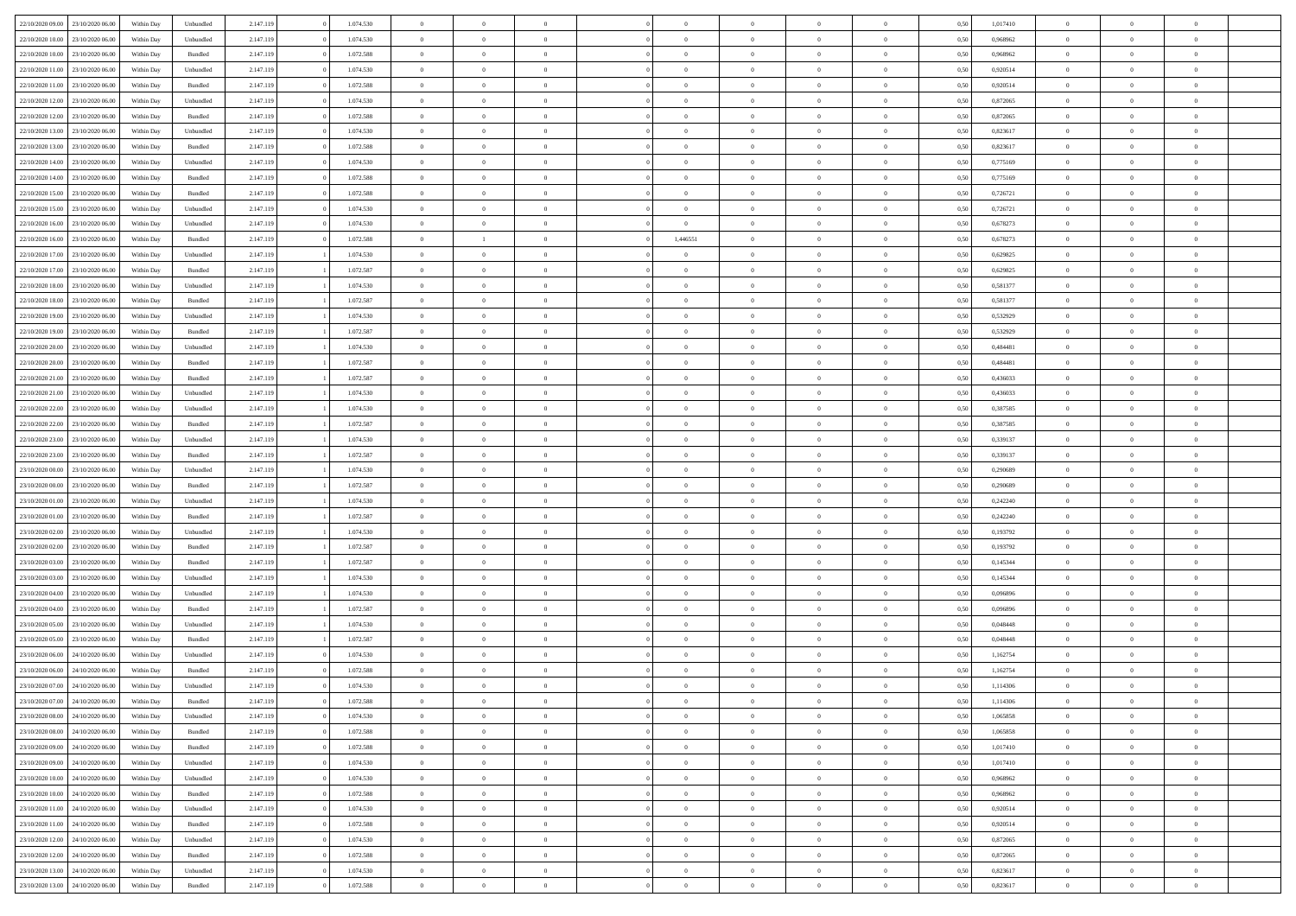|                                   |                  |            |                    |           |           |                |                |                |                | $\Omega$       | $\theta$       | $\theta$       |      |          | $\theta$       | $\overline{0}$ |                |  |
|-----------------------------------|------------------|------------|--------------------|-----------|-----------|----------------|----------------|----------------|----------------|----------------|----------------|----------------|------|----------|----------------|----------------|----------------|--|
| 22/10/2020 09:00                  | 23/10/2020 06:00 | Within Dav | Unbundled          | 2.147.119 | 1.074.530 | $\overline{0}$ | $\theta$       |                | $\Omega$       |                |                |                | 0.50 | 1,017410 |                |                | $\overline{0}$ |  |
| 22/10/2020 10:00                  | 23/10/2020 06.00 | Within Day | Unbundled          | 2.147.119 | 1.074.530 | $\overline{0}$ | $\theta$       | $\overline{0}$ | $\overline{0}$ | $\bf{0}$       | $\overline{0}$ | $\bf{0}$       | 0,50 | 0,968962 | $\theta$       | $\overline{0}$ | $\overline{0}$ |  |
| 22/10/2020 10:00                  | 23/10/2020 06.00 | Within Day | Bundled            | 2.147.119 | 1.072.588 | $\overline{0}$ | $\bf{0}$       | $\overline{0}$ | $\bf{0}$       | $\bf{0}$       | $\bf{0}$       | $\mathbf{0}$   | 0,50 | 0,968962 | $\bf{0}$       | $\overline{0}$ | $\bf{0}$       |  |
| 22/10/2020 11:00                  | 23/10/2020 06:00 | Within Dav | Unbundled          | 2.147.119 | 1.074.530 | $\overline{0}$ | $\overline{0}$ | $\overline{0}$ | $\overline{0}$ | $\bf{0}$       | $\overline{0}$ | $\overline{0}$ | 0.50 | 0.920514 | $\theta$       | $\theta$       | $\overline{0}$ |  |
|                                   |                  |            |                    |           |           |                |                |                |                |                |                |                |      |          |                |                |                |  |
| 22/10/2020 11:00                  | 23/10/2020 06.00 | Within Day | Bundled            | 2.147.119 | 1.072.588 | $\overline{0}$ | $\theta$       | $\overline{0}$ | $\overline{0}$ | $\bf{0}$       | $\overline{0}$ | $\bf{0}$       | 0,50 | 0,920514 | $\theta$       | $\overline{0}$ | $\overline{0}$ |  |
| 22/10/2020 12:00                  | 23/10/2020 06.00 | Within Day | Unbundled          | 2.147.119 | 1.074.530 | $\overline{0}$ | $\overline{0}$ | $\overline{0}$ | $\bf{0}$       | $\overline{0}$ | $\overline{0}$ | $\mathbf{0}$   | 0,50 | 0,872065 | $\overline{0}$ | $\overline{0}$ | $\bf{0}$       |  |
| 22/10/2020 12:00                  | 23/10/2020 06.00 | Within Dav | Bundled            | 2.147.119 | 1.072.588 | $\overline{0}$ | $\overline{0}$ | $\overline{0}$ | $\overline{0}$ | $\overline{0}$ | $\overline{0}$ | $\overline{0}$ | 0.50 | 0,872065 | $\theta$       | $\overline{0}$ | $\overline{0}$ |  |
| 22/10/2020 13:00                  | 23/10/2020 06.00 | Within Day | Unbundled          | 2.147.119 | 1.074.530 | $\overline{0}$ | $\theta$       | $\overline{0}$ | $\overline{0}$ | $\bf{0}$       | $\overline{0}$ | $\bf{0}$       | 0,50 | 0,823617 | $\theta$       | $\theta$       | $\overline{0}$ |  |
|                                   |                  |            |                    |           |           |                |                |                |                |                |                |                |      |          |                |                |                |  |
| 22/10/2020 13:00                  | 23/10/2020 06.00 | Within Day | Bundled            | 2.147.119 | 1.072.588 | $\overline{0}$ | $\overline{0}$ | $\overline{0}$ | $\bf{0}$       | $\bf{0}$       | $\bf{0}$       | $\bf{0}$       | 0,50 | 0,823617 | $\,0\,$        | $\overline{0}$ | $\overline{0}$ |  |
| 22/10/2020 14:00                  | 23/10/2020 06.00 | Within Dav | Unbundled          | 2.147.119 | 1.074.530 | $\overline{0}$ | $\overline{0}$ | $\overline{0}$ | $\overline{0}$ | $\overline{0}$ | $\overline{0}$ | $\overline{0}$ | 0.50 | 0,775169 | $\theta$       | $\overline{0}$ | $\overline{0}$ |  |
| 22/10/2020 14:00                  | 23/10/2020 06.00 | Within Day | Bundled            | 2.147.119 | 1.072.588 | $\overline{0}$ | $\theta$       | $\overline{0}$ | $\overline{0}$ | $\bf{0}$       | $\overline{0}$ | $\bf{0}$       | 0,50 | 0,775169 | $\,$ 0 $\,$    | $\overline{0}$ | $\overline{0}$ |  |
| 22/10/2020 15:00                  | 23/10/2020 06.00 | Within Day | Bundled            | 2.147.119 | 1.072.588 | $\overline{0}$ | $\overline{0}$ | $\overline{0}$ | $\bf{0}$       | $\bf{0}$       | $\overline{0}$ | $\bf{0}$       | 0,50 | 0,726721 | $\bf{0}$       | $\overline{0}$ | $\bf{0}$       |  |
| 22/10/2020 15:00                  | 23/10/2020 06:00 | Within Day | Unbundled          | 2.147.119 | 1.074.530 | $\overline{0}$ | $\overline{0}$ | $\overline{0}$ | $\overline{0}$ | $\bf{0}$       | $\overline{0}$ | $\overline{0}$ | 0.50 | 0,726721 | $\theta$       | $\theta$       | $\overline{0}$ |  |
|                                   |                  |            |                    |           |           | $\overline{0}$ | $\theta$       | $\overline{0}$ | $\overline{0}$ | $\bf{0}$       | $\overline{0}$ |                |      |          | $\theta$       | $\overline{0}$ | $\overline{0}$ |  |
| 22/10/2020 16:00                  | 23/10/2020 06.00 | Within Day | Unbundled          | 2.147.119 | 1.074.530 |                |                |                |                |                |                | $\bf{0}$       | 0,50 | 0,678273 |                |                |                |  |
| 22/10/2020 16:00                  | 23/10/2020 06.00 | Within Day | Bundled            | 2.147.119 | 1.072.588 | $\overline{0}$ | $\mathbf{1}$   | $\overline{0}$ | 1,446551       | $\bf{0}$       | $\overline{0}$ | $\mathbf{0}$   | 0,50 | 0,678273 | $\bf{0}$       | $\overline{0}$ | $\bf{0}$       |  |
| 22/10/2020 17.00                  | 23/10/2020 06.00 | Within Dav | Unbundled          | 2.147.119 | 1.074.530 | $\overline{0}$ | $\overline{0}$ | $\overline{0}$ | $\overline{0}$ | $\overline{0}$ | $\overline{0}$ | $\overline{0}$ | 0.50 | 0,629825 | $\theta$       | $\overline{0}$ | $\overline{0}$ |  |
| 22/10/2020 17.00                  | 23/10/2020 06.00 | Within Day | Bundled            | 2.147.119 | 1.072.587 | $\overline{0}$ | $\theta$       | $\overline{0}$ | $\overline{0}$ | $\bf{0}$       | $\overline{0}$ | $\bf{0}$       | 0,50 | 0,629825 | $\,$ 0 $\,$    | $\theta$       | $\overline{0}$ |  |
| 22/10/2020 18:00                  | 23/10/2020 06.00 | Within Day | Unbundled          | 2.147.119 | 1.074.530 | $\overline{0}$ | $\overline{0}$ | $\overline{0}$ | $\overline{0}$ | $\bf{0}$       | $\overline{0}$ | $\bf{0}$       | 0,50 | 0,581377 | $\bf{0}$       | $\overline{0}$ | $\overline{0}$ |  |
|                                   |                  |            |                    |           |           |                |                |                |                |                |                |                |      |          |                |                |                |  |
| 22/10/2020 18:00                  | 23/10/2020 06:00 | Within Day | Bundled            | 2.147.119 | 1.072.587 | $\overline{0}$ | $\overline{0}$ | $\overline{0}$ | $\overline{0}$ | $\overline{0}$ | $\overline{0}$ | $\overline{0}$ | 0.50 | 0,581377 | $\theta$       | $\overline{0}$ | $\overline{0}$ |  |
| 22/10/2020 19:00                  | 23/10/2020 06.00 | Within Day | Unbundled          | 2.147.119 | 1.074.530 | $\overline{0}$ | $\theta$       | $\overline{0}$ | $\overline{0}$ | $\bf{0}$       | $\overline{0}$ | $\bf{0}$       | 0,50 | 0,532929 | $\,$ 0 $\,$    | $\overline{0}$ | $\overline{0}$ |  |
| 22/10/2020 19:00                  | 23/10/2020 06.00 | Within Day | Bundled            | 2.147.119 | 1.072.587 | $\overline{0}$ | $\overline{0}$ | $\overline{0}$ | $\overline{0}$ | $\bf{0}$       | $\overline{0}$ | $\bf{0}$       | 0,50 | 0,532929 | $\bf{0}$       | $\overline{0}$ | $\bf{0}$       |  |
| 22/10/2020 20:00                  | 23/10/2020 06:00 | Within Day | Unbundled          | 2.147.119 | 1.074.530 | $\overline{0}$ | $\overline{0}$ | $\overline{0}$ | $\overline{0}$ | $\bf{0}$       | $\overline{0}$ | $\overline{0}$ | 0.50 | 0.484481 | $\theta$       | $\overline{0}$ | $\overline{0}$ |  |
| 22/10/2020 20:00                  | 23/10/2020 06.00 | Within Day | Bundled            | 2.147.119 | 1.072.587 | $\overline{0}$ | $\theta$       | $\overline{0}$ | $\overline{0}$ | $\bf{0}$       | $\overline{0}$ | $\bf{0}$       | 0,50 | 0,484481 | $\,$ 0 $\,$    | $\overline{0}$ | $\overline{0}$ |  |
|                                   |                  |            |                    |           |           |                |                |                |                |                |                |                |      |          |                |                |                |  |
| 22/10/2020 21:00                  | 23/10/2020 06.00 | Within Day | Bundled            | 2.147.119 | 1.072.587 | $\overline{0}$ | $\overline{0}$ | $\overline{0}$ | $\overline{0}$ | $\overline{0}$ | $\overline{0}$ | $\mathbf{0}$   | 0,50 | 0,436033 | $\bf{0}$       | $\overline{0}$ | $\bf{0}$       |  |
| 22/10/2020 21:00                  | 23/10/2020 06.00 | Within Dav | Unbundled          | 2.147.119 | 1.074.530 | $\overline{0}$ | $\overline{0}$ | $\overline{0}$ | $\overline{0}$ | $\overline{0}$ | $\overline{0}$ | $\overline{0}$ | 0.50 | 0,436033 | $\theta$       | $\overline{0}$ | $\overline{0}$ |  |
| 22/10/2020 22.00                  | 23/10/2020 06.00 | Within Day | Unbundled          | 2.147.119 | 1.074.530 | $\overline{0}$ | $\theta$       | $\overline{0}$ | $\overline{0}$ | $\bf{0}$       | $\overline{0}$ | $\bf{0}$       | 0,50 | 0,387585 | $\theta$       | $\theta$       | $\overline{0}$ |  |
| 22/10/2020 22.00                  | 23/10/2020 06.00 | Within Day | Bundled            | 2.147.119 | 1.072.587 | $\overline{0}$ | $\overline{0}$ | $\overline{0}$ | $\overline{0}$ | $\bf{0}$       | $\overline{0}$ | $\bf{0}$       | 0,50 | 0,387585 | $\,0\,$        | $\overline{0}$ | $\overline{0}$ |  |
| 22/10/2020 23:00                  | 23/10/2020 06.00 |            | Unbundled          | 2.147.119 | 1.074.530 | $\overline{0}$ | $\overline{0}$ | $\overline{0}$ | $\overline{0}$ | $\overline{0}$ | $\overline{0}$ | $\overline{0}$ | 0.50 | 0,339137 | $\theta$       | $\overline{0}$ | $\overline{0}$ |  |
|                                   |                  | Within Day |                    |           |           |                |                |                |                |                |                |                |      |          |                |                |                |  |
| 22/10/2020 23.00                  | 23/10/2020 06.00 | Within Day | Bundled            | 2.147.119 | 1.072.587 | $\overline{0}$ | $\theta$       | $\overline{0}$ | $\overline{0}$ | $\bf{0}$       | $\overline{0}$ | $\bf{0}$       | 0,50 | 0,339137 | $\,$ 0 $\,$    | $\overline{0}$ | $\overline{0}$ |  |
| 23/10/2020 00.00                  | 23/10/2020 06.00 | Within Day | Unbundled          | 2.147.119 | 1.074.530 | $\overline{0}$ | $\overline{0}$ | $\overline{0}$ | $\overline{0}$ | $\bf{0}$       | $\overline{0}$ | $\bf{0}$       | 0,50 | 0,290689 | $\bf{0}$       | $\overline{0}$ | $\bf{0}$       |  |
| 23/10/2020 00:00                  | 23/10/2020 06.00 | Within Day | Bundled            | 2.147.119 | 1.072.587 | $\overline{0}$ | $\Omega$       | $\Omega$       | $\Omega$       | $\Omega$       | $\overline{0}$ | $\overline{0}$ | 0,50 | 0,290689 | $\,0\,$        | $\theta$       | $\theta$       |  |
| 23/10/2020 01:00                  | 23/10/2020 06.00 | Within Day | Unbundled          | 2.147.119 | 1.074.530 | $\overline{0}$ | $\theta$       | $\overline{0}$ | $\overline{0}$ | $\bf{0}$       | $\overline{0}$ | $\bf{0}$       | 0,50 | 0,242240 | $\,$ 0 $\,$    | $\overline{0}$ | $\overline{0}$ |  |
|                                   |                  |            |                    |           |           |                |                |                |                |                |                |                |      |          |                |                |                |  |
| 23/10/2020 01:00                  | 23/10/2020 06.00 | Within Day | Bundled            | 2.147.119 | 1.072.587 | $\overline{0}$ | $\overline{0}$ | $\overline{0}$ | $\bf{0}$       | $\overline{0}$ | $\overline{0}$ | $\mathbf{0}$   | 0,50 | 0,242240 | $\bf{0}$       | $\overline{0}$ | $\bf{0}$       |  |
| 23/10/2020 02:00                  | 23/10/2020 06:00 | Within Day | Unbundled          | 2.147.119 | 1.074.530 | $\overline{0}$ | $\Omega$       | $\Omega$       | $\Omega$       | $\bf{0}$       | $\overline{0}$ | $\overline{0}$ | 0.50 | 0,193792 | $\,0\,$        | $\theta$       | $\theta$       |  |
| 23/10/2020 02.00                  | 23/10/2020 06.00 | Within Day | Bundled            | 2.147.119 | 1.072.587 | $\overline{0}$ | $\theta$       | $\overline{0}$ | $\overline{0}$ | $\bf{0}$       | $\overline{0}$ | $\bf{0}$       | 0,50 | 0,193792 | $\,$ 0 $\,$    | $\overline{0}$ | $\overline{0}$ |  |
| 23/10/2020 03:00                  | 23/10/2020 06.00 | Within Day | Bundled            | 2.147.119 | 1.072.587 | $\overline{0}$ | $\overline{0}$ | $\overline{0}$ | $\bf{0}$       | $\bf{0}$       | $\bf{0}$       | $\bf{0}$       | 0,50 | 0,145344 | $\bf{0}$       | $\overline{0}$ | $\bf{0}$       |  |
| 23/10/2020 03:00                  | 23/10/2020 06:00 | Within Day | Unbundled          | 2.147.119 | 1.074.530 | $\overline{0}$ | $\Omega$       | $\Omega$       | $\Omega$       | $\overline{0}$ | $\overline{0}$ | $\overline{0}$ | 0.50 | 0,145344 | $\,$ 0 $\,$    | $\theta$       | $\theta$       |  |
|                                   |                  |            |                    |           |           |                |                |                |                |                |                |                |      |          |                |                |                |  |
| 23/10/2020 04:00                  | 23/10/2020 06.00 | Within Day | Unbundled          | 2.147.119 | 1.074.530 | $\overline{0}$ | $\theta$       | $\overline{0}$ | $\overline{0}$ | $\,$ 0         | $\overline{0}$ | $\bf{0}$       | 0,50 | 0,096896 | $\,$ 0 $\,$    | $\overline{0}$ | $\overline{0}$ |  |
| 23/10/2020 04.00                  | 23/10/2020 06.00 | Within Day | Bundled            | 2.147.119 | 1.072.587 | $\overline{0}$ | $\bf{0}$       | $\overline{0}$ | $\bf{0}$       | $\bf{0}$       | $\bf{0}$       | $\bf{0}$       | 0,50 | 0,096896 | $\bf{0}$       | $\overline{0}$ | $\bf{0}$       |  |
| 23/10/2020 05:00                  | 23/10/2020 06.00 | Within Day | Unbundled          | 2.147.119 | 1.074.530 | $\overline{0}$ | $\Omega$       | $\overline{0}$ | $\Omega$       | $\overline{0}$ | $\overline{0}$ | $\overline{0}$ | 0,50 | 0.048448 | $\,0\,$        | $\theta$       | $\theta$       |  |
| 23/10/2020 05.00                  | 23/10/2020 06.00 | Within Day | Bundled            | 2.147.119 | 1.072.587 | $\overline{0}$ | $\theta$       | $\overline{0}$ | $\overline{0}$ | $\,$ 0         | $\overline{0}$ | $\bf{0}$       | 0,50 | 0,048448 | $\,$ 0 $\,$    | $\overline{0}$ | $\overline{0}$ |  |
| 23/10/2020 06.00                  | 24/10/2020 06.00 | Within Day | Unbundled          | 2.147.119 | 1.074.530 | $\overline{0}$ | $\overline{0}$ | $\overline{0}$ | $\bf{0}$       | $\bf{0}$       | $\bf{0}$       | $\mathbf{0}$   | 0,50 | 1,162754 | $\bf{0}$       | $\overline{0}$ | $\bf{0}$       |  |
|                                   |                  |            |                    |           |           |                |                |                |                |                |                |                |      |          |                |                | $\theta$       |  |
| 23/10/2020 06:00                  | 24/10/2020 06.00 | Within Day | Bundled            | 2.147.119 | 1.072.588 | $\overline{0}$ | $\Omega$       | $\Omega$       | $\Omega$       | $\Omega$       | $\Omega$       | $\overline{0}$ | 0.50 | 1,162754 | $\theta$       | $\theta$       |                |  |
| 23/10/2020 07.00                  | 24/10/2020 06.00 | Within Day | Unbundled          | 2.147.119 | 1.074.530 | $\overline{0}$ | $\overline{0}$ | $\overline{0}$ | $\bf{0}$       | $\,$ 0         | $\bf{0}$       | $\bf{0}$       | 0,50 | 1,114306 | $\,0\,$        | $\,$ 0 $\,$    | $\overline{0}$ |  |
| 23/10/2020 07:00 24/10/2020 06:00 |                  | Within Day | $\mathbf B$ undled | 2.147.119 | 1.072.588 | $\bf{0}$       | $\bf{0}$       |                |                | $\bf{0}$       |                |                | 0,50 | 1,114306 | $\bf{0}$       | $\overline{0}$ |                |  |
| 23/10/2020 08:00                  | 24/10/2020 06:00 | Within Day | Unbundled          | 2.147.119 | 1.074.530 | $\overline{0}$ | $\overline{0}$ | $\overline{0}$ | $\Omega$       | $\theta$       | $\overline{0}$ | $\overline{0}$ | 0.50 | 1.065858 | $\theta$       | $\theta$       | $\theta$       |  |
| 23/10/2020 08:00                  | 24/10/2020 06.00 | Within Day | Bundled            | 2.147.119 | 1.072.588 | $\overline{0}$ | $\,$ 0         | $\overline{0}$ | $\bf{0}$       | $\,$ 0 $\,$    | $\overline{0}$ | $\mathbf{0}$   | 0,50 | 1,065858 | $\,$ 0 $\,$    | $\,$ 0 $\,$    | $\,$ 0         |  |
|                                   |                  |            |                    |           |           |                |                |                |                |                |                |                |      |          |                |                |                |  |
| 23/10/2020 09:00                  | 24/10/2020 06.00 | Within Day | Bundled            | 2.147.119 | 1.072.588 | $\overline{0}$ | $\overline{0}$ | $\overline{0}$ | $\overline{0}$ | $\overline{0}$ | $\overline{0}$ | $\mathbf{0}$   | 0,50 | 1,017410 | $\overline{0}$ | $\bf{0}$       | $\bf{0}$       |  |
| 23/10/2020 09:00                  | 24/10/2020 06.00 | Within Day | Unbundled          | 2.147.119 | 1.074.530 | $\overline{0}$ | $\overline{0}$ | $\overline{0}$ | $\Omega$       | $\overline{0}$ | $\overline{0}$ | $\bf{0}$       | 0,50 | 1,017410 | $\bf{0}$       | $\theta$       | $\overline{0}$ |  |
| 23/10/2020 10:00                  | 24/10/2020 06.00 | Within Day | Unbundled          | 2.147.119 | 1.074.530 | $\overline{0}$ | $\,$ 0         | $\overline{0}$ | $\overline{0}$ | $\overline{0}$ | $\overline{0}$ | $\bf{0}$       | 0,50 | 0,968962 | $\,$ 0 $\,$    | $\overline{0}$ | $\overline{0}$ |  |
| 23/10/2020 10:00                  | 24/10/2020 06.00 | Within Day | Bundled            | 2.147.119 | 1.072.588 | $\overline{0}$ | $\overline{0}$ | $\overline{0}$ | $\overline{0}$ | $\overline{0}$ | $\overline{0}$ | $\mathbf{0}$   | 0,50 | 0,968962 | $\overline{0}$ | $\overline{0}$ | $\bf{0}$       |  |
| 23/10/2020 11:00                  | 24/10/2020 06.00 | Within Day | Unbundled          | 2.147.119 | 1.074.530 | $\overline{0}$ | $\overline{0}$ | $\overline{0}$ | $\Omega$       | $\overline{0}$ | $\overline{0}$ | $\bf{0}$       | 0.50 | 0,920514 | $\overline{0}$ | $\theta$       | $\overline{0}$ |  |
|                                   |                  |            |                    |           |           |                |                |                |                |                |                |                |      |          |                |                |                |  |
| 23/10/2020 11:00                  | 24/10/2020 06.00 | Within Day | Bundled            | 2.147.119 | 1.072.588 | $\overline{0}$ | $\,$ 0         | $\overline{0}$ | $\bf{0}$       | $\bf{0}$       | $\bf{0}$       | $\bf{0}$       | 0,50 | 0,920514 | $\,$ 0 $\,$    | $\overline{0}$ | $\overline{0}$ |  |
| 23/10/2020 12:00                  | 24/10/2020 06.00 | Within Day | Unbundled          | 2.147.119 | 1.074.530 | $\overline{0}$ | $\bf{0}$       | $\overline{0}$ | $\overline{0}$ | $\overline{0}$ | $\bf{0}$       | $\mathbf{0}$   | 0,50 | 0,872065 | $\overline{0}$ | $\overline{0}$ | $\bf{0}$       |  |
| 23/10/2020 12:00                  | 24/10/2020 06.00 | Within Day | Bundled            | 2.147.119 | 1.072.588 | $\overline{0}$ | $\overline{0}$ | $\overline{0}$ | $\Omega$       | $\overline{0}$ | $\overline{0}$ | $\bf{0}$       | 0.50 | 0,872065 | $\overline{0}$ | $\theta$       | $\overline{0}$ |  |
| 23/10/2020 13:00                  | 24/10/2020 06.00 | Within Day | Unbundled          | 2.147.119 | 1.074.530 | $\overline{0}$ | $\bf{0}$       | $\overline{0}$ | $\overline{0}$ | $\bf{0}$       | $\bf{0}$       | $\bf{0}$       | 0,50 | 0,823617 | $\,$ 0 $\,$    | $\,$ 0 $\,$    | $\bf{0}$       |  |
| 23/10/2020 13:00 24/10/2020 06:00 |                  | Within Day | Bundled            |           | 1.072.588 | $\overline{0}$ | $\overline{0}$ | $\overline{0}$ | $\overline{0}$ | $\bf{0}$       | $\bf{0}$       | $\mathbf{0}$   | 0,50 | 0,823617 | $\overline{0}$ | $\bf{0}$       | $\bf{0}$       |  |
|                                   |                  |            |                    | 2.147.119 |           |                |                |                |                |                |                |                |      |          |                |                |                |  |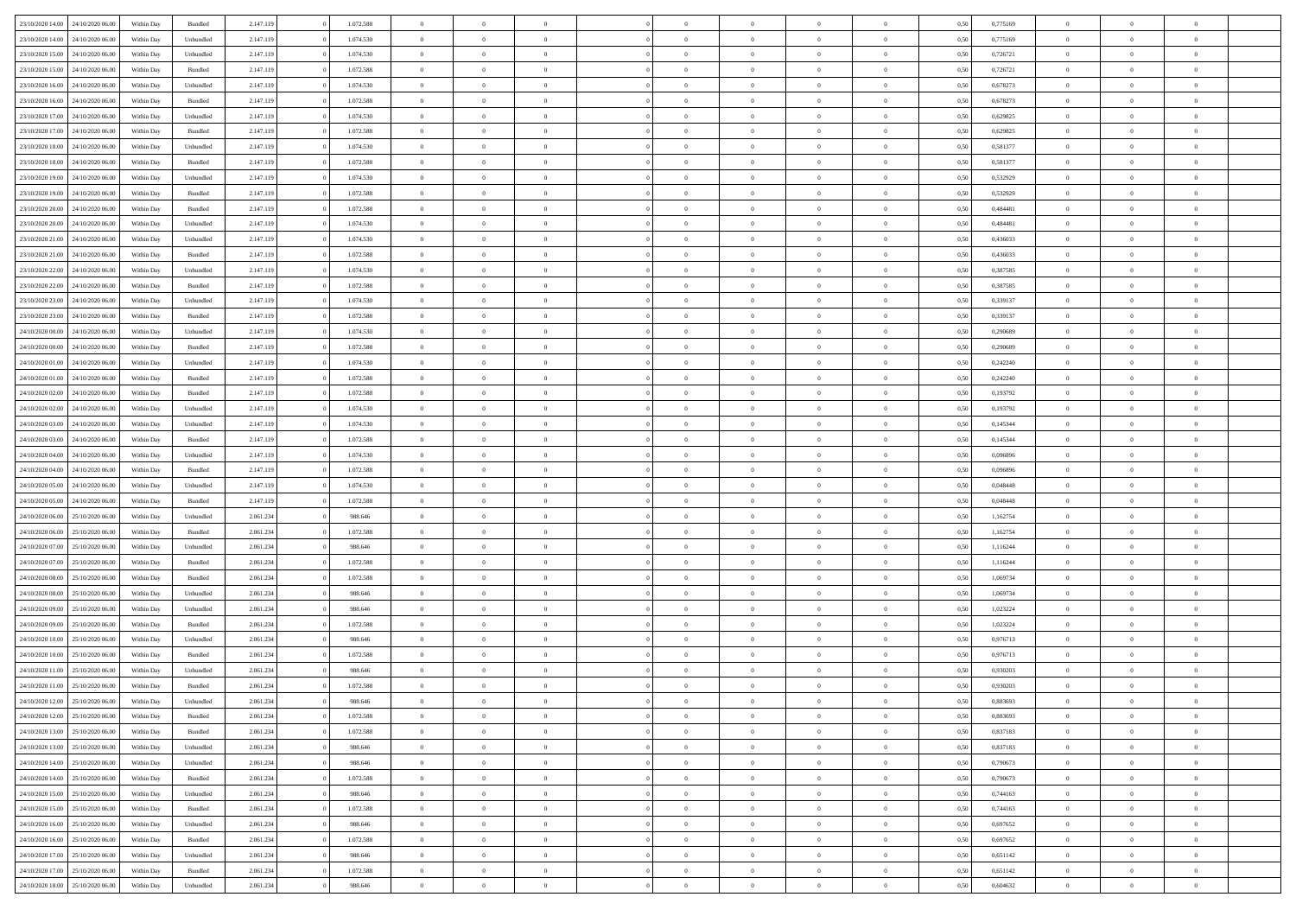|                                   | 24/10/2020 06.00 | Within Dav | Bundled   | 2.147.119 | 1.072.588 | $\overline{0}$ | $\Omega$       |                | $\Omega$       | $\Omega$       | $\Omega$       | $\theta$       | 0.50 | 0,775169 | $\theta$       | $\theta$       | $\theta$       |  |
|-----------------------------------|------------------|------------|-----------|-----------|-----------|----------------|----------------|----------------|----------------|----------------|----------------|----------------|------|----------|----------------|----------------|----------------|--|
| 23/10/2020 14:00                  |                  |            |           |           |           |                |                |                |                |                |                |                |      |          |                |                |                |  |
| 23/10/2020 14:00                  | 24/10/2020 06.00 | Within Day | Unbundled | 2.147.119 | 1.074.530 | $\overline{0}$ | $\theta$       | $\overline{0}$ | $\overline{0}$ | $\bf{0}$       | $\overline{0}$ | $\bf{0}$       | 0,50 | 0,775169 | $\theta$       | $\overline{0}$ | $\overline{0}$ |  |
| 23/10/2020 15:00                  | 24/10/2020 06.00 | Within Day | Unbundled | 2.147.119 | 1.074.530 | $\overline{0}$ | $\overline{0}$ | $\overline{0}$ | $\bf{0}$       | $\bf{0}$       | $\bf{0}$       | $\bf{0}$       | 0,50 | 0,726721 | $\bf{0}$       | $\overline{0}$ | $\overline{0}$ |  |
| 23/10/2020 15:00                  | 24/10/2020 06.00 | Within Day | Bundled   | 2.147.119 | 1.072.588 | $\overline{0}$ | $\overline{0}$ | $\overline{0}$ | $\overline{0}$ | $\bf{0}$       | $\overline{0}$ | $\overline{0}$ | 0.50 | 0,726721 | $\theta$       | $\theta$       | $\overline{0}$ |  |
|                                   |                  |            |           |           |           |                |                |                |                |                |                |                |      |          |                |                |                |  |
| 23/10/2020 16:00                  | 24/10/2020 06.00 | Within Day | Unbundled | 2.147.119 | 1.074.530 | $\overline{0}$ | $\theta$       | $\overline{0}$ | $\overline{0}$ | $\bf{0}$       | $\overline{0}$ | $\bf{0}$       | 0,50 | 0,678273 | $\,$ 0 $\,$    | $\overline{0}$ | $\overline{0}$ |  |
| 23/10/2020 16:00                  | 24/10/2020 06.00 | Within Day | Bundled   | 2.147.119 | 1.072.588 | $\overline{0}$ | $\bf{0}$       | $\overline{0}$ | $\bf{0}$       | $\overline{0}$ | $\overline{0}$ | $\mathbf{0}$   | 0,50 | 0,678273 | $\overline{0}$ | $\overline{0}$ | $\bf{0}$       |  |
| 23/10/2020 17:00                  | 24/10/2020 06.00 | Within Dav | Unbundled | 2.147.119 | 1.074.530 | $\overline{0}$ | $\overline{0}$ | $\overline{0}$ | $\overline{0}$ | $\overline{0}$ | $\overline{0}$ | $\overline{0}$ | 0.50 | 0,629825 | $\theta$       | $\overline{0}$ | $\overline{0}$ |  |
| 23/10/2020 17.00                  | 24/10/2020 06.00 | Within Day | Bundled   | 2.147.119 | 1.072.588 | $\overline{0}$ | $\theta$       | $\overline{0}$ | $\overline{0}$ | $\bf{0}$       | $\overline{0}$ | $\bf{0}$       | 0,50 | 0,629825 | $\theta$       | $\theta$       | $\overline{0}$ |  |
|                                   |                  |            |           |           |           |                |                |                |                |                |                |                |      |          |                |                |                |  |
| 23/10/2020 18:00                  | 24/10/2020 06.00 | Within Day | Unbundled | 2.147.119 | 1.074.530 | $\overline{0}$ | $\overline{0}$ | $\overline{0}$ | $\bf{0}$       | $\bf{0}$       | $\bf{0}$       | $\bf{0}$       | 0,50 | 0,581377 | $\,0\,$        | $\overline{0}$ | $\overline{0}$ |  |
| 23/10/2020 18:00                  | 24/10/2020 06.00 | Within Dav | Bundled   | 2.147.119 | 1.072.588 | $\overline{0}$ | $\overline{0}$ | $\overline{0}$ | $\overline{0}$ | $\overline{0}$ | $\overline{0}$ | $\overline{0}$ | 0.50 | 0,581377 | $\theta$       | $\overline{0}$ | $\overline{0}$ |  |
| 23/10/2020 19:00                  | 24/10/2020 06.00 | Within Day | Unbundled | 2.147.119 | 1.074.530 | $\overline{0}$ | $\theta$       | $\overline{0}$ | $\overline{0}$ | $\bf{0}$       | $\overline{0}$ | $\bf{0}$       | 0,50 | 0,532929 | $\,$ 0 $\,$    | $\overline{0}$ | $\overline{0}$ |  |
| 23/10/2020 19:00                  | 24/10/2020 06.00 | Within Day | Bundled   | 2.147.119 | 1.072.588 | $\overline{0}$ | $\overline{0}$ | $\overline{0}$ | $\bf{0}$       | $\bf{0}$       | $\bf{0}$       | $\bf{0}$       | 0,50 | 0,532929 | $\bf{0}$       | $\overline{0}$ | $\overline{0}$ |  |
| 23/10/2020 20:00                  | 24/10/2020 06.00 | Within Day | Bundled   | 2.147.119 | 1.072.588 | $\overline{0}$ | $\overline{0}$ | $\overline{0}$ | $\overline{0}$ | $\bf{0}$       | $\overline{0}$ | $\overline{0}$ | 0.50 | 0,484481 | $\theta$       | $\theta$       | $\overline{0}$ |  |
|                                   |                  |            |           |           |           | $\overline{0}$ | $\theta$       | $\overline{0}$ | $\overline{0}$ | $\bf{0}$       | $\overline{0}$ |                |      |          | $\theta$       | $\theta$       | $\overline{0}$ |  |
| 23/10/2020 20.00                  | 24/10/2020 06.00 | Within Day | Unbundled | 2.147.119 | 1.074.530 |                |                |                |                |                |                | $\bf{0}$       | 0,50 | 0,484481 |                |                |                |  |
| 23/10/2020 21:00                  | 24/10/2020 06.00 | Within Day | Unbundled | 2.147.119 | 1.074.530 | $\overline{0}$ | $\bf{0}$       | $\overline{0}$ | $\bf{0}$       | $\overline{0}$ | $\overline{0}$ | $\mathbf{0}$   | 0,50 | 0,436033 | $\bf{0}$       | $\overline{0}$ | $\bf{0}$       |  |
| 23/10/2020 21:00                  | 24/10/2020 06.00 | Within Dav | Bundled   | 2.147.119 | 1.072.588 | $\overline{0}$ | $\overline{0}$ | $\overline{0}$ | $\overline{0}$ | $\overline{0}$ | $\overline{0}$ | $\overline{0}$ | 0.50 | 0,436033 | $\theta$       | $\overline{0}$ | $\overline{0}$ |  |
| 23/10/2020 22.00                  | 24/10/2020 06.00 | Within Day | Unbundled | 2.147.119 | 1.074.530 | $\overline{0}$ | $\theta$       | $\overline{0}$ | $\overline{0}$ | $\bf{0}$       | $\overline{0}$ | $\bf{0}$       | 0,50 | 0,387585 | $\theta$       | $\theta$       | $\overline{0}$ |  |
| 23/10/2020 22.00                  | 24/10/2020 06.00 | Within Day | Bundled   | 2.147.119 | 1.072.588 | $\overline{0}$ | $\overline{0}$ | $\overline{0}$ | $\bf{0}$       | $\bf{0}$       | $\bf{0}$       | $\bf{0}$       | 0,50 | 0,387585 | $\bf{0}$       | $\overline{0}$ | $\overline{0}$ |  |
|                                   |                  |            |           |           |           |                | $\overline{0}$ |                |                | $\overline{0}$ |                |                |      |          | $\theta$       | $\overline{0}$ | $\overline{0}$ |  |
| 23/10/2020 23:00                  | 24/10/2020 06.00 | Within Day | Unbundled | 2.147.119 | 1.074.530 | $\overline{0}$ |                | $\overline{0}$ | $\overline{0}$ |                | $\overline{0}$ | $\overline{0}$ | 0.50 | 0,339137 |                |                |                |  |
| 23/10/2020 23.00                  | 24/10/2020 06.00 | Within Day | Bundled   | 2.147.119 | 1.072.588 | $\overline{0}$ | $\theta$       | $\overline{0}$ | $\overline{0}$ | $\bf{0}$       | $\overline{0}$ | $\bf{0}$       | 0,50 | 0,339137 | $\,$ 0 $\,$    | $\theta$       | $\overline{0}$ |  |
| 24/10/2020 00:00                  | 24/10/2020 06.00 | Within Day | Unbundled | 2.147.119 | 1.074.530 | $\overline{0}$ | $\overline{0}$ | $\overline{0}$ | $\bf{0}$       | $\bf{0}$       | $\bf{0}$       | $\bf{0}$       | 0,50 | 0,290689 | $\bf{0}$       | $\overline{0}$ | $\overline{0}$ |  |
| 24/10/2020 00.00                  | 24/10/2020 06.00 | Within Day | Bundled   | 2.147.119 | 1.072.588 | $\overline{0}$ | $\overline{0}$ | $\overline{0}$ | $\overline{0}$ | $\bf{0}$       | $\overline{0}$ | $\overline{0}$ | 0.50 | 0.290689 | $\theta$       | $\theta$       | $\overline{0}$ |  |
| 24/10/2020 01.00                  | 24/10/2020 06.00 | Within Day | Unbundled | 2.147.119 | 1.074.530 | $\overline{0}$ | $\theta$       | $\overline{0}$ | $\overline{0}$ | $\bf{0}$       | $\overline{0}$ | $\bf{0}$       | 0,50 | 0,242240 | $\,$ 0 $\,$    | $\overline{0}$ | $\overline{0}$ |  |
|                                   |                  |            |           |           |           |                |                |                |                |                |                |                |      |          |                |                |                |  |
| 24/10/2020 01:00                  | 24/10/2020 06.00 | Within Day | Bundled   | 2.147.119 | 1.072.588 | $\overline{0}$ | $\bf{0}$       | $\overline{0}$ | $\bf{0}$       | $\overline{0}$ | $\overline{0}$ | $\mathbf{0}$   | 0,50 | 0,242240 | $\bf{0}$       | $\overline{0}$ | $\bf{0}$       |  |
| 24/10/2020 02.00                  | 24/10/2020 06.00 | Within Day | Bundled   | 2.147.119 | 1.072.588 | $\overline{0}$ | $\overline{0}$ | $\overline{0}$ | $\overline{0}$ | $\overline{0}$ | $\overline{0}$ | $\overline{0}$ | 0.50 | 0,193792 | $\theta$       | $\overline{0}$ | $\overline{0}$ |  |
| 24/10/2020 02.00                  | 24/10/2020 06.00 | Within Day | Unbundled | 2.147.119 | 1.074.530 | $\overline{0}$ | $\theta$       | $\overline{0}$ | $\overline{0}$ | $\bf{0}$       | $\overline{0}$ | $\bf{0}$       | 0,50 | 0,193792 | $\theta$       | $\theta$       | $\overline{0}$ |  |
| 24/10/2020 03:00                  | 24/10/2020 06.00 | Within Day | Unbundled | 2.147.119 | 1.074.530 | $\overline{0}$ | $\overline{0}$ | $\overline{0}$ | $\bf{0}$       | $\bf{0}$       | $\bf{0}$       | $\bf{0}$       | 0,50 | 0,145344 | $\,0\,$        | $\overline{0}$ | $\overline{0}$ |  |
| 24/10/2020 03:00                  | 24/10/2020 06.00 | Within Day | Bundled   | 2.147.119 | 1.072.588 | $\overline{0}$ | $\overline{0}$ | $\overline{0}$ | $\overline{0}$ | $\overline{0}$ | $\overline{0}$ | $\overline{0}$ | 0.50 | 0,145344 | $\theta$       | $\overline{0}$ | $\overline{0}$ |  |
|                                   |                  |            |           |           |           |                |                |                |                |                |                |                |      |          |                |                |                |  |
| 24/10/2020 04.00                  | 24/10/2020 06.00 | Within Day | Unbundled | 2.147.119 | 1.074.530 | $\overline{0}$ | $\theta$       | $\overline{0}$ | $\overline{0}$ | $\bf{0}$       | $\overline{0}$ | $\bf{0}$       | 0,50 | 0,096896 | $\,$ 0 $\,$    | $\overline{0}$ | $\overline{0}$ |  |
| 24/10/2020 04.00                  | 24/10/2020 06.00 | Within Day | Bundled   | 2.147.119 | 1.072.588 | $\overline{0}$ | $\overline{0}$ | $\overline{0}$ | $\bf{0}$       | $\bf{0}$       | $\bf{0}$       | $\bf{0}$       | 0,50 | 0,096896 | $\bf{0}$       | $\overline{0}$ | $\overline{0}$ |  |
| 24/10/2020 05:00                  | 24/10/2020 06.00 | Within Day | Unbundled | 2.147.119 | 1.074.530 | $\bf{0}$       | $\Omega$       | $\overline{0}$ | $\Omega$       | $\Omega$       | $\overline{0}$ | $\overline{0}$ | 0,50 | 0.048448 | $\,0\,$        | $\theta$       | $\theta$       |  |
| 24/10/2020 05.00                  | 24/10/2020 06.00 | Within Day | Bundled   | 2.147.119 | 1.072.588 | $\overline{0}$ | $\theta$       | $\overline{0}$ | $\overline{0}$ | $\bf{0}$       | $\overline{0}$ | $\bf{0}$       | 0,50 | 0,048448 | $\,$ 0 $\,$    | $\theta$       | $\overline{0}$ |  |
|                                   |                  |            |           |           |           |                |                |                |                | $\bf{0}$       |                |                |      |          |                | $\overline{0}$ | $\bf{0}$       |  |
| 24/10/2020 06:00                  | 25/10/2020 06.00 | Within Day | Unbundled | 2.061.234 | 988.646   | $\overline{0}$ | $\overline{0}$ | $\overline{0}$ | $\overline{0}$ |                | $\overline{0}$ | $\mathbf{0}$   | 0,50 | 1,162754 | $\bf{0}$       |                |                |  |
| 24/10/2020 06.00                  | 25/10/2020 06.00 | Within Day | Bundled   | 2.061.234 | 1.072.588 | $\overline{0}$ | $\Omega$       | $\Omega$       | $\Omega$       | $\bf{0}$       | $\overline{0}$ | $\overline{0}$ | 0.50 | 1,162754 | $\,0\,$        | $\theta$       | $\theta$       |  |
| 24/10/2020 07.00                  | 25/10/2020 06.00 | Within Day | Unbundled | 2.061.234 | 988.646   | $\overline{0}$ | $\theta$       | $\overline{0}$ | $\overline{0}$ | $\bf{0}$       | $\overline{0}$ | $\bf{0}$       | 0,50 | 1,116244 | $\,$ 0 $\,$    | $\theta$       | $\overline{0}$ |  |
| 24/10/2020 07.00                  | 25/10/2020 06.00 | Within Day | Bundled   | 2.061.234 | 1.072.588 | $\overline{0}$ | $\overline{0}$ | $\overline{0}$ | $\overline{0}$ | $\bf{0}$       | $\overline{0}$ | $\bf{0}$       | 0,50 | 1,116244 | $\bf{0}$       | $\overline{0}$ | $\overline{0}$ |  |
| 24/10/2020 08:00                  | 25/10/2020 06:00 | Within Day | Bundled   | 2.061.234 | 1.072.588 | $\overline{0}$ | $\Omega$       | $\overline{0}$ | $\Omega$       | $\overline{0}$ | $\overline{0}$ | $\overline{0}$ | 0.50 | 1,069734 | $\,$ 0 $\,$    | $\theta$       | $\theta$       |  |
| 24/10/2020 08.00                  | 25/10/2020 06.00 | Within Day | Unbundled | 2.061.234 | 988.646   | $\overline{0}$ | $\theta$       | $\overline{0}$ | $\overline{0}$ | $\,$ 0         | $\overline{0}$ | $\bf{0}$       | 0,50 | 1,069734 | $\,$ 0 $\,$    | $\overline{0}$ | $\overline{0}$ |  |
|                                   |                  |            |           |           |           |                |                |                |                |                |                |                |      |          |                |                |                |  |
| 24/10/2020 09:00                  | 25/10/2020 06.00 | Within Day | Unbundled | 2.061.234 | 988.646   | $\overline{0}$ | $\overline{0}$ | $\overline{0}$ | $\overline{0}$ | $\bf{0}$       | $\overline{0}$ | $\bf{0}$       | 0,50 | 1,023224 | $\bf{0}$       | $\overline{0}$ | $\overline{0}$ |  |
| 24/10/2020 09:00                  | 25/10/2020 06.00 | Within Day | Bundled   | 2.061.234 | 1.072.588 | $\overline{0}$ | $\Omega$       | $\overline{0}$ | $\Omega$       | $\overline{0}$ | $\overline{0}$ | $\overline{0}$ | 0,50 | 1,023224 | $\,0\,$        | $\theta$       | $\theta$       |  |
| 24/10/2020 10:00                  | 25/10/2020 06.00 | Within Day | Unbundled | 2.061.234 | 988.646   | $\overline{0}$ | $\theta$       | $\overline{0}$ | $\overline{0}$ | $\,$ 0         | $\overline{0}$ | $\bf{0}$       | 0,50 | 0,976713 | $\,$ 0 $\,$    | $\overline{0}$ | $\overline{0}$ |  |
| 24/10/2020 10:00                  | 25/10/2020 06.00 | Within Day | Bundled   | 2.061.234 | 1.072.588 | $\overline{0}$ | $\overline{0}$ | $\overline{0}$ | $\overline{0}$ | $\bf{0}$       | $\overline{0}$ | $\mathbf{0}$   | 0,50 | 0,976713 | $\bf{0}$       | $\overline{0}$ | $\bf{0}$       |  |
| 24/10/2020 11:00                  | 25/10/2020 06.00 | Within Day | Unbundled | 2.061.234 | 988,646   | $\overline{0}$ | $\Omega$       | $\Omega$       | $\Omega$       | $\Omega$       | $\overline{0}$ | $\overline{0}$ | 0.50 | 0.930203 | $\theta$       | $\theta$       | $\theta$       |  |
|                                   |                  |            |           |           |           |                |                |                |                |                |                |                |      |          |                |                |                |  |
| 24/10/2020 11:00                  | 25/10/2020 06.00 | Within Day | Bundled   | 2.061.234 | 1.072.588 | $\overline{0}$ | $\,$ 0 $\,$    | $\overline{0}$ | $\bf{0}$       | $\,$ 0         | $\overline{0}$ | $\bf{0}$       | 0,50 | 0,930203 | $\,0\,$        | $\overline{0}$ | $\overline{0}$ |  |
| 24/10/2020 12:00                  | 25/10/2020 06.00 | Within Day | Unbundled | 2.061.234 | 988.646   | $\bf{0}$       | $\bf{0}$       |                |                |                |                |                | 0,50 | 0,883693 | $\bf{0}$       | $\overline{0}$ |                |  |
| 24/10/2020 12:00                  | 25/10/2020 06:00 | Within Day | Bundled   | 2.061.234 | 1.072.588 | $\overline{0}$ | $\overline{0}$ | $\overline{0}$ | $\Omega$       | $\theta$       | $\overline{0}$ | $\overline{0}$ | 0.50 | 0.883693 | $\theta$       | $\theta$       | $\theta$       |  |
| 24/10/2020 13:00                  | 25/10/2020 06.00 | Within Day | Bundled   | 2.061.234 | 1.072.588 | $\overline{0}$ | $\,$ 0         | $\overline{0}$ | $\overline{0}$ | $\,$ 0 $\,$    | $\overline{0}$ | $\mathbf{0}$   | 0,50 | 0,837183 | $\,$ 0 $\,$    | $\,$ 0 $\,$    | $\,$ 0         |  |
| 24/10/2020 13.00                  | 25/10/2020 06.00 | Within Day | Unbundled | 2.061.234 | 988.646   | $\overline{0}$ | $\overline{0}$ | $\overline{0}$ | $\overline{0}$ | $\overline{0}$ | $\overline{0}$ | $\mathbf{0}$   | 0,50 | 0,837183 | $\overline{0}$ | $\bf{0}$       | $\bf{0}$       |  |
|                                   |                  |            |           |           |           |                |                |                |                |                |                |                |      |          |                |                |                |  |
| 24/10/2020 14:00                  | 25/10/2020 06.00 | Within Day | Unbundled | 2.061.234 | 988.646   | $\overline{0}$ | $\overline{0}$ | $\overline{0}$ | $\Omega$       | $\overline{0}$ | $\overline{0}$ | $\overline{0}$ | 0,50 | 0,790673 | $\overline{0}$ | $\theta$       | $\overline{0}$ |  |
| 24/10/2020 14:00                  | 25/10/2020 06.00 | Within Day | Bundled   | 2.061.234 | 1.072.588 | $\overline{0}$ | $\,$ 0         | $\overline{0}$ | $\overline{0}$ | $\,$ 0 $\,$    | $\overline{0}$ | $\mathbf{0}$   | 0,50 | 0,790673 | $\,$ 0 $\,$    | $\overline{0}$ | $\overline{0}$ |  |
| 24/10/2020 15.00                  | 25/10/2020 06.00 | Within Day | Unbundled | 2.061.234 | 988.646   | $\overline{0}$ | $\overline{0}$ | $\overline{0}$ | $\overline{0}$ | $\overline{0}$ | $\overline{0}$ | $\mathbf{0}$   | 0,50 | 0,744163 | $\overline{0}$ | $\overline{0}$ | $\bf{0}$       |  |
| 24/10/2020 15.00                  | 25/10/2020 06.00 | Within Day | Bundled   | 2.061.234 | 1.072.588 | $\overline{0}$ | $\overline{0}$ | $\overline{0}$ | $\Omega$       | $\overline{0}$ | $\overline{0}$ | $\bf{0}$       | 0.50 | 0,744163 | $\overline{0}$ | $\theta$       | $\overline{0}$ |  |
| 24/10/2020 16.00                  | 25/10/2020 06.00 | Within Day | Unbundled | 2.061.234 | 988.646   | $\overline{0}$ | $\,$ 0         | $\overline{0}$ | $\bf{0}$       | $\bf{0}$       | $\bf{0}$       | $\bf{0}$       | 0,50 | 0,697652 | $\,$ 0 $\,$    | $\overline{0}$ | $\overline{0}$ |  |
|                                   |                  |            |           |           |           |                |                |                |                |                |                |                |      |          |                |                |                |  |
| 24/10/2020 16:00                  | 25/10/2020 06.00 | Within Day | Bundled   | 2.061.234 | 1.072.588 | $\overline{0}$ | $\bf{0}$       | $\overline{0}$ | $\overline{0}$ | $\overline{0}$ | $\overline{0}$ | $\mathbf{0}$   | 0,50 | 0,697652 | $\overline{0}$ | $\overline{0}$ | $\bf{0}$       |  |
| 24/10/2020 17.00                  | 25/10/2020 06.00 | Within Day | Unbundled | 2.061.234 | 988.646   | $\overline{0}$ | $\overline{0}$ | $\overline{0}$ | $\Omega$       | $\overline{0}$ | $\overline{0}$ | $\bf{0}$       | 0.50 | 0,651142 | $\overline{0}$ | $\theta$       | $\overline{0}$ |  |
| 24/10/2020 17.00                  | 25/10/2020 06.00 | Within Day | Bundled   | 2.061.234 | 1.072.588 | $\overline{0}$ | $\bf{0}$       | $\overline{0}$ | $\overline{0}$ | $\bf{0}$       | $\bf{0}$       | $\mathbf{0}$   | 0,50 | 0,651142 | $\,$ 0 $\,$    | $\,$ 0 $\,$    | $\bf{0}$       |  |
| 24/10/2020 18.00 25/10/2020 06.00 |                  | Within Day | Unbundled | 2.061.234 | 988.646   | $\overline{0}$ | $\overline{0}$ | $\overline{0}$ | $\overline{0}$ | $\overline{0}$ | $\bf{0}$       | $\mathbf{0}$   | 0,50 | 0,604632 | $\overline{0}$ | $\bf{0}$       | $\bf{0}$       |  |
|                                   |                  |            |           |           |           |                |                |                |                |                |                |                |      |          |                |                |                |  |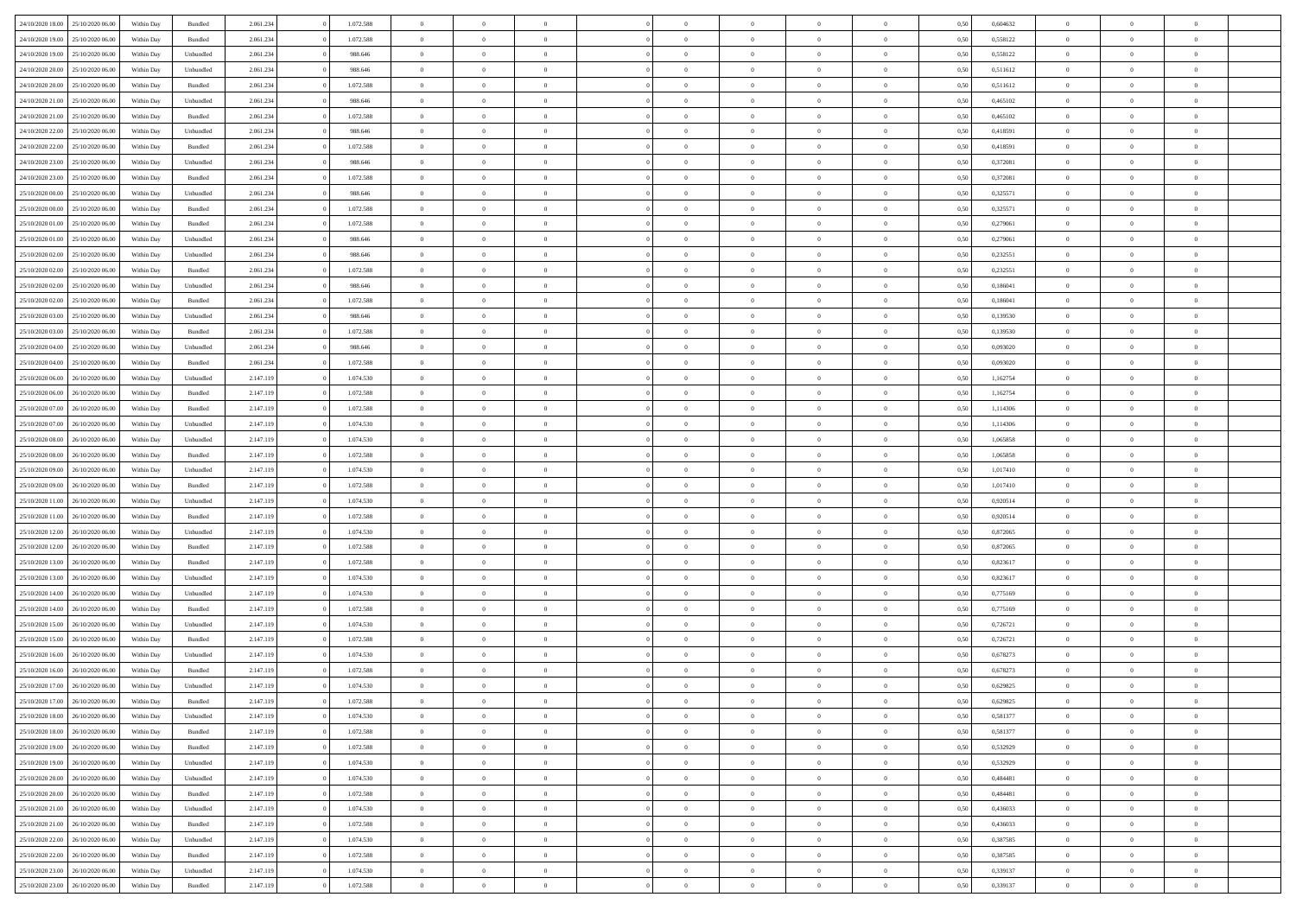| 24/10/2020 18:00 | 25/10/2020 06:00 | Within Dav | Bundled            | 2.061.234 | 1.072.588 | $\overline{0}$ | $\theta$       |                | $\Omega$       | $\Omega$       | $\theta$       | $\theta$       | 0,50 | 0,604632 | $\theta$       | $\overline{0}$ | $\overline{0}$ |  |
|------------------|------------------|------------|--------------------|-----------|-----------|----------------|----------------|----------------|----------------|----------------|----------------|----------------|------|----------|----------------|----------------|----------------|--|
| 24/10/2020 19:00 | 25/10/2020 06.00 | Within Day | Bundled            | 2.061.234 | 1.072.588 | $\overline{0}$ | $\theta$       | $\overline{0}$ | $\overline{0}$ | $\bf{0}$       | $\overline{0}$ | $\bf{0}$       | 0,50 | 0,558122 | $\theta$       | $\overline{0}$ | $\overline{0}$ |  |
| 24/10/2020 19:00 | 25/10/2020 06.00 | Within Day | Unbundled          | 2.061.234 | 988.646   | $\overline{0}$ | $\bf{0}$       | $\overline{0}$ | $\bf{0}$       | $\bf{0}$       | $\bf{0}$       | $\mathbf{0}$   | 0,50 | 0,558122 | $\bf{0}$       | $\overline{0}$ | $\bf{0}$       |  |
| 24/10/2020 20:00 | 25/10/2020 06:00 | Within Dav | Unbundled          | 2.061.234 | 988,646   | $\overline{0}$ | $\overline{0}$ | $\overline{0}$ | $\overline{0}$ | $\bf{0}$       | $\overline{0}$ | $\overline{0}$ | 0.50 | 0,511612 | $\theta$       | $\theta$       | $\overline{0}$ |  |
|                  |                  |            |                    |           |           |                |                |                |                |                |                |                |      |          |                |                |                |  |
| 24/10/2020 20.00 | 25/10/2020 06.00 | Within Day | Bundled            | 2.061.234 | 1.072.588 | $\overline{0}$ | $\theta$       | $\overline{0}$ | $\overline{0}$ | $\bf{0}$       | $\overline{0}$ | $\bf{0}$       | 0,50 | 0,511612 | $\,$ 0 $\,$    | $\overline{0}$ | $\overline{0}$ |  |
| 24/10/2020 21.00 | 25/10/2020 06.00 | Within Day | Unbundled          | 2.061.234 | 988.646   | $\overline{0}$ | $\overline{0}$ | $\overline{0}$ | $\bf{0}$       | $\overline{0}$ | $\overline{0}$ | $\mathbf{0}$   | 0,50 | 0,465102 | $\bf{0}$       | $\overline{0}$ | $\bf{0}$       |  |
| 24/10/2020 21:00 | 25/10/2020 06.00 | Within Dav | Bundled            | 2.061.234 | 1.072.588 | $\overline{0}$ | $\overline{0}$ | $\overline{0}$ | $\overline{0}$ | $\overline{0}$ | $\overline{0}$ | $\overline{0}$ | 0.50 | 0,465102 | $\theta$       | $\overline{0}$ | $\overline{0}$ |  |
| 24/10/2020 22.00 | 25/10/2020 06.00 | Within Day | Unbundled          | 2.061.234 | 988.646   | $\overline{0}$ | $\theta$       | $\overline{0}$ | $\overline{0}$ | $\bf{0}$       | $\overline{0}$ | $\bf{0}$       | 0,50 | 0,418591 | $\theta$       | $\theta$       | $\overline{0}$ |  |
|                  |                  |            |                    |           |           |                | $\overline{0}$ |                |                | $\bf{0}$       |                |                |      |          | $\,0\,$        | $\overline{0}$ | $\overline{0}$ |  |
| 24/10/2020 22.00 | 25/10/2020 06.00 | Within Day | Bundled            | 2.061.234 | 1.072.588 | $\overline{0}$ |                | $\overline{0}$ | $\bf{0}$       |                | $\bf{0}$       | $\bf{0}$       | 0,50 | 0,418591 |                |                |                |  |
| 24/10/2020 23.00 | 25/10/2020 06.00 | Within Dav | Unbundled          | 2.061.234 | 988.646   | $\overline{0}$ | $\overline{0}$ | $\overline{0}$ | $\overline{0}$ | $\overline{0}$ | $\overline{0}$ | $\overline{0}$ | 0.50 | 0,372081 | $\theta$       | $\overline{0}$ | $\overline{0}$ |  |
| 24/10/2020 23.00 | 25/10/2020 06.00 | Within Day | Bundled            | 2.061.234 | 1.072.588 | $\overline{0}$ | $\theta$       | $\overline{0}$ | $\overline{0}$ | $\bf{0}$       | $\overline{0}$ | $\bf{0}$       | 0,50 | 0,372081 | $\,$ 0 $\,$    | $\overline{0}$ | $\overline{0}$ |  |
| 25/10/2020 00.00 | 25/10/2020 06.00 | Within Day | Unbundled          | 2.061.234 | 988.646   | $\overline{0}$ | $\bf{0}$       | $\overline{0}$ | $\bf{0}$       | $\bf{0}$       | $\bf{0}$       | $\mathbf{0}$   | 0,50 | 0,325571 | $\bf{0}$       | $\overline{0}$ | $\bf{0}$       |  |
| 25/10/2020 00:00 | 25/10/2020 06:00 | Within Day | Bundled            | 2.061.234 | 1.072.588 | $\overline{0}$ | $\overline{0}$ | $\overline{0}$ | $\overline{0}$ | $\bf{0}$       | $\overline{0}$ | $\overline{0}$ | 0.50 | 0,325571 | $\theta$       | $\theta$       | $\overline{0}$ |  |
|                  |                  |            |                    |           |           | $\overline{0}$ | $\theta$       | $\overline{0}$ | $\overline{0}$ | $\bf{0}$       | $\overline{0}$ |                |      |          | $\theta$       | $\overline{0}$ | $\overline{0}$ |  |
| 25/10/2020 01:00 | 25/10/2020 06.00 | Within Day | Bundled            | 2.061.234 | 1.072.588 |                |                |                |                |                |                | $\bf{0}$       | 0,50 | 0,279061 |                |                |                |  |
| 25/10/2020 01:00 | 25/10/2020 06.00 | Within Day | Unbundled          | 2.061.234 | 988.646   | $\overline{0}$ | $\overline{0}$ | $\overline{0}$ | $\bf{0}$       | $\overline{0}$ | $\overline{0}$ | $\mathbf{0}$   | 0,50 | 0,279061 | $\bf{0}$       | $\overline{0}$ | $\bf{0}$       |  |
| 25/10/2020 02:00 | 25/10/2020 06:00 | Within Dav | Unbundled          | 2.061.234 | 988.646   | $\overline{0}$ | $\overline{0}$ | $\overline{0}$ | $\overline{0}$ | $\overline{0}$ | $\overline{0}$ | $\overline{0}$ | 0.50 | 0,232551 | $\theta$       | $\overline{0}$ | $\overline{0}$ |  |
| 25/10/2020 02.00 | 25/10/2020 06.00 | Within Day | Bundled            | 2.061.234 | 1.072.588 | $\overline{0}$ | $\theta$       | $\overline{0}$ | $\overline{0}$ | $\bf{0}$       | $\overline{0}$ | $\bf{0}$       | 0,50 | 0,232551 | $\,$ 0 $\,$    | $\theta$       | $\overline{0}$ |  |
| 25/10/2020 02:00 | 25/10/2020 06.00 | Within Day | Unbundled          | 2.061.234 | 988.646   | $\overline{0}$ | $\overline{0}$ | $\overline{0}$ | $\bf{0}$       | $\bf{0}$       | $\bf{0}$       | $\mathbf{0}$   | 0,50 | 0,186041 | $\bf{0}$       | $\overline{0}$ | $\bf{0}$       |  |
|                  |                  |            |                    |           |           |                |                |                |                |                |                |                |      |          |                |                |                |  |
| 25/10/2020 02:00 | 25/10/2020 06:00 | Within Day | Bundled            | 2.061.234 | 1.072.588 | $\overline{0}$ | $\overline{0}$ | $\overline{0}$ | $\overline{0}$ | $\overline{0}$ | $\overline{0}$ | $\overline{0}$ | 0.50 | 0,186041 | $\theta$       | $\overline{0}$ | $\overline{0}$ |  |
| 25/10/2020 03.00 | 25/10/2020 06.00 | Within Day | Unbundled          | 2.061.234 | 988.646   | $\overline{0}$ | $\theta$       | $\overline{0}$ | $\overline{0}$ | $\bf{0}$       | $\overline{0}$ | $\bf{0}$       | 0,50 | 0,139530 | $\,$ 0 $\,$    | $\overline{0}$ | $\overline{0}$ |  |
| 25/10/2020 03:00 | 25/10/2020 06.00 | Within Day | Bundled            | 2.061.234 | 1.072.588 | $\overline{0}$ | $\overline{0}$ | $\overline{0}$ | $\bf{0}$       | $\bf{0}$       | $\bf{0}$       | $\mathbf{0}$   | 0,50 | 0,139530 | $\bf{0}$       | $\overline{0}$ | $\bf{0}$       |  |
| 25/10/2020 04:00 | 25/10/2020 06:00 | Within Day | Unbundled          | 2.061.234 | 988,646   | $\overline{0}$ | $\overline{0}$ | $\overline{0}$ | $\overline{0}$ | $\overline{0}$ | $\overline{0}$ | $\overline{0}$ | 0.50 | 0,093020 | $\theta$       | $\overline{0}$ | $\overline{0}$ |  |
| 25/10/2020 04.00 | 25/10/2020 06.00 | Within Day | Bundled            | 2.061.234 | 1.072.588 | $\overline{0}$ | $\theta$       | $\overline{0}$ | $\overline{0}$ | $\bf{0}$       | $\overline{0}$ | $\bf{0}$       | 0,50 | 0,093020 | $\,$ 0 $\,$    | $\overline{0}$ | $\overline{0}$ |  |
|                  |                  |            |                    |           |           |                |                |                |                |                |                |                |      |          |                |                |                |  |
| 25/10/2020 06.00 | 26/10/2020 06.00 | Within Day | Unbundled          | 2.147.119 | 1.074.530 | $\overline{0}$ | $\overline{0}$ | $\overline{0}$ | $\bf{0}$       | $\overline{0}$ | $\overline{0}$ | $\mathbf{0}$   | 0,50 | 1,162754 | $\overline{0}$ | $\overline{0}$ | $\bf{0}$       |  |
| 25/10/2020 06:00 | 26/10/2020 06:00 | Within Dav | Bundled            | 2.147.119 | 1.072.588 | $\overline{0}$ | $\overline{0}$ | $\overline{0}$ | $\overline{0}$ | $\overline{0}$ | $\overline{0}$ | $\overline{0}$ | 0.50 | 1,162754 | $\overline{0}$ | $\overline{0}$ | $\overline{0}$ |  |
| 25/10/2020 07.00 | 26/10/2020 06.00 | Within Day | Bundled            | 2.147.119 | 1.072.588 | $\overline{0}$ | $\theta$       | $\overline{0}$ | $\overline{0}$ | $\bf{0}$       | $\overline{0}$ | $\bf{0}$       | 0,50 | 1,114306 | $\theta$       | $\theta$       | $\overline{0}$ |  |
| 25/10/2020 07.00 | 26/10/2020 06.00 | Within Day | Unbundled          | 2.147.119 | 1.074.530 | $\overline{0}$ | $\overline{0}$ | $\overline{0}$ | $\bf{0}$       | $\bf{0}$       | $\bf{0}$       | $\bf{0}$       | 0,50 | 1,114306 | $\,0\,$        | $\overline{0}$ | $\overline{0}$ |  |
| 25/10/2020 08:00 | 26/10/2020 06:00 | Within Day | Unbundled          | 2.147.119 | 1.074.530 | $\overline{0}$ | $\overline{0}$ | $\overline{0}$ | $\overline{0}$ | $\overline{0}$ | $\overline{0}$ | $\overline{0}$ | 0.50 | 1,065858 | $\theta$       | $\overline{0}$ | $\overline{0}$ |  |
| 25/10/2020 08.00 | 26/10/2020 06.00 | Within Day | Bundled            | 2.147.119 | 1.072.588 | $\overline{0}$ | $\theta$       | $\overline{0}$ | $\overline{0}$ | $\bf{0}$       | $\overline{0}$ | $\bf{0}$       | 0,50 | 1,065858 | $\,$ 0 $\,$    | $\overline{0}$ | $\overline{0}$ |  |
|                  |                  |            |                    |           |           |                |                |                |                |                |                |                |      |          |                |                |                |  |
| 25/10/2020 09:00 | 26/10/2020 06.00 | Within Day | Unbundled          | 2.147.119 | 1.074.530 | $\overline{0}$ | $\overline{0}$ | $\overline{0}$ | $\bf{0}$       | $\bf{0}$       | $\bf{0}$       | $\bf{0}$       | 0,50 | 1,017410 | $\overline{0}$ | $\overline{0}$ | $\bf{0}$       |  |
| 25/10/2020 09:00 | 26/10/2020 06.00 | Within Day | Bundled            | 2.147.119 | 1.072.588 | $\overline{0}$ | $\Omega$       | $\overline{0}$ | $\Omega$       | $\Omega$       | $\overline{0}$ | $\overline{0}$ | 0,50 | 1,017410 | $\,0\,$        | $\theta$       | $\theta$       |  |
| 25/10/2020 11:00 | 26/10/2020 06.00 | Within Day | Unbundled          | 2.147.119 | 1.074.530 | $\overline{0}$ | $\theta$       | $\overline{0}$ | $\overline{0}$ | $\bf{0}$       | $\overline{0}$ | $\bf{0}$       | 0,50 | 0,920514 | $\,$ 0 $\,$    | $\overline{0}$ | $\overline{0}$ |  |
| 25/10/2020 11:00 | 26/10/2020 06.00 | Within Day | Bundled            | 2.147.119 | 1.072.588 | $\overline{0}$ | $\overline{0}$ | $\overline{0}$ | $\bf{0}$       | $\overline{0}$ | $\overline{0}$ | $\mathbf{0}$   | 0,50 | 0,920514 | $\overline{0}$ | $\overline{0}$ | $\bf{0}$       |  |
| 25/10/2020 12:00 | 26/10/2020 06:00 | Within Day | Unbundled          | 2.147.119 | 1.074.530 | $\overline{0}$ | $\Omega$       | $\Omega$       | $\Omega$       | $\overline{0}$ | $\overline{0}$ | $\overline{0}$ | 0.50 | 0,872065 | $\,0\,$        | $\theta$       | $\theta$       |  |
|                  |                  |            |                    |           |           | $\overline{0}$ | $\theta$       | $\overline{0}$ |                | $\bf{0}$       | $\overline{0}$ |                |      |          |                |                | $\overline{0}$ |  |
| 25/10/2020 12:00 | 26/10/2020 06.00 | Within Day | Bundled            | 2.147.119 | 1.072.588 |                |                |                | $\overline{0}$ |                |                | $\bf{0}$       | 0,50 | 0,872065 | $\,$ 0 $\,$    | $\overline{0}$ |                |  |
| 25/10/2020 13:00 | 26/10/2020 06.00 | Within Day | Bundled            | 2.147.119 | 1.072.588 | $\overline{0}$ | $\overline{0}$ | $\overline{0}$ | $\bf{0}$       | $\bf{0}$       | $\bf{0}$       | $\mathbf{0}$   | 0,50 | 0,823617 | $\bf{0}$       | $\overline{0}$ | $\bf{0}$       |  |
| 25/10/2020 13:00 | 26/10/2020 06:00 | Within Day | Unbundled          | 2.147.119 | 1.074.530 | $\overline{0}$ | $\Omega$       | $\overline{0}$ | $\Omega$       | $\overline{0}$ | $\overline{0}$ | $\overline{0}$ | 0.50 | 0.823617 | $\,$ 0 $\,$    | $\theta$       | $\theta$       |  |
| 25/10/2020 14:00 | 26/10/2020 06.00 | Within Day | Unbundled          | 2.147.119 | 1.074.530 | $\overline{0}$ | $\theta$       | $\overline{0}$ | $\overline{0}$ | $\,$ 0         | $\overline{0}$ | $\bf{0}$       | 0,50 | 0,775169 | $\,$ 0 $\,$    | $\overline{0}$ | $\overline{0}$ |  |
| 25/10/2020 14:00 | 26/10/2020 06.00 | Within Day | Bundled            | 2.147.119 | 1.072.588 | $\overline{0}$ | $\bf{0}$       | $\overline{0}$ | $\bf{0}$       | $\bf{0}$       | $\bf{0}$       | $\mathbf{0}$   | 0,50 | 0,775169 | $\overline{0}$ | $\overline{0}$ | $\bf{0}$       |  |
|                  | 26/10/2020 06.00 |            |                    |           | 1.074.530 | $\overline{0}$ | $\Omega$       | $\overline{0}$ | $\Omega$       | $\overline{0}$ | $\overline{0}$ | $\overline{0}$ | 0,50 |          | $\,0\,$        | $\theta$       | $\theta$       |  |
| 25/10/2020 15:00 |                  | Within Day | Unbundled          | 2.147.119 |           |                |                |                |                |                |                |                |      | 0,726721 |                |                |                |  |
| 25/10/2020 15:00 | 26/10/2020 06.00 | Within Day | Bundled            | 2.147.119 | 1.072.588 | $\overline{0}$ | $\overline{0}$ | $\overline{0}$ | $\overline{0}$ | $\,$ 0         | $\overline{0}$ | $\bf{0}$       | 0,50 | 0,726721 | $\,$ 0 $\,$    | $\overline{0}$ | $\overline{0}$ |  |
| 25/10/2020 16.00 | 26/10/2020 06.00 | Within Day | Unbundled          | 2.147.119 | 1.074.530 | $\overline{0}$ | $\overline{0}$ | $\overline{0}$ | $\bf{0}$       | $\bf{0}$       | $\overline{0}$ | $\mathbf{0}$   | 0,50 | 0,678273 | $\overline{0}$ | $\overline{0}$ | $\bf{0}$       |  |
| 25/10/2020 16:00 | 26/10/2020 06:00 | Within Day | Bundled            | 2.147.119 | 1.072.588 | $\overline{0}$ | $\Omega$       | $\Omega$       | $\Omega$       | $\Omega$       | $\Omega$       | $\overline{0}$ | 0.50 | 0.678273 | $\theta$       | $\theta$       | $\theta$       |  |
| 25/10/2020 17.00 | 26/10/2020 06.00 | Within Day | Unbundled          | 2.147.119 | 1.074.530 | $\overline{0}$ | $\overline{0}$ | $\overline{0}$ | $\bf{0}$       | $\,$ 0         | $\bf{0}$       | $\bf{0}$       | 0,50 | 0,629825 | $\,0\,$        | $\,$ 0 $\,$    | $\overline{0}$ |  |
| 25/10/2020 17:00 | 26/10/2020 06.00 | Within Day | $\mathbf B$ undled | 2.147.119 | 1.072.588 | $\bf{0}$       | $\bf{0}$       |                |                | $\bf{0}$       |                |                | 0,50 | 0,629825 | $\bf{0}$       | $\overline{0}$ |                |  |
| 25/10/2020 18:00 | 26/10/2020 06:00 |            |                    | 2.147.119 | 1.074.530 | $\overline{0}$ | $\overline{0}$ | $\overline{0}$ | $\Omega$       | $\theta$       | $\overline{0}$ | $\overline{0}$ | 0.50 |          | $\theta$       | $\theta$       | $\theta$       |  |
|                  |                  | Within Day | Unbundled          |           |           |                |                |                |                |                |                |                |      | 0,581377 |                |                |                |  |
| 25/10/2020 18:00 | 26/10/2020 06.00 | Within Day | Bundled            | 2.147.119 | 1.072.588 | $\overline{0}$ | $\,$ 0         | $\overline{0}$ | $\bf{0}$       | $\,$ 0 $\,$    | $\overline{0}$ | $\mathbf{0}$   | 0,50 | 0,581377 | $\,$ 0 $\,$    | $\,$ 0 $\,$    | $\,$ 0         |  |
| 25/10/2020 19:00 | 26/10/2020 06.00 | Within Day | Bundled            | 2.147.119 | 1.072.588 | $\overline{0}$ | $\overline{0}$ | $\overline{0}$ | $\overline{0}$ | $\overline{0}$ | $\overline{0}$ | $\mathbf{0}$   | 0,50 | 0,532929 | $\overline{0}$ | $\bf{0}$       | $\bf{0}$       |  |
| 25/10/2020 19:00 | 26/10/2020 06.00 | Within Day | Unbundled          | 2.147.119 | 1.074.530 | $\overline{0}$ | $\overline{0}$ | $\overline{0}$ | $\Omega$       | $\overline{0}$ | $\overline{0}$ | $\bf{0}$       | 0,50 | 0,532929 | $\bf{0}$       | $\theta$       | $\overline{0}$ |  |
| 25/10/2020 20.00 | 26/10/2020 06.00 | Within Day | Unbundled          | 2.147.119 | 1.074.530 | $\overline{0}$ | $\,$ 0         | $\overline{0}$ | $\overline{0}$ | $\overline{0}$ | $\overline{0}$ | $\bf{0}$       | 0,50 | 0,484481 | $\,$ 0 $\,$    | $\overline{0}$ | $\overline{0}$ |  |
| 25/10/2020 20.00 | 26/10/2020 06.00 | Within Day | Bundled            | 2.147.119 | 1.072.588 | $\overline{0}$ | $\overline{0}$ | $\overline{0}$ | $\overline{0}$ | $\overline{0}$ | $\overline{0}$ | $\mathbf{0}$   | 0,50 | 0,484481 | $\overline{0}$ | $\overline{0}$ | $\bf{0}$       |  |
|                  |                  |            |                    |           |           |                |                |                |                |                |                |                |      |          |                |                |                |  |
| 25/10/2020 21.00 | 26/10/2020 06:00 | Within Day | Unbundled          | 2.147.119 | 1.074.530 | $\overline{0}$ | $\overline{0}$ | $\overline{0}$ | $\Omega$       | $\overline{0}$ | $\overline{0}$ | $\bf{0}$       | 0.50 | 0,436033 | $\overline{0}$ | $\theta$       | $\overline{0}$ |  |
| 25/10/2020 21:00 | 26/10/2020 06.00 | Within Day | Bundled            | 2.147.119 | 1.072.588 | $\overline{0}$ | $\,$ 0         | $\overline{0}$ | $\bf{0}$       | $\bf{0}$       | $\bf{0}$       | $\bf{0}$       | 0,50 | 0,436033 | $\,$ 0 $\,$    | $\overline{0}$ | $\overline{0}$ |  |
| 25/10/2020 22.00 | 26/10/2020 06.00 | Within Day | Unbundled          | 2.147.119 | 1.074.530 | $\overline{0}$ | $\bf{0}$       | $\overline{0}$ | $\overline{0}$ | $\overline{0}$ | $\bf{0}$       | $\mathbf{0}$   | 0,50 | 0,387585 | $\overline{0}$ | $\overline{0}$ | $\bf{0}$       |  |
| 25/10/2020 22.00 | 26/10/2020 06:00 | Within Day | Bundled            | 2.147.119 | 1.072.588 | $\overline{0}$ | $\overline{0}$ | $\overline{0}$ | $\Omega$       | $\overline{0}$ | $\overline{0}$ | $\bf{0}$       | 0.50 | 0,387585 | $\overline{0}$ | $\theta$       | $\overline{0}$ |  |
| 25/10/2020 23.00 | 26/10/2020 06.00 | Within Day | Unbundled          | 2.147.119 | 1.074.530 | $\overline{0}$ | $\,$ 0 $\,$    | $\overline{0}$ | $\overline{0}$ | $\bf{0}$       | $\bf{0}$       | $\bf{0}$       | 0,50 | 0,339137 | $\,$ 0 $\,$    | $\,$ 0 $\,$    | $\bf{0}$       |  |
|                  |                  |            |                    |           |           |                |                |                |                |                |                |                |      |          |                |                |                |  |
| 25/10/2020 23.00 | 26/10/2020 06.00 | Within Day | Bundled            | 2.147.119 | 1.072.588 | $\overline{0}$ | $\bf{0}$       | $\overline{0}$ | $\bf{0}$       | $\bf{0}$       | $\bf{0}$       | $\bf{0}$       | 0,50 | 0,339137 | $\overline{0}$ | $\overline{0}$ | $\bf{0}$       |  |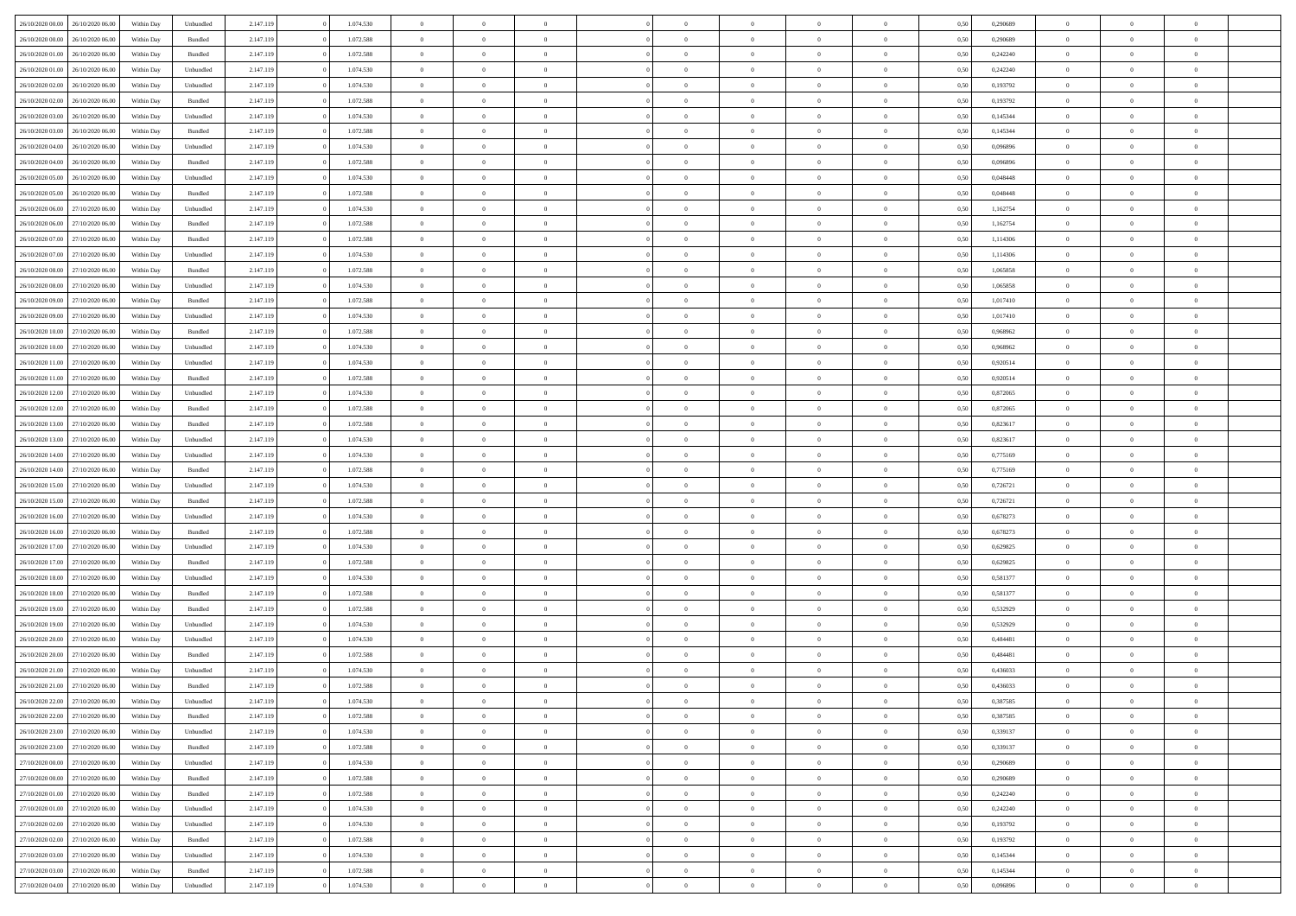| 26/10/2020 00:00                  | 26/10/2020 06.00 | Within Dav | Unbundled | 2.147.119 | 1.074.530 | $\overline{0}$ | $\Omega$       |                | $\Omega$       | $\Omega$       | $\Omega$       | $\theta$       | 0.50 | 0,290689 | $\theta$       | $\theta$       | $\theta$       |  |
|-----------------------------------|------------------|------------|-----------|-----------|-----------|----------------|----------------|----------------|----------------|----------------|----------------|----------------|------|----------|----------------|----------------|----------------|--|
|                                   |                  |            |           |           |           |                |                |                |                |                |                |                |      |          |                |                |                |  |
| 26/10/2020 00.00                  | 26/10/2020 06.00 | Within Day | Bundled   | 2.147.119 | 1.072.588 | $\overline{0}$ | $\theta$       | $\overline{0}$ | $\overline{0}$ | $\bf{0}$       | $\overline{0}$ | $\overline{0}$ | 0,50 | 0,290689 | $\theta$       | $\theta$       | $\overline{0}$ |  |
| 26/10/2020 01:00                  | 26/10/2020 06.00 | Within Day | Bundled   | 2.147.119 | 1.072.588 | $\overline{0}$ | $\overline{0}$ | $\overline{0}$ | $\bf{0}$       | $\bf{0}$       | $\bf{0}$       | $\bf{0}$       | 0,50 | 0,242240 | $\bf{0}$       | $\overline{0}$ | $\overline{0}$ |  |
| 26/10/2020 01:00                  | 26/10/2020 06:00 | Within Dav | Unbundled | 2.147.119 | 1.074.530 | $\overline{0}$ | $\overline{0}$ | $\overline{0}$ | $\overline{0}$ | $\bf{0}$       | $\overline{0}$ | $\overline{0}$ | 0.50 | 0.242240 | $\theta$       | $\theta$       | $\overline{0}$ |  |
|                                   |                  |            |           |           |           |                |                |                |                |                |                |                |      |          |                |                |                |  |
| 26/10/2020 02.00                  | 26/10/2020 06.00 | Within Day | Unbundled | 2.147.119 | 1.074.530 | $\overline{0}$ | $\theta$       | $\overline{0}$ | $\overline{0}$ | $\bf{0}$       | $\overline{0}$ | $\bf{0}$       | 0,50 | 0,193792 | $\theta$       | $\theta$       | $\overline{0}$ |  |
| 26/10/2020 02.00                  | 26/10/2020 06.00 | Within Day | Bundled   | 2.147.119 | 1.072.588 | $\overline{0}$ | $\bf{0}$       | $\overline{0}$ | $\bf{0}$       | $\overline{0}$ | $\overline{0}$ | $\mathbf{0}$   | 0,50 | 0,193792 | $\bf{0}$       | $\overline{0}$ | $\bf{0}$       |  |
| 26/10/2020 03:00                  | 26/10/2020 06:00 | Within Dav | Unbundled | 2.147.119 | 1.074.530 | $\overline{0}$ | $\overline{0}$ | $\overline{0}$ | $\overline{0}$ | $\overline{0}$ | $\overline{0}$ | $\overline{0}$ | 0.50 | 0,145344 | $\theta$       | $\overline{0}$ | $\overline{0}$ |  |
| 26/10/2020 03.00                  | 26/10/2020 06.00 | Within Day | Bundled   | 2.147.119 | 1.072.588 | $\overline{0}$ | $\theta$       | $\overline{0}$ | $\overline{0}$ | $\bf{0}$       | $\overline{0}$ | $\bf{0}$       | 0,50 | 0,145344 | $\theta$       | $\theta$       | $\overline{0}$ |  |
|                                   |                  |            |           |           |           |                | $\overline{0}$ |                |                | $\bf{0}$       |                |                |      |          | $\,0\,$        | $\overline{0}$ | $\overline{0}$ |  |
| 26/10/2020 04:00                  | 26/10/2020 06.00 | Within Day | Unbundled | 2.147.119 | 1.074.530 | $\overline{0}$ |                | $\overline{0}$ | $\bf{0}$       |                | $\bf{0}$       | $\bf{0}$       | 0,50 | 0,096896 |                |                |                |  |
| 26/10/2020 04:00                  | 26/10/2020 06:00 | Within Dav | Bundled   | 2.147.119 | 1.072.588 | $\overline{0}$ | $\overline{0}$ | $\overline{0}$ | $\overline{0}$ | $\overline{0}$ | $\overline{0}$ | $\overline{0}$ | 0.50 | 0.096896 | $\theta$       | $\overline{0}$ | $\overline{0}$ |  |
| 26/10/2020 05.00                  | 26/10/2020 06.00 | Within Day | Unbundled | 2.147.119 | 1.074.530 | $\overline{0}$ | $\theta$       | $\overline{0}$ | $\overline{0}$ | $\bf{0}$       | $\overline{0}$ | $\bf{0}$       | 0,50 | 0,048448 | $\theta$       | $\theta$       | $\overline{0}$ |  |
| 26/10/2020 05.00                  | 26/10/2020 06.00 | Within Day | Bundled   | 2.147.119 | 1.072.588 | $\overline{0}$ | $\overline{0}$ | $\overline{0}$ | $\bf{0}$       | $\bf{0}$       | $\bf{0}$       | $\bf{0}$       | 0,50 | 0,048448 | $\overline{0}$ | $\overline{0}$ | $\overline{0}$ |  |
| 26/10/2020 06:00                  | 27/10/2020 06.00 | Within Day | Unbundled | 2.147.119 | 1.074.530 | $\overline{0}$ | $\overline{0}$ | $\overline{0}$ | $\overline{0}$ | $\bf{0}$       | $\overline{0}$ | $\overline{0}$ | 0.50 | 1,162754 | $\theta$       | $\theta$       | $\overline{0}$ |  |
|                                   |                  |            |           |           |           | $\overline{0}$ | $\theta$       | $\overline{0}$ |                | $\bf{0}$       | $\overline{0}$ | $\overline{0}$ |      |          | $\theta$       | $\theta$       | $\overline{0}$ |  |
| 26/10/2020 06.00                  | 27/10/2020 06.00 | Within Day | Bundled   | 2.147.119 | 1.072.588 |                |                |                | $\overline{0}$ |                |                |                | 0,50 | 1,162754 |                |                |                |  |
| 26/10/2020 07:00                  | 27/10/2020 06.00 | Within Day | Bundled   | 2.147.119 | 1.072.588 | $\overline{0}$ | $\bf{0}$       | $\overline{0}$ | $\bf{0}$       | $\overline{0}$ | $\overline{0}$ | $\mathbf{0}$   | 0,50 | 1,114306 | $\overline{0}$ | $\overline{0}$ | $\bf{0}$       |  |
| 26/10/2020 07.00                  | 27/10/2020 06.00 | Within Dav | Unbundled | 2.147.119 | 1.074.530 | $\overline{0}$ | $\overline{0}$ | $\overline{0}$ | $\overline{0}$ | $\overline{0}$ | $\overline{0}$ | $\overline{0}$ | 0.50 | 1,114306 | $\theta$       | $\overline{0}$ | $\overline{0}$ |  |
| 26/10/2020 08:00                  | 27/10/2020 06.00 | Within Day | Bundled   | 2.147.119 | 1.072.588 | $\overline{0}$ | $\theta$       | $\overline{0}$ | $\overline{0}$ | $\bf{0}$       | $\overline{0}$ | $\bf{0}$       | 0,50 | 1,065858 | $\theta$       | $\theta$       | $\overline{0}$ |  |
| 26/10/2020 08.00                  | 27/10/2020 06.00 | Within Day | Unbundled | 2.147.119 | 1.074.530 | $\overline{0}$ | $\overline{0}$ | $\overline{0}$ | $\bf{0}$       | $\bf{0}$       | $\bf{0}$       | $\bf{0}$       | 0,50 | 1,065858 | $\,0\,$        | $\overline{0}$ | $\overline{0}$ |  |
|                                   |                  |            |           |           |           |                |                |                |                |                |                |                |      |          |                |                |                |  |
| 26/10/2020 09:00                  | 27/10/2020 06.00 | Within Day | Bundled   | 2.147.119 | 1.072.588 | $\overline{0}$ | $\overline{0}$ | $\overline{0}$ | $\overline{0}$ | $\overline{0}$ | $\overline{0}$ | $\overline{0}$ | 0.50 | 1,017410 | $\theta$       | $\overline{0}$ | $\overline{0}$ |  |
| 26/10/2020 09:00                  | 27/10/2020 06.00 | Within Day | Unbundled | 2.147.119 | 1.074.530 | $\overline{0}$ | $\theta$       | $\overline{0}$ | $\overline{0}$ | $\bf{0}$       | $\overline{0}$ | $\bf{0}$       | 0,50 | 1,017410 | $\,$ 0 $\,$    | $\theta$       | $\overline{0}$ |  |
| 26/10/2020 10:00                  | 27/10/2020 06.00 | Within Day | Bundled   | 2.147.119 | 1.072.588 | $\overline{0}$ | $\overline{0}$ | $\overline{0}$ | $\bf{0}$       | $\bf{0}$       | $\bf{0}$       | $\bf{0}$       | 0,50 | 0,968962 | $\,0\,$        | $\overline{0}$ | $\overline{0}$ |  |
| 26/10/2020 10:00                  | 27/10/2020 06.00 | Within Day | Unbundled | 2.147.119 | 1.074.530 | $\overline{0}$ | $\overline{0}$ | $\overline{0}$ | $\overline{0}$ | $\bf{0}$       | $\overline{0}$ | $\overline{0}$ | 0.50 | 0.968962 | $\theta$       | $\theta$       | $\overline{0}$ |  |
| 26/10/2020 11:00                  | 27/10/2020 06.00 | Within Day | Unbundled | 2.147.119 | 1.074.530 | $\overline{0}$ | $\theta$       | $\overline{0}$ | $\overline{0}$ | $\bf{0}$       | $\overline{0}$ | $\bf{0}$       | 0,50 | 0,920514 | $\theta$       | $\overline{0}$ | $\overline{0}$ |  |
|                                   |                  |            |           |           |           |                |                |                |                |                |                |                |      |          |                |                |                |  |
| 26/10/2020 11:00                  | 27/10/2020 06.00 | Within Day | Bundled   | 2.147.119 | 1.072.588 | $\overline{0}$ | $\bf{0}$       | $\overline{0}$ | $\bf{0}$       | $\overline{0}$ | $\overline{0}$ | $\mathbf{0}$   | 0,50 | 0,920514 | $\overline{0}$ | $\overline{0}$ | $\bf{0}$       |  |
| 26/10/2020 12:00                  | 27/10/2020 06.00 | Within Dav | Unbundled | 2.147.119 | 1.074.530 | $\overline{0}$ | $\overline{0}$ | $\overline{0}$ | $\overline{0}$ | $\overline{0}$ | $\overline{0}$ | $\overline{0}$ | 0.50 | 0,872065 | $\theta$       | $\overline{0}$ | $\overline{0}$ |  |
| 26/10/2020 12:00                  | 27/10/2020 06.00 | Within Day | Bundled   | 2.147.119 | 1.072.588 | $\overline{0}$ | $\theta$       | $\overline{0}$ | $\overline{0}$ | $\bf{0}$       | $\overline{0}$ | $\bf{0}$       | 0,50 | 0,872065 | $\theta$       | $\theta$       | $\overline{0}$ |  |
| 26/10/2020 13:00                  | 27/10/2020 06.00 | Within Day | Bundled   | 2.147.119 | 1.072.588 | $\overline{0}$ | $\overline{0}$ | $\overline{0}$ | $\bf{0}$       | $\bf{0}$       | $\bf{0}$       | $\bf{0}$       | 0,50 | 0,823617 | $\,0\,$        | $\overline{0}$ | $\overline{0}$ |  |
|                                   | 27/10/2020 06.00 |            | Unbundled |           | 1.074.530 | $\overline{0}$ | $\overline{0}$ | $\overline{0}$ | $\overline{0}$ | $\overline{0}$ | $\overline{0}$ | $\overline{0}$ | 0.50 | 0,823617 | $\theta$       | $\overline{0}$ | $\overline{0}$ |  |
| 26/10/2020 13:00                  |                  | Within Day |           | 2.147.119 |           |                |                |                |                |                |                |                |      |          |                |                |                |  |
| 26/10/2020 14:00                  | 27/10/2020 06.00 | Within Day | Unbundled | 2.147.119 | 1.074.530 | $\overline{0}$ | $\theta$       | $\overline{0}$ | $\overline{0}$ | $\bf{0}$       | $\overline{0}$ | $\bf{0}$       | 0,50 | 0,775169 | $\,$ 0 $\,$    | $\theta$       | $\overline{0}$ |  |
| 26/10/2020 14:00                  | 27/10/2020 06.00 | Within Day | Bundled   | 2.147.119 | 1.072.588 | $\overline{0}$ | $\overline{0}$ | $\overline{0}$ | $\bf{0}$       | $\bf{0}$       | $\bf{0}$       | $\bf{0}$       | 0,50 | 0,775169 | $\bf{0}$       | $\overline{0}$ | $\overline{0}$ |  |
| 26/10/2020 15:00                  | 27/10/2020 06.00 | Within Day | Unbundled | 2.147.119 | 1.074.530 | $\overline{0}$ | $\Omega$       | $\Omega$       | $\Omega$       | $\Omega$       | $\Omega$       | $\overline{0}$ | 0.50 | 0,726721 | $\,0\,$        | $\theta$       | $\theta$       |  |
| 26/10/2020 15:00                  | 27/10/2020 06.00 | Within Day | Bundled   | 2.147.119 | 1.072.588 | $\overline{0}$ | $\theta$       | $\overline{0}$ | $\overline{0}$ | $\bf{0}$       | $\overline{0}$ | $\bf{0}$       | 0,50 | 0,726721 | $\theta$       | $\theta$       | $\overline{0}$ |  |
|                                   |                  |            |           |           |           |                |                |                |                |                |                |                |      |          |                |                |                |  |
| 26/10/2020 16.00                  | 27/10/2020 06.00 | Within Day | Unbundled | 2.147.119 | 1.074.530 | $\overline{0}$ | $\overline{0}$ | $\overline{0}$ | $\bf{0}$       | $\bf{0}$       | $\overline{0}$ | $\mathbf{0}$   | 0,50 | 0,678273 | $\bf{0}$       | $\overline{0}$ | $\bf{0}$       |  |
| 26/10/2020 16:00                  | 27/10/2020 06.00 | Within Day | Bundled   | 2.147.119 | 1.072.588 | $\overline{0}$ | $\Omega$       | $\Omega$       | $\Omega$       | $\bf{0}$       | $\overline{0}$ | $\overline{0}$ | 0.50 | 0,678273 | $\,0\,$        | $\theta$       | $\theta$       |  |
| 26/10/2020 17.00                  | 27/10/2020 06.00 | Within Day | Unbundled | 2.147.119 | 1.074.530 | $\overline{0}$ | $\theta$       | $\overline{0}$ | $\overline{0}$ | $\bf{0}$       | $\overline{0}$ | $\bf{0}$       | 0,50 | 0,629825 | $\,$ 0 $\,$    | $\theta$       | $\overline{0}$ |  |
| 26/10/2020 17:00                  | 27/10/2020 06.00 | Within Day | Bundled   | 2.147.119 | 1.072.588 | $\overline{0}$ | $\overline{0}$ | $\overline{0}$ | $\bf{0}$       | $\bf{0}$       | $\bf{0}$       | $\bf{0}$       | 0,50 | 0,629825 | $\,0\,$        | $\overline{0}$ | $\overline{0}$ |  |
| 26/10/2020 18:00                  | 27/10/2020 06.00 | Within Day | Unbundled | 2.147.119 | 1.074.530 | $\overline{0}$ | $\Omega$       | $\Omega$       | $\Omega$       | $\Omega$       | $\theta$       | $\overline{0}$ | 0.50 | 0,581377 | $\,0\,$        | $\theta$       | $\theta$       |  |
|                                   |                  |            |           |           |           |                |                |                |                |                |                |                |      |          |                |                |                |  |
| 26/10/2020 18:00                  | 27/10/2020 06.00 | Within Day | Bundled   | 2.147.119 | 1.072.588 | $\overline{0}$ | $\theta$       | $\overline{0}$ | $\overline{0}$ | $\bf{0}$       | $\overline{0}$ | $\bf{0}$       | 0,50 | 0,581377 | $\,$ 0 $\,$    | $\overline{0}$ | $\overline{0}$ |  |
| 26/10/2020 19:00                  | 27/10/2020 06.00 | Within Day | Bundled   | 2.147.119 | 1.072.588 | $\overline{0}$ | $\overline{0}$ | $\overline{0}$ | $\bf{0}$       | $\bf{0}$       | $\bf{0}$       | $\bf{0}$       | 0,50 | 0,532929 | $\bf{0}$       | $\overline{0}$ | $\overline{0}$ |  |
| 26/10/2020 19:00                  | 27/10/2020 06.00 | Within Day | Unbundled | 2.147.119 | 1.074.530 | $\overline{0}$ | $\Omega$       | $\Omega$       | $\Omega$       | $\Omega$       | $\overline{0}$ | $\overline{0}$ | 0.50 | 0,532929 | $\,0\,$        | $\theta$       | $\theta$       |  |
| 26/10/2020 20.00                  | 27/10/2020 06.00 | Within Day | Unbundled | 2.147.119 | 1.074.530 | $\overline{0}$ | $\theta$       | $\overline{0}$ | $\overline{0}$ | $\bf{0}$       | $\overline{0}$ | $\bf{0}$       | 0,50 | 0,484481 | $\,$ 0 $\,$    | $\overline{0}$ | $\overline{0}$ |  |
| 26/10/2020 20.00                  | 27/10/2020 06.00 | Within Day | Bundled   | 2.147.119 | 1.072.588 | $\overline{0}$ | $\overline{0}$ | $\overline{0}$ | $\bf{0}$       | $\bf{0}$       | $\bf{0}$       | $\mathbf{0}$   | 0,50 | 0,484481 | $\bf{0}$       | $\overline{0}$ | $\bf{0}$       |  |
|                                   |                  |            |           |           |           |                |                |                |                |                |                |                |      |          |                |                |                |  |
| 26/10/2020 21:00                  | 27/10/2020 06.00 | Within Day | Unbundled | 2.147.119 | 1.074.530 | $\overline{0}$ | $\Omega$       | $\Omega$       | $\Omega$       | $\Omega$       | $\Omega$       | $\overline{0}$ | 0.50 | 0.436033 | $\theta$       | $\theta$       | $\theta$       |  |
| 26/10/2020 21:00                  | 27/10/2020 06.00 | Within Day | Bundled   | 2.147.119 | 1.072.588 | $\overline{0}$ | $\,$ 0 $\,$    | $\overline{0}$ | $\bf{0}$       | $\,$ 0         | $\bf{0}$       | $\bf{0}$       | 0,50 | 0,436033 | $\,0\,$        | $\overline{0}$ | $\overline{0}$ |  |
| 26/10/2020 22:00                  | 27/10/2020 06.00 | Within Day | Unbundled | 2.147.119 | 1.074.530 | $\bf{0}$       | $\bf{0}$       |                |                |                |                |                | 0,50 | 0,387585 | $\bf{0}$       | $\overline{0}$ |                |  |
| 26/10/2020 22.00                  | 27/10/2020 06:00 | Within Day | Bundled   | 2.147.119 | 1.072.588 | $\overline{0}$ | $\overline{0}$ | $\overline{0}$ | $\Omega$       | $\theta$       | $\overline{0}$ | $\overline{0}$ | 0,50 | 0,387585 | $\theta$       | $\theta$       | $\theta$       |  |
| 26/10/2020 23.00                  | 27/10/2020 06.00 | Within Day | Unbundled | 2.147.119 | 1.074.530 | $\overline{0}$ | $\,$ 0         | $\overline{0}$ | $\bf{0}$       | $\,$ 0 $\,$    | $\overline{0}$ | $\mathbf{0}$   | 0,50 | 0,339137 | $\,$ 0 $\,$    | $\,$ 0 $\,$    | $\,$ 0         |  |
|                                   |                  |            |           |           |           |                |                |                |                |                |                |                |      |          |                |                |                |  |
| 26/10/2020 23.00                  | 27/10/2020 06.00 | Within Day | Bundled   | 2.147.119 | 1.072.588 | $\overline{0}$ | $\overline{0}$ | $\overline{0}$ | $\overline{0}$ | $\overline{0}$ | $\overline{0}$ | $\mathbf{0}$   | 0,50 | 0,339137 | $\overline{0}$ | $\bf{0}$       | $\bf{0}$       |  |
| $27/10/2020\;00.00$               | 27/10/2020 06.00 | Within Day | Unbundled | 2.147.119 | 1.074.530 | $\overline{0}$ | $\overline{0}$ | $\overline{0}$ | $\Omega$       | $\overline{0}$ | $\overline{0}$ | $\bf{0}$       | 0,50 | 0,290689 | $\overline{0}$ | $\theta$       | $\overline{0}$ |  |
| 27/10/2020 00.00                  | 27/10/2020 06.00 | Within Day | Bundled   | 2.147.119 | 1.072.588 | $\overline{0}$ | $\,$ 0         | $\overline{0}$ | $\overline{0}$ | $\overline{0}$ | $\overline{0}$ | $\bf{0}$       | 0,50 | 0,290689 | $\,$ 0 $\,$    | $\overline{0}$ | $\overline{0}$ |  |
| 27/10/2020 01.00                  | 27/10/2020 06.00 | Within Day | Bundled   | 2.147.119 | 1.072.588 | $\overline{0}$ | $\overline{0}$ | $\overline{0}$ | $\overline{0}$ | $\overline{0}$ | $\overline{0}$ | $\mathbf{0}$   | 0,50 | 0,242240 | $\overline{0}$ | $\overline{0}$ | $\bf{0}$       |  |
| $27/10/2020\ 01.00$               | 27/10/2020 06.00 | Within Day | Unbundled | 2.147.119 | 1.074.530 | $\overline{0}$ | $\overline{0}$ | $\overline{0}$ | $\Omega$       | $\overline{0}$ | $\overline{0}$ | $\bf{0}$       | 0.50 | 0,242240 | $\overline{0}$ | $\theta$       | $\overline{0}$ |  |
|                                   |                  |            |           |           |           |                |                |                |                |                |                |                |      |          |                |                |                |  |
| 27/10/2020 02.00                  | 27/10/2020 06.00 | Within Day | Unbundled | 2.147.119 | 1.074.530 | $\overline{0}$ | $\,$ 0         | $\overline{0}$ | $\bf{0}$       | $\bf{0}$       | $\bf{0}$       | $\bf{0}$       | 0,50 | 0,193792 | $\,$ 0 $\,$    | $\overline{0}$ | $\overline{0}$ |  |
| 27/10/2020 02.00                  | 27/10/2020 06.00 | Within Day | Bundled   | 2.147.119 | 1.072.588 | $\overline{0}$ | $\bf{0}$       | $\overline{0}$ | $\overline{0}$ | $\overline{0}$ | $\bf{0}$       | $\mathbf{0}$   | 0,50 | 0,193792 | $\overline{0}$ | $\overline{0}$ | $\bf{0}$       |  |
| 27/10/2020 03:00                  | 27/10/2020 06:00 | Within Day | Unbundled | 2.147.119 | 1.074.530 | $\overline{0}$ | $\overline{0}$ | $\overline{0}$ | $\Omega$       | $\overline{0}$ | $\overline{0}$ | $\bf{0}$       | 0.50 | 0,145344 | $\overline{0}$ | $\overline{0}$ | $\overline{0}$ |  |
| 27/10/2020 03.00                  | 27/10/2020 06.00 | Within Day | Bundled   | 2.147.119 | 1.072.588 | $\overline{0}$ | $\bf{0}$       | $\overline{0}$ | $\overline{0}$ | $\bf{0}$       | $\bf{0}$       | $\mathbf{0}$   | 0,50 | 0,145344 | $\,$ 0 $\,$    | $\,$ 0 $\,$    | $\bf{0}$       |  |
| 27/10/2020 04.00 27/10/2020 06.00 |                  | Within Day | Unbundled |           | 1.074.530 | $\overline{0}$ | $\overline{0}$ | $\overline{0}$ | $\overline{0}$ | $\bf{0}$       | $\bf{0}$       | $\mathbf{0}$   | 0,50 | 0,096896 | $\overline{0}$ | $\bf{0}$       | $\bf{0}$       |  |
|                                   |                  |            |           | 2.147.119 |           |                |                |                |                |                |                |                |      |          |                |                |                |  |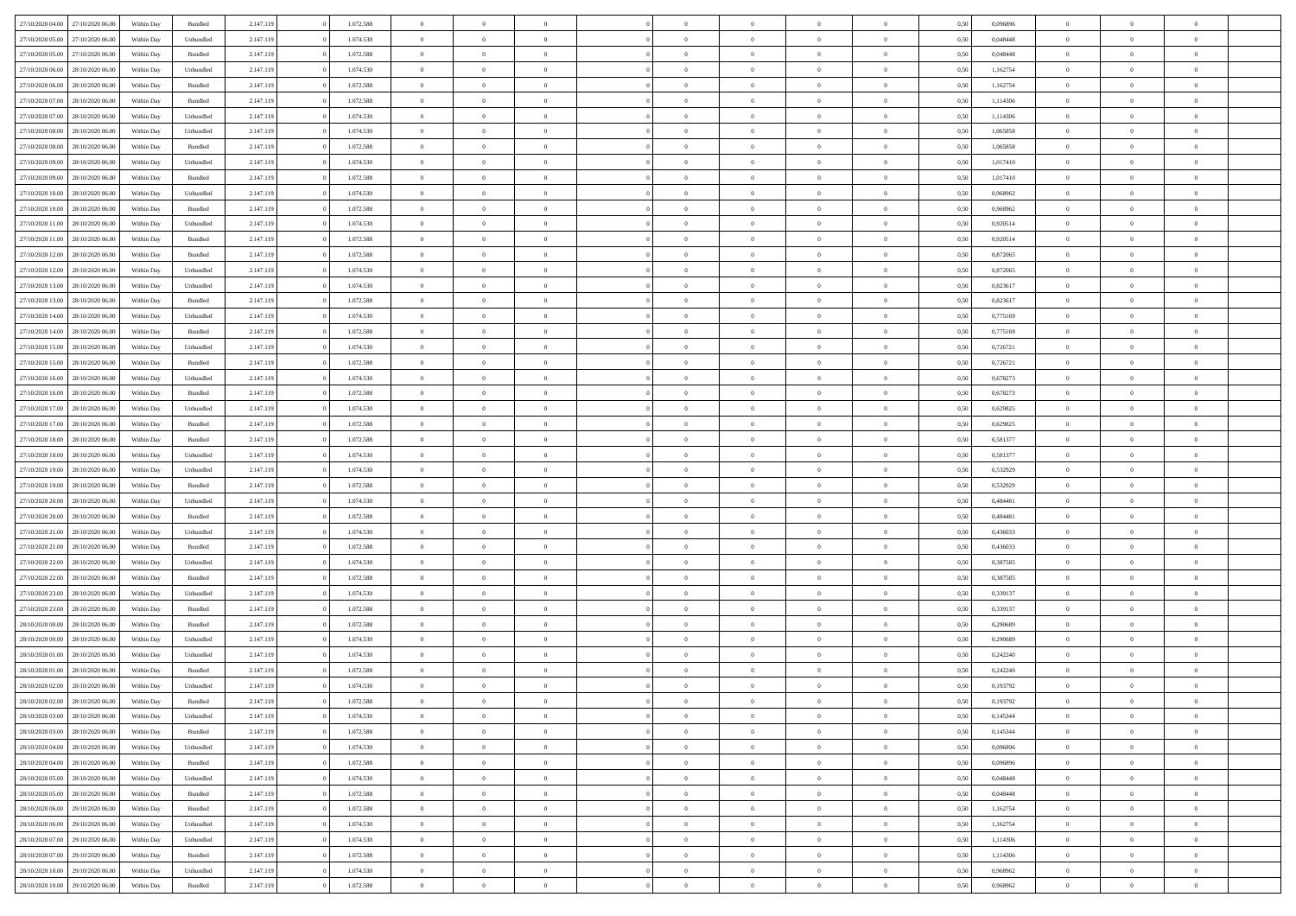| 27/10/2020 04:00 | 27/10/2020 06.00 | Within Dav | Bundled            | 2.147.119 | 1.072.588 | $\overline{0}$ | $\theta$       |                | $\Omega$       | $\Omega$       | $\theta$       | $\theta$       | 0,50 | 0,096896 | $\theta$       | $\overline{0}$ | $\overline{0}$ |  |
|------------------|------------------|------------|--------------------|-----------|-----------|----------------|----------------|----------------|----------------|----------------|----------------|----------------|------|----------|----------------|----------------|----------------|--|
|                  |                  |            |                    |           |           |                |                |                |                |                |                |                |      |          |                |                |                |  |
| 27/10/2020 05:00 | 27/10/2020 06.00 | Within Day | Unbundled          | 2.147.119 | 1.074.530 | $\overline{0}$ | $\theta$       | $\overline{0}$ | $\overline{0}$ | $\bf{0}$       | $\overline{0}$ | $\bf{0}$       | 0,50 | 0,048448 | $\theta$       | $\overline{0}$ | $\overline{0}$ |  |
| 27/10/2020 05:00 | 27/10/2020 06.00 | Within Day | Bundled            | 2.147.119 | 1.072.588 | $\overline{0}$ | $\bf{0}$       | $\overline{0}$ | $\bf{0}$       | $\bf{0}$       | $\bf{0}$       | $\bf{0}$       | 0,50 | 0,048448 | $\bf{0}$       | $\overline{0}$ | $\overline{0}$ |  |
| 27/10/2020 06:00 | 28/10/2020 06:00 | Within Dav | Unbundled          | 2.147.119 | 1.074.530 | $\overline{0}$ | $\overline{0}$ | $\overline{0}$ | $\overline{0}$ | $\bf{0}$       | $\overline{0}$ | $\overline{0}$ | 0.50 | 1,162754 | $\theta$       | $\theta$       | $\overline{0}$ |  |
|                  |                  |            |                    |           |           |                |                |                |                |                |                |                |      |          |                |                |                |  |
| 27/10/2020 06.00 | 28/10/2020 06.00 | Within Day | Bundled            | 2.147.119 | 1.072.588 | $\overline{0}$ | $\theta$       | $\overline{0}$ | $\overline{0}$ | $\bf{0}$       | $\overline{0}$ | $\bf{0}$       | 0,50 | 1,162754 | $\,$ 0 $\,$    | $\overline{0}$ | $\overline{0}$ |  |
| 27/10/2020 07:00 | 28/10/2020 06.00 | Within Day | Bundled            | 2.147.119 | 1.072.588 | $\overline{0}$ | $\overline{0}$ | $\overline{0}$ | $\bf{0}$       | $\overline{0}$ | $\overline{0}$ | $\mathbf{0}$   | 0,50 | 1,114306 | $\overline{0}$ | $\overline{0}$ | $\bf{0}$       |  |
| 27/10/2020 07:00 | 28/10/2020 06:00 | Within Dav | Unbundled          | 2.147.119 | 1.074.530 | $\overline{0}$ | $\overline{0}$ | $\overline{0}$ | $\overline{0}$ | $\overline{0}$ | $\overline{0}$ | $\overline{0}$ | 0.50 | 1,114306 | $\theta$       | $\overline{0}$ | $\overline{0}$ |  |
| 27/10/2020 08:00 | 28/10/2020 06.00 | Within Day | Unbundled          | 2.147.119 | 1.074.530 | $\overline{0}$ | $\theta$       | $\overline{0}$ | $\overline{0}$ | $\bf{0}$       | $\overline{0}$ | $\bf{0}$       | 0,50 | 1,065858 | $\theta$       | $\theta$       | $\overline{0}$ |  |
|                  |                  |            |                    |           |           |                |                |                |                |                |                |                |      |          |                |                |                |  |
| 27/10/2020 08:00 | 28/10/2020 06.00 | Within Day | Bundled            | 2.147.119 | 1.072.588 | $\overline{0}$ | $\overline{0}$ | $\overline{0}$ | $\bf{0}$       | $\bf{0}$       | $\bf{0}$       | $\bf{0}$       | 0,50 | 1,065858 | $\,0\,$        | $\overline{0}$ | $\overline{0}$ |  |
| 27/10/2020 09:00 | 28/10/2020 06:00 | Within Dav | Unbundled          | 2.147.119 | 1.074.530 | $\overline{0}$ | $\overline{0}$ | $\overline{0}$ | $\overline{0}$ | $\overline{0}$ | $\overline{0}$ | $\overline{0}$ | 0.50 | 1,017410 | $\theta$       | $\overline{0}$ | $\overline{0}$ |  |
| 27/10/2020 09:00 | 28/10/2020 06.00 | Within Day | Bundled            | 2.147.119 | 1.072.588 | $\overline{0}$ | $\theta$       | $\overline{0}$ | $\overline{0}$ | $\bf{0}$       | $\overline{0}$ | $\bf{0}$       | 0,50 | 1,017410 | $\,$ 0 $\,$    | $\overline{0}$ | $\overline{0}$ |  |
| 27/10/2020 10:00 | 28/10/2020 06.00 | Within Day | Unbundled          | 2.147.119 | 1.074.530 | $\overline{0}$ | $\overline{0}$ | $\overline{0}$ | $\bf{0}$       | $\bf{0}$       | $\bf{0}$       | $\bf{0}$       | 0,50 | 0,968962 | $\bf{0}$       | $\overline{0}$ | $\bf{0}$       |  |
| 27/10/2020 10:00 | 28/10/2020 06:00 | Within Day | Bundled            | 2.147.119 | 1.072.588 | $\overline{0}$ | $\overline{0}$ | $\overline{0}$ | $\overline{0}$ | $\bf{0}$       | $\overline{0}$ | $\overline{0}$ | 0.50 | 0.968962 | $\theta$       | $\theta$       | $\overline{0}$ |  |
|                  |                  |            |                    |           |           | $\overline{0}$ | $\theta$       | $\overline{0}$ | $\overline{0}$ | $\bf{0}$       | $\overline{0}$ |                |      |          | $\theta$       | $\overline{0}$ | $\overline{0}$ |  |
| 27/10/2020 11:00 | 28/10/2020 06.00 | Within Day | Unbundled          | 2.147.119 | 1.074.530 |                |                |                |                |                |                | $\bf{0}$       | 0,50 | 0,920514 |                |                |                |  |
| 27/10/2020 11.00 | 28/10/2020 06.00 | Within Day | Bundled            | 2.147.119 | 1.072.588 | $\overline{0}$ | $\overline{0}$ | $\overline{0}$ | $\bf{0}$       | $\overline{0}$ | $\overline{0}$ | $\mathbf{0}$   | 0,50 | 0,920514 | $\bf{0}$       | $\overline{0}$ | $\bf{0}$       |  |
| 27/10/2020 12:00 | 28/10/2020 06:00 | Within Dav | Bundled            | 2.147.119 | 1.072.588 | $\overline{0}$ | $\overline{0}$ | $\overline{0}$ | $\overline{0}$ | $\overline{0}$ | $\overline{0}$ | $\overline{0}$ | 0.50 | 0,872065 | $\theta$       | $\overline{0}$ | $\overline{0}$ |  |
| 27/10/2020 12:00 | 28/10/2020 06.00 | Within Day | Unbundled          | 2.147.119 | 1.074.530 | $\overline{0}$ | $\theta$       | $\overline{0}$ | $\overline{0}$ | $\bf{0}$       | $\overline{0}$ | $\bf{0}$       | 0,50 | 0,872065 | $\,$ 0 $\,$    | $\theta$       | $\overline{0}$ |  |
| 27/10/2020 13.00 | 28/10/2020 06.00 | Within Day | Unbundled          | 2.147.119 | 1.074.530 | $\overline{0}$ | $\overline{0}$ | $\overline{0}$ | $\bf{0}$       | $\bf{0}$       | $\bf{0}$       | $\bf{0}$       | 0,50 | 0,823617 | $\bf{0}$       | $\overline{0}$ | $\overline{0}$ |  |
|                  |                  |            |                    |           |           |                |                |                |                |                |                |                |      |          |                |                |                |  |
| 27/10/2020 13:00 | 28/10/2020 06:00 | Within Day | Bundled            | 2.147.119 | 1.072.588 | $\overline{0}$ | $\overline{0}$ | $\overline{0}$ | $\overline{0}$ | $\overline{0}$ | $\overline{0}$ | $\overline{0}$ | 0.50 | 0,823617 | $\theta$       | $\overline{0}$ | $\overline{0}$ |  |
| 27/10/2020 14:00 | 28/10/2020 06.00 | Within Day | Unbundled          | 2.147.119 | 1.074.530 | $\overline{0}$ | $\theta$       | $\overline{0}$ | $\overline{0}$ | $\bf{0}$       | $\overline{0}$ | $\bf{0}$       | 0,50 | 0,775169 | $\,$ 0 $\,$    | $\overline{0}$ | $\overline{0}$ |  |
| 27/10/2020 14.00 | 28/10/2020 06.00 | Within Day | Bundled            | 2.147.119 | 1.072.588 | $\overline{0}$ | $\overline{0}$ | $\overline{0}$ | $\bf{0}$       | $\bf{0}$       | $\bf{0}$       | $\bf{0}$       | 0,50 | 0,775169 | $\bf{0}$       | $\overline{0}$ | $\bf{0}$       |  |
| 27/10/2020 15:00 | 28/10/2020 06:00 | Within Day | Unbundled          | 2.147.119 | 1.074.530 | $\overline{0}$ | $\overline{0}$ | $\overline{0}$ | $\overline{0}$ | $\bf{0}$       | $\overline{0}$ | $\overline{0}$ | 0.50 | 0,726721 | $\theta$       | $\overline{0}$ | $\overline{0}$ |  |
| 27/10/2020 15:00 | 28/10/2020 06.00 | Within Day | Bundled            | 2.147.119 | 1.072.588 | $\overline{0}$ | $\theta$       | $\overline{0}$ | $\overline{0}$ | $\bf{0}$       | $\overline{0}$ | $\bf{0}$       | 0,50 | 0,726721 | $\,$ 0 $\,$    | $\overline{0}$ | $\overline{0}$ |  |
|                  |                  |            |                    |           |           |                |                |                |                |                |                |                |      |          |                |                |                |  |
| 27/10/2020 16.00 | 28/10/2020 06.00 | Within Day | Unbundled          | 2.147.119 | 1.074.530 | $\overline{0}$ | $\overline{0}$ | $\overline{0}$ | $\bf{0}$       | $\overline{0}$ | $\overline{0}$ | $\mathbf{0}$   | 0,50 | 0,678273 | $\overline{0}$ | $\overline{0}$ | $\bf{0}$       |  |
| 27/10/2020 16:00 | 28/10/2020 06:00 | Within Dav | Bundled            | 2.147.119 | 1.072.588 | $\overline{0}$ | $\overline{0}$ | $\overline{0}$ | $\overline{0}$ | $\overline{0}$ | $\overline{0}$ | $\overline{0}$ | 0.50 | 0,678273 | $\theta$       | $\overline{0}$ | $\overline{0}$ |  |
| 27/10/2020 17.00 | 28/10/2020 06.00 | Within Day | Unbundled          | 2.147.119 | 1.074.530 | $\overline{0}$ | $\theta$       | $\overline{0}$ | $\overline{0}$ | $\bf{0}$       | $\overline{0}$ | $\bf{0}$       | 0,50 | 0,629825 | $\theta$       | $\theta$       | $\overline{0}$ |  |
| 27/10/2020 17.00 | 28/10/2020 06.00 | Within Day | Bundled            | 2.147.119 | 1.072.588 | $\overline{0}$ | $\overline{0}$ | $\overline{0}$ | $\bf{0}$       | $\bf{0}$       | $\bf{0}$       | $\bf{0}$       | 0,50 | 0,629825 | $\,0\,$        | $\overline{0}$ | $\overline{0}$ |  |
| 27/10/2020 18:00 | 28/10/2020 06:00 | Within Day | Bundled            | 2.147.119 | 1.072.588 | $\overline{0}$ | $\overline{0}$ | $\overline{0}$ | $\overline{0}$ | $\overline{0}$ | $\overline{0}$ | $\overline{0}$ | 0.50 | 0,581377 | $\theta$       | $\overline{0}$ | $\overline{0}$ |  |
|                  |                  |            |                    |           |           | $\overline{0}$ |                |                |                |                |                |                |      |          |                |                |                |  |
| 27/10/2020 18.00 | 28/10/2020 06.00 | Within Day | Unbundled          | 2.147.119 | 1.074.530 |                | $\theta$       | $\overline{0}$ | $\overline{0}$ | $\bf{0}$       | $\overline{0}$ | $\bf{0}$       | 0,50 | 0,581377 | $\,$ 0 $\,$    | $\overline{0}$ | $\overline{0}$ |  |
| 27/10/2020 19:00 | 28/10/2020 06.00 | Within Day | Unbundled          | 2.147.119 | 1.074.530 | $\overline{0}$ | $\overline{0}$ | $\overline{0}$ | $\bf{0}$       | $\bf{0}$       | $\bf{0}$       | $\bf{0}$       | 0,50 | 0,532929 | $\overline{0}$ | $\overline{0}$ | $\bf{0}$       |  |
| 27/10/2020 19:00 | 28/10/2020 06.00 | Within Day | Bundled            | 2.147.119 | 1.072.588 | $\overline{0}$ | $\Omega$       | $\Omega$       | $\Omega$       | $\Omega$       | $\overline{0}$ | $\overline{0}$ | 0,50 | 0,532929 | $\,0\,$        | $\theta$       | $\theta$       |  |
| 27/10/2020 20.00 | 28/10/2020 06.00 | Within Day | Unbundled          | 2.147.119 | 1.074.530 | $\overline{0}$ | $\theta$       | $\overline{0}$ | $\overline{0}$ | $\bf{0}$       | $\overline{0}$ | $\bf{0}$       | 0,50 | 0,484481 | $\theta$       | $\overline{0}$ | $\overline{0}$ |  |
| 27/10/2020 20.00 | 28/10/2020 06.00 | Within Day | Bundled            | 2.147.119 | 1.072.588 | $\overline{0}$ | $\overline{0}$ | $\overline{0}$ | $\bf{0}$       | $\overline{0}$ | $\overline{0}$ | $\mathbf{0}$   | 0,50 | 0,484481 | $\overline{0}$ | $\overline{0}$ | $\bf{0}$       |  |
|                  |                  |            |                    |           |           |                | $\Omega$       |                |                |                |                |                |      |          |                |                | $\theta$       |  |
| 27/10/2020 21:00 | 28/10/2020 06:00 | Within Day | Unbundled          | 2.147.119 | 1.074.530 | $\overline{0}$ |                | $\Omega$       | $\Omega$       | $\bf{0}$       | $\overline{0}$ | $\overline{0}$ | 0.50 | 0,436033 | $\,0\,$        | $\theta$       |                |  |
| 27/10/2020 21.00 | 28/10/2020 06.00 | Within Day | Bundled            | 2.147.119 | 1.072.588 | $\overline{0}$ | $\theta$       | $\overline{0}$ | $\overline{0}$ | $\bf{0}$       | $\overline{0}$ | $\bf{0}$       | 0,50 | 0,436033 | $\,$ 0 $\,$    | $\overline{0}$ | $\overline{0}$ |  |
| 27/10/2020 22.00 | 28/10/2020 06.00 | Within Day | Unbundled          | 2.147.119 | 1.074.530 | $\overline{0}$ | $\overline{0}$ | $\overline{0}$ | $\bf{0}$       | $\bf{0}$       | $\bf{0}$       | $\bf{0}$       | 0,50 | 0,387585 | $\bf{0}$       | $\overline{0}$ | $\overline{0}$ |  |
| 27/10/2020 22.00 | 28/10/2020 06:00 | Within Day | Bundled            | 2.147.119 | 1.072.588 | $\overline{0}$ | $\Omega$       | $\Omega$       | $\Omega$       | $\theta$       | $\overline{0}$ | $\overline{0}$ | 0.50 | 0,387585 | $\,$ 0 $\,$    | $\theta$       | $\theta$       |  |
| 27/10/2020 23.00 | 28/10/2020 06.00 | Within Day | Unbundled          | 2.147.119 | 1.074.530 | $\overline{0}$ | $\theta$       | $\overline{0}$ | $\overline{0}$ | $\bf{0}$       | $\overline{0}$ | $\bf{0}$       | 0,50 | 0,339137 | $\,$ 0 $\,$    | $\overline{0}$ | $\overline{0}$ |  |
| 27/10/2020 23.00 | 28/10/2020 06.00 | Within Day | Bundled            | 2.147.119 | 1.072.588 | $\overline{0}$ | $\bf{0}$       | $\overline{0}$ | $\bf{0}$       | $\bf{0}$       | $\bf{0}$       | $\bf{0}$       | 0,50 | 0,339137 | $\overline{0}$ | $\overline{0}$ | $\bf{0}$       |  |
|                  |                  |            |                    |           |           |                |                |                |                |                |                |                |      |          |                |                |                |  |
| 28/10/2020 00:00 | 28/10/2020 06.00 | Within Day | Bundled            | 2.147.119 | 1.072.588 | $\overline{0}$ | $\Omega$       | $\overline{0}$ | $\Omega$       | $\overline{0}$ | $\overline{0}$ | $\overline{0}$ | 0.50 | 0,290689 | $\,0\,$        | $\theta$       | $\theta$       |  |
| 28/10/2020 00:00 | 28/10/2020 06.00 | Within Day | Unbundled          | 2.147.119 | 1.074.530 | $\overline{0}$ | $\theta$       | $\overline{0}$ | $\overline{0}$ | $\bf{0}$       | $\overline{0}$ | $\bf{0}$       | 0,50 | 0,290689 | $\,$ 0 $\,$    | $\overline{0}$ | $\overline{0}$ |  |
| 28/10/2020 01.00 | 28/10/2020 06.00 | Within Day | Unbundled          | 2.147.119 | 1.074.530 | $\overline{0}$ | $\overline{0}$ | $\overline{0}$ | $\bf{0}$       | $\bf{0}$       | $\bf{0}$       | $\mathbf{0}$   | 0,50 | 0,242240 | $\bf{0}$       | $\overline{0}$ | $\bf{0}$       |  |
| 28/10/2020 01:00 | 28/10/2020 06:00 | Within Day | Bundled            | 2.147.119 | 1.072.588 | $\overline{0}$ | $\Omega$       | $\Omega$       | $\Omega$       | $\Omega$       | $\Omega$       | $\overline{0}$ | 0.50 | 0,242240 | $\theta$       | $\theta$       | $\theta$       |  |
| 28/10/2020 02.00 | 28/10/2020 06.00 | Within Day | Unbundled          | 2.147.119 | 1.074.530 | $\overline{0}$ | $\overline{0}$ | $\overline{0}$ | $\bf{0}$       | $\,$ 0         | $\bf{0}$       | $\bf{0}$       | 0,50 | 0,193792 | $\,0\,$        | $\,0\,$        | $\overline{0}$ |  |
|                  |                  |            |                    |           |           |                |                |                |                |                |                |                |      |          |                |                |                |  |
| 28/10/2020 02:00 | 28/10/2020 06.00 | Within Day | $\mathbf B$ undled | 2.147.119 | 1.072.588 | $\bf{0}$       | $\bf{0}$       |                |                | $\bf{0}$       |                |                | 0,50 | 0,193792 | $\bf{0}$       | $\overline{0}$ |                |  |
| 28/10/2020 03:00 | 28/10/2020 06:00 | Within Day | Unbundled          | 2.147.119 | 1.074.530 | $\overline{0}$ | $\Omega$       | $\overline{0}$ | $\Omega$       | $\theta$       | $\overline{0}$ | $\overline{0}$ | 0,50 | 0,145344 | $\theta$       | $\theta$       | $\theta$       |  |
| 28/10/2020 03:00 | 28/10/2020 06.00 | Within Day | Bundled            | 2.147.119 | 1.072.588 | $\overline{0}$ | $\,$ 0         | $\overline{0}$ | $\bf{0}$       | $\,$ 0 $\,$    | $\overline{0}$ | $\mathbf{0}$   | 0,50 | 0,145344 | $\,$ 0 $\,$    | $\,$ 0 $\,$    | $\,$ 0         |  |
| 28/10/2020 04:00 | 28/10/2020 06.00 | Within Day | Unbundled          | 2.147.119 | 1.074.530 | $\overline{0}$ | $\overline{0}$ | $\overline{0}$ | $\overline{0}$ | $\overline{0}$ | $\overline{0}$ | $\mathbf{0}$   | 0,50 | 0,096896 | $\overline{0}$ | $\bf{0}$       | $\bf{0}$       |  |
| 28/10/2020 04:00 | 28/10/2020 06.00 | Within Day | $\mathbf B$ undled | 2.147.119 | 1.072.588 | $\overline{0}$ | $\overline{0}$ | $\overline{0}$ | $\Omega$       | $\overline{0}$ | $\overline{0}$ | $\bf{0}$       | 0,50 | 0.096896 | $\bf{0}$       | $\theta$       | $\overline{0}$ |  |
|                  |                  |            |                    |           |           |                |                |                |                |                |                |                |      |          |                |                |                |  |
| 28/10/2020 05:00 | 28/10/2020 06.00 | Within Day | Unbundled          | 2.147.119 | 1.074.530 | $\overline{0}$ | $\,$ 0         | $\overline{0}$ | $\overline{0}$ | $\overline{0}$ | $\overline{0}$ | $\bf{0}$       | 0,50 | 0,048448 | $\,$ 0 $\,$    | $\overline{0}$ | $\overline{0}$ |  |
| 28/10/2020 05:00 | 28/10/2020 06.00 | Within Day | Bundled            | 2.147.119 | 1.072.588 | $\overline{0}$ | $\overline{0}$ | $\overline{0}$ | $\overline{0}$ | $\overline{0}$ | $\overline{0}$ | $\mathbf{0}$   | 0,50 | 0,048448 | $\overline{0}$ | $\overline{0}$ | $\bf{0}$       |  |
| 28/10/2020 06.00 | 29/10/2020 06:00 | Within Day | Bundled            | 2.147.119 | 1.072.588 | $\overline{0}$ | $\overline{0}$ | $\overline{0}$ | $\Omega$       | $\overline{0}$ | $\overline{0}$ | $\bf{0}$       | 0.50 | 1,162754 | $\overline{0}$ | $\theta$       | $\overline{0}$ |  |
| 28/10/2020 06.00 | 29/10/2020 06.00 | Within Day | Unbundled          | 2.147.119 | 1.074.530 | $\overline{0}$ | $\,$ 0         | $\overline{0}$ | $\bf{0}$       | $\bf{0}$       | $\bf{0}$       | $\bf{0}$       | 0,50 | 1,162754 | $\,$ 0 $\,$    | $\overline{0}$ | $\overline{0}$ |  |
| 28/10/2020 07.00 | 29/10/2020 06.00 | Within Day | Unbundled          | 2.147.119 | 1.074.530 | $\overline{0}$ | $\bf{0}$       | $\overline{0}$ | $\overline{0}$ | $\overline{0}$ | $\bf{0}$       | $\mathbf{0}$   | 0,50 | 1,114306 | $\overline{0}$ | $\overline{0}$ | $\bf{0}$       |  |
|                  |                  |            |                    |           |           |                |                |                |                |                |                |                |      |          |                |                |                |  |
| 28/10/2020 07:00 | 29/10/2020 06:00 | Within Day | Bundled            | 2.147.119 | 1.072.588 | $\overline{0}$ | $\overline{0}$ | $\overline{0}$ | $\Omega$       | $\overline{0}$ | $\overline{0}$ | $\bf{0}$       | 0.50 | 1,114306 | $\overline{0}$ | $\theta$       | $\overline{0}$ |  |
| 28/10/2020 10:00 | 29/10/2020 06.00 | Within Day | Unbundled          | 2.147.119 | 1.074.530 | $\overline{0}$ | $\bf{0}$       | $\overline{0}$ | $\overline{0}$ | $\bf{0}$       | $\bf{0}$       | $\mathbf{0}$   | 0,50 | 0,968962 | $\,$ 0 $\,$    | $\,$ 0 $\,$    | $\bf{0}$       |  |
| 28/10/2020 10:00 | 29/10/2020 06:00 | Within Day | Bundled            | 2.147.119 | 1.072.588 | $\overline{0}$ | $\overline{0}$ | $\overline{0}$ | $\overline{0}$ | $\bf{0}$       | $\bf{0}$       | $\mathbf{0}$   | 0,50 | 0,968962 | $\overline{0}$ | $\bf{0}$       | $\bf{0}$       |  |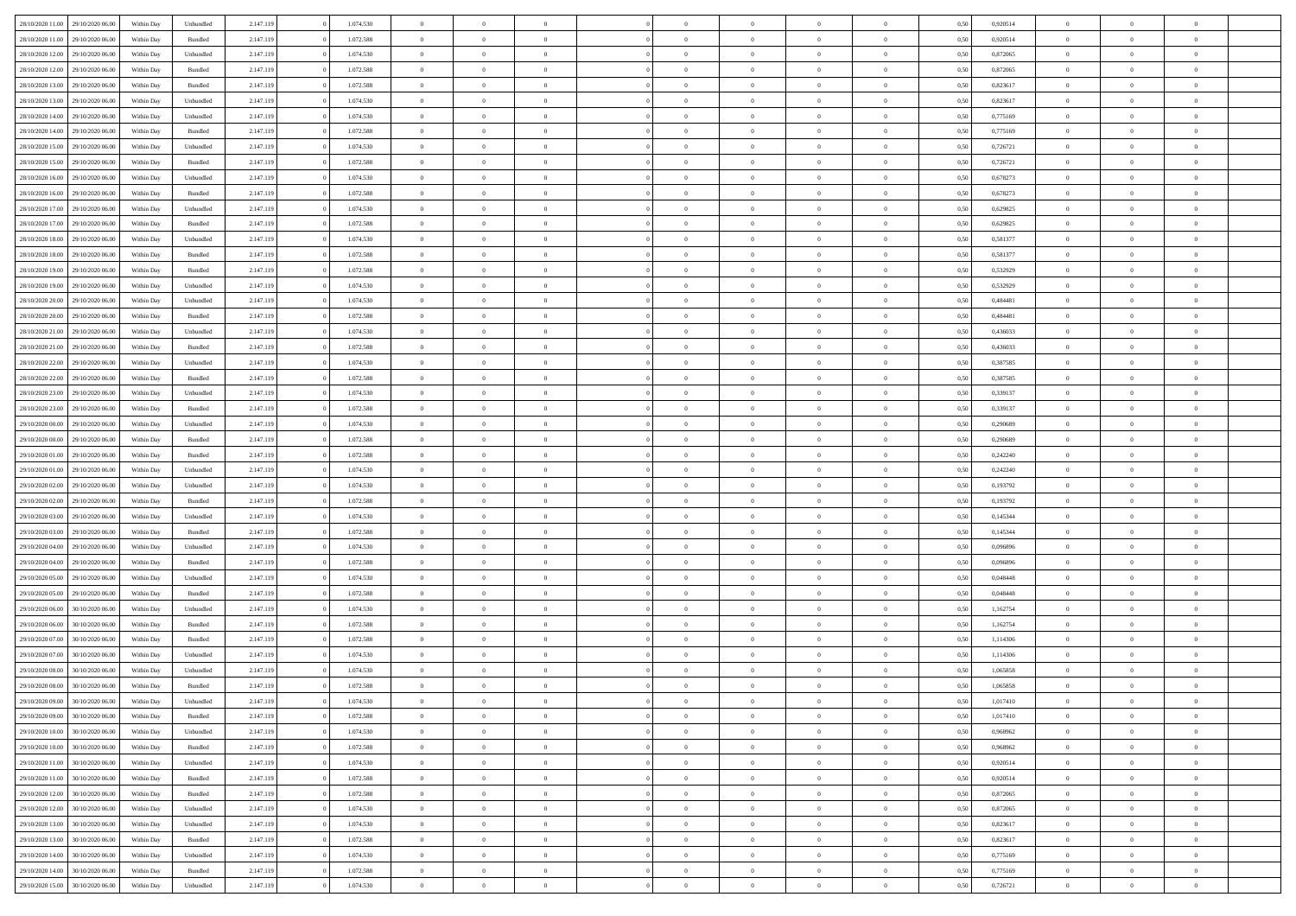|                  |                  |            |           |           |           |                |                |                |                | $\Omega$       | $\theta$       | $\theta$       |      |          | $\theta$       | $\overline{0}$ |                |  |
|------------------|------------------|------------|-----------|-----------|-----------|----------------|----------------|----------------|----------------|----------------|----------------|----------------|------|----------|----------------|----------------|----------------|--|
| 28/10/2020 11:00 | 29/10/2020 06.00 | Within Dav | Unbundled | 2.147.119 | 1.074.530 | $\overline{0}$ | $\theta$       |                | $\Omega$       |                |                |                | 0.50 | 0,920514 |                |                | $\overline{0}$ |  |
| 28/10/2020 11:00 | 29/10/2020 06.00 | Within Day | Bundled   | 2.147.119 | 1.072.588 | $\overline{0}$ | $\theta$       | $\overline{0}$ | $\overline{0}$ | $\bf{0}$       | $\overline{0}$ | $\bf{0}$       | 0,50 | 0,920514 | $\theta$       | $\overline{0}$ | $\overline{0}$ |  |
| 28/10/2020 12:00 | 29/10/2020 06.00 | Within Day | Unbundled | 2.147.119 | 1.074.530 | $\overline{0}$ | $\bf{0}$       | $\overline{0}$ | $\bf{0}$       | $\bf{0}$       | $\bf{0}$       | $\bf{0}$       | 0,50 | 0,872065 | $\bf{0}$       | $\overline{0}$ | $\overline{0}$ |  |
| 28/10/2020 12:00 | 29/10/2020 06:00 | Within Dav | Bundled   | 2.147.119 | 1.072.588 | $\overline{0}$ | $\overline{0}$ | $\overline{0}$ | $\overline{0}$ | $\bf{0}$       | $\overline{0}$ | $\overline{0}$ | 0.50 | 0.872065 | $\theta$       | $\theta$       | $\overline{0}$ |  |
|                  |                  |            |           |           |           |                |                |                |                |                |                |                |      |          |                |                |                |  |
| 28/10/2020 13:00 | 29/10/2020 06.00 | Within Day | Bundled   | 2.147.119 | 1.072.588 | $\overline{0}$ | $\theta$       | $\overline{0}$ | $\overline{0}$ | $\bf{0}$       | $\overline{0}$ | $\bf{0}$       | 0,50 | 0,823617 | $\theta$       | $\overline{0}$ | $\overline{0}$ |  |
| 28/10/2020 13:00 | 29/10/2020 06.00 | Within Day | Unbundled | 2.147.119 | 1.074.530 | $\overline{0}$ | $\overline{0}$ | $\overline{0}$ | $\bf{0}$       | $\overline{0}$ | $\overline{0}$ | $\mathbf{0}$   | 0,50 | 0,823617 | $\overline{0}$ | $\overline{0}$ | $\bf{0}$       |  |
| 28/10/2020 14:00 | 29/10/2020 06.00 | Within Dav | Unbundled | 2.147.119 | 1.074.530 | $\overline{0}$ | $\overline{0}$ | $\overline{0}$ | $\overline{0}$ | $\overline{0}$ | $\overline{0}$ | $\overline{0}$ | 0.50 | 0,775169 | $\theta$       | $\overline{0}$ | $\overline{0}$ |  |
| 28/10/2020 14:00 | 29/10/2020 06.00 | Within Day | Bundled   | 2.147.119 | 1.072.588 | $\overline{0}$ | $\theta$       | $\overline{0}$ | $\overline{0}$ | $\bf{0}$       | $\overline{0}$ | $\bf{0}$       | 0,50 | 0,775169 | $\theta$       | $\theta$       | $\overline{0}$ |  |
|                  |                  |            |           |           |           |                | $\overline{0}$ |                |                | $\bf{0}$       |                |                |      |          | $\,0\,$        | $\overline{0}$ | $\overline{0}$ |  |
| 28/10/2020 15:00 | 29/10/2020 06.00 | Within Day | Unbundled | 2.147.119 | 1.074.530 | $\overline{0}$ |                | $\overline{0}$ | $\bf{0}$       |                | $\bf{0}$       | $\bf{0}$       | 0,50 | 0,726721 |                |                |                |  |
| 28/10/2020 15:00 | 29/10/2020 06:00 | Within Dav | Bundled   | 2.147.119 | 1.072.588 | $\overline{0}$ | $\overline{0}$ | $\overline{0}$ | $\overline{0}$ | $\overline{0}$ | $\overline{0}$ | $\overline{0}$ | 0.50 | 0,726721 | $\theta$       | $\overline{0}$ | $\overline{0}$ |  |
| 28/10/2020 16:00 | 29/10/2020 06.00 | Within Day | Unbundled | 2.147.119 | 1.074.530 | $\overline{0}$ | $\theta$       | $\overline{0}$ | $\overline{0}$ | $\bf{0}$       | $\overline{0}$ | $\bf{0}$       | 0,50 | 0,678273 | $\,$ 0 $\,$    | $\overline{0}$ | $\overline{0}$ |  |
| 28/10/2020 16.00 | 29/10/2020 06.00 | Within Day | Bundled   | 2.147.119 | 1.072.588 | $\overline{0}$ | $\overline{0}$ | $\overline{0}$ | $\bf{0}$       | $\bf{0}$       | $\bf{0}$       | $\bf{0}$       | 0,50 | 0,678273 | $\overline{0}$ | $\overline{0}$ | $\bf{0}$       |  |
| 28/10/2020 17:00 | 29/10/2020 06:00 | Within Day | Unbundled | 2.147.119 | 1.074.530 | $\overline{0}$ | $\overline{0}$ | $\overline{0}$ | $\overline{0}$ | $\bf{0}$       | $\overline{0}$ | $\overline{0}$ | 0.50 | 0.629825 | $\theta$       | $\theta$       | $\overline{0}$ |  |
|                  |                  |            |           |           |           | $\overline{0}$ | $\theta$       | $\overline{0}$ | $\overline{0}$ | $\bf{0}$       | $\overline{0}$ |                |      |          | $\theta$       | $\overline{0}$ | $\overline{0}$ |  |
| 28/10/2020 17:00 | 29/10/2020 06.00 | Within Day | Bundled   | 2.147.119 | 1.072.588 |                |                |                |                |                |                | $\bf{0}$       | 0,50 | 0,629825 |                |                |                |  |
| 28/10/2020 18:00 | 29/10/2020 06.00 | Within Day | Unbundled | 2.147.119 | 1.074.530 | $\overline{0}$ | $\overline{0}$ | $\overline{0}$ | $\bf{0}$       | $\overline{0}$ | $\overline{0}$ | $\mathbf{0}$   | 0,50 | 0,581377 | $\overline{0}$ | $\overline{0}$ | $\bf{0}$       |  |
| 28/10/2020 18:00 | 29/10/2020 06:00 | Within Dav | Bundled   | 2.147.119 | 1.072.588 | $\overline{0}$ | $\overline{0}$ | $\overline{0}$ | $\overline{0}$ | $\overline{0}$ | $\overline{0}$ | $\overline{0}$ | 0.50 | 0,581377 | $\theta$       | $\overline{0}$ | $\overline{0}$ |  |
| 28/10/2020 19:00 | 29/10/2020 06.00 | Within Day | Bundled   | 2.147.119 | 1.072.588 | $\overline{0}$ | $\theta$       | $\overline{0}$ | $\overline{0}$ | $\bf{0}$       | $\overline{0}$ | $\bf{0}$       | 0,50 | 0,532929 | $\,$ 0 $\,$    | $\theta$       | $\overline{0}$ |  |
| 28/10/2020 19:00 | 29/10/2020 06.00 | Within Day | Unbundled | 2.147.119 | 1.074.530 | $\overline{0}$ | $\overline{0}$ | $\overline{0}$ | $\bf{0}$       | $\bf{0}$       | $\bf{0}$       | $\bf{0}$       | 0,50 | 0,532929 | $\bf{0}$       | $\overline{0}$ | $\overline{0}$ |  |
|                  |                  |            |           |           |           |                |                |                |                |                |                |                |      |          |                |                |                |  |
| 28/10/2020 20:00 | 29/10/2020 06:00 | Within Day | Unbundled | 2.147.119 | 1.074.530 | $\overline{0}$ | $\overline{0}$ | $\overline{0}$ | $\overline{0}$ | $\overline{0}$ | $\overline{0}$ | $\overline{0}$ | 0.50 | 0,484481 | $\theta$       | $\overline{0}$ | $\overline{0}$ |  |
| 28/10/2020 20:00 | 29/10/2020 06.00 | Within Day | Bundled   | 2.147.119 | 1.072.588 | $\overline{0}$ | $\theta$       | $\overline{0}$ | $\overline{0}$ | $\bf{0}$       | $\overline{0}$ | $\bf{0}$       | 0,50 | 0,484481 | $\,$ 0 $\,$    | $\overline{0}$ | $\overline{0}$ |  |
| 28/10/2020 21.00 | 29/10/2020 06.00 | Within Day | Unbundled | 2.147.119 | 1.074.530 | $\overline{0}$ | $\overline{0}$ | $\overline{0}$ | $\bf{0}$       | $\bf{0}$       | $\bf{0}$       | $\bf{0}$       | 0,50 | 0,436033 | $\bf{0}$       | $\overline{0}$ | $\bf{0}$       |  |
| 28/10/2020 21:00 | 29/10/2020 06:00 | Within Day | Bundled   | 2.147.119 | 1.072.588 | $\overline{0}$ | $\overline{0}$ | $\overline{0}$ | $\overline{0}$ | $\bf{0}$       | $\overline{0}$ | $\overline{0}$ | 0.50 | 0,436033 | $\theta$       | $\overline{0}$ | $\overline{0}$ |  |
| 28/10/2020 22.00 | 29/10/2020 06.00 | Within Day | Unbundled | 2.147.119 | 1.074.530 | $\overline{0}$ | $\theta$       | $\overline{0}$ | $\overline{0}$ | $\bf{0}$       | $\overline{0}$ | $\bf{0}$       | 0,50 | 0,387585 | $\,$ 0 $\,$    | $\overline{0}$ | $\overline{0}$ |  |
|                  |                  |            |           |           |           |                |                |                |                |                |                |                |      |          |                |                |                |  |
| 28/10/2020 22.00 | 29/10/2020 06.00 | Within Day | Bundled   | 2.147.119 | 1.072.588 | $\overline{0}$ | $\overline{0}$ | $\overline{0}$ | $\bf{0}$       | $\overline{0}$ | $\overline{0}$ | $\mathbf{0}$   | 0,50 | 0,387585 | $\bf{0}$       | $\overline{0}$ | $\bf{0}$       |  |
| 28/10/2020 23:00 | 29/10/2020 06:00 | Within Dav | Unbundled | 2.147.119 | 1.074.530 | $\overline{0}$ | $\overline{0}$ | $\overline{0}$ | $\overline{0}$ | $\overline{0}$ | $\overline{0}$ | $\overline{0}$ | 0.50 | 0,339137 | $\overline{0}$ | $\overline{0}$ | $\overline{0}$ |  |
| 28/10/2020 23.00 | 29/10/2020 06.00 | Within Day | Bundled   | 2.147.119 | 1.072.588 | $\overline{0}$ | $\theta$       | $\overline{0}$ | $\overline{0}$ | $\bf{0}$       | $\overline{0}$ | $\bf{0}$       | 0,50 | 0,339137 | $\theta$       | $\theta$       | $\overline{0}$ |  |
| 29/10/2020 00:00 | 29/10/2020 06.00 | Within Day | Unbundled | 2.147.119 | 1.074.530 | $\overline{0}$ | $\overline{0}$ | $\overline{0}$ | $\bf{0}$       | $\bf{0}$       | $\bf{0}$       | $\bf{0}$       | 0,50 | 0,290689 | $\,0\,$        | $\overline{0}$ | $\overline{0}$ |  |
|                  | 29/10/2020 06:00 |            | Bundled   |           | 1.072.588 | $\overline{0}$ | $\overline{0}$ | $\overline{0}$ | $\overline{0}$ | $\overline{0}$ | $\overline{0}$ | $\overline{0}$ | 0.50 | 0.290689 | $\theta$       | $\overline{0}$ | $\overline{0}$ |  |
| 29/10/2020 00:00 |                  | Within Day |           | 2.147.119 |           |                |                |                |                |                |                |                |      |          |                |                |                |  |
| 29/10/2020 01.00 | 29/10/2020 06.00 | Within Day | Bundled   | 2.147.119 | 1.072.588 | $\overline{0}$ | $\theta$       | $\overline{0}$ | $\overline{0}$ | $\bf{0}$       | $\overline{0}$ | $\bf{0}$       | 0,50 | 0,242240 | $\,$ 0 $\,$    | $\overline{0}$ | $\overline{0}$ |  |
| 29/10/2020 01.00 | 29/10/2020 06.00 | Within Day | Unbundled | 2.147.119 | 1.074.530 | $\overline{0}$ | $\overline{0}$ | $\overline{0}$ | $\bf{0}$       | $\bf{0}$       | $\bf{0}$       | $\bf{0}$       | 0,50 | 0,242240 | $\bf{0}$       | $\overline{0}$ | $\bf{0}$       |  |
| 29/10/2020 02.00 | 29/10/2020 06.00 | Within Day | Unbundled | 2.147.119 | 1.074.530 | $\overline{0}$ | $\Omega$       | $\Omega$       | $\Omega$       | $\Omega$       | $\overline{0}$ | $\overline{0}$ | 0,50 | 0,193792 | $\,0\,$        | $\theta$       | $\theta$       |  |
| 29/10/2020 02.00 | 29/10/2020 06.00 | Within Day | Bundled   | 2.147.119 | 1.072.588 | $\overline{0}$ | $\theta$       | $\overline{0}$ | $\overline{0}$ | $\bf{0}$       | $\overline{0}$ | $\bf{0}$       | 0,50 | 0,193792 | $\,$ 0 $\,$    | $\overline{0}$ | $\overline{0}$ |  |
|                  |                  |            |           |           |           |                |                |                |                |                |                |                |      |          |                |                |                |  |
| 29/10/2020 03:00 | 29/10/2020 06.00 | Within Day | Unbundled | 2.147.119 | 1.074.530 | $\overline{0}$ | $\overline{0}$ | $\overline{0}$ | $\bf{0}$       | $\overline{0}$ | $\overline{0}$ | $\mathbf{0}$   | 0,50 | 0,145344 | $\bf{0}$       | $\overline{0}$ | $\bf{0}$       |  |
| 29/10/2020 03:00 | 29/10/2020 06:00 | Within Day | Bundled   | 2.147.119 | 1.072.588 | $\overline{0}$ | $\Omega$       | $\Omega$       | $\Omega$       | $\bf{0}$       | $\overline{0}$ | $\overline{0}$ | 0.50 | 0,145344 | $\,0\,$        | $\theta$       | $\theta$       |  |
| 29/10/2020 04.00 | 29/10/2020 06.00 | Within Day | Unbundled | 2.147.119 | 1.074.530 | $\overline{0}$ | $\theta$       | $\overline{0}$ | $\overline{0}$ | $\bf{0}$       | $\overline{0}$ | $\bf{0}$       | 0,50 | 0,096896 | $\,$ 0 $\,$    | $\overline{0}$ | $\overline{0}$ |  |
| 29/10/2020 04:00 | 29/10/2020 06.00 | Within Day | Bundled   | 2.147.119 | 1.072.588 | $\overline{0}$ | $\overline{0}$ | $\overline{0}$ | $\bf{0}$       | $\bf{0}$       | $\bf{0}$       | $\bf{0}$       | 0,50 | 0,096896 | $\bf{0}$       | $\overline{0}$ | $\overline{0}$ |  |
| 29/10/2020 05:00 | 29/10/2020 06:00 | Within Day | Unbundled | 2.147.119 | 1.074.530 | $\overline{0}$ | $\Omega$       | $\Omega$       | $\Omega$       | $\overline{0}$ | $\overline{0}$ | $\overline{0}$ | 0.50 | 0.048448 | $\,$ 0 $\,$    | $\theta$       | $\theta$       |  |
|                  |                  |            |           |           |           |                |                |                |                |                |                |                |      |          |                |                |                |  |
| 29/10/2020 05.00 | 29/10/2020 06.00 | Within Day | Bundled   | 2.147.119 | 1.072.588 | $\overline{0}$ | $\theta$       | $\overline{0}$ | $\overline{0}$ | $\,$ 0         | $\overline{0}$ | $\bf{0}$       | 0,50 | 0,048448 | $\,$ 0 $\,$    | $\overline{0}$ | $\overline{0}$ |  |
| 29/10/2020 06.00 | 30/10/2020 06.00 | Within Day | Unbundled | 2.147.119 | 1.074.530 | $\overline{0}$ | $\bf{0}$       | $\overline{0}$ | $\bf{0}$       | $\bf{0}$       | $\bf{0}$       | $\bf{0}$       | 0,50 | 1,162754 | $\bf{0}$       | $\overline{0}$ | $\bf{0}$       |  |
| 29/10/2020 06.00 | 30/10/2020 06.00 | Within Day | Bundled   | 2.147.119 | 1.072.588 | $\overline{0}$ | $\Omega$       | $\overline{0}$ | $\Omega$       | $\overline{0}$ | $\overline{0}$ | $\overline{0}$ | 0,50 | 1,162754 | $\,0\,$        | $\theta$       | $\theta$       |  |
| 29/10/2020 07.00 | 30/10/2020 06.00 | Within Day | Bundled   | 2.147.119 | 1.072.588 | $\overline{0}$ | $\theta$       | $\overline{0}$ | $\overline{0}$ | $\,$ 0         | $\overline{0}$ | $\bf{0}$       | 0,50 | 1,114306 | $\,$ 0 $\,$    | $\overline{0}$ | $\overline{0}$ |  |
| 29/10/2020 07.00 | 30/10/2020 06.00 | Within Day | Unbundled | 2.147.119 | 1.074.530 | $\overline{0}$ | $\overline{0}$ | $\overline{0}$ | $\bf{0}$       | $\bf{0}$       | $\bf{0}$       | $\mathbf{0}$   | 0,50 | 1,114306 | $\bf{0}$       | $\overline{0}$ | $\bf{0}$       |  |
|                  |                  |            |           |           |           |                |                |                |                |                |                |                |      |          |                |                |                |  |
| 29/10/2020 08:00 | 30/10/2020 06:00 | Within Day | Unbundled | 2.147.119 | 1.074.530 | $\overline{0}$ | $\Omega$       | $\Omega$       | $\Omega$       | $\Omega$       | $\Omega$       | $\overline{0}$ | 0.50 | 1.065858 | $\theta$       | $\theta$       | $\theta$       |  |
| 29/10/2020 08.00 | 30/10/2020 06.00 | Within Day | Bundled   | 2.147.119 | 1.072.588 | $\overline{0}$ | $\overline{0}$ | $\overline{0}$ | $\bf{0}$       | $\,$ 0         | $\bf{0}$       | $\bf{0}$       | 0,50 | 1,065858 | $\,0\,$        | $\,$ 0 $\,$    | $\overline{0}$ |  |
| 29/10/2020 09:00 | 30/10/2020 06.00 | Within Day | Unbundled | 2.147.119 | 1.074.530 | $\bf{0}$       | $\bf{0}$       |                |                | $\bf{0}$       |                |                | 0,50 | 1,017410 | $\bf{0}$       | $\overline{0}$ |                |  |
| 29/10/2020 09:00 | 30/10/2020 06:00 | Within Day | Bundled   | 2.147.119 | 1.072.588 | $\overline{0}$ | $\overline{0}$ | $\overline{0}$ | $\Omega$       | $\theta$       | $\overline{0}$ | $\overline{0}$ | 0,50 | 1,017410 | $\theta$       | $\theta$       | $\theta$       |  |
| 29/10/2020 10:00 | 30/10/2020 06.00 | Within Day | Unbundled | 2.147.119 | 1.074.530 | $\overline{0}$ | $\,$ 0         | $\overline{0}$ | $\bf{0}$       | $\,$ 0 $\,$    | $\overline{0}$ | $\mathbf{0}$   | 0,50 | 0,968962 | $\,$ 0 $\,$    | $\,$ 0 $\,$    | $\,$ 0         |  |
|                  |                  |            |           |           |           |                |                |                |                |                |                |                |      |          |                |                |                |  |
| 29/10/2020 10:00 | 30/10/2020 06.00 | Within Day | Bundled   | 2.147.119 | 1.072.588 | $\overline{0}$ | $\overline{0}$ | $\overline{0}$ | $\overline{0}$ | $\overline{0}$ | $\overline{0}$ | $\mathbf{0}$   | 0,50 | 0,968962 | $\overline{0}$ | $\bf{0}$       | $\bf{0}$       |  |
| 29/10/2020 11:00 | 30/10/2020 06.00 | Within Day | Unbundled | 2.147.119 | 1.074.530 | $\overline{0}$ | $\overline{0}$ | $\overline{0}$ | $\Omega$       | $\overline{0}$ | $\overline{0}$ | $\bf{0}$       | 0,50 | 0,920514 | $\overline{0}$ | $\theta$       | $\overline{0}$ |  |
| 29/10/2020 11:00 | 30/10/2020 06.00 | Within Day | Bundled   | 2.147.119 | 1.072.588 | $\overline{0}$ | $\,$ 0         | $\overline{0}$ | $\overline{0}$ | $\overline{0}$ | $\overline{0}$ | $\bf{0}$       | 0,50 | 0,920514 | $\,$ 0 $\,$    | $\overline{0}$ | $\overline{0}$ |  |
| 29/10/2020 12:00 | 30/10/2020 06.00 | Within Day | Bundled   | 2.147.119 | 1.072.588 | $\overline{0}$ | $\overline{0}$ | $\overline{0}$ | $\overline{0}$ | $\overline{0}$ | $\overline{0}$ | $\mathbf{0}$   | 0,50 | 0,872065 | $\overline{0}$ | $\overline{0}$ | $\bf{0}$       |  |
|                  |                  |            |           |           |           |                | $\overline{0}$ | $\overline{0}$ | $\Omega$       | $\overline{0}$ | $\overline{0}$ |                | 0.50 |          |                | $\theta$       | $\overline{0}$ |  |
| 29/10/2020 12:00 | 30/10/2020 06.00 | Within Day | Unbundled | 2.147.119 | 1.074.530 | $\overline{0}$ |                |                |                |                |                | $\bf{0}$       |      | 0,872065 | $\overline{0}$ |                |                |  |
| 29/10/2020 13:00 | 30/10/2020 06.00 | Within Day | Unbundled | 2.147.119 | 1.074.530 | $\overline{0}$ | $\,$ 0         | $\overline{0}$ | $\bf{0}$       | $\bf{0}$       | $\bf{0}$       | $\bf{0}$       | 0,50 | 0,823617 | $\,$ 0 $\,$    | $\overline{0}$ | $\overline{0}$ |  |
| 29/10/2020 13:00 | 30/10/2020 06.00 | Within Day | Bundled   | 2.147.119 | 1.072.588 | $\overline{0}$ | $\bf{0}$       | $\overline{0}$ | $\overline{0}$ | $\overline{0}$ | $\bf{0}$       | $\mathbf{0}$   | 0,50 | 0,823617 | $\overline{0}$ | $\overline{0}$ | $\bf{0}$       |  |
| 29/10/2020 14:00 | 30/10/2020 06:00 | Within Day | Unbundled | 2.147.119 | 1.074.530 | $\overline{0}$ | $\overline{0}$ | $\overline{0}$ | $\Omega$       | $\overline{0}$ | $\overline{0}$ | $\bf{0}$       | 0.50 | 0,775169 | $\overline{0}$ | $\theta$       | $\overline{0}$ |  |
| 29/10/2020 14:00 | 30/10/2020 06.00 | Within Day | Bundled   | 2.147.119 | 1.072.588 | $\overline{0}$ | $\bf{0}$       | $\overline{0}$ | $\overline{0}$ | $\bf{0}$       | $\bf{0}$       | $\mathbf{0}$   | 0,50 | 0,775169 | $\,$ 0 $\,$    | $\,$ 0 $\,$    | $\bf{0}$       |  |
|                  |                  |            |           |           |           |                |                |                |                |                |                |                |      |          |                |                |                |  |
| 29/10/2020 15:00 | 30/10/2020 06.00 | Within Day | Unbundled | 2.147.119 | 1.074.530 | $\overline{0}$ | $\overline{0}$ | $\overline{0}$ | $\overline{0}$ | $\bf{0}$       | $\bf{0}$       | $\mathbf{0}$   | 0,50 | 0,726721 | $\overline{0}$ | $\bf{0}$       | $\bf{0}$       |  |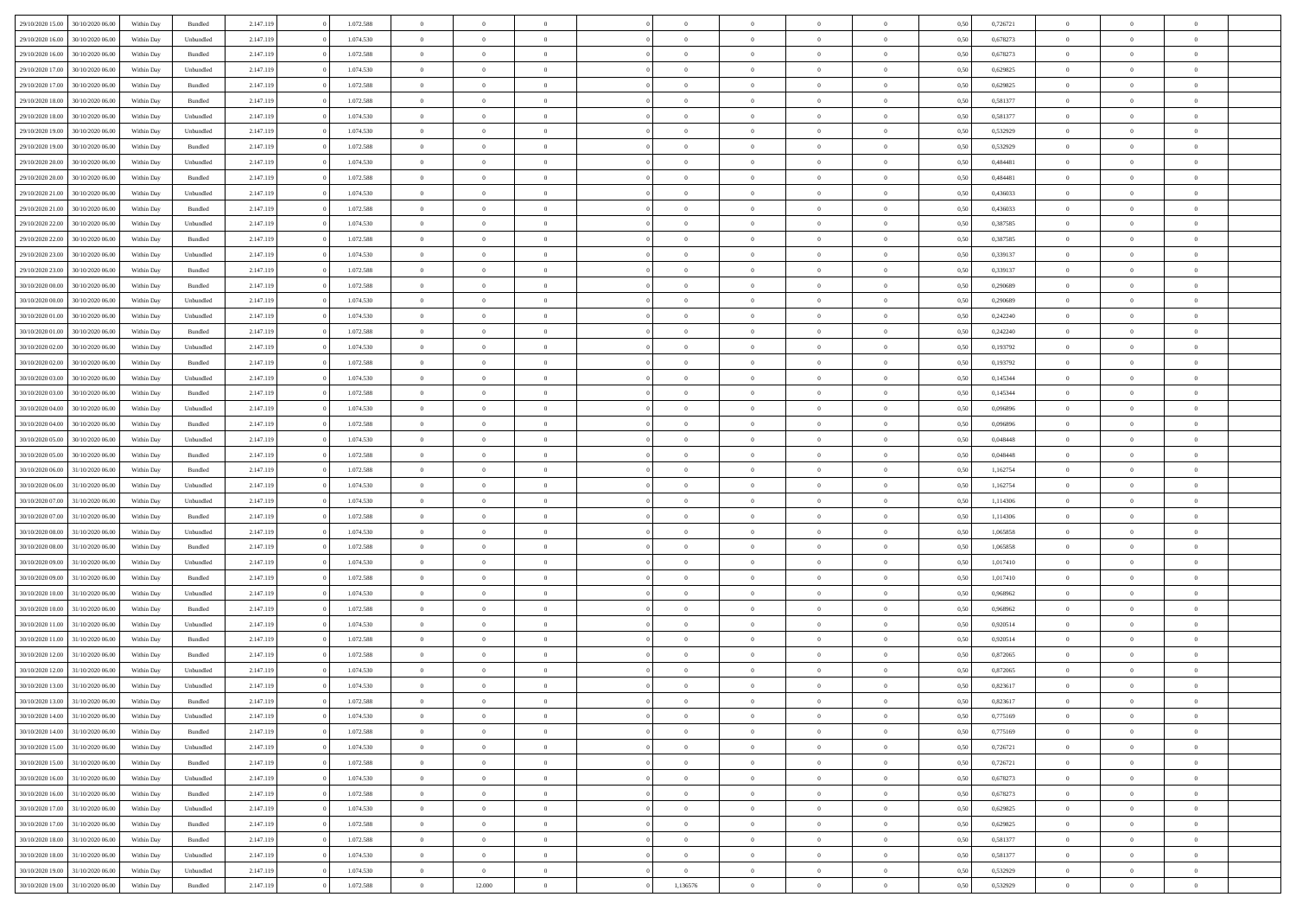| 29/10/2020 15:00 | 30/10/2020 06:00 | Within Dav | Bundled            | 2.147.119 | 1.072.588 | $\overline{0}$ | $\Omega$       |                | $\Omega$       | $\Omega$       | $\theta$       | $\theta$       | 0.50 | 0,726721 | $\theta$       | $\theta$       | $\overline{0}$ |  |
|------------------|------------------|------------|--------------------|-----------|-----------|----------------|----------------|----------------|----------------|----------------|----------------|----------------|------|----------|----------------|----------------|----------------|--|
|                  |                  |            |                    |           |           |                |                |                |                |                |                |                |      |          |                |                |                |  |
| 29/10/2020 16.00 | 30/10/2020 06.00 | Within Day | Unbundled          | 2.147.119 | 1.074.530 | $\overline{0}$ | $\theta$       | $\overline{0}$ | $\overline{0}$ | $\bf{0}$       | $\overline{0}$ | $\bf{0}$       | 0,50 | 0,678273 | $\theta$       | $\overline{0}$ | $\overline{0}$ |  |
| 29/10/2020 16.00 | 30/10/2020 06.00 | Within Day | Bundled            | 2.147.119 | 1.072.588 | $\overline{0}$ | $\bf{0}$       | $\overline{0}$ | $\bf{0}$       | $\bf{0}$       | $\bf{0}$       | $\bf{0}$       | 0,50 | 0,678273 | $\bf{0}$       | $\overline{0}$ | $\overline{0}$ |  |
| 29/10/2020 17:00 | 30/10/2020 06:00 | Within Dav | Unbundled          | 2.147.119 | 1.074.530 | $\overline{0}$ | $\overline{0}$ | $\overline{0}$ | $\overline{0}$ | $\bf{0}$       | $\overline{0}$ | $\overline{0}$ | 0.50 | 0.629825 | $\theta$       | $\theta$       | $\overline{0}$ |  |
| 29/10/2020 17.00 | 30/10/2020 06.00 | Within Day | Bundled            | 2.147.119 | 1.072.588 | $\overline{0}$ | $\theta$       | $\overline{0}$ | $\overline{0}$ | $\bf{0}$       | $\overline{0}$ | $\bf{0}$       | 0,50 | 0,629825 | $\theta$       | $\overline{0}$ | $\overline{0}$ |  |
| 29/10/2020 18:00 | 30/10/2020 06.00 | Within Day | Bundled            | 2.147.119 | 1.072.588 | $\overline{0}$ | $\overline{0}$ | $\overline{0}$ | $\bf{0}$       | $\overline{0}$ | $\overline{0}$ | $\mathbf{0}$   | 0,50 | 0,581377 | $\bf{0}$       | $\overline{0}$ | $\bf{0}$       |  |
|                  |                  |            |                    |           |           |                | $\overline{0}$ |                |                | $\overline{0}$ |                |                |      |          | $\theta$       | $\overline{0}$ | $\overline{0}$ |  |
| 29/10/2020 18:00 | 30/10/2020 06.00 | Within Dav | Unbundled          | 2.147.119 | 1.074.530 | $\overline{0}$ |                | $\overline{0}$ | $\overline{0}$ |                | $\overline{0}$ | $\overline{0}$ | 0.50 | 0,581377 |                |                |                |  |
| 29/10/2020 19:00 | 30/10/2020 06.00 | Within Day | Unbundled          | 2.147.119 | 1.074.530 | $\overline{0}$ | $\theta$       | $\overline{0}$ | $\overline{0}$ | $\bf{0}$       | $\overline{0}$ | $\bf{0}$       | 0,50 | 0,532929 | $\theta$       | $\theta$       | $\overline{0}$ |  |
| 29/10/2020 19:00 | 30/10/2020 06.00 | Within Day | Bundled            | 2.147.119 | 1.072.588 | $\overline{0}$ | $\overline{0}$ | $\overline{0}$ | $\bf{0}$       | $\bf{0}$       | $\bf{0}$       | $\bf{0}$       | 0,50 | 0,532929 | $\,0\,$        | $\overline{0}$ | $\overline{0}$ |  |
| 29/10/2020 20:00 | 30/10/2020 06.00 | Within Dav | Unbundled          | 2.147.119 | 1.074.530 | $\overline{0}$ | $\overline{0}$ | $\overline{0}$ | $\overline{0}$ | $\overline{0}$ | $\overline{0}$ | $\overline{0}$ | 0.50 | 0,484481 | $\theta$       | $\overline{0}$ | $\overline{0}$ |  |
| 29/10/2020 20.00 | 30/10/2020 06.00 | Within Day | Bundled            | 2.147.119 | 1.072.588 | $\overline{0}$ | $\theta$       | $\overline{0}$ | $\overline{0}$ | $\bf{0}$       | $\overline{0}$ | $\bf{0}$       | 0,50 | 0,484481 | $\,$ 0 $\,$    | $\overline{0}$ | $\overline{0}$ |  |
| 29/10/2020 21.00 | 30/10/2020 06.00 | Within Day | Unbundled          | 2.147.119 | 1.074.530 | $\overline{0}$ | $\overline{0}$ | $\overline{0}$ | $\bf{0}$       | $\bf{0}$       | $\bf{0}$       | $\bf{0}$       | 0,50 | 0,436033 | $\bf{0}$       | $\overline{0}$ | $\bf{0}$       |  |
| 29/10/2020 21:00 | 30/10/2020 06:00 | Within Day | Bundled            | 2.147.119 | 1.072.588 | $\overline{0}$ | $\overline{0}$ | $\overline{0}$ | $\overline{0}$ | $\bf{0}$       | $\overline{0}$ | $\overline{0}$ | 0.50 | 0,436033 | $\theta$       | $\theta$       | $\overline{0}$ |  |
| 29/10/2020 22.00 | 30/10/2020 06.00 |            |                    | 2.147.119 | 1.074.530 | $\overline{0}$ | $\theta$       | $\overline{0}$ | $\overline{0}$ | $\bf{0}$       | $\overline{0}$ |                |      | 0,387585 | $\theta$       | $\overline{0}$ | $\overline{0}$ |  |
|                  |                  | Within Day | Unbundled          |           |           |                |                |                |                |                |                | $\bf{0}$       | 0,50 |          |                |                |                |  |
| 29/10/2020 22.00 | 30/10/2020 06.00 | Within Day | Bundled            | 2.147.119 | 1.072.588 | $\overline{0}$ | $\overline{0}$ | $\overline{0}$ | $\bf{0}$       | $\overline{0}$ | $\overline{0}$ | $\mathbf{0}$   | 0,50 | 0,387585 | $\overline{0}$ | $\overline{0}$ | $\bf{0}$       |  |
| 29/10/2020 23.00 | 30/10/2020 06:00 | Within Dav | Unbundled          | 2.147.119 | 1.074.530 | $\overline{0}$ | $\overline{0}$ | $\overline{0}$ | $\overline{0}$ | $\overline{0}$ | $\overline{0}$ | $\overline{0}$ | 0.50 | 0,339137 | $\theta$       | $\overline{0}$ | $\overline{0}$ |  |
| 29/10/2020 23.00 | 30/10/2020 06.00 | Within Day | Bundled            | 2.147.119 | 1.072.588 | $\overline{0}$ | $\theta$       | $\overline{0}$ | $\overline{0}$ | $\bf{0}$       | $\overline{0}$ | $\bf{0}$       | 0,50 | 0,339137 | $\theta$       | $\theta$       | $\overline{0}$ |  |
| 30/10/2020 00.00 | 30/10/2020 06.00 | Within Day | Bundled            | 2.147.119 | 1.072.588 | $\overline{0}$ | $\overline{0}$ | $\overline{0}$ | $\bf{0}$       | $\bf{0}$       | $\bf{0}$       | $\bf{0}$       | 0,50 | 0,290689 | $\,0\,$        | $\overline{0}$ | $\overline{0}$ |  |
| 30/10/2020 00:00 | 30/10/2020 06.00 | Within Dav | Unbundled          | 2.147.119 | 1.074.530 | $\overline{0}$ | $\overline{0}$ | $\overline{0}$ | $\overline{0}$ | $\overline{0}$ | $\overline{0}$ | $\overline{0}$ | 0.50 | 0.290689 | $\theta$       | $\overline{0}$ | $\overline{0}$ |  |
| 30/10/2020 01:00 | 30/10/2020 06.00 | Within Day | Unbundled          | 2.147.119 | 1.074.530 | $\overline{0}$ | $\theta$       | $\overline{0}$ | $\overline{0}$ | $\bf{0}$       | $\overline{0}$ | $\bf{0}$       | 0,50 | 0,242240 | $\,$ 0 $\,$    | $\overline{0}$ | $\overline{0}$ |  |
| 30/10/2020 01.00 | 30/10/2020 06.00 | Within Day | Bundled            | 2.147.119 | 1.072.588 | $\overline{0}$ | $\overline{0}$ | $\overline{0}$ | $\bf{0}$       | $\bf{0}$       | $\bf{0}$       | $\bf{0}$       | 0,50 | 0,242240 | $\overline{0}$ | $\overline{0}$ | $\bf{0}$       |  |
| 30/10/2020 02:00 | 30/10/2020 06:00 | Within Day | Unbundled          | 2.147.119 | 1.074.530 | $\overline{0}$ | $\overline{0}$ | $\overline{0}$ | $\overline{0}$ | $\bf{0}$       | $\overline{0}$ | $\overline{0}$ | 0.50 | 0,193792 | $\theta$       | $\overline{0}$ | $\overline{0}$ |  |
|                  |                  |            |                    |           |           |                |                |                |                |                |                |                |      |          |                |                |                |  |
| 30/10/2020 02.00 | 30/10/2020 06.00 | Within Day | Bundled            | 2.147.119 | 1.072.588 | $\overline{0}$ | $\theta$       | $\overline{0}$ | $\overline{0}$ | $\bf{0}$       | $\overline{0}$ | $\bf{0}$       | 0,50 | 0,193792 | $\,$ 0 $\,$    | $\overline{0}$ | $\overline{0}$ |  |
| 30/10/2020 03.00 | 30/10/2020 06.00 | Within Day | Unbundled          | 2.147.119 | 1.074.530 | $\overline{0}$ | $\overline{0}$ | $\overline{0}$ | $\bf{0}$       | $\overline{0}$ | $\overline{0}$ | $\mathbf{0}$   | 0,50 | 0,145344 | $\overline{0}$ | $\overline{0}$ | $\bf{0}$       |  |
| 30/10/2020 03:00 | 30/10/2020 06.00 | Within Dav | Bundled            | 2.147.119 | 1.072.588 | $\overline{0}$ | $\overline{0}$ | $\overline{0}$ | $\overline{0}$ | $\overline{0}$ | $\overline{0}$ | $\overline{0}$ | 0.50 | 0,145344 | $\theta$       | $\overline{0}$ | $\overline{0}$ |  |
| 30/10/2020 04:00 | 30/10/2020 06.00 | Within Day | Unbundled          | 2.147.119 | 1.074.530 | $\overline{0}$ | $\theta$       | $\overline{0}$ | $\overline{0}$ | $\bf{0}$       | $\overline{0}$ | $\bf{0}$       | 0,50 | 0,096896 | $\theta$       | $\theta$       | $\overline{0}$ |  |
| 30/10/2020 04:00 | 30/10/2020 06.00 | Within Day | Bundled            | 2.147.119 | 1.072.588 | $\overline{0}$ | $\overline{0}$ | $\overline{0}$ | $\bf{0}$       | $\bf{0}$       | $\bf{0}$       | $\bf{0}$       | 0,50 | 0,096896 | $\,0\,$        | $\overline{0}$ | $\overline{0}$ |  |
| 30/10/2020 05:00 | 30/10/2020 06.00 | Within Day | Unbundled          | 2.147.119 | 1.074.530 | $\overline{0}$ | $\overline{0}$ | $\overline{0}$ | $\overline{0}$ | $\overline{0}$ | $\overline{0}$ | $\overline{0}$ | 0.50 | 0.048448 | $\theta$       | $\overline{0}$ | $\overline{0}$ |  |
| 30/10/2020 05.00 | 30/10/2020 06.00 | Within Day | Bundled            | 2.147.119 | 1.072.588 | $\overline{0}$ | $\theta$       | $\overline{0}$ | $\overline{0}$ | $\bf{0}$       | $\overline{0}$ | $\bf{0}$       | 0,50 | 0,048448 | $\,$ 0 $\,$    | $\overline{0}$ | $\overline{0}$ |  |
|                  |                  |            |                    |           |           |                | $\overline{0}$ |                |                | $\bf{0}$       |                |                |      |          |                | $\overline{0}$ | $\bf{0}$       |  |
| 30/10/2020 06.00 | 31/10/2020 06.00 | Within Day | Bundled            | 2.147.119 | 1.072.588 | $\overline{0}$ |                | $\overline{0}$ | $\bf{0}$       |                | $\bf{0}$       | $\bf{0}$       | 0,50 | 1,162754 | $\bf{0}$       |                |                |  |
| 30/10/2020 06.00 | 31/10/2020 06.00 | Within Day | Unbundled          | 2.147.119 | 1.074.530 | $\overline{0}$ | $\Omega$       | $\Omega$       | $\Omega$       | $\Omega$       | $\overline{0}$ | $\overline{0}$ | 0,50 | 1,162754 | $\,0\,$        | $\theta$       | $\theta$       |  |
| 30/10/2020 07.00 | 31/10/2020 06.00 | Within Day | Unbundled          | 2.147.119 | 1.074.530 | $\overline{0}$ | $\theta$       | $\overline{0}$ | $\overline{0}$ | $\bf{0}$       | $\overline{0}$ | $\bf{0}$       | 0,50 | 1,114306 | $\,$ 0 $\,$    | $\overline{0}$ | $\overline{0}$ |  |
| 30/10/2020 07.00 | 31/10/2020 06.00 | Within Day | Bundled            | 2.147.119 | 1.072.588 | $\overline{0}$ | $\overline{0}$ | $\overline{0}$ | $\bf{0}$       | $\overline{0}$ | $\overline{0}$ | $\mathbf{0}$   | 0,50 | 1,114306 | $\bf{0}$       | $\overline{0}$ | $\bf{0}$       |  |
| 30/10/2020 08:00 | 31/10/2020 06.00 | Within Day | Unbundled          | 2.147.119 | 1.074.530 | $\overline{0}$ | $\Omega$       | $\Omega$       | $\Omega$       | $\bf{0}$       | $\overline{0}$ | $\overline{0}$ | 0.50 | 1,065858 | $\,0\,$        | $\theta$       | $\theta$       |  |
| 30/10/2020 08:00 | 31/10/2020 06.00 | Within Day | Bundled            | 2.147.119 | 1.072.588 | $\overline{0}$ | $\theta$       | $\overline{0}$ | $\overline{0}$ | $\bf{0}$       | $\overline{0}$ | $\bf{0}$       | 0,50 | 1,065858 | $\theta$       | $\overline{0}$ | $\overline{0}$ |  |
| 30/10/2020 09:00 | 31/10/2020 06.00 | Within Day | Unbundled          | 2.147.119 | 1.074.530 | $\overline{0}$ | $\overline{0}$ | $\overline{0}$ | $\overline{0}$ | $\bf{0}$       | $\overline{0}$ | $\bf{0}$       | 0,50 | 1,017410 | $\bf{0}$       | $\overline{0}$ | $\overline{0}$ |  |
| 30/10/2020 09:00 | 31/10/2020 06:00 | Within Day | Bundled            | 2.147.119 | 1.072.588 | $\overline{0}$ | $\Omega$       | $\Omega$       | $\Omega$       | $\theta$       | $\overline{0}$ | $\overline{0}$ | 0.50 | 1,017410 | $\,$ 0 $\,$    | $\theta$       | $\theta$       |  |
| 30/10/2020 10:00 | 31/10/2020 06.00 | Within Day | Unbundled          | 2.147.119 | 1.074.530 | $\overline{0}$ | $\theta$       | $\overline{0}$ | $\overline{0}$ | $\bf{0}$       | $\overline{0}$ | $\bf{0}$       | 0,50 | 0,968962 | $\,$ 0 $\,$    | $\overline{0}$ | $\overline{0}$ |  |
|                  |                  |            |                    |           |           |                |                |                |                |                |                |                |      |          |                |                |                |  |
| 30/10/2020 10:00 | 31/10/2020 06.00 | Within Day | Bundled            | 2.147.119 | 1.072.588 | $\overline{0}$ | $\bf{0}$       | $\overline{0}$ | $\overline{0}$ | $\bf{0}$       | $\overline{0}$ | $\bf{0}$       | 0,50 | 0,968962 | $\overline{0}$ | $\overline{0}$ | $\bf{0}$       |  |
| 30/10/2020 11:00 | 31/10/2020 06.00 | Within Day | Unbundled          | 2.147.119 | 1.074.530 | $\overline{0}$ | $\Omega$       | $\overline{0}$ | $\Omega$       | $\overline{0}$ | $\overline{0}$ | $\overline{0}$ | 0.50 | 0,920514 | $\,0\,$        | $\theta$       | $\theta$       |  |
| 30/10/2020 11:00 | 31/10/2020 06.00 | Within Day | Bundled            | 2.147.119 | 1.072.588 | $\overline{0}$ | $\theta$       | $\overline{0}$ | $\overline{0}$ | $\bf{0}$       | $\overline{0}$ | $\bf{0}$       | 0,50 | 0,920514 | $\,$ 0 $\,$    | $\overline{0}$ | $\overline{0}$ |  |
| 30/10/2020 12:00 | 31/10/2020 06.00 | Within Day | Bundled            | 2.147.119 | 1.072.588 | $\overline{0}$ | $\overline{0}$ | $\overline{0}$ | $\overline{0}$ | $\bf{0}$       | $\overline{0}$ | $\mathbf{0}$   | 0,50 | 0,872065 | $\overline{0}$ | $\overline{0}$ | $\bf{0}$       |  |
| 30/10/2020 12:00 | 31/10/2020 06.00 | Within Day | Unbundled          | 2.147.119 | 1.074.530 | $\overline{0}$ | $\Omega$       | $\Omega$       | $\Omega$       | $\Omega$       | $\Omega$       | $\overline{0}$ | 0.50 | 0,872065 | $\theta$       | $\theta$       | $\theta$       |  |
| 30/10/2020 13:00 | 31/10/2020 06.00 | Within Day | Unbundled          | 2.147.119 | 1.074.530 | $\overline{0}$ | $\overline{0}$ | $\overline{0}$ | $\bf{0}$       | $\,$ 0         | $\overline{0}$ | $\bf{0}$       | 0,50 | 0,823617 | $\,0\,$        | $\,$ 0 $\,$    | $\overline{0}$ |  |
| 30/10/2020 13:00 | 31/10/2020 06.00 | Within Day | $\mathbf B$ undled | 2.147.119 | 1.072.588 | $\bf{0}$       | $\bf{0}$       |                |                | $\bf{0}$       |                |                | 0,50 | 0,823617 | $\bf{0}$       | $\overline{0}$ |                |  |
| 30/10/2020 14:00 | 31/10/2020 06:00 | Within Day | Unbundled          | 2.147.119 | 1.074.530 | $\overline{0}$ | $\Omega$       | $\overline{0}$ | $\Omega$       | $\theta$       | $\overline{0}$ | $\overline{0}$ | 0,50 | 0,775169 | $\theta$       | $\theta$       | $\theta$       |  |
| 30/10/2020 14:00 | 31/10/2020 06.00 |            | Bundled            | 2.147.119 | 1.072.588 | $\overline{0}$ | $\,$ 0         | $\overline{0}$ |                | $\,$ 0 $\,$    | $\overline{0}$ |                |      | 0,775169 | $\,$ 0 $\,$    | $\,$ 0 $\,$    | $\,$ 0         |  |
|                  |                  | Within Day |                    |           |           |                |                |                | $\overline{0}$ |                |                | $\mathbf{0}$   | 0,50 |          |                |                |                |  |
| 30/10/2020 15:00 | 31/10/2020 06.00 | Within Day | Unbundled          | 2.147.119 | 1.074.530 | $\overline{0}$ | $\overline{0}$ | $\overline{0}$ | $\overline{0}$ | $\overline{0}$ | $\overline{0}$ | $\mathbf{0}$   | 0,50 | 0,726721 | $\overline{0}$ | $\bf{0}$       | $\bf{0}$       |  |
| 30/10/2020 15:00 | 31/10/2020 06.00 | Within Day | $\mathbf B$ undled | 2.147.119 | 1.072.588 | $\overline{0}$ | $\overline{0}$ | $\overline{0}$ | $\Omega$       | $\overline{0}$ | $\overline{0}$ | $\bf{0}$       | 0,50 | 0,726721 | $\overline{0}$ | $\theta$       | $\overline{0}$ |  |
| 30/10/2020 16:00 | 31/10/2020 06.00 | Within Day | Unbundled          | 2.147.119 | 1.074.530 | $\overline{0}$ | $\,$ 0         | $\overline{0}$ | $\overline{0}$ | $\overline{0}$ | $\overline{0}$ | $\bf{0}$       | 0,50 | 0,678273 | $\,$ 0 $\,$    | $\overline{0}$ | $\overline{0}$ |  |
| 30/10/2020 16.00 | 31/10/2020 06.00 | Within Day | Bundled            | 2.147.119 | 1.072.588 | $\overline{0}$ | $\overline{0}$ | $\overline{0}$ | $\overline{0}$ | $\overline{0}$ | $\overline{0}$ | $\mathbf{0}$   | 0,50 | 0,678273 | $\overline{0}$ | $\overline{0}$ | $\bf{0}$       |  |
| 30/10/2020 17:00 | 31/10/2020 06.00 | Within Day | Unbundled          | 2.147.119 | 1.074.530 | $\overline{0}$ | $\overline{0}$ | $\overline{0}$ | $\Omega$       | $\overline{0}$ | $\overline{0}$ | $\bf{0}$       | 0.50 | 0,629825 | $\overline{0}$ | $\theta$       | $\overline{0}$ |  |
| 30/10/2020 17.00 | 31/10/2020 06.00 | Within Day | Bundled            | 2.147.119 | 1.072.588 | $\overline{0}$ | $\,$ 0         | $\overline{0}$ | $\bf{0}$       | $\bf{0}$       | $\bf{0}$       | $\bf{0}$       | 0,50 | 0,629825 | $\,$ 0 $\,$    | $\overline{0}$ | $\overline{0}$ |  |
| 30/10/2020 18:00 | 31/10/2020 06.00 | Within Day | Bundled            | 2.147.119 | 1.072.588 | $\overline{0}$ | $\bf{0}$       | $\overline{0}$ | $\overline{0}$ | $\overline{0}$ | $\bf{0}$       | $\mathbf{0}$   | 0,50 | 0,581377 | $\overline{0}$ | $\overline{0}$ | $\bf{0}$       |  |
| 30/10/2020 18:00 | 31/10/2020 06.00 | Within Day | Unbundled          |           | 1.074.530 | $\overline{0}$ | $\overline{0}$ | $\overline{0}$ | $\Omega$       | $\overline{0}$ | $\overline{0}$ | $\bf{0}$       | 0.50 | 0,581377 | $\overline{0}$ | $\theta$       | $\overline{0}$ |  |
|                  |                  |            |                    | 2.147.119 |           |                |                |                |                |                |                |                |      |          |                |                |                |  |
| 30/10/2020 19:00 | 31/10/2020 06.00 | Within Day | Unbundled          | 2.147.119 | 1.074.530 | $\overline{0}$ | $\bf{0}$       | $\overline{0}$ | $\bf{0}$       | $\bf{0}$       | $\bf{0}$       | $\bf{0}$       | 0,50 | 0,532929 | $\,$ 0 $\,$    | $\,$ 0 $\,$    | $\bf{0}$       |  |
| 30/10/2020 19:00 | 31/10/2020 06.00 | Within Day | Bundled            | 2.147.119 | 1.072.588 | $\overline{0}$ | 12.000         | $\overline{0}$ | 1,136576       | $\overline{0}$ | $\bf{0}$       | $\mathbf{0}$   | 0,50 | 0,532929 | $\overline{0}$ | $\bf{0}$       | $\bf{0}$       |  |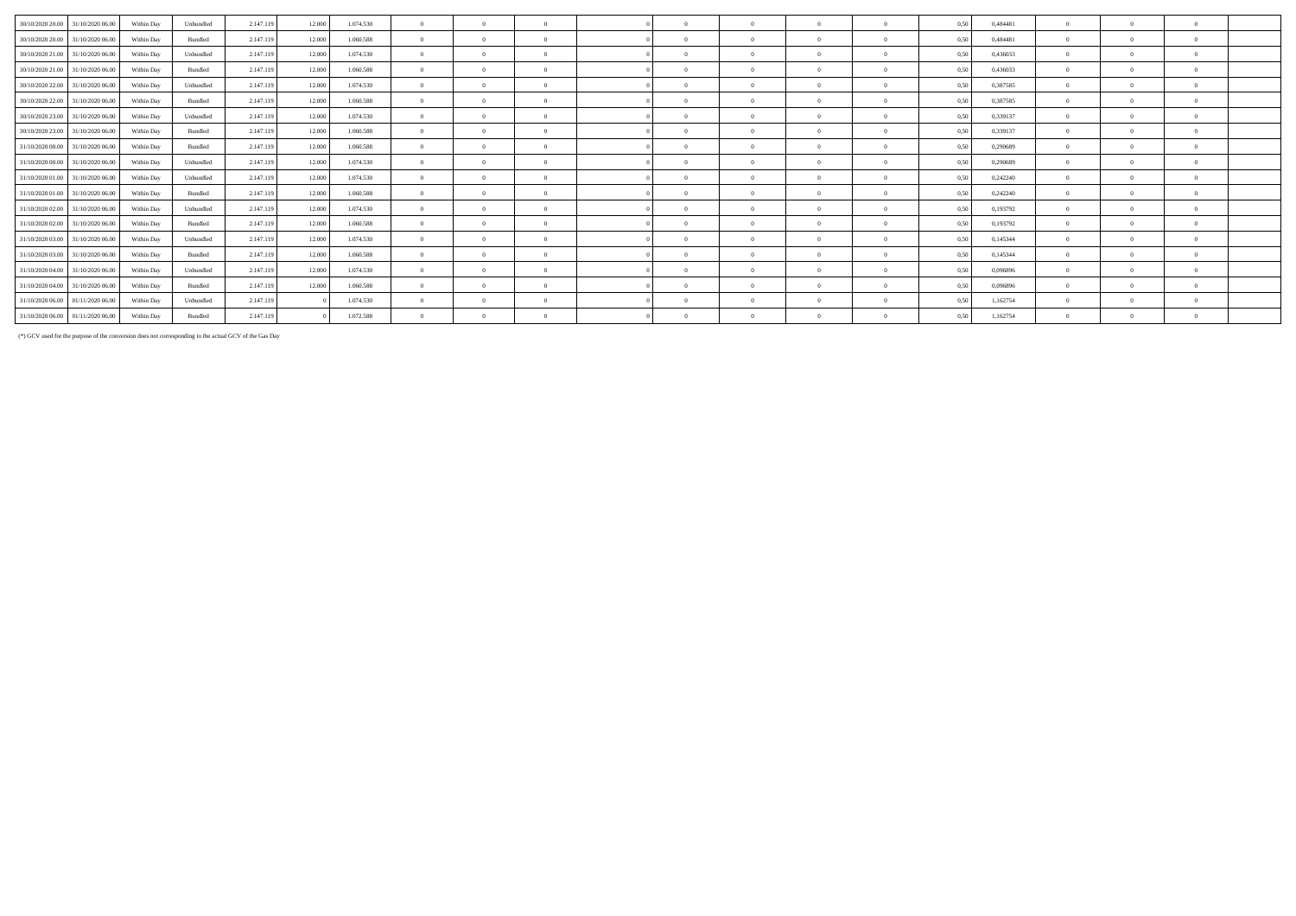| 30/10/2020 20.00 | 31/10/2020 06.00                  | Within Day | Unbundled | 2.147.119 | 12.000 | 1.074.530 | $\Omega$   |          | $\Omega$ |              | $\Omega$   | $\theta$ | 0.50 | 0.484481 | $\Omega$ |            |
|------------------|-----------------------------------|------------|-----------|-----------|--------|-----------|------------|----------|----------|--------------|------------|----------|------|----------|----------|------------|
| 30/10/2020 20:00 | 31/10/2020 06:00                  | Within Day | Bundled   | 2.147.119 | 12,000 | 1.060,588 | $\Omega$   |          | $\Omega$ |              | $\Omega$   | $\Omega$ | 0.50 | 0.484481 | $\Omega$ | $\Omega$   |
| 30/10/2020 21.00 | 31/10/2020 06:00                  | Within Day | Unbundled | 2.147.119 | 12.000 | 1.074.530 | $\Omega$   |          |          |              | $\Omega$   | $\Omega$ | 0.50 | 0.436033 | $\Omega$ | $\Omega$   |
| 30/10/2020 21:00 | 31/10/2020 06:00                  | Within Dav | Bundled   | 2.147.119 | 12.000 | 1.060.588 | $\Omega$   | $\Omega$ | $\Omega$ | $\mathbf{a}$ | $\sqrt{2}$ | $\Omega$ | 0.50 | 0.436033 | $\Omega$ | $\Omega$   |
| 30/10/2020 22.00 | 31/10/2020 06.00                  | Within Day | Unbundled | 2.147.119 | 12.000 | 1.074.530 | $\Omega$   |          |          |              | $\Omega$   |          | 0.50 | 0,387585 | $\Omega$ | $\Omega$   |
| 30/10/2020 22.00 | 31/10/2020 06:00                  | Within Day | Bundled   | 2.147.119 | 12.000 | 1.060,588 | $^{\circ}$ |          | $\Omega$ |              | $\Omega$   |          | 0.50 | 0,387585 | $\Omega$ | $\Omega$   |
| 30/10/2020 23.00 | 31/10/2020 06.00                  | Within Day | Unbundled | 2.147.119 | 12.000 | 1.074.530 | $\Omega$   |          | $\Omega$ |              |            |          | 0.50 | 0,339137 | $\Omega$ | $\sqrt{2}$ |
| 30/10/2020 23.00 | 31/10/2020 06.00                  | Within Day | Bundled   | 2.147.119 | 12,000 | 1.060,588 | $\Omega$   |          | $\Omega$ |              | $\Omega$   | $\Omega$ | 0.50 | 0,339137 | $\Omega$ | $\Omega$   |
| 31/10/2020 00:00 | 31/10/2020 06:00                  | Within Dav | Bundled   | 2.147.119 | 12.000 | 1.060.588 | $\Omega$   |          | $\Omega$ |              | $\Omega$   | $\Omega$ | 0.50 | 0.290689 | $\Omega$ | $\Omega$   |
| 31/10/2020 00:00 | 31/10/2020 06.00                  | Within Day | Unbundled | 2.147.119 | 12.000 | 1.074.530 | $\Omega$   |          | $\Omega$ |              | $\Omega$   | $\Omega$ | 0.50 | 0,290689 | $\Omega$ | $\Omega$   |
| 31/10/2020 01.00 | 31/10/2020 06.00                  | Within Day | Unbundled | 2.147.119 | 12.000 | 1.074.530 | $\Omega$   |          | $\Omega$ |              | $\Omega$   |          | 0.50 | 0,242240 | $\Omega$ | $\Omega$   |
|                  | 31/10/2020 01:00 31/10/2020 06:00 | Within Dav | Bundled   | 2.147.119 | 12.000 | 1.060,588 | $\Omega$   |          | $\Omega$ |              | $\sqrt{ }$ |          | 0.50 | 0,242240 | $\Omega$ | $\Omega$   |
| 31/10/2020 02.00 | 31/10/2020 06.00                  | Within Day | Unbundled | 2.147.119 | 12.000 | 1.074.530 | $\Omega$   |          | $\Omega$ |              |            |          | 0.50 | 0,193792 | $\Omega$ | $\Omega$   |
| 31/10/2020 02.00 | 31/10/2020 06.00                  | Within Dav | Bundled   | 2.147.119 | 12.000 | 1.060,588 | $\Omega$   |          | $\Omega$ |              | $\Omega$   | $\Omega$ | 0.50 | 0,193792 | $\Omega$ | $\Omega$   |
| 31/10/2020 03:00 | 31/10/2020 06.00                  | Within Day | Unbundled | 2.147.119 | 12.000 | 1.074.530 | $\Omega$   |          | $\Omega$ | $\mathbf{a}$ | $\Omega$   | $\Omega$ | 0.50 | 0,145344 | $\Omega$ | $\theta$   |
| 31/10/2020 03:00 | 31/10/2020 06.00                  | Within Day | Bundled   | 2.147.119 | 12.000 | 1.060.588 | $\Omega$   |          | $\Omega$ |              | $\Omega$   | $\Omega$ | 0.50 | 0,145344 | $\Omega$ | $\Omega$   |
| 31/10/2020 04.00 | 31/10/2020 06.00                  | Within Day | Unbundled | 2.147.119 | 12.000 | 1.074.530 | $\Omega$   |          | $\Omega$ |              | $\Omega$   |          | 0.50 | 0.096896 | $\Omega$ | $\Omega$   |
| 31/10/2020 04:00 | 31/10/2020 06.00                  | Within Day | Bundled   | 2.147.119 | 12.000 | 1.060,588 | $\Omega$   |          | $\Omega$ |              |            |          | 0.50 | 0.096896 | $\Omega$ | $\Omega$   |
|                  | 31/10/2020 06:00 01/11/2020 06:00 | Within Day | Unbundled | 2.147.119 |        | 1.074.530 | $\Omega$   |          |          |              |            |          | 0,50 | 1,162754 | $\Omega$ |            |
|                  | 31/10/2020 06:00 01/11/2020 06:00 | Within Day | Bundled   | 2.147.119 |        | 1.072.588 | $\Omega$   |          | $\Omega$ |              |            |          | 0.50 | 1,162754 | $\Omega$ |            |

(\*) GCV used for the purpose of the conversion does not corresponding to the actual GCV of the Gas Day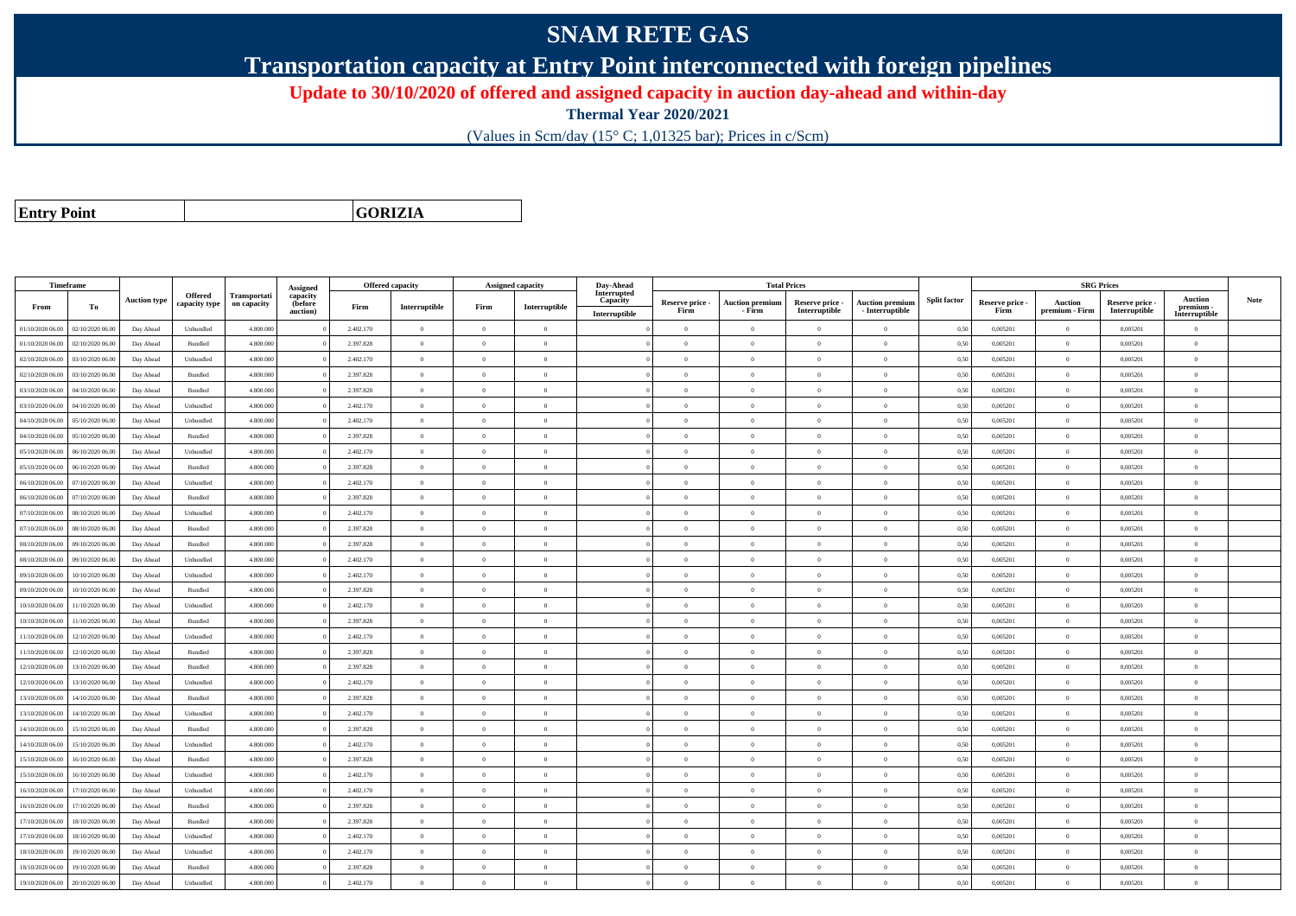## **SNAM RETE GAS**

**Transportation capacity at Entry Point interconnected with foreign pipelines**

**Update to 30/10/2020 of offered and assigned capacity in auction day-ahead and within-day**

**Thermal Year 2020/2021**

(Values in Scm/day (15° C; 1,01325 bar); Prices in c/Scm)

**Entry Point**

**GORIZIA**

|                  | Timeframe        |                     |                    |              |                      |           | <b>Offered capacity</b> |                | Assigned capacity | Day-Ahead               |                         |                        | <b>Total Prices</b>              |                                           |                     |                         |                | <b>SRG Prices</b>                |                            |      |
|------------------|------------------|---------------------|--------------------|--------------|----------------------|-----------|-------------------------|----------------|-------------------|-------------------------|-------------------------|------------------------|----------------------------------|-------------------------------------------|---------------------|-------------------------|----------------|----------------------------------|----------------------------|------|
|                  |                  | <b>Auction type</b> | <b>Offered</b>     | Transportati | Assigned<br>capacity |           |                         |                |                   | Interrupted<br>Capacity |                         | <b>Auction premiun</b> |                                  |                                           | <b>Split factor</b> |                         | Auction        |                                  | <b>Auction</b>             | Note |
| From             | To               |                     | capacity type      | on capacity  | (before<br>auction)  | Firm      | Interruptible           | Firm           | Interruptible     | Interruptible           | Reserve price -<br>Firm | - Firm                 | Reserve price -<br>Interruptible | <b>Auction premium</b><br>- Interruptible |                     | Reserve price -<br>Firm | premium - Firm | Reserve price -<br>Interruptible | premium -<br>Interruptible |      |
| 01/10/2020 06.00 | 02/10/2020 06.00 | Day Ahead           | Unbundled          | 4.800.000    |                      | 2.402.170 | $\overline{0}$          | $\overline{0}$ | $\overline{0}$    |                         | $\overline{0}$          | $\overline{0}$         | $\overline{0}$                   | $\bf{0}$                                  | 0,50                | 0,005201                | $\theta$       | 0.005201                         | $\overline{0}$             |      |
| 01/10/2020 06:00 | 02/10/2020 06:00 | Day Ahead           | Bundled            | 4.800,000    |                      | 2.397.828 | $\overline{0}$          | $\Omega$       | $\Omega$          |                         | $\theta$                | $\theta$               | $\Omega$                         | $\Omega$                                  | 0,50                | 0.005201                | $\mathbf{0}$   | 0.005201                         | $\theta$                   |      |
| 02/10/2020 06.00 | 03/10/2020 06.00 | Day Ahead           | Unbundled          | 4.800,000    |                      | 2.402.170 | $\overline{0}$          | $\overline{0}$ | $\theta$          |                         | $\theta$                | $\theta$               | $\overline{0}$                   | $\bf{0}$                                  | 0,50                | 0,005201                | $\overline{0}$ | 0,005201                         | $\overline{0}$             |      |
| 02/10/2020 06.00 | 03/10/2020 06.00 | Day Ahead           | Bundled            | 4.800.000    |                      | 2.397.828 | $\overline{0}$          | $\overline{0}$ | $\overline{0}$    |                         | $\theta$                | $\overline{0}$         | $\overline{0}$                   | $\overline{0}$                            | 0,50                | 0,005201                | $\mathbf{0}$   | 0,005201                         | $\overline{0}$             |      |
| 03/10/2020 06.00 | 04/10/2020 06.00 | Day Ahead           | Bundled            | 4.800.000    |                      | 2.397.828 | $\overline{0}$          | $\overline{0}$ | $\overline{0}$    |                         | $\theta$                | $\overline{0}$         | $\overline{0}$                   | $\bf{0}$                                  | 0,50                | 0,005201                | $\,0\,$        | 0,005201                         | $\overline{0}$             |      |
| 03/10/2020 06:00 | 04/10/2020 06.00 | Day Ahead           | Unbundled          | 4.800.000    |                      | 2.402.170 | $\overline{0}$          | $\overline{0}$ | $\Omega$          |                         | $\theta$                | $\Omega$               | $\overline{0}$                   | $\bf{0}$                                  | 0,50                | 0,005201                | $\mathbf{0}$   | 0,005201                         | $\overline{0}$             |      |
| 04/10/2020 06.00 | 05/10/2020 06.00 | Day Ahead           | Unbundled          | 4.800.000    |                      | 2.402.170 | $\overline{0}$          | $\Omega$       | $\Omega$          |                         | $\theta$                | $\theta$               | $\Omega$                         | $\theta$                                  | 0,50                | 0,005201                | $\overline{0}$ | 0,005201                         | $\theta$                   |      |
| 04/10/2020 06.00 | 05/10/2020 06.00 | Day Ahead           | Bundled            | 4.800.000    |                      | 2.397.828 | $\overline{0}$          | $\overline{0}$ | $\theta$          |                         | $\theta$                | $\theta$               | $\theta$                         | $\bf{0}$                                  | 0,50                | 0,005201                | $\overline{0}$ | 0,005201                         | $\overline{0}$             |      |
| 05/10/2020 06:00 | 06/10/2020 06.00 | Day Ahead           | Unbundled          | 4.800,000    |                      | 2.402.170 | $\overline{0}$          | $\Omega$       | $\Omega$          |                         | $\theta$                | $\theta$               | $\Omega$                         | $\Omega$                                  | 0,50                | 0.005201                | $\Omega$       | 0.005201                         | $\theta$                   |      |
| 05/10/2020 06.00 | 06/10/2020 06.00 | Day Ahead           | Bundled            | 4.800.000    |                      | 2.397.828 | $\overline{0}$          | $\overline{0}$ | $\theta$          |                         | $\theta$                | $\theta$               | $\overline{0}$                   | $\bf{0}$                                  | 0,50                | 0,005201                | $\theta$       | 0,005201                         | $\overline{0}$             |      |
| 06/10/2020 06.00 | 07/10/2020 06.00 | Day Ahead           | Unbundled          | 4.800.000    |                      | 2.402.170 | $\overline{0}$          | $\overline{0}$ | $\overline{0}$    |                         | $\overline{0}$          | $\theta$               | $\overline{0}$                   | $\overline{0}$                            | 0,50                | 0,005201                | $\mathbf{0}$   | 0,005201                         | $\overline{0}$             |      |
| 06/10/2020 06.00 | 07/10/2020 06.00 | Day Ahead           | $\mathbf B$ undled | 4.800.000    |                      | 2.397.828 | $\overline{0}$          | $\overline{0}$ | $\overline{0}$    |                         | $\overline{0}$          | $\theta$               | $\overline{0}$                   | $\overline{0}$                            | 0,50                | 0,005201                | $\,0\,$        | 0,005201                         | $\overline{0}$             |      |
| 07/10/2020 06:00 | 08/10/2020 06.00 | Day Ahead           | Unbundled          | 4.800.000    |                      | 2.402.170 | $\overline{0}$          | $\Omega$       | $\Omega$          |                         | $\theta$                | $\theta$               | $\overline{0}$                   | $\bf{0}$                                  | 0,50                | 0,005201                | $\mathbf{0}$   | 0,005201                         | $\overline{0}$             |      |
| 07/10/2020 06.00 | 08/10/2020 06:00 | Day Ahead           | Bundled            | 4.800,000    |                      | 2.397.828 | $\overline{0}$          | $\overline{0}$ | $\Omega$          |                         | $\theta$                | $\theta$               | $\overline{0}$                   | $\theta$                                  | 0,50                | 0,005201                | $\mathbf{0}$   | 0,005201                         | $\theta$                   |      |
| 08/10/2020 06:00 | 09/10/2020 06.00 | Day Ahead           | Bundled            | 4.800.000    |                      | 2.397.828 | $\overline{0}$          | $\overline{0}$ | $\theta$          |                         | $\theta$                | $\theta$               | $\overline{0}$                   | $\bf{0}$                                  | 0,50                | 0,005201                | $\overline{0}$ | 0,005201                         | $\overline{0}$             |      |
| 08/10/2020 06:00 | 09/10/2020 06.00 | Day Ahead           | Unbundled          | 4.800,000    |                      | 2.402.170 | $\overline{0}$          | $\Omega$       | $\Omega$          |                         | $\theta$                | $\theta$               | $\Omega$                         | $\theta$                                  | 0,50                | 0.005201                | $\theta$       | 0.005201                         | $\theta$                   |      |
| 09/10/2020 06.00 | 10/10/2020 06:00 | Day Ahead           | Unbundled          | 4.800.000    |                      | 2.402.170 | $\overline{0}$          | $\Omega$       | $\Omega$          |                         | $\theta$                | $\theta$               | $\theta$                         | $\theta$                                  | 0,50                | 0,005201                | $\mathbf{0}$   | 0,005201                         | $\theta$                   |      |
| 09/10/2020 06:00 | 10/10/2020 06:00 | Day Ahead           | Bundled            | 4.800.000    |                      | 2.397.828 | $\overline{0}$          | $\overline{0}$ | $\Omega$          |                         | $\theta$                | $\theta$               | $\overline{0}$                   | $\bf{0}$                                  | 0,50                | 0,005201                | $\mathbf{0}$   | 0,005201                         | $\overline{0}$             |      |
| 10/10/2020 06:00 | 11/10/2020 06:00 | Day Ahead           | Unbundled          | 4.800,000    |                      | 2.402.170 | $\overline{0}$          | $\Omega$       | $\overline{0}$    |                         | $\theta$                | $\theta$               | $\overline{0}$                   | $\overline{0}$                            | 0,50                | 0.005201                | $\,$ 0 $\,$    | 0.005201                         | $\theta$                   |      |
| 10/10/2020 06:00 | 11/10/2020 06.00 | Day Ahead           | Bundled            | 4.800.000    |                      | 2.397.828 | $\overline{0}$          | $\overline{0}$ | $\theta$          |                         | $\theta$                | $\theta$               | $\theta$                         | $\bf{0}$                                  | 0,50                | 0,005201                | $\theta$       | 0,005201                         | $\overline{0}$             |      |
| 11/10/2020 06:00 | 12/10/2020 06:00 | Day Ahead           | Unbundled          | 4.800,000    |                      | 2.402.170 | $\overline{0}$          | $\overline{0}$ | $\Omega$          |                         | $\theta$                | $\theta$               | $\overline{0}$                   | $\theta$                                  | 0,50                | 0.005201                | $\Omega$       | 0.005201                         | $\theta$                   |      |
| 11/10/2020 06:00 | 12/10/2020 06.00 | Day Ahead           | Bundled            | 4.800.000    |                      | 2.397.828 | $\overline{0}$          | $\Omega$       | $\Omega$          |                         | $\theta$                | $\theta$               | $\overline{0}$                   | $\bf{0}$                                  | 0,50                | 0,005201                | $\overline{0}$ | 0,005201                         | $\theta$                   |      |
| 12/10/2020 06:00 | 13/10/2020 06.00 | Day Ahead           | Bundled            | 4.800.000    |                      | 2.397.828 | $\overline{0}$          | $\Omega$       | $\Omega$          |                         | $\Omega$                | $\Omega$               | $\Omega$                         | $\Omega$                                  | 0,50                | 0,005201                | $\theta$       | 0,005201                         | $\theta$                   |      |
| 12/10/2020 06:00 | 13/10/2020 06:00 | Day Ahead           | Unbundled          | 4.800,000    |                      | 2.402.170 | $\overline{0}$          | $\overline{0}$ | $\Omega$          |                         | $\theta$                | $\theta$               | $\overline{0}$                   | $\overline{0}$                            | 0,50                | 0,005201                | $\mathbf{0}$   | 0,005201                         | $\theta$                   |      |
| 13/10/2020 06:00 | 14/10/2020 06.00 | Day Ahead           | Bundled            | 4.800.000    |                      | 2.397.828 | $\overline{0}$          | $\overline{0}$ | $\theta$          |                         | $\theta$                | $\theta$               | $\overline{0}$                   | $\bf{0}$                                  | 0,50                | 0,005201                | $\mathbf{0}$   | 0,005201                         | $\theta$                   |      |
| 13/10/2020 06:00 | 14/10/2020 06:00 | Day Ahead           | Unbundled          | 4.800,000    |                      | 2.402.170 | $\overline{0}$          | $\overline{0}$ | $\Omega$          |                         | $\theta$                | $\theta$               | $\overline{0}$                   | $\theta$                                  | 0.50                | 0.005201                | $\Omega$       | 0.005201                         | $\theta$                   |      |
| 14/10/2020 06:00 | 15/10/2020 06.00 | Day Ahead           | Bundled            | 4.800.000    |                      | 2.397.828 | $\overline{0}$          | $\overline{0}$ | $\Omega$          |                         | $\theta$                | $\theta$               | $\Omega$                         | $\bf{0}$                                  | 0,50                | 0,005201                | $\mathbf{0}$   | 0,005201                         | $\overline{0}$             |      |
| 14/10/2020 06:00 | 15/10/2020 06:00 | Day Ahead           | Unbundled          | 4.800,000    |                      | 2.402.170 | $\overline{0}$          | $\overline{0}$ | $\Omega$          |                         | $\theta$                | $\theta$               | $\overline{0}$                   | $\theta$                                  | 0,50                | 0.005201                | $\Omega$       | 0.005201                         | $\theta$                   |      |
| 15/10/2020 06:00 | 16/10/2020 06.00 | Day Ahead           | Bundled            | 4.800,000    |                      | 2.397.828 | $\overline{0}$          | $\Omega$       | $\Omega$          |                         | $\overline{0}$          | $\theta$               | $\overline{0}$                   | $\bf{0}$                                  | 0,50                | 0.005201                | $\overline{0}$ | 0.005201                         | $\theta$                   |      |
| 15/10/2020 06:00 | 16/10/2020 06.00 | Day Ahead           | Unbundled          | 4.800.000    |                      | 2.402.170 | $\overline{0}$          | $\overline{0}$ | $\theta$          |                         | $\theta$                | $\theta$               | $\overline{0}$                   | $\bf{0}$                                  | 0,50                | 0,005201                | $\theta$       | 0,005201                         | $\overline{0}$             |      |
| 16/10/2020 06.00 | 17/10/2020 06.00 | Day Ahead           | Unbundled          | 4.800,000    |                      | 2.402.170 | $\overline{0}$          | $\overline{0}$ | $\overline{0}$    |                         | $\theta$                | $\theta$               | $\overline{0}$                   | $\overline{0}$                            | 0,50                | 0.005201                | $\overline{0}$ | 0.005201                         | $\overline{0}$             |      |
| 16/10/2020 06:00 | 17/10/2020 06.00 | Day Ahead           | Bundled            | 4.800.000    |                      | 2.397.828 | $\overline{0}$          | $\overline{0}$ | $\overline{0}$    |                         | $\theta$                | $\overline{0}$         | $\overline{0}$                   | $\overline{0}$                            | 0,50                | 0,005201                | $\,$ 0 $\,$    | 0,005201                         | $\overline{0}$             |      |
| 17/10/2020 06.00 | 18/10/2020 06:00 | Day Ahead           | Bundled            | 4.800.000    |                      | 2.397.828 | $\overline{0}$          | $\overline{0}$ | $\theta$          |                         | $\theta$                | $\theta$               | $\overline{0}$                   | $\bf{0}$                                  | 0,50                | 0,005201                | $\overline{0}$ | 0,005201                         | $\overline{0}$             |      |
| 17/10/2020 06.00 | 18/10/2020 06.00 | Day Ahead           | Unbundled          | 4.800.000    |                      | 2.402.170 | $\overline{0}$          | $\overline{0}$ | $\overline{0}$    |                         | $\theta$                | $\theta$               | $\overline{0}$                   | $\overline{0}$                            | 0,50                | 0,005201                | $\,0\,$        | 0,005201                         | $\overline{0}$             |      |
| 18/10/2020 06:00 | 19/10/2020 06.00 | Day Ahead           | Unbundled          | 4.800.000    |                      | 2.402.170 | $\overline{0}$          | $\overline{0}$ | $\theta$          |                         | $\theta$                | $\overline{0}$         | $\overline{0}$                   | $\bf{0}$                                  | 0,50                | 0,005201                | $\overline{0}$ | 0,005201                         | $\overline{0}$             |      |
| 18/10/2020 06:00 | 19/10/2020 06:00 | Day Ahead           | Bundled            | 4.800,000    |                      | 2.397.828 | $\overline{0}$          | $\theta$       | $\Omega$          |                         | $\theta$                | $\mathbf{a}$           | $\Omega$                         | $\theta$                                  | 0,50                | 0.005201                | $\Omega$       | 0.005201                         | $\theta$                   |      |
| 19/10/2020 06.00 | 20/10/2020 06.00 | Day Ahead           | Unbundled          | 4.800.000    |                      | 2.402.170 | $\overline{0}$          | $\overline{0}$ | $\theta$          |                         | $\theta$                | $\Omega$               | $\overline{0}$                   | $\bf{0}$                                  | 0,50                | 0,005201                | $\theta$       | 0,005201                         | $\overline{0}$             |      |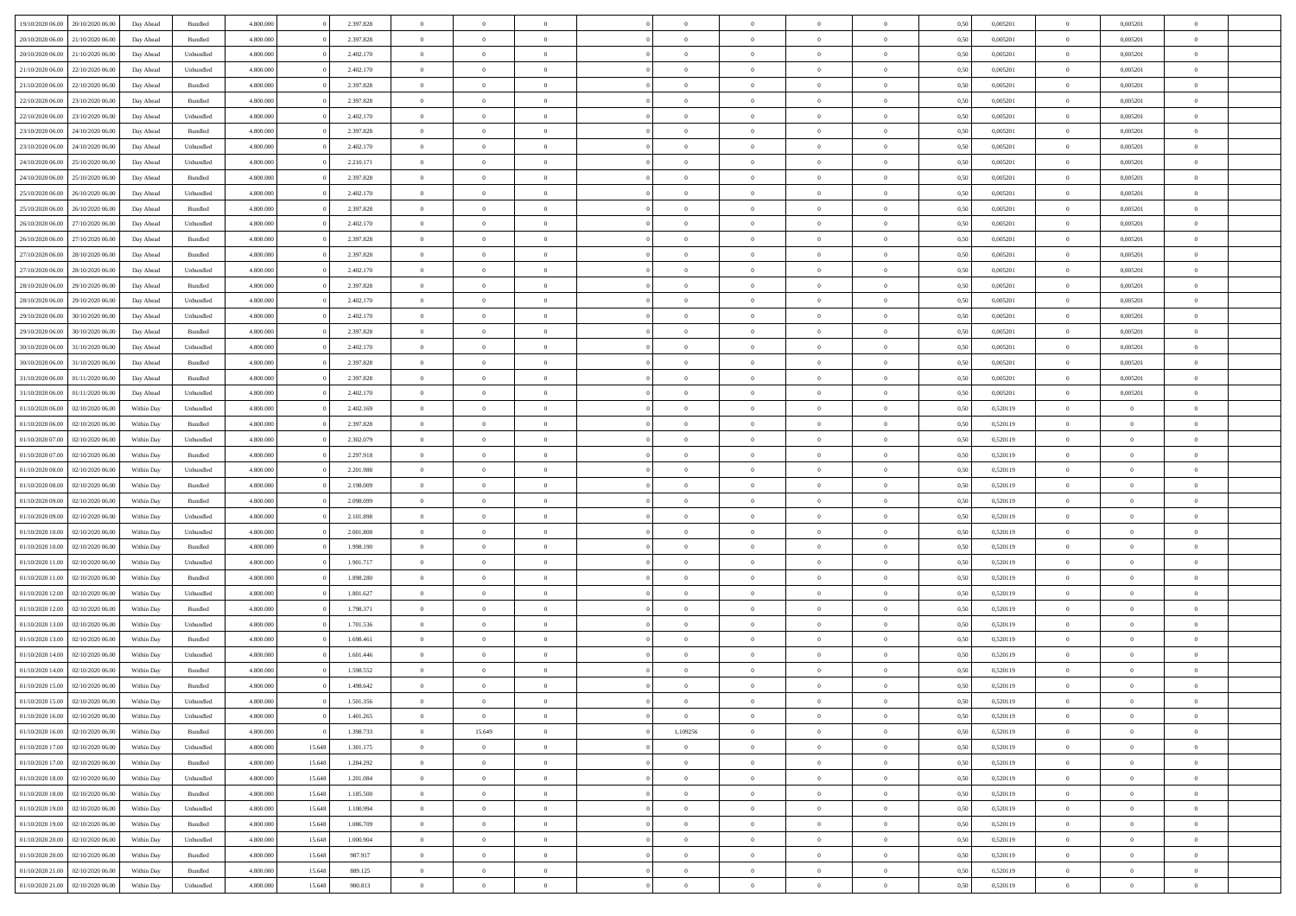| 19/10/2020 06.00   | 20/10/2020 06:00                  |            |           | 4.800.000 |        | 2.397.828 | $\overline{0}$ | $\overline{0}$ |                |                | $\theta$       | $\theta$       | $\overline{0}$ | 0,50 | 0,005201 | $\bf{0}$          | 0,005201       | $\overline{0}$ |  |
|--------------------|-----------------------------------|------------|-----------|-----------|--------|-----------|----------------|----------------|----------------|----------------|----------------|----------------|----------------|------|----------|-------------------|----------------|----------------|--|
|                    |                                   | Day Ahead  | Bundled   |           |        |           |                |                |                |                |                |                |                |      |          |                   |                |                |  |
| 20/10/2020 06.00   | 21/10/2020 06.0                   | Day Ahead  | Bundled   | 4.800.000 |        | 2.397.828 | $\overline{0}$ | $\overline{0}$ | $\overline{0}$ | $\Omega$       | $\bf{0}$       | $\overline{0}$ | $\bf{0}$       | 0,50 | 0,005201 | $\bf{0}$          | 0,005201       | $\overline{0}$ |  |
| 20/10/2020 06:00   | 21/10/2020 06:00                  | Day Ahead  | Unbundled | 4.800,000 |        | 2.402.170 | $\overline{0}$ | $\overline{0}$ | $\overline{0}$ | $\overline{0}$ | $\bf{0}$       | $\overline{0}$ | $\mathbf{0}$   | 0.50 | 0.005201 | $\bf{0}$          | 0.005201       | $\bf{0}$       |  |
| 21/10/2020 06:00   | 22/10/2020 06.00                  | Day Ahead  | Unbundled | 4.800.000 |        | 2.402.170 | $\overline{0}$ | $\overline{0}$ | $\overline{0}$ | $\overline{0}$ | $\bf{0}$       | $\overline{0}$ | $\theta$       | 0,50 | 0,005201 | $\,0\,$           | 0,005201       | $\overline{0}$ |  |
| 21/10/2020 06.00   | 22/10/2020 06.0                   | Day Ahead  | Bundled   | 4.800.000 |        | 2.397.828 | $\overline{0}$ | $\overline{0}$ | $\Omega$       |                | $\bf{0}$       | $\overline{0}$ | $\bf{0}$       | 0,50 | 0,005201 | $\bf{0}$          | 0,005201       | $\overline{0}$ |  |
|                    |                                   |            |           |           |        |           |                |                |                |                |                |                |                |      |          |                   |                |                |  |
| 22/10/2020 06:00   | 23/10/2020 06:00                  | Day Ahead  | Bundled   | 4.800,000 |        | 2.397.828 | $\overline{0}$ | $\overline{0}$ | $\Omega$       | $\Omega$       | $\bf{0}$       | $\overline{0}$ | $\bf{0}$       | 0.50 | 0.005201 | $\bf{0}$          | 0.005201       | $\bf{0}$       |  |
| 22/10/2020 06:00   | 23/10/2020 06.00                  | Day Ahead  | Unbundled | 4.800.000 |        | 2.402.170 | $\overline{0}$ | $\overline{0}$ | $\overline{0}$ | $\overline{0}$ | $\bf{0}$       | $\overline{0}$ | $\bf{0}$       | 0,50 | 0,005201 | $\,0\,$           | 0,005201       | $\overline{0}$ |  |
| 23/10/2020 06:00   | 24/10/2020 06.00                  | Day Ahead  | Bundled   | 4.800.000 |        | 2.397.828 | $\overline{0}$ | $\overline{0}$ | $\Omega$       |                | $\bf{0}$       | $\overline{0}$ | $\bf{0}$       | 0,50 | 0,005201 | $\bf{0}$          | 0,005201       | $\bf{0}$       |  |
| 23/10/2020 06.00   | 24/10/2020 06.00                  | Day Ahead  | Unbundled | 4.800,000 |        | 2.402.170 | $\overline{0}$ | $\overline{0}$ | $\overline{0}$ | $\overline{0}$ | $\overline{0}$ | $\overline{0}$ | $\bf{0}$       | 0.50 | 0.005201 | $\bf{0}$          | 0.005201       | $\bf{0}$       |  |
| 24/10/2020 06.00   | 25/10/2020 06.00                  | Day Ahead  | Unbundled | 4.800.000 |        | 2.210.171 | $\overline{0}$ | $\overline{0}$ | $\overline{0}$ | $\overline{0}$ | $\bf{0}$       | $\overline{0}$ | $\bf{0}$       | 0,50 | 0,005201 | $\,0\,$           | 0,005201       | $\overline{0}$ |  |
| 24/10/2020 06.00   | 25/10/2020 06.00                  | Day Ahead  | Bundled   | 4.800.000 |        | 2.397.828 | $\overline{0}$ | $\overline{0}$ | $\overline{0}$ |                | $\bf{0}$       | $\overline{0}$ | $\bf{0}$       | 0,50 | 0,005201 | $\bf{0}$          | 0,005201       | $\bf{0}$       |  |
|                    |                                   |            |           |           |        |           |                |                |                |                |                |                |                |      |          |                   |                |                |  |
| 25/10/2020 06.00   | 26/10/2020 06:00                  | Day Ahead  | Unbundled | 4.800,000 |        | 2.402.170 | $\overline{0}$ | $\overline{0}$ | $\overline{0}$ | $\overline{0}$ | $\bf{0}$       | $\overline{0}$ | $\mathbf{0}$   | 0.50 | 0.005201 | $\bf{0}$          | 0.005201       | $\bf{0}$       |  |
| 25/10/2020 06:00   | 26/10/2020 06.00                  | Day Ahead  | Bundled   | 4.800.000 |        | 2.397.828 | $\overline{0}$ | $\overline{0}$ | $\overline{0}$ | $\overline{0}$ | $\bf{0}$       | $\overline{0}$ | $\theta$       | 0,50 | 0,005201 | $\,0\,$           | 0,005201       | $\overline{0}$ |  |
| 26/10/2020 06.00   | 27/10/2020 06.00                  | Day Ahead  | Unbundled | 4.800.000 |        | 2.402.170 | $\overline{0}$ | $\overline{0}$ | $\overline{0}$ |                | $\bf{0}$       | $\overline{0}$ | $\bf{0}$       | 0,50 | 0,005201 | $\bf{0}$          | 0,005201       | $\overline{0}$ |  |
| 26/10/2020 06:00   | 27/10/2020 06.00                  | Day Ahead  | Bundled   | 4.800,000 |        | 2.397.828 | $\overline{0}$ | $\overline{0}$ | $\Omega$       | $\Omega$       | $\bf{0}$       | $\overline{0}$ | $\mathbf{0}$   | 0.50 | 0.005201 | $\bf{0}$          | 0.005201       | $\bf{0}$       |  |
| 27/10/2020 06:00   | 28/10/2020 06.00                  | Day Ahead  | Bundled   | 4.800.000 |        | 2.397.828 | $\overline{0}$ | $\overline{0}$ | $\overline{0}$ | $\overline{0}$ | $\bf{0}$       | $\overline{0}$ | $\bf{0}$       | 0,50 | 0,005201 | $\bf{0}$          | 0,005201       | $\overline{0}$ |  |
| 27/10/2020 06.00   | 28/10/2020 06.0                   | Day Ahead  | Unbundled | 4.800.000 |        | 2.402.170 | $\overline{0}$ | $\overline{0}$ | $\overline{0}$ |                | $\bf{0}$       | $\overline{0}$ | $\bf{0}$       | 0,50 | 0,005201 | $\bf{0}$          | 0,005201       | $\overline{0}$ |  |
| 28/10/2020 06.00   | 29/10/2020 06:00                  | Day Ahead  | Bundled   | 4.800,000 |        | 2.397.828 | $\overline{0}$ | $\overline{0}$ | $\overline{0}$ | $\overline{0}$ | $\bf{0}$       | $\overline{0}$ | $\bf{0}$       | 0.50 | 0.005201 | $\bf{0}$          | 0.005201       | $\bf{0}$       |  |
|                    |                                   |            |           |           |        |           | $\overline{0}$ |                | $\overline{0}$ | $\overline{0}$ |                |                | $\overline{0}$ |      |          | $\,0\,$           |                | $\overline{0}$ |  |
| 28/10/2020 06:00   | 29/10/2020 06.00                  | Day Ahead  | Unbundled | 4.800.000 |        | 2.402.170 |                | $\overline{0}$ |                |                | $\bf{0}$       | $\overline{0}$ |                | 0,50 | 0,005201 |                   | 0,005201       |                |  |
| 29/10/2020 06.00   | 30/10/2020 06.00                  | Day Ahead  | Unbundled | 4.800.000 |        | 2.402.170 | $\overline{0}$ | $\bf{0}$       | $\overline{0}$ |                | $\bf{0}$       | $\overline{0}$ | $\bf{0}$       | 0,50 | 0,005201 | $\bf{0}$          | 0,005201       | $\,$ 0         |  |
| 29/10/2020 06.00   | 30/10/2020 06:00                  | Day Ahead  | Bundled   | 4.800,000 |        | 2.397.828 | $\overline{0}$ | $\overline{0}$ | $\overline{0}$ | $\overline{0}$ | $\bf{0}$       | $\overline{0}$ | $\mathbf{0}$   | 0.50 | 0.005201 | $\bf{0}$          | 0.005201       | $\bf{0}$       |  |
| 30/10/2020 06.00   | 31/10/2020 06.00                  | Day Ahead  | Unbundled | 4.800.000 |        | 2.402.170 | $\overline{0}$ | $\overline{0}$ | $\overline{0}$ | $\overline{0}$ | $\bf{0}$       | $\overline{0}$ | $\theta$       | 0,50 | 0,005201 | $\,0\,$           | 0,005201       | $\overline{0}$ |  |
| 30/10/2020 06.00   | 31/10/2020 06.00                  | Day Ahead  | Bundled   | 4.800.000 |        | 2.397.828 | $\overline{0}$ | $\overline{0}$ | $\overline{0}$ |                | $\bf{0}$       | $\overline{0}$ | $\bf{0}$       | 0,50 | 0,005201 | $\bf{0}$          | 0,005201       | $\overline{0}$ |  |
| 31/10/2020 06.00   | 01/11/2020 06:00                  | Day Ahead  | Bundled   | 4.800,000 |        | 2.397.828 | $\overline{0}$ | $\overline{0}$ | $\Omega$       | $\Omega$       | $\bf{0}$       | $\overline{0}$ | $\bf{0}$       | 0.50 | 0.005201 | $\bf{0}$          | 0.005201       | $\bf{0}$       |  |
| 31/10/2020 06.00   | 01/11/2020 06.00                  | Day Ahead  | Unbundled | 4.800.000 |        | 2.402.170 | $\overline{0}$ | $\overline{0}$ | $\overline{0}$ | $\overline{0}$ | $\bf{0}$       | $\overline{0}$ | $\overline{0}$ | 0,50 | 0,005201 | $\,0\,$           | 0,005201       | $\overline{0}$ |  |
|                    |                                   |            |           |           |        |           |                |                |                |                |                |                |                |      |          |                   |                |                |  |
| 01/10/2020 06.00   | 02/10/2020 06.00                  | Within Day | Unbundled | 4.800.000 |        | 2.402.169 | $\overline{0}$ | $\overline{0}$ | $\overline{0}$ |                | $\bf{0}$       | $\overline{0}$ | $\bf{0}$       | 0,50 | 0,520119 | $\bf{0}$          | $\overline{0}$ | $\bf{0}$       |  |
| 01/10/2020 06.00   | 02/10/2020 06:00                  | Within Day | Bundled   | 4.800,000 |        | 2.397.828 | $\overline{0}$ | $\overline{0}$ | $\overline{0}$ | $\overline{0}$ | $\bf{0}$       | $\overline{0}$ | $\bf{0}$       | 0.50 | 0.520119 | $\bf{0}$          | $\overline{0}$ | $\bf{0}$       |  |
| 01/10/2020 07.00   | 02/10/2020 06.00                  | Within Day | Unbundled | 4.800.000 |        | 2.302.079 | $\overline{0}$ | $\overline{0}$ | $\overline{0}$ | $\overline{0}$ | $\bf{0}$       | $\overline{0}$ | $\overline{0}$ | 0,50 | 0,520119 | $\,0\,$           | $\overline{0}$ | $\overline{0}$ |  |
| 01/10/2020 07.00   | 02/10/2020 06.00                  | Within Day | Bundled   | 4.800.000 |        | 2.297.918 | $\overline{0}$ | $\bf{0}$       | $\overline{0}$ | $\overline{0}$ | $\bf{0}$       | $\overline{0}$ | $\bf{0}$       | 0,50 | 0,520119 | $\bf{0}$          | $\overline{0}$ | $\bf{0}$       |  |
| 01/10/2020 08:00   | 02/10/2020 06:00                  | Within Day | Unbundled | 4.800,000 |        | 2.201.988 | $\overline{0}$ | $\overline{0}$ | $\overline{0}$ | $\overline{0}$ | $\bf{0}$       | $\overline{0}$ | $\mathbf{0}$   | 0.50 | 0,520119 | $\bf{0}$          | $\overline{0}$ | $\bf{0}$       |  |
| 01/10/2020 08:00   | 02/10/2020 06:00                  | Within Dav | Bundled   | 4.800.000 |        | 2.198.009 | $\overline{0}$ | $\overline{0}$ | $\overline{0}$ | $\Omega$       | $\overline{0}$ | $\overline{0}$ | $\overline{0}$ | 0,50 | 0,520119 | $\mathbf{0}$      | $\overline{0}$ | $\overline{0}$ |  |
| 01/10/2020 09:00   | 02/10/2020 06.00                  | Within Day | Bundled   | 4.800.000 |        | 2.098.099 | $\overline{0}$ | $\overline{0}$ | $\overline{0}$ |                | $\bf{0}$       | $\overline{0}$ | $\bf{0}$       | 0,50 | 0,520119 | $\bf{0}$          | $\overline{0}$ | $\bf{0}$       |  |
|                    |                                   |            |           |           |        |           |                |                |                |                |                |                |                |      |          |                   |                |                |  |
| 01/10/2020 09:00   | 02/10/2020 06:00                  | Within Day | Unbundled | 4.800,000 |        | 2.101.898 | $\overline{0}$ | $\overline{0}$ | $\overline{0}$ | $\Omega$       | $\bf{0}$       | $\overline{0}$ | $\bf{0}$       | 0.50 | 0.520119 | $\bf{0}$          | $\overline{0}$ | $\bf{0}$       |  |
| 01/10/2020 10:00   | 02/10/2020 06.00                  | Within Dav | Unbundled | 4.800.000 |        | 2.001.808 | $\overline{0}$ | $\overline{0}$ | $\theta$       | $\Omega$       | $\overline{0}$ | $\overline{0}$ | $\overline{0}$ | 0,50 | 0,520119 | $\mathbf{0}$      | $\overline{0}$ | $\overline{0}$ |  |
| 01/10/2020 10:00   | 02/10/2020 06.00                  | Within Day | Bundled   | 4.800.000 |        | 1.998.190 | $\overline{0}$ | $\overline{0}$ | $\overline{0}$ |                | $\bf{0}$       | $\overline{0}$ | $\bf{0}$       | 0,50 | 0,520119 | $\bf{0}$          | $\overline{0}$ | $\bf{0}$       |  |
| 01/10/2020 11:00   | 02/10/2020 06:00                  | Within Day | Unbundled | 4.800,000 |        | 1.901.717 | $\overline{0}$ | $\overline{0}$ | $\overline{0}$ | $\overline{0}$ | $\bf{0}$       | $\overline{0}$ | $\bf{0}$       | 0.50 | 0.520119 | $\bf{0}$          | $\overline{0}$ | $\bf{0}$       |  |
| 01/10/2020 11:00   | 02/10/2020 06.00                  | Within Dav | Bundled   | 4.800.000 |        | 1.898.280 | $\overline{0}$ | $\overline{0}$ | $\overline{0}$ | $\Omega$       | $\overline{0}$ | $\overline{0}$ | $\overline{0}$ | 0,50 | 0,520119 | $\mathbf{0}$      | $\overline{0}$ | $\overline{0}$ |  |
| 01/10/2020 12:00   | 02/10/2020 06.00                  | Within Day | Unbundled | 4.800.000 |        | 1.801.627 | $\overline{0}$ | $\overline{0}$ | $\overline{0}$ | $\overline{0}$ | $\bf{0}$       | $\overline{0}$ | $\bf{0}$       | 0,50 | 0,520119 | $\bf{0}$          | $\overline{0}$ | $\bf{0}$       |  |
|                    | 02/10/2020 06:00                  |            |           | 4.800,000 |        | 1.798.371 |                | $\overline{0}$ | $\overline{0}$ | $\overline{0}$ | $\bf{0}$       |                | $\mathbf{0}$   | 0.50 |          | $\bf{0}$          | $\overline{0}$ |                |  |
| 01/10/2020 12:00   |                                   | Within Day | Bundled   |           |        |           | $\overline{0}$ |                |                |                |                | $\overline{0}$ |                |      | 0,520119 |                   |                | $\bf{0}$       |  |
| 01/10/2020 13:00   | 02/10/2020 06:00                  | Within Dav | Unbundled | 4.800.000 |        | 1.701.536 | $\overline{0}$ | $\overline{0}$ | $\theta$       | $\Omega$       | $\overline{0}$ | $\overline{0}$ | $\overline{0}$ | 0,50 | 0,520119 | $\mathbf{0}$      | $\overline{0}$ | $\overline{0}$ |  |
| 01/10/2020 13.00   | 02/10/2020 06.00                  | Within Day | Bundled   | 4.800.000 |        | 1.698.461 | $\overline{0}$ | $\bf{0}$       | $\overline{0}$ | $\Omega$       | $\bf{0}$       | $\overline{0}$ | $\bf{0}$       | 0,50 | 0,520119 | $\bf{0}$          | $\overline{0}$ | $\bf{0}$       |  |
| 01/10/2020 14:00   | 02/10/2020 06:00                  | Within Day | Unbundled | 4.800,000 |        | 1.601.446 | $\overline{0}$ | $\overline{0}$ | $\Omega$       | $\Omega$       | $\overline{0}$ | $\overline{0}$ | $\mathbf{0}$   | 0.50 | 0.520119 | $\bf{0}$          | $\overline{0}$ | $\bf{0}$       |  |
| 01/10/2020 14:00   | 02/10/2020 06:00                  | Within Dav | Bundled   | 4.800.000 |        | 1.598.552 | $\overline{0}$ | $\Omega$       | $\theta$       | $\Omega$       | $\overline{0}$ | $\overline{0}$ | $\theta$       | 0.50 | 0,520119 | $\mathbf{0}$      | $\overline{0}$ | $\overline{0}$ |  |
| 01/10/2020 15:00   | 02/10/2020 06.00                  | Within Day | Bundled   | 4.800.000 |        | 1.498.642 | $\overline{0}$ | $\bf{0}$       | $\overline{0}$ | $\overline{0}$ | $\bf{0}$       | $\overline{0}$ | $\bf{0}$       | 0,50 | 0,520119 | $\bf{0}$          | $\overline{0}$ | $\bf{0}$       |  |
| $01/10/2020$ 15.00 | 02/10/2020 06:00                  | Within Day | Unbundled | 4.800.000 |        | 1.501.356 | $\bf{0}$       | $\overline{0}$ |                |                |                |                |                | 0,50 | 0,520119 | $\Omega$          | $\Omega$       |                |  |
|                    | 01/10/2020 16:00 02/10/2020 06:00 | Within Day | Unbundled | 4.800.000 |        | 1.401.265 | $\overline{0}$ | $\overline{0}$ | $\overline{0}$ | $\Omega$       | $\overline{0}$ | $\overline{0}$ | $\overline{0}$ | 0,50 | 0,520119 | $\overline{0}$    | $\theta$       | $\bf{0}$       |  |
|                    |                                   |            |           |           |        |           |                |                |                |                |                |                |                |      |          |                   |                |                |  |
| 01/10/2020 16.00   | 02/10/2020 06.00                  | Within Day | Bundled   | 4.800.000 |        | 1.398.733 | $\overline{0}$ | 15.649         | $\overline{0}$ | 1,109256       | $\overline{0}$ | $\overline{0}$ | $\bf{0}$       | 0,50 | 0,520119 | $\bf{0}$          | $\bf{0}$       | $\bf{0}$       |  |
| 01/10/2020 17.00   | 02/10/2020 06:00                  | Within Day | Unbundled | 4.800.000 | 15.648 | 1.301.175 | $\overline{0}$ | $\overline{0}$ | $\overline{0}$ | $\overline{0}$ | $\bf{0}$       | $\overline{0}$ | $\bf{0}$       | 0.50 | 0,520119 | $\hspace{0.1mm}0$ | $\overline{0}$ | $\,$ 0 $\,$    |  |
| 01/10/2020 17:00   | 02/10/2020 06:00                  | Within Day | Bundled   | 4.800.000 | 15.648 | 1.284.292 | $\overline{0}$ | $\overline{0}$ | $\overline{0}$ | $\overline{0}$ | $\overline{0}$ | $\overline{0}$ | $\mathbf{0}$   | 0,50 | 0,520119 | $\overline{0}$    | $\overline{0}$ | $\bf{0}$       |  |
| 01/10/2020 18:00   | 02/10/2020 06.00                  | Within Day | Unbundled | 4.800.000 | 15.648 | 1.201.084 | $\overline{0}$ | $\overline{0}$ | $\overline{0}$ | $\overline{0}$ | $\bf{0}$       | $\overline{0}$ | $\bf{0}$       | 0,50 | 0,520119 | $\,$ 0 $\,$       | $\bf{0}$       | $\bf{0}$       |  |
| 01/10/2020 18.00   | 02/10/2020 06:00                  | Within Day | Bundled   | 4.800,000 | 15.648 | 1.185.500 | $\overline{0}$ | $\overline{0}$ | $\overline{0}$ | $\overline{0}$ | $\,$ 0 $\,$    | $\overline{0}$ | $\mathbf{0}$   | 0.50 | 0,520119 | $\,$ 0 $\,$       | $\bf{0}$       | $\bf{0}$       |  |
| 01/10/2020 19:00   | 02/10/2020 06:00                  | Within Day | Unbundled | 4.800.000 | 15.648 | 1.100.994 | $\overline{0}$ | $\overline{0}$ | $\overline{0}$ | $\overline{0}$ | $\overline{0}$ | $\overline{0}$ | $\overline{0}$ | 0,50 | 0,520119 | $\overline{0}$    | $\overline{0}$ | $\bf{0}$       |  |
| 01/10/2020 19:00   | 02/10/2020 06.00                  | Within Day | Bundled   | 4.800.000 | 15.648 | 1.086.709 | $\overline{0}$ | $\overline{0}$ | $\overline{0}$ | $\overline{0}$ | $\,$ 0         | $\overline{0}$ | $\bf{0}$       | 0,50 | 0,520119 | $\bf{0}$          | $\overline{0}$ | $\bf{0}$       |  |
|                    |                                   |            |           |           |        |           |                |                |                |                |                |                |                |      |          |                   |                |                |  |
| 01/10/2020 20:00   | 02/10/2020 06:00                  | Within Day | Unbundled | 4.800,000 | 15.648 | 1.000.904 | $\overline{0}$ | $\overline{0}$ | $\overline{0}$ | $\overline{0}$ | $\,$ 0 $\,$    | $\overline{0}$ | $\overline{0}$ | 0.50 | 0.520119 | $\overline{0}$    | $\,$ 0 $\,$    | $\bf{0}$       |  |
| 01/10/2020 20:00   | 02/10/2020 06:00                  | Within Day | Bundled   | 4.800.000 | 15.648 | 987.917   | $\overline{0}$ | $\overline{0}$ | $\overline{0}$ | $\overline{0}$ | $\overline{0}$ | $\overline{0}$ | $\overline{0}$ | 0,50 | 0,520119 | $\overline{0}$    | $\theta$       | $\bf{0}$       |  |
| 01/10/2020 21.00   | 02/10/2020 06.00                  | Within Day | Bundled   | 4.800.000 | 15.648 | 889.125   | $\overline{0}$ | $\bf{0}$       | $\overline{0}$ | $\overline{0}$ | $\bf{0}$       | $\overline{0}$ | $\bf{0}$       | 0,50 | 0,520119 | $\,$ 0 $\,$       | $\bf{0}$       | $\bf{0}$       |  |
|                    | 01/10/2020 21.00 02/10/2020 06.00 | Within Day | Unbundled | 4.800.000 | 15.648 | 900.813   | $\,$ 0 $\,$    | $\overline{0}$ | $\overline{0}$ | $\overline{0}$ | $\,$ 0 $\,$    | $\,$ 0 $\,$    | $\overline{0}$ | 0,50 | 0,520119 | $\,$ 0 $\,$       | $\overline{0}$ | $\,$ 0 $\,$    |  |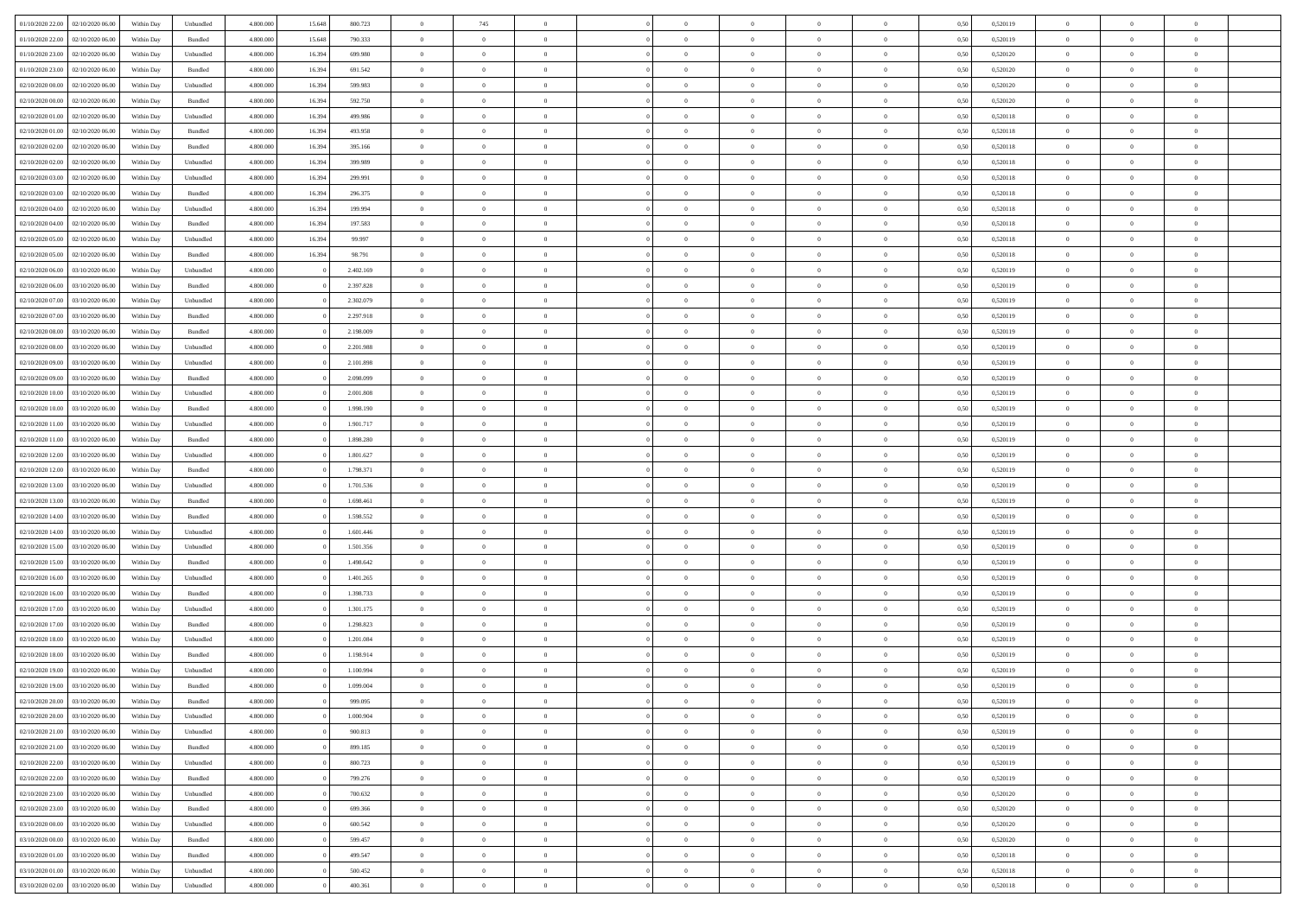|                                   |                  |            |                    |           |        |           | $\overline{0}$ |                |                |                | $\Omega$       | $\Omega$       | $\theta$       |      |          | $\theta$       |                | $\theta$       |  |
|-----------------------------------|------------------|------------|--------------------|-----------|--------|-----------|----------------|----------------|----------------|----------------|----------------|----------------|----------------|------|----------|----------------|----------------|----------------|--|
| 01/10/2020 22.00                  | 02/10/2020 06.00 | Within Dav | Unbundled          | 4.800.000 | 15.648 | 800.723   |                | 745            |                | $\Omega$       |                |                |                | 0.50 | 0,520119 |                | $\theta$       |                |  |
| 01/10/2020 22.00                  | 02/10/2020 06.00 | Within Day | Bundled            | 4.800.000 | 15.648 | 790.333   | $\overline{0}$ | $\theta$       | $\overline{0}$ | $\overline{0}$ | $\bf{0}$       | $\overline{0}$ | $\bf{0}$       | 0,50 | 0,520119 | $\theta$       | $\theta$       | $\overline{0}$ |  |
| 01/10/2020 23.00                  | 02/10/2020 06.00 | Within Day | Unbundled          | 4.800.000 | 16.394 | 699.980   | $\overline{0}$ | $\overline{0}$ | $\overline{0}$ | $\bf{0}$       | $\bf{0}$       | $\bf{0}$       | $\bf{0}$       | 0,50 | 0,520120 | $\bf{0}$       | $\overline{0}$ | $\overline{0}$ |  |
|                                   |                  |            |                    |           |        |           |                |                |                |                |                |                |                |      |          | $\theta$       |                |                |  |
| 01/10/2020 23.00                  | 02/10/2020 06.00 | Within Dav | Bundled            | 4.800.000 | 16.394 | 691.542   | $\overline{0}$ | $\overline{0}$ | $\overline{0}$ | $\overline{0}$ | $\bf{0}$       | $\overline{0}$ | $\overline{0}$ | 0.50 | 0.520120 |                | $\theta$       | $\overline{0}$ |  |
| 02/10/2020 00.00                  | 02/10/2020 06.00 | Within Day | Unbundled          | 4.800.000 | 16.394 | 599.983   | $\overline{0}$ | $\theta$       | $\overline{0}$ | $\overline{0}$ | $\bf{0}$       | $\overline{0}$ | $\bf{0}$       | 0,50 | 0,520120 | $\theta$       | $\theta$       | $\overline{0}$ |  |
| 02/10/2020 00.00                  | 02/10/2020 06.00 | Within Day | Bundled            | 4.800.000 | 16.394 | 592.750   | $\overline{0}$ | $\bf{0}$       | $\overline{0}$ | $\bf{0}$       | $\overline{0}$ | $\overline{0}$ | $\mathbf{0}$   | 0,50 | 0,520120 | $\overline{0}$ | $\overline{0}$ | $\bf{0}$       |  |
| 02/10/2020 01:00                  | 02/10/2020 06.00 | Within Dav | Unbundled          | 4.800.000 | 16.394 | 499,986   | $\overline{0}$ | $\overline{0}$ | $\overline{0}$ | $\overline{0}$ | $\overline{0}$ | $\overline{0}$ | $\overline{0}$ | 0.50 | 0,520118 | $\theta$       | $\overline{0}$ | $\overline{0}$ |  |
|                                   |                  |            |                    |           |        |           |                |                |                |                |                |                |                |      |          |                |                |                |  |
| 02/10/2020 01:00                  | 02/10/2020 06.00 | Within Day | Bundled            | 4.800.000 | 16.394 | 493.958   | $\overline{0}$ | $\theta$       | $\overline{0}$ | $\overline{0}$ | $\bf{0}$       | $\overline{0}$ | $\bf{0}$       | 0,50 | 0,520118 | $\theta$       | $\theta$       | $\overline{0}$ |  |
| 02/10/2020 02.00                  | 02/10/2020 06.00 | Within Day | Bundled            | 4.800.000 | 16.394 | 395.166   | $\overline{0}$ | $\overline{0}$ | $\overline{0}$ | $\bf{0}$       | $\bf{0}$       | $\bf{0}$       | $\bf{0}$       | 0,50 | 0,520118 | $\,0\,$        | $\overline{0}$ | $\overline{0}$ |  |
| 02/10/2020 02.00                  | 02/10/2020 06:00 | Within Dav | Unbundled          | 4.800.000 | 16.394 | 399,989   | $\overline{0}$ | $\overline{0}$ | $\overline{0}$ | $\overline{0}$ | $\overline{0}$ | $\overline{0}$ | $\overline{0}$ | 0.50 | 0,520118 | $\theta$       | $\overline{0}$ | $\overline{0}$ |  |
|                                   |                  |            |                    |           |        |           |                |                |                |                |                |                |                |      |          |                |                |                |  |
| 02/10/2020 03:00                  | 02/10/2020 06.00 | Within Day | Unbundled          | 4.800.000 | 16.394 | 299.991   | $\overline{0}$ | $\theta$       | $\overline{0}$ | $\overline{0}$ | $\bf{0}$       | $\overline{0}$ | $\bf{0}$       | 0,50 | 0,520118 | $\,$ 0 $\,$    | $\theta$       | $\overline{0}$ |  |
| 02/10/2020 03.00                  | 02/10/2020 06.00 | Within Day | Bundled            | 4.800.000 | 16.394 | 296.375   | $\overline{0}$ | $\overline{0}$ | $\overline{0}$ | $\bf{0}$       | $\bf{0}$       | $\bf{0}$       | $\bf{0}$       | 0,50 | 0,520118 | $\overline{0}$ | $\overline{0}$ | $\overline{0}$ |  |
| 02/10/2020 04:00                  | 02/10/2020 06.00 | Within Day | Unbundled          | 4.800.000 | 16.394 | 199,994   | $\overline{0}$ | $\overline{0}$ | $\overline{0}$ | $\overline{0}$ | $\bf{0}$       | $\overline{0}$ | $\overline{0}$ | 0.50 | 0.520118 | $\theta$       | $\theta$       | $\overline{0}$ |  |
|                                   |                  |            |                    |           |        |           |                |                |                |                |                |                |                |      |          |                |                |                |  |
| 02/10/2020 04:00                  | 02/10/2020 06.00 | Within Day | Bundled            | 4.800.000 | 16.394 | 197.583   | $\overline{0}$ | $\theta$       | $\overline{0}$ | $\overline{0}$ | $\bf{0}$       | $\overline{0}$ | $\bf{0}$       | 0,50 | 0,520118 | $\theta$       | $\theta$       | $\overline{0}$ |  |
| 02/10/2020 05:00                  | 02/10/2020 06.00 | Within Day | Unbundled          | 4.800.000 | 16.394 | 99.997    | $\overline{0}$ | $\bf{0}$       | $\overline{0}$ | $\bf{0}$       | $\overline{0}$ | $\overline{0}$ | $\mathbf{0}$   | 0,50 | 0,520118 | $\overline{0}$ | $\overline{0}$ | $\bf{0}$       |  |
| 02/10/2020 05:00                  | 02/10/2020 06:00 | Within Dav | Bundled            | 4.800.000 | 16.394 | 98.791    | $\overline{0}$ | $\overline{0}$ | $\overline{0}$ | $\overline{0}$ | $\overline{0}$ | $\overline{0}$ | $\overline{0}$ | 0.50 | 0,520118 | $\theta$       | $\overline{0}$ | $\overline{0}$ |  |
| 02/10/2020 06.00                  | 03/10/2020 06.00 | Within Day | Unbundled          | 4.800.000 |        | 2.402.169 | $\overline{0}$ | $\theta$       | $\overline{0}$ | $\overline{0}$ | $\bf{0}$       | $\overline{0}$ | $\bf{0}$       | 0,50 | 0,520119 | $\,$ 0 $\,$    | $\theta$       | $\overline{0}$ |  |
|                                   |                  |            |                    |           |        |           |                |                |                |                |                |                |                |      |          |                |                |                |  |
| 02/10/2020 06.00                  | 03/10/2020 06.00 | Within Day | Bundled            | 4.800.000 |        | 2.397.828 | $\overline{0}$ | $\overline{0}$ | $\overline{0}$ | $\bf{0}$       | $\bf{0}$       | $\bf{0}$       | $\bf{0}$       | 0,50 | 0,520119 | $\,0\,$        | $\overline{0}$ | $\overline{0}$ |  |
| 02/10/2020 07.00                  | 03/10/2020 06:00 | Within Day | Unbundled          | 4.800.000 |        | 2.302.079 | $\overline{0}$ | $\overline{0}$ | $\overline{0}$ | $\overline{0}$ | $\overline{0}$ | $\overline{0}$ | $\overline{0}$ | 0.50 | 0,520119 | $\theta$       | $\overline{0}$ | $\overline{0}$ |  |
| 02/10/2020 07:00                  | 03/10/2020 06.00 | Within Day | Bundled            | 4.800.000 |        | 2.297.918 | $\overline{0}$ | $\theta$       | $\overline{0}$ | $\overline{0}$ | $\bf{0}$       | $\overline{0}$ | $\bf{0}$       | 0,50 | 0,520119 | $\,$ 0 $\,$    | $\theta$       | $\overline{0}$ |  |
|                                   |                  |            |                    |           |        |           |                |                |                |                |                |                |                |      |          |                |                |                |  |
| 02/10/2020 08.00                  | 03/10/2020 06.00 | Within Day | Bundled            | 4.800.000 |        | 2.198.009 | $\overline{0}$ | $\overline{0}$ | $\overline{0}$ | $\bf{0}$       | $\bf{0}$       | $\bf{0}$       | $\bf{0}$       | 0,50 | 0,520119 | $\bf{0}$       | $\overline{0}$ | $\overline{0}$ |  |
| 02/10/2020 08:00                  | 03/10/2020 06:00 | Within Day | Unbundled          | 4.800.000 |        | 2.201.988 | $\overline{0}$ | $\overline{0}$ | $\overline{0}$ | $\overline{0}$ | $\bf{0}$       | $\overline{0}$ | $\overline{0}$ | 0.50 | 0.520119 | $\theta$       | $\theta$       | $\overline{0}$ |  |
| 02/10/2020 09:00                  | 03/10/2020 06.00 | Within Day | Unbundled          | 4.800.000 |        | 2.101.898 | $\overline{0}$ | $\theta$       | $\overline{0}$ | $\overline{0}$ | $\bf{0}$       | $\overline{0}$ | $\bf{0}$       | 0,50 | 0,520119 | $\,$ 0 $\,$    | $\overline{0}$ | $\overline{0}$ |  |
|                                   |                  |            |                    |           |        |           |                | $\bf{0}$       |                |                |                |                |                |      |          |                | $\overline{0}$ | $\bf{0}$       |  |
| 02/10/2020 09:00                  | 03/10/2020 06.00 | Within Day | Bundled            | 4.800.000 |        | 2.098.099 | $\overline{0}$ |                | $\overline{0}$ | $\overline{0}$ | $\overline{0}$ | $\overline{0}$ | $\mathbf{0}$   | 0,50 | 0,520119 | $\overline{0}$ |                |                |  |
| 02/10/2020 10:00                  | 03/10/2020 06:00 | Within Dav | Unbundled          | 4.800.000 |        | 2.001.808 | $\overline{0}$ | $\overline{0}$ | $\overline{0}$ | $\overline{0}$ | $\overline{0}$ | $\overline{0}$ | $\overline{0}$ | 0.50 | 0,520119 | $\theta$       | $\overline{0}$ | $\overline{0}$ |  |
| 02/10/2020 10:00                  | 03/10/2020 06.00 | Within Day | Bundled            | 4.800.000 |        | 1.998.190 | $\overline{0}$ | $\theta$       | $\overline{0}$ | $\overline{0}$ | $\bf{0}$       | $\overline{0}$ | $\bf{0}$       | 0,50 | 0,520119 | $\theta$       | $\theta$       | $\overline{0}$ |  |
| 02/10/2020 11:00                  | 03/10/2020 06.00 | Within Day | Unbundled          | 4.800.000 |        | 1.901.717 | $\overline{0}$ | $\overline{0}$ | $\overline{0}$ | $\overline{0}$ | $\bf{0}$       | $\overline{0}$ | $\bf{0}$       | 0,50 | 0,520119 | $\,0\,$        | $\overline{0}$ | $\overline{0}$ |  |
|                                   |                  |            |                    |           |        |           |                |                |                |                |                |                |                |      |          |                |                |                |  |
| 02/10/2020 11:00                  | 03/10/2020 06:00 | Within Day | Bundled            | 4.800.000 |        | 1.898.280 | $\overline{0}$ | $\overline{0}$ | $\overline{0}$ | $\overline{0}$ | $\overline{0}$ | $\overline{0}$ | $\overline{0}$ | 0.50 | 0,520119 | $\theta$       | $\overline{0}$ | $\overline{0}$ |  |
| 02/10/2020 12:00                  | 03/10/2020 06.00 | Within Day | Unbundled          | 4.800.000 |        | 1.801.627 | $\overline{0}$ | $\theta$       | $\overline{0}$ | $\overline{0}$ | $\bf{0}$       | $\overline{0}$ | $\bf{0}$       | 0,50 | 0,520119 | $\,$ 0 $\,$    | $\overline{0}$ | $\overline{0}$ |  |
| 02/10/2020 12.00                  | 03/10/2020 06.00 | Within Day | Bundled            | 4.800.000 |        | 1.798.371 | $\overline{0}$ | $\overline{0}$ | $\overline{0}$ | $\overline{0}$ | $\bf{0}$       | $\overline{0}$ | $\bf{0}$       | 0,50 | 0,520119 | $\bf{0}$       | $\overline{0}$ | $\overline{0}$ |  |
|                                   |                  |            |                    |           |        |           |                |                |                |                |                |                |                |      |          |                |                | $\theta$       |  |
| 02/10/2020 13:00                  | 03/10/2020 06.00 | Within Day | Unbundled          | 4.800.000 |        | 1.701.536 | $\overline{0}$ | $\Omega$       | $\Omega$       | $\Omega$       | $\Omega$       | $\overline{0}$ | $\overline{0}$ | 0,50 | 0,520119 | $\,0\,$        | $\theta$       |                |  |
| 02/10/2020 13:00                  | 03/10/2020 06.00 | Within Day | Bundled            | 4.800.000 |        | 1.698.461 | $\overline{0}$ | $\theta$       | $\overline{0}$ | $\overline{0}$ | $\bf{0}$       | $\overline{0}$ | $\bf{0}$       | 0,50 | 0,520119 | $\,$ 0 $\,$    | $\theta$       | $\overline{0}$ |  |
| 02/10/2020 14:00                  | 03/10/2020 06.00 | Within Day | Bundled            | 4.800.000 |        | 1.598.552 | $\overline{0}$ | $\overline{0}$ | $\overline{0}$ | $\overline{0}$ | $\bf{0}$       | $\overline{0}$ | $\mathbf{0}$   | 0,50 | 0,520119 | $\overline{0}$ | $\overline{0}$ | $\bf{0}$       |  |
| 02/10/2020 14:00                  | 03/10/2020 06:00 | Within Day | Unbundled          | 4.800,000 |        | 1.601.446 | $\overline{0}$ | $\Omega$       | $\Omega$       | $\Omega$       | $\bf{0}$       | $\overline{0}$ | $\overline{0}$ | 0.50 | 0,520119 | $\,0\,$        | $\theta$       | $\theta$       |  |
|                                   |                  |            |                    |           |        |           |                |                |                |                |                |                |                |      |          |                |                |                |  |
| 02/10/2020 15:00                  | 03/10/2020 06.00 | Within Day | Unbundled          | 4.800.000 |        | 1.501.356 | $\overline{0}$ | $\theta$       | $\overline{0}$ | $\overline{0}$ | $\bf{0}$       | $\overline{0}$ | $\bf{0}$       | 0,50 | 0,520119 | $\,$ 0 $\,$    | $\theta$       | $\overline{0}$ |  |
| 02/10/2020 15:00                  | 03/10/2020 06.00 | Within Day | Bundled            | 4.800.000 |        | 1.498.642 | $\overline{0}$ | $\overline{0}$ | $\overline{0}$ | $\overline{0}$ | $\bf{0}$       | $\overline{0}$ | $\bf{0}$       | 0,50 | 0,520119 | $\,0\,$        | $\overline{0}$ | $\overline{0}$ |  |
| 02/10/2020 16:00                  | 03/10/2020 06:00 | Within Day | Unbundled          | 4.800,000 |        | 1.401.265 | $\overline{0}$ | $\Omega$       | $\Omega$       | $\Omega$       | $\theta$       | $\theta$       | $\overline{0}$ | 0.50 | 0,520119 | $\,0\,$        | $\theta$       | $\theta$       |  |
| 02/10/2020 16:00                  | 03/10/2020 06.00 | Within Day | Bundled            | 4.800.000 |        | 1.398.733 | $\overline{0}$ | $\theta$       | $\overline{0}$ | $\overline{0}$ | $\bf{0}$       | $\overline{0}$ | $\bf{0}$       | 0,50 | 0,520119 | $\,$ 0 $\,$    | $\overline{0}$ | $\overline{0}$ |  |
|                                   |                  |            |                    |           |        |           |                |                |                |                |                |                |                |      |          |                |                |                |  |
| 02/10/2020 17.00                  | 03/10/2020 06.00 | Within Day | Unbundled          | 4.800.000 |        | 1.301.175 | $\overline{0}$ | $\overline{0}$ | $\overline{0}$ | $\overline{0}$ | $\bf{0}$       | $\overline{0}$ | $\bf{0}$       | 0,50 | 0,520119 | $\overline{0}$ | $\overline{0}$ | $\overline{0}$ |  |
| 02/10/2020 17:00                  | 03/10/2020 06.00 | Within Day | Bundled            | 4.800,000 |        | 1.298.823 | $\overline{0}$ | $\Omega$       | $\overline{0}$ | $\Omega$       | $\overline{0}$ | $\overline{0}$ | $\overline{0}$ | 0,50 | 0,520119 | $\,0\,$        | $\theta$       | $\theta$       |  |
| 02/10/2020 18:00                  | 03/10/2020 06.00 | Within Day | Unbundled          | 4.800.000 |        | 1.201.084 | $\overline{0}$ | $\theta$       | $\overline{0}$ | $\overline{0}$ | $\,$ 0         | $\overline{0}$ | $\bf{0}$       | 0,50 | 0,520119 | $\,$ 0 $\,$    | $\overline{0}$ | $\overline{0}$ |  |
|                                   |                  |            |                    |           |        |           |                |                |                |                |                |                |                |      |          |                |                |                |  |
| 02/10/2020 18.00                  | 03/10/2020 06.00 | Within Day | Bundled            | 4.800.000 |        | 1.198.914 | $\overline{0}$ | $\overline{0}$ | $\overline{0}$ | $\bf{0}$       | $\bf{0}$       | $\bf{0}$       | $\mathbf{0}$   | 0,50 | 0,520119 | $\overline{0}$ | $\overline{0}$ | $\bf{0}$       |  |
| 02/10/2020 19:00                  | 03/10/2020 06:00 | Within Day | Unbundled          | 4.800,000 |        | 1.100.994 | $\overline{0}$ | $\Omega$       | $\Omega$       | $\Omega$       | $\Omega$       | $\Omega$       | $\overline{0}$ | 0.50 | 0,520119 | $\theta$       | $\theta$       | $\theta$       |  |
| 02/10/2020 19:00                  | 03/10/2020 06.00 | Within Day | Bundled            | 4.800.000 |        | 1.099.004 | $\overline{0}$ | $\overline{0}$ | $\overline{0}$ | $\bf{0}$       | $\,$ 0         | $\bf{0}$       | $\bf{0}$       | 0,50 | 0,520119 | $\,0\,$        | $\overline{0}$ | $\overline{0}$ |  |
| 02/10/2020 20:00 03/10/2020 06:00 |                  | Within Day | $\mathbf B$ undled | 4.800.000 |        | 999.095   | $\bf{0}$       | $\bf{0}$       |                |                |                |                |                | 0,50 | 0,520119 | $\bf{0}$       | $\overline{0}$ |                |  |
|                                   |                  |            |                    |           |        |           |                |                |                |                |                |                |                |      |          |                |                |                |  |
| 02/10/2020 20:00                  | 03/10/2020 06:00 | Within Day | Unbundled          | 4.800.000 |        | 1.000.904 | $\overline{0}$ | $\overline{0}$ | $\Omega$       | $\Omega$       | $\overline{0}$ | $\overline{0}$ | $\overline{0}$ | 0,50 | 0,520119 | $\theta$       | $\theta$       | $\theta$       |  |
| 02/10/2020 21.00                  | 03/10/2020 06.00 | Within Day | Unbundled          | 4.800.000 |        | 900.813   | $\overline{0}$ | $\,$ 0         | $\overline{0}$ | $\bf{0}$       | $\,$ 0 $\,$    | $\overline{0}$ | $\,$ 0 $\,$    | 0,50 | 0,520119 | $\,$ 0 $\,$    | $\,$ 0 $\,$    | $\,$ 0         |  |
| 02/10/2020 21:00                  | 03/10/2020 06.00 | Within Day | Bundled            | 4.800.000 |        | 899.185   | $\overline{0}$ | $\overline{0}$ | $\overline{0}$ | $\overline{0}$ | $\overline{0}$ | $\overline{0}$ | $\mathbf{0}$   | 0,50 | 0,520119 | $\overline{0}$ | $\bf{0}$       | $\bf{0}$       |  |
|                                   |                  |            |                    |           |        |           |                |                |                |                |                |                |                |      |          |                |                |                |  |
| 02/10/2020 22.00                  | 03/10/2020 06.00 | Within Day | Unbundled          | 4.800,000 |        | 800.723   | $\overline{0}$ | $\overline{0}$ | $\overline{0}$ | $\Omega$       | $\overline{0}$ | $\overline{0}$ | $\overline{0}$ | 0,50 | 0,520119 | $\overline{0}$ | $\theta$       | $\overline{0}$ |  |
| 02/10/2020 22.00                  | 03/10/2020 06.00 | Within Day | Bundled            | 4.800.000 |        | 799.276   | $\overline{0}$ | $\,$ 0         | $\overline{0}$ | $\overline{0}$ | $\,$ 0 $\,$    | $\overline{0}$ | $\mathbf{0}$   | 0,50 | 0,520119 | $\,$ 0 $\,$    | $\overline{0}$ | $\overline{0}$ |  |
| 02/10/2020 23.00                  | 03/10/2020 06.00 | Within Day | Unbundled          | 4.800.000 |        | 700.632   | $\overline{0}$ | $\overline{0}$ | $\overline{0}$ | $\overline{0}$ | $\overline{0}$ | $\overline{0}$ | $\mathbf{0}$   | 0,50 | 0,520120 | $\overline{0}$ | $\overline{0}$ | $\bf{0}$       |  |
|                                   | 03/10/2020 06:00 |            |                    | 4.800,000 |        | 699.366   | $\overline{0}$ | $\overline{0}$ | $\overline{0}$ | $\Omega$       | $\overline{0}$ | $\overline{0}$ |                | 0.50 |          |                | $\theta$       | $\overline{0}$ |  |
| 02/10/2020 23.00                  |                  | Within Day | Bundled            |           |        |           |                |                |                |                |                |                | $\bf{0}$       |      | 0,520120 | $\overline{0}$ |                |                |  |
| 03/10/2020 00:00                  | 03/10/2020 06.00 | Within Day | Unbundled          | 4.800.000 |        | 600.542   | $\overline{0}$ | $\,$ 0         | $\overline{0}$ | $\bf{0}$       | $\bf{0}$       | $\bf{0}$       | $\bf{0}$       | 0,50 | 0,520120 | $\,$ 0 $\,$    | $\overline{0}$ | $\overline{0}$ |  |
| 03/10/2020 00:00                  | 03/10/2020 06.00 | Within Day | Bundled            | 4.800.000 |        | 599.457   | $\overline{0}$ | $\bf{0}$       | $\overline{0}$ | $\overline{0}$ | $\overline{0}$ | $\overline{0}$ | $\mathbf{0}$   | 0,50 | 0,520120 | $\overline{0}$ | $\overline{0}$ | $\bf{0}$       |  |
| 03/10/2020 01.00                  | 03/10/2020 06:00 | Within Day | Bundled            | 4.800,000 |        | 499,547   | $\overline{0}$ | $\overline{0}$ | $\overline{0}$ | $\Omega$       | $\overline{0}$ | $\overline{0}$ | $\bf{0}$       | 0.50 | 0,520118 | $\overline{0}$ | $\overline{0}$ | $\overline{0}$ |  |
|                                   |                  |            |                    |           |        |           |                |                |                |                |                |                |                |      |          |                |                |                |  |
| 03/10/2020 01:00                  | 03/10/2020 06.00 | Within Day | Unbundled          | 4.800.000 |        | 500.452   | $\overline{0}$ | $\bf{0}$       | $\overline{0}$ | $\bf{0}$       | $\bf{0}$       | $\bf{0}$       | $\mathbf{0}$   | 0,50 | 0,520118 | $\,$ 0 $\,$    | $\,$ 0 $\,$    | $\bf{0}$       |  |
| 03/10/2020 02.00                  | 03/10/2020 06.00 | Within Day | Unbundled          | 4.800.000 |        | 400.361   | $\overline{0}$ | $\overline{0}$ | $\overline{0}$ | $\overline{0}$ | $\overline{0}$ | $\bf{0}$       | $\mathbf{0}$   | 0,50 | 0,520118 | $\overline{0}$ | $\bf{0}$       | $\overline{0}$ |  |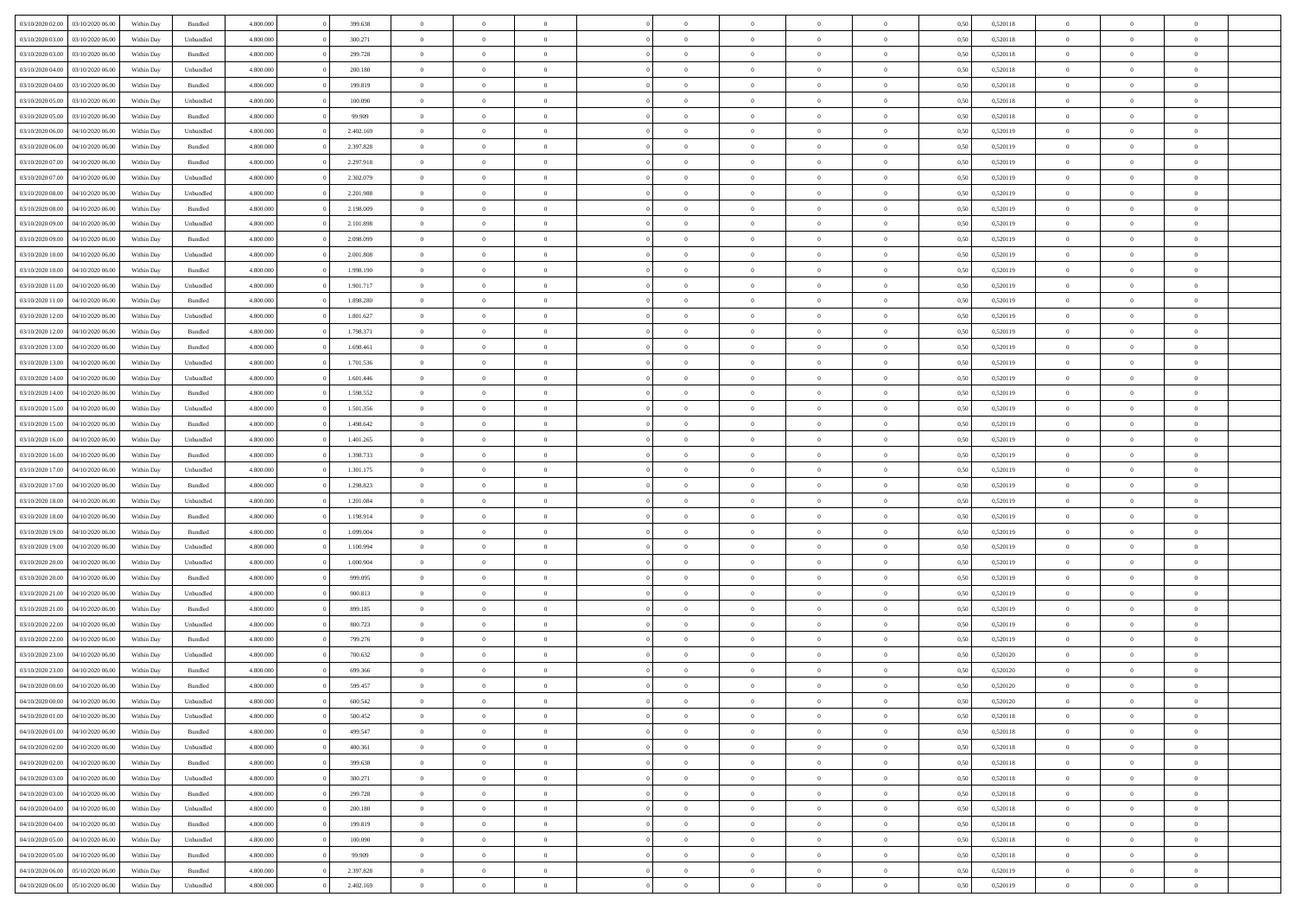| 03/10/2020 02.00                  | 03/10/2020 06:00 | Within Dav | Bundled            | 4.800.000 | 399.638   | $\overline{0}$ | $\Omega$       |                | $\Omega$       | $\Omega$       | $\theta$       | $\theta$       | 0.50 | 0,520118 | $\theta$       | $\theta$       | $\overline{0}$ |  |
|-----------------------------------|------------------|------------|--------------------|-----------|-----------|----------------|----------------|----------------|----------------|----------------|----------------|----------------|------|----------|----------------|----------------|----------------|--|
| 03/10/2020 03:00                  | 03/10/2020 06.00 | Within Day | Unbundled          | 4.800.000 | 300.271   | $\overline{0}$ | $\theta$       | $\overline{0}$ | $\overline{0}$ | $\bf{0}$       | $\overline{0}$ | $\bf{0}$       | 0,50 | 0,520118 | $\theta$       | $\overline{0}$ | $\overline{0}$ |  |
| 03/10/2020 03.00                  | 03/10/2020 06.00 | Within Day | Bundled            | 4.800.000 | 299.728   | $\overline{0}$ | $\bf{0}$       | $\overline{0}$ | $\bf{0}$       | $\bf{0}$       | $\bf{0}$       | $\bf{0}$       | 0,50 | 0,520118 | $\overline{0}$ | $\overline{0}$ | $\overline{0}$ |  |
| 03/10/2020 04:00                  | 03/10/2020 06:00 | Within Dav | Unbundled          | 4.800.000 | 200.180   | $\overline{0}$ | $\overline{0}$ | $\overline{0}$ | $\overline{0}$ | $\bf{0}$       | $\overline{0}$ | $\overline{0}$ | 0.50 | 0.520118 | $\theta$       | $\theta$       | $\overline{0}$ |  |
| 03/10/2020 04:00                  | 03/10/2020 06.00 | Within Day | Bundled            | 4.800.000 | 199.819   | $\overline{0}$ | $\theta$       | $\overline{0}$ | $\overline{0}$ | $\bf{0}$       | $\overline{0}$ | $\bf{0}$       | 0,50 | 0,520118 | $\theta$       | $\overline{0}$ | $\overline{0}$ |  |
|                                   |                  |            |                    |           |           |                |                |                |                |                |                |                |      |          |                |                |                |  |
| 03/10/2020 05.00                  | 03/10/2020 06.00 | Within Day | Unbundled          | 4.800.000 | 100.090   | $\overline{0}$ | $\overline{0}$ | $\overline{0}$ | $\bf{0}$       | $\overline{0}$ | $\overline{0}$ | $\mathbf{0}$   | 0,50 | 0,520118 | $\overline{0}$ | $\overline{0}$ | $\bf{0}$       |  |
| 03/10/2020 05:00                  | 03/10/2020 06:00 | Within Dav | Bundled            | 4.800.000 | 99.909    | $\overline{0}$ | $\overline{0}$ | $\overline{0}$ | $\overline{0}$ | $\overline{0}$ | $\overline{0}$ | $\overline{0}$ | 0.50 | 0,520118 | $\theta$       | $\overline{0}$ | $\overline{0}$ |  |
| 03/10/2020 06.00                  | 04/10/2020 06.00 | Within Day | Unbundled          | 4.800.000 | 2.402.169 | $\overline{0}$ | $\theta$       | $\overline{0}$ | $\overline{0}$ | $\bf{0}$       | $\overline{0}$ | $\bf{0}$       | 0,50 | 0,520119 | $\theta$       | $\theta$       | $\overline{0}$ |  |
| 03/10/2020 06.00                  | 04/10/2020 06.00 | Within Day | Bundled            | 4.800.000 | 2.397.828 | $\overline{0}$ | $\overline{0}$ | $\overline{0}$ | $\bf{0}$       | $\bf{0}$       | $\bf{0}$       | $\bf{0}$       | 0,50 | 0,520119 | $\,0\,$        | $\overline{0}$ | $\overline{0}$ |  |
| 03/10/2020 07:00                  | 04/10/2020 06.00 | Within Dav | Bundled            | 4.800.000 | 2.297.918 | $\overline{0}$ | $\overline{0}$ | $\overline{0}$ | $\overline{0}$ | $\overline{0}$ | $\overline{0}$ | $\overline{0}$ | 0.50 | 0,520119 | $\theta$       | $\overline{0}$ | $\overline{0}$ |  |
| 03/10/2020 07.00                  | 04/10/2020 06.00 | Within Day | Unbundled          | 4.800.000 | 2.302.079 | $\overline{0}$ | $\theta$       | $\overline{0}$ | $\overline{0}$ | $\bf{0}$       | $\overline{0}$ | $\bf{0}$       | 0,50 | 0,520119 | $\,$ 0 $\,$    | $\overline{0}$ | $\overline{0}$ |  |
| 03/10/2020 08:00                  | 04/10/2020 06.00 | Within Day | Unbundled          | 4.800.000 | 2.201.988 | $\overline{0}$ | $\bf{0}$       | $\overline{0}$ | $\bf{0}$       | $\bf{0}$       | $\bf{0}$       | $\bf{0}$       | 0,50 | 0,520119 | $\overline{0}$ | $\overline{0}$ | $\bf{0}$       |  |
|                                   |                  |            |                    |           |           |                |                |                |                |                |                |                |      |          |                |                |                |  |
| 03/10/2020 08:00                  | 04/10/2020 06.00 | Within Day | Bundled            | 4.800.000 | 2.198.009 | $\overline{0}$ | $\overline{0}$ | $\overline{0}$ | $\overline{0}$ | $\bf{0}$       | $\overline{0}$ | $\overline{0}$ | 0.50 | 0.520119 | $\theta$       | $\theta$       | $\overline{0}$ |  |
| 03/10/2020 09:00                  | 04/10/2020 06.00 | Within Day | Unbundled          | 4.800.000 | 2.101.898 | $\overline{0}$ | $\theta$       | $\overline{0}$ | $\overline{0}$ | $\bf{0}$       | $\overline{0}$ | $\bf{0}$       | 0,50 | 0,520119 | $\theta$       | $\overline{0}$ | $\overline{0}$ |  |
| 03/10/2020 09:00                  | 04/10/2020 06.00 | Within Day | Bundled            | 4.800.000 | 2.098.099 | $\overline{0}$ | $\overline{0}$ | $\overline{0}$ | $\bf{0}$       | $\overline{0}$ | $\overline{0}$ | $\mathbf{0}$   | 0,50 | 0,520119 | $\overline{0}$ | $\overline{0}$ | $\bf{0}$       |  |
| 03/10/2020 10:00                  | 04/10/2020 06.00 | Within Dav | Unbundled          | 4.800.000 | 2.001.808 | $\overline{0}$ | $\overline{0}$ | $\overline{0}$ | $\overline{0}$ | $\overline{0}$ | $\overline{0}$ | $\overline{0}$ | 0.50 | 0,520119 | $\theta$       | $\overline{0}$ | $\overline{0}$ |  |
| 03/10/2020 10:00                  | 04/10/2020 06.00 | Within Day | Bundled            | 4.800.000 | 1.998.190 | $\overline{0}$ | $\theta$       | $\overline{0}$ | $\overline{0}$ | $\bf{0}$       | $\overline{0}$ | $\bf{0}$       | 0,50 | 0,520119 | $\,$ 0 $\,$    | $\overline{0}$ | $\overline{0}$ |  |
| 03/10/2020 11:00                  | 04/10/2020 06.00 | Within Day | Unbundled          | 4.800.000 | 1.901.717 | $\overline{0}$ | $\overline{0}$ | $\overline{0}$ | $\bf{0}$       | $\bf{0}$       | $\bf{0}$       | $\bf{0}$       | 0,50 | 0,520119 | $\,0\,$        | $\overline{0}$ | $\overline{0}$ |  |
| 03/10/2020 11:00                  | 04/10/2020 06.00 | Within Day | Bundled            | 4.800.000 | 1.898.280 | $\overline{0}$ | $\overline{0}$ | $\overline{0}$ | $\overline{0}$ | $\overline{0}$ | $\overline{0}$ | $\overline{0}$ | 0.50 | 0,520119 | $\theta$       | $\overline{0}$ | $\overline{0}$ |  |
|                                   |                  |            |                    |           |           | $\overline{0}$ | $\theta$       | $\overline{0}$ |                | $\bf{0}$       | $\overline{0}$ |                |      |          |                |                | $\overline{0}$ |  |
| 03/10/2020 12:00                  | 04/10/2020 06.00 | Within Day | Unbundled          | 4.800.000 | 1.801.627 |                |                |                | $\overline{0}$ |                |                | $\bf{0}$       | 0,50 | 0,520119 | $\,$ 0 $\,$    | $\overline{0}$ |                |  |
| 03/10/2020 12:00                  | 04/10/2020 06.00 | Within Day | Bundled            | 4.800.000 | 1.798.371 | $\overline{0}$ | $\overline{0}$ | $\overline{0}$ | $\bf{0}$       | $\bf{0}$       | $\bf{0}$       | $\bf{0}$       | 0,50 | 0,520119 | $\bf{0}$       | $\overline{0}$ | $\bf{0}$       |  |
| 03/10/2020 13:00                  | 04/10/2020 06.00 | Within Day | Bundled            | 4.800.000 | 1.698.461 | $\overline{0}$ | $\overline{0}$ | $\overline{0}$ | $\overline{0}$ | $\bf{0}$       | $\overline{0}$ | $\overline{0}$ | 0.50 | 0.520119 | $\theta$       | $\overline{0}$ | $\overline{0}$ |  |
| 03/10/2020 13:00                  | 04/10/2020 06.00 | Within Day | Unbundled          | 4.800.000 | 1.701.536 | $\overline{0}$ | $\theta$       | $\overline{0}$ | $\overline{0}$ | $\bf{0}$       | $\overline{0}$ | $\bf{0}$       | 0,50 | 0,520119 | $\,$ 0 $\,$    | $\overline{0}$ | $\overline{0}$ |  |
| 03/10/2020 14:00                  | 04/10/2020 06.00 | Within Day | Unbundled          | 4.800.000 | 1.601.446 | $\overline{0}$ | $\overline{0}$ | $\overline{0}$ | $\bf{0}$       | $\overline{0}$ | $\overline{0}$ | $\mathbf{0}$   | 0,50 | 0,520119 | $\bf{0}$       | $\overline{0}$ | $\bf{0}$       |  |
| 03/10/2020 14:00                  | 04/10/2020 06.00 | Within Dav | Bundled            | 4.800.000 | 1.598.552 | $\overline{0}$ | $\overline{0}$ | $\overline{0}$ | $\overline{0}$ | $\overline{0}$ | $\overline{0}$ | $\overline{0}$ | 0.50 | 0,520119 | $\theta$       | $\overline{0}$ | $\overline{0}$ |  |
| 03/10/2020 15:00                  | 04/10/2020 06.00 | Within Day | Unbundled          | 4.800.000 | 1.501.356 | $\overline{0}$ | $\theta$       | $\overline{0}$ | $\overline{0}$ | $\bf{0}$       | $\overline{0}$ | $\bf{0}$       | 0,50 | 0,520119 | $\theta$       | $\theta$       | $\overline{0}$ |  |
| 03/10/2020 15:00                  | 04/10/2020 06.00 | Within Day | Bundled            | 4.800.000 | 1.498.642 | $\overline{0}$ | $\overline{0}$ | $\overline{0}$ | $\bf{0}$       | $\bf{0}$       | $\bf{0}$       | $\bf{0}$       | 0,50 | 0,520119 | $\,0\,$        | $\overline{0}$ | $\overline{0}$ |  |
|                                   |                  |            |                    |           |           |                |                |                |                |                |                |                |      |          |                |                |                |  |
| 03/10/2020 16:00                  | 04/10/2020 06.00 | Within Day | Unbundled          | 4.800.000 | 1.401.265 | $\overline{0}$ | $\overline{0}$ | $\overline{0}$ | $\overline{0}$ | $\overline{0}$ | $\overline{0}$ | $\overline{0}$ | 0.50 | 0,520119 | $\theta$       | $\overline{0}$ | $\overline{0}$ |  |
| 03/10/2020 16:00                  | 04/10/2020 06.00 | Within Day | Bundled            | 4.800.000 | 1.398.733 | $\overline{0}$ | $\theta$       | $\overline{0}$ | $\overline{0}$ | $\bf{0}$       | $\overline{0}$ | $\bf{0}$       | 0,50 | 0,520119 | $\,$ 0 $\,$    | $\overline{0}$ | $\overline{0}$ |  |
| 03/10/2020 17:00                  | 04/10/2020 06.00 | Within Day | Unbundled          | 4.800.000 | 1.301.175 | $\overline{0}$ | $\bf{0}$       | $\overline{0}$ | $\bf{0}$       | $\bf{0}$       | $\bf{0}$       | $\bf{0}$       | 0,50 | 0,520119 | $\bf{0}$       | $\overline{0}$ | $\bf{0}$       |  |
| 03/10/2020 17:00                  | 04/10/2020 06.00 | Within Day | Bundled            | 4.800,000 | 1.298.823 | $\bf{0}$       | $\Omega$       | $\Omega$       | $\Omega$       | $\Omega$       | $\overline{0}$ | $\overline{0}$ | 0,50 | 0,520119 | $\,0\,$        | $\theta$       | $\theta$       |  |
| 03/10/2020 18:00                  | 04/10/2020 06.00 | Within Day | Unbundled          | 4.800.000 | 1.201.084 | $\overline{0}$ | $\theta$       | $\overline{0}$ | $\overline{0}$ | $\bf{0}$       | $\overline{0}$ | $\bf{0}$       | 0,50 | 0,520119 | $\,$ 0 $\,$    | $\overline{0}$ | $\overline{0}$ |  |
| 03/10/2020 18:00                  | 04/10/2020 06.00 | Within Day | Bundled            | 4.800.000 | 1.198.914 | $\overline{0}$ | $\overline{0}$ | $\overline{0}$ | $\bf{0}$       | $\overline{0}$ | $\overline{0}$ | $\mathbf{0}$   | 0,50 | 0,520119 | $\bf{0}$       | $\overline{0}$ | $\bf{0}$       |  |
| 03/10/2020 19:00                  | 04/10/2020 06.00 | Within Day | Bundled            | 4.800,000 | 1.099.004 | $\overline{0}$ | $\Omega$       | $\Omega$       | $\Omega$       | $\bf{0}$       | $\overline{0}$ | $\overline{0}$ | 0.50 | 0,520119 | $\,0\,$        | $\theta$       | $\theta$       |  |
| 03/10/2020 19:00                  | 04/10/2020 06.00 | Within Day | Unbundled          | 4.800.000 | 1.100.994 | $\overline{0}$ | $\theta$       | $\overline{0}$ | $\overline{0}$ | $\bf{0}$       | $\overline{0}$ | $\bf{0}$       | 0,50 | 0,520119 | $\,$ 0 $\,$    | $\overline{0}$ | $\overline{0}$ |  |
|                                   |                  |            |                    |           |           |                |                |                |                |                |                |                |      |          |                |                |                |  |
| 03/10/2020 20.00                  | 04/10/2020 06.00 | Within Day | Unbundled          | 4.800.000 | 1.000.904 | $\overline{0}$ | $\overline{0}$ | $\overline{0}$ | $\bf{0}$       | $\bf{0}$       | $\bf{0}$       | $\bf{0}$       | 0,50 | 0,520119 | $\bf{0}$       | $\overline{0}$ | $\overline{0}$ |  |
| 03/10/2020 20:00                  | 04/10/2020 06.00 | Within Day | Bundled            | 4.800,000 | 999.095   | $\overline{0}$ | $\Omega$       | $\Omega$       | $\Omega$       | $\theta$       | $\overline{0}$ | $\overline{0}$ | 0.50 | 0,520119 | $\,$ 0 $\,$    | $\theta$       | $\theta$       |  |
| 03/10/2020 21.00                  | 04/10/2020 06.00 | Within Day | Unbundled          | 4.800.000 | 900.813   | $\overline{0}$ | $\overline{0}$ | $\overline{0}$ | $\overline{0}$ | $\,$ 0         | $\overline{0}$ | $\bf{0}$       | 0,50 | 0,520119 | $\,$ 0 $\,$    | $\overline{0}$ | $\overline{0}$ |  |
| 03/10/2020 21.00                  | 04/10/2020 06.00 | Within Day | Bundled            | 4.800.000 | 899.185   | $\overline{0}$ | $\bf{0}$       | $\overline{0}$ | $\bf{0}$       | $\bf{0}$       | $\bf{0}$       | $\bf{0}$       | 0,50 | 0,520119 | $\overline{0}$ | $\overline{0}$ | $\bf{0}$       |  |
| 03/10/2020 22.00                  | 04/10/2020 06.00 | Within Day | Unbundled          | 4.800,000 | 800.723   | $\overline{0}$ | $\Omega$       | $\Omega$       | $\Omega$       | $\overline{0}$ | $\overline{0}$ | $\overline{0}$ | 0,50 | 0,520119 | $\,0\,$        | $\theta$       | $\theta$       |  |
| 03/10/2020 22.00                  | 04/10/2020 06.00 | Within Day | Bundled            | 4.800.000 | 799.276   | $\overline{0}$ | $\overline{0}$ | $\overline{0}$ | $\overline{0}$ | $\,$ 0         | $\overline{0}$ | $\bf{0}$       | 0,50 | 0,520119 | $\,$ 0 $\,$    | $\overline{0}$ | $\overline{0}$ |  |
| 03/10/2020 23.00                  | 04/10/2020 06.00 | Within Day | Unbundled          | 4.800.000 | 700.632   | $\overline{0}$ | $\overline{0}$ | $\overline{0}$ | $\bf{0}$       | $\bf{0}$       | $\bf{0}$       | $\mathbf{0}$   | 0,50 | 0,520120 | $\overline{0}$ | $\overline{0}$ | $\bf{0}$       |  |
| 03/10/2020 23.00                  | 04/10/2020 06.00 | Within Day | Bundled            | 4.800,000 | 699,366   | $\overline{0}$ | $\Omega$       | $\Omega$       | $\Omega$       | $\Omega$       | $\Omega$       | $\overline{0}$ | 0.50 | 0,520120 | $\theta$       | $\theta$       | $\theta$       |  |
| 04/10/2020 00.00                  | 04/10/2020 06.00 |            |                    | 4.800.000 | 599.457   | $\overline{0}$ | $\bf{0}$       | $\overline{0}$ | $\bf{0}$       | $\,$ 0         |                |                |      | 0,520120 | $\,0\,$        | $\,$ 0 $\,$    | $\overline{0}$ |  |
|                                   |                  | Within Day | Bundled            |           |           |                |                |                |                |                | $\bf{0}$       | $\bf{0}$       | 0,50 |          |                |                |                |  |
| 04/10/2020 00:00 04/10/2020 06:00 |                  | Within Day | Unbundled          | 4.800.000 | 600.542   | $\bf{0}$       | $\bf{0}$       |                |                | $\bf{0}$       |                |                | 0,50 | 0,520120 | $\bf{0}$       | $\overline{0}$ |                |  |
| 04/10/2020 01:00                  | 04/10/2020 06:00 | Within Day | Unbundled          | 4.800.000 | 500,452   | $\overline{0}$ | $\overline{0}$ | $\overline{0}$ | $\Omega$       | $\overline{0}$ | $\overline{0}$ | $\overline{0}$ | 0.50 | 0,520118 | $\theta$       | $\theta$       | $\theta$       |  |
| 04/10/2020 01.00                  | 04/10/2020 06.00 | Within Day | Bundled            | 4.800.000 | 499.547   | $\overline{0}$ | $\,$ 0         | $\overline{0}$ | $\bf{0}$       | $\,$ 0 $\,$    | $\overline{0}$ | $\mathbf{0}$   | 0,50 | 0,520118 | $\,$ 0 $\,$    | $\,$ 0 $\,$    | $\,$ 0         |  |
| 04/10/2020 02.00                  | 04/10/2020 06.00 | Within Day | Unbundled          | 4.800.000 | 400.361   | $\overline{0}$ | $\overline{0}$ | $\overline{0}$ | $\overline{0}$ | $\overline{0}$ | $\overline{0}$ | $\mathbf{0}$   | 0,50 | 0,520118 | $\overline{0}$ | $\bf{0}$       | $\bf{0}$       |  |
| 04/10/2020 02.00                  | 04/10/2020 06.00 | Within Day | $\mathbf B$ undled | 4.800,000 | 399.638   | $\overline{0}$ | $\overline{0}$ | $\overline{0}$ | $\Omega$       | $\overline{0}$ | $\overline{0}$ | $\overline{0}$ | 0,50 | 0,520118 | $\overline{0}$ | $\theta$       | $\overline{0}$ |  |
| 04/10/2020 03.00                  | 04/10/2020 06.00 | Within Day | Unbundled          | 4.800.000 | 300.271   | $\overline{0}$ | $\,$ 0         | $\overline{0}$ | $\overline{0}$ | $\,$ 0 $\,$    | $\overline{0}$ | $\mathbf{0}$   | 0,50 | 0,520118 | $\,$ 0 $\,$    | $\overline{0}$ | $\overline{0}$ |  |
| 04/10/2020 03:00                  | 04/10/2020 06.00 | Within Day | Bundled            | 4.800.000 | 299.728   | $\overline{0}$ | $\overline{0}$ | $\overline{0}$ | $\overline{0}$ | $\overline{0}$ | $\overline{0}$ | $\mathbf{0}$   | 0,50 | 0,520118 | $\overline{0}$ | $\overline{0}$ | $\bf{0}$       |  |
|                                   |                  |            |                    |           |           |                |                |                |                |                |                |                |      |          |                |                |                |  |
| 04/10/2020 04.00                  | 04/10/2020 06:00 | Within Day | Unbundled          | 4.800,000 | 200,180   | $\overline{0}$ | $\overline{0}$ | $\overline{0}$ | $\Omega$       | $\overline{0}$ | $\overline{0}$ | $\bf{0}$       | 0.50 | 0,520118 | $\overline{0}$ | $\theta$       | $\overline{0}$ |  |
| 04/10/2020 04.00                  | 04/10/2020 06.00 | Within Day | Bundled            | 4.800.000 | 199.819   | $\overline{0}$ | $\,$ 0         | $\overline{0}$ | $\bf{0}$       | $\bf{0}$       | $\bf{0}$       | $\bf{0}$       | 0,50 | 0,520118 | $\,$ 0 $\,$    | $\overline{0}$ | $\overline{0}$ |  |
| 04/10/2020 05:00                  | 04/10/2020 06.00 | Within Day | Unbundled          | 4.800.000 | 100.090   | $\overline{0}$ | $\bf{0}$       | $\overline{0}$ | $\overline{0}$ | $\overline{0}$ | $\overline{0}$ | $\mathbf{0}$   | 0,50 | 0,520118 | $\overline{0}$ | $\overline{0}$ | $\bf{0}$       |  |
| 04/10/2020 05:00                  | 04/10/2020 06:00 | Within Day | Bundled            | 4.800,000 | 99.909    | $\overline{0}$ | $\overline{0}$ | $\overline{0}$ | $\Omega$       | $\overline{0}$ | $\overline{0}$ | $\overline{0}$ | 0.50 | 0,520118 | $\overline{0}$ | $\overline{0}$ | $\overline{0}$ |  |
| 04/10/2020 06.00                  | 05/10/2020 06.00 | Within Day | Bundled            | 4.800.000 | 2.397.828 | $\overline{0}$ | $\bf{0}$       | $\overline{0}$ | $\overline{0}$ | $\bf{0}$       | $\bf{0}$       | $\bf{0}$       | 0,50 | 0,520119 | $\,$ 0 $\,$    | $\,$ 0 $\,$    | $\bf{0}$       |  |
| 04/10/2020 06.00                  | 05/10/2020 06.00 | Within Day | Unbundled          | 4.800.000 | 2.402.169 | $\overline{0}$ | $\bf{0}$       | $\overline{0}$ | $\bf{0}$       | $\bf{0}$       | $\bf{0}$       | $\bf{0}$       | 0,50 | 0,520119 | $\overline{0}$ | $\overline{0}$ | $\bf{0}$       |  |
|                                   |                  |            |                    |           |           |                |                |                |                |                |                |                |      |          |                |                |                |  |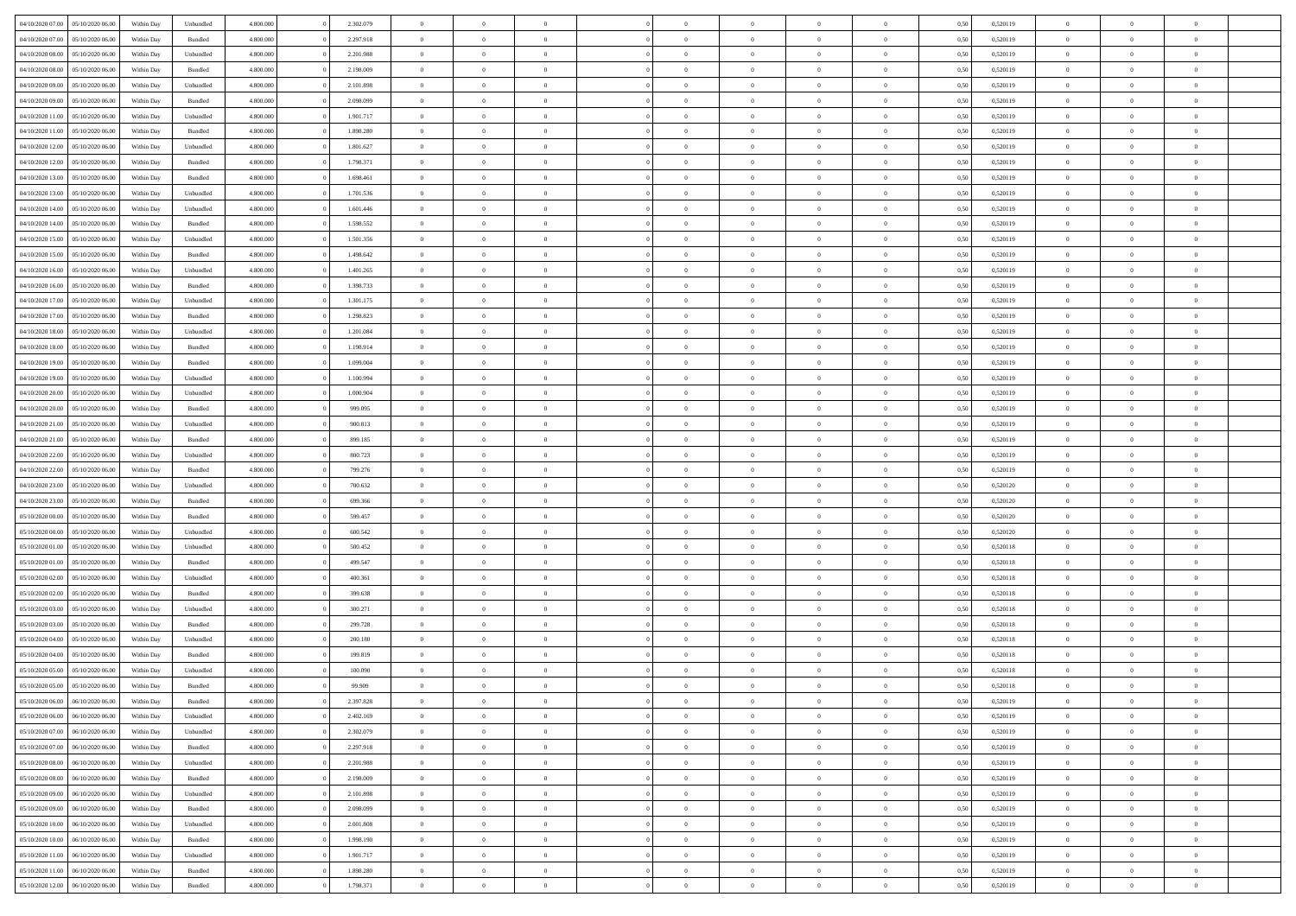| 04/10/2020 07.00                  | 05/10/2020 06:00 | Within Dav | Unbundled          | 4.800.000 | 2.302.079 | $\overline{0}$ | $\Omega$       |                | $\Omega$       | $\Omega$       | $\Omega$       | $\theta$       | 0.50 | 0,520119 | $\theta$       | $\theta$       | $\theta$       |  |
|-----------------------------------|------------------|------------|--------------------|-----------|-----------|----------------|----------------|----------------|----------------|----------------|----------------|----------------|------|----------|----------------|----------------|----------------|--|
| 04/10/2020 07.00                  | 05/10/2020 06.00 | Within Day | Bundled            | 4.800.000 | 2.297.918 | $\overline{0}$ | $\theta$       | $\overline{0}$ | $\overline{0}$ | $\bf{0}$       | $\overline{0}$ | $\overline{0}$ | 0,50 | 0,520119 | $\theta$       | $\theta$       | $\overline{0}$ |  |
| 04/10/2020 08.00                  | 05/10/2020 06.00 | Within Day | Unbundled          | 4.800.000 | 2.201.988 | $\overline{0}$ | $\overline{0}$ | $\overline{0}$ | $\bf{0}$       | $\bf{0}$       | $\bf{0}$       | $\bf{0}$       | 0,50 | 0,520119 | $\overline{0}$ | $\overline{0}$ | $\overline{0}$ |  |
| 04/10/2020 08:00                  | 05/10/2020 06:00 | Within Dav | Bundled            | 4.800.000 | 2.198.009 | $\overline{0}$ | $\overline{0}$ | $\overline{0}$ | $\overline{0}$ | $\bf{0}$       | $\overline{0}$ | $\overline{0}$ | 0.50 | 0.520119 | $\theta$       | $\theta$       | $\overline{0}$ |  |
| 04/10/2020 09:00                  | 05/10/2020 06.00 | Within Day | Unbundled          | 4.800.000 | 2.101.898 | $\overline{0}$ | $\theta$       | $\overline{0}$ | $\overline{0}$ | $\bf{0}$       | $\overline{0}$ | $\bf{0}$       | 0,50 | 0,520119 | $\theta$       | $\theta$       | $\overline{0}$ |  |
|                                   |                  |            |                    |           |           |                |                |                |                |                |                |                |      |          |                |                |                |  |
| 04/10/2020 09:00                  | 05/10/2020 06.00 | Within Day | Bundled            | 4.800.000 | 2.098.099 | $\overline{0}$ | $\bf{0}$       | $\overline{0}$ | $\overline{0}$ | $\overline{0}$ | $\overline{0}$ | $\mathbf{0}$   | 0,50 | 0,520119 | $\overline{0}$ | $\overline{0}$ | $\bf{0}$       |  |
| 04/10/2020 11:00                  | 05/10/2020 06:00 | Within Dav | Unbundled          | 4.800.000 | 1.901.717 | $\overline{0}$ | $\overline{0}$ | $\overline{0}$ | $\overline{0}$ | $\overline{0}$ | $\overline{0}$ | $\overline{0}$ | 0.50 | 0,520119 | $\theta$       | $\overline{0}$ | $\overline{0}$ |  |
| 04/10/2020 11:00                  | 05/10/2020 06.00 | Within Day | Bundled            | 4.800.000 | 1.898.280 | $\overline{0}$ | $\theta$       | $\overline{0}$ | $\overline{0}$ | $\bf{0}$       | $\overline{0}$ | $\bf{0}$       | 0,50 | 0,520119 | $\theta$       | $\theta$       | $\overline{0}$ |  |
| 04/10/2020 12:00                  | 05/10/2020 06.00 | Within Day | Unbundled          | 4.800.000 | 1.801.627 | $\overline{0}$ | $\overline{0}$ | $\overline{0}$ | $\overline{0}$ | $\bf{0}$       | $\overline{0}$ | $\bf{0}$       | 0,50 | 0,520119 | $\,0\,$        | $\overline{0}$ | $\overline{0}$ |  |
| 04/10/2020 12:00                  | 05/10/2020 06:00 | Within Dav | Bundled            | 4.800.000 | 1.798.371 | $\overline{0}$ | $\overline{0}$ | $\overline{0}$ | $\overline{0}$ | $\overline{0}$ | $\overline{0}$ | $\overline{0}$ | 0.50 | 0,520119 | $\theta$       | $\overline{0}$ | $\overline{0}$ |  |
| 04/10/2020 13:00                  | 05/10/2020 06.00 | Within Day | Bundled            | 4.800.000 | 1.698.461 | $\overline{0}$ | $\theta$       | $\overline{0}$ | $\overline{0}$ | $\bf{0}$       | $\overline{0}$ | $\bf{0}$       | 0,50 | 0,520119 | $\,$ 0 $\,$    | $\theta$       | $\overline{0}$ |  |
| 04/10/2020 13.00                  | 05/10/2020 06.00 | Within Day | Unbundled          | 4.800.000 | 1.701.536 | $\overline{0}$ | $\overline{0}$ | $\overline{0}$ | $\overline{0}$ | $\bf{0}$       | $\overline{0}$ | $\bf{0}$       | 0,50 | 0,520119 | $\overline{0}$ | $\overline{0}$ | $\overline{0}$ |  |
|                                   |                  |            |                    |           |           |                |                |                |                |                |                |                |      |          | $\theta$       |                |                |  |
| 04/10/2020 14:00                  | 05/10/2020 06:00 | Within Day | Unbundled          | 4.800.000 | 1.601.446 | $\overline{0}$ | $\overline{0}$ | $\overline{0}$ | $\overline{0}$ | $\bf{0}$       | $\overline{0}$ | $\overline{0}$ | 0.50 | 0.520119 |                | $\theta$       | $\overline{0}$ |  |
| 04/10/2020 14:00                  | 05/10/2020 06.00 | Within Day | Bundled            | 4.800.000 | 1.598.552 | $\overline{0}$ | $\theta$       | $\overline{0}$ | $\overline{0}$ | $\bf{0}$       | $\overline{0}$ | $\overline{0}$ | 0,50 | 0,520119 | $\theta$       | $\theta$       | $\overline{0}$ |  |
| 04/10/2020 15.00                  | 05/10/2020 06.00 | Within Day | Unbundled          | 4.800.000 | 1.501.356 | $\overline{0}$ | $\bf{0}$       | $\overline{0}$ | $\overline{0}$ | $\overline{0}$ | $\overline{0}$ | $\mathbf{0}$   | 0,50 | 0,520119 | $\overline{0}$ | $\overline{0}$ | $\bf{0}$       |  |
| 04/10/2020 15:00                  | 05/10/2020 06:00 | Within Dav | Bundled            | 4.800.000 | 1.498.642 | $\overline{0}$ | $\overline{0}$ | $\overline{0}$ | $\overline{0}$ | $\overline{0}$ | $\overline{0}$ | $\overline{0}$ | 0.50 | 0,520119 | $\theta$       | $\overline{0}$ | $\overline{0}$ |  |
| 04/10/2020 16.00                  | 05/10/2020 06.00 | Within Day | Unbundled          | 4.800.000 | 1.401.265 | $\overline{0}$ | $\theta$       | $\overline{0}$ | $\overline{0}$ | $\bf{0}$       | $\overline{0}$ | $\bf{0}$       | 0,50 | 0,520119 | $\theta$       | $\theta$       | $\overline{0}$ |  |
| 04/10/2020 16.00                  | 05/10/2020 06.00 | Within Day | Bundled            | 4.800.000 | 1.398.733 | $\overline{0}$ | $\overline{0}$ | $\overline{0}$ | $\overline{0}$ | $\bf{0}$       | $\overline{0}$ | $\bf{0}$       | 0,50 | 0,520119 | $\,0\,$        | $\overline{0}$ | $\overline{0}$ |  |
| 04/10/2020 17.00                  | 05/10/2020 06:00 | Within Day | Unbundled          | 4.800.000 | 1.301.175 | $\overline{0}$ | $\overline{0}$ | $\overline{0}$ | $\overline{0}$ | $\overline{0}$ | $\overline{0}$ | $\overline{0}$ | 0.50 | 0,520119 | $\theta$       | $\overline{0}$ | $\overline{0}$ |  |
| 04/10/2020 17.00                  | 05/10/2020 06.00 | Within Day | Bundled            | 4.800.000 | 1.298.823 | $\overline{0}$ | $\theta$       | $\overline{0}$ | $\overline{0}$ | $\bf{0}$       | $\overline{0}$ |                |      | 0,520119 | $\,$ 0 $\,$    | $\theta$       | $\overline{0}$ |  |
|                                   |                  |            |                    |           |           |                |                |                |                |                |                | $\bf{0}$       | 0,50 |          |                |                |                |  |
| 04/10/2020 18.00                  | 05/10/2020 06.00 | Within Day | Unbundled          | 4.800.000 | 1.201.084 | $\overline{0}$ | $\overline{0}$ | $\overline{0}$ | $\overline{0}$ | $\bf{0}$       | $\overline{0}$ | $\bf{0}$       | 0,50 | 0,520119 | $\bf{0}$       | $\overline{0}$ | $\overline{0}$ |  |
| 04/10/2020 18:00                  | 05/10/2020 06:00 | Within Day | Bundled            | 4.800.000 | 1.198.914 | $\overline{0}$ | $\overline{0}$ | $\overline{0}$ | $\overline{0}$ | $\bf{0}$       | $\overline{0}$ | $\overline{0}$ | 0.50 | 0.520119 | $\theta$       | $\theta$       | $\overline{0}$ |  |
| 04/10/2020 19:00                  | 05/10/2020 06.00 | Within Day | Bundled            | 4.800.000 | 1.099.004 | $\overline{0}$ | $\theta$       | $\overline{0}$ | $\overline{0}$ | $\bf{0}$       | $\overline{0}$ | $\bf{0}$       | 0,50 | 0,520119 | $\theta$       | $\overline{0}$ | $\overline{0}$ |  |
| 04/10/2020 19:00                  | 05/10/2020 06.00 | Within Day | Unbundled          | 4.800.000 | 1.100.994 | $\overline{0}$ | $\bf{0}$       | $\overline{0}$ | $\overline{0}$ | $\overline{0}$ | $\overline{0}$ | $\mathbf{0}$   | 0,50 | 0,520119 | $\overline{0}$ | $\overline{0}$ | $\bf{0}$       |  |
| 04/10/2020 20:00                  | 05/10/2020 06:00 | Within Day | Unbundled          | 4.800.000 | 1.000.904 | $\overline{0}$ | $\overline{0}$ | $\overline{0}$ | $\overline{0}$ | $\overline{0}$ | $\overline{0}$ | $\overline{0}$ | 0.50 | 0,520119 | $\theta$       | $\overline{0}$ | $\overline{0}$ |  |
| 04/10/2020 20.00                  | 05/10/2020 06.00 | Within Day | Bundled            | 4.800.000 | 999.095   | $\overline{0}$ | $\theta$       | $\overline{0}$ | $\overline{0}$ | $\bf{0}$       | $\overline{0}$ | $\bf{0}$       | 0,50 | 0,520119 | $\theta$       | $\theta$       | $\overline{0}$ |  |
|                                   |                  |            |                    |           |           |                |                |                |                |                |                |                |      |          |                |                |                |  |
| 04/10/2020 21.00                  | 05/10/2020 06.00 | Within Day | Unbundled          | 4.800.000 | 900.813   | $\overline{0}$ | $\overline{0}$ | $\overline{0}$ | $\overline{0}$ | $\bf{0}$       | $\overline{0}$ | $\bf{0}$       | 0,50 | 0,520119 | $\,0\,$        | $\overline{0}$ | $\overline{0}$ |  |
| 04/10/2020 21.00                  | 05/10/2020 06:00 | Within Day | Bundled            | 4.800.000 | 899,185   | $\overline{0}$ | $\overline{0}$ | $\overline{0}$ | $\overline{0}$ | $\overline{0}$ | $\overline{0}$ | $\overline{0}$ | 0.50 | 0,520119 | $\theta$       | $\overline{0}$ | $\overline{0}$ |  |
| 04/10/2020 22.00                  | 05/10/2020 06.00 | Within Day | Unbundled          | 4.800.000 | 800.723   | $\overline{0}$ | $\theta$       | $\overline{0}$ | $\overline{0}$ | $\bf{0}$       | $\overline{0}$ | $\bf{0}$       | 0,50 | 0,520119 | $\,$ 0 $\,$    | $\overline{0}$ | $\overline{0}$ |  |
| 04/10/2020 22.00                  | 05/10/2020 06.00 | Within Day | Bundled            | 4.800.000 | 799.276   | $\overline{0}$ | $\overline{0}$ | $\overline{0}$ | $\overline{0}$ | $\bf{0}$       | $\overline{0}$ | $\bf{0}$       | 0,50 | 0,520119 | $\bf{0}$       | $\overline{0}$ | $\overline{0}$ |  |
| 04/10/2020 23.00                  | 05/10/2020 06.00 | Within Day | Unbundled          | 4.800,000 | 700,632   | $\overline{0}$ | $\Omega$       | $\Omega$       | $\Omega$       | $\Omega$       | $\overline{0}$ | $\overline{0}$ | 0,50 | 0,520120 | $\,0\,$        | $\theta$       | $\theta$       |  |
| 04/10/2020 23.00                  | 05/10/2020 06.00 | Within Day | Bundled            | 4.800.000 | 699.366   | $\overline{0}$ | $\theta$       | $\overline{0}$ | $\overline{0}$ | $\bf{0}$       | $\overline{0}$ | $\bf{0}$       | 0,50 | 0,520120 | $\theta$       | $\theta$       | $\overline{0}$ |  |
| 05/10/2020 00.00                  | 05/10/2020 06.00 | Within Day | Bundled            | 4.800.000 | 599.457   | $\overline{0}$ | $\overline{0}$ | $\overline{0}$ | $\overline{0}$ | $\bf{0}$       | $\overline{0}$ | $\mathbf{0}$   | 0,50 | 0,520120 | $\overline{0}$ | $\overline{0}$ | $\bf{0}$       |  |
| 05/10/2020 00:00                  | 05/10/2020 06:00 |            | Unbundled          | 4.800,000 | 600,542   | $\overline{0}$ | $\Omega$       | $\Omega$       | $\Omega$       | $\bf{0}$       | $\overline{0}$ | $\overline{0}$ | 0.50 | 0,520120 | $\,0\,$        | $\theta$       | $\theta$       |  |
|                                   |                  | Within Day |                    |           |           |                |                |                |                |                |                |                |      |          |                |                |                |  |
| 05/10/2020 01:00                  | 05/10/2020 06.00 | Within Day | Unbundled          | 4.800.000 | 500.452   | $\overline{0}$ | $\theta$       | $\overline{0}$ | $\overline{0}$ | $\bf{0}$       | $\overline{0}$ | $\bf{0}$       | 0,50 | 0,520118 | $\,$ 0 $\,$    | $\theta$       | $\overline{0}$ |  |
| 05/10/2020 01:00                  | 05/10/2020 06.00 | Within Day | Bundled            | 4.800.000 | 499.547   | $\overline{0}$ | $\overline{0}$ | $\overline{0}$ | $\overline{0}$ | $\bf{0}$       | $\overline{0}$ | $\bf{0}$       | 0,50 | 0,520118 | $\,0\,$        | $\overline{0}$ | $\overline{0}$ |  |
| 05/10/2020 02.00                  | 05/10/2020 06:00 | Within Day | Unbundled          | 4.800,000 | 400,361   | $\overline{0}$ | $\Omega$       | $\Omega$       | $\Omega$       | $\theta$       | $\theta$       | $\overline{0}$ | 0.50 | 0,520118 | $\theta$       | $\theta$       | $\theta$       |  |
| 05/10/2020 02.00                  | 05/10/2020 06.00 | Within Day | Bundled            | 4.800.000 | 399.638   | $\overline{0}$ | $\theta$       | $\overline{0}$ | $\overline{0}$ | $\bf{0}$       | $\overline{0}$ | $\bf{0}$       | 0,50 | 0,520118 | $\,$ 0 $\,$    | $\overline{0}$ | $\overline{0}$ |  |
| 05/10/2020 03.00                  | 05/10/2020 06.00 | Within Day | Unbundled          | 4.800.000 | 300.271   | $\overline{0}$ | $\overline{0}$ | $\overline{0}$ | $\overline{0}$ | $\bf{0}$       | $\overline{0}$ | $\bf{0}$       | 0,50 | 0,520118 | $\overline{0}$ | $\overline{0}$ | $\overline{0}$ |  |
| 05/10/2020 03:00                  | 05/10/2020 06.00 | Within Day | Bundled            | 4.800,000 | 299.728   | $\overline{0}$ | $\Omega$       | $\Omega$       | $\Omega$       | $\Omega$       | $\overline{0}$ | $\overline{0}$ | 0.50 | 0,520118 | $\,0\,$        | $\theta$       | $\theta$       |  |
| 05/10/2020 04:00                  | 05/10/2020 06.00 | Within Day | Unbundled          | 4.800.000 | 200.180   | $\overline{0}$ | $\theta$       | $\overline{0}$ | $\overline{0}$ | $\bf{0}$       | $\overline{0}$ | $\bf{0}$       | 0,50 | 0,520118 | $\,$ 0 $\,$    | $\overline{0}$ | $\overline{0}$ |  |
| 05/10/2020 04.00                  | 05/10/2020 06.00 | Within Day | Bundled            | 4.800.000 | 199.819   | $\overline{0}$ | $\overline{0}$ | $\overline{0}$ | $\overline{0}$ | $\bf{0}$       | $\overline{0}$ | $\mathbf{0}$   | 0,50 | 0,520118 | $\overline{0}$ | $\overline{0}$ | $\bf{0}$       |  |
|                                   |                  |            |                    |           |           |                |                |                |                |                |                |                |      |          |                |                |                |  |
| 05/10/2020 05.00                  | 05/10/2020 06:00 | Within Day | Unbundled          | 4.800,000 | 100,090   | $\overline{0}$ | $\Omega$       | $\Omega$       | $\Omega$       | $\Omega$       | $\Omega$       | $\overline{0}$ | 0.50 | 0.520118 | $\theta$       | $\theta$       | $\theta$       |  |
| 05/10/2020 05.00                  | 05/10/2020 06.00 | Within Day | Bundled            | 4.800.000 | 99.909    | $\overline{0}$ | $\overline{0}$ | $\overline{0}$ | $\bf{0}$       | $\,$ 0         | $\bf{0}$       | $\bf{0}$       | 0,50 | 0,520118 | $\,0\,$        | $\overline{0}$ | $\overline{0}$ |  |
| 05/10/2020 06:00 06/10/2020 06:00 |                  | Within Day | $\mathbf B$ undled | 4.800.000 | 2.397.828 | $\bf{0}$       | $\bf{0}$       |                |                |                |                |                | 0,50 | 0,520119 | $\bf{0}$       | $\overline{0}$ |                |  |
| 05/10/2020 06.00                  | 06/10/2020 06:00 | Within Day | Unbundled          | 4.800.000 | 2.402.169 | $\overline{0}$ | $\overline{0}$ | $\overline{0}$ | $\Omega$       | $\overline{0}$ | $\overline{0}$ | $\overline{0}$ | 0,50 | 0,520119 | $\theta$       | $\theta$       | $\theta$       |  |
| 05/10/2020 07:00                  | 06/10/2020 06.00 | Within Day | Unbundled          | 4.800.000 | 2.302.079 | $\overline{0}$ | $\,$ 0         | $\overline{0}$ | $\bf{0}$       | $\,$ 0 $\,$    | $\overline{0}$ | $\mathbf{0}$   | 0,50 | 0,520119 | $\,$ 0 $\,$    | $\,$ 0 $\,$    | $\,$ 0         |  |
| 05/10/2020 07:00                  | 06/10/2020 06.00 | Within Day | Bundled            | 4.800.000 | 2.297.918 | $\overline{0}$ | $\overline{0}$ | $\overline{0}$ | $\overline{0}$ | $\overline{0}$ | $\overline{0}$ | $\mathbf{0}$   | 0,50 | 0,520119 | $\overline{0}$ | $\bf{0}$       | $\bf{0}$       |  |
| 05/10/2020 08:00                  | 06/10/2020 06.00 | Within Day | Unbundled          | 4.800,000 | 2.201.988 | $\overline{0}$ | $\overline{0}$ | $\overline{0}$ | $\Omega$       | $\overline{0}$ | $\overline{0}$ | $\bf{0}$       | 0,50 | 0,520119 | $\overline{0}$ | $\theta$       | $\overline{0}$ |  |
| 05/10/2020 08:00                  | 06/10/2020 06.00 | Within Day | Bundled            | 4.800.000 | 2.198.009 | $\overline{0}$ | $\,$ 0         | $\overline{0}$ | $\overline{0}$ | $\,$ 0 $\,$    | $\overline{0}$ | $\mathbf{0}$   | 0,50 | 0,520119 | $\,$ 0 $\,$    | $\overline{0}$ | $\overline{0}$ |  |
|                                   |                  |            |                    |           |           |                |                |                |                |                |                |                |      |          |                |                |                |  |
| 05/10/2020 09:00                  | 06/10/2020 06.00 | Within Day | Unbundled          | 4.800.000 | 2.101.898 | $\overline{0}$ | $\overline{0}$ | $\overline{0}$ | $\overline{0}$ | $\overline{0}$ | $\overline{0}$ | $\mathbf{0}$   | 0,50 | 0,520119 | $\overline{0}$ | $\overline{0}$ | $\bf{0}$       |  |
| 05/10/2020 09:00                  | 06/10/2020 06:00 | Within Day | Bundled            | 4.800,000 | 2.098.099 | $\overline{0}$ | $\overline{0}$ | $\overline{0}$ | $\Omega$       | $\overline{0}$ | $\overline{0}$ | $\bf{0}$       | 0.50 | 0,520119 | $\overline{0}$ | $\theta$       | $\overline{0}$ |  |
| 05/10/2020 10:00                  | 06/10/2020 06.00 | Within Day | Unbundled          | 4.800.000 | 2.001.808 | $\overline{0}$ | $\,$ 0         | $\overline{0}$ | $\bf{0}$       | $\bf{0}$       | $\bf{0}$       | $\bf{0}$       | 0,50 | 0,520119 | $\,$ 0 $\,$    | $\overline{0}$ | $\overline{0}$ |  |
| 05/10/2020 10:00                  | 06/10/2020 06.00 | Within Day | Bundled            | 4.800.000 | 1.998.190 | $\overline{0}$ | $\bf{0}$       | $\overline{0}$ | $\overline{0}$ | $\overline{0}$ | $\overline{0}$ | $\mathbf{0}$   | 0,50 | 0,520119 | $\overline{0}$ | $\overline{0}$ | $\bf{0}$       |  |
| 05/10/2020 11:00                  | 06/10/2020 06:00 | Within Day | Unbundled          | 4.800,000 | 1.901.717 | $\overline{0}$ | $\overline{0}$ | $\overline{0}$ | $\Omega$       | $\overline{0}$ | $\overline{0}$ | $\bf{0}$       | 0.50 | 0,520119 | $\overline{0}$ | $\theta$       | $\overline{0}$ |  |
| 05/10/2020 11:00                  | 06/10/2020 06.00 | Within Day | Bundled            | 4.800.000 | 1.898.280 | $\overline{0}$ | $\bf{0}$       | $\overline{0}$ | $\overline{0}$ | $\bf{0}$       | $\bf{0}$       | $\mathbf{0}$   | 0,50 | 0,520119 | $\,$ 0 $\,$    | $\,$ 0 $\,$    | $\bf{0}$       |  |
| 05/10/2020 12:00                  | 06/10/2020 06.00 | Within Day | Bundled            | 4.800.000 | 1.798.371 | $\overline{0}$ | $\overline{0}$ | $\overline{0}$ | $\overline{0}$ | $\bf{0}$       | $\bf{0}$       | $\mathbf{0}$   | 0,50 | 0,520119 | $\overline{0}$ | $\bf{0}$       | $\bf{0}$       |  |
|                                   |                  |            |                    |           |           |                |                |                |                |                |                |                |      |          |                |                |                |  |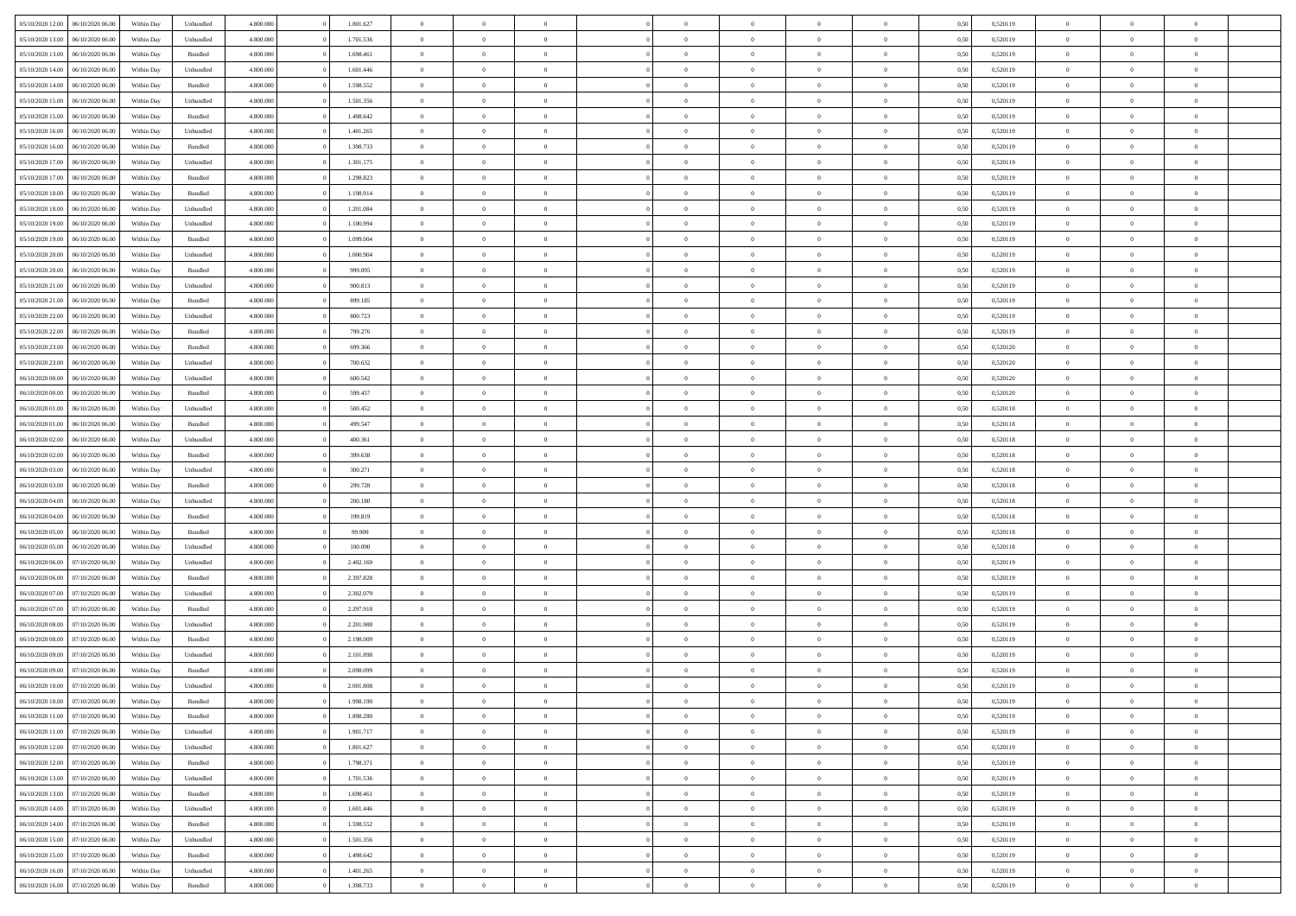| 05/10/2020 12:00                  | 06/10/2020 06:00 | Within Dav | Unbundled          | 4.800.000 | 1.801.627 | $\overline{0}$ | $\Omega$       |                | $\Omega$       | $\Omega$       | $\Omega$       | $\theta$       | 0.50 | 0,520119 | $\theta$       | $\theta$       | $\theta$       |  |
|-----------------------------------|------------------|------------|--------------------|-----------|-----------|----------------|----------------|----------------|----------------|----------------|----------------|----------------|------|----------|----------------|----------------|----------------|--|
| 05/10/2020 13:00                  | 06/10/2020 06.00 | Within Day | Unbundled          | 4.800.000 | 1.701.536 | $\overline{0}$ | $\theta$       | $\overline{0}$ | $\overline{0}$ | $\bf{0}$       | $\overline{0}$ | $\overline{0}$ | 0,50 | 0,520119 | $\theta$       | $\theta$       | $\overline{0}$ |  |
| 05/10/2020 13:00                  | 06/10/2020 06.00 | Within Day | Bundled            | 4.800.000 | 1.698.461 | $\overline{0}$ | $\overline{0}$ | $\overline{0}$ | $\bf{0}$       | $\bf{0}$       | $\bf{0}$       | $\bf{0}$       | 0,50 | 0,520119 | $\overline{0}$ | $\overline{0}$ | $\overline{0}$ |  |
|                                   |                  |            |                    |           |           |                |                |                |                |                |                |                |      |          | $\theta$       |                |                |  |
| 05/10/2020 14:00                  | 06/10/2020 06:00 | Within Dav | Unbundled          | 4.800.000 | 1.601.446 | $\overline{0}$ | $\overline{0}$ | $\overline{0}$ | $\overline{0}$ | $\bf{0}$       | $\overline{0}$ | $\overline{0}$ | 0.50 | 0.520119 |                | $\theta$       | $\overline{0}$ |  |
| 05/10/2020 14:00                  | 06/10/2020 06.00 | Within Day | Bundled            | 4.800.000 | 1.598.552 | $\overline{0}$ | $\theta$       | $\overline{0}$ | $\overline{0}$ | $\bf{0}$       | $\overline{0}$ | $\bf{0}$       | 0,50 | 0,520119 | $\theta$       | $\theta$       | $\overline{0}$ |  |
| 05/10/2020 15:00                  | 06/10/2020 06.00 | Within Day | Unbundled          | 4.800.000 | 1.501.356 | $\overline{0}$ | $\bf{0}$       | $\overline{0}$ | $\bf{0}$       | $\overline{0}$ | $\overline{0}$ | $\mathbf{0}$   | 0,50 | 0,520119 | $\overline{0}$ | $\overline{0}$ | $\bf{0}$       |  |
| 05/10/2020 15:00                  | 06/10/2020 06.00 | Within Dav | Bundled            | 4.800.000 | 1.498.642 | $\overline{0}$ | $\overline{0}$ | $\overline{0}$ | $\overline{0}$ | $\overline{0}$ | $\overline{0}$ | $\overline{0}$ | 0.50 | 0,520119 | $\theta$       | $\overline{0}$ | $\overline{0}$ |  |
|                                   |                  |            |                    |           |           |                |                |                |                |                |                |                |      |          |                |                |                |  |
| 05/10/2020 16.00                  | 06/10/2020 06.00 | Within Day | Unbundled          | 4.800.000 | 1.401.265 | $\overline{0}$ | $\theta$       | $\overline{0}$ | $\overline{0}$ | $\bf{0}$       | $\overline{0}$ | $\bf{0}$       | 0,50 | 0,520119 | $\theta$       | $\theta$       | $\overline{0}$ |  |
| 05/10/2020 16:00                  | 06/10/2020 06.00 | Within Day | Bundled            | 4.800.000 | 1.398.733 | $\overline{0}$ | $\overline{0}$ | $\overline{0}$ | $\bf{0}$       | $\bf{0}$       | $\bf{0}$       | $\bf{0}$       | 0,50 | 0,520119 | $\,0\,$        | $\overline{0}$ | $\overline{0}$ |  |
| 05/10/2020 17.00                  | 06/10/2020 06:00 | Within Dav | Unbundled          | 4.800.000 | 1.301.175 | $\overline{0}$ | $\overline{0}$ | $\overline{0}$ | $\overline{0}$ | $\overline{0}$ | $\overline{0}$ | $\overline{0}$ | 0.50 | 0,520119 | $\theta$       | $\overline{0}$ | $\overline{0}$ |  |
| 05/10/2020 17:00                  | 06/10/2020 06.00 | Within Day | Bundled            | 4.800.000 | 1.298.823 | $\overline{0}$ | $\theta$       | $\overline{0}$ | $\overline{0}$ | $\bf{0}$       | $\overline{0}$ |                |      | 0,520119 | $\,$ 0 $\,$    | $\theta$       | $\overline{0}$ |  |
|                                   |                  |            |                    |           |           |                |                |                |                |                |                | $\bf{0}$       | 0,50 |          |                |                |                |  |
| 05/10/2020 18:00                  | 06/10/2020 06.00 | Within Day | Bundled            | 4.800.000 | 1.198.914 | $\overline{0}$ | $\overline{0}$ | $\overline{0}$ | $\bf{0}$       | $\bf{0}$       | $\bf{0}$       | $\bf{0}$       | 0,50 | 0,520119 | $\overline{0}$ | $\overline{0}$ | $\overline{0}$ |  |
| 05/10/2020 18:00                  | 06/10/2020 06:00 | Within Day | Unbundled          | 4.800.000 | 1.201.084 | $\overline{0}$ | $\overline{0}$ | $\overline{0}$ | $\overline{0}$ | $\bf{0}$       | $\overline{0}$ | $\overline{0}$ | 0.50 | 0.520119 | $\theta$       | $\theta$       | $\overline{0}$ |  |
| 05/10/2020 19:00                  | 06/10/2020 06.00 | Within Day | Unbundled          | 4.800.000 | 1.100.994 | $\overline{0}$ | $\theta$       | $\overline{0}$ | $\overline{0}$ | $\bf{0}$       | $\overline{0}$ | $\overline{0}$ | 0,50 | 0,520119 | $\theta$       | $\theta$       | $\overline{0}$ |  |
|                                   |                  |            |                    |           |           |                |                |                |                |                |                |                |      |          |                |                |                |  |
| 05/10/2020 19:00                  | 06/10/2020 06.00 | Within Day | Bundled            | 4.800.000 | 1.099.004 | $\overline{0}$ | $\bf{0}$       | $\overline{0}$ | $\overline{0}$ | $\overline{0}$ | $\overline{0}$ | $\mathbf{0}$   | 0,50 | 0,520119 | $\overline{0}$ | $\overline{0}$ | $\bf{0}$       |  |
| 05/10/2020 20:00                  | 06/10/2020 06:00 | Within Dav | Unbundled          | 4.800.000 | 1.000.904 | $\overline{0}$ | $\overline{0}$ | $\overline{0}$ | $\overline{0}$ | $\overline{0}$ | $\overline{0}$ | $\overline{0}$ | 0.50 | 0,520119 | $\theta$       | $\overline{0}$ | $\overline{0}$ |  |
| 05/10/2020 20.00                  | 06/10/2020 06.00 | Within Day | Bundled            | 4.800.000 | 999.095   | $\overline{0}$ | $\theta$       | $\overline{0}$ | $\overline{0}$ | $\bf{0}$       | $\overline{0}$ | $\bf{0}$       | 0,50 | 0,520119 | $\theta$       | $\theta$       | $\overline{0}$ |  |
| 05/10/2020 21.00                  | 06/10/2020 06.00 | Within Day | Unbundled          | 4.800.000 | 900.813   | $\overline{0}$ | $\overline{0}$ | $\overline{0}$ | $\overline{0}$ | $\bf{0}$       | $\overline{0}$ | $\bf{0}$       | 0,50 | 0,520119 | $\,0\,$        | $\overline{0}$ | $\overline{0}$ |  |
| 05/10/2020 21.00                  | 06/10/2020 06:00 | Within Day | Bundled            | 4.800.000 | 899.185   | $\overline{0}$ | $\overline{0}$ | $\overline{0}$ | $\overline{0}$ | $\overline{0}$ | $\overline{0}$ | $\overline{0}$ | 0.50 | 0,520119 | $\theta$       | $\overline{0}$ | $\overline{0}$ |  |
|                                   |                  |            |                    |           |           |                |                |                |                |                |                |                |      |          |                |                |                |  |
| 05/10/2020 22.00                  | 06/10/2020 06.00 | Within Day | Unbundled          | 4.800.000 | 800.723   | $\overline{0}$ | $\theta$       | $\overline{0}$ | $\overline{0}$ | $\bf{0}$       | $\overline{0}$ | $\bf{0}$       | 0,50 | 0,520119 | $\,$ 0 $\,$    | $\theta$       | $\overline{0}$ |  |
| 05/10/2020 22.00                  | 06/10/2020 06.00 | Within Day | Bundled            | 4.800.000 | 799.276   | $\overline{0}$ | $\overline{0}$ | $\overline{0}$ | $\overline{0}$ | $\bf{0}$       | $\overline{0}$ | $\bf{0}$       | 0,50 | 0,520119 | $\bf{0}$       | $\overline{0}$ | $\overline{0}$ |  |
| 05/10/2020 23.00                  | 06/10/2020 06:00 | Within Day | Bundled            | 4.800.000 | 699.366   | $\overline{0}$ | $\overline{0}$ | $\overline{0}$ | $\overline{0}$ | $\bf{0}$       | $\overline{0}$ | $\overline{0}$ | 0.50 | 0.520120 | $\theta$       | $\theta$       | $\overline{0}$ |  |
| 05/10/2020 23.00                  | 06/10/2020 06.00 |            |                    | 4.800.000 | 700.632   | $\overline{0}$ | $\theta$       | $\overline{0}$ | $\overline{0}$ | $\bf{0}$       | $\overline{0}$ |                |      | 0,520120 | $\,$ 0 $\,$    | $\overline{0}$ | $\overline{0}$ |  |
|                                   |                  | Within Day | Unbundled          |           |           |                |                |                |                |                |                | $\bf{0}$       | 0,50 |          |                |                |                |  |
| 06/10/2020 00.00                  | 06/10/2020 06.00 | Within Day | Unbundled          | 4.800.000 | 600.542   | $\overline{0}$ | $\bf{0}$       | $\overline{0}$ | $\overline{0}$ | $\overline{0}$ | $\overline{0}$ | $\mathbf{0}$   | 0,50 | 0,520120 | $\overline{0}$ | $\overline{0}$ | $\bf{0}$       |  |
| 06/10/2020 00:00                  | 06/10/2020 06:00 | Within Dav | Bundled            | 4.800.000 | 599,457   | $\overline{0}$ | $\overline{0}$ | $\overline{0}$ | $\overline{0}$ | $\overline{0}$ | $\overline{0}$ | $\overline{0}$ | 0.50 | 0,520120 | $\theta$       | $\theta$       | $\overline{0}$ |  |
| 06/10/2020 01:00                  | 06/10/2020 06.00 | Within Day | Unbundled          | 4.800.000 | 500.452   | $\overline{0}$ | $\theta$       | $\overline{0}$ | $\overline{0}$ | $\bf{0}$       | $\overline{0}$ | $\bf{0}$       | 0,50 | 0,520118 | $\theta$       | $\theta$       | $\overline{0}$ |  |
|                                   | 06/10/2020 06.00 | Within Day | Bundled            | 4.800.000 | 499.547   | $\overline{0}$ | $\overline{0}$ | $\overline{0}$ | $\overline{0}$ | $\bf{0}$       | $\overline{0}$ | $\bf{0}$       | 0,50 | 0,520118 | $\,0\,$        | $\overline{0}$ | $\overline{0}$ |  |
| 06/10/2020 01:00                  |                  |            |                    |           |           |                |                |                |                |                |                |                |      |          |                |                |                |  |
| 06/10/2020 02.00                  | 06/10/2020 06:00 | Within Day | Unbundled          | 4.800.000 | 400.361   | $\overline{0}$ | $\overline{0}$ | $\overline{0}$ | $\overline{0}$ | $\overline{0}$ | $\overline{0}$ | $\overline{0}$ | 0.50 | 0,520118 | $\theta$       | $\overline{0}$ | $\overline{0}$ |  |
| 06/10/2020 02.00                  | 06/10/2020 06.00 | Within Day | Bundled            | 4.800.000 | 399.638   | $\overline{0}$ | $\theta$       | $\overline{0}$ | $\overline{0}$ | $\bf{0}$       | $\overline{0}$ | $\bf{0}$       | 0,50 | 0,520118 | $\,$ 0 $\,$    | $\overline{0}$ | $\overline{0}$ |  |
| 06/10/2020 03.00                  | 06/10/2020 06.00 | Within Day | Unbundled          | 4.800.000 | 300.271   | $\overline{0}$ | $\overline{0}$ | $\overline{0}$ | $\overline{0}$ | $\bf{0}$       | $\overline{0}$ | $\bf{0}$       | 0,50 | 0,520118 | $\bf{0}$       | $\overline{0}$ | $\overline{0}$ |  |
| 06/10/2020 03:00                  | 06/10/2020 06.00 |            |                    | 4.800,000 | 299.728   | $\overline{0}$ | $\Omega$       | $\Omega$       | $\Omega$       | $\Omega$       | $\Omega$       | $\overline{0}$ | 0,50 | 0,520118 | $\,0\,$        | $\theta$       | $\theta$       |  |
|                                   |                  | Within Day | Bundled            |           |           |                |                |                |                |                |                |                |      |          |                |                |                |  |
| 06/10/2020 04:00                  | 06/10/2020 06.00 | Within Day | Unbundled          | 4.800.000 | 200.180   | $\overline{0}$ | $\theta$       | $\overline{0}$ | $\overline{0}$ | $\bf{0}$       | $\overline{0}$ | $\bf{0}$       | 0,50 | 0,520118 | $\theta$       | $\theta$       | $\overline{0}$ |  |
| 06/10/2020 04.00                  | 06/10/2020 06.00 | Within Day | Bundled            | 4.800.000 | 199.819   | $\overline{0}$ | $\overline{0}$ | $\overline{0}$ | $\overline{0}$ | $\bf{0}$       | $\overline{0}$ | $\mathbf{0}$   | 0,50 | 0,520118 | $\overline{0}$ | $\overline{0}$ | $\bf{0}$       |  |
| 06/10/2020 05:00                  | 06/10/2020 06:00 | Within Day | Bundled            | 4.800,000 | 99.909    | $\overline{0}$ | $\Omega$       | $\Omega$       | $\Omega$       | $\bf{0}$       | $\overline{0}$ | $\overline{0}$ | 0.50 | 0,520118 | $\,0\,$        | $\theta$       | $\theta$       |  |
| 06/10/2020 05:00                  | 06/10/2020 06.00 | Within Day | Unbundled          | 4.800.000 | 100.090   | $\overline{0}$ | $\theta$       | $\overline{0}$ | $\overline{0}$ | $\bf{0}$       | $\overline{0}$ | $\bf{0}$       | 0,50 | 0,520118 | $\,$ 0 $\,$    | $\theta$       | $\overline{0}$ |  |
|                                   |                  |            |                    |           |           |                |                |                |                |                |                |                |      |          |                |                |                |  |
| 06/10/2020 06.00                  | 07/10/2020 06.00 | Within Day | Unbundled          | 4.800.000 | 2.402.169 | $\overline{0}$ | $\overline{0}$ | $\overline{0}$ | $\overline{0}$ | $\bf{0}$       | $\overline{0}$ | $\bf{0}$       | 0,50 | 0,520119 | $\,0\,$        | $\overline{0}$ | $\overline{0}$ |  |
| 06/10/2020 06.00                  | 07/10/2020 06.00 | Within Day | Bundled            | 4.800,000 | 2.397.828 | $\overline{0}$ | $\Omega$       | $\Omega$       | $\Omega$       | $\Omega$       | $\theta$       | $\overline{0}$ | 0.50 | 0,520119 | $\theta$       | $\theta$       | $\theta$       |  |
| 06/10/2020 07.00                  | 07/10/2020 06.00 | Within Day | Unbundled          | 4.800.000 | 2.302.079 | $\overline{0}$ | $\theta$       | $\overline{0}$ | $\overline{0}$ | $\bf{0}$       | $\overline{0}$ | $\bf{0}$       | 0,50 | 0,520119 | $\,$ 0 $\,$    | $\overline{0}$ | $\overline{0}$ |  |
| 06/10/2020 07:00                  | 07/10/2020 06.00 | Within Day | Bundled            | 4.800.000 | 2.297.918 | $\overline{0}$ | $\overline{0}$ | $\overline{0}$ | $\overline{0}$ | $\bf{0}$       | $\overline{0}$ | $\bf{0}$       | 0,50 | 0,520119 | $\bf{0}$       | $\overline{0}$ | $\overline{0}$ |  |
|                                   |                  |            |                    |           |           |                |                |                |                |                |                |                |      |          |                |                |                |  |
| 06/10/2020 08:00                  | 07/10/2020 06.00 | Within Day | Unbundled          | 4.800,000 | 2.201.988 | $\overline{0}$ | $\Omega$       | $\Omega$       | $\Omega$       | $\Omega$       | $\overline{0}$ | $\overline{0}$ | 0.50 | 0,520119 | $\,0\,$        | $\theta$       | $\theta$       |  |
| 06/10/2020 08:00                  | 07/10/2020 06.00 | Within Day | Bundled            | 4.800.000 | 2.198.009 | $\overline{0}$ | $\theta$       | $\overline{0}$ | $\overline{0}$ | $\bf{0}$       | $\overline{0}$ | $\bf{0}$       | 0,50 | 0,520119 | $\,$ 0 $\,$    | $\overline{0}$ | $\overline{0}$ |  |
| 06/10/2020 09:00                  | 07/10/2020 06.00 | Within Day | Unbundled          | 4.800.000 | 2.101.898 | $\overline{0}$ | $\overline{0}$ | $\overline{0}$ | $\overline{0}$ | $\bf{0}$       | $\overline{0}$ | $\mathbf{0}$   | 0,50 | 0,520119 | $\bf{0}$       | $\overline{0}$ | $\bf{0}$       |  |
| 06/10/2020 09:00                  | 07/10/2020 06.00 | Within Day | Bundled            | 4.800,000 | 2.098.099 | $\overline{0}$ | $\Omega$       | $\Omega$       | $\Omega$       | $\Omega$       | $\Omega$       | $\overline{0}$ | 0.50 | 0.520119 | $\theta$       | $\theta$       | $\theta$       |  |
| 06/10/2020 10:00                  | 07/10/2020 06.00 | Within Day | Unbundled          | 4.800.000 | 2.001.808 | $\overline{0}$ | $\overline{0}$ | $\overline{0}$ | $\bf{0}$       | $\,$ 0         | $\overline{0}$ | $\bf{0}$       | 0,50 | 0,520119 | $\,0\,$        | $\overline{0}$ | $\overline{0}$ |  |
|                                   |                  |            |                    |           |           |                |                |                |                |                |                |                |      |          |                |                |                |  |
| 06/10/2020 10:00 07/10/2020 06:00 |                  | Within Day | $\mathbf B$ undled | 4.800.000 | 1.998.190 | $\bf{0}$       | $\bf{0}$       |                |                |                |                |                | 0,50 | 0,520119 | $\bf{0}$       | $\overline{0}$ |                |  |
| 06/10/2020 11:00                  | 07/10/2020 06:00 | Within Day | Bundled            | 4.800.000 | 1.898.280 | $\overline{0}$ | $\overline{0}$ | $\overline{0}$ | $\Omega$       | $\overline{0}$ | $\overline{0}$ | $\overline{0}$ | 0,50 | 0,520119 | $\theta$       | $\theta$       | $\theta$       |  |
| 06/10/2020 11:00                  | 07/10/2020 06.00 | Within Day | Unbundled          | 4.800.000 | 1.901.717 | $\overline{0}$ | $\,$ 0         | $\overline{0}$ | $\overline{0}$ | $\,$ 0 $\,$    | $\overline{0}$ | $\mathbf{0}$   | 0,50 | 0,520119 | $\,$ 0 $\,$    | $\,$ 0 $\,$    | $\,$ 0         |  |
| 06/10/2020 12:00                  | 07/10/2020 06.00 | Within Day | Unbundled          | 4.800.000 | 1.801.627 | $\overline{0}$ | $\overline{0}$ | $\overline{0}$ | $\overline{0}$ | $\overline{0}$ | $\overline{0}$ | $\mathbf{0}$   | 0,50 | 0,520119 | $\overline{0}$ | $\bf{0}$       | $\bf{0}$       |  |
|                                   |                  |            |                    |           |           |                |                |                |                |                |                |                |      |          |                |                |                |  |
| 06/10/2020 12:00                  | 07/10/2020 06.00 | Within Day | $\mathbf B$ undled | 4.800,000 | 1.798.371 | $\overline{0}$ | $\overline{0}$ | $\overline{0}$ | $\Omega$       | $\overline{0}$ | $\overline{0}$ | $\overline{0}$ | 0,50 | 0,520119 | $\bf{0}$       | $\theta$       | $\overline{0}$ |  |
| 06/10/2020 13:00                  | 07/10/2020 06.00 | Within Day | Unbundled          | 4.800.000 | 1.701.536 | $\overline{0}$ | $\,$ 0         | $\overline{0}$ | $\overline{0}$ | $\,$ 0 $\,$    | $\overline{0}$ | $\mathbf{0}$   | 0,50 | 0,520119 | $\,$ 0 $\,$    | $\overline{0}$ | $\overline{0}$ |  |
| 06/10/2020 13:00                  | 07/10/2020 06.00 | Within Day | Bundled            | 4.800.000 | 1.698.461 | $\overline{0}$ | $\overline{0}$ | $\overline{0}$ | $\overline{0}$ | $\overline{0}$ | $\overline{0}$ | $\mathbf{0}$   | 0,50 | 0,520119 | $\overline{0}$ | $\overline{0}$ | $\bf{0}$       |  |
| 06/10/2020 14:00                  | 07/10/2020 06.00 | Within Day | Unbundled          | 4.800,000 | 1.601.446 | $\overline{0}$ | $\overline{0}$ | $\overline{0}$ | $\Omega$       | $\overline{0}$ | $\overline{0}$ | $\bf{0}$       | 0.50 | 0,520119 | $\overline{0}$ | $\theta$       | $\overline{0}$ |  |
|                                   |                  |            |                    |           |           |                |                |                |                |                |                |                |      |          |                |                |                |  |
| 06/10/2020 14:00                  | 07/10/2020 06.00 | Within Day | Bundled            | 4.800.000 | 1.598.552 | $\overline{0}$ | $\,$ 0         | $\overline{0}$ | $\overline{0}$ | $\bf{0}$       | $\overline{0}$ | $\bf{0}$       | 0,50 | 0,520119 | $\,$ 0 $\,$    | $\overline{0}$ | $\overline{0}$ |  |
| 06/10/2020 15:00                  | 07/10/2020 06.00 | Within Day | Unbundled          | 4.800.000 | 1.501.356 | $\overline{0}$ | $\bf{0}$       | $\overline{0}$ | $\overline{0}$ | $\overline{0}$ | $\overline{0}$ | $\mathbf{0}$   | 0,50 | 0,520119 | $\overline{0}$ | $\overline{0}$ | $\bf{0}$       |  |
| 06/10/2020 15:00                  | 07/10/2020 06:00 | Within Day | Bundled            | 4.800,000 | 1.498.642 | $\overline{0}$ | $\overline{0}$ | $\overline{0}$ | $\Omega$       | $\overline{0}$ | $\overline{0}$ | $\bf{0}$       | 0.50 | 0,520119 | $\overline{0}$ | $\theta$       | $\overline{0}$ |  |
| 06/10/2020 16:00                  | 07/10/2020 06.00 | Within Day | Unbundled          | 4.800.000 | 1.401.265 | $\overline{0}$ | $\bf{0}$       | $\overline{0}$ | $\bf{0}$       | $\bf{0}$       | $\overline{0}$ | $\mathbf{0}$   | 0,50 | 0,520119 | $\,$ 0 $\,$    | $\,$ 0 $\,$    | $\bf{0}$       |  |
|                                   |                  |            |                    |           |           |                |                |                |                |                |                |                |      |          |                |                |                |  |
| 06/10/2020 16:00                  | 07/10/2020 06.00 | Within Day | Bundled            | 4.800.000 | 1.398.733 | $\overline{0}$ | $\overline{0}$ | $\overline{0}$ | $\overline{0}$ | $\overline{0}$ | $\overline{0}$ | $\mathbf{0}$   | 0,50 | 0,520119 | $\overline{0}$ | $\bf{0}$       | $\bf{0}$       |  |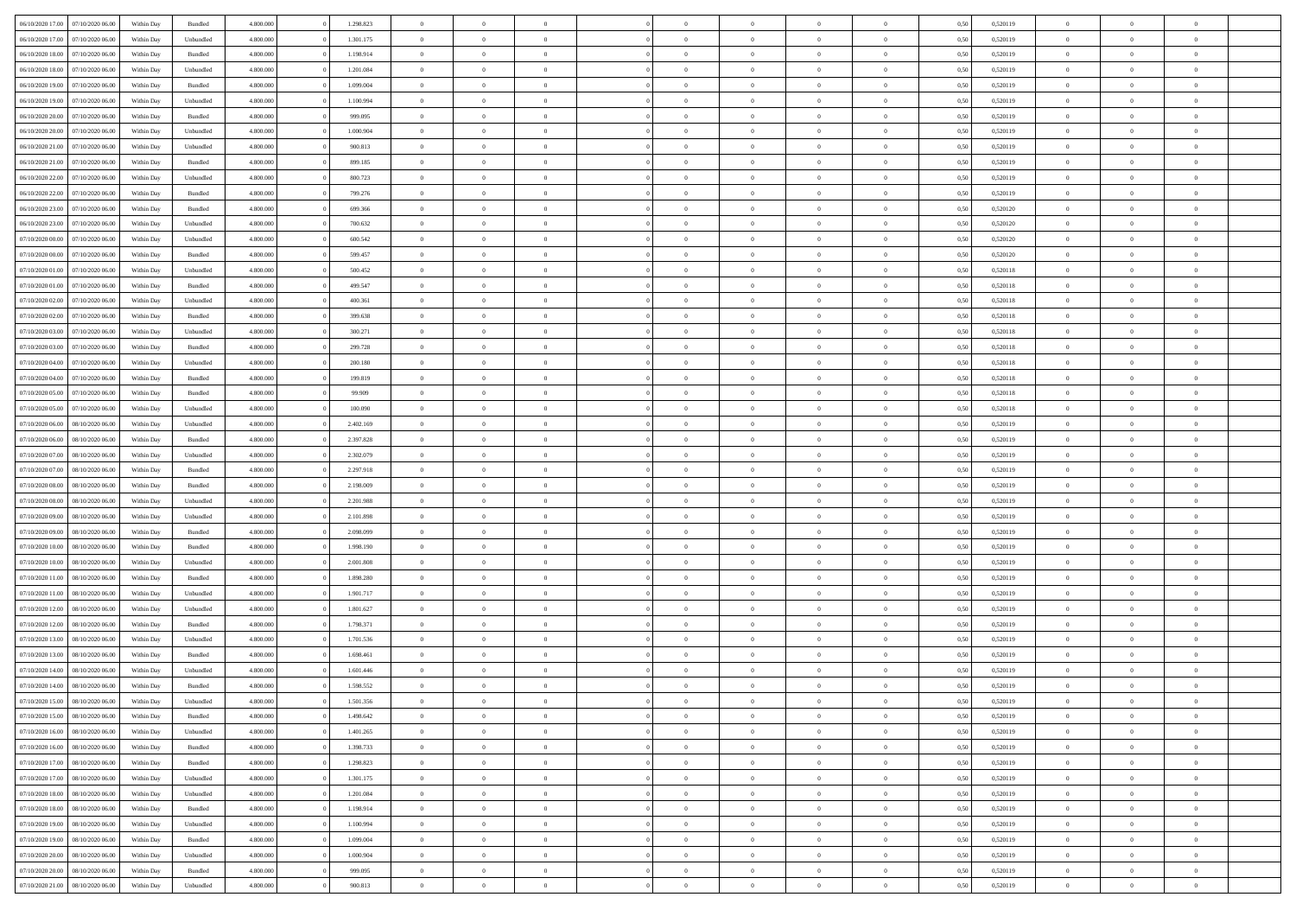| 06/10/2020 17:00                  | 07/10/2020 06.00 | Within Dav | Bundled            | 4.800.000 | 1.298.823 | $\overline{0}$ | $\Omega$       |                | $\Omega$       | $\Omega$       | $\Omega$       | $\theta$       | 0.50 | 0,520119 | $\theta$       | $\theta$       | $\theta$       |  |
|-----------------------------------|------------------|------------|--------------------|-----------|-----------|----------------|----------------|----------------|----------------|----------------|----------------|----------------|------|----------|----------------|----------------|----------------|--|
|                                   |                  |            |                    |           |           |                |                |                |                |                |                |                |      |          |                |                |                |  |
| 06/10/2020 17.00                  | 07/10/2020 06.00 | Within Day | Unbundled          | 4.800.000 | 1.301.175 | $\overline{0}$ | $\theta$       | $\overline{0}$ | $\overline{0}$ | $\bf{0}$       | $\overline{0}$ | $\bf{0}$       | 0,50 | 0,520119 | $\theta$       | $\theta$       | $\overline{0}$ |  |
| 06/10/2020 18:00                  | 07/10/2020 06.00 | Within Day | Bundled            | 4.800.000 | 1.198.914 | $\overline{0}$ | $\overline{0}$ | $\overline{0}$ | $\bf{0}$       | $\bf{0}$       | $\bf{0}$       | $\bf{0}$       | 0,50 | 0,520119 | $\overline{0}$ | $\overline{0}$ | $\overline{0}$ |  |
| 06/10/2020 18:00                  | 07/10/2020 06.00 | Within Dav | Unbundled          | 4.800.000 | 1.201.084 | $\overline{0}$ | $\overline{0}$ | $\overline{0}$ | $\overline{0}$ | $\bf{0}$       | $\overline{0}$ | $\overline{0}$ | 0.50 | 0.520119 | $\theta$       | $\theta$       | $\overline{0}$ |  |
|                                   |                  |            |                    |           |           |                |                |                |                |                |                |                |      |          |                |                |                |  |
| 06/10/2020 19:00                  | 07/10/2020 06.00 | Within Day | Bundled            | 4.800.000 | 1.099.004 | $\overline{0}$ | $\theta$       | $\overline{0}$ | $\overline{0}$ | $\bf{0}$       | $\overline{0}$ | $\bf{0}$       | 0,50 | 0,520119 | $\theta$       | $\theta$       | $\overline{0}$ |  |
| 06/10/2020 19:00                  | 07/10/2020 06.00 | Within Day | Unbundled          | 4.800.000 | 1.100.994 | $\overline{0}$ | $\bf{0}$       | $\overline{0}$ | $\bf{0}$       | $\overline{0}$ | $\overline{0}$ | $\mathbf{0}$   | 0,50 | 0,520119 | $\overline{0}$ | $\overline{0}$ | $\bf{0}$       |  |
| 06/10/2020 20:00                  | 07/10/2020 06.00 | Within Dav | Bundled            | 4.800.000 | 999,095   | $\overline{0}$ | $\overline{0}$ | $\overline{0}$ | $\overline{0}$ | $\overline{0}$ | $\overline{0}$ | $\overline{0}$ | 0.50 | 0,520119 | $\theta$       | $\overline{0}$ | $\overline{0}$ |  |
| 06/10/2020 20.00                  | 07/10/2020 06.00 | Within Day | Unbundled          | 4.800.000 | 1.000.904 | $\overline{0}$ | $\theta$       | $\overline{0}$ | $\overline{0}$ | $\bf{0}$       | $\overline{0}$ | $\bf{0}$       | 0,50 | 0,520119 | $\theta$       | $\theta$       | $\overline{0}$ |  |
|                                   |                  |            |                    |           |           |                | $\overline{0}$ |                |                | $\bf{0}$       |                |                |      |          | $\,0\,$        | $\overline{0}$ | $\overline{0}$ |  |
| 06/10/2020 21.00                  | 07/10/2020 06.00 | Within Day | Unbundled          | 4.800.000 | 900.813   | $\overline{0}$ |                | $\overline{0}$ | $\bf{0}$       |                | $\bf{0}$       | $\bf{0}$       | 0,50 | 0,520119 |                |                |                |  |
| 06/10/2020 21:00                  | 07/10/2020 06.00 | Within Dav | Bundled            | 4.800.000 | 899,185   | $\overline{0}$ | $\overline{0}$ | $\overline{0}$ | $\overline{0}$ | $\overline{0}$ | $\overline{0}$ | $\overline{0}$ | 0.50 | 0,520119 | $\theta$       | $\overline{0}$ | $\overline{0}$ |  |
| 06/10/2020 22.00                  | 07/10/2020 06.00 | Within Day | Unbundled          | 4.800.000 | 800.723   | $\overline{0}$ | $\theta$       | $\overline{0}$ | $\overline{0}$ | $\bf{0}$       | $\overline{0}$ | $\bf{0}$       | 0,50 | 0,520119 | $\,$ 0 $\,$    | $\theta$       | $\overline{0}$ |  |
| 06/10/2020 22.00                  | 07/10/2020 06.00 | Within Day | Bundled            | 4.800.000 | 799.276   | $\overline{0}$ | $\overline{0}$ | $\overline{0}$ | $\bf{0}$       | $\bf{0}$       | $\bf{0}$       | $\bf{0}$       | 0,50 | 0,520119 | $\overline{0}$ | $\overline{0}$ | $\overline{0}$ |  |
| 06/10/2020 23.00                  | 07/10/2020 06.00 | Within Day | Bundled            | 4.800.000 | 699.366   | $\overline{0}$ | $\overline{0}$ | $\overline{0}$ | $\overline{0}$ | $\bf{0}$       | $\overline{0}$ | $\overline{0}$ | 0.50 | 0.520120 | $\theta$       | $\theta$       | $\overline{0}$ |  |
|                                   |                  |            |                    |           |           | $\overline{0}$ | $\theta$       | $\overline{0}$ |                | $\bf{0}$       | $\overline{0}$ | $\overline{0}$ |      |          | $\theta$       | $\theta$       | $\overline{0}$ |  |
| 06/10/2020 23.00                  | 07/10/2020 06.00 | Within Day | Unbundled          | 4.800.000 | 700.632   |                |                |                | $\overline{0}$ |                |                |                | 0,50 | 0,520120 |                |                |                |  |
| 07/10/2020 00.00                  | 07/10/2020 06.00 | Within Day | Unbundled          | 4.800.000 | 600.542   | $\overline{0}$ | $\overline{0}$ | $\overline{0}$ | $\bf{0}$       | $\overline{0}$ | $\overline{0}$ | $\mathbf{0}$   | 0,50 | 0,520120 | $\overline{0}$ | $\overline{0}$ | $\bf{0}$       |  |
| 07/10/2020 00:00                  | 07/10/2020 06.00 | Within Dav | Bundled            | 4.800.000 | 599,457   | $\overline{0}$ | $\overline{0}$ | $\overline{0}$ | $\overline{0}$ | $\overline{0}$ | $\overline{0}$ | $\overline{0}$ | 0.50 | 0,520120 | $\theta$       | $\overline{0}$ | $\overline{0}$ |  |
| 07/10/2020 01:00                  | 07/10/2020 06.00 | Within Day | Unbundled          | 4.800.000 | 500.452   | $\overline{0}$ | $\theta$       | $\overline{0}$ | $\overline{0}$ | $\bf{0}$       | $\overline{0}$ | $\bf{0}$       | 0,50 | 0,520118 | $\theta$       | $\theta$       | $\overline{0}$ |  |
| 07/10/2020 01.00                  | 07/10/2020 06.00 | Within Day | Bundled            | 4.800.000 | 499.547   | $\overline{0}$ | $\overline{0}$ | $\overline{0}$ | $\bf{0}$       | $\bf{0}$       | $\bf{0}$       | $\bf{0}$       | 0,50 | 0,520118 | $\,0\,$        | $\overline{0}$ | $\overline{0}$ |  |
|                                   |                  |            |                    |           |           |                |                |                |                |                |                |                |      |          |                |                |                |  |
| 07/10/2020 02.00                  | 07/10/2020 06.00 | Within Day | Unbundled          | 4.800.000 | 400.361   | $\overline{0}$ | $\overline{0}$ | $\overline{0}$ | $\overline{0}$ | $\overline{0}$ | $\overline{0}$ | $\overline{0}$ | 0.50 | 0,520118 | $\theta$       | $\overline{0}$ | $\overline{0}$ |  |
| 07/10/2020 02.00                  | 07/10/2020 06.00 | Within Day | Bundled            | 4.800.000 | 399.638   | $\overline{0}$ | $\theta$       | $\overline{0}$ | $\overline{0}$ | $\bf{0}$       | $\overline{0}$ | $\bf{0}$       | 0,50 | 0,520118 | $\,$ 0 $\,$    | $\theta$       | $\overline{0}$ |  |
| 07/10/2020 03.00                  | 07/10/2020 06.00 | Within Day | Unbundled          | 4.800.000 | 300.271   | $\overline{0}$ | $\overline{0}$ | $\overline{0}$ | $\bf{0}$       | $\bf{0}$       | $\bf{0}$       | $\bf{0}$       | 0,50 | 0,520118 | $\bf{0}$       | $\overline{0}$ | $\overline{0}$ |  |
| 07/10/2020 03:00                  | 07/10/2020 06:00 | Within Day | Bundled            | 4.800.000 | 299,728   | $\overline{0}$ | $\overline{0}$ | $\overline{0}$ | $\overline{0}$ | $\bf{0}$       | $\overline{0}$ | $\overline{0}$ | 0.50 | 0.520118 | $\theta$       | $\overline{0}$ | $\overline{0}$ |  |
| 07/10/2020 04.00                  | 07/10/2020 06.00 |            |                    | 4.800.000 | 200.180   | $\overline{0}$ | $\theta$       | $\overline{0}$ | $\overline{0}$ | $\bf{0}$       | $\overline{0}$ |                |      | 0,520118 | $\,$ 0 $\,$    | $\overline{0}$ | $\overline{0}$ |  |
|                                   |                  | Within Day | Unbundled          |           |           |                |                |                |                |                |                | $\bf{0}$       | 0,50 |          |                |                |                |  |
| 07/10/2020 04.00                  | 07/10/2020 06.00 | Within Day | Bundled            | 4.800.000 | 199.819   | $\overline{0}$ | $\bf{0}$       | $\overline{0}$ | $\bf{0}$       | $\overline{0}$ | $\overline{0}$ | $\mathbf{0}$   | 0,50 | 0,520118 | $\overline{0}$ | $\overline{0}$ | $\bf{0}$       |  |
| 07/10/2020 05:00                  | 07/10/2020 06.00 | Within Day | Bundled            | 4.800.000 | 99.909    | $\overline{0}$ | $\overline{0}$ | $\overline{0}$ | $\overline{0}$ | $\overline{0}$ | $\overline{0}$ | $\overline{0}$ | 0.50 | 0,520118 | $\theta$       | $\theta$       | $\overline{0}$ |  |
| 07/10/2020 05.00                  | 07/10/2020 06.00 | Within Day | Unbundled          | 4.800.000 | 100.090   | $\overline{0}$ | $\theta$       | $\overline{0}$ | $\overline{0}$ | $\bf{0}$       | $\overline{0}$ | $\bf{0}$       | 0,50 | 0,520118 | $\theta$       | $\theta$       | $\overline{0}$ |  |
| 07/10/2020 06.00                  | 08/10/2020 06.00 | Within Day | Unbundled          | 4.800.000 | 2.402.169 | $\overline{0}$ | $\overline{0}$ | $\overline{0}$ | $\overline{0}$ | $\bf{0}$       | $\overline{0}$ | $\bf{0}$       | 0,50 | 0,520119 | $\,0\,$        | $\overline{0}$ | $\overline{0}$ |  |
|                                   | 08/10/2020 06.00 |            | Bundled            | 4.800.000 | 2.397.828 | $\overline{0}$ | $\overline{0}$ | $\overline{0}$ | $\overline{0}$ | $\overline{0}$ | $\overline{0}$ | $\overline{0}$ | 0.50 | 0,520119 | $\theta$       | $\overline{0}$ | $\overline{0}$ |  |
| 07/10/2020 06.00                  |                  | Within Day |                    |           |           |                |                |                |                |                |                |                |      |          |                |                |                |  |
| 07/10/2020 07.00                  | 08/10/2020 06.00 | Within Day | Unbundled          | 4.800.000 | 2.302.079 | $\overline{0}$ | $\theta$       | $\overline{0}$ | $\overline{0}$ | $\bf{0}$       | $\overline{0}$ | $\bf{0}$       | 0,50 | 0,520119 | $\,$ 0 $\,$    | $\overline{0}$ | $\overline{0}$ |  |
| 07/10/2020 07.00                  | 08/10/2020 06.00 | Within Day | Bundled            | 4.800.000 | 2.297.918 | $\overline{0}$ | $\overline{0}$ | $\overline{0}$ | $\overline{0}$ | $\bf{0}$       | $\overline{0}$ | $\bf{0}$       | 0,50 | 0,520119 | $\bf{0}$       | $\overline{0}$ | $\overline{0}$ |  |
| 07/10/2020 08:00                  | 08/10/2020 06:00 | Within Day | Bundled            | 4.800,000 | 2.198.009 | $\overline{0}$ | $\Omega$       | $\Omega$       | $\Omega$       | $\Omega$       | $\overline{0}$ | $\overline{0}$ | 0,50 | 0,520119 | $\,0\,$        | $\theta$       | $\theta$       |  |
| 07/10/2020 08:00                  | 08/10/2020 06.00 | Within Day | Unbundled          | 4.800.000 | 2.201.988 | $\overline{0}$ | $\theta$       | $\overline{0}$ | $\overline{0}$ | $\bf{0}$       | $\overline{0}$ | $\bf{0}$       | 0,50 | 0,520119 | $\,$ 0 $\,$    | $\theta$       | $\overline{0}$ |  |
|                                   |                  |            |                    |           |           |                |                |                |                |                |                |                |      |          |                |                |                |  |
| 07/10/2020 09:00                  | 08/10/2020 06:00 | Within Day | Unbundled          | 4.800.000 | 2.101.898 | $\overline{0}$ | $\overline{0}$ | $\overline{0}$ | $\overline{0}$ | $\bf{0}$       | $\overline{0}$ | $\mathbf{0}$   | 0,50 | 0,520119 | $\bf{0}$       | $\overline{0}$ | $\bf{0}$       |  |
| 07/10/2020 09:00                  | 08/10/2020 06:00 | Within Day | Bundled            | 4.800,000 | 2.098.099 | $\overline{0}$ | $\Omega$       | $\Omega$       | $\Omega$       | $\bf{0}$       | $\overline{0}$ | $\overline{0}$ | 0.50 | 0,520119 | $\,0\,$        | $\theta$       | $\theta$       |  |
| 07/10/2020 10:00                  | 08/10/2020 06.00 | Within Day | Bundled            | 4.800.000 | 1.998.190 | $\overline{0}$ | $\theta$       | $\overline{0}$ | $\overline{0}$ | $\bf{0}$       | $\overline{0}$ | $\bf{0}$       | 0,50 | 0,520119 | $\,$ 0 $\,$    | $\theta$       | $\overline{0}$ |  |
| 07/10/2020 10.00                  | 08/10/2020 06.00 | Within Day | Unbundled          | 4.800.000 | 2.001.808 | $\overline{0}$ | $\overline{0}$ | $\overline{0}$ | $\overline{0}$ | $\bf{0}$       | $\overline{0}$ | $\bf{0}$       | 0,50 | 0,520119 | $\,0\,$        | $\overline{0}$ | $\overline{0}$ |  |
| 07/10/2020 11:00                  | 08/10/2020 06:00 | Within Day | Bundled            | 4.800,000 | 1.898.280 | $\overline{0}$ | $\Omega$       | $\Omega$       | $\Omega$       | $\theta$       | $\theta$       | $\overline{0}$ | 0.50 | 0,520119 | $\theta$       | $\theta$       | $\theta$       |  |
|                                   |                  |            |                    |           |           |                |                |                |                |                |                |                |      |          |                |                |                |  |
| 07/10/2020 11:00                  | 08/10/2020 06.00 | Within Day | Unbundled          | 4.800.000 | 1.901.717 | $\overline{0}$ | $\theta$       | $\overline{0}$ | $\overline{0}$ | $\bf{0}$       | $\overline{0}$ | $\bf{0}$       | 0,50 | 0,520119 | $\,$ 0 $\,$    | $\overline{0}$ | $\overline{0}$ |  |
| 07/10/2020 12.00                  | 08/10/2020 06.00 | Within Day | Unbundled          | 4.800.000 | 1.801.627 | $\overline{0}$ | $\overline{0}$ | $\overline{0}$ | $\overline{0}$ | $\bf{0}$       | $\overline{0}$ | $\bf{0}$       | 0,50 | 0,520119 | $\bf{0}$       | $\overline{0}$ | $\overline{0}$ |  |
| 07/10/2020 12:00                  | 08/10/2020 06.00 | Within Day | Bundled            | 4.800,000 | 1.798.371 | $\overline{0}$ | $\Omega$       | $\overline{0}$ | $\Omega$       | $\Omega$       | $\overline{0}$ | $\overline{0}$ | 0.50 | 0,520119 | $\,0\,$        | $\theta$       | $\theta$       |  |
| 07/10/2020 13:00                  | 08/10/2020 06.00 | Within Day | Unbundled          | 4.800.000 | 1.701.536 | $\overline{0}$ | $\theta$       | $\overline{0}$ | $\overline{0}$ | $\bf{0}$       | $\overline{0}$ | $\bf{0}$       | 0,50 | 0,520119 | $\,$ 0 $\,$    | $\overline{0}$ | $\overline{0}$ |  |
| 07/10/2020 13.00                  | 08/10/2020 06.00 | Within Day | Bundled            | 4.800.000 | 1.698.461 | $\overline{0}$ | $\overline{0}$ | $\overline{0}$ | $\overline{0}$ | $\bf{0}$       | $\overline{0}$ | $\mathbf{0}$   | 0,50 | 0,520119 | $\bf{0}$       | $\overline{0}$ | $\bf{0}$       |  |
|                                   |                  |            |                    |           |           |                |                |                |                |                |                |                |      |          |                |                |                |  |
| 07/10/2020 14:00                  | 08/10/2020 06:00 | Within Day | Unbundled          | 4.800,000 | 1.601.446 | $\overline{0}$ | $\Omega$       | $\Omega$       | $\Omega$       | $\Omega$       | $\Omega$       | $\overline{0}$ | 0.50 | 0,520119 | $\theta$       | $\theta$       | $\theta$       |  |
| 07/10/2020 14:00                  | 08/10/2020 06:00 | Within Day | Bundled            | 4.800.000 | 1.598.552 | $\overline{0}$ | $\,$ 0 $\,$    | $\overline{0}$ | $\bf{0}$       | $\,$ 0         | $\overline{0}$ | $\bf{0}$       | 0,50 | 0,520119 | $\,0\,$        | $\overline{0}$ | $\overline{0}$ |  |
| 07/10/2020 15:00 08/10/2020 06:00 |                  | Within Day | Unbundled          | 4.800.000 | 1.501.356 | $\bf{0}$       | $\bf{0}$       |                |                |                |                |                | 0,50 | 0,520119 | $\bf{0}$       | $\overline{0}$ |                |  |
| 07/10/2020 15:00                  | 08/10/2020 06:00 | Within Day | Bundled            | 4.800.000 | 1.498.642 | $\overline{0}$ | $\overline{0}$ | $\overline{0}$ | $\Omega$       | $\overline{0}$ | $\overline{0}$ | $\overline{0}$ | 0,50 | 0,520119 | $\theta$       | $\theta$       | $\theta$       |  |
| 07/10/2020 16.00                  | 08/10/2020 06.00 | Within Day | Unbundled          | 4.800.000 | 1.401.265 | $\overline{0}$ | $\,$ 0         | $\overline{0}$ | $\overline{0}$ | $\,$ 0 $\,$    | $\overline{0}$ | $\mathbf{0}$   | 0,50 | 0,520119 | $\,$ 0 $\,$    | $\,$ 0 $\,$    | $\,$ 0         |  |
|                                   |                  |            |                    |           |           |                |                |                |                |                |                |                |      |          |                |                |                |  |
| 07/10/2020 16.00                  | 08/10/2020 06:00 | Within Day | Bundled            | 4.800.000 | 1.398.733 | $\overline{0}$ | $\overline{0}$ | $\overline{0}$ | $\overline{0}$ | $\overline{0}$ | $\overline{0}$ | $\mathbf{0}$   | 0,50 | 0,520119 | $\overline{0}$ | $\bf{0}$       | $\bf{0}$       |  |
| 07/10/2020 17:00                  | 08/10/2020 06:00 | Within Day | $\mathbf B$ undled | 4.800,000 | 1.298.823 | $\overline{0}$ | $\overline{0}$ | $\overline{0}$ | $\Omega$       | $\overline{0}$ | $\overline{0}$ | $\overline{0}$ | 0,50 | 0,520119 | $\overline{0}$ | $\theta$       | $\overline{0}$ |  |
| 07/10/2020 17.00                  | 08/10/2020 06.00 | Within Day | Unbundled          | 4.800.000 | 1.301.175 | $\overline{0}$ | $\,$ 0         | $\overline{0}$ | $\overline{0}$ | $\,$ 0 $\,$    | $\overline{0}$ | $\mathbf{0}$   | 0,50 | 0,520119 | $\,$ 0 $\,$    | $\overline{0}$ | $\overline{0}$ |  |
| 07/10/2020 18.00                  | 08/10/2020 06:00 | Within Day | Unbundled          | 4.800.000 | 1.201.084 | $\overline{0}$ | $\overline{0}$ | $\overline{0}$ | $\overline{0}$ | $\overline{0}$ | $\overline{0}$ | $\mathbf{0}$   | 0,50 | 0,520119 | $\overline{0}$ | $\overline{0}$ | $\bf{0}$       |  |
| 07/10/2020 18:00                  | 08/10/2020 06:00 | Within Day | Bundled            | 4.800.000 | 1.198.914 | $\overline{0}$ | $\overline{0}$ | $\overline{0}$ | $\Omega$       | $\overline{0}$ | $\overline{0}$ | $\bf{0}$       | 0.50 | 0,520119 | $\overline{0}$ | $\theta$       | $\overline{0}$ |  |
|                                   |                  |            |                    |           |           |                |                |                |                |                |                |                |      |          |                |                |                |  |
| 07/10/2020 19:00                  | 08/10/2020 06.00 | Within Day | Unbundled          | 4.800.000 | 1.100.994 | $\overline{0}$ | $\,$ 0         | $\overline{0}$ | $\overline{0}$ | $\bf{0}$       | $\overline{0}$ | $\bf{0}$       | 0,50 | 0,520119 | $\,$ 0 $\,$    | $\overline{0}$ | $\overline{0}$ |  |
| 07/10/2020 19:00                  | 08/10/2020 06:00 | Within Day | Bundled            | 4.800.000 | 1.099.004 | $\overline{0}$ | $\bf{0}$       | $\overline{0}$ | $\overline{0}$ | $\overline{0}$ | $\overline{0}$ | $\mathbf{0}$   | 0,50 | 0,520119 | $\overline{0}$ | $\overline{0}$ | $\bf{0}$       |  |
| 07/10/2020 20.00                  | 08/10/2020 06:00 | Within Day | Unbundled          | 4.800,000 | 1.000.904 | $\overline{0}$ | $\overline{0}$ | $\overline{0}$ | $\Omega$       | $\overline{0}$ | $\overline{0}$ | $\bf{0}$       | 0.50 | 0,520119 | $\overline{0}$ | $\overline{0}$ | $\overline{0}$ |  |
| 07/10/2020 20.00                  | 08/10/2020 06.00 | Within Day | Bundled            | 4.800.000 | 999.095   | $\overline{0}$ | $\bf{0}$       | $\overline{0}$ | $\bf{0}$       | $\bf{0}$       | $\overline{0}$ | $\mathbf{0}$   | 0,50 | 0,520119 | $\,$ 0 $\,$    | $\,$ 0 $\,$    | $\bf{0}$       |  |
| 07/10/2020 21.00                  | 08/10/2020 06.00 | Within Day | Unbundled          | 4.800.000 | 900.813   | $\overline{0}$ | $\overline{0}$ | $\overline{0}$ | $\overline{0}$ | $\overline{0}$ | $\overline{0}$ | $\mathbf{0}$   | 0,50 | 0,520119 | $\overline{0}$ | $\bf{0}$       | $\bf{0}$       |  |
|                                   |                  |            |                    |           |           |                |                |                |                |                |                |                |      |          |                |                |                |  |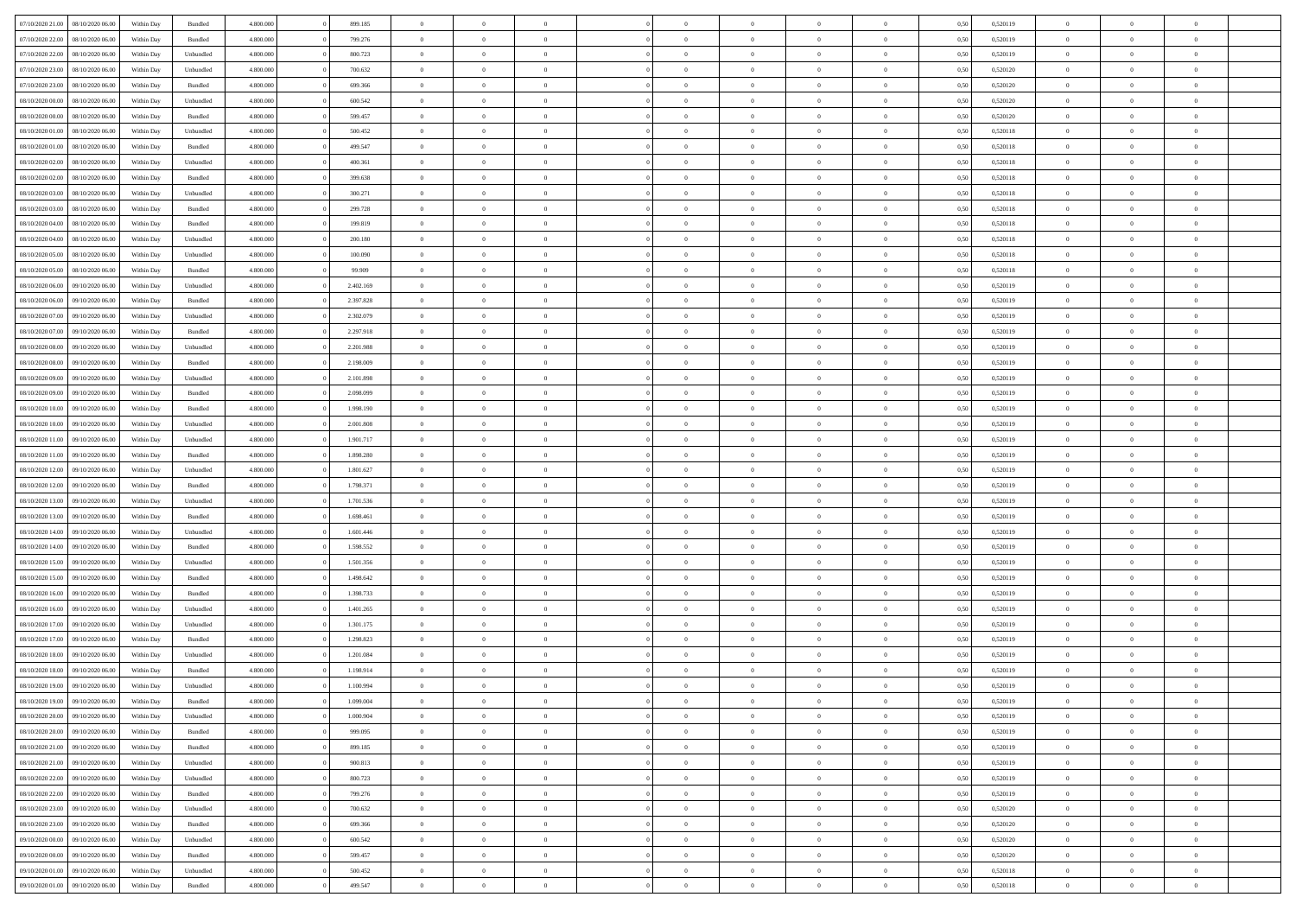| 07/10/2020 21:00                  | 08/10/2020 06:00 | Within Dav | Bundled            | 4.800.000 | 899.185   | $\overline{0}$ | $\Omega$       |                | $\Omega$       | $\Omega$       | $\Omega$       | $\theta$       | 0.50 | 0,520119 | $\theta$       | $\theta$       | $\theta$       |  |
|-----------------------------------|------------------|------------|--------------------|-----------|-----------|----------------|----------------|----------------|----------------|----------------|----------------|----------------|------|----------|----------------|----------------|----------------|--|
| 07/10/2020 22.00                  | 08/10/2020 06.00 | Within Day | Bundled            | 4.800.000 | 799.276   | $\overline{0}$ | $\theta$       | $\overline{0}$ | $\overline{0}$ | $\bf{0}$       | $\overline{0}$ | $\bf{0}$       | 0,50 | 0,520119 | $\theta$       | $\theta$       | $\overline{0}$ |  |
| 07/10/2020 22.00                  | 08/10/2020 06.00 | Within Day | Unbundled          | 4.800.000 | 800.723   | $\overline{0}$ | $\overline{0}$ | $\overline{0}$ | $\overline{0}$ | $\bf{0}$       | $\overline{0}$ | $\bf{0}$       | 0,50 | 0,520119 | $\overline{0}$ | $\overline{0}$ | $\overline{0}$ |  |
| 07/10/2020 23:00                  | 08/10/2020 06:00 | Within Dav | Unbundled          | 4.800.000 | 700,632   | $\overline{0}$ | $\overline{0}$ | $\overline{0}$ | $\overline{0}$ | $\bf{0}$       | $\overline{0}$ | $\overline{0}$ | 0.50 | 0.520120 | $\theta$       | $\theta$       | $\overline{0}$ |  |
| 07/10/2020 23.00                  | 08/10/2020 06.00 | Within Day | Bundled            | 4.800.000 | 699.366   | $\overline{0}$ | $\theta$       | $\overline{0}$ | $\overline{0}$ | $\bf{0}$       | $\overline{0}$ | $\bf{0}$       | 0,50 | 0,520120 | $\theta$       | $\theta$       | $\overline{0}$ |  |
|                                   |                  |            |                    |           |           |                |                |                |                |                |                |                |      |          |                |                |                |  |
| 08/10/2020 00.00                  | 08/10/2020 06.00 | Within Day | Unbundled          | 4.800.000 | 600.542   | $\overline{0}$ | $\bf{0}$       | $\overline{0}$ | $\overline{0}$ | $\overline{0}$ | $\overline{0}$ | $\mathbf{0}$   | 0,50 | 0,520120 | $\overline{0}$ | $\overline{0}$ | $\bf{0}$       |  |
| 08/10/2020 00:00                  | 08/10/2020 06.00 | Within Dav | Bundled            | 4.800.000 | 599,457   | $\overline{0}$ | $\overline{0}$ | $\overline{0}$ | $\overline{0}$ | $\overline{0}$ | $\overline{0}$ | $\overline{0}$ | 0.50 | 0,520120 | $\theta$       | $\overline{0}$ | $\overline{0}$ |  |
| 08/10/2020 01:00                  | 08/10/2020 06.00 | Within Day | Unbundled          | 4.800.000 | 500.452   | $\overline{0}$ | $\theta$       | $\overline{0}$ | $\overline{0}$ | $\bf{0}$       | $\overline{0}$ | $\bf{0}$       | 0,50 | 0,520118 | $\theta$       | $\theta$       | $\overline{0}$ |  |
| 08/10/2020 01:00                  | 08/10/2020 06.00 | Within Day | Bundled            | 4.800.000 | 499.547   | $\overline{0}$ | $\overline{0}$ | $\overline{0}$ | $\overline{0}$ | $\bf{0}$       | $\overline{0}$ | $\bf{0}$       | 0,50 | 0,520118 | $\,0\,$        | $\overline{0}$ | $\overline{0}$ |  |
| 08/10/2020 02:00                  | 08/10/2020 06:00 | Within Dav | Unbundled          | 4.800.000 | 400.361   | $\overline{0}$ | $\overline{0}$ | $\overline{0}$ | $\overline{0}$ | $\overline{0}$ | $\overline{0}$ | $\overline{0}$ | 0.50 | 0,520118 | $\theta$       | $\overline{0}$ | $\overline{0}$ |  |
| 08/10/2020 02.00                  | 08/10/2020 06.00 | Within Day | Bundled            | 4.800.000 | 399.638   | $\overline{0}$ | $\theta$       | $\overline{0}$ | $\overline{0}$ | $\bf{0}$       | $\overline{0}$ | $\bf{0}$       | 0,50 | 0,520118 | $\,$ 0 $\,$    | $\theta$       | $\overline{0}$ |  |
|                                   |                  |            |                    |           |           |                |                |                |                |                |                |                |      |          |                |                |                |  |
| 08/10/2020 03.00                  | 08/10/2020 06.00 | Within Day | Unbundled          | 4.800.000 | 300.271   | $\overline{0}$ | $\overline{0}$ | $\overline{0}$ | $\bf{0}$       | $\bf{0}$       | $\bf{0}$       | $\bf{0}$       | 0,50 | 0,520118 | $\overline{0}$ | $\overline{0}$ | $\overline{0}$ |  |
| 08/10/2020 03:00                  | 08/10/2020 06:00 | Within Day | Bundled            | 4.800.000 | 299,728   | $\overline{0}$ | $\overline{0}$ | $\overline{0}$ | $\overline{0}$ | $\bf{0}$       | $\overline{0}$ | $\overline{0}$ | 0.50 | 0.520118 | $\theta$       | $\theta$       | $\overline{0}$ |  |
| 08/10/2020 04:00                  | 08/10/2020 06.00 | Within Day | Bundled            | 4.800.000 | 199.819   | $\overline{0}$ | $\theta$       | $\overline{0}$ | $\overline{0}$ | $\bf{0}$       | $\overline{0}$ | $\overline{0}$ | 0,50 | 0,520118 | $\theta$       | $\theta$       | $\overline{0}$ |  |
| 08/10/2020 04.00                  | 08/10/2020 06.00 | Within Day | Unbundled          | 4.800.000 | 200.180   | $\overline{0}$ | $\bf{0}$       | $\overline{0}$ | $\bf{0}$       | $\overline{0}$ | $\overline{0}$ | $\mathbf{0}$   | 0,50 | 0,520118 | $\overline{0}$ | $\overline{0}$ | $\bf{0}$       |  |
| 08/10/2020 05:00                  | 08/10/2020 06:00 | Within Dav | Unbundled          | 4.800.000 | 100.090   | $\overline{0}$ | $\overline{0}$ | $\overline{0}$ | $\overline{0}$ | $\overline{0}$ | $\overline{0}$ | $\overline{0}$ | 0.50 | 0,520118 | $\theta$       | $\overline{0}$ | $\overline{0}$ |  |
| 08/10/2020 05:00                  | 08/10/2020 06.00 | Within Day | Bundled            | 4.800.000 | 99.909    | $\overline{0}$ | $\theta$       | $\overline{0}$ | $\overline{0}$ | $\bf{0}$       | $\overline{0}$ | $\bf{0}$       | 0,50 | 0,520118 | $\,$ 0 $\,$    | $\theta$       | $\overline{0}$ |  |
| 08/10/2020 06.00                  | 09/10/2020 06.00 | Within Day | Unbundled          | 4.800.000 | 2.402.169 | $\overline{0}$ | $\overline{0}$ | $\overline{0}$ | $\bf{0}$       | $\bf{0}$       | $\bf{0}$       | $\bf{0}$       | 0,50 | 0,520119 | $\,0\,$        | $\overline{0}$ | $\overline{0}$ |  |
| 08/10/2020 06:00                  | 09/10/2020 06:00 |            | Bundled            | 4.800.000 | 2.397.828 | $\overline{0}$ | $\overline{0}$ | $\overline{0}$ | $\overline{0}$ | $\overline{0}$ | $\overline{0}$ | $\overline{0}$ | 0.50 | 0,520119 | $\theta$       | $\overline{0}$ | $\overline{0}$ |  |
|                                   |                  | Within Day |                    |           |           |                |                |                |                |                |                |                |      |          |                |                |                |  |
| 08/10/2020 07.00                  | 09/10/2020 06.00 | Within Day | Unbundled          | 4.800.000 | 2.302.079 | $\overline{0}$ | $\theta$       | $\overline{0}$ | $\overline{0}$ | $\bf{0}$       | $\overline{0}$ | $\bf{0}$       | 0,50 | 0,520119 | $\,$ 0 $\,$    | $\theta$       | $\overline{0}$ |  |
| 08/10/2020 07.00                  | 09/10/2020 06.00 | Within Day | Bundled            | 4.800.000 | 2.297.918 | $\overline{0}$ | $\overline{0}$ | $\overline{0}$ | $\bf{0}$       | $\bf{0}$       | $\bf{0}$       | $\bf{0}$       | 0,50 | 0,520119 | $\bf{0}$       | $\overline{0}$ | $\overline{0}$ |  |
| 08/10/2020 08:00                  | 09/10/2020 06:00 | Within Day | Unbundled          | 4.800.000 | 2.201.988 | $\overline{0}$ | $\overline{0}$ | $\overline{0}$ | $\overline{0}$ | $\bf{0}$       | $\overline{0}$ | $\overline{0}$ | 0.50 | 0.520119 | $\theta$       | $\overline{0}$ | $\overline{0}$ |  |
| 08/10/2020 08:00                  | 09/10/2020 06.00 | Within Day | Bundled            | 4.800.000 | 2.198.009 | $\overline{0}$ | $\theta$       | $\overline{0}$ | $\overline{0}$ | $\bf{0}$       | $\overline{0}$ | $\bf{0}$       | 0,50 | 0,520119 | $\,$ 0 $\,$    | $\overline{0}$ | $\overline{0}$ |  |
| 08/10/2020 09:00                  | 09/10/2020 06.00 | Within Day | Unbundled          | 4.800.000 | 2.101.898 | $\overline{0}$ | $\bf{0}$       | $\overline{0}$ | $\bf{0}$       | $\overline{0}$ | $\overline{0}$ | $\mathbf{0}$   | 0,50 | 0,520119 | $\overline{0}$ | $\overline{0}$ | $\bf{0}$       |  |
| 08/10/2020 09:00                  | 09/10/2020 06:00 | Within Dav | Bundled            | 4.800.000 | 2.098.099 | $\overline{0}$ | $\overline{0}$ | $\overline{0}$ | $\overline{0}$ | $\overline{0}$ | $\overline{0}$ | $\overline{0}$ | 0.50 | 0,520119 | $\theta$       | $\overline{0}$ | $\overline{0}$ |  |
|                                   |                  |            |                    |           |           | $\overline{0}$ | $\theta$       | $\overline{0}$ |                | $\bf{0}$       | $\overline{0}$ |                |      |          | $\theta$       | $\theta$       | $\overline{0}$ |  |
| 08/10/2020 10:00                  | 09/10/2020 06.00 | Within Day | Bundled            | 4.800.000 | 1.998.190 |                |                |                | $\overline{0}$ |                |                | $\bf{0}$       | 0,50 | 0,520119 |                |                |                |  |
| 08/10/2020 10:00                  | 09/10/2020 06.00 | Within Day | Unbundled          | 4.800.000 | 2.001.808 | $\overline{0}$ | $\overline{0}$ | $\overline{0}$ | $\bf{0}$       | $\bf{0}$       | $\bf{0}$       | $\bf{0}$       | 0,50 | 0,520119 | $\,0\,$        | $\overline{0}$ | $\overline{0}$ |  |
| 08/10/2020 11:00                  | 09/10/2020 06:00 | Within Day | Unbundled          | 4.800.000 | 1.901.717 | $\overline{0}$ | $\overline{0}$ | $\overline{0}$ | $\overline{0}$ | $\overline{0}$ | $\overline{0}$ | $\overline{0}$ | 0.50 | 0,520119 | $\theta$       | $\overline{0}$ | $\overline{0}$ |  |
| 08/10/2020 11:00                  | 09/10/2020 06.00 | Within Day | Bundled            | 4.800.000 | 1.898.280 | $\overline{0}$ | $\theta$       | $\overline{0}$ | $\overline{0}$ | $\bf{0}$       | $\overline{0}$ | $\bf{0}$       | 0,50 | 0,520119 | $\,$ 0 $\,$    | $\overline{0}$ | $\overline{0}$ |  |
| 08/10/2020 12.00                  | 09/10/2020 06.00 | Within Day | Unbundled          | 4.800.000 | 1.801.627 | $\overline{0}$ | $\overline{0}$ | $\overline{0}$ | $\bf{0}$       | $\bf{0}$       | $\bf{0}$       | $\bf{0}$       | 0,50 | 0,520119 | $\bf{0}$       | $\overline{0}$ | $\overline{0}$ |  |
| 08/10/2020 12:00                  | 09/10/2020 06.00 | Within Day | Bundled            | 4.800,000 | 1.798.371 | $\overline{0}$ | $\Omega$       | $\Omega$       | $\Omega$       | $\Omega$       | $\Omega$       | $\overline{0}$ | 0,50 | 0,520119 | $\,0\,$        | $\theta$       | $\theta$       |  |
| 08/10/2020 13:00                  | 09/10/2020 06.00 | Within Day | Unbundled          | 4.800.000 | 1.701.536 | $\overline{0}$ | $\theta$       | $\overline{0}$ | $\overline{0}$ | $\bf{0}$       | $\overline{0}$ | $\bf{0}$       | 0,50 | 0,520119 | $\,$ 0 $\,$    | $\theta$       | $\overline{0}$ |  |
|                                   |                  |            |                    |           |           |                |                |                |                |                |                |                |      |          |                |                |                |  |
| 08/10/2020 13:00                  | 09/10/2020 06.00 | Within Day | Bundled            | 4.800.000 | 1.698.461 | $\overline{0}$ | $\overline{0}$ | $\overline{0}$ | $\bf{0}$       | $\bf{0}$       | $\overline{0}$ | $\mathbf{0}$   | 0,50 | 0,520119 | $\overline{0}$ | $\overline{0}$ | $\bf{0}$       |  |
| 08/10/2020 14:00                  | 09/10/2020 06:00 | Within Day | Unbundled          | 4.800,000 | 1.601.446 | $\overline{0}$ | $\Omega$       | $\Omega$       | $\Omega$       | $\bf{0}$       | $\overline{0}$ | $\overline{0}$ | 0.50 | 0,520119 | $\,0\,$        | $\theta$       | $\theta$       |  |
| 08/10/2020 14:00                  | 09/10/2020 06.00 | Within Day | Bundled            | 4.800.000 | 1.598.552 | $\overline{0}$ | $\theta$       | $\overline{0}$ | $\overline{0}$ | $\bf{0}$       | $\overline{0}$ | $\bf{0}$       | 0,50 | 0,520119 | $\,$ 0 $\,$    | $\theta$       | $\overline{0}$ |  |
| 08/10/2020 15:00                  | 09/10/2020 06.00 | Within Day | Unbundled          | 4.800.000 | 1.501.356 | $\overline{0}$ | $\overline{0}$ | $\overline{0}$ | $\overline{0}$ | $\bf{0}$       | $\overline{0}$ | $\bf{0}$       | 0,50 | 0,520119 | $\,0\,$        | $\overline{0}$ | $\overline{0}$ |  |
| 08/10/2020 15:00                  | 09/10/2020 06:00 | Within Day | Bundled            | 4.800,000 | 1.498.642 | $\overline{0}$ | $\Omega$       | $\Omega$       | $\Omega$       | $\theta$       | $\theta$       | $\overline{0}$ | 0.50 | 0,520119 | $\theta$       | $\theta$       | $\theta$       |  |
| 08/10/2020 16:00                  | 09/10/2020 06.00 | Within Day | Bundled            | 4.800.000 | 1.398.733 | $\overline{0}$ | $\theta$       | $\overline{0}$ | $\overline{0}$ | $\bf{0}$       | $\overline{0}$ | $\bf{0}$       | 0,50 | 0,520119 | $\,$ 0 $\,$    | $\overline{0}$ | $\overline{0}$ |  |
| 08/10/2020 16.00                  | 09/10/2020 06.00 | Within Day | Unbundled          | 4.800.000 | 1.401.265 | $\overline{0}$ | $\overline{0}$ | $\overline{0}$ | $\overline{0}$ | $\bf{0}$       | $\overline{0}$ | $\bf{0}$       | 0,50 | 0,520119 | $\overline{0}$ | $\overline{0}$ | $\overline{0}$ |  |
| 08/10/2020 17:00                  | 09/10/2020 06.00 | Within Day | Unbundled          | 4.800,000 | 1.301.175 | $\overline{0}$ | $\Omega$       | $\Omega$       | $\Omega$       | $\Omega$       | $\overline{0}$ | $\overline{0}$ | 0,50 | 0,520119 | $\,0\,$        | $\theta$       | $\theta$       |  |
|                                   |                  |            |                    |           |           |                |                |                |                |                |                |                |      |          |                |                |                |  |
| 08/10/2020 17:00                  | 09/10/2020 06.00 | Within Day | Bundled            | 4.800.000 | 1.298.823 | $\overline{0}$ | $\theta$       | $\overline{0}$ | $\overline{0}$ | $\bf{0}$       | $\overline{0}$ | $\bf{0}$       | 0,50 | 0,520119 | $\,$ 0 $\,$    | $\overline{0}$ | $\overline{0}$ |  |
| 08/10/2020 18:00                  | 09/10/2020 06.00 | Within Day | Unbundled          | 4.800.000 | 1.201.084 | $\overline{0}$ | $\overline{0}$ | $\overline{0}$ | $\overline{0}$ | $\bf{0}$       | $\overline{0}$ | $\mathbf{0}$   | 0,50 | 0,520119 | $\overline{0}$ | $\overline{0}$ | $\bf{0}$       |  |
| 08/10/2020 18:00                  | 09/10/2020 06:00 | Within Day | Bundled            | 4.800,000 | 1.198.914 | $\overline{0}$ | $\Omega$       | $\Omega$       | $\Omega$       | $\Omega$       | $\Omega$       | $\overline{0}$ | 0.50 | 0,520119 | $\theta$       | $\theta$       | $\theta$       |  |
| 08/10/2020 19:00                  | 09/10/2020 06.00 | Within Day | Unbundled          | 4.800.000 | 1.100.994 | $\overline{0}$ | $\overline{0}$ | $\overline{0}$ | $\bf{0}$       | $\,$ 0         | $\overline{0}$ | $\bf{0}$       | 0,50 | 0,520119 | $\,0\,$        | $\overline{0}$ | $\overline{0}$ |  |
| 08/10/2020 19:00 09/10/2020 06:00 |                  | Within Day | $\mathbf B$ undled | 4.800.000 | 1.099.004 | $\bf{0}$       | $\bf{0}$       |                |                |                |                |                | 0,50 | 0,520119 | $\bf{0}$       | $\overline{0}$ |                |  |
| 08/10/2020 20:00                  | 09/10/2020 06:00 | Within Day | Unbundled          | 4.800.000 | 1.000.904 | $\overline{0}$ | $\overline{0}$ | $\overline{0}$ | $\Omega$       | $\overline{0}$ | $\overline{0}$ | $\overline{0}$ | 0.50 | 0,520119 | $\theta$       | $\theta$       | $\theta$       |  |
| 08/10/2020 20:00                  | 09/10/2020 06.00 | Within Day | Bundled            | 4.800.000 | 999.095   | $\overline{0}$ | $\,$ 0         | $\overline{0}$ | $\overline{0}$ | $\,$ 0 $\,$    | $\overline{0}$ | $\,$ 0 $\,$    | 0,50 | 0,520119 | $\,$ 0 $\,$    | $\,$ 0 $\,$    | $\,$ 0         |  |
| 08/10/2020 21.00                  | 09/10/2020 06.00 | Within Day | Bundled            | 4.800.000 | 899.185   | $\overline{0}$ | $\overline{0}$ | $\overline{0}$ | $\overline{0}$ | $\overline{0}$ | $\overline{0}$ | $\mathbf{0}$   | 0,50 | 0,520119 | $\overline{0}$ | $\bf{0}$       | $\overline{0}$ |  |
|                                   |                  |            |                    |           |           |                |                |                |                |                |                |                |      |          |                |                |                |  |
| 08/10/2020 21:00                  | 09/10/2020 06.00 | Within Day | Unbundled          | 4.800,000 | 900.813   | $\overline{0}$ | $\overline{0}$ | $\overline{0}$ | $\Omega$       | $\overline{0}$ | $\overline{0}$ | $\overline{0}$ | 0,50 | 0,520119 | $\overline{0}$ | $\theta$       | $\overline{0}$ |  |
| 08/10/2020 22.00                  | 09/10/2020 06.00 | Within Day | Unbundled          | 4.800.000 | 800.723   | $\overline{0}$ | $\,$ 0         | $\overline{0}$ | $\overline{0}$ | $\,$ 0 $\,$    | $\overline{0}$ | $\mathbf{0}$   | 0,50 | 0,520119 | $\,$ 0 $\,$    | $\overline{0}$ | $\overline{0}$ |  |
| 08/10/2020 22.00                  | 09/10/2020 06.00 | Within Day | Bundled            | 4.800.000 | 799.276   | $\overline{0}$ | $\overline{0}$ | $\overline{0}$ | $\overline{0}$ | $\overline{0}$ | $\overline{0}$ | $\mathbf{0}$   | 0,50 | 0,520119 | $\overline{0}$ | $\overline{0}$ | $\bf{0}$       |  |
| 08/10/2020 23.00                  | 09/10/2020 06:00 | Within Day | Unbundled          | 4.800,000 | 700.632   | $\overline{0}$ | $\overline{0}$ | $\overline{0}$ | $\overline{0}$ | $\overline{0}$ | $\overline{0}$ | $\bf{0}$       | 0.50 | 0,520120 | $\overline{0}$ | $\theta$       | $\overline{0}$ |  |
| 08/10/2020 23.00                  | 09/10/2020 06.00 | Within Day | Bundled            | 4.800.000 | 699.366   | $\overline{0}$ | $\,$ 0         | $\overline{0}$ | $\overline{0}$ | $\bf{0}$       | $\overline{0}$ | $\bf{0}$       | 0,50 | 0,520120 | $\,$ 0 $\,$    | $\overline{0}$ | $\overline{0}$ |  |
| 09/10/2020 00:00                  | 09/10/2020 06.00 | Within Day | Unbundled          | 4.800.000 | 600.542   | $\overline{0}$ | $\bf{0}$       | $\overline{0}$ | $\overline{0}$ | $\overline{0}$ | $\overline{0}$ | $\mathbf{0}$   | 0,50 | 0,520120 | $\overline{0}$ | $\overline{0}$ | $\bf{0}$       |  |
|                                   |                  |            |                    |           |           |                |                |                |                |                |                |                |      |          |                |                |                |  |
| 09/10/2020 00:00                  | 09/10/2020 06:00 | Within Day | Bundled            | 4.800,000 | 599.457   | $\overline{0}$ | $\overline{0}$ | $\overline{0}$ | $\Omega$       | $\overline{0}$ | $\overline{0}$ | $\overline{0}$ | 0.50 | 0,520120 | $\overline{0}$ | $\overline{0}$ | $\overline{0}$ |  |
| 09/10/2020 01:00                  | 09/10/2020 06.00 | Within Day | Unbundled          | 4.800.000 | 500.452   | $\overline{0}$ | $\bf{0}$       | $\overline{0}$ | $\overline{0}$ | $\bf{0}$       | $\overline{0}$ | $\bf{0}$       | 0,50 | 0,520118 | $\,$ 0 $\,$    | $\,$ 0 $\,$    | $\bf{0}$       |  |
| 09/10/2020 01:00                  | 09/10/2020 06.00 | Within Day | Bundled            | 4.800.000 | 499.547   | $\overline{0}$ | $\bf{0}$       | $\overline{0}$ | $\overline{0}$ | $\bf{0}$       | $\overline{0}$ | $\bf{0}$       | 0,50 | 0,520118 | $\overline{0}$ | $\overline{0}$ | $\bf{0}$       |  |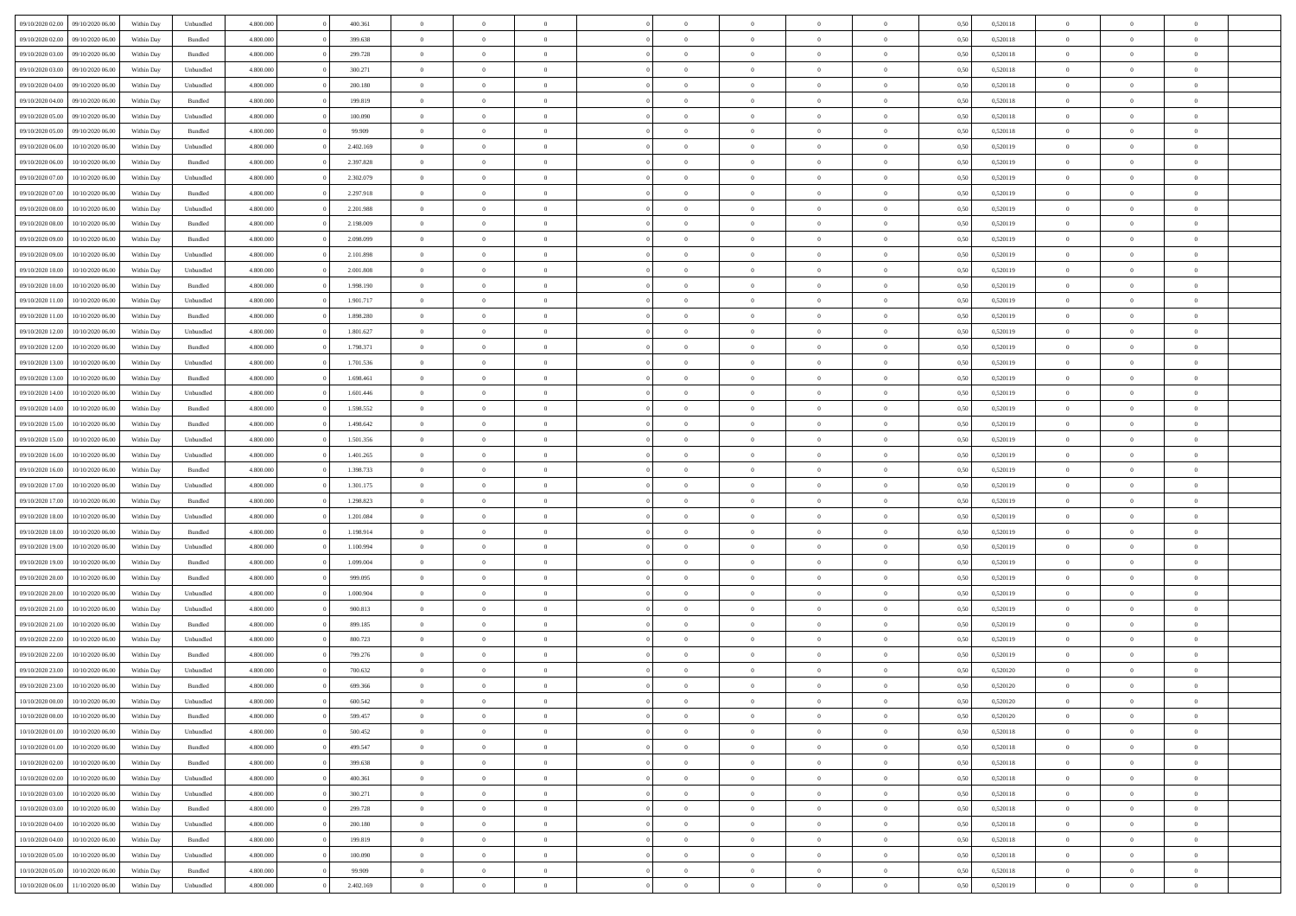| 09/10/2020 02.00 | 09/10/2020 06:00 | Within Dav | Unbundled          | 4.800.000 | 400.361   | $\overline{0}$ | $\theta$       |                | $\Omega$       | $\Omega$       | $\theta$       | $\theta$       | 0.50 | 0,520118 | $\theta$       | $\overline{0}$ | $\overline{0}$ |  |
|------------------|------------------|------------|--------------------|-----------|-----------|----------------|----------------|----------------|----------------|----------------|----------------|----------------|------|----------|----------------|----------------|----------------|--|
|                  |                  |            |                    |           |           |                |                |                |                |                |                |                |      |          |                |                |                |  |
| 09/10/2020 02.00 | 09/10/2020 06.00 | Within Day | Bundled            | 4.800.000 | 399.638   | $\overline{0}$ | $\theta$       | $\overline{0}$ | $\overline{0}$ | $\bf{0}$       | $\overline{0}$ | $\bf{0}$       | 0,50 | 0,520118 | $\theta$       | $\overline{0}$ | $\overline{0}$ |  |
| 09/10/2020 03.00 | 09/10/2020 06.00 | Within Day | Bundled            | 4.800.000 | 299.728   | $\overline{0}$ | $\bf{0}$       | $\overline{0}$ | $\overline{0}$ | $\bf{0}$       | $\overline{0}$ | $\bf{0}$       | 0,50 | 0,520118 | $\overline{0}$ | $\overline{0}$ | $\overline{0}$ |  |
| 09/10/2020 03:00 | 09/10/2020 06:00 | Within Dav | Unbundled          | 4.800.000 | 300.271   | $\overline{0}$ | $\overline{0}$ | $\overline{0}$ | $\overline{0}$ | $\bf{0}$       | $\overline{0}$ | $\overline{0}$ | 0.50 | 0.520118 | $\theta$       | $\theta$       | $\overline{0}$ |  |
|                  |                  |            |                    |           |           | $\overline{0}$ | $\theta$       | $\overline{0}$ | $\overline{0}$ | $\bf{0}$       | $\overline{0}$ |                |      |          | $\theta$       | $\overline{0}$ | $\overline{0}$ |  |
| 09/10/2020 04.00 | 09/10/2020 06.00 | Within Day | Unbundled          | 4.800.000 | 200.180   |                |                |                |                |                |                | $\bf{0}$       | 0,50 | 0,520118 |                |                |                |  |
| 09/10/2020 04.00 | 09/10/2020 06.00 | Within Day | Bundled            | 4.800.000 | 199.819   | $\overline{0}$ | $\overline{0}$ | $\overline{0}$ | $\bf{0}$       | $\overline{0}$ | $\overline{0}$ | $\mathbf{0}$   | 0,50 | 0,520118 | $\overline{0}$ | $\overline{0}$ | $\bf{0}$       |  |
| 09/10/2020 05:00 | 09/10/2020 06:00 | Within Dav | Unbundled          | 4.800.000 | 100.090   | $\overline{0}$ | $\overline{0}$ | $\overline{0}$ | $\overline{0}$ | $\overline{0}$ | $\overline{0}$ | $\overline{0}$ | 0.50 | 0,520118 | $\theta$       | $\overline{0}$ | $\overline{0}$ |  |
| 09/10/2020 05.00 | 09/10/2020 06.00 | Within Day | Bundled            | 4.800.000 | 99.909    | $\overline{0}$ | $\theta$       | $\overline{0}$ | $\overline{0}$ | $\bf{0}$       | $\overline{0}$ | $\bf{0}$       | 0,50 | 0,520118 | $\theta$       | $\theta$       | $\overline{0}$ |  |
| 09/10/2020 06:00 | 10/10/2020 06:00 | Within Day | Unbundled          | 4.800.000 | 2.402.169 | $\overline{0}$ | $\overline{0}$ | $\overline{0}$ | $\bf{0}$       | $\bf{0}$       | $\bf{0}$       | $\bf{0}$       | 0,50 | 0,520119 | $\,0\,$        | $\overline{0}$ | $\overline{0}$ |  |
|                  |                  |            |                    |           |           |                | $\overline{0}$ |                |                | $\overline{0}$ |                |                |      |          | $\theta$       | $\overline{0}$ | $\overline{0}$ |  |
| 09/10/2020 06:00 | 10/10/2020 06:00 | Within Dav | Bundled            | 4.800.000 | 2.397.828 | $\overline{0}$ |                | $\overline{0}$ | $\overline{0}$ |                | $\overline{0}$ | $\overline{0}$ | 0.50 | 0,520119 |                |                |                |  |
| 09/10/2020 07.00 | 10/10/2020 06:00 | Within Day | Unbundled          | 4.800.000 | 2.302.079 | $\overline{0}$ | $\theta$       | $\overline{0}$ | $\overline{0}$ | $\bf{0}$       | $\overline{0}$ | $\bf{0}$       | 0,50 | 0,520119 | $\,$ 0 $\,$    | $\overline{0}$ | $\overline{0}$ |  |
| 09/10/2020 07:00 | 10/10/2020 06:00 | Within Day | Bundled            | 4.800.000 | 2.297.918 | $\overline{0}$ | $\bf{0}$       | $\overline{0}$ | $\bf{0}$       | $\bf{0}$       | $\bf{0}$       | $\bf{0}$       | 0,50 | 0,520119 | $\overline{0}$ | $\overline{0}$ | $\bf{0}$       |  |
| 09/10/2020 08:00 | 10/10/2020 06:00 | Within Day | Unbundled          | 4.800.000 | 2.201.988 | $\overline{0}$ | $\overline{0}$ | $\overline{0}$ | $\overline{0}$ | $\bf{0}$       | $\overline{0}$ | $\overline{0}$ | 0.50 | 0.520119 | $\theta$       | $\theta$       | $\overline{0}$ |  |
| 09/10/2020 08:00 | 10/10/2020 06:00 | Within Day | Bundled            | 4.800.000 | 2.198.009 | $\overline{0}$ | $\theta$       | $\overline{0}$ | $\overline{0}$ | $\bf{0}$       | $\overline{0}$ | $\overline{0}$ | 0,50 | 0,520119 | $\theta$       | $\overline{0}$ | $\overline{0}$ |  |
|                  |                  |            |                    |           |           |                |                |                |                |                |                |                |      |          |                |                |                |  |
| 09/10/2020 09:00 | 10/10/2020 06:00 | Within Day | Bundled            | 4.800.000 | 2.098.099 | $\overline{0}$ | $\overline{0}$ | $\overline{0}$ | $\overline{0}$ | $\overline{0}$ | $\overline{0}$ | $\mathbf{0}$   | 0,50 | 0,520119 | $\bf{0}$       | $\overline{0}$ | $\bf{0}$       |  |
| 09/10/2020 09:00 | 10/10/2020 06:00 | Within Dav | Unbundled          | 4.800.000 | 2.101.898 | $\overline{0}$ | $\overline{0}$ | $\overline{0}$ | $\overline{0}$ | $\overline{0}$ | $\overline{0}$ | $\overline{0}$ | 0.50 | 0,520119 | $\theta$       | $\overline{0}$ | $\overline{0}$ |  |
| 09/10/2020 10:00 | 10/10/2020 06:00 | Within Day | Unbundled          | 4.800.000 | 2.001.808 | $\overline{0}$ | $\theta$       | $\overline{0}$ | $\overline{0}$ | $\bf{0}$       | $\overline{0}$ | $\bf{0}$       | 0,50 | 0,520119 | $\,$ 0 $\,$    | $\theta$       | $\overline{0}$ |  |
| 09/10/2020 10:00 | 10/10/2020 06:00 | Within Day | Bundled            | 4.800.000 | 1.998.190 | $\overline{0}$ | $\overline{0}$ | $\overline{0}$ | $\overline{0}$ | $\bf{0}$       | $\overline{0}$ | $\bf{0}$       | 0,50 | 0,520119 | $\,0\,$        | $\overline{0}$ | $\overline{0}$ |  |
| 09/10/2020 11:00 | 10/10/2020 06:00 | Within Dav | Unbundled          | 4.800.000 | 1.901.717 | $\overline{0}$ | $\overline{0}$ | $\overline{0}$ | $\overline{0}$ | $\overline{0}$ | $\overline{0}$ | $\overline{0}$ | 0.50 | 0,520119 | $\theta$       | $\overline{0}$ | $\overline{0}$ |  |
| 09/10/2020 11:00 | 10/10/2020 06:00 | Within Day | Bundled            | 4.800.000 | 1.898.280 | $\overline{0}$ | $\theta$       | $\overline{0}$ | $\overline{0}$ | $\bf{0}$       | $\overline{0}$ | $\bf{0}$       | 0,50 | 0,520119 | $\,$ 0 $\,$    | $\overline{0}$ | $\overline{0}$ |  |
|                  |                  |            |                    |           |           |                |                |                |                |                |                |                |      |          |                |                |                |  |
| 09/10/2020 12:00 | 10/10/2020 06:00 | Within Day | Unbundled          | 4.800.000 | 1.801.627 | $\overline{0}$ | $\overline{0}$ | $\overline{0}$ | $\overline{0}$ | $\bf{0}$       | $\overline{0}$ | $\bf{0}$       | 0,50 | 0,520119 | $\bf{0}$       | $\overline{0}$ | $\bf{0}$       |  |
| 09/10/2020 12:00 | 10/10/2020 06:00 | Within Day | Bundled            | 4.800.000 | 1.798.371 | $\overline{0}$ | $\overline{0}$ | $\overline{0}$ | $\overline{0}$ | $\bf{0}$       | $\overline{0}$ | $\overline{0}$ | 0.50 | 0.520119 | $\theta$       | $\overline{0}$ | $\overline{0}$ |  |
| 09/10/2020 13:00 | 10/10/2020 06:00 | Within Day | Unbundled          | 4.800.000 | 1.701.536 | $\overline{0}$ | $\theta$       | $\overline{0}$ | $\overline{0}$ | $\bf{0}$       | $\overline{0}$ | $\bf{0}$       | 0,50 | 0,520119 | $\,$ 0 $\,$    | $\overline{0}$ | $\overline{0}$ |  |
| 09/10/2020 13:00 | 10/10/2020 06:00 | Within Day | Bundled            | 4.800.000 | 1.698.461 | $\overline{0}$ | $\overline{0}$ | $\overline{0}$ | $\overline{0}$ | $\overline{0}$ | $\overline{0}$ | $\mathbf{0}$   | 0,50 | 0,520119 | $\bf{0}$       | $\overline{0}$ | $\bf{0}$       |  |
| 09/10/2020 14:00 | 10/10/2020 06:00 | Within Dav | Unbundled          | 4.800.000 | 1.601.446 | $\overline{0}$ | $\overline{0}$ | $\overline{0}$ | $\overline{0}$ | $\overline{0}$ | $\overline{0}$ | $\overline{0}$ | 0.50 | 0,520119 | $\overline{0}$ | $\overline{0}$ | $\overline{0}$ |  |
| 09/10/2020 14:00 | 10/10/2020 06:00 | Within Day | Bundled            | 4.800.000 | 1.598.552 | $\overline{0}$ | $\theta$       | $\overline{0}$ | $\overline{0}$ | $\bf{0}$       | $\overline{0}$ | $\bf{0}$       | 0,50 | 0,520119 | $\theta$       | $\theta$       | $\overline{0}$ |  |
|                  | 10/10/2020 06:00 | Within Day | Bundled            | 4.800.000 | 1.498.642 | $\overline{0}$ | $\overline{0}$ | $\overline{0}$ | $\overline{0}$ | $\bf{0}$       | $\overline{0}$ | $\bf{0}$       | 0,50 | 0,520119 | $\,0\,$        | $\overline{0}$ | $\overline{0}$ |  |
| 09/10/2020 15:00 |                  |            |                    |           |           |                |                |                |                |                |                |                |      |          |                |                |                |  |
| 09/10/2020 15:00 | 10/10/2020 06:00 | Within Day | Unbundled          | 4.800.000 | 1.501.356 | $\overline{0}$ | $\overline{0}$ | $\overline{0}$ | $\overline{0}$ | $\overline{0}$ | $\overline{0}$ | $\overline{0}$ | 0.50 | 0,520119 | $\theta$       | $\overline{0}$ | $\overline{0}$ |  |
| 09/10/2020 16:00 | 10/10/2020 06:00 | Within Day | Unbundled          | 4.800.000 | 1.401.265 | $\overline{0}$ | $\theta$       | $\overline{0}$ | $\overline{0}$ | $\bf{0}$       | $\overline{0}$ | $\bf{0}$       | 0,50 | 0,520119 | $\,$ 0 $\,$    | $\overline{0}$ | $\overline{0}$ |  |
| 09/10/2020 16.00 | 10/10/2020 06:00 | Within Day | Bundled            | 4.800.000 | 1.398.733 | $\overline{0}$ | $\overline{0}$ | $\overline{0}$ | $\overline{0}$ | $\bf{0}$       | $\overline{0}$ | $\bf{0}$       | 0,50 | 0,520119 | $\bf{0}$       | $\overline{0}$ | $\bf{0}$       |  |
| 09/10/2020 17.00 | 10/10/2020 06:00 | Within Day | Unbundled          | 4.800,000 | 1.301.175 | $\bf{0}$       | $\Omega$       | $\Omega$       | $\Omega$       | $\Omega$       | $\overline{0}$ | $\overline{0}$ | 0,50 | 0,520119 | $\,0\,$        | $\theta$       | $\theta$       |  |
| 09/10/2020 17.00 | 10/10/2020 06:00 | Within Day | Bundled            | 4.800.000 | 1.298.823 | $\overline{0}$ | $\theta$       | $\overline{0}$ | $\overline{0}$ | $\bf{0}$       | $\overline{0}$ | $\bf{0}$       | 0,50 | 0,520119 | $\,$ 0 $\,$    | $\overline{0}$ | $\overline{0}$ |  |
| 09/10/2020 18:00 | 10/10/2020 06:00 | Within Day | Unbundled          | 4.800.000 | 1.201.084 | $\overline{0}$ | $\overline{0}$ | $\overline{0}$ | $\overline{0}$ | $\overline{0}$ | $\overline{0}$ | $\mathbf{0}$   | 0,50 | 0,520119 | $\bf{0}$       | $\overline{0}$ | $\bf{0}$       |  |
|                  |                  |            |                    |           |           |                |                |                |                |                |                |                |      |          |                |                |                |  |
| 09/10/2020 18:00 | 10/10/2020 06:00 | Within Day | Bundled            | 4.800,000 | 1.198.914 | $\overline{0}$ | $\Omega$       | $\Omega$       | $\Omega$       | $\bf{0}$       | $\overline{0}$ | $\overline{0}$ | 0.50 | 0,520119 | $\,0\,$        | $\theta$       | $\theta$       |  |
| 09/10/2020 19:00 | 10/10/2020 06:00 | Within Day | Unbundled          | 4.800.000 | 1.100.994 | $\overline{0}$ | $\theta$       | $\overline{0}$ | $\overline{0}$ | $\bf{0}$       | $\overline{0}$ | $\bf{0}$       | 0,50 | 0,520119 | $\,$ 0 $\,$    | $\overline{0}$ | $\overline{0}$ |  |
| 09/10/2020 19:00 | 10/10/2020 06:00 | Within Day | Bundled            | 4.800.000 | 1.099.004 | $\overline{0}$ | $\overline{0}$ | $\overline{0}$ | $\bf{0}$       | $\bf{0}$       | $\bf{0}$       | $\bf{0}$       | 0,50 | 0,520119 | $\bf{0}$       | $\overline{0}$ | $\overline{0}$ |  |
| 09/10/2020 20:00 | 10/10/2020 06:00 | Within Day | Bundled            | 4.800,000 | 999.095   | $\overline{0}$ | $\Omega$       | $\Omega$       | $\Omega$       | $\theta$       | $\theta$       | $\overline{0}$ | 0.50 | 0,520119 | $\,$ 0 $\,$    | $\theta$       | $\theta$       |  |
| 09/10/2020 20.00 | 10/10/2020 06:00 | Within Day | Unbundled          | 4.800.000 | 1.000.904 | $\overline{0}$ | $\overline{0}$ | $\overline{0}$ | $\overline{0}$ | $\bf{0}$       | $\overline{0}$ | $\bf{0}$       | 0,50 | 0,520119 | $\,$ 0 $\,$    | $\overline{0}$ | $\overline{0}$ |  |
|                  |                  |            |                    |           |           |                |                |                |                |                |                |                |      |          |                |                |                |  |
| 09/10/2020 21.00 | 10/10/2020 06:00 | Within Day | Unbundled          | 4.800.000 | 900.813   | $\overline{0}$ | $\bf{0}$       | $\overline{0}$ | $\bf{0}$       | $\bf{0}$       | $\bf{0}$       | $\bf{0}$       | 0,50 | 0,520119 | $\bf{0}$       | $\overline{0}$ | $\bf{0}$       |  |
| 09/10/2020 21:00 | 10/10/2020 06:00 | Within Day | Bundled            | 4.800,000 | 899.185   | $\overline{0}$ | $\Omega$       | $\Omega$       | $\Omega$       | $\overline{0}$ | $\overline{0}$ | $\overline{0}$ | 0,50 | 0,520119 | $\,0\,$        | $\theta$       | $\theta$       |  |
| 09/10/2020 22.00 | 10/10/2020 06:00 | Within Day | Unbundled          | 4.800.000 | 800.723   | $\overline{0}$ | $\overline{0}$ | $\overline{0}$ | $\overline{0}$ | $\,$ 0         | $\overline{0}$ | $\bf{0}$       | 0,50 | 0,520119 | $\,$ 0 $\,$    | $\overline{0}$ | $\overline{0}$ |  |
| 09/10/2020 22.00 | 10/10/2020 06:00 | Within Day | Bundled            | 4.800.000 | 799.276   | $\overline{0}$ | $\overline{0}$ | $\overline{0}$ | $\bf{0}$       | $\bf{0}$       | $\bf{0}$       | $\mathbf{0}$   | 0,50 | 0,520119 | $\bf{0}$       | $\overline{0}$ | $\bf{0}$       |  |
| 09/10/2020 23.00 | 10/10/2020 06:00 | Within Day | Unbundled          | 4.800,000 | 700,632   | $\overline{0}$ | $\Omega$       | $\Omega$       | $\Omega$       | $\Omega$       | $\Omega$       | $\overline{0}$ | 0.50 | 0,520120 | $\theta$       | $\theta$       | $\theta$       |  |
| 09/10/2020 23.00 | 10/10/2020 06:00 | Within Day | Bundled            | 4.800.000 | 699.366   | $\overline{0}$ | $\overline{0}$ | $\overline{0}$ | $\bf{0}$       | $\,$ 0         | $\bf{0}$       | $\bf{0}$       | 0,50 | 0,520120 | $\,0\,$        | $\,$ 0 $\,$    | $\overline{0}$ |  |
|                  |                  |            |                    |           |           |                |                |                |                |                |                |                |      |          |                |                |                |  |
| 10/10/2020 00:00 | 10/10/2020 06:00 | Within Day | Unbundled          | 4.800.000 | 600.542   | $\bf{0}$       | $\bf{0}$       |                |                | $\bf{0}$       |                |                | 0,50 | 0,520120 | $\bf{0}$       | $\overline{0}$ |                |  |
| 10/10/2020 00:00 | 10/10/2020 06:00 | Within Day | Bundled            | 4.800.000 | 599,457   | $\overline{0}$ | $\overline{0}$ | $\Omega$       | $\Omega$       | $\overline{0}$ | $\overline{0}$ | $\overline{0}$ | 0,50 | 0,520120 | $\theta$       | $\theta$       | $\theta$       |  |
| 10/10/2020 01:00 | 10/10/2020 06:00 | Within Day | Unbundled          | 4.800.000 | 500.452   | $\overline{0}$ | $\bf{0}$       | $\overline{0}$ | $\bf{0}$       | $\,$ 0 $\,$    | $\overline{0}$ | $\,$ 0 $\,$    | 0,50 | 0,520118 | $\,$ 0 $\,$    | $\,$ 0 $\,$    | $\,$ 0         |  |
| 10/10/2020 01:00 | 10/10/2020 06:00 | Within Day | Bundled            | 4.800.000 | 499.547   | $\overline{0}$ | $\overline{0}$ | $\overline{0}$ | $\overline{0}$ | $\overline{0}$ | $\overline{0}$ | $\mathbf{0}$   | 0,50 | 0,520118 | $\overline{0}$ | $\bf{0}$       | $\bf{0}$       |  |
| 10/10/2020 02:00 | 10/10/2020 06:00 | Within Day | $\mathbf B$ undled | 4.800,000 | 399.638   | $\overline{0}$ | $\overline{0}$ | $\overline{0}$ | $\Omega$       | $\overline{0}$ | $\overline{0}$ | $\overline{0}$ | 0,50 | 0,520118 | $\bf{0}$       | $\theta$       | $\overline{0}$ |  |
| 10/10/2020 02:00 | 10/10/2020 06.00 | Within Day | Unbundled          | 4.800.000 | 400.361   | $\overline{0}$ | $\,$ 0         | $\overline{0}$ | $\bf{0}$       | $\,$ 0 $\,$    | $\overline{0}$ | $\mathbf{0}$   | 0,50 | 0,520118 | $\,$ 0 $\,$    | $\overline{0}$ | $\overline{0}$ |  |
|                  |                  |            |                    |           |           |                |                |                |                |                |                |                |      |          |                |                |                |  |
| 10/10/2020 03:00 | 10/10/2020 06:00 | Within Day | Unbundled          | 4.800.000 | 300.271   | $\overline{0}$ | $\overline{0}$ | $\overline{0}$ | $\overline{0}$ | $\overline{0}$ | $\overline{0}$ | $\mathbf{0}$   | 0,50 | 0,520118 | $\overline{0}$ | $\overline{0}$ | $\bf{0}$       |  |
| 10/10/2020 03:00 | 10/10/2020 06:00 | Within Day | Bundled            | 4.800,000 | 299.728   | $\overline{0}$ | $\overline{0}$ | $\overline{0}$ | $\overline{0}$ | $\overline{0}$ | $\overline{0}$ | $\bf{0}$       | 0.50 | 0,520118 | $\overline{0}$ | $\theta$       | $\overline{0}$ |  |
| 10/10/2020 04:00 | 10/10/2020 06.00 | Within Day | Unbundled          | 4.800.000 | 200.180   | $\overline{0}$ | $\,$ 0         | $\overline{0}$ | $\bf{0}$       | $\bf{0}$       | $\bf{0}$       | $\bf{0}$       | 0,50 | 0,520118 | $\,$ 0 $\,$    | $\overline{0}$ | $\overline{0}$ |  |
| 10/10/2020 04:00 | 10/10/2020 06:00 | Within Day | Bundled            | 4.800.000 | 199.819   | $\overline{0}$ | $\bf{0}$       | $\overline{0}$ | $\overline{0}$ | $\overline{0}$ | $\overline{0}$ | $\mathbf{0}$   | 0,50 | 0,520118 | $\overline{0}$ | $\overline{0}$ | $\bf{0}$       |  |
| 10/10/2020 05:00 | 10/10/2020 06:00 | Within Day | Unbundled          | 4.800,000 | 100,090   | $\overline{0}$ | $\overline{0}$ | $\overline{0}$ | $\Omega$       | $\overline{0}$ | $\overline{0}$ | $\overline{0}$ | 0.50 | 0,520118 | $\overline{0}$ | $\overline{0}$ | $\overline{0}$ |  |
| 10/10/2020 05:00 | 10/10/2020 06:00 | Within Day | Bundled            | 4.800.000 | 99.909    | $\overline{0}$ | $\bf{0}$       | $\overline{0}$ | $\bf{0}$       | $\bf{0}$       | $\bf{0}$       | $\mathbf{0}$   | 0,50 | 0,520118 | $\,$ 0 $\,$    | $\,$ 0 $\,$    | $\bf{0}$       |  |
| 10/10/2020 06:00 | 11/10/2020 06.00 | Within Day | Unbundled          | 4.800.000 | 2.402.169 | $\overline{0}$ | $\overline{0}$ | $\overline{0}$ | $\overline{0}$ | $\overline{0}$ | $\bf{0}$       | $\mathbf{0}$   | 0,50 | 0,520119 | $\overline{0}$ | $\bf{0}$       | $\overline{0}$ |  |
|                  |                  |            |                    |           |           |                |                |                |                |                |                |                |      |          |                |                |                |  |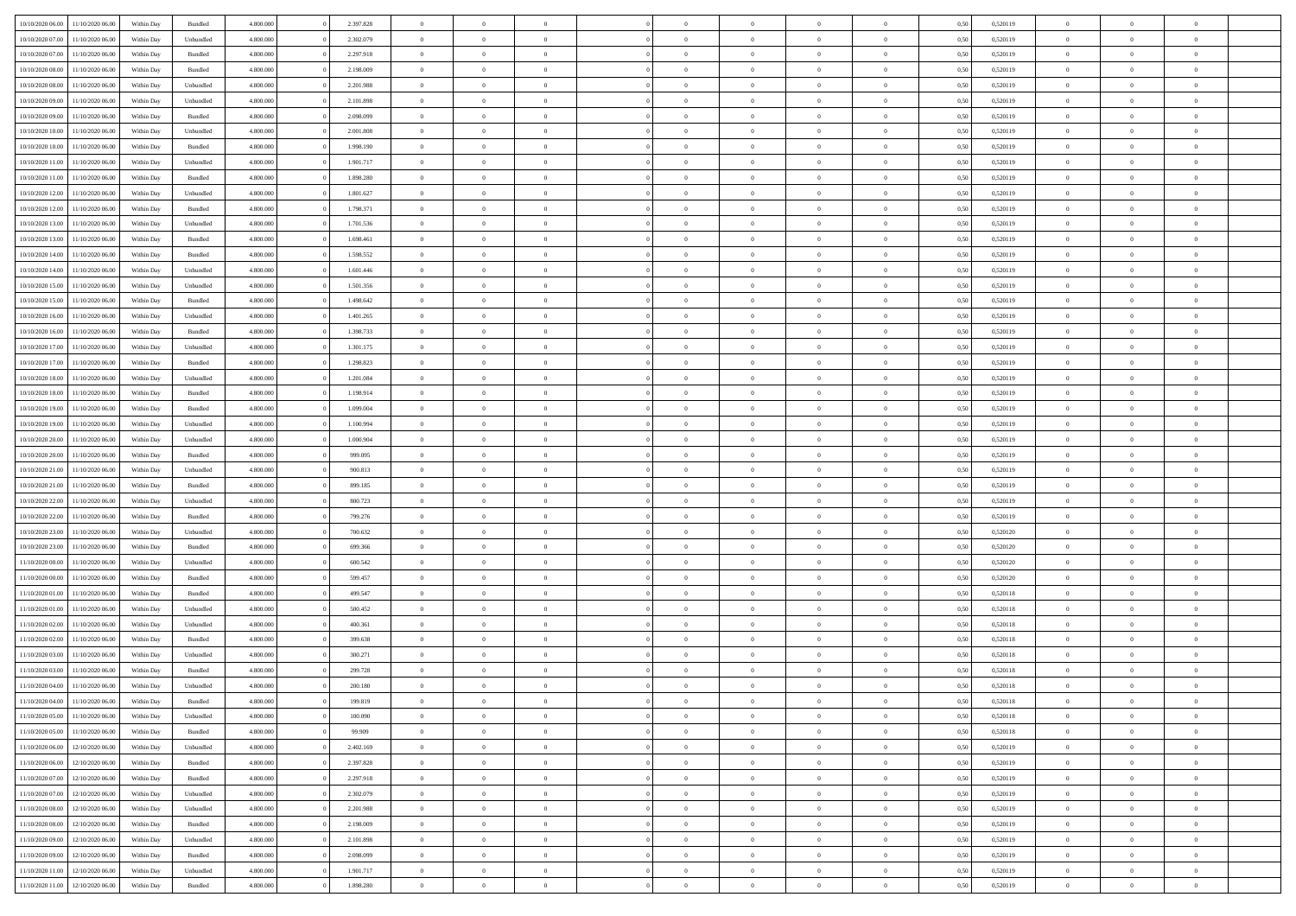| 10/10/2020 06:00 | 11/10/2020 06:00 | Within Dav | Bundled            | 4.800.000 | 2.397.828 | $\overline{0}$ | $\Omega$       |                | $\Omega$       | $\Omega$       | $\Omega$       | $\theta$       | 0.50 | 0,520119 | $\theta$       | $\theta$       | $\theta$       |  |
|------------------|------------------|------------|--------------------|-----------|-----------|----------------|----------------|----------------|----------------|----------------|----------------|----------------|------|----------|----------------|----------------|----------------|--|
|                  |                  |            |                    |           |           |                |                |                |                |                |                |                |      |          |                |                |                |  |
| 10/10/2020 07.00 | 11/10/2020 06.00 | Within Day | Unbundled          | 4.800.000 | 2.302.079 | $\overline{0}$ | $\theta$       | $\overline{0}$ | $\overline{0}$ | $\bf{0}$       | $\overline{0}$ | $\overline{0}$ | 0,50 | 0,520119 | $\theta$       | $\theta$       | $\overline{0}$ |  |
| 10/10/2020 07:00 | 11/10/2020 06.00 | Within Day | Bundled            | 4.800.000 | 2.297.918 | $\overline{0}$ | $\overline{0}$ | $\overline{0}$ | $\bf{0}$       | $\bf{0}$       | $\bf{0}$       | $\bf{0}$       | 0,50 | 0,520119 | $\bf{0}$       | $\overline{0}$ | $\overline{0}$ |  |
| 10/10/2020 08:00 | 11/10/2020 06:00 | Within Dav | Bundled            | 4.800.000 | 2.198.009 | $\overline{0}$ | $\overline{0}$ | $\overline{0}$ | $\overline{0}$ | $\bf{0}$       | $\overline{0}$ | $\overline{0}$ | 0.50 | 0.520119 | $\theta$       | $\theta$       | $\overline{0}$ |  |
|                  |                  |            |                    |           |           |                |                |                |                |                |                |                |      |          |                |                |                |  |
| 10/10/2020 08:00 | 11/10/2020 06.00 | Within Day | Unbundled          | 4.800.000 | 2.201.988 | $\overline{0}$ | $\theta$       | $\overline{0}$ | $\overline{0}$ | $\bf{0}$       | $\overline{0}$ | $\bf{0}$       | 0,50 | 0,520119 | $\theta$       | $\theta$       | $\overline{0}$ |  |
| 10/10/2020 09:00 | 11/10/2020 06.00 | Within Day | Unbundled          | 4.800.000 | 2.101.898 | $\overline{0}$ | $\bf{0}$       | $\overline{0}$ | $\bf{0}$       | $\overline{0}$ | $\overline{0}$ | $\mathbf{0}$   | 0,50 | 0,520119 | $\bf{0}$       | $\overline{0}$ | $\bf{0}$       |  |
| 10/10/2020 09:00 | 11/10/2020 06.00 | Within Dav | Bundled            | 4.800.000 | 2.098.099 | $\overline{0}$ | $\overline{0}$ | $\overline{0}$ | $\overline{0}$ | $\bf{0}$       | $\overline{0}$ | $\overline{0}$ | 0.50 | 0,520119 | $\theta$       | $\overline{0}$ | $\overline{0}$ |  |
| 10/10/2020 10:00 | 11/10/2020 06.00 | Within Day | Unbundled          | 4.800.000 | 2.001.808 | $\overline{0}$ | $\theta$       | $\overline{0}$ | $\overline{0}$ | $\bf{0}$       | $\overline{0}$ | $\bf{0}$       | 0,50 | 0,520119 | $\theta$       | $\theta$       | $\overline{0}$ |  |
| 10/10/2020 10:00 | 11/10/2020 06.00 | Within Day | Bundled            | 4.800.000 | 1.998.190 | $\overline{0}$ | $\overline{0}$ | $\overline{0}$ | $\bf{0}$       | $\bf{0}$       | $\bf{0}$       | $\bf{0}$       | 0,50 | 0,520119 | $\,0\,$        | $\overline{0}$ | $\overline{0}$ |  |
|                  |                  |            |                    |           |           |                |                |                |                |                |                |                |      |          |                |                |                |  |
| 10/10/2020 11:00 | 11/10/2020 06:00 | Within Dav | Unbundled          | 4.800.000 | 1.901.717 | $\overline{0}$ | $\overline{0}$ | $\overline{0}$ | $\overline{0}$ | $\overline{0}$ | $\overline{0}$ | $\overline{0}$ | 0.50 | 0,520119 | $\theta$       | $\overline{0}$ | $\overline{0}$ |  |
| 10/10/2020 11:00 | 11/10/2020 06.00 | Within Day | Bundled            | 4.800.000 | 1.898.280 | $\overline{0}$ | $\theta$       | $\overline{0}$ | $\overline{0}$ | $\bf{0}$       | $\overline{0}$ | $\bf{0}$       | 0,50 | 0,520119 | $\,$ 0 $\,$    | $\theta$       | $\overline{0}$ |  |
| 10/10/2020 12:00 | 11/10/2020 06.00 | Within Day | Unbundled          | 4.800.000 | 1.801.627 | $\overline{0}$ | $\overline{0}$ | $\overline{0}$ | $\bf{0}$       | $\bf{0}$       | $\bf{0}$       | $\bf{0}$       | 0,50 | 0,520119 | $\bf{0}$       | $\overline{0}$ | $\overline{0}$ |  |
| 10/10/2020 12:00 | 11/10/2020 06:00 | Within Day | Bundled            | 4.800.000 | 1.798.371 | $\overline{0}$ | $\overline{0}$ | $\overline{0}$ | $\overline{0}$ | $\bf{0}$       | $\overline{0}$ | $\overline{0}$ | 0.50 | 0.520119 | $\theta$       | $\theta$       | $\overline{0}$ |  |
| 10/10/2020 13:00 | 11/10/2020 06.00 | Within Day | Unbundled          | 4.800.000 | 1.701.536 | $\overline{0}$ | $\theta$       | $\overline{0}$ | $\overline{0}$ | $\bf{0}$       | $\overline{0}$ | $\overline{0}$ | 0,50 | 0,520119 | $\theta$       | $\theta$       | $\overline{0}$ |  |
|                  |                  |            |                    |           |           |                |                |                |                |                |                |                |      |          |                |                |                |  |
| 10/10/2020 13:00 | 11/10/2020 06.00 | Within Day | Bundled            | 4.800.000 | 1.698.461 | $\overline{0}$ | $\bf{0}$       | $\overline{0}$ | $\bf{0}$       | $\overline{0}$ | $\overline{0}$ | $\mathbf{0}$   | 0,50 | 0,520119 | $\bf{0}$       | $\overline{0}$ | $\bf{0}$       |  |
| 10/10/2020 14:00 | 11/10/2020 06:00 | Within Dav | Bundled            | 4.800.000 | 1.598.552 | $\overline{0}$ | $\overline{0}$ | $\overline{0}$ | $\overline{0}$ | $\overline{0}$ | $\overline{0}$ | $\overline{0}$ | 0.50 | 0,520119 | $\theta$       | $\overline{0}$ | $\overline{0}$ |  |
| 10/10/2020 14:00 | 11/10/2020 06.00 | Within Day | Unbundled          | 4.800.000 | 1.601.446 | $\overline{0}$ | $\theta$       | $\overline{0}$ | $\overline{0}$ | $\bf{0}$       | $\overline{0}$ | $\bf{0}$       | 0,50 | 0,520119 | $\theta$       | $\theta$       | $\overline{0}$ |  |
| 10/10/2020 15:00 | 11/10/2020 06.00 | Within Day | Unbundled          | 4.800.000 | 1.501.356 | $\overline{0}$ | $\overline{0}$ | $\overline{0}$ | $\bf{0}$       | $\bf{0}$       | $\bf{0}$       | $\bf{0}$       | 0,50 | 0,520119 | $\,0\,$        | $\overline{0}$ | $\overline{0}$ |  |
| 10/10/2020 15:00 | 11/10/2020 06:00 | Within Day | Bundled            | 4.800.000 | 1.498.642 | $\overline{0}$ | $\overline{0}$ | $\overline{0}$ | $\overline{0}$ | $\overline{0}$ | $\overline{0}$ | $\overline{0}$ | 0.50 | 0,520119 | $\theta$       | $\overline{0}$ | $\overline{0}$ |  |
|                  |                  |            |                    |           |           |                |                |                |                |                |                |                |      |          |                |                |                |  |
| 10/10/2020 16:00 | 11/10/2020 06.00 | Within Day | Unbundled          | 4.800.000 | 1.401.265 | $\overline{0}$ | $\theta$       | $\overline{0}$ | $\overline{0}$ | $\bf{0}$       | $\overline{0}$ | $\bf{0}$       | 0,50 | 0,520119 | $\,$ 0 $\,$    | $\theta$       | $\overline{0}$ |  |
| 10/10/2020 16:00 | 11/10/2020 06.00 | Within Day | Bundled            | 4.800.000 | 1.398.733 | $\overline{0}$ | $\overline{0}$ | $\overline{0}$ | $\bf{0}$       | $\bf{0}$       | $\bf{0}$       | $\bf{0}$       | 0,50 | 0,520119 | $\bf{0}$       | $\overline{0}$ | $\overline{0}$ |  |
| 10/10/2020 17:00 | 11/10/2020 06:00 | Within Day | Unbundled          | 4.800.000 | 1.301.175 | $\overline{0}$ | $\overline{0}$ | $\overline{0}$ | $\overline{0}$ | $\bf{0}$       | $\overline{0}$ | $\overline{0}$ | 0.50 | 0.520119 | $\theta$       | $\theta$       | $\overline{0}$ |  |
| 10/10/2020 17:00 | 11/10/2020 06.00 | Within Day | Bundled            | 4.800.000 | 1.298.823 | $\overline{0}$ | $\theta$       | $\overline{0}$ | $\overline{0}$ | $\bf{0}$       | $\overline{0}$ | $\bf{0}$       | 0,50 | 0,520119 | $\theta$       | $\overline{0}$ | $\overline{0}$ |  |
|                  |                  |            |                    |           |           |                |                |                |                |                |                |                |      |          |                |                |                |  |
| 10/10/2020 18:00 | 11/10/2020 06.00 | Within Day | Unbundled          | 4.800.000 | 1.201.084 | $\overline{0}$ | $\bf{0}$       | $\overline{0}$ | $\bf{0}$       | $\overline{0}$ | $\overline{0}$ | $\mathbf{0}$   | 0,50 | 0,520119 | $\bf{0}$       | $\overline{0}$ | $\bf{0}$       |  |
| 10/10/2020 18:00 | 11/10/2020 06.00 | Within Dav | Bundled            | 4.800.000 | 1.198.914 | $\overline{0}$ | $\overline{0}$ | $\overline{0}$ | $\overline{0}$ | $\overline{0}$ | $\overline{0}$ | $\overline{0}$ | 0.50 | 0,520119 | $\theta$       | $\overline{0}$ | $\overline{0}$ |  |
| 10/10/2020 19:00 | 11/10/2020 06.00 | Within Day | Bundled            | 4.800.000 | 1.099.004 | $\overline{0}$ | $\theta$       | $\overline{0}$ | $\overline{0}$ | $\bf{0}$       | $\overline{0}$ | $\bf{0}$       | 0,50 | 0,520119 | $\theta$       | $\theta$       | $\overline{0}$ |  |
| 10/10/2020 19:00 | 11/10/2020 06.00 | Within Day | Unbundled          | 4.800.000 | 1.100.994 | $\overline{0}$ | $\overline{0}$ | $\overline{0}$ | $\bf{0}$       | $\bf{0}$       | $\bf{0}$       | $\bf{0}$       | 0,50 | 0,520119 | $\,0\,$        | $\overline{0}$ | $\overline{0}$ |  |
| 10/10/2020 20:00 | 11/10/2020 06:00 | Within Day | Unbundled          | 4.800.000 | 1.000.904 | $\overline{0}$ | $\overline{0}$ | $\overline{0}$ | $\overline{0}$ | $\overline{0}$ | $\overline{0}$ | $\overline{0}$ | 0.50 | 0,520119 | $\theta$       | $\overline{0}$ | $\overline{0}$ |  |
|                  |                  |            |                    |           |           |                |                |                |                |                |                |                |      |          |                |                |                |  |
| 10/10/2020 20:00 | 11/10/2020 06.00 | Within Day | Bundled            | 4.800.000 | 999.095   | $\overline{0}$ | $\theta$       | $\overline{0}$ | $\overline{0}$ | $\bf{0}$       | $\overline{0}$ | $\bf{0}$       | 0,50 | 0,520119 | $\,$ 0 $\,$    | $\overline{0}$ | $\overline{0}$ |  |
| 10/10/2020 21.00 | 11/10/2020 06.00 | Within Day | Unbundled          | 4.800.000 | 900.813   | $\overline{0}$ | $\overline{0}$ | $\overline{0}$ | $\bf{0}$       | $\bf{0}$       | $\bf{0}$       | $\bf{0}$       | 0,50 | 0,520119 | $\bf{0}$       | $\overline{0}$ | $\overline{0}$ |  |
| 10/10/2020 21:00 | 11/10/2020 06.00 | Within Day | Bundled            | 4.800,000 | 899.185   | $\overline{0}$ | $\Omega$       | $\Omega$       | $\Omega$       | $\Omega$       | $\Omega$       | $\overline{0}$ | 0,50 | 0,520119 | $\,0\,$        | $\theta$       | $\theta$       |  |
| 10/10/2020 22.00 | 11/10/2020 06.00 | Within Day | Unbundled          | 4.800.000 | 800.723   | $\overline{0}$ | $\theta$       | $\overline{0}$ | $\overline{0}$ | $\bf{0}$       | $\overline{0}$ | $\bf{0}$       | 0,50 | 0,520119 | $\theta$       | $\theta$       | $\overline{0}$ |  |
| 10/10/2020 22:00 | 11/10/2020 06.00 | Within Day | Bundled            | 4.800.000 | 799.276   | $\overline{0}$ | $\overline{0}$ | $\overline{0}$ | $\bf{0}$       | $\bf{0}$       | $\overline{0}$ | $\mathbf{0}$   | 0,50 | 0,520119 | $\overline{0}$ | $\overline{0}$ | $\bf{0}$       |  |
|                  |                  |            |                    |           |           |                |                |                |                |                |                |                |      |          |                |                |                |  |
| 10/10/2020 23:00 | 11/10/2020 06:00 | Within Day | Unbundled          | 4.800,000 | 700,632   | $\overline{0}$ | $\Omega$       | $\Omega$       | $\Omega$       | $\Omega$       | $\Omega$       | $\overline{0}$ | 0.50 | 0,520120 | $\,0\,$        | $\theta$       | $\theta$       |  |
| 10/10/2020 23:00 | 11/10/2020 06.00 | Within Day | Bundled            | 4.800.000 | 699.366   | $\overline{0}$ | $\theta$       | $\overline{0}$ | $\overline{0}$ | $\bf{0}$       | $\overline{0}$ | $\bf{0}$       | 0,50 | 0,520120 | $\,$ 0 $\,$    | $\theta$       | $\overline{0}$ |  |
| 11/10/2020 00:00 | 11/10/2020 06.00 | Within Day | Unbundled          | 4.800.000 | 600.542   | $\overline{0}$ | $\overline{0}$ | $\overline{0}$ | $\bf{0}$       | $\bf{0}$       | $\bf{0}$       | $\bf{0}$       | 0,50 | 0,520120 | $\,0\,$        | $\overline{0}$ | $\overline{0}$ |  |
| 11/10/2020 00:00 | 11/10/2020 06:00 | Within Day | Bundled            | 4.800,000 | 599.457   | $\overline{0}$ | $\Omega$       | $\Omega$       | $\Omega$       | $\Omega$       | $\theta$       | $\overline{0}$ | 0.50 | 0,520120 | $\theta$       | $\theta$       | $\theta$       |  |
| 11/10/2020 01:00 | 11/10/2020 06.00 | Within Day | Bundled            | 4.800.000 | 499.547   | $\overline{0}$ | $\theta$       | $\overline{0}$ | $\overline{0}$ | $\bf{0}$       | $\overline{0}$ | $\bf{0}$       | 0,50 | 0,520118 | $\,$ 0 $\,$    | $\overline{0}$ | $\overline{0}$ |  |
|                  |                  |            |                    |           |           |                |                |                |                |                |                |                |      |          |                |                |                |  |
| 11/10/2020 01.00 | 11/10/2020 06.00 | Within Day | Unbundled          | 4.800.000 | 500.452   | $\overline{0}$ | $\overline{0}$ | $\overline{0}$ | $\bf{0}$       | $\bf{0}$       | $\bf{0}$       | $\bf{0}$       | 0,50 | 0,520118 | $\overline{0}$ | $\overline{0}$ | $\overline{0}$ |  |
| 11/10/2020 02.00 | 11/10/2020 06.00 | Within Day | Unbundled          | 4.800,000 | 400.361   | $\overline{0}$ | $\Omega$       | $\Omega$       | $\Omega$       | $\Omega$       | $\overline{0}$ | $\overline{0}$ | 0.50 | 0,520118 | $\,0\,$        | $\theta$       | $\theta$       |  |
| 11/10/2020 02:00 | 11/10/2020 06.00 | Within Day | Bundled            | 4.800.000 | 399.638   | $\overline{0}$ | $\theta$       | $\overline{0}$ | $\overline{0}$ | $\bf{0}$       | $\overline{0}$ | $\bf{0}$       | 0,50 | 0,520118 | $\,$ 0 $\,$    | $\overline{0}$ | $\overline{0}$ |  |
| 11/10/2020 03.00 | 11/10/2020 06.00 | Within Day | Unbundled          | 4.800.000 | 300.271   | $\overline{0}$ | $\overline{0}$ | $\overline{0}$ | $\bf{0}$       | $\bf{0}$       | $\bf{0}$       | $\mathbf{0}$   | 0,50 | 0,520118 | $\bf{0}$       | $\overline{0}$ | $\bf{0}$       |  |
| 11/10/2020 03:00 | 11/10/2020 06:00 | Within Day | Bundled            | 4.800,000 | 299.728   | $\overline{0}$ | $\Omega$       | $\Omega$       | $\Omega$       | $\Omega$       | $\Omega$       | $\overline{0}$ | 0.50 | 0.520118 | $\theta$       | $\theta$       | $\theta$       |  |
|                  |                  |            |                    |           |           |                |                |                |                |                |                |                |      |          |                |                |                |  |
| 11/10/2020 04:00 | 11/10/2020 06:00 | Within Day | Unbundled          | 4.800.000 | 200.180   | $\overline{0}$ | $\overline{0}$ | $\overline{0}$ | $\bf{0}$       | $\,$ 0         | $\bf{0}$       | $\bf{0}$       | 0,50 | 0,520118 | $\,0\,$        | $\,0\,$        | $\overline{0}$ |  |
| 11/10/2020 04:00 | 11/10/2020 06.00 | Within Day | $\mathbf B$ undled | 4.800.000 | 199.819   | $\bf{0}$       | $\bf{0}$       |                |                |                |                |                | 0,50 | 0,520118 | $\bf{0}$       | $\overline{0}$ |                |  |
| 11/10/2020 05:00 | 11/10/2020 06:00 | Within Day | Unbundled          | 4.800.000 | 100,090   | $\overline{0}$ | $\overline{0}$ | $\overline{0}$ | $\Omega$       | $\overline{0}$ | $\overline{0}$ | $\overline{0}$ | 0,50 | 0,520118 | $\theta$       | $\theta$       | $\theta$       |  |
| 11/10/2020 05:00 | 11/10/2020 06.00 | Within Day | Bundled            | 4.800.000 | 99.909    | $\overline{0}$ | $\,$ 0         | $\overline{0}$ | $\bf{0}$       | $\,$ 0 $\,$    | $\overline{0}$ | $\mathbf{0}$   | 0,50 | 0,520118 | $\,$ 0 $\,$    | $\,$ 0 $\,$    | $\,$ 0         |  |
| 11/10/2020 06.00 | 12/10/2020 06:00 | Within Day | Unbundled          | 4.800.000 | 2.402.169 | $\overline{0}$ | $\overline{0}$ | $\overline{0}$ | $\overline{0}$ | $\overline{0}$ | $\overline{0}$ | $\mathbf{0}$   | 0,50 | 0,520119 | $\overline{0}$ | $\bf{0}$       | $\bf{0}$       |  |
|                  |                  |            |                    |           |           |                |                |                |                |                |                |                |      |          |                |                |                |  |
| 11/10/2020 06:00 | 12/10/2020 06:00 | Within Day | $\mathbf B$ undled | 4.800,000 | 2.397.828 | $\overline{0}$ | $\overline{0}$ | $\overline{0}$ | $\Omega$       | $\overline{0}$ | $\overline{0}$ | $\bf{0}$       | 0,50 | 0,520119 | $\overline{0}$ | $\theta$       | $\overline{0}$ |  |
| 11/10/2020 07:00 | 12/10/2020 06.00 | Within Day | Bundled            | 4.800.000 | 2.297.918 | $\overline{0}$ | $\,$ 0         | $\overline{0}$ | $\overline{0}$ | $\,$ 0 $\,$    | $\overline{0}$ | $\mathbf{0}$   | 0,50 | 0,520119 | $\,$ 0 $\,$    | $\overline{0}$ | $\overline{0}$ |  |
| 11/10/2020 07.00 | 12/10/2020 06:00 | Within Day | Unbundled          | 4.800.000 | 2.302.079 | $\overline{0}$ | $\overline{0}$ | $\overline{0}$ | $\overline{0}$ | $\overline{0}$ | $\overline{0}$ | $\mathbf{0}$   | 0,50 | 0,520119 | $\overline{0}$ | $\overline{0}$ | $\bf{0}$       |  |
| 11/10/2020 08:00 | 12/10/2020 06:00 | Within Day | Unbundled          | 4.800,000 | 2.201.988 | $\overline{0}$ | $\overline{0}$ | $\overline{0}$ | $\Omega$       | $\overline{0}$ | $\overline{0}$ | $\bf{0}$       | 0.50 | 0,520119 | $\overline{0}$ | $\theta$       | $\overline{0}$ |  |
| 11/10/2020 08:00 | 12/10/2020 06.00 | Within Day | Bundled            | 4.800.000 | 2.198.009 | $\overline{0}$ | $\,$ 0         | $\overline{0}$ | $\bf{0}$       | $\bf{0}$       | $\bf{0}$       | $\bf{0}$       | 0,50 | 0,520119 | $\,$ 0 $\,$    | $\overline{0}$ | $\overline{0}$ |  |
|                  |                  |            |                    |           |           |                |                |                |                |                |                |                |      |          |                |                |                |  |
| 11/10/2020 09:00 | 12/10/2020 06:00 | Within Day | Unbundled          | 4.800.000 | 2.101.898 | $\overline{0}$ | $\bf{0}$       | $\overline{0}$ | $\overline{0}$ | $\overline{0}$ | $\overline{0}$ | $\mathbf{0}$   | 0,50 | 0,520119 | $\overline{0}$ | $\overline{0}$ | $\bf{0}$       |  |
| 11/10/2020 09:00 | 12/10/2020 06:00 | Within Day | Bundled            | 4.800,000 | 2.098.099 | $\overline{0}$ | $\overline{0}$ | $\overline{0}$ | $\Omega$       | $\overline{0}$ | $\overline{0}$ | $\bf{0}$       | 0.50 | 0,520119 | $\overline{0}$ | $\theta$       | $\overline{0}$ |  |
| 11/10/2020 11:00 | 12/10/2020 06.00 | Within Day | Unbundled          | 4.800.000 | 1.901.717 | $\overline{0}$ | $\bf{0}$       | $\overline{0}$ | $\overline{0}$ | $\bf{0}$       | $\bf{0}$       | $\mathbf{0}$   | 0,50 | 0,520119 | $\,$ 0 $\,$    | $\,$ 0 $\,$    | $\bf{0}$       |  |
| 11/10/2020 11:00 | 12/10/2020 06:00 | Within Day | Bundled            | 4.800.000 | 1.898.280 | $\overline{0}$ | $\overline{0}$ | $\overline{0}$ | $\overline{0}$ | $\bf{0}$       | $\bf{0}$       | $\mathbf{0}$   | 0,50 | 0,520119 | $\overline{0}$ | $\bf{0}$       | $\bf{0}$       |  |
|                  |                  |            |                    |           |           |                |                |                |                |                |                |                |      |          |                |                |                |  |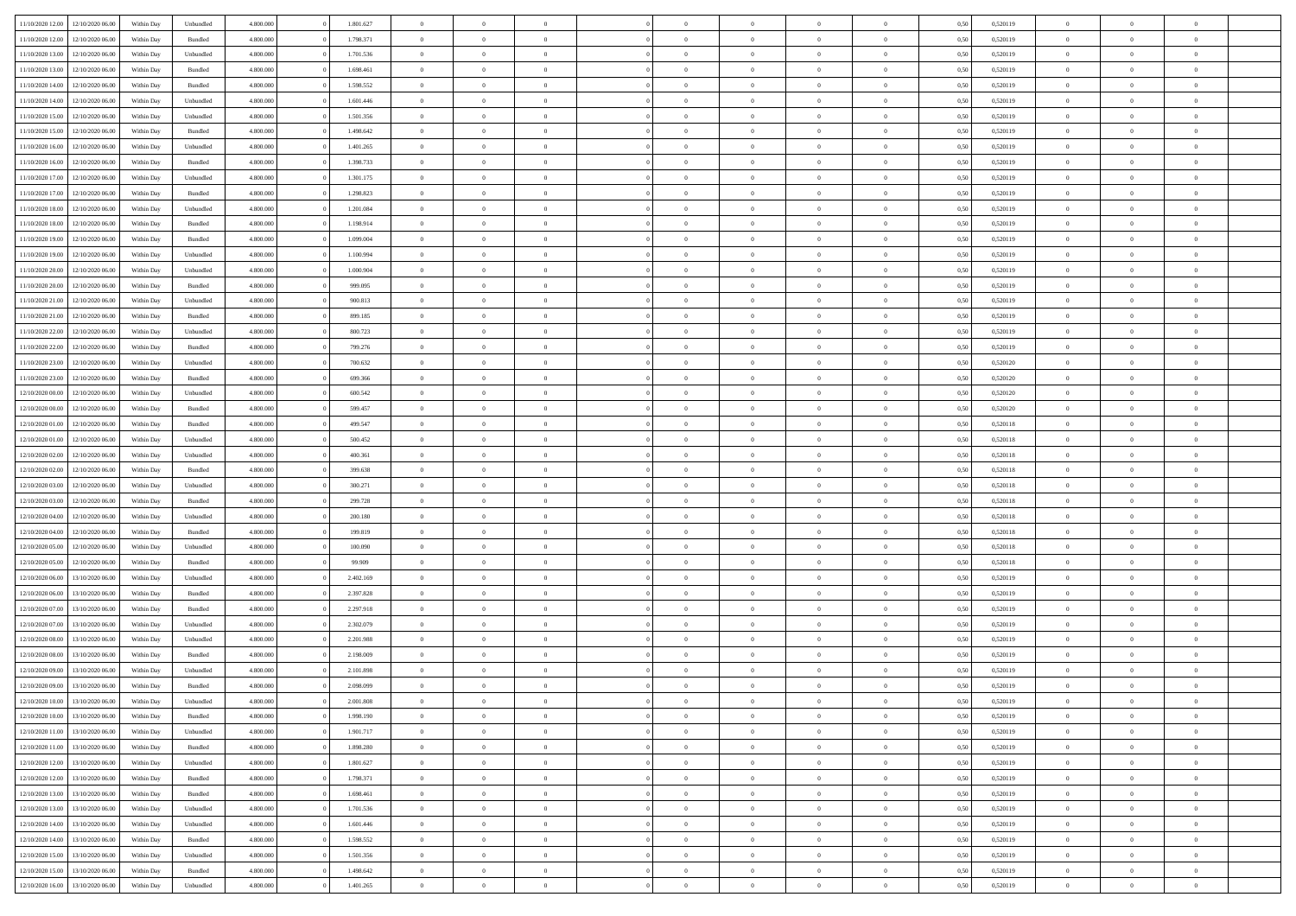| 11/10/2020 12:00                  | 12/10/2020 06:00 | Within Dav | Unbundled | 4.800.000 | 1.801.627 | $\overline{0}$ | $\Omega$       |                | $\Omega$       | $\Omega$       | $\Omega$       | $\theta$       | 0.50 | 0,520119 | $\theta$       | $\theta$       | $\theta$       |  |
|-----------------------------------|------------------|------------|-----------|-----------|-----------|----------------|----------------|----------------|----------------|----------------|----------------|----------------|------|----------|----------------|----------------|----------------|--|
| 11/10/2020 12:00                  | 12/10/2020 06.00 | Within Day | Bundled   | 4.800.000 | 1.798.371 | $\overline{0}$ | $\theta$       | $\overline{0}$ | $\overline{0}$ | $\bf{0}$       | $\overline{0}$ | $\bf{0}$       | 0,50 | 0,520119 | $\theta$       | $\overline{0}$ | $\overline{0}$ |  |
| 11/10/2020 13:00                  | 12/10/2020 06:00 | Within Day | Unbundled | 4.800.000 | 1.701.536 | $\overline{0}$ | $\overline{0}$ | $\overline{0}$ | $\bf{0}$       | $\bf{0}$       | $\bf{0}$       | $\bf{0}$       | 0,50 | 0,520119 | $\bf{0}$       | $\overline{0}$ | $\overline{0}$ |  |
|                                   |                  |            |           |           |           |                |                |                |                |                |                |                |      |          | $\theta$       |                |                |  |
| 11/10/2020 13:00                  | 12/10/2020 06:00 | Within Dav | Bundled   | 4.800.000 | 1.698.461 | $\overline{0}$ | $\overline{0}$ | $\overline{0}$ | $\overline{0}$ | $\bf{0}$       | $\overline{0}$ | $\overline{0}$ | 0.50 | 0.520119 |                | $\theta$       | $\overline{0}$ |  |
| 11/10/2020 14:00                  | 12/10/2020 06.00 | Within Day | Bundled   | 4.800.000 | 1.598.552 | $\overline{0}$ | $\theta$       | $\overline{0}$ | $\overline{0}$ | $\bf{0}$       | $\overline{0}$ | $\bf{0}$       | 0,50 | 0,520119 | $\theta$       | $\theta$       | $\overline{0}$ |  |
| 11/10/2020 14:00                  | 12/10/2020 06:00 | Within Day | Unbundled | 4.800.000 | 1.601.446 | $\overline{0}$ | $\bf{0}$       | $\overline{0}$ | $\bf{0}$       | $\overline{0}$ | $\overline{0}$ | $\mathbf{0}$   | 0,50 | 0,520119 | $\bf{0}$       | $\overline{0}$ | $\bf{0}$       |  |
| 11/10/2020 15:00                  | 12/10/2020 06.00 | Within Dav | Unbundled | 4.800.000 | 1.501.356 | $\overline{0}$ | $\overline{0}$ | $\overline{0}$ | $\overline{0}$ | $\overline{0}$ | $\overline{0}$ | $\overline{0}$ | 0.50 | 0,520119 | $\theta$       | $\overline{0}$ | $\overline{0}$ |  |
|                                   |                  |            |           |           |           |                |                |                |                |                |                |                |      |          |                |                |                |  |
| 11/10/2020 15:00                  | 12/10/2020 06.00 | Within Day | Bundled   | 4.800.000 | 1.498.642 | $\overline{0}$ | $\theta$       | $\overline{0}$ | $\overline{0}$ | $\bf{0}$       | $\overline{0}$ | $\bf{0}$       | 0,50 | 0,520119 | $\theta$       | $\theta$       | $\overline{0}$ |  |
| 11/10/2020 16:00                  | 12/10/2020 06:00 | Within Day | Unbundled | 4.800.000 | 1.401.265 | $\overline{0}$ | $\overline{0}$ | $\overline{0}$ | $\bf{0}$       | $\bf{0}$       | $\bf{0}$       | $\bf{0}$       | 0,50 | 0,520119 | $\,0\,$        | $\overline{0}$ | $\overline{0}$ |  |
| 11/10/2020 16:00                  | 12/10/2020 06:00 | Within Dav | Bundled   | 4.800.000 | 1.398.733 | $\overline{0}$ | $\overline{0}$ | $\overline{0}$ | $\overline{0}$ | $\overline{0}$ | $\overline{0}$ | $\overline{0}$ | 0.50 | 0,520119 | $\theta$       | $\overline{0}$ | $\overline{0}$ |  |
|                                   |                  |            |           |           |           |                |                |                |                |                |                |                |      |          |                |                |                |  |
| 11/10/2020 17:00                  | 12/10/2020 06.00 | Within Day | Unbundled | 4.800.000 | 1.301.175 | $\overline{0}$ | $\theta$       | $\overline{0}$ | $\overline{0}$ | $\bf{0}$       | $\overline{0}$ | $\bf{0}$       | 0,50 | 0,520119 | $\,$ 0 $\,$    | $\theta$       | $\overline{0}$ |  |
| 11/10/2020 17.00                  | 12/10/2020 06:00 | Within Day | Bundled   | 4.800.000 | 1.298.823 | $\overline{0}$ | $\overline{0}$ | $\overline{0}$ | $\bf{0}$       | $\bf{0}$       | $\bf{0}$       | $\bf{0}$       | 0,50 | 0,520119 | $\bf{0}$       | $\overline{0}$ | $\overline{0}$ |  |
| 11/10/2020 18:00                  | 12/10/2020 06:00 | Within Day | Unbundled | 4.800.000 | 1.201.084 | $\overline{0}$ | $\overline{0}$ | $\overline{0}$ | $\overline{0}$ | $\bf{0}$       | $\overline{0}$ | $\overline{0}$ | 0.50 | 0.520119 | $\theta$       | $\theta$       | $\overline{0}$ |  |
|                                   |                  |            |           |           |           |                |                |                |                |                |                |                |      |          |                |                |                |  |
| 11/10/2020 18:00                  | 12/10/2020 06.00 | Within Day | Bundled   | 4.800.000 | 1.198.914 | $\overline{0}$ | $\theta$       | $\overline{0}$ | $\overline{0}$ | $\bf{0}$       | $\overline{0}$ | $\overline{0}$ | 0,50 | 0,520119 | $\theta$       | $\theta$       | $\overline{0}$ |  |
| 11/10/2020 19:00                  | 12/10/2020 06:00 | Within Day | Bundled   | 4.800.000 | 1.099.004 | $\overline{0}$ | $\bf{0}$       | $\overline{0}$ | $\bf{0}$       | $\overline{0}$ | $\overline{0}$ | $\mathbf{0}$   | 0,50 | 0,520119 | $\bf{0}$       | $\overline{0}$ | $\bf{0}$       |  |
| 11/10/2020 19:00                  | 12/10/2020 06:00 | Within Dav | Unbundled | 4.800.000 | 1.100.994 | $\overline{0}$ | $\overline{0}$ | $\overline{0}$ | $\overline{0}$ | $\overline{0}$ | $\overline{0}$ | $\overline{0}$ | 0.50 | 0,520119 | $\theta$       | $\overline{0}$ | $\overline{0}$ |  |
| 11/10/2020 20.00                  | 12/10/2020 06.00 | Within Day | Unbundled | 4.800.000 | 1.000.904 | $\overline{0}$ | $\theta$       | $\overline{0}$ | $\overline{0}$ | $\bf{0}$       | $\overline{0}$ | $\bf{0}$       | 0,50 | 0,520119 | $\,$ 0 $\,$    | $\theta$       | $\overline{0}$ |  |
|                                   |                  |            |           |           |           |                |                |                |                |                |                |                |      |          |                |                |                |  |
| 11/10/2020 20:00                  | 12/10/2020 06:00 | Within Day | Bundled   | 4.800.000 | 999.095   | $\overline{0}$ | $\overline{0}$ | $\overline{0}$ | $\bf{0}$       | $\bf{0}$       | $\bf{0}$       | $\bf{0}$       | 0,50 | 0,520119 | $\,0\,$        | $\overline{0}$ | $\overline{0}$ |  |
| 11/10/2020 21:00                  | 12/10/2020 06:00 | Within Day | Unbundled | 4.800.000 | 900.813   | $\overline{0}$ | $\overline{0}$ | $\overline{0}$ | $\overline{0}$ | $\overline{0}$ | $\overline{0}$ | $\overline{0}$ | 0.50 | 0,520119 | $\theta$       | $\overline{0}$ | $\overline{0}$ |  |
| 11/10/2020 21.00                  | 12/10/2020 06.00 | Within Day | Bundled   | 4.800.000 | 899.185   | $\overline{0}$ | $\theta$       | $\overline{0}$ | $\overline{0}$ | $\bf{0}$       | $\overline{0}$ | $\bf{0}$       | 0,50 | 0,520119 | $\,$ 0 $\,$    | $\theta$       | $\overline{0}$ |  |
|                                   |                  |            |           |           |           |                |                |                |                |                |                |                |      |          |                |                |                |  |
| 11/10/2020 22.00                  | 12/10/2020 06:00 | Within Day | Unbundled | 4.800.000 | 800.723   | $\overline{0}$ | $\overline{0}$ | $\overline{0}$ | $\bf{0}$       | $\bf{0}$       | $\bf{0}$       | $\bf{0}$       | 0,50 | 0,520119 | $\bf{0}$       | $\overline{0}$ | $\overline{0}$ |  |
| 11/10/2020 22.00                  | 12/10/2020 06:00 | Within Day | Bundled   | 4.800.000 | 799.276   | $\overline{0}$ | $\overline{0}$ | $\overline{0}$ | $\overline{0}$ | $\bf{0}$       | $\overline{0}$ | $\overline{0}$ | 0.50 | 0.520119 | $\theta$       | $\theta$       | $\overline{0}$ |  |
| 11/10/2020 23.00                  | 12/10/2020 06.00 | Within Day | Unbundled | 4.800.000 | 700.632   | $\overline{0}$ | $\theta$       | $\overline{0}$ | $\overline{0}$ | $\bf{0}$       | $\overline{0}$ | $\bf{0}$       | 0,50 | 0,520120 | $\,$ 0 $\,$    | $\overline{0}$ | $\overline{0}$ |  |
| 11/10/2020 23.00                  | 12/10/2020 06:00 | Within Day | Bundled   | 4.800.000 | 699.366   | $\overline{0}$ | $\bf{0}$       | $\overline{0}$ | $\bf{0}$       | $\overline{0}$ | $\overline{0}$ | $\mathbf{0}$   | 0,50 | 0,520120 | $\overline{0}$ | $\overline{0}$ | $\bf{0}$       |  |
|                                   |                  |            |           |           |           |                |                |                |                |                |                |                |      |          |                |                |                |  |
| 12/10/2020 00:00                  | 12/10/2020 06.00 | Within Dav | Unbundled | 4.800.000 | 600.542   | $\overline{0}$ | $\overline{0}$ | $\overline{0}$ | $\overline{0}$ | $\overline{0}$ | $\overline{0}$ | $\overline{0}$ | 0.50 | 0,520120 | $\theta$       | $\overline{0}$ | $\overline{0}$ |  |
| 12/10/2020 00:00                  | 12/10/2020 06.00 | Within Day | Bundled   | 4.800.000 | 599.457   | $\overline{0}$ | $\theta$       | $\overline{0}$ | $\overline{0}$ | $\bf{0}$       | $\overline{0}$ | $\bf{0}$       | 0,50 | 0,520120 | $\theta$       | $\theta$       | $\overline{0}$ |  |
| 12/10/2020 01:00                  | 12/10/2020 06:00 | Within Day | Bundled   | 4.800.000 | 499.547   | $\overline{0}$ | $\overline{0}$ | $\overline{0}$ | $\bf{0}$       | $\bf{0}$       | $\bf{0}$       | $\bf{0}$       | 0,50 | 0,520118 | $\,0\,$        | $\overline{0}$ | $\overline{0}$ |  |
|                                   |                  |            |           |           |           |                |                |                |                |                |                |                |      |          |                |                |                |  |
| 12/10/2020 01:00                  | 12/10/2020 06:00 | Within Day | Unbundled | 4.800.000 | 500.452   | $\overline{0}$ | $\overline{0}$ | $\overline{0}$ | $\overline{0}$ | $\overline{0}$ | $\overline{0}$ | $\overline{0}$ | 0.50 | 0,520118 | $\theta$       | $\overline{0}$ | $\overline{0}$ |  |
| 12/10/2020 02:00                  | 12/10/2020 06.00 | Within Day | Unbundled | 4.800.000 | 400.361   | $\overline{0}$ | $\theta$       | $\overline{0}$ | $\overline{0}$ | $\bf{0}$       | $\overline{0}$ | $\bf{0}$       | 0,50 | 0,520118 | $\,$ 0 $\,$    | $\overline{0}$ | $\overline{0}$ |  |
| 12/10/2020 02.00                  | 12/10/2020 06:00 | Within Day | Bundled   | 4.800.000 | 399.638   | $\overline{0}$ | $\overline{0}$ | $\overline{0}$ | $\bf{0}$       | $\bf{0}$       | $\bf{0}$       | $\bf{0}$       | 0,50 | 0,520118 | $\bf{0}$       | $\overline{0}$ | $\overline{0}$ |  |
|                                   |                  |            |           |           |           |                |                |                |                |                |                |                |      |          |                |                | $\theta$       |  |
| 12/10/2020 03:00                  | 12/10/2020 06.00 | Within Day | Unbundled | 4.800,000 | 300.271   | $\overline{0}$ | $\Omega$       | $\Omega$       | $\Omega$       | $\Omega$       | $\Omega$       | $\overline{0}$ | 0,50 | 0,520118 | $\,0\,$        | $\theta$       |                |  |
| 12/10/2020 03:00                  | 12/10/2020 06.00 | Within Day | Bundled   | 4.800.000 | 299.728   | $\overline{0}$ | $\theta$       | $\overline{0}$ | $\overline{0}$ | $\bf{0}$       | $\overline{0}$ | $\bf{0}$       | 0,50 | 0,520118 | $\,$ 0 $\,$    | $\theta$       | $\overline{0}$ |  |
| 12/10/2020 04:00                  | 12/10/2020 06:00 | Within Day | Unbundled | 4.800.000 | 200.180   | $\overline{0}$ | $\overline{0}$ | $\overline{0}$ | $\bf{0}$       | $\bf{0}$       | $\overline{0}$ | $\mathbf{0}$   | 0,50 | 0,520118 | $\bf{0}$       | $\overline{0}$ | $\bf{0}$       |  |
| 12/10/2020 04:00                  | 12/10/2020 06.00 | Within Day | Bundled   | 4.800,000 | 199.819   | $\overline{0}$ | $\Omega$       | $\Omega$       | $\Omega$       | $\bf{0}$       | $\overline{0}$ | $\overline{0}$ | 0.50 | 0,520118 | $\,0\,$        | $\theta$       | $\theta$       |  |
|                                   |                  |            |           |           |           |                |                |                |                |                |                |                |      |          |                |                |                |  |
| 12/10/2020 05:00                  | 12/10/2020 06.00 | Within Day | Unbundled | 4.800.000 | 100.090   | $\overline{0}$ | $\theta$       | $\overline{0}$ | $\overline{0}$ | $\bf{0}$       | $\overline{0}$ | $\bf{0}$       | 0,50 | 0,520118 | $\,$ 0 $\,$    | $\theta$       | $\overline{0}$ |  |
| 12/10/2020 05:00                  | 12/10/2020 06.00 | Within Day | Bundled   | 4.800.000 | 99.909    | $\overline{0}$ | $\overline{0}$ | $\overline{0}$ | $\overline{0}$ | $\bf{0}$       | $\overline{0}$ | $\bf{0}$       | 0,50 | 0,520118 | $\,0\,$        | $\overline{0}$ | $\overline{0}$ |  |
| 12/10/2020 06:00                  | 13/10/2020 06:00 | Within Day | Unbundled | 4.800,000 | 2.402.169 | $\overline{0}$ | $\Omega$       | $\Omega$       | $\Omega$       | $\Omega$       | $\theta$       | $\overline{0}$ | 0.50 | 0,520119 | $\theta$       | $\theta$       | $\theta$       |  |
| 12/10/2020 06:00                  | 13/10/2020 06.00 |            | Bundled   | 4.800.000 | 2.397.828 | $\overline{0}$ | $\theta$       | $\overline{0}$ | $\overline{0}$ | $\bf{0}$       | $\overline{0}$ |                |      | 0,520119 | $\,$ 0 $\,$    | $\overline{0}$ | $\overline{0}$ |  |
|                                   |                  | Within Day |           |           |           |                |                |                |                |                |                | $\bf{0}$       | 0,50 |          |                |                |                |  |
| 12/10/2020 07.00                  | 13/10/2020 06:00 | Within Day | Bundled   | 4.800.000 | 2.297.918 | $\overline{0}$ | $\overline{0}$ | $\overline{0}$ | $\overline{0}$ | $\bf{0}$       | $\overline{0}$ | $\bf{0}$       | 0,50 | 0,520119 | $\bf{0}$       | $\overline{0}$ | $\overline{0}$ |  |
| 12/10/2020 07:00                  | 13/10/2020 06.00 | Within Day | Unbundled | 4.800,000 | 2.302.079 | $\overline{0}$ | $\Omega$       | $\overline{0}$ | $\Omega$       | $\Omega$       | $\overline{0}$ | $\overline{0}$ | 0.50 | 0,520119 | $\,0\,$        | $\theta$       | $\theta$       |  |
| 12/10/2020 08:00                  | 13/10/2020 06.00 | Within Day | Unbundled | 4.800.000 | 2.201.988 | $\overline{0}$ | $\theta$       | $\overline{0}$ | $\overline{0}$ | $\bf{0}$       | $\overline{0}$ | $\bf{0}$       | 0,50 | 0,520119 | $\,$ 0 $\,$    | $\overline{0}$ | $\overline{0}$ |  |
|                                   |                  |            |           |           |           |                |                |                |                |                |                |                |      |          |                |                |                |  |
| 12/10/2020 08:00                  | 13/10/2020 06.00 | Within Day | Bundled   | 4.800.000 | 2.198.009 | $\overline{0}$ | $\overline{0}$ | $\overline{0}$ | $\overline{0}$ | $\bf{0}$       | $\overline{0}$ | $\mathbf{0}$   | 0,50 | 0,520119 | $\bf{0}$       | $\overline{0}$ | $\bf{0}$       |  |
| 12/10/2020 09:00                  | 13/10/2020 06:00 | Within Day | Unbundled | 4.800,000 | 2.101.898 | $\overline{0}$ | $\Omega$       | $\Omega$       | $\Omega$       | $\Omega$       | $\Omega$       | $\overline{0}$ | 0.50 | 0.520119 | $\theta$       | $\theta$       | $\theta$       |  |
| 12/10/2020 09:00                  | 13/10/2020 06:00 | Within Day | Bundled   | 4.800.000 | 2.098.099 | $\overline{0}$ | $\,$ 0 $\,$    | $\overline{0}$ | $\bf{0}$       | $\,$ 0         | $\overline{0}$ | $\bf{0}$       | 0,50 | 0,520119 | $\,0\,$        | $\overline{0}$ | $\overline{0}$ |  |
| 12/10/2020 10:00                  | 13/10/2020 06:00 | Within Day | Unbundled | 4.800.000 | 2.001.808 | $\bf{0}$       | $\bf{0}$       |                |                |                |                |                | 0,50 | 0,520119 | $\bf{0}$       | $\overline{0}$ |                |  |
|                                   |                  |            |           |           |           |                |                |                |                |                |                |                |      |          |                |                |                |  |
| 12/10/2020 10:00                  | 13/10/2020 06:00 | Within Day | Bundled   | 4.800.000 | 1.998.190 | $\overline{0}$ | $\overline{0}$ | $\overline{0}$ | $\Omega$       | $\theta$       | $\overline{0}$ | $\overline{0}$ | 0,50 | 0,520119 | $\theta$       | $\theta$       | $\theta$       |  |
| 12/10/2020 11:00                  | 13/10/2020 06.00 | Within Day | Unbundled | 4.800.000 | 1.901.717 | $\overline{0}$ | $\,$ 0         | $\overline{0}$ | $\overline{0}$ | $\,$ 0 $\,$    | $\overline{0}$ | $\mathbf{0}$   | 0,50 | 0,520119 | $\,$ 0 $\,$    | $\,$ 0 $\,$    | $\,$ 0         |  |
| 12/10/2020 11:00                  | 13/10/2020 06:00 | Within Day | Bundled   | 4.800.000 | 1.898.280 | $\overline{0}$ | $\overline{0}$ | $\overline{0}$ | $\overline{0}$ | $\overline{0}$ | $\overline{0}$ | $\mathbf{0}$   | 0,50 | 0,520119 | $\overline{0}$ | $\bf{0}$       | $\bf{0}$       |  |
|                                   |                  |            |           |           |           |                |                |                |                |                |                |                |      |          |                |                |                |  |
| 12/10/2020 12:00                  | 13/10/2020 06:00 | Within Day | Unbundled | 4.800,000 | 1.801.627 | $\overline{0}$ | $\overline{0}$ | $\overline{0}$ | $\Omega$       | $\overline{0}$ | $\overline{0}$ | $\overline{0}$ | 0,50 | 0,520119 | $\bf{0}$       | $\theta$       | $\overline{0}$ |  |
| 12/10/2020 12:00                  | 13/10/2020 06.00 | Within Day | Bundled   | 4.800.000 | 1.798.371 | $\overline{0}$ | $\,$ 0         | $\overline{0}$ | $\overline{0}$ | $\,$ 0 $\,$    | $\overline{0}$ | $\mathbf{0}$   | 0,50 | 0,520119 | $\,$ 0 $\,$    | $\overline{0}$ | $\overline{0}$ |  |
| 12/10/2020 13:00                  | 13/10/2020 06:00 | Within Day | Bundled   | 4.800.000 | 1.698.461 | $\overline{0}$ | $\overline{0}$ | $\overline{0}$ | $\overline{0}$ | $\overline{0}$ | $\overline{0}$ | $\mathbf{0}$   | 0,50 | 0,520119 | $\overline{0}$ | $\overline{0}$ | $\bf{0}$       |  |
|                                   |                  |            |           | 4.800,000 | 1.701.536 | $\overline{0}$ | $\overline{0}$ | $\overline{0}$ | $\Omega$       | $\overline{0}$ | $\overline{0}$ |                | 0.50 |          | $\overline{0}$ | $\theta$       | $\overline{0}$ |  |
| 12/10/2020 13:00                  | 13/10/2020 06:00 | Within Day | Unbundled |           |           |                |                |                |                |                |                | $\bf{0}$       |      | 0,520119 |                |                |                |  |
| 12/10/2020 14:00                  | 13/10/2020 06.00 | Within Day | Unbundled | 4.800.000 | 1.601.446 | $\overline{0}$ | $\,$ 0         | $\overline{0}$ | $\overline{0}$ | $\bf{0}$       | $\overline{0}$ | $\bf{0}$       | 0,50 | 0,520119 | $\,$ 0 $\,$    | $\overline{0}$ | $\overline{0}$ |  |
| 12/10/2020 14:00                  | 13/10/2020 06:00 | Within Day | Bundled   | 4.800.000 | 1.598.552 | $\overline{0}$ | $\bf{0}$       | $\overline{0}$ | $\overline{0}$ | $\overline{0}$ | $\overline{0}$ | $\mathbf{0}$   | 0,50 | 0,520119 | $\overline{0}$ | $\overline{0}$ | $\bf{0}$       |  |
| 12/10/2020 15:00                  | 13/10/2020 06:00 | Within Day | Unbundled | 4.800,000 | 1.501.356 | $\overline{0}$ | $\overline{0}$ | $\overline{0}$ | $\Omega$       | $\overline{0}$ | $\overline{0}$ | $\bf{0}$       | 0.50 | 0,520119 | $\overline{0}$ | $\theta$       | $\overline{0}$ |  |
|                                   |                  |            |           |           |           |                |                |                |                |                |                |                |      |          |                |                |                |  |
| 12/10/2020 15:00                  | 13/10/2020 06.00 | Within Day | Bundled   | 4.800.000 | 1.498.642 | $\overline{0}$ | $\bf{0}$       | $\overline{0}$ | $\bf{0}$       | $\bf{0}$       | $\overline{0}$ | $\mathbf{0}$   | 0,50 | 0,520119 | $\,$ 0 $\,$    | $\,$ 0 $\,$    | $\bf{0}$       |  |
| 12/10/2020 16:00 13/10/2020 06:00 |                  | Within Day | Unbundled | 4.800.000 | 1.401.265 | $\overline{0}$ | $\overline{0}$ | $\overline{0}$ | $\overline{0}$ | $\overline{0}$ | $\overline{0}$ | $\mathbf{0}$   | 0,50 | 0,520119 | $\overline{0}$ | $\bf{0}$       | $\bf{0}$       |  |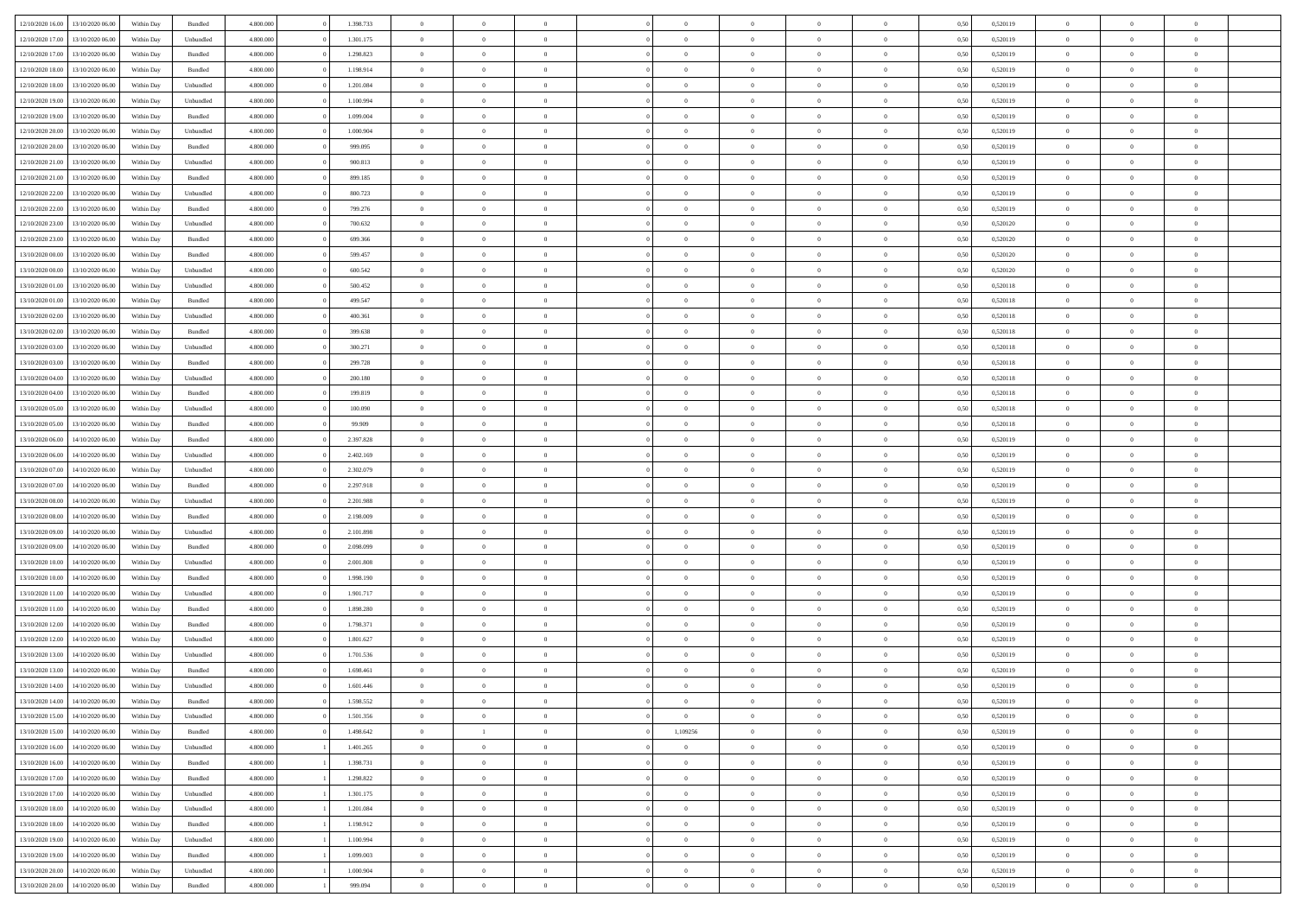|                  |                  |            |                    |           | 1.398.733 | $\overline{0}$ | $\Omega$       |                |                | $\Omega$       | $\Omega$       | $\theta$       |      |          | $\theta$       |                | $\theta$       |  |
|------------------|------------------|------------|--------------------|-----------|-----------|----------------|----------------|----------------|----------------|----------------|----------------|----------------|------|----------|----------------|----------------|----------------|--|
| 12/10/2020 16:00 | 13/10/2020 06:00 | Within Dav | Bundled            | 4.800.000 |           |                |                |                | $\Omega$       |                |                |                | 0.50 | 0,520119 |                | $\theta$       |                |  |
| 12/10/2020 17:00 | 13/10/2020 06.00 | Within Day | Unbundled          | 4.800.000 | 1.301.175 | $\overline{0}$ | $\theta$       | $\overline{0}$ | $\overline{0}$ | $\bf{0}$       | $\overline{0}$ | $\bf{0}$       | 0,50 | 0,520119 | $\theta$       | $\theta$       | $\overline{0}$ |  |
| 12/10/2020 17:00 | 13/10/2020 06:00 | Within Day | Bundled            | 4.800.000 | 1.298.823 | $\overline{0}$ | $\overline{0}$ | $\overline{0}$ | $\overline{0}$ | $\bf{0}$       | $\overline{0}$ | $\bf{0}$       | 0,50 | 0,520119 | $\bf{0}$       | $\overline{0}$ | $\overline{0}$ |  |
| 12/10/2020 18:00 | 13/10/2020 06:00 | Within Dav | Bundled            | 4.800.000 | 1.198.914 | $\overline{0}$ | $\overline{0}$ | $\overline{0}$ | $\overline{0}$ | $\bf{0}$       | $\overline{0}$ | $\overline{0}$ | 0.50 | 0.520119 | $\theta$       | $\theta$       | $\overline{0}$ |  |
|                  |                  |            |                    |           |           |                |                |                |                |                |                |                |      |          |                |                |                |  |
| 12/10/2020 18:00 | 13/10/2020 06.00 | Within Day | Unbundled          | 4.800.000 | 1.201.084 | $\overline{0}$ | $\theta$       | $\overline{0}$ | $\overline{0}$ | $\bf{0}$       | $\overline{0}$ | $\bf{0}$       | 0,50 | 0,520119 | $\theta$       | $\theta$       | $\overline{0}$ |  |
| 12/10/2020 19:00 | 13/10/2020 06:00 | Within Day | Unbundled          | 4.800.000 | 1.100.994 | $\overline{0}$ | $\bf{0}$       | $\overline{0}$ | $\overline{0}$ | $\overline{0}$ | $\overline{0}$ | $\mathbf{0}$   | 0,50 | 0,520119 | $\bf{0}$       | $\overline{0}$ | $\bf{0}$       |  |
| 12/10/2020 19:00 | 13/10/2020 06:00 | Within Dav | Bundled            | 4.800.000 | 1.099.004 | $\overline{0}$ | $\overline{0}$ | $\overline{0}$ | $\overline{0}$ | $\overline{0}$ | $\overline{0}$ | $\overline{0}$ | 0.50 | 0,520119 | $\theta$       | $\overline{0}$ | $\overline{0}$ |  |
| 12/10/2020 20:00 | 13/10/2020 06.00 | Within Day | Unbundled          | 4.800.000 | 1.000.904 | $\overline{0}$ | $\theta$       | $\overline{0}$ | $\overline{0}$ | $\bf{0}$       | $\overline{0}$ | $\bf{0}$       | 0,50 | 0,520119 | $\theta$       | $\theta$       | $\overline{0}$ |  |
| 12/10/2020 20:00 | 13/10/2020 06:00 | Within Day | Bundled            | 4.800.000 | 999.095   | $\overline{0}$ | $\overline{0}$ | $\overline{0}$ | $\overline{0}$ | $\bf{0}$       | $\bf{0}$       | $\bf{0}$       | 0,50 | 0,520119 | $\,0\,$        | $\overline{0}$ | $\overline{0}$ |  |
|                  |                  |            |                    |           |           |                |                |                |                |                |                |                |      |          |                |                |                |  |
| 12/10/2020 21:00 | 13/10/2020 06:00 | Within Dav | Unbundled          | 4.800.000 | 900.813   | $\overline{0}$ | $\overline{0}$ | $\overline{0}$ | $\overline{0}$ | $\overline{0}$ | $\overline{0}$ | $\overline{0}$ | 0.50 | 0,520119 | $\theta$       | $\overline{0}$ | $\overline{0}$ |  |
| 12/10/2020 21.00 | 13/10/2020 06.00 | Within Day | Bundled            | 4.800.000 | 899.185   | $\overline{0}$ | $\theta$       | $\overline{0}$ | $\overline{0}$ | $\bf{0}$       | $\overline{0}$ | $\bf{0}$       | 0,50 | 0,520119 | $\,$ 0 $\,$    | $\theta$       | $\overline{0}$ |  |
| 12/10/2020 22.00 | 13/10/2020 06:00 | Within Day | Unbundled          | 4.800.000 | 800.723   | $\overline{0}$ | $\overline{0}$ | $\overline{0}$ | $\bf{0}$       | $\bf{0}$       | $\bf{0}$       | $\bf{0}$       | 0,50 | 0,520119 | $\bf{0}$       | $\overline{0}$ | $\overline{0}$ |  |
| 12/10/2020 22.00 | 13/10/2020 06:00 | Within Day | Bundled            | 4.800.000 | 799.276   | $\overline{0}$ | $\overline{0}$ | $\overline{0}$ | $\overline{0}$ | $\bf{0}$       | $\overline{0}$ | $\overline{0}$ | 0.50 | 0.520119 | $\theta$       | $\theta$       | $\overline{0}$ |  |
| 12/10/2020 23:00 | 13/10/2020 06.00 | Within Day | Unbundled          | 4.800.000 | 700.632   | $\overline{0}$ | $\theta$       | $\overline{0}$ | $\overline{0}$ | $\bf{0}$       | $\overline{0}$ | $\bf{0}$       | 0,50 | 0,520120 | $\theta$       | $\theta$       | $\overline{0}$ |  |
|                  |                  |            |                    |           |           |                |                |                |                |                |                |                |      |          |                |                |                |  |
| 12/10/2020 23:00 | 13/10/2020 06:00 | Within Day | Bundled            | 4.800.000 | 699.366   | $\overline{0}$ | $\bf{0}$       | $\overline{0}$ | $\bf{0}$       | $\overline{0}$ | $\overline{0}$ | $\mathbf{0}$   | 0,50 | 0,520120 | $\bf{0}$       | $\overline{0}$ | $\bf{0}$       |  |
| 13/10/2020 00:00 | 13/10/2020 06:00 | Within Dav | Bundled            | 4.800.000 | 599,457   | $\overline{0}$ | $\overline{0}$ | $\overline{0}$ | $\overline{0}$ | $\overline{0}$ | $\overline{0}$ | $\overline{0}$ | 0.50 | 0,520120 | $\theta$       | $\overline{0}$ | $\overline{0}$ |  |
| 13/10/2020 00:00 | 13/10/2020 06.00 | Within Day | Unbundled          | 4.800.000 | 600.542   | $\overline{0}$ | $\theta$       | $\overline{0}$ | $\overline{0}$ | $\bf{0}$       | $\overline{0}$ | $\bf{0}$       | 0,50 | 0,520120 | $\,$ 0 $\,$    | $\theta$       | $\overline{0}$ |  |
| 13/10/2020 01.00 | 13/10/2020 06.00 | Within Day | Unbundled          | 4.800.000 | 500.452   | $\overline{0}$ | $\overline{0}$ | $\overline{0}$ | $\bf{0}$       | $\bf{0}$       | $\bf{0}$       | $\bf{0}$       | 0,50 | 0,520118 | $\,0\,$        | $\overline{0}$ | $\overline{0}$ |  |
| 13/10/2020 01:00 | 13/10/2020 06:00 | Within Day | Bundled            | 4.800.000 | 499.547   | $\overline{0}$ | $\overline{0}$ | $\overline{0}$ | $\overline{0}$ | $\overline{0}$ | $\overline{0}$ | $\overline{0}$ | 0.50 | 0,520118 | $\theta$       | $\overline{0}$ | $\overline{0}$ |  |
|                  |                  |            |                    |           |           |                |                |                |                |                |                |                |      |          |                |                |                |  |
| 13/10/2020 02.00 | 13/10/2020 06.00 | Within Day | Unbundled          | 4.800.000 | 400.361   | $\overline{0}$ | $\theta$       | $\overline{0}$ | $\overline{0}$ | $\bf{0}$       | $\overline{0}$ | $\bf{0}$       | 0,50 | 0,520118 | $\,$ 0 $\,$    | $\theta$       | $\overline{0}$ |  |
| 13/10/2020 02:00 | 13/10/2020 06:00 | Within Day | Bundled            | 4.800.000 | 399.638   | $\overline{0}$ | $\overline{0}$ | $\overline{0}$ | $\bf{0}$       | $\bf{0}$       | $\bf{0}$       | $\bf{0}$       | 0,50 | 0,520118 | $\,0\,$        | $\overline{0}$ | $\overline{0}$ |  |
| 13/10/2020 03:00 | 13/10/2020 06:00 | Within Day | Unbundled          | 4.800.000 | 300.271   | $\overline{0}$ | $\overline{0}$ | $\overline{0}$ | $\overline{0}$ | $\bf{0}$       | $\overline{0}$ | $\overline{0}$ | 0.50 | 0.520118 | $\theta$       | $\theta$       | $\overline{0}$ |  |
| 13/10/2020 03:00 | 13/10/2020 06.00 | Within Day | Bundled            | 4.800.000 | 299.728   | $\overline{0}$ | $\theta$       | $\overline{0}$ | $\overline{0}$ | $\bf{0}$       | $\overline{0}$ | $\bf{0}$       | 0,50 | 0,520118 | $\,$ 0 $\,$    | $\overline{0}$ | $\overline{0}$ |  |
| 13/10/2020 04:00 | 13/10/2020 06:00 | Within Day | Unbundled          | 4.800.000 | 200.180   | $\overline{0}$ | $\bf{0}$       | $\overline{0}$ | $\bf{0}$       | $\overline{0}$ | $\overline{0}$ | $\mathbf{0}$   | 0,50 | 0,520118 | $\overline{0}$ | $\overline{0}$ | $\bf{0}$       |  |
|                  |                  |            |                    |           |           |                |                |                |                |                |                |                |      |          |                |                |                |  |
| 13/10/2020 04:00 | 13/10/2020 06:00 | Within Dav | Bundled            | 4.800.000 | 199.819   | $\overline{0}$ | $\overline{0}$ | $\overline{0}$ | $\overline{0}$ | $\overline{0}$ | $\overline{0}$ | $\overline{0}$ | 0.50 | 0,520118 | $\theta$       | $\overline{0}$ | $\overline{0}$ |  |
| 13/10/2020 05:00 | 13/10/2020 06.00 | Within Day | Unbundled          | 4.800.000 | 100.090   | $\overline{0}$ | $\theta$       | $\overline{0}$ | $\overline{0}$ | $\bf{0}$       | $\overline{0}$ | $\bf{0}$       | 0,50 | 0,520118 | $\theta$       | $\theta$       | $\overline{0}$ |  |
| 13/10/2020 05:00 | 13/10/2020 06:00 | Within Day | Bundled            | 4.800.000 | 99.909    | $\overline{0}$ | $\overline{0}$ | $\overline{0}$ | $\bf{0}$       | $\bf{0}$       | $\bf{0}$       | $\bf{0}$       | 0,50 | 0,520118 | $\,0\,$        | $\overline{0}$ | $\overline{0}$ |  |
| 13/10/2020 06:00 | 14/10/2020 06:00 | Within Day | Bundled            | 4.800.000 | 2.397.828 | $\overline{0}$ | $\overline{0}$ | $\overline{0}$ | $\overline{0}$ | $\overline{0}$ | $\overline{0}$ | $\overline{0}$ | 0.50 | 0,520119 | $\theta$       | $\overline{0}$ | $\overline{0}$ |  |
| 13/10/2020 06:00 | 14/10/2020 06.00 | Within Day | Unbundled          | 4.800.000 | 2.402.169 | $\overline{0}$ | $\theta$       | $\overline{0}$ | $\overline{0}$ | $\bf{0}$       | $\overline{0}$ | $\bf{0}$       | 0,50 | 0,520119 | $\,$ 0 $\,$    | $\overline{0}$ | $\overline{0}$ |  |
| 13/10/2020 07.00 | 14/10/2020 06.00 | Within Day | Unbundled          | 4.800.000 | 2.302.079 | $\overline{0}$ | $\overline{0}$ | $\overline{0}$ | $\bf{0}$       | $\bf{0}$       | $\bf{0}$       | $\bf{0}$       | 0,50 | 0,520119 | $\bf{0}$       | $\overline{0}$ | $\overline{0}$ |  |
|                  |                  |            |                    | 4.800,000 |           | $\overline{0}$ | $\Omega$       | $\Omega$       | $\Omega$       | $\Omega$       |                |                |      |          |                |                | $\theta$       |  |
| 13/10/2020 07:00 | 14/10/2020 06.00 | Within Day | Bundled            |           | 2.297.918 |                |                |                |                |                | $\overline{0}$ | $\overline{0}$ | 0,50 | 0,520119 | $\,0\,$        | $\theta$       |                |  |
| 13/10/2020 08:00 | 14/10/2020 06.00 | Within Day | Unbundled          | 4.800.000 | 2.201.988 | $\overline{0}$ | $\theta$       | $\overline{0}$ | $\overline{0}$ | $\bf{0}$       | $\overline{0}$ | $\bf{0}$       | 0,50 | 0,520119 | $\,$ 0 $\,$    | $\theta$       | $\overline{0}$ |  |
| 13/10/2020 08:00 | 14/10/2020 06.00 | Within Day | Bundled            | 4.800.000 | 2.198.009 | $\overline{0}$ | $\overline{0}$ | $\overline{0}$ | $\overline{0}$ | $\bf{0}$       | $\overline{0}$ | $\mathbf{0}$   | 0,50 | 0,520119 | $\bf{0}$       | $\overline{0}$ | $\bf{0}$       |  |
| 13/10/2020 09:00 | 14/10/2020 06.00 | Within Day | Unbundled          | 4.800,000 | 2.101.898 | $\overline{0}$ | $\Omega$       | $\Omega$       | $\Omega$       | $\bf{0}$       | $\overline{0}$ | $\overline{0}$ | 0.50 | 0,520119 | $\,0\,$        | $\theta$       | $\theta$       |  |
| 13/10/2020 09:00 | 14/10/2020 06.00 | Within Day | Bundled            | 4.800.000 | 2.098.099 | $\overline{0}$ | $\theta$       | $\overline{0}$ | $\overline{0}$ | $\bf{0}$       | $\overline{0}$ | $\bf{0}$       | 0,50 | 0,520119 | $\,$ 0 $\,$    | $\theta$       | $\overline{0}$ |  |
| 13/10/2020 10:00 | 14/10/2020 06.00 | Within Day | Unbundled          | 4.800.000 | 2.001.808 | $\overline{0}$ | $\overline{0}$ | $\overline{0}$ | $\overline{0}$ | $\bf{0}$       | $\overline{0}$ | $\bf{0}$       | 0,50 | 0,520119 | $\,0\,$        | $\overline{0}$ | $\overline{0}$ |  |
|                  |                  |            |                    |           |           |                |                |                |                |                |                |                |      |          |                |                |                |  |
| 13/10/2020 10:00 | 14/10/2020 06:00 | Within Day | Bundled            | 4.800,000 | 1.998.190 | $\overline{0}$ | $\Omega$       | $\Omega$       | $\Omega$       | $\theta$       | $\theta$       | $\overline{0}$ | 0.50 | 0,520119 | $\,0\,$        | $\theta$       | $\theta$       |  |
| 13/10/2020 11:00 | 14/10/2020 06.00 | Within Day | Unbundled          | 4.800.000 | 1.901.717 | $\overline{0}$ | $\theta$       | $\overline{0}$ | $\overline{0}$ | $\bf{0}$       | $\overline{0}$ | $\bf{0}$       | 0,50 | 0,520119 | $\,$ 0 $\,$    | $\overline{0}$ | $\overline{0}$ |  |
| 13/10/2020 11:00 | 14/10/2020 06.00 | Within Day | Bundled            | 4.800.000 | 1.898.280 | $\overline{0}$ | $\overline{0}$ | $\overline{0}$ | $\overline{0}$ | $\bf{0}$       | $\overline{0}$ | $\bf{0}$       | 0,50 | 0,520119 | $\bf{0}$       | $\overline{0}$ | $\overline{0}$ |  |
| 13/10/2020 12:00 | 14/10/2020 06.00 | Within Day | Bundled            | 4.800,000 | 1.798.371 | $\overline{0}$ | $\Omega$       | $\overline{0}$ | $\Omega$       | $\overline{0}$ | $\overline{0}$ | $\overline{0}$ | 0,50 | 0,520119 | $\,0\,$        | $\theta$       | $\theta$       |  |
| 13/10/2020 12:00 | 14/10/2020 06.00 | Within Day | Unbundled          | 4.800.000 | 1.801.627 | $\overline{0}$ | $\theta$       | $\overline{0}$ | $\overline{0}$ | $\,$ 0         | $\overline{0}$ | $\bf{0}$       | 0,50 | 0,520119 | $\,$ 0 $\,$    | $\overline{0}$ | $\overline{0}$ |  |
|                  |                  |            |                    |           |           |                | $\overline{0}$ |                |                | $\bf{0}$       |                |                |      |          |                | $\overline{0}$ | $\bf{0}$       |  |
| 13/10/2020 13:00 | 14/10/2020 06.00 | Within Day | Unbundled          | 4.800.000 | 1.701.536 | $\overline{0}$ |                | $\overline{0}$ | $\overline{0}$ |                | $\overline{0}$ | $\mathbf{0}$   | 0,50 | 0,520119 | $\bf{0}$       |                |                |  |
| 13/10/2020 13:00 | 14/10/2020 06.00 | Within Day | Bundled            | 4.800,000 | 1.698.461 | $\overline{0}$ | $\Omega$       | $\Omega$       | $\Omega$       | $\Omega$       | $\Omega$       | $\overline{0}$ | 0.50 | 0,520119 | $\theta$       | $\theta$       | $\theta$       |  |
| 13/10/2020 14:00 | 14/10/2020 06.00 | Within Day | Unbundled          | 4.800.000 | 1.601.446 | $\overline{0}$ | $\,$ 0 $\,$    | $\overline{0}$ | $\bf{0}$       | $\,$ 0         | $\overline{0}$ | $\bf{0}$       | 0,50 | 0,520119 | $\,0\,$        | $\overline{0}$ | $\overline{0}$ |  |
| 13/10/2020 14:00 | 14/10/2020 06.00 | Within Day | $\mathbf B$ undled | 4.800.000 | 1.598.552 | $\bf{0}$       | $\bf{0}$       |                |                |                |                |                | 0,50 | 0,520119 | $\bf{0}$       | $\overline{0}$ |                |  |
| 13/10/2020 15:00 | 14/10/2020 06:00 | Within Day | Unbundled          | 4.800.000 | 1.501.356 | $\overline{0}$ | $\overline{0}$ | $\overline{0}$ | $\Omega$       | $\overline{0}$ | $\overline{0}$ | $\overline{0}$ | 0,50 | 0,520119 | $\theta$       | $\theta$       | $\theta$       |  |
| 13/10/2020 15:00 | 14/10/2020 06.00 | Within Day | Bundled            | 4.800.000 | 1.498.642 | $\overline{0}$ | $\mathbf{1}$   | $\overline{0}$ | 1,109256       | $\bf{0}$       | $\overline{0}$ | $\mathbf{0}$   | 0,50 | 0,520119 | $\,$ 0 $\,$    | $\,$ 0 $\,$    | $\,$ 0         |  |
| 13/10/2020 16:00 | 14/10/2020 06.00 | Within Day | Unbundled          | 4.800.000 | 1.401.265 | $\overline{0}$ | $\overline{0}$ | $\overline{0}$ | $\overline{0}$ | $\overline{0}$ | $\overline{0}$ | $\mathbf{0}$   | 0,50 | 0,520119 | $\overline{0}$ | $\bf{0}$       | $\bf{0}$       |  |
|                  |                  |            |                    |           |           |                |                |                |                |                |                |                |      |          |                |                |                |  |
| 13/10/2020 16:00 | 14/10/2020 06.00 | Within Day | $\mathbf B$ undled | 4.800,000 | 1.398.731 | $\overline{0}$ | $\overline{0}$ | $\overline{0}$ | $\Omega$       | $\overline{0}$ | $\overline{0}$ | $\bf{0}$       | 0,50 | 0,520119 | $\bf{0}$       | $\theta$       | $\overline{0}$ |  |
| 13/10/2020 17:00 | 14/10/2020 06.00 | Within Day | Bundled            | 4.800.000 | 1.298.822 | $\overline{0}$ | $\,$ 0         | $\overline{0}$ | $\overline{0}$ | $\,$ 0 $\,$    | $\overline{0}$ | $\mathbf{0}$   | 0,50 | 0,520119 | $\,$ 0 $\,$    | $\overline{0}$ | $\overline{0}$ |  |
| 13/10/2020 17:00 | 14/10/2020 06.00 | Within Day | Unbundled          | 4.800.000 | 1.301.175 | $\overline{0}$ | $\overline{0}$ | $\overline{0}$ | $\overline{0}$ | $\overline{0}$ | $\overline{0}$ | $\mathbf{0}$   | 0,50 | 0,520119 | $\overline{0}$ | $\overline{0}$ | $\bf{0}$       |  |
| 13/10/2020 18:00 | 14/10/2020 06.00 | Within Day | Unbundled          | 4.800.000 | 1.201.084 | $\overline{0}$ | $\overline{0}$ | $\overline{0}$ | $\Omega$       | $\overline{0}$ | $\overline{0}$ | $\bf{0}$       | 0.50 | 0,520119 | $\overline{0}$ | $\theta$       | $\overline{0}$ |  |
| 13/10/2020 18:00 | 14/10/2020 06.00 | Within Day | Bundled            | 4.800.000 | 1.198.912 | $\overline{0}$ | $\,$ 0         | $\overline{0}$ | $\overline{0}$ | $\bf{0}$       | $\overline{0}$ | $\bf{0}$       | 0,50 | 0,520119 | $\,$ 0 $\,$    | $\overline{0}$ | $\overline{0}$ |  |
|                  |                  |            |                    |           |           |                |                |                |                |                |                |                |      |          |                |                |                |  |
| 13/10/2020 19:00 | 14/10/2020 06.00 | Within Day | Unbundled          | 4.800.000 | 1.100.994 | $\overline{0}$ | $\bf{0}$       | $\overline{0}$ | $\overline{0}$ | $\overline{0}$ | $\overline{0}$ | $\mathbf{0}$   | 0,50 | 0,520119 | $\overline{0}$ | $\overline{0}$ | $\bf{0}$       |  |
| 13/10/2020 19:00 | 14/10/2020 06.00 | Within Day | Bundled            | 4.800,000 | 1.099.003 | $\overline{0}$ | $\overline{0}$ | $\overline{0}$ | $\Omega$       | $\overline{0}$ | $\overline{0}$ | $\bf{0}$       | 0.50 | 0,520119 | $\overline{0}$ | $\theta$       | $\overline{0}$ |  |
| 13/10/2020 20:00 | 14/10/2020 06.00 | Within Day | Unbundled          | 4.800.000 | 1.000.904 | $\overline{0}$ | $\bf{0}$       | $\overline{0}$ | $\bf{0}$       | $\bf{0}$       | $\overline{0}$ | $\mathbf{0}$   | 0,50 | 0,520119 | $\,$ 0 $\,$    | $\,$ 0 $\,$    | $\bf{0}$       |  |
| 13/10/2020 20:00 | 14/10/2020 06.00 | Within Day | Bundled            | 4.800.000 | 999.094   | $\overline{0}$ | $\overline{0}$ | $\overline{0}$ | $\overline{0}$ | $\bf{0}$       | $\overline{0}$ | $\mathbf{0}$   | 0,50 | 0,520119 | $\overline{0}$ | $\bf{0}$       | $\bf{0}$       |  |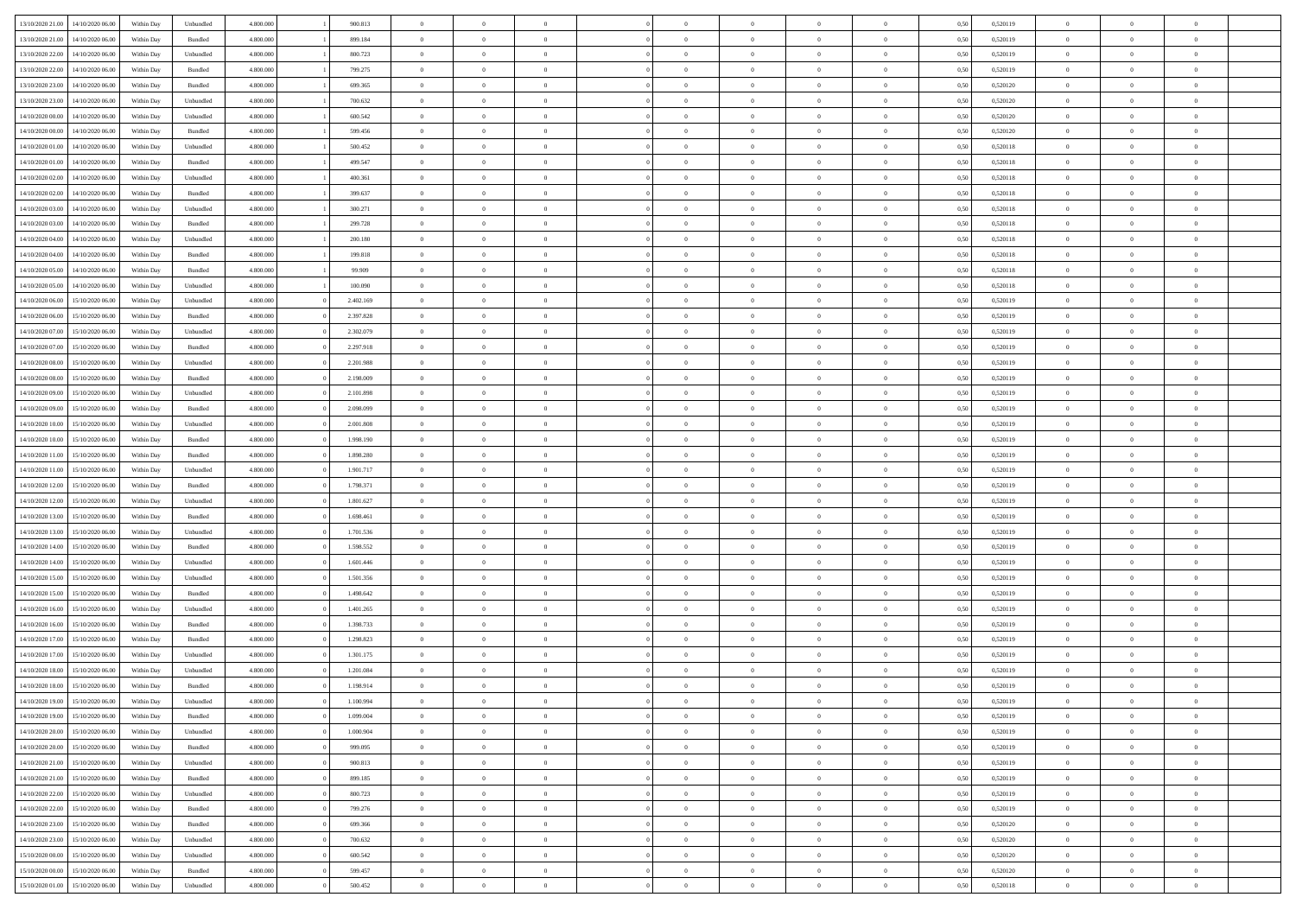| 13/10/2020 21:00 | 14/10/2020 06:00 | Within Dav | Unbundled | 4.800.000 | 900.813   | $\overline{0}$ | $\Omega$       |                | $\Omega$       | $\Omega$       | $\Omega$       | $\theta$       | 0.50 | 0,520119 | $\theta$       | $\theta$       | $\theta$       |  |
|------------------|------------------|------------|-----------|-----------|-----------|----------------|----------------|----------------|----------------|----------------|----------------|----------------|------|----------|----------------|----------------|----------------|--|
| 13/10/2020 21:00 | 14/10/2020 06.00 | Within Day | Bundled   | 4.800.000 | 899.184   | $\overline{0}$ | $\theta$       | $\overline{0}$ | $\overline{0}$ | $\bf{0}$       | $\overline{0}$ | $\bf{0}$       | 0,50 | 0,520119 | $\theta$       | $\overline{0}$ | $\overline{0}$ |  |
| 13/10/2020 22.00 | 14/10/2020 06.00 | Within Day | Unbundled | 4.800.000 | 800.723   | $\overline{0}$ | $\overline{0}$ | $\overline{0}$ | $\overline{0}$ | $\bf{0}$       | $\overline{0}$ | $\bf{0}$       | 0,50 | 0,520119 | $\bf{0}$       | $\overline{0}$ | $\overline{0}$ |  |
|                  |                  |            |           |           |           |                |                |                |                |                |                |                |      |          | $\theta$       |                |                |  |
| 13/10/2020 22.00 | 14/10/2020 06:00 | Within Dav | Bundled   | 4.800.000 | 799.275   | $\overline{0}$ | $\overline{0}$ | $\overline{0}$ | $\overline{0}$ | $\bf{0}$       | $\overline{0}$ | $\overline{0}$ | 0.50 | 0.520119 |                | $\theta$       | $\overline{0}$ |  |
| 13/10/2020 23:00 | 14/10/2020 06.00 | Within Day | Bundled   | 4.800.000 | 699.365   | $\overline{0}$ | $\theta$       | $\overline{0}$ | $\overline{0}$ | $\bf{0}$       | $\overline{0}$ | $\bf{0}$       | 0,50 | 0,520120 | $\theta$       | $\theta$       | $\overline{0}$ |  |
| 13/10/2020 23.00 | 14/10/2020 06.00 | Within Day | Unbundled | 4.800.000 | 700.632   | $\overline{0}$ | $\bf{0}$       | $\overline{0}$ | $\bf{0}$       | $\overline{0}$ | $\overline{0}$ | $\mathbf{0}$   | 0,50 | 0,520120 | $\overline{0}$ | $\overline{0}$ | $\bf{0}$       |  |
| 14/10/2020 00:00 | 14/10/2020 06.00 | Within Dav | Unbundled | 4.800.000 | 600.542   | $\overline{0}$ | $\overline{0}$ | $\overline{0}$ | $\overline{0}$ | $\overline{0}$ | $\overline{0}$ | $\overline{0}$ | 0.50 | 0,520120 | $\theta$       | $\overline{0}$ | $\overline{0}$ |  |
|                  |                  |            |           |           |           |                |                |                |                |                |                |                |      |          |                |                |                |  |
| 14/10/2020 00.00 | 14/10/2020 06.00 | Within Day | Bundled   | 4.800.000 | 599.456   | $\overline{0}$ | $\theta$       | $\overline{0}$ | $\overline{0}$ | $\bf{0}$       | $\overline{0}$ | $\bf{0}$       | 0,50 | 0,520120 | $\theta$       | $\theta$       | $\overline{0}$ |  |
| 14/10/2020 01:00 | 14/10/2020 06.00 | Within Day | Unbundled | 4.800.000 | 500.452   | $\overline{0}$ | $\overline{0}$ | $\overline{0}$ | $\bf{0}$       | $\bf{0}$       | $\bf{0}$       | $\bf{0}$       | 0,50 | 0,520118 | $\,0\,$        | $\overline{0}$ | $\overline{0}$ |  |
| 14/10/2020 01:00 | 14/10/2020 06.00 | Within Dav | Bundled   | 4.800.000 | 499.547   | $\overline{0}$ | $\overline{0}$ | $\overline{0}$ | $\overline{0}$ | $\overline{0}$ | $\overline{0}$ | $\overline{0}$ | 0.50 | 0,520118 | $\theta$       | $\overline{0}$ | $\overline{0}$ |  |
| 14/10/2020 02.00 | 14/10/2020 06.00 | Within Day |           | 4.800.000 | 400.361   | $\overline{0}$ | $\theta$       | $\overline{0}$ | $\overline{0}$ | $\bf{0}$       | $\overline{0}$ |                |      | 0,520118 | $\,$ 0 $\,$    | $\theta$       | $\overline{0}$ |  |
|                  |                  |            | Unbundled |           |           |                |                |                |                |                |                | $\bf{0}$       | 0,50 |          |                |                |                |  |
| 14/10/2020 02.00 | 14/10/2020 06.00 | Within Day | Bundled   | 4.800.000 | 399.637   | $\overline{0}$ | $\overline{0}$ | $\overline{0}$ | $\bf{0}$       | $\bf{0}$       | $\bf{0}$       | $\bf{0}$       | 0,50 | 0,520118 | $\overline{0}$ | $\overline{0}$ | $\overline{0}$ |  |
| 14/10/2020 03:00 | 14/10/2020 06:00 | Within Day | Unbundled | 4.800.000 | 300.271   | $\overline{0}$ | $\overline{0}$ | $\overline{0}$ | $\overline{0}$ | $\bf{0}$       | $\overline{0}$ | $\overline{0}$ | 0.50 | 0.520118 | $\theta$       | $\theta$       | $\overline{0}$ |  |
| 14/10/2020 03:00 | 14/10/2020 06.00 | Within Day | Bundled   | 4.800.000 | 299.728   | $\overline{0}$ | $\theta$       | $\overline{0}$ | $\overline{0}$ | $\bf{0}$       | $\overline{0}$ | $\bf{0}$       | 0,50 | 0,520118 | $\theta$       | $\theta$       | $\overline{0}$ |  |
|                  |                  |            |           |           |           |                |                |                |                |                |                |                |      |          |                |                |                |  |
| 14/10/2020 04:00 | 14/10/2020 06.00 | Within Day | Unbundled | 4.800.000 | 200.180   | $\overline{0}$ | $\bf{0}$       | $\overline{0}$ | $\bf{0}$       | $\overline{0}$ | $\overline{0}$ | $\mathbf{0}$   | 0,50 | 0,520118 | $\bf{0}$       | $\overline{0}$ | $\bf{0}$       |  |
| 14/10/2020 04:00 | 14/10/2020 06.00 | Within Dav | Bundled   | 4.800.000 | 199.818   | $\overline{0}$ | $\overline{0}$ | $\overline{0}$ | $\overline{0}$ | $\overline{0}$ | $\overline{0}$ | $\overline{0}$ | 0.50 | 0,520118 | $\theta$       | $\overline{0}$ | $\overline{0}$ |  |
| 14/10/2020 05:00 | 14/10/2020 06.00 | Within Day | Bundled   | 4.800.000 | 99.909    | $\overline{0}$ | $\theta$       | $\overline{0}$ | $\overline{0}$ | $\bf{0}$       | $\overline{0}$ | $\bf{0}$       | 0,50 | 0,520118 | $\,$ 0 $\,$    | $\theta$       | $\overline{0}$ |  |
| 14/10/2020 05:00 | 14/10/2020 06.00 | Within Day | Unbundled | 4.800.000 | 100.090   | $\overline{0}$ | $\overline{0}$ | $\overline{0}$ | $\bf{0}$       | $\bf{0}$       | $\bf{0}$       | $\bf{0}$       | 0,50 | 0,520118 | $\,0\,$        | $\overline{0}$ | $\overline{0}$ |  |
|                  |                  |            |           |           |           |                |                |                |                |                |                |                |      |          |                |                |                |  |
| 14/10/2020 06:00 | 15/10/2020 06:00 | Within Day | Unbundled | 4.800.000 | 2.402.169 | $\overline{0}$ | $\overline{0}$ | $\overline{0}$ | $\overline{0}$ | $\overline{0}$ | $\overline{0}$ | $\overline{0}$ | 0.50 | 0,520119 | $\theta$       | $\overline{0}$ | $\overline{0}$ |  |
| 14/10/2020 06.00 | 15/10/2020 06.00 | Within Day | Bundled   | 4.800.000 | 2.397.828 | $\overline{0}$ | $\theta$       | $\overline{0}$ | $\overline{0}$ | $\bf{0}$       | $\overline{0}$ | $\bf{0}$       | 0,50 | 0,520119 | $\,$ 0 $\,$    | $\theta$       | $\overline{0}$ |  |
| 14/10/2020 07:00 | 15/10/2020 06.00 | Within Day | Unbundled | 4.800.000 | 2.302.079 | $\overline{0}$ | $\overline{0}$ | $\overline{0}$ | $\bf{0}$       | $\bf{0}$       | $\bf{0}$       | $\bf{0}$       | 0,50 | 0,520119 | $\bf{0}$       | $\overline{0}$ | $\overline{0}$ |  |
| 14/10/2020 07:00 | 15/10/2020 06:00 | Within Day | Bundled   | 4.800.000 | 2.297.918 | $\overline{0}$ | $\overline{0}$ | $\overline{0}$ | $\overline{0}$ | $\bf{0}$       | $\overline{0}$ | $\overline{0}$ | 0.50 | 0.520119 | $\theta$       | $\theta$       | $\overline{0}$ |  |
|                  |                  |            |           |           |           |                |                |                |                |                |                |                |      |          |                |                |                |  |
| 14/10/2020 08:00 | 15/10/2020 06.00 | Within Day | Unbundled | 4.800.000 | 2.201.988 | $\overline{0}$ | $\theta$       | $\overline{0}$ | $\overline{0}$ | $\bf{0}$       | $\overline{0}$ | $\bf{0}$       | 0,50 | 0,520119 | $\,$ 0 $\,$    | $\overline{0}$ | $\overline{0}$ |  |
| 14/10/2020 08.00 | 15/10/2020 06.00 | Within Day | Bundled   | 4.800.000 | 2.198.009 | $\overline{0}$ | $\bf{0}$       | $\overline{0}$ | $\bf{0}$       | $\overline{0}$ | $\overline{0}$ | $\mathbf{0}$   | 0,50 | 0,520119 | $\bf{0}$       | $\overline{0}$ | $\bf{0}$       |  |
| 14/10/2020 09:00 | 15/10/2020 06:00 | Within Dav | Unbundled | 4.800.000 | 2.101.898 | $\overline{0}$ | $\overline{0}$ | $\overline{0}$ | $\overline{0}$ | $\overline{0}$ | $\overline{0}$ | $\overline{0}$ | 0.50 | 0,520119 | $\theta$       | $\overline{0}$ | $\overline{0}$ |  |
| 14/10/2020 09:00 | 15/10/2020 06.00 | Within Day | Bundled   | 4.800.000 | 2.098.099 | $\overline{0}$ | $\theta$       | $\overline{0}$ | $\overline{0}$ | $\bf{0}$       | $\overline{0}$ | $\bf{0}$       | 0,50 | 0,520119 | $\theta$       | $\theta$       | $\overline{0}$ |  |
|                  |                  |            |           |           |           |                |                |                |                |                |                |                |      |          |                |                |                |  |
| 14/10/2020 10:00 | 15/10/2020 06.00 | Within Day | Unbundled | 4.800.000 | 2.001.808 | $\overline{0}$ | $\overline{0}$ | $\overline{0}$ | $\bf{0}$       | $\bf{0}$       | $\bf{0}$       | $\bf{0}$       | 0,50 | 0,520119 | $\,0\,$        | $\overline{0}$ | $\overline{0}$ |  |
| 14/10/2020 10:00 | 15/10/2020 06:00 | Within Day | Bundled   | 4.800.000 | 1.998.190 | $\overline{0}$ | $\overline{0}$ | $\overline{0}$ | $\overline{0}$ | $\overline{0}$ | $\overline{0}$ | $\overline{0}$ | 0.50 | 0,520119 | $\theta$       | $\overline{0}$ | $\overline{0}$ |  |
| 14/10/2020 11:00 | 15/10/2020 06.00 | Within Day | Bundled   | 4.800.000 | 1.898.280 | $\overline{0}$ | $\theta$       | $\overline{0}$ | $\overline{0}$ | $\bf{0}$       | $\overline{0}$ | $\bf{0}$       | 0,50 | 0,520119 | $\,$ 0 $\,$    | $\overline{0}$ | $\overline{0}$ |  |
| 14/10/2020 11:00 | 15/10/2020 06.00 | Within Day | Unbundled | 4.800.000 | 1.901.717 | $\overline{0}$ | $\overline{0}$ | $\overline{0}$ | $\bf{0}$       | $\bf{0}$       | $\bf{0}$       | $\bf{0}$       | 0,50 | 0,520119 | $\bf{0}$       | $\overline{0}$ | $\overline{0}$ |  |
|                  |                  |            |           |           |           |                |                |                |                |                |                |                |      |          |                |                |                |  |
| 14/10/2020 12:00 | 15/10/2020 06.00 | Within Day | Bundled   | 4.800,000 | 1.798.371 | $\overline{0}$ | $\Omega$       | $\Omega$       | $\Omega$       | $\Omega$       | $\overline{0}$ | $\overline{0}$ | 0,50 | 0,520119 | $\,0\,$        | $\theta$       | $\theta$       |  |
| 14/10/2020 12:00 | 15/10/2020 06.00 | Within Day | Unbundled | 4.800.000 | 1.801.627 | $\overline{0}$ | $\theta$       | $\overline{0}$ | $\overline{0}$ | $\bf{0}$       | $\overline{0}$ | $\bf{0}$       | 0,50 | 0,520119 | $\,$ 0 $\,$    | $\theta$       | $\overline{0}$ |  |
| 14/10/2020 13:00 | 15/10/2020 06:00 | Within Day | Bundled   | 4.800.000 | 1.698.461 | $\overline{0}$ | $\overline{0}$ | $\overline{0}$ | $\bf{0}$       | $\bf{0}$       | $\overline{0}$ | $\mathbf{0}$   | 0,50 | 0,520119 | $\bf{0}$       | $\overline{0}$ | $\bf{0}$       |  |
| 14/10/2020 13:00 | 15/10/2020 06.00 | Within Day | Unbundled | 4.800,000 | 1.701.536 | $\overline{0}$ | $\Omega$       | $\Omega$       | $\Omega$       | $\bf{0}$       | $\overline{0}$ | $\overline{0}$ | 0.50 | 0,520119 | $\,0\,$        | $\theta$       | $\theta$       |  |
|                  |                  |            |           |           |           |                |                |                |                |                |                |                |      |          |                |                |                |  |
| 14/10/2020 14:00 | 15/10/2020 06.00 | Within Day | Bundled   | 4.800.000 | 1.598.552 | $\overline{0}$ | $\theta$       | $\overline{0}$ | $\overline{0}$ | $\bf{0}$       | $\overline{0}$ | $\bf{0}$       | 0,50 | 0,520119 | $\,$ 0 $\,$    | $\theta$       | $\overline{0}$ |  |
| 14/10/2020 14:00 | 15/10/2020 06.00 | Within Day | Unbundled | 4.800.000 | 1.601.446 | $\overline{0}$ | $\overline{0}$ | $\overline{0}$ | $\bf{0}$       | $\bf{0}$       | $\bf{0}$       | $\bf{0}$       | 0,50 | 0,520119 | $\,0\,$        | $\overline{0}$ | $\overline{0}$ |  |
| 14/10/2020 15:00 | 15/10/2020 06:00 | Within Day | Unbundled | 4.800,000 | 1.501.356 | $\overline{0}$ | $\Omega$       | $\Omega$       | $\Omega$       | $\Omega$       | $\theta$       | $\overline{0}$ | 0.50 | 0,520119 | $\,0\,$        | $\theta$       | $\theta$       |  |
| 14/10/2020 15:00 | 15/10/2020 06.00 | Within Day | Bundled   | 4.800.000 | 1.498.642 | $\overline{0}$ | $\theta$       | $\overline{0}$ | $\overline{0}$ | $\bf{0}$       | $\overline{0}$ | $\bf{0}$       | 0,50 | 0,520119 | $\,$ 0 $\,$    | $\overline{0}$ | $\overline{0}$ |  |
|                  |                  |            |           |           |           |                |                |                |                |                |                |                |      |          |                |                |                |  |
| 14/10/2020 16.00 | 15/10/2020 06:00 | Within Day | Unbundled | 4.800.000 | 1.401.265 | $\overline{0}$ | $\overline{0}$ | $\overline{0}$ | $\bf{0}$       | $\bf{0}$       | $\overline{0}$ | $\bf{0}$       | 0,50 | 0,520119 | $\bf{0}$       | $\overline{0}$ | $\overline{0}$ |  |
| 14/10/2020 16.00 | 15/10/2020 06.00 | Within Day | Bundled   | 4.800,000 | 1.398.733 | $\overline{0}$ | $\Omega$       | $\overline{0}$ | $\Omega$       | $\Omega$       | $\overline{0}$ | $\overline{0}$ | 0,50 | 0,520119 | $\,0\,$        | $\theta$       | $\theta$       |  |
| 14/10/2020 17:00 | 15/10/2020 06.00 | Within Day | Bundled   | 4.800.000 | 1.298.823 | $\overline{0}$ | $\theta$       | $\overline{0}$ | $\overline{0}$ | $\,$ 0         | $\overline{0}$ | $\bf{0}$       | 0,50 | 0,520119 | $\,$ 0 $\,$    | $\overline{0}$ | $\overline{0}$ |  |
| 14/10/2020 17.00 | 15/10/2020 06.00 | Within Day | Unbundled | 4.800.000 | 1.301.175 | $\overline{0}$ | $\overline{0}$ | $\overline{0}$ | $\overline{0}$ | $\bf{0}$       | $\overline{0}$ | $\mathbf{0}$   | 0,50 | 0,520119 | $\bf{0}$       | $\overline{0}$ | $\bf{0}$       |  |
|                  |                  |            |           |           |           |                |                |                |                |                |                |                |      |          |                |                |                |  |
| 14/10/2020 18:00 | 15/10/2020 06:00 | Within Day | Unbundled | 4.800,000 | 1.201.084 | $\overline{0}$ | $\Omega$       | $\Omega$       | $\Omega$       | $\Omega$       | $\Omega$       | $\overline{0}$ | 0.50 | 0,520119 | $\theta$       | $\theta$       | $\theta$       |  |
| 14/10/2020 18:00 | 15/10/2020 06.00 | Within Day | Bundled   | 4.800.000 | 1.198.914 | $\overline{0}$ | $\,$ 0 $\,$    | $\overline{0}$ | $\bf{0}$       | $\,$ 0         | $\overline{0}$ | $\bf{0}$       | 0,50 | 0,520119 | $\,0\,$        | $\overline{0}$ | $\overline{0}$ |  |
| 14/10/2020 19:00 | 15/10/2020 06.00 | Within Day | Unbundled | 4.800.000 | 1.100.994 | $\bf{0}$       | $\bf{0}$       |                |                |                |                |                | 0,50 | 0,520119 | $\bf{0}$       | $\overline{0}$ |                |  |
| 14/10/2020 19:00 | 15/10/2020 06:00 | Within Day | Bundled   | 4.800.000 | 1.099.004 | $\overline{0}$ | $\overline{0}$ | $\overline{0}$ | $\Omega$       | $\theta$       | $\overline{0}$ | $\overline{0}$ | 0,50 | 0,520119 | $\theta$       | $\theta$       | $\theta$       |  |
|                  |                  |            |           |           |           |                |                |                |                |                |                |                |      |          |                |                |                |  |
| 14/10/2020 20:00 | 15/10/2020 06.00 | Within Day | Unbundled | 4.800.000 | 1.000.904 | $\overline{0}$ | $\,$ 0         | $\overline{0}$ | $\overline{0}$ | $\,$ 0 $\,$    | $\overline{0}$ | $\mathbf{0}$   | 0,50 | 0,520119 | $\,$ 0 $\,$    | $\,$ 0 $\,$    | $\,$ 0         |  |
| 14/10/2020 20.00 | 15/10/2020 06.00 | Within Day | Bundled   | 4.800.000 | 999.095   | $\overline{0}$ | $\overline{0}$ | $\overline{0}$ | $\overline{0}$ | $\overline{0}$ | $\overline{0}$ | $\mathbf{0}$   | 0,50 | 0,520119 | $\overline{0}$ | $\bf{0}$       | $\bf{0}$       |  |
| 14/10/2020 21:00 | 15/10/2020 06.00 | Within Day | Unbundled | 4.800,000 | 900.813   | $\overline{0}$ | $\overline{0}$ | $\overline{0}$ | $\Omega$       | $\overline{0}$ | $\overline{0}$ | $\overline{0}$ | 0,50 | 0,520119 | $\overline{0}$ | $\theta$       | $\overline{0}$ |  |
| 14/10/2020 21.00 | 15/10/2020 06.00 | Within Day | Bundled   | 4.800.000 | 899.185   | $\overline{0}$ | $\,$ 0         | $\overline{0}$ | $\overline{0}$ | $\,$ 0 $\,$    | $\overline{0}$ | $\mathbf{0}$   | 0,50 | 0,520119 | $\,$ 0 $\,$    | $\overline{0}$ | $\overline{0}$ |  |
|                  |                  |            |           |           |           |                |                |                |                |                |                |                |      |          |                |                |                |  |
| 14/10/2020 22.00 | 15/10/2020 06.00 | Within Day | Unbundled | 4.800.000 | 800.723   | $\overline{0}$ | $\overline{0}$ | $\overline{0}$ | $\overline{0}$ | $\overline{0}$ | $\overline{0}$ | $\mathbf{0}$   | 0,50 | 0,520119 | $\overline{0}$ | $\overline{0}$ | $\bf{0}$       |  |
| 14/10/2020 22:00 | 15/10/2020 06.00 | Within Day | Bundled   | 4.800,000 | 799.276   | $\overline{0}$ | $\overline{0}$ | $\overline{0}$ | $\Omega$       | $\overline{0}$ | $\overline{0}$ | $\bf{0}$       | 0.50 | 0,520119 | $\overline{0}$ | $\theta$       | $\overline{0}$ |  |
| 14/10/2020 23.00 | 15/10/2020 06.00 | Within Day | Bundled   | 4.800.000 | 699.366   | $\overline{0}$ | $\,$ 0         | $\overline{0}$ | $\bf{0}$       | $\bf{0}$       | $\bf{0}$       | $\bf{0}$       | 0,50 | 0,520120 | $\,$ 0 $\,$    | $\overline{0}$ | $\overline{0}$ |  |
| 14/10/2020 23:00 | 15/10/2020 06.00 | Within Day | Unbundled | 4.800.000 | 700.632   | $\overline{0}$ | $\bf{0}$       | $\overline{0}$ | $\overline{0}$ | $\overline{0}$ | $\overline{0}$ | $\mathbf{0}$   | 0,50 | 0,520120 | $\overline{0}$ | $\overline{0}$ | $\bf{0}$       |  |
|                  |                  |            |           |           |           |                |                |                |                |                |                |                |      |          |                |                |                |  |
| 15/10/2020 00:00 | 15/10/2020 06.00 | Within Day | Unbundled | 4.800,000 | 600.542   | $\overline{0}$ | $\overline{0}$ | $\overline{0}$ | $\Omega$       | $\overline{0}$ | $\overline{0}$ | $\bf{0}$       | 0.50 | 0,520120 | $\overline{0}$ | $\overline{0}$ | $\overline{0}$ |  |
| 15/10/2020 00:00 | 15/10/2020 06.00 | Within Day | Bundled   | 4.800.000 | 599.457   | $\overline{0}$ | $\bf{0}$       | $\overline{0}$ | $\bf{0}$       | $\bf{0}$       | $\bf{0}$       | $\mathbf{0}$   | 0,50 | 0,520120 | $\,$ 0 $\,$    | $\,$ 0 $\,$    | $\bf{0}$       |  |
| 15/10/2020 01:00 | 15/10/2020 06.00 | Within Day | Unbundled | 4.800.000 | 500.452   | $\overline{0}$ | $\overline{0}$ | $\overline{0}$ | $\overline{0}$ | $\overline{0}$ | $\bf{0}$       | $\mathbf{0}$   | 0,50 | 0,520118 | $\overline{0}$ | $\bf{0}$       | $\bf{0}$       |  |
|                  |                  |            |           |           |           |                |                |                |                |                |                |                |      |          |                |                |                |  |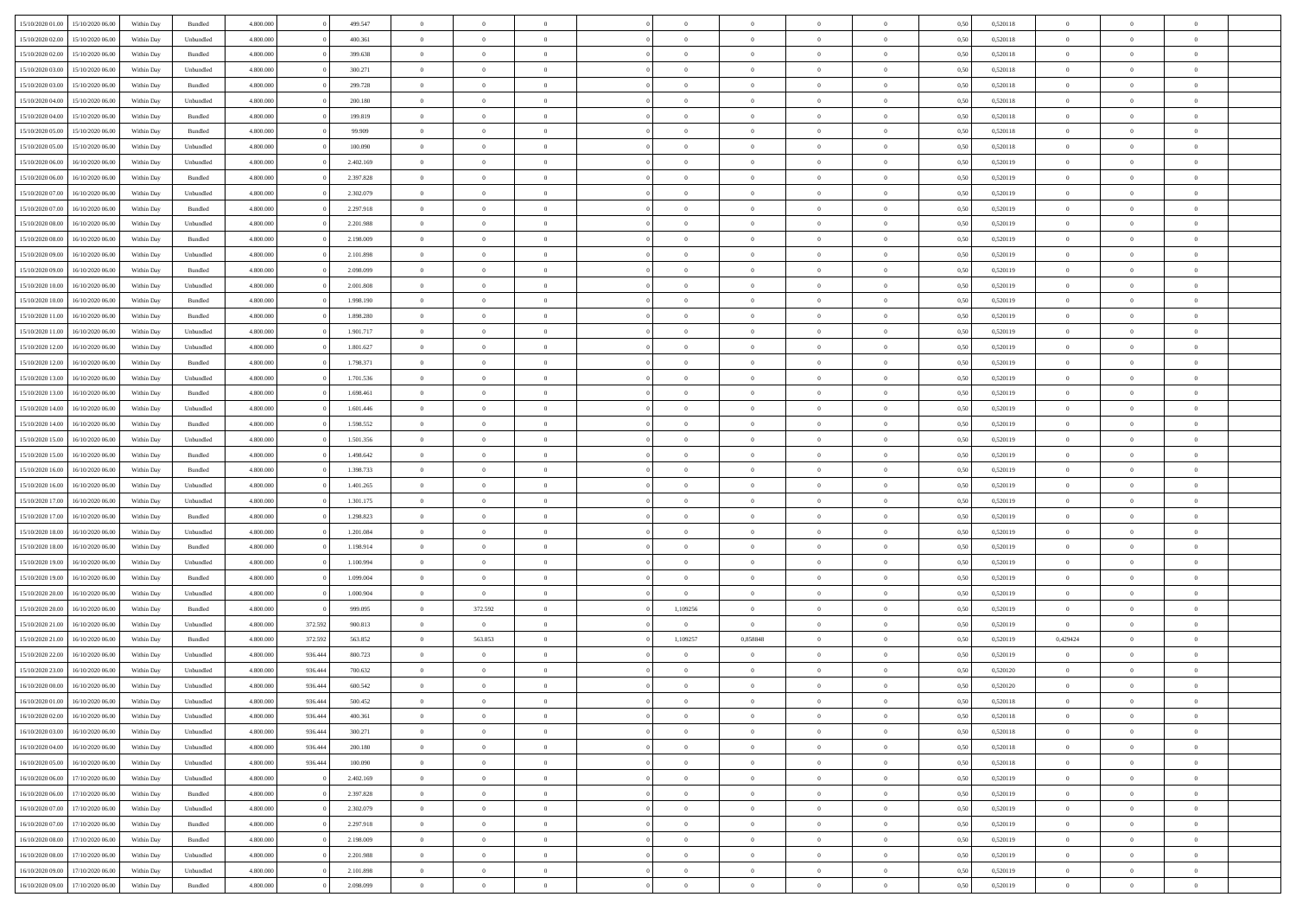| 15/10/2020 01:00 | 15/10/2020 06:00 | Within Dav | Bundled   | 4.800.000 |         | 499.547   | $\overline{0}$ | $\Omega$       |                | $\Omega$       | $\Omega$       | $\Omega$       | $\theta$       | 0.50 | 0,520118 | $\theta$       | $\theta$       | $\theta$       |  |
|------------------|------------------|------------|-----------|-----------|---------|-----------|----------------|----------------|----------------|----------------|----------------|----------------|----------------|------|----------|----------------|----------------|----------------|--|
| 15/10/2020 02.00 | 15/10/2020 06.00 | Within Day | Unbundled | 4.800.000 |         | 400.361   | $\overline{0}$ | $\theta$       | $\overline{0}$ | $\overline{0}$ | $\bf{0}$       | $\overline{0}$ | $\overline{0}$ | 0,50 | 0,520118 | $\theta$       | $\theta$       | $\overline{0}$ |  |
| 15/10/2020 02:00 | 15/10/2020 06:00 | Within Day | Bundled   | 4.800.000 |         | 399.638   | $\overline{0}$ | $\overline{0}$ | $\overline{0}$ | $\bf{0}$       | $\bf{0}$       | $\bf{0}$       | $\bf{0}$       | 0,50 | 0,520118 | $\bf{0}$       | $\overline{0}$ | $\overline{0}$ |  |
| 15/10/2020 03:00 | 15/10/2020 06:00 | Within Dav | Unbundled | 4.800.000 |         | 300.271   | $\overline{0}$ | $\theta$       | $\overline{0}$ | $\overline{0}$ | $\bf{0}$       | $\overline{0}$ | $\overline{0}$ | 0.50 | 0.520118 | $\theta$       | $\theta$       | $\overline{0}$ |  |
|                  |                  |            |           |           |         |           |                |                |                |                |                |                |                |      |          |                |                |                |  |
| 15/10/2020 03:00 | 15/10/2020 06.00 | Within Day | Bundled   | 4.800.000 |         | 299.728   | $\overline{0}$ | $\theta$       | $\overline{0}$ | $\overline{0}$ | $\bf{0}$       | $\overline{0}$ | $\bf{0}$       | 0,50 | 0,520118 | $\theta$       | $\theta$       | $\overline{0}$ |  |
| 15/10/2020 04:00 | 15/10/2020 06.00 | Within Day | Unbundled | 4.800.000 |         | 200.180   | $\overline{0}$ | $\bf{0}$       | $\overline{0}$ | $\overline{0}$ | $\overline{0}$ | $\overline{0}$ | $\mathbf{0}$   | 0,50 | 0,520118 | $\bf{0}$       | $\overline{0}$ | $\bf{0}$       |  |
| 15/10/2020 04:00 | 15/10/2020 06:00 | Within Dav | Bundled   | 4.800.000 |         | 199.819   | $\overline{0}$ | $\overline{0}$ | $\overline{0}$ | $\overline{0}$ | $\overline{0}$ | $\overline{0}$ | $\overline{0}$ | 0.50 | 0,520118 | $\theta$       | $\overline{0}$ | $\overline{0}$ |  |
| 15/10/2020 05:00 | 15/10/2020 06.00 | Within Day | Bundled   | 4.800.000 |         | 99.909    | $\overline{0}$ | $\theta$       | $\overline{0}$ | $\overline{0}$ | $\bf{0}$       | $\overline{0}$ | $\bf{0}$       | 0,50 | 0,520118 | $\theta$       | $\theta$       | $\overline{0}$ |  |
| 15/10/2020 05:00 | 15/10/2020 06.00 | Within Day | Unbundled | 4.800.000 |         | 100.090   | $\overline{0}$ | $\overline{0}$ | $\overline{0}$ | $\overline{0}$ | $\bf{0}$       | $\overline{0}$ | $\bf{0}$       | 0,50 | 0,520118 | $\,0\,$        | $\overline{0}$ | $\overline{0}$ |  |
| 15/10/2020 06:00 | 16/10/2020 06:00 | Within Dav | Unbundled | 4.800.000 |         | 2.402.169 | $\overline{0}$ | $\overline{0}$ | $\overline{0}$ | $\overline{0}$ | $\overline{0}$ | $\overline{0}$ | $\overline{0}$ | 0.50 | 0,520119 | $\theta$       | $\overline{0}$ | $\overline{0}$ |  |
|                  |                  |            |           |           |         |           |                |                |                |                |                |                |                |      |          |                |                |                |  |
| 15/10/2020 06.00 | 16/10/2020 06.00 | Within Day | Bundled   | 4.800.000 |         | 2.397.828 | $\overline{0}$ | $\theta$       | $\overline{0}$ | $\overline{0}$ | $\bf{0}$       | $\overline{0}$ | $\bf{0}$       | 0,50 | 0,520119 | $\,$ 0 $\,$    | $\theta$       | $\overline{0}$ |  |
| 15/10/2020 07.00 | 16/10/2020 06.00 | Within Day | Unbundled | 4.800.000 |         | 2.302.079 | $\overline{0}$ | $\overline{0}$ | $\overline{0}$ | $\overline{0}$ | $\bf{0}$       | $\overline{0}$ | $\bf{0}$       | 0,50 | 0,520119 | $\bf{0}$       | $\overline{0}$ | $\overline{0}$ |  |
| 15/10/2020 07:00 | 16/10/2020 06:00 | Within Day | Bundled   | 4.800.000 |         | 2.297.918 | $\overline{0}$ | $\overline{0}$ | $\overline{0}$ | $\overline{0}$ | $\bf{0}$       | $\overline{0}$ | $\overline{0}$ | 0.50 | 0.520119 | $\theta$       | $\theta$       | $\overline{0}$ |  |
| 15/10/2020 08:00 | 16/10/2020 06.00 | Within Day | Unbundled | 4.800.000 |         | 2.201.988 | $\overline{0}$ | $\theta$       | $\overline{0}$ | $\overline{0}$ | $\bf{0}$       | $\overline{0}$ | $\overline{0}$ | 0,50 | 0,520119 | $\theta$       | $\theta$       | $\overline{0}$ |  |
| 15/10/2020 08:00 | 16/10/2020 06.00 | Within Day | Bundled   | 4.800.000 |         | 2.198.009 | $\overline{0}$ | $\overline{0}$ | $\overline{0}$ | $\overline{0}$ | $\overline{0}$ | $\overline{0}$ | $\mathbf{0}$   | 0,50 | 0,520119 | $\bf{0}$       | $\overline{0}$ | $\bf{0}$       |  |
| 15/10/2020 09:00 | 16/10/2020 06:00 | Within Dav | Unbundled | 4.800.000 |         | 2.101.898 | $\overline{0}$ | $\overline{0}$ | $\overline{0}$ | $\overline{0}$ | $\overline{0}$ | $\overline{0}$ | $\overline{0}$ | 0.50 | 0,520119 | $\theta$       | $\overline{0}$ | $\overline{0}$ |  |
|                  |                  |            |           |           |         |           |                |                |                |                |                |                |                |      |          |                |                |                |  |
| 15/10/2020 09:00 | 16/10/2020 06.00 | Within Day | Bundled   | 4.800.000 |         | 2.098.099 | $\overline{0}$ | $\theta$       | $\overline{0}$ | $\overline{0}$ | $\bf{0}$       | $\overline{0}$ | $\bf{0}$       | 0,50 | 0,520119 | $\theta$       | $\theta$       | $\overline{0}$ |  |
| 15/10/2020 10:00 | 16/10/2020 06.00 | Within Day | Unbundled | 4.800.000 |         | 2.001.808 | $\overline{0}$ | $\overline{0}$ | $\overline{0}$ | $\overline{0}$ | $\bf{0}$       | $\overline{0}$ | $\bf{0}$       | 0,50 | 0,520119 | $\,0\,$        | $\overline{0}$ | $\overline{0}$ |  |
| 15/10/2020 10:00 | 16/10/2020 06:00 | Within Dav | Bundled   | 4.800.000 |         | 1.998.190 | $\overline{0}$ | $\overline{0}$ | $\overline{0}$ | $\overline{0}$ | $\overline{0}$ | $\overline{0}$ | $\overline{0}$ | 0.50 | 0,520119 | $\theta$       | $\overline{0}$ | $\overline{0}$ |  |
| 15/10/2020 11:00 | 16/10/2020 06.00 | Within Day | Bundled   | 4.800.000 |         | 1.898.280 | $\overline{0}$ | $\theta$       | $\overline{0}$ | $\overline{0}$ | $\bf{0}$       | $\overline{0}$ | $\bf{0}$       | 0,50 | 0,520119 | $\theta$       | $\theta$       | $\overline{0}$ |  |
| 15/10/2020 11:00 | 16/10/2020 06.00 | Within Day | Unbundled | 4.800.000 |         | 1.901.717 | $\overline{0}$ | $\overline{0}$ | $\overline{0}$ | $\bf{0}$       | $\bf{0}$       | $\overline{0}$ | $\bf{0}$       | 0,50 | 0,520119 | $\,0\,$        | $\overline{0}$ | $\overline{0}$ |  |
| 15/10/2020 12:00 | 16/10/2020 06:00 | Within Day | Unbundled | 4.800.000 |         | 1.801.627 | $\overline{0}$ | $\overline{0}$ | $\overline{0}$ | $\overline{0}$ | $\bf{0}$       | $\overline{0}$ | $\overline{0}$ | 0.50 | 0.520119 | $\theta$       | $\theta$       | $\overline{0}$ |  |
|                  |                  |            |           |           |         |           |                |                |                |                |                |                |                |      |          |                |                |                |  |
| 15/10/2020 12:00 | 16/10/2020 06.00 | Within Day | Bundled   | 4.800.000 |         | 1.798.371 | $\overline{0}$ | $\theta$       | $\overline{0}$ | $\overline{0}$ | $\bf{0}$       | $\overline{0}$ | $\bf{0}$       | 0,50 | 0,520119 | $\theta$       | $\overline{0}$ | $\overline{0}$ |  |
| 15/10/2020 13:00 | 16/10/2020 06.00 | Within Day | Unbundled | 4.800.000 |         | 1.701.536 | $\overline{0}$ | $\bf{0}$       | $\overline{0}$ | $\overline{0}$ | $\overline{0}$ | $\overline{0}$ | $\mathbf{0}$   | 0,50 | 0,520119 | $\bf{0}$       | $\overline{0}$ | $\bf{0}$       |  |
| 15/10/2020 13:00 | 16/10/2020 06:00 | Within Dav | Bundled   | 4.800.000 |         | 1.698.461 | $\overline{0}$ | $\overline{0}$ | $\overline{0}$ | $\overline{0}$ | $\overline{0}$ | $\overline{0}$ | $\overline{0}$ | 0.50 | 0,520119 | $\theta$       | $\theta$       | $\overline{0}$ |  |
| 15/10/2020 14:00 | 16/10/2020 06.00 | Within Day | Unbundled | 4.800.000 |         | 1.601.446 | $\overline{0}$ | $\theta$       | $\overline{0}$ | $\overline{0}$ | $\bf{0}$       | $\overline{0}$ | $\bf{0}$       | 0,50 | 0,520119 | $\theta$       | $\theta$       | $\overline{0}$ |  |
| 15/10/2020 14:00 | 16/10/2020 06.00 | Within Day | Bundled   | 4.800.000 |         | 1.598.552 | $\overline{0}$ | $\overline{0}$ | $\overline{0}$ | $\overline{0}$ | $\bf{0}$       | $\overline{0}$ | $\bf{0}$       | 0,50 | 0,520119 | $\,0\,$        | $\overline{0}$ | $\overline{0}$ |  |
| 15/10/2020 15:00 | 16/10/2020 06:00 | Within Day | Unbundled | 4.800.000 |         | 1.501.356 | $\overline{0}$ | $\overline{0}$ | $\overline{0}$ | $\overline{0}$ | $\overline{0}$ | $\overline{0}$ | $\overline{0}$ | 0.50 | 0,520119 | $\theta$       | $\overline{0}$ | $\overline{0}$ |  |
|                  |                  |            |           |           |         |           |                |                |                |                |                |                |                |      |          |                |                |                |  |
| 15/10/2020 15:00 | 16/10/2020 06.00 | Within Day | Bundled   | 4.800.000 |         | 1.498.642 | $\overline{0}$ | $\theta$       | $\overline{0}$ | $\overline{0}$ | $\bf{0}$       | $\overline{0}$ | $\bf{0}$       | 0,50 | 0,520119 | $\,$ 0 $\,$    | $\theta$       | $\overline{0}$ |  |
| 15/10/2020 16.00 | 16/10/2020 06.00 | Within Day | Bundled   | 4.800.000 |         | 1.398.733 | $\overline{0}$ | $\overline{0}$ | $\overline{0}$ | $\bf{0}$       | $\bf{0}$       | $\bf{0}$       | $\bf{0}$       | 0,50 | 0,520119 | $\bf{0}$       | $\overline{0}$ | $\overline{0}$ |  |
| 15/10/2020 16:00 | 16/10/2020 06.00 | Within Day | Unbundled | 4.800,000 |         | 1.401.265 | $\overline{0}$ | $\Omega$       | $\Omega$       | $\Omega$       | $\Omega$       | $\Omega$       | $\overline{0}$ | 0,50 | 0,520119 | $\,0\,$        | $\theta$       | $\theta$       |  |
| 15/10/2020 17:00 | 16/10/2020 06.00 | Within Day | Unbundled | 4.800.000 |         | 1.301.175 | $\overline{0}$ | $\theta$       | $\overline{0}$ | $\overline{0}$ | $\bf{0}$       | $\overline{0}$ | $\bf{0}$       | 0,50 | 0,520119 | $\theta$       | $\theta$       | $\overline{0}$ |  |
| 15/10/2020 17:00 | 16/10/2020 06.00 | Within Day | Bundled   | 4.800.000 |         | 1.298.823 | $\overline{0}$ | $\bf{0}$       | $\overline{0}$ | $\bf{0}$       | $\bf{0}$       | $\overline{0}$ | $\mathbf{0}$   | 0,50 | 0,520119 | $\overline{0}$ | $\overline{0}$ | $\bf{0}$       |  |
| 15/10/2020 18:00 | 16/10/2020 06:00 | Within Day | Unbundled | 4.800,000 |         | 1.201.084 | $\overline{0}$ | $\Omega$       | $\Omega$       | $\Omega$       | $\bf{0}$       | $\Omega$       | $\overline{0}$ | 0.50 | 0,520119 | $\,0\,$        | $\theta$       | $\theta$       |  |
|                  |                  |            |           |           |         |           |                |                |                |                |                |                |                |      |          |                |                |                |  |
| 15/10/2020 18:00 | 16/10/2020 06.00 | Within Day | Bundled   | 4.800.000 |         | 1.198.914 | $\overline{0}$ | $\theta$       | $\overline{0}$ | $\overline{0}$ | $\bf{0}$       | $\overline{0}$ | $\bf{0}$       | 0,50 | 0,520119 | $\,$ 0 $\,$    | $\theta$       | $\overline{0}$ |  |
| 15/10/2020 19:00 | 16/10/2020 06.00 | Within Day | Unbundled | 4.800.000 |         | 1.100.994 | $\overline{0}$ | $\overline{0}$ | $\overline{0}$ | $\bf{0}$       | $\bf{0}$       | $\bf{0}$       | $\bf{0}$       | 0,50 | 0,520119 | $\,0\,$        | $\overline{0}$ | $\overline{0}$ |  |
| 15/10/2020 19:00 | 16/10/2020 06:00 | Within Day | Bundled   | 4.800,000 |         | 1.099.004 | $\overline{0}$ | $\Omega$       | $\Omega$       | $\Omega$       | $\Omega$       | $\theta$       | $\overline{0}$ | 0.50 | 0,520119 | $\theta$       | $\theta$       | $\theta$       |  |
| 15/10/2020 20:00 | 16/10/2020 06.00 | Within Day | Unbundled | 4.800.000 |         | 1.000.904 | $\overline{0}$ | $\,$ 0         | $\overline{0}$ | $\overline{0}$ | $\bf{0}$       | $\overline{0}$ | $\bf{0}$       | 0,50 | 0,520119 | $\,$ 0 $\,$    | $\overline{0}$ | $\overline{0}$ |  |
| 15/10/2020 20.00 | 16/10/2020 06.00 | Within Day | Bundled   | 4.800.000 |         | 999.095   | $\overline{0}$ | 372.592        | $\overline{0}$ | 1,109256       | $\bf{0}$       | $\bf{0}$       | $\bf{0}$       | 0,50 | 0,520119 | $\overline{0}$ | $\overline{0}$ | $\overline{0}$ |  |
| 15/10/2020 21.00 | 16/10/2020 06.00 | Within Day | Unbundled | 4.800.000 | 372.592 | 900.813   | $\overline{0}$ | $\Omega$       | $\Omega$       | $\Omega$       | $\Omega$       | $\overline{0}$ | $\overline{0}$ | 0,50 | 0,520119 | $\bf{0}$       | $\theta$       | $\theta$       |  |
| 15/10/2020 21.00 | 16/10/2020 06.00 | Within Day | Bundled   | 4.800.000 | 372.592 | 563.852   | $\overline{0}$ | 563.853        | $\overline{0}$ | 1,109257       | 0,858848       | $\overline{0}$ | $\bf{0}$       | 0,50 | 0,520119 | 0,429424       | $\overline{0}$ | $\overline{0}$ |  |
|                  |                  |            |           |           |         |           |                |                |                |                |                |                |                |      |          |                |                |                |  |
| 15/10/2020 22.00 | 16/10/2020 06.00 | Within Day | Unbundled | 4.800.000 | 936.444 | 800.723   | $\overline{0}$ | $\overline{0}$ | $\overline{0}$ | $\bf{0}$       | $\overline{0}$ | $\bf{0}$       | $\mathbf{0}$   | 0,50 | 0,520119 | $\overline{0}$ | $\overline{0}$ | $\bf{0}$       |  |
| 15/10/2020 23.00 | 16/10/2020 06:00 | Within Day | Unbundled | 4.800,000 | 936.444 | 700.632   | $\overline{0}$ | $\Omega$       | $\Omega$       | $\Omega$       | $\Omega$       | $\Omega$       | $\overline{0}$ | 0.50 | 0,520120 | $\theta$       | $\theta$       | $\theta$       |  |
| 16/10/2020 00:00 | 16/10/2020 06:00 | Within Day | Unbundled | 4.800.000 | 936.444 | 600.542   | $\overline{0}$ | $\overline{0}$ | $\overline{0}$ | $\bf{0}$       | $\,$ 0         | $\bf{0}$       | $\bf{0}$       | 0,50 | 0,520120 | $\,0\,$        | $\overline{0}$ | $\overline{0}$ |  |
| 16/10/2020 01:00 | 16/10/2020 06.00 | Within Day | Unbundled | 4.800.000 | 936.444 | 500.452   | $\bf{0}$       | $\bf{0}$       |                |                |                |                |                | 0,50 | 0,520118 | $\bf{0}$       | $\bf{0}$       |                |  |
| 16/10/2020 02.00 | 16/10/2020 06:00 | Within Day | Unbundled | 4.800.000 | 936.444 | 400,361   | $\overline{0}$ | $\overline{0}$ | $\overline{0}$ | $\Omega$       | $\theta$       | $\overline{0}$ | $\overline{0}$ | 0,50 | 0,520118 | $\theta$       | $\theta$       | $\theta$       |  |
| 16/10/2020 03:00 | 16/10/2020 06.00 | Within Day | Unbundled | 4.800.000 | 936.444 | 300.271   | $\overline{0}$ | $\,$ 0         | $\overline{0}$ | $\bf{0}$       | $\,$ 0 $\,$    | $\overline{0}$ | $\mathbf{0}$   | 0,50 | 0,520118 | $\,$ 0 $\,$    | $\,$ 0 $\,$    | $\,$ 0         |  |
|                  |                  |            |           |           |         |           |                |                |                |                |                |                |                |      |          |                |                |                |  |
| 16/10/2020 04:00 | 16/10/2020 06:00 | Within Day | Unbundled | 4.800.000 | 936.444 | 200.180   | $\overline{0}$ | $\overline{0}$ | $\overline{0}$ | $\overline{0}$ | $\overline{0}$ | $\overline{0}$ | $\mathbf{0}$   | 0,50 | 0,520118 | $\overline{0}$ | $\bf{0}$       | $\bf{0}$       |  |
| 16/10/2020 05:00 | 16/10/2020 06:00 | Within Day | Unbundled | 4.800.000 | 936.444 | 100,090   | $\overline{0}$ | $\overline{0}$ | $\overline{0}$ | $\Omega$       | $\overline{0}$ | $\overline{0}$ | $\bf{0}$       | 0,50 | 0,520118 | $\overline{0}$ | $\theta$       | $\overline{0}$ |  |
| 16/10/2020 06:00 | 17/10/2020 06.00 | Within Day | Unbundled | 4.800.000 |         | 2.402.169 | $\overline{0}$ | $\,$ 0         | $\overline{0}$ | $\overline{0}$ | $\,$ 0 $\,$    | $\overline{0}$ | $\bf{0}$       | 0,50 | 0,520119 | $\,$ 0 $\,$    | $\overline{0}$ | $\overline{0}$ |  |
| 16/10/2020 06.00 | 17/10/2020 06.00 | Within Day | Bundled   | 4.800.000 |         | 2.397.828 | $\overline{0}$ | $\overline{0}$ | $\overline{0}$ | $\overline{0}$ | $\overline{0}$ | $\overline{0}$ | $\mathbf{0}$   | 0,50 | 0,520119 | $\overline{0}$ | $\overline{0}$ | $\bf{0}$       |  |
| 16/10/2020 07.00 | 17/10/2020 06.00 | Within Day | Unbundled | 4.800,000 |         | 2.302.079 | $\overline{0}$ | $\overline{0}$ | $\overline{0}$ | $\Omega$       | $\overline{0}$ | $\overline{0}$ | $\bf{0}$       | 0.50 | 0,520119 | $\overline{0}$ | $\theta$       | $\overline{0}$ |  |
| 16/10/2020 07:00 | 17/10/2020 06.00 | Within Day | Bundled   | 4.800.000 |         | 2.297.918 | $\overline{0}$ | $\,$ 0         | $\overline{0}$ | $\bf{0}$       | $\bf{0}$       | $\bf{0}$       | $\bf{0}$       | 0,50 | 0,520119 | $\,$ 0 $\,$    | $\overline{0}$ | $\overline{0}$ |  |
| 16/10/2020 08:00 | 17/10/2020 06.00 | Within Day | Bundled   | 4.800.000 |         | 2.198.009 | $\overline{0}$ | $\bf{0}$       | $\overline{0}$ | $\overline{0}$ | $\overline{0}$ | $\bf{0}$       | $\mathbf{0}$   | 0,50 | 0,520119 | $\overline{0}$ | $\overline{0}$ | $\bf{0}$       |  |
|                  |                  |            |           |           |         |           |                |                |                |                |                |                |                |      |          |                |                |                |  |
| 16/10/2020 08:00 | 17/10/2020 06.00 | Within Day | Unbundled | 4.800,000 |         | 2.201.988 | $\overline{0}$ | $\overline{0}$ | $\overline{0}$ | $\Omega$       | $\overline{0}$ | $\overline{0}$ | $\bf{0}$       | 0.50 | 0,520119 | $\overline{0}$ | $\theta$       | $\overline{0}$ |  |
| 16/10/2020 09:00 | 17/10/2020 06.00 | Within Day | Unbundled | 4.800.000 |         | 2.101.898 | $\overline{0}$ | $\bf{0}$       | $\overline{0}$ | $\overline{0}$ | $\bf{0}$       | $\bf{0}$       | $\mathbf{0}$   | 0,50 | 0,520119 | $\,$ 0 $\,$    | $\,$ 0 $\,$    | $\bf{0}$       |  |
| 16/10/2020 09:00 | 17/10/2020 06.00 | Within Day | Bundled   | 4.800.000 |         | 2.098.099 | $\overline{0}$ | $\overline{0}$ | $\overline{0}$ | $\overline{0}$ | $\bf{0}$       | $\bf{0}$       | $\mathbf{0}$   | 0,50 | 0,520119 | $\overline{0}$ | $\bf{0}$       | $\bf{0}$       |  |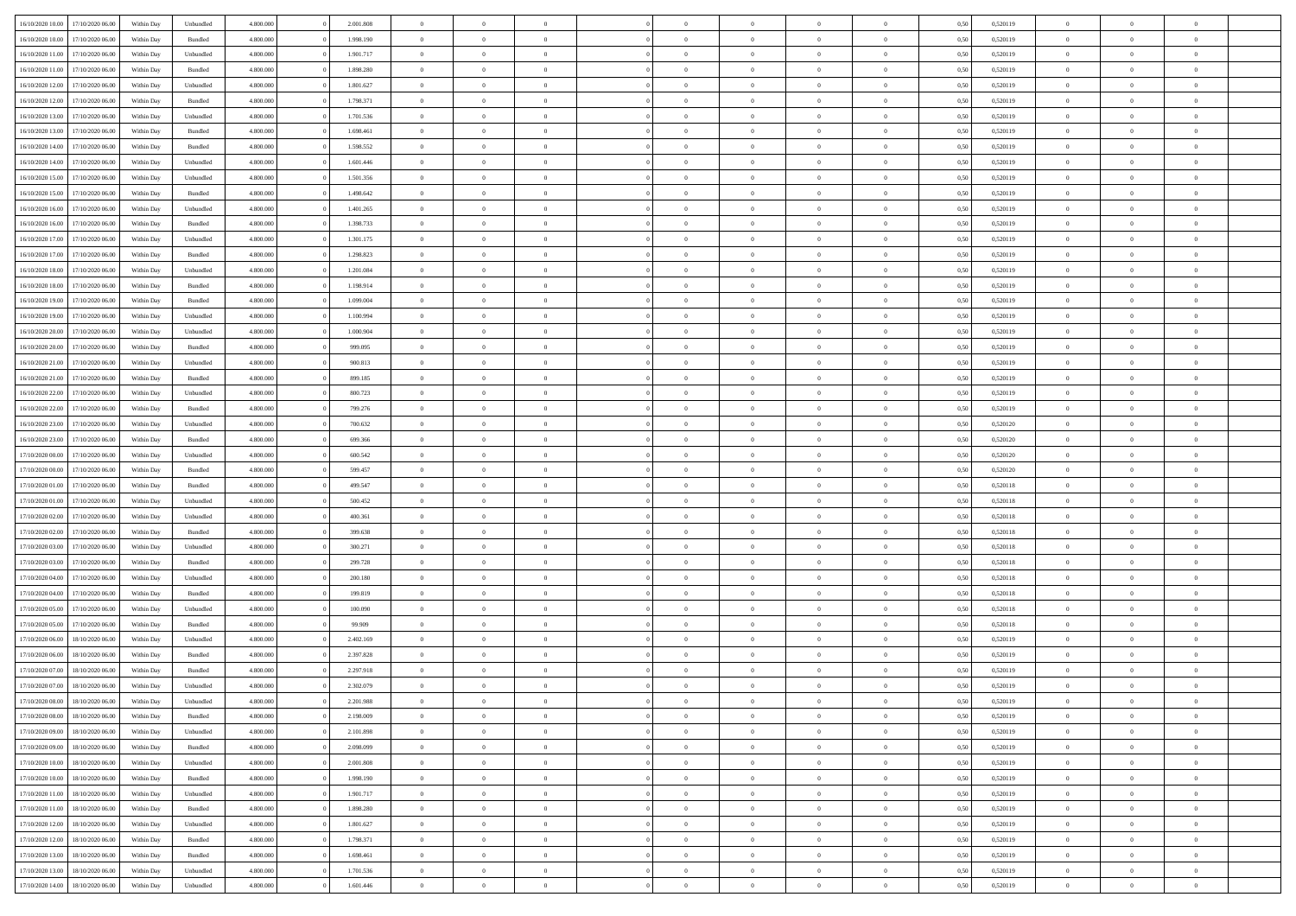| 16/10/2020 10:00 | 17/10/2020 06.00 | Within Dav | Unbundled | 4.800.000 | 2.001.808 | $\overline{0}$ | $\Omega$       |                | $\Omega$       | $\Omega$       | $\Omega$       | $\theta$       | 0.50 | 0,520119 | $\theta$       | $\theta$       | $\theta$       |  |
|------------------|------------------|------------|-----------|-----------|-----------|----------------|----------------|----------------|----------------|----------------|----------------|----------------|------|----------|----------------|----------------|----------------|--|
| 16/10/2020 10:00 | 17/10/2020 06.00 | Within Day | Bundled   | 4.800.000 | 1.998.190 | $\overline{0}$ | $\theta$       | $\overline{0}$ | $\overline{0}$ | $\bf{0}$       | $\overline{0}$ | $\overline{0}$ | 0,50 | 0,520119 | $\theta$       | $\overline{0}$ | $\overline{0}$ |  |
| 16/10/2020 11:00 | 17/10/2020 06.00 | Within Day | Unbundled | 4.800.000 | 1.901.717 | $\overline{0}$ | $\overline{0}$ | $\overline{0}$ | $\bf{0}$       | $\bf{0}$       | $\bf{0}$       | $\bf{0}$       | 0,50 | 0,520119 | $\overline{0}$ | $\overline{0}$ | $\overline{0}$ |  |
|                  |                  |            |           |           |           |                |                |                |                |                |                |                |      |          | $\theta$       |                |                |  |
| 16/10/2020 11:00 | 17/10/2020 06:00 | Within Dav | Bundled   | 4.800.000 | 1.898.280 | $\overline{0}$ | $\overline{0}$ | $\overline{0}$ | $\overline{0}$ | $\bf{0}$       | $\overline{0}$ | $\overline{0}$ | 0.50 | 0.520119 |                | $\theta$       | $\overline{0}$ |  |
| 16/10/2020 12:00 | 17/10/2020 06.00 | Within Day | Unbundled | 4.800.000 | 1.801.627 | $\overline{0}$ | $\theta$       | $\overline{0}$ | $\overline{0}$ | $\bf{0}$       | $\overline{0}$ | $\bf{0}$       | 0,50 | 0,520119 | $\theta$       | $\theta$       | $\overline{0}$ |  |
| 16/10/2020 12:00 | 17/10/2020 06.00 | Within Day | Bundled   | 4.800.000 | 1.798.371 | $\overline{0}$ | $\bf{0}$       | $\overline{0}$ | $\bf{0}$       | $\overline{0}$ | $\overline{0}$ | $\mathbf{0}$   | 0,50 | 0,520119 | $\overline{0}$ | $\overline{0}$ | $\bf{0}$       |  |
| 16/10/2020 13:00 | 17/10/2020 06.00 | Within Dav | Unbundled | 4.800.000 | 1.701.536 | $\overline{0}$ | $\overline{0}$ | $\overline{0}$ | $\overline{0}$ | $\overline{0}$ | $\overline{0}$ | $\overline{0}$ | 0.50 | 0,520119 | $\theta$       | $\overline{0}$ | $\overline{0}$ |  |
|                  |                  |            |           |           |           |                |                |                |                |                |                |                |      |          |                |                |                |  |
| 16/10/2020 13:00 | 17/10/2020 06.00 | Within Day | Bundled   | 4.800.000 | 1.698.461 | $\overline{0}$ | $\theta$       | $\overline{0}$ | $\overline{0}$ | $\bf{0}$       | $\overline{0}$ | $\bf{0}$       | 0,50 | 0,520119 | $\theta$       | $\theta$       | $\overline{0}$ |  |
| 16/10/2020 14:00 | 17/10/2020 06.00 | Within Day | Bundled   | 4.800.000 | 1.598.552 | $\overline{0}$ | $\overline{0}$ | $\overline{0}$ | $\bf{0}$       | $\bf{0}$       | $\bf{0}$       | $\bf{0}$       | 0,50 | 0,520119 | $\,0\,$        | $\overline{0}$ | $\overline{0}$ |  |
| 16/10/2020 14:00 | 17/10/2020 06.00 | Within Dav | Unbundled | 4.800.000 | 1.601.446 | $\overline{0}$ | $\overline{0}$ | $\overline{0}$ | $\overline{0}$ | $\overline{0}$ | $\overline{0}$ | $\overline{0}$ | 0.50 | 0,520119 | $\theta$       | $\overline{0}$ | $\overline{0}$ |  |
| 16/10/2020 15:00 | 17/10/2020 06.00 | Within Day |           | 4.800.000 | 1.501.356 | $\overline{0}$ | $\theta$       | $\overline{0}$ | $\overline{0}$ | $\bf{0}$       | $\overline{0}$ |                |      | 0,520119 | $\,$ 0 $\,$    | $\theta$       | $\overline{0}$ |  |
|                  |                  |            | Unbundled |           |           |                |                |                |                |                |                | $\bf{0}$       | 0,50 |          |                |                |                |  |
| 16/10/2020 15:00 | 17/10/2020 06.00 | Within Day | Bundled   | 4.800.000 | 1.498.642 | $\overline{0}$ | $\overline{0}$ | $\overline{0}$ | $\bf{0}$       | $\bf{0}$       | $\bf{0}$       | $\bf{0}$       | 0,50 | 0,520119 | $\overline{0}$ | $\overline{0}$ | $\overline{0}$ |  |
| 16/10/2020 16:00 | 17/10/2020 06:00 | Within Day | Unbundled | 4.800.000 | 1.401.265 | $\overline{0}$ | $\overline{0}$ | $\overline{0}$ | $\overline{0}$ | $\bf{0}$       | $\overline{0}$ | $\overline{0}$ | 0.50 | 0.520119 | $\theta$       | $\theta$       | $\overline{0}$ |  |
| 16/10/2020 16:00 | 17/10/2020 06.00 | Within Day | Bundled   | 4.800.000 | 1.398.733 | $\overline{0}$ | $\theta$       | $\overline{0}$ | $\overline{0}$ | $\bf{0}$       | $\overline{0}$ | $\overline{0}$ | 0,50 | 0,520119 | $\theta$       | $\theta$       | $\overline{0}$ |  |
|                  |                  |            |           |           |           |                |                |                |                |                |                |                |      |          |                |                |                |  |
| 16/10/2020 17:00 | 17/10/2020 06.00 | Within Day | Unbundled | 4.800.000 | 1.301.175 | $\overline{0}$ | $\bf{0}$       | $\overline{0}$ | $\bf{0}$       | $\overline{0}$ | $\overline{0}$ | $\mathbf{0}$   | 0,50 | 0,520119 | $\overline{0}$ | $\overline{0}$ | $\bf{0}$       |  |
| 16/10/2020 17:00 | 17/10/2020 06.00 | Within Dav | Bundled   | 4.800.000 | 1.298.823 | $\overline{0}$ | $\overline{0}$ | $\overline{0}$ | $\overline{0}$ | $\overline{0}$ | $\overline{0}$ | $\overline{0}$ | 0.50 | 0,520119 | $\theta$       | $\overline{0}$ | $\overline{0}$ |  |
| 16/10/2020 18:00 | 17/10/2020 06.00 | Within Day | Unbundled | 4.800.000 | 1.201.084 | $\overline{0}$ | $\theta$       | $\overline{0}$ | $\overline{0}$ | $\bf{0}$       | $\overline{0}$ | $\bf{0}$       | 0,50 | 0,520119 | $\theta$       | $\theta$       | $\overline{0}$ |  |
| 16/10/2020 18:00 | 17/10/2020 06.00 | Within Day | Bundled   | 4.800.000 | 1.198.914 | $\overline{0}$ | $\overline{0}$ | $\overline{0}$ | $\bf{0}$       | $\bf{0}$       | $\bf{0}$       | $\bf{0}$       | 0,50 | 0,520119 | $\,0\,$        | $\overline{0}$ | $\overline{0}$ |  |
|                  |                  |            |           |           |           |                |                |                |                |                |                |                |      |          |                |                |                |  |
| 16/10/2020 19:00 | 17/10/2020 06:00 | Within Day | Bundled   | 4.800.000 | 1.099.004 | $\overline{0}$ | $\overline{0}$ | $\overline{0}$ | $\overline{0}$ | $\overline{0}$ | $\overline{0}$ | $\overline{0}$ | 0.50 | 0,520119 | $\theta$       | $\overline{0}$ | $\overline{0}$ |  |
| 16/10/2020 19:00 | 17/10/2020 06.00 | Within Day | Unbundled | 4.800.000 | 1.100.994 | $\overline{0}$ | $\theta$       | $\overline{0}$ | $\overline{0}$ | $\bf{0}$       | $\overline{0}$ | $\bf{0}$       | 0,50 | 0,520119 | $\,$ 0 $\,$    | $\theta$       | $\overline{0}$ |  |
| 16/10/2020 20.00 | 17/10/2020 06.00 | Within Day | Unbundled | 4.800.000 | 1.000.904 | $\overline{0}$ | $\overline{0}$ | $\overline{0}$ | $\bf{0}$       | $\bf{0}$       | $\bf{0}$       | $\bf{0}$       | 0,50 | 0,520119 | $\bf{0}$       | $\overline{0}$ | $\overline{0}$ |  |
| 16/10/2020 20:00 | 17/10/2020 06:00 | Within Day | Bundled   | 4.800.000 | 999,095   | $\overline{0}$ | $\overline{0}$ | $\overline{0}$ | $\overline{0}$ | $\bf{0}$       | $\overline{0}$ | $\overline{0}$ | 0.50 | 0.520119 | $\theta$       | $\theta$       | $\overline{0}$ |  |
|                  |                  |            |           |           |           |                |                |                |                |                |                |                |      |          |                |                |                |  |
| 16/10/2020 21.00 | 17/10/2020 06.00 | Within Day | Unbundled | 4.800.000 | 900.813   | $\overline{0}$ | $\theta$       | $\overline{0}$ | $\overline{0}$ | $\bf{0}$       | $\overline{0}$ | $\bf{0}$       | 0,50 | 0,520119 | $\,$ 0 $\,$    | $\overline{0}$ | $\overline{0}$ |  |
| 16/10/2020 21.00 | 17/10/2020 06.00 | Within Day | Bundled   | 4.800.000 | 899.185   | $\overline{0}$ | $\bf{0}$       | $\overline{0}$ | $\bf{0}$       | $\overline{0}$ | $\overline{0}$ | $\mathbf{0}$   | 0,50 | 0,520119 | $\overline{0}$ | $\overline{0}$ | $\bf{0}$       |  |
| 16/10/2020 22.00 | 17/10/2020 06.00 | Within Dav | Unbundled | 4.800.000 | 800.723   | $\overline{0}$ | $\overline{0}$ | $\overline{0}$ | $\overline{0}$ | $\overline{0}$ | $\overline{0}$ | $\overline{0}$ | 0.50 | 0,520119 | $\theta$       | $\overline{0}$ | $\overline{0}$ |  |
| 16/10/2020 22.00 | 17/10/2020 06.00 | Within Day | Bundled   | 4.800.000 | 799.276   | $\overline{0}$ | $\theta$       | $\overline{0}$ | $\overline{0}$ | $\bf{0}$       | $\overline{0}$ | $\bf{0}$       | 0,50 | 0,520119 | $\theta$       | $\theta$       | $\overline{0}$ |  |
|                  |                  |            |           |           |           |                |                |                |                |                |                |                |      |          |                |                |                |  |
| 16/10/2020 23:00 | 17/10/2020 06.00 | Within Day | Unbundled | 4.800.000 | 700.632   | $\overline{0}$ | $\overline{0}$ | $\overline{0}$ | $\bf{0}$       | $\bf{0}$       | $\bf{0}$       | $\bf{0}$       | 0,50 | 0,520120 | $\,0\,$        | $\overline{0}$ | $\overline{0}$ |  |
| 16/10/2020 23:00 | 17/10/2020 06:00 | Within Day | Bundled   | 4.800.000 | 699.366   | $\overline{0}$ | $\overline{0}$ | $\overline{0}$ | $\overline{0}$ | $\overline{0}$ | $\overline{0}$ | $\overline{0}$ | 0.50 | 0,520120 | $\theta$       | $\overline{0}$ | $\overline{0}$ |  |
| 17/10/2020 00:00 | 17/10/2020 06.00 | Within Day | Unbundled | 4.800.000 | 600.542   | $\overline{0}$ | $\theta$       | $\overline{0}$ | $\overline{0}$ | $\bf{0}$       | $\overline{0}$ | $\bf{0}$       | 0,50 | 0,520120 | $\,$ 0 $\,$    | $\overline{0}$ | $\overline{0}$ |  |
| 17/10/2020 00.00 | 17/10/2020 06.00 | Within Day | Bundled   | 4.800.000 | 599.457   | $\overline{0}$ | $\overline{0}$ | $\overline{0}$ | $\bf{0}$       | $\bf{0}$       | $\overline{0}$ | $\bf{0}$       | 0,50 | 0,520120 | $\overline{0}$ | $\overline{0}$ | $\overline{0}$ |  |
|                  |                  |            |           |           |           |                |                |                |                |                |                |                |      |          |                |                |                |  |
| 17/10/2020 01:00 | 17/10/2020 06.00 | Within Day | Bundled   | 4.800,000 | 499,547   | $\overline{0}$ | $\Omega$       | $\Omega$       | $\Omega$       | $\Omega$       | $\Omega$       | $\overline{0}$ | 0,50 | 0,520118 | $\,0\,$        | $\theta$       | $\theta$       |  |
| 17/10/2020 01:00 | 17/10/2020 06.00 | Within Day | Unbundled | 4.800.000 | 500.452   | $\overline{0}$ | $\theta$       | $\overline{0}$ | $\overline{0}$ | $\bf{0}$       | $\overline{0}$ | $\bf{0}$       | 0,50 | 0,520118 | $\,$ 0 $\,$    | $\theta$       | $\overline{0}$ |  |
| 17/10/2020 02.00 | 17/10/2020 06.00 | Within Day | Unbundled | 4.800.000 | 400.361   | $\overline{0}$ | $\overline{0}$ | $\overline{0}$ | $\overline{0}$ | $\bf{0}$       | $\overline{0}$ | $\mathbf{0}$   | 0,50 | 0,520118 | $\overline{0}$ | $\overline{0}$ | $\bf{0}$       |  |
| 17/10/2020 02.00 | 17/10/2020 06.00 | Within Day | Bundled   | 4.800,000 | 399,638   | $\overline{0}$ | $\Omega$       | $\Omega$       | $\Omega$       | $\bf{0}$       | $\overline{0}$ | $\overline{0}$ | 0.50 | 0,520118 | $\,0\,$        | $\theta$       | $\theta$       |  |
|                  |                  |            |           |           |           |                |                |                |                |                |                |                |      |          |                |                |                |  |
| 17/10/2020 03:00 | 17/10/2020 06.00 | Within Day | Unbundled | 4.800.000 | 300.271   | $\overline{0}$ | $\theta$       | $\overline{0}$ | $\overline{0}$ | $\bf{0}$       | $\overline{0}$ | $\bf{0}$       | 0,50 | 0,520118 | $\,$ 0 $\,$    | $\theta$       | $\overline{0}$ |  |
| 17/10/2020 03:00 | 17/10/2020 06.00 | Within Day | Bundled   | 4.800.000 | 299.728   | $\overline{0}$ | $\overline{0}$ | $\overline{0}$ | $\overline{0}$ | $\bf{0}$       | $\overline{0}$ | $\bf{0}$       | 0,50 | 0,520118 | $\,0\,$        | $\overline{0}$ | $\overline{0}$ |  |
| 17/10/2020 04:00 | 17/10/2020 06:00 | Within Day | Unbundled | 4.800,000 | 200.180   | $\overline{0}$ | $\Omega$       | $\Omega$       | $\Omega$       | $\Omega$       | $\theta$       | $\overline{0}$ | 0.50 | 0,520118 | $\theta$       | $\theta$       | $\theta$       |  |
| 17/10/2020 04:00 | 17/10/2020 06.00 | Within Day | Bundled   | 4.800.000 | 199.819   | $\overline{0}$ | $\theta$       | $\overline{0}$ | $\overline{0}$ | $\bf{0}$       | $\overline{0}$ | $\bf{0}$       | 0,50 | 0,520118 | $\,$ 0 $\,$    | $\overline{0}$ | $\overline{0}$ |  |
|                  |                  |            |           |           |           |                |                |                |                |                |                |                |      |          |                |                |                |  |
| 17/10/2020 05.00 | 17/10/2020 06.00 | Within Day | Unbundled | 4.800.000 | 100.090   | $\overline{0}$ | $\overline{0}$ | $\overline{0}$ | $\overline{0}$ | $\bf{0}$       | $\overline{0}$ | $\bf{0}$       | 0,50 | 0,520118 | $\overline{0}$ | $\overline{0}$ | $\overline{0}$ |  |
| 17/10/2020 05:00 | 17/10/2020 06.00 | Within Day | Bundled   | 4.800,000 | 99.909    | $\overline{0}$ | $\Omega$       | $\Omega$       | $\Omega$       | $\Omega$       | $\overline{0}$ | $\overline{0}$ | 0.50 | 0,520118 | $\,0\,$        | $\theta$       | $\theta$       |  |
| 17/10/2020 06.00 | 18/10/2020 06:00 | Within Day | Unbundled | 4.800.000 | 2.402.169 | $\overline{0}$ | $\theta$       | $\overline{0}$ | $\overline{0}$ | $\bf{0}$       | $\overline{0}$ | $\bf{0}$       | 0,50 | 0,520119 | $\,$ 0 $\,$    | $\overline{0}$ | $\overline{0}$ |  |
| 17/10/2020 06:00 | 18/10/2020 06:00 | Within Day | Bundled   | 4.800.000 | 2.397.828 | $\overline{0}$ | $\overline{0}$ | $\overline{0}$ | $\overline{0}$ | $\bf{0}$       | $\overline{0}$ | $\mathbf{0}$   | 0,50 | 0,520119 | $\overline{0}$ | $\overline{0}$ | $\bf{0}$       |  |
|                  |                  |            |           |           |           |                |                |                |                |                |                |                |      |          |                |                |                |  |
| 17/10/2020 07.00 | 18/10/2020 06:00 | Within Day | Bundled   | 4.800,000 | 2.297.918 | $\overline{0}$ | $\Omega$       | $\Omega$       | $\Omega$       | $\Omega$       | $\Omega$       | $\overline{0}$ | 0.50 | 0.520119 | $\theta$       | $\theta$       | $\theta$       |  |
| 17/10/2020 07.00 | 18/10/2020 06:00 | Within Day | Unbundled | 4.800.000 | 2.302.079 | $\overline{0}$ | $\,$ 0 $\,$    | $\overline{0}$ | $\bf{0}$       | $\,$ 0         | $\overline{0}$ | $\bf{0}$       | 0,50 | 0,520119 | $\,0\,$        | $\overline{0}$ | $\overline{0}$ |  |
| 17/10/2020 08:00 | 18/10/2020 06:00 | Within Day | Unbundled | 4.800.000 | 2.201.988 | $\bf{0}$       | $\bf{0}$       |                |                |                |                |                | 0,50 | 0,520119 | $\bf{0}$       | $\overline{0}$ |                |  |
| 17/10/2020 08:00 | 18/10/2020 06:00 | Within Day | Bundled   | 4.800.000 | 2.198.009 | $\overline{0}$ | $\overline{0}$ | $\overline{0}$ | $\Omega$       | $\theta$       | $\overline{0}$ | $\overline{0}$ | 0,50 | 0,520119 | $\theta$       | $\theta$       | $\theta$       |  |
|                  |                  |            |           |           |           |                |                |                |                |                |                |                |      |          |                |                |                |  |
| 17/10/2020 09:00 | 18/10/2020 06.00 | Within Day | Unbundled | 4.800.000 | 2.101.898 | $\overline{0}$ | $\,$ 0         | $\overline{0}$ | $\overline{0}$ | $\,$ 0 $\,$    | $\overline{0}$ | $\mathbf{0}$   | 0,50 | 0,520119 | $\,$ 0 $\,$    | $\,$ 0 $\,$    | $\,$ 0         |  |
| 17/10/2020 09:00 | 18/10/2020 06:00 | Within Day | Bundled   | 4.800.000 | 2.098.099 | $\overline{0}$ | $\overline{0}$ | $\overline{0}$ | $\overline{0}$ | $\overline{0}$ | $\overline{0}$ | $\mathbf{0}$   | 0,50 | 0,520119 | $\overline{0}$ | $\bf{0}$       | $\bf{0}$       |  |
| 17/10/2020 10:00 | 18/10/2020 06:00 | Within Day | Unbundled | 4.800,000 | 2.001.808 | $\overline{0}$ | $\overline{0}$ | $\overline{0}$ | $\Omega$       | $\overline{0}$ | $\overline{0}$ | $\bf{0}$       | 0,50 | 0,520119 | $\overline{0}$ | $\theta$       | $\overline{0}$ |  |
| 17/10/2020 10:00 | 18/10/2020 06.00 | Within Day | Bundled   | 4.800.000 | 1.998.190 | $\overline{0}$ | $\,$ 0         | $\overline{0}$ | $\overline{0}$ | $\,$ 0 $\,$    | $\overline{0}$ | $\mathbf{0}$   | 0,50 | 0,520119 | $\,$ 0 $\,$    | $\overline{0}$ | $\overline{0}$ |  |
|                  |                  |            |           |           |           |                |                |                |                |                |                |                |      |          |                |                |                |  |
| 17/10/2020 11:00 | 18/10/2020 06:00 | Within Day | Unbundled | 4.800.000 | 1.901.717 | $\overline{0}$ | $\overline{0}$ | $\overline{0}$ | $\overline{0}$ | $\overline{0}$ | $\overline{0}$ | $\mathbf{0}$   | 0,50 | 0,520119 | $\overline{0}$ | $\overline{0}$ | $\bf{0}$       |  |
| 17/10/2020 11:00 | 18/10/2020 06:00 | Within Day | Bundled   | 4.800.000 | 1.898.280 | $\overline{0}$ | $\overline{0}$ | $\overline{0}$ | $\Omega$       | $\overline{0}$ | $\overline{0}$ | $\bf{0}$       | 0.50 | 0,520119 | $\overline{0}$ | $\theta$       | $\overline{0}$ |  |
| 17/10/2020 12:00 | 18/10/2020 06.00 | Within Day | Unbundled | 4.800.000 | 1.801.627 | $\overline{0}$ | $\,$ 0         | $\overline{0}$ | $\bf{0}$       | $\bf{0}$       | $\bf{0}$       | $\bf{0}$       | 0,50 | 0,520119 | $\,$ 0 $\,$    | $\overline{0}$ | $\overline{0}$ |  |
| 17/10/2020 12:00 | 18/10/2020 06:00 | Within Day | Bundled   | 4.800.000 | 1.798.371 | $\overline{0}$ | $\bf{0}$       | $\overline{0}$ | $\overline{0}$ | $\overline{0}$ | $\overline{0}$ | $\mathbf{0}$   | 0,50 | 0,520119 | $\overline{0}$ | $\overline{0}$ | $\bf{0}$       |  |
|                  |                  |            |           |           |           |                |                |                |                |                |                |                |      |          |                |                |                |  |
| 17/10/2020 13:00 | 18/10/2020 06:00 | Within Day | Bundled   | 4.800,000 | 1.698.461 | $\overline{0}$ | $\overline{0}$ | $\overline{0}$ | $\Omega$       | $\overline{0}$ | $\overline{0}$ | $\bf{0}$       | 0.50 | 0,520119 | $\overline{0}$ | $\theta$       | $\overline{0}$ |  |
| 17/10/2020 13:00 | 18/10/2020 06.00 | Within Day | Unbundled | 4.800.000 | 1.701.536 | $\overline{0}$ | $\bf{0}$       | $\overline{0}$ | $\bf{0}$       | $\bf{0}$       | $\bf{0}$       | $\mathbf{0}$   | 0,50 | 0,520119 | $\,$ 0 $\,$    | $\,$ 0 $\,$    | $\bf{0}$       |  |
| 17/10/2020 14:00 | 18/10/2020 06.00 | Within Day | Unbundled | 4.800.000 | 1.601.446 | $\overline{0}$ | $\overline{0}$ | $\overline{0}$ | $\overline{0}$ | $\bf{0}$       | $\bf{0}$       | $\mathbf{0}$   | 0,50 | 0,520119 | $\overline{0}$ | $\bf{0}$       | $\bf{0}$       |  |
|                  |                  |            |           |           |           |                |                |                |                |                |                |                |      |          |                |                |                |  |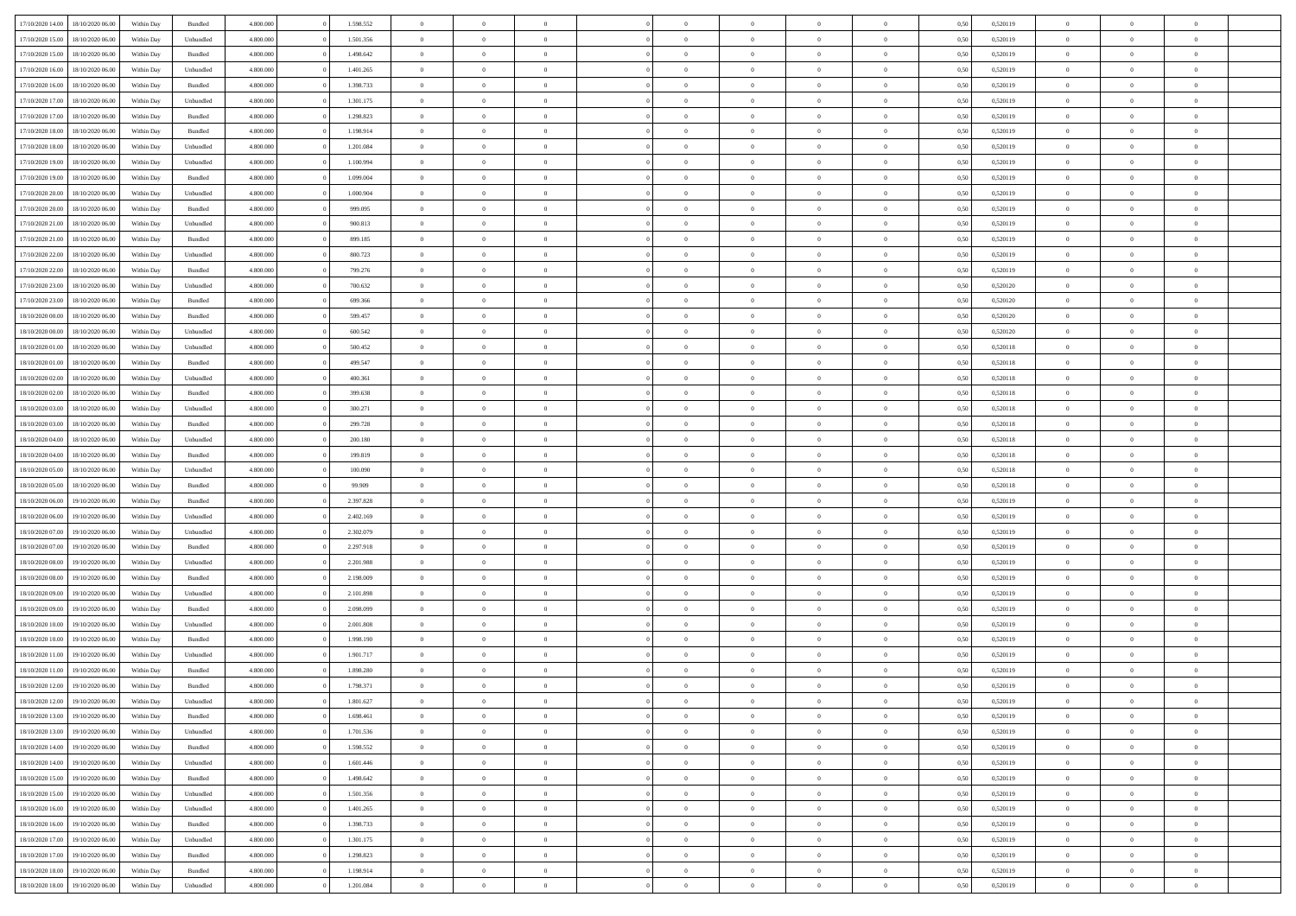| 17/10/2020 14:00 | 18/10/2020 06:00 | Within Dav | Bundled   | 4.800.000 | 1.598.552 | $\overline{0}$ | $\Omega$       |                | $\Omega$       | $\Omega$       | $\Omega$       | $\theta$       | 0.50 | 0,520119 | $\theta$       | $\theta$       | $\theta$       |  |
|------------------|------------------|------------|-----------|-----------|-----------|----------------|----------------|----------------|----------------|----------------|----------------|----------------|------|----------|----------------|----------------|----------------|--|
|                  |                  |            |           |           |           |                |                |                |                |                |                |                |      |          |                |                |                |  |
| 17/10/2020 15:00 | 18/10/2020 06:00 | Within Day | Unbundled | 4.800.000 | 1.501.356 | $\overline{0}$ | $\theta$       | $\overline{0}$ | $\overline{0}$ | $\bf{0}$       | $\overline{0}$ | $\bf{0}$       | 0,50 | 0,520119 | $\theta$       | $\theta$       | $\overline{0}$ |  |
| 17/10/2020 15.00 | 18/10/2020 06:00 | Within Day | Bundled   | 4.800.000 | 1.498.642 | $\overline{0}$ | $\overline{0}$ | $\overline{0}$ | $\bf{0}$       | $\bf{0}$       | $\bf{0}$       | $\bf{0}$       | 0,50 | 0,520119 | $\overline{0}$ | $\overline{0}$ | $\overline{0}$ |  |
| 17/10/2020 16:00 | 18/10/2020 06:00 | Within Dav | Unbundled | 4.800.000 | 1.401.265 | $\overline{0}$ | $\overline{0}$ | $\overline{0}$ | $\overline{0}$ | $\bf{0}$       | $\overline{0}$ | $\overline{0}$ | 0.50 | 0.520119 | $\theta$       | $\theta$       | $\overline{0}$ |  |
|                  |                  |            |           |           |           |                |                |                |                |                |                |                |      |          |                |                |                |  |
| 17/10/2020 16:00 | 18/10/2020 06:00 | Within Day | Bundled   | 4.800.000 | 1.398.733 | $\overline{0}$ | $\theta$       | $\overline{0}$ | $\overline{0}$ | $\bf{0}$       | $\overline{0}$ | $\bf{0}$       | 0,50 | 0,520119 | $\theta$       | $\theta$       | $\overline{0}$ |  |
| 17/10/2020 17.00 | 18/10/2020 06:00 | Within Day | Unbundled | 4.800.000 | 1.301.175 | $\overline{0}$ | $\bf{0}$       | $\overline{0}$ | $\bf{0}$       | $\overline{0}$ | $\overline{0}$ | $\mathbf{0}$   | 0,50 | 0,520119 | $\overline{0}$ | $\overline{0}$ | $\bf{0}$       |  |
| 17/10/2020 17:00 | 18/10/2020 06:00 | Within Dav | Bundled   | 4.800.000 | 1.298.823 | $\overline{0}$ | $\overline{0}$ | $\overline{0}$ | $\overline{0}$ | $\overline{0}$ | $\overline{0}$ | $\overline{0}$ | 0.50 | 0,520119 | $\theta$       | $\overline{0}$ | $\overline{0}$ |  |
| 17/10/2020 18:00 | 18/10/2020 06:00 | Within Day | Bundled   | 4.800.000 | 1.198.914 | $\overline{0}$ | $\theta$       | $\overline{0}$ | $\overline{0}$ | $\bf{0}$       | $\overline{0}$ | $\bf{0}$       | 0,50 | 0,520119 | $\theta$       | $\theta$       | $\overline{0}$ |  |
| 17/10/2020 18:00 | 18/10/2020 06:00 | Within Day | Unbundled | 4.800.000 | 1.201.084 | $\overline{0}$ | $\overline{0}$ | $\overline{0}$ | $\bf{0}$       | $\bf{0}$       | $\bf{0}$       | $\bf{0}$       | 0,50 | 0,520119 | $\,0\,$        | $\overline{0}$ | $\overline{0}$ |  |
|                  |                  |            |           |           |           |                |                |                |                |                |                |                |      |          |                |                |                |  |
| 17/10/2020 19:00 | 18/10/2020 06:00 | Within Dav | Unbundled | 4.800.000 | 1.100.994 | $\overline{0}$ | $\overline{0}$ | $\overline{0}$ | $\overline{0}$ | $\overline{0}$ | $\overline{0}$ | $\overline{0}$ | 0.50 | 0,520119 | $\theta$       | $\overline{0}$ | $\overline{0}$ |  |
| 17/10/2020 19:00 | 18/10/2020 06:00 | Within Day | Bundled   | 4.800.000 | 1.099.004 | $\overline{0}$ | $\theta$       | $\overline{0}$ | $\overline{0}$ | $\bf{0}$       | $\overline{0}$ | $\bf{0}$       | 0,50 | 0,520119 | $\,$ 0 $\,$    | $\theta$       | $\overline{0}$ |  |
| 17/10/2020 20.00 | 18/10/2020 06:00 | Within Day | Unbundled | 4.800.000 | 1.000.904 | $\overline{0}$ | $\overline{0}$ | $\overline{0}$ | $\bf{0}$       | $\bf{0}$       | $\bf{0}$       | $\bf{0}$       | 0,50 | 0,520119 | $\overline{0}$ | $\overline{0}$ | $\overline{0}$ |  |
| 17/10/2020 20:00 | 18/10/2020 06:00 | Within Day | Bundled   | 4.800.000 | 999,095   | $\overline{0}$ | $\overline{0}$ | $\overline{0}$ | $\overline{0}$ | $\bf{0}$       | $\overline{0}$ | $\overline{0}$ | 0.50 | 0.520119 | $\theta$       | $\theta$       | $\overline{0}$ |  |
| 17/10/2020 21.00 | 18/10/2020 06:00 | Within Day | Unbundled | 4.800.000 | 900.813   | $\overline{0}$ | $\theta$       | $\overline{0}$ | $\overline{0}$ | $\bf{0}$       | $\overline{0}$ | $\bf{0}$       | 0,50 | 0,520119 | $\theta$       | $\theta$       | $\overline{0}$ |  |
|                  |                  |            |           |           |           |                |                |                |                |                |                |                |      |          |                |                |                |  |
| 17/10/2020 21:00 | 18/10/2020 06:00 | Within Day | Bundled   | 4.800.000 | 899.185   | $\overline{0}$ | $\bf{0}$       | $\overline{0}$ | $\bf{0}$       | $\overline{0}$ | $\overline{0}$ | $\mathbf{0}$   | 0,50 | 0,520119 | $\overline{0}$ | $\overline{0}$ | $\bf{0}$       |  |
| 17/10/2020 22.00 | 18/10/2020 06:00 | Within Dav | Unbundled | 4.800.000 | 800.723   | $\overline{0}$ | $\overline{0}$ | $\overline{0}$ | $\overline{0}$ | $\overline{0}$ | $\overline{0}$ | $\overline{0}$ | 0.50 | 0,520119 | $\theta$       | $\overline{0}$ | $\overline{0}$ |  |
| 17/10/2020 22.00 | 18/10/2020 06:00 | Within Day | Bundled   | 4.800.000 | 799.276   | $\overline{0}$ | $\theta$       | $\overline{0}$ | $\overline{0}$ | $\bf{0}$       | $\overline{0}$ | $\bf{0}$       | 0,50 | 0,520119 | $\,$ 0 $\,$    | $\theta$       | $\overline{0}$ |  |
| 17/10/2020 23.00 | 18/10/2020 06:00 | Within Day | Unbundled | 4.800.000 | 700.632   | $\overline{0}$ | $\overline{0}$ | $\overline{0}$ | $\overline{0}$ | $\bf{0}$       | $\overline{0}$ | $\bf{0}$       | 0,50 | 0,520120 | $\,0\,$        | $\overline{0}$ | $\overline{0}$ |  |
| 17/10/2020 23.00 | 18/10/2020 06:00 | Within Dav | Bundled   | 4.800.000 | 699.366   | $\overline{0}$ | $\overline{0}$ | $\overline{0}$ | $\overline{0}$ | $\overline{0}$ | $\overline{0}$ | $\overline{0}$ | 0.50 | 0,520120 | $\theta$       | $\overline{0}$ | $\overline{0}$ |  |
|                  |                  |            |           |           |           |                |                |                |                |                |                |                |      |          |                |                |                |  |
| 18/10/2020 00:00 | 18/10/2020 06:00 | Within Day | Bundled   | 4.800.000 | 599.457   | $\overline{0}$ | $\theta$       | $\overline{0}$ | $\overline{0}$ | $\bf{0}$       | $\overline{0}$ | $\bf{0}$       | 0,50 | 0,520120 | $\,$ 0 $\,$    | $\theta$       | $\overline{0}$ |  |
| 18/10/2020 00:00 | 18/10/2020 06:00 | Within Day | Unbundled | 4.800.000 | 600.542   | $\overline{0}$ | $\overline{0}$ | $\overline{0}$ | $\overline{0}$ | $\bf{0}$       | $\overline{0}$ | $\bf{0}$       | 0,50 | 0,520120 | $\,0\,$        | $\overline{0}$ | $\overline{0}$ |  |
| 18/10/2020 01:00 | 18/10/2020 06:00 | Within Day | Unbundled | 4.800.000 | 500,452   | $\overline{0}$ | $\overline{0}$ | $\overline{0}$ | $\overline{0}$ | $\bf{0}$       | $\overline{0}$ | $\overline{0}$ | 0.50 | 0.520118 | $\theta$       | $\theta$       | $\overline{0}$ |  |
| 18/10/2020 01:00 | 18/10/2020 06:00 | Within Day | Bundled   | 4.800.000 | 499.547   | $\overline{0}$ | $\theta$       | $\overline{0}$ | $\overline{0}$ | $\bf{0}$       | $\overline{0}$ | $\bf{0}$       | 0,50 | 0,520118 | $\,$ 0 $\,$    | $\overline{0}$ | $\overline{0}$ |  |
|                  |                  |            |           |           |           |                |                |                |                |                |                |                |      |          |                |                |                |  |
| 18/10/2020 02.00 | 18/10/2020 06:00 | Within Day | Unbundled | 4.800.000 | 400.361   | $\overline{0}$ | $\bf{0}$       | $\overline{0}$ | $\overline{0}$ | $\overline{0}$ | $\overline{0}$ | $\mathbf{0}$   | 0,50 | 0,520118 | $\bf{0}$       | $\overline{0}$ | $\bf{0}$       |  |
| 18/10/2020 02:00 | 18/10/2020 06:00 | Within Dav | Bundled   | 4.800.000 | 399.638   | $\overline{0}$ | $\overline{0}$ | $\overline{0}$ | $\overline{0}$ | $\overline{0}$ | $\overline{0}$ | $\overline{0}$ | 0.50 | 0,520118 | $\theta$       | $\overline{0}$ | $\overline{0}$ |  |
| 18/10/2020 03:00 | 18/10/2020 06:00 | Within Day | Unbundled | 4.800.000 | 300.271   | $\overline{0}$ | $\theta$       | $\overline{0}$ | $\overline{0}$ | $\bf{0}$       | $\overline{0}$ | $\bf{0}$       | 0,50 | 0,520118 | $\theta$       | $\theta$       | $\overline{0}$ |  |
| 18/10/2020 03:00 | 18/10/2020 06:00 | Within Day | Bundled   | 4.800.000 | 299.728   | $\overline{0}$ | $\overline{0}$ | $\overline{0}$ | $\overline{0}$ | $\bf{0}$       | $\overline{0}$ | $\bf{0}$       | 0,50 | 0,520118 | $\,0\,$        | $\overline{0}$ | $\overline{0}$ |  |
| 18/10/2020 04:00 | 18/10/2020 06:00 | Within Day | Unbundled | 4.800.000 | 200.180   | $\overline{0}$ | $\overline{0}$ | $\overline{0}$ | $\overline{0}$ | $\overline{0}$ | $\overline{0}$ | $\overline{0}$ | 0.50 | 0,520118 | $\theta$       | $\overline{0}$ | $\overline{0}$ |  |
|                  |                  |            |           |           |           |                |                |                |                |                |                |                |      |          |                |                |                |  |
| 18/10/2020 04:00 | 18/10/2020 06:00 | Within Day | Bundled   | 4.800.000 | 199.819   | $\overline{0}$ | $\theta$       | $\overline{0}$ | $\overline{0}$ | $\bf{0}$       | $\overline{0}$ | $\bf{0}$       | 0,50 | 0,520118 | $\,$ 0 $\,$    | $\overline{0}$ | $\overline{0}$ |  |
| 18/10/2020 05:00 | 18/10/2020 06:00 | Within Day | Unbundled | 4.800.000 | 100.090   | $\overline{0}$ | $\overline{0}$ | $\overline{0}$ | $\overline{0}$ | $\bf{0}$       | $\overline{0}$ | $\bf{0}$       | 0,50 | 0,520118 | $\bf{0}$       | $\overline{0}$ | $\overline{0}$ |  |
| 18/10/2020 05:00 | 18/10/2020 06:00 | Within Day | Bundled   | 4.800,000 | 99.909    | $\overline{0}$ | $\Omega$       | $\Omega$       | $\Omega$       | $\Omega$       | $\Omega$       | $\overline{0}$ | 0,50 | 0,520118 | $\,0\,$        | $\theta$       | $\theta$       |  |
| 18/10/2020 06:00 | 19/10/2020 06.00 | Within Day | Bundled   | 4.800.000 | 2.397.828 | $\overline{0}$ | $\theta$       | $\overline{0}$ | $\overline{0}$ | $\bf{0}$       | $\overline{0}$ | $\bf{0}$       | 0,50 | 0,520119 | $\,$ 0 $\,$    | $\theta$       | $\overline{0}$ |  |
| 18/10/2020 06:00 | 19/10/2020 06.00 | Within Day | Unbundled | 4.800.000 | 2.402.169 | $\overline{0}$ | $\overline{0}$ | $\overline{0}$ | $\overline{0}$ | $\bf{0}$       | $\overline{0}$ | $\mathbf{0}$   | 0,50 | 0,520119 | $\bf{0}$       | $\overline{0}$ | $\bf{0}$       |  |
|                  |                  |            |           |           |           |                |                |                |                |                |                |                |      |          |                |                |                |  |
| 18/10/2020 07:00 | 19/10/2020 06:00 | Within Day | Unbundled | 4.800,000 | 2.302.079 | $\overline{0}$ | $\Omega$       | $\Omega$       | $\Omega$       | $\bf{0}$       | $\overline{0}$ | $\overline{0}$ | 0.50 | 0,520119 | $\,0\,$        | $\theta$       | $\theta$       |  |
| 18/10/2020 07:00 | 19/10/2020 06.00 | Within Day | Bundled   | 4.800.000 | 2.297.918 | $\overline{0}$ | $\theta$       | $\overline{0}$ | $\overline{0}$ | $\bf{0}$       | $\overline{0}$ | $\bf{0}$       | 0,50 | 0,520119 | $\,$ 0 $\,$    | $\theta$       | $\overline{0}$ |  |
| 18/10/2020 08:00 | 19/10/2020 06.00 | Within Day | Unbundled | 4.800.000 | 2.201.988 | $\overline{0}$ | $\overline{0}$ | $\overline{0}$ | $\overline{0}$ | $\bf{0}$       | $\overline{0}$ | $\bf{0}$       | 0,50 | 0,520119 | $\,0\,$        | $\overline{0}$ | $\overline{0}$ |  |
| 18/10/2020 08:00 | 19/10/2020 06:00 | Within Day | Bundled   | 4.800,000 | 2.198.009 | $\overline{0}$ | $\Omega$       | $\Omega$       | $\Omega$       | $\Omega$       | $\theta$       | $\overline{0}$ | 0.50 | 0,520119 | $\theta$       | $\theta$       | $\theta$       |  |
| 18/10/2020 09:00 | 19/10/2020 06.00 | Within Day | Unbundled | 4.800.000 | 2.101.898 | $\overline{0}$ | $\theta$       | $\overline{0}$ | $\overline{0}$ | $\bf{0}$       | $\overline{0}$ | $\bf{0}$       | 0,50 | 0,520119 | $\,$ 0 $\,$    | $\overline{0}$ | $\overline{0}$ |  |
|                  |                  |            |           |           |           |                |                |                |                |                |                |                |      |          |                |                |                |  |
| 18/10/2020 09:00 | 19/10/2020 06.00 | Within Day | Bundled   | 4.800.000 | 2.098.099 | $\overline{0}$ | $\overline{0}$ | $\overline{0}$ | $\overline{0}$ | $\bf{0}$       | $\overline{0}$ | $\bf{0}$       | 0,50 | 0,520119 | $\bf{0}$       | $\overline{0}$ | $\overline{0}$ |  |
| 18/10/2020 10:00 | 19/10/2020 06.00 | Within Day | Unbundled | 4.800,000 | 2.001.808 | $\overline{0}$ | $\Omega$       | $\Omega$       | $\Omega$       | $\Omega$       | $\overline{0}$ | $\overline{0}$ | 0,50 | 0,520119 | $\,0\,$        | $\theta$       | $\theta$       |  |
| 18/10/2020 10:00 | 19/10/2020 06.00 | Within Day | Bundled   | 4.800.000 | 1.998.190 | $\overline{0}$ | $\theta$       | $\overline{0}$ | $\overline{0}$ | $\bf{0}$       | $\overline{0}$ | $\bf{0}$       | 0,50 | 0,520119 | $\,$ 0 $\,$    | $\overline{0}$ | $\overline{0}$ |  |
| 18/10/2020 11:00 | 19/10/2020 06.00 | Within Day | Unbundled | 4.800.000 | 1.901.717 | $\overline{0}$ | $\overline{0}$ | $\overline{0}$ | $\overline{0}$ | $\bf{0}$       | $\overline{0}$ | $\mathbf{0}$   | 0,50 | 0,520119 | $\bf{0}$       | $\overline{0}$ | $\bf{0}$       |  |
| 18/10/2020 11:00 | 19/10/2020 06:00 | Within Day | Bundled   | 4.800,000 | 1.898.280 | $\overline{0}$ | $\Omega$       | $\Omega$       | $\Omega$       | $\Omega$       | $\Omega$       | $\overline{0}$ | 0.50 | 0.520119 | $\theta$       | $\theta$       | $\theta$       |  |
|                  |                  |            |           |           |           |                |                |                |                |                |                |                |      |          |                |                |                |  |
| 18/10/2020 12:00 | 19/10/2020 06:00 | Within Day | Bundled   | 4.800.000 | 1.798.371 | $\overline{0}$ | $\,$ 0 $\,$    | $\overline{0}$ | $\bf{0}$       | $\,$ 0         | $\overline{0}$ | $\bf{0}$       | 0,50 | 0,520119 | $\,0\,$        | $\overline{0}$ | $\overline{0}$ |  |
| 18/10/2020 12:00 | 19/10/2020 06.00 | Within Day | Unbundled | 4.800.000 | 1.801.627 | $\bf{0}$       | $\bf{0}$       |                |                |                |                |                | 0,50 | 0,520119 | $\bf{0}$       | $\overline{0}$ |                |  |
| 18/10/2020 13:00 | 19/10/2020 06:00 | Within Day | Bundled   | 4.800.000 | 1.698.461 | $\overline{0}$ | $\overline{0}$ | $\overline{0}$ | $\Omega$       | $\theta$       | $\overline{0}$ | $\overline{0}$ | 0,50 | 0,520119 | $\theta$       | $\theta$       | $\theta$       |  |
| 18/10/2020 13:00 | 19/10/2020 06.00 | Within Day | Unbundled | 4.800.000 | 1.701.536 | $\overline{0}$ | $\,$ 0         | $\overline{0}$ | $\bf{0}$       | $\,$ 0 $\,$    | $\overline{0}$ | $\mathbf{0}$   | 0,50 | 0,520119 | $\,$ 0 $\,$    | $\,$ 0 $\,$    | $\,$ 0         |  |
| 18/10/2020 14:00 | 19/10/2020 06:00 | Within Day | Bundled   | 4.800.000 | 1.598.552 | $\overline{0}$ | $\overline{0}$ | $\overline{0}$ | $\overline{0}$ | $\overline{0}$ | $\overline{0}$ | $\mathbf{0}$   | 0,50 | 0,520119 | $\overline{0}$ | $\bf{0}$       | $\bf{0}$       |  |
|                  |                  |            |           |           |           |                |                |                |                |                |                |                |      |          |                |                |                |  |
| 18/10/2020 14:00 | 19/10/2020 06:00 | Within Day | Unbundled | 4.800,000 | 1.601.446 | $\overline{0}$ | $\overline{0}$ | $\overline{0}$ | $\Omega$       | $\overline{0}$ | $\overline{0}$ | $\bf{0}$       | 0,50 | 0,520119 | $\overline{0}$ | $\theta$       | $\overline{0}$ |  |
| 18/10/2020 15:00 | 19/10/2020 06.00 | Within Day | Bundled   | 4.800.000 | 1.498.642 | $\overline{0}$ | $\,$ 0         | $\overline{0}$ | $\overline{0}$ | $\,$ 0 $\,$    | $\overline{0}$ | $\bf{0}$       | 0,50 | 0,520119 | $\,$ 0 $\,$    | $\overline{0}$ | $\overline{0}$ |  |
| 18/10/2020 15:00 | 19/10/2020 06:00 | Within Day | Unbundled | 4.800.000 | 1.501.356 | $\overline{0}$ | $\overline{0}$ | $\overline{0}$ | $\overline{0}$ | $\overline{0}$ | $\overline{0}$ | $\mathbf{0}$   | 0,50 | 0,520119 | $\overline{0}$ | $\overline{0}$ | $\bf{0}$       |  |
| 18/10/2020 16:00 | 19/10/2020 06:00 | Within Day | Unbundled | 4.800.000 | 1.401.265 | $\overline{0}$ | $\overline{0}$ | $\overline{0}$ | $\Omega$       | $\overline{0}$ | $\overline{0}$ | $\bf{0}$       | 0.50 | 0,520119 | $\overline{0}$ | $\theta$       | $\overline{0}$ |  |
| 18/10/2020 16:00 | 19/10/2020 06.00 | Within Day | Bundled   | 4.800.000 | 1.398.733 | $\overline{0}$ | $\,$ 0         | $\overline{0}$ | $\bf{0}$       | $\bf{0}$       | $\bf{0}$       | $\bf{0}$       | 0,50 | 0,520119 | $\,$ 0 $\,$    | $\overline{0}$ | $\overline{0}$ |  |
|                  |                  |            |           |           |           |                |                |                |                |                |                |                |      |          |                |                |                |  |
| 18/10/2020 17:00 | 19/10/2020 06:00 | Within Day | Unbundled | 4.800.000 | 1.301.175 | $\overline{0}$ | $\bf{0}$       | $\overline{0}$ | $\overline{0}$ | $\overline{0}$ | $\bf{0}$       | $\mathbf{0}$   | 0,50 | 0,520119 | $\overline{0}$ | $\overline{0}$ | $\bf{0}$       |  |
| 18/10/2020 17:00 | 19/10/2020 06:00 | Within Day | Bundled   | 4.800,000 | 1.298.823 | $\overline{0}$ | $\overline{0}$ | $\overline{0}$ | $\Omega$       | $\overline{0}$ | $\overline{0}$ | $\bf{0}$       | 0.50 | 0,520119 | $\overline{0}$ | $\theta$       | $\overline{0}$ |  |
| 18/10/2020 18:00 | 19/10/2020 06.00 | Within Day | Bundled   | 4.800.000 | 1.198.914 | $\overline{0}$ | $\bf{0}$       | $\overline{0}$ | $\bf{0}$       | $\bf{0}$       | $\bf{0}$       | $\mathbf{0}$   | 0,50 | 0,520119 | $\,$ 0 $\,$    | $\,$ 0 $\,$    | $\bf{0}$       |  |
| 18/10/2020 18:00 | 19/10/2020 06:00 | Within Day | Unbundled | 4.800.000 | 1.201.084 | $\overline{0}$ | $\overline{0}$ | $\overline{0}$ | $\overline{0}$ | $\bf{0}$       | $\bf{0}$       | $\mathbf{0}$   | 0,50 | 0,520119 | $\overline{0}$ | $\bf{0}$       | $\bf{0}$       |  |
|                  |                  |            |           |           |           |                |                |                |                |                |                |                |      |          |                |                |                |  |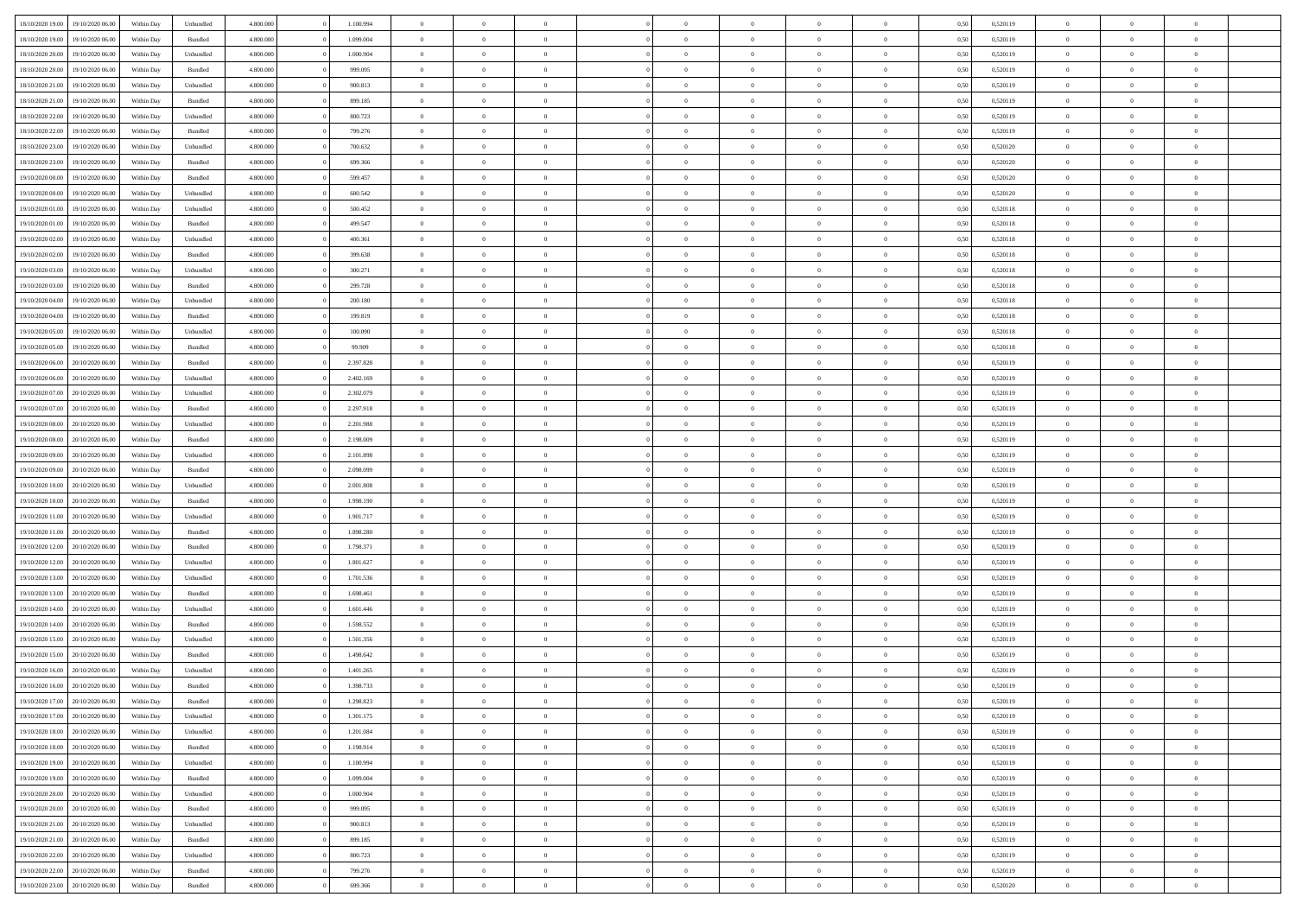| 18/10/2020 19:00 | 19/10/2020 06:00 | Within Dav | Unbundled | 4.800.000 | 1.100.994 | $\overline{0}$ | $\Omega$       |                | $\Omega$       | $\Omega$       | $\Omega$       | $\theta$       | 0.50 | 0,520119 | $\theta$       | $\theta$       | $\theta$       |  |
|------------------|------------------|------------|-----------|-----------|-----------|----------------|----------------|----------------|----------------|----------------|----------------|----------------|------|----------|----------------|----------------|----------------|--|
|                  |                  |            |           |           |           |                |                |                |                |                |                |                |      |          |                |                |                |  |
| 18/10/2020 19:00 | 19/10/2020 06.00 | Within Day | Bundled   | 4.800.000 | 1.099.004 | $\overline{0}$ | $\theta$       | $\overline{0}$ | $\overline{0}$ | $\bf{0}$       | $\overline{0}$ | $\bf{0}$       | 0,50 | 0,520119 | $\theta$       | $\overline{0}$ | $\overline{0}$ |  |
| 18/10/2020 20:00 | 19/10/2020 06.00 | Within Day | Unbundled | 4.800.000 | 1.000.904 | $\overline{0}$ | $\overline{0}$ | $\overline{0}$ | $\bf{0}$       | $\bf{0}$       | $\bf{0}$       | $\bf{0}$       | 0,50 | 0,520119 | $\bf{0}$       | $\overline{0}$ | $\overline{0}$ |  |
| 18/10/2020 20:00 | 19/10/2020 06:00 | Within Dav | Bundled   | 4.800.000 | 999,095   | $\overline{0}$ | $\overline{0}$ | $\overline{0}$ | $\overline{0}$ | $\bf{0}$       | $\overline{0}$ | $\overline{0}$ | 0.50 | 0.520119 | $\theta$       | $\theta$       | $\overline{0}$ |  |
| 18/10/2020 21:00 | 19/10/2020 06.00 | Within Day | Unbundled | 4.800.000 | 900.813   | $\overline{0}$ | $\theta$       | $\overline{0}$ | $\overline{0}$ | $\bf{0}$       | $\overline{0}$ | $\bf{0}$       | 0,50 | 0,520119 | $\theta$       | $\theta$       | $\overline{0}$ |  |
| 18/10/2020 21.00 | 19/10/2020 06.00 | Within Day | Bundled   | 4.800.000 | 899.185   | $\overline{0}$ | $\bf{0}$       | $\overline{0}$ | $\bf{0}$       | $\overline{0}$ | $\overline{0}$ | $\mathbf{0}$   | 0,50 | 0,520119 | $\bf{0}$       | $\overline{0}$ | $\bf{0}$       |  |
| 18/10/2020 22.00 | 19/10/2020 06:00 | Within Dav | Unbundled | 4.800.000 | 800.723   | $\overline{0}$ | $\overline{0}$ | $\overline{0}$ |                | $\overline{0}$ | $\overline{0}$ | $\overline{0}$ | 0.50 | 0,520119 | $\theta$       | $\overline{0}$ | $\overline{0}$ |  |
|                  |                  |            |           |           |           |                |                |                | $\overline{0}$ |                |                |                |      |          |                |                |                |  |
| 18/10/2020 22.00 | 19/10/2020 06.00 | Within Day | Bundled   | 4.800.000 | 799.276   | $\overline{0}$ | $\theta$       | $\overline{0}$ | $\overline{0}$ | $\bf{0}$       | $\overline{0}$ | $\bf{0}$       | 0,50 | 0,520119 | $\theta$       | $\theta$       | $\overline{0}$ |  |
| 18/10/2020 23:00 | 19/10/2020 06.00 | Within Day | Unbundled | 4.800.000 | 700.632   | $\overline{0}$ | $\overline{0}$ | $\overline{0}$ | $\bf{0}$       | $\bf{0}$       | $\bf{0}$       | $\bf{0}$       | 0,50 | 0,520120 | $\,0\,$        | $\overline{0}$ | $\overline{0}$ |  |
| 18/10/2020 23:00 | 19/10/2020 06:00 | Within Dav | Bundled   | 4.800.000 | 699.366   | $\overline{0}$ | $\overline{0}$ | $\overline{0}$ | $\overline{0}$ | $\overline{0}$ | $\overline{0}$ | $\overline{0}$ | 0.50 | 0,520120 | $\theta$       | $\overline{0}$ | $\overline{0}$ |  |
| 19/10/2020 00:00 | 19/10/2020 06.00 | Within Day | Bundled   | 4.800.000 | 599.457   | $\overline{0}$ | $\theta$       | $\overline{0}$ | $\overline{0}$ | $\bf{0}$       | $\overline{0}$ | $\bf{0}$       | 0,50 | 0,520120 | $\,$ 0 $\,$    | $\theta$       | $\overline{0}$ |  |
| 19/10/2020 00.00 | 19/10/2020 06.00 | Within Day | Unbundled | 4.800.000 | 600.542   | $\overline{0}$ | $\overline{0}$ | $\overline{0}$ | $\bf{0}$       | $\bf{0}$       | $\bf{0}$       | $\bf{0}$       | 0,50 | 0,520120 | $\bf{0}$       | $\overline{0}$ | $\overline{0}$ |  |
| 19/10/2020 01:00 | 19/10/2020 06:00 | Within Day | Unbundled | 4.800.000 | 500,452   | $\overline{0}$ | $\overline{0}$ | $\overline{0}$ | $\overline{0}$ | $\bf{0}$       | $\overline{0}$ | $\overline{0}$ | 0.50 | 0.520118 | $\theta$       | $\theta$       | $\overline{0}$ |  |
| 19/10/2020 01:00 | 19/10/2020 06.00 |            |           | 4.800.000 | 499.547   | $\overline{0}$ | $\theta$       | $\overline{0}$ | $\overline{0}$ | $\bf{0}$       | $\overline{0}$ |                |      | 0,520118 | $\theta$       | $\theta$       | $\overline{0}$ |  |
|                  |                  | Within Day | Bundled   |           |           |                |                |                |                |                |                | $\bf{0}$       | 0,50 |          |                |                |                |  |
| 19/10/2020 02.00 | 19/10/2020 06.00 | Within Day | Unbundled | 4.800.000 | 400.361   | $\overline{0}$ | $\bf{0}$       | $\overline{0}$ | $\bf{0}$       | $\overline{0}$ | $\overline{0}$ | $\mathbf{0}$   | 0,50 | 0,520118 | $\bf{0}$       | $\overline{0}$ | $\bf{0}$       |  |
| 19/10/2020 02.00 | 19/10/2020 06:00 | Within Dav | Bundled   | 4.800.000 | 399.638   | $\overline{0}$ | $\overline{0}$ | $\overline{0}$ | $\overline{0}$ | $\overline{0}$ | $\overline{0}$ | $\overline{0}$ | 0.50 | 0,520118 | $\theta$       | $\overline{0}$ | $\overline{0}$ |  |
| 19/10/2020 03:00 | 19/10/2020 06.00 | Within Day | Unbundled | 4.800.000 | 300.271   | $\overline{0}$ | $\theta$       | $\overline{0}$ | $\overline{0}$ | $\bf{0}$       | $\overline{0}$ | $\bf{0}$       | 0,50 | 0,520118 | $\,$ 0 $\,$    | $\theta$       | $\overline{0}$ |  |
| 19/10/2020 03:00 | 19/10/2020 06.00 | Within Day | Bundled   | 4.800.000 | 299.728   | $\overline{0}$ | $\overline{0}$ | $\overline{0}$ | $\bf{0}$       | $\bf{0}$       | $\bf{0}$       | $\bf{0}$       | 0,50 | 0,520118 | $\,0\,$        | $\overline{0}$ | $\overline{0}$ |  |
| 19/10/2020 04:00 | 19/10/2020 06:00 | Within Day | Unbundled | 4.800.000 | 200.180   | $\overline{0}$ | $\overline{0}$ | $\overline{0}$ | $\overline{0}$ | $\overline{0}$ | $\overline{0}$ | $\overline{0}$ | 0.50 | 0,520118 | $\theta$       | $\overline{0}$ | $\overline{0}$ |  |
| 19/10/2020 04:00 | 19/10/2020 06.00 | Within Day | Bundled   | 4.800.000 | 199.819   | $\overline{0}$ | $\theta$       | $\overline{0}$ | $\overline{0}$ | $\bf{0}$       | $\overline{0}$ | $\bf{0}$       | 0,50 | 0,520118 | $\,$ 0 $\,$    | $\theta$       | $\overline{0}$ |  |
|                  |                  |            |           |           |           |                | $\overline{0}$ |                |                | $\bf{0}$       |                |                |      |          | $\bf{0}$       | $\overline{0}$ | $\overline{0}$ |  |
| 19/10/2020 05:00 | 19/10/2020 06.00 | Within Day | Unbundled | 4.800.000 | 100.090   | $\overline{0}$ |                | $\overline{0}$ | $\bf{0}$       |                | $\bf{0}$       | $\bf{0}$       | 0,50 | 0,520118 |                |                |                |  |
| 19/10/2020 05:00 | 19/10/2020 06:00 | Within Day | Bundled   | 4.800.000 | 99.909    | $\overline{0}$ | $\overline{0}$ | $\overline{0}$ | $\overline{0}$ | $\bf{0}$       | $\overline{0}$ | $\overline{0}$ | 0.50 | 0.520118 | $\theta$       | $\theta$       | $\overline{0}$ |  |
| 19/10/2020 06.00 | 20/10/2020 06.00 | Within Day | Bundled   | 4.800.000 | 2.397.828 | $\overline{0}$ | $\theta$       | $\overline{0}$ | $\overline{0}$ | $\bf{0}$       | $\overline{0}$ | $\bf{0}$       | 0,50 | 0,520119 | $\,$ 0 $\,$    | $\overline{0}$ | $\overline{0}$ |  |
| 19/10/2020 06.00 | 20/10/2020 06:00 | Within Day | Unbundled | 4.800.000 | 2.402.169 | $\overline{0}$ | $\bf{0}$       | $\overline{0}$ | $\bf{0}$       | $\overline{0}$ | $\overline{0}$ | $\mathbf{0}$   | 0,50 | 0,520119 | $\bf{0}$       | $\overline{0}$ | $\bf{0}$       |  |
| 19/10/2020 07:00 | 20/10/2020 06:00 | Within Dav | Unbundled | 4.800.000 | 2.302.079 | $\overline{0}$ | $\overline{0}$ | $\overline{0}$ | $\overline{0}$ | $\overline{0}$ | $\overline{0}$ | $\overline{0}$ | 0.50 | 0,520119 | $\theta$       | $\overline{0}$ | $\overline{0}$ |  |
| 19/10/2020 07.00 | 20/10/2020 06.00 | Within Day | Bundled   | 4.800.000 | 2.297.918 | $\overline{0}$ | $\theta$       | $\overline{0}$ | $\overline{0}$ | $\bf{0}$       | $\overline{0}$ | $\bf{0}$       | 0,50 | 0,520119 | $\theta$       | $\theta$       | $\overline{0}$ |  |
| 19/10/2020 08:00 | 20/10/2020 06:00 | Within Day | Unbundled | 4.800.000 | 2.201.988 | $\overline{0}$ | $\overline{0}$ | $\overline{0}$ | $\bf{0}$       | $\bf{0}$       | $\bf{0}$       | $\bf{0}$       | 0,50 | 0,520119 | $\,0\,$        | $\overline{0}$ | $\overline{0}$ |  |
| 19/10/2020 08:00 | 20/10/2020 06:00 | Within Day | Bundled   | 4.800.000 | 2.198.009 | $\overline{0}$ | $\overline{0}$ | $\overline{0}$ | $\overline{0}$ | $\overline{0}$ | $\overline{0}$ | $\overline{0}$ | 0.50 | 0,520119 | $\theta$       | $\overline{0}$ | $\overline{0}$ |  |
|                  |                  |            |           |           |           |                |                |                |                |                |                |                |      |          |                |                |                |  |
| 19/10/2020 09:00 | 20/10/2020 06.00 | Within Day | Unbundled | 4.800.000 | 2.101.898 | $\overline{0}$ | $\theta$       | $\overline{0}$ | $\overline{0}$ | $\bf{0}$       | $\overline{0}$ | $\bf{0}$       | 0,50 | 0,520119 | $\,$ 0 $\,$    | $\overline{0}$ | $\overline{0}$ |  |
| 19/10/2020 09:00 | 20/10/2020 06:00 | Within Day | Bundled   | 4.800.000 | 2.098.099 | $\overline{0}$ | $\overline{0}$ | $\overline{0}$ | $\bf{0}$       | $\bf{0}$       | $\bf{0}$       | $\bf{0}$       | 0,50 | 0,520119 | $\bf{0}$       | $\overline{0}$ | $\overline{0}$ |  |
| 19/10/2020 10:00 | 20/10/2020 06.00 | Within Day | Unbundled | 4.800.000 | 2.001.808 | $\overline{0}$ | $\Omega$       | $\Omega$       | $\Omega$       | $\Omega$       | $\Omega$       | $\overline{0}$ | 0,50 | 0,520119 | $\,0\,$        | $\theta$       | $\theta$       |  |
| 19/10/2020 10:00 | 20/10/2020 06.00 | Within Day | Bundled   | 4.800.000 | 1.998.190 | $\overline{0}$ | $\theta$       | $\overline{0}$ | $\overline{0}$ | $\bf{0}$       | $\overline{0}$ | $\bf{0}$       | 0,50 | 0,520119 | $\,$ 0 $\,$    | $\theta$       | $\overline{0}$ |  |
| 19/10/2020 11:00 | 20/10/2020 06:00 | Within Day | Unbundled | 4.800.000 | 1.901.717 | $\overline{0}$ | $\overline{0}$ | $\overline{0}$ | $\bf{0}$       | $\bf{0}$       | $\overline{0}$ | $\mathbf{0}$   | 0,50 | 0,520119 | $\bf{0}$       | $\overline{0}$ | $\bf{0}$       |  |
| 19/10/2020 11:00 | 20/10/2020 06:00 | Within Day | Bundled   | 4.800,000 | 1.898.280 | $\overline{0}$ | $\Omega$       | $\Omega$       | $\Omega$       | $\bf{0}$       | $\overline{0}$ | $\overline{0}$ | 0.50 | 0,520119 | $\,0\,$        | $\theta$       | $\theta$       |  |
| 19/10/2020 12:00 | 20/10/2020 06.00 | Within Day | Bundled   | 4.800.000 | 1.798.371 | $\overline{0}$ | $\theta$       | $\overline{0}$ | $\overline{0}$ | $\bf{0}$       | $\overline{0}$ | $\bf{0}$       | 0,50 | 0,520119 | $\,$ 0 $\,$    | $\theta$       | $\overline{0}$ |  |
| 19/10/2020 12:00 | 20/10/2020 06:00 | Within Day | Unbundled | 4.800.000 | 1.801.627 | $\overline{0}$ | $\overline{0}$ | $\overline{0}$ | $\bf{0}$       | $\bf{0}$       | $\bf{0}$       | $\bf{0}$       | 0,50 | 0,520119 | $\,0\,$        | $\overline{0}$ | $\overline{0}$ |  |
|                  |                  |            |           |           |           |                |                |                |                |                |                |                |      |          |                |                |                |  |
| 19/10/2020 13:00 | 20/10/2020 06:00 | Within Day | Unbundled | 4.800,000 | 1.701.536 | $\overline{0}$ | $\Omega$       | $\Omega$       | $\Omega$       | $\theta$       | $\theta$       | $\overline{0}$ | 0.50 | 0,520119 | $\theta$       | $\theta$       | $\theta$       |  |
| 19/10/2020 13:00 | 20/10/2020 06.00 | Within Day | Bundled   | 4.800.000 | 1.698.461 | $\overline{0}$ | $\theta$       | $\overline{0}$ | $\overline{0}$ | $\bf{0}$       | $\overline{0}$ | $\bf{0}$       | 0,50 | 0,520119 | $\,$ 0 $\,$    | $\overline{0}$ | $\overline{0}$ |  |
| 19/10/2020 14:00 | 20/10/2020 06:00 | Within Day | Unbundled | 4.800.000 | 1.601.446 | $\overline{0}$ | $\overline{0}$ | $\overline{0}$ | $\bf{0}$       | $\bf{0}$       | $\bf{0}$       | $\bf{0}$       | 0,50 | 0,520119 | $\overline{0}$ | $\overline{0}$ | $\overline{0}$ |  |
| 19/10/2020 14:00 | 20/10/2020 06.00 | Within Day | Bundled   | 4.800,000 | 1.598.552 | $\overline{0}$ | $\Omega$       | $\overline{0}$ | $\Omega$       | $\Omega$       | $\overline{0}$ | $\overline{0}$ | 0.50 | 0,520119 | $\,0\,$        | $\theta$       | $\theta$       |  |
| 19/10/2020 15:00 | 20/10/2020 06.00 | Within Day | Unbundled | 4.800.000 | 1.501.356 | $\overline{0}$ | $\theta$       | $\overline{0}$ | $\overline{0}$ | $\bf{0}$       | $\overline{0}$ | $\bf{0}$       | 0,50 | 0,520119 | $\,$ 0 $\,$    | $\overline{0}$ | $\overline{0}$ |  |
| 19/10/2020 15:00 | 20/10/2020 06:00 | Within Day | Bundled   | 4.800.000 | 1.498.642 | $\overline{0}$ | $\overline{0}$ | $\overline{0}$ | $\bf{0}$       | $\bf{0}$       | $\bf{0}$       | $\mathbf{0}$   | 0,50 | 0,520119 | $\overline{0}$ | $\overline{0}$ | $\bf{0}$       |  |
| 19/10/2020 16:00 | 20/10/2020 06:00 | Within Day | Unbundled | 4.800,000 | 1.401.265 | $\overline{0}$ | $\Omega$       | $\Omega$       | $\Omega$       | $\Omega$       | $\Omega$       | $\overline{0}$ | 0.50 | 0,520119 | $\theta$       | $\theta$       | $\theta$       |  |
| 19/10/2020 16:00 | 20/10/2020 06:00 | Within Day | Bundled   | 4.800.000 | 1.398.733 | $\overline{0}$ | $\,$ 0 $\,$    | $\overline{0}$ | $\bf{0}$       | $\,$ 0         | $\bf{0}$       | $\bf{0}$       | 0,50 | 0,520119 | $\,0\,$        | $\overline{0}$ | $\overline{0}$ |  |
|                  |                  |            |           |           |           |                |                |                |                |                |                |                |      |          |                |                |                |  |
| 19/10/2020 17:00 | 20/10/2020 06:00 | Within Day | Bundled   | 4.800.000 | 1.298.823 | $\bf{0}$       | $\bf{0}$       |                |                |                |                |                | 0,50 | 0,520119 | $\bf{0}$       | $\overline{0}$ |                |  |
| 19/10/2020 17:00 | 20/10/2020 06:00 | Within Day | Unbundled | 4.800.000 | 1.301.175 | $\overline{0}$ | $\overline{0}$ | $\overline{0}$ | $\Omega$       | $\theta$       | $\overline{0}$ | $\overline{0}$ | 0,50 | 0,520119 | $\theta$       | $\theta$       | $\theta$       |  |
| 19/10/2020 18:00 | 20/10/2020 06.00 | Within Day | Unbundled | 4.800.000 | 1.201.084 | $\overline{0}$ | $\,$ 0         | $\overline{0}$ | $\bf{0}$       | $\,$ 0 $\,$    | $\overline{0}$ | $\mathbf{0}$   | 0,50 | 0,520119 | $\,$ 0 $\,$    | $\,$ 0 $\,$    | $\,$ 0         |  |
| 19/10/2020 18:00 | 20/10/2020 06.00 | Within Day | Bundled   | 4.800.000 | 1.198.914 | $\overline{0}$ | $\overline{0}$ | $\overline{0}$ | $\overline{0}$ | $\overline{0}$ | $\overline{0}$ | $\mathbf{0}$   | 0,50 | 0,520119 | $\overline{0}$ | $\bf{0}$       | $\bf{0}$       |  |
| 19/10/2020 19:00 | 20/10/2020 06.00 | Within Day | Unbundled | 4.800,000 | 1.100.994 | $\overline{0}$ | $\overline{0}$ | $\overline{0}$ | $\Omega$       | $\overline{0}$ | $\overline{0}$ | $\overline{0}$ | 0,50 | 0,520119 | $\bf{0}$       | $\theta$       | $\overline{0}$ |  |
| 19/10/2020 19:00 | 20/10/2020 06.00 | Within Day | Bundled   | 4.800.000 | 1.099.004 | $\overline{0}$ | $\,$ 0         | $\overline{0}$ | $\overline{0}$ | $\,$ 0 $\,$    | $\overline{0}$ | $\mathbf{0}$   | 0,50 | 0,520119 | $\,$ 0 $\,$    | $\overline{0}$ | $\overline{0}$ |  |
| 19/10/2020 20:00 | 20/10/2020 06.00 | Within Day | Unbundled | 4.800.000 | 1.000.904 | $\overline{0}$ | $\overline{0}$ | $\overline{0}$ | $\overline{0}$ | $\overline{0}$ | $\overline{0}$ | $\mathbf{0}$   | 0,50 | 0,520119 | $\overline{0}$ | $\overline{0}$ | $\bf{0}$       |  |
| 19/10/2020 20:00 | 20/10/2020 06.00 | Within Day | Bundled   | 4.800,000 | 999.095   | $\overline{0}$ | $\overline{0}$ | $\overline{0}$ | $\Omega$       | $\overline{0}$ | $\overline{0}$ | $\bf{0}$       | 0.50 | 0,520119 | $\overline{0}$ | $\theta$       | $\overline{0}$ |  |
|                  |                  |            |           |           |           |                |                |                |                |                |                |                |      |          |                |                |                |  |
| 19/10/2020 21:00 | 20/10/2020 06.00 | Within Day | Unbundled | 4.800.000 | 900.813   | $\overline{0}$ | $\,$ 0         | $\overline{0}$ | $\bf{0}$       | $\bf{0}$       | $\bf{0}$       | $\bf{0}$       | 0,50 | 0,520119 | $\,$ 0 $\,$    | $\overline{0}$ | $\overline{0}$ |  |
| 19/10/2020 21:00 | 20/10/2020 06.00 | Within Day | Bundled   | 4.800.000 | 899.185   | $\overline{0}$ | $\bf{0}$       | $\overline{0}$ | $\overline{0}$ | $\overline{0}$ | $\overline{0}$ | $\mathbf{0}$   | 0,50 | 0,520119 | $\overline{0}$ | $\overline{0}$ | $\bf{0}$       |  |
| 19/10/2020 22.00 | 20/10/2020 06:00 | Within Day | Unbundled | 4.800,000 | 800.723   | $\overline{0}$ | $\overline{0}$ | $\overline{0}$ | $\Omega$       | $\overline{0}$ | $\overline{0}$ | $\bf{0}$       | 0.50 | 0,520119 | $\overline{0}$ | $\overline{0}$ | $\overline{0}$ |  |
| 19/10/2020 22.00 | 20/10/2020 06.00 | Within Day | Bundled   | 4.800.000 | 799.276   | $\overline{0}$ | $\bf{0}$       | $\overline{0}$ | $\bf{0}$       | $\bf{0}$       | $\bf{0}$       | $\mathbf{0}$   | 0,50 | 0,520119 | $\,$ 0 $\,$    | $\,$ 0 $\,$    | $\bf{0}$       |  |
| 19/10/2020 23.00 | 20/10/2020 06.00 | Within Day | Bundled   | 4.800.000 | 699.366   | $\overline{0}$ | $\overline{0}$ | $\overline{0}$ | $\overline{0}$ | $\overline{0}$ | $\bf{0}$       | $\mathbf{0}$   | 0,50 | 0,520120 | $\overline{0}$ | $\bf{0}$       | $\bf{0}$       |  |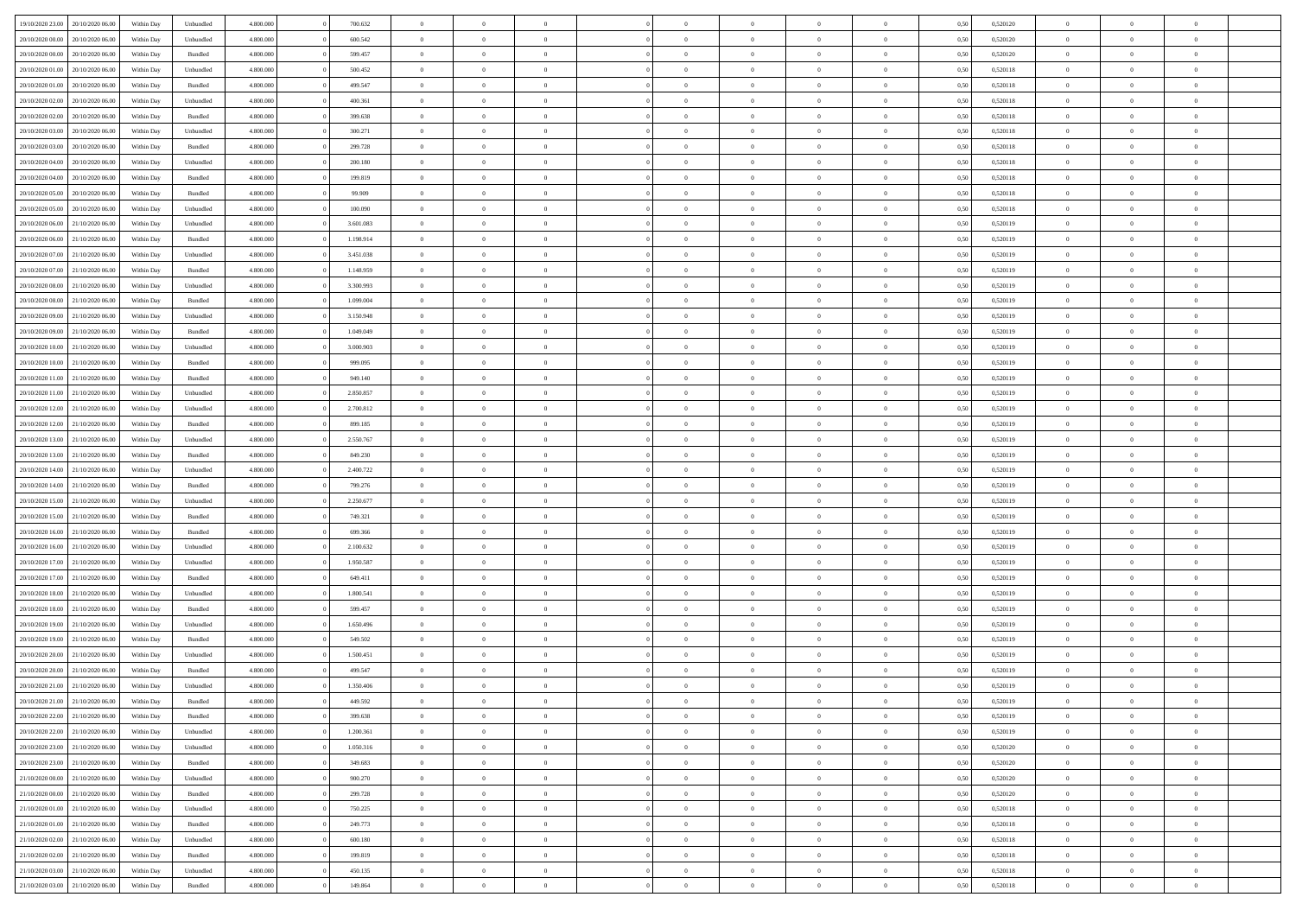| 19/10/2020 23:00                  | 20/10/2020 06:00 | Within Dav | Unbundled          | 4.800.000 | 700.632   | $\overline{0}$ | $\theta$       |                | $\Omega$       | $\Omega$       | $\theta$       | $\theta$       | 0.50 | 0,520120 | $\theta$       | $\overline{0}$ | $\theta$       |  |
|-----------------------------------|------------------|------------|--------------------|-----------|-----------|----------------|----------------|----------------|----------------|----------------|----------------|----------------|------|----------|----------------|----------------|----------------|--|
| 20/10/2020 00:00                  | 20/10/2020 06.00 | Within Day | Unbundled          | 4.800.000 | 600.542   | $\overline{0}$ | $\theta$       | $\overline{0}$ | $\overline{0}$ | $\bf{0}$       | $\overline{0}$ | $\bf{0}$       | 0,50 | 0,520120 | $\theta$       | $\overline{0}$ | $\overline{0}$ |  |
| 20/10/2020 00:00                  | 20/10/2020 06:00 | Within Day | Bundled            | 4.800.000 | 599.457   | $\overline{0}$ | $\bf{0}$       | $\overline{0}$ | $\bf{0}$       | $\bf{0}$       | $\bf{0}$       | $\mathbf{0}$   | 0,50 | 0,520120 | $\bf{0}$       | $\overline{0}$ | $\overline{0}$ |  |
|                                   |                  |            |                    |           |           |                |                |                |                |                |                |                |      |          | $\theta$       |                |                |  |
| 20/10/2020 01:00                  | 20/10/2020 06:00 | Within Dav | Unbundled          | 4.800.000 | 500,452   | $\overline{0}$ | $\overline{0}$ | $\overline{0}$ | $\overline{0}$ | $\bf{0}$       | $\overline{0}$ | $\overline{0}$ | 0.50 | 0.520118 |                | $\theta$       | $\overline{0}$ |  |
| 20/10/2020 01:00                  | 20/10/2020 06.00 | Within Day | Bundled            | 4.800.000 | 499.547   | $\overline{0}$ | $\theta$       | $\overline{0}$ | $\overline{0}$ | $\bf{0}$       | $\overline{0}$ | $\bf{0}$       | 0,50 | 0,520118 | $\theta$       | $\overline{0}$ | $\overline{0}$ |  |
| 20/10/2020 02:00                  | 20/10/2020 06:00 | Within Day | Unbundled          | 4.800.000 | 400.361   | $\overline{0}$ | $\overline{0}$ | $\overline{0}$ | $\bf{0}$       | $\overline{0}$ | $\overline{0}$ | $\mathbf{0}$   | 0,50 | 0,520118 | $\bf{0}$       | $\overline{0}$ | $\bf{0}$       |  |
| 20/10/2020 02:00                  | 20/10/2020 06:00 | Within Dav | Bundled            | 4.800.000 | 399.638   | $\overline{0}$ | $\overline{0}$ | $\overline{0}$ | $\overline{0}$ | $\overline{0}$ | $\overline{0}$ | $\overline{0}$ | 0.50 | 0,520118 | $\theta$       | $\overline{0}$ | $\overline{0}$ |  |
|                                   |                  |            |                    |           |           |                |                |                |                |                |                |                |      |          |                |                |                |  |
| 20/10/2020 03:00                  | 20/10/2020 06.00 | Within Day | Unbundled          | 4.800.000 | 300.271   | $\overline{0}$ | $\theta$       | $\overline{0}$ | $\overline{0}$ | $\bf{0}$       | $\overline{0}$ | $\bf{0}$       | 0,50 | 0,520118 | $\theta$       | $\theta$       | $\overline{0}$ |  |
| 20/10/2020 03:00                  | 20/10/2020 06:00 | Within Day | Bundled            | 4.800.000 | 299.728   | $\overline{0}$ | $\overline{0}$ | $\overline{0}$ | $\bf{0}$       | $\bf{0}$       | $\bf{0}$       | $\bf{0}$       | 0,50 | 0,520118 | $\,0\,$        | $\overline{0}$ | $\overline{0}$ |  |
| 20/10/2020 04:00                  | 20/10/2020 06:00 | Within Dav | Unbundled          | 4.800.000 | 200.180   | $\overline{0}$ | $\overline{0}$ | $\overline{0}$ | $\overline{0}$ | $\overline{0}$ | $\overline{0}$ | $\overline{0}$ | 0.50 | 0,520118 | $\theta$       | $\overline{0}$ | $\overline{0}$ |  |
| 20/10/2020 04:00                  | 20/10/2020 06.00 | Within Day | Bundled            | 4.800.000 | 199.819   | $\overline{0}$ | $\theta$       | $\overline{0}$ | $\overline{0}$ | $\bf{0}$       | $\overline{0}$ |                |      | 0,520118 | $\,$ 0 $\,$    | $\overline{0}$ | $\overline{0}$ |  |
|                                   |                  |            |                    |           |           |                |                |                |                |                |                | $\bf{0}$       | 0,50 |          |                |                |                |  |
| 20/10/2020 05:00                  | 20/10/2020 06:00 | Within Day | Bundled            | 4.800.000 | 99.909    | $\overline{0}$ | $\bf{0}$       | $\overline{0}$ | $\bf{0}$       | $\bf{0}$       | $\bf{0}$       | $\bf{0}$       | 0,50 | 0,520118 | $\bf{0}$       | $\overline{0}$ | $\bf{0}$       |  |
| 20/10/2020 05:00                  | 20/10/2020 06:00 | Within Day | Unbundled          | 4.800.000 | 100.090   | $\overline{0}$ | $\overline{0}$ | $\overline{0}$ | $\overline{0}$ | $\bf{0}$       | $\overline{0}$ | $\overline{0}$ | 0.50 | 0.520118 | $\theta$       | $\theta$       | $\overline{0}$ |  |
| 20/10/2020 06:00                  | 21/10/2020 06.00 | Within Day | Unbundled          | 4.800.000 | 3.601.083 | $\overline{0}$ | $\theta$       | $\overline{0}$ | $\overline{0}$ | $\bf{0}$       | $\overline{0}$ | $\bf{0}$       | 0,50 | 0,520119 | $\theta$       | $\overline{0}$ | $\overline{0}$ |  |
|                                   |                  |            |                    |           |           |                |                |                |                |                |                |                |      |          |                |                |                |  |
| 20/10/2020 06:00                  | 21/10/2020 06.00 | Within Day | Bundled            | 4.800.000 | 1.198.914 | $\overline{0}$ | $\overline{0}$ | $\overline{0}$ | $\bf{0}$       | $\overline{0}$ | $\overline{0}$ | $\mathbf{0}$   | 0,50 | 0,520119 | $\bf{0}$       | $\overline{0}$ | $\bf{0}$       |  |
| 20/10/2020 07:00                  | 21/10/2020 06.00 | Within Dav | Unbundled          | 4.800.000 | 3.451.038 | $\overline{0}$ | $\overline{0}$ | $\overline{0}$ | $\overline{0}$ | $\overline{0}$ | $\overline{0}$ | $\overline{0}$ | 0.50 | 0,520119 | $\theta$       | $\overline{0}$ | $\overline{0}$ |  |
| 20/10/2020 07:00                  | 21/10/2020 06.00 | Within Day | Bundled            | 4.800.000 | 1.148.959 | $\overline{0}$ | $\theta$       | $\overline{0}$ | $\overline{0}$ | $\bf{0}$       | $\overline{0}$ | $\bf{0}$       | 0,50 | 0,520119 | $\,$ 0 $\,$    | $\theta$       | $\overline{0}$ |  |
| 20/10/2020 08:00                  | 21/10/2020 06.00 | Within Day | Unbundled          | 4.800.000 | 3.300.993 | $\overline{0}$ | $\overline{0}$ | $\overline{0}$ | $\bf{0}$       | $\bf{0}$       | $\bf{0}$       | $\bf{0}$       | 0,50 | 0,520119 | $\,0\,$        | $\overline{0}$ | $\overline{0}$ |  |
|                                   | 21/10/2020 06:00 |            | Bundled            | 4.800.000 | 1.099.004 | $\overline{0}$ | $\overline{0}$ | $\overline{0}$ | $\overline{0}$ | $\overline{0}$ | $\overline{0}$ | $\overline{0}$ | 0.50 | 0,520119 | $\theta$       | $\overline{0}$ | $\overline{0}$ |  |
| 20/10/2020 08:00                  |                  | Within Day |                    |           |           |                |                |                |                |                |                |                |      |          |                |                |                |  |
| 20/10/2020 09:00                  | 21/10/2020 06.00 | Within Day | Unbundled          | 4.800.000 | 3.150.948 | $\overline{0}$ | $\theta$       | $\overline{0}$ | $\overline{0}$ | $\bf{0}$       | $\overline{0}$ | $\bf{0}$       | 0,50 | 0,520119 | $\,$ 0 $\,$    | $\overline{0}$ | $\overline{0}$ |  |
| 20/10/2020 09:00                  | 21/10/2020 06.00 | Within Day | Bundled            | 4.800.000 | 1.049.049 | $\overline{0}$ | $\overline{0}$ | $\overline{0}$ | $\bf{0}$       | $\bf{0}$       | $\bf{0}$       | $\bf{0}$       | 0,50 | 0,520119 | $\bf{0}$       | $\overline{0}$ | $\bf{0}$       |  |
| 20/10/2020 10:00                  | 21/10/2020 06:00 | Within Day | Unbundled          | 4.800.000 | 3.000.903 | $\overline{0}$ | $\overline{0}$ | $\overline{0}$ | $\overline{0}$ | $\bf{0}$       | $\overline{0}$ | $\overline{0}$ | 0.50 | 0.520119 | $\theta$       | $\overline{0}$ | $\overline{0}$ |  |
|                                   |                  |            |                    |           |           | $\overline{0}$ | $\theta$       | $\overline{0}$ | $\overline{0}$ | $\bf{0}$       | $\overline{0}$ |                |      |          | $\,$ 0 $\,$    | $\overline{0}$ | $\overline{0}$ |  |
| 20/10/2020 10:00                  | 21/10/2020 06.00 | Within Day | Bundled            | 4.800.000 | 999.095   |                |                |                |                |                |                | $\bf{0}$       | 0,50 | 0,520119 |                |                |                |  |
| 20/10/2020 11:00                  | 21/10/2020 06.00 | Within Day | Bundled            | 4.800.000 | 949.140   | $\overline{0}$ | $\overline{0}$ | $\overline{0}$ | $\bf{0}$       | $\overline{0}$ | $\overline{0}$ | $\mathbf{0}$   | 0,50 | 0,520119 | $\bf{0}$       | $\overline{0}$ | $\bf{0}$       |  |
| 20/10/2020 11:00                  | 21/10/2020 06:00 | Within Day | Unbundled          | 4.800.000 | 2.850.857 | $\overline{0}$ | $\overline{0}$ | $\overline{0}$ | $\overline{0}$ | $\overline{0}$ | $\overline{0}$ | $\overline{0}$ | 0.50 | 0,520119 | $\theta$       | $\overline{0}$ | $\overline{0}$ |  |
| 20/10/2020 12:00                  | 21/10/2020 06.00 | Within Day | Unbundled          | 4.800.000 | 2.700.812 | $\overline{0}$ | $\theta$       | $\overline{0}$ | $\overline{0}$ | $\bf{0}$       | $\overline{0}$ | $\bf{0}$       | 0,50 | 0,520119 | $\theta$       | $\theta$       | $\overline{0}$ |  |
|                                   |                  |            |                    |           |           |                |                |                |                |                |                |                |      |          |                |                |                |  |
| 20/10/2020 12:00                  | 21/10/2020 06.00 | Within Day | Bundled            | 4.800.000 | 899.185   | $\overline{0}$ | $\overline{0}$ | $\overline{0}$ | $\bf{0}$       | $\bf{0}$       | $\bf{0}$       | $\bf{0}$       | 0,50 | 0,520119 | $\,0\,$        | $\overline{0}$ | $\overline{0}$ |  |
| 20/10/2020 13:00                  | 21/10/2020 06:00 | Within Day | Unbundled          | 4.800.000 | 2.550.767 | $\overline{0}$ | $\overline{0}$ | $\overline{0}$ | $\overline{0}$ | $\overline{0}$ | $\overline{0}$ | $\overline{0}$ | 0.50 | 0,520119 | $\theta$       | $\overline{0}$ | $\overline{0}$ |  |
| 20/10/2020 13:00                  | 21/10/2020 06.00 | Within Day | Bundled            | 4.800.000 | 849.230   | $\overline{0}$ | $\theta$       | $\overline{0}$ | $\overline{0}$ | $\bf{0}$       | $\overline{0}$ | $\bf{0}$       | 0,50 | 0,520119 | $\,$ 0 $\,$    | $\overline{0}$ | $\overline{0}$ |  |
| 20/10/2020 14:00                  | 21/10/2020 06.00 | Within Day | Unbundled          | 4.800.000 | 2.400.722 | $\overline{0}$ | $\overline{0}$ | $\overline{0}$ | $\bf{0}$       | $\bf{0}$       | $\bf{0}$       | $\bf{0}$       | 0,50 | 0,520119 | $\overline{0}$ | $\overline{0}$ | $\bf{0}$       |  |
|                                   |                  |            |                    | 4.800,000 |           | $\overline{0}$ | $\Omega$       | $\Omega$       | $\Omega$       | $\Omega$       |                |                |      |          |                |                | $\theta$       |  |
| 20/10/2020 14:00                  | 21/10/2020 06.00 | Within Day | Bundled            |           | 799.276   |                |                |                |                |                | $\overline{0}$ | $\overline{0}$ | 0,50 | 0,520119 | $\,0\,$        | $\theta$       |                |  |
| 20/10/2020 15:00                  | 21/10/2020 06.00 | Within Day | Unbundled          | 4.800.000 | 2.250.677 | $\overline{0}$ | $\theta$       | $\overline{0}$ | $\overline{0}$ | $\bf{0}$       | $\overline{0}$ | $\bf{0}$       | 0,50 | 0,520119 | $\,$ 0 $\,$    | $\overline{0}$ | $\overline{0}$ |  |
| 20/10/2020 15:00                  | 21/10/2020 06.00 | Within Day | Bundled            | 4.800.000 | 749.321   | $\overline{0}$ | $\overline{0}$ | $\overline{0}$ | $\bf{0}$       | $\overline{0}$ | $\overline{0}$ | $\mathbf{0}$   | 0,50 | 0,520119 | $\overline{0}$ | $\overline{0}$ | $\bf{0}$       |  |
| 20/10/2020 16:00                  | 21/10/2020 06:00 | Within Day | Bundled            | 4.800,000 | 699,366   | $\overline{0}$ | $\Omega$       | $\Omega$       | $\Omega$       | $\bf{0}$       | $\overline{0}$ | $\overline{0}$ | 0.50 | 0,520119 | $\,0\,$        | $\theta$       | $\theta$       |  |
| 20/10/2020 16:00                  | 21/10/2020 06.00 |            |                    | 4.800.000 | 2.100.632 | $\overline{0}$ | $\theta$       | $\overline{0}$ | $\overline{0}$ | $\bf{0}$       | $\overline{0}$ |                |      | 0,520119 | $\,$ 0 $\,$    | $\overline{0}$ | $\overline{0}$ |  |
|                                   |                  | Within Day | Unbundled          |           |           |                |                |                |                |                |                | $\bf{0}$       | 0,50 |          |                |                |                |  |
| 20/10/2020 17:00                  | 21/10/2020 06.00 | Within Day | Unbundled          | 4.800.000 | 1.950.587 | $\overline{0}$ | $\overline{0}$ | $\overline{0}$ | $\bf{0}$       | $\bf{0}$       | $\bf{0}$       | $\bf{0}$       | 0,50 | 0,520119 | $\bf{0}$       | $\overline{0}$ | $\bf{0}$       |  |
| 20/10/2020 17:00                  | 21/10/2020 06:00 | Within Day | Bundled            | 4.800,000 | 649.411   | $\overline{0}$ | $\Omega$       | $\Omega$       | $\Omega$       | $\theta$       | $\theta$       | $\overline{0}$ | 0.50 | 0,520119 | $\,$ 0 $\,$    | $\theta$       | $\theta$       |  |
| 20/10/2020 18:00                  | 21/10/2020 06.00 | Within Day | Unbundled          | 4.800.000 | 1.800.541 | $\overline{0}$ | $\theta$       | $\overline{0}$ | $\overline{0}$ | $\bf{0}$       | $\overline{0}$ | $\bf{0}$       | 0,50 | 0,520119 | $\,$ 0 $\,$    | $\overline{0}$ | $\overline{0}$ |  |
|                                   |                  |            |                    |           |           |                |                |                |                |                |                |                |      |          |                |                |                |  |
| 20/10/2020 18:00                  | 21/10/2020 06.00 | Within Day | Bundled            | 4.800.000 | 599.457   | $\overline{0}$ | $\bf{0}$       | $\overline{0}$ | $\bf{0}$       | $\bf{0}$       | $\bf{0}$       | $\bf{0}$       | 0,50 | 0,520119 | $\overline{0}$ | $\overline{0}$ | $\bf{0}$       |  |
| 20/10/2020 19:00                  | 21/10/2020 06.00 | Within Day | Unbundled          | 4.800,000 | 1.650.496 | $\overline{0}$ | $\Omega$       | $\overline{0}$ | $\Omega$       | $\overline{0}$ | $\overline{0}$ | $\overline{0}$ | 0,50 | 0,520119 | $\,0\,$        | $\theta$       | $\theta$       |  |
| 20/10/2020 19:00                  | 21/10/2020 06.00 | Within Day | Bundled            | 4.800.000 | 549.502   | $\overline{0}$ | $\overline{0}$ | $\overline{0}$ | $\overline{0}$ | $\,$ 0         | $\overline{0}$ | $\bf{0}$       | 0,50 | 0,520119 | $\,$ 0 $\,$    | $\overline{0}$ | $\overline{0}$ |  |
| 20/10/2020 20:00                  | 21/10/2020 06.00 | Within Day | Unbundled          | 4.800.000 | 1.500.451 | $\overline{0}$ | $\overline{0}$ | $\overline{0}$ | $\overline{0}$ | $\bf{0}$       | $\overline{0}$ | $\mathbf{0}$   | 0,50 | 0,520119 | $\overline{0}$ | $\overline{0}$ | $\bf{0}$       |  |
|                                   | 21/10/2020 06:00 |            |                    | 4.800,000 | 499,547   | $\overline{0}$ | $\Omega$       | $\Omega$       | $\Omega$       | $\Omega$       | $\Omega$       | $\overline{0}$ | 0.50 | 0.520119 | $\theta$       | $\theta$       | $\theta$       |  |
| 20/10/2020 20:00                  |                  | Within Day | Bundled            |           |           |                |                |                |                |                |                |                |      |          |                |                |                |  |
| 20/10/2020 21:00                  | 21/10/2020 06.00 | Within Day | Unbundled          | 4.800.000 | 1.350.406 | $\overline{0}$ | $\overline{0}$ | $\overline{0}$ | $\bf{0}$       | $\,$ 0         | $\overline{0}$ | $\bf{0}$       | 0,50 | 0,520119 | $\,0\,$        | $\,$ 0 $\,$    | $\overline{0}$ |  |
| 20/10/2020 21:00                  | 21/10/2020 06.00 | Within Day | $\mathbf B$ undled | 4.800.000 | 449.592   | $\bf{0}$       | $\bf{0}$       |                |                | $\bf{0}$       |                |                | 0,50 | 0,520119 | $\bf{0}$       | $\overline{0}$ |                |  |
| 20/10/2020 22:00                  | 21/10/2020 06:00 | Within Day | Bundled            | 4.800.000 | 399.638   | $\overline{0}$ | $\overline{0}$ | $\overline{0}$ | $\Omega$       | $\overline{0}$ | $\overline{0}$ | $\overline{0}$ | 0,50 | 0,520119 | $\theta$       | $\theta$       | $\theta$       |  |
| 20/10/2020 22.00                  | 21/10/2020 06.00 | Within Day | Unbundled          | 4.800.000 | 1.200.361 | $\overline{0}$ | $\,$ 0         | $\overline{0}$ | $\overline{0}$ | $\,$ 0 $\,$    | $\overline{0}$ | $\,$ 0 $\,$    | 0,50 | 0,520119 | $\,$ 0 $\,$    | $\,$ 0 $\,$    | $\,$ 0         |  |
|                                   |                  |            |                    |           |           |                |                |                |                |                |                |                |      |          |                |                |                |  |
| 20/10/2020 23.00                  | 21/10/2020 06.00 | Within Day | Unbundled          | 4.800.000 | 1.050.316 | $\overline{0}$ | $\overline{0}$ | $\overline{0}$ | $\overline{0}$ | $\overline{0}$ | $\overline{0}$ | $\mathbf{0}$   | 0,50 | 0,520120 | $\overline{0}$ | $\bf{0}$       | $\bf{0}$       |  |
| 20/10/2020 23:00                  | 21/10/2020 06.00 | Within Day | $\mathbf B$ undled | 4.800,000 | 349.683   | $\overline{0}$ | $\overline{0}$ | $\overline{0}$ | $\Omega$       | $\overline{0}$ | $\overline{0}$ | $\overline{0}$ | 0,50 | 0,520120 | $\overline{0}$ | $\theta$       | $\overline{0}$ |  |
| 21/10/2020 00:00                  | 21/10/2020 06.00 | Within Day | Unbundled          | 4.800.000 | 900.270   | $\overline{0}$ | $\,$ 0         | $\overline{0}$ | $\overline{0}$ | $\,$ 0 $\,$    | $\overline{0}$ | $\mathbf{0}$   | 0,50 | 0,520120 | $\,$ 0 $\,$    | $\overline{0}$ | $\overline{0}$ |  |
| 21/10/2020 00.00                  | 21/10/2020 06.00 | Within Day | Bundled            | 4.800.000 | 299.728   | $\overline{0}$ | $\overline{0}$ | $\overline{0}$ | $\overline{0}$ | $\overline{0}$ | $\overline{0}$ | $\mathbf{0}$   | 0,50 | 0,520120 | $\overline{0}$ | $\overline{0}$ | $\bf{0}$       |  |
|                                   |                  |            |                    |           |           |                |                |                |                |                |                |                |      |          |                |                |                |  |
| 21/10/2020 01:00                  | 21/10/2020 06.00 | Within Day | Unbundled          | 4.800,000 | 750.225   | $\overline{0}$ | $\overline{0}$ | $\overline{0}$ | $\Omega$       | $\overline{0}$ | $\overline{0}$ | $\bf{0}$       | 0.50 | 0,520118 | $\overline{0}$ | $\theta$       | $\overline{0}$ |  |
| 21/10/2020 01:00                  | 21/10/2020 06.00 | Within Day | Bundled            | 4.800.000 | 249.773   | $\overline{0}$ | $\,$ 0         | $\overline{0}$ | $\overline{0}$ | $\bf{0}$       | $\overline{0}$ | $\bf{0}$       | 0,50 | 0,520118 | $\,$ 0 $\,$    | $\overline{0}$ | $\overline{0}$ |  |
| 21/10/2020 02.00                  | 21/10/2020 06.00 | Within Day | Unbundled          | 4.800.000 | 600.180   | $\overline{0}$ | $\bf{0}$       | $\overline{0}$ | $\overline{0}$ | $\overline{0}$ | $\overline{0}$ | $\mathbf{0}$   | 0,50 | 0,520118 | $\overline{0}$ | $\overline{0}$ | $\bf{0}$       |  |
| 21/10/2020 02.00                  | 21/10/2020 06:00 | Within Day | Bundled            | 4.800,000 | 199.819   | $\overline{0}$ | $\overline{0}$ | $\overline{0}$ | $\Omega$       | $\overline{0}$ | $\overline{0}$ | $\bf{0}$       | 0.50 | 0,520118 | $\overline{0}$ | $\overline{0}$ | $\overline{0}$ |  |
|                                   |                  |            |                    |           |           |                |                |                |                |                |                |                |      |          |                |                |                |  |
| 21/10/2020 03:00                  | 21/10/2020 06.00 | Within Day | Unbundled          | 4.800.000 | 450.135   | $\overline{0}$ | $\bf{0}$       | $\overline{0}$ | $\bf{0}$       | $\bf{0}$       | $\overline{0}$ | $\mathbf{0}$   | 0,50 | 0,520118 | $\,$ 0 $\,$    | $\,$ 0 $\,$    | $\bf{0}$       |  |
| 21/10/2020 03.00 21/10/2020 06.00 |                  | Within Day | Bundled            | 4.800.000 | 149.864   | $\overline{0}$ | $\overline{0}$ | $\overline{0}$ | $\overline{0}$ | $\overline{0}$ | $\bf{0}$       | $\mathbf{0}$   | 0,50 | 0,520118 | $\overline{0}$ | $\bf{0}$       | $\overline{0}$ |  |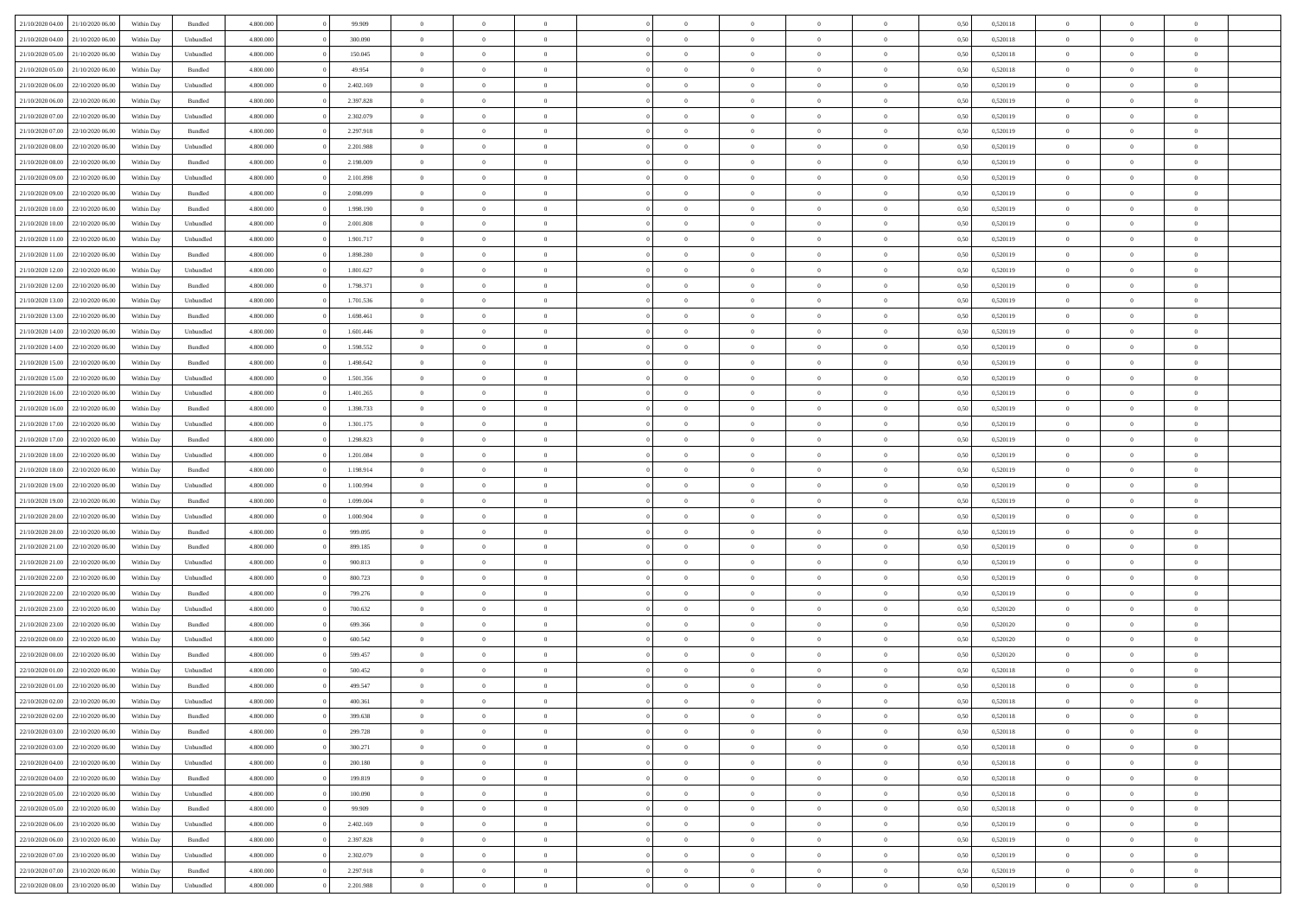|                                   |                  |            |           |           |           | $\overline{0}$ | $\Omega$       |                |                | $\Omega$       | $\Omega$       | $\theta$       |      |          | $\theta$       |                | $\theta$       |  |
|-----------------------------------|------------------|------------|-----------|-----------|-----------|----------------|----------------|----------------|----------------|----------------|----------------|----------------|------|----------|----------------|----------------|----------------|--|
| 21/10/2020 04:00                  | 21/10/2020 06:00 | Within Dav | Bundled   | 4.800.000 | 99.909    |                |                |                | $\Omega$       |                |                |                | 0.50 | 0,520118 |                | $\theta$       |                |  |
| 21/10/2020 04.00                  | 21/10/2020 06.00 | Within Day | Unbundled | 4.800.000 | 300.090   | $\overline{0}$ | $\theta$       | $\overline{0}$ | $\overline{0}$ | $\bf{0}$       | $\overline{0}$ | $\overline{0}$ | 0,50 | 0,520118 | $\theta$       | $\theta$       | $\overline{0}$ |  |
| 21/10/2020 05:00                  | 21/10/2020 06.00 | Within Day | Unbundled | 4.800.000 | 150.045   | $\overline{0}$ | $\overline{0}$ | $\overline{0}$ | $\bf{0}$       | $\bf{0}$       | $\bf{0}$       | $\bf{0}$       | 0,50 | 0,520118 | $\bf{0}$       | $\overline{0}$ | $\overline{0}$ |  |
| 21/10/2020 05:00                  | 21/10/2020 06:00 | Within Dav | Bundled   | 4.800.000 | 49.954    | $\overline{0}$ | $\theta$       | $\overline{0}$ | $\overline{0}$ | $\bf{0}$       | $\overline{0}$ | $\overline{0}$ | 0.50 | 0.520118 | $\theta$       | $\theta$       | $\overline{0}$ |  |
|                                   |                  |            |           |           |           |                |                |                |                |                |                |                |      |          |                |                |                |  |
| 21/10/2020 06.00                  | 22/10/2020 06.00 | Within Day | Unbundled | 4.800.000 | 2.402.169 | $\overline{0}$ | $\theta$       | $\overline{0}$ | $\overline{0}$ | $\bf{0}$       | $\overline{0}$ | $\bf{0}$       | 0,50 | 0,520119 | $\theta$       | $\theta$       | $\overline{0}$ |  |
| 21/10/2020 06.00                  | 22/10/2020 06.00 | Within Day | Bundled   | 4.800.000 | 2.397.828 | $\overline{0}$ | $\bf{0}$       | $\overline{0}$ | $\bf{0}$       | $\overline{0}$ | $\overline{0}$ | $\mathbf{0}$   | 0,50 | 0,520119 | $\overline{0}$ | $\overline{0}$ | $\bf{0}$       |  |
| 21/10/2020 07:00                  | 22/10/2020 06.00 | Within Dav | Unbundled | 4.800.000 | 2.302.079 | $\overline{0}$ | $\overline{0}$ | $\overline{0}$ | $\overline{0}$ | $\bf{0}$       | $\overline{0}$ | $\overline{0}$ | 0.50 | 0,520119 | $\theta$       | $\overline{0}$ | $\overline{0}$ |  |
| 21/10/2020 07.00                  | 22/10/2020 06.00 | Within Day | Bundled   | 4.800.000 | 2.297.918 | $\overline{0}$ | $\theta$       | $\overline{0}$ | $\overline{0}$ | $\bf{0}$       | $\overline{0}$ | $\bf{0}$       | 0,50 | 0,520119 | $\theta$       | $\theta$       | $\overline{0}$ |  |
|                                   |                  |            |           |           |           |                | $\overline{0}$ |                |                | $\bf{0}$       |                |                |      |          | $\,0\,$        | $\overline{0}$ | $\overline{0}$ |  |
| 21/10/2020 08:00                  | 22/10/2020 06.00 | Within Day | Unbundled | 4.800.000 | 2.201.988 | $\overline{0}$ |                | $\overline{0}$ | $\bf{0}$       |                | $\bf{0}$       | $\bf{0}$       | 0,50 | 0,520119 |                |                |                |  |
| 21/10/2020 08:00                  | 22/10/2020 06.00 | Within Dav | Bundled   | 4.800.000 | 2.198.009 | $\overline{0}$ | $\overline{0}$ | $\overline{0}$ | $\overline{0}$ | $\overline{0}$ | $\overline{0}$ | $\overline{0}$ | 0.50 | 0,520119 | $\theta$       | $\overline{0}$ | $\overline{0}$ |  |
| 21/10/2020 09:00                  | 22/10/2020 06.00 | Within Day | Unbundled | 4.800.000 | 2.101.898 | $\overline{0}$ | $\theta$       | $\overline{0}$ | $\overline{0}$ | $\bf{0}$       | $\overline{0}$ | $\bf{0}$       | 0,50 | 0,520119 | $\,$ 0 $\,$    | $\theta$       | $\overline{0}$ |  |
| 21/10/2020 09:00                  | 22/10/2020 06.00 | Within Day | Bundled   | 4.800.000 | 2.098.099 | $\overline{0}$ | $\overline{0}$ | $\overline{0}$ | $\bf{0}$       | $\bf{0}$       | $\bf{0}$       | $\bf{0}$       | 0,50 | 0,520119 | $\overline{0}$ | $\overline{0}$ | $\overline{0}$ |  |
| 21/10/2020 10:00                  | 22/10/2020 06:00 | Within Day | Bundled   | 4.800.000 | 1.998.190 | $\overline{0}$ | $\overline{0}$ | $\overline{0}$ | $\overline{0}$ | $\bf{0}$       | $\overline{0}$ | $\overline{0}$ | 0.50 | 0.520119 | $\theta$       | $\theta$       | $\overline{0}$ |  |
|                                   |                  |            |           |           |           |                |                |                |                |                |                |                |      |          |                |                |                |  |
| 21/10/2020 10:00                  | 22/10/2020 06.00 | Within Day | Unbundled | 4.800.000 | 2.001.808 | $\overline{0}$ | $\theta$       | $\overline{0}$ | $\overline{0}$ | $\bf{0}$       | $\overline{0}$ | $\overline{0}$ | 0,50 | 0,520119 | $\theta$       | $\theta$       | $\overline{0}$ |  |
| 21/10/2020 11:00                  | 22/10/2020 06.00 | Within Day | Unbundled | 4.800.000 | 1.901.717 | $\overline{0}$ | $\overline{0}$ | $\overline{0}$ | $\bf{0}$       | $\overline{0}$ | $\overline{0}$ | $\mathbf{0}$   | 0,50 | 0,520119 | $\overline{0}$ | $\overline{0}$ | $\bf{0}$       |  |
| 21/10/2020 11:00                  | 22/10/2020 06.00 | Within Dav | Bundled   | 4.800.000 | 1.898.280 | $\overline{0}$ | $\overline{0}$ | $\overline{0}$ | $\overline{0}$ | $\overline{0}$ | $\overline{0}$ | $\overline{0}$ | 0.50 | 0,520119 | $\theta$       | $\overline{0}$ | $\overline{0}$ |  |
| 21/10/2020 12:00                  | 22/10/2020 06.00 | Within Day | Unbundled | 4.800.000 | 1.801.627 | $\overline{0}$ | $\theta$       | $\overline{0}$ | $\overline{0}$ | $\bf{0}$       | $\overline{0}$ | $\bf{0}$       | 0,50 | 0,520119 | $\theta$       | $\theta$       | $\overline{0}$ |  |
|                                   |                  |            |           |           |           |                |                |                |                |                |                |                |      |          |                |                |                |  |
| 21/10/2020 12:00                  | 22/10/2020 06.00 | Within Day | Bundled   | 4.800.000 | 1.798.371 | $\overline{0}$ | $\overline{0}$ | $\overline{0}$ | $\bf{0}$       | $\bf{0}$       | $\bf{0}$       | $\bf{0}$       | 0,50 | 0,520119 | $\,0\,$        | $\overline{0}$ | $\overline{0}$ |  |
| 21/10/2020 13:00                  | 22/10/2020 06:00 | Within Day | Unbundled | 4.800.000 | 1.701.536 | $\overline{0}$ | $\overline{0}$ | $\overline{0}$ | $\overline{0}$ | $\overline{0}$ | $\overline{0}$ | $\overline{0}$ | 0.50 | 0,520119 | $\theta$       | $\overline{0}$ | $\overline{0}$ |  |
| 21/10/2020 13:00                  | 22/10/2020 06.00 | Within Day | Bundled   | 4.800.000 | 1.698.461 | $\overline{0}$ | $\theta$       | $\overline{0}$ | $\overline{0}$ | $\bf{0}$       | $\overline{0}$ | $\bf{0}$       | 0,50 | 0,520119 | $\,$ 0 $\,$    | $\theta$       | $\overline{0}$ |  |
| 21/10/2020 14:00                  | 22/10/2020 06.00 | Within Day | Unbundled | 4.800.000 | 1.601.446 | $\overline{0}$ | $\overline{0}$ | $\overline{0}$ | $\bf{0}$       | $\bf{0}$       | $\bf{0}$       | $\bf{0}$       | 0,50 | 0,520119 | $\bf{0}$       | $\overline{0}$ | $\overline{0}$ |  |
| 21/10/2020 14:00                  | 22/10/2020 06:00 | Within Day | Bundled   | 4.800.000 | 1.598.552 | $\overline{0}$ | $\overline{0}$ | $\overline{0}$ | $\overline{0}$ | $\bf{0}$       | $\overline{0}$ | $\overline{0}$ | 0.50 | 0.520119 | $\theta$       | $\theta$       | $\overline{0}$ |  |
|                                   |                  |            |           |           |           |                |                |                |                |                |                |                |      |          |                |                |                |  |
| 21/10/2020 15:00                  | 22/10/2020 06.00 | Within Day | Bundled   | 4.800.000 | 1.498.642 | $\overline{0}$ | $\theta$       | $\overline{0}$ | $\overline{0}$ | $\bf{0}$       | $\overline{0}$ | $\bf{0}$       | 0,50 | 0,520119 | $\,$ 0 $\,$    | $\overline{0}$ | $\overline{0}$ |  |
| 21/10/2020 15:00                  | 22/10/2020 06.00 | Within Day | Unbundled | 4.800.000 | 1.501.356 | $\overline{0}$ | $\bf{0}$       | $\overline{0}$ | $\overline{0}$ | $\overline{0}$ | $\overline{0}$ | $\mathbf{0}$   | 0,50 | 0,520119 | $\bf{0}$       | $\overline{0}$ | $\bf{0}$       |  |
| 21/10/2020 16:00                  | 22/10/2020 06.00 | Within Dav | Unbundled | 4.800.000 | 1.401.265 | $\overline{0}$ | $\overline{0}$ | $\overline{0}$ | $\overline{0}$ | $\overline{0}$ | $\overline{0}$ | $\overline{0}$ | 0.50 | 0,520119 | $\theta$       | $\overline{0}$ | $\overline{0}$ |  |
| 21/10/2020 16.00                  | 22/10/2020 06.00 | Within Day | Bundled   | 4.800.000 | 1.398.733 | $\overline{0}$ | $\theta$       | $\overline{0}$ | $\overline{0}$ | $\bf{0}$       | $\overline{0}$ | $\bf{0}$       | 0,50 | 0,520119 | $\theta$       | $\theta$       | $\overline{0}$ |  |
|                                   |                  |            |           |           |           |                |                |                |                |                |                |                |      |          |                |                |                |  |
| 21/10/2020 17.00                  | 22/10/2020 06.00 | Within Day | Unbundled | 4.800.000 | 1.301.175 | $\overline{0}$ | $\overline{0}$ | $\overline{0}$ | $\overline{0}$ | $\bf{0}$       | $\overline{0}$ | $\bf{0}$       | 0,50 | 0,520119 | $\,0\,$        | $\overline{0}$ | $\overline{0}$ |  |
| 21/10/2020 17:00                  | 22/10/2020 06:00 | Within Day | Bundled   | 4.800.000 | 1.298.823 | $\overline{0}$ | $\overline{0}$ | $\overline{0}$ | $\overline{0}$ | $\overline{0}$ | $\overline{0}$ | $\overline{0}$ | 0.50 | 0,520119 | $\theta$       | $\overline{0}$ | $\overline{0}$ |  |
| 21/10/2020 18.00                  | 22/10/2020 06.00 | Within Day | Unbundled | 4.800.000 | 1.201.084 | $\overline{0}$ | $\theta$       | $\overline{0}$ | $\overline{0}$ | $\bf{0}$       | $\overline{0}$ | $\bf{0}$       | 0,50 | 0,520119 | $\,$ 0 $\,$    | $\overline{0}$ | $\overline{0}$ |  |
| 21/10/2020 18:00                  | 22/10/2020 06.00 | Within Day | Bundled   | 4.800.000 | 1.198.914 | $\overline{0}$ | $\overline{0}$ | $\overline{0}$ | $\overline{0}$ | $\bf{0}$       | $\overline{0}$ | $\bf{0}$       | 0,50 | 0,520119 | $\bf{0}$       | $\overline{0}$ | $\overline{0}$ |  |
|                                   |                  |            |           |           |           |                |                |                |                |                |                |                |      |          |                |                |                |  |
| 21/10/2020 19:00                  | 22/10/2020 06.00 | Within Day | Unbundled | 4.800.000 | 1.100.994 | $\overline{0}$ | $\Omega$       | $\Omega$       | $\Omega$       | $\Omega$       | $\Omega$       | $\overline{0}$ | 0,50 | 0,520119 | $\,0\,$        | $\theta$       | $\theta$       |  |
| 21/10/2020 19:00                  | 22/10/2020 06.00 | Within Day | Bundled   | 4.800.000 | 1.099.004 | $\overline{0}$ | $\theta$       | $\overline{0}$ | $\overline{0}$ | $\bf{0}$       | $\overline{0}$ | $\bf{0}$       | 0,50 | 0,520119 | $\theta$       | $\theta$       | $\overline{0}$ |  |
| 21/10/2020 20.00                  | 22/10/2020 06.00 | Within Day | Unbundled | 4.800.000 | 1.000.904 | $\overline{0}$ | $\bf{0}$       | $\overline{0}$ | $\overline{0}$ | $\bf{0}$       | $\overline{0}$ | $\mathbf{0}$   | 0,50 | 0,520119 | $\bf{0}$       | $\overline{0}$ | $\bf{0}$       |  |
| 21/10/2020 20:00                  | 22/10/2020 06.00 | Within Day | Bundled   | 4.800,000 | 999,095   | $\overline{0}$ | $\Omega$       | $\Omega$       | $\Omega$       | $\bf{0}$       | $\overline{0}$ | $\overline{0}$ | 0.50 | 0,520119 | $\,0\,$        | $\theta$       | $\theta$       |  |
| 21/10/2020 21.00                  | 22/10/2020 06.00 | Within Day | Bundled   | 4.800.000 | 899.185   | $\overline{0}$ | $\theta$       | $\overline{0}$ | $\overline{0}$ | $\bf{0}$       | $\overline{0}$ | $\bf{0}$       | 0,50 | 0,520119 | $\,$ 0 $\,$    | $\theta$       | $\overline{0}$ |  |
|                                   |                  |            |           |           |           |                |                |                |                |                |                |                |      |          |                |                |                |  |
| 21/10/2020 21:00                  | 22/10/2020 06.00 | Within Day | Unbundled | 4.800.000 | 900.813   | $\overline{0}$ | $\overline{0}$ | $\overline{0}$ | $\overline{0}$ | $\bf{0}$       | $\overline{0}$ | $\bf{0}$       | 0,50 | 0,520119 | $\,0\,$        | $\overline{0}$ | $\overline{0}$ |  |
| 21/10/2020 22:00                  | 22/10/2020 06:00 | Within Day | Unbundled | 4.800,000 | 800,723   | $\overline{0}$ | $\Omega$       | $\Omega$       | $\Omega$       | $\Omega$       | $\theta$       | $\overline{0}$ | 0.50 | 0,520119 | $\theta$       | $\theta$       | $\theta$       |  |
| 21/10/2020 22.00                  | 22/10/2020 06.00 | Within Day | Bundled   | 4.800.000 | 799.276   | $\overline{0}$ | $\theta$       | $\overline{0}$ | $\overline{0}$ | $\bf{0}$       | $\overline{0}$ | $\bf{0}$       | 0,50 | 0,520119 | $\,$ 0 $\,$    | $\overline{0}$ | $\overline{0}$ |  |
| 21/10/2020 23.00                  | 22/10/2020 06.00 | Within Day | Unbundled | 4.800.000 | 700.632   | $\overline{0}$ | $\overline{0}$ | $\overline{0}$ | $\overline{0}$ | $\bf{0}$       | $\overline{0}$ | $\bf{0}$       | 0,50 | 0,520120 | $\bf{0}$       | $\overline{0}$ | $\overline{0}$ |  |
|                                   |                  |            |           |           |           |                |                |                |                |                |                |                |      |          |                |                |                |  |
| 21/10/2020 23.00                  | 22/10/2020 06.00 | Within Day | Bundled   | 4.800,000 | 699,366   | $\overline{0}$ | $\Omega$       | $\Omega$       | $\Omega$       | $\Omega$       | $\overline{0}$ | $\overline{0}$ | 0.50 | 0,520120 | $\,0\,$        | $\theta$       | $\theta$       |  |
| 22/10/2020 00.00                  | 22/10/2020 06.00 | Within Day | Unbundled | 4.800.000 | 600.542   | $\overline{0}$ | $\theta$       | $\overline{0}$ | $\overline{0}$ | $\bf{0}$       | $\overline{0}$ | $\bf{0}$       | 0,50 | 0,520120 | $\,$ 0 $\,$    | $\overline{0}$ | $\overline{0}$ |  |
| 22/10/2020 00.00                  | 22/10/2020 06.00 | Within Day | Bundled   | 4.800.000 | 599.457   | $\overline{0}$ | $\overline{0}$ | $\overline{0}$ | $\overline{0}$ | $\bf{0}$       | $\overline{0}$ | $\mathbf{0}$   | 0,50 | 0,520120 | $\bf{0}$       | $\overline{0}$ | $\bf{0}$       |  |
| 22/10/2020 01:00                  | 22/10/2020 06:00 | Within Day | Unbundled | 4.800,000 | 500.452   | $\overline{0}$ | $\Omega$       | $\Omega$       | $\Omega$       | $\Omega$       | $\Omega$       | $\overline{0}$ | 0.50 | 0.520118 | $\theta$       | $\theta$       | $\theta$       |  |
| 22/10/2020 01:00                  | 22/10/2020 06.00 | Within Day | Bundled   | 4.800.000 | 499.547   | $\overline{0}$ | $\,$ 0 $\,$    | $\overline{0}$ | $\bf{0}$       | $\,$ 0         | $\overline{0}$ | $\bf{0}$       | 0,50 | 0,520118 | $\,0\,$        | $\overline{0}$ | $\overline{0}$ |  |
|                                   |                  |            |           |           |           |                |                |                |                |                |                |                |      |          |                |                |                |  |
| 22/10/2020 02:00                  | 22/10/2020 06.00 | Within Day | Unbundled | 4.800.000 | 400.361   | $\bf{0}$       | $\bf{0}$       |                |                |                |                |                | 0,50 | 0,520118 | $\bf{0}$       | $\overline{0}$ |                |  |
| 22/10/2020 02:00                  | 22/10/2020 06:00 | Within Day | Bundled   | 4.800.000 | 399,638   | $\overline{0}$ | $\overline{0}$ | $\overline{0}$ | $\Omega$       | $\overline{0}$ | $\overline{0}$ | $\overline{0}$ | 0,50 | 0,520118 | $\theta$       | $\theta$       | $\theta$       |  |
| 22/10/2020 03.00                  | 22/10/2020 06.00 | Within Day | Bundled   | 4.800.000 | 299.728   | $\overline{0}$ | $\,$ 0         | $\overline{0}$ | $\overline{0}$ | $\,$ 0 $\,$    | $\overline{0}$ | $\mathbf{0}$   | 0,50 | 0,520118 | $\,$ 0 $\,$    | $\,$ 0 $\,$    | $\,$ 0         |  |
| 22/10/2020 03.00                  | 22/10/2020 06.00 | Within Day | Unbundled | 4.800.000 | 300.271   | $\overline{0}$ | $\overline{0}$ | $\overline{0}$ | $\overline{0}$ | $\overline{0}$ | $\overline{0}$ | $\mathbf{0}$   | 0,50 | 0,520118 | $\overline{0}$ | $\bf{0}$       | $\bf{0}$       |  |
|                                   |                  |            |           |           |           |                |                |                |                |                |                |                |      |          |                |                |                |  |
| 22/10/2020 04:00                  | 22/10/2020 06.00 | Within Day | Unbundled | 4.800,000 | 200.180   | $\overline{0}$ | $\overline{0}$ | $\overline{0}$ | $\Omega$       | $\overline{0}$ | $\overline{0}$ | $\overline{0}$ | 0,50 | 0,520118 | $\bf{0}$       | $\theta$       | $\overline{0}$ |  |
| 22/10/2020 04:00                  | 22/10/2020 06.00 | Within Day | Bundled   | 4.800.000 | 199.819   | $\overline{0}$ | $\,$ 0         | $\overline{0}$ | $\overline{0}$ | $\,$ 0 $\,$    | $\overline{0}$ | $\mathbf{0}$   | 0,50 | 0,520118 | $\,$ 0 $\,$    | $\overline{0}$ | $\overline{0}$ |  |
| 22/10/2020 05.00                  | 22/10/2020 06.00 | Within Day | Unbundled | 4.800.000 | 100,090   | $\overline{0}$ | $\overline{0}$ | $\overline{0}$ | $\overline{0}$ | $\overline{0}$ | $\overline{0}$ | $\mathbf{0}$   | 0,50 | 0,520118 | $\overline{0}$ | $\overline{0}$ | $\bf{0}$       |  |
| 22/10/2020 05:00                  | 22/10/2020 06.00 | Within Day | Bundled   | 4.800,000 | 99.909    | $\overline{0}$ | $\overline{0}$ | $\overline{0}$ | $\Omega$       | $\overline{0}$ | $\overline{0}$ | $\bf{0}$       | 0.50 | 0,520118 | $\overline{0}$ | $\theta$       | $\overline{0}$ |  |
|                                   |                  |            |           |           |           |                |                |                |                |                |                |                |      |          |                |                |                |  |
| 22/10/2020 06.00                  | 23/10/2020 06.00 | Within Day | Unbundled | 4.800.000 | 2.402.169 | $\overline{0}$ | $\,$ 0         | $\overline{0}$ | $\overline{0}$ | $\bf{0}$       | $\overline{0}$ | $\bf{0}$       | 0,50 | 0,520119 | $\,$ 0 $\,$    | $\overline{0}$ | $\overline{0}$ |  |
| 22/10/2020 06.00                  | 23/10/2020 06.00 | Within Day | Bundled   | 4.800.000 | 2.397.828 | $\overline{0}$ | $\bf{0}$       | $\overline{0}$ | $\overline{0}$ | $\overline{0}$ | $\overline{0}$ | $\mathbf{0}$   | 0,50 | 0,520119 | $\overline{0}$ | $\overline{0}$ | $\bf{0}$       |  |
| 22/10/2020 07:00                  | 23/10/2020 06:00 | Within Day | Unbundled | 4.800,000 | 2.302.079 | $\overline{0}$ | $\overline{0}$ | $\overline{0}$ | $\Omega$       | $\overline{0}$ | $\overline{0}$ | $\bf{0}$       | 0.50 | 0,520119 | $\overline{0}$ | $\overline{0}$ | $\overline{0}$ |  |
| 22/10/2020 07:00                  | 23/10/2020 06.00 | Within Day | Bundled   | 4.800.000 | 2.297.918 | $\overline{0}$ | $\bf{0}$       | $\overline{0}$ | $\bf{0}$       | $\bf{0}$       | $\bf{0}$       | $\mathbf{0}$   | 0,50 | 0,520119 | $\,$ 0 $\,$    | $\,$ 0 $\,$    | $\bf{0}$       |  |
|                                   |                  |            |           |           |           |                |                |                |                |                |                |                |      |          |                |                |                |  |
| 22/10/2020 08:00 23/10/2020 06:00 |                  | Within Day | Unbundled | 4.800.000 | 2.201.988 | $\overline{0}$ | $\overline{0}$ | $\overline{0}$ | $\overline{0}$ | $\overline{0}$ | $\bf{0}$       | $\mathbf{0}$   | 0,50 | 0,520119 | $\overline{0}$ | $\bf{0}$       | $\bf{0}$       |  |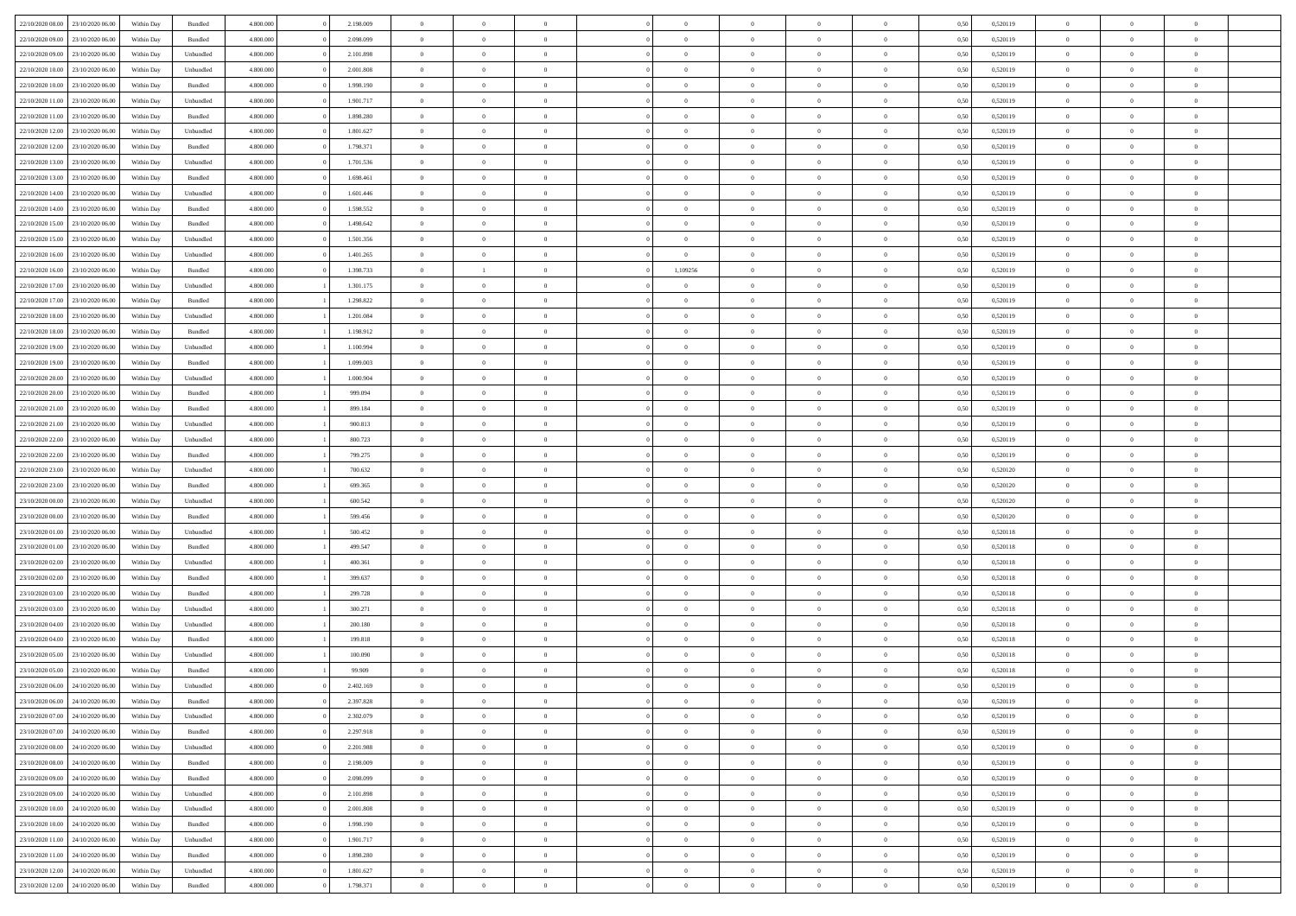|                                   | 23/10/2020 06:00 | Within Dav | Bundled            | 4.800.000 | 2.198.009 | $\overline{0}$ | $\Omega$       |                | $\Omega$       | $\Omega$       | $\Omega$       | $\theta$       | 0.50 | 0,520119 | $\theta$       | $\theta$       | $\theta$       |  |
|-----------------------------------|------------------|------------|--------------------|-----------|-----------|----------------|----------------|----------------|----------------|----------------|----------------|----------------|------|----------|----------------|----------------|----------------|--|
| 22/10/2020 08:00                  |                  |            |                    |           |           |                |                |                |                |                |                |                |      |          |                |                |                |  |
| 22/10/2020 09:00                  | 23/10/2020 06.00 | Within Day | Bundled            | 4.800.000 | 2.098.099 | $\overline{0}$ | $\theta$       | $\overline{0}$ | $\overline{0}$ | $\bf{0}$       | $\overline{0}$ | $\overline{0}$ | 0,50 | 0,520119 | $\theta$       | $\theta$       | $\overline{0}$ |  |
| 22/10/2020 09:00                  | 23/10/2020 06.00 | Within Day | Unbundled          | 4.800.000 | 2.101.898 | $\overline{0}$ | $\overline{0}$ | $\overline{0}$ | $\bf{0}$       | $\bf{0}$       | $\bf{0}$       | $\bf{0}$       | 0,50 | 0,520119 | $\bf{0}$       | $\overline{0}$ | $\overline{0}$ |  |
| 22/10/2020 10:00                  | 23/10/2020 06:00 | Within Dav | Unbundled          | 4.800.000 | 2.001.808 | $\overline{0}$ | $\overline{0}$ | $\overline{0}$ | $\overline{0}$ | $\bf{0}$       | $\overline{0}$ | $\overline{0}$ | 0.50 | 0.520119 | $\theta$       | $\theta$       | $\overline{0}$ |  |
|                                   |                  |            |                    |           |           |                |                |                |                |                |                |                |      |          |                |                |                |  |
| 22/10/2020 10:00                  | 23/10/2020 06.00 | Within Day | Bundled            | 4.800.000 | 1.998.190 | $\overline{0}$ | $\theta$       | $\overline{0}$ | $\overline{0}$ | $\bf{0}$       | $\overline{0}$ | $\bf{0}$       | 0,50 | 0,520119 | $\theta$       | $\theta$       | $\overline{0}$ |  |
| 22/10/2020 11:00                  | 23/10/2020 06.00 | Within Day | Unbundled          | 4.800.000 | 1.901.717 | $\overline{0}$ | $\bf{0}$       | $\overline{0}$ | $\bf{0}$       | $\overline{0}$ | $\overline{0}$ | $\mathbf{0}$   | 0,50 | 0,520119 | $\bf{0}$       | $\overline{0}$ | $\bf{0}$       |  |
| 22/10/2020 11:00                  | 23/10/2020 06.00 | Within Dav | Bundled            | 4.800.000 | 1.898.280 | $\overline{0}$ | $\overline{0}$ | $\overline{0}$ | $\overline{0}$ | $\overline{0}$ | $\overline{0}$ | $\overline{0}$ | 0.50 | 0,520119 | $\theta$       | $\overline{0}$ | $\overline{0}$ |  |
| 22/10/2020 12:00                  | 23/10/2020 06.00 | Within Day | Unbundled          | 4.800.000 | 1.801.627 | $\overline{0}$ | $\theta$       | $\overline{0}$ | $\overline{0}$ | $\bf{0}$       | $\overline{0}$ | $\bf{0}$       | 0,50 | 0,520119 | $\theta$       | $\theta$       | $\overline{0}$ |  |
| 22/10/2020 12:00                  | 23/10/2020 06.00 | Within Day | Bundled            | 4.800.000 | 1.798.371 | $\overline{0}$ | $\overline{0}$ | $\overline{0}$ | $\bf{0}$       | $\bf{0}$       | $\bf{0}$       | $\bf{0}$       | 0,50 | 0,520119 | $\,0\,$        | $\overline{0}$ | $\overline{0}$ |  |
|                                   |                  |            |                    |           |           |                |                |                |                |                |                |                |      |          |                |                |                |  |
| 22/10/2020 13:00                  | 23/10/2020 06.00 | Within Dav | Unbundled          | 4.800.000 | 1.701.536 | $\overline{0}$ | $\overline{0}$ | $\overline{0}$ | $\overline{0}$ | $\overline{0}$ | $\overline{0}$ | $\overline{0}$ | 0.50 | 0,520119 | $\theta$       | $\overline{0}$ | $\overline{0}$ |  |
| 22/10/2020 13:00                  | 23/10/2020 06.00 | Within Day | Bundled            | 4.800.000 | 1.698.461 | $\overline{0}$ | $\theta$       | $\overline{0}$ | $\overline{0}$ | $\bf{0}$       | $\overline{0}$ | $\bf{0}$       | 0,50 | 0,520119 | $\,$ 0 $\,$    | $\theta$       | $\overline{0}$ |  |
| 22/10/2020 14:00                  | 23/10/2020 06.00 | Within Day | Unbundled          | 4.800.000 | 1.601.446 | $\overline{0}$ | $\overline{0}$ | $\overline{0}$ | $\bf{0}$       | $\bf{0}$       | $\bf{0}$       | $\bf{0}$       | 0,50 | 0,520119 | $\overline{0}$ | $\overline{0}$ | $\overline{0}$ |  |
| 22/10/2020 14:00                  | 23/10/2020 06:00 | Within Day | Bundled            | 4.800.000 | 1.598.552 | $\overline{0}$ | $\overline{0}$ | $\overline{0}$ | $\overline{0}$ | $\bf{0}$       | $\overline{0}$ | $\overline{0}$ | 0.50 | 0.520119 | $\theta$       | $\theta$       | $\overline{0}$ |  |
| 22/10/2020 15:00                  | 23/10/2020 06.00 | Within Day | Bundled            | 4.800.000 | 1.498.642 | $\overline{0}$ | $\theta$       | $\overline{0}$ | $\overline{0}$ | $\bf{0}$       | $\overline{0}$ | $\overline{0}$ | 0,50 | 0,520119 | $\theta$       | $\theta$       | $\overline{0}$ |  |
|                                   |                  |            |                    |           |           |                |                |                |                |                |                |                |      |          |                |                |                |  |
| 22/10/2020 15:00                  | 23/10/2020 06.00 | Within Day | Unbundled          | 4.800.000 | 1.501.356 | $\overline{0}$ | $\bf{0}$       | $\overline{0}$ | $\bf{0}$       | $\overline{0}$ | $\overline{0}$ | $\mathbf{0}$   | 0,50 | 0,520119 | $\overline{0}$ | $\overline{0}$ | $\bf{0}$       |  |
| 22/10/2020 16:00                  | 23/10/2020 06.00 | Within Dav | Unbundled          | 4.800.000 | 1.401.265 | $\overline{0}$ | $\overline{0}$ | $\overline{0}$ | $\overline{0}$ | $\overline{0}$ | $\overline{0}$ | $\overline{0}$ | 0.50 | 0,520119 | $\theta$       | $\overline{0}$ | $\overline{0}$ |  |
| 22/10/2020 16:00                  | 23/10/2020 06.00 | Within Day | Bundled            | 4.800.000 | 1.398.733 | $\overline{0}$ | $\mathbf{1}$   | $\overline{0}$ | 1,109256       | $\bf{0}$       | $\overline{0}$ | $\bf{0}$       | 0,50 | 0,520119 | $\theta$       | $\theta$       | $\overline{0}$ |  |
| 22/10/2020 17:00                  | 23/10/2020 06.00 | Within Day | Unbundled          | 4.800.000 | 1.301.175 | $\overline{0}$ | $\overline{0}$ | $\overline{0}$ | $\bf{0}$       | $\bf{0}$       | $\bf{0}$       | $\bf{0}$       | 0,50 | 0,520119 | $\,0\,$        | $\overline{0}$ | $\overline{0}$ |  |
| 22/10/2020 17:00                  | 23/10/2020 06:00 | Within Day | Bundled            | 4.800.000 | 1.298.822 | $\overline{0}$ | $\overline{0}$ | $\overline{0}$ | $\overline{0}$ | $\overline{0}$ | $\overline{0}$ | $\overline{0}$ | 0.50 | 0,520119 | $\theta$       | $\overline{0}$ | $\overline{0}$ |  |
|                                   |                  |            |                    |           |           |                |                |                |                |                |                |                |      |          |                |                |                |  |
| 22/10/2020 18:00                  | 23/10/2020 06.00 | Within Day | Unbundled          | 4.800.000 | 1.201.084 | $\overline{0}$ | $\theta$       | $\overline{0}$ | $\overline{0}$ | $\bf{0}$       | $\overline{0}$ | $\bf{0}$       | 0,50 | 0,520119 | $\,$ 0 $\,$    | $\theta$       | $\overline{0}$ |  |
| 22/10/2020 18:00                  | 23/10/2020 06.00 | Within Day | Bundled            | 4.800.000 | 1.198.912 | $\overline{0}$ | $\overline{0}$ | $\overline{0}$ | $\bf{0}$       | $\bf{0}$       | $\bf{0}$       | $\bf{0}$       | 0,50 | 0,520119 | $\bf{0}$       | $\overline{0}$ | $\overline{0}$ |  |
| 22/10/2020 19:00                  | 23/10/2020 06:00 | Within Day | Unbundled          | 4.800.000 | 1.100.994 | $\overline{0}$ | $\overline{0}$ | $\overline{0}$ | $\overline{0}$ | $\bf{0}$       | $\overline{0}$ | $\overline{0}$ | 0.50 | 0.520119 | $\theta$       | $\theta$       | $\overline{0}$ |  |
| 22/10/2020 19:00                  | 23/10/2020 06.00 | Within Day | Bundled            | 4.800.000 | 1.099.003 | $\overline{0}$ | $\theta$       | $\overline{0}$ | $\overline{0}$ | $\bf{0}$       | $\overline{0}$ | $\bf{0}$       | 0,50 | 0,520119 | $\theta$       | $\overline{0}$ | $\overline{0}$ |  |
| 22/10/2020 20:00                  | 23/10/2020 06.00 | Within Day | Unbundled          | 4.800.000 | 1.000.904 | $\overline{0}$ | $\bf{0}$       | $\overline{0}$ | $\bf{0}$       | $\overline{0}$ | $\overline{0}$ | $\mathbf{0}$   | 0,50 | 0,520119 | $\overline{0}$ | $\overline{0}$ | $\bf{0}$       |  |
|                                   |                  |            |                    |           |           |                |                |                |                |                |                |                |      |          |                |                |                |  |
| 22/10/2020 20:00                  | 23/10/2020 06.00 | Within Dav | Bundled            | 4.800.000 | 999.094   | $\overline{0}$ | $\overline{0}$ | $\overline{0}$ | $\overline{0}$ | $\overline{0}$ | $\overline{0}$ | $\overline{0}$ | 0.50 | 0,520119 | $\theta$       | $\overline{0}$ | $\overline{0}$ |  |
| 22/10/2020 21.00                  | 23/10/2020 06.00 | Within Day | Bundled            | 4.800.000 | 899.184   | $\overline{0}$ | $\theta$       | $\overline{0}$ | $\overline{0}$ | $\bf{0}$       | $\overline{0}$ | $\bf{0}$       | 0,50 | 0,520119 | $\theta$       | $\theta$       | $\overline{0}$ |  |
| 22/10/2020 21:00                  | 23/10/2020 06.00 | Within Day | Unbundled          | 4.800.000 | 900.813   | $\overline{0}$ | $\overline{0}$ | $\overline{0}$ | $\bf{0}$       | $\bf{0}$       | $\bf{0}$       | $\bf{0}$       | 0,50 | 0,520119 | $\,0\,$        | $\overline{0}$ | $\overline{0}$ |  |
| 22/10/2020 22.00                  | 23/10/2020 06.00 | Within Day | Unbundled          | 4.800.000 | 800.723   | $\overline{0}$ | $\overline{0}$ | $\overline{0}$ | $\overline{0}$ | $\overline{0}$ | $\overline{0}$ | $\overline{0}$ | 0.50 | 0,520119 | $\theta$       | $\overline{0}$ | $\overline{0}$ |  |
| 22/10/2020 22.00                  | 23/10/2020 06.00 | Within Day | Bundled            | 4.800.000 | 799.275   | $\overline{0}$ | $\theta$       | $\overline{0}$ | $\overline{0}$ | $\bf{0}$       | $\overline{0}$ | $\bf{0}$       | 0,50 | 0,520119 | $\,$ 0 $\,$    | $\overline{0}$ | $\overline{0}$ |  |
|                                   |                  |            |                    |           |           |                |                |                |                |                |                |                |      |          |                |                |                |  |
| 22/10/2020 23.00                  | 23/10/2020 06.00 | Within Day | Unbundled          | 4.800.000 | 700.632   | $\overline{0}$ | $\overline{0}$ | $\overline{0}$ | $\bf{0}$       | $\bf{0}$       | $\bf{0}$       | $\bf{0}$       | 0,50 | 0,520120 | $\overline{0}$ | $\overline{0}$ | $\overline{0}$ |  |
| 22/10/2020 23:00                  | 23/10/2020 06.00 | Within Day | Bundled            | 4.800,000 | 699.365   | $\overline{0}$ | $\Omega$       | $\Omega$       | $\Omega$       | $\Omega$       | $\Omega$       | $\overline{0}$ | 0,50 | 0,520120 | $\,0\,$        | $\theta$       | $\theta$       |  |
| 23/10/2020 00.00                  | 23/10/2020 06.00 | Within Day | Unbundled          | 4.800.000 | 600.542   | $\overline{0}$ | $\theta$       | $\overline{0}$ | $\overline{0}$ | $\bf{0}$       | $\overline{0}$ | $\bf{0}$       | 0,50 | 0,520120 | $\,$ 0 $\,$    | $\theta$       | $\overline{0}$ |  |
| 23/10/2020 00:00                  | 23/10/2020 06.00 | Within Day | Bundled            | 4.800.000 | 599.456   | $\overline{0}$ | $\overline{0}$ | $\overline{0}$ | $\bf{0}$       | $\bf{0}$       | $\overline{0}$ | $\mathbf{0}$   | 0,50 | 0,520120 | $\overline{0}$ | $\overline{0}$ | $\bf{0}$       |  |
| 23/10/2020 01:00                  | 23/10/2020 06:00 |            | Unbundled          | 4.800,000 | 500.452   | $\overline{0}$ | $\Omega$       | $\Omega$       | $\Omega$       | $\bf{0}$       | $\overline{0}$ | $\overline{0}$ | 0.50 | 0,520118 | $\,0\,$        | $\theta$       | $\theta$       |  |
|                                   |                  | Within Day |                    |           |           |                |                |                |                |                |                |                |      |          |                |                |                |  |
| 23/10/2020 01:00                  | 23/10/2020 06.00 | Within Day | Bundled            | 4.800.000 | 499.547   | $\overline{0}$ | $\theta$       | $\overline{0}$ | $\overline{0}$ | $\bf{0}$       | $\overline{0}$ | $\bf{0}$       | 0,50 | 0,520118 | $\,$ 0 $\,$    | $\theta$       | $\overline{0}$ |  |
| 23/10/2020 02:00                  | 23/10/2020 06.00 | Within Day | Unbundled          | 4.800.000 | 400.361   | $\overline{0}$ | $\overline{0}$ | $\overline{0}$ | $\bf{0}$       | $\bf{0}$       | $\bf{0}$       | $\bf{0}$       | 0,50 | 0,520118 | $\,0\,$        | $\overline{0}$ | $\overline{0}$ |  |
| 23/10/2020 02:00                  | 23/10/2020 06:00 | Within Day | Bundled            | 4.800,000 | 399,637   | $\overline{0}$ | $\Omega$       | $\Omega$       | $\Omega$       | $\Omega$       | $\theta$       | $\overline{0}$ | 0.50 | 0,520118 | $\,0\,$        | $\theta$       | $\theta$       |  |
| 23/10/2020 03.00                  | 23/10/2020 06.00 | Within Day | Bundled            | 4.800.000 | 299.728   | $\overline{0}$ | $\theta$       | $\overline{0}$ | $\overline{0}$ | $\bf{0}$       | $\overline{0}$ | $\bf{0}$       | 0,50 | 0,520118 | $\,$ 0 $\,$    | $\overline{0}$ | $\overline{0}$ |  |
| 23/10/2020 03.00                  | 23/10/2020 06.00 | Within Day | Unbundled          | 4.800.000 | 300.271   | $\overline{0}$ | $\overline{0}$ | $\overline{0}$ | $\overline{0}$ | $\bf{0}$       | $\overline{0}$ | $\bf{0}$       | 0,50 | 0,520118 | $\bf{0}$       | $\overline{0}$ | $\overline{0}$ |  |
|                                   |                  |            |                    |           |           |                |                |                |                |                |                |                |      |          |                |                |                |  |
| 23/10/2020 04:00                  | 23/10/2020 06.00 | Within Day | Unbundled          | 4.800,000 | 200.180   | $\overline{0}$ | $\Omega$       | $\overline{0}$ | $\Omega$       | $\Omega$       | $\overline{0}$ | $\overline{0}$ | 0.50 | 0,520118 | $\,0\,$        | $\theta$       | $\theta$       |  |
| 23/10/2020 04:00                  | 23/10/2020 06.00 | Within Day | Bundled            | 4.800.000 | 199.818   | $\overline{0}$ | $\theta$       | $\overline{0}$ | $\overline{0}$ | $\bf{0}$       | $\overline{0}$ | $\bf{0}$       | 0,50 | 0,520118 | $\,$ 0 $\,$    | $\overline{0}$ | $\overline{0}$ |  |
| 23/10/2020 05.00                  | 23/10/2020 06.00 | Within Day | Unbundled          | 4.800.000 | 100.090   | $\overline{0}$ | $\overline{0}$ | $\overline{0}$ | $\overline{0}$ | $\bf{0}$       | $\overline{0}$ | $\mathbf{0}$   | 0,50 | 0,520118 | $\bf{0}$       | $\overline{0}$ | $\bf{0}$       |  |
| 23/10/2020 05:00                  | 23/10/2020 06:00 | Within Day | Bundled            | 4.800,000 | 99.909    | $\overline{0}$ | $\Omega$       | $\Omega$       | $\Omega$       | $\Omega$       | $\Omega$       | $\overline{0}$ | 0.50 | 0.520118 | $\theta$       | $\theta$       | $\theta$       |  |
| 23/10/2020 06:00                  | 24/10/2020 06.00 | Within Day | Unbundled          | 4.800.000 | 2.402.169 | $\overline{0}$ | $\,$ 0 $\,$    | $\overline{0}$ | $\bf{0}$       | $\,$ 0         | $\overline{0}$ | $\bf{0}$       | 0,50 | 0,520119 | $\,0\,$        | $\overline{0}$ | $\overline{0}$ |  |
| 23/10/2020 06:00 24/10/2020 06:00 |                  |            |                    |           |           |                |                |                |                |                |                |                |      |          |                |                |                |  |
|                                   |                  | Within Day | $\mathbf B$ undled | 4.800.000 | 2.397.828 | $\bf{0}$       | $\bf{0}$       |                |                |                |                |                | 0,50 | 0,520119 | $\bf{0}$       | $\overline{0}$ |                |  |
| 23/10/2020 07:00                  | 24/10/2020 06:00 | Within Day | Unbundled          | 4.800.000 | 2.302.079 | $\overline{0}$ | $\overline{0}$ | $\overline{0}$ | $\Omega$       | $\theta$       | $\overline{0}$ | $\overline{0}$ | 0,50 | 0,520119 | $\theta$       | $\theta$       | $\theta$       |  |
| 23/10/2020 07.00                  | 24/10/2020 06.00 | Within Day | Bundled            | 4.800.000 | 2.297.918 | $\overline{0}$ | $\,$ 0         | $\overline{0}$ | $\overline{0}$ | $\,$ 0 $\,$    | $\overline{0}$ | $\mathbf{0}$   | 0,50 | 0,520119 | $\,$ 0 $\,$    | $\,$ 0 $\,$    | $\,$ 0         |  |
| 23/10/2020 08:00                  | 24/10/2020 06.00 | Within Day | Unbundled          | 4.800.000 | 2.201.988 | $\overline{0}$ | $\overline{0}$ | $\overline{0}$ | $\overline{0}$ | $\overline{0}$ | $\overline{0}$ | $\mathbf{0}$   | 0,50 | 0,520119 | $\overline{0}$ | $\bf{0}$       | $\bf{0}$       |  |
| 23/10/2020 08:00                  | 24/10/2020 06.00 | Within Day | $\mathbf B$ undled | 4.800,000 | 2.198.009 | $\overline{0}$ | $\overline{0}$ | $\overline{0}$ | $\Omega$       | $\overline{0}$ | $\overline{0}$ | $\bf{0}$       | 0,50 | 0,520119 | $\bf{0}$       | $\theta$       | $\overline{0}$ |  |
|                                   |                  |            |                    |           |           |                | $\,$ 0         | $\overline{0}$ | $\overline{0}$ | $\,$ 0 $\,$    |                |                |      |          | $\,$ 0 $\,$    | $\overline{0}$ | $\overline{0}$ |  |
| 23/10/2020 09:00                  | 24/10/2020 06.00 | Within Day | Bundled            | 4.800.000 | 2.098.099 | $\overline{0}$ |                |                |                |                | $\overline{0}$ | $\mathbf{0}$   | 0,50 | 0,520119 |                |                |                |  |
| 23/10/2020 09:00                  | 24/10/2020 06.00 | Within Day | Unbundled          | 4.800.000 | 2.101.898 | $\overline{0}$ | $\overline{0}$ | $\overline{0}$ | $\overline{0}$ | $\overline{0}$ | $\overline{0}$ | $\mathbf{0}$   | 0,50 | 0,520119 | $\overline{0}$ | $\overline{0}$ | $\bf{0}$       |  |
| 23/10/2020 10:00                  | 24/10/2020 06.00 | Within Day | Unbundled          | 4.800,000 | 2.001.808 | $\overline{0}$ | $\overline{0}$ | $\overline{0}$ | $\Omega$       | $\overline{0}$ | $\overline{0}$ | $\bf{0}$       | 0.50 | 0,520119 | $\overline{0}$ | $\theta$       | $\overline{0}$ |  |
| 23/10/2020 10:00                  | 24/10/2020 06.00 | Within Day | Bundled            | 4.800.000 | 1.998.190 | $\overline{0}$ | $\,$ 0         | $\overline{0}$ | $\overline{0}$ | $\bf{0}$       | $\overline{0}$ | $\bf{0}$       | 0,50 | 0,520119 | $\,$ 0 $\,$    | $\overline{0}$ | $\overline{0}$ |  |
| 23/10/2020 11:00                  | 24/10/2020 06.00 | Within Day | Unbundled          | 4.800.000 | 1.901.717 | $\overline{0}$ | $\bf{0}$       | $\overline{0}$ | $\overline{0}$ | $\overline{0}$ | $\overline{0}$ | $\mathbf{0}$   | 0,50 | 0,520119 | $\overline{0}$ | $\overline{0}$ | $\bf{0}$       |  |
|                                   |                  |            |                    |           |           |                |                |                |                |                |                |                |      |          |                |                |                |  |
| 23/10/2020 11:00                  | 24/10/2020 06.00 | Within Day | Bundled            | 4.800,000 | 1.898.280 | $\overline{0}$ | $\overline{0}$ | $\overline{0}$ | $\Omega$       | $\overline{0}$ | $\overline{0}$ | $\bf{0}$       | 0.50 | 0,520119 | $\overline{0}$ | $\theta$       | $\overline{0}$ |  |
| 23/10/2020 12:00                  | 24/10/2020 06.00 | Within Day | Unbundled          | 4.800.000 | 1.801.627 | $\overline{0}$ | $\bf{0}$       | $\overline{0}$ | $\overline{0}$ | $\bf{0}$       | $\bf{0}$       | $\mathbf{0}$   | 0,50 | 0,520119 | $\,$ 0 $\,$    | $\,$ 0 $\,$    | $\bf{0}$       |  |
| 23/10/2020 12.00 24/10/2020 06.00 |                  | Within Day | Bundled            | 4.800.000 | 1.798.371 | $\overline{0}$ | $\overline{0}$ | $\overline{0}$ | $\overline{0}$ | $\bf{0}$       | $\bf{0}$       | $\mathbf{0}$   | 0,50 | 0,520119 | $\overline{0}$ | $\bf{0}$       | $\bf{0}$       |  |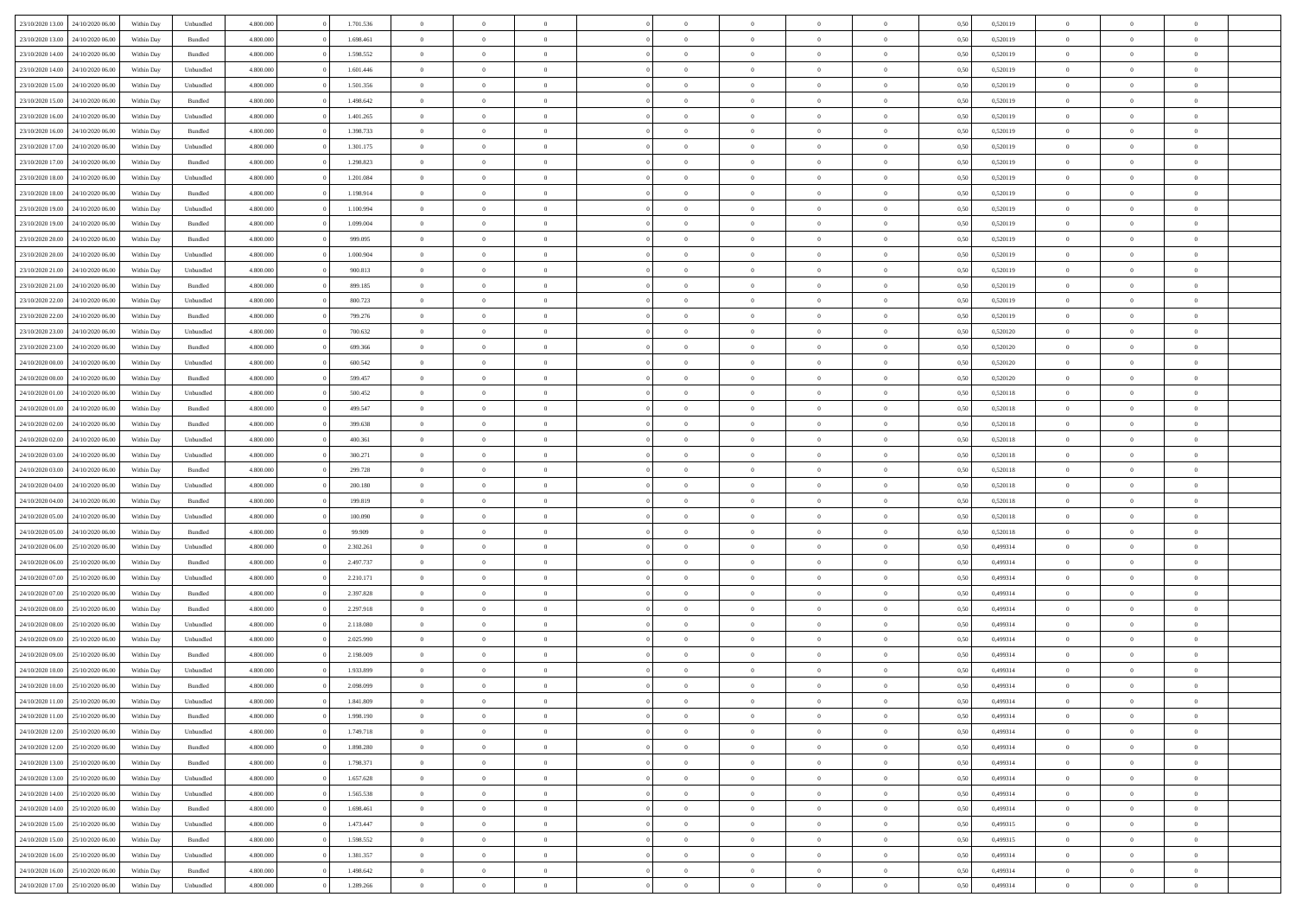|                                   |                  |            |           |           | 1.701.536 | $\overline{0}$ | $\Omega$       |                |                | $\Omega$       | $\Omega$       | $\theta$       |      |          | $\theta$       |                | $\theta$       |  |
|-----------------------------------|------------------|------------|-----------|-----------|-----------|----------------|----------------|----------------|----------------|----------------|----------------|----------------|------|----------|----------------|----------------|----------------|--|
| 23/10/2020 13:00                  | 24/10/2020 06.00 | Within Dav | Unbundled | 4.800.000 |           |                |                |                | $\Omega$       |                |                |                | 0.50 | 0,520119 |                | $\theta$       |                |  |
| 23/10/2020 13:00                  | 24/10/2020 06.00 | Within Day | Bundled   | 4.800.000 | 1.698.461 | $\overline{0}$ | $\theta$       | $\overline{0}$ | $\overline{0}$ | $\bf{0}$       | $\overline{0}$ | $\bf{0}$       | 0,50 | 0,520119 | $\theta$       | $\overline{0}$ | $\overline{0}$ |  |
| 23/10/2020 14:00                  | 24/10/2020 06.00 | Within Day | Bundled   | 4.800.000 | 1.598.552 | $\overline{0}$ | $\overline{0}$ | $\overline{0}$ | $\bf{0}$       | $\bf{0}$       | $\bf{0}$       | $\bf{0}$       | 0,50 | 0,520119 | $\bf{0}$       | $\overline{0}$ | $\overline{0}$ |  |
|                                   |                  |            |           |           |           |                |                |                |                |                |                |                |      |          |                |                |                |  |
| 23/10/2020 14:00                  | 24/10/2020 06.00 | Within Dav | Unbundled | 4.800.000 | 1.601.446 | $\overline{0}$ | $\overline{0}$ | $\overline{0}$ | $\overline{0}$ | $\bf{0}$       | $\overline{0}$ | $\overline{0}$ | 0.50 | 0.520119 | $\theta$       | $\theta$       | $\overline{0}$ |  |
| 23/10/2020 15:00                  | 24/10/2020 06.00 | Within Day | Unbundled | 4.800.000 | 1.501.356 | $\overline{0}$ | $\theta$       | $\overline{0}$ | $\overline{0}$ | $\bf{0}$       | $\overline{0}$ | $\bf{0}$       | 0,50 | 0,520119 | $\theta$       | $\theta$       | $\overline{0}$ |  |
| 23/10/2020 15:00                  | 24/10/2020 06.00 | Within Day | Bundled   | 4.800.000 | 1.498.642 | $\overline{0}$ | $\bf{0}$       | $\overline{0}$ | $\bf{0}$       | $\overline{0}$ | $\overline{0}$ | $\mathbf{0}$   | 0,50 | 0,520119 | $\overline{0}$ | $\overline{0}$ | $\bf{0}$       |  |
| 23/10/2020 16:00                  | 24/10/2020 06.00 | Within Dav | Unbundled | 4.800.000 | 1.401.265 | $\overline{0}$ | $\overline{0}$ | $\overline{0}$ | $\overline{0}$ | $\overline{0}$ | $\overline{0}$ | $\overline{0}$ | 0.50 | 0,520119 | $\theta$       | $\overline{0}$ | $\overline{0}$ |  |
|                                   |                  |            |           |           |           |                |                |                |                |                |                |                |      |          |                |                |                |  |
| 23/10/2020 16:00                  | 24/10/2020 06.00 | Within Day | Bundled   | 4.800.000 | 1.398.733 | $\overline{0}$ | $\theta$       | $\overline{0}$ | $\overline{0}$ | $\bf{0}$       | $\overline{0}$ | $\bf{0}$       | 0,50 | 0,520119 | $\theta$       | $\theta$       | $\overline{0}$ |  |
| 23/10/2020 17:00                  | 24/10/2020 06.00 | Within Day | Unbundled | 4.800.000 | 1.301.175 | $\overline{0}$ | $\overline{0}$ | $\overline{0}$ | $\bf{0}$       | $\bf{0}$       | $\bf{0}$       | $\bf{0}$       | 0,50 | 0,520119 | $\,0\,$        | $\overline{0}$ | $\overline{0}$ |  |
| 23/10/2020 17:00                  | 24/10/2020 06.00 | Within Dav | Bundled   | 4.800.000 | 1.298.823 | $\overline{0}$ | $\overline{0}$ | $\overline{0}$ | $\overline{0}$ | $\overline{0}$ | $\overline{0}$ | $\overline{0}$ | 0.50 | 0,520119 | $\theta$       | $\overline{0}$ | $\overline{0}$ |  |
|                                   |                  |            |           |           |           |                |                |                |                |                |                |                |      |          |                |                |                |  |
| 23/10/2020 18:00                  | 24/10/2020 06.00 | Within Day | Unbundled | 4.800.000 | 1.201.084 | $\overline{0}$ | $\theta$       | $\overline{0}$ | $\overline{0}$ | $\bf{0}$       | $\overline{0}$ | $\bf{0}$       | 0,50 | 0,520119 | $\,$ 0 $\,$    | $\theta$       | $\overline{0}$ |  |
| 23/10/2020 18:00                  | 24/10/2020 06.00 | Within Day | Bundled   | 4.800.000 | 1.198.914 | $\overline{0}$ | $\overline{0}$ | $\overline{0}$ | $\bf{0}$       | $\bf{0}$       | $\bf{0}$       | $\bf{0}$       | 0,50 | 0,520119 | $\overline{0}$ | $\overline{0}$ | $\overline{0}$ |  |
| 23/10/2020 19:00                  | 24/10/2020 06.00 | Within Day | Unbundled | 4.800.000 | 1.100.994 | $\overline{0}$ | $\overline{0}$ | $\overline{0}$ | $\overline{0}$ | $\bf{0}$       | $\overline{0}$ | $\overline{0}$ | 0.50 | 0.520119 | $\theta$       | $\theta$       | $\overline{0}$ |  |
|                                   |                  |            |           |           |           |                |                |                |                |                |                |                |      |          |                |                |                |  |
| 23/10/2020 19:00                  | 24/10/2020 06.00 | Within Day | Bundled   | 4.800.000 | 1.099.004 | $\overline{0}$ | $\theta$       | $\overline{0}$ | $\overline{0}$ | $\bf{0}$       | $\overline{0}$ | $\bf{0}$       | 0,50 | 0,520119 | $\theta$       | $\theta$       | $\overline{0}$ |  |
| 23/10/2020 20:00                  | 24/10/2020 06.00 | Within Day | Bundled   | 4.800.000 | 999.095   | $\overline{0}$ | $\bf{0}$       | $\overline{0}$ | $\bf{0}$       | $\overline{0}$ | $\overline{0}$ | $\mathbf{0}$   | 0,50 | 0,520119 | $\overline{0}$ | $\overline{0}$ | $\bf{0}$       |  |
| 23/10/2020 20:00                  | 24/10/2020 06.00 | Within Dav | Unbundled | 4.800.000 | 1.000.904 | $\overline{0}$ | $\overline{0}$ | $\overline{0}$ | $\overline{0}$ | $\overline{0}$ | $\overline{0}$ | $\overline{0}$ | 0.50 | 0,520119 | $\theta$       | $\overline{0}$ | $\overline{0}$ |  |
| 23/10/2020 21.00                  | 24/10/2020 06.00 | Within Day | Unbundled | 4.800.000 | 900.813   | $\overline{0}$ | $\theta$       | $\overline{0}$ | $\overline{0}$ | $\bf{0}$       | $\overline{0}$ | $\bf{0}$       | 0,50 | 0,520119 | $\,$ 0 $\,$    | $\theta$       | $\overline{0}$ |  |
|                                   |                  |            |           |           |           |                |                |                |                |                |                |                |      |          |                |                |                |  |
| 23/10/2020 21:00                  | 24/10/2020 06.00 | Within Day | Bundled   | 4.800.000 | 899.185   | $\overline{0}$ | $\overline{0}$ | $\overline{0}$ | $\bf{0}$       | $\bf{0}$       | $\bf{0}$       | $\bf{0}$       | 0,50 | 0,520119 | $\,0\,$        | $\overline{0}$ | $\overline{0}$ |  |
| 23/10/2020 22.00                  | 24/10/2020 06.00 | Within Day | Unbundled | 4.800.000 | 800.723   | $\overline{0}$ | $\overline{0}$ | $\overline{0}$ | $\overline{0}$ | $\overline{0}$ | $\overline{0}$ | $\overline{0}$ | 0.50 | 0,520119 | $\theta$       | $\overline{0}$ | $\overline{0}$ |  |
| 23/10/2020 22.00                  | 24/10/2020 06.00 | Within Day | Bundled   | 4.800.000 | 799.276   | $\overline{0}$ | $\theta$       | $\overline{0}$ | $\overline{0}$ | $\bf{0}$       | $\overline{0}$ | $\bf{0}$       | 0,50 | 0,520119 | $\,$ 0 $\,$    | $\theta$       | $\overline{0}$ |  |
|                                   |                  |            |           |           |           |                |                |                |                |                |                |                |      |          |                |                |                |  |
| 23/10/2020 23.00                  | 24/10/2020 06.00 | Within Day | Unbundled | 4.800.000 | 700.632   | $\overline{0}$ | $\overline{0}$ | $\overline{0}$ | $\bf{0}$       | $\bf{0}$       | $\bf{0}$       | $\bf{0}$       | 0,50 | 0,520120 | $\,0\,$        | $\overline{0}$ | $\overline{0}$ |  |
| 23/10/2020 23:00                  | 24/10/2020 06.00 | Within Day | Bundled   | 4.800.000 | 699,366   | $\overline{0}$ | $\overline{0}$ | $\overline{0}$ | $\overline{0}$ | $\bf{0}$       | $\overline{0}$ | $\overline{0}$ | 0.50 | 0.520120 | $\theta$       | $\theta$       | $\overline{0}$ |  |
| 24/10/2020 00.00                  | 24/10/2020 06.00 | Within Day | Unbundled | 4.800.000 | 600.542   | $\overline{0}$ | $\theta$       | $\overline{0}$ | $\overline{0}$ | $\bf{0}$       | $\overline{0}$ | $\bf{0}$       | 0,50 | 0,520120 | $\,$ 0 $\,$    | $\overline{0}$ | $\overline{0}$ |  |
|                                   |                  |            |           |           |           |                | $\bf{0}$       |                |                |                |                |                |      |          |                | $\overline{0}$ | $\bf{0}$       |  |
| 24/10/2020 00.00                  | 24/10/2020 06.00 | Within Day | Bundled   | 4.800.000 | 599.457   | $\overline{0}$ |                | $\overline{0}$ | $\bf{0}$       | $\overline{0}$ | $\overline{0}$ | $\mathbf{0}$   | 0,50 | 0,520120 | $\overline{0}$ |                |                |  |
| 24/10/2020 01:00                  | 24/10/2020 06.00 | Within Dav | Unbundled | 4.800.000 | 500,452   | $\overline{0}$ | $\overline{0}$ | $\overline{0}$ | $\overline{0}$ | $\overline{0}$ | $\overline{0}$ | $\overline{0}$ | 0.50 | 0,520118 | $\theta$       | $\overline{0}$ | $\overline{0}$ |  |
| 24/10/2020 01.00                  | 24/10/2020 06.00 | Within Day | Bundled   | 4.800.000 | 499.547   | $\overline{0}$ | $\theta$       | $\overline{0}$ | $\overline{0}$ | $\bf{0}$       | $\overline{0}$ | $\bf{0}$       | 0,50 | 0,520118 | $\theta$       | $\theta$       | $\overline{0}$ |  |
| 24/10/2020 02.00                  | 24/10/2020 06.00 | Within Day | Bundled   | 4.800.000 | 399.638   | $\overline{0}$ | $\overline{0}$ | $\overline{0}$ | $\bf{0}$       | $\bf{0}$       | $\bf{0}$       | $\bf{0}$       | 0,50 | 0,520118 | $\,0\,$        | $\overline{0}$ | $\overline{0}$ |  |
|                                   |                  |            |           |           |           |                |                |                |                |                |                |                |      |          |                |                |                |  |
| 24/10/2020 02.00                  | 24/10/2020 06.00 | Within Day | Unbundled | 4.800.000 | 400.361   | $\overline{0}$ | $\overline{0}$ | $\overline{0}$ | $\overline{0}$ | $\overline{0}$ | $\overline{0}$ | $\overline{0}$ | 0.50 | 0,520118 | $\theta$       | $\overline{0}$ | $\overline{0}$ |  |
| 24/10/2020 03.00                  | 24/10/2020 06.00 | Within Day | Unbundled | 4.800.000 | 300.271   | $\overline{0}$ | $\theta$       | $\overline{0}$ | $\overline{0}$ | $\bf{0}$       | $\overline{0}$ | $\bf{0}$       | 0,50 | 0,520118 | $\,$ 0 $\,$    | $\overline{0}$ | $\overline{0}$ |  |
| 24/10/2020 03.00                  | 24/10/2020 06.00 | Within Day | Bundled   | 4.800.000 | 299.728   | $\overline{0}$ | $\overline{0}$ | $\overline{0}$ | $\bf{0}$       | $\bf{0}$       | $\bf{0}$       | $\bf{0}$       | 0,50 | 0,520118 | $\overline{0}$ | $\overline{0}$ | $\overline{0}$ |  |
|                                   |                  |            |           |           |           |                |                |                |                |                |                |                |      |          |                |                | $\theta$       |  |
| 24/10/2020 04:00                  | 24/10/2020 06.00 | Within Day | Unbundled | 4.800.000 | 200.180   | $\overline{0}$ | $\Omega$       | $\Omega$       | $\Omega$       | $\Omega$       | $\overline{0}$ | $\overline{0}$ | 0,50 | 0,520118 | $\,0\,$        | $\theta$       |                |  |
| 24/10/2020 04.00                  | 24/10/2020 06.00 | Within Day | Bundled   | 4.800.000 | 199.819   | $\overline{0}$ | $\theta$       | $\overline{0}$ | $\overline{0}$ | $\bf{0}$       | $\overline{0}$ | $\bf{0}$       | 0,50 | 0,520118 | $\,$ 0 $\,$    | $\theta$       | $\overline{0}$ |  |
| 24/10/2020 05.00                  | 24/10/2020 06.00 | Within Day | Unbundled | 4.800.000 | 100.090   | $\overline{0}$ | $\overline{0}$ | $\overline{0}$ | $\bf{0}$       | $\bf{0}$       | $\overline{0}$ | $\mathbf{0}$   | 0,50 | 0,520118 | $\overline{0}$ | $\overline{0}$ | $\bf{0}$       |  |
| 24/10/2020 05.00                  | 24/10/2020 06.00 | Within Day | Bundled   | 4.800,000 | 99,909    | $\overline{0}$ | $\Omega$       | $\Omega$       | $\Omega$       | $\bf{0}$       | $\overline{0}$ | $\overline{0}$ | 0.50 | 0,520118 | $\,0\,$        | $\theta$       | $\theta$       |  |
|                                   |                  |            |           |           |           |                |                |                |                |                |                |                |      |          |                |                |                |  |
| 24/10/2020 06.00                  | 25/10/2020 06.00 | Within Day | Unbundled | 4.800.000 | 2.302.261 | $\overline{0}$ | $\theta$       | $\overline{0}$ | $\overline{0}$ | $\bf{0}$       | $\overline{0}$ | $\bf{0}$       | 0,50 | 0,499314 | $\,$ 0 $\,$    | $\theta$       | $\overline{0}$ |  |
| 24/10/2020 06:00                  | 25/10/2020 06.00 | Within Day | Bundled   | 4.800.000 | 2.497.737 | $\overline{0}$ | $\overline{0}$ | $\overline{0}$ | $\overline{0}$ | $\bf{0}$       | $\overline{0}$ | $\bf{0}$       | 0,50 | 0,499314 | $\,0\,$        | $\overline{0}$ | $\overline{0}$ |  |
| 24/10/2020 07:00                  | 25/10/2020 06.00 | Within Day | Unbundled | 4.800,000 | 2.210.171 | $\overline{0}$ | $\Omega$       | $\Omega$       | $\Omega$       | $\Omega$       | $\theta$       | $\overline{0}$ | 0.50 | 0,499314 | $\,0\,$        | $\theta$       | $\theta$       |  |
| 24/10/2020 07.00                  | 25/10/2020 06.00 |            | Bundled   | 4.800.000 | 2.397.828 | $\overline{0}$ | $\theta$       | $\overline{0}$ | $\overline{0}$ | $\bf{0}$       | $\overline{0}$ |                |      | 0,499314 | $\,$ 0 $\,$    | $\overline{0}$ | $\overline{0}$ |  |
|                                   |                  | Within Day |           |           |           |                |                |                |                |                |                | $\bf{0}$       | 0,50 |          |                |                |                |  |
| 24/10/2020 08.00                  | 25/10/2020 06.00 | Within Day | Bundled   | 4.800.000 | 2.297.918 | $\overline{0}$ | $\overline{0}$ | $\overline{0}$ | $\overline{0}$ | $\bf{0}$       | $\overline{0}$ | $\bf{0}$       | 0,50 | 0,499314 | $\bf{0}$       | $\overline{0}$ | $\overline{0}$ |  |
| 24/10/2020 08:00                  | 25/10/2020 06.00 | Within Day | Unbundled | 4.800,000 | 2.118.080 | $\overline{0}$ | $\Omega$       | $\overline{0}$ | $\Omega$       | $\Omega$       | $\overline{0}$ | $\overline{0}$ | 0.50 | 0,499314 | $\,0\,$        | $\theta$       | $\theta$       |  |
| 24/10/2020 09:00                  | 25/10/2020 06.00 | Within Day | Unbundled | 4.800.000 | 2.025.990 | $\overline{0}$ | $\theta$       | $\overline{0}$ | $\overline{0}$ | $\bf{0}$       | $\overline{0}$ | $\bf{0}$       | 0,50 | 0,499314 | $\,$ 0 $\,$    | $\overline{0}$ | $\overline{0}$ |  |
|                                   |                  |            |           |           |           |                |                |                |                |                |                |                |      |          |                |                |                |  |
| 24/10/2020 09:00                  | 25/10/2020 06.00 | Within Day | Bundled   | 4.800.000 | 2.198.009 | $\overline{0}$ | $\overline{0}$ | $\overline{0}$ | $\overline{0}$ | $\bf{0}$       | $\overline{0}$ | $\mathbf{0}$   | 0,50 | 0,499314 | $\bf{0}$       | $\overline{0}$ | $\bf{0}$       |  |
| 24/10/2020 10:00                  | 25/10/2020 06:00 | Within Day | Unbundled | 4.800,000 | 1.933.899 | $\overline{0}$ | $\Omega$       | $\Omega$       | $\Omega$       | $\Omega$       | $\Omega$       | $\overline{0}$ | 0.50 | 0,499314 | $\theta$       | $\theta$       | $\theta$       |  |
| 24/10/2020 10:00                  | 25/10/2020 06.00 | Within Day | Bundled   | 4.800.000 | 2.098.099 | $\overline{0}$ | $\,$ 0 $\,$    | $\overline{0}$ | $\bf{0}$       | $\,$ 0         | $\overline{0}$ | $\bf{0}$       | 0,50 | 0,499314 | $\,0\,$        | $\overline{0}$ | $\overline{0}$ |  |
| 24/10/2020 11:00                  | 25/10/2020 06.00 | Within Day | Unbundled | 4.800.000 | 1.841.809 | $\bf{0}$       | $\bf{0}$       |                |                |                |                |                | 0,50 | 0,499314 | $\bf{0}$       | $\overline{0}$ |                |  |
|                                   |                  |            |           |           |           |                |                |                |                |                |                |                |      |          |                |                |                |  |
| 24/10/2020 11:00                  | 25/10/2020 06:00 | Within Day | Bundled   | 4.800.000 | 1.998.190 | $\overline{0}$ | $\overline{0}$ | $\overline{0}$ | $\Omega$       | $\theta$       | $\overline{0}$ | $\overline{0}$ | 0.50 | 0,499314 | $\theta$       | $\theta$       | $\theta$       |  |
| 24/10/2020 12.00                  | 25/10/2020 06.00 | Within Day | Unbundled | 4.800.000 | 1.749.718 | $\overline{0}$ | $\,$ 0         | $\overline{0}$ | $\overline{0}$ | $\,$ 0 $\,$    | $\overline{0}$ | $\mathbf{0}$   | 0,50 | 0,499314 | $\,$ 0 $\,$    | $\,$ 0 $\,$    | $\,$ 0         |  |
| 24/10/2020 12:00                  | 25/10/2020 06.00 | Within Day | Bundled   | 4.800.000 | 1.898.280 | $\overline{0}$ | $\overline{0}$ | $\overline{0}$ | $\overline{0}$ | $\overline{0}$ | $\overline{0}$ | $\mathbf{0}$   | 0,50 | 0,499314 | $\overline{0}$ | $\bf{0}$       | $\bf{0}$       |  |
|                                   |                  |            |           |           |           |                |                |                |                |                |                |                |      |          |                |                |                |  |
| 24/10/2020 13:00                  | 25/10/2020 06.00 | Within Day | Bundled   | 4.800,000 | 1.798.371 | $\overline{0}$ | $\overline{0}$ | $\overline{0}$ | $\Omega$       | $\overline{0}$ | $\overline{0}$ | $\overline{0}$ | 0,50 | 0,499314 | $\bf{0}$       | $\theta$       | $\overline{0}$ |  |
| 24/10/2020 13:00                  | 25/10/2020 06.00 | Within Day | Unbundled | 4.800.000 | 1.657.628 | $\overline{0}$ | $\,$ 0         | $\overline{0}$ | $\overline{0}$ | $\,$ 0 $\,$    | $\overline{0}$ | $\mathbf{0}$   | 0,50 | 0,499314 | $\,$ 0 $\,$    | $\overline{0}$ | $\overline{0}$ |  |
| 24/10/2020 14:00                  | 25/10/2020 06.00 | Within Day | Unbundled | 4.800.000 | 1.565.538 | $\overline{0}$ | $\overline{0}$ | $\overline{0}$ | $\overline{0}$ | $\overline{0}$ | $\overline{0}$ | $\mathbf{0}$   | 0,50 | 0,499314 | $\overline{0}$ | $\overline{0}$ | $\bf{0}$       |  |
|                                   |                  |            |           | 4.800,000 |           |                | $\overline{0}$ | $\overline{0}$ | $\Omega$       | $\overline{0}$ | $\overline{0}$ |                | 0.50 |          |                | $\theta$       | $\overline{0}$ |  |
| 24/10/2020 14:00                  | 25/10/2020 06.00 | Within Day | Bundled   |           | 1.698.461 | $\overline{0}$ |                |                |                |                |                | $\bf{0}$       |      | 0,499314 | $\overline{0}$ |                |                |  |
| 24/10/2020 15.00                  | 25/10/2020 06.00 | Within Day | Unbundled | 4.800.000 | 1.473.447 | $\overline{0}$ | $\,$ 0         | $\overline{0}$ | $\overline{0}$ | $\bf{0}$       | $\bf{0}$       | $\bf{0}$       | 0,50 | 0,499315 | $\,$ 0 $\,$    | $\overline{0}$ | $\overline{0}$ |  |
| 24/10/2020 15:00                  | 25/10/2020 06.00 | Within Day | Bundled   | 4.800.000 | 1.598.552 | $\overline{0}$ | $\bf{0}$       | $\overline{0}$ | $\overline{0}$ | $\overline{0}$ | $\overline{0}$ | $\mathbf{0}$   | 0,50 | 0,499315 | $\overline{0}$ | $\overline{0}$ | $\bf{0}$       |  |
| 24/10/2020 16.00                  | 25/10/2020 06:00 | Within Day | Unbundled | 4.800,000 | 1.381.357 | $\overline{0}$ | $\overline{0}$ | $\overline{0}$ | $\Omega$       | $\overline{0}$ | $\overline{0}$ | $\bf{0}$       | 0.50 | 0,499314 | $\overline{0}$ | $\theta$       | $\overline{0}$ |  |
|                                   |                  |            |           |           |           |                |                |                |                |                |                |                |      |          |                |                |                |  |
| 24/10/2020 16.00                  | 25/10/2020 06.00 | Within Day | Bundled   | 4.800.000 | 1.498.642 | $\overline{0}$ | $\bf{0}$       | $\overline{0}$ | $\overline{0}$ | $\bf{0}$       | $\bf{0}$       | $\mathbf{0}$   | 0,50 | 0,499314 | $\,$ 0 $\,$    | $\,$ 0 $\,$    | $\bf{0}$       |  |
| 24/10/2020 17.00 25/10/2020 06.00 |                  | Within Day | Unbundled | 4.800.000 | 1.289.266 | $\overline{0}$ | $\overline{0}$ | $\overline{0}$ | $\overline{0}$ | $\overline{0}$ | $\bf{0}$       | $\mathbf{0}$   | 0,50 | 0,499314 | $\overline{0}$ | $\bf{0}$       | $\bf{0}$       |  |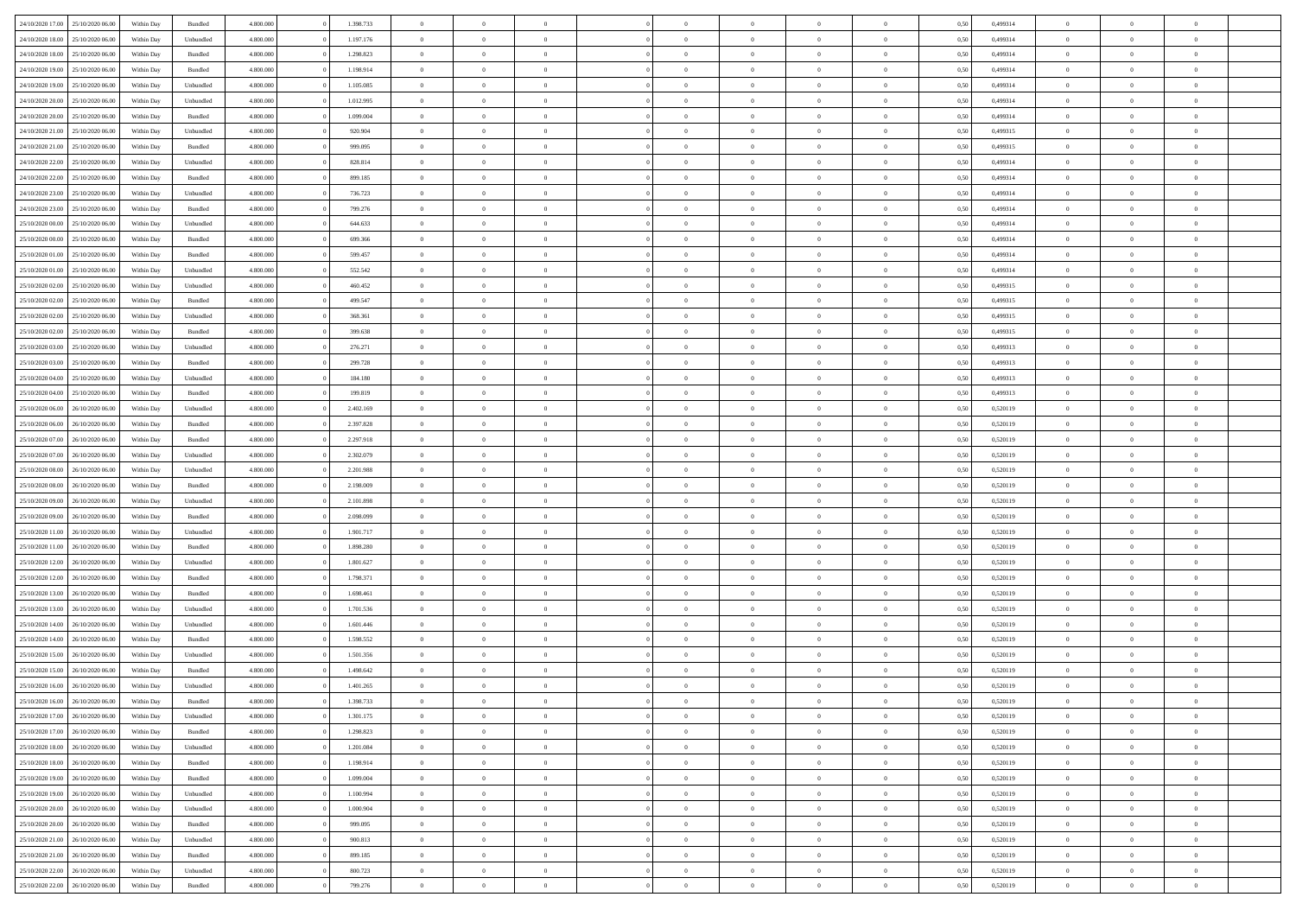|                  |                  |            |                    |           |           | $\overline{0}$ | $\Omega$       |                |                | $\Omega$       | $\Omega$       | $\theta$       |      |          | $\theta$       |                | $\theta$       |  |
|------------------|------------------|------------|--------------------|-----------|-----------|----------------|----------------|----------------|----------------|----------------|----------------|----------------|------|----------|----------------|----------------|----------------|--|
| 24/10/2020 17:00 | 25/10/2020 06:00 | Within Dav | Bundled            | 4.800.000 | 1.398.733 |                |                |                | $\Omega$       |                |                |                | 0.50 | 0,499314 |                | $\theta$       |                |  |
| 24/10/2020 18.00 | 25/10/2020 06.00 | Within Day | Unbundled          | 4.800.000 | 1.197.176 | $\overline{0}$ | $\theta$       | $\overline{0}$ | $\overline{0}$ | $\bf{0}$       | $\overline{0}$ | $\bf{0}$       | 0,50 | 0,499314 | $\theta$       | $\theta$       | $\overline{0}$ |  |
| 24/10/2020 18:00 | 25/10/2020 06.00 | Within Day | Bundled            | 4.800.000 | 1.298.823 | $\overline{0}$ | $\overline{0}$ | $\overline{0}$ | $\bf{0}$       | $\bf{0}$       | $\bf{0}$       | $\bf{0}$       | 0,50 | 0,499314 | $\bf{0}$       | $\overline{0}$ | $\overline{0}$ |  |
|                  |                  |            |                    |           |           |                |                |                |                |                |                |                |      |          | $\theta$       |                |                |  |
| 24/10/2020 19:00 | 25/10/2020 06:00 | Within Dav | Bundled            | 4.800.000 | 1.198.914 | $\overline{0}$ | $\overline{0}$ | $\overline{0}$ | $\overline{0}$ | $\bf{0}$       | $\overline{0}$ | $\overline{0}$ | 0.50 | 0,499314 |                | $\theta$       | $\overline{0}$ |  |
| 24/10/2020 19:00 | 25/10/2020 06.00 | Within Day | Unbundled          | 4.800.000 | 1.105.085 | $\overline{0}$ | $\theta$       | $\overline{0}$ | $\overline{0}$ | $\bf{0}$       | $\overline{0}$ | $\bf{0}$       | 0,50 | 0,499314 | $\theta$       | $\theta$       | $\overline{0}$ |  |
| 24/10/2020 20.00 | 25/10/2020 06.00 | Within Day | Unbundled          | 4.800.000 | 1.012.995 | $\overline{0}$ | $\bf{0}$       | $\overline{0}$ | $\bf{0}$       | $\overline{0}$ | $\overline{0}$ | $\mathbf{0}$   | 0,50 | 0,499314 | $\overline{0}$ | $\overline{0}$ | $\bf{0}$       |  |
| 24/10/2020 20:00 | 25/10/2020 06.00 | Within Dav | Bundled            | 4.800.000 | 1.099.004 | $\overline{0}$ | $\overline{0}$ | $\overline{0}$ | $\overline{0}$ | $\overline{0}$ | $\overline{0}$ | $\overline{0}$ | 0.50 | 0,499314 | $\theta$       | $\overline{0}$ | $\overline{0}$ |  |
|                  |                  |            |                    |           |           |                |                |                |                |                |                |                |      |          |                |                |                |  |
| 24/10/2020 21.00 | 25/10/2020 06.00 | Within Day | Unbundled          | 4.800.000 | 920.904   | $\overline{0}$ | $\theta$       | $\overline{0}$ | $\overline{0}$ | $\bf{0}$       | $\overline{0}$ | $\bf{0}$       | 0,50 | 0,499315 | $\theta$       | $\theta$       | $\overline{0}$ |  |
| 24/10/2020 21.00 | 25/10/2020 06.00 | Within Day | Bundled            | 4.800.000 | 999.095   | $\overline{0}$ | $\overline{0}$ | $\overline{0}$ | $\bf{0}$       | $\bf{0}$       | $\bf{0}$       | $\bf{0}$       | 0,50 | 0,499315 | $\,0\,$        | $\overline{0}$ | $\overline{0}$ |  |
| 24/10/2020 22.00 | 25/10/2020 06:00 | Within Dav | Unbundled          | 4.800.000 | 828.814   | $\overline{0}$ | $\overline{0}$ | $\overline{0}$ | $\overline{0}$ | $\overline{0}$ | $\overline{0}$ | $\overline{0}$ | 0.50 | 0,499314 | $\theta$       | $\overline{0}$ | $\overline{0}$ |  |
|                  |                  |            |                    |           |           |                |                |                |                |                |                |                |      |          |                |                |                |  |
| 24/10/2020 22.00 | 25/10/2020 06.00 | Within Day | Bundled            | 4.800.000 | 899.185   | $\overline{0}$ | $\theta$       | $\overline{0}$ | $\overline{0}$ | $\bf{0}$       | $\overline{0}$ | $\bf{0}$       | 0,50 | 0,499314 | $\,$ 0 $\,$    | $\theta$       | $\overline{0}$ |  |
| 24/10/2020 23.00 | 25/10/2020 06.00 | Within Day | Unbundled          | 4.800.000 | 736.723   | $\overline{0}$ | $\overline{0}$ | $\overline{0}$ | $\bf{0}$       | $\bf{0}$       | $\bf{0}$       | $\bf{0}$       | 0,50 | 0,499314 | $\overline{0}$ | $\overline{0}$ | $\overline{0}$ |  |
| 24/10/2020 23:00 | 25/10/2020 06:00 | Within Day | Bundled            | 4.800.000 | 799.276   | $\overline{0}$ | $\overline{0}$ | $\overline{0}$ | $\overline{0}$ | $\bf{0}$       | $\overline{0}$ | $\overline{0}$ | 0.50 | 0,499314 | $\theta$       | $\theta$       | $\overline{0}$ |  |
|                  |                  |            |                    |           |           |                |                |                |                |                |                |                |      |          |                |                |                |  |
| 25/10/2020 00.00 | 25/10/2020 06.00 | Within Day | Unbundled          | 4.800.000 | 644.633   | $\overline{0}$ | $\theta$       | $\overline{0}$ | $\overline{0}$ | $\bf{0}$       | $\overline{0}$ | $\bf{0}$       | 0,50 | 0,499314 | $\theta$       | $\theta$       | $\overline{0}$ |  |
| 25/10/2020 00:00 | 25/10/2020 06.00 | Within Day | Bundled            | 4.800.000 | 699.366   | $\overline{0}$ | $\overline{0}$ | $\overline{0}$ | $\bf{0}$       | $\overline{0}$ | $\overline{0}$ | $\mathbf{0}$   | 0,50 | 0,499314 | $\overline{0}$ | $\overline{0}$ | $\bf{0}$       |  |
| 25/10/2020 01:00 | 25/10/2020 06:00 | Within Dav | Bundled            | 4.800.000 | 599,457   | $\overline{0}$ | $\overline{0}$ | $\overline{0}$ | $\overline{0}$ | $\overline{0}$ | $\overline{0}$ | $\overline{0}$ | 0.50 | 0,499314 | $\theta$       | $\overline{0}$ | $\overline{0}$ |  |
| 25/10/2020 01.00 | 25/10/2020 06.00 | Within Day | Unbundled          | 4.800.000 | 552.542   | $\overline{0}$ | $\theta$       | $\overline{0}$ | $\overline{0}$ | $\bf{0}$       | $\overline{0}$ | $\bf{0}$       | 0,50 | 0,499314 | $\theta$       | $\theta$       | $\overline{0}$ |  |
|                  |                  |            |                    |           |           |                |                |                |                |                |                |                |      |          |                |                |                |  |
| 25/10/2020 02:00 | 25/10/2020 06.00 | Within Day | Unbundled          | 4.800.000 | 460.452   | $\overline{0}$ | $\overline{0}$ | $\overline{0}$ | $\bf{0}$       | $\bf{0}$       | $\bf{0}$       | $\bf{0}$       | 0,50 | 0,499315 | $\,0\,$        | $\overline{0}$ | $\overline{0}$ |  |
| 25/10/2020 02:00 | 25/10/2020 06:00 | Within Day | Bundled            | 4.800.000 | 499.547   | $\overline{0}$ | $\overline{0}$ | $\overline{0}$ | $\overline{0}$ | $\overline{0}$ | $\overline{0}$ | $\overline{0}$ | 0.50 | 0,499315 | $\theta$       | $\overline{0}$ | $\overline{0}$ |  |
| 25/10/2020 02.00 | 25/10/2020 06.00 | Within Day | Unbundled          | 4.800.000 | 368.361   | $\overline{0}$ | $\theta$       | $\overline{0}$ | $\overline{0}$ | $\bf{0}$       | $\overline{0}$ | $\bf{0}$       | 0,50 | 0,499315 | $\,$ 0 $\,$    | $\theta$       | $\overline{0}$ |  |
|                  |                  |            |                    |           |           |                |                |                |                |                |                |                |      |          |                |                |                |  |
| 25/10/2020 02:00 | 25/10/2020 06.00 | Within Day | Bundled            | 4.800.000 | 399.638   | $\overline{0}$ | $\overline{0}$ | $\overline{0}$ | $\bf{0}$       | $\bf{0}$       | $\bf{0}$       | $\bf{0}$       | 0,50 | 0,499315 | $\bf{0}$       | $\overline{0}$ | $\overline{0}$ |  |
| 25/10/2020 03:00 | 25/10/2020 06:00 | Within Day | Unbundled          | 4.800.000 | 276.271   | $\overline{0}$ | $\overline{0}$ | $\overline{0}$ | $\overline{0}$ | $\bf{0}$       | $\overline{0}$ | $\overline{0}$ | 0.50 | 0,499313 | $\theta$       | $\theta$       | $\overline{0}$ |  |
| 25/10/2020 03.00 | 25/10/2020 06.00 | Within Day | Bundled            | 4.800.000 | 299.728   | $\overline{0}$ | $\theta$       | $\overline{0}$ | $\overline{0}$ | $\bf{0}$       | $\overline{0}$ | $\bf{0}$       | 0,50 | 0,499313 | $\theta$       | $\overline{0}$ | $\overline{0}$ |  |
|                  |                  |            |                    |           |           |                |                |                |                |                |                |                |      |          |                |                |                |  |
| 25/10/2020 04:00 | 25/10/2020 06.00 | Within Day | Unbundled          | 4.800.000 | 184.180   | $\overline{0}$ | $\bf{0}$       | $\overline{0}$ | $\bf{0}$       | $\overline{0}$ | $\overline{0}$ | $\mathbf{0}$   | 0,50 | 0,499313 | $\bf{0}$       | $\overline{0}$ | $\bf{0}$       |  |
| 25/10/2020 04:00 | 25/10/2020 06.00 | Within Dav | Bundled            | 4.800.000 | 199.819   | $\overline{0}$ | $\overline{0}$ | $\overline{0}$ | $\overline{0}$ | $\overline{0}$ | $\overline{0}$ | $\overline{0}$ | 0.50 | 0,499313 | $\theta$       | $\overline{0}$ | $\overline{0}$ |  |
| 25/10/2020 06.00 | 26/10/2020 06.00 | Within Day | Unbundled          | 4.800.000 | 2.402.169 | $\overline{0}$ | $\theta$       | $\overline{0}$ | $\overline{0}$ | $\bf{0}$       | $\overline{0}$ | $\bf{0}$       | 0,50 | 0,520119 | $\theta$       | $\theta$       | $\overline{0}$ |  |
| 25/10/2020 06.00 | 26/10/2020 06.00 | Within Day | Bundled            | 4.800.000 | 2.397.828 | $\overline{0}$ | $\overline{0}$ | $\overline{0}$ | $\bf{0}$       | $\bf{0}$       | $\bf{0}$       | $\bf{0}$       | 0,50 | 0,520119 | $\,0\,$        | $\overline{0}$ | $\overline{0}$ |  |
|                  |                  |            |                    |           |           |                |                |                |                |                |                |                |      |          |                |                |                |  |
| 25/10/2020 07:00 | 26/10/2020 06:00 | Within Day | Bundled            | 4.800.000 | 2.297.918 | $\overline{0}$ | $\overline{0}$ | $\overline{0}$ | $\overline{0}$ | $\overline{0}$ | $\overline{0}$ | $\overline{0}$ | 0.50 | 0,520119 | $\theta$       | $\overline{0}$ | $\overline{0}$ |  |
| 25/10/2020 07.00 | 26/10/2020 06.00 | Within Day | Unbundled          | 4.800.000 | 2.302.079 | $\overline{0}$ | $\theta$       | $\overline{0}$ | $\overline{0}$ | $\bf{0}$       | $\overline{0}$ | $\bf{0}$       | 0,50 | 0,520119 | $\,$ 0 $\,$    | $\overline{0}$ | $\overline{0}$ |  |
| 25/10/2020 08:00 | 26/10/2020 06.00 | Within Day | Unbundled          | 4.800.000 | 2.201.988 | $\overline{0}$ | $\overline{0}$ | $\overline{0}$ | $\bf{0}$       | $\bf{0}$       | $\bf{0}$       | $\bf{0}$       | 0,50 | 0,520119 | $\bf{0}$       | $\overline{0}$ | $\overline{0}$ |  |
|                  |                  |            |                    |           |           |                |                |                |                |                |                |                |      |          |                |                | $\theta$       |  |
| 25/10/2020 08:00 | 26/10/2020 06.00 | Within Day | Bundled            | 4.800,000 | 2.198.009 | $\overline{0}$ | $\Omega$       | $\Omega$       | $\Omega$       | $\Omega$       | $\overline{0}$ | $\overline{0}$ | 0,50 | 0,520119 | $\,0\,$        | $\theta$       |                |  |
| 25/10/2020 09:00 | 26/10/2020 06.00 | Within Day | Unbundled          | 4.800.000 | 2.101.898 | $\overline{0}$ | $\theta$       | $\overline{0}$ | $\overline{0}$ | $\bf{0}$       | $\overline{0}$ | $\bf{0}$       | 0,50 | 0,520119 | $\,$ 0 $\,$    | $\theta$       | $\overline{0}$ |  |
| 25/10/2020 09:00 | 26/10/2020 06.00 | Within Day | Bundled            | 4.800.000 | 2.098.099 | $\overline{0}$ | $\overline{0}$ | $\overline{0}$ | $\bf{0}$       | $\bf{0}$       | $\overline{0}$ | $\mathbf{0}$   | 0,50 | 0,520119 | $\bf{0}$       | $\overline{0}$ | $\bf{0}$       |  |
| 25/10/2020 11:00 | 26/10/2020 06:00 | Within Day | Unbundled          | 4.800,000 | 1.901.717 | $\overline{0}$ | $\Omega$       | $\Omega$       | $\Omega$       | $\bf{0}$       | $\overline{0}$ | $\overline{0}$ | 0.50 | 0,520119 | $\,0\,$        | $\theta$       | $\theta$       |  |
|                  |                  |            |                    |           |           |                |                |                |                |                |                |                |      |          |                |                |                |  |
| 25/10/2020 11:00 | 26/10/2020 06.00 | Within Day | Bundled            | 4.800.000 | 1.898.280 | $\overline{0}$ | $\theta$       | $\overline{0}$ | $\overline{0}$ | $\bf{0}$       | $\overline{0}$ | $\bf{0}$       | 0,50 | 0,520119 | $\,$ 0 $\,$    | $\theta$       | $\overline{0}$ |  |
| 25/10/2020 12:00 | 26/10/2020 06.00 | Within Day | Unbundled          | 4.800.000 | 1.801.627 | $\overline{0}$ | $\overline{0}$ | $\overline{0}$ | $\bf{0}$       | $\bf{0}$       | $\bf{0}$       | $\bf{0}$       | 0,50 | 0,520119 | $\,0\,$        | $\overline{0}$ | $\overline{0}$ |  |
| 25/10/2020 12:00 | 26/10/2020 06:00 | Within Day | Bundled            | 4.800,000 | 1.798.371 | $\overline{0}$ | $\Omega$       | $\Omega$       | $\Omega$       | $\theta$       | $\theta$       | $\overline{0}$ | 0.50 | 0,520119 | $\theta$       | $\theta$       | $\theta$       |  |
| 25/10/2020 13:00 | 26/10/2020 06.00 | Within Day | Bundled            | 4.800.000 | 1.698.461 | $\overline{0}$ | $\theta$       | $\overline{0}$ | $\overline{0}$ | $\bf{0}$       | $\overline{0}$ | $\bf{0}$       | 0,50 | 0,520119 | $\,$ 0 $\,$    | $\overline{0}$ | $\overline{0}$ |  |
|                  |                  |            |                    |           |           |                |                |                |                |                |                |                |      |          |                |                |                |  |
| 25/10/2020 13:00 | 26/10/2020 06.00 | Within Day | Unbundled          | 4.800.000 | 1.701.536 | $\overline{0}$ | $\overline{0}$ | $\overline{0}$ | $\bf{0}$       | $\bf{0}$       | $\bf{0}$       | $\bf{0}$       | 0,50 | 0,520119 | $\bf{0}$       | $\overline{0}$ | $\overline{0}$ |  |
| 25/10/2020 14:00 | 26/10/2020 06.00 | Within Day | Unbundled          | 4.800,000 | 1.601.446 | $\overline{0}$ | $\Omega$       | $\overline{0}$ | $\Omega$       | $\Omega$       | $\overline{0}$ | $\overline{0}$ | 0.50 | 0,520119 | $\,0\,$        | $\theta$       | $\theta$       |  |
| 25/10/2020 14:00 | 26/10/2020 06.00 | Within Day | Bundled            | 4.800.000 | 1.598.552 | $\overline{0}$ | $\theta$       | $\overline{0}$ | $\overline{0}$ | $\bf{0}$       | $\overline{0}$ | $\bf{0}$       | 0,50 | 0,520119 | $\,$ 0 $\,$    | $\overline{0}$ | $\overline{0}$ |  |
|                  |                  |            |                    |           |           |                |                |                |                |                |                |                |      |          |                |                |                |  |
| 25/10/2020 15:00 | 26/10/2020 06.00 | Within Day | Unbundled          | 4.800.000 | 1.501.356 | $\overline{0}$ | $\overline{0}$ | $\overline{0}$ | $\bf{0}$       | $\bf{0}$       | $\bf{0}$       | $\mathbf{0}$   | 0,50 | 0,520119 | $\bf{0}$       | $\overline{0}$ | $\bf{0}$       |  |
| 25/10/2020 15:00 | 26/10/2020 06:00 | Within Day | Bundled            | 4.800,000 | 1.498.642 | $\overline{0}$ | $\Omega$       | $\Omega$       | $\Omega$       | $\Omega$       | $\Omega$       | $\overline{0}$ | 0.50 | 0,520119 | $\theta$       | $\theta$       | $\theta$       |  |
| 25/10/2020 16:00 | 26/10/2020 06.00 | Within Day | Unbundled          | 4.800.000 | 1.401.265 | $\overline{0}$ | $\,$ 0 $\,$    | $\overline{0}$ | $\bf{0}$       | $\,$ 0         | $\bf{0}$       | $\bf{0}$       | 0,50 | 0,520119 | $\,0\,$        | $\overline{0}$ | $\overline{0}$ |  |
| 25/10/2020 16:00 | 26/10/2020 06.00 | Within Day | $\mathbf B$ undled | 4.800.000 | 1.398.733 | $\bf{0}$       | $\bf{0}$       |                |                |                |                |                | 0,50 | 0,520119 | $\bf{0}$       | $\overline{0}$ |                |  |
|                  |                  |            |                    |           |           |                |                |                |                |                |                |                |      |          |                |                |                |  |
| 25/10/2020 17:00 | 26/10/2020 06:00 | Within Day | Unbundled          | 4.800.000 | 1.301.175 | $\overline{0}$ | $\overline{0}$ | $\overline{0}$ | $\Omega$       | $\theta$       | $\overline{0}$ | $\overline{0}$ | 0,50 | 0,520119 | $\theta$       | $\theta$       | $\theta$       |  |
| 25/10/2020 17.00 | 26/10/2020 06.00 | Within Day | Bundled            | 4.800.000 | 1.298.823 | $\overline{0}$ | $\,$ 0         | $\overline{0}$ | $\bf{0}$       | $\,$ 0 $\,$    | $\overline{0}$ | $\mathbf{0}$   | 0,50 | 0,520119 | $\,$ 0 $\,$    | $\,$ 0 $\,$    | $\,$ 0         |  |
| 25/10/2020 18:00 | 26/10/2020 06.00 | Within Day | Unbundled          | 4.800.000 | 1.201.084 | $\overline{0}$ | $\overline{0}$ | $\overline{0}$ | $\overline{0}$ | $\overline{0}$ | $\overline{0}$ | $\mathbf{0}$   | 0,50 | 0,520119 | $\overline{0}$ | $\bf{0}$       | $\bf{0}$       |  |
|                  |                  |            |                    | 4.800,000 | 1.198.914 |                | $\overline{0}$ | $\overline{0}$ | $\Omega$       | $\overline{0}$ | $\overline{0}$ |                |      |          |                | $\theta$       | $\overline{0}$ |  |
| 25/10/2020 18:00 | 26/10/2020 06.00 | Within Day | $\mathbf B$ undled |           |           | $\overline{0}$ |                |                |                |                |                | $\overline{0}$ | 0,50 | 0,520119 | $\bf{0}$       |                |                |  |
| 25/10/2020 19:00 | 26/10/2020 06.00 | Within Day | Bundled            | 4.800.000 | 1.099.004 | $\overline{0}$ | $\,$ 0         | $\overline{0}$ | $\overline{0}$ | $\,$ 0 $\,$    | $\overline{0}$ | $\mathbf{0}$   | 0,50 | 0,520119 | $\,$ 0 $\,$    | $\overline{0}$ | $\overline{0}$ |  |
| 25/10/2020 19:00 | 26/10/2020 06.00 | Within Day | Unbundled          | 4.800.000 | 1.100.994 | $\overline{0}$ | $\overline{0}$ | $\overline{0}$ | $\overline{0}$ | $\overline{0}$ | $\overline{0}$ | $\mathbf{0}$   | 0,50 | 0,520119 | $\overline{0}$ | $\overline{0}$ | $\bf{0}$       |  |
| 25/10/2020 20.00 | 26/10/2020 06:00 | Within Day | Unbundled          | 4.800.000 | 1.000.904 | $\overline{0}$ | $\overline{0}$ | $\overline{0}$ | $\Omega$       | $\overline{0}$ | $\overline{0}$ | $\bf{0}$       | 0.50 | 0,520119 | $\overline{0}$ | $\theta$       | $\overline{0}$ |  |
|                  |                  |            |                    |           |           |                |                |                |                |                |                |                |      |          |                |                |                |  |
| 25/10/2020 20:00 | 26/10/2020 06.00 | Within Day | Bundled            | 4.800.000 | 999.095   | $\overline{0}$ | $\,$ 0         | $\overline{0}$ | $\bf{0}$       | $\bf{0}$       | $\bf{0}$       | $\bf{0}$       | 0,50 | 0,520119 | $\,$ 0 $\,$    | $\overline{0}$ | $\overline{0}$ |  |
| 25/10/2020 21.00 | 26/10/2020 06.00 | Within Day | Unbundled          | 4.800.000 | 900.813   | $\overline{0}$ | $\bf{0}$       | $\overline{0}$ | $\overline{0}$ | $\overline{0}$ | $\overline{0}$ | $\mathbf{0}$   | 0,50 | 0,520119 | $\overline{0}$ | $\overline{0}$ | $\bf{0}$       |  |
| 25/10/2020 21.00 | 26/10/2020 06:00 | Within Day | Bundled            | 4.800,000 | 899.185   | $\overline{0}$ | $\overline{0}$ | $\overline{0}$ | $\Omega$       | $\overline{0}$ | $\overline{0}$ | $\bf{0}$       | 0.50 | 0,520119 | $\overline{0}$ | $\theta$       | $\overline{0}$ |  |
| 25/10/2020 22.00 | 26/10/2020 06.00 | Within Day | Unbundled          | 4.800.000 | 800.723   | $\overline{0}$ | $\bf{0}$       | $\overline{0}$ | $\bf{0}$       | $\bf{0}$       | $\bf{0}$       | $\mathbf{0}$   | 0,50 | 0,520119 | $\,$ 0 $\,$    | $\,$ 0 $\,$    | $\bf{0}$       |  |
|                  |                  |            |                    |           |           |                |                |                |                |                |                |                |      |          |                |                |                |  |
| 25/10/2020 22.00 | 26/10/2020 06.00 | Within Day | Bundled            | 4.800.000 | 799.276   | $\overline{0}$ | $\overline{0}$ | $\overline{0}$ | $\overline{0}$ | $\overline{0}$ | $\bf{0}$       | $\mathbf{0}$   | 0,50 | 0,520119 | $\overline{0}$ | $\bf{0}$       | $\bf{0}$       |  |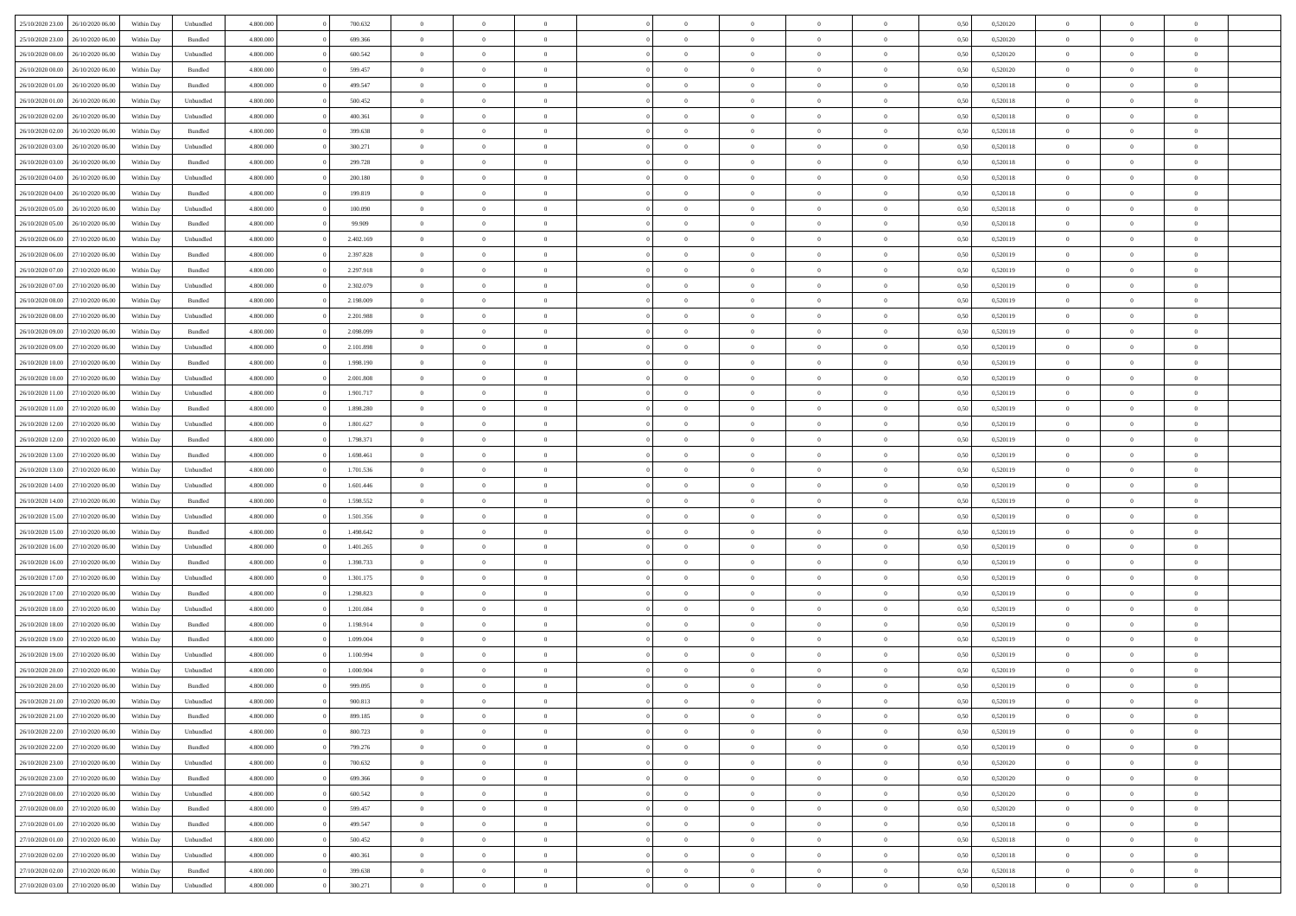| 25/10/2020 23:00                  | 26/10/2020 06.00 | Within Dav | Unbundled | 4.800.000 | 700.632   | $\overline{0}$ | $\theta$       |                | $\Omega$       | $\Omega$       | $\theta$       | $\theta$       | 0.50 | 0,520120 | $\theta$       | $\overline{0}$ | $\overline{0}$ |  |
|-----------------------------------|------------------|------------|-----------|-----------|-----------|----------------|----------------|----------------|----------------|----------------|----------------|----------------|------|----------|----------------|----------------|----------------|--|
| 25/10/2020 23.00                  | 26/10/2020 06.00 | Within Day | Bundled   | 4.800.000 | 699.366   | $\overline{0}$ | $\theta$       | $\overline{0}$ | $\overline{0}$ | $\bf{0}$       | $\overline{0}$ | $\bf{0}$       | 0,50 | 0,520120 | $\theta$       | $\overline{0}$ | $\overline{0}$ |  |
| 26/10/2020 00.00                  | 26/10/2020 06.00 | Within Day | Unbundled | 4.800.000 | 600.542   | $\overline{0}$ | $\bf{0}$       | $\overline{0}$ | $\bf{0}$       | $\bf{0}$       | $\bf{0}$       | $\bf{0}$       | 0,50 | 0,520120 | $\bf{0}$       | $\overline{0}$ | $\overline{0}$ |  |
|                                   |                  |            |           |           |           |                |                |                |                |                |                |                |      |          | $\theta$       |                |                |  |
| 26/10/2020 00:00                  | 26/10/2020 06:00 | Within Dav | Bundled   | 4.800.000 | 599,457   | $\overline{0}$ | $\overline{0}$ | $\overline{0}$ | $\overline{0}$ | $\bf{0}$       | $\overline{0}$ | $\overline{0}$ | 0.50 | 0.520120 |                | $\theta$       | $\overline{0}$ |  |
| 26/10/2020 01:00                  | 26/10/2020 06.00 | Within Day | Bundled   | 4.800.000 | 499.547   | $\overline{0}$ | $\theta$       | $\overline{0}$ | $\overline{0}$ | $\bf{0}$       | $\overline{0}$ | $\bf{0}$       | 0,50 | 0,520118 | $\theta$       | $\overline{0}$ | $\overline{0}$ |  |
| 26/10/2020 01.00                  | 26/10/2020 06.00 | Within Day | Unbundled | 4.800.000 | 500.452   | $\overline{0}$ | $\overline{0}$ | $\overline{0}$ | $\bf{0}$       | $\overline{0}$ | $\overline{0}$ | $\mathbf{0}$   | 0,50 | 0,520118 | $\bf{0}$       | $\overline{0}$ | $\bf{0}$       |  |
| 26/10/2020 02:00                  | 26/10/2020 06.00 | Within Dav | Unbundled | 4.800.000 | 400.361   | $\overline{0}$ | $\overline{0}$ | $\overline{0}$ | $\overline{0}$ | $\overline{0}$ | $\overline{0}$ | $\overline{0}$ | 0.50 | 0,520118 | $\theta$       | $\overline{0}$ | $\overline{0}$ |  |
|                                   |                  |            |           |           |           |                |                |                |                |                |                |                |      |          |                |                |                |  |
| 26/10/2020 02.00                  | 26/10/2020 06.00 | Within Day | Bundled   | 4.800.000 | 399.638   | $\overline{0}$ | $\theta$       | $\overline{0}$ | $\overline{0}$ | $\bf{0}$       | $\overline{0}$ | $\bf{0}$       | 0,50 | 0,520118 | $\theta$       | $\theta$       | $\overline{0}$ |  |
| 26/10/2020 03:00                  | 26/10/2020 06.00 | Within Day | Unbundled | 4.800.000 | 300.271   | $\overline{0}$ | $\overline{0}$ | $\overline{0}$ | $\bf{0}$       | $\bf{0}$       | $\bf{0}$       | $\bf{0}$       | 0,50 | 0,520118 | $\,0\,$        | $\overline{0}$ | $\overline{0}$ |  |
| 26/10/2020 03:00                  | 26/10/2020 06:00 | Within Dav | Bundled   | 4.800.000 | 299.728   | $\overline{0}$ | $\overline{0}$ | $\overline{0}$ | $\overline{0}$ | $\overline{0}$ | $\overline{0}$ | $\overline{0}$ | 0.50 | 0,520118 | $\theta$       | $\overline{0}$ | $\overline{0}$ |  |
| 26/10/2020 04.00                  | 26/10/2020 06.00 |            |           | 4.800.000 | 200.180   | $\overline{0}$ | $\theta$       | $\overline{0}$ | $\overline{0}$ | $\bf{0}$       | $\overline{0}$ |                |      | 0,520118 | $\,$ 0 $\,$    | $\overline{0}$ | $\overline{0}$ |  |
|                                   |                  | Within Day | Unbundled |           |           |                |                |                |                |                |                | $\bf{0}$       | 0,50 |          |                |                |                |  |
| 26/10/2020 04.00                  | 26/10/2020 06.00 | Within Day | Bundled   | 4.800.000 | 199.819   | $\overline{0}$ | $\bf{0}$       | $\overline{0}$ | $\bf{0}$       | $\bf{0}$       | $\bf{0}$       | $\bf{0}$       | 0,50 | 0,520118 | $\bf{0}$       | $\overline{0}$ | $\bf{0}$       |  |
| 26/10/2020 05:00                  | 26/10/2020 06:00 | Within Day | Unbundled | 4.800.000 | 100,090   | $\overline{0}$ | $\overline{0}$ | $\overline{0}$ | $\overline{0}$ | $\bf{0}$       | $\overline{0}$ | $\overline{0}$ | 0.50 | 0.520118 | $\theta$       | $\theta$       | $\overline{0}$ |  |
| 26/10/2020 05.00                  | 26/10/2020 06.00 | Within Day | Bundled   | 4.800.000 | 99.909    | $\overline{0}$ | $\theta$       | $\overline{0}$ | $\overline{0}$ | $\bf{0}$       | $\overline{0}$ | $\bf{0}$       | 0,50 | 0,520118 | $\theta$       | $\overline{0}$ | $\overline{0}$ |  |
|                                   |                  |            |           |           |           |                |                |                |                |                |                |                |      |          |                |                |                |  |
| 26/10/2020 06:00                  | 27/10/2020 06.00 | Within Day | Unbundled | 4.800.000 | 2.402.169 | $\overline{0}$ | $\overline{0}$ | $\overline{0}$ | $\bf{0}$       | $\overline{0}$ | $\overline{0}$ | $\mathbf{0}$   | 0,50 | 0,520119 | $\bf{0}$       | $\overline{0}$ | $\bf{0}$       |  |
| 26/10/2020 06:00                  | 27/10/2020 06.00 | Within Dav | Bundled   | 4.800.000 | 2.397.828 | $\overline{0}$ | $\overline{0}$ | $\overline{0}$ | $\overline{0}$ | $\overline{0}$ | $\overline{0}$ | $\overline{0}$ | 0.50 | 0,520119 | $\theta$       | $\overline{0}$ | $\overline{0}$ |  |
| 26/10/2020 07.00                  | 27/10/2020 06.00 | Within Day | Bundled   | 4.800.000 | 2.297.918 | $\overline{0}$ | $\theta$       | $\overline{0}$ | $\overline{0}$ | $\bf{0}$       | $\overline{0}$ | $\bf{0}$       | 0,50 | 0,520119 | $\theta$       | $\theta$       | $\overline{0}$ |  |
| 26/10/2020 07.00                  | 27/10/2020 06.00 | Within Day | Unbundled | 4.800.000 | 2.302.079 | $\overline{0}$ | $\overline{0}$ | $\overline{0}$ | $\bf{0}$       | $\bf{0}$       | $\bf{0}$       | $\bf{0}$       | 0,50 | 0,520119 | $\,0\,$        | $\overline{0}$ | $\overline{0}$ |  |
| 26/10/2020 08:00                  | 27/10/2020 06.00 |            | Bundled   | 4.800.000 | 2.198.009 | $\overline{0}$ | $\overline{0}$ | $\overline{0}$ | $\overline{0}$ | $\overline{0}$ | $\overline{0}$ | $\overline{0}$ | 0.50 | 0,520119 | $\theta$       | $\overline{0}$ | $\overline{0}$ |  |
|                                   |                  | Within Day |           |           |           |                |                |                |                |                |                |                |      |          |                |                |                |  |
| 26/10/2020 08:00                  | 27/10/2020 06.00 | Within Day | Unbundled | 4.800.000 | 2.201.988 | $\overline{0}$ | $\theta$       | $\overline{0}$ | $\overline{0}$ | $\bf{0}$       | $\overline{0}$ | $\bf{0}$       | 0,50 | 0,520119 | $\,$ 0 $\,$    | $\overline{0}$ | $\overline{0}$ |  |
| 26/10/2020 09:00                  | 27/10/2020 06.00 | Within Day | Bundled   | 4.800.000 | 2.098.099 | $\overline{0}$ | $\overline{0}$ | $\overline{0}$ | $\bf{0}$       | $\bf{0}$       | $\bf{0}$       | $\bf{0}$       | 0,50 | 0,520119 | $\bf{0}$       | $\overline{0}$ | $\bf{0}$       |  |
| 26/10/2020 09:00                  | 27/10/2020 06:00 | Within Day | Unbundled | 4.800.000 | 2.101.898 | $\overline{0}$ | $\overline{0}$ | $\overline{0}$ | $\overline{0}$ | $\bf{0}$       | $\overline{0}$ | $\overline{0}$ | 0.50 | 0.520119 | $\theta$       | $\overline{0}$ | $\overline{0}$ |  |
| 26/10/2020 10:00                  | 27/10/2020 06.00 | Within Day | Bundled   | 4.800.000 | 1.998.190 | $\overline{0}$ | $\theta$       | $\overline{0}$ | $\overline{0}$ | $\bf{0}$       | $\overline{0}$ |                |      | 0,520119 | $\,$ 0 $\,$    | $\overline{0}$ | $\overline{0}$ |  |
|                                   |                  |            |           |           |           |                |                |                |                |                |                | $\bf{0}$       | 0,50 |          |                |                |                |  |
| 26/10/2020 10:00                  | 27/10/2020 06.00 | Within Day | Unbundled | 4.800.000 | 2.001.808 | $\overline{0}$ | $\overline{0}$ | $\overline{0}$ | $\bf{0}$       | $\overline{0}$ | $\overline{0}$ | $\mathbf{0}$   | 0,50 | 0,520119 | $\overline{0}$ | $\overline{0}$ | $\bf{0}$       |  |
| 26/10/2020 11:00                  | 27/10/2020 06.00 | Within Dav | Unbundled | 4.800.000 | 1.901.717 | $\overline{0}$ | $\overline{0}$ | $\overline{0}$ | $\overline{0}$ | $\overline{0}$ | $\overline{0}$ | $\overline{0}$ | 0.50 | 0,520119 | $\theta$       | $\overline{0}$ | $\overline{0}$ |  |
| 26/10/2020 11:00                  | 27/10/2020 06.00 | Within Day | Bundled   | 4.800.000 | 1.898.280 | $\overline{0}$ | $\theta$       | $\overline{0}$ | $\overline{0}$ | $\bf{0}$       | $\overline{0}$ | $\bf{0}$       | 0,50 | 0,520119 | $\theta$       | $\theta$       | $\overline{0}$ |  |
|                                   |                  |            |           |           |           |                |                |                |                |                |                |                |      |          |                |                |                |  |
| 26/10/2020 12:00                  | 27/10/2020 06.00 | Within Day | Unbundled | 4.800.000 | 1.801.627 | $\overline{0}$ | $\overline{0}$ | $\overline{0}$ | $\bf{0}$       | $\bf{0}$       | $\bf{0}$       | $\bf{0}$       | 0,50 | 0,520119 | $\,0\,$        | $\overline{0}$ | $\overline{0}$ |  |
| 26/10/2020 12:00                  | 27/10/2020 06.00 | Within Day | Bundled   | 4.800.000 | 1.798.371 | $\overline{0}$ | $\overline{0}$ | $\overline{0}$ | $\overline{0}$ | $\overline{0}$ | $\overline{0}$ | $\overline{0}$ | 0.50 | 0,520119 | $\theta$       | $\overline{0}$ | $\overline{0}$ |  |
| 26/10/2020 13:00                  | 27/10/2020 06.00 | Within Day | Bundled   | 4.800.000 | 1.698.461 | $\overline{0}$ | $\theta$       | $\overline{0}$ | $\overline{0}$ | $\bf{0}$       | $\overline{0}$ | $\bf{0}$       | 0,50 | 0,520119 | $\,$ 0 $\,$    | $\overline{0}$ | $\overline{0}$ |  |
| 26/10/2020 13:00                  | 27/10/2020 06.00 | Within Day | Unbundled | 4.800.000 | 1.701.536 | $\overline{0}$ | $\overline{0}$ | $\overline{0}$ | $\bf{0}$       | $\bf{0}$       | $\bf{0}$       | $\bf{0}$       | 0,50 | 0,520119 | $\overline{0}$ | $\overline{0}$ | $\bf{0}$       |  |
|                                   |                  |            |           | 4.800,000 | 1.601.446 | $\overline{0}$ | $\Omega$       | $\Omega$       | $\Omega$       | $\Omega$       |                |                |      |          |                |                | $\theta$       |  |
| 26/10/2020 14:00                  | 27/10/2020 06.00 | Within Day | Unbundled |           |           |                |                |                |                |                | $\overline{0}$ | $\overline{0}$ | 0,50 | 0,520119 | $\,0\,$        | $\theta$       |                |  |
| 26/10/2020 14:00                  | 27/10/2020 06.00 | Within Day | Bundled   | 4.800.000 | 1.598.552 | $\overline{0}$ | $\theta$       | $\overline{0}$ | $\overline{0}$ | $\bf{0}$       | $\overline{0}$ | $\bf{0}$       | 0,50 | 0,520119 | $\,$ 0 $\,$    | $\overline{0}$ | $\overline{0}$ |  |
| 26/10/2020 15:00                  | 27/10/2020 06.00 | Within Day | Unbundled | 4.800.000 | 1.501.356 | $\overline{0}$ | $\overline{0}$ | $\overline{0}$ | $\bf{0}$       | $\overline{0}$ | $\overline{0}$ | $\mathbf{0}$   | 0,50 | 0,520119 | $\overline{0}$ | $\overline{0}$ | $\bf{0}$       |  |
| 26/10/2020 15:00                  | 27/10/2020 06.00 | Within Day | Bundled   | 4.800,000 | 1.498.642 | $\overline{0}$ | $\Omega$       | $\Omega$       | $\Omega$       | $\bf{0}$       | $\overline{0}$ | $\overline{0}$ | 0.50 | 0,520119 | $\,0\,$        | $\theta$       | $\theta$       |  |
| 26/10/2020 16:00                  | 27/10/2020 06.00 |            |           | 4.800.000 | 1.401.265 | $\overline{0}$ | $\theta$       | $\overline{0}$ | $\overline{0}$ | $\bf{0}$       | $\overline{0}$ |                |      | 0,520119 | $\,$ 0 $\,$    | $\overline{0}$ | $\overline{0}$ |  |
|                                   |                  | Within Day | Unbundled |           |           |                |                |                |                |                |                | $\bf{0}$       | 0,50 |          |                |                |                |  |
| 26/10/2020 16:00                  | 27/10/2020 06.00 | Within Day | Bundled   | 4.800.000 | 1.398.733 | $\overline{0}$ | $\overline{0}$ | $\overline{0}$ | $\bf{0}$       | $\bf{0}$       | $\bf{0}$       | $\bf{0}$       | 0,50 | 0,520119 | $\bf{0}$       | $\overline{0}$ | $\bf{0}$       |  |
| 26/10/2020 17:00                  | 27/10/2020 06.00 | Within Day | Unbundled | 4.800,000 | 1.301.175 | $\overline{0}$ | $\Omega$       | $\Omega$       | $\Omega$       | $\theta$       | $\theta$       | $\overline{0}$ | 0.50 | 0,520119 | $\,$ 0 $\,$    | $\theta$       | $\theta$       |  |
| 26/10/2020 17.00                  | 27/10/2020 06.00 | Within Day | Bundled   | 4.800.000 | 1.298.823 | $\overline{0}$ | $\theta$       | $\overline{0}$ | $\overline{0}$ | $\bf{0}$       | $\overline{0}$ | $\bf{0}$       | 0,50 | 0,520119 | $\,$ 0 $\,$    | $\overline{0}$ | $\overline{0}$ |  |
|                                   |                  |            |           |           |           |                |                |                |                |                |                |                |      |          |                |                |                |  |
| 26/10/2020 18:00                  | 27/10/2020 06.00 | Within Day | Unbundled | 4.800.000 | 1.201.084 | $\overline{0}$ | $\bf{0}$       | $\overline{0}$ | $\bf{0}$       | $\bf{0}$       | $\bf{0}$       | $\bf{0}$       | 0,50 | 0,520119 | $\overline{0}$ | $\overline{0}$ | $\bf{0}$       |  |
| 26/10/2020 18:00                  | 27/10/2020 06.00 | Within Day | Bundled   | 4.800,000 | 1.198.914 | $\overline{0}$ | $\Omega$       | $\Omega$       | $\Omega$       | $\overline{0}$ | $\overline{0}$ | $\overline{0}$ | 0,50 | 0,520119 | $\,0\,$        | $\theta$       | $\theta$       |  |
| 26/10/2020 19:00                  | 27/10/2020 06.00 | Within Day | Bundled   | 4.800.000 | 1.099.004 | $\overline{0}$ | $\theta$       | $\overline{0}$ | $\overline{0}$ | $\bf{0}$       | $\overline{0}$ | $\bf{0}$       | 0,50 | 0,520119 | $\,$ 0 $\,$    | $\overline{0}$ | $\overline{0}$ |  |
| 26/10/2020 19:00                  | 27/10/2020 06.00 | Within Day | Unbundled | 4.800.000 | 1.100.994 | $\overline{0}$ | $\overline{0}$ | $\overline{0}$ | $\bf{0}$       | $\bf{0}$       | $\bf{0}$       | $\mathbf{0}$   | 0,50 | 0,520119 | $\bf{0}$       | $\overline{0}$ | $\bf{0}$       |  |
| 26/10/2020 20:00                  | 27/10/2020 06.00 |            | Unbundled | 4.800,000 | 1,000,904 | $\overline{0}$ | $\Omega$       | $\Omega$       | $\Omega$       | $\Omega$       | $\Omega$       | $\overline{0}$ | 0.50 | 0.520119 | $\theta$       | $\theta$       | $\theta$       |  |
|                                   |                  | Within Day |           |           |           |                |                |                |                |                |                |                |      |          |                |                |                |  |
| 26/10/2020 20:00                  | 27/10/2020 06.00 | Within Day | Bundled   | 4.800.000 | 999.095   | $\overline{0}$ | $\overline{0}$ | $\overline{0}$ | $\bf{0}$       | $\,$ 0         | $\bf{0}$       | $\bf{0}$       | 0,50 | 0,520119 | $\,0\,$        | $\,$ 0 $\,$    | $\overline{0}$ |  |
| 26/10/2020 21:00                  | 27/10/2020 06.00 | Within Day | Unbundled | 4.800.000 | 900.813   | $\bf{0}$       | $\bf{0}$       |                |                | $\bf{0}$       |                |                | 0,50 | 0,520119 | $\bf{0}$       | $\overline{0}$ |                |  |
| 26/10/2020 21:00                  | 27/10/2020 06:00 | Within Day | Bundled   | 4.800.000 | 899,185   | $\overline{0}$ | $\overline{0}$ | $\overline{0}$ | $\Omega$       | $\overline{0}$ | $\overline{0}$ | $\overline{0}$ | 0,50 | 0,520119 | $\theta$       | $\theta$       | $\theta$       |  |
| 26/10/2020 22.00                  | 27/10/2020 06.00 | Within Day | Unbundled | 4.800.000 | 800.723   | $\overline{0}$ | $\bf{0}$       | $\overline{0}$ | $\bf{0}$       | $\,$ 0 $\,$    | $\overline{0}$ | $\,$ 0 $\,$    | 0,50 | 0,520119 | $\,$ 0 $\,$    | $\,$ 0 $\,$    | $\,$ 0         |  |
|                                   |                  |            |           |           |           |                |                |                |                |                |                |                |      |          |                |                |                |  |
| 26/10/2020 22.00                  | 27/10/2020 06.00 | Within Day | Bundled   | 4.800.000 | 799.276   | $\overline{0}$ | $\overline{0}$ | $\overline{0}$ | $\overline{0}$ | $\overline{0}$ | $\overline{0}$ | $\mathbf{0}$   | 0,50 | 0,520119 | $\overline{0}$ | $\bf{0}$       | $\bf{0}$       |  |
| 26/10/2020 23.00                  | 27/10/2020 06.00 | Within Day | Unbundled | 4.800,000 | 700.632   | $\overline{0}$ | $\overline{0}$ | $\overline{0}$ | $\Omega$       | $\overline{0}$ | $\overline{0}$ | $\overline{0}$ | 0,50 | 0,520120 | $\bf{0}$       | $\theta$       | $\overline{0}$ |  |
| 26/10/2020 23.00                  | 27/10/2020 06.00 | Within Day | Bundled   | 4.800.000 | 699.366   | $\overline{0}$ | $\,$ 0         | $\overline{0}$ | $\bf{0}$       | $\,$ 0 $\,$    | $\overline{0}$ | $\mathbf{0}$   | 0,50 | 0,520120 | $\,$ 0 $\,$    | $\overline{0}$ | $\overline{0}$ |  |
| 27/10/2020 00.00                  | 27/10/2020 06.00 | Within Day | Unbundled | 4.800.000 | 600.542   | $\overline{0}$ | $\overline{0}$ | $\overline{0}$ | $\overline{0}$ | $\overline{0}$ | $\overline{0}$ | $\mathbf{0}$   | 0,50 | 0,520120 | $\overline{0}$ | $\overline{0}$ | $\bf{0}$       |  |
|                                   |                  |            |           |           |           |                |                |                |                |                |                |                |      |          |                |                |                |  |
| $27/10/2020\;00.00$               | 27/10/2020 06.00 | Within Day | Bundled   | 4.800,000 | 599.457   | $\overline{0}$ | $\overline{0}$ | $\overline{0}$ | $\overline{0}$ | $\overline{0}$ | $\overline{0}$ | $\bf{0}$       | 0.50 | 0,520120 | $\overline{0}$ | $\theta$       | $\overline{0}$ |  |
| 27/10/2020 01:00                  | 27/10/2020 06.00 | Within Day | Bundled   | 4.800.000 | 499.547   | $\overline{0}$ | $\,$ 0         | $\overline{0}$ | $\bf{0}$       | $\bf{0}$       | $\bf{0}$       | $\bf{0}$       | 0,50 | 0,520118 | $\,$ 0 $\,$    | $\overline{0}$ | $\overline{0}$ |  |
| 27/10/2020 01:00                  | 27/10/2020 06.00 | Within Day | Unbundled | 4.800.000 | 500.452   | $\overline{0}$ | $\bf{0}$       | $\overline{0}$ | $\overline{0}$ | $\overline{0}$ | $\overline{0}$ | $\mathbf{0}$   | 0,50 | 0,520118 | $\overline{0}$ | $\overline{0}$ | $\bf{0}$       |  |
| 27/10/2020 02.00                  | 27/10/2020 06.00 | Within Day | Unbundled | 4.800,000 | 400,361   | $\overline{0}$ | $\overline{0}$ | $\overline{0}$ | $\Omega$       | $\overline{0}$ | $\overline{0}$ | $\bf{0}$       | 0.50 | 0,520118 | $\overline{0}$ | $\overline{0}$ | $\overline{0}$ |  |
|                                   |                  |            |           |           |           |                |                |                |                |                |                |                |      |          |                |                |                |  |
| 27/10/2020 02.00                  | 27/10/2020 06.00 | Within Day | Bundled   | 4.800.000 | 399.638   | $\overline{0}$ | $\bf{0}$       | $\overline{0}$ | $\bf{0}$       | $\bf{0}$       | $\bf{0}$       | $\mathbf{0}$   | 0,50 | 0,520118 | $\,$ 0 $\,$    | $\,$ 0 $\,$    | $\bf{0}$       |  |
| 27/10/2020 03.00 27/10/2020 06.00 |                  | Within Day | Unbundled | 4.800.000 | 300.271   | $\overline{0}$ | $\overline{0}$ | $\overline{0}$ | $\overline{0}$ | $\overline{0}$ | $\bf{0}$       | $\mathbf{0}$   | 0,50 | 0,520118 | $\overline{0}$ | $\bf{0}$       | $\overline{0}$ |  |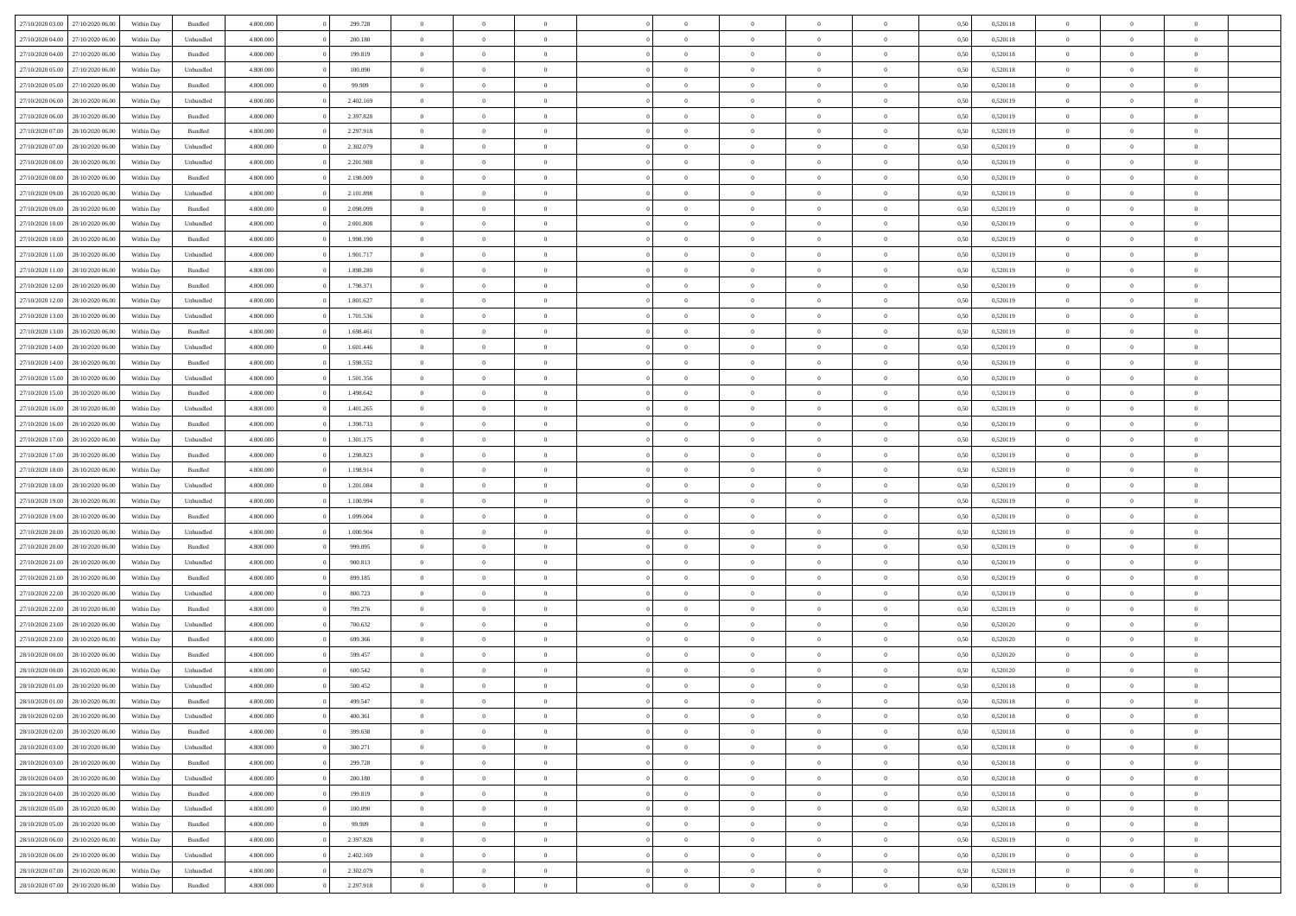|                  |                  |            |                    |           |           | $\overline{0}$ | $\Omega$       |                |                | $\Omega$       | $\Omega$       | $\theta$       |      |          | $\theta$       | $\theta$       | $\theta$       |  |
|------------------|------------------|------------|--------------------|-----------|-----------|----------------|----------------|----------------|----------------|----------------|----------------|----------------|------|----------|----------------|----------------|----------------|--|
| 27/10/2020 03:00 | 27/10/2020 06.00 | Within Dav | Bundled            | 4.800.000 | 299.728   |                |                |                | $\Omega$       |                |                |                | 0.50 | 0,520118 |                |                |                |  |
| 27/10/2020 04.00 | 27/10/2020 06.00 | Within Day | Unbundled          | 4.800.000 | 200.180   | $\overline{0}$ | $\theta$       | $\overline{0}$ | $\overline{0}$ | $\bf{0}$       | $\overline{0}$ | $\overline{0}$ | 0,50 | 0,520118 | $\theta$       | $\theta$       | $\overline{0}$ |  |
| 27/10/2020 04:00 | 27/10/2020 06.00 | Within Day | Bundled            | 4.800.000 | 199.819   | $\overline{0}$ | $\overline{0}$ | $\overline{0}$ | $\bf{0}$       | $\bf{0}$       | $\bf{0}$       | $\bf{0}$       | 0,50 | 0,520118 | $\bf{0}$       | $\overline{0}$ | $\overline{0}$ |  |
| 27/10/2020 05:00 | 27/10/2020 06:00 | Within Dav | Unbundled          | 4.800.000 | 100,090   | $\overline{0}$ | $\theta$       | $\overline{0}$ | $\overline{0}$ | $\bf{0}$       | $\overline{0}$ | $\overline{0}$ | 0.50 | 0.520118 | $\theta$       | $\theta$       | $\overline{0}$ |  |
|                  |                  |            |                    |           |           |                |                |                |                |                |                |                |      |          |                |                |                |  |
| 27/10/2020 05.00 | 27/10/2020 06.00 | Within Day | Bundled            | 4.800.000 | 99.909    | $\overline{0}$ | $\theta$       | $\overline{0}$ | $\overline{0}$ | $\bf{0}$       | $\overline{0}$ | $\bf{0}$       | 0,50 | 0,520118 | $\theta$       | $\theta$       | $\overline{0}$ |  |
| 27/10/2020 06.00 | 28/10/2020 06.00 | Within Day | Unbundled          | 4.800.000 | 2.402.169 | $\overline{0}$ | $\bf{0}$       | $\overline{0}$ | $\bf{0}$       | $\overline{0}$ | $\overline{0}$ | $\mathbf{0}$   | 0,50 | 0,520119 | $\overline{0}$ | $\overline{0}$ | $\bf{0}$       |  |
| 27/10/2020 06:00 | 28/10/2020 06:00 | Within Dav | Bundled            | 4.800.000 | 2.397.828 | $\overline{0}$ | $\overline{0}$ | $\overline{0}$ | $\overline{0}$ | $\bf{0}$       | $\overline{0}$ | $\overline{0}$ | 0.50 | 0,520119 | $\theta$       | $\overline{0}$ | $\overline{0}$ |  |
| 27/10/2020 07.00 | 28/10/2020 06.00 | Within Day | Bundled            | 4.800.000 | 2.297.918 | $\overline{0}$ | $\theta$       | $\overline{0}$ | $\overline{0}$ | $\bf{0}$       | $\overline{0}$ | $\bf{0}$       | 0,50 | 0,520119 | $\theta$       | $\theta$       | $\overline{0}$ |  |
| 27/10/2020 07.00 | 28/10/2020 06.00 | Within Day | Unbundled          | 4.800.000 | 2.302.079 | $\overline{0}$ | $\overline{0}$ | $\overline{0}$ | $\bf{0}$       | $\bf{0}$       | $\bf{0}$       | $\bf{0}$       | 0,50 | 0,520119 | $\,0\,$        | $\overline{0}$ | $\overline{0}$ |  |
|                  |                  |            |                    |           |           |                |                |                |                |                |                |                |      |          |                |                |                |  |
| 27/10/2020 08:00 | 28/10/2020 06:00 | Within Dav | Unbundled          | 4.800.000 | 2.201.988 | $\overline{0}$ | $\overline{0}$ | $\overline{0}$ | $\overline{0}$ | $\overline{0}$ | $\overline{0}$ | $\overline{0}$ | 0.50 | 0,520119 | $\theta$       | $\overline{0}$ | $\overline{0}$ |  |
| 27/10/2020 08.00 | 28/10/2020 06.00 | Within Day | Bundled            | 4.800.000 | 2.198.009 | $\overline{0}$ | $\theta$       | $\overline{0}$ | $\overline{0}$ | $\bf{0}$       | $\overline{0}$ | $\bf{0}$       | 0,50 | 0,520119 | $\,$ 0 $\,$    | $\theta$       | $\overline{0}$ |  |
| 27/10/2020 09:00 | 28/10/2020 06.00 | Within Day | Unbundled          | 4.800.000 | 2.101.898 | $\overline{0}$ | $\overline{0}$ | $\overline{0}$ | $\bf{0}$       | $\bf{0}$       | $\bf{0}$       | $\bf{0}$       | 0,50 | 0,520119 | $\bf{0}$       | $\overline{0}$ | $\overline{0}$ |  |
| 27/10/2020 09:00 | 28/10/2020 06:00 | Within Day | Bundled            | 4.800.000 | 2.098.099 | $\overline{0}$ | $\overline{0}$ | $\overline{0}$ | $\overline{0}$ | $\bf{0}$       | $\overline{0}$ | $\overline{0}$ | 0.50 | 0.520119 | $\theta$       | $\theta$       | $\overline{0}$ |  |
| 27/10/2020 10:00 | 28/10/2020 06.00 | Within Day | Unbundled          | 4.800.000 | 2.001.808 | $\overline{0}$ | $\theta$       | $\overline{0}$ | $\overline{0}$ | $\bf{0}$       | $\overline{0}$ | $\overline{0}$ | 0,50 | 0,520119 | $\theta$       | $\theta$       | $\overline{0}$ |  |
|                  |                  |            |                    |           |           |                |                |                |                |                |                |                |      |          |                |                |                |  |
| 27/10/2020 10:00 | 28/10/2020 06.00 | Within Day | Bundled            | 4.800.000 | 1.998.190 | $\overline{0}$ | $\overline{0}$ | $\overline{0}$ | $\bf{0}$       | $\overline{0}$ | $\overline{0}$ | $\mathbf{0}$   | 0,50 | 0,520119 | $\overline{0}$ | $\overline{0}$ | $\bf{0}$       |  |
| 27/10/2020 11:00 | 28/10/2020 06:00 | Within Dav | Unbundled          | 4.800.000 | 1.901.717 | $\overline{0}$ | $\overline{0}$ | $\overline{0}$ | $\overline{0}$ | $\overline{0}$ | $\overline{0}$ | $\overline{0}$ | 0.50 | 0,520119 | $\theta$       | $\overline{0}$ | $\overline{0}$ |  |
| 27/10/2020 11:00 | 28/10/2020 06.00 | Within Day | Bundled            | 4.800.000 | 1.898.280 | $\overline{0}$ | $\theta$       | $\overline{0}$ | $\overline{0}$ | $\bf{0}$       | $\overline{0}$ | $\bf{0}$       | 0,50 | 0,520119 | $\theta$       | $\theta$       | $\overline{0}$ |  |
| 27/10/2020 12:00 | 28/10/2020 06.00 | Within Day | Bundled            | 4.800.000 | 1.798.371 | $\overline{0}$ | $\overline{0}$ | $\overline{0}$ | $\bf{0}$       | $\bf{0}$       | $\bf{0}$       | $\bf{0}$       | 0,50 | 0,520119 | $\,0\,$        | $\overline{0}$ | $\overline{0}$ |  |
| 27/10/2020 12:00 | 28/10/2020 06:00 | Within Day | Unbundled          | 4.800.000 | 1.801.627 | $\overline{0}$ | $\overline{0}$ | $\overline{0}$ | $\overline{0}$ | $\overline{0}$ | $\overline{0}$ | $\overline{0}$ | 0.50 | 0,520119 | $\theta$       | $\overline{0}$ | $\overline{0}$ |  |
|                  |                  |            |                    |           |           |                |                |                |                |                |                |                |      |          |                |                |                |  |
| 27/10/2020 13:00 | 28/10/2020 06.00 | Within Day | Unbundled          | 4.800.000 | 1.701.536 | $\overline{0}$ | $\theta$       | $\overline{0}$ | $\overline{0}$ | $\bf{0}$       | $\overline{0}$ | $\bf{0}$       | 0,50 | 0,520119 | $\,$ 0 $\,$    | $\theta$       | $\overline{0}$ |  |
| 27/10/2020 13.00 | 28/10/2020 06.00 | Within Day | Bundled            | 4.800.000 | 1.698.461 | $\overline{0}$ | $\overline{0}$ | $\overline{0}$ | $\bf{0}$       | $\bf{0}$       | $\bf{0}$       | $\bf{0}$       | 0,50 | 0,520119 | $\,0\,$        | $\overline{0}$ | $\overline{0}$ |  |
| 27/10/2020 14:00 | 28/10/2020 06:00 | Within Day | Unbundled          | 4.800.000 | 1.601.446 | $\overline{0}$ | $\overline{0}$ | $\overline{0}$ | $\overline{0}$ | $\bf{0}$       | $\overline{0}$ | $\overline{0}$ | 0.50 | 0.520119 | $\theta$       | $\theta$       | $\overline{0}$ |  |
| 27/10/2020 14:00 | 28/10/2020 06.00 | Within Day | Bundled            | 4.800.000 | 1.598.552 | $\overline{0}$ | $\theta$       | $\overline{0}$ | $\overline{0}$ | $\bf{0}$       | $\overline{0}$ | $\bf{0}$       | 0,50 | 0,520119 | $\theta$       | $\overline{0}$ | $\overline{0}$ |  |
| 27/10/2020 15:00 | 28/10/2020 06.00 | Within Day | Unbundled          | 4.800.000 | 1.501.356 | $\overline{0}$ | $\bf{0}$       | $\overline{0}$ | $\bf{0}$       | $\overline{0}$ | $\overline{0}$ | $\mathbf{0}$   | 0,50 | 0,520119 | $\overline{0}$ | $\overline{0}$ | $\bf{0}$       |  |
|                  |                  |            |                    |           |           |                |                |                |                |                |                |                |      |          |                |                |                |  |
| 27/10/2020 15:00 | 28/10/2020 06:00 | Within Dav | Bundled            | 4.800.000 | 1.498.642 | $\overline{0}$ | $\overline{0}$ | $\overline{0}$ | $\overline{0}$ | $\overline{0}$ | $\overline{0}$ | $\overline{0}$ | 0.50 | 0,520119 | $\theta$       | $\theta$       | $\overline{0}$ |  |
| 27/10/2020 16.00 | 28/10/2020 06.00 | Within Day | Unbundled          | 4.800.000 | 1.401.265 | $\overline{0}$ | $\theta$       | $\overline{0}$ | $\overline{0}$ | $\bf{0}$       | $\overline{0}$ | $\bf{0}$       | 0,50 | 0,520119 | $\theta$       | $\theta$       | $\overline{0}$ |  |
| 27/10/2020 16:00 | 28/10/2020 06.00 | Within Day | Bundled            | 4.800.000 | 1.398.733 | $\overline{0}$ | $\overline{0}$ | $\overline{0}$ | $\bf{0}$       | $\bf{0}$       | $\bf{0}$       | $\bf{0}$       | 0,50 | 0,520119 | $\,0\,$        | $\overline{0}$ | $\overline{0}$ |  |
| 27/10/2020 17:00 | 28/10/2020 06:00 | Within Day | Unbundled          | 4.800.000 | 1.301.175 | $\overline{0}$ | $\overline{0}$ | $\overline{0}$ | $\overline{0}$ | $\overline{0}$ | $\overline{0}$ | $\overline{0}$ | 0.50 | 0,520119 | $\theta$       | $\overline{0}$ | $\overline{0}$ |  |
| 27/10/2020 17.00 | 28/10/2020 06.00 | Within Day | Bundled            | 4.800.000 | 1.298.823 | $\overline{0}$ | $\theta$       | $\overline{0}$ | $\overline{0}$ | $\bf{0}$       | $\overline{0}$ | $\bf{0}$       | 0,50 | 0,520119 | $\,$ 0 $\,$    | $\theta$       | $\overline{0}$ |  |
| 27/10/2020 18.00 | 28/10/2020 06.00 | Within Day | Bundled            | 4.800.000 | 1.198.914 | $\overline{0}$ | $\overline{0}$ | $\overline{0}$ | $\bf{0}$       | $\bf{0}$       | $\bf{0}$       | $\bf{0}$       | 0,50 | 0,520119 | $\bf{0}$       | $\overline{0}$ | $\overline{0}$ |  |
|                  |                  |            |                    |           |           |                |                |                |                |                |                |                |      |          |                |                |                |  |
| 27/10/2020 18:00 | 28/10/2020 06.00 | Within Day | Unbundled          | 4.800,000 | 1.201.084 | $\overline{0}$ | $\Omega$       | $\Omega$       | $\Omega$       | $\Omega$       | $\Omega$       | $\overline{0}$ | 0,50 | 0,520119 | $\,0\,$        | $\theta$       | $\theta$       |  |
| 27/10/2020 19:00 | 28/10/2020 06.00 | Within Day | Unbundled          | 4.800.000 | 1.100.994 | $\overline{0}$ | $\theta$       | $\overline{0}$ | $\overline{0}$ | $\bf{0}$       | $\overline{0}$ | $\bf{0}$       | 0,50 | 0,520119 | $\theta$       | $\theta$       | $\overline{0}$ |  |
| 27/10/2020 19:00 | 28/10/2020 06.00 | Within Day | Bundled            | 4.800.000 | 1.099.004 | $\overline{0}$ | $\bf{0}$       | $\overline{0}$ | $\bf{0}$       | $\bf{0}$       | $\overline{0}$ | $\mathbf{0}$   | 0,50 | 0,520119 | $\overline{0}$ | $\overline{0}$ | $\bf{0}$       |  |
| 27/10/2020 20:00 | 28/10/2020 06:00 | Within Day | Unbundled          | 4.800,000 | 1.000.904 | $\overline{0}$ | $\Omega$       | $\Omega$       | $\Omega$       | $\bf{0}$       | $\overline{0}$ | $\overline{0}$ | 0.50 | 0,520119 | $\,0\,$        | $\theta$       | $\theta$       |  |
| 27/10/2020 20.00 | 28/10/2020 06.00 | Within Day | Bundled            | 4.800.000 | 999.095   | $\overline{0}$ | $\theta$       | $\overline{0}$ | $\overline{0}$ | $\bf{0}$       | $\overline{0}$ | $\bf{0}$       | 0,50 | 0,520119 | $\,$ 0 $\,$    | $\theta$       | $\overline{0}$ |  |
|                  |                  |            |                    |           |           |                |                |                |                |                |                |                |      |          |                |                |                |  |
| 27/10/2020 21:00 | 28/10/2020 06.00 | Within Day | Unbundled          | 4.800.000 | 900.813   | $\overline{0}$ | $\overline{0}$ | $\overline{0}$ | $\bf{0}$       | $\bf{0}$       | $\bf{0}$       | $\bf{0}$       | 0,50 | 0,520119 | $\,0\,$        | $\overline{0}$ | $\overline{0}$ |  |
| 27/10/2020 21:00 | 28/10/2020 06:00 | Within Day | Bundled            | 4.800,000 | 899,185   | $\overline{0}$ | $\Omega$       | $\Omega$       | $\Omega$       | $\Omega$       | $\theta$       | $\overline{0}$ | 0.50 | 0,520119 | $\theta$       | $\theta$       | $\theta$       |  |
| 27/10/2020 22.00 | 28/10/2020 06.00 | Within Day | Unbundled          | 4.800.000 | 800.723   | $\overline{0}$ | $\theta$       | $\overline{0}$ | $\overline{0}$ | $\bf{0}$       | $\overline{0}$ | $\bf{0}$       | 0,50 | 0,520119 | $\,$ 0 $\,$    | $\overline{0}$ | $\overline{0}$ |  |
| 27/10/2020 22.00 | 28/10/2020 06.00 | Within Day | Bundled            | 4.800.000 | 799.276   | $\overline{0}$ | $\overline{0}$ | $\overline{0}$ | $\bf{0}$       | $\bf{0}$       | $\bf{0}$       | $\bf{0}$       | 0,50 | 0,520119 | $\overline{0}$ | $\overline{0}$ | $\overline{0}$ |  |
| 27/10/2020 23.00 | 28/10/2020 06.00 | Within Day | Unbundled          | 4.800,000 | 700.632   | $\overline{0}$ | $\Omega$       | $\Omega$       | $\Omega$       | $\Omega$       | $\overline{0}$ | $\overline{0}$ | 0.50 | 0,520120 | $\,0\,$        | $\theta$       | $\theta$       |  |
|                  |                  |            |                    |           |           |                |                |                |                |                |                |                |      |          |                | $\overline{0}$ |                |  |
| 27/10/2020 23.00 | 28/10/2020 06.00 | Within Day | Bundled            | 4.800.000 | 699.366   | $\overline{0}$ | $\theta$       | $\overline{0}$ | $\overline{0}$ | $\bf{0}$       | $\overline{0}$ | $\bf{0}$       | 0,50 | 0,520120 | $\,$ 0 $\,$    |                | $\overline{0}$ |  |
| 28/10/2020 00.00 | 28/10/2020 06.00 | Within Day | Bundled            | 4.800.000 | 599.457   | $\overline{0}$ | $\overline{0}$ | $\overline{0}$ | $\overline{0}$ | $\bf{0}$       | $\overline{0}$ | $\mathbf{0}$   | 0,50 | 0,520120 | $\overline{0}$ | $\overline{0}$ | $\bf{0}$       |  |
| 28/10/2020 00:00 | 28/10/2020 06:00 | Within Day | Unbundled          | 4.800,000 | 600,542   | $\overline{0}$ | $\Omega$       | $\Omega$       | $\Omega$       | $\Omega$       | $\Omega$       | $\overline{0}$ | 0.50 | 0,520120 | $\theta$       | $\theta$       | $\theta$       |  |
| 28/10/2020 01:00 | 28/10/2020 06.00 | Within Day | Unbundled          | 4.800.000 | 500.452   | $\overline{0}$ | $\overline{0}$ | $\overline{0}$ | $\bf{0}$       | $\,$ 0         | $\overline{0}$ | $\bf{0}$       | 0,50 | 0,520118 | $\,0\,$        | $\overline{0}$ | $\overline{0}$ |  |
| 28/10/2020 01:00 | 28/10/2020 06.00 | Within Day | $\mathbf B$ undled | 4.800.000 | 499.547   | $\bf{0}$       | $\bf{0}$       |                |                |                |                |                | 0,50 | 0,520118 | $\bf{0}$       | $\overline{0}$ |                |  |
| 28/10/2020 02:00 | 28/10/2020 06:00 |            |                    | 4.800.000 | 400,361   | $\overline{0}$ | $\overline{0}$ | $\overline{0}$ | $\Omega$       | $\overline{0}$ | $\overline{0}$ | $\overline{0}$ |      |          | $\theta$       | $\theta$       | $\theta$       |  |
|                  |                  | Within Day | Unbundled          |           |           |                |                |                |                |                |                |                | 0,50 | 0,520118 |                |                |                |  |
| 28/10/2020 02:00 | 28/10/2020 06.00 | Within Day | Bundled            | 4.800.000 | 399.638   | $\overline{0}$ | $\bf{0}$       | $\overline{0}$ | $\overline{0}$ | $\,$ 0 $\,$    | $\overline{0}$ | $\mathbf{0}$   | 0,50 | 0,520118 | $\,$ 0 $\,$    | $\,$ 0 $\,$    | $\,$ 0         |  |
| 28/10/2020 03:00 | 28/10/2020 06.00 | Within Day | Unbundled          | 4.800.000 | 300.271   | $\overline{0}$ | $\overline{0}$ | $\overline{0}$ | $\overline{0}$ | $\overline{0}$ | $\overline{0}$ | $\mathbf{0}$   | 0,50 | 0,520118 | $\overline{0}$ | $\bf{0}$       | $\bf{0}$       |  |
| 28/10/2020 03:00 | 28/10/2020 06.00 | Within Day | $\mathbf B$ undled | 4.800,000 | 299.728   | $\overline{0}$ | $\overline{0}$ | $\overline{0}$ | $\Omega$       | $\overline{0}$ | $\overline{0}$ | $\overline{0}$ | 0,50 | 0,520118 | $\overline{0}$ | $\theta$       | $\overline{0}$ |  |
| 28/10/2020 04:00 | 28/10/2020 06.00 | Within Day | Unbundled          | 4.800.000 | 200.180   | $\overline{0}$ | $\,$ 0         | $\overline{0}$ | $\overline{0}$ | $\,$ 0 $\,$    | $\overline{0}$ | $\mathbf{0}$   | 0,50 | 0,520118 | $\,$ 0 $\,$    | $\overline{0}$ | $\overline{0}$ |  |
| 28/10/2020 04.00 | 28/10/2020 06.00 | Within Day | Bundled            | 4.800.000 | 199.819   | $\overline{0}$ | $\overline{0}$ | $\overline{0}$ | $\overline{0}$ | $\overline{0}$ | $\overline{0}$ | $\mathbf{0}$   | 0,50 | 0,520118 | $\overline{0}$ | $\overline{0}$ | $\bf{0}$       |  |
|                  |                  |            |                    |           |           |                |                |                |                |                |                |                |      |          |                |                |                |  |
| 28/10/2020 05:00 | 28/10/2020 06:00 | Within Day | Unbundled          | 4.800,000 | 100,090   | $\overline{0}$ | $\overline{0}$ | $\overline{0}$ | $\Omega$       | $\overline{0}$ | $\overline{0}$ | $\bf{0}$       | 0.50 | 0,520118 | $\overline{0}$ | $\theta$       | $\overline{0}$ |  |
| 28/10/2020 05:00 | 28/10/2020 06.00 | Within Day | Bundled            | 4.800.000 | 99.909    | $\overline{0}$ | $\,$ 0         | $\overline{0}$ | $\overline{0}$ | $\bf{0}$       | $\overline{0}$ | $\bf{0}$       | 0,50 | 0,520118 | $\,$ 0 $\,$    | $\overline{0}$ | $\overline{0}$ |  |
| 28/10/2020 06:00 | 29/10/2020 06.00 | Within Day | Bundled            | 4.800.000 | 2.397.828 | $\overline{0}$ | $\bf{0}$       | $\overline{0}$ | $\overline{0}$ | $\overline{0}$ | $\overline{0}$ | $\mathbf{0}$   | 0,50 | 0,520119 | $\overline{0}$ | $\overline{0}$ | $\bf{0}$       |  |
| 28/10/2020 06.00 | 29/10/2020 06:00 | Within Day | Unbundled          | 4.800,000 | 2.402.169 | $\overline{0}$ | $\overline{0}$ | $\overline{0}$ | $\Omega$       | $\overline{0}$ | $\overline{0}$ | $\overline{0}$ | 0.50 | 0,520119 | $\overline{0}$ | $\overline{0}$ | $\overline{0}$ |  |
| 28/10/2020 07:00 | 29/10/2020 06.00 | Within Day | Unbundled          | 4.800.000 | 2.302.079 | $\overline{0}$ | $\bf{0}$       | $\overline{0}$ | $\bf{0}$       | $\bf{0}$       | $\overline{0}$ | $\mathbf{0}$   | 0,50 | 0,520119 | $\,$ 0 $\,$    | $\,$ 0 $\,$    | $\bf{0}$       |  |
|                  | 29/10/2020 06:00 |            |                    |           |           |                |                |                |                |                |                |                |      |          |                |                |                |  |
| 28/10/2020 07:00 |                  | Within Day | Bundled            | 4.800.000 | 2.297.918 | $\overline{0}$ | $\overline{0}$ | $\overline{0}$ | $\overline{0}$ | $\overline{0}$ | $\overline{0}$ | $\mathbf{0}$   | 0,50 | 0,520119 | $\overline{0}$ | $\bf{0}$       | $\bf{0}$       |  |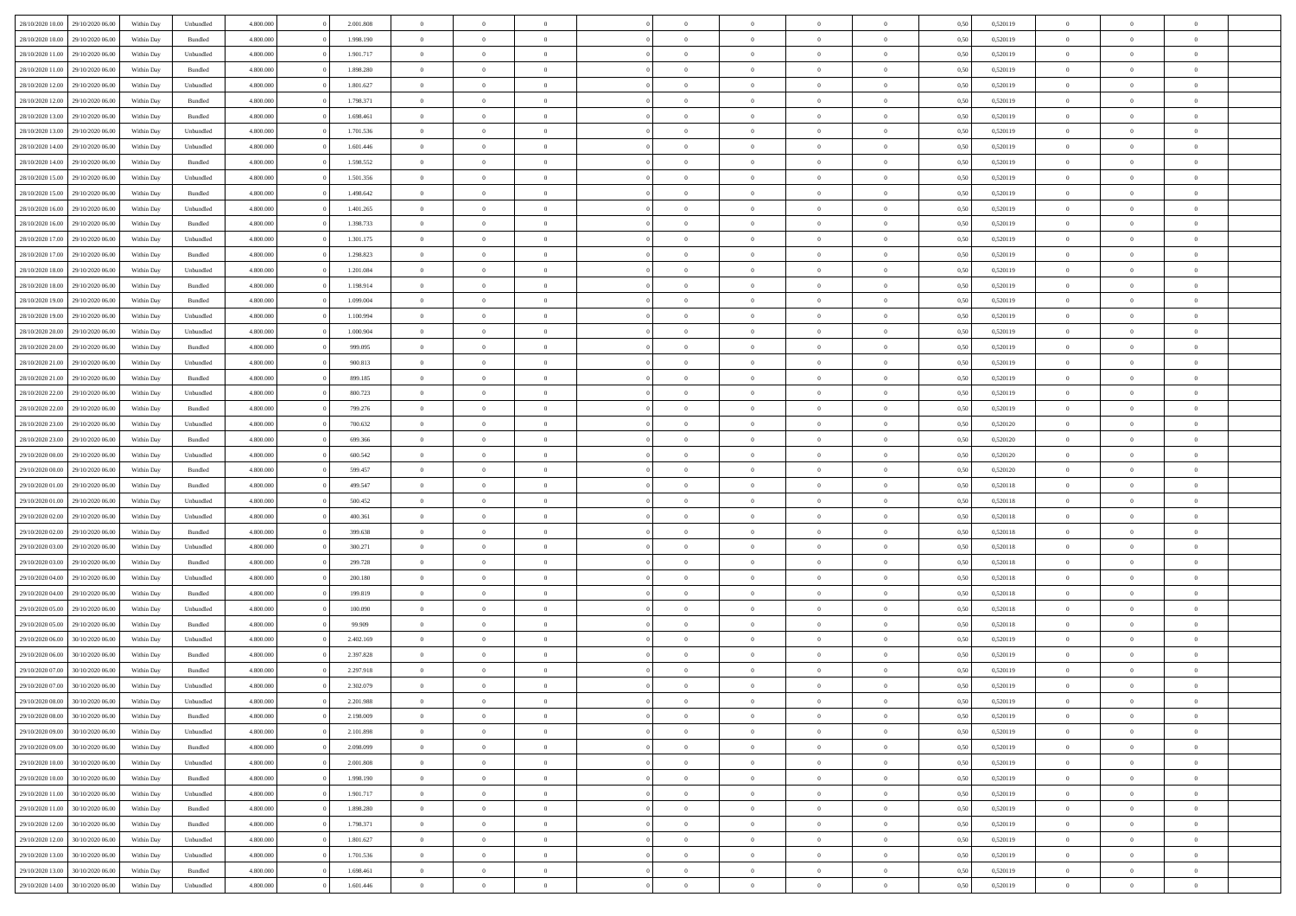| 28/10/2020 10:00 | 29/10/2020 06.00 | Within Dav | Unbundled | 4.800.000 | 2.001.808 | $\overline{0}$ | $\Omega$       |                | $\Omega$       | $\Omega$       | $\Omega$       | $\theta$       | 0.50 | 0,520119 | $\theta$       | $\theta$       | $\theta$       |  |
|------------------|------------------|------------|-----------|-----------|-----------|----------------|----------------|----------------|----------------|----------------|----------------|----------------|------|----------|----------------|----------------|----------------|--|
| 28/10/2020 10:00 | 29/10/2020 06.00 | Within Day | Bundled   | 4.800.000 | 1.998.190 | $\overline{0}$ | $\theta$       | $\overline{0}$ | $\overline{0}$ | $\bf{0}$       | $\overline{0}$ | $\overline{0}$ | 0,50 | 0,520119 | $\theta$       | $\theta$       | $\overline{0}$ |  |
| 28/10/2020 11:00 | 29/10/2020 06.00 | Within Day | Unbundled | 4.800.000 | 1.901.717 | $\overline{0}$ | $\overline{0}$ | $\overline{0}$ | $\bf{0}$       | $\bf{0}$       | $\bf{0}$       | $\bf{0}$       | 0,50 | 0,520119 | $\bf{0}$       | $\overline{0}$ | $\overline{0}$ |  |
| 28/10/2020 11:00 | 29/10/2020 06:00 | Within Dav | Bundled   | 4.800.000 | 1.898.280 | $\overline{0}$ | $\overline{0}$ | $\overline{0}$ | $\overline{0}$ | $\bf{0}$       | $\overline{0}$ | $\overline{0}$ | 0.50 | 0.520119 | $\theta$       | $\theta$       | $\overline{0}$ |  |
|                  |                  |            |           |           |           |                |                |                |                |                |                |                |      |          |                |                |                |  |
| 28/10/2020 12:00 | 29/10/2020 06.00 | Within Day | Unbundled | 4.800.000 | 1.801.627 | $\overline{0}$ | $\theta$       | $\overline{0}$ | $\overline{0}$ | $\bf{0}$       | $\overline{0}$ | $\bf{0}$       | 0,50 | 0,520119 | $\theta$       | $\theta$       | $\overline{0}$ |  |
| 28/10/2020 12:00 | 29/10/2020 06.00 | Within Day | Bundled   | 4.800.000 | 1.798.371 | $\overline{0}$ | $\bf{0}$       | $\overline{0}$ | $\bf{0}$       | $\overline{0}$ | $\overline{0}$ | $\mathbf{0}$   | 0,50 | 0,520119 | $\overline{0}$ | $\overline{0}$ | $\bf{0}$       |  |
| 28/10/2020 13:00 | 29/10/2020 06:00 | Within Dav | Bundled   | 4.800.000 | 1.698.461 | $\overline{0}$ | $\overline{0}$ | $\overline{0}$ | $\overline{0}$ | $\bf{0}$       | $\overline{0}$ | $\overline{0}$ | 0.50 | 0,520119 | $\theta$       | $\overline{0}$ | $\overline{0}$ |  |
| 28/10/2020 13:00 | 29/10/2020 06.00 | Within Day | Unbundled | 4.800.000 | 1.701.536 | $\overline{0}$ | $\theta$       | $\overline{0}$ | $\overline{0}$ | $\bf{0}$       | $\overline{0}$ | $\bf{0}$       | 0,50 | 0,520119 | $\theta$       | $\theta$       | $\overline{0}$ |  |
|                  |                  |            |           |           |           |                |                |                |                |                |                |                |      |          |                |                |                |  |
| 28/10/2020 14:00 | 29/10/2020 06.00 | Within Day | Unbundled | 4.800.000 | 1.601.446 | $\overline{0}$ | $\overline{0}$ | $\overline{0}$ | $\bf{0}$       | $\bf{0}$       | $\bf{0}$       | $\bf{0}$       | 0,50 | 0,520119 | $\,0\,$        | $\overline{0}$ | $\overline{0}$ |  |
| 28/10/2020 14:00 | 29/10/2020 06:00 | Within Dav | Bundled   | 4.800.000 | 1.598.552 | $\overline{0}$ | $\overline{0}$ | $\overline{0}$ | $\overline{0}$ | $\overline{0}$ | $\overline{0}$ | $\overline{0}$ | 0.50 | 0,520119 | $\theta$       | $\overline{0}$ | $\overline{0}$ |  |
| 28/10/2020 15:00 | 29/10/2020 06.00 | Within Day | Unbundled | 4.800.000 | 1.501.356 | $\overline{0}$ | $\theta$       | $\overline{0}$ | $\overline{0}$ | $\bf{0}$       | $\overline{0}$ | $\bf{0}$       | 0,50 | 0,520119 | $\,$ 0 $\,$    | $\theta$       | $\overline{0}$ |  |
| 28/10/2020 15:00 | 29/10/2020 06.00 | Within Day | Bundled   | 4.800.000 | 1.498.642 | $\overline{0}$ | $\overline{0}$ | $\overline{0}$ | $\bf{0}$       | $\bf{0}$       | $\bf{0}$       | $\bf{0}$       | 0,50 | 0,520119 | $\overline{0}$ | $\overline{0}$ | $\overline{0}$ |  |
|                  |                  |            |           |           |           |                |                |                |                |                |                |                |      |          |                |                |                |  |
| 28/10/2020 16:00 | 29/10/2020 06:00 | Within Day | Unbundled | 4.800.000 | 1.401.265 | $\overline{0}$ | $\overline{0}$ | $\overline{0}$ | $\overline{0}$ | $\bf{0}$       | $\overline{0}$ | $\overline{0}$ | 0.50 | 0.520119 | $\theta$       | $\theta$       | $\overline{0}$ |  |
| 28/10/2020 16:00 | 29/10/2020 06.00 | Within Day | Bundled   | 4.800.000 | 1.398.733 | $\overline{0}$ | $\theta$       | $\overline{0}$ | $\overline{0}$ | $\bf{0}$       | $\overline{0}$ | $\overline{0}$ | 0,50 | 0,520119 | $\theta$       | $\theta$       | $\overline{0}$ |  |
| 28/10/2020 17.00 | 29/10/2020 06.00 | Within Day | Unbundled | 4.800.000 | 1.301.175 | $\overline{0}$ | $\bf{0}$       | $\overline{0}$ | $\bf{0}$       | $\overline{0}$ | $\overline{0}$ | $\mathbf{0}$   | 0,50 | 0,520119 | $\overline{0}$ | $\overline{0}$ | $\bf{0}$       |  |
| 28/10/2020 17.00 | 29/10/2020 06:00 | Within Dav | Bundled   | 4.800.000 | 1.298.823 | $\overline{0}$ | $\overline{0}$ | $\overline{0}$ | $\overline{0}$ | $\overline{0}$ | $\overline{0}$ | $\overline{0}$ | 0.50 | 0,520119 | $\theta$       | $\overline{0}$ | $\overline{0}$ |  |
| 28/10/2020 18:00 | 29/10/2020 06.00 |            |           | 4.800.000 | 1.201.084 | $\overline{0}$ | $\theta$       | $\overline{0}$ | $\overline{0}$ | $\bf{0}$       | $\overline{0}$ |                |      | 0,520119 | $\,$ 0 $\,$    | $\theta$       | $\overline{0}$ |  |
|                  |                  | Within Day | Unbundled |           |           |                |                |                |                |                |                | $\bf{0}$       | 0,50 |          |                |                |                |  |
| 28/10/2020 18:00 | 29/10/2020 06.00 | Within Day | Bundled   | 4.800.000 | 1.198.914 | $\overline{0}$ | $\overline{0}$ | $\overline{0}$ | $\bf{0}$       | $\bf{0}$       | $\bf{0}$       | $\bf{0}$       | 0,50 | 0,520119 | $\,0\,$        | $\overline{0}$ | $\overline{0}$ |  |
| 28/10/2020 19:00 | 29/10/2020 06:00 | Within Day | Bundled   | 4.800.000 | 1.099.004 | $\overline{0}$ | $\overline{0}$ | $\overline{0}$ | $\overline{0}$ | $\overline{0}$ | $\overline{0}$ | $\overline{0}$ | 0.50 | 0,520119 | $\theta$       | $\overline{0}$ | $\overline{0}$ |  |
| 28/10/2020 19:00 | 29/10/2020 06.00 | Within Day | Unbundled | 4.800.000 | 1.100.994 | $\overline{0}$ | $\theta$       | $\overline{0}$ | $\overline{0}$ | $\bf{0}$       | $\overline{0}$ | $\bf{0}$       | 0,50 | 0,520119 | $\,$ 0 $\,$    | $\theta$       | $\overline{0}$ |  |
|                  |                  |            |           |           |           |                | $\overline{0}$ |                |                | $\bf{0}$       |                |                |      |          | $\bf{0}$       | $\overline{0}$ | $\overline{0}$ |  |
| 28/10/2020 20:00 | 29/10/2020 06.00 | Within Day | Unbundled | 4.800.000 | 1.000.904 | $\overline{0}$ |                | $\overline{0}$ | $\bf{0}$       |                | $\bf{0}$       | $\bf{0}$       | 0,50 | 0,520119 |                |                |                |  |
| 28/10/2020 20:00 | 29/10/2020 06:00 | Within Day | Bundled   | 4.800.000 | 999,095   | $\overline{0}$ | $\overline{0}$ | $\overline{0}$ | $\overline{0}$ | $\bf{0}$       | $\overline{0}$ | $\overline{0}$ | 0.50 | 0.520119 | $\theta$       | $\theta$       | $\overline{0}$ |  |
| 28/10/2020 21.00 | 29/10/2020 06.00 | Within Day | Unbundled | 4.800.000 | 900.813   | $\overline{0}$ | $\theta$       | $\overline{0}$ | $\overline{0}$ | $\bf{0}$       | $\overline{0}$ | $\bf{0}$       | 0,50 | 0,520119 | $\,$ 0 $\,$    | $\overline{0}$ | $\overline{0}$ |  |
| 28/10/2020 21.00 | 29/10/2020 06.00 | Within Day | Bundled   | 4.800.000 | 899.185   | $\overline{0}$ | $\bf{0}$       | $\overline{0}$ | $\bf{0}$       | $\overline{0}$ | $\overline{0}$ | $\mathbf{0}$   | 0,50 | 0,520119 | $\overline{0}$ | $\overline{0}$ | $\bf{0}$       |  |
| 28/10/2020 22:00 | 29/10/2020 06:00 | Within Dav | Unbundled | 4.800.000 | 800.723   | $\overline{0}$ | $\overline{0}$ | $\overline{0}$ | $\overline{0}$ | $\overline{0}$ | $\overline{0}$ | $\overline{0}$ | 0.50 | 0,520119 | $\theta$       | $\overline{0}$ | $\overline{0}$ |  |
|                  |                  |            |           |           |           |                |                |                |                |                |                |                |      |          |                |                |                |  |
| 28/10/2020 22.00 | 29/10/2020 06.00 | Within Day | Bundled   | 4.800.000 | 799.276   | $\overline{0}$ | $\theta$       | $\overline{0}$ | $\overline{0}$ | $\bf{0}$       | $\overline{0}$ | $\bf{0}$       | 0,50 | 0,520119 | $\theta$       | $\theta$       | $\overline{0}$ |  |
| 28/10/2020 23:00 | 29/10/2020 06.00 | Within Day | Unbundled | 4.800.000 | 700.632   | $\overline{0}$ | $\overline{0}$ | $\overline{0}$ | $\bf{0}$       | $\bf{0}$       | $\bf{0}$       | $\bf{0}$       | 0,50 | 0,520120 | $\,0\,$        | $\overline{0}$ | $\overline{0}$ |  |
| 28/10/2020 23:00 | 29/10/2020 06:00 | Within Day | Bundled   | 4.800.000 | 699.366   | $\overline{0}$ | $\overline{0}$ | $\overline{0}$ | $\overline{0}$ | $\overline{0}$ | $\overline{0}$ | $\overline{0}$ | 0.50 | 0,520120 | $\theta$       | $\overline{0}$ | $\overline{0}$ |  |
| 29/10/2020 00.00 | 29/10/2020 06.00 | Within Day | Unbundled | 4.800.000 | 600.542   | $\overline{0}$ | $\theta$       | $\overline{0}$ | $\overline{0}$ | $\bf{0}$       | $\overline{0}$ | $\bf{0}$       | 0,50 | 0,520120 | $\,$ 0 $\,$    | $\overline{0}$ | $\overline{0}$ |  |
|                  |                  |            |           |           |           |                |                |                |                |                |                |                |      |          |                |                |                |  |
| 29/10/2020 00.00 | 29/10/2020 06.00 | Within Day | Bundled   | 4.800.000 | 599.457   | $\overline{0}$ | $\overline{0}$ | $\overline{0}$ | $\overline{0}$ | $\bf{0}$       | $\overline{0}$ | $\bf{0}$       | 0,50 | 0,520120 | $\overline{0}$ | $\overline{0}$ | $\overline{0}$ |  |
| 29/10/2020 01:00 | 29/10/2020 06.00 | Within Day | Bundled   | 4.800,000 | 499,547   | $\overline{0}$ | $\Omega$       | $\Omega$       | $\Omega$       | $\Omega$       | $\Omega$       | $\overline{0}$ | 0,50 | 0,520118 | $\,0\,$        | $\theta$       | $\theta$       |  |
| 29/10/2020 01:00 | 29/10/2020 06.00 | Within Day | Unbundled | 4.800.000 | 500.452   | $\overline{0}$ | $\theta$       | $\overline{0}$ | $\overline{0}$ | $\bf{0}$       | $\overline{0}$ | $\bf{0}$       | 0,50 | 0,520118 | $\,$ 0 $\,$    | $\theta$       | $\overline{0}$ |  |
| 29/10/2020 02.00 | 29/10/2020 06.00 | Within Day | Unbundled | 4.800.000 | 400.361   | $\overline{0}$ | $\overline{0}$ | $\overline{0}$ | $\overline{0}$ | $\bf{0}$       | $\overline{0}$ | $\mathbf{0}$   | 0,50 | 0,520118 | $\overline{0}$ | $\overline{0}$ | $\bf{0}$       |  |
|                  | 29/10/2020 06:00 |            |           | 4.800,000 | 399,638   | $\overline{0}$ | $\Omega$       | $\Omega$       | $\Omega$       | $\bf{0}$       |                |                |      |          |                | $\theta$       | $\theta$       |  |
| 29/10/2020 02.00 |                  | Within Day | Bundled   |           |           |                |                |                |                |                | $\overline{0}$ | $\overline{0}$ | 0.50 | 0,520118 | $\,0\,$        |                |                |  |
| 29/10/2020 03.00 | 29/10/2020 06.00 | Within Day | Unbundled | 4.800.000 | 300.271   | $\overline{0}$ | $\theta$       | $\overline{0}$ | $\overline{0}$ | $\bf{0}$       | $\overline{0}$ | $\bf{0}$       | 0,50 | 0,520118 | $\,$ 0 $\,$    | $\theta$       | $\overline{0}$ |  |
| 29/10/2020 03:00 | 29/10/2020 06.00 | Within Day | Bundled   | 4.800.000 | 299.728   | $\overline{0}$ | $\overline{0}$ | $\overline{0}$ | $\overline{0}$ | $\bf{0}$       | $\overline{0}$ | $\bf{0}$       | 0,50 | 0,520118 | $\,0\,$        | $\overline{0}$ | $\overline{0}$ |  |
| 29/10/2020 04:00 | 29/10/2020 06:00 | Within Day | Unbundled | 4.800,000 | 200.180   | $\overline{0}$ | $\Omega$       | $\Omega$       | $\Omega$       | $\Omega$       | $\theta$       | $\overline{0}$ | 0.50 | 0,520118 | $\,0\,$        | $\theta$       | $\theta$       |  |
| 29/10/2020 04.00 | 29/10/2020 06.00 | Within Day | Bundled   | 4.800.000 | 199.819   | $\overline{0}$ | $\theta$       | $\overline{0}$ | $\overline{0}$ | $\bf{0}$       | $\overline{0}$ | $\bf{0}$       | 0,50 | 0,520118 | $\,$ 0 $\,$    | $\overline{0}$ | $\overline{0}$ |  |
|                  |                  |            |           |           |           |                |                |                |                |                |                |                |      |          |                |                |                |  |
| 29/10/2020 05.00 | 29/10/2020 06.00 | Within Day | Unbundled | 4.800.000 | 100.090   | $\overline{0}$ | $\overline{0}$ | $\overline{0}$ | $\overline{0}$ | $\bf{0}$       | $\overline{0}$ | $\bf{0}$       | 0,50 | 0,520118 | $\overline{0}$ | $\overline{0}$ | $\overline{0}$ |  |
| 29/10/2020 05:00 | 29/10/2020 06.00 | Within Day | Bundled   | 4.800,000 | 99.909    | $\overline{0}$ | $\Omega$       | $\Omega$       | $\Omega$       | $\Omega$       | $\overline{0}$ | $\overline{0}$ | 0.50 | 0,520118 | $\,0\,$        | $\theta$       | $\theta$       |  |
| 29/10/2020 06.00 | 30/10/2020 06.00 | Within Day | Unbundled | 4.800.000 | 2.402.169 | $\overline{0}$ | $\theta$       | $\overline{0}$ | $\overline{0}$ | $\bf{0}$       | $\overline{0}$ | $\bf{0}$       | 0,50 | 0,520119 | $\,$ 0 $\,$    | $\overline{0}$ | $\overline{0}$ |  |
| 29/10/2020 06.00 | 30/10/2020 06.00 | Within Day | Bundled   | 4.800.000 | 2.397.828 | $\overline{0}$ | $\overline{0}$ | $\overline{0}$ | $\overline{0}$ | $\bf{0}$       | $\overline{0}$ | $\mathbf{0}$   | 0,50 | 0,520119 | $\overline{0}$ | $\overline{0}$ | $\bf{0}$       |  |
|                  |                  |            |           |           |           |                |                |                |                |                |                |                |      |          |                |                |                |  |
| 29/10/2020 07:00 | 30/10/2020 06:00 | Within Day | Bundled   | 4.800,000 | 2.297.918 | $\overline{0}$ | $\Omega$       | $\Omega$       | $\Omega$       | $\Omega$       | $\Omega$       | $\overline{0}$ | 0.50 | 0.520119 | $\theta$       | $\theta$       | $\theta$       |  |
| 29/10/2020 07.00 | 30/10/2020 06:00 | Within Day | Unbundled | 4.800.000 | 2.302.079 | $\overline{0}$ | $\,$ 0 $\,$    | $\overline{0}$ | $\bf{0}$       | $\,$ 0         | $\overline{0}$ | $\bf{0}$       | 0,50 | 0,520119 | $\,0\,$        | $\overline{0}$ | $\overline{0}$ |  |
| 29/10/2020 08:00 | 30/10/2020 06.00 | Within Day | Unbundled | 4.800.000 | 2.201.988 | $\bf{0}$       | $\bf{0}$       |                |                |                |                |                | 0,50 | 0,520119 | $\bf{0}$       | $\overline{0}$ |                |  |
| 29/10/2020 08:00 | 30/10/2020 06:00 | Within Day | Bundled   | 4.800.000 | 2.198.009 | $\overline{0}$ | $\overline{0}$ | $\overline{0}$ | $\Omega$       | $\theta$       | $\overline{0}$ | $\overline{0}$ | 0,50 | 0,520119 | $\theta$       | $\theta$       | $\theta$       |  |
| 29/10/2020 09:00 | 30/10/2020 06.00 | Within Day | Unbundled | 4.800.000 | 2.101.898 | $\overline{0}$ | $\,$ 0         | $\overline{0}$ | $\overline{0}$ | $\,$ 0 $\,$    | $\overline{0}$ | $\mathbf{0}$   | 0,50 | 0,520119 | $\,$ 0 $\,$    | $\,$ 0 $\,$    | $\,$ 0         |  |
|                  |                  |            |           |           |           |                |                |                |                |                |                |                |      |          |                |                |                |  |
| 29/10/2020 09:00 | 30/10/2020 06.00 | Within Day | Bundled   | 4.800.000 | 2.098.099 | $\overline{0}$ | $\overline{0}$ | $\overline{0}$ | $\overline{0}$ | $\overline{0}$ | $\overline{0}$ | $\mathbf{0}$   | 0,50 | 0,520119 | $\overline{0}$ | $\bf{0}$       | $\bf{0}$       |  |
| 29/10/2020 10:00 | 30/10/2020 06.00 | Within Day | Unbundled | 4.800,000 | 2.001.808 | $\overline{0}$ | $\overline{0}$ | $\overline{0}$ | $\Omega$       | $\overline{0}$ | $\overline{0}$ | $\overline{0}$ | 0,50 | 0,520119 | $\overline{0}$ | $\theta$       | $\overline{0}$ |  |
| 29/10/2020 10:00 | 30/10/2020 06.00 | Within Day | Bundled   | 4.800.000 | 1.998.190 | $\overline{0}$ | $\,$ 0         | $\overline{0}$ | $\overline{0}$ | $\,$ 0 $\,$    | $\overline{0}$ | $\mathbf{0}$   | 0,50 | 0,520119 | $\,$ 0 $\,$    | $\overline{0}$ | $\overline{0}$ |  |
| 29/10/2020 11:00 | 30/10/2020 06.00 | Within Day | Unbundled | 4.800.000 | 1.901.717 | $\overline{0}$ | $\overline{0}$ | $\overline{0}$ | $\overline{0}$ | $\overline{0}$ | $\overline{0}$ | $\mathbf{0}$   | 0,50 | 0,520119 | $\overline{0}$ | $\overline{0}$ | $\bf{0}$       |  |
|                  |                  |            |           |           |           |                |                |                |                |                |                |                |      |          |                |                |                |  |
| 29/10/2020 11:00 | 30/10/2020 06.00 | Within Day | Bundled   | 4.800.000 | 1.898.280 | $\overline{0}$ | $\overline{0}$ | $\overline{0}$ | $\Omega$       | $\overline{0}$ | $\overline{0}$ | $\bf{0}$       | 0.50 | 0,520119 | $\overline{0}$ | $\theta$       | $\overline{0}$ |  |
| 29/10/2020 12:00 | 30/10/2020 06.00 | Within Day | Bundled   | 4.800.000 | 1.798.371 | $\overline{0}$ | $\,$ 0         | $\overline{0}$ | $\bf{0}$       | $\bf{0}$       | $\bf{0}$       | $\bf{0}$       | 0,50 | 0,520119 | $\,$ 0 $\,$    | $\overline{0}$ | $\overline{0}$ |  |
| 29/10/2020 12:00 | 30/10/2020 06.00 | Within Day | Unbundled | 4.800.000 | 1.801.627 | $\overline{0}$ | $\bf{0}$       | $\overline{0}$ | $\overline{0}$ | $\overline{0}$ | $\overline{0}$ | $\mathbf{0}$   | 0,50 | 0,520119 | $\overline{0}$ | $\overline{0}$ | $\bf{0}$       |  |
| 29/10/2020 13:00 | 30/10/2020 06:00 | Within Day | Unbundled | 4.800,000 | 1.701.536 | $\overline{0}$ | $\overline{0}$ | $\overline{0}$ | $\Omega$       | $\overline{0}$ | $\overline{0}$ | $\bf{0}$       | 0.50 | 0,520119 | $\overline{0}$ | $\theta$       | $\overline{0}$ |  |
|                  |                  |            |           |           |           |                |                |                |                |                |                |                |      |          |                |                |                |  |
| 29/10/2020 13:00 | 30/10/2020 06.00 | Within Day | Bundled   | 4.800.000 | 1.698.461 | $\overline{0}$ | $\bf{0}$       | $\overline{0}$ | $\overline{0}$ | $\bf{0}$       | $\bf{0}$       | $\mathbf{0}$   | 0,50 | 0,520119 | $\,$ 0 $\,$    | $\,$ 0 $\,$    | $\bf{0}$       |  |
| 29/10/2020 14:00 | 30/10/2020 06.00 | Within Day | Unbundled | 4.800.000 | 1.601.446 | $\overline{0}$ | $\overline{0}$ | $\overline{0}$ | $\overline{0}$ | $\bf{0}$       | $\bf{0}$       | $\mathbf{0}$   | 0,50 | 0,520119 | $\overline{0}$ | $\bf{0}$       | $\bf{0}$       |  |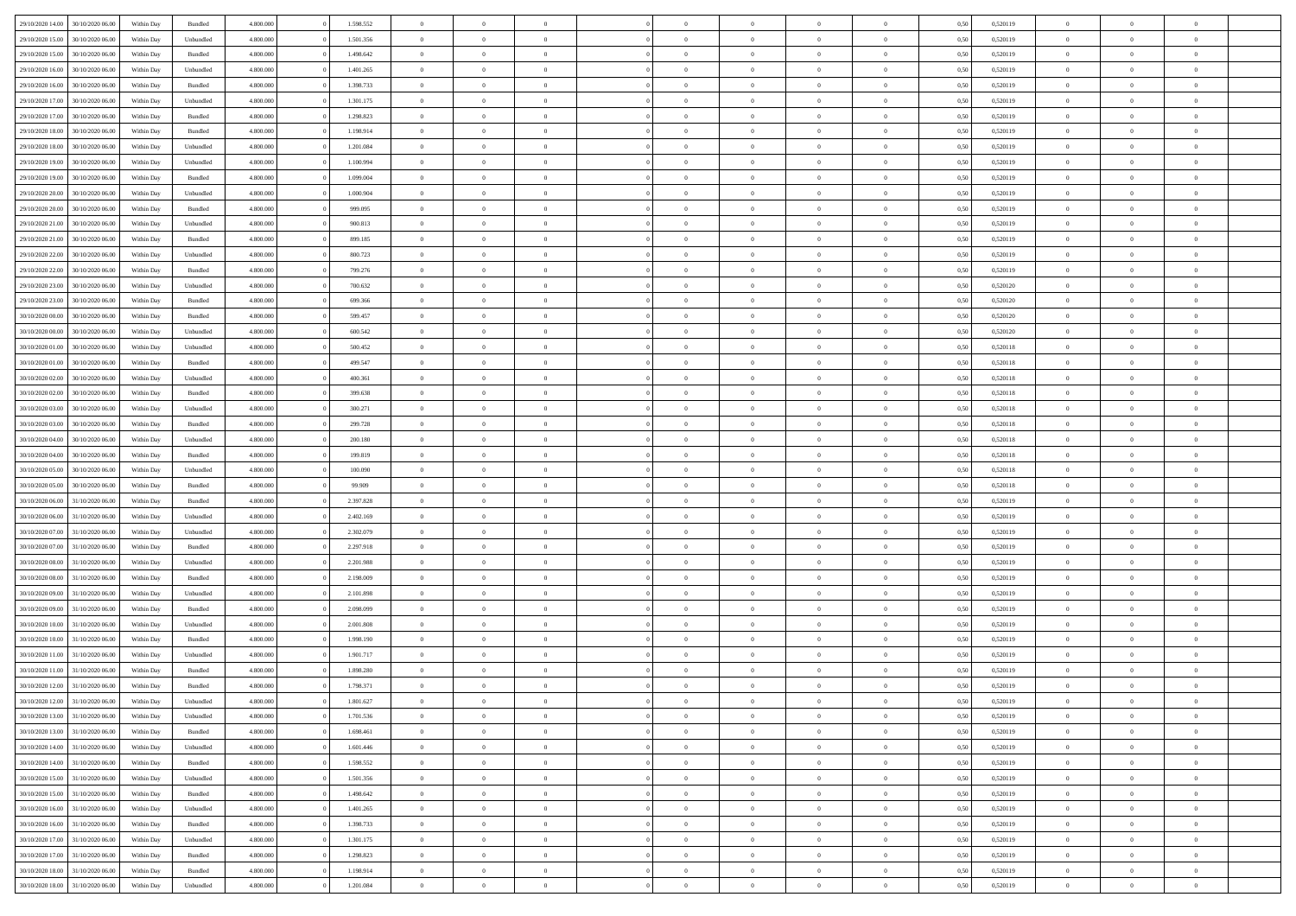| 29/10/2020 14:00                  | 30/10/2020 06:00 | Within Dav | Bundled            | 4.800.000 | 1.598.552 | $\overline{0}$ | $\Omega$       |                | $\Omega$       | $\Omega$       | $\Omega$       | $\theta$       | 0.50 | 0,520119 | $\theta$       | $\theta$       | $\theta$       |  |
|-----------------------------------|------------------|------------|--------------------|-----------|-----------|----------------|----------------|----------------|----------------|----------------|----------------|----------------|------|----------|----------------|----------------|----------------|--|
|                                   |                  |            |                    |           |           |                |                |                |                |                |                |                |      |          |                |                |                |  |
| 29/10/2020 15:00                  | 30/10/2020 06.00 | Within Day | Unbundled          | 4.800.000 | 1.501.356 | $\overline{0}$ | $\theta$       | $\overline{0}$ | $\overline{0}$ | $\bf{0}$       | $\overline{0}$ | $\bf{0}$       | 0,50 | 0,520119 | $\theta$       | $\theta$       | $\overline{0}$ |  |
| 29/10/2020 15:00                  | 30/10/2020 06.00 | Within Day | Bundled            | 4.800.000 | 1.498.642 | $\overline{0}$ | $\overline{0}$ | $\overline{0}$ | $\bf{0}$       | $\bf{0}$       | $\bf{0}$       | $\bf{0}$       | 0,50 | 0,520119 | $\overline{0}$ | $\overline{0}$ | $\overline{0}$ |  |
| 29/10/2020 16:00                  | 30/10/2020 06:00 | Within Dav | Unbundled          | 4.800.000 | 1.401.265 | $\overline{0}$ | $\overline{0}$ | $\overline{0}$ | $\overline{0}$ | $\bf{0}$       | $\overline{0}$ | $\overline{0}$ | 0.50 | 0.520119 | $\theta$       | $\theta$       | $\overline{0}$ |  |
| 29/10/2020 16.00                  | 30/10/2020 06.00 | Within Day | Bundled            | 4.800.000 | 1.398.733 | $\overline{0}$ | $\theta$       | $\overline{0}$ | $\overline{0}$ | $\bf{0}$       | $\overline{0}$ | $\bf{0}$       | 0,50 | 0,520119 | $\theta$       | $\theta$       | $\overline{0}$ |  |
|                                   |                  |            |                    |           |           |                |                |                |                |                |                |                |      |          |                |                |                |  |
| 29/10/2020 17.00                  | 30/10/2020 06.00 | Within Day | Unbundled          | 4.800.000 | 1.301.175 | $\overline{0}$ | $\bf{0}$       | $\overline{0}$ | $\bf{0}$       | $\overline{0}$ | $\overline{0}$ | $\mathbf{0}$   | 0,50 | 0,520119 | $\overline{0}$ | $\overline{0}$ | $\bf{0}$       |  |
| 29/10/2020 17:00                  | 30/10/2020 06.00 | Within Dav | Bundled            | 4.800.000 | 1.298.823 | $\overline{0}$ | $\overline{0}$ | $\overline{0}$ | $\overline{0}$ | $\overline{0}$ | $\overline{0}$ | $\overline{0}$ | 0.50 | 0,520119 | $\theta$       | $\overline{0}$ | $\overline{0}$ |  |
| 29/10/2020 18:00                  | 30/10/2020 06.00 | Within Day | Bundled            | 4.800.000 | 1.198.914 | $\overline{0}$ | $\theta$       | $\overline{0}$ | $\overline{0}$ | $\bf{0}$       | $\overline{0}$ | $\bf{0}$       | 0,50 | 0,520119 | $\theta$       | $\theta$       | $\overline{0}$ |  |
| 29/10/2020 18:00                  | 30/10/2020 06.00 | Within Day | Unbundled          | 4.800.000 | 1.201.084 | $\overline{0}$ | $\overline{0}$ | $\overline{0}$ | $\bf{0}$       | $\bf{0}$       | $\bf{0}$       | $\bf{0}$       | 0,50 | 0,520119 | $\,0\,$        | $\overline{0}$ | $\overline{0}$ |  |
| 29/10/2020 19:00                  | 30/10/2020 06.00 | Within Dav | Unbundled          | 4.800.000 | 1.100.994 | $\overline{0}$ | $\overline{0}$ | $\overline{0}$ | $\overline{0}$ | $\overline{0}$ | $\overline{0}$ | $\overline{0}$ | 0.50 | 0,520119 | $\theta$       | $\overline{0}$ | $\overline{0}$ |  |
|                                   |                  |            |                    |           |           | $\overline{0}$ | $\theta$       | $\overline{0}$ |                | $\bf{0}$       | $\overline{0}$ |                |      |          | $\,$ 0 $\,$    | $\theta$       | $\overline{0}$ |  |
| 29/10/2020 19:00                  | 30/10/2020 06.00 | Within Day | Bundled            | 4.800.000 | 1.099.004 |                |                |                | $\overline{0}$ |                |                | $\bf{0}$       | 0,50 | 0,520119 |                |                |                |  |
| 29/10/2020 20.00                  | 30/10/2020 06.00 | Within Day | Unbundled          | 4.800.000 | 1.000.904 | $\overline{0}$ | $\overline{0}$ | $\overline{0}$ | $\bf{0}$       | $\bf{0}$       | $\bf{0}$       | $\bf{0}$       | 0,50 | 0,520119 | $\overline{0}$ | $\overline{0}$ | $\overline{0}$ |  |
| 29/10/2020 20:00                  | 30/10/2020 06:00 | Within Day | Bundled            | 4.800.000 | 999,095   | $\overline{0}$ | $\overline{0}$ | $\overline{0}$ | $\overline{0}$ | $\bf{0}$       | $\overline{0}$ | $\overline{0}$ | 0.50 | 0.520119 | $\theta$       | $\theta$       | $\overline{0}$ |  |
| 29/10/2020 21.00                  | 30/10/2020 06.00 | Within Day | Unbundled          | 4.800.000 | 900.813   | $\overline{0}$ | $\theta$       | $\overline{0}$ | $\overline{0}$ | $\bf{0}$       | $\overline{0}$ | $\bf{0}$       | 0,50 | 0,520119 | $\theta$       | $\theta$       | $\overline{0}$ |  |
| 29/10/2020 21:00                  | 30/10/2020 06.00 | Within Day | Bundled            | 4.800.000 | 899.185   | $\overline{0}$ | $\bf{0}$       | $\overline{0}$ | $\overline{0}$ | $\overline{0}$ | $\overline{0}$ | $\mathbf{0}$   | 0,50 | 0,520119 | $\bf{0}$       | $\overline{0}$ | $\bf{0}$       |  |
| 29/10/2020 22.00                  | 30/10/2020 06:00 | Within Dav | Unbundled          | 4.800.000 | 800.723   | $\overline{0}$ | $\overline{0}$ | $\overline{0}$ | $\overline{0}$ | $\overline{0}$ | $\overline{0}$ | $\overline{0}$ | 0.50 | 0,520119 | $\theta$       | $\overline{0}$ | $\overline{0}$ |  |
| 29/10/2020 22.00                  | 30/10/2020 06.00 | Within Day | Bundled            | 4.800.000 | 799.276   | $\overline{0}$ | $\theta$       | $\overline{0}$ | $\overline{0}$ | $\bf{0}$       | $\overline{0}$ | $\bf{0}$       | 0,50 | 0,520119 | $\theta$       | $\theta$       | $\overline{0}$ |  |
| 29/10/2020 23:00                  | 30/10/2020 06.00 | Within Day | Unbundled          | 4.800.000 | 700.632   | $\overline{0}$ | $\overline{0}$ | $\overline{0}$ | $\overline{0}$ | $\bf{0}$       | $\overline{0}$ | $\bf{0}$       | 0,50 | 0,520120 | $\,0\,$        | $\overline{0}$ | $\overline{0}$ |  |
|                                   | 30/10/2020 06.00 |            | Bundled            | 4.800.000 | 699.366   | $\overline{0}$ | $\overline{0}$ | $\overline{0}$ | $\overline{0}$ | $\overline{0}$ | $\overline{0}$ | $\overline{0}$ | 0.50 | 0,520120 | $\theta$       | $\overline{0}$ | $\overline{0}$ |  |
| 29/10/2020 23:00                  |                  | Within Day |                    |           |           |                |                |                |                |                |                |                |      |          |                |                |                |  |
| 30/10/2020 00:00                  | 30/10/2020 06.00 | Within Day | Bundled            | 4.800.000 | 599.457   | $\overline{0}$ | $\theta$       | $\overline{0}$ | $\overline{0}$ | $\bf{0}$       | $\overline{0}$ | $\bf{0}$       | 0,50 | 0,520120 | $\,$ 0 $\,$    | $\theta$       | $\overline{0}$ |  |
| 30/10/2020 00.00                  | 30/10/2020 06.00 | Within Day | Unbundled          | 4.800.000 | 600.542   | $\overline{0}$ | $\overline{0}$ | $\overline{0}$ | $\overline{0}$ | $\bf{0}$       | $\overline{0}$ | $\bf{0}$       | 0,50 | 0,520120 | $\,0\,$        | $\overline{0}$ | $\overline{0}$ |  |
| 30/10/2020 01:00                  | 30/10/2020 06:00 | Within Day | Unbundled          | 4.800.000 | 500,452   | $\overline{0}$ | $\overline{0}$ | $\overline{0}$ | $\overline{0}$ | $\bf{0}$       | $\overline{0}$ | $\overline{0}$ | 0.50 | 0.520118 | $\theta$       | $\theta$       | $\overline{0}$ |  |
| 30/10/2020 01:00                  | 30/10/2020 06.00 | Within Day | Bundled            | 4.800.000 | 499.547   | $\overline{0}$ | $\theta$       | $\overline{0}$ | $\overline{0}$ | $\bf{0}$       | $\overline{0}$ | $\bf{0}$       | 0,50 | 0,520118 | $\,$ 0 $\,$    | $\overline{0}$ | $\overline{0}$ |  |
| 30/10/2020 02.00                  | 30/10/2020 06.00 | Within Day | Unbundled          | 4.800.000 | 400.361   | $\overline{0}$ | $\bf{0}$       | $\overline{0}$ | $\overline{0}$ | $\overline{0}$ | $\overline{0}$ | $\mathbf{0}$   | 0,50 | 0,520118 | $\bf{0}$       | $\overline{0}$ | $\bf{0}$       |  |
| 30/10/2020 02.00                  | 30/10/2020 06.00 | Within Dav | Bundled            | 4.800.000 | 399.638   | $\overline{0}$ | $\overline{0}$ | $\overline{0}$ | $\overline{0}$ | $\overline{0}$ | $\overline{0}$ | $\overline{0}$ | 0.50 | 0,520118 | $\theta$       | $\theta$       | $\overline{0}$ |  |
| 30/10/2020 03:00                  | 30/10/2020 06.00 | Within Day | Unbundled          | 4.800.000 | 300.271   | $\overline{0}$ | $\theta$       | $\overline{0}$ | $\overline{0}$ | $\bf{0}$       | $\overline{0}$ | $\bf{0}$       | 0,50 | 0,520118 | $\theta$       | $\theta$       | $\overline{0}$ |  |
|                                   |                  |            |                    |           |           |                |                |                |                |                |                |                |      |          |                |                |                |  |
| 30/10/2020 03:00                  | 30/10/2020 06.00 | Within Day | Bundled            | 4.800.000 | 299.728   | $\overline{0}$ | $\overline{0}$ | $\overline{0}$ | $\overline{0}$ | $\bf{0}$       | $\overline{0}$ | $\bf{0}$       | 0,50 | 0,520118 | $\,0\,$        | $\overline{0}$ | $\overline{0}$ |  |
| 30/10/2020 04:00                  | 30/10/2020 06.00 | Within Day | Unbundled          | 4.800.000 | 200.180   | $\overline{0}$ | $\overline{0}$ | $\overline{0}$ | $\overline{0}$ | $\overline{0}$ | $\overline{0}$ | $\overline{0}$ | 0.50 | 0,520118 | $\theta$       | $\overline{0}$ | $\overline{0}$ |  |
| 30/10/2020 04:00                  | 30/10/2020 06.00 | Within Day | Bundled            | 4.800.000 | 199.819   | $\overline{0}$ | $\theta$       | $\overline{0}$ | $\overline{0}$ | $\bf{0}$       | $\overline{0}$ | $\bf{0}$       | 0,50 | 0,520118 | $\,$ 0 $\,$    | $\overline{0}$ | $\overline{0}$ |  |
| 30/10/2020 05:00                  | 30/10/2020 06.00 | Within Day | Unbundled          | 4.800.000 | 100.090   | $\overline{0}$ | $\overline{0}$ | $\overline{0}$ | $\overline{0}$ | $\bf{0}$       | $\overline{0}$ | $\bf{0}$       | 0,50 | 0,520118 | $\bf{0}$       | $\overline{0}$ | $\overline{0}$ |  |
| 30/10/2020 05.00                  | 30/10/2020 06.00 | Within Day | Bundled            | 4.800,000 | 99.909    | $\overline{0}$ | $\Omega$       | $\Omega$       | $\Omega$       | $\Omega$       | $\Omega$       | $\overline{0}$ | 0,50 | 0,520118 | $\,0\,$        | $\theta$       | $\theta$       |  |
| 30/10/2020 06.00                  | 31/10/2020 06.00 | Within Day | Bundled            | 4.800.000 | 2.397.828 | $\overline{0}$ | $\theta$       | $\overline{0}$ | $\overline{0}$ | $\bf{0}$       | $\overline{0}$ | $\bf{0}$       | 0,50 | 0,520119 | $\,$ 0 $\,$    | $\theta$       | $\overline{0}$ |  |
| 30/10/2020 06.00                  | 31/10/2020 06.00 | Within Day | Unbundled          | 4.800.000 | 2.402.169 | $\overline{0}$ | $\overline{0}$ | $\overline{0}$ | $\overline{0}$ | $\bf{0}$       | $\overline{0}$ | $\mathbf{0}$   | 0,50 | 0,520119 | $\bf{0}$       | $\overline{0}$ | $\bf{0}$       |  |
|                                   |                  |            |                    |           |           |                |                |                |                |                |                |                |      |          |                |                |                |  |
| 30/10/2020 07.00                  | 31/10/2020 06.00 | Within Day | Unbundled          | 4.800,000 | 2.302.079 | $\overline{0}$ | $\Omega$       | $\Omega$       | $\Omega$       | $\bf{0}$       | $\overline{0}$ | $\overline{0}$ | 0.50 | 0,520119 | $\,0\,$        | $\theta$       | $\theta$       |  |
| 30/10/2020 07.00                  | 31/10/2020 06.00 | Within Day | Bundled            | 4.800.000 | 2.297.918 | $\overline{0}$ | $\theta$       | $\overline{0}$ | $\overline{0}$ | $\bf{0}$       | $\overline{0}$ | $\bf{0}$       | 0,50 | 0,520119 | $\,$ 0 $\,$    | $\theta$       | $\overline{0}$ |  |
| 30/10/2020 08:00                  | 31/10/2020 06.00 | Within Day | Unbundled          | 4.800.000 | 2.201.988 | $\overline{0}$ | $\overline{0}$ | $\overline{0}$ | $\overline{0}$ | $\bf{0}$       | $\overline{0}$ | $\bf{0}$       | 0,50 | 0,520119 | $\,0\,$        | $\overline{0}$ | $\overline{0}$ |  |
| 30/10/2020 08:00                  | 31/10/2020 06:00 | Within Day | Bundled            | 4.800,000 | 2.198.009 | $\overline{0}$ | $\Omega$       | $\Omega$       | $\Omega$       | $\Omega$       | $\theta$       | $\overline{0}$ | 0.50 | 0,520119 | $\theta$       | $\theta$       | $\theta$       |  |
| 30/10/2020 09:00                  | 31/10/2020 06.00 | Within Day | Unbundled          | 4.800.000 | 2.101.898 | $\overline{0}$ | $\theta$       | $\overline{0}$ | $\overline{0}$ | $\bf{0}$       | $\overline{0}$ | $\bf{0}$       | 0,50 | 0,520119 | $\,$ 0 $\,$    | $\overline{0}$ | $\overline{0}$ |  |
| 30/10/2020 09:00                  | 31/10/2020 06.00 | Within Day | Bundled            | 4.800.000 | 2.098.099 | $\overline{0}$ | $\overline{0}$ | $\overline{0}$ | $\bf{0}$       | $\bf{0}$       | $\bf{0}$       | $\bf{0}$       | 0,50 | 0,520119 | $\bf{0}$       | $\overline{0}$ | $\overline{0}$ |  |
| 30/10/2020 10:00                  | 31/10/2020 06.00 | Within Day | Unbundled          | 4.800,000 | 2.001.808 | $\overline{0}$ | $\Omega$       | $\Omega$       | $\Omega$       | $\Omega$       | $\overline{0}$ | $\overline{0}$ | 0.50 | 0,520119 | $\,0\,$        | $\theta$       | $\theta$       |  |
|                                   |                  |            |                    |           |           |                |                |                |                |                |                |                |      |          |                |                |                |  |
| 30/10/2020 10:00                  | 31/10/2020 06.00 | Within Day | Bundled            | 4.800.000 | 1.998.190 | $\overline{0}$ | $\theta$       | $\overline{0}$ | $\overline{0}$ | $\bf{0}$       | $\overline{0}$ | $\bf{0}$       | 0,50 | 0,520119 | $\,$ 0 $\,$    | $\overline{0}$ | $\overline{0}$ |  |
| 30/10/2020 11:00                  | 31/10/2020 06.00 | Within Day | Unbundled          | 4.800.000 | 1.901.717 | $\overline{0}$ | $\overline{0}$ | $\overline{0}$ | $\bf{0}$       | $\bf{0}$       | $\bf{0}$       | $\mathbf{0}$   | 0,50 | 0,520119 | $\bf{0}$       | $\overline{0}$ | $\bf{0}$       |  |
| 30/10/2020 11:00                  | 31/10/2020 06.00 | Within Day | Bundled            | 4.800,000 | 1.898.280 | $\overline{0}$ | $\Omega$       | $\Omega$       | $\Omega$       | $\Omega$       | $\Omega$       | $\overline{0}$ | 0.50 | 0.520119 | $\theta$       | $\theta$       | $\theta$       |  |
| 30/10/2020 12:00                  | 31/10/2020 06.00 | Within Day | Bundled            | 4.800.000 | 1.798.371 | $\overline{0}$ | $\,$ 0 $\,$    | $\overline{0}$ | $\bf{0}$       | $\,$ 0         | $\bf{0}$       | $\bf{0}$       | 0,50 | 0,520119 | $\,0\,$        | $\overline{0}$ | $\overline{0}$ |  |
| 30/10/2020 12:00 31/10/2020 06:00 |                  | Within Day | Unbundled          | 4.800.000 | 1.801.627 | $\bf{0}$       | $\bf{0}$       |                |                |                |                |                | 0,50 | 0,520119 | $\bf{0}$       | $\overline{0}$ |                |  |
| 30/10/2020 13:00                  | 31/10/2020 06:00 | Within Day | Unbundled          | 4.800.000 | 1.701.536 | $\overline{0}$ | $\overline{0}$ | $\overline{0}$ | $\Omega$       | $\theta$       | $\overline{0}$ | $\overline{0}$ | 0,50 | 0,520119 | $\theta$       | $\theta$       | $\theta$       |  |
| 30/10/2020 13:00                  | 31/10/2020 06.00 | Within Day | Bundled            | 4.800.000 | 1.698.461 | $\overline{0}$ | $\,$ 0         | $\overline{0}$ | $\bf{0}$       | $\,$ 0 $\,$    | $\overline{0}$ | $\mathbf{0}$   | 0,50 | 0,520119 | $\,$ 0 $\,$    | $\,$ 0 $\,$    | $\,$ 0         |  |
| 30/10/2020 14:00                  | 31/10/2020 06.00 | Within Day | Unbundled          | 4.800.000 | 1.601.446 | $\overline{0}$ | $\overline{0}$ | $\overline{0}$ | $\overline{0}$ | $\overline{0}$ | $\overline{0}$ | $\mathbf{0}$   | 0,50 | 0,520119 | $\overline{0}$ | $\bf{0}$       | $\bf{0}$       |  |
|                                   |                  |            |                    |           |           |                |                |                |                |                |                |                |      |          |                |                |                |  |
| 30/10/2020 14:00                  | 31/10/2020 06.00 | Within Day | $\mathbf B$ undled | 4.800,000 | 1.598.552 | $\overline{0}$ | $\overline{0}$ | $\overline{0}$ | $\Omega$       | $\overline{0}$ | $\overline{0}$ | $\bf{0}$       | 0,50 | 0,520119 | $\bf{0}$       | $\theta$       | $\overline{0}$ |  |
| 30/10/2020 15:00                  | 31/10/2020 06.00 | Within Day | Unbundled          | 4.800.000 | 1.501.356 | $\overline{0}$ | $\,$ 0         | $\overline{0}$ | $\overline{0}$ | $\,$ 0 $\,$    | $\overline{0}$ | $\mathbf{0}$   | 0,50 | 0,520119 | $\,$ 0 $\,$    | $\overline{0}$ | $\overline{0}$ |  |
| 30/10/2020 15.00                  | 31/10/2020 06.00 | Within Day | Bundled            | 4.800.000 | 1.498.642 | $\overline{0}$ | $\overline{0}$ | $\overline{0}$ | $\overline{0}$ | $\overline{0}$ | $\overline{0}$ | $\mathbf{0}$   | 0,50 | 0,520119 | $\overline{0}$ | $\overline{0}$ | $\bf{0}$       |  |
| 30/10/2020 16:00                  | 31/10/2020 06.00 | Within Day | Unbundled          | 4.800.000 | 1.401.265 | $\overline{0}$ | $\overline{0}$ | $\overline{0}$ | $\Omega$       | $\overline{0}$ | $\overline{0}$ | $\bf{0}$       | 0.50 | 0,520119 | $\overline{0}$ | $\theta$       | $\overline{0}$ |  |
| 30/10/2020 16:00                  | 31/10/2020 06.00 | Within Day | Bundled            | 4.800.000 | 1.398.733 | $\overline{0}$ | $\,$ 0         | $\overline{0}$ | $\bf{0}$       | $\bf{0}$       | $\bf{0}$       | $\bf{0}$       | 0,50 | 0,520119 | $\,$ 0 $\,$    | $\overline{0}$ | $\overline{0}$ |  |
| 30/10/2020 17:00                  | 31/10/2020 06.00 | Within Day | Unbundled          | 4.800.000 | 1.301.175 | $\overline{0}$ | $\bf{0}$       | $\overline{0}$ | $\overline{0}$ | $\overline{0}$ | $\overline{0}$ | $\mathbf{0}$   | 0,50 | 0,520119 | $\overline{0}$ | $\overline{0}$ | $\bf{0}$       |  |
| 30/10/2020 17:00                  | 31/10/2020 06.00 | Within Day | Bundled            | 4.800,000 | 1.298.823 | $\overline{0}$ | $\overline{0}$ | $\overline{0}$ | $\Omega$       | $\overline{0}$ | $\overline{0}$ | $\bf{0}$       | 0.50 | 0,520119 | $\overline{0}$ | $\theta$       | $\overline{0}$ |  |
| 30/10/2020 18:00                  | 31/10/2020 06.00 | Within Day | Bundled            | 4.800.000 | 1.198.914 | $\overline{0}$ | $\bf{0}$       | $\overline{0}$ | $\bf{0}$       | $\bf{0}$       | $\bf{0}$       | $\mathbf{0}$   | 0,50 | 0,520119 | $\,$ 0 $\,$    | $\,$ 0 $\,$    | $\bf{0}$       |  |
|                                   |                  |            |                    |           |           |                |                |                |                |                |                |                |      |          |                |                |                |  |
| 30/10/2020 18:00                  | 31/10/2020 06.00 | Within Day | Unbundled          | 4.800.000 | 1.201.084 | $\overline{0}$ | $\overline{0}$ | $\overline{0}$ | $\overline{0}$ | $\bf{0}$       | $\bf{0}$       | $\mathbf{0}$   | 0,50 | 0,520119 | $\overline{0}$ | $\bf{0}$       | $\bf{0}$       |  |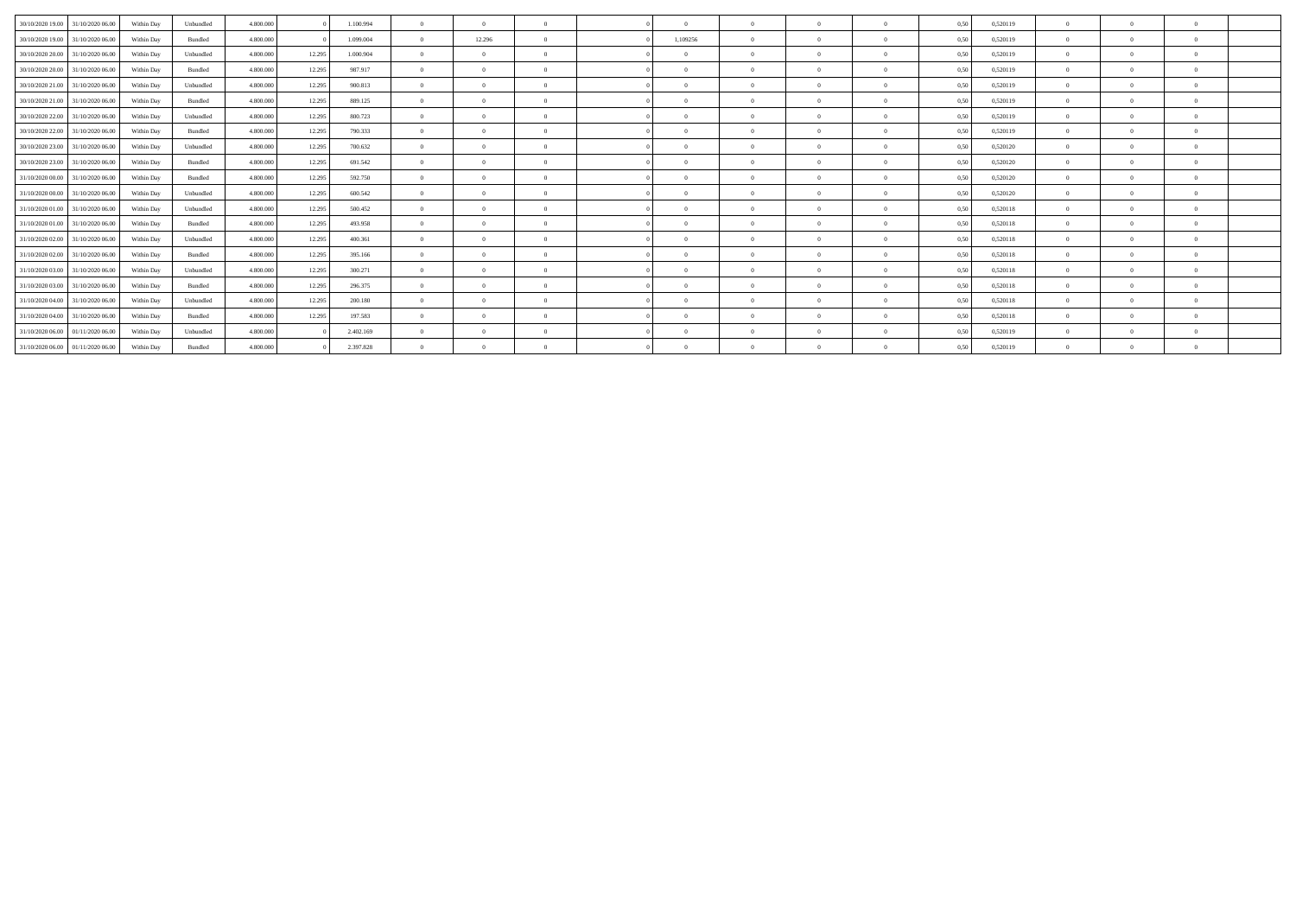| 30/10/2020 19:00<br>31/10/2020 06.00 | Within Day | Unbundled | 4.800.000 |        | 1.100.994 | $\Omega$       | $\Omega$ | $\Omega$       | $\Omega$   |          | $\Omega$ | $\Omega$     | 0,50 | 0,520119 |                |              |  |
|--------------------------------------|------------|-----------|-----------|--------|-----------|----------------|----------|----------------|------------|----------|----------|--------------|------|----------|----------------|--------------|--|
| 30/10/2020 19:00 31/10/2020 06:00    | Within Day | Bundled   | 4.800.000 |        | 1.099.004 | $\Omega$       | 12.296   | $\Omega$       | 1,109256   |          | $\Omega$ | $\Omega$     | 0.50 | 0,520119 | $^{\circ}$     |              |  |
| 30/10/2020 20.00<br>31/10/2020 06.00 | Within Day | Unbundled | 4.800.000 | 12.295 | 1.000.904 | $\Omega$       | $\Omega$ | $\Omega$       | $\Omega$   | $\Omega$ | $\Omega$ |              | 0,50 | 0,520119 | $^{\circ}$     |              |  |
| 30/10/2020 20:00<br>31/10/2020 06.00 | Within Day | Bundled   | 4.800.000 | 12.295 | 987.917   | $\overline{0}$ | $\Omega$ | $\overline{0}$ | $\Omega$   | $\Omega$ | $\Omega$ | $\mathbf{a}$ | 0,50 | 0,520119 | $\Omega$       | $\theta$     |  |
| 30/10/2020 21:00 31/10/2020 06:00    | Within Day | Unbundled | 4.800.000 | 12.295 | 900.813   | $\Omega$       | $\Omega$ | $\Omega$       | $\Omega$   |          | $\Omega$ | $\Omega$     | 0.50 | 0,520119 | $^{\circ}$     |              |  |
| 30/10/2020 21.00 31/10/2020 06.00    | Within Day | Bundled   | 4.800.000 | 12.295 | 889.125   | $\Omega$       | $\Omega$ | $\Omega$       | $\Omega$   |          | $\Omega$ |              | 0,50 | 0,520119 | $^{\circ}$     |              |  |
| 30/10/2020 22.00<br>31/10/2020 06.00 | Within Day | Unbundled | 4.800.000 | 12.295 | 800.723   | $\overline{0}$ | $\Omega$ | $\Omega$       | $\Omega$   |          | $\Omega$ | $\Omega$     | 0,50 | 0,520119 | $\Omega$       |              |  |
| 30/10/2020 22.00<br>31/10/2020 06.00 | Within Day | Bundled   | 4.800.000 | 12.295 | 790.333   | $\Omega$       | $\Omega$ | $\Omega$       | $\Omega$   | $\Omega$ | $\Omega$ | $\mathbf{a}$ | 0.50 | 0,520119 | $^{\circ}$     | $\mathbf{a}$ |  |
| 30/10/2020 23.00 31/10/2020 06.00    | Within Day | Unbundled | 4.800.000 | 12.295 | 700.632   | $\Omega$       | $\Omega$ | $\Omega$       | $\sqrt{2}$ |          |          |              | 0,50 | 0,520120 |                |              |  |
| 30/10/2020 23.00<br>31/10/2020 06.00 | Within Day | Bundled   | 4.800.000 | 12.295 | 691.542   | $\overline{0}$ | $\Omega$ | $\Omega$       | $\Omega$   |          | $\Omega$ | $\Omega$     | 0,50 | 0,520120 | $\Omega$       |              |  |
| 31/10/2020 00:00<br>31/10/2020 06.00 | Within Day | Bundled   | 4.800.000 | 12.295 | 592.750   | $\Omega$       | $\Omega$ | $\Omega$       | $\Omega$   |          | $\Omega$ | $\Omega$     | 0.50 | 0,520120 | $^{\circ}$     |              |  |
| 31/10/2020 00.00 31/10/2020 06.00    | Within Day | Unbundled | 4.800.000 | 12.295 | 600.542   | $\Omega$       | $\Omega$ | $\Omega$       | $\Omega$   |          | $\Omega$ |              | 0,50 | 0,520120 | $^{\circ}$     |              |  |
| 31/10/2020 01:00<br>31/10/2020 06.00 | Within Day | Unbundled | 4.800.000 | 12.295 | 500.452   | $\overline{0}$ | $\Omega$ | $\overline{0}$ | $\Omega$   | $\Omega$ | $\Omega$ | $\Omega$     | 0,50 | 0,520118 | $\Omega$       | $\theta$     |  |
| 31/10/2020 01:00 31/10/2020 06:00    | Within Day | Bundled   | 4.800.000 | 12.295 | 493.958   | $\Omega$       | $\Omega$ | $\Omega$       | $\Omega$   |          | $\Omega$ | $\Omega$     | 0.50 | 0,520118 | $^{\circ}$     |              |  |
| 31/10/2020 02.00<br>31/10/2020 06.00 | Within Day | Unbundled | 4.800.000 | 12.295 | 400.361   | $\Omega$       | $\Omega$ | $\Omega$       | $\sqrt{2}$ |          |          |              | 0,50 | 0,520118 | $^{\circ}$     |              |  |
| 31/10/2020 02.00<br>31/10/2020 06.00 | Within Day | Bundled   | 4.800.000 | 12.295 | 395.166   | $\Omega$       | $\Omega$ | $\Omega$       | $\Omega$   |          | $\Omega$ | $\Omega$     | 0,50 | 0,520118 | $\Omega$       |              |  |
| 31/10/2020 03:00<br>31/10/2020 06.00 | Within Day | Unbundled | 4.800.000 | 12.295 | 300.271   | $\Omega$       | $\Omega$ | $\Omega$       | $\Omega$   | $\Omega$ | $\Omega$ | $\Omega$     | 0.50 | 0,520118 | $^{\circ}$     | $\mathbf{a}$ |  |
| 31/10/2020 03:00 31/10/2020 06:00    | Within Day | Bundled   | 4.800.000 | 12.295 | 296.375   | $\Omega$       | $\Omega$ | $\Omega$       | $\sqrt{2}$ |          |          |              | 0,50 | 0,520118 |                |              |  |
| 31/10/2020 04:00<br>31/10/2020 06.00 | Within Day | Unbundled | 4.800.000 | 12.295 | 200.180   | $\overline{0}$ | $\Omega$ | $\Omega$       | $\Omega$   |          | $\Omega$ | $\Omega$     | 0,50 | 0,520118 | $\Omega$       |              |  |
| 31/10/2020 04:00<br>31/10/2020 06.00 | Within Day | Bundled   | 4.800.000 | 12.295 | 197.583   | $\Omega$       | $\Omega$ | $\Omega$       | $\Omega$   |          | $\Omega$ | $\Omega$     | 0.50 | 0,520118 | $^{\circ}$     |              |  |
| 31/10/2020 06.00 01/11/2020 06.00    | Within Day | Unbundled | 4.800.000 |        | 2.402.169 | $\Omega$       | $\Omega$ | $\Omega$       | $\sqrt{2}$ |          |          |              | 0,50 | 0,520119 | $^{\circ}$     |              |  |
| 31/10/2020 06.00 01/11/2020 06.00    | Within Day | Bundled   | 4.800.000 |        | 2.397.828 | $\overline{0}$ | $\Omega$ | $\overline{0}$ | $\Omega$   |          | $\Omega$ |              | 0,50 | 0,520119 | $\overline{0}$ |              |  |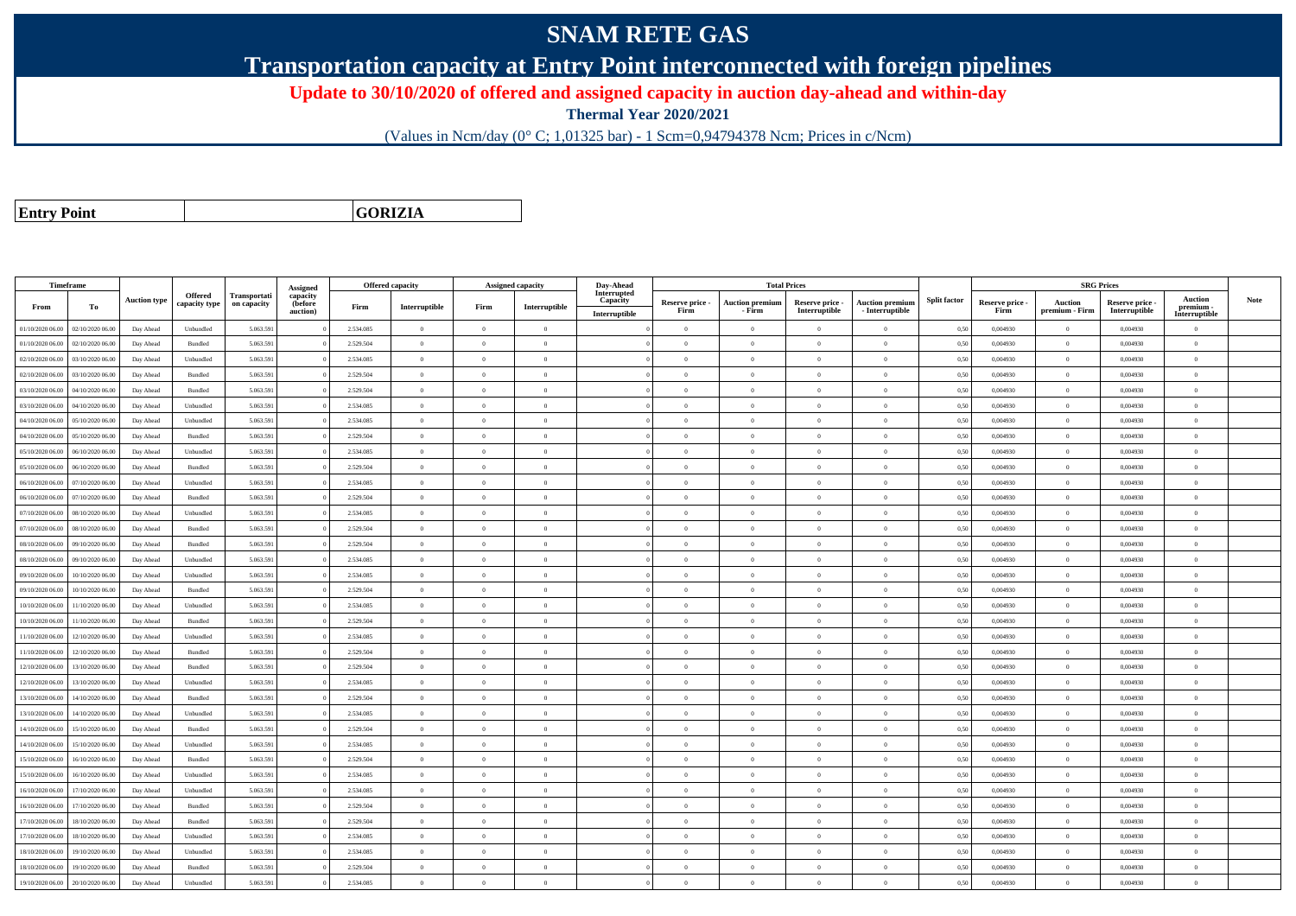## **SNAM RETE GAS**

**Transportation capacity at Entry Point interconnected with foreign pipelines**

**Update to 30/10/2020 of offered and assigned capacity in auction day-ahead and within-day**

**Thermal Year 2020/2021**

(Values in Ncm/day (0° C; 1,01325 bar) - 1 Scm=0,94794378 Ncm; Prices in c/Ncm)

**Entry Point**

**GORIZIA**

|                  | <b>Timeframe</b> |                     |                |                                    | Assigned            | <b>Offered capacity</b> |                |                | <b>Assigned capacity</b> | Day-Ahead               |                 |                        | <b>Total Prices</b> |                        |                     |                 | <b>SRG Prices</b> |                 |                            |             |
|------------------|------------------|---------------------|----------------|------------------------------------|---------------------|-------------------------|----------------|----------------|--------------------------|-------------------------|-----------------|------------------------|---------------------|------------------------|---------------------|-----------------|-------------------|-----------------|----------------------------|-------------|
|                  |                  | <b>Auction type</b> | Offered        | <b>Transportati</b><br>on capacity | capacity<br>(before |                         |                |                |                          | Interrupted<br>Capacity | Reserve price - | <b>Auction premium</b> | Reserve price -     | <b>Auction premium</b> | <b>Split factor</b> | Reserve price - | <b>Auction</b>    | Reserve price - | Auction                    | <b>Note</b> |
| From             | To               |                     | capacity type  |                                    | auction)            | Firm                    | Interruptible  | Firm           | Interruptible            | Interruptible           | Firm            | - Firm                 | Interruptible       | - Interruptible        |                     | Firm            | premium - Firm    | Interruptible   | premium -<br>Interruptible |             |
| 01/10/2020 06.00 | 02/10/2020 06.00 | Day Ahead           | Unbundled      | 5.063.591                          |                     | 2.534.085               | $\overline{0}$ | $\overline{0}$ | $\theta$                 |                         | $\overline{0}$  | $\overline{0}$         | $\theta$            | $\mathbf{0}$           | 0,50                | 0,004930        | $\overline{0}$    | 0,004930        | $\overline{0}$             |             |
| 01/10/2020 06.00 | 02/10/2020 06.00 | Day Ahead           | <b>Bundled</b> | 5.063.591                          |                     | 2.529.504               | $\overline{0}$ | $\theta$       | $\theta$                 |                         | $\theta$        | $\theta$               | $\Omega$            | $\Omega$               | 0,50                | 0.004930        | $\overline{0}$    | 0.004930        | $\theta$                   |             |
| 02/10/2020 06.00 | 03/10/2020 06.00 | Day Ahead           | Unbundled      | 5.063.59                           |                     | 2.534.085               | $\overline{0}$ | $\theta$       | $\theta$                 |                         | $\theta$        | $\theta$               | $\overline{0}$      | $\mathbf{0}$           | 0,50                | 0,004930        | $\overline{0}$    | 0,004930        | $\bf{0}$                   |             |
| 02/10/2020 06.00 | 03/10/2020 06.00 | Day Ahead           | Bundled        | 5.063.591                          |                     | 2.529.504               | $\overline{0}$ | $\overline{0}$ | $\theta$                 |                         | $\theta$        | $\theta$               | $\overline{0}$      | $\mathbf{0}$           | 0,50                | 0,004930        | $\overline{0}$    | 0,004930        | $\bf{0}$                   |             |
| 03/10/2020 06.00 | 04/10/2020 06.00 | Day Ahead           | Bundled        | 5.063.591                          |                     | 2.529.504               | $\overline{0}$ | $\overline{0}$ | $\overline{0}$           |                         | $\overline{0}$  | $\theta$               | $\bf{0}$            | $\overline{0}$         | 0,50                | 0,004930        | $\overline{0}$    | 0,004930        | $\bf{0}$                   |             |
| 03/10/2020 06.00 | 04/10/2020 06.00 | Day Ahead           | Unbundled      | 5.063.59                           |                     | 2.534.085               | $\overline{0}$ | $\Omega$       | $\Omega$                 |                         | $\Omega$        | $\theta$               | $\overline{0}$      | $\Omega$               | 0,50                | 0,004930        | $\overline{0}$    | 0,004930        | $\Omega$                   |             |
| 04/10/2020 06.00 | 05/10/2020 06.00 | Day Ahead           | Unbundled      | 5.063.591                          |                     | 2.534.085               | $\overline{0}$ | $\overline{0}$ | $\Omega$                 |                         | $\Omega$        | $\theta$               | $\overline{0}$      | $\theta$               | 0.50                | 0.004930        | $\overline{0}$    | 0.004930        | $\theta$                   |             |
| 04/10/2020 06.00 | 05/10/2020 06.00 | Day Ahead           | Bundled        | 5.063.591                          |                     | 2.529.504               | $\overline{0}$ | $\Omega$       | $\theta$                 |                         | $\theta$        | $\theta$               | $\overline{0}$      | $\mathbf{0}$           | 0,50                | 0,004930        | $\overline{0}$    | 0,004930        | $\Omega$                   |             |
| 05/10/2020 06:00 | 06/10/2020 06:00 | Day Ahead           | Unbundled      | 5.063.591                          |                     | 2.534.085               | $\theta$       | $\Omega$       | $\theta$                 |                         | $\theta$        | $\theta$               | $\Omega$            | $\theta$               | 0.50                | 0.004930        | $\Omega$          | 0.004930        | $\theta$                   |             |
| 05/10/2020 06.00 | 06/10/2020 06.00 | Day Ahead           | Bundled        | 5.063.59                           |                     | 2.529.504               | $\overline{0}$ | $\Omega$       | $\Omega$                 |                         | $\theta$        | $\theta$               | $\theta$            | $\theta$               | 0,50                | 0,004930        | $\overline{0}$    | 0,004930        | $\Omega$                   |             |
| 06/10/2020 06.00 | 07/10/2020 06.00 | Day Ahead           | Unbundled      | 5.063.591                          |                     | 2.534.085               | $\overline{0}$ | $\overline{0}$ | $\theta$                 |                         | $\theta$        | $\overline{0}$         | $\overline{0}$      | $\mathbf{0}$           | 0,50                | 0,004930        | $\overline{0}$    | 0.004930        | $\bf{0}$                   |             |
| 06/10/2020 06.00 | 07/10/2020 06.00 | Day Ahead           | Bundled        | 5.063.591                          |                     | 2.529.504               | $\overline{0}$ | $\Omega$       | $\theta$                 |                         | $\overline{0}$  | $\theta$               | $\overline{0}$      | $\mathbf{0}$           | 0,50                | 0.004930        | $\overline{0}$    | 0.004930        | $\Omega$                   |             |
| 07/10/2020 06.0  | 08/10/2020 06.0  | Day Ahead           | Unbundled      | 5.063.59                           |                     | 2.534.085               | $\overline{0}$ | $\theta$       | $\theta$                 |                         | $\theta$        | $\theta$               | $\theta$            | $\mathbf{0}$           | 0,50                | 0,004930        | $\overline{0}$    | 0,004930        | $\bf{0}$                   |             |
| 07/10/2020 06.00 | 08/10/2020 06.00 | Day Ahead           | Bundled        | 5.063.591                          |                     | 2.529.504               | $\overline{0}$ | $\overline{0}$ | $\theta$                 |                         | $\theta$        | $\theta$               | $\overline{0}$      | $\mathbf{0}$           | 0,50                | 0,004930        | $\overline{0}$    | 0,004930        | $\bf{0}$                   |             |
| 08/10/2020 06.00 | 09/10/2020 06.00 | Day Ahead           | Bundled        | 5.063.591                          |                     | 2.529.504               | $\,$ 0 $\,$    | $\Omega$       | $\theta$                 |                         | $\theta$        | $\theta$               | $\overline{0}$      | $\mathbf{0}$           | 0,50                | 0,004930        | $\,$ 0 $\,$       | 0,004930        | $\Omega$                   |             |
| 08/10/2020 06:00 | 09/10/2020 06.00 | Day Ahead           | Unbundled      | 5.063.59                           |                     | 2.534.085               | $\overline{0}$ | $\Omega$       | $\Omega$                 |                         | $\Omega$        | $\theta$               | $\overline{0}$      | $\Omega$               | 0,50                | 0,004930        | $\overline{0}$    | 0,004930        | $\Omega$                   |             |
| 09/10/2020 06:00 | 10/10/2020 06.00 | Day Ahead           | Unbundled      | 5.063.591                          |                     | 2.534.085               | $\overline{0}$ | $\overline{0}$ | $\Omega$                 |                         | $\Omega$        | $\overline{0}$         | $\overline{0}$      | $\theta$               | 0,50                | 0,004930        | $\overline{0}$    | 0.004930        | $\theta$                   |             |
| 09/10/2020 06.00 | 10/10/2020 06.00 | Day Ahead           | Bundled        | 5.063.591                          |                     | 2.529.504               | $\overline{0}$ | $\overline{0}$ | $\theta$                 |                         | $\theta$        | $\theta$               | $\overline{0}$      | $\mathbf{0}$           | 0,50                | 0,004930        | $\overline{0}$    | 0,004930        | $\bf{0}$                   |             |
| 10/10/2020 06:00 | 11/10/2020 06:00 | Day Ahead           | Unbundled      | 5.063.591                          |                     | 2.534.085               | $\overline{0}$ | $\Omega$       | $\theta$                 |                         | $\theta$        | $\theta$               | $\theta$            | $\theta$               | 0.50                | 0.004930        | $\overline{0}$    | 0.004930        | $\theta$                   |             |
| 10/10/2020 06:00 | 11/10/2020 06:00 | Day Ahead           | Bundled        | 5.063.591                          |                     | 2.529.504               | $\overline{0}$ | $\overline{0}$ | $\Omega$                 |                         | $\Omega$        | $\theta$               | $\overline{0}$      | $\theta$               | 0.50                | 0.004930        | $\overline{0}$    | 0.004930        | $\theta$                   |             |
| 11/10/2020 06:00 | 12/10/2020 06.00 | Day Ahead           | Unbundled      | 5.063.591                          |                     | 2.534.085               | $\theta$       | $\Omega$       | $\theta$                 |                         | $\theta$        | $\theta$               | $\Omega$            | $\theta$               | 0,50                | 0,004930        | $\Omega$          | 0.004930        | $\Omega$                   |             |
| 11/10/2020 06.00 | 12/10/2020 06:00 | Day Ahead           | <b>Bundled</b> | 5.063.591                          |                     | 2.529.504               | $\overline{0}$ | $\Omega$       | $\theta$                 |                         | $\theta$        | $\theta$               | $\overline{0}$      | $\Omega$               | 0.50                | 0.004930        | $\overline{0}$    | 0.004930        | $\Omega$                   |             |
| 12/10/2020 06.00 | 13/10/2020 06.00 | Day Ahead           | Bundled        | 5.063.59                           |                     | 2.529.504               | $\overline{0}$ | $\overline{0}$ | $\Omega$                 |                         | $\theta$        | $\mathbf{a}$           | $\overline{0}$      | $\mathbf{0}$           | 0,50                | 0,004930        | $\,$ 0 $\,$       | 0,004930        | $\overline{0}$             |             |
| 12/10/2020 06:00 | 13/10/2020 06.00 | Day Ahead           | Unbundled      | 5.063.591                          |                     | 2.534.085               | $\overline{0}$ | $\overline{0}$ | $\theta$                 |                         | $\theta$        | $\theta$               | $\overline{0}$      | $\mathbf{0}$           | 0,50                | 0,004930        | $\overline{0}$    | 0,004930        | $\bf{0}$                   |             |
| 13/10/2020 06.00 | 14/10/2020 06.00 | Day Ahead           | Bundled        | 5.063.591                          |                     | 2.529.504               | $\overline{0}$ | $\overline{0}$ | $\overline{0}$           |                         | $\overline{0}$  | $\theta$               | $\bf{0}$            | $\overline{0}$         | 0.50                | 0,004930        | $\overline{0}$    | 0,004930        | $\bf{0}$                   |             |
| 13/10/2020 06.00 | 4/10/2020 06.0   | Day Ahead           | Unbundled      | 5.063.59                           |                     | 2.534.085               | $\overline{0}$ | $\overline{0}$ | $\theta$                 |                         | $\theta$        | $\theta$               | $\overline{0}$      | $\mathbf{0}$           | 0,50                | 0,004930        | $\overline{0}$    | 0,004930        | $\bf{0}$                   |             |
| 14/10/2020 06:00 | 15/10/2020 06.00 | Day Ahead           | Bundled        | 5.063.591                          |                     | 2.529.504               | $\overline{0}$ | $\Omega$       | $\Omega$                 |                         | $\theta$        | $\theta$               | $\overline{0}$      | $\theta$               | 0,50                | 0.004930        | $\overline{0}$    | 0.004930        | $\theta$                   |             |
| 14/10/2020 06.00 | 15/10/2020 06.00 | Day Ahead           | Unbundled      | 5.063.591                          |                     | 2.534.085               | $\overline{0}$ | $\Omega$       | $\theta$                 |                         | $\theta$        | $\theta$               | $\overline{0}$      | $\mathbf{0}$           | 0,50                | 0,004930        | $\overline{0}$    | 0,004930        | $\bf{0}$                   |             |
| 15/10/2020 06:00 | 16/10/2020 06.00 | Day Ahead           | Bundled        | 5.063.59                           |                     | 2.529.504               | $\overline{0}$ | $\Omega$       | $\Omega$                 |                         | $\Omega$        |                        | $\Omega$            | $\Omega$               | 0,50                | 0,004930        | $\overline{0}$    | 0,004930        | $\Omega$                   |             |
| 15/10/2020 06.00 | 16/10/2020 06.00 | Day Ahead           | Unbundled      | 5.063.591                          |                     | 2.534.085               | $\overline{0}$ | $\overline{0}$ | $\Omega$                 |                         | $\Omega$        | $\theta$               | $\overline{0}$      | $\theta$               | 0,50                | 0,004930        | $\overline{0}$    | 0.004930        | $\theta$                   |             |
| 16/10/2020 06:00 | 17/10/2020 06.00 | Day Ahead           | Unbundled      | 5.063.591                          |                     | 2.534.085               | $\overline{0}$ | $\Omega$       | $\theta$                 |                         | $\theta$        | $\theta$               | $\overline{0}$      | $\theta$               | 0,50                | 0,004930        | $\overline{0}$    | 0,004930        | $\theta$                   |             |
| 16/10/2020 06:00 | 17/10/2020 06:00 | Day Ahead           | Bundled        | 5.063.591                          |                     | 2.529.504               | $\overline{0}$ | $\overline{0}$ | $\overline{0}$           |                         | $\theta$        | $\overline{0}$         | $\overline{0}$      | $\mathbf{0}$           | 0.50                | 0.004930        | $\overline{0}$    | 0.004930        | $\bf{0}$                   |             |
| 17/10/2020 06.00 | 18/10/2020 06.0  | Day Ahead           | Bundled        | 5.063.591                          |                     | 2.529.504               | $\overline{0}$ | $\overline{0}$ | $\overline{0}$           |                         | $\theta$        | $\theta$               | $\overline{0}$      | $\overline{0}$         | 0,50                | 0,004930        | $\overline{0}$    | 0,004930        | $\bf{0}$                   |             |
| 17/10/2020 06:00 | 18/10/2020 06.00 | Day Ahead           | Unbundled      | 5.063.591                          |                     | 2.534.085               | $\overline{0}$ | $\overline{0}$ | $\theta$                 |                         | $\theta$        | $\theta$               | $\overline{0}$      | $\mathbf{0}$           | 0,50                | 0,004930        | $\overline{0}$    | 0,004930        | $\bf{0}$                   |             |
| 18/10/2020 06.00 | 19/10/2020 06.0  | Day Ahead           | Unbundled      | 5.063.591                          |                     | 2.534.085               | $\overline{0}$ | $\Omega$       | $\theta$                 |                         | $\Omega$        | $\theta$               | $\overline{0}$      | $\Omega$               | 0,50                | 0,004930        | $\overline{0}$    | 0.004930        | $\Omega$                   |             |
| 18/10/2020 06.00 | 19/10/2020 06.0  | Day Ahead           | Bundled        | 5.063.59                           |                     | 2.529.504               | $\overline{0}$ | $\overline{0}$ | $\theta$                 |                         | $\theta$        | $\theta$               | $\theta$            | $\mathbf{0}$           | 0,50                | 0,004930        | $\overline{0}$    | 0,004930        | $\bf{0}$                   |             |
| 19/10/2020 06:00 | 20/10/2020 06:00 | Day Ahead           | Unbundled      | 5.063.591                          |                     | 2.534.085               | $\theta$       | $\Omega$       | $\theta$                 |                         | $\theta$        | $\theta$               | $\Omega$            | $\theta$               | 0,50                | 0,004930        | $\overline{0}$    | 0.004930        | $\theta$                   |             |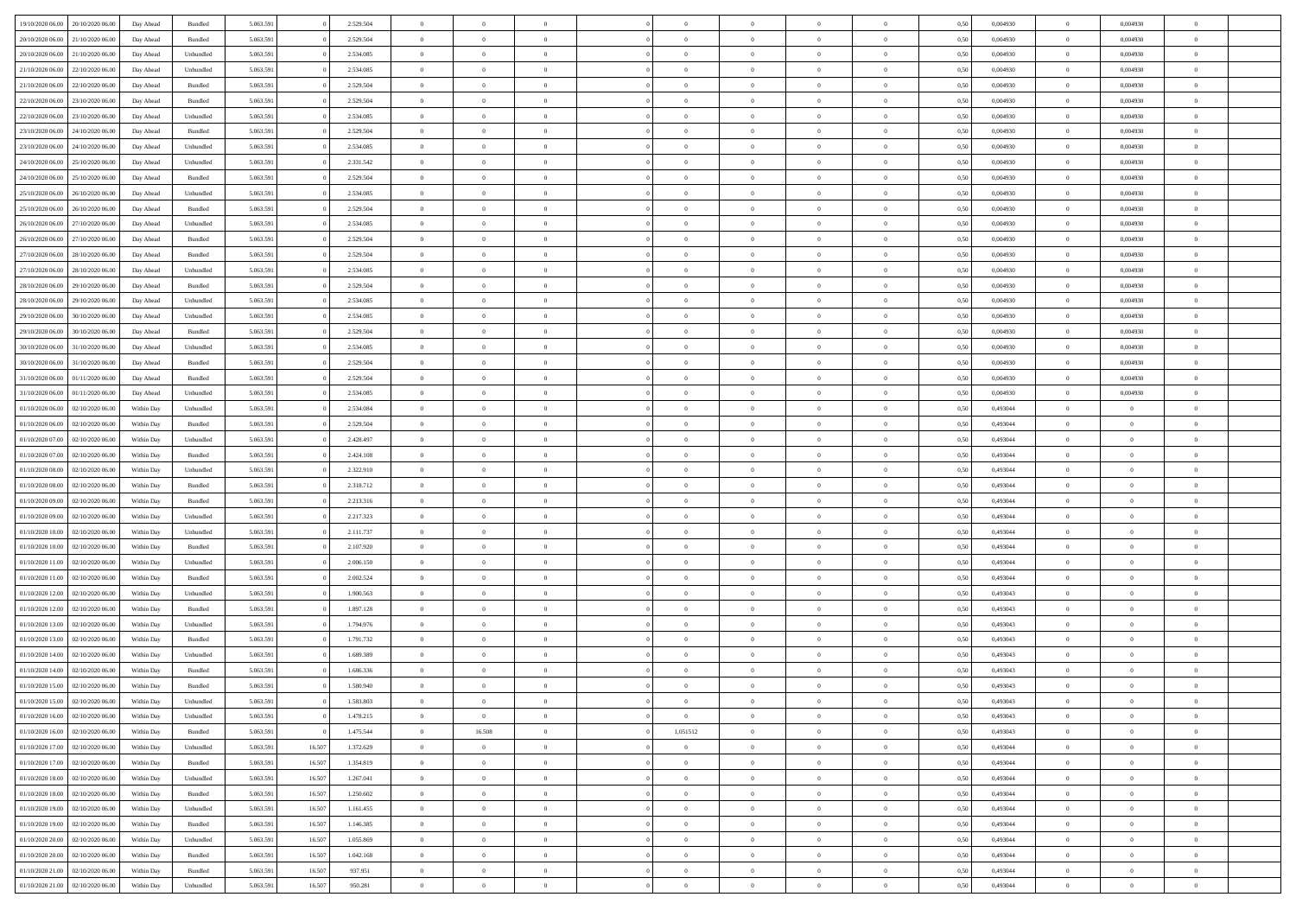| 19/10/2020 06:00 | 20/10/2020 06:00 | Day Ahead  | Bundled   | 5.063.591 |        | 2.529.504 | $\overline{0}$ | $\Omega$       |                | $\Omega$       | $\Omega$       | $\Omega$       | $\theta$       | 0.50 | 0,004930 | $\theta$       | 0,004930       | $\overline{0}$ |  |
|------------------|------------------|------------|-----------|-----------|--------|-----------|----------------|----------------|----------------|----------------|----------------|----------------|----------------|------|----------|----------------|----------------|----------------|--|
|                  |                  |            |           |           |        |           |                |                |                |                |                |                |                |      |          |                |                |                |  |
| 20/10/2020 06:00 | 21/10/2020 06.00 | Day Ahead  | Bundled   | 5.063.591 |        | 2.529.504 | $\overline{0}$ | $\theta$       | $\overline{0}$ | $\overline{0}$ | $\bf{0}$       | $\overline{0}$ | $\overline{0}$ | 0,50 | 0,004930 | $\theta$       | 0,004930       | $\overline{0}$ |  |
| 20/10/2020 06.00 | 21/10/2020 06.00 | Day Ahead  | Unbundled | 5.063.591 |        | 2.534.085 | $\overline{0}$ | $\overline{0}$ | $\overline{0}$ | $\bf{0}$       | $\bf{0}$       | $\bf{0}$       | $\bf{0}$       | 0,50 | 0,004930 | $\overline{0}$ | 0,004930       | $\overline{0}$ |  |
| 21/10/2020 06:00 | 22/10/2020 06:00 | Day Ahead  | Unbundled | 5.063.591 |        | 2.534.085 | $\overline{0}$ | $\overline{0}$ | $\Omega$       | $\overline{0}$ | $\bf{0}$       | $\overline{0}$ | $\overline{0}$ | 0.50 | 0.004930 | $\theta$       | 0.004930       | $\overline{0}$ |  |
| 21/10/2020 06.00 | 22/10/2020 06.00 | Day Ahead  | Bundled   | 5.063.591 |        | 2.529.504 | $\overline{0}$ | $\theta$       | $\overline{0}$ | $\overline{0}$ | $\bf{0}$       | $\overline{0}$ | $\bf{0}$       | 0,50 | 0,004930 | $\theta$       | 0,004930       | $\overline{0}$ |  |
|                  |                  |            |           |           |        |           |                |                |                |                |                |                |                |      |          |                |                |                |  |
| 22/10/2020 06.00 | 23/10/2020 06.00 | Day Ahead  | Bundled   | 5.063.591 |        | 2.529.504 | $\overline{0}$ | $\bf{0}$       | $\overline{0}$ | $\bf{0}$       | $\overline{0}$ | $\bf{0}$       | $\mathbf{0}$   | 0,50 | 0,004930 | $\overline{0}$ | 0,004930       | $\bf{0}$       |  |
| 22/10/2020 06:00 | 23/10/2020 06.00 | Day Ahead  | Unbundled | 5.063.591 |        | 2.534.085 | $\overline{0}$ | $\overline{0}$ | $\overline{0}$ | $\overline{0}$ | $\bf{0}$       | $\overline{0}$ | $\overline{0}$ | 0.50 | 0,004930 | $\theta$       | 0,004930       | $\overline{0}$ |  |
| 23/10/2020 06.00 | 24/10/2020 06.00 | Day Ahead  | Bundled   | 5.063.591 |        | 2.529.504 | $\overline{0}$ | $\theta$       | $\overline{0}$ | $\overline{0}$ | $\bf{0}$       | $\overline{0}$ | $\overline{0}$ | 0,50 | 0,004930 | $\theta$       | 0,004930       | $\overline{0}$ |  |
| 23/10/2020 06:00 | 24/10/2020 06.00 | Day Ahead  | Unbundled | 5.063.591 |        | 2.534.085 | $\overline{0}$ | $\overline{0}$ | $\overline{0}$ | $\bf{0}$       | $\bf{0}$       | $\bf{0}$       | $\bf{0}$       | 0,50 | 0,004930 | $\bf{0}$       | 0,004930       | $\overline{0}$ |  |
|                  |                  |            |           |           |        |           |                |                |                |                |                |                |                |      |          |                |                |                |  |
| 24/10/2020 06:00 | 25/10/2020 06:00 | Day Ahead  | Unbundled | 5.063.591 |        | 2.331.542 | $\overline{0}$ | $\overline{0}$ | $\overline{0}$ | $\overline{0}$ | $\overline{0}$ | $\overline{0}$ | $\overline{0}$ | 0.50 | 0,004930 | $\theta$       | 0,004930       | $\overline{0}$ |  |
| 24/10/2020 06.00 | 25/10/2020 06.00 | Day Ahead  | Bundled   | 5.063.591 |        | 2.529.504 | $\overline{0}$ | $\theta$       | $\overline{0}$ | $\overline{0}$ | $\bf{0}$       | $\overline{0}$ | $\bf{0}$       | 0,50 | 0,004930 | $\theta$       | 0,004930       | $\overline{0}$ |  |
| 25/10/2020 06.00 | 26/10/2020 06.00 | Day Ahead  | Unbundled | 5.063.591 |        | 2.534.085 | $\overline{0}$ | $\overline{0}$ | $\overline{0}$ | $\bf{0}$       | $\bf{0}$       | $\bf{0}$       | $\bf{0}$       | 0,50 | 0,004930 | $\overline{0}$ | 0,004930       | $\overline{0}$ |  |
| 25/10/2020 06:00 | 26/10/2020 06:00 | Day Ahead  | Bundled   | 5.063.591 |        | 2.529.504 | $\overline{0}$ | $\overline{0}$ | $\overline{0}$ | $\overline{0}$ | $\bf{0}$       | $\overline{0}$ | $\overline{0}$ | 0.50 | 0.004930 | $\theta$       | 0.004930       | $\overline{0}$ |  |
| 26/10/2020 06.00 | 27/10/2020 06.00 | Day Ahead  | Unbundled | 5.063.591 |        | 2.534.085 | $\overline{0}$ | $\theta$       | $\overline{0}$ | $\overline{0}$ | $\bf{0}$       | $\overline{0}$ | $\overline{0}$ | 0,50 | 0,004930 | $\,$ 0 $\,$    | 0,004930       | $\overline{0}$ |  |
|                  |                  |            |           |           |        |           |                |                |                |                |                |                |                |      |          |                |                |                |  |
| 26/10/2020 06:00 | 27/10/2020 06.00 | Day Ahead  | Bundled   | 5.063.591 |        | 2.529.504 | $\overline{0}$ | $\bf{0}$       | $\overline{0}$ | $\bf{0}$       | $\overline{0}$ | $\bf{0}$       | $\mathbf{0}$   | 0,50 | 0,004930 | $\overline{0}$ | 0,004930       | $\bf{0}$       |  |
| 27/10/2020 06:00 | 28/10/2020 06:00 | Day Ahead  | Bundled   | 5.063.591 |        | 2.529.504 | $\overline{0}$ | $\overline{0}$ | $\overline{0}$ | $\overline{0}$ | $\overline{0}$ | $\overline{0}$ | $\overline{0}$ | 0.50 | 0,004930 | $\overline{0}$ | 0,004930       | $\overline{0}$ |  |
| 27/10/2020 06.00 | 28/10/2020 06.00 | Day Ahead  | Unbundled | 5.063.591 |        | 2.534.085 | $\overline{0}$ | $\theta$       | $\overline{0}$ | $\overline{0}$ | $\bf{0}$       | $\overline{0}$ | $\bf{0}$       | 0,50 | 0,004930 | $\theta$       | 0,004930       | $\overline{0}$ |  |
| 28/10/2020 06.00 | 29/10/2020 06.00 | Day Ahead  | Bundled   | 5.063.591 |        | 2.529.504 | $\overline{0}$ | $\overline{0}$ | $\overline{0}$ | $\bf{0}$       | $\bf{0}$       | $\bf{0}$       | $\bf{0}$       | 0,50 | 0,004930 | $\bf{0}$       | 0,004930       | $\overline{0}$ |  |
| 28/10/2020 06:00 | 29/10/2020 06:00 | Day Ahead  | Unbundled | 5.063.591 |        | 2.534.085 | $\overline{0}$ | $\overline{0}$ | $\overline{0}$ | $\overline{0}$ | $\overline{0}$ | $\overline{0}$ | $\overline{0}$ | 0.50 | 0,004930 | $\theta$       | 0,004930       | $\overline{0}$ |  |
|                  |                  |            |           |           |        |           |                |                |                |                |                |                |                |      |          |                |                |                |  |
| 29/10/2020 06.00 | 30/10/2020 06.00 | Day Ahead  | Unbundled | 5.063.591 |        | 2.534.085 | $\overline{0}$ | $\theta$       | $\overline{0}$ | $\overline{0}$ | $\bf{0}$       | $\overline{0}$ | $\bf{0}$       | 0,50 | 0,004930 | $\,$ 0 $\,$    | 0,004930       | $\overline{0}$ |  |
| 29/10/2020 06.00 | 30/10/2020 06.00 | Day Ahead  | Bundled   | 5.063.591 |        | 2.529.504 | $\overline{0}$ | $\overline{0}$ | $\overline{0}$ | $\bf{0}$       | $\bf{0}$       | $\bf{0}$       | $\bf{0}$       | 0,50 | 0,004930 | $\overline{0}$ | 0,004930       | $\overline{0}$ |  |
| 30/10/2020 06:00 | 31/10/2020 06:00 | Day Ahead  | Unbundled | 5.063.591 |        | 2.534.085 | $\overline{0}$ | $\overline{0}$ | $\overline{0}$ | $\overline{0}$ | $\bf{0}$       | $\overline{0}$ | $\overline{0}$ | 0.50 | 0.004930 | $\overline{0}$ | 0.004930       | $\overline{0}$ |  |
| 30/10/2020 06.00 | 31/10/2020 06.00 | Day Ahead  | Bundled   | 5.063.591 |        | 2.529.504 | $\overline{0}$ | $\theta$       | $\overline{0}$ | $\overline{0}$ | $\bf{0}$       | $\overline{0}$ | $\bf{0}$       | 0,50 | 0,004930 | $\theta$       | 0,004930       | $\overline{0}$ |  |
|                  |                  |            |           |           |        |           |                |                |                |                |                |                |                |      |          |                |                |                |  |
| 31/10/2020 06.00 | 01/11/2020 06.00 | Day Ahead  | Bundled   | 5.063.591 |        | 2.529.504 | $\overline{0}$ | $\bf{0}$       | $\overline{0}$ | $\bf{0}$       | $\overline{0}$ | $\bf{0}$       | $\mathbf{0}$   | 0,50 | 0,004930 | $\overline{0}$ | 0,004930       | $\bf{0}$       |  |
| 31/10/2020 06:00 | 01/11/2020 06:00 | Day Ahead  | Unbundled | 5.063.591 |        | 2.534.085 | $\overline{0}$ | $\overline{0}$ | $\overline{0}$ | $\overline{0}$ | $\overline{0}$ | $\overline{0}$ | $\overline{0}$ | 0.50 | 0,004930 | $\overline{0}$ | 0,004930       | $\overline{0}$ |  |
| 01/10/2020 06.00 | 02/10/2020 06.00 | Within Day | Unbundled | 5.063.591 |        | 2.534.084 | $\overline{0}$ | $\theta$       | $\overline{0}$ | $\overline{0}$ | $\bf{0}$       | $\overline{0}$ | $\bf{0}$       | 0,50 | 0,493044 | $\theta$       | $\theta$       | $\overline{0}$ |  |
| 01/10/2020 06.00 | 02/10/2020 06.00 | Within Day | Bundled   | 5.063.591 |        | 2.529.504 | $\overline{0}$ | $\overline{0}$ | $\overline{0}$ | $\bf{0}$       | $\bf{0}$       | $\bf{0}$       | $\bf{0}$       | 0,50 | 0,493044 | $\,0\,$        | $\overline{0}$ | $\overline{0}$ |  |
| 01/10/2020 07:00 | 02/10/2020 06:00 | Within Dav | Unbundled | 5.063.591 |        | 2.428.497 | $\overline{0}$ | $\overline{0}$ | $\overline{0}$ | $\overline{0}$ | $\bf{0}$       | $\overline{0}$ | $\overline{0}$ | 0.50 | 0,493044 | $\theta$       | $\overline{0}$ | $\overline{0}$ |  |
|                  |                  |            |           |           |        |           |                |                |                |                |                |                |                |      |          |                |                |                |  |
| 01/10/2020 07.00 | 02/10/2020 06.00 | Within Day | Bundled   | 5.063.591 |        | 2.424.108 | $\overline{0}$ | $\theta$       | $\overline{0}$ | $\overline{0}$ | $\bf{0}$       | $\overline{0}$ | $\bf{0}$       | 0,50 | 0,493044 | $\,$ 0 $\,$    | $\overline{0}$ | $\overline{0}$ |  |
| 01/10/2020 08.00 | 02/10/2020 06.00 | Within Day | Unbundled | 5.063.591 |        | 2.322.910 | $\overline{0}$ | $\overline{0}$ | $\overline{0}$ | $\bf{0}$       | $\bf{0}$       | $\bf{0}$       | $\bf{0}$       | 0,50 | 0,493044 | $\bf{0}$       | $\overline{0}$ | $\overline{0}$ |  |
| 01/10/2020 08:00 | 02/10/2020 06.00 | Within Day | Bundled   | 5.063.591 |        | 2.318.712 | $\overline{0}$ | $\Omega$       | $\Omega$       | $\Omega$       | $\Omega$       | $\Omega$       | $\overline{0}$ | 0,50 | 0,493044 | $\,0\,$        | $\theta$       | $\theta$       |  |
| 01/10/2020 09:00 | 02/10/2020 06.00 | Within Day | Bundled   | 5.063.591 |        | 2.213.316 | $\overline{0}$ | $\theta$       | $\overline{0}$ | $\overline{0}$ | $\bf{0}$       | $\overline{0}$ | $\bf{0}$       | 0,50 | 0,493044 | $\theta$       | $\overline{0}$ | $\overline{0}$ |  |
| 01/10/2020 09.00 | 02/10/2020 06.00 | Within Day | Unbundled | 5.063.591 |        | 2.217.323 | $\overline{0}$ | $\overline{0}$ | $\overline{0}$ | $\bf{0}$       | $\bf{0}$       | $\bf{0}$       | $\mathbf{0}$   | 0,50 | 0,493044 | $\bf{0}$       | $\overline{0}$ | $\bf{0}$       |  |
|                  |                  |            |           |           |        |           |                |                |                |                |                |                |                |      |          |                |                |                |  |
| 01/10/2020 10:00 | 02/10/2020 06.00 | Within Day | Unbundled | 5.063.591 |        | 2.111.737 | $\overline{0}$ | $\Omega$       | $\Omega$       | $\Omega$       | $\Omega$       | $\Omega$       | $\overline{0}$ | 0.50 | 0,493044 | $\theta$       | $\theta$       | $\theta$       |  |
| 01/10/2020 10:00 | 02/10/2020 06.00 | Within Day | Bundled   | 5.063.591 |        | 2.107.920 | $\overline{0}$ | $\theta$       | $\overline{0}$ | $\overline{0}$ | $\bf{0}$       | $\overline{0}$ | $\bf{0}$       | 0,50 | 0,493044 | $\theta$       | $\theta$       | $\overline{0}$ |  |
| 01/10/2020 11:00 | 02/10/2020 06.00 | Within Day | Unbundled | 5.063.591 |        | 2.006.150 | $\overline{0}$ | $\overline{0}$ | $\overline{0}$ | $\bf{0}$       | $\bf{0}$       | $\bf{0}$       | $\bf{0}$       | 0,50 | 0,493044 | $\,0\,$        | $\overline{0}$ | $\overline{0}$ |  |
| 01/10/2020 11:00 | 02/10/2020 06:00 | Within Day | Bundled   | 5.063.591 |        | 2.002.524 | $\overline{0}$ | $\Omega$       | $\Omega$       | $\Omega$       | $\Omega$       | $\theta$       | $\overline{0}$ | 0.50 | 0.493044 | $\theta$       | $\theta$       | $\theta$       |  |
| 01/10/2020 12:00 | 02/10/2020 06.00 | Within Day | Unbundled | 5.063.591 |        | 1.900.563 | $\overline{0}$ | $\theta$       | $\overline{0}$ | $\overline{0}$ | $\bf{0}$       | $\overline{0}$ | $\bf{0}$       | 0,50 | 0,493043 | $\theta$       | $\overline{0}$ | $\overline{0}$ |  |
|                  |                  |            |           |           |        |           |                |                |                |                |                |                |                |      |          |                |                |                |  |
| 01/10/2020 12.00 | 02/10/2020 06.00 | Within Day | Bundled   | 5.063.591 |        | 1.897.128 | $\overline{0}$ | $\overline{0}$ | $\overline{0}$ | $\bf{0}$       | $\bf{0}$       | $\bf{0}$       | $\bf{0}$       | 0,50 | 0,493043 | $\overline{0}$ | $\overline{0}$ | $\bf{0}$       |  |
| 01/10/2020 13:00 | 02/10/2020 06.00 | Within Day | Unbundled | 5.063.591 |        | 1.794.976 | $\overline{0}$ | $\Omega$       | $\Omega$       | $\Omega$       | $\Omega$       | $\overline{0}$ | $\overline{0}$ | 0,50 | 0,493043 | $\,0\,$        | $\theta$       | $\theta$       |  |
| 01/10/2020 13:00 | 02/10/2020 06.00 | Within Day | Bundled   | 5.063.591 |        | 1.791.732 | $\overline{0}$ | $\theta$       | $\overline{0}$ | $\overline{0}$ | $\bf{0}$       | $\overline{0}$ | $\bf{0}$       | 0,50 | 0,493043 | $\theta$       | $\overline{0}$ | $\overline{0}$ |  |
| 01/10/2020 14.00 | 02/10/2020 06.00 | Within Day | Unbundled | 5.063.591 |        | 1.689.389 | $\overline{0}$ | $\overline{0}$ | $\overline{0}$ | $\bf{0}$       | $\bf{0}$       | $\bf{0}$       | $\mathbf{0}$   | 0,50 | 0,493043 | $\overline{0}$ | $\overline{0}$ | $\bf{0}$       |  |
| 01/10/2020 14:00 | 02/10/2020 06:00 | Within Day | Bundled   | 5.063.591 |        | 1.686.336 | $\overline{0}$ | $\Omega$       | $\Omega$       | $\Omega$       | $\Omega$       | $\Omega$       | $\overline{0}$ | 0.50 | 0.493043 | $\theta$       | $\theta$       | $\theta$       |  |
|                  |                  |            |           |           |        |           |                |                |                |                |                |                |                |      |          |                |                |                |  |
| 01/10/2020 15.00 | 02/10/2020 06.00 | Within Day | Bundled   | 5.063.591 |        | 1.580.940 | $\overline{0}$ | $\overline{0}$ | $\overline{0}$ | $\bf{0}$       | $\,$ 0         | $\bf{0}$       | $\bf{0}$       | 0,50 | 0,493043 | $\,0\,$        | $\,$ 0 $\,$    | $\overline{0}$ |  |
| 01/10/2020 15:00 | 02/10/2020 06:00 | Within Day | Unbundled | 5.063.591 |        | 1.583.803 | $\bf{0}$       | $\bf{0}$       |                |                |                |                |                | 0,50 | 0,493043 | $\bf{0}$       | $\overline{0}$ |                |  |
| 01/10/2020 16:00 | 02/10/2020 06:00 | Within Day | Unbundled | 5.063.591 |        | 1.478.215 | $\overline{0}$ | $\overline{0}$ | $\overline{0}$ | $\Omega$       | $\overline{0}$ | $\overline{0}$ | $\overline{0}$ | 0.50 | 0,493043 | $\theta$       | $\theta$       | $\theta$       |  |
| 01/10/2020 16:00 | 02/10/2020 06.00 | Within Day | Bundled   | 5.063.591 |        | 1.475.544 | $\overline{0}$ | 16.508         | $\overline{0}$ | 1,051512       | $\bf{0}$       | $\overline{0}$ | $\mathbf{0}$   | 0,50 | 0,493043 | $\,$ 0 $\,$    | $\,$ 0 $\,$    | $\,$ 0         |  |
| 01/10/2020 17.00 | 02/10/2020 06.00 | Within Day | Unbundled | 5.063.591 | 16.507 | 1.372.629 | $\overline{0}$ | $\overline{0}$ | $\overline{0}$ | $\overline{0}$ | $\overline{0}$ | $\overline{0}$ | $\mathbf{0}$   | 0,50 | 0,493044 | $\overline{0}$ | $\bf{0}$       | $\bf{0}$       |  |
|                  |                  |            |           |           |        |           |                |                |                |                |                |                |                |      |          |                |                |                |  |
| 01/10/2020 17.00 | 02/10/2020 06.00 | Within Day | Bundled   | 5.063.591 | 16.507 | 1.354.819 | $\overline{0}$ | $\overline{0}$ | $\overline{0}$ | $\overline{0}$ | $\overline{0}$ | $\overline{0}$ | $\overline{0}$ | 0,50 | 0,493044 | $\overline{0}$ | $\theta$       | $\overline{0}$ |  |
| 01/10/2020 18:00 | 02/10/2020 06.00 | Within Day | Unbundled | 5.063.591 | 16.507 | 1.267.041 | $\overline{0}$ | $\,$ 0         | $\overline{0}$ | $\bf{0}$       | $\,$ 0 $\,$    | $\overline{0}$ | $\mathbf{0}$   | 0,50 | 0,493044 | $\,$ 0 $\,$    | $\overline{0}$ | $\overline{0}$ |  |
| 01/10/2020 18.00 | 02/10/2020 06.00 | Within Day | Bundled   | 5.063.591 | 16.507 | 1.250.602 | $\overline{0}$ | $\overline{0}$ | $\overline{0}$ | $\overline{0}$ | $\overline{0}$ | $\overline{0}$ | $\mathbf{0}$   | 0,50 | 0,493044 | $\overline{0}$ | $\overline{0}$ | $\bf{0}$       |  |
| 01/10/2020 19:00 | 02/10/2020 06.00 | Within Day | Unbundled | 5.063.591 | 16.507 | 1.161.455 | $\overline{0}$ | $\overline{0}$ | $\overline{0}$ | $\Omega$       | $\overline{0}$ | $\overline{0}$ | $\bf{0}$       | 0.50 | 0,493044 | $\overline{0}$ | $\theta$       | $\overline{0}$ |  |
| 01/10/2020 19:00 | 02/10/2020 06.00 |            |           | 5.063.591 |        | 1.146.385 | $\overline{0}$ | $\,$ 0         | $\overline{0}$ |                | $\bf{0}$       |                |                |      | 0,493044 | $\,$ 0 $\,$    | $\overline{0}$ | $\overline{0}$ |  |
|                  |                  | Within Day | Bundled   |           | 16.507 |           |                |                |                | $\bf{0}$       |                | $\bf{0}$       | $\bf{0}$       | 0,50 |          |                |                |                |  |
| 01/10/2020 20.00 | 02/10/2020 06.00 | Within Day | Unbundled | 5.063.591 | 16.507 | 1.055.869 | $\overline{0}$ | $\bf{0}$       | $\overline{0}$ | $\overline{0}$ | $\overline{0}$ | $\overline{0}$ | $\mathbf{0}$   | 0,50 | 0,493044 | $\overline{0}$ | $\overline{0}$ | $\bf{0}$       |  |
| 01/10/2020 20.00 | 02/10/2020 06.00 | Within Day | Bundled   | 5.063.591 | 16.507 | 1.042.168 | $\overline{0}$ | $\overline{0}$ | $\overline{0}$ | $\Omega$       | $\overline{0}$ | $\overline{0}$ | $\bf{0}$       | 0.50 | 0,493044 | $\overline{0}$ | $\theta$       | $\overline{0}$ |  |
| 01/10/2020 21.00 | 02/10/2020 06.00 | Within Day | Bundled   | 5.063.591 | 16.507 | 937.951   | $\overline{0}$ | $\bf{0}$       | $\overline{0}$ | $\bf{0}$       | $\bf{0}$       | $\bf{0}$       | $\mathbf{0}$   | 0,50 | 0,493044 | $\,$ 0 $\,$    | $\,$ 0 $\,$    | $\bf{0}$       |  |
| 01/10/2020 21.00 | 02/10/2020 06.00 | Within Day | Unbundled | 5.063.591 | 16.507 | 950.281   | $\overline{0}$ | $\overline{0}$ | $\overline{0}$ | $\overline{0}$ | $\overline{0}$ | $\bf{0}$       | $\mathbf{0}$   | 0,50 | 0,493044 | $\overline{0}$ | $\bf{0}$       | $\overline{0}$ |  |
|                  |                  |            |           |           |        |           |                |                |                |                |                |                |                |      |          |                |                |                |  |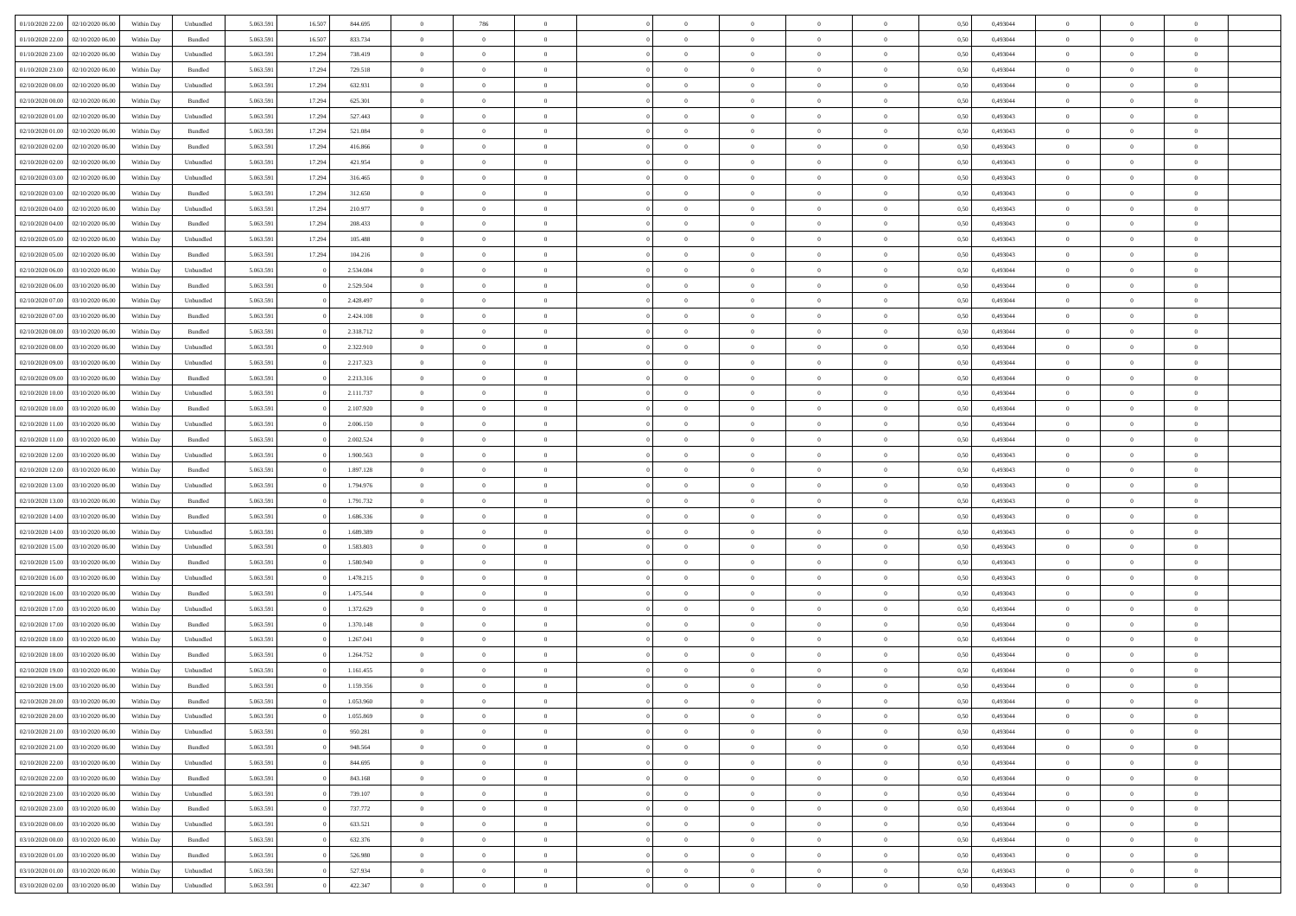|                                   |                  |            |                    |           |        |           | $\overline{0}$ |                |                |                | $\Omega$       | $\Omega$       | $\theta$       |      |          | $\theta$       |                | $\theta$       |  |
|-----------------------------------|------------------|------------|--------------------|-----------|--------|-----------|----------------|----------------|----------------|----------------|----------------|----------------|----------------|------|----------|----------------|----------------|----------------|--|
| 01/10/2020 22.00                  | 02/10/2020 06.00 | Within Dav | Unbundled          | 5.063.591 | 16.507 | 844.695   |                | 786            |                | $\Omega$       |                |                |                | 0.50 | 0,493044 |                | $\theta$       |                |  |
| 01/10/2020 22.00                  | 02/10/2020 06.00 | Within Day | Bundled            | 5.063.591 | 16.507 | 833.734   | $\overline{0}$ | $\theta$       | $\overline{0}$ | $\overline{0}$ | $\bf{0}$       | $\overline{0}$ | $\bf{0}$       | 0,50 | 0,493044 | $\theta$       | $\overline{0}$ | $\overline{0}$ |  |
| 01/10/2020 23.00                  | 02/10/2020 06.00 | Within Day | Unbundled          | 5.063.591 | 17.294 | 738.419   | $\overline{0}$ | $\overline{0}$ | $\overline{0}$ | $\bf{0}$       | $\bf{0}$       | $\bf{0}$       | $\bf{0}$       | 0,50 | 0,493044 | $\bf{0}$       | $\overline{0}$ | $\overline{0}$ |  |
|                                   |                  |            |                    |           |        |           |                |                |                |                |                |                |                |      |          | $\theta$       |                |                |  |
| 01/10/2020 23.00                  | 02/10/2020 06.00 | Within Dav | Bundled            | 5.063.591 | 17.294 | 729.518   | $\overline{0}$ | $\overline{0}$ | $\overline{0}$ | $\overline{0}$ | $\bf{0}$       | $\overline{0}$ | $\overline{0}$ | 0.50 | 0.493044 |                | $\theta$       | $\overline{0}$ |  |
| 02/10/2020 00.00                  | 02/10/2020 06.00 | Within Day | Unbundled          | 5.063.591 | 17.294 | 632.931   | $\overline{0}$ | $\theta$       | $\overline{0}$ | $\overline{0}$ | $\bf{0}$       | $\overline{0}$ | $\bf{0}$       | 0,50 | 0,493044 | $\theta$       | $\theta$       | $\overline{0}$ |  |
| 02/10/2020 00.00                  | 02/10/2020 06.00 | Within Day | Bundled            | 5.063.591 | 17.294 | 625.301   | $\overline{0}$ | $\bf{0}$       | $\overline{0}$ | $\bf{0}$       | $\overline{0}$ | $\overline{0}$ | $\mathbf{0}$   | 0,50 | 0,493044 | $\bf{0}$       | $\overline{0}$ | $\bf{0}$       |  |
| 02/10/2020 01:00                  | 02/10/2020 06.00 | Within Dav | Unbundled          | 5.063.591 | 17.294 | 527.443   | $\overline{0}$ | $\overline{0}$ | $\overline{0}$ | $\overline{0}$ | $\overline{0}$ | $\overline{0}$ | $\overline{0}$ | 0.50 | 0,493043 | $\theta$       | $\overline{0}$ | $\overline{0}$ |  |
|                                   |                  |            |                    |           |        |           |                |                |                |                |                |                |                |      |          |                |                |                |  |
| 02/10/2020 01:00                  | 02/10/2020 06.00 | Within Day | Bundled            | 5.063.591 | 17.294 | 521.084   | $\overline{0}$ | $\theta$       | $\overline{0}$ | $\overline{0}$ | $\bf{0}$       | $\overline{0}$ | $\bf{0}$       | 0,50 | 0,493043 | $\theta$       | $\theta$       | $\overline{0}$ |  |
| 02/10/2020 02.00                  | 02/10/2020 06.00 | Within Day | Bundled            | 5.063.591 | 17.294 | 416.866   | $\overline{0}$ | $\overline{0}$ | $\overline{0}$ | $\bf{0}$       | $\bf{0}$       | $\bf{0}$       | $\bf{0}$       | 0,50 | 0,493043 | $\,0\,$        | $\overline{0}$ | $\overline{0}$ |  |
| 02/10/2020 02.00                  | 02/10/2020 06:00 | Within Dav | Unbundled          | 5.063.591 | 17.294 | 421.954   | $\overline{0}$ | $\overline{0}$ | $\overline{0}$ | $\overline{0}$ | $\overline{0}$ | $\overline{0}$ | $\overline{0}$ | 0.50 | 0,493043 | $\theta$       | $\overline{0}$ | $\overline{0}$ |  |
|                                   |                  |            |                    |           |        |           |                |                |                |                |                |                |                |      |          |                |                |                |  |
| 02/10/2020 03:00                  | 02/10/2020 06.00 | Within Day | Unbundled          | 5.063.591 | 17.294 | 316.465   | $\overline{0}$ | $\theta$       | $\overline{0}$ | $\overline{0}$ | $\bf{0}$       | $\overline{0}$ | $\bf{0}$       | 0,50 | 0,493043 | $\,$ 0 $\,$    | $\theta$       | $\overline{0}$ |  |
| 02/10/2020 03.00                  | 02/10/2020 06.00 | Within Day | Bundled            | 5.063.591 | 17.294 | 312.650   | $\overline{0}$ | $\overline{0}$ | $\overline{0}$ | $\bf{0}$       | $\bf{0}$       | $\bf{0}$       | $\bf{0}$       | 0,50 | 0,493043 | $\overline{0}$ | $\overline{0}$ | $\overline{0}$ |  |
| 02/10/2020 04:00                  | 02/10/2020 06.00 | Within Day | Unbundled          | 5.063.591 | 17.294 | 210.977   | $\overline{0}$ | $\overline{0}$ | $\overline{0}$ | $\overline{0}$ | $\bf{0}$       | $\overline{0}$ | $\overline{0}$ | 0.50 | 0,493043 | $\theta$       | $\theta$       | $\overline{0}$ |  |
|                                   |                  |            |                    |           |        |           |                |                |                |                |                |                |                |      |          |                |                |                |  |
| 02/10/2020 04:00                  | 02/10/2020 06.00 | Within Day | Bundled            | 5.063.591 | 17.294 | 208.433   | $\overline{0}$ | $\theta$       | $\overline{0}$ | $\overline{0}$ | $\bf{0}$       | $\overline{0}$ | $\bf{0}$       | 0,50 | 0,493043 | $\theta$       | $\overline{0}$ | $\overline{0}$ |  |
| 02/10/2020 05:00                  | 02/10/2020 06.00 | Within Day | Unbundled          | 5.063.591 | 17.294 | 105.488   | $\overline{0}$ | $\bf{0}$       | $\overline{0}$ | $\bf{0}$       | $\overline{0}$ | $\overline{0}$ | $\mathbf{0}$   | 0,50 | 0,493043 | $\overline{0}$ | $\overline{0}$ | $\bf{0}$       |  |
| 02/10/2020 05:00                  | 02/10/2020 06:00 | Within Dav | Bundled            | 5.063.591 | 17.294 | 104.216   | $\overline{0}$ | $\overline{0}$ | $\overline{0}$ | $\overline{0}$ | $\overline{0}$ | $\overline{0}$ | $\overline{0}$ | 0.50 | 0,493043 | $\theta$       | $\overline{0}$ | $\overline{0}$ |  |
| 02/10/2020 06.00                  | 03/10/2020 06.00 | Within Day | Unbundled          | 5.063.591 |        | 2.534.084 | $\overline{0}$ | $\theta$       | $\overline{0}$ | $\overline{0}$ | $\bf{0}$       | $\overline{0}$ | $\bf{0}$       | 0,50 | 0,493044 | $\theta$       | $\theta$       | $\overline{0}$ |  |
|                                   |                  |            |                    |           |        |           |                |                |                |                |                |                |                |      |          |                |                |                |  |
| 02/10/2020 06.00                  | 03/10/2020 06.00 | Within Day | Bundled            | 5.063.591 |        | 2.529.504 | $\overline{0}$ | $\overline{0}$ | $\overline{0}$ | $\bf{0}$       | $\bf{0}$       | $\bf{0}$       | $\bf{0}$       | 0,50 | 0,493044 | $\,0\,$        | $\overline{0}$ | $\overline{0}$ |  |
| 02/10/2020 07.00                  | 03/10/2020 06:00 | Within Day | Unbundled          | 5.063.591 |        | 2.428.497 | $\overline{0}$ | $\overline{0}$ | $\overline{0}$ | $\overline{0}$ | $\overline{0}$ | $\overline{0}$ | $\overline{0}$ | 0.50 | 0,493044 | $\theta$       | $\overline{0}$ | $\overline{0}$ |  |
| 02/10/2020 07:00                  | 03/10/2020 06.00 | Within Day | Bundled            | 5.063.591 |        | 2.424.108 | $\overline{0}$ | $\theta$       | $\overline{0}$ | $\overline{0}$ | $\bf{0}$       | $\overline{0}$ | $\bf{0}$       | 0,50 | 0,493044 | $\,$ 0 $\,$    | $\theta$       | $\overline{0}$ |  |
|                                   |                  |            |                    |           |        |           |                |                |                |                |                |                |                |      |          |                |                |                |  |
| 02/10/2020 08.00                  | 03/10/2020 06.00 | Within Day | Bundled            | 5.063.591 |        | 2.318.712 | $\overline{0}$ | $\overline{0}$ | $\overline{0}$ | $\bf{0}$       | $\bf{0}$       | $\bf{0}$       | $\bf{0}$       | 0,50 | 0,493044 | $\bf{0}$       | $\overline{0}$ | $\overline{0}$ |  |
| 02/10/2020 08:00                  | 03/10/2020 06:00 | Within Day | Unbundled          | 5.063.591 |        | 2.322.910 | $\overline{0}$ | $\overline{0}$ | $\overline{0}$ | $\overline{0}$ | $\bf{0}$       | $\overline{0}$ | $\overline{0}$ | 0.50 | 0.493044 | $\theta$       | $\theta$       | $\overline{0}$ |  |
| 02/10/2020 09:00                  | 03/10/2020 06.00 | Within Day | Unbundled          | 5.063.591 |        | 2.217.323 | $\overline{0}$ | $\theta$       | $\overline{0}$ | $\overline{0}$ | $\bf{0}$       | $\overline{0}$ | $\bf{0}$       | 0,50 | 0,493044 | $\theta$       | $\overline{0}$ | $\overline{0}$ |  |
|                                   |                  |            |                    |           |        |           |                | $\bf{0}$       |                |                |                |                |                |      |          |                | $\overline{0}$ | $\bf{0}$       |  |
| 02/10/2020 09:00                  | 03/10/2020 06.00 | Within Day | Bundled            | 5.063.591 |        | 2.213.316 | $\overline{0}$ |                | $\overline{0}$ | $\bf{0}$       | $\overline{0}$ | $\overline{0}$ | $\mathbf{0}$   | 0,50 | 0,493044 | $\overline{0}$ |                |                |  |
| 02/10/2020 10:00                  | 03/10/2020 06:00 | Within Dav | Unbundled          | 5.063.591 |        | 2.111.737 | $\overline{0}$ | $\overline{0}$ | $\overline{0}$ | $\overline{0}$ | $\overline{0}$ | $\overline{0}$ | $\overline{0}$ | 0.50 | 0,493044 | $\theta$       | $\overline{0}$ | $\overline{0}$ |  |
| 02/10/2020 10:00                  | 03/10/2020 06.00 | Within Day | Bundled            | 5.063.591 |        | 2.107.920 | $\overline{0}$ | $\theta$       | $\overline{0}$ | $\overline{0}$ | $\bf{0}$       | $\overline{0}$ | $\bf{0}$       | 0,50 | 0,493044 | $\theta$       | $\theta$       | $\overline{0}$ |  |
| 02/10/2020 11:00                  | 03/10/2020 06.00 | Within Day | Unbundled          | 5.063.591 |        | 2.006.150 | $\overline{0}$ | $\overline{0}$ | $\overline{0}$ | $\bf{0}$       | $\bf{0}$       | $\bf{0}$       | $\bf{0}$       | 0,50 | 0,493044 | $\,0\,$        | $\overline{0}$ | $\overline{0}$ |  |
|                                   |                  |            |                    |           |        |           |                |                |                |                |                |                |                |      |          |                |                |                |  |
| 02/10/2020 11:00                  | 03/10/2020 06:00 | Within Day | Bundled            | 5.063.591 |        | 2.002.524 | $\overline{0}$ | $\overline{0}$ | $\overline{0}$ | $\overline{0}$ | $\overline{0}$ | $\overline{0}$ | $\overline{0}$ | 0.50 | 0,493044 | $\theta$       | $\overline{0}$ | $\overline{0}$ |  |
| 02/10/2020 12:00                  | 03/10/2020 06.00 | Within Day | Unbundled          | 5.063.591 |        | 1.900.563 | $\overline{0}$ | $\theta$       | $\overline{0}$ | $\overline{0}$ | $\bf{0}$       | $\overline{0}$ | $\bf{0}$       | 0,50 | 0,493043 | $\,$ 0 $\,$    | $\overline{0}$ | $\overline{0}$ |  |
| 02/10/2020 12.00                  | 03/10/2020 06.00 | Within Day | Bundled            | 5.063.591 |        | 1.897.128 | $\overline{0}$ | $\overline{0}$ | $\overline{0}$ | $\bf{0}$       | $\bf{0}$       | $\bf{0}$       | $\bf{0}$       | 0,50 | 0,493043 | $\bf{0}$       | $\overline{0}$ | $\overline{0}$ |  |
|                                   |                  |            |                    |           |        |           |                |                |                |                |                |                |                |      |          |                |                | $\theta$       |  |
| 02/10/2020 13:00                  | 03/10/2020 06.00 | Within Day | Unbundled          | 5.063.591 |        | 1.794.976 | $\overline{0}$ | $\Omega$       | $\Omega$       | $\Omega$       | $\Omega$       | $\Omega$       | $\overline{0}$ | 0,50 | 0,493043 | $\,0\,$        | $\theta$       |                |  |
| 02/10/2020 13:00                  | 03/10/2020 06.00 | Within Day | Bundled            | 5.063.591 |        | 1.791.732 | $\overline{0}$ | $\theta$       | $\overline{0}$ | $\overline{0}$ | $\bf{0}$       | $\overline{0}$ | $\bf{0}$       | 0,50 | 0,493043 | $\theta$       | $\theta$       | $\overline{0}$ |  |
| 02/10/2020 14.00                  | 03/10/2020 06.00 | Within Day | Bundled            | 5.063.591 |        | 1.686.336 | $\overline{0}$ | $\overline{0}$ | $\overline{0}$ | $\bf{0}$       | $\bf{0}$       | $\overline{0}$ | $\mathbf{0}$   | 0,50 | 0,493043 | $\overline{0}$ | $\overline{0}$ | $\bf{0}$       |  |
| 02/10/2020 14:00                  | 03/10/2020 06:00 | Within Day | Unbundled          | 5.063.591 |        | 1.689.389 | $\overline{0}$ | $\Omega$       | $\Omega$       | $\Omega$       | $\bf{0}$       | $\overline{0}$ | $\overline{0}$ | 0.50 | 0,493043 | $\theta$       | $\theta$       | $\theta$       |  |
|                                   |                  |            |                    |           |        |           |                |                |                |                |                |                |                |      |          |                |                |                |  |
| 02/10/2020 15:00                  | 03/10/2020 06.00 | Within Day | Unbundled          | 5.063.591 |        | 1.583.803 | $\overline{0}$ | $\theta$       | $\overline{0}$ | $\overline{0}$ | $\bf{0}$       | $\overline{0}$ | $\bf{0}$       | 0,50 | 0,493043 | $\,$ 0 $\,$    | $\theta$       | $\overline{0}$ |  |
| 02/10/2020 15:00                  | 03/10/2020 06.00 | Within Day | Bundled            | 5.063.591 |        | 1.580.940 | $\overline{0}$ | $\overline{0}$ | $\overline{0}$ | $\bf{0}$       | $\bf{0}$       | $\bf{0}$       | $\bf{0}$       | 0,50 | 0,493043 | $\,0\,$        | $\overline{0}$ | $\overline{0}$ |  |
| 02/10/2020 16:00                  | 03/10/2020 06:00 | Within Day | Unbundled          | 5.063.591 |        | 1.478.215 | $\overline{0}$ | $\Omega$       | $\Omega$       | $\Omega$       | $\theta$       | $\theta$       | $\overline{0}$ | 0.50 | 0,493043 | $\theta$       | $\theta$       | $\theta$       |  |
| 02/10/2020 16:00                  | 03/10/2020 06.00 |            | Bundled            | 5.063.591 |        | 1.475.544 | $\overline{0}$ | $\theta$       | $\overline{0}$ | $\overline{0}$ | $\bf{0}$       | $\overline{0}$ |                |      | 0,493043 | $\,$ 0 $\,$    | $\overline{0}$ | $\overline{0}$ |  |
|                                   |                  | Within Day |                    |           |        |           |                |                |                |                |                |                | $\bf{0}$       | 0,50 |          |                |                |                |  |
| 02/10/2020 17.00                  | 03/10/2020 06.00 | Within Day | Unbundled          | 5.063.591 |        | 1.372.629 | $\overline{0}$ | $\overline{0}$ | $\overline{0}$ | $\bf{0}$       | $\bf{0}$       | $\bf{0}$       | $\bf{0}$       | 0,50 | 0,493044 | $\overline{0}$ | $\overline{0}$ | $\overline{0}$ |  |
| 02/10/2020 17:00                  | 03/10/2020 06.00 | Within Day | Bundled            | 5.063.591 |        | 1.370.148 | $\overline{0}$ | $\Omega$       | $\overline{0}$ | $\Omega$       | $\overline{0}$ | $\overline{0}$ | $\overline{0}$ | 0,50 | 0,493044 | $\,0\,$        | $\theta$       | $\theta$       |  |
| 02/10/2020 18:00                  | 03/10/2020 06.00 | Within Day | Unbundled          | 5.063.591 |        | 1.267.041 | $\overline{0}$ | $\theta$       | $\overline{0}$ | $\overline{0}$ | $\,$ 0         | $\overline{0}$ | $\bf{0}$       | 0,50 | 0,493044 | $\,$ 0 $\,$    | $\overline{0}$ | $\overline{0}$ |  |
|                                   |                  |            |                    |           |        |           |                |                |                |                |                |                |                |      |          |                |                |                |  |
| 02/10/2020 18.00                  | 03/10/2020 06.00 | Within Day | Bundled            | 5.063.591 |        | 1.264.752 | $\overline{0}$ | $\overline{0}$ | $\overline{0}$ | $\bf{0}$       | $\bf{0}$       | $\bf{0}$       | $\mathbf{0}$   | 0,50 | 0,493044 | $\bf{0}$       | $\overline{0}$ | $\bf{0}$       |  |
| 02/10/2020 19:00                  | 03/10/2020 06:00 | Within Day | Unbundled          | 5.063.591 |        | 1.161.455 | $\overline{0}$ | $\Omega$       | $\Omega$       | $\Omega$       | $\Omega$       | $\Omega$       | $\overline{0}$ | 0.50 | 0.493044 | $\theta$       | $\theta$       | $\theta$       |  |
| 02/10/2020 19:00                  | 03/10/2020 06.00 | Within Day | Bundled            | 5.063.591 |        | 1.159.356 | $\overline{0}$ | $\,$ 0 $\,$    | $\overline{0}$ | $\bf{0}$       | $\,$ 0         | $\overline{0}$ | $\bf{0}$       | 0,50 | 0,493044 | $\,0\,$        | $\overline{0}$ | $\overline{0}$ |  |
| 02/10/2020 20:00 03/10/2020 06:00 |                  | Within Day | $\mathbf B$ undled | 5.063.591 |        | 1.053.960 | $\bf{0}$       | $\bf{0}$       |                |                |                |                |                | 0,50 | 0,493044 | $\bf{0}$       | $\overline{0}$ |                |  |
|                                   |                  |            |                    |           |        |           |                |                |                |                |                |                |                |      |          |                |                |                |  |
| 02/10/2020 20:00                  | 03/10/2020 06:00 | Within Day | Unbundled          | 5.063.591 |        | 1.055.869 | $\overline{0}$ | $\overline{0}$ | $\overline{0}$ | $\Omega$       | $\overline{0}$ | $\overline{0}$ | $\overline{0}$ | 0,50 | 0,493044 | $\theta$       | $\theta$       | $\theta$       |  |
| 02/10/2020 21.00                  | 03/10/2020 06.00 | Within Day | Unbundled          | 5.063.591 |        | 950.281   | $\overline{0}$ | $\bf{0}$       | $\overline{0}$ | $\overline{0}$ | $\,$ 0 $\,$    | $\overline{0}$ | $\,$ 0 $\,$    | 0,50 | 0,493044 | $\,$ 0 $\,$    | $\,$ 0 $\,$    | $\,$ 0         |  |
| 02/10/2020 21:00                  | 03/10/2020 06.00 | Within Day | Bundled            | 5.063.591 |        | 948.564   | $\overline{0}$ | $\overline{0}$ | $\overline{0}$ | $\overline{0}$ | $\overline{0}$ | $\overline{0}$ | $\mathbf{0}$   | 0,50 | 0,493044 | $\overline{0}$ | $\bf{0}$       | $\bf{0}$       |  |
|                                   |                  |            |                    |           |        |           |                |                |                |                |                |                |                |      |          |                |                |                |  |
| 02/10/2020 22.00                  | 03/10/2020 06.00 | Within Day | Unbundled          | 5.063.591 |        | 844.695   | $\overline{0}$ | $\overline{0}$ | $\overline{0}$ | $\Omega$       | $\overline{0}$ | $\overline{0}$ | $\overline{0}$ | 0,50 | 0,493044 | $\bf{0}$       | $\theta$       | $\overline{0}$ |  |
| 02/10/2020 22.00                  | 03/10/2020 06.00 | Within Day | Bundled            | 5.063.591 |        | 843.168   | $\overline{0}$ | $\,$ 0         | $\overline{0}$ | $\overline{0}$ | $\,$ 0 $\,$    | $\overline{0}$ | $\mathbf{0}$   | 0,50 | 0,493044 | $\,$ 0 $\,$    | $\overline{0}$ | $\overline{0}$ |  |
| 02/10/2020 23.00                  | 03/10/2020 06.00 | Within Day | Unbundled          | 5.063.591 |        | 739.107   | $\overline{0}$ | $\overline{0}$ | $\overline{0}$ | $\overline{0}$ | $\overline{0}$ | $\overline{0}$ | $\mathbf{0}$   | 0,50 | 0,493044 | $\overline{0}$ | $\overline{0}$ | $\bf{0}$       |  |
|                                   | 03/10/2020 06:00 |            |                    |           |        |           |                | $\overline{0}$ | $\overline{0}$ |                | $\overline{0}$ | $\overline{0}$ |                | 0.50 |          |                | $\theta$       | $\overline{0}$ |  |
| 02/10/2020 23.00                  |                  | Within Day | Bundled            | 5.063.591 |        | 737.772   | $\overline{0}$ |                |                | $\overline{0}$ |                |                | $\bf{0}$       |      | 0,493044 | $\overline{0}$ |                |                |  |
| 03/10/2020 00:00                  | 03/10/2020 06.00 | Within Day | Unbundled          | 5.063.591 |        | 633.521   | $\overline{0}$ | $\,$ 0         | $\overline{0}$ | $\bf{0}$       | $\bf{0}$       | $\bf{0}$       | $\bf{0}$       | 0,50 | 0,493044 | $\,$ 0 $\,$    | $\overline{0}$ | $\overline{0}$ |  |
| 03/10/2020 00:00                  | 03/10/2020 06.00 | Within Day | Bundled            | 5.063.591 |        | 632.376   | $\overline{0}$ | $\bf{0}$       | $\overline{0}$ | $\overline{0}$ | $\overline{0}$ | $\overline{0}$ | $\mathbf{0}$   | 0,50 | 0,493044 | $\overline{0}$ | $\overline{0}$ | $\bf{0}$       |  |
| 03/10/2020 01:00                  | 03/10/2020 06:00 | Within Day | Bundled            | 5.063.591 |        | 526.980   | $\overline{0}$ | $\overline{0}$ | $\overline{0}$ | $\Omega$       | $\overline{0}$ | $\overline{0}$ | $\overline{0}$ | 0.50 | 0,493043 | $\overline{0}$ | $\overline{0}$ | $\overline{0}$ |  |
|                                   |                  |            |                    |           |        |           |                |                |                |                |                |                |                |      |          |                |                |                |  |
| 03/10/2020 01:00                  | 03/10/2020 06.00 | Within Day | Unbundled          | 5.063.591 |        | 527.934   | $\overline{0}$ | $\bf{0}$       | $\overline{0}$ | $\bf{0}$       | $\bf{0}$       | $\bf{0}$       | $\mathbf{0}$   | 0,50 | 0,493043 | $\,$ 0 $\,$    | $\,$ 0 $\,$    | $\bf{0}$       |  |
| 03/10/2020 02.00                  | 03/10/2020 06.00 | Within Day | Unbundled          | 5.063.591 |        | 422.347   | $\overline{0}$ | $\overline{0}$ | $\overline{0}$ | $\overline{0}$ | $\overline{0}$ | $\bf{0}$       | $\mathbf{0}$   | 0,50 | 0,493043 | $\overline{0}$ | $\bf{0}$       | $\overline{0}$ |  |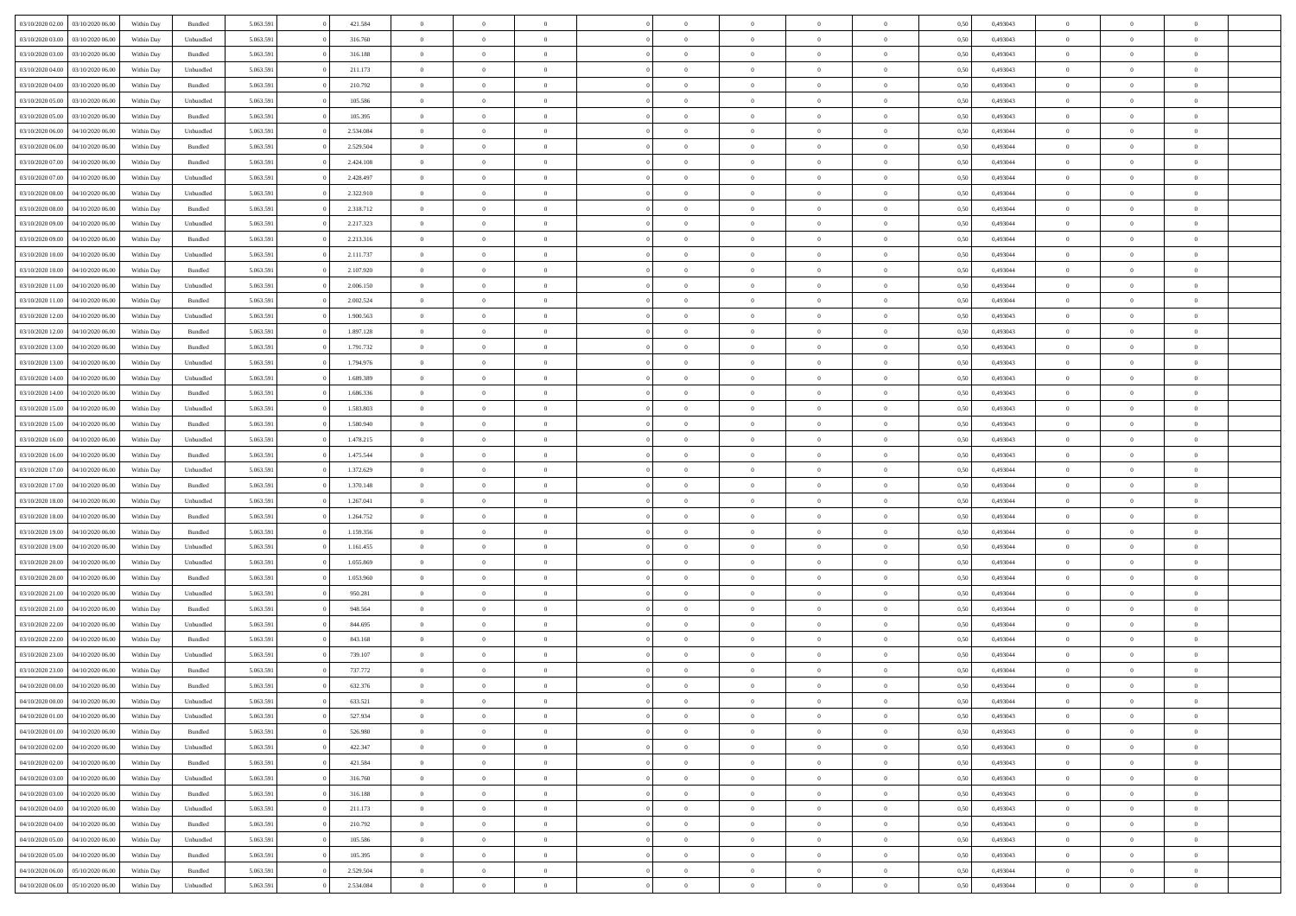| 03/10/2020 02.00                  | 03/10/2020 06:00 | Within Dav | Bundled            | 5.063.591 | 421.584   | $\overline{0}$ | $\Omega$       |                | $\Omega$       | $\Omega$       | $\Omega$       | $\theta$       | 0.50 | 0,493043 | $\theta$       | $\theta$       | $\theta$       |  |
|-----------------------------------|------------------|------------|--------------------|-----------|-----------|----------------|----------------|----------------|----------------|----------------|----------------|----------------|------|----------|----------------|----------------|----------------|--|
|                                   |                  |            |                    |           |           |                |                |                |                |                |                |                |      |          |                |                |                |  |
| 03/10/2020 03:00                  | 03/10/2020 06.00 | Within Day | Unbundled          | 5.063.591 | 316.760   | $\overline{0}$ | $\theta$       | $\overline{0}$ | $\overline{0}$ | $\bf{0}$       | $\overline{0}$ | $\overline{0}$ | 0,50 | 0,493043 | $\theta$       | $\overline{0}$ | $\overline{0}$ |  |
| 03/10/2020 03.00                  | 03/10/2020 06.00 | Within Day | Bundled            | 5.063.591 | 316.188   | $\overline{0}$ | $\overline{0}$ | $\overline{0}$ | $\bf{0}$       | $\bf{0}$       | $\bf{0}$       | $\bf{0}$       | 0,50 | 0,493043 | $\overline{0}$ | $\overline{0}$ | $\overline{0}$ |  |
| 03/10/2020 04:00                  | 03/10/2020 06:00 | Within Dav | Unbundled          | 5.063.591 | 211.173   | $\overline{0}$ | $\overline{0}$ | $\overline{0}$ | $\overline{0}$ | $\bf{0}$       | $\overline{0}$ | $\overline{0}$ | 0.50 | 0,493043 | $\theta$       | $\theta$       | $\overline{0}$ |  |
|                                   |                  |            |                    |           |           |                |                |                |                |                |                |                |      |          |                |                |                |  |
| 03/10/2020 04:00                  | 03/10/2020 06.00 | Within Day | Bundled            | 5.063.591 | 210.792   | $\overline{0}$ | $\theta$       | $\overline{0}$ | $\overline{0}$ | $\bf{0}$       | $\overline{0}$ | $\bf{0}$       | 0,50 | 0,493043 | $\theta$       | $\theta$       | $\overline{0}$ |  |
| 03/10/2020 05.00                  | 03/10/2020 06.00 | Within Day | Unbundled          | 5.063.591 | 105.586   | $\overline{0}$ | $\bf{0}$       | $\overline{0}$ | $\bf{0}$       | $\overline{0}$ | $\overline{0}$ | $\mathbf{0}$   | 0,50 | 0,493043 | $\overline{0}$ | $\overline{0}$ | $\bf{0}$       |  |
| 03/10/2020 05:00                  | 03/10/2020 06:00 | Within Dav | Bundled            | 5.063.591 | 105.395   | $\overline{0}$ | $\overline{0}$ | $\overline{0}$ | $\overline{0}$ | $\overline{0}$ | $\overline{0}$ | $\overline{0}$ | 0.50 | 0,493043 | $\theta$       | $\overline{0}$ | $\overline{0}$ |  |
| 03/10/2020 06.00                  | 04/10/2020 06.00 | Within Day | Unbundled          | 5.063.591 | 2.534.084 | $\overline{0}$ | $\theta$       | $\overline{0}$ | $\overline{0}$ | $\bf{0}$       | $\overline{0}$ | $\bf{0}$       | 0,50 | 0,493044 | $\theta$       | $\theta$       | $\overline{0}$ |  |
|                                   |                  |            |                    |           |           |                | $\overline{0}$ |                |                | $\bf{0}$       |                |                |      |          | $\,0\,$        | $\overline{0}$ | $\overline{0}$ |  |
| 03/10/2020 06.00                  | 04/10/2020 06.00 | Within Day | Bundled            | 5.063.591 | 2.529.504 | $\overline{0}$ |                | $\overline{0}$ | $\bf{0}$       |                | $\bf{0}$       | $\bf{0}$       | 0,50 | 0,493044 |                |                |                |  |
| 03/10/2020 07.00                  | 04/10/2020 06.00 | Within Dav | Bundled            | 5.063.591 | 2.424.108 | $\overline{0}$ | $\overline{0}$ | $\overline{0}$ | $\overline{0}$ | $\overline{0}$ | $\overline{0}$ | $\overline{0}$ | 0.50 | 0,493044 | $\theta$       | $\overline{0}$ | $\overline{0}$ |  |
| 03/10/2020 07.00                  | 04/10/2020 06.00 | Within Day | Unbundled          | 5.063.591 | 2.428.497 | $\overline{0}$ | $\theta$       | $\overline{0}$ | $\overline{0}$ | $\bf{0}$       | $\overline{0}$ | $\bf{0}$       | 0,50 | 0,493044 | $\,$ 0 $\,$    | $\theta$       | $\overline{0}$ |  |
| 03/10/2020 08:00                  | 04/10/2020 06.00 | Within Day | Unbundled          | 5.063.591 | 2.322.910 | $\overline{0}$ | $\overline{0}$ | $\overline{0}$ | $\bf{0}$       | $\bf{0}$       | $\bf{0}$       | $\bf{0}$       | 0,50 | 0,493044 | $\overline{0}$ | $\overline{0}$ | $\overline{0}$ |  |
| 03/10/2020 08:00                  | 04/10/2020 06.00 | Within Day | Bundled            | 5.063.591 | 2.318.712 | $\overline{0}$ | $\overline{0}$ | $\overline{0}$ | $\overline{0}$ | $\bf{0}$       | $\overline{0}$ | $\overline{0}$ | 0.50 | 0,493044 | $\theta$       | $\theta$       | $\overline{0}$ |  |
|                                   |                  |            |                    |           |           | $\overline{0}$ | $\theta$       |                |                |                |                |                |      |          | $\theta$       | $\overline{0}$ |                |  |
| 03/10/2020 09:00                  | 04/10/2020 06.00 | Within Day | Unbundled          | 5.063.591 | 2.217.323 |                |                | $\overline{0}$ | $\overline{0}$ | $\bf{0}$       | $\overline{0}$ | $\overline{0}$ | 0,50 | 0,493044 |                |                | $\overline{0}$ |  |
| 03/10/2020 09:00                  | 04/10/2020 06.00 | Within Day | Bundled            | 5.063.591 | 2.213.316 | $\overline{0}$ | $\bf{0}$       | $\overline{0}$ | $\bf{0}$       | $\overline{0}$ | $\overline{0}$ | $\mathbf{0}$   | 0,50 | 0,493044 | $\overline{0}$ | $\overline{0}$ | $\bf{0}$       |  |
| 03/10/2020 10:00                  | 04/10/2020 06.00 | Within Dav | Unbundled          | 5.063.591 | 2.111.737 | $\overline{0}$ | $\overline{0}$ | $\overline{0}$ | $\overline{0}$ | $\overline{0}$ | $\overline{0}$ | $\overline{0}$ | 0.50 | 0,493044 | $\theta$       | $\overline{0}$ | $\overline{0}$ |  |
| 03/10/2020 10:00                  | 04/10/2020 06.00 | Within Day | Bundled            | 5.063.591 | 2.107.920 | $\overline{0}$ | $\theta$       | $\overline{0}$ | $\overline{0}$ | $\bf{0}$       | $\overline{0}$ | $\bf{0}$       | 0,50 | 0,493044 | $\theta$       | $\theta$       | $\overline{0}$ |  |
| 03/10/2020 11:00                  | 04/10/2020 06.00 | Within Day | Unbundled          | 5.063.591 | 2.006.150 | $\overline{0}$ | $\overline{0}$ | $\overline{0}$ | $\bf{0}$       | $\bf{0}$       | $\bf{0}$       | $\bf{0}$       | 0,50 | 0,493044 | $\,0\,$        | $\overline{0}$ | $\overline{0}$ |  |
|                                   |                  |            |                    |           |           |                |                |                |                |                |                |                |      |          |                |                |                |  |
| 03/10/2020 11:00                  | 04/10/2020 06.00 | Within Day | Bundled            | 5.063.591 | 2.002.524 | $\overline{0}$ | $\overline{0}$ | $\overline{0}$ | $\overline{0}$ | $\overline{0}$ | $\overline{0}$ | $\overline{0}$ | 0.50 | 0,493044 | $\theta$       | $\overline{0}$ | $\overline{0}$ |  |
| 03/10/2020 12:00                  | 04/10/2020 06.00 | Within Day | Unbundled          | 5.063.591 | 1.900.563 | $\overline{0}$ | $\theta$       | $\overline{0}$ | $\overline{0}$ | $\bf{0}$       | $\overline{0}$ | $\bf{0}$       | 0,50 | 0,493043 | $\,$ 0 $\,$    | $\theta$       | $\overline{0}$ |  |
| 03/10/2020 12:00                  | 04/10/2020 06.00 | Within Day | Bundled            | 5.063.591 | 1.897.128 | $\overline{0}$ | $\overline{0}$ | $\overline{0}$ | $\bf{0}$       | $\bf{0}$       | $\bf{0}$       | $\bf{0}$       | 0,50 | 0,493043 | $\,0\,$        | $\overline{0}$ | $\overline{0}$ |  |
| 03/10/2020 13:00                  | 04/10/2020 06.00 | Within Day | Bundled            | 5.063.591 | 1.791.732 | $\overline{0}$ | $\overline{0}$ | $\overline{0}$ | $\overline{0}$ | $\bf{0}$       | $\overline{0}$ | $\overline{0}$ | 0.50 | 0.493043 | $\theta$       | $\theta$       | $\overline{0}$ |  |
|                                   |                  |            |                    |           |           |                |                |                |                |                |                |                |      |          |                |                |                |  |
| 03/10/2020 13:00                  | 04/10/2020 06.00 | Within Day | Unbundled          | 5.063.591 | 1.794.976 | $\overline{0}$ | $\theta$       | $\overline{0}$ | $\overline{0}$ | $\bf{0}$       | $\overline{0}$ | $\bf{0}$       | 0,50 | 0,493043 | $\theta$       | $\overline{0}$ | $\overline{0}$ |  |
| 03/10/2020 14:00                  | 04/10/2020 06.00 | Within Day | Unbundled          | 5.063.591 | 1.689.389 | $\overline{0}$ | $\bf{0}$       | $\overline{0}$ | $\bf{0}$       | $\overline{0}$ | $\overline{0}$ | $\mathbf{0}$   | 0,50 | 0,493043 | $\overline{0}$ | $\overline{0}$ | $\bf{0}$       |  |
| 03/10/2020 14:00                  | 04/10/2020 06.00 | Within Dav | Bundled            | 5.063.591 | 1.686.336 | $\overline{0}$ | $\overline{0}$ | $\overline{0}$ | $\overline{0}$ | $\overline{0}$ | $\overline{0}$ | $\overline{0}$ | 0.50 | 0,493043 | $\theta$       | $\overline{0}$ | $\overline{0}$ |  |
| 03/10/2020 15:00                  | 04/10/2020 06.00 | Within Day | Unbundled          | 5.063.591 | 1.583.803 | $\overline{0}$ | $\theta$       | $\overline{0}$ | $\overline{0}$ | $\bf{0}$       | $\overline{0}$ | $\bf{0}$       | 0,50 | 0,493043 | $\theta$       | $\theta$       | $\overline{0}$ |  |
| 03/10/2020 15:00                  | 04/10/2020 06.00 | Within Day | Bundled            | 5.063.591 | 1.580.940 | $\overline{0}$ | $\overline{0}$ | $\overline{0}$ | $\bf{0}$       | $\bf{0}$       | $\bf{0}$       | $\bf{0}$       | 0,50 | 0,493043 | $\,0\,$        | $\overline{0}$ | $\overline{0}$ |  |
|                                   |                  |            |                    |           |           |                |                |                |                |                |                |                |      |          |                |                |                |  |
| 03/10/2020 16:00                  | 04/10/2020 06.00 | Within Day | Unbundled          | 5.063.591 | 1.478.215 | $\overline{0}$ | $\overline{0}$ | $\overline{0}$ | $\overline{0}$ | $\overline{0}$ | $\overline{0}$ | $\overline{0}$ | 0.50 | 0,493043 | $\theta$       | $\overline{0}$ | $\overline{0}$ |  |
| 03/10/2020 16:00                  | 04/10/2020 06.00 | Within Day | Bundled            | 5.063.591 | 1.475.544 | $\overline{0}$ | $\theta$       | $\overline{0}$ | $\overline{0}$ | $\bf{0}$       | $\overline{0}$ | $\bf{0}$       | 0,50 | 0,493043 | $\,$ 0 $\,$    | $\overline{0}$ | $\overline{0}$ |  |
| 03/10/2020 17:00                  | 04/10/2020 06.00 | Within Day | Unbundled          | 5.063.591 | 1.372.629 | $\overline{0}$ | $\overline{0}$ | $\overline{0}$ | $\overline{0}$ | $\bf{0}$       | $\overline{0}$ | $\bf{0}$       | 0,50 | 0,493044 | $\overline{0}$ | $\overline{0}$ | $\overline{0}$ |  |
| 03/10/2020 17:00                  | 04/10/2020 06.00 | Within Day | Bundled            | 5.063.591 | 1.370.148 | $\overline{0}$ | $\Omega$       | $\Omega$       | $\Omega$       | $\Omega$       | $\Omega$       | $\overline{0}$ | 0,50 | 0,493044 | $\,0\,$        | $\theta$       | $\theta$       |  |
| 03/10/2020 18:00                  | 04/10/2020 06.00 | Within Day | Unbundled          | 5.063.591 | 1.267.041 | $\overline{0}$ | $\theta$       | $\overline{0}$ | $\overline{0}$ | $\bf{0}$       | $\overline{0}$ | $\bf{0}$       | 0,50 | 0,493044 | $\theta$       | $\theta$       | $\overline{0}$ |  |
|                                   |                  |            |                    |           |           |                |                |                |                |                |                |                |      |          |                |                |                |  |
| 03/10/2020 18:00                  | 04/10/2020 06.00 | Within Day | Bundled            | 5.063.591 | 1.264.752 | $\overline{0}$ | $\overline{0}$ | $\overline{0}$ | $\overline{0}$ | $\bf{0}$       | $\overline{0}$ | $\mathbf{0}$   | 0,50 | 0,493044 | $\overline{0}$ | $\overline{0}$ | $\bf{0}$       |  |
| 03/10/2020 19:00                  | 04/10/2020 06.00 | Within Day | Bundled            | 5.063.591 | 1.159.356 | $\overline{0}$ | $\Omega$       | $\Omega$       | $\Omega$       | $\bf{0}$       | $\overline{0}$ | $\overline{0}$ | 0.50 | 0,493044 | $\theta$       | $\theta$       | $\theta$       |  |
| 03/10/2020 19:00                  | 04/10/2020 06.00 | Within Day | Unbundled          | 5.063.591 | 1.161.455 | $\overline{0}$ | $\theta$       | $\overline{0}$ | $\overline{0}$ | $\bf{0}$       | $\overline{0}$ | $\bf{0}$       | 0,50 | 0,493044 | $\,$ 0 $\,$    | $\theta$       | $\overline{0}$ |  |
| 03/10/2020 20.00                  | 04/10/2020 06.00 | Within Day | Unbundled          | 5.063.591 | 1.055.869 | $\overline{0}$ | $\overline{0}$ | $\overline{0}$ | $\overline{0}$ | $\bf{0}$       | $\overline{0}$ | $\bf{0}$       | 0,50 | 0,493044 | $\,0\,$        | $\overline{0}$ | $\overline{0}$ |  |
|                                   |                  |            |                    |           |           |                |                |                |                |                |                |                |      |          |                |                |                |  |
| 03/10/2020 20:00                  | 04/10/2020 06.00 | Within Day | Bundled            | 5.063.591 | 1.053.960 | $\overline{0}$ | $\Omega$       | $\Omega$       | $\Omega$       | $\Omega$       | $\theta$       | $\overline{0}$ | 0.50 | 0,493044 | $\theta$       | $\theta$       | $\theta$       |  |
| 03/10/2020 21.00                  | 04/10/2020 06.00 | Within Day | Unbundled          | 5.063.591 | 950.281   | $\overline{0}$ | $\theta$       | $\overline{0}$ | $\overline{0}$ | $\bf{0}$       | $\overline{0}$ | $\bf{0}$       | 0,50 | 0,493044 | $\,$ 0 $\,$    | $\overline{0}$ | $\overline{0}$ |  |
| 03/10/2020 21.00                  | 04/10/2020 06.00 | Within Day | Bundled            | 5.063.591 | 948.564   | $\overline{0}$ | $\overline{0}$ | $\overline{0}$ | $\overline{0}$ | $\bf{0}$       | $\overline{0}$ | $\bf{0}$       | 0,50 | 0,493044 | $\overline{0}$ | $\overline{0}$ | $\overline{0}$ |  |
| 03/10/2020 22.00                  | 04/10/2020 06.00 | Within Day | Unbundled          | 5.063.591 | 844,695   | $\overline{0}$ | $\Omega$       | $\Omega$       | $\Omega$       | $\Omega$       | $\overline{0}$ | $\overline{0}$ | 0,50 | 0,493044 | $\,0\,$        | $\theta$       | $\theta$       |  |
| 03/10/2020 22.00                  | 04/10/2020 06.00 | Within Day | Bundled            | 5.063.591 | 843.168   | $\overline{0}$ | $\theta$       | $\overline{0}$ | $\overline{0}$ | $\bf{0}$       | $\overline{0}$ | $\bf{0}$       | 0,50 | 0,493044 | $\,$ 0 $\,$    | $\overline{0}$ | $\overline{0}$ |  |
|                                   |                  |            |                    |           |           |                |                |                |                |                |                |                |      |          |                |                |                |  |
| 03/10/2020 23.00                  | 04/10/2020 06.00 | Within Day | Unbundled          | 5.063.591 | 739.107   | $\overline{0}$ | $\overline{0}$ | $\overline{0}$ | $\overline{0}$ | $\bf{0}$       | $\overline{0}$ | $\mathbf{0}$   | 0,50 | 0,493044 | $\overline{0}$ | $\overline{0}$ | $\bf{0}$       |  |
| 03/10/2020 23.00                  | 04/10/2020 06.00 | Within Day | Bundled            | 5.063.591 | 737.772   | $\overline{0}$ | $\Omega$       | $\Omega$       | $\Omega$       | $\Omega$       | $\Omega$       | $\overline{0}$ | 0.50 | 0,493044 | $\theta$       | $\theta$       | $\theta$       |  |
| 04/10/2020 00.00                  | 04/10/2020 06.00 | Within Day | Bundled            | 5.063.591 | 632.376   | $\overline{0}$ | $\overline{0}$ | $\overline{0}$ | $\bf{0}$       | $\,$ 0         | $\overline{0}$ | $\bf{0}$       | 0,50 | 0,493044 | $\,0\,$        | $\,0\,$        | $\overline{0}$ |  |
| 04/10/2020 00:00 04/10/2020 06:00 |                  | Within Day | Unbundled          | 5.063.591 | 633.521   | $\bf{0}$       | $\bf{0}$       |                |                |                |                |                | 0,50 | 0,493044 | $\bf{0}$       | $\overline{0}$ |                |  |
| 04/10/2020 01:00                  | 04/10/2020 06:00 |            |                    | 5.063.591 |           | $\overline{0}$ | $\overline{0}$ | $\overline{0}$ | $\Omega$       | $\overline{0}$ | $\overline{0}$ | $\overline{0}$ |      |          | $\theta$       | $\theta$       | $\theta$       |  |
|                                   |                  | Within Day | Unbundled          |           | 527.934   |                |                |                |                |                |                |                | 0,50 | 0,493043 |                |                |                |  |
| 04/10/2020 01.00                  | 04/10/2020 06.00 | Within Day | Bundled            | 5.063.591 | 526.980   | $\overline{0}$ | $\bf{0}$       | $\overline{0}$ | $\overline{0}$ | $\,$ 0 $\,$    | $\overline{0}$ | $\,$ 0 $\,$    | 0,50 | 0,493043 | $\,$ 0 $\,$    | $\,$ 0 $\,$    | $\,$ 0         |  |
| 04/10/2020 02.00                  | 04/10/2020 06.00 | Within Day | Unbundled          | 5.063.591 | 422.347   | $\overline{0}$ | $\overline{0}$ | $\overline{0}$ | $\overline{0}$ | $\overline{0}$ | $\overline{0}$ | $\mathbf{0}$   | 0,50 | 0,493043 | $\overline{0}$ | $\bf{0}$       | $\bf{0}$       |  |
| 04/10/2020 02.00                  | 04/10/2020 06.00 | Within Day | $\mathbf B$ undled | 5.063.591 | 421.584   | $\overline{0}$ | $\overline{0}$ | $\overline{0}$ | $\Omega$       | $\overline{0}$ | $\overline{0}$ | $\overline{0}$ | 0,50 | 0,493043 | $\overline{0}$ | $\theta$       | $\overline{0}$ |  |
| 04/10/2020 03.00                  | 04/10/2020 06.00 | Within Day | Unbundled          | 5.063.591 | 316.760   | $\overline{0}$ | $\,$ 0         | $\overline{0}$ | $\bf{0}$       | $\,$ 0 $\,$    | $\overline{0}$ | $\mathbf{0}$   | 0,50 | 0,493043 | $\,$ 0 $\,$    | $\overline{0}$ | $\overline{0}$ |  |
|                                   |                  |            |                    |           |           |                |                |                |                |                |                |                |      |          |                |                |                |  |
| 04/10/2020 03.00                  | 04/10/2020 06.00 | Within Day | Bundled            | 5.063.591 | 316.188   | $\overline{0}$ | $\overline{0}$ | $\overline{0}$ | $\overline{0}$ | $\overline{0}$ | $\overline{0}$ | $\mathbf{0}$   | 0,50 | 0,493043 | $\overline{0}$ | $\overline{0}$ | $\bf{0}$       |  |
| 04/10/2020 04.00                  | 04/10/2020 06.00 | Within Day | Unbundled          | 5.063.591 | 211.173   | $\overline{0}$ | $\overline{0}$ | $\overline{0}$ | $\overline{0}$ | $\overline{0}$ | $\overline{0}$ | $\bf{0}$       | 0.50 | 0,493043 | $\overline{0}$ | $\theta$       | $\overline{0}$ |  |
| 04/10/2020 04.00                  | 04/10/2020 06.00 | Within Day | Bundled            | 5.063.591 | 210.792   | $\overline{0}$ | $\,$ 0         | $\overline{0}$ | $\bf{0}$       | $\bf{0}$       | $\bf{0}$       | $\bf{0}$       | 0,50 | 0,493043 | $\,$ 0 $\,$    | $\overline{0}$ | $\overline{0}$ |  |
| 04/10/2020 05:00                  | 04/10/2020 06.00 | Within Day | Unbundled          | 5.063.591 | 105.586   | $\overline{0}$ | $\bf{0}$       | $\overline{0}$ | $\overline{0}$ | $\overline{0}$ | $\overline{0}$ | $\mathbf{0}$   | 0,50 | 0,493043 | $\overline{0}$ | $\overline{0}$ | $\bf{0}$       |  |
| 04/10/2020 05:00                  | 04/10/2020 06:00 | Within Day | Bundled            | 5.063.591 | 105.395   | $\overline{0}$ | $\overline{0}$ | $\overline{0}$ | $\Omega$       | $\overline{0}$ | $\overline{0}$ | $\overline{0}$ | 0.50 | 0,493043 | $\overline{0}$ | $\overline{0}$ | $\overline{0}$ |  |
|                                   |                  |            |                    |           |           |                |                |                |                |                |                |                |      |          |                |                |                |  |
| 04/10/2020 06.00                  | 05/10/2020 06.00 | Within Day | Bundled            | 5.063.591 | 2.529.504 | $\overline{0}$ | $\bf{0}$       | $\overline{0}$ | $\bf{0}$       | $\bf{0}$       | $\bf{0}$       | $\mathbf{0}$   | 0,50 | 0,493044 | $\,$ 0 $\,$    | $\,$ 0 $\,$    | $\bf{0}$       |  |
| 04/10/2020 06.00                  | 05/10/2020 06.00 | Within Day | Unbundled          | 5.063.591 | 2.534.084 | $\overline{0}$ | $\overline{0}$ | $\overline{0}$ | $\overline{0}$ | $\overline{0}$ | $\bf{0}$       | $\mathbf{0}$   | 0,50 | 0,493044 | $\overline{0}$ | $\bf{0}$       | $\bf{0}$       |  |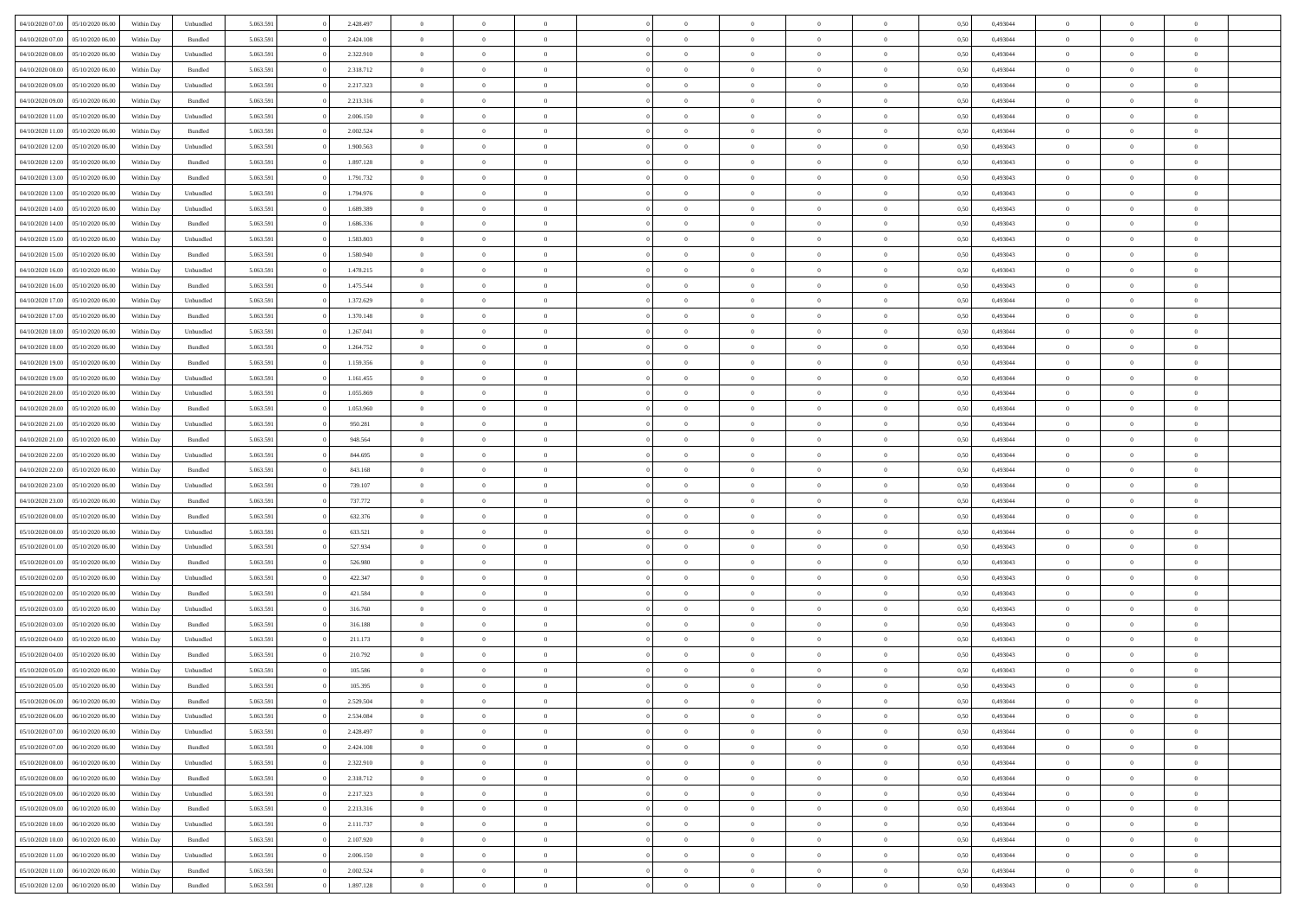| 04/10/2020 07.00                  | 05/10/2020 06:00 | Within Dav | Unbundled | 5.063.591 | 2.428.497 | $\overline{0}$ | $\Omega$       |                | $\Omega$       | $\Omega$       | $\Omega$       | $\Omega$       | 0.50 | 0,493044 | $\theta$       | $\theta$       | $\theta$       |  |
|-----------------------------------|------------------|------------|-----------|-----------|-----------|----------------|----------------|----------------|----------------|----------------|----------------|----------------|------|----------|----------------|----------------|----------------|--|
|                                   |                  |            |           |           |           |                |                |                |                |                |                |                |      |          |                |                |                |  |
| 04/10/2020 07.00                  | 05/10/2020 06.00 | Within Day | Bundled   | 5.063.591 | 2.424.108 | $\overline{0}$ | $\theta$       | $\overline{0}$ | $\overline{0}$ | $\bf{0}$       | $\overline{0}$ | $\overline{0}$ | 0,50 | 0,493044 | $\theta$       | $\theta$       | $\overline{0}$ |  |
| 04/10/2020 08.00                  | 05/10/2020 06.00 | Within Day | Unbundled | 5.063.591 | 2.322.910 | $\overline{0}$ | $\overline{0}$ | $\overline{0}$ | $\bf{0}$       | $\bf{0}$       | $\bf{0}$       | $\bf{0}$       | 0,50 | 0,493044 | $\overline{0}$ | $\overline{0}$ | $\overline{0}$ |  |
|                                   |                  |            |           |           |           |                |                |                |                |                |                |                |      |          | $\theta$       |                |                |  |
| 04/10/2020 08:00                  | 05/10/2020 06:00 | Within Dav | Bundled   | 5.063.591 | 2.318.712 | $\overline{0}$ | $\overline{0}$ | $\overline{0}$ | $\overline{0}$ | $\bf{0}$       | $\overline{0}$ | $\overline{0}$ | 0.50 | 0.493044 |                | $\theta$       | $\overline{0}$ |  |
| 04/10/2020 09:00                  | 05/10/2020 06.00 | Within Day | Unbundled | 5.063.591 | 2.217.323 | $\overline{0}$ | $\theta$       | $\overline{0}$ | $\overline{0}$ | $\bf{0}$       | $\overline{0}$ | $\bf{0}$       | 0,50 | 0,493044 | $\theta$       | $\theta$       | $\overline{0}$ |  |
| 04/10/2020 09:00                  | 05/10/2020 06.00 | Within Day | Bundled   | 5.063.591 | 2.213.316 | $\overline{0}$ | $\bf{0}$       | $\overline{0}$ | $\bf{0}$       | $\overline{0}$ | $\overline{0}$ | $\mathbf{0}$   | 0,50 | 0,493044 | $\overline{0}$ | $\overline{0}$ | $\bf{0}$       |  |
| 04/10/2020 11:00                  | 05/10/2020 06:00 | Within Dav | Unbundled | 5.063.591 | 2.006.150 | $\overline{0}$ | $\overline{0}$ | $\overline{0}$ | $\overline{0}$ | $\overline{0}$ | $\overline{0}$ | $\overline{0}$ | 0.50 | 0,493044 | $\theta$       | $\overline{0}$ | $\overline{0}$ |  |
|                                   |                  |            |           |           |           |                |                |                |                |                |                |                |      |          |                |                |                |  |
| 04/10/2020 11:00                  | 05/10/2020 06.00 | Within Day | Bundled   | 5.063.591 | 2.002.524 | $\overline{0}$ | $\theta$       | $\overline{0}$ | $\overline{0}$ | $\bf{0}$       | $\overline{0}$ | $\bf{0}$       | 0,50 | 0,493044 | $\theta$       | $\theta$       | $\overline{0}$ |  |
| 04/10/2020 12:00                  | 05/10/2020 06.00 | Within Day | Unbundled | 5.063.591 | 1.900.563 | $\overline{0}$ | $\overline{0}$ | $\overline{0}$ | $\bf{0}$       | $\bf{0}$       | $\bf{0}$       | $\bf{0}$       | 0,50 | 0,493043 | $\,0\,$        | $\overline{0}$ | $\overline{0}$ |  |
| 04/10/2020 12:00                  | 05/10/2020 06:00 | Within Dav | Bundled   | 5.063.591 | 1.897.128 | $\overline{0}$ | $\overline{0}$ | $\overline{0}$ | $\overline{0}$ | $\overline{0}$ | $\overline{0}$ | $\overline{0}$ | 0.50 | 0,493043 | $\theta$       | $\overline{0}$ | $\overline{0}$ |  |
|                                   |                  |            |           |           |           |                |                |                |                |                |                |                |      |          |                |                |                |  |
| 04/10/2020 13:00                  | 05/10/2020 06.00 | Within Day | Bundled   | 5.063.591 | 1.791.732 | $\overline{0}$ | $\theta$       | $\overline{0}$ | $\overline{0}$ | $\bf{0}$       | $\overline{0}$ | $\bf{0}$       | 0,50 | 0,493043 | $\theta$       | $\theta$       | $\overline{0}$ |  |
| 04/10/2020 13.00                  | 05/10/2020 06.00 | Within Day | Unbundled | 5.063.591 | 1.794.976 | $\overline{0}$ | $\overline{0}$ | $\overline{0}$ | $\bf{0}$       | $\bf{0}$       | $\bf{0}$       | $\bf{0}$       | 0,50 | 0,493043 | $\overline{0}$ | $\overline{0}$ | $\overline{0}$ |  |
| 04/10/2020 14:00                  | 05/10/2020 06:00 | Within Day | Unbundled | 5.063.591 | 1.689.389 | $\overline{0}$ | $\overline{0}$ | $\overline{0}$ | $\overline{0}$ | $\bf{0}$       | $\overline{0}$ | $\overline{0}$ | 0.50 | 0,493043 | $\theta$       | $\theta$       | $\overline{0}$ |  |
|                                   |                  |            |           |           |           |                |                |                |                |                |                |                |      |          |                |                |                |  |
| 04/10/2020 14:00                  | 05/10/2020 06.00 | Within Day | Bundled   | 5.063.591 | 1.686.336 | $\overline{0}$ | $\theta$       | $\overline{0}$ | $\overline{0}$ | $\bf{0}$       | $\overline{0}$ | $\overline{0}$ | 0,50 | 0,493043 | $\theta$       | $\theta$       | $\overline{0}$ |  |
| 04/10/2020 15.00                  | 05/10/2020 06.00 | Within Day | Unbundled | 5.063.591 | 1.583.803 | $\overline{0}$ | $\bf{0}$       | $\overline{0}$ | $\overline{0}$ | $\overline{0}$ | $\overline{0}$ | $\mathbf{0}$   | 0,50 | 0,493043 | $\overline{0}$ | $\overline{0}$ | $\bf{0}$       |  |
| 04/10/2020 15:00                  | 05/10/2020 06:00 | Within Dav | Bundled   | 5.063.591 | 1.580.940 | $\overline{0}$ | $\overline{0}$ | $\overline{0}$ | $\overline{0}$ | $\overline{0}$ | $\overline{0}$ | $\overline{0}$ | 0.50 | 0,493043 | $\theta$       | $\overline{0}$ | $\overline{0}$ |  |
| 04/10/2020 16.00                  | 05/10/2020 06.00 | Within Day | Unbundled | 5.063.591 | 1.478.215 | $\overline{0}$ | $\theta$       | $\overline{0}$ | $\overline{0}$ | $\bf{0}$       | $\overline{0}$ | $\bf{0}$       | 0,50 | 0,493043 | $\theta$       | $\theta$       | $\overline{0}$ |  |
|                                   |                  |            |           |           |           |                |                |                |                |                |                |                |      |          |                |                |                |  |
| 04/10/2020 16.00                  | 05/10/2020 06.00 | Within Day | Bundled   | 5.063.591 | 1.475.544 | $\overline{0}$ | $\overline{0}$ | $\overline{0}$ | $\overline{0}$ | $\bf{0}$       | $\overline{0}$ | $\bf{0}$       | 0,50 | 0,493043 | $\,0\,$        | $\overline{0}$ | $\overline{0}$ |  |
| 04/10/2020 17.00                  | 05/10/2020 06:00 | Within Day | Unbundled | 5.063.591 | 1.372.629 | $\overline{0}$ | $\overline{0}$ | $\overline{0}$ | $\overline{0}$ | $\overline{0}$ | $\overline{0}$ | $\overline{0}$ | 0.50 | 0,493044 | $\theta$       | $\overline{0}$ | $\overline{0}$ |  |
| 04/10/2020 17.00                  | 05/10/2020 06.00 | Within Day | Bundled   | 5.063.591 | 1.370.148 | $\overline{0}$ | $\theta$       | $\overline{0}$ | $\overline{0}$ | $\bf{0}$       | $\overline{0}$ | $\bf{0}$       | 0,50 | 0,493044 | $\,$ 0 $\,$    | $\theta$       | $\overline{0}$ |  |
|                                   |                  |            |           |           |           |                |                |                |                |                |                |                |      |          |                |                |                |  |
| 04/10/2020 18.00                  | 05/10/2020 06.00 | Within Day | Unbundled | 5.063.591 | 1.267.041 | $\overline{0}$ | $\overline{0}$ | $\overline{0}$ | $\overline{0}$ | $\bf{0}$       | $\overline{0}$ | $\bf{0}$       | 0,50 | 0,493044 | $\bf{0}$       | $\overline{0}$ | $\overline{0}$ |  |
| 04/10/2020 18:00                  | 05/10/2020 06:00 | Within Day | Bundled   | 5.063.591 | 1.264.752 | $\overline{0}$ | $\overline{0}$ | $\overline{0}$ | $\overline{0}$ | $\bf{0}$       | $\overline{0}$ | $\overline{0}$ | 0.50 | 0.493044 | $\theta$       | $\theta$       | $\overline{0}$ |  |
| 04/10/2020 19:00                  | 05/10/2020 06.00 | Within Day | Bundled   | 5.063.591 | 1.159.356 | $\overline{0}$ | $\theta$       | $\overline{0}$ | $\overline{0}$ | $\bf{0}$       | $\overline{0}$ | $\bf{0}$       | 0,50 | 0,493044 | $\theta$       | $\overline{0}$ | $\overline{0}$ |  |
|                                   |                  |            |           |           |           |                | $\bf{0}$       |                |                |                |                |                |      |          |                | $\overline{0}$ | $\bf{0}$       |  |
| 04/10/2020 19:00                  | 05/10/2020 06.00 | Within Day | Unbundled | 5.063.591 | 1.161.455 | $\overline{0}$ |                | $\overline{0}$ | $\overline{0}$ | $\overline{0}$ | $\overline{0}$ | $\mathbf{0}$   | 0,50 | 0,493044 | $\overline{0}$ |                |                |  |
| 04/10/2020 20:00                  | 05/10/2020 06:00 | Within Dav | Unbundled | 5.063.591 | 1.055.869 | $\overline{0}$ | $\overline{0}$ | $\overline{0}$ | $\overline{0}$ | $\overline{0}$ | $\overline{0}$ | $\overline{0}$ | 0.50 | 0,493044 | $\theta$       | $\overline{0}$ | $\overline{0}$ |  |
| 04/10/2020 20.00                  | 05/10/2020 06.00 | Within Day | Bundled   | 5.063.591 | 1.053.960 | $\overline{0}$ | $\theta$       | $\overline{0}$ | $\overline{0}$ | $\bf{0}$       | $\overline{0}$ | $\bf{0}$       | 0,50 | 0,493044 | $\theta$       | $\theta$       | $\overline{0}$ |  |
| 04/10/2020 21.00                  | 05/10/2020 06.00 | Within Day | Unbundled | 5.063.591 | 950.281   | $\overline{0}$ | $\overline{0}$ | $\overline{0}$ | $\overline{0}$ | $\bf{0}$       | $\overline{0}$ | $\bf{0}$       | 0,50 | 0,493044 | $\,0\,$        | $\overline{0}$ | $\overline{0}$ |  |
|                                   |                  |            |           |           |           |                |                |                |                |                |                |                |      |          |                |                |                |  |
| 04/10/2020 21.00                  | 05/10/2020 06:00 | Within Day | Bundled   | 5.063.591 | 948.564   | $\overline{0}$ | $\overline{0}$ | $\overline{0}$ | $\overline{0}$ | $\overline{0}$ | $\overline{0}$ | $\overline{0}$ | 0.50 | 0,493044 | $\theta$       | $\overline{0}$ | $\overline{0}$ |  |
| 04/10/2020 22.00                  | 05/10/2020 06.00 | Within Day | Unbundled | 5.063.591 | 844.695   | $\overline{0}$ | $\theta$       | $\overline{0}$ | $\overline{0}$ | $\bf{0}$       | $\overline{0}$ | $\bf{0}$       | 0,50 | 0,493044 | $\,$ 0 $\,$    | $\overline{0}$ | $\overline{0}$ |  |
| 04/10/2020 22.00                  | 05/10/2020 06.00 | Within Day | Bundled   | 5.063.591 | 843.168   | $\overline{0}$ | $\overline{0}$ | $\overline{0}$ | $\overline{0}$ | $\bf{0}$       | $\overline{0}$ | $\bf{0}$       | 0,50 | 0,493044 | $\overline{0}$ | $\overline{0}$ | $\overline{0}$ |  |
|                                   |                  |            |           |           |           |                |                |                |                |                |                |                |      |          |                |                |                |  |
| 04/10/2020 23.00                  | 05/10/2020 06.00 | Within Day | Unbundled | 5.063.591 | 739.107   | $\overline{0}$ | $\Omega$       | $\Omega$       | $\Omega$       | $\Omega$       | $\Omega$       | $\overline{0}$ | 0,50 | 0,493044 | $\,0\,$        | $\theta$       | $\theta$       |  |
| 04/10/2020 23.00                  | 05/10/2020 06.00 | Within Day | Bundled   | 5.063.591 | 737.772   | $\overline{0}$ | $\theta$       | $\overline{0}$ | $\overline{0}$ | $\bf{0}$       | $\overline{0}$ | $\bf{0}$       | 0,50 | 0,493044 | $\theta$       | $\theta$       | $\overline{0}$ |  |
| 05/10/2020 00.00                  | 05/10/2020 06.00 | Within Day | Bundled   | 5.063.591 | 632.376   | $\overline{0}$ | $\overline{0}$ | $\overline{0}$ | $\overline{0}$ | $\bf{0}$       | $\overline{0}$ | $\mathbf{0}$   | 0,50 | 0,493044 | $\overline{0}$ | $\overline{0}$ | $\bf{0}$       |  |
| 05/10/2020 00:00                  | 05/10/2020 06:00 | Within Day | Unbundled | 5.063.591 | 633.521   | $\overline{0}$ | $\Omega$       | $\Omega$       | $\Omega$       | $\bf{0}$       | $\overline{0}$ | $\overline{0}$ | 0.50 | 0,493044 | $\theta$       | $\theta$       | $\theta$       |  |
|                                   |                  |            |           |           |           |                |                |                |                |                |                |                |      |          |                |                |                |  |
| 05/10/2020 01:00                  | 05/10/2020 06.00 | Within Day | Unbundled | 5.063.591 | 527.934   | $\overline{0}$ | $\theta$       | $\overline{0}$ | $\overline{0}$ | $\bf{0}$       | $\overline{0}$ | $\bf{0}$       | 0,50 | 0,493043 | $\theta$       | $\theta$       | $\overline{0}$ |  |
| 05/10/2020 01:00                  | 05/10/2020 06.00 | Within Day | Bundled   | 5.063.591 | 526.980   | $\overline{0}$ | $\overline{0}$ | $\overline{0}$ | $\overline{0}$ | $\bf{0}$       | $\overline{0}$ | $\bf{0}$       | 0,50 | 0,493043 | $\,0\,$        | $\overline{0}$ | $\overline{0}$ |  |
| 05/10/2020 02.00                  | 05/10/2020 06:00 | Within Day | Unbundled | 5.063.591 | 422.347   | $\overline{0}$ | $\Omega$       | $\Omega$       | $\Omega$       | $\theta$       | $\theta$       | $\overline{0}$ | 0.50 | 0,493043 | $\theta$       | $\theta$       | $\theta$       |  |
| 05/10/2020 02.00                  | 05/10/2020 06.00 |            | Bundled   | 5.063.591 | 421.584   | $\overline{0}$ | $\theta$       | $\overline{0}$ | $\overline{0}$ | $\bf{0}$       | $\overline{0}$ |                |      | 0,493043 | $\,$ 0 $\,$    | $\overline{0}$ | $\overline{0}$ |  |
|                                   |                  | Within Day |           |           |           |                |                |                |                |                |                | $\bf{0}$       | 0,50 |          |                |                |                |  |
| 05/10/2020 03.00                  | 05/10/2020 06.00 | Within Day | Unbundled | 5.063.591 | 316.760   | $\overline{0}$ | $\overline{0}$ | $\overline{0}$ | $\bf{0}$       | $\bf{0}$       | $\bf{0}$       | $\bf{0}$       | 0,50 | 0,493043 | $\overline{0}$ | $\overline{0}$ | $\overline{0}$ |  |
| 05/10/2020 03:00                  | 05/10/2020 06.00 | Within Day | Bundled   | 5.063.591 | 316.188   | $\overline{0}$ | $\Omega$       | $\Omega$       | $\Omega$       | $\Omega$       | $\overline{0}$ | $\overline{0}$ | 0.50 | 0,493043 | $\,0\,$        | $\theta$       | $\theta$       |  |
| 05/10/2020 04:00                  | 05/10/2020 06.00 | Within Day | Unbundled | 5.063.591 | 211.173   | $\overline{0}$ | $\theta$       | $\overline{0}$ | $\overline{0}$ | $\bf{0}$       | $\overline{0}$ | $\bf{0}$       | 0,50 | 0,493043 | $\,$ 0 $\,$    | $\overline{0}$ | $\overline{0}$ |  |
|                                   |                  |            |           |           |           |                |                |                |                |                |                |                |      |          |                |                |                |  |
| 05/10/2020 04.00                  | 05/10/2020 06.00 | Within Day | Bundled   | 5.063.591 | 210.792   | $\overline{0}$ | $\overline{0}$ | $\overline{0}$ | $\bf{0}$       | $\bf{0}$       | $\bf{0}$       | $\mathbf{0}$   | 0,50 | 0,493043 | $\overline{0}$ | $\overline{0}$ | $\bf{0}$       |  |
| 05/10/2020 05.00                  | 05/10/2020 06:00 | Within Day | Unbundled | 5.063.591 | 105,586   | $\overline{0}$ | $\Omega$       | $\Omega$       | $\Omega$       | $\Omega$       | $\Omega$       | $\overline{0}$ | 0.50 | 0,493043 | $\theta$       | $\theta$       | $\theta$       |  |
| 05/10/2020 05.00                  | 05/10/2020 06.00 | Within Day | Bundled   | 5.063.591 | 105.395   | $\overline{0}$ | $\,$ 0 $\,$    | $\overline{0}$ | $\bf{0}$       | $\,$ 0         | $\bf{0}$       | $\bf{0}$       | 0,50 | 0,493043 | $\,0\,$        | $\,$ 0 $\,$    | $\overline{0}$ |  |
| 05/10/2020 06:00 06/10/2020 06:00 |                  | Within Day | Bundled   | 5.063.591 | 2.529.504 | $\bf{0}$       | $\bf{0}$       |                |                |                |                |                | 0,50 | 0,493044 | $\bf{0}$       | $\overline{0}$ |                |  |
|                                   |                  |            |           |           |           |                |                |                |                |                |                |                |      |          |                |                |                |  |
| 05/10/2020 06.00                  | 06/10/2020 06:00 | Within Day | Unbundled | 5.063.591 | 2.534.084 | $\overline{0}$ | $\overline{0}$ | $\overline{0}$ | $\Omega$       | $\overline{0}$ | $\overline{0}$ | $\overline{0}$ | 0,50 | 0,493044 | $\theta$       | $\theta$       | $\theta$       |  |
| 05/10/2020 07:00                  | 06/10/2020 06.00 | Within Day | Unbundled | 5.063.591 | 2.428.497 | $\overline{0}$ | $\,$ 0         | $\overline{0}$ | $\bf{0}$       | $\,$ 0 $\,$    | $\overline{0}$ | $\mathbf{0}$   | 0,50 | 0,493044 | $\,$ 0 $\,$    | $\,$ 0 $\,$    | $\,$ 0         |  |
| 05/10/2020 07:00                  | 06/10/2020 06.00 | Within Day | Bundled   | 5.063.591 | 2.424.108 | $\overline{0}$ | $\overline{0}$ | $\overline{0}$ | $\overline{0}$ | $\overline{0}$ | $\overline{0}$ | $\mathbf{0}$   | 0,50 | 0,493044 | $\overline{0}$ | $\bf{0}$       | $\bf{0}$       |  |
|                                   |                  |            |           |           |           |                |                |                |                |                |                |                |      |          |                |                |                |  |
| 05/10/2020 08:00                  | 06/10/2020 06.00 | Within Day | Unbundled | 5.063.591 | 2.322.910 | $\overline{0}$ | $\overline{0}$ | $\overline{0}$ | $\Omega$       | $\overline{0}$ | $\overline{0}$ | $\bf{0}$       | 0,50 | 0,493044 | $\bf{0}$       | $\theta$       | $\overline{0}$ |  |
| 05/10/2020 08:00                  | 06/10/2020 06.00 | Within Day | Bundled   | 5.063.591 | 2.318.712 | $\overline{0}$ | $\,$ 0         | $\overline{0}$ | $\overline{0}$ | $\,$ 0 $\,$    | $\overline{0}$ | $\mathbf{0}$   | 0,50 | 0,493044 | $\,$ 0 $\,$    | $\overline{0}$ | $\overline{0}$ |  |
| 05/10/2020 09:00                  | 06/10/2020 06.00 | Within Day | Unbundled | 5.063.591 | 2.217.323 | $\overline{0}$ | $\overline{0}$ | $\overline{0}$ | $\overline{0}$ | $\overline{0}$ | $\overline{0}$ | $\mathbf{0}$   | 0,50 | 0,493044 | $\overline{0}$ | $\overline{0}$ | $\bf{0}$       |  |
|                                   | 06/10/2020 06:00 |            |           |           |           |                | $\overline{0}$ | $\overline{0}$ | $\Omega$       | $\overline{0}$ | $\overline{0}$ |                | 0.50 |          |                | $\theta$       | $\overline{0}$ |  |
| 05/10/2020 09:00                  |                  | Within Day | Bundled   | 5.063.591 | 2.213.316 | $\overline{0}$ |                |                |                |                |                | $\bf{0}$       |      | 0,493044 | $\overline{0}$ |                |                |  |
| 05/10/2020 10:00                  | 06/10/2020 06.00 | Within Day | Unbundled | 5.063.591 | 2.111.737 | $\overline{0}$ | $\,$ 0         | $\overline{0}$ | $\bf{0}$       | $\bf{0}$       | $\bf{0}$       | $\bf{0}$       | 0,50 | 0,493044 | $\,$ 0 $\,$    | $\overline{0}$ | $\overline{0}$ |  |
| 05/10/2020 10:00                  | 06/10/2020 06.00 | Within Day | Bundled   | 5.063.591 | 2.107.920 | $\overline{0}$ | $\bf{0}$       | $\overline{0}$ | $\overline{0}$ | $\overline{0}$ | $\overline{0}$ | $\mathbf{0}$   | 0,50 | 0,493044 | $\overline{0}$ | $\overline{0}$ | $\bf{0}$       |  |
| 05/10/2020 11:00                  | 06/10/2020 06:00 | Within Day | Unbundled | 5.063.591 | 2,006,150 | $\overline{0}$ | $\overline{0}$ | $\overline{0}$ | $\Omega$       | $\overline{0}$ | $\overline{0}$ | $\bf{0}$       | 0.50 | 0,493044 | $\overline{0}$ | $\theta$       | $\overline{0}$ |  |
|                                   |                  |            |           |           |           |                |                |                |                |                |                |                |      |          |                |                |                |  |
| 05/10/2020 11:00                  | 06/10/2020 06.00 | Within Day | Bundled   | 5.063.591 | 2.002.524 | $\overline{0}$ | $\bf{0}$       | $\overline{0}$ | $\bf{0}$       | $\bf{0}$       | $\bf{0}$       | $\mathbf{0}$   | 0,50 | 0,493044 | $\,$ 0 $\,$    | $\,$ 0 $\,$    | $\bf{0}$       |  |
| 05/10/2020 12:00                  | 06/10/2020 06.00 | Within Day | Bundled   | 5.063.591 | 1.897.128 | $\overline{0}$ | $\overline{0}$ | $\overline{0}$ | $\overline{0}$ | $\bf{0}$       | $\bf{0}$       | $\mathbf{0}$   | 0,50 | 0,493043 | $\overline{0}$ | $\bf{0}$       | $\bf{0}$       |  |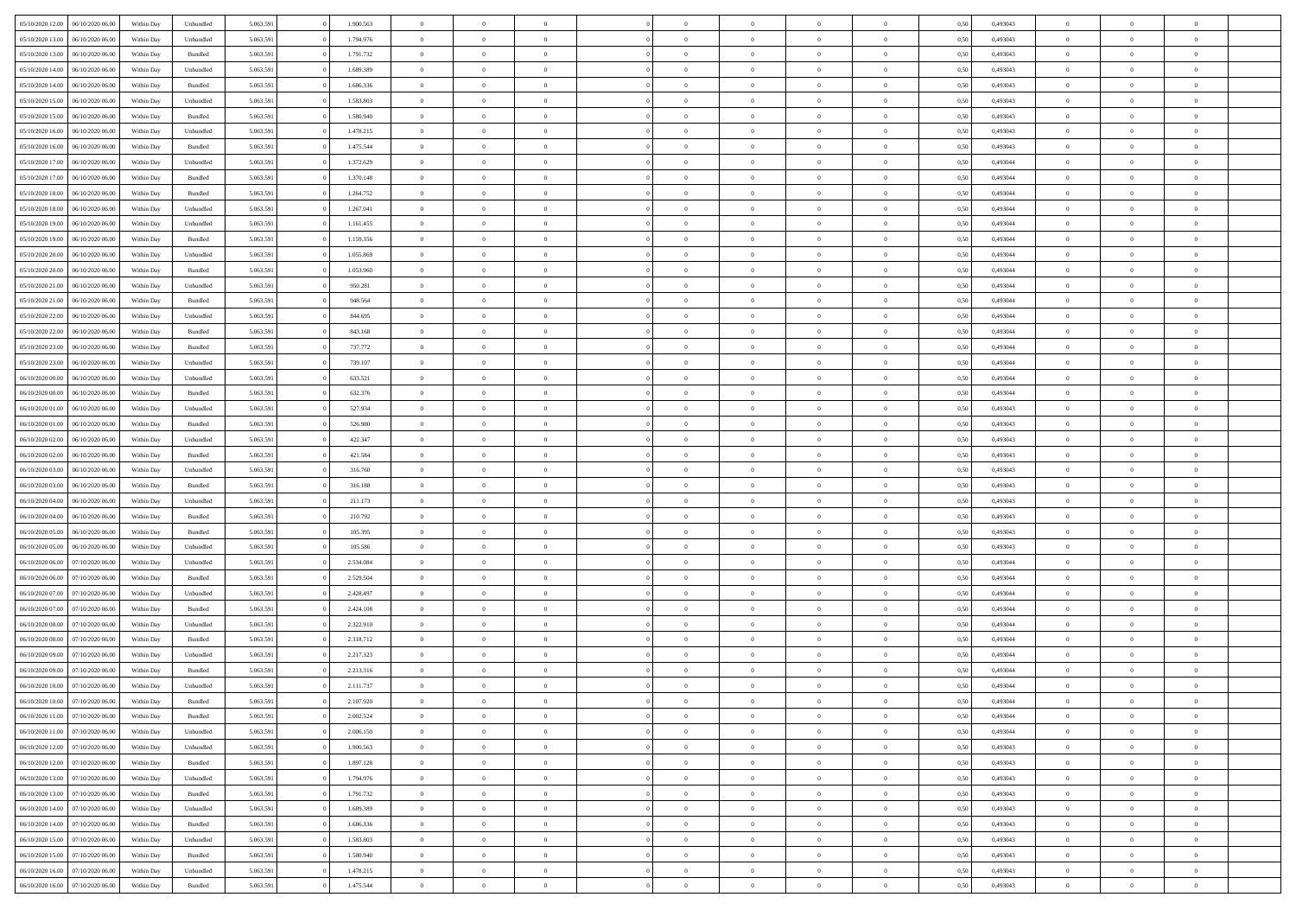|                                   |                  |            |                    |           |           | $\overline{0}$ | $\Omega$       |                |                | $\Omega$       | $\Omega$       | $\theta$       |      |          | $\theta$       |                | $\theta$       |  |
|-----------------------------------|------------------|------------|--------------------|-----------|-----------|----------------|----------------|----------------|----------------|----------------|----------------|----------------|------|----------|----------------|----------------|----------------|--|
| 05/10/2020 12:00                  | 06/10/2020 06:00 | Within Dav | Unbundled          | 5.063.591 | 1.900.563 |                |                |                | $\Omega$       |                |                |                | 0.50 | 0,493043 |                | $\theta$       |                |  |
| 05/10/2020 13:00                  | 06/10/2020 06.00 | Within Day | Unbundled          | 5.063.591 | 1.794.976 | $\overline{0}$ | $\theta$       | $\overline{0}$ | $\overline{0}$ | $\bf{0}$       | $\overline{0}$ | $\overline{0}$ | 0,50 | 0,493043 | $\theta$       | $\theta$       | $\overline{0}$ |  |
| 05/10/2020 13:00                  | 06/10/2020 06.00 | Within Day | Bundled            | 5.063.591 | 1.791.732 | $\overline{0}$ | $\overline{0}$ | $\overline{0}$ | $\bf{0}$       | $\bf{0}$       | $\bf{0}$       | $\bf{0}$       | 0,50 | 0,493043 | $\overline{0}$ | $\overline{0}$ | $\overline{0}$ |  |
| 05/10/2020 14:00                  | 06/10/2020 06:00 | Within Dav | Unbundled          | 5.063.591 | 1.689.389 | $\overline{0}$ | $\overline{0}$ | $\overline{0}$ | $\overline{0}$ | $\bf{0}$       | $\overline{0}$ | $\overline{0}$ | 0.50 | 0,493043 | $\theta$       | $\theta$       | $\overline{0}$ |  |
|                                   |                  |            |                    |           |           |                |                |                |                |                |                |                |      |          |                |                |                |  |
| 05/10/2020 14:00                  | 06/10/2020 06.00 | Within Day | Bundled            | 5.063.591 | 1.686.336 | $\overline{0}$ | $\theta$       | $\overline{0}$ | $\overline{0}$ | $\bf{0}$       | $\overline{0}$ | $\bf{0}$       | 0,50 | 0,493043 | $\theta$       | $\theta$       | $\overline{0}$ |  |
| 05/10/2020 15:00                  | 06/10/2020 06.00 | Within Day | Unbundled          | 5.063.591 | 1.583.803 | $\overline{0}$ | $\bf{0}$       | $\overline{0}$ | $\bf{0}$       | $\overline{0}$ | $\overline{0}$ | $\mathbf{0}$   | 0,50 | 0,493043 | $\overline{0}$ | $\overline{0}$ | $\bf{0}$       |  |
| 05/10/2020 15:00                  | 06/10/2020 06.00 | Within Dav | Bundled            | 5.063.591 | 1.580.940 | $\overline{0}$ | $\overline{0}$ | $\overline{0}$ | $\overline{0}$ | $\overline{0}$ | $\overline{0}$ | $\overline{0}$ | 0.50 | 0,493043 | $\theta$       | $\overline{0}$ | $\overline{0}$ |  |
| 05/10/2020 16.00                  | 06/10/2020 06.00 | Within Day | Unbundled          | 5.063.591 | 1.478.215 | $\overline{0}$ | $\theta$       | $\overline{0}$ | $\overline{0}$ | $\bf{0}$       | $\overline{0}$ | $\bf{0}$       | 0,50 | 0,493043 | $\theta$       | $\theta$       | $\overline{0}$ |  |
|                                   |                  |            |                    |           |           |                | $\overline{0}$ |                |                | $\bf{0}$       |                |                |      |          | $\,0\,$        | $\overline{0}$ | $\overline{0}$ |  |
| 05/10/2020 16:00                  | 06/10/2020 06.00 | Within Day | Bundled            | 5.063.591 | 1.475.544 | $\overline{0}$ |                | $\overline{0}$ | $\bf{0}$       |                | $\bf{0}$       | $\bf{0}$       | 0,50 | 0,493043 |                |                |                |  |
| 05/10/2020 17.00                  | 06/10/2020 06:00 | Within Dav | Unbundled          | 5.063.591 | 1.372.629 | $\overline{0}$ | $\overline{0}$ | $\overline{0}$ | $\overline{0}$ | $\overline{0}$ | $\overline{0}$ | $\overline{0}$ | 0.50 | 0,493044 | $\theta$       | $\overline{0}$ | $\overline{0}$ |  |
| 05/10/2020 17:00                  | 06/10/2020 06.00 | Within Day | Bundled            | 5.063.591 | 1.370.148 | $\overline{0}$ | $\theta$       | $\overline{0}$ | $\overline{0}$ | $\bf{0}$       | $\overline{0}$ | $\bf{0}$       | 0,50 | 0,493044 | $\theta$       | $\theta$       | $\overline{0}$ |  |
| 05/10/2020 18:00                  | 06/10/2020 06.00 | Within Day | Bundled            | 5.063.591 | 1.264.752 | $\overline{0}$ | $\overline{0}$ | $\overline{0}$ | $\bf{0}$       | $\bf{0}$       | $\bf{0}$       | $\bf{0}$       | 0,50 | 0,493044 | $\overline{0}$ | $\overline{0}$ | $\overline{0}$ |  |
| 05/10/2020 18:00                  | 06/10/2020 06:00 | Within Dav | Unbundled          | 5.063.591 | 1.267.041 | $\overline{0}$ | $\overline{0}$ | $\overline{0}$ | $\overline{0}$ | $\bf{0}$       | $\overline{0}$ | $\overline{0}$ | 0.50 | 0,493044 | $\theta$       | $\theta$       | $\overline{0}$ |  |
|                                   |                  |            |                    |           |           | $\overline{0}$ | $\theta$       |                |                |                |                |                |      |          | $\theta$       |                |                |  |
| 05/10/2020 19:00                  | 06/10/2020 06.00 | Within Day | Unbundled          | 5.063.591 | 1.161.455 |                |                | $\overline{0}$ | $\overline{0}$ | $\bf{0}$       | $\overline{0}$ | $\overline{0}$ | 0,50 | 0,493044 |                | $\theta$       | $\overline{0}$ |  |
| 05/10/2020 19:00                  | 06/10/2020 06.00 | Within Day | Bundled            | 5.063.591 | 1.159.356 | $\overline{0}$ | $\bf{0}$       | $\overline{0}$ | $\bf{0}$       | $\overline{0}$ | $\overline{0}$ | $\mathbf{0}$   | 0,50 | 0,493044 | $\overline{0}$ | $\overline{0}$ | $\bf{0}$       |  |
| 05/10/2020 20:00                  | 06/10/2020 06:00 | Within Dav | Unbundled          | 5.063.591 | 1.055.869 | $\overline{0}$ | $\overline{0}$ | $\overline{0}$ | $\overline{0}$ | $\overline{0}$ | $\overline{0}$ | $\overline{0}$ | 0.50 | 0,493044 | $\theta$       | $\overline{0}$ | $\overline{0}$ |  |
| 05/10/2020 20.00                  | 06/10/2020 06.00 | Within Day | Bundled            | 5.063.591 | 1.053.960 | $\overline{0}$ | $\theta$       | $\overline{0}$ | $\overline{0}$ | $\bf{0}$       | $\overline{0}$ | $\bf{0}$       | 0,50 | 0,493044 | $\theta$       | $\theta$       | $\overline{0}$ |  |
| 05/10/2020 21.00                  | 06/10/2020 06.00 | Within Day | Unbundled          | 5.063.591 | 950.281   | $\overline{0}$ | $\overline{0}$ | $\overline{0}$ | $\bf{0}$       | $\bf{0}$       | $\bf{0}$       | $\bf{0}$       | 0,50 | 0,493044 | $\,0\,$        | $\overline{0}$ | $\overline{0}$ |  |
|                                   |                  |            |                    |           |           |                |                |                |                |                |                |                |      |          |                |                |                |  |
| 05/10/2020 21.00                  | 06/10/2020 06:00 | Within Day | Bundled            | 5.063.591 | 948.564   | $\overline{0}$ | $\overline{0}$ | $\overline{0}$ | $\overline{0}$ | $\overline{0}$ | $\overline{0}$ | $\overline{0}$ | 0.50 | 0,493044 | $\theta$       | $\overline{0}$ | $\overline{0}$ |  |
| 05/10/2020 22.00                  | 06/10/2020 06.00 | Within Day | Unbundled          | 5.063.591 | 844.695   | $\overline{0}$ | $\theta$       | $\overline{0}$ | $\overline{0}$ | $\bf{0}$       | $\overline{0}$ | $\bf{0}$       | 0,50 | 0,493044 | $\,$ 0 $\,$    | $\theta$       | $\overline{0}$ |  |
| 05/10/2020 22.00                  | 06/10/2020 06.00 | Within Day | Bundled            | 5.063.591 | 843.168   | $\overline{0}$ | $\overline{0}$ | $\overline{0}$ | $\bf{0}$       | $\bf{0}$       | $\bf{0}$       | $\bf{0}$       | 0,50 | 0,493044 | $\bf{0}$       | $\overline{0}$ | $\overline{0}$ |  |
| 05/10/2020 23.00                  | 06/10/2020 06:00 | Within Day | Bundled            | 5.063.591 | 737.772   | $\overline{0}$ | $\overline{0}$ | $\overline{0}$ | $\overline{0}$ | $\bf{0}$       | $\overline{0}$ | $\overline{0}$ | 0.50 | 0.493044 | $\theta$       | $\theta$       | $\overline{0}$ |  |
|                                   |                  |            |                    |           |           |                |                |                |                |                |                |                |      |          |                |                |                |  |
| 05/10/2020 23.00                  | 06/10/2020 06.00 | Within Day | Unbundled          | 5.063.591 | 739.107   | $\overline{0}$ | $\theta$       | $\overline{0}$ | $\overline{0}$ | $\bf{0}$       | $\overline{0}$ | $\bf{0}$       | 0,50 | 0,493044 | $\theta$       | $\overline{0}$ | $\overline{0}$ |  |
| 06/10/2020 00.00                  | 06/10/2020 06.00 | Within Day | Unbundled          | 5.063.591 | 633.521   | $\overline{0}$ | $\bf{0}$       | $\overline{0}$ | $\bf{0}$       | $\overline{0}$ | $\overline{0}$ | $\mathbf{0}$   | 0,50 | 0,493044 | $\overline{0}$ | $\overline{0}$ | $\bf{0}$       |  |
| 06/10/2020 00:00                  | 06/10/2020 06:00 | Within Dav | Bundled            | 5.063.591 | 632.376   | $\overline{0}$ | $\overline{0}$ | $\overline{0}$ | $\overline{0}$ | $\overline{0}$ | $\overline{0}$ | $\overline{0}$ | 0.50 | 0,493044 | $\theta$       | $\overline{0}$ | $\overline{0}$ |  |
| 06/10/2020 01:00                  | 06/10/2020 06.00 | Within Day | Unbundled          | 5.063.591 | 527.934   | $\overline{0}$ | $\theta$       | $\overline{0}$ | $\overline{0}$ | $\bf{0}$       | $\overline{0}$ | $\bf{0}$       | 0,50 | 0,493043 | $\theta$       | $\theta$       | $\overline{0}$ |  |
| 06/10/2020 01:00                  | 06/10/2020 06.00 | Within Day | Bundled            | 5.063.591 | 526.980   | $\overline{0}$ | $\overline{0}$ | $\overline{0}$ | $\bf{0}$       | $\bf{0}$       | $\bf{0}$       | $\bf{0}$       | 0,50 | 0,493043 | $\,0\,$        | $\overline{0}$ | $\overline{0}$ |  |
|                                   |                  |            |                    |           |           |                |                |                |                |                |                |                |      |          |                |                |                |  |
| 06/10/2020 02.00                  | 06/10/2020 06:00 | Within Day | Unbundled          | 5.063.591 | 422.347   | $\overline{0}$ | $\overline{0}$ | $\overline{0}$ | $\overline{0}$ | $\overline{0}$ | $\overline{0}$ | $\overline{0}$ | 0.50 | 0,493043 | $\theta$       | $\overline{0}$ | $\overline{0}$ |  |
| 06/10/2020 02.00                  | 06/10/2020 06.00 | Within Day | Bundled            | 5.063.591 | 421.584   | $\overline{0}$ | $\theta$       | $\overline{0}$ | $\overline{0}$ | $\bf{0}$       | $\overline{0}$ | $\bf{0}$       | 0,50 | 0,493043 | $\,$ 0 $\,$    | $\overline{0}$ | $\overline{0}$ |  |
| 06/10/2020 03.00                  | 06/10/2020 06.00 | Within Day | Unbundled          | 5.063.591 | 316.760   | $\overline{0}$ | $\overline{0}$ | $\overline{0}$ | $\bf{0}$       | $\bf{0}$       | $\bf{0}$       | $\bf{0}$       | 0,50 | 0,493043 | $\bf{0}$       | $\overline{0}$ | $\overline{0}$ |  |
| 06/10/2020 03:00                  | 06/10/2020 06.00 | Within Day | Bundled            | 5.063.591 | 316.188   | $\overline{0}$ | $\Omega$       | $\Omega$       | $\Omega$       | $\Omega$       | $\Omega$       | $\overline{0}$ | 0,50 | 0,493043 | $\,0\,$        | $\theta$       | $\theta$       |  |
| 06/10/2020 04:00                  | 06/10/2020 06.00 | Within Day | Unbundled          | 5.063.591 | 211.173   | $\overline{0}$ | $\theta$       | $\overline{0}$ | $\overline{0}$ | $\bf{0}$       | $\overline{0}$ | $\bf{0}$       | 0,50 | 0,493043 | $\theta$       | $\theta$       | $\overline{0}$ |  |
|                                   |                  |            |                    |           |           |                |                |                |                |                |                |                |      |          |                |                |                |  |
| 06/10/2020 04.00                  | 06/10/2020 06.00 | Within Day | Bundled            | 5.063.591 | 210.792   | $\overline{0}$ | $\overline{0}$ | $\overline{0}$ | $\bf{0}$       | $\bf{0}$       | $\overline{0}$ | $\mathbf{0}$   | 0,50 | 0,493043 | $\bf{0}$       | $\overline{0}$ | $\bf{0}$       |  |
| 06/10/2020 05:00                  | 06/10/2020 06:00 | Within Day | Bundled            | 5.063.591 | 105.395   | $\overline{0}$ | $\Omega$       | $\Omega$       | $\Omega$       | $\bf{0}$       | $\overline{0}$ | $\overline{0}$ | 0.50 | 0,493043 | $\theta$       | $\theta$       | $\theta$       |  |
| 06/10/2020 05:00                  | 06/10/2020 06.00 | Within Day | Unbundled          | 5.063.591 | 105.586   | $\overline{0}$ | $\theta$       | $\overline{0}$ | $\overline{0}$ | $\bf{0}$       | $\overline{0}$ | $\bf{0}$       | 0,50 | 0,493043 | $\,$ 0 $\,$    | $\theta$       | $\overline{0}$ |  |
| 06/10/2020 06.00                  | 07/10/2020 06.00 | Within Day | Unbundled          | 5.063.591 | 2.534.084 | $\overline{0}$ | $\overline{0}$ | $\overline{0}$ | $\bf{0}$       | $\bf{0}$       | $\bf{0}$       | $\bf{0}$       | 0,50 | 0,493044 | $\,0\,$        | $\overline{0}$ | $\overline{0}$ |  |
|                                   |                  |            |                    |           |           |                |                |                |                |                |                |                |      |          |                |                |                |  |
| 06/10/2020 06.00                  | 07/10/2020 06.00 | Within Day | Bundled            | 5.063.591 | 2.529.504 | $\overline{0}$ | $\Omega$       | $\Omega$       | $\Omega$       | $\Omega$       | $\theta$       | $\overline{0}$ | 0.50 | 0,493044 | $\theta$       | $\theta$       | $\theta$       |  |
| 06/10/2020 07.00                  | 07/10/2020 06.00 | Within Day | Unbundled          | 5.063.591 | 2.428.497 | $\overline{0}$ | $\theta$       | $\overline{0}$ | $\overline{0}$ | $\bf{0}$       | $\overline{0}$ | $\bf{0}$       | 0,50 | 0,493044 | $\,$ 0 $\,$    | $\overline{0}$ | $\overline{0}$ |  |
| 06/10/2020 07.00                  | 07/10/2020 06.00 | Within Day | Bundled            | 5.063.591 | 2.424.108 | $\overline{0}$ | $\overline{0}$ | $\overline{0}$ | $\bf{0}$       | $\bf{0}$       | $\bf{0}$       | $\bf{0}$       | 0,50 | 0,493044 | $\bf{0}$       | $\overline{0}$ | $\overline{0}$ |  |
| 06/10/2020 08:00                  | 07/10/2020 06.00 | Within Day | Unbundled          | 5.063.591 | 2.322.910 | $\overline{0}$ | $\Omega$       | $\Omega$       | $\Omega$       | $\Omega$       | $\overline{0}$ | $\overline{0}$ | 0.50 | 0,493044 | $\,0\,$        | $\theta$       | $\theta$       |  |
| 06/10/2020 08:00                  | 07/10/2020 06.00 | Within Day | Bundled            | 5.063.591 | 2.318.712 | $\overline{0}$ | $\theta$       | $\overline{0}$ | $\overline{0}$ | $\bf{0}$       | $\overline{0}$ | $\bf{0}$       | 0,50 | 0,493044 | $\,$ 0 $\,$    | $\overline{0}$ | $\overline{0}$ |  |
|                                   |                  |            |                    |           |           |                |                |                |                |                |                |                |      |          |                |                |                |  |
| 06/10/2020 09:00                  | 07/10/2020 06.00 | Within Day | Unbundled          | 5.063.591 | 2.217.323 | $\overline{0}$ | $\overline{0}$ | $\overline{0}$ | $\bf{0}$       | $\bf{0}$       | $\bf{0}$       | $\mathbf{0}$   | 0,50 | 0,493044 | $\overline{0}$ | $\overline{0}$ | $\bf{0}$       |  |
| 06/10/2020 09:00                  | 07/10/2020 06.00 | Within Day | Bundled            | 5.063.591 | 2.213.316 | $\overline{0}$ | $\Omega$       | $\Omega$       | $\Omega$       | $\Omega$       | $\Omega$       | $\overline{0}$ | 0.50 | 0.493044 | $\theta$       | $\theta$       | $\theta$       |  |
| 06/10/2020 10:00                  | 07/10/2020 06.00 | Within Day | Unbundled          | 5.063.591 | 2.111.737 | $\overline{0}$ | $\,$ 0 $\,$    | $\overline{0}$ | $\bf{0}$       | $\,$ 0         | $\bf{0}$       | $\bf{0}$       | 0,50 | 0,493044 | $\,0\,$        | $\overline{0}$ | $\overline{0}$ |  |
| 06/10/2020 10:00 07/10/2020 06:00 |                  | Within Day | Bundled            | 5.063.591 | 2.107.920 | $\bf{0}$       | $\bf{0}$       |                |                |                |                |                | 0,50 | 0,493044 | $\bf{0}$       | $\overline{0}$ |                |  |
| 06/10/2020 11:00                  | 07/10/2020 06:00 |            | Bundled            | 5.063.591 | 2.002.524 | $\overline{0}$ | $\overline{0}$ | $\overline{0}$ | $\Omega$       | $\overline{0}$ | $\overline{0}$ | $\overline{0}$ |      |          | $\theta$       | $\theta$       | $\theta$       |  |
|                                   |                  | Within Day |                    |           |           |                |                |                |                |                |                |                | 0,50 | 0,493044 |                |                |                |  |
| 06/10/2020 11:00                  | 07/10/2020 06.00 | Within Day | Unbundled          | 5.063.591 | 2.006.150 | $\overline{0}$ | $\,$ 0         | $\overline{0}$ | $\bf{0}$       | $\,$ 0 $\,$    | $\overline{0}$ | $\mathbf{0}$   | 0,50 | 0,493044 | $\,$ 0 $\,$    | $\,$ 0 $\,$    | $\,$ 0         |  |
| 06/10/2020 12:00                  | 07/10/2020 06.00 | Within Day | Unbundled          | 5.063.591 | 1.900.563 | $\overline{0}$ | $\overline{0}$ | $\overline{0}$ | $\overline{0}$ | $\overline{0}$ | $\overline{0}$ | $\mathbf{0}$   | 0,50 | 0,493043 | $\overline{0}$ | $\bf{0}$       | $\bf{0}$       |  |
| 06/10/2020 12:00                  | 07/10/2020 06.00 | Within Day | $\mathbf B$ undled | 5.063.591 | 1.897.128 | $\overline{0}$ | $\overline{0}$ | $\overline{0}$ | $\Omega$       | $\overline{0}$ | $\overline{0}$ | $\overline{0}$ | 0,50 | 0,493043 | $\overline{0}$ | $\theta$       | $\overline{0}$ |  |
| 06/10/2020 13:00                  | 07/10/2020 06.00 | Within Day | Unbundled          | 5.063.591 | 1.794.976 | $\overline{0}$ | $\,$ 0         | $\overline{0}$ | $\overline{0}$ | $\,$ 0 $\,$    | $\overline{0}$ | $\mathbf{0}$   | 0,50 | 0,493043 | $\,$ 0 $\,$    | $\overline{0}$ | $\overline{0}$ |  |
|                                   |                  |            |                    |           |           |                |                |                |                |                |                |                |      |          |                |                |                |  |
| 06/10/2020 13:00                  | 07/10/2020 06.00 | Within Day | Bundled            | 5.063.591 | 1.791.732 | $\overline{0}$ | $\overline{0}$ | $\overline{0}$ | $\overline{0}$ | $\overline{0}$ | $\overline{0}$ | $\mathbf{0}$   | 0,50 | 0,493043 | $\overline{0}$ | $\overline{0}$ | $\bf{0}$       |  |
| 06/10/2020 14:00                  | 07/10/2020 06.00 | Within Day | Unbundled          | 5.063.591 | 1.689.389 | $\overline{0}$ | $\overline{0}$ | $\overline{0}$ | $\Omega$       | $\overline{0}$ | $\overline{0}$ | $\bf{0}$       | 0.50 | 0,493043 | $\overline{0}$ | $\theta$       | $\overline{0}$ |  |
| 06/10/2020 14:00                  | 07/10/2020 06.00 | Within Day | Bundled            | 5.063.591 | 1.686.336 | $\overline{0}$ | $\,$ 0         | $\overline{0}$ | $\bf{0}$       | $\bf{0}$       | $\bf{0}$       | $\bf{0}$       | 0,50 | 0,493043 | $\,$ 0 $\,$    | $\overline{0}$ | $\overline{0}$ |  |
| 06/10/2020 15:00                  | 07/10/2020 06.00 | Within Day | Unbundled          | 5.063.591 | 1.583.803 | $\overline{0}$ | $\bf{0}$       | $\overline{0}$ | $\overline{0}$ | $\overline{0}$ | $\overline{0}$ | $\mathbf{0}$   | 0,50 | 0,493043 | $\overline{0}$ | $\overline{0}$ | $\bf{0}$       |  |
| 06/10/2020 15:00                  | 07/10/2020 06:00 | Within Day | Bundled            | 5.063.591 | 1.580.940 | $\overline{0}$ | $\overline{0}$ | $\overline{0}$ | $\Omega$       | $\overline{0}$ | $\overline{0}$ | $\bf{0}$       | 0.50 | 0,493043 | $\overline{0}$ | $\theta$       | $\overline{0}$ |  |
|                                   |                  |            |                    |           |           |                |                |                |                |                |                |                |      |          |                |                |                |  |
| 06/10/2020 16:00                  | 07/10/2020 06.00 | Within Day | Unbundled          | 5.063.591 | 1.478.215 | $\overline{0}$ | $\bf{0}$       | $\overline{0}$ | $\bf{0}$       | $\bf{0}$       | $\bf{0}$       | $\mathbf{0}$   | 0,50 | 0,493043 | $\,$ 0 $\,$    | $\,$ 0 $\,$    | $\bf{0}$       |  |
| 06/10/2020 16:00                  | 07/10/2020 06.00 | Within Day | Bundled            | 5.063.591 | 1.475.544 | $\overline{0}$ | $\overline{0}$ | $\overline{0}$ | $\overline{0}$ | $\overline{0}$ | $\bf{0}$       | $\mathbf{0}$   | 0,50 | 0,493043 | $\overline{0}$ | $\bf{0}$       | $\bf{0}$       |  |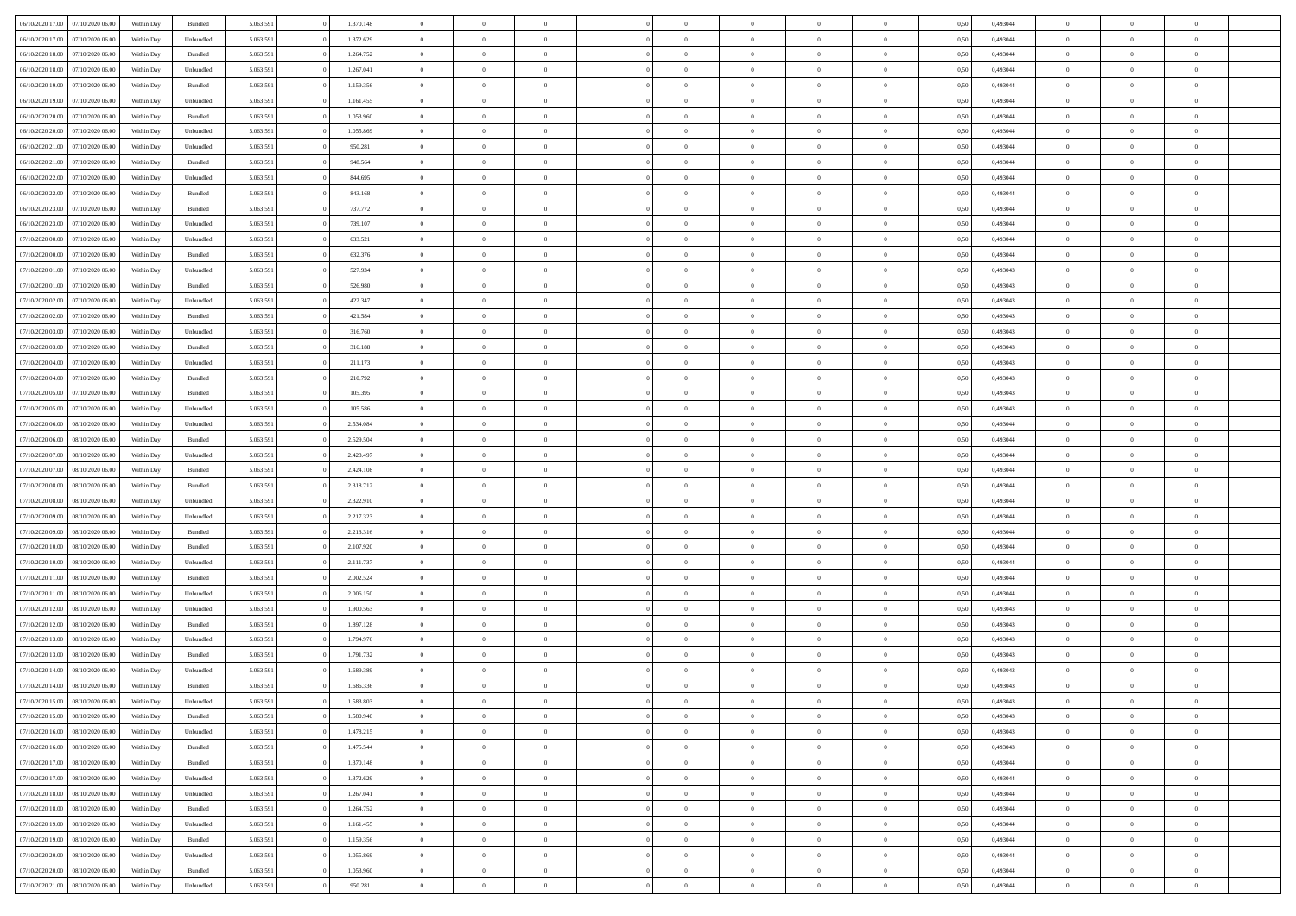| 06/10/2020 17:00                  | 07/10/2020 06.00 | Within Dav | Bundled   | 5.063.591 | 1.370.148 | $\overline{0}$ | $\Omega$       |                | $\Omega$       | $\Omega$       | $\Omega$       | $\theta$       | 0.50 | 0,493044 | $\theta$       | $\theta$       | $\theta$       |  |
|-----------------------------------|------------------|------------|-----------|-----------|-----------|----------------|----------------|----------------|----------------|----------------|----------------|----------------|------|----------|----------------|----------------|----------------|--|
| 06/10/2020 17.00                  | 07/10/2020 06.00 | Within Day | Unbundled | 5.063.591 | 1.372.629 | $\overline{0}$ | $\theta$       | $\overline{0}$ | $\overline{0}$ | $\bf{0}$       | $\overline{0}$ | $\overline{0}$ | 0,50 | 0,493044 | $\theta$       | $\theta$       | $\overline{0}$ |  |
| 06/10/2020 18:00                  | 07/10/2020 06.00 | Within Day | Bundled   | 5.063.591 | 1.264.752 | $\overline{0}$ | $\overline{0}$ | $\overline{0}$ | $\bf{0}$       | $\bf{0}$       | $\bf{0}$       | $\bf{0}$       | 0,50 | 0,493044 | $\bf{0}$       | $\overline{0}$ | $\overline{0}$ |  |
| 06/10/2020 18:00                  | 07/10/2020 06.00 | Within Dav | Unbundled | 5.063.591 | 1.267.041 | $\overline{0}$ | $\overline{0}$ | $\overline{0}$ | $\overline{0}$ | $\bf{0}$       | $\overline{0}$ | $\overline{0}$ | 0.50 | 0.493044 | $\theta$       | $\theta$       | $\overline{0}$ |  |
|                                   |                  |            |           |           |           |                |                |                |                |                |                |                |      |          |                |                |                |  |
| 06/10/2020 19:00                  | 07/10/2020 06.00 | Within Day | Bundled   | 5.063.591 | 1.159.356 | $\overline{0}$ | $\theta$       | $\overline{0}$ | $\overline{0}$ | $\bf{0}$       | $\overline{0}$ | $\bf{0}$       | 0,50 | 0,493044 | $\theta$       | $\theta$       | $\overline{0}$ |  |
| 06/10/2020 19:00                  | 07/10/2020 06.00 | Within Day | Unbundled | 5.063.591 | 1.161.455 | $\overline{0}$ | $\bf{0}$       | $\overline{0}$ | $\bf{0}$       | $\overline{0}$ | $\overline{0}$ | $\mathbf{0}$   | 0,50 | 0,493044 | $\overline{0}$ | $\overline{0}$ | $\bf{0}$       |  |
| 06/10/2020 20:00                  | 07/10/2020 06.00 | Within Dav | Bundled   | 5.063.591 | 1.053.960 | $\overline{0}$ | $\overline{0}$ | $\overline{0}$ | $\overline{0}$ | $\overline{0}$ | $\overline{0}$ | $\overline{0}$ | 0.50 | 0,493044 | $\theta$       | $\overline{0}$ | $\overline{0}$ |  |
| 06/10/2020 20.00                  | 07/10/2020 06.00 |            |           | 5.063.591 | 1.055.869 | $\overline{0}$ | $\theta$       | $\overline{0}$ | $\overline{0}$ | $\bf{0}$       | $\overline{0}$ |                |      | 0,493044 | $\theta$       | $\theta$       | $\overline{0}$ |  |
|                                   |                  | Within Day | Unbundled |           |           |                |                |                |                |                |                | $\bf{0}$       | 0,50 |          |                |                |                |  |
| 06/10/2020 21:00                  | 07/10/2020 06.00 | Within Day | Unbundled | 5.063.591 | 950.281   | $\overline{0}$ | $\overline{0}$ | $\overline{0}$ | $\bf{0}$       | $\bf{0}$       | $\bf{0}$       | $\bf{0}$       | 0,50 | 0,493044 | $\,0\,$        | $\overline{0}$ | $\overline{0}$ |  |
| 06/10/2020 21:00                  | 07/10/2020 06.00 | Within Dav | Bundled   | 5.063.591 | 948.564   | $\overline{0}$ | $\overline{0}$ | $\overline{0}$ | $\overline{0}$ | $\overline{0}$ | $\overline{0}$ | $\overline{0}$ | 0.50 | 0,493044 | $\theta$       | $\overline{0}$ | $\overline{0}$ |  |
| 06/10/2020 22.00                  | 07/10/2020 06.00 | Within Day | Unbundled | 5.063.591 | 844.695   | $\overline{0}$ | $\theta$       | $\overline{0}$ | $\overline{0}$ | $\bf{0}$       | $\overline{0}$ | $\bf{0}$       | 0,50 | 0,493044 | $\,$ 0 $\,$    | $\theta$       | $\overline{0}$ |  |
| 06/10/2020 22.00                  | 07/10/2020 06.00 | Within Day | Bundled   | 5.063.591 | 843.168   | $\overline{0}$ | $\overline{0}$ | $\overline{0}$ | $\bf{0}$       | $\bf{0}$       | $\bf{0}$       | $\bf{0}$       | 0,50 | 0,493044 | $\bf{0}$       | $\overline{0}$ | $\overline{0}$ |  |
|                                   |                  |            |           |           |           |                |                |                |                |                |                |                |      |          |                |                |                |  |
| 06/10/2020 23.00                  | 07/10/2020 06.00 | Within Day | Bundled   | 5.063.591 | 737.772   | $\overline{0}$ | $\overline{0}$ | $\overline{0}$ | $\overline{0}$ | $\bf{0}$       | $\overline{0}$ | $\overline{0}$ | 0.50 | 0,493044 | $\theta$       | $\theta$       | $\overline{0}$ |  |
| 06/10/2020 23.00                  | 07/10/2020 06.00 | Within Day | Unbundled | 5.063.591 | 739.107   | $\overline{0}$ | $\theta$       | $\overline{0}$ | $\overline{0}$ | $\bf{0}$       | $\overline{0}$ | $\bf{0}$       | 0,50 | 0,493044 | $\theta$       | $\theta$       | $\overline{0}$ |  |
| 07/10/2020 00.00                  | 07/10/2020 06.00 | Within Day | Unbundled | 5.063.591 | 633.521   | $\overline{0}$ | $\overline{0}$ | $\overline{0}$ | $\bf{0}$       | $\overline{0}$ | $\overline{0}$ | $\mathbf{0}$   | 0,50 | 0,493044 | $\bf{0}$       | $\overline{0}$ | $\bf{0}$       |  |
| 07/10/2020 00:00                  | 07/10/2020 06.00 | Within Dav | Bundled   | 5.063.591 | 632.376   | $\overline{0}$ | $\overline{0}$ | $\overline{0}$ | $\overline{0}$ | $\overline{0}$ | $\overline{0}$ | $\overline{0}$ | 0.50 | 0,493044 | $\theta$       | $\overline{0}$ | $\overline{0}$ |  |
|                                   |                  |            |           |           |           |                |                |                |                |                |                |                |      |          |                |                |                |  |
| 07/10/2020 01:00                  | 07/10/2020 06.00 | Within Day | Unbundled | 5.063.591 | 527.934   | $\overline{0}$ | $\theta$       | $\overline{0}$ | $\overline{0}$ | $\bf{0}$       | $\overline{0}$ | $\bf{0}$       | 0,50 | 0,493043 | $\theta$       | $\theta$       | $\overline{0}$ |  |
| 07/10/2020 01.00                  | 07/10/2020 06.00 | Within Day | Bundled   | 5.063.591 | 526.980   | $\overline{0}$ | $\overline{0}$ | $\overline{0}$ | $\bf{0}$       | $\bf{0}$       | $\bf{0}$       | $\bf{0}$       | 0,50 | 0,493043 | $\,0\,$        | $\overline{0}$ | $\overline{0}$ |  |
| 07/10/2020 02.00                  | 07/10/2020 06.00 | Within Day | Unbundled | 5.063.591 | 422.347   | $\overline{0}$ | $\overline{0}$ | $\overline{0}$ | $\overline{0}$ | $\overline{0}$ | $\overline{0}$ | $\overline{0}$ | 0.50 | 0,493043 | $\theta$       | $\overline{0}$ | $\overline{0}$ |  |
| 07/10/2020 02.00                  | 07/10/2020 06.00 | Within Day | Bundled   | 5.063.591 | 421.584   | $\overline{0}$ | $\theta$       | $\overline{0}$ | $\overline{0}$ | $\bf{0}$       | $\overline{0}$ | $\bf{0}$       | 0,50 | 0,493043 | $\,$ 0 $\,$    | $\theta$       | $\overline{0}$ |  |
|                                   |                  |            |           |           |           |                |                |                |                |                |                |                |      |          |                |                |                |  |
| 07/10/2020 03.00                  | 07/10/2020 06.00 | Within Day | Unbundled | 5.063.591 | 316.760   | $\overline{0}$ | $\overline{0}$ | $\overline{0}$ | $\bf{0}$       | $\bf{0}$       | $\bf{0}$       | $\bf{0}$       | 0,50 | 0,493043 | $\bf{0}$       | $\overline{0}$ | $\overline{0}$ |  |
| 07/10/2020 03:00                  | 07/10/2020 06:00 | Within Day | Bundled   | 5.063.591 | 316.188   | $\overline{0}$ | $\overline{0}$ | $\overline{0}$ | $\overline{0}$ | $\bf{0}$       | $\overline{0}$ | $\overline{0}$ | 0.50 | 0.493043 | $\theta$       | $\theta$       | $\overline{0}$ |  |
| 07/10/2020 04.00                  | 07/10/2020 06.00 | Within Day | Unbundled | 5.063.591 | 211.173   | $\overline{0}$ | $\theta$       | $\overline{0}$ | $\overline{0}$ | $\bf{0}$       | $\overline{0}$ | $\bf{0}$       | 0,50 | 0,493043 | $\theta$       | $\overline{0}$ | $\overline{0}$ |  |
| 07/10/2020 04.00                  | 07/10/2020 06.00 | Within Day | Bundled   | 5.063.591 | 210.792   | $\overline{0}$ | $\bf{0}$       | $\overline{0}$ | $\bf{0}$       | $\overline{0}$ | $\overline{0}$ | $\mathbf{0}$   | 0,50 | 0,493043 | $\bf{0}$       | $\overline{0}$ | $\bf{0}$       |  |
| 07/10/2020 05:00                  | 07/10/2020 06.00 |            | Bundled   | 5.063.591 | 105.395   | $\overline{0}$ | $\overline{0}$ | $\overline{0}$ | $\overline{0}$ | $\overline{0}$ | $\overline{0}$ | $\overline{0}$ | 0.50 | 0,493043 | $\theta$       | $\overline{0}$ | $\overline{0}$ |  |
|                                   |                  | Within Day |           |           |           |                |                |                |                |                |                |                |      |          |                |                |                |  |
| 07/10/2020 05.00                  | 07/10/2020 06.00 | Within Day | Unbundled | 5.063.591 | 105.586   | $\overline{0}$ | $\theta$       | $\overline{0}$ | $\overline{0}$ | $\bf{0}$       | $\overline{0}$ | $\bf{0}$       | 0,50 | 0,493043 | $\theta$       | $\theta$       | $\overline{0}$ |  |
| 07/10/2020 06.00                  | 08/10/2020 06.00 | Within Day | Unbundled | 5.063.591 | 2.534.084 | $\overline{0}$ | $\overline{0}$ | $\overline{0}$ | $\bf{0}$       | $\bf{0}$       | $\bf{0}$       | $\bf{0}$       | 0,50 | 0,493044 | $\,0\,$        | $\overline{0}$ | $\overline{0}$ |  |
| 07/10/2020 06.00                  | 08/10/2020 06.00 | Within Day | Bundled   | 5.063.591 | 2.529.504 | $\overline{0}$ | $\overline{0}$ | $\overline{0}$ | $\overline{0}$ | $\overline{0}$ | $\overline{0}$ | $\overline{0}$ | 0.50 | 0,493044 | $\theta$       | $\overline{0}$ | $\overline{0}$ |  |
| 07/10/2020 07.00                  | 08/10/2020 06.00 | Within Day | Unbundled | 5.063.591 | 2.428.497 | $\overline{0}$ | $\theta$       | $\overline{0}$ | $\overline{0}$ | $\bf{0}$       | $\overline{0}$ | $\bf{0}$       | 0,50 | 0,493044 | $\,$ 0 $\,$    | $\overline{0}$ | $\overline{0}$ |  |
|                                   |                  |            |           |           |           |                |                |                |                |                |                |                |      |          |                |                |                |  |
| 07/10/2020 07.00                  | 08/10/2020 06.00 | Within Day | Bundled   | 5.063.591 | 2.424.108 | $\overline{0}$ | $\overline{0}$ | $\overline{0}$ | $\bf{0}$       | $\bf{0}$       | $\bf{0}$       | $\bf{0}$       | 0,50 | 0,493044 | $\overline{0}$ | $\overline{0}$ | $\overline{0}$ |  |
| 07/10/2020 08:00                  | 08/10/2020 06:00 | Within Day | Bundled   | 5.063.591 | 2.318.712 | $\overline{0}$ | $\Omega$       | $\Omega$       | $\Omega$       | $\Omega$       | $\Omega$       | $\overline{0}$ | 0,50 | 0,493044 | $\,0\,$        | $\theta$       | $\theta$       |  |
| 07/10/2020 08:00                  | 08/10/2020 06.00 | Within Day | Unbundled | 5.063.591 | 2.322.910 | $\overline{0}$ | $\theta$       | $\overline{0}$ | $\overline{0}$ | $\bf{0}$       | $\overline{0}$ | $\bf{0}$       | 0,50 | 0,493044 | $\theta$       | $\theta$       | $\overline{0}$ |  |
| 07/10/2020 09:00                  | 08/10/2020 06:00 | Within Day | Unbundled | 5.063.591 | 2.217.323 | $\overline{0}$ | $\overline{0}$ | $\overline{0}$ | $\bf{0}$       | $\bf{0}$       | $\overline{0}$ | $\mathbf{0}$   | 0,50 | 0,493044 | $\overline{0}$ | $\overline{0}$ | $\bf{0}$       |  |
|                                   |                  |            |           |           |           |                |                |                |                |                |                |                |      |          |                |                |                |  |
| 07/10/2020 09:00                  | 08/10/2020 06:00 | Within Day | Bundled   | 5.063.591 | 2.213.316 | $\overline{0}$ | $\Omega$       | $\Omega$       | $\Omega$       | $\bf{0}$       | $\overline{0}$ | $\overline{0}$ | 0.50 | 0,493044 | $\theta$       | $\theta$       | $\theta$       |  |
| 07/10/2020 10:00                  | 08/10/2020 06.00 | Within Day | Bundled   | 5.063.591 | 2.107.920 | $\overline{0}$ | $\theta$       | $\overline{0}$ | $\overline{0}$ | $\bf{0}$       | $\overline{0}$ | $\bf{0}$       | 0,50 | 0,493044 | $\,$ 0 $\,$    | $\theta$       | $\overline{0}$ |  |
| 07/10/2020 10.00                  | 08/10/2020 06.00 | Within Day | Unbundled | 5.063.591 | 2.111.737 | $\overline{0}$ | $\overline{0}$ | $\overline{0}$ | $\bf{0}$       | $\bf{0}$       | $\bf{0}$       | $\bf{0}$       | 0,50 | 0,493044 | $\,0\,$        | $\overline{0}$ | $\overline{0}$ |  |
| 07/10/2020 11:00                  | 08/10/2020 06:00 | Within Day | Bundled   | 5.063.591 | 2.002.524 | $\overline{0}$ | $\Omega$       | $\Omega$       | $\Omega$       | $\theta$       | $\theta$       | $\overline{0}$ | 0.50 | 0,493044 | $\theta$       | $\theta$       | $\theta$       |  |
| 07/10/2020 11:00                  | 08/10/2020 06.00 | Within Day | Unbundled | 5.063.591 | 2.006.150 | $\overline{0}$ | $\theta$       | $\overline{0}$ | $\overline{0}$ | $\bf{0}$       | $\overline{0}$ | $\bf{0}$       | 0,50 | 0,493044 | $\,$ 0 $\,$    | $\overline{0}$ | $\overline{0}$ |  |
|                                   |                  |            |           |           |           |                |                |                |                |                |                |                |      |          |                |                |                |  |
| 07/10/2020 12.00                  | 08/10/2020 06:00 | Within Day | Unbundled | 5.063.591 | 1.900.563 | $\overline{0}$ | $\overline{0}$ | $\overline{0}$ | $\bf{0}$       | $\bf{0}$       | $\bf{0}$       | $\bf{0}$       | 0,50 | 0,493043 | $\overline{0}$ | $\overline{0}$ | $\overline{0}$ |  |
| 07/10/2020 12:00                  | 08/10/2020 06.00 | Within Day | Bundled   | 5.063.591 | 1.897.128 | $\overline{0}$ | $\Omega$       | $\overline{0}$ | $\Omega$       | $\Omega$       | $\overline{0}$ | $\overline{0}$ | 0,50 | 0,493043 | $\,0\,$        | $\theta$       | $\theta$       |  |
| 07/10/2020 13:00                  | 08/10/2020 06.00 | Within Day | Unbundled | 5.063.591 | 1.794.976 | $\overline{0}$ | $\theta$       | $\overline{0}$ | $\overline{0}$ | $\bf{0}$       | $\overline{0}$ | $\bf{0}$       | 0,50 | 0,493043 | $\,$ 0 $\,$    | $\overline{0}$ | $\overline{0}$ |  |
| 07/10/2020 13.00                  | 08/10/2020 06.00 | Within Day | Bundled   | 5.063.591 | 1.791.732 | $\overline{0}$ | $\overline{0}$ | $\overline{0}$ | $\bf{0}$       | $\bf{0}$       | $\bf{0}$       | $\mathbf{0}$   | 0,50 | 0,493043 | $\overline{0}$ | $\overline{0}$ | $\bf{0}$       |  |
|                                   |                  |            |           |           |           |                |                |                |                |                |                |                |      |          |                |                |                |  |
| 07/10/2020 14:00                  | 08/10/2020 06:00 | Within Day | Unbundled | 5.063.591 | 1.689.389 | $\overline{0}$ | $\Omega$       | $\Omega$       | $\Omega$       | $\Omega$       | $\Omega$       | $\overline{0}$ | 0.50 | 0,493043 | $\theta$       | $\theta$       | $\theta$       |  |
| 07/10/2020 14:00                  | 08/10/2020 06.00 | Within Day | Bundled   | 5.063.591 | 1.686.336 | $\overline{0}$ | $\,$ 0 $\,$    | $\overline{0}$ | $\bf{0}$       | $\,$ 0         | $\bf{0}$       | $\bf{0}$       | 0,50 | 0,493043 | $\,0\,$        | $\overline{0}$ | $\overline{0}$ |  |
| 07/10/2020 15:00 08/10/2020 06:00 |                  | Within Day | Unbundled | 5.063.591 | 1.583.803 | $\bf{0}$       | $\bf{0}$       |                |                |                |                |                | 0,50 | 0,493043 | $\bf{0}$       | $\overline{0}$ |                |  |
| 07/10/2020 15:00                  | 08/10/2020 06:00 | Within Day | Bundled   | 5.063.591 | 1.580.940 | $\overline{0}$ | $\overline{0}$ | $\overline{0}$ | $\Omega$       | $\overline{0}$ | $\overline{0}$ | $\overline{0}$ | 0.50 | 0.493043 | $\theta$       | $\theta$       | $\theta$       |  |
|                                   |                  |            |           |           |           |                | $\,$ 0         |                |                | $\,$ 0 $\,$    |                |                |      |          | $\,$ 0 $\,$    | $\,$ 0 $\,$    | $\,$ 0         |  |
| 07/10/2020 16.00                  | 08/10/2020 06.00 | Within Day | Unbundled | 5.063.591 | 1.478.215 | $\overline{0}$ |                | $\overline{0}$ | $\bf{0}$       |                | $\overline{0}$ | $\mathbf{0}$   | 0,50 | 0,493043 |                |                |                |  |
| 07/10/2020 16.00                  | 08/10/2020 06:00 | Within Day | Bundled   | 5.063.591 | 1.475.544 | $\overline{0}$ | $\overline{0}$ | $\overline{0}$ | $\overline{0}$ | $\overline{0}$ | $\overline{0}$ | $\mathbf{0}$   | 0,50 | 0,493043 | $\overline{0}$ | $\bf{0}$       | $\bf{0}$       |  |
| 07/10/2020 17:00                  | 08/10/2020 06:00 | Within Day | Bundled   | 5.063.591 | 1.370.148 | $\overline{0}$ | $\overline{0}$ | $\overline{0}$ | $\Omega$       | $\overline{0}$ | $\overline{0}$ | $\bf{0}$       | 0,50 | 0,493044 | $\overline{0}$ | $\theta$       | $\overline{0}$ |  |
| 07/10/2020 17.00                  | 08/10/2020 06.00 | Within Day | Unbundled | 5.063.591 | 1.372.629 | $\overline{0}$ | $\,$ 0         | $\overline{0}$ | $\overline{0}$ | $\,$ 0 $\,$    | $\overline{0}$ | $\mathbf{0}$   | 0,50 | 0,493044 | $\,$ 0 $\,$    | $\overline{0}$ | $\overline{0}$ |  |
| 07/10/2020 18.00                  | 08/10/2020 06:00 | Within Day | Unbundled | 5.063.591 | 1.267.041 | $\overline{0}$ | $\overline{0}$ | $\overline{0}$ | $\overline{0}$ | $\overline{0}$ | $\overline{0}$ | $\mathbf{0}$   | 0,50 | 0,493044 | $\overline{0}$ | $\overline{0}$ | $\bf{0}$       |  |
|                                   |                  |            |           |           |           |                |                |                |                |                |                |                |      |          |                |                |                |  |
| 07/10/2020 18:00                  | 08/10/2020 06:00 | Within Day | Bundled   | 5.063.591 | 1.264.752 | $\overline{0}$ | $\overline{0}$ | $\overline{0}$ | $\Omega$       | $\overline{0}$ | $\overline{0}$ | $\bf{0}$       | 0.50 | 0,493044 | $\overline{0}$ | $\theta$       | $\overline{0}$ |  |
| 07/10/2020 19:00                  | 08/10/2020 06.00 | Within Day | Unbundled | 5.063.591 | 1.161.455 | $\overline{0}$ | $\,$ 0         | $\overline{0}$ | $\bf{0}$       | $\bf{0}$       | $\bf{0}$       | $\bf{0}$       | 0,50 | 0,493044 | $\,$ 0 $\,$    | $\overline{0}$ | $\overline{0}$ |  |
| 07/10/2020 19:00                  | 08/10/2020 06:00 | Within Day | Bundled   | 5.063.591 | 1.159.356 | $\overline{0}$ | $\bf{0}$       | $\overline{0}$ | $\overline{0}$ | $\overline{0}$ | $\overline{0}$ | $\mathbf{0}$   | 0,50 | 0,493044 | $\overline{0}$ | $\overline{0}$ | $\bf{0}$       |  |
| 07/10/2020 20.00                  | 08/10/2020 06:00 | Within Day | Unbundled | 5.063.591 | 1.055.869 | $\overline{0}$ | $\overline{0}$ | $\overline{0}$ | $\Omega$       | $\overline{0}$ | $\overline{0}$ | $\bf{0}$       | 0.50 | 0,493044 | $\overline{0}$ | $\overline{0}$ | $\overline{0}$ |  |
|                                   |                  |            |           |           |           |                |                |                |                |                |                |                |      |          |                |                |                |  |
| 07/10/2020 20.00                  | 08/10/2020 06.00 | Within Day | Bundled   | 5.063.591 | 1.053.960 | $\overline{0}$ | $\bf{0}$       | $\overline{0}$ | $\overline{0}$ | $\bf{0}$       | $\bf{0}$       | $\bf{0}$       | 0,50 | 0,493044 | $\,$ 0 $\,$    | $\,$ 0 $\,$    | $\bf{0}$       |  |
| 07/10/2020 21.00                  | 08/10/2020 06.00 | Within Day | Unbundled | 5.063.591 | 950.281   | $\overline{0}$ | $\bf{0}$       | $\overline{0}$ | $\bf{0}$       | $\bf{0}$       | $\bf{0}$       | $\bf{0}$       | 0,50 | 0,493044 | $\overline{0}$ | $\overline{0}$ | $\bf{0}$       |  |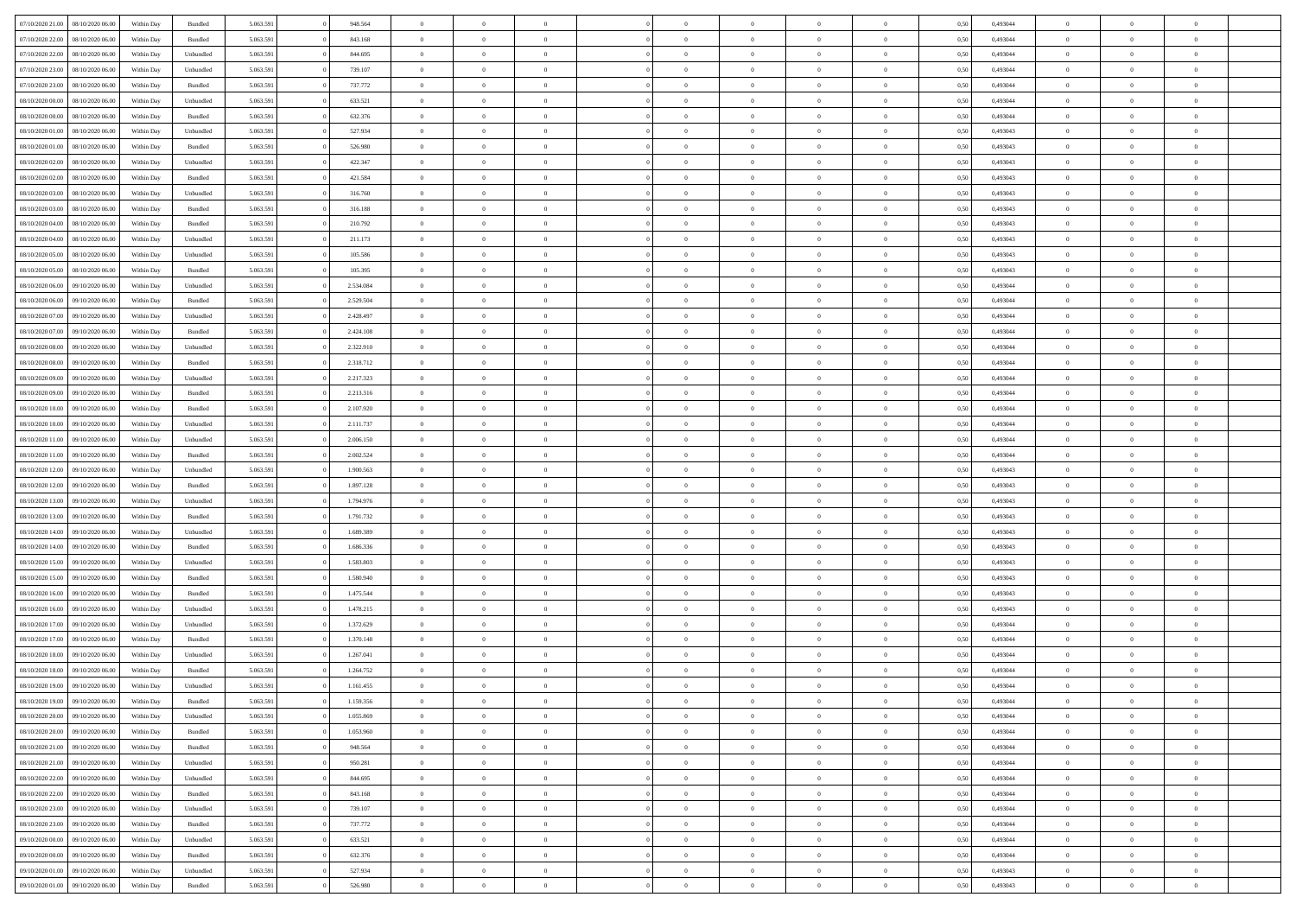| 07/10/2020 21:00                  | 08/10/2020 06:00 | Within Dav | Bundled            | 5.063.591 | 948.564   | $\overline{0}$ | $\Omega$       |                | $\Omega$       | $\Omega$       | $\theta$       | $\theta$       | 0.50 | 0,493044 | $\theta$       | $\theta$       | $\theta$       |  |
|-----------------------------------|------------------|------------|--------------------|-----------|-----------|----------------|----------------|----------------|----------------|----------------|----------------|----------------|------|----------|----------------|----------------|----------------|--|
|                                   |                  |            |                    |           |           |                |                |                |                |                |                |                |      |          |                |                |                |  |
| 07/10/2020 22.00                  | 08/10/2020 06.00 | Within Day | Bundled            | 5.063.591 | 843.168   | $\overline{0}$ | $\theta$       | $\overline{0}$ | $\overline{0}$ | $\bf{0}$       | $\overline{0}$ | $\overline{0}$ | 0,50 | 0,493044 | $\theta$       | $\overline{0}$ | $\overline{0}$ |  |
| 07/10/2020 22.00                  | 08/10/2020 06.00 | Within Day | Unbundled          | 5.063.591 | 844.695   | $\overline{0}$ | $\overline{0}$ | $\overline{0}$ | $\bf{0}$       | $\bf{0}$       | $\bf{0}$       | $\bf{0}$       | 0,50 | 0,493044 | $\bf{0}$       | $\overline{0}$ | $\overline{0}$ |  |
|                                   |                  |            |                    |           |           |                |                |                |                |                |                |                |      |          | $\theta$       |                |                |  |
| 07/10/2020 23.00                  | 08/10/2020 06:00 | Within Dav | Unbundled          | 5.063.591 | 739.107   | $\overline{0}$ | $\overline{0}$ | $\overline{0}$ | $\overline{0}$ | $\bf{0}$       | $\overline{0}$ | $\overline{0}$ | 0.50 | 0.493044 |                | $\theta$       | $\overline{0}$ |  |
| 07/10/2020 23.00                  | 08/10/2020 06.00 | Within Day | Bundled            | 5.063.591 | 737.772   | $\overline{0}$ | $\theta$       | $\overline{0}$ | $\overline{0}$ | $\bf{0}$       | $\overline{0}$ | $\bf{0}$       | 0,50 | 0,493044 | $\theta$       | $\theta$       | $\overline{0}$ |  |
| 08/10/2020 00.00                  | 08/10/2020 06.00 | Within Day | Unbundled          | 5.063.591 | 633.521   | $\overline{0}$ | $\bf{0}$       | $\overline{0}$ | $\bf{0}$       | $\overline{0}$ | $\overline{0}$ | $\mathbf{0}$   | 0,50 | 0,493044 | $\bf{0}$       | $\overline{0}$ | $\bf{0}$       |  |
| 08/10/2020 00:00                  | 08/10/2020 06.00 | Within Dav | Bundled            | 5.063.591 | 632.376   | $\overline{0}$ | $\overline{0}$ | $\overline{0}$ | $\overline{0}$ | $\overline{0}$ | $\overline{0}$ | $\overline{0}$ | 0.50 | 0,493044 | $\theta$       | $\overline{0}$ | $\overline{0}$ |  |
|                                   |                  |            |                    |           |           |                |                |                |                |                |                |                |      |          |                |                |                |  |
| 08/10/2020 01:00                  | 08/10/2020 06.00 | Within Day | Unbundled          | 5.063.591 | 527.934   | $\overline{0}$ | $\theta$       | $\overline{0}$ | $\overline{0}$ | $\bf{0}$       | $\overline{0}$ | $\bf{0}$       | 0,50 | 0,493043 | $\theta$       | $\theta$       | $\overline{0}$ |  |
| 08/10/2020 01:00                  | 08/10/2020 06.00 | Within Day | Bundled            | 5.063.591 | 526.980   | $\overline{0}$ | $\overline{0}$ | $\overline{0}$ | $\bf{0}$       | $\bf{0}$       | $\bf{0}$       | $\bf{0}$       | 0,50 | 0,493043 | $\,0\,$        | $\overline{0}$ | $\overline{0}$ |  |
| 08/10/2020 02:00                  | 08/10/2020 06:00 | Within Dav | Unbundled          | 5.063.591 | 422.347   | $\overline{0}$ | $\overline{0}$ | $\overline{0}$ | $\overline{0}$ | $\overline{0}$ | $\overline{0}$ | $\overline{0}$ | 0.50 | 0,493043 | $\theta$       | $\overline{0}$ | $\overline{0}$ |  |
|                                   |                  |            |                    |           |           |                |                |                |                |                |                |                |      |          |                |                |                |  |
| 08/10/2020 02.00                  | 08/10/2020 06.00 | Within Day | Bundled            | 5.063.591 | 421.584   | $\overline{0}$ | $\theta$       | $\overline{0}$ | $\overline{0}$ | $\bf{0}$       | $\overline{0}$ | $\bf{0}$       | 0,50 | 0,493043 | $\,$ 0 $\,$    | $\theta$       | $\overline{0}$ |  |
| 08/10/2020 03.00                  | 08/10/2020 06:00 | Within Day | Unbundled          | 5.063.591 | 316.760   | $\overline{0}$ | $\overline{0}$ | $\overline{0}$ | $\bf{0}$       | $\bf{0}$       | $\bf{0}$       | $\bf{0}$       | 0,50 | 0,493043 | $\bf{0}$       | $\overline{0}$ | $\overline{0}$ |  |
| 08/10/2020 03:00                  | 08/10/2020 06:00 | Within Dav | Bundled            | 5.063.591 | 316.188   | $\overline{0}$ | $\overline{0}$ | $\overline{0}$ | $\overline{0}$ | $\bf{0}$       | $\overline{0}$ | $\overline{0}$ | 0.50 | 0,493043 | $\theta$       | $\theta$       | $\overline{0}$ |  |
|                                   |                  |            |                    |           |           |                |                |                |                |                |                |                |      |          |                |                |                |  |
| 08/10/2020 04:00                  | 08/10/2020 06.00 | Within Day | Bundled            | 5.063.591 | 210.792   | $\overline{0}$ | $\theta$       | $\overline{0}$ | $\overline{0}$ | $\bf{0}$       | $\overline{0}$ | $\overline{0}$ | 0,50 | 0,493043 | $\theta$       | $\overline{0}$ | $\overline{0}$ |  |
| 08/10/2020 04.00                  | 08/10/2020 06.00 | Within Day | Unbundled          | 5.063.591 | 211.173   | $\overline{0}$ | $\bf{0}$       | $\overline{0}$ | $\bf{0}$       | $\overline{0}$ | $\overline{0}$ | $\mathbf{0}$   | 0,50 | 0,493043 | $\bf{0}$       | $\overline{0}$ | $\bf{0}$       |  |
| 08/10/2020 05:00                  | 08/10/2020 06:00 | Within Dav | Unbundled          | 5.063.591 | 105.586   | $\overline{0}$ | $\overline{0}$ | $\overline{0}$ | $\overline{0}$ | $\overline{0}$ | $\overline{0}$ | $\overline{0}$ | 0.50 | 0,493043 | $\theta$       | $\overline{0}$ | $\overline{0}$ |  |
| 08/10/2020 05:00                  | 08/10/2020 06.00 | Within Day | Bundled            | 5.063.591 | 105.395   | $\overline{0}$ | $\theta$       | $\overline{0}$ | $\overline{0}$ | $\bf{0}$       | $\overline{0}$ | $\bf{0}$       | 0,50 | 0,493043 | $\theta$       | $\theta$       | $\overline{0}$ |  |
|                                   |                  |            |                    |           |           |                |                |                |                |                |                |                |      |          |                |                |                |  |
| 08/10/2020 06.00                  | 09/10/2020 06.00 | Within Day | Unbundled          | 5.063.591 | 2.534.084 | $\overline{0}$ | $\overline{0}$ | $\overline{0}$ | $\bf{0}$       | $\bf{0}$       | $\bf{0}$       | $\bf{0}$       | 0,50 | 0,493044 | $\,0\,$        | $\overline{0}$ | $\overline{0}$ |  |
| 08/10/2020 06:00                  | 09/10/2020 06:00 | Within Dav | Bundled            | 5.063.591 | 2.529.504 | $\overline{0}$ | $\overline{0}$ | $\overline{0}$ | $\overline{0}$ | $\overline{0}$ | $\overline{0}$ | $\overline{0}$ | 0.50 | 0,493044 | $\theta$       | $\overline{0}$ | $\overline{0}$ |  |
| 08/10/2020 07.00                  | 09/10/2020 06.00 | Within Day | Unbundled          | 5.063.591 | 2.428.497 | $\overline{0}$ | $\theta$       | $\overline{0}$ | $\overline{0}$ | $\bf{0}$       | $\overline{0}$ | $\bf{0}$       | 0,50 | 0,493044 | $\,$ 0 $\,$    | $\theta$       | $\overline{0}$ |  |
|                                   |                  |            |                    |           |           |                |                |                |                |                |                |                |      |          |                |                |                |  |
| 08/10/2020 07.00                  | 09/10/2020 06.00 | Within Day | Bundled            | 5.063.591 | 2.424.108 | $\overline{0}$ | $\overline{0}$ | $\overline{0}$ | $\bf{0}$       | $\bf{0}$       | $\bf{0}$       | $\bf{0}$       | 0,50 | 0,493044 | $\bf{0}$       | $\overline{0}$ | $\overline{0}$ |  |
| 08/10/2020 08:00                  | 09/10/2020 06:00 | Within Day | Unbundled          | 5.063.591 | 2.322.910 | $\overline{0}$ | $\overline{0}$ | $\overline{0}$ | $\overline{0}$ | $\bf{0}$       | $\overline{0}$ | $\overline{0}$ | 0.50 | 0.493044 | $\theta$       | $\overline{0}$ | $\overline{0}$ |  |
| 08/10/2020 08:00                  | 09/10/2020 06.00 | Within Day | Bundled            | 5.063.591 | 2.318.712 | $\overline{0}$ | $\theta$       | $\overline{0}$ | $\overline{0}$ | $\bf{0}$       | $\overline{0}$ | $\bf{0}$       | 0,50 | 0,493044 | $\,$ 0 $\,$    | $\overline{0}$ | $\overline{0}$ |  |
|                                   |                  |            |                    |           |           |                | $\bf{0}$       |                |                |                |                |                |      |          |                | $\overline{0}$ | $\bf{0}$       |  |
| 08/10/2020 09:00                  | 09/10/2020 06.00 | Within Day | Unbundled          | 5.063.591 | 2.217.323 | $\overline{0}$ |                | $\overline{0}$ | $\bf{0}$       | $\overline{0}$ | $\overline{0}$ | $\mathbf{0}$   | 0,50 | 0,493044 | $\bf{0}$       |                |                |  |
| 08/10/2020 09:00                  | 09/10/2020 06.00 | Within Dav | Bundled            | 5.063.591 | 2.213.316 | $\overline{0}$ | $\overline{0}$ | $\overline{0}$ | $\overline{0}$ | $\overline{0}$ | $\overline{0}$ | $\overline{0}$ | 0.50 | 0,493044 | $\overline{0}$ | $\overline{0}$ | $\overline{0}$ |  |
| 08/10/2020 10:00                  | 09/10/2020 06.00 | Within Day | Bundled            | 5.063.591 | 2.107.920 | $\overline{0}$ | $\theta$       | $\overline{0}$ | $\overline{0}$ | $\bf{0}$       | $\overline{0}$ | $\bf{0}$       | 0,50 | 0,493044 | $\theta$       | $\theta$       | $\overline{0}$ |  |
| 08/10/2020 10:00                  | 09/10/2020 06.00 | Within Day | Unbundled          | 5.063.591 | 2.111.737 | $\overline{0}$ | $\overline{0}$ | $\overline{0}$ | $\bf{0}$       | $\bf{0}$       | $\bf{0}$       | $\bf{0}$       | 0,50 | 0,493044 | $\,0\,$        | $\overline{0}$ | $\overline{0}$ |  |
|                                   |                  |            |                    |           |           |                |                |                |                |                |                |                |      |          |                |                |                |  |
| 08/10/2020 11:00                  | 09/10/2020 06:00 | Within Day | Unbundled          | 5.063.591 | 2.006.150 | $\overline{0}$ | $\overline{0}$ | $\overline{0}$ | $\overline{0}$ | $\overline{0}$ | $\overline{0}$ | $\overline{0}$ | 0.50 | 0,493044 | $\theta$       | $\overline{0}$ | $\overline{0}$ |  |
| 08/10/2020 11:00                  | 09/10/2020 06.00 | Within Day | Bundled            | 5.063.591 | 2.002.524 | $\overline{0}$ | $\theta$       | $\overline{0}$ | $\overline{0}$ | $\bf{0}$       | $\overline{0}$ | $\bf{0}$       | 0,50 | 0,493044 | $\,$ 0 $\,$    | $\overline{0}$ | $\overline{0}$ |  |
| 08/10/2020 12.00                  | 09/10/2020 06.00 | Within Day | Unbundled          | 5.063.591 | 1.900.563 | $\overline{0}$ | $\overline{0}$ | $\overline{0}$ | $\bf{0}$       | $\bf{0}$       | $\bf{0}$       | $\bf{0}$       | 0,50 | 0,493043 | $\bf{0}$       | $\overline{0}$ | $\overline{0}$ |  |
|                                   |                  |            |                    |           |           |                |                |                |                |                |                |                |      |          |                |                |                |  |
| 08/10/2020 12:00                  | 09/10/2020 06.00 | Within Day | Bundled            | 5.063.591 | 1.897.128 | $\overline{0}$ | $\Omega$       | $\Omega$       | $\Omega$       | $\Omega$       | $\Omega$       | $\overline{0}$ | 0,50 | 0,493043 | $\,0\,$        | $\theta$       | $\theta$       |  |
| 08/10/2020 13:00                  | 09/10/2020 06.00 | Within Day | Unbundled          | 5.063.591 | 1.794.976 | $\overline{0}$ | $\theta$       | $\overline{0}$ | $\overline{0}$ | $\bf{0}$       | $\overline{0}$ | $\bf{0}$       | 0,50 | 0,493043 | $\theta$       | $\theta$       | $\overline{0}$ |  |
| 08/10/2020 13:00                  | 09/10/2020 06.00 | Within Day | Bundled            | 5.063.591 | 1.791.732 | $\overline{0}$ | $\overline{0}$ | $\overline{0}$ | $\bf{0}$       | $\bf{0}$       | $\overline{0}$ | $\mathbf{0}$   | 0,50 | 0,493043 | $\overline{0}$ | $\overline{0}$ | $\bf{0}$       |  |
| 08/10/2020 14:00                  | 09/10/2020 06:00 | Within Day | Unbundled          | 5.063.591 | 1.689.389 | $\overline{0}$ | $\Omega$       | $\Omega$       | $\Omega$       | $\bf{0}$       | $\overline{0}$ | $\overline{0}$ | 0.50 | 0,493043 | $\theta$       | $\theta$       | $\theta$       |  |
|                                   |                  |            |                    |           |           |                |                |                |                |                |                |                |      |          |                |                |                |  |
| 08/10/2020 14:00                  | 09/10/2020 06.00 | Within Day | Bundled            | 5.063.591 | 1.686.336 | $\overline{0}$ | $\theta$       | $\overline{0}$ | $\overline{0}$ | $\bf{0}$       | $\overline{0}$ | $\bf{0}$       | 0,50 | 0,493043 | $\,$ 0 $\,$    | $\theta$       | $\overline{0}$ |  |
| 08/10/2020 15:00                  | 09/10/2020 06.00 | Within Day | Unbundled          | 5.063.591 | 1.583.803 | $\overline{0}$ | $\overline{0}$ | $\overline{0}$ | $\bf{0}$       | $\bf{0}$       | $\bf{0}$       | $\bf{0}$       | 0,50 | 0,493043 | $\,0\,$        | $\overline{0}$ | $\overline{0}$ |  |
| 08/10/2020 15:00                  | 09/10/2020 06:00 | Within Day | Bundled            | 5.063.591 | 1.580.940 | $\overline{0}$ | $\Omega$       | $\Omega$       | $\Omega$       | $\theta$       | $\theta$       | $\overline{0}$ | 0.50 | 0,493043 | $\theta$       | $\theta$       | $\theta$       |  |
| 08/10/2020 16:00                  | 09/10/2020 06.00 |            |                    | 5.063.591 | 1.475.544 | $\overline{0}$ | $\theta$       | $\overline{0}$ | $\overline{0}$ | $\bf{0}$       | $\overline{0}$ |                |      | 0,493043 | $\,$ 0 $\,$    | $\overline{0}$ | $\overline{0}$ |  |
|                                   |                  | Within Day | Bundled            |           |           |                |                |                |                |                |                | $\bf{0}$       | 0,50 |          |                |                |                |  |
| 08/10/2020 16.00                  | 09/10/2020 06.00 | Within Day | Unbundled          | 5.063.591 | 1.478.215 | $\overline{0}$ | $\overline{0}$ | $\overline{0}$ | $\bf{0}$       | $\bf{0}$       | $\bf{0}$       | $\bf{0}$       | 0,50 | 0,493043 | $\overline{0}$ | $\overline{0}$ | $\overline{0}$ |  |
| 08/10/2020 17:00                  | 09/10/2020 06.00 | Within Day | Unbundled          | 5.063.591 | 1.372.629 | $\overline{0}$ | $\Omega$       | $\Omega$       | $\Omega$       | $\Omega$       | $\overline{0}$ | $\overline{0}$ | 0,50 | 0,493044 | $\,0\,$        | $\theta$       | $\theta$       |  |
| 08/10/2020 17:00                  | 09/10/2020 06.00 | Within Day | Bundled            | 5.063.591 | 1.370.148 | $\overline{0}$ | $\theta$       | $\overline{0}$ | $\overline{0}$ | $\bf{0}$       | $\overline{0}$ | $\bf{0}$       | 0,50 | 0,493044 | $\,$ 0 $\,$    | $\overline{0}$ | $\overline{0}$ |  |
|                                   |                  |            |                    |           |           |                |                |                |                |                |                |                |      |          |                |                |                |  |
| 08/10/2020 18:00                  | 09/10/2020 06.00 | Within Day | Unbundled          | 5.063.591 | 1.267.041 | $\overline{0}$ | $\overline{0}$ | $\overline{0}$ | $\bf{0}$       | $\bf{0}$       | $\bf{0}$       | $\mathbf{0}$   | 0,50 | 0,493044 | $\bf{0}$       | $\overline{0}$ | $\bf{0}$       |  |
| 08/10/2020 18:00                  | 09/10/2020 06:00 | Within Day | Bundled            | 5.063.591 | 1.264.752 | $\overline{0}$ | $\Omega$       | $\Omega$       | $\Omega$       | $\Omega$       | $\Omega$       | $\Omega$       | 0.50 | 0.493044 | $\theta$       | $\theta$       | $\theta$       |  |
| 08/10/2020 19:00                  | 09/10/2020 06.00 | Within Day | Unbundled          | 5.063.591 | 1.161.455 | $\overline{0}$ | $\overline{0}$ | $\overline{0}$ | $\bf{0}$       | $\,$ 0         | $\bf{0}$       | $\bf{0}$       | 0,50 | 0,493044 | $\,0\,$        | $\overline{0}$ | $\overline{0}$ |  |
| 08/10/2020 19:00 09/10/2020 06:00 |                  | Within Day | $\mathbf B$ undled | 5.063.591 | 1.159.356 | $\bf{0}$       | $\bf{0}$       |                |                |                |                |                | 0,50 | 0,493044 | $\bf{0}$       | $\overline{0}$ |                |  |
|                                   |                  |            |                    |           |           |                |                |                |                |                |                |                |      |          |                |                |                |  |
| 08/10/2020 20:00                  | 09/10/2020 06:00 | Within Day | Unbundled          | 5.063.591 | 1.055.869 | $\overline{0}$ | $\overline{0}$ | $\overline{0}$ | $\Omega$       | $\overline{0}$ | $\overline{0}$ | $\overline{0}$ | 0,50 | 0,493044 | $\theta$       | $\theta$       | $\theta$       |  |
| 08/10/2020 20:00                  | 09/10/2020 06.00 | Within Day | Bundled            | 5.063.591 | 1.053.960 | $\overline{0}$ | $\bf{0}$       | $\overline{0}$ | $\bf{0}$       | $\,$ 0 $\,$    | $\overline{0}$ | $\,$ 0 $\,$    | 0,50 | 0,493044 | $\,$ 0 $\,$    | $\,$ 0 $\,$    | $\,$ 0         |  |
| 08/10/2020 21.00                  | 09/10/2020 06.00 | Within Day | Bundled            | 5.063.591 | 948.564   | $\overline{0}$ | $\overline{0}$ | $\overline{0}$ | $\overline{0}$ | $\overline{0}$ | $\overline{0}$ | $\mathbf{0}$   | 0,50 | 0,493044 | $\overline{0}$ | $\bf{0}$       | $\overline{0}$ |  |
|                                   |                  |            |                    |           |           |                |                |                |                |                |                |                |      |          |                |                |                |  |
| 08/10/2020 21:00                  | 09/10/2020 06.00 | Within Day | Unbundled          | 5.063.591 | 950.281   | $\overline{0}$ | $\overline{0}$ | $\overline{0}$ | $\Omega$       | $\overline{0}$ | $\overline{0}$ | $\overline{0}$ | 0,50 | 0,493044 | $\bf{0}$       | $\theta$       | $\overline{0}$ |  |
| 08/10/2020 22.00                  | 09/10/2020 06.00 | Within Day | Unbundled          | 5.063.591 | 844.695   | $\overline{0}$ | $\,$ 0         | $\overline{0}$ | $\bf{0}$       | $\,$ 0 $\,$    | $\overline{0}$ | $\mathbf{0}$   | 0,50 | 0,493044 | $\,$ 0 $\,$    | $\overline{0}$ | $\,$ 0         |  |
| 08/10/2020 22.00                  | 09/10/2020 06.00 | Within Day | Bundled            | 5.063.591 | 843.168   | $\overline{0}$ | $\overline{0}$ | $\overline{0}$ | $\overline{0}$ | $\overline{0}$ | $\overline{0}$ | $\mathbf{0}$   | 0,50 | 0,493044 | $\overline{0}$ | $\overline{0}$ | $\overline{0}$ |  |
|                                   | 09/10/2020 06:00 |            |                    |           |           |                | $\overline{0}$ | $\overline{0}$ |                | $\overline{0}$ | $\overline{0}$ |                | 0.50 |          |                | $\theta$       | $\overline{0}$ |  |
| 08/10/2020 23.00                  |                  | Within Day | Unbundled          | 5.063.591 | 739.107   | $\overline{0}$ |                |                | $\overline{0}$ |                |                | $\overline{0}$ |      | 0,493044 | $\overline{0}$ |                |                |  |
| 08/10/2020 23.00                  | 09/10/2020 06.00 | Within Day | Bundled            | 5.063.591 | 737.772   | $\overline{0}$ | $\,$ 0         | $\overline{0}$ | $\bf{0}$       | $\bf{0}$       | $\bf{0}$       | $\bf{0}$       | 0,50 | 0,493044 | $\,$ 0 $\,$    | $\overline{0}$ | $\overline{0}$ |  |
| 09/10/2020 00:00                  | 09/10/2020 06.00 | Within Day | Unbundled          | 5.063.591 | 633.521   | $\overline{0}$ | $\bf{0}$       | $\overline{0}$ | $\overline{0}$ | $\overline{0}$ | $\overline{0}$ | $\mathbf{0}$   | 0,50 | 0,493044 | $\overline{0}$ | $\overline{0}$ | $\bf{0}$       |  |
| 09/10/2020 00:00                  | 09/10/2020 06:00 | Within Day | Bundled            | 5.063.591 | 632.376   | $\overline{0}$ | $\overline{0}$ | $\overline{0}$ | $\Omega$       | $\overline{0}$ | $\overline{0}$ | $\overline{0}$ | 0.50 | 0,493044 | $\overline{0}$ | $\overline{0}$ | $\overline{0}$ |  |
|                                   |                  |            |                    |           |           |                |                |                |                |                |                |                |      |          |                |                |                |  |
| 09/10/2020 01:00                  | 09/10/2020 06.00 | Within Day | Unbundled          | 5.063.591 | 527.934   | $\overline{0}$ | $\bf{0}$       | $\overline{0}$ | $\bf{0}$       | $\bf{0}$       | $\bf{0}$       | $\mathbf{0}$   | 0,50 | 0,493043 | $\,$ 0 $\,$    | $\,$ 0 $\,$    | $\bf{0}$       |  |
| 09/10/2020 01.00                  | 09/10/2020 06.00 | Within Day | Bundled            | 5.063.591 | 526.980   | $\overline{0}$ | $\overline{0}$ | $\overline{0}$ | $\overline{0}$ | $\overline{0}$ | $\bf{0}$       | $\mathbf{0}$   | 0,50 | 0,493043 | $\overline{0}$ | $\bf{0}$       | $\overline{0}$ |  |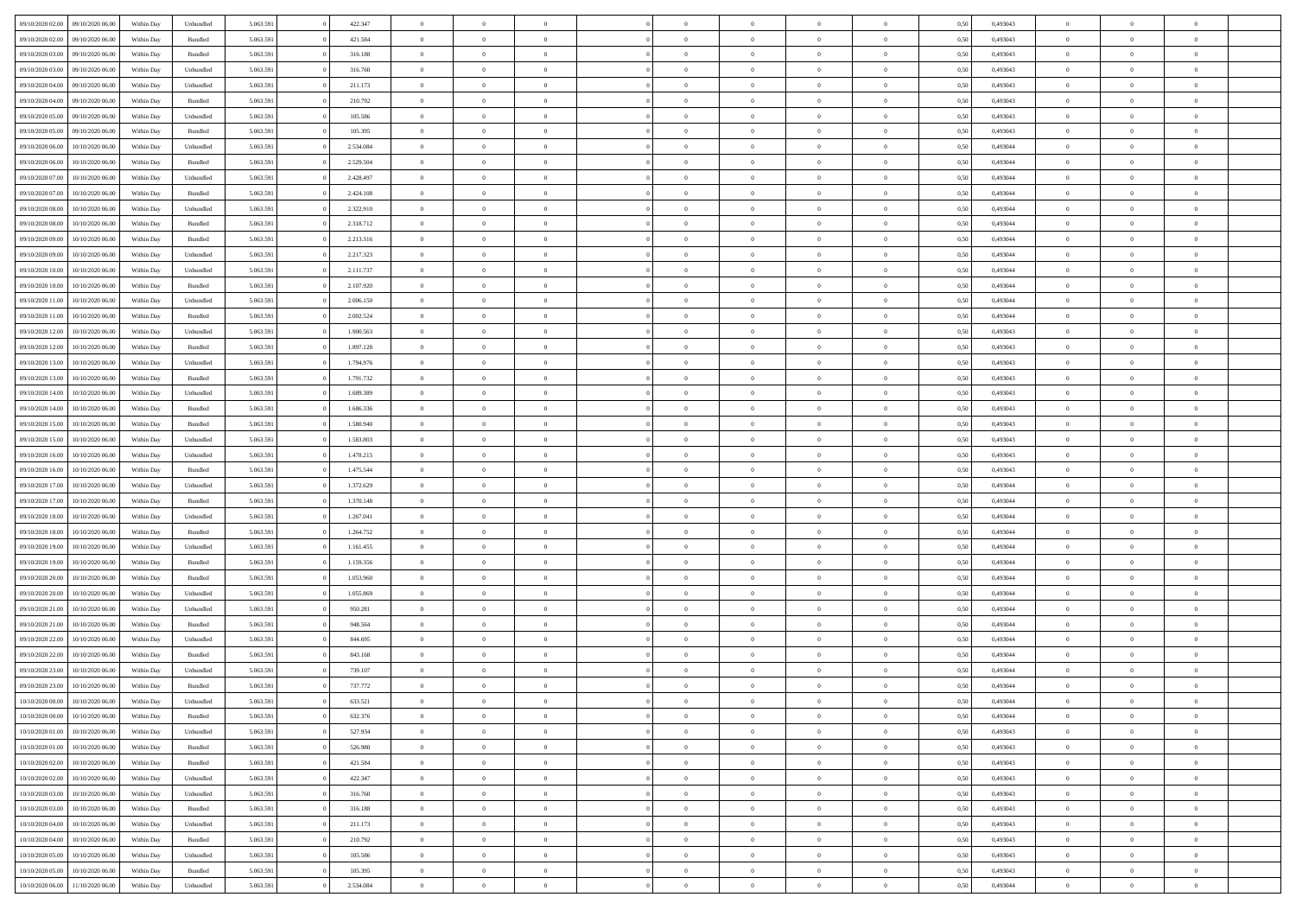|                  |                  |            |                    |           |           | $\overline{0}$ | $\Omega$       |                |                | $\Omega$       | $\Omega$       | $\theta$       |      |          | $\theta$       |                | $\theta$       |  |
|------------------|------------------|------------|--------------------|-----------|-----------|----------------|----------------|----------------|----------------|----------------|----------------|----------------|------|----------|----------------|----------------|----------------|--|
| 09/10/2020 02.00 | 09/10/2020 06:00 | Within Dav | Unbundled          | 5.063.591 | 422.347   |                |                |                | $\Omega$       |                |                |                | 0.50 | 0,493043 |                | $\theta$       |                |  |
| 09/10/2020 02.00 | 09/10/2020 06.00 | Within Day | Bundled            | 5.063.591 | 421.584   | $\overline{0}$ | $\theta$       | $\overline{0}$ | $\overline{0}$ | $\bf{0}$       | $\overline{0}$ | $\overline{0}$ | 0,50 | 0,493043 | $\theta$       | $\overline{0}$ | $\overline{0}$ |  |
| 09/10/2020 03.00 | 09/10/2020 06.00 | Within Day | Bundled            | 5.063.591 | 316.188   | $\overline{0}$ | $\overline{0}$ | $\overline{0}$ | $\bf{0}$       | $\bf{0}$       | $\bf{0}$       | $\bf{0}$       | 0,50 | 0,493043 | $\bf{0}$       | $\overline{0}$ | $\overline{0}$ |  |
| 09/10/2020 03:00 | 09/10/2020 06:00 | Within Dav | Unbundled          | 5.063.591 | 316.760   | $\overline{0}$ | $\overline{0}$ | $\overline{0}$ | $\overline{0}$ | $\bf{0}$       | $\overline{0}$ | $\overline{0}$ | 0.50 | 0,493043 | $\theta$       | $\theta$       | $\overline{0}$ |  |
|                  |                  |            |                    |           |           |                |                |                |                |                |                |                |      |          |                |                |                |  |
| 09/10/2020 04.00 | 09/10/2020 06.00 | Within Day | Unbundled          | 5.063.591 | 211.173   | $\overline{0}$ | $\theta$       | $\overline{0}$ | $\overline{0}$ | $\bf{0}$       | $\overline{0}$ | $\bf{0}$       | 0,50 | 0,493043 | $\theta$       | $\theta$       | $\overline{0}$ |  |
| 09/10/2020 04.00 | 09/10/2020 06.00 | Within Day | Bundled            | 5.063.591 | 210.792   | $\overline{0}$ | $\bf{0}$       | $\overline{0}$ | $\bf{0}$       | $\overline{0}$ | $\overline{0}$ | $\mathbf{0}$   | 0,50 | 0,493043 | $\bf{0}$       | $\overline{0}$ | $\bf{0}$       |  |
| 09/10/2020 05:00 | 09/10/2020 06:00 | Within Dav | Unbundled          | 5.063.591 | 105.586   | $\overline{0}$ | $\overline{0}$ | $\overline{0}$ | $\overline{0}$ | $\overline{0}$ | $\overline{0}$ | $\overline{0}$ | 0.50 | 0,493043 | $\theta$       | $\overline{0}$ | $\overline{0}$ |  |
| 09/10/2020 05.00 | 09/10/2020 06.00 | Within Day | Bundled            | 5.063.591 | 105.395   | $\overline{0}$ | $\theta$       | $\overline{0}$ | $\overline{0}$ | $\bf{0}$       | $\overline{0}$ | $\bf{0}$       | 0,50 | 0,493043 | $\theta$       | $\theta$       | $\overline{0}$ |  |
|                  |                  |            |                    |           |           |                | $\overline{0}$ |                |                | $\bf{0}$       |                |                |      |          | $\,0\,$        | $\overline{0}$ | $\overline{0}$ |  |
| 09/10/2020 06:00 | 10/10/2020 06:00 | Within Day | Unbundled          | 5.063.591 | 2.534.084 | $\overline{0}$ |                | $\overline{0}$ | $\bf{0}$       |                | $\bf{0}$       | $\bf{0}$       | 0,50 | 0,493044 |                |                |                |  |
| 09/10/2020 06:00 | 10/10/2020 06:00 | Within Dav | Bundled            | 5.063.591 | 2.529.504 | $\overline{0}$ | $\overline{0}$ | $\overline{0}$ | $\overline{0}$ | $\overline{0}$ | $\overline{0}$ | $\overline{0}$ | 0.50 | 0,493044 | $\theta$       | $\overline{0}$ | $\overline{0}$ |  |
| 09/10/2020 07.00 | 10/10/2020 06:00 | Within Day | Unbundled          | 5.063.591 | 2.428.497 | $\overline{0}$ | $\theta$       | $\overline{0}$ | $\overline{0}$ | $\bf{0}$       | $\overline{0}$ | $\bf{0}$       | 0,50 | 0,493044 | $\,$ 0 $\,$    | $\theta$       | $\overline{0}$ |  |
| 09/10/2020 07:00 | 10/10/2020 06:00 | Within Day | Bundled            | 5.063.591 | 2.424.108 | $\overline{0}$ | $\overline{0}$ | $\overline{0}$ | $\bf{0}$       | $\bf{0}$       | $\bf{0}$       | $\bf{0}$       | 0,50 | 0,493044 | $\bf{0}$       | $\overline{0}$ | $\overline{0}$ |  |
| 09/10/2020 08:00 | 10/10/2020 06:00 | Within Dav | Unbundled          | 5.063.591 | 2.322.910 | $\overline{0}$ | $\overline{0}$ | $\overline{0}$ | $\overline{0}$ | $\bf{0}$       | $\overline{0}$ | $\overline{0}$ | 0.50 | 0,493044 | $\theta$       | $\theta$       | $\overline{0}$ |  |
|                  |                  |            |                    |           |           |                |                |                |                |                |                |                |      |          |                |                |                |  |
| 09/10/2020 08:00 | 10/10/2020 06:00 | Within Day | Bundled            | 5.063.591 | 2.318.712 | $\overline{0}$ | $\theta$       | $\overline{0}$ | $\overline{0}$ | $\bf{0}$       | $\overline{0}$ | $\overline{0}$ | 0,50 | 0,493044 | $\theta$       | $\overline{0}$ | $\overline{0}$ |  |
| 09/10/2020 09:00 | 10/10/2020 06:00 | Within Day | Bundled            | 5.063.591 | 2.213.316 | $\overline{0}$ | $\bf{0}$       | $\overline{0}$ | $\bf{0}$       | $\overline{0}$ | $\overline{0}$ | $\mathbf{0}$   | 0,50 | 0,493044 | $\bf{0}$       | $\overline{0}$ | $\bf{0}$       |  |
| 09/10/2020 09:00 | 10/10/2020 06:00 | Within Dav | Unbundled          | 5.063.591 | 2.217.323 | $\overline{0}$ | $\overline{0}$ | $\overline{0}$ | $\overline{0}$ | $\overline{0}$ | $\overline{0}$ | $\overline{0}$ | 0.50 | 0,493044 | $\theta$       | $\overline{0}$ | $\overline{0}$ |  |
| 09/10/2020 10:00 | 10/10/2020 06:00 | Within Day | Unbundled          | 5.063.591 | 2.111.737 | $\overline{0}$ | $\theta$       | $\overline{0}$ | $\overline{0}$ | $\bf{0}$       | $\overline{0}$ | $\bf{0}$       | 0,50 | 0,493044 | $\theta$       | $\theta$       | $\overline{0}$ |  |
| 09/10/2020 10:00 | 10/10/2020 06:00 | Within Day | Bundled            | 5.063.591 | 2.107.920 | $\overline{0}$ | $\overline{0}$ | $\overline{0}$ | $\bf{0}$       | $\bf{0}$       | $\bf{0}$       | $\bf{0}$       | 0,50 | 0,493044 | $\,0\,$        | $\overline{0}$ | $\overline{0}$ |  |
|                  |                  |            |                    |           |           |                |                |                |                |                |                |                |      |          |                |                |                |  |
| 09/10/2020 11:00 | 10/10/2020 06:00 | Within Dav | Unbundled          | 5.063.591 | 2.006.150 | $\overline{0}$ | $\overline{0}$ | $\overline{0}$ | $\overline{0}$ | $\overline{0}$ | $\overline{0}$ | $\overline{0}$ | 0.50 | 0,493044 | $\theta$       | $\overline{0}$ | $\overline{0}$ |  |
| 09/10/2020 11:00 | 10/10/2020 06:00 | Within Day | Bundled            | 5.063.591 | 2.002.524 | $\overline{0}$ | $\theta$       | $\overline{0}$ | $\overline{0}$ | $\bf{0}$       | $\overline{0}$ | $\bf{0}$       | 0,50 | 0,493044 | $\,$ 0 $\,$    | $\theta$       | $\overline{0}$ |  |
| 09/10/2020 12:00 | 10/10/2020 06:00 | Within Day | Unbundled          | 5.063.591 | 1.900.563 | $\overline{0}$ | $\overline{0}$ | $\overline{0}$ | $\bf{0}$       | $\bf{0}$       | $\bf{0}$       | $\bf{0}$       | 0,50 | 0,493043 | $\,0\,$        | $\overline{0}$ | $\overline{0}$ |  |
| 09/10/2020 12:00 | 10/10/2020 06:00 | Within Day | Bundled            | 5.063.591 | 1.897.128 | $\overline{0}$ | $\overline{0}$ | $\overline{0}$ | $\overline{0}$ | $\bf{0}$       | $\overline{0}$ | $\overline{0}$ | 0.50 | 0,493043 | $\theta$       | $\theta$       | $\overline{0}$ |  |
|                  |                  |            |                    |           |           |                |                |                |                |                |                |                |      |          |                |                |                |  |
| 09/10/2020 13:00 | 10/10/2020 06:00 | Within Day | Unbundled          | 5.063.591 | 1.794.976 | $\overline{0}$ | $\theta$       | $\overline{0}$ | $\overline{0}$ | $\bf{0}$       | $\overline{0}$ | $\bf{0}$       | 0,50 | 0,493043 | $\theta$       | $\overline{0}$ | $\overline{0}$ |  |
| 09/10/2020 13:00 | 10/10/2020 06:00 | Within Day | Bundled            | 5.063.591 | 1.791.732 | $\overline{0}$ | $\bf{0}$       | $\overline{0}$ | $\bf{0}$       | $\overline{0}$ | $\overline{0}$ | $\mathbf{0}$   | 0,50 | 0,493043 | $\overline{0}$ | $\overline{0}$ | $\bf{0}$       |  |
| 09/10/2020 14:00 | 10/10/2020 06:00 | Within Dav | Unbundled          | 5.063.591 | 1.689.389 | $\overline{0}$ | $\overline{0}$ | $\overline{0}$ | $\overline{0}$ | $\overline{0}$ | $\overline{0}$ | $\overline{0}$ | 0.50 | 0,493043 | $\theta$       | $\overline{0}$ | $\overline{0}$ |  |
| 09/10/2020 14:00 | 10/10/2020 06:00 | Within Day | Bundled            | 5.063.591 | 1.686.336 | $\overline{0}$ | $\theta$       | $\overline{0}$ | $\overline{0}$ | $\bf{0}$       | $\overline{0}$ | $\bf{0}$       | 0,50 | 0,493043 | $\theta$       | $\theta$       | $\overline{0}$ |  |
|                  |                  |            |                    |           |           |                |                |                |                |                |                |                |      |          |                |                |                |  |
| 09/10/2020 15:00 | 10/10/2020 06:00 | Within Day | Bundled            | 5.063.591 | 1.580.940 | $\overline{0}$ | $\overline{0}$ | $\overline{0}$ | $\bf{0}$       | $\bf{0}$       | $\bf{0}$       | $\bf{0}$       | 0,50 | 0,493043 | $\,0\,$        | $\overline{0}$ | $\overline{0}$ |  |
| 09/10/2020 15:00 | 10/10/2020 06:00 | Within Day | Unbundled          | 5.063.591 | 1.583.803 | $\overline{0}$ | $\overline{0}$ | $\overline{0}$ | $\overline{0}$ | $\overline{0}$ | $\overline{0}$ | $\overline{0}$ | 0.50 | 0,493043 | $\theta$       | $\overline{0}$ | $\overline{0}$ |  |
| 09/10/2020 16:00 | 10/10/2020 06:00 | Within Day | Unbundled          | 5.063.591 | 1.478.215 | $\overline{0}$ | $\theta$       | $\overline{0}$ | $\overline{0}$ | $\bf{0}$       | $\overline{0}$ | $\bf{0}$       | 0,50 | 0,493043 | $\,$ 0 $\,$    | $\overline{0}$ | $\overline{0}$ |  |
| 09/10/2020 16.00 | 10/10/2020 06:00 | Within Day | Bundled            | 5.063.591 | 1.475.544 | $\overline{0}$ | $\overline{0}$ | $\overline{0}$ | $\bf{0}$       | $\bf{0}$       | $\bf{0}$       | $\bf{0}$       | 0,50 | 0,493043 | $\overline{0}$ | $\overline{0}$ | $\overline{0}$ |  |
| 09/10/2020 17.00 | 10/10/2020 06:00 | Within Day | Unbundled          | 5.063.591 | 1.372.629 | $\overline{0}$ | $\Omega$       | $\Omega$       | $\Omega$       | $\Omega$       | $\Omega$       | $\overline{0}$ | 0,50 | 0,493044 | $\,0\,$        | $\theta$       | $\theta$       |  |
|                  |                  |            |                    |           |           |                |                |                |                |                |                |                |      |          |                |                |                |  |
| 09/10/2020 17.00 | 10/10/2020 06:00 | Within Day | Bundled            | 5.063.591 | 1.370.148 | $\overline{0}$ | $\theta$       | $\overline{0}$ | $\overline{0}$ | $\bf{0}$       | $\overline{0}$ | $\bf{0}$       | 0,50 | 0,493044 | $\theta$       | $\theta$       | $\overline{0}$ |  |
| 09/10/2020 18:00 | 10/10/2020 06:00 | Within Day | Unbundled          | 5.063.591 | 1.267.041 | $\overline{0}$ | $\overline{0}$ | $\overline{0}$ | $\bf{0}$       | $\bf{0}$       | $\overline{0}$ | $\mathbf{0}$   | 0,50 | 0,493044 | $\overline{0}$ | $\overline{0}$ | $\bf{0}$       |  |
| 09/10/2020 18:00 | 10/10/2020 06:00 | Within Day | Bundled            | 5.063.591 | 1.264.752 | $\overline{0}$ | $\Omega$       | $\Omega$       | $\Omega$       | $\Omega$       | $\Omega$       | $\overline{0}$ | 0.50 | 0,493044 | $\theta$       | $\theta$       | $\theta$       |  |
| 09/10/2020 19:00 | 10/10/2020 06:00 | Within Day | Unbundled          | 5.063.591 | 1.161.455 | $\overline{0}$ | $\theta$       | $\overline{0}$ | $\overline{0}$ | $\bf{0}$       | $\overline{0}$ | $\bf{0}$       | 0,50 | 0,493044 | $\,$ 0 $\,$    | $\theta$       | $\overline{0}$ |  |
|                  |                  |            |                    |           |           |                | $\overline{0}$ |                |                | $\bf{0}$       |                |                |      |          | $\,0\,$        | $\overline{0}$ | $\overline{0}$ |  |
| 09/10/2020 19:00 | 10/10/2020 06:00 | Within Day | Bundled            | 5.063.591 | 1.159.356 | $\overline{0}$ |                | $\overline{0}$ | $\bf{0}$       |                | $\bf{0}$       | $\bf{0}$       | 0,50 | 0,493044 |                |                |                |  |
| 09/10/2020 20:00 | 10/10/2020 06:00 | Within Day | Bundled            | 5.063.591 | 1.053.960 | $\overline{0}$ | $\Omega$       | $\Omega$       | $\Omega$       | $\Omega$       | $\theta$       | $\overline{0}$ | 0.50 | 0,493044 | $\theta$       | $\theta$       | $\theta$       |  |
| 09/10/2020 20.00 | 10/10/2020 06:00 | Within Day | Unbundled          | 5.063.591 | 1.055.869 | $\overline{0}$ | $\theta$       | $\overline{0}$ | $\overline{0}$ | $\bf{0}$       | $\overline{0}$ | $\bf{0}$       | 0,50 | 0,493044 | $\,$ 0 $\,$    | $\overline{0}$ | $\overline{0}$ |  |
| 09/10/2020 21.00 | 10/10/2020 06:00 | Within Day | Unbundled          | 5.063.591 | 950.281   | $\overline{0}$ | $\overline{0}$ | $\overline{0}$ | $\overline{0}$ | $\bf{0}$       | $\overline{0}$ | $\bf{0}$       | 0,50 | 0,493044 | $\bf{0}$       | $\overline{0}$ | $\overline{0}$ |  |
| 09/10/2020 21:00 | 10/10/2020 06:00 | Within Day | Bundled            | 5.063.591 | 948.564   | $\overline{0}$ | $\Omega$       | $\Omega$       | $\Omega$       | $\Omega$       | $\overline{0}$ | $\overline{0}$ | 0,50 | 0,493044 | $\,0\,$        | $\theta$       | $\theta$       |  |
|                  |                  |            |                    |           |           | $\overline{0}$ | $\theta$       | $\overline{0}$ | $\overline{0}$ | $\bf{0}$       | $\overline{0}$ |                |      |          | $\,$ 0 $\,$    | $\overline{0}$ | $\overline{0}$ |  |
| 09/10/2020 22.00 | 10/10/2020 06:00 | Within Day | Unbundled          | 5.063.591 | 844.695   |                |                |                |                |                |                | $\bf{0}$       | 0,50 | 0,493044 |                |                |                |  |
| 09/10/2020 22.00 | 10/10/2020 06:00 | Within Day | Bundled            | 5.063.591 | 843.168   | $\overline{0}$ | $\overline{0}$ | $\overline{0}$ | $\overline{0}$ | $\bf{0}$       | $\overline{0}$ | $\mathbf{0}$   | 0,50 | 0,493044 | $\bf{0}$       | $\overline{0}$ | $\bf{0}$       |  |
| 09/10/2020 23.00 | 10/10/2020 06:00 | Within Day | Unbundled          | 5.063.591 | 739.107   | $\overline{0}$ | $\Omega$       | $\Omega$       | $\Omega$       | $\Omega$       | $\Omega$       | $\overline{0}$ | 0.50 | 0.493044 | $\theta$       | $\theta$       | $\theta$       |  |
| 09/10/2020 23.00 | 10/10/2020 06:00 | Within Day | Bundled            | 5.063.591 | 737.772   | $\overline{0}$ | $\overline{0}$ | $\overline{0}$ | $\bf{0}$       | $\,$ 0         | $\overline{0}$ | $\bf{0}$       | 0,50 | 0,493044 | $\,0\,$        | $\overline{0}$ | $\overline{0}$ |  |
| 10/10/2020 00:00 | 10/10/2020 06:00 | Within Day | Unbundled          | 5.063.591 | 633.521   | $\bf{0}$       | $\bf{0}$       |                |                |                |                |                | 0,50 | 0,493044 | $\bf{0}$       | $\overline{0}$ |                |  |
|                  |                  |            |                    |           |           |                |                |                |                |                |                |                |      |          |                |                |                |  |
| 10/10/2020 00:00 | 10/10/2020 06:00 | Within Day | Bundled            | 5.063.591 | 632.376   | $\overline{0}$ | $\overline{0}$ | $\Omega$       | $\Omega$       | $\overline{0}$ | $\overline{0}$ | $\overline{0}$ | 0.50 | 0.493044 | $\theta$       | $\theta$       | $\theta$       |  |
| 10/10/2020 01:00 | 10/10/2020 06:00 | Within Day | Unbundled          | 5.063.591 | 527.934   | $\overline{0}$ | $\bf{0}$       | $\overline{0}$ | $\overline{0}$ | $\,$ 0 $\,$    | $\overline{0}$ | $\,$ 0 $\,$    | 0,50 | 0,493043 | $\,$ 0 $\,$    | $\,$ 0 $\,$    | $\,$ 0         |  |
| 10/10/2020 01:00 | 10/10/2020 06:00 | Within Day | Bundled            | 5.063.591 | 526.980   | $\overline{0}$ | $\overline{0}$ | $\overline{0}$ | $\overline{0}$ | $\overline{0}$ | $\overline{0}$ | $\mathbf{0}$   | 0,50 | 0,493043 | $\overline{0}$ | $\bf{0}$       | $\bf{0}$       |  |
| 10/10/2020 02:00 | 10/10/2020 06:00 | Within Day | $\mathbf B$ undled | 5.063.591 | 421.584   | $\overline{0}$ | $\overline{0}$ | $\overline{0}$ | $\Omega$       | $\overline{0}$ | $\overline{0}$ | $\overline{0}$ | 0,50 | 0,493043 | $\overline{0}$ | $\theta$       | $\overline{0}$ |  |
| 10/10/2020 02:00 | 10/10/2020 06.00 | Within Day | Unbundled          | 5.063.591 | 422.347   | $\overline{0}$ | $\,$ 0         | $\overline{0}$ | $\overline{0}$ | $\,$ 0 $\,$    | $\overline{0}$ | $\mathbf{0}$   | 0,50 | 0,493043 | $\,$ 0 $\,$    | $\overline{0}$ | $\overline{0}$ |  |
|                  |                  |            |                    |           |           |                |                |                |                |                |                |                |      |          |                |                |                |  |
| 10/10/2020 03:00 | 10/10/2020 06:00 | Within Day | Unbundled          | 5.063.591 | 316.760   | $\overline{0}$ | $\overline{0}$ | $\overline{0}$ | $\overline{0}$ | $\overline{0}$ | $\overline{0}$ | $\mathbf{0}$   | 0,50 | 0,493043 | $\overline{0}$ | $\overline{0}$ | $\bf{0}$       |  |
| 10/10/2020 03:00 | 10/10/2020 06:00 | Within Day | Bundled            | 5.063.591 | 316.188   | $\overline{0}$ | $\overline{0}$ | $\overline{0}$ | $\overline{0}$ | $\overline{0}$ | $\overline{0}$ | $\bf{0}$       | 0.50 | 0,493043 | $\overline{0}$ | $\theta$       | $\overline{0}$ |  |
| 10/10/2020 04:00 | 10/10/2020 06.00 | Within Day | Unbundled          | 5.063.591 | 211.173   | $\overline{0}$ | $\,$ 0         | $\overline{0}$ | $\overline{0}$ | $\bf{0}$       | $\overline{0}$ | $\bf{0}$       | 0,50 | 0,493043 | $\,$ 0 $\,$    | $\overline{0}$ | $\overline{0}$ |  |
| 10/10/2020 04:00 | 10/10/2020 06:00 | Within Day | Bundled            | 5.063.591 | 210.792   | $\overline{0}$ | $\bf{0}$       | $\overline{0}$ | $\overline{0}$ | $\overline{0}$ | $\overline{0}$ | $\mathbf{0}$   | 0,50 | 0,493043 | $\overline{0}$ | $\overline{0}$ | $\bf{0}$       |  |
|                  |                  |            |                    |           |           |                |                |                |                |                |                |                |      |          |                |                |                |  |
| 10/10/2020 05:00 | 10/10/2020 06:00 | Within Day | Unbundled          | 5.063.591 | 105.586   | $\overline{0}$ | $\overline{0}$ | $\overline{0}$ | $\Omega$       | $\overline{0}$ | $\overline{0}$ | $\overline{0}$ | 0.50 | 0,493043 | $\overline{0}$ | $\overline{0}$ | $\overline{0}$ |  |
| 10/10/2020 05:00 | 10/10/2020 06:00 | Within Day | Bundled            | 5.063.591 | 105.395   | $\overline{0}$ | $\bf{0}$       | $\overline{0}$ | $\bf{0}$       | $\bf{0}$       | $\overline{0}$ | $\mathbf{0}$   | 0,50 | 0,493043 | $\,$ 0 $\,$    | $\,$ 0 $\,$    | $\bf{0}$       |  |
| 10/10/2020 06:00 | 11/10/2020 06.00 | Within Day | Unbundled          | 5.063.591 | 2.534.084 | $\overline{0}$ | $\overline{0}$ | $\overline{0}$ | $\overline{0}$ | $\overline{0}$ | $\overline{0}$ | $\mathbf{0}$   | 0,50 | 0,493044 | $\overline{0}$ | $\bf{0}$       | $\overline{0}$ |  |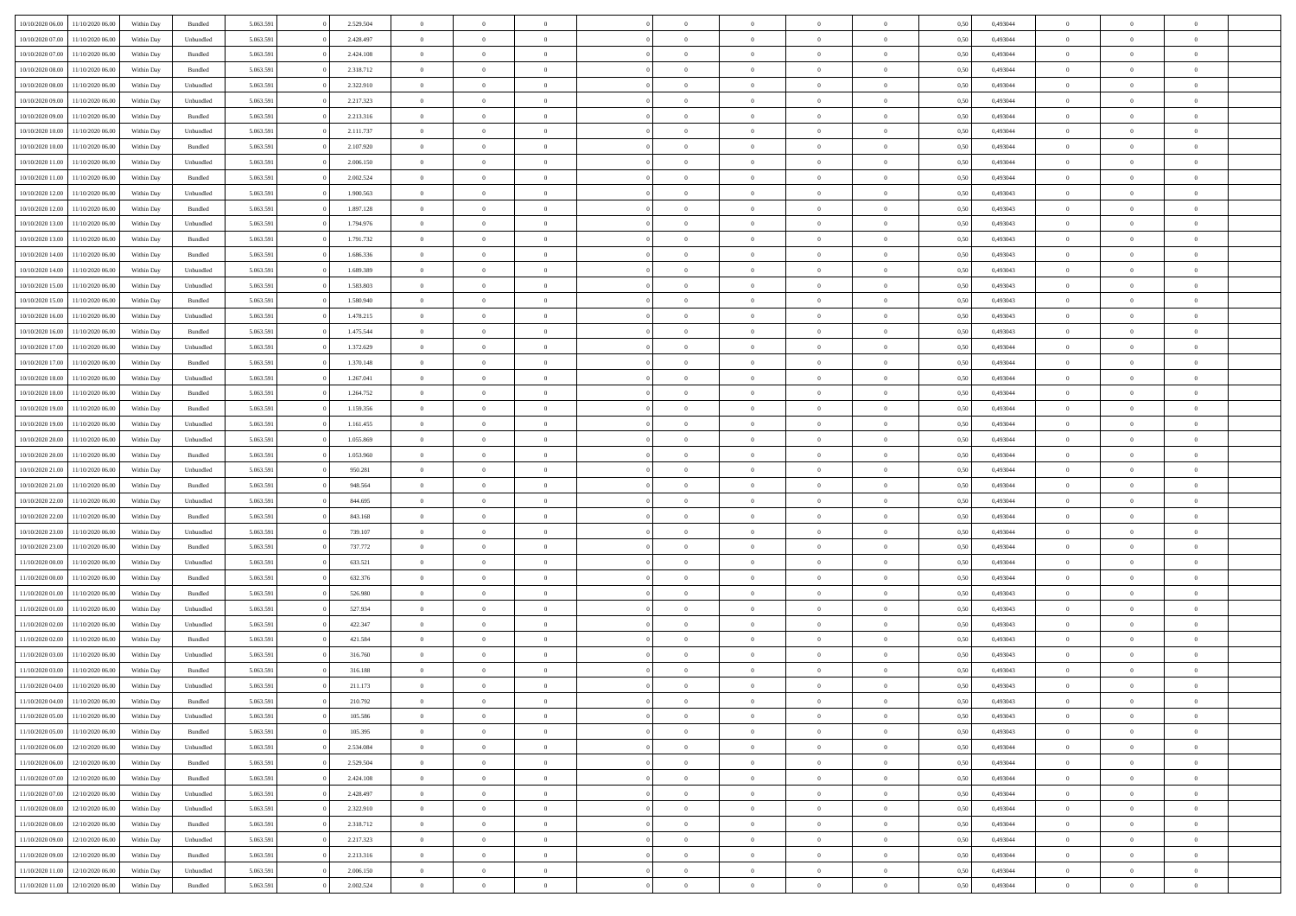| 10/10/2020 06:00 | 11/10/2020 06:00 | Within Dav | Bundled            | 5.063.591 | 2.529.504 | $\overline{0}$ | $\Omega$       |                | $\Omega$       | $\Omega$       | $\Omega$       | $\theta$       | 0.50 | 0,493044 | $\theta$       | $\theta$       | $\theta$       |  |
|------------------|------------------|------------|--------------------|-----------|-----------|----------------|----------------|----------------|----------------|----------------|----------------|----------------|------|----------|----------------|----------------|----------------|--|
|                  |                  |            |                    |           |           |                |                |                |                |                |                |                |      |          |                |                |                |  |
| 10/10/2020 07.00 | 11/10/2020 06.00 | Within Day | Unbundled          | 5.063.591 | 2.428.497 | $\overline{0}$ | $\theta$       | $\overline{0}$ | $\overline{0}$ | $\bf{0}$       | $\overline{0}$ | $\overline{0}$ | 0,50 | 0,493044 | $\theta$       | $\overline{0}$ | $\overline{0}$ |  |
| 10/10/2020 07:00 | 11/10/2020 06.00 | Within Day | Bundled            | 5.063.591 | 2.424.108 | $\overline{0}$ | $\overline{0}$ | $\overline{0}$ | $\bf{0}$       | $\bf{0}$       | $\bf{0}$       | $\bf{0}$       | 0,50 | 0,493044 | $\bf{0}$       | $\overline{0}$ | $\overline{0}$ |  |
| 10/10/2020 08:00 | 11/10/2020 06:00 | Within Dav | Bundled            | 5.063.591 | 2.318.712 | $\overline{0}$ | $\overline{0}$ | $\overline{0}$ | $\overline{0}$ | $\bf{0}$       | $\overline{0}$ | $\overline{0}$ | 0.50 | 0.493044 | $\theta$       | $\theta$       | $\overline{0}$ |  |
| 10/10/2020 08:00 | 11/10/2020 06.00 | Within Day | Unbundled          | 5.063.591 | 2.322.910 | $\overline{0}$ | $\theta$       | $\overline{0}$ | $\overline{0}$ | $\bf{0}$       | $\overline{0}$ | $\bf{0}$       | 0,50 | 0,493044 | $\theta$       | $\theta$       | $\overline{0}$ |  |
| 10/10/2020 09:00 | 11/10/2020 06.00 | Within Day | Unbundled          | 5.063.591 | 2.217.323 | $\overline{0}$ | $\bf{0}$       | $\overline{0}$ | $\bf{0}$       | $\overline{0}$ | $\overline{0}$ | $\mathbf{0}$   | 0,50 | 0,493044 | $\bf{0}$       | $\overline{0}$ | $\bf{0}$       |  |
|                  |                  |            |                    |           |           |                |                |                |                | $\bf{0}$       |                |                |      |          | $\theta$       | $\overline{0}$ | $\overline{0}$ |  |
| 10/10/2020 09:00 | 11/10/2020 06.00 | Within Dav | Bundled            | 5.063.591 | 2.213.316 | $\overline{0}$ | $\overline{0}$ | $\overline{0}$ | $\overline{0}$ |                | $\overline{0}$ | $\overline{0}$ | 0.50 | 0,493044 |                |                |                |  |
| 10/10/2020 10:00 | 11/10/2020 06.00 | Within Day | Unbundled          | 5.063.591 | 2.111.737 | $\overline{0}$ | $\theta$       | $\overline{0}$ | $\overline{0}$ | $\bf{0}$       | $\overline{0}$ | $\bf{0}$       | 0,50 | 0,493044 | $\theta$       | $\theta$       | $\overline{0}$ |  |
| 10/10/2020 10:00 | 11/10/2020 06.00 | Within Day | Bundled            | 5.063.591 | 2.107.920 | $\overline{0}$ | $\overline{0}$ | $\overline{0}$ | $\bf{0}$       | $\bf{0}$       | $\bf{0}$       | $\bf{0}$       | 0,50 | 0,493044 | $\,0\,$        | $\overline{0}$ | $\overline{0}$ |  |
| 10/10/2020 11:00 | 11/10/2020 06.00 | Within Dav | Unbundled          | 5.063.591 | 2.006.150 | $\overline{0}$ | $\overline{0}$ | $\overline{0}$ | $\overline{0}$ | $\overline{0}$ | $\overline{0}$ | $\overline{0}$ | 0.50 | 0,493044 | $\theta$       | $\overline{0}$ | $\overline{0}$ |  |
| 10/10/2020 11:00 | 11/10/2020 06.00 | Within Day | Bundled            | 5.063.591 | 2.002.524 | $\overline{0}$ | $\theta$       | $\overline{0}$ | $\overline{0}$ | $\bf{0}$       | $\overline{0}$ | $\bf{0}$       | 0,50 | 0,493044 | $\theta$       | $\theta$       | $\overline{0}$ |  |
| 10/10/2020 12:00 | 11/10/2020 06.00 | Within Day | Unbundled          | 5.063.591 | 1.900.563 | $\overline{0}$ | $\overline{0}$ | $\overline{0}$ | $\bf{0}$       | $\bf{0}$       | $\bf{0}$       | $\bf{0}$       | 0,50 | 0,493043 | $\overline{0}$ | $\overline{0}$ | $\overline{0}$ |  |
| 10/10/2020 12:00 | 11/10/2020 06:00 | Within Day | Bundled            | 5.063.591 | 1.897.128 | $\overline{0}$ | $\overline{0}$ | $\overline{0}$ | $\overline{0}$ | $\bf{0}$       | $\overline{0}$ | $\overline{0}$ | 0.50 | 0,493043 | $\theta$       | $\theta$       | $\overline{0}$ |  |
| 10/10/2020 13:00 | 11/10/2020 06.00 |            |                    | 5.063.591 | 1.794.976 | $\overline{0}$ | $\theta$       | $\overline{0}$ | $\overline{0}$ | $\bf{0}$       | $\overline{0}$ | $\overline{0}$ |      | 0,493043 | $\theta$       | $\theta$       | $\overline{0}$ |  |
|                  |                  | Within Day | Unbundled          |           |           |                |                |                |                |                |                |                | 0,50 |          |                |                |                |  |
| 10/10/2020 13:00 | 11/10/2020 06.00 | Within Day | Bundled            | 5.063.591 | 1.791.732 | $\overline{0}$ | $\bf{0}$       | $\overline{0}$ | $\bf{0}$       | $\overline{0}$ | $\overline{0}$ | $\mathbf{0}$   | 0,50 | 0,493043 | $\overline{0}$ | $\overline{0}$ | $\bf{0}$       |  |
| 10/10/2020 14:00 | 11/10/2020 06:00 | Within Dav | Bundled            | 5.063.591 | 1.686.336 | $\overline{0}$ | $\overline{0}$ | $\overline{0}$ | $\overline{0}$ | $\overline{0}$ | $\overline{0}$ | $\overline{0}$ | 0.50 | 0,493043 | $\theta$       | $\overline{0}$ | $\overline{0}$ |  |
| 10/10/2020 14:00 | 11/10/2020 06.00 | Within Day | Unbundled          | 5.063.591 | 1.689.389 | $\overline{0}$ | $\theta$       | $\overline{0}$ | $\overline{0}$ | $\bf{0}$       | $\overline{0}$ | $\bf{0}$       | 0,50 | 0,493043 | $\theta$       | $\theta$       | $\overline{0}$ |  |
| 10/10/2020 15:00 | 11/10/2020 06.00 | Within Day | Unbundled          | 5.063.591 | 1.583.803 | $\overline{0}$ | $\overline{0}$ | $\overline{0}$ | $\bf{0}$       | $\bf{0}$       | $\bf{0}$       | $\bf{0}$       | 0,50 | 0,493043 | $\,0\,$        | $\overline{0}$ | $\overline{0}$ |  |
| 10/10/2020 15:00 | 11/10/2020 06:00 | Within Day | Bundled            | 5.063.591 | 1.580.940 | $\overline{0}$ | $\overline{0}$ | $\overline{0}$ | $\overline{0}$ | $\overline{0}$ | $\overline{0}$ | $\overline{0}$ | 0.50 | 0,493043 | $\theta$       | $\overline{0}$ | $\overline{0}$ |  |
| 10/10/2020 16:00 | 11/10/2020 06.00 | Within Day | Unbundled          | 5.063.591 | 1.478.215 | $\overline{0}$ | $\theta$       | $\overline{0}$ | $\overline{0}$ | $\bf{0}$       | $\overline{0}$ | $\bf{0}$       | 0,50 | 0,493043 | $\theta$       | $\theta$       | $\overline{0}$ |  |
| 10/10/2020 16:00 | 11/10/2020 06.00 | Within Day | Bundled            | 5.063.591 | 1.475.544 | $\overline{0}$ | $\overline{0}$ | $\overline{0}$ | $\bf{0}$       | $\bf{0}$       | $\bf{0}$       | $\bf{0}$       | 0,50 | 0,493043 | $\,0\,$        | $\overline{0}$ | $\overline{0}$ |  |
|                  | 11/10/2020 06:00 |            | Unbundled          | 5.063.591 | 1.372.629 | $\overline{0}$ | $\overline{0}$ |                |                | $\bf{0}$       | $\overline{0}$ |                | 0.50 | 0.493044 | $\theta$       | $\theta$       | $\overline{0}$ |  |
| 10/10/2020 17:00 |                  | Within Day |                    |           |           |                |                | $\overline{0}$ | $\overline{0}$ |                |                | $\overline{0}$ |      |          |                |                |                |  |
| 10/10/2020 17:00 | 11/10/2020 06.00 | Within Day | Bundled            | 5.063.591 | 1.370.148 | $\overline{0}$ | $\theta$       | $\overline{0}$ | $\overline{0}$ | $\bf{0}$       | $\overline{0}$ | $\bf{0}$       | 0,50 | 0,493044 | $\theta$       | $\overline{0}$ | $\overline{0}$ |  |
| 10/10/2020 18:00 | 11/10/2020 06.00 | Within Day | Unbundled          | 5.063.591 | 1.267.041 | $\overline{0}$ | $\bf{0}$       | $\overline{0}$ | $\bf{0}$       | $\overline{0}$ | $\overline{0}$ | $\mathbf{0}$   | 0,50 | 0,493044 | $\overline{0}$ | $\overline{0}$ | $\bf{0}$       |  |
| 10/10/2020 18:00 | 11/10/2020 06.00 | Within Dav | Bundled            | 5.063.591 | 1.264.752 | $\overline{0}$ | $\overline{0}$ | $\overline{0}$ | $\overline{0}$ | $\overline{0}$ | $\overline{0}$ | $\overline{0}$ | 0.50 | 0,493044 | $\theta$       | $\overline{0}$ | $\overline{0}$ |  |
| 10/10/2020 19:00 | 11/10/2020 06.00 | Within Day | Bundled            | 5.063.591 | 1.159.356 | $\overline{0}$ | $\theta$       | $\overline{0}$ | $\overline{0}$ | $\bf{0}$       | $\overline{0}$ | $\bf{0}$       | 0,50 | 0,493044 | $\theta$       | $\theta$       | $\overline{0}$ |  |
| 10/10/2020 19:00 | 11/10/2020 06.00 | Within Day | Unbundled          | 5.063.591 | 1.161.455 | $\overline{0}$ | $\overline{0}$ | $\overline{0}$ | $\bf{0}$       | $\bf{0}$       | $\bf{0}$       | $\bf{0}$       | 0,50 | 0,493044 | $\,0\,$        | $\overline{0}$ | $\overline{0}$ |  |
| 10/10/2020 20:00 | 11/10/2020 06:00 | Within Day | Unbundled          | 5.063.591 | 1.055.869 | $\overline{0}$ | $\overline{0}$ | $\overline{0}$ | $\overline{0}$ | $\overline{0}$ | $\overline{0}$ | $\overline{0}$ | 0.50 | 0,493044 | $\theta$       | $\overline{0}$ | $\overline{0}$ |  |
| 10/10/2020 20:00 | 11/10/2020 06.00 | Within Day | Bundled            | 5.063.591 | 1.053.960 | $\overline{0}$ | $\theta$       | $\overline{0}$ | $\overline{0}$ | $\bf{0}$       | $\overline{0}$ | $\bf{0}$       | 0,50 | 0,493044 | $\,$ 0 $\,$    | $\overline{0}$ | $\overline{0}$ |  |
|                  |                  |            |                    |           |           |                |                |                |                |                |                |                |      |          |                |                |                |  |
| 10/10/2020 21.00 | 11/10/2020 06.00 | Within Day | Unbundled          | 5.063.591 | 950.281   | $\overline{0}$ | $\overline{0}$ | $\overline{0}$ | $\overline{0}$ | $\bf{0}$       | $\overline{0}$ | $\bf{0}$       | 0,50 | 0,493044 | $\bf{0}$       | $\overline{0}$ | $\overline{0}$ |  |
| 10/10/2020 21:00 | 11/10/2020 06.00 | Within Day | Bundled            | 5.063.591 | 948.564   | $\overline{0}$ | $\Omega$       | $\Omega$       | $\Omega$       | $\Omega$       | $\Omega$       | $\overline{0}$ | 0,50 | 0,493044 | $\,0\,$        | $\theta$       | $\theta$       |  |
| 10/10/2020 22.00 | 11/10/2020 06.00 | Within Day | Unbundled          | 5.063.591 | 844.695   | $\overline{0}$ | $\theta$       | $\overline{0}$ | $\overline{0}$ | $\bf{0}$       | $\overline{0}$ | $\bf{0}$       | 0,50 | 0,493044 | $\theta$       | $\theta$       | $\overline{0}$ |  |
| 10/10/2020 22:00 | 11/10/2020 06.00 | Within Day | Bundled            | 5.063.591 | 843.168   | $\overline{0}$ | $\overline{0}$ | $\overline{0}$ | $\overline{0}$ | $\bf{0}$       | $\overline{0}$ | $\mathbf{0}$   | 0,50 | 0,493044 | $\bf{0}$       | $\overline{0}$ | $\bf{0}$       |  |
| 10/10/2020 23:00 | 11/10/2020 06.00 | Within Day | Unbundled          | 5.063.591 | 739.107   | $\overline{0}$ | $\Omega$       | $\Omega$       | $\Omega$       | $\Omega$       | $\Omega$       | $\overline{0}$ | 0.50 | 0,493044 | $\theta$       | $\theta$       | $\theta$       |  |
| 10/10/2020 23:00 | 11/10/2020 06.00 | Within Day | Bundled            | 5.063.591 | 737.772   | $\overline{0}$ | $\theta$       | $\overline{0}$ | $\overline{0}$ | $\bf{0}$       | $\overline{0}$ | $\bf{0}$       | 0,50 | 0,493044 | $\,$ 0 $\,$    | $\theta$       | $\overline{0}$ |  |
| 11/10/2020 00:00 | 11/10/2020 06.00 | Within Day | Unbundled          | 5.063.591 | 633.521   | $\overline{0}$ | $\overline{0}$ | $\overline{0}$ | $\overline{0}$ | $\bf{0}$       | $\overline{0}$ | $\bf{0}$       | 0,50 | 0,493044 | $\,0\,$        | $\overline{0}$ | $\overline{0}$ |  |
| 11/10/2020 00:00 | 11/10/2020 06:00 | Within Day | Bundled            | 5.063.591 | 632.376   | $\overline{0}$ | $\Omega$       | $\Omega$       | $\Omega$       | $\Omega$       | $\theta$       | $\overline{0}$ | 0.50 | 0,493044 | $\theta$       | $\theta$       | $\theta$       |  |
| 11/10/2020 01:00 | 11/10/2020 06.00 |            |                    | 5.063.591 | 526.980   | $\overline{0}$ | $\theta$       | $\overline{0}$ | $\overline{0}$ | $\bf{0}$       | $\overline{0}$ |                |      | 0,493043 | $\,$ 0 $\,$    | $\overline{0}$ | $\overline{0}$ |  |
|                  |                  | Within Day | Bundled            |           |           |                |                |                |                |                |                | $\bf{0}$       | 0,50 |          |                |                |                |  |
| 11/10/2020 01.00 | 11/10/2020 06.00 | Within Day | Unbundled          | 5.063.591 | 527.934   | $\overline{0}$ | $\overline{0}$ | $\overline{0}$ | $\overline{0}$ | $\bf{0}$       | $\overline{0}$ | $\bf{0}$       | 0,50 | 0,493043 | $\bf{0}$       | $\overline{0}$ | $\overline{0}$ |  |
| 11/10/2020 02.00 | 11/10/2020 06.00 | Within Day | Unbundled          | 5.063.591 | 422.347   | $\overline{0}$ | $\Omega$       | $\Omega$       | $\Omega$       | $\Omega$       | $\overline{0}$ | $\overline{0}$ | 0,50 | 0,493043 | $\,0\,$        | $\theta$       | $\theta$       |  |
| 11/10/2020 02:00 | 11/10/2020 06.00 | Within Day | Bundled            | 5.063.591 | 421.584   | $\overline{0}$ | $\theta$       | $\overline{0}$ | $\overline{0}$ | $\bf{0}$       | $\overline{0}$ | $\bf{0}$       | 0,50 | 0,493043 | $\,$ 0 $\,$    | $\overline{0}$ | $\overline{0}$ |  |
| 11/10/2020 03.00 | 11/10/2020 06.00 | Within Day | Unbundled          | 5.063.591 | 316.760   | $\overline{0}$ | $\overline{0}$ | $\overline{0}$ | $\overline{0}$ | $\bf{0}$       | $\overline{0}$ | $\mathbf{0}$   | 0,50 | 0,493043 | $\bf{0}$       | $\overline{0}$ | $\bf{0}$       |  |
| 11/10/2020 03:00 | 11/10/2020 06:00 | Within Day | Bundled            | 5.063.591 | 316.188   | $\overline{0}$ | $\Omega$       | $\Omega$       | $\Omega$       | $\Omega$       | $\Omega$       | $\overline{0}$ | 0.50 | 0,493043 | $\theta$       | $\theta$       | $\theta$       |  |
| 11/10/2020 04:00 | 11/10/2020 06:00 | Within Day | Unbundled          | 5.063.591 | 211.173   | $\overline{0}$ | $\,$ 0 $\,$    | $\overline{0}$ | $\bf{0}$       | $\,$ 0         | $\overline{0}$ | $\bf{0}$       | 0,50 | 0,493043 | $\,0\,$        | $\,$ 0 $\,$    | $\overline{0}$ |  |
| 11/10/2020 04:00 | 11/10/2020 06.00 | Within Day | $\mathbf B$ undled | 5.063.591 | 210.792   | $\bf{0}$       | $\bf{0}$       |                |                |                |                |                | 0,50 | 0,493043 | $\bf{0}$       | $\overline{0}$ |                |  |
| 11/10/2020 05:00 | 11/10/2020 06:00 |            |                    | 5.063.591 | 105,586   | $\overline{0}$ | $\overline{0}$ | $\overline{0}$ | $\Omega$       | $\overline{0}$ | $\overline{0}$ | $\overline{0}$ |      |          | $\theta$       | $\theta$       | $\theta$       |  |
|                  |                  | Within Day | Unbundled          |           |           |                |                |                |                |                |                |                | 0,50 | 0,493043 |                |                |                |  |
| 11/10/2020 05:00 | 11/10/2020 06.00 | Within Day | Bundled            | 5.063.591 | 105.395   | $\overline{0}$ | $\,$ 0         | $\overline{0}$ | $\overline{0}$ | $\,$ 0 $\,$    | $\overline{0}$ | $\mathbf{0}$   | 0,50 | 0,493043 | $\,$ 0 $\,$    | $\,$ 0 $\,$    | $\,$ 0         |  |
| 11/10/2020 06.00 | 12/10/2020 06:00 | Within Day | Unbundled          | 5.063.591 | 2.534.084 | $\overline{0}$ | $\overline{0}$ | $\overline{0}$ | $\overline{0}$ | $\overline{0}$ | $\overline{0}$ | $\mathbf{0}$   | 0,50 | 0,493044 | $\overline{0}$ | $\bf{0}$       | $\bf{0}$       |  |
| 11/10/2020 06:00 | 12/10/2020 06:00 | Within Day | $\mathbf B$ undled | 5.063.591 | 2.529.504 | $\overline{0}$ | $\overline{0}$ | $\overline{0}$ | $\Omega$       | $\overline{0}$ | $\overline{0}$ | $\bf{0}$       | 0,50 | 0,493044 | $\overline{0}$ | $\theta$       | $\overline{0}$ |  |
| 11/10/2020 07:00 | 12/10/2020 06.00 | Within Day | Bundled            | 5.063.591 | 2.424.108 | $\overline{0}$ | $\,$ 0         | $\overline{0}$ | $\overline{0}$ | $\overline{0}$ | $\overline{0}$ | $\bf{0}$       | 0,50 | 0,493044 | $\,$ 0 $\,$    | $\overline{0}$ | $\overline{0}$ |  |
| 11/10/2020 07.00 | 12/10/2020 06:00 | Within Day | Unbundled          | 5.063.591 | 2.428.497 | $\overline{0}$ | $\overline{0}$ | $\overline{0}$ | $\overline{0}$ | $\overline{0}$ | $\overline{0}$ | $\mathbf{0}$   | 0,50 | 0,493044 | $\overline{0}$ | $\overline{0}$ | $\bf{0}$       |  |
| 11/10/2020 08:00 | 12/10/2020 06:00 | Within Day | Unbundled          | 5.063.591 | 2.322.910 | $\overline{0}$ | $\overline{0}$ | $\overline{0}$ | $\Omega$       | $\overline{0}$ | $\overline{0}$ | $\bf{0}$       | 0.50 | 0,493044 | $\overline{0}$ | $\theta$       | $\overline{0}$ |  |
| 11/10/2020 08:00 | 12/10/2020 06.00 | Within Day | Bundled            | 5.063.591 | 2.318.712 | $\overline{0}$ | $\,$ 0         | $\overline{0}$ | $\overline{0}$ | $\bf{0}$       | $\overline{0}$ | $\bf{0}$       | 0,50 | 0,493044 | $\,$ 0 $\,$    | $\overline{0}$ | $\overline{0}$ |  |
|                  | 12/10/2020 06:00 | Within Day | Unbundled          | 5.063.591 | 2.217.323 | $\overline{0}$ | $\bf{0}$       | $\overline{0}$ | $\overline{0}$ | $\overline{0}$ | $\overline{0}$ | $\mathbf{0}$   | 0,50 | 0,493044 | $\overline{0}$ | $\overline{0}$ | $\bf{0}$       |  |
| 11/10/2020 09:00 |                  |            |                    |           |           |                |                |                |                |                |                |                |      |          |                |                |                |  |
| 11/10/2020 09:00 | 12/10/2020 06:00 | Within Day | Bundled            | 5.063.591 | 2.213.316 | $\overline{0}$ | $\overline{0}$ | $\overline{0}$ | $\Omega$       | $\overline{0}$ | $\overline{0}$ | $\bf{0}$       | 0.50 | 0,493044 | $\overline{0}$ | $\theta$       | $\overline{0}$ |  |
| 11/10/2020 11:00 | 12/10/2020 06.00 | Within Day | Unbundled          | 5.063.591 | 2.006.150 | $\overline{0}$ | $\bf{0}$       | $\overline{0}$ | $\overline{0}$ | $\bf{0}$       | $\bf{0}$       | $\mathbf{0}$   | 0,50 | 0,493044 | $\,$ 0 $\,$    | $\,$ 0 $\,$    | $\bf{0}$       |  |
| 11/10/2020 11:00 | 12/10/2020 06.00 | Within Day | Bundled            | 5.063.591 | 2.002.524 | $\overline{0}$ | $\overline{0}$ | $\overline{0}$ | $\overline{0}$ | $\bf{0}$       | $\bf{0}$       | $\mathbf{0}$   | 0,50 | 0,493044 | $\overline{0}$ | $\bf{0}$       | $\bf{0}$       |  |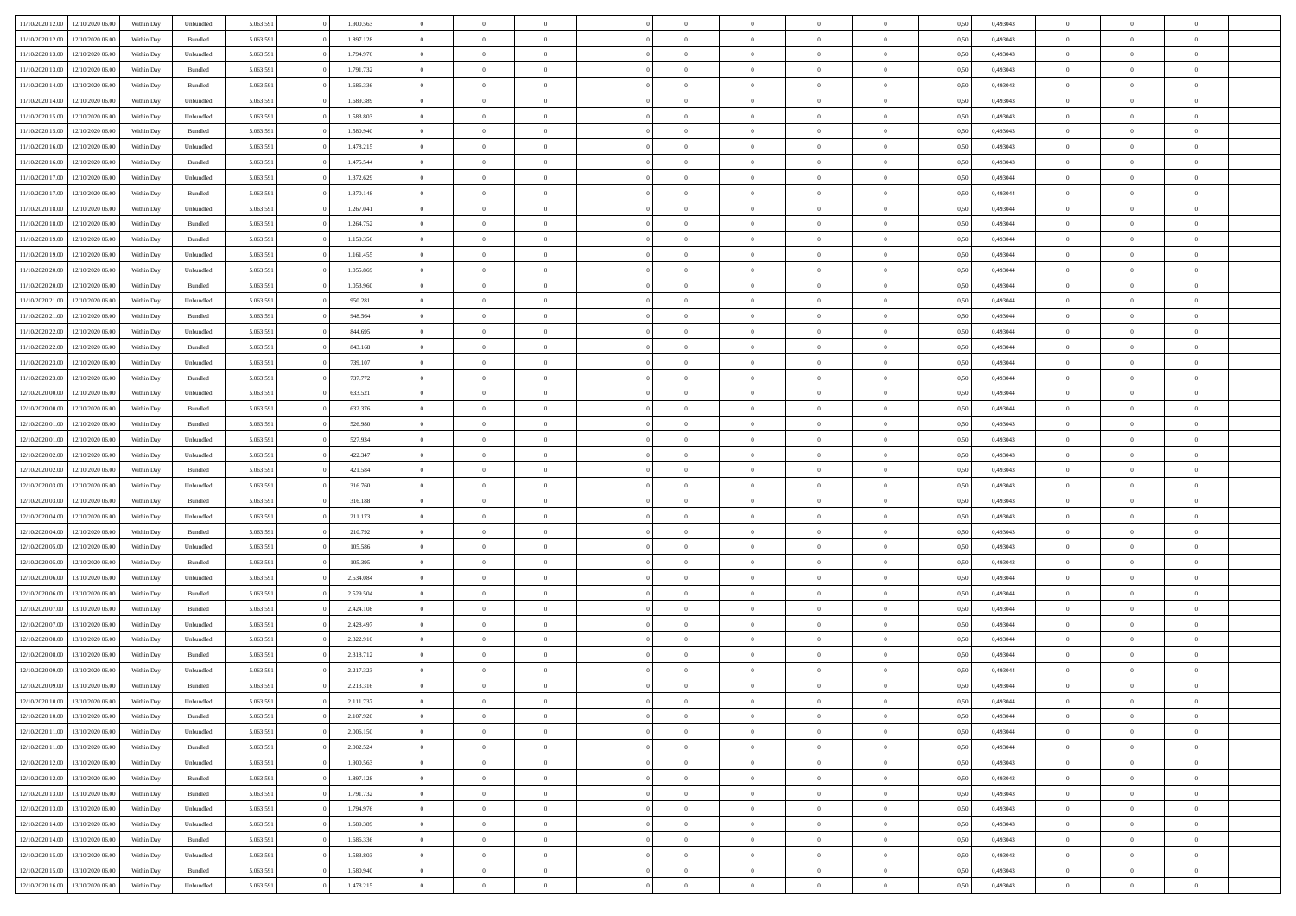|                  |                                   |            |           |           |           | $\overline{0}$ | $\Omega$       |                |                | $\Omega$       | $\Omega$       | $\theta$       |      |          | $\theta$       |                | $\theta$       |  |
|------------------|-----------------------------------|------------|-----------|-----------|-----------|----------------|----------------|----------------|----------------|----------------|----------------|----------------|------|----------|----------------|----------------|----------------|--|
| 11/10/2020 12:00 | 12/10/2020 06:00                  | Within Dav | Unbundled | 5.063.591 | 1.900.563 |                |                |                | $\Omega$       |                |                |                | 0.50 | 0,493043 |                | $\theta$       |                |  |
| 11/10/2020 12:00 | 12/10/2020 06.00                  | Within Day | Bundled   | 5.063.591 | 1.897.128 | $\overline{0}$ | $\theta$       | $\overline{0}$ | $\overline{0}$ | $\bf{0}$       | $\overline{0}$ | $\bf{0}$       | 0,50 | 0,493043 | $\theta$       | $\overline{0}$ | $\overline{0}$ |  |
| 11/10/2020 13:00 | 12/10/2020 06:00                  | Within Day | Unbundled | 5.063.591 | 1.794.976 | $\overline{0}$ | $\overline{0}$ | $\overline{0}$ | $\bf{0}$       | $\bf{0}$       | $\bf{0}$       | $\bf{0}$       | 0,50 | 0,493043 | $\overline{0}$ | $\overline{0}$ | $\overline{0}$ |  |
| 11/10/2020 13:00 | 12/10/2020 06:00                  | Within Dav | Bundled   | 5.063.591 | 1.791.732 | $\overline{0}$ | $\overline{0}$ | $\overline{0}$ | $\overline{0}$ | $\bf{0}$       | $\overline{0}$ | $\overline{0}$ | 0.50 | 0,493043 | $\theta$       | $\theta$       | $\overline{0}$ |  |
|                  |                                   |            |           |           |           |                |                |                |                |                |                |                |      |          |                |                |                |  |
| 11/10/2020 14:00 | 12/10/2020 06.00                  | Within Day | Bundled   | 5.063.591 | 1.686.336 | $\overline{0}$ | $\theta$       | $\overline{0}$ | $\overline{0}$ | $\bf{0}$       | $\overline{0}$ | $\bf{0}$       | 0,50 | 0,493043 | $\theta$       | $\overline{0}$ | $\overline{0}$ |  |
| 11/10/2020 14:00 | 12/10/2020 06:00                  | Within Day | Unbundled | 5.063.591 | 1.689.389 | $\overline{0}$ | $\bf{0}$       | $\overline{0}$ | $\bf{0}$       | $\overline{0}$ | $\overline{0}$ | $\mathbf{0}$   | 0,50 | 0,493043 | $\overline{0}$ | $\overline{0}$ | $\bf{0}$       |  |
| 11/10/2020 15:00 | 12/10/2020 06.00                  | Within Dav | Unbundled | 5.063.591 | 1.583.803 | $\overline{0}$ | $\overline{0}$ | $\overline{0}$ | $\overline{0}$ | $\overline{0}$ | $\overline{0}$ | $\overline{0}$ | 0.50 | 0,493043 | $\theta$       | $\overline{0}$ | $\overline{0}$ |  |
| 11/10/2020 15:00 | 12/10/2020 06.00                  | Within Day | Bundled   | 5.063.591 | 1.580.940 | $\overline{0}$ | $\theta$       | $\overline{0}$ | $\overline{0}$ | $\bf{0}$       | $\overline{0}$ | $\bf{0}$       | 0,50 | 0,493043 | $\theta$       | $\theta$       | $\overline{0}$ |  |
|                  |                                   |            |           |           |           |                | $\overline{0}$ |                |                | $\bf{0}$       |                |                |      |          | $\,0\,$        | $\overline{0}$ | $\overline{0}$ |  |
| 11/10/2020 16:00 | 12/10/2020 06:00                  | Within Day | Unbundled | 5.063.591 | 1.478.215 | $\overline{0}$ |                | $\overline{0}$ | $\bf{0}$       |                | $\bf{0}$       | $\bf{0}$       | 0,50 | 0,493043 |                |                |                |  |
| 11/10/2020 16:00 | 12/10/2020 06:00                  | Within Dav | Bundled   | 5.063.591 | 1.475.544 | $\overline{0}$ | $\overline{0}$ | $\overline{0}$ | $\overline{0}$ | $\overline{0}$ | $\overline{0}$ | $\overline{0}$ | 0.50 | 0,493043 | $\theta$       | $\overline{0}$ | $\overline{0}$ |  |
| 11/10/2020 17:00 | 12/10/2020 06.00                  | Within Day | Unbundled | 5.063.591 | 1.372.629 | $\overline{0}$ | $\theta$       | $\overline{0}$ | $\overline{0}$ | $\bf{0}$       | $\overline{0}$ | $\bf{0}$       | 0,50 | 0,493044 | $\,$ 0 $\,$    | $\overline{0}$ | $\overline{0}$ |  |
| 11/10/2020 17.00 | 12/10/2020 06:00                  | Within Day | Bundled   | 5.063.591 | 1.370.148 | $\overline{0}$ | $\overline{0}$ | $\overline{0}$ | $\bf{0}$       | $\bf{0}$       | $\bf{0}$       | $\bf{0}$       | 0,50 | 0,493044 | $\overline{0}$ | $\overline{0}$ | $\overline{0}$ |  |
| 11/10/2020 18:00 | 12/10/2020 06:00                  | Within Dav | Unbundled | 5.063.591 | 1.267.041 | $\overline{0}$ | $\overline{0}$ | $\overline{0}$ | $\overline{0}$ | $\bf{0}$       | $\overline{0}$ | $\overline{0}$ | 0.50 | 0,493044 | $\theta$       | $\theta$       | $\overline{0}$ |  |
|                  |                                   |            |           |           |           | $\overline{0}$ | $\theta$       |                |                |                |                |                |      |          | $\theta$       | $\overline{0}$ |                |  |
| 11/10/2020 18:00 | 12/10/2020 06.00                  | Within Day | Bundled   | 5.063.591 | 1.264.752 |                |                | $\overline{0}$ | $\overline{0}$ | $\bf{0}$       | $\overline{0}$ | $\bf{0}$       | 0,50 | 0,493044 |                |                | $\overline{0}$ |  |
| 11/10/2020 19:00 | 12/10/2020 06:00                  | Within Day | Bundled   | 5.063.591 | 1.159.356 | $\overline{0}$ | $\bf{0}$       | $\overline{0}$ | $\bf{0}$       | $\overline{0}$ | $\overline{0}$ | $\mathbf{0}$   | 0,50 | 0,493044 | $\overline{0}$ | $\overline{0}$ | $\bf{0}$       |  |
| 11/10/2020 19:00 | 12/10/2020 06:00                  | Within Dav | Unbundled | 5.063.591 | 1.161.455 | $\overline{0}$ | $\overline{0}$ | $\overline{0}$ | $\overline{0}$ | $\overline{0}$ | $\overline{0}$ | $\overline{0}$ | 0.50 | 0,493044 | $\theta$       | $\overline{0}$ | $\overline{0}$ |  |
| 11/10/2020 20.00 | 12/10/2020 06.00                  | Within Day | Unbundled | 5.063.591 | 1.055.869 | $\overline{0}$ | $\theta$       | $\overline{0}$ | $\overline{0}$ | $\bf{0}$       | $\overline{0}$ | $\bf{0}$       | 0,50 | 0,493044 | $\theta$       | $\theta$       | $\overline{0}$ |  |
| 11/10/2020 20:00 | 12/10/2020 06:00                  | Within Day | Bundled   | 5.063.591 | 1.053.960 | $\overline{0}$ | $\overline{0}$ | $\overline{0}$ | $\bf{0}$       | $\bf{0}$       | $\bf{0}$       | $\bf{0}$       | 0,50 | 0,493044 | $\,0\,$        | $\overline{0}$ | $\overline{0}$ |  |
|                  |                                   |            |           |           |           |                |                |                |                |                |                |                |      |          |                |                |                |  |
| 11/10/2020 21:00 | 12/10/2020 06.00                  | Within Day | Unbundled | 5.063.591 | 950.281   | $\overline{0}$ | $\overline{0}$ | $\overline{0}$ | $\overline{0}$ | $\overline{0}$ | $\overline{0}$ | $\overline{0}$ | 0.50 | 0,493044 | $\theta$       | $\overline{0}$ | $\overline{0}$ |  |
| 11/10/2020 21.00 | 12/10/2020 06.00                  | Within Day | Bundled   | 5.063.591 | 948.564   | $\overline{0}$ | $\theta$       | $\overline{0}$ | $\overline{0}$ | $\bf{0}$       | $\overline{0}$ | $\bf{0}$       | 0,50 | 0,493044 | $\,$ 0 $\,$    | $\theta$       | $\overline{0}$ |  |
| 11/10/2020 22.00 | 12/10/2020 06:00                  | Within Day | Unbundled | 5.063.591 | 844.695   | $\overline{0}$ | $\overline{0}$ | $\overline{0}$ | $\bf{0}$       | $\bf{0}$       | $\bf{0}$       | $\bf{0}$       | 0,50 | 0,493044 | $\bf{0}$       | $\overline{0}$ | $\overline{0}$ |  |
| 11/10/2020 22.00 | 12/10/2020 06:00                  | Within Day | Bundled   | 5.063.591 | 843.168   | $\overline{0}$ | $\overline{0}$ | $\overline{0}$ | $\overline{0}$ | $\bf{0}$       | $\overline{0}$ | $\overline{0}$ | 0.50 | 0.493044 | $\theta$       | $\theta$       | $\overline{0}$ |  |
|                  |                                   |            |           |           |           |                | $\theta$       |                |                |                |                |                |      |          |                | $\overline{0}$ |                |  |
| 11/10/2020 23.00 | 12/10/2020 06.00                  | Within Day | Unbundled | 5.063.591 | 739.107   | $\overline{0}$ |                | $\overline{0}$ | $\overline{0}$ | $\bf{0}$       | $\overline{0}$ | $\bf{0}$       | 0,50 | 0,493044 | $\,$ 0 $\,$    |                | $\overline{0}$ |  |
| 11/10/2020 23.00 | 12/10/2020 06:00                  | Within Day | Bundled   | 5.063.591 | 737.772   | $\overline{0}$ | $\bf{0}$       | $\overline{0}$ | $\overline{0}$ | $\overline{0}$ | $\overline{0}$ | $\mathbf{0}$   | 0,50 | 0,493044 | $\overline{0}$ | $\overline{0}$ | $\bf{0}$       |  |
| 12/10/2020 00:00 | 12/10/2020 06.00                  | Within Dav | Unbundled | 5.063.591 | 633.521   | $\overline{0}$ | $\overline{0}$ | $\overline{0}$ | $\overline{0}$ | $\overline{0}$ | $\overline{0}$ | $\overline{0}$ | 0.50 | 0,493044 | $\theta$       | $\overline{0}$ | $\overline{0}$ |  |
| 12/10/2020 00:00 | 12/10/2020 06.00                  | Within Day | Bundled   | 5.063.591 | 632.376   | $\overline{0}$ | $\theta$       | $\overline{0}$ | $\overline{0}$ | $\bf{0}$       | $\overline{0}$ | $\bf{0}$       | 0,50 | 0,493044 | $\theta$       | $\theta$       | $\overline{0}$ |  |
| 12/10/2020 01:00 | 12/10/2020 06:00                  | Within Day | Bundled   | 5.063.591 | 526.980   | $\overline{0}$ | $\overline{0}$ | $\overline{0}$ | $\overline{0}$ | $\bf{0}$       | $\overline{0}$ | $\bf{0}$       | 0,50 | 0,493043 | $\,0\,$        | $\overline{0}$ | $\overline{0}$ |  |
|                  |                                   |            |           |           |           |                |                |                |                |                |                |                |      |          |                |                |                |  |
| 12/10/2020 01:00 | 12/10/2020 06:00                  | Within Day | Unbundled | 5.063.591 | 527.934   | $\overline{0}$ | $\overline{0}$ | $\overline{0}$ | $\overline{0}$ | $\overline{0}$ | $\overline{0}$ | $\overline{0}$ | 0.50 | 0,493043 | $\theta$       | $\overline{0}$ | $\overline{0}$ |  |
| 12/10/2020 02:00 | 12/10/2020 06.00                  | Within Day | Unbundled | 5.063.591 | 422.347   | $\overline{0}$ | $\theta$       | $\overline{0}$ | $\overline{0}$ | $\bf{0}$       | $\overline{0}$ | $\bf{0}$       | 0,50 | 0,493043 | $\,$ 0 $\,$    | $\overline{0}$ | $\overline{0}$ |  |
| 12/10/2020 02.00 | 12/10/2020 06:00                  | Within Day | Bundled   | 5.063.591 | 421.584   | $\overline{0}$ | $\overline{0}$ | $\overline{0}$ | $\overline{0}$ | $\bf{0}$       | $\overline{0}$ | $\bf{0}$       | 0,50 | 0,493043 | $\overline{0}$ | $\overline{0}$ | $\overline{0}$ |  |
| 12/10/2020 03:00 | 12/10/2020 06.00                  | Within Day | Unbundled | 5.063.591 | 316.760   | $\overline{0}$ | $\Omega$       | $\Omega$       | $\Omega$       | $\Omega$       | $\Omega$       | $\overline{0}$ | 0,50 | 0,493043 | $\,0\,$        | $\theta$       | $\theta$       |  |
| 12/10/2020 03:00 | 12/10/2020 06.00                  | Within Day | Bundled   | 5.063.591 | 316.188   | $\overline{0}$ | $\theta$       | $\overline{0}$ | $\overline{0}$ | $\bf{0}$       | $\overline{0}$ | $\bf{0}$       | 0,50 | 0,493043 | $\theta$       | $\theta$       | $\overline{0}$ |  |
|                  |                                   |            |           |           |           |                |                |                |                |                |                |                |      |          |                |                |                |  |
| 12/10/2020 04:00 | 12/10/2020 06:00                  | Within Day | Unbundled | 5.063.591 | 211.173   | $\overline{0}$ | $\overline{0}$ | $\overline{0}$ | $\overline{0}$ | $\bf{0}$       | $\overline{0}$ | $\mathbf{0}$   | 0,50 | 0,493043 | $\overline{0}$ | $\overline{0}$ | $\bf{0}$       |  |
| 12/10/2020 04:00 | 12/10/2020 06.00                  | Within Day | Bundled   | 5.063.591 | 210.792   | $\overline{0}$ | $\Omega$       | $\Omega$       | $\Omega$       | $\bf{0}$       | $\overline{0}$ | $\overline{0}$ | 0.50 | 0,493043 | $\,0\,$        | $\theta$       | $\theta$       |  |
| 12/10/2020 05:00 | 12/10/2020 06.00                  | Within Day | Unbundled | 5.063.591 | 105.586   | $\overline{0}$ | $\theta$       | $\overline{0}$ | $\overline{0}$ | $\bf{0}$       | $\overline{0}$ | $\bf{0}$       | 0,50 | 0,493043 | $\,$ 0 $\,$    | $\theta$       | $\overline{0}$ |  |
| 12/10/2020 05:00 | 12/10/2020 06:00                  | Within Day | Bundled   | 5.063.591 | 105.395   | $\overline{0}$ | $\overline{0}$ | $\overline{0}$ | $\overline{0}$ | $\bf{0}$       | $\overline{0}$ | $\bf{0}$       | 0,50 | 0,493043 | $\,0\,$        | $\overline{0}$ | $\overline{0}$ |  |
|                  |                                   |            |           |           |           |                |                |                |                |                |                |                |      |          |                |                |                |  |
| 12/10/2020 06:00 | 13/10/2020 06:00                  | Within Day | Unbundled | 5.063.591 | 2.534.084 | $\overline{0}$ | $\Omega$       | $\Omega$       | $\Omega$       | $\theta$       | $\theta$       | $\overline{0}$ | 0.50 | 0,493044 | $\theta$       | $\theta$       | $\theta$       |  |
| 12/10/2020 06:00 | 13/10/2020 06.00                  | Within Day | Bundled   | 5.063.591 | 2.529.504 | $\overline{0}$ | $\theta$       | $\overline{0}$ | $\overline{0}$ | $\bf{0}$       | $\overline{0}$ | $\bf{0}$       | 0,50 | 0,493044 | $\,$ 0 $\,$    | $\overline{0}$ | $\overline{0}$ |  |
| 12/10/2020 07.00 | 13/10/2020 06:00                  | Within Day | Bundled   | 5.063.591 | 2.424.108 | $\overline{0}$ | $\overline{0}$ | $\overline{0}$ | $\overline{0}$ | $\bf{0}$       | $\overline{0}$ | $\bf{0}$       | 0,50 | 0,493044 | $\overline{0}$ | $\overline{0}$ | $\overline{0}$ |  |
| 12/10/2020 07:00 | 13/10/2020 06.00                  | Within Day | Unbundled | 5.063.591 | 2.428.497 | $\overline{0}$ | $\Omega$       | $\overline{0}$ | $\Omega$       | $\Omega$       | $\overline{0}$ | $\overline{0}$ | 0,50 | 0,493044 | $\,0\,$        | $\theta$       | $\theta$       |  |
| 12/10/2020 08:00 | 13/10/2020 06.00                  | Within Day | Unbundled | 5.063.591 | 2.322.910 | $\overline{0}$ | $\theta$       | $\overline{0}$ | $\overline{0}$ | $\bf{0}$       | $\overline{0}$ | $\bf{0}$       | 0,50 | 0,493044 | $\,$ 0 $\,$    | $\overline{0}$ | $\overline{0}$ |  |
|                  |                                   |            |           |           |           |                |                |                |                |                |                |                |      |          |                |                |                |  |
| 12/10/2020 08:00 | 13/10/2020 06.00                  | Within Day | Bundled   | 5.063.591 | 2.318.712 | $\overline{0}$ | $\overline{0}$ | $\overline{0}$ | $\bf{0}$       | $\bf{0}$       | $\bf{0}$       | $\mathbf{0}$   | 0,50 | 0,493044 | $\overline{0}$ | $\overline{0}$ | $\bf{0}$       |  |
| 12/10/2020 09:00 | 13/10/2020 06:00                  | Within Day | Unbundled | 5.063.591 | 2.217.323 | $\overline{0}$ | $\Omega$       | $\Omega$       | $\Omega$       | $\Omega$       | $\Omega$       | $\overline{0}$ | 0.50 | 0.493044 | $\theta$       | $\theta$       | $\theta$       |  |
| 12/10/2020 09:00 | 13/10/2020 06:00                  | Within Day | Bundled   | 5.063.591 | 2.213.316 | $\overline{0}$ | $\,$ 0 $\,$    | $\overline{0}$ | $\bf{0}$       | $\,$ 0         | $\bf{0}$       | $\bf{0}$       | 0,50 | 0,493044 | $\,0\,$        | $\overline{0}$ | $\overline{0}$ |  |
| 12/10/2020 10:00 | 13/10/2020 06:00                  | Within Day | Unbundled | 5.063.591 | 2.111.737 | $\bf{0}$       | $\bf{0}$       |                |                |                |                |                | 0,50 | 0,493044 | $\bf{0}$       | $\overline{0}$ |                |  |
| 12/10/2020 10:00 | 13/10/2020 06:00                  |            | Bundled   | 5.063.591 | 2.107.920 | $\overline{0}$ | $\overline{0}$ | $\overline{0}$ | $\Omega$       | $\theta$       | $\overline{0}$ | $\overline{0}$ |      |          | $\theta$       | $\theta$       | $\theta$       |  |
|                  |                                   | Within Day |           |           |           |                |                |                |                |                |                |                | 0,50 | 0,493044 |                |                |                |  |
| 12/10/2020 11:00 | 13/10/2020 06.00                  | Within Day | Unbundled | 5.063.591 | 2.006.150 | $\overline{0}$ | $\,$ 0         | $\overline{0}$ | $\bf{0}$       | $\,$ 0 $\,$    | $\overline{0}$ | $\mathbf{0}$   | 0,50 | 0,493044 | $\,$ 0 $\,$    | $\,$ 0 $\,$    | $\,$ 0         |  |
| 12/10/2020 11:00 | 13/10/2020 06:00                  | Within Day | Bundled   | 5.063.591 | 2.002.524 | $\overline{0}$ | $\overline{0}$ | $\overline{0}$ | $\overline{0}$ | $\overline{0}$ | $\overline{0}$ | $\mathbf{0}$   | 0,50 | 0,493044 | $\overline{0}$ | $\bf{0}$       | $\bf{0}$       |  |
| 12/10/2020 12:00 | 13/10/2020 06:00                  | Within Day | Unbundled | 5.063.591 | 1.900.563 | $\overline{0}$ | $\overline{0}$ | $\overline{0}$ | $\Omega$       | $\overline{0}$ | $\overline{0}$ | $\overline{0}$ | 0,50 | 0,493043 | $\overline{0}$ | $\theta$       | $\overline{0}$ |  |
| 12/10/2020 12:00 | 13/10/2020 06.00                  | Within Day | Bundled   | 5.063.591 | 1.897.128 | $\overline{0}$ | $\,$ 0         | $\overline{0}$ | $\overline{0}$ | $\,$ 0 $\,$    | $\overline{0}$ | $\mathbf{0}$   | 0,50 | 0,493043 | $\,$ 0 $\,$    | $\overline{0}$ | $\overline{0}$ |  |
|                  |                                   |            |           |           |           |                |                |                |                |                |                |                |      |          |                |                |                |  |
| 12/10/2020 13:00 | 13/10/2020 06:00                  | Within Day | Bundled   | 5.063.591 | 1.791.732 | $\overline{0}$ | $\overline{0}$ | $\overline{0}$ | $\overline{0}$ | $\overline{0}$ | $\overline{0}$ | $\mathbf{0}$   | 0,50 | 0,493043 | $\overline{0}$ | $\overline{0}$ | $\bf{0}$       |  |
| 12/10/2020 13:00 | 13/10/2020 06:00                  | Within Day | Unbundled | 5.063.591 | 1.794.976 | $\overline{0}$ | $\overline{0}$ | $\overline{0}$ | $\Omega$       | $\overline{0}$ | $\overline{0}$ | $\bf{0}$       | 0.50 | 0,493043 | $\overline{0}$ | $\theta$       | $\overline{0}$ |  |
| 12/10/2020 14:00 | 13/10/2020 06.00                  | Within Day | Unbundled | 5.063.591 | 1.689.389 | $\overline{0}$ | $\,$ 0         | $\overline{0}$ | $\bf{0}$       | $\bf{0}$       | $\bf{0}$       | $\bf{0}$       | 0,50 | 0,493043 | $\,$ 0 $\,$    | $\overline{0}$ | $\overline{0}$ |  |
| 12/10/2020 14:00 | 13/10/2020 06:00                  | Within Day | Bundled   | 5.063.591 | 1.686.336 | $\overline{0}$ | $\bf{0}$       | $\overline{0}$ | $\overline{0}$ | $\overline{0}$ | $\overline{0}$ | $\mathbf{0}$   | 0,50 | 0,493043 | $\overline{0}$ | $\overline{0}$ | $\bf{0}$       |  |
| 12/10/2020 15:00 | 13/10/2020 06:00                  | Within Day | Unbundled | 5.063.591 | 1.583.803 | $\overline{0}$ | $\overline{0}$ | $\overline{0}$ | $\Omega$       | $\overline{0}$ | $\overline{0}$ | $\bf{0}$       | 0.50 | 0,493043 | $\overline{0}$ | $\theta$       | $\overline{0}$ |  |
|                  |                                   |            |           |           |           |                |                |                |                |                |                |                |      |          |                |                |                |  |
| 12/10/2020 15:00 | 13/10/2020 06.00                  | Within Day | Bundled   | 5.063.591 | 1.580.940 | $\overline{0}$ | $\bf{0}$       | $\overline{0}$ | $\bf{0}$       | $\bf{0}$       | $\bf{0}$       | $\mathbf{0}$   | 0,50 | 0,493043 | $\,$ 0 $\,$    | $\,$ 0 $\,$    | $\bf{0}$       |  |
|                  | 12/10/2020 16:00 13/10/2020 06:00 | Within Day | Unbundled | 5.063.591 | 1.478.215 | $\overline{0}$ | $\overline{0}$ | $\overline{0}$ | $\overline{0}$ | $\overline{0}$ | $\bf{0}$       | $\mathbf{0}$   | 0,50 | 0,493043 | $\overline{0}$ | $\bf{0}$       | $\bf{0}$       |  |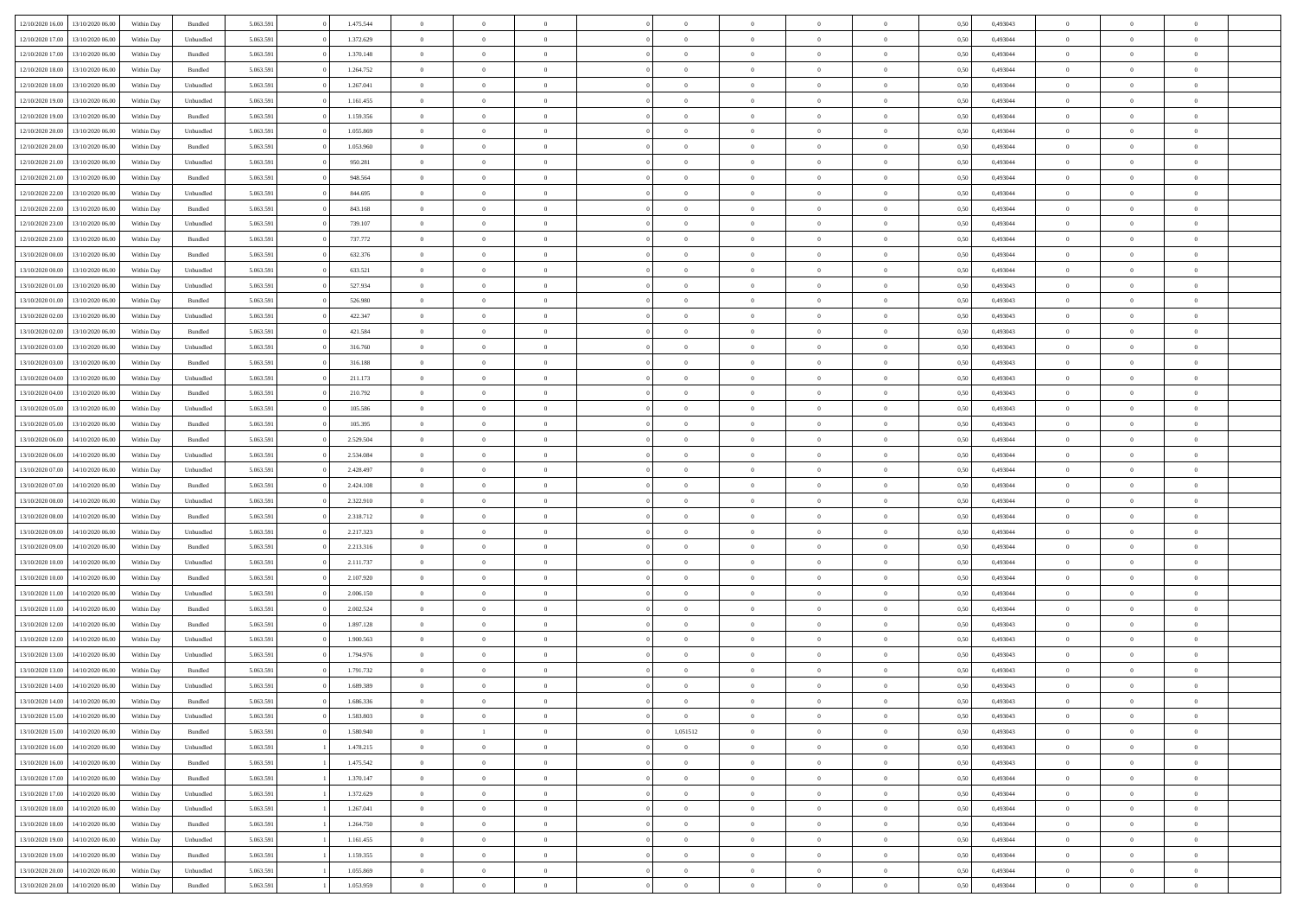| 12/10/2020 16:00 | 13/10/2020 06:00 | Within Dav | Bundled            | 5.063.591 | 1.475.544 | $\overline{0}$ | $\Omega$       |                | $\Omega$       | $\Omega$       | $\Omega$       | $\theta$       | 0.50 | 0,493043 | $\theta$       | $\theta$       | $\theta$       |  |
|------------------|------------------|------------|--------------------|-----------|-----------|----------------|----------------|----------------|----------------|----------------|----------------|----------------|------|----------|----------------|----------------|----------------|--|
| 12/10/2020 17:00 | 13/10/2020 06.00 | Within Day | Unbundled          | 5.063.591 | 1.372.629 | $\overline{0}$ | $\theta$       | $\overline{0}$ | $\overline{0}$ | $\bf{0}$       | $\overline{0}$ | $\bf{0}$       | 0,50 | 0,493044 | $\theta$       | $\overline{0}$ | $\overline{0}$ |  |
| 12/10/2020 17:00 | 13/10/2020 06:00 | Within Day | Bundled            | 5.063.591 | 1.370.148 | $\overline{0}$ | $\overline{0}$ | $\overline{0}$ | $\bf{0}$       | $\bf{0}$       | $\bf{0}$       | $\bf{0}$       | 0,50 | 0,493044 | $\overline{0}$ | $\overline{0}$ | $\overline{0}$ |  |
|                  |                  |            |                    |           |           |                |                |                |                |                |                |                |      |          |                |                |                |  |
| 12/10/2020 18:00 | 13/10/2020 06:00 | Within Dav | Bundled            | 5.063.591 | 1.264.752 | $\overline{0}$ | $\overline{0}$ | $\overline{0}$ | $\overline{0}$ | $\bf{0}$       | $\overline{0}$ | $\overline{0}$ | 0.50 | 0.493044 | $\theta$       | $\theta$       | $\overline{0}$ |  |
| 12/10/2020 18:00 | 13/10/2020 06.00 | Within Day | Unbundled          | 5.063.591 | 1.267.041 | $\overline{0}$ | $\theta$       | $\overline{0}$ | $\overline{0}$ | $\bf{0}$       | $\overline{0}$ | $\bf{0}$       | 0,50 | 0,493044 | $\theta$       | $\theta$       | $\overline{0}$ |  |
| 12/10/2020 19:00 | 13/10/2020 06:00 | Within Day | Unbundled          | 5.063.591 | 1.161.455 | $\overline{0}$ | $\bf{0}$       | $\overline{0}$ | $\bf{0}$       | $\overline{0}$ | $\overline{0}$ | $\mathbf{0}$   | 0,50 | 0,493044 | $\overline{0}$ | $\overline{0}$ | $\bf{0}$       |  |
| 12/10/2020 19:00 | 13/10/2020 06:00 | Within Dav | Bundled            | 5.063.591 | 1.159.356 | $\overline{0}$ | $\overline{0}$ | $\overline{0}$ | $\overline{0}$ | $\overline{0}$ | $\overline{0}$ | $\overline{0}$ | 0.50 | 0,493044 | $\theta$       | $\overline{0}$ | $\overline{0}$ |  |
|                  |                  |            |                    |           |           |                |                |                |                |                |                |                |      |          |                |                |                |  |
| 12/10/2020 20:00 | 13/10/2020 06.00 | Within Day | Unbundled          | 5.063.591 | 1.055.869 | $\overline{0}$ | $\theta$       | $\overline{0}$ | $\overline{0}$ | $\bf{0}$       | $\overline{0}$ | $\bf{0}$       | 0,50 | 0,493044 | $\theta$       | $\theta$       | $\overline{0}$ |  |
| 12/10/2020 20:00 | 13/10/2020 06:00 | Within Day | Bundled            | 5.063.591 | 1.053.960 | $\overline{0}$ | $\overline{0}$ | $\overline{0}$ | $\bf{0}$       | $\bf{0}$       | $\bf{0}$       | $\bf{0}$       | 0,50 | 0,493044 | $\,0\,$        | $\overline{0}$ | $\overline{0}$ |  |
| 12/10/2020 21:00 | 13/10/2020 06:00 | Within Dav | Unbundled          | 5.063.591 | 950.281   | $\overline{0}$ | $\overline{0}$ | $\overline{0}$ | $\overline{0}$ | $\overline{0}$ | $\overline{0}$ | $\overline{0}$ | 0.50 | 0,493044 | $\theta$       | $\overline{0}$ | $\overline{0}$ |  |
| 12/10/2020 21.00 | 13/10/2020 06.00 | Within Day | Bundled            | 5.063.591 | 948.564   | $\overline{0}$ | $\theta$       | $\overline{0}$ | $\overline{0}$ | $\bf{0}$       | $\overline{0}$ |                |      | 0,493044 | $\,$ 0 $\,$    | $\overline{0}$ | $\overline{0}$ |  |
|                  |                  |            |                    |           |           |                |                |                |                |                |                | $\bf{0}$       | 0,50 |          |                |                |                |  |
| 12/10/2020 22.00 | 13/10/2020 06:00 | Within Day | Unbundled          | 5.063.591 | 844.695   | $\overline{0}$ | $\overline{0}$ | $\overline{0}$ | $\bf{0}$       | $\bf{0}$       | $\bf{0}$       | $\bf{0}$       | 0,50 | 0,493044 | $\overline{0}$ | $\overline{0}$ | $\overline{0}$ |  |
| 12/10/2020 22.00 | 13/10/2020 06:00 | Within Day | Bundled            | 5.063.591 | 843.168   | $\overline{0}$ | $\overline{0}$ | $\overline{0}$ | $\overline{0}$ | $\bf{0}$       | $\overline{0}$ | $\overline{0}$ | 0.50 | 0,493044 | $\theta$       | $\theta$       | $\overline{0}$ |  |
| 12/10/2020 23:00 | 13/10/2020 06.00 | Within Day | Unbundled          | 5.063.591 | 739.107   | $\overline{0}$ | $\theta$       | $\overline{0}$ | $\overline{0}$ | $\bf{0}$       | $\overline{0}$ | $\bf{0}$       | 0,50 | 0,493044 | $\theta$       | $\overline{0}$ | $\overline{0}$ |  |
|                  |                  |            |                    |           |           |                |                |                |                |                |                |                |      |          |                |                |                |  |
| 12/10/2020 23:00 | 13/10/2020 06:00 | Within Day | Bundled            | 5.063.591 | 737.772   | $\overline{0}$ | $\bf{0}$       | $\overline{0}$ | $\bf{0}$       | $\overline{0}$ | $\overline{0}$ | $\mathbf{0}$   | 0,50 | 0,493044 | $\overline{0}$ | $\overline{0}$ | $\bf{0}$       |  |
| 13/10/2020 00:00 | 13/10/2020 06:00 | Within Dav | Bundled            | 5.063.591 | 632.376   | $\overline{0}$ | $\overline{0}$ | $\overline{0}$ | $\overline{0}$ | $\overline{0}$ | $\overline{0}$ | $\overline{0}$ | 0.50 | 0,493044 | $\theta$       | $\overline{0}$ | $\overline{0}$ |  |
| 13/10/2020 00:00 | 13/10/2020 06.00 | Within Day | Unbundled          | 5.063.591 | 633.521   | $\overline{0}$ | $\theta$       | $\overline{0}$ | $\overline{0}$ | $\bf{0}$       | $\overline{0}$ | $\bf{0}$       | 0,50 | 0,493044 | $\theta$       | $\theta$       | $\overline{0}$ |  |
| 13/10/2020 01:00 | 13/10/2020 06.00 | Within Day | Unbundled          | 5.063.591 | 527.934   | $\overline{0}$ | $\overline{0}$ | $\overline{0}$ | $\bf{0}$       | $\bf{0}$       | $\bf{0}$       | $\bf{0}$       | 0,50 | 0,493043 | $\,0\,$        | $\overline{0}$ | $\overline{0}$ |  |
|                  |                  |            |                    |           |           |                | $\overline{0}$ |                |                | $\overline{0}$ |                |                |      |          | $\theta$       | $\overline{0}$ | $\overline{0}$ |  |
| 13/10/2020 01:00 | 13/10/2020 06:00 | Within Day | Bundled            | 5.063.591 | 526.980   | $\overline{0}$ |                | $\overline{0}$ | $\overline{0}$ |                | $\overline{0}$ | $\overline{0}$ | 0.50 | 0,493043 |                |                |                |  |
| 13/10/2020 02.00 | 13/10/2020 06.00 | Within Day | Unbundled          | 5.063.591 | 422.347   | $\overline{0}$ | $\theta$       | $\overline{0}$ | $\overline{0}$ | $\bf{0}$       | $\overline{0}$ | $\bf{0}$       | 0,50 | 0,493043 | $\,$ 0 $\,$    | $\theta$       | $\overline{0}$ |  |
| 13/10/2020 02:00 | 13/10/2020 06:00 | Within Day | Bundled            | 5.063.591 | 421.584   | $\overline{0}$ | $\overline{0}$ | $\overline{0}$ | $\bf{0}$       | $\bf{0}$       | $\bf{0}$       | $\bf{0}$       | 0,50 | 0,493043 | $\bf{0}$       | $\overline{0}$ | $\overline{0}$ |  |
| 13/10/2020 03:00 | 13/10/2020 06:00 | Within Day | Unbundled          | 5.063.591 | 316.760   | $\overline{0}$ | $\overline{0}$ | $\overline{0}$ | $\overline{0}$ | $\bf{0}$       | $\overline{0}$ | $\overline{0}$ | 0.50 | 0.493043 | $\theta$       | $\theta$       | $\overline{0}$ |  |
|                  |                  |            |                    |           |           |                |                |                |                |                |                |                |      |          |                |                |                |  |
| 13/10/2020 03:00 | 13/10/2020 06.00 | Within Day | Bundled            | 5.063.591 | 316.188   | $\overline{0}$ | $\theta$       | $\overline{0}$ | $\overline{0}$ | $\bf{0}$       | $\overline{0}$ | $\bf{0}$       | 0,50 | 0,493043 | $\,$ 0 $\,$    | $\overline{0}$ | $\overline{0}$ |  |
| 13/10/2020 04:00 | 13/10/2020 06:00 | Within Day | Unbundled          | 5.063.591 | 211.173   | $\overline{0}$ | $\bf{0}$       | $\overline{0}$ | $\bf{0}$       | $\overline{0}$ | $\overline{0}$ | $\mathbf{0}$   | 0,50 | 0,493043 | $\overline{0}$ | $\overline{0}$ | $\bf{0}$       |  |
| 13/10/2020 04:00 | 13/10/2020 06:00 | Within Dav | Bundled            | 5.063.591 | 210.792   | $\overline{0}$ | $\overline{0}$ | $\overline{0}$ | $\overline{0}$ | $\overline{0}$ | $\overline{0}$ | $\overline{0}$ | 0.50 | 0,493043 | $\theta$       | $\overline{0}$ | $\overline{0}$ |  |
| 13/10/2020 05:00 | 13/10/2020 06.00 | Within Day | Unbundled          | 5.063.591 | 105.586   | $\overline{0}$ | $\theta$       | $\overline{0}$ | $\overline{0}$ | $\bf{0}$       | $\overline{0}$ | $\bf{0}$       | 0,50 | 0,493043 | $\theta$       | $\theta$       | $\overline{0}$ |  |
|                  |                  |            |                    |           |           |                |                |                |                |                |                |                |      |          |                |                |                |  |
| 13/10/2020 05:00 | 13/10/2020 06:00 | Within Day | Bundled            | 5.063.591 | 105.395   | $\overline{0}$ | $\overline{0}$ | $\overline{0}$ | $\bf{0}$       | $\bf{0}$       | $\bf{0}$       | $\bf{0}$       | 0,50 | 0,493043 | $\,0\,$        | $\overline{0}$ | $\overline{0}$ |  |
| 13/10/2020 06:00 | 14/10/2020 06.00 | Within Day | Bundled            | 5.063.591 | 2.529.504 | $\overline{0}$ | $\overline{0}$ | $\overline{0}$ | $\overline{0}$ | $\overline{0}$ | $\overline{0}$ | $\overline{0}$ | 0.50 | 0,493044 | $\theta$       | $\overline{0}$ | $\overline{0}$ |  |
| 13/10/2020 06:00 | 14/10/2020 06.00 | Within Day | Unbundled          | 5.063.591 | 2.534.084 | $\overline{0}$ | $\theta$       | $\overline{0}$ | $\overline{0}$ | $\bf{0}$       | $\overline{0}$ | $\bf{0}$       | 0,50 | 0,493044 | $\,$ 0 $\,$    | $\overline{0}$ | $\overline{0}$ |  |
| 13/10/2020 07.00 | 14/10/2020 06.00 | Within Day | Unbundled          | 5.063.591 | 2.428.497 | $\overline{0}$ | $\overline{0}$ | $\overline{0}$ | $\bf{0}$       | $\bf{0}$       | $\bf{0}$       | $\bf{0}$       | 0,50 | 0,493044 | $\overline{0}$ | $\overline{0}$ | $\overline{0}$ |  |
|                  |                  |            |                    |           |           |                |                |                |                |                |                |                |      |          |                |                |                |  |
| 13/10/2020 07:00 | 14/10/2020 06.00 | Within Day | Bundled            | 5.063.591 | 2.424.108 | $\overline{0}$ | $\Omega$       | $\Omega$       | $\Omega$       | $\Omega$       | $\overline{0}$ | $\overline{0}$ | 0,50 | 0,493044 | $\,0\,$        | $\theta$       | $\theta$       |  |
| 13/10/2020 08:00 | 14/10/2020 06.00 | Within Day | Unbundled          | 5.063.591 | 2.322.910 | $\overline{0}$ | $\theta$       | $\overline{0}$ | $\overline{0}$ | $\bf{0}$       | $\overline{0}$ | $\bf{0}$       | 0,50 | 0,493044 | $\theta$       | $\theta$       | $\overline{0}$ |  |
| 13/10/2020 08:00 | 14/10/2020 06.00 | Within Day | Bundled            | 5.063.591 | 2.318.712 | $\overline{0}$ | $\overline{0}$ | $\overline{0}$ | $\bf{0}$       | $\bf{0}$       | $\overline{0}$ | $\mathbf{0}$   | 0,50 | 0,493044 | $\overline{0}$ | $\overline{0}$ | $\bf{0}$       |  |
| 13/10/2020 09:00 | 14/10/2020 06.00 | Within Day | Unbundled          | 5.063.591 | 2.217.323 | $\overline{0}$ | $\Omega$       | $\Omega$       | $\Omega$       | $\bf{0}$       | $\overline{0}$ | $\overline{0}$ | 0.50 | 0,493044 | $\theta$       | $\theta$       | $\theta$       |  |
|                  |                  |            |                    |           |           | $\overline{0}$ | $\theta$       | $\overline{0}$ |                | $\bf{0}$       | $\overline{0}$ |                |      |          |                | $\theta$       | $\overline{0}$ |  |
| 13/10/2020 09:00 | 14/10/2020 06.00 | Within Day | Bundled            | 5.063.591 | 2.213.316 |                |                |                | $\overline{0}$ |                |                | $\bf{0}$       | 0,50 | 0,493044 | $\,$ 0 $\,$    |                |                |  |
| 13/10/2020 10:00 | 14/10/2020 06.00 | Within Day | Unbundled          | 5.063.591 | 2.111.737 | $\overline{0}$ | $\overline{0}$ | $\overline{0}$ | $\bf{0}$       | $\bf{0}$       | $\bf{0}$       | $\bf{0}$       | 0,50 | 0,493044 | $\,0\,$        | $\overline{0}$ | $\overline{0}$ |  |
| 13/10/2020 10:00 | 14/10/2020 06:00 | Within Day | Bundled            | 5.063.591 | 2.107.920 | $\overline{0}$ | $\Omega$       | $\Omega$       | $\Omega$       | $\theta$       | $\theta$       | $\overline{0}$ | 0.50 | 0,493044 | $\theta$       | $\theta$       | $\theta$       |  |
| 13/10/2020 11:00 | 14/10/2020 06.00 | Within Day | Unbundled          | 5.063.591 | 2.006.150 | $\overline{0}$ | $\theta$       | $\overline{0}$ | $\overline{0}$ | $\bf{0}$       | $\overline{0}$ | $\bf{0}$       | 0,50 | 0,493044 | $\,$ 0 $\,$    | $\overline{0}$ | $\overline{0}$ |  |
|                  |                  |            |                    |           |           |                |                |                |                |                |                |                |      |          |                |                |                |  |
| 13/10/2020 11:00 | 14/10/2020 06.00 | Within Day | Bundled            | 5.063.591 | 2.002.524 | $\overline{0}$ | $\overline{0}$ | $\overline{0}$ | $\overline{0}$ | $\bf{0}$       | $\overline{0}$ | $\bf{0}$       | 0,50 | 0,493044 | $\overline{0}$ | $\overline{0}$ | $\overline{0}$ |  |
| 13/10/2020 12:00 | 14/10/2020 06.00 | Within Day | Bundled            | 5.063.591 | 1.897.128 | $\overline{0}$ | $\Omega$       | $\overline{0}$ | $\Omega$       | $\Omega$       | $\overline{0}$ | $\overline{0}$ | 0,50 | 0,493043 | $\,0\,$        | $\theta$       | $\theta$       |  |
| 13/10/2020 12:00 | 14/10/2020 06.00 | Within Day | Unbundled          | 5.063.591 | 1.900.563 | $\overline{0}$ | $\theta$       | $\overline{0}$ | $\overline{0}$ | $\,$ 0         | $\overline{0}$ | $\bf{0}$       | 0,50 | 0,493043 | $\,$ 0 $\,$    | $\overline{0}$ | $\overline{0}$ |  |
| 13/10/2020 13:00 | 14/10/2020 06.00 | Within Day | Unbundled          | 5.063.591 | 1.794.976 | $\overline{0}$ | $\overline{0}$ | $\overline{0}$ | $\overline{0}$ | $\bf{0}$       | $\overline{0}$ | $\mathbf{0}$   | 0,50 | 0,493043 | $\overline{0}$ | $\overline{0}$ | $\bf{0}$       |  |
|                  |                  |            |                    |           |           | $\overline{0}$ | $\Omega$       | $\Omega$       | $\Omega$       | $\Omega$       | $\Omega$       | $\overline{0}$ | 0.50 | 0,493043 | $\theta$       | $\theta$       | $\theta$       |  |
| 13/10/2020 13:00 | 14/10/2020 06.00 | Within Day | Bundled            | 5.063.591 | 1.791.732 |                |                |                |                |                |                |                |      |          |                |                |                |  |
| 13/10/2020 14:00 | 14/10/2020 06.00 | Within Day | Unbundled          | 5.063.591 | 1.689.389 | $\overline{0}$ | $\,$ 0 $\,$    | $\overline{0}$ | $\bf{0}$       | $\,$ 0         | $\overline{0}$ | $\bf{0}$       | 0,50 | 0,493043 | $\,0\,$        | $\overline{0}$ | $\overline{0}$ |  |
| 13/10/2020 14:00 | 14/10/2020 06.00 | Within Day | $\mathbf B$ undled | 5.063.591 | 1.686.336 | $\bf{0}$       | $\bf{0}$       |                |                |                |                |                | 0,50 | 0,493043 | $\bf{0}$       | $\overline{0}$ |                |  |
| 13/10/2020 15:00 | 14/10/2020 06:00 | Within Day | Unbundled          | 5.063.591 | 1.583.803 | $\overline{0}$ | $\overline{0}$ | $\overline{0}$ | $\Omega$       | $\overline{0}$ | $\overline{0}$ | $\overline{0}$ | 0.50 | 0,493043 | $\theta$       | $\theta$       | $\theta$       |  |
| 13/10/2020 15:00 | 14/10/2020 06.00 | Within Day | Bundled            | 5.063.591 | 1.580.940 | $\overline{0}$ | $\mathbf{1}$   | $\overline{0}$ | 1,051512       | $\bf{0}$       | $\overline{0}$ | $\mathbf{0}$   | 0,50 | 0,493043 | $\,$ 0 $\,$    | $\,$ 0 $\,$    | $\,$ 0         |  |
|                  |                  |            |                    |           |           |                |                |                |                |                |                |                |      |          |                |                |                |  |
| 13/10/2020 16:00 | 14/10/2020 06.00 | Within Day | Unbundled          | 5.063.591 | 1.478.215 | $\overline{0}$ | $\overline{0}$ | $\overline{0}$ | $\overline{0}$ | $\overline{0}$ | $\overline{0}$ | $\mathbf{0}$   | 0,50 | 0,493043 | $\overline{0}$ | $\bf{0}$       | $\bf{0}$       |  |
| 13/10/2020 16:00 | 14/10/2020 06.00 | Within Day | $\mathbf B$ undled | 5.063.591 | 1.475.542 | $\overline{0}$ | $\overline{0}$ | $\overline{0}$ | $\Omega$       | $\overline{0}$ | $\overline{0}$ | $\bf{0}$       | 0,50 | 0,493043 | $\overline{0}$ | $\theta$       | $\overline{0}$ |  |
| 13/10/2020 17:00 | 14/10/2020 06.00 | Within Day | Bundled            | 5.063.591 | 1.370.147 | $\overline{0}$ | $\,$ 0         | $\overline{0}$ | $\overline{0}$ | $\overline{0}$ | $\overline{0}$ | $\bf{0}$       | 0,50 | 0,493044 | $\,$ 0 $\,$    | $\overline{0}$ | $\overline{0}$ |  |
| 13/10/2020 17:00 | 14/10/2020 06.00 | Within Day | Unbundled          | 5.063.591 | 1.372.629 | $\overline{0}$ | $\overline{0}$ | $\overline{0}$ | $\overline{0}$ | $\overline{0}$ | $\overline{0}$ | $\mathbf{0}$   | 0,50 | 0,493044 | $\overline{0}$ | $\overline{0}$ | $\bf{0}$       |  |
|                  |                  |            |                    |           |           |                |                |                |                |                |                |                |      |          |                |                |                |  |
| 13/10/2020 18:00 | 14/10/2020 06.00 | Within Day | Unbundled          | 5.063.591 | 1.267.041 | $\overline{0}$ | $\overline{0}$ | $\overline{0}$ | $\Omega$       | $\overline{0}$ | $\overline{0}$ | $\bf{0}$       | 0.50 | 0,493044 | $\overline{0}$ | $\theta$       | $\overline{0}$ |  |
| 13/10/2020 18:00 | 14/10/2020 06.00 | Within Day | Bundled            | 5.063.591 | 1.264.750 | $\overline{0}$ | $\,$ 0         | $\overline{0}$ | $\overline{0}$ | $\bf{0}$       | $\overline{0}$ | $\bf{0}$       | 0,50 | 0,493044 | $\,$ 0 $\,$    | $\overline{0}$ | $\overline{0}$ |  |
| 13/10/2020 19:00 | 14/10/2020 06.00 | Within Day | Unbundled          | 5.063.591 | 1.161.455 | $\overline{0}$ | $\bf{0}$       | $\overline{0}$ | $\overline{0}$ | $\overline{0}$ | $\bf{0}$       | $\mathbf{0}$   | 0,50 | 0,493044 | $\overline{0}$ | $\overline{0}$ | $\bf{0}$       |  |
| 13/10/2020 19:00 | 14/10/2020 06.00 | Within Day | Bundled            | 5.063.591 | 1.159.355 | $\overline{0}$ | $\overline{0}$ | $\overline{0}$ | $\Omega$       | $\overline{0}$ | $\overline{0}$ | $\bf{0}$       | 0.50 | 0,493044 | $\overline{0}$ | $\theta$       | $\overline{0}$ |  |
|                  |                  |            |                    |           |           |                |                |                |                |                |                |                |      |          |                |                |                |  |
| 13/10/2020 20:00 | 14/10/2020 06.00 | Within Day | Unbundled          | 5.063.591 | 1.055.869 | $\overline{0}$ | $\,$ 0 $\,$    | $\overline{0}$ | $\overline{0}$ | $\bf{0}$       | $\bf{0}$       | $\bf{0}$       | 0,50 | 0,493044 | $\,$ 0 $\,$    | $\,$ 0 $\,$    | $\bf{0}$       |  |
| 13/10/2020 20:00 | 14/10/2020 06.00 | Within Day | Bundled            | 5.063.591 | 1.053.959 | $\overline{0}$ | $\bf{0}$       | $\overline{0}$ | $\bf{0}$       | $\bf{0}$       | $\bf{0}$       | $\bf{0}$       | 0,50 | 0,493044 | $\overline{0}$ | $\overline{0}$ | $\bf{0}$       |  |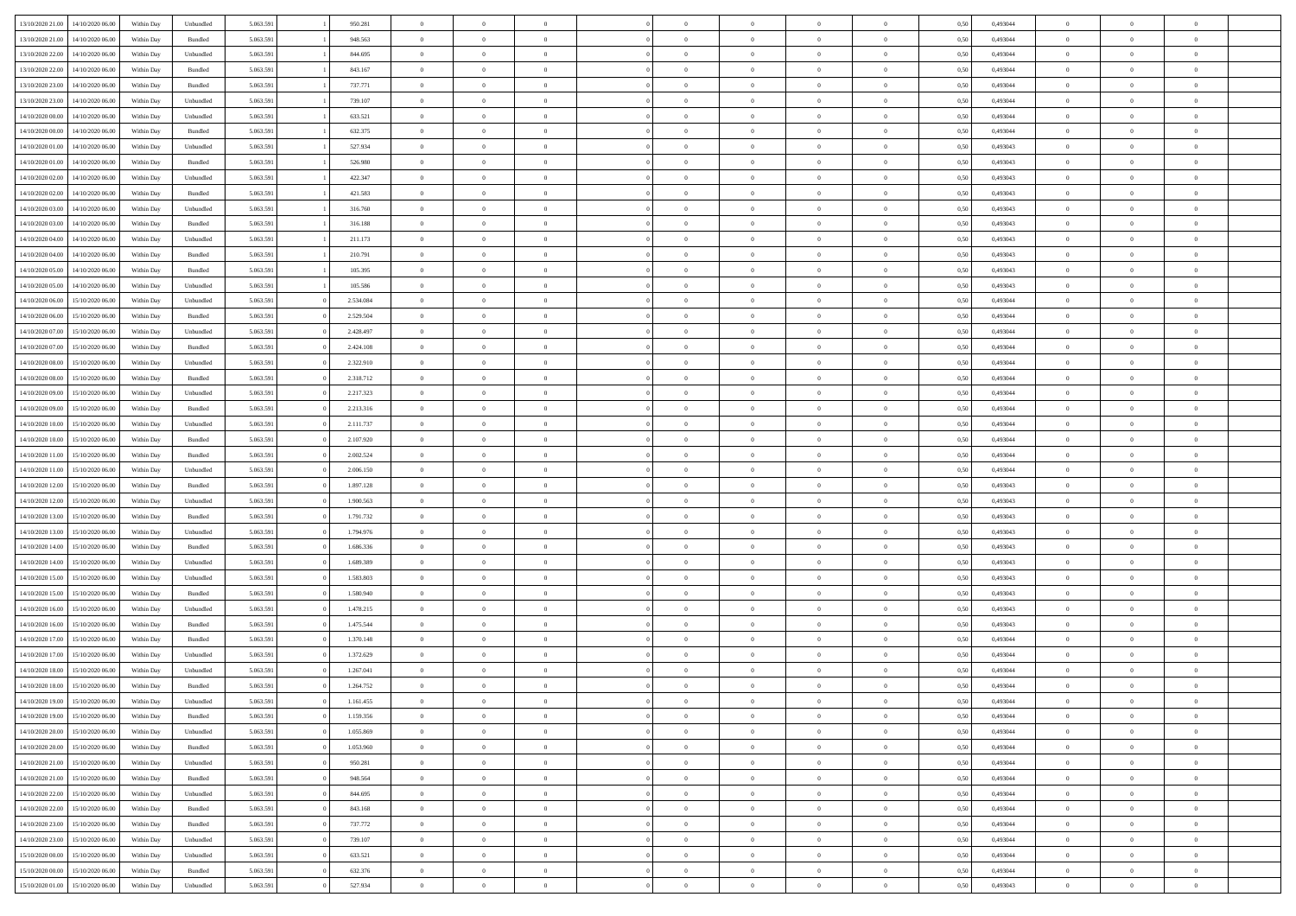| 13/10/2020 21:00 | 14/10/2020 06:00 | Within Dav | Unbundled | 5.063.591 | 950.281   | $\overline{0}$ | $\Omega$       |                | $\Omega$       | $\Omega$       | $\Omega$       | $\theta$       | 0.50 | 0,493044 | $\theta$       | $\theta$       | $\theta$       |  |
|------------------|------------------|------------|-----------|-----------|-----------|----------------|----------------|----------------|----------------|----------------|----------------|----------------|------|----------|----------------|----------------|----------------|--|
| 13/10/2020 21:00 | 14/10/2020 06.00 | Within Day | Bundled   | 5.063.591 | 948.563   | $\overline{0}$ | $\theta$       | $\overline{0}$ | $\overline{0}$ | $\bf{0}$       | $\overline{0}$ | $\bf{0}$       | 0,50 | 0,493044 | $\theta$       | $\overline{0}$ | $\overline{0}$ |  |
| 13/10/2020 22.00 | 14/10/2020 06.00 | Within Day | Unbundled | 5.063.591 | 844.695   | $\overline{0}$ | $\overline{0}$ | $\overline{0}$ | $\bf{0}$       | $\bf{0}$       | $\bf{0}$       | $\bf{0}$       | 0,50 | 0,493044 | $\bf{0}$       | $\overline{0}$ | $\overline{0}$ |  |
|                  |                  |            |           |           |           |                |                |                |                |                |                |                |      |          | $\theta$       |                |                |  |
| 13/10/2020 22.00 | 14/10/2020 06:00 | Within Dav | Bundled   | 5.063.591 | 843.167   | $\overline{0}$ | $\overline{0}$ | $\overline{0}$ | $\overline{0}$ | $\bf{0}$       | $\overline{0}$ | $\overline{0}$ | 0.50 | 0.493044 |                | $\theta$       | $\overline{0}$ |  |
| 13/10/2020 23:00 | 14/10/2020 06.00 | Within Day | Bundled   | 5.063.591 | 737.771   | $\overline{0}$ | $\theta$       | $\overline{0}$ | $\overline{0}$ | $\bf{0}$       | $\overline{0}$ | $\bf{0}$       | 0,50 | 0,493044 | $\theta$       | $\theta$       | $\overline{0}$ |  |
| 13/10/2020 23.00 | 14/10/2020 06.00 | Within Day | Unbundled | 5.063.591 | 739.107   | $\overline{0}$ | $\bf{0}$       | $\overline{0}$ | $\bf{0}$       | $\overline{0}$ | $\overline{0}$ | $\mathbf{0}$   | 0,50 | 0,493044 | $\overline{0}$ | $\overline{0}$ | $\bf{0}$       |  |
| 14/10/2020 00:00 | 14/10/2020 06.00 | Within Dav | Unbundled | 5.063.591 | 633.521   | $\overline{0}$ | $\overline{0}$ | $\overline{0}$ | $\overline{0}$ | $\overline{0}$ | $\overline{0}$ | $\overline{0}$ | 0.50 | 0,493044 | $\theta$       | $\overline{0}$ | $\overline{0}$ |  |
|                  |                  |            |           |           |           |                |                |                |                |                |                |                |      |          |                |                |                |  |
| 14/10/2020 00.00 | 14/10/2020 06.00 | Within Day | Bundled   | 5.063.591 | 632.375   | $\overline{0}$ | $\theta$       | $\overline{0}$ | $\overline{0}$ | $\bf{0}$       | $\overline{0}$ | $\bf{0}$       | 0,50 | 0,493044 | $\theta$       | $\theta$       | $\overline{0}$ |  |
| 14/10/2020 01:00 | 14/10/2020 06.00 | Within Day | Unbundled | 5.063.591 | 527.934   | $\overline{0}$ | $\overline{0}$ | $\overline{0}$ | $\bf{0}$       | $\bf{0}$       | $\bf{0}$       | $\bf{0}$       | 0,50 | 0,493043 | $\,0\,$        | $\overline{0}$ | $\overline{0}$ |  |
| 14/10/2020 01:00 | 14/10/2020 06.00 | Within Dav | Bundled   | 5.063.591 | 526.980   | $\overline{0}$ | $\overline{0}$ | $\overline{0}$ | $\overline{0}$ | $\overline{0}$ | $\overline{0}$ | $\overline{0}$ | 0.50 | 0,493043 | $\theta$       | $\overline{0}$ | $\overline{0}$ |  |
|                  |                  |            |           |           |           |                |                |                |                |                |                |                |      |          |                |                |                |  |
| 14/10/2020 02.00 | 14/10/2020 06.00 | Within Day | Unbundled | 5.063.591 | 422.347   | $\overline{0}$ | $\theta$       | $\overline{0}$ | $\overline{0}$ | $\bf{0}$       | $\overline{0}$ | $\bf{0}$       | 0,50 | 0,493043 | $\,$ 0 $\,$    | $\overline{0}$ | $\overline{0}$ |  |
| 14/10/2020 02.00 | 14/10/2020 06.00 | Within Day | Bundled   | 5.063.591 | 421.583   | $\overline{0}$ | $\overline{0}$ | $\overline{0}$ | $\bf{0}$       | $\bf{0}$       | $\bf{0}$       | $\bf{0}$       | 0,50 | 0,493043 | $\overline{0}$ | $\overline{0}$ | $\overline{0}$ |  |
| 14/10/2020 03:00 | 14/10/2020 06:00 | Within Day | Unbundled | 5.063.591 | 316.760   | $\overline{0}$ | $\overline{0}$ | $\overline{0}$ | $\overline{0}$ | $\bf{0}$       | $\overline{0}$ | $\overline{0}$ | 0.50 | 0,493043 | $\theta$       | $\theta$       | $\overline{0}$ |  |
| 14/10/2020 03:00 | 14/10/2020 06.00 | Within Day | Bundled   | 5.063.591 | 316.188   | $\overline{0}$ | $\theta$       | $\overline{0}$ | $\overline{0}$ | $\bf{0}$       | $\overline{0}$ | $\bf{0}$       | 0,50 | 0,493043 | $\theta$       | $\overline{0}$ | $\overline{0}$ |  |
|                  |                  |            |           |           |           |                |                |                |                |                |                |                |      |          |                |                |                |  |
| 14/10/2020 04:00 | 14/10/2020 06.00 | Within Day | Unbundled | 5.063.591 | 211.173   | $\overline{0}$ | $\bf{0}$       | $\overline{0}$ | $\bf{0}$       | $\overline{0}$ | $\overline{0}$ | $\mathbf{0}$   | 0,50 | 0,493043 | $\overline{0}$ | $\overline{0}$ | $\bf{0}$       |  |
| 14/10/2020 04:00 | 14/10/2020 06.00 | Within Dav | Bundled   | 5.063.591 | 210.791   | $\overline{0}$ | $\overline{0}$ | $\overline{0}$ | $\overline{0}$ | $\overline{0}$ | $\overline{0}$ | $\overline{0}$ | 0.50 | 0,493043 | $\theta$       | $\overline{0}$ | $\overline{0}$ |  |
| 14/10/2020 05:00 | 14/10/2020 06.00 | Within Day | Bundled   | 5.063.591 | 105.395   | $\overline{0}$ | $\theta$       | $\overline{0}$ | $\overline{0}$ | $\bf{0}$       | $\overline{0}$ | $\bf{0}$       | 0,50 | 0,493043 | $\theta$       | $\theta$       | $\overline{0}$ |  |
|                  |                  |            |           |           |           |                | $\overline{0}$ |                |                | $\bf{0}$       |                |                |      |          | $\,0\,$        | $\overline{0}$ | $\overline{0}$ |  |
| 14/10/2020 05:00 | 14/10/2020 06.00 | Within Day | Unbundled | 5.063.591 | 105.586   | $\overline{0}$ |                | $\overline{0}$ | $\bf{0}$       |                | $\bf{0}$       | $\bf{0}$       | 0,50 | 0,493043 |                |                |                |  |
| 14/10/2020 06:00 | 15/10/2020 06.00 | Within Day | Unbundled | 5.063.591 | 2.534.084 | $\overline{0}$ | $\overline{0}$ | $\overline{0}$ | $\overline{0}$ | $\overline{0}$ | $\overline{0}$ | $\overline{0}$ | 0.50 | 0,493044 | $\theta$       | $\overline{0}$ | $\overline{0}$ |  |
| 14/10/2020 06.00 | 15/10/2020 06.00 | Within Day | Bundled   | 5.063.591 | 2.529.504 | $\overline{0}$ | $\theta$       | $\overline{0}$ | $\overline{0}$ | $\bf{0}$       | $\overline{0}$ | $\bf{0}$       | 0,50 | 0,493044 | $\,$ 0 $\,$    | $\theta$       | $\overline{0}$ |  |
| 14/10/2020 07:00 | 15/10/2020 06.00 | Within Day | Unbundled | 5.063.591 | 2.428.497 | $\overline{0}$ | $\overline{0}$ | $\overline{0}$ | $\bf{0}$       | $\bf{0}$       | $\bf{0}$       | $\bf{0}$       | 0,50 | 0,493044 | $\,0\,$        | $\overline{0}$ | $\overline{0}$ |  |
|                  |                  |            |           |           |           |                |                |                |                |                |                |                |      |          | $\theta$       |                |                |  |
| 14/10/2020 07:00 | 15/10/2020 06:00 | Within Day | Bundled   | 5.063.591 | 2.424.108 | $\overline{0}$ | $\overline{0}$ | $\overline{0}$ | $\overline{0}$ | $\bf{0}$       | $\overline{0}$ | $\overline{0}$ | 0.50 | 0.493044 |                | $\theta$       | $\overline{0}$ |  |
| 14/10/2020 08:00 | 15/10/2020 06.00 | Within Day | Unbundled | 5.063.591 | 2.322.910 | $\overline{0}$ | $\theta$       | $\overline{0}$ | $\overline{0}$ | $\bf{0}$       | $\overline{0}$ | $\bf{0}$       | 0,50 | 0,493044 | $\,$ 0 $\,$    | $\overline{0}$ | $\overline{0}$ |  |
| 14/10/2020 08.00 | 15/10/2020 06.00 | Within Day | Bundled   | 5.063.591 | 2.318.712 | $\overline{0}$ | $\bf{0}$       | $\overline{0}$ | $\bf{0}$       | $\overline{0}$ | $\overline{0}$ | $\mathbf{0}$   | 0,50 | 0,493044 | $\overline{0}$ | $\overline{0}$ | $\bf{0}$       |  |
| 14/10/2020 09:00 | 15/10/2020 06:00 | Within Dav | Unbundled | 5.063.591 | 2.217.323 | $\overline{0}$ | $\overline{0}$ | $\overline{0}$ | $\overline{0}$ | $\overline{0}$ | $\overline{0}$ | $\overline{0}$ | 0.50 | 0,493044 | $\theta$       | $\overline{0}$ | $\overline{0}$ |  |
|                  |                  |            |           |           |           |                |                |                |                |                |                |                |      |          |                |                |                |  |
| 14/10/2020 09:00 | 15/10/2020 06.00 | Within Day | Bundled   | 5.063.591 | 2.213.316 | $\overline{0}$ | $\theta$       | $\overline{0}$ | $\overline{0}$ | $\bf{0}$       | $\overline{0}$ | $\bf{0}$       | 0,50 | 0,493044 | $\theta$       | $\theta$       | $\overline{0}$ |  |
| 14/10/2020 10:00 | 15/10/2020 06.00 | Within Day | Unbundled | 5.063.591 | 2.111.737 | $\overline{0}$ | $\overline{0}$ | $\overline{0}$ | $\bf{0}$       | $\bf{0}$       | $\bf{0}$       | $\bf{0}$       | 0,50 | 0,493044 | $\,0\,$        | $\overline{0}$ | $\overline{0}$ |  |
| 14/10/2020 10:00 | 15/10/2020 06:00 | Within Day | Bundled   | 5.063.591 | 2.107.920 | $\overline{0}$ | $\overline{0}$ | $\overline{0}$ | $\overline{0}$ | $\overline{0}$ | $\overline{0}$ | $\overline{0}$ | 0.50 | 0,493044 | $\theta$       | $\overline{0}$ | $\overline{0}$ |  |
| 14/10/2020 11:00 | 15/10/2020 06.00 | Within Day | Bundled   | 5.063.591 | 2.002.524 | $\overline{0}$ | $\theta$       | $\overline{0}$ | $\overline{0}$ | $\bf{0}$       | $\overline{0}$ | $\bf{0}$       | 0,50 | 0,493044 | $\,$ 0 $\,$    | $\overline{0}$ | $\overline{0}$ |  |
|                  |                  |            |           |           |           |                |                |                |                |                |                |                |      |          |                |                |                |  |
| 14/10/2020 11:00 | 15/10/2020 06.00 | Within Day | Unbundled | 5.063.591 | 2.006.150 | $\overline{0}$ | $\overline{0}$ | $\overline{0}$ | $\bf{0}$       | $\bf{0}$       | $\bf{0}$       | $\bf{0}$       | 0,50 | 0,493044 | $\overline{0}$ | $\overline{0}$ | $\overline{0}$ |  |
| 14/10/2020 12:00 | 15/10/2020 06.00 | Within Day | Bundled   | 5.063.591 | 1.897.128 | $\overline{0}$ | $\Omega$       | $\Omega$       | $\Omega$       | $\Omega$       | $\Omega$       | $\overline{0}$ | 0,50 | 0,493043 | $\,0\,$        | $\theta$       | $\theta$       |  |
| 14/10/2020 12:00 | 15/10/2020 06.00 | Within Day | Unbundled | 5.063.591 | 1.900.563 | $\overline{0}$ | $\theta$       | $\overline{0}$ | $\overline{0}$ | $\bf{0}$       | $\overline{0}$ | $\bf{0}$       | 0,50 | 0,493043 | $\theta$       | $\theta$       | $\overline{0}$ |  |
| 14/10/2020 13:00 | 15/10/2020 06:00 | Within Day | Bundled   | 5.063.591 | 1.791.732 | $\overline{0}$ | $\overline{0}$ | $\overline{0}$ | $\bf{0}$       | $\bf{0}$       | $\overline{0}$ | $\mathbf{0}$   | 0,50 | 0,493043 | $\overline{0}$ | $\overline{0}$ | $\bf{0}$       |  |
|                  |                  |            |           |           |           |                |                |                |                |                |                |                |      |          |                |                |                |  |
| 14/10/2020 13:00 | 15/10/2020 06.00 | Within Day | Unbundled | 5.063.591 | 1.794.976 | $\overline{0}$ | $\Omega$       | $\Omega$       | $\Omega$       | $\bf{0}$       | $\overline{0}$ | $\overline{0}$ | 0.50 | 0,493043 | $\theta$       | $\theta$       | $\theta$       |  |
| 14/10/2020 14:00 | 15/10/2020 06.00 | Within Day | Bundled   | 5.063.591 | 1.686.336 | $\overline{0}$ | $\theta$       | $\overline{0}$ | $\overline{0}$ | $\bf{0}$       | $\overline{0}$ | $\bf{0}$       | 0,50 | 0,493043 | $\,$ 0 $\,$    | $\theta$       | $\overline{0}$ |  |
| 14/10/2020 14:00 | 15/10/2020 06.00 | Within Day | Unbundled | 5.063.591 | 1.689.389 | $\overline{0}$ | $\overline{0}$ | $\overline{0}$ | $\bf{0}$       | $\bf{0}$       | $\bf{0}$       | $\bf{0}$       | 0,50 | 0,493043 | $\,0\,$        | $\overline{0}$ | $\overline{0}$ |  |
| 14/10/2020 15:00 | 15/10/2020 06:00 |            | Unbundled | 5.063.591 | 1.583.803 | $\overline{0}$ | $\Omega$       | $\Omega$       | $\Omega$       | $\theta$       | $\theta$       | $\overline{0}$ | 0.50 | 0,493043 | $\theta$       | $\theta$       | $\theta$       |  |
|                  |                  | Within Day |           |           |           |                |                |                |                |                |                |                |      |          |                |                |                |  |
| 14/10/2020 15:00 | 15/10/2020 06.00 | Within Day | Bundled   | 5.063.591 | 1.580.940 | $\overline{0}$ | $\theta$       | $\overline{0}$ | $\overline{0}$ | $\bf{0}$       | $\overline{0}$ | $\bf{0}$       | 0,50 | 0,493043 | $\,$ 0 $\,$    | $\overline{0}$ | $\overline{0}$ |  |
| 14/10/2020 16:00 | 15/10/2020 06:00 | Within Day | Unbundled | 5.063.591 | 1.478.215 | $\overline{0}$ | $\overline{0}$ | $\overline{0}$ | $\bf{0}$       | $\bf{0}$       | $\bf{0}$       | $\bf{0}$       | 0,50 | 0,493043 | $\overline{0}$ | $\overline{0}$ | $\overline{0}$ |  |
| 14/10/2020 16.00 | 15/10/2020 06.00 | Within Day | Bundled   | 5.063.591 | 1.475.544 | $\overline{0}$ | $\Omega$       | $\overline{0}$ | $\Omega$       | $\Omega$       | $\overline{0}$ | $\overline{0}$ | 0,50 | 0,493043 | $\,0\,$        | $\theta$       | $\theta$       |  |
| 14/10/2020 17:00 | 15/10/2020 06.00 | Within Day |           | 5.063.591 | 1.370.148 | $\overline{0}$ | $\theta$       | $\overline{0}$ | $\overline{0}$ | $\,$ 0         | $\overline{0}$ |                |      | 0,493044 | $\,$ 0 $\,$    | $\overline{0}$ | $\overline{0}$ |  |
|                  |                  |            | Bundled   |           |           |                |                |                |                |                |                | $\bf{0}$       | 0,50 |          |                |                |                |  |
| 14/10/2020 17.00 | 15/10/2020 06.00 | Within Day | Unbundled | 5.063.591 | 1.372.629 | $\overline{0}$ | $\overline{0}$ | $\overline{0}$ | $\bf{0}$       | $\bf{0}$       | $\bf{0}$       | $\mathbf{0}$   | 0,50 | 0,493044 | $\overline{0}$ | $\overline{0}$ | $\bf{0}$       |  |
| 14/10/2020 18:00 | 15/10/2020 06.00 | Within Day | Unbundled | 5.063.591 | 1.267.041 | $\overline{0}$ | $\Omega$       | $\Omega$       | $\Omega$       | $\Omega$       | $\Omega$       | $\overline{0}$ | 0.50 | 0.493044 | $\theta$       | $\theta$       | $\theta$       |  |
| 14/10/2020 18:00 | 15/10/2020 06.00 | Within Day | Bundled   | 5.063.591 | 1.264.752 | $\overline{0}$ | $\,$ 0 $\,$    | $\overline{0}$ | $\bf{0}$       | $\,$ 0         | $\bf{0}$       | $\bf{0}$       | 0,50 | 0,493044 | $\,0\,$        | $\overline{0}$ | $\overline{0}$ |  |
| 14/10/2020 19:00 | 15/10/2020 06:00 | Within Day | Unbundled | 5.063.591 | 1.161.455 | $\bf{0}$       | $\bf{0}$       |                |                |                |                |                | 0,50 | 0,493044 | $\bf{0}$       | $\overline{0}$ |                |  |
|                  |                  |            |           |           |           |                |                |                |                |                |                |                |      |          |                |                |                |  |
| 14/10/2020 19:00 | 15/10/2020 06:00 | Within Day | Bundled   | 5.063.591 | 1.159.356 | $\overline{0}$ | $\overline{0}$ | $\overline{0}$ | $\Omega$       | $\overline{0}$ | $\overline{0}$ | $\overline{0}$ | 0,50 | 0,493044 | $\theta$       | $\theta$       | $\theta$       |  |
| 14/10/2020 20:00 | 15/10/2020 06.00 | Within Day | Unbundled | 5.063.591 | 1.055.869 | $\overline{0}$ | $\bf{0}$       | $\overline{0}$ | $\bf{0}$       | $\,$ 0 $\,$    | $\overline{0}$ | $\,$ 0 $\,$    | 0,50 | 0,493044 | $\,$ 0 $\,$    | $\,$ 0 $\,$    | $\,$ 0         |  |
| 14/10/2020 20.00 | 15/10/2020 06.00 | Within Day | Bundled   | 5.063.591 | 1.053.960 | $\overline{0}$ | $\overline{0}$ | $\overline{0}$ | $\overline{0}$ | $\overline{0}$ | $\overline{0}$ | $\mathbf{0}$   | 0,50 | 0,493044 | $\overline{0}$ | $\bf{0}$       | $\bf{0}$       |  |
|                  |                  |            |           |           |           |                |                |                |                |                |                |                |      |          |                |                |                |  |
| 14/10/2020 21:00 | 15/10/2020 06.00 | Within Day | Unbundled | 5.063.591 | 950.281   | $\overline{0}$ | $\overline{0}$ | $\overline{0}$ | $\Omega$       | $\overline{0}$ | $\overline{0}$ | $\overline{0}$ | 0,50 | 0,493044 | $\overline{0}$ | $\theta$       | $\overline{0}$ |  |
| 14/10/2020 21.00 | 15/10/2020 06.00 | Within Day | Bundled   | 5.063.591 | 948.564   | $\overline{0}$ | $\,$ 0         | $\overline{0}$ | $\bf{0}$       | $\,$ 0 $\,$    | $\overline{0}$ | $\mathbf{0}$   | 0,50 | 0,493044 | $\,$ 0 $\,$    | $\overline{0}$ | $\overline{0}$ |  |
| 14/10/2020 22.00 | 15/10/2020 06.00 | Within Day | Unbundled | 5.063.591 | 844.695   | $\overline{0}$ | $\overline{0}$ | $\overline{0}$ | $\overline{0}$ | $\overline{0}$ | $\overline{0}$ | $\mathbf{0}$   | 0,50 | 0,493044 | $\overline{0}$ | $\overline{0}$ | $\bf{0}$       |  |
| 14/10/2020 22:00 | 15/10/2020 06.00 | Within Day | Bundled   | 5.063.591 | 843.168   | $\overline{0}$ | $\overline{0}$ | $\overline{0}$ | $\overline{0}$ | $\overline{0}$ | $\overline{0}$ | $\bf{0}$       | 0.50 | 0,493044 | $\overline{0}$ | $\theta$       | $\overline{0}$ |  |
|                  |                  |            |           |           |           |                |                |                |                |                |                |                |      |          |                |                |                |  |
| 14/10/2020 23.00 | 15/10/2020 06.00 | Within Day | Bundled   | 5.063.591 | 737.772   | $\overline{0}$ | $\,$ 0         | $\overline{0}$ | $\bf{0}$       | $\bf{0}$       | $\bf{0}$       | $\bf{0}$       | 0,50 | 0,493044 | $\,$ 0 $\,$    | $\overline{0}$ | $\overline{0}$ |  |
| 14/10/2020 23:00 | 15/10/2020 06.00 | Within Day | Unbundled | 5.063.591 | 739.107   | $\overline{0}$ | $\bf{0}$       | $\overline{0}$ | $\overline{0}$ | $\overline{0}$ | $\overline{0}$ | $\mathbf{0}$   | 0,50 | 0,493044 | $\overline{0}$ | $\overline{0}$ | $\bf{0}$       |  |
| 15/10/2020 00:00 | 15/10/2020 06.00 | Within Day | Unbundled | 5.063.591 | 633.521   | $\overline{0}$ | $\overline{0}$ | $\overline{0}$ | $\Omega$       | $\overline{0}$ | $\overline{0}$ | $\overline{0}$ | 0.50 | 0,493044 | $\overline{0}$ | $\overline{0}$ | $\overline{0}$ |  |
| 15/10/2020 00:00 | 15/10/2020 06.00 | Within Day | Bundled   | 5.063.591 | 632.376   | $\overline{0}$ | $\bf{0}$       | $\overline{0}$ | $\bf{0}$       | $\bf{0}$       | $\bf{0}$       | $\mathbf{0}$   | 0,50 | 0,493044 | $\,$ 0 $\,$    | $\,$ 0 $\,$    | $\bf{0}$       |  |
|                  |                  |            |           |           |           |                |                |                |                |                |                |                |      |          |                |                |                |  |
| 15/10/2020 01:00 | 15/10/2020 06.00 | Within Day | Unbundled | 5.063.591 | 527.934   | $\overline{0}$ | $\overline{0}$ | $\overline{0}$ | $\overline{0}$ | $\overline{0}$ | $\bf{0}$       | $\mathbf{0}$   | 0,50 | 0,493043 | $\overline{0}$ | $\bf{0}$       | $\overline{0}$ |  |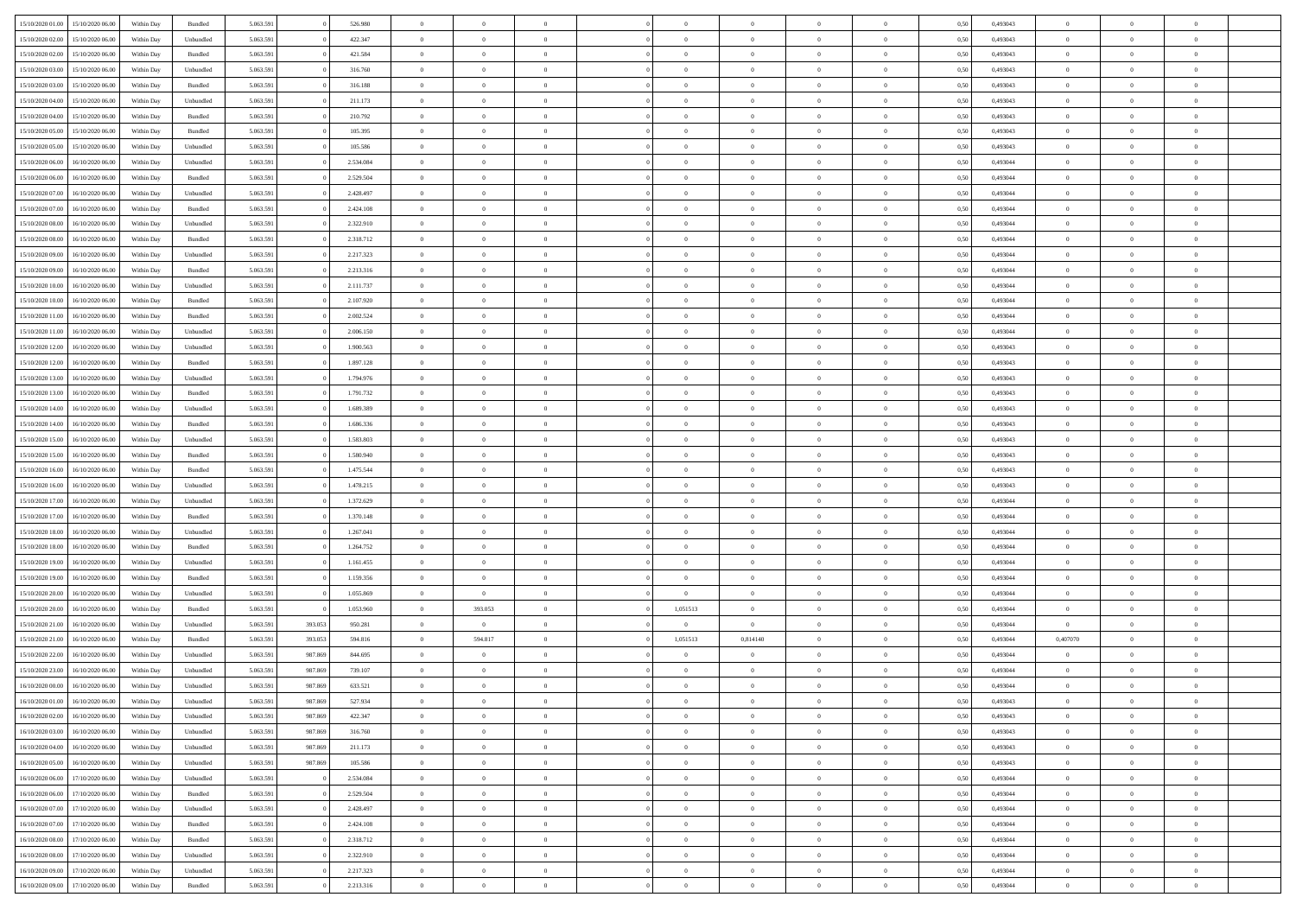| 15/10/2020 01:00 | 15/10/2020 06:00 | Within Dav | Bundled   | 5.063.591 |         | 526.980   | $\overline{0}$ | $\Omega$       |                | $\Omega$       | $\Omega$       | $\Omega$       | $\theta$       | 0.50 | 0,493043 | $\theta$       | $\theta$       | $\theta$       |  |
|------------------|------------------|------------|-----------|-----------|---------|-----------|----------------|----------------|----------------|----------------|----------------|----------------|----------------|------|----------|----------------|----------------|----------------|--|
| 15/10/2020 02.00 | 15/10/2020 06.00 | Within Day | Unbundled | 5.063.591 |         | 422.347   | $\overline{0}$ | $\theta$       | $\overline{0}$ | $\overline{0}$ | $\bf{0}$       | $\overline{0}$ | $\overline{0}$ | 0,50 | 0,493043 | $\theta$       | $\theta$       | $\overline{0}$ |  |
| 15/10/2020 02:00 | 15/10/2020 06:00 | Within Day | Bundled   | 5.063.591 |         | 421.584   | $\overline{0}$ | $\overline{0}$ | $\overline{0}$ | $\bf{0}$       | $\bf{0}$       | $\bf{0}$       | $\bf{0}$       | 0,50 | 0,493043 | $\bf{0}$       | $\overline{0}$ | $\overline{0}$ |  |
|                  |                  |            |           |           |         |           |                |                |                |                |                |                |                |      |          | $\theta$       |                |                |  |
| 15/10/2020 03:00 | 15/10/2020 06:00 | Within Dav | Unbundled | 5.063.591 |         | 316.760   | $\overline{0}$ | $\overline{0}$ | $\overline{0}$ | $\overline{0}$ | $\bf{0}$       | $\overline{0}$ | $\overline{0}$ | 0.50 | 0,493043 |                | $\theta$       | $\overline{0}$ |  |
| 15/10/2020 03:00 | 15/10/2020 06.00 | Within Day | Bundled   | 5.063.591 |         | 316.188   | $\overline{0}$ | $\theta$       | $\overline{0}$ | $\overline{0}$ | $\bf{0}$       | $\overline{0}$ | $\bf{0}$       | 0,50 | 0,493043 | $\theta$       | $\theta$       | $\overline{0}$ |  |
| 15/10/2020 04:00 | 15/10/2020 06.00 | Within Day | Unbundled | 5.063.591 |         | 211.173   | $\overline{0}$ | $\bf{0}$       | $\overline{0}$ | $\bf{0}$       | $\overline{0}$ | $\overline{0}$ | $\mathbf{0}$   | 0,50 | 0,493043 | $\overline{0}$ | $\overline{0}$ | $\bf{0}$       |  |
| 15/10/2020 04:00 | 15/10/2020 06:00 | Within Dav | Bundled   | 5.063.591 |         | 210.792   | $\overline{0}$ | $\overline{0}$ | $\overline{0}$ | $\overline{0}$ | $\overline{0}$ | $\overline{0}$ | $\overline{0}$ | 0.50 | 0,493043 | $\theta$       | $\overline{0}$ | $\overline{0}$ |  |
|                  |                  |            |           |           |         |           |                |                |                |                |                |                |                |      |          |                |                |                |  |
| 15/10/2020 05:00 | 15/10/2020 06.00 | Within Day | Bundled   | 5.063.591 |         | 105.395   | $\overline{0}$ | $\theta$       | $\overline{0}$ | $\overline{0}$ | $\bf{0}$       | $\overline{0}$ | $\bf{0}$       | 0,50 | 0,493043 | $\theta$       | $\theta$       | $\overline{0}$ |  |
| 15/10/2020 05:00 | 15/10/2020 06.00 | Within Day | Unbundled | 5.063.591 |         | 105.586   | $\overline{0}$ | $\overline{0}$ | $\overline{0}$ | $\overline{0}$ | $\bf{0}$       | $\overline{0}$ | $\bf{0}$       | 0,50 | 0,493043 | $\,0\,$        | $\overline{0}$ | $\overline{0}$ |  |
| 15/10/2020 06:00 | 16/10/2020 06:00 | Within Dav | Unbundled | 5.063.591 |         | 2.534.084 | $\overline{0}$ | $\overline{0}$ | $\overline{0}$ | $\overline{0}$ | $\overline{0}$ | $\overline{0}$ | $\overline{0}$ | 0.50 | 0,493044 | $\theta$       | $\overline{0}$ | $\overline{0}$ |  |
| 15/10/2020 06.00 | 16/10/2020 06.00 |            | Bundled   | 5.063.591 |         | 2.529.504 | $\overline{0}$ | $\theta$       | $\overline{0}$ | $\overline{0}$ | $\bf{0}$       | $\overline{0}$ |                |      | 0,493044 | $\theta$       | $\theta$       | $\overline{0}$ |  |
|                  |                  | Within Day |           |           |         |           |                |                |                |                |                |                | $\bf{0}$       | 0,50 |          |                |                |                |  |
| 15/10/2020 07.00 | 16/10/2020 06.00 | Within Day | Unbundled | 5.063.591 |         | 2.428.497 | $\overline{0}$ | $\overline{0}$ | $\overline{0}$ | $\overline{0}$ | $\bf{0}$       | $\overline{0}$ | $\bf{0}$       | 0,50 | 0,493044 | $\bf{0}$       | $\overline{0}$ | $\overline{0}$ |  |
| 15/10/2020 07:00 | 16/10/2020 06:00 | Within Day | Bundled   | 5.063.591 |         | 2.424.108 | $\overline{0}$ | $\overline{0}$ | $\overline{0}$ | $\overline{0}$ | $\bf{0}$       | $\overline{0}$ | $\overline{0}$ | 0.50 | 0,493044 | $\theta$       | $\theta$       | $\overline{0}$ |  |
| 15/10/2020 08:00 | 16/10/2020 06.00 | Within Day | Unbundled | 5.063.591 |         | 2.322.910 | $\overline{0}$ | $\theta$       | $\overline{0}$ | $\overline{0}$ | $\bf{0}$       | $\overline{0}$ | $\overline{0}$ | 0,50 | 0,493044 | $\theta$       | $\theta$       | $\overline{0}$ |  |
|                  |                  |            |           |           |         |           |                |                |                |                |                |                |                |      |          |                |                |                |  |
| 15/10/2020 08:00 | 16/10/2020 06.00 | Within Day | Bundled   | 5.063.591 |         | 2.318.712 | $\overline{0}$ | $\overline{0}$ | $\overline{0}$ | $\overline{0}$ | $\bf{0}$       | $\overline{0}$ | $\mathbf{0}$   | 0,50 | 0,493044 | $\bf{0}$       | $\overline{0}$ | $\bf{0}$       |  |
| 15/10/2020 09:00 | 16/10/2020 06:00 | Within Dav | Unbundled | 5.063.591 |         | 2.217.323 | $\overline{0}$ | $\overline{0}$ | $\overline{0}$ | $\overline{0}$ | $\overline{0}$ | $\overline{0}$ | $\overline{0}$ | 0.50 | 0,493044 | $\theta$       | $\overline{0}$ | $\overline{0}$ |  |
| 15/10/2020 09:00 | 16/10/2020 06.00 | Within Day | Bundled   | 5.063.591 |         | 2.213.316 | $\overline{0}$ | $\theta$       | $\overline{0}$ | $\overline{0}$ | $\bf{0}$       | $\overline{0}$ | $\bf{0}$       | 0,50 | 0,493044 | $\theta$       | $\theta$       | $\overline{0}$ |  |
| 15/10/2020 10:00 | 16/10/2020 06.00 | Within Day | Unbundled | 5.063.591 |         | 2.111.737 | $\overline{0}$ | $\overline{0}$ | $\overline{0}$ | $\overline{0}$ | $\bf{0}$       | $\overline{0}$ | $\bf{0}$       | 0,50 | 0,493044 | $\,0\,$        | $\overline{0}$ | $\overline{0}$ |  |
|                  |                  |            |           |           |         |           |                |                |                |                |                |                |                |      |          |                |                |                |  |
| 15/10/2020 10:00 | 16/10/2020 06:00 | Within Dav | Bundled   | 5.063.591 |         | 2.107.920 | $\overline{0}$ | $\overline{0}$ | $\overline{0}$ | $\overline{0}$ | $\overline{0}$ | $\overline{0}$ | $\overline{0}$ | 0.50 | 0,493044 | $\theta$       | $\overline{0}$ | $\overline{0}$ |  |
| 15/10/2020 11:00 | 16/10/2020 06.00 | Within Day | Bundled   | 5.063.591 |         | 2.002.524 | $\overline{0}$ | $\theta$       | $\overline{0}$ | $\overline{0}$ | $\bf{0}$       | $\overline{0}$ | $\bf{0}$       | 0,50 | 0,493044 | $\theta$       | $\theta$       | $\overline{0}$ |  |
| 15/10/2020 11:00 | 16/10/2020 06.00 | Within Day | Unbundled | 5.063.591 |         | 2.006.150 | $\overline{0}$ | $\overline{0}$ | $\overline{0}$ | $\overline{0}$ | $\bf{0}$       | $\overline{0}$ | $\bf{0}$       | 0,50 | 0,493044 | $\,0\,$        | $\overline{0}$ | $\overline{0}$ |  |
| 15/10/2020 12:00 | 16/10/2020 06:00 | Within Day | Unbundled | 5.063.591 |         | 1.900.563 | $\overline{0}$ | $\overline{0}$ | $\overline{0}$ | $\overline{0}$ | $\bf{0}$       | $\overline{0}$ | $\overline{0}$ | 0.50 | 0.493043 | $\theta$       | $\theta$       | $\overline{0}$ |  |
|                  |                  |            |           |           |         |           | $\overline{0}$ | $\theta$       | $\overline{0}$ | $\overline{0}$ | $\bf{0}$       | $\overline{0}$ |                |      |          | $\theta$       | $\overline{0}$ | $\overline{0}$ |  |
| 15/10/2020 12:00 | 16/10/2020 06.00 | Within Day | Bundled   | 5.063.591 |         | 1.897.128 |                |                |                |                |                |                | $\bf{0}$       | 0,50 | 0,493043 |                |                |                |  |
| 15/10/2020 13:00 | 16/10/2020 06.00 | Within Day | Unbundled | 5.063.591 |         | 1.794.976 | $\overline{0}$ | $\bf{0}$       | $\overline{0}$ | $\overline{0}$ | $\overline{0}$ | $\overline{0}$ | $\mathbf{0}$   | 0,50 | 0,493043 | $\bf{0}$       | $\overline{0}$ | $\bf{0}$       |  |
| 15/10/2020 13:00 | 16/10/2020 06:00 | Within Dav | Bundled   | 5.063.591 |         | 1.791.732 | $\overline{0}$ | $\overline{0}$ | $\overline{0}$ | $\overline{0}$ | $\overline{0}$ | $\overline{0}$ | $\overline{0}$ | 0.50 | 0,493043 | $\theta$       | $\overline{0}$ | $\overline{0}$ |  |
| 15/10/2020 14:00 | 16/10/2020 06.00 | Within Day | Unbundled | 5.063.591 |         | 1.689.389 | $\overline{0}$ | $\theta$       | $\overline{0}$ | $\overline{0}$ | $\bf{0}$       | $\overline{0}$ | $\bf{0}$       | 0,50 | 0,493043 | $\theta$       | $\theta$       | $\overline{0}$ |  |
|                  |                  |            |           |           |         |           |                |                |                |                |                |                |                |      |          |                |                |                |  |
| 15/10/2020 14:00 | 16/10/2020 06.00 | Within Day | Bundled   | 5.063.591 |         | 1.686.336 | $\overline{0}$ | $\overline{0}$ | $\overline{0}$ | $\overline{0}$ | $\bf{0}$       | $\overline{0}$ | $\bf{0}$       | 0,50 | 0,493043 | $\,0\,$        | $\overline{0}$ | $\overline{0}$ |  |
| 15/10/2020 15:00 | 16/10/2020 06:00 | Within Day | Unbundled | 5.063.591 |         | 1.583.803 | $\overline{0}$ | $\overline{0}$ | $\overline{0}$ | $\overline{0}$ | $\overline{0}$ | $\overline{0}$ | $\overline{0}$ | 0.50 | 0,493043 | $\theta$       | $\overline{0}$ | $\overline{0}$ |  |
| 15/10/2020 15:00 | 16/10/2020 06.00 | Within Day | Bundled   | 5.063.591 |         | 1.580.940 | $\overline{0}$ | $\theta$       | $\overline{0}$ | $\overline{0}$ | $\bf{0}$       | $\overline{0}$ | $\bf{0}$       | 0,50 | 0,493043 | $\,$ 0 $\,$    | $\theta$       | $\overline{0}$ |  |
| 15/10/2020 16.00 | 16/10/2020 06.00 | Within Day | Bundled   | 5.063.591 |         | 1.475.544 | $\overline{0}$ | $\overline{0}$ | $\overline{0}$ | $\overline{0}$ | $\bf{0}$       | $\overline{0}$ | $\bf{0}$       | 0,50 | 0,493043 | $\bf{0}$       | $\overline{0}$ | $\overline{0}$ |  |
|                  |                  |            |           |           |         |           |                |                |                |                |                |                |                |      |          |                |                |                |  |
| 15/10/2020 16:00 | 16/10/2020 06.00 | Within Day | Unbundled | 5.063.591 |         | 1.478.215 | $\overline{0}$ | $\Omega$       | $\Omega$       | $\Omega$       | $\Omega$       | $\Omega$       | $\overline{0}$ | 0,50 | 0,493043 | $\,0\,$        | $\theta$       | $\theta$       |  |
| 15/10/2020 17:00 | 16/10/2020 06.00 | Within Day | Unbundled | 5.063.591 |         | 1.372.629 | $\overline{0}$ | $\theta$       | $\overline{0}$ | $\overline{0}$ | $\bf{0}$       | $\overline{0}$ | $\bf{0}$       | 0,50 | 0,493044 | $\theta$       | $\theta$       | $\overline{0}$ |  |
| 15/10/2020 17:00 | 16/10/2020 06.00 | Within Day | Bundled   | 5.063.591 |         | 1.370.148 | $\overline{0}$ | $\bf{0}$       | $\overline{0}$ | $\bf{0}$       | $\bf{0}$       | $\overline{0}$ | $\mathbf{0}$   | 0,50 | 0,493044 | $\bf{0}$       | $\overline{0}$ | $\bf{0}$       |  |
| 15/10/2020 18:00 | 16/10/2020 06:00 | Within Day | Unbundled | 5.063.591 |         | 1.267.041 | $\overline{0}$ | $\Omega$       | $\Omega$       | $\Omega$       | $\bf{0}$       | $\overline{0}$ | $\overline{0}$ | 0.50 | 0,493044 | $\theta$       | $\theta$       | $\theta$       |  |
|                  |                  |            |           |           |         |           |                |                |                |                |                |                |                |      |          |                |                |                |  |
| 15/10/2020 18:00 | 16/10/2020 06.00 | Within Day | Bundled   | 5.063.591 |         | 1.264.752 | $\overline{0}$ | $\theta$       | $\overline{0}$ | $\overline{0}$ | $\bf{0}$       | $\overline{0}$ | $\bf{0}$       | 0,50 | 0,493044 | $\theta$       | $\theta$       | $\overline{0}$ |  |
| 15/10/2020 19:00 | 16/10/2020 06.00 | Within Day | Unbundled | 5.063.591 |         | 1.161.455 | $\overline{0}$ | $\overline{0}$ | $\overline{0}$ | $\bf{0}$       | $\bf{0}$       | $\bf{0}$       | $\bf{0}$       | 0,50 | 0,493044 | $\,0\,$        | $\overline{0}$ | $\overline{0}$ |  |
| 15/10/2020 19:00 | 16/10/2020 06:00 | Within Day | Bundled   | 5.063.591 |         | 1.159.356 | $\overline{0}$ | $\Omega$       | $\Omega$       | $\Omega$       | $\Omega$       | $\theta$       | $\overline{0}$ | 0.50 | 0,493044 | $\theta$       | $\theta$       | $\theta$       |  |
| 15/10/2020 20:00 | 16/10/2020 06.00 | Within Day | Unbundled | 5.063.591 |         | 1.055.869 | $\overline{0}$ | $\overline{0}$ | $\overline{0}$ | $\overline{0}$ | $\bf{0}$       | $\overline{0}$ | $\bf{0}$       | 0,50 | 0,493044 | $\,$ 0 $\,$    | $\overline{0}$ | $\overline{0}$ |  |
|                  |                  |            |           |           |         |           |                |                |                |                |                |                |                |      |          |                |                |                |  |
| 15/10/2020 20.00 | 16/10/2020 06.00 | Within Day | Bundled   | 5.063.591 |         | 1.053.960 | $\overline{0}$ | 393.053        | $\overline{0}$ | 1,051513       | $\bf{0}$       | $\bf{0}$       | $\bf{0}$       | 0,50 | 0,493044 | $\bf{0}$       | $\overline{0}$ | $\overline{0}$ |  |
| 15/10/2020 21.00 | 16/10/2020 06.00 | Within Day | Unbundled | 5.063.591 | 393.05  | 950.281   | $\overline{0}$ | $\Omega$       | $\Omega$       | $\Omega$       | $\overline{0}$ | $\overline{0}$ | $\overline{0}$ | 0,50 | 0,493044 | $\,0\,$        | $\theta$       | $\theta$       |  |
| 15/10/2020 21.00 | 16/10/2020 06.00 | Within Day | Bundled   | 5.063.591 | 393.053 | 594.816   | $\overline{0}$ | 594.817        | $\overline{0}$ | 1,051513       | 0,814140       | $\overline{0}$ | $\bf{0}$       | 0,50 | 0,493044 | 0,407070       | $\overline{0}$ | $\overline{0}$ |  |
| 15/10/2020 22.00 | 16/10/2020 06.00 | Within Day | Unbundled | 5.063.591 | 987.869 | 844.695   | $\overline{0}$ | $\overline{0}$ | $\overline{0}$ | $\bf{0}$       | $\overline{0}$ | $\bf{0}$       | $\mathbf{0}$   | 0,50 | 0,493044 | $\overline{0}$ | $\overline{0}$ | $\bf{0}$       |  |
|                  | 16/10/2020 06:00 |            |           |           |         |           | $\overline{0}$ | $\Omega$       | $\Omega$       | $\Omega$       | $\Omega$       | $\Omega$       | $\Omega$       |      | 0,493044 | $\theta$       |                | $\theta$       |  |
| 15/10/2020 23.00 |                  | Within Day | Unbundled | 5.063.591 | 987.86  | 739.107   |                |                |                |                |                |                |                | 0.50 |          |                | $\theta$       |                |  |
| 16/10/2020 00:00 | 16/10/2020 06:00 | Within Day | Unbundled | 5.063.591 | 987.869 | 633.521   | $\overline{0}$ | $\overline{0}$ | $\overline{0}$ | $\bf{0}$       | $\,$ 0         | $\bf{0}$       | $\bf{0}$       | 0,50 | 0,493044 | $\,0\,$        | $\overline{0}$ | $\overline{0}$ |  |
| 16/10/2020 01:00 | 16/10/2020 06.00 | Within Day | Unbundled | 5.063.591 | 987.869 | 527.934   | $\bf{0}$       | $\bf{0}$       |                |                |                |                |                | 0,50 | 0,493043 | $\bf{0}$       | $\bf{0}$       |                |  |
| 16/10/2020 02.00 | 16/10/2020 06:00 | Within Day | Unbundled | 5.063.591 | 987.869 | 422.347   | $\overline{0}$ | $\overline{0}$ | $\overline{0}$ | $\Omega$       | $\theta$       | $\overline{0}$ | $\overline{0}$ | 0.50 | 0.493043 | $\theta$       | $\theta$       | $\theta$       |  |
| 16/10/2020 03:00 | 16/10/2020 06.00 | Within Day | Unbundled | 5.063.591 | 987.869 | 316.760   | $\overline{0}$ | $\,$ 0         | $\overline{0}$ | $\bf{0}$       | $\,$ 0 $\,$    | $\overline{0}$ | $\mathbf{0}$   | 0,50 | 0,493043 | $\,$ 0 $\,$    | $\,$ 0 $\,$    | $\,$ 0         |  |
|                  |                  |            |           |           |         |           |                |                |                |                |                |                |                |      |          |                |                |                |  |
| 16/10/2020 04:00 | 16/10/2020 06:00 | Within Day | Unbundled | 5.063.591 | 987.869 | 211.173   | $\overline{0}$ | $\overline{0}$ | $\overline{0}$ | $\overline{0}$ | $\overline{0}$ | $\overline{0}$ | $\mathbf{0}$   | 0,50 | 0,493043 | $\overline{0}$ | $\bf{0}$       | $\bf{0}$       |  |
| 16/10/2020 05:00 | 16/10/2020 06:00 | Within Day | Unbundled | 5.063.591 | 987.869 | 105.586   | $\overline{0}$ | $\overline{0}$ | $\overline{0}$ | $\Omega$       | $\overline{0}$ | $\overline{0}$ | $\bf{0}$       | 0,50 | 0,493043 | $\overline{0}$ | $\theta$       | $\overline{0}$ |  |
| 16/10/2020 06:00 | 17/10/2020 06.00 | Within Day | Unbundled | 5.063.591 |         | 2.534.084 | $\overline{0}$ | $\,$ 0         | $\overline{0}$ | $\overline{0}$ | $\,$ 0 $\,$    | $\overline{0}$ | $\bf{0}$       | 0,50 | 0,493044 | $\,$ 0 $\,$    | $\overline{0}$ | $\overline{0}$ |  |
|                  |                  |            |           |           |         |           |                |                |                |                |                |                |                |      |          |                |                |                |  |
| 16/10/2020 06.00 | 17/10/2020 06.00 | Within Day | Bundled   | 5.063.591 |         | 2.529.504 | $\overline{0}$ | $\overline{0}$ | $\overline{0}$ | $\overline{0}$ | $\overline{0}$ | $\overline{0}$ | $\mathbf{0}$   | 0,50 | 0,493044 | $\overline{0}$ | $\overline{0}$ | $\bf{0}$       |  |
| 16/10/2020 07.00 | 17/10/2020 06.00 | Within Day | Unbundled | 5.063.591 |         | 2.428.497 | $\overline{0}$ | $\overline{0}$ | $\overline{0}$ | $\Omega$       | $\overline{0}$ | $\overline{0}$ | $\bf{0}$       | 0.50 | 0,493044 | $\overline{0}$ | $\theta$       | $\overline{0}$ |  |
| 16/10/2020 07:00 | 17/10/2020 06.00 | Within Day | Bundled   | 5.063.591 |         | 2.424.108 | $\overline{0}$ | $\,$ 0         | $\overline{0}$ | $\bf{0}$       | $\bf{0}$       | $\bf{0}$       | $\bf{0}$       | 0,50 | 0,493044 | $\,$ 0 $\,$    | $\overline{0}$ | $\overline{0}$ |  |
| 16/10/2020 08:00 | 17/10/2020 06.00 | Within Day | Bundled   | 5.063.591 |         | 2.318.712 | $\overline{0}$ | $\bf{0}$       | $\overline{0}$ | $\overline{0}$ | $\overline{0}$ | $\bf{0}$       | $\mathbf{0}$   | 0,50 | 0,493044 | $\overline{0}$ | $\overline{0}$ | $\bf{0}$       |  |
|                  |                  |            |           |           |         | 2.322.910 | $\overline{0}$ | $\overline{0}$ | $\overline{0}$ | $\Omega$       | $\overline{0}$ | $\overline{0}$ |                | 0.50 |          | $\overline{0}$ | $\theta$       | $\overline{0}$ |  |
| 16/10/2020 08:00 | 17/10/2020 06.00 | Within Day | Unbundled | 5.063.591 |         |           |                |                |                |                |                |                | $\bf{0}$       |      | 0,493044 |                |                |                |  |
| 16/10/2020 09:00 | 17/10/2020 06.00 | Within Day | Unbundled | 5.063.591 |         | 2.217.323 | $\overline{0}$ | $\bf{0}$       | $\overline{0}$ | $\overline{0}$ | $\bf{0}$       | $\bf{0}$       | $\mathbf{0}$   | 0,50 | 0,493044 | $\,$ 0 $\,$    | $\,$ 0 $\,$    | $\bf{0}$       |  |
| 16/10/2020 09:00 | 17/10/2020 06.00 | Within Day | Bundled   | 5.063.591 |         | 2.213.316 | $\overline{0}$ | $\overline{0}$ | $\overline{0}$ | $\overline{0}$ | $\bf{0}$       | $\bf{0}$       | $\mathbf{0}$   | 0,50 | 0,493044 | $\overline{0}$ | $\bf{0}$       | $\bf{0}$       |  |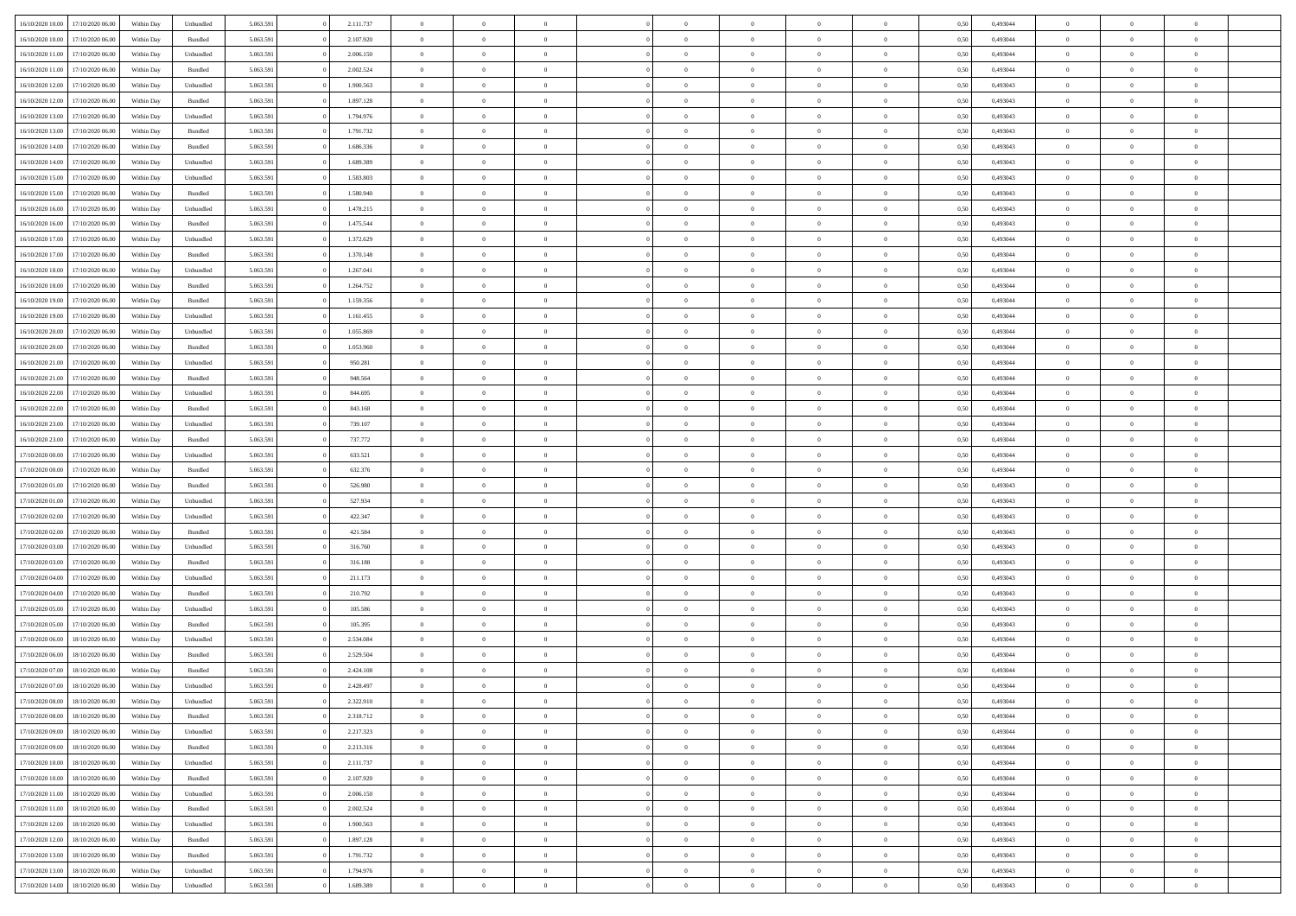| 16/10/2020 10:00 | 17/10/2020 06.00                     | Within Dav | Unbundled | 5.063.591 | 2.111.737 | $\overline{0}$ | $\Omega$       |                | $\Omega$       | $\Omega$       | $\Omega$       | $\theta$       | 0.50 | 0,493044 | $\theta$       | $\theta$       | $\theta$       |  |
|------------------|--------------------------------------|------------|-----------|-----------|-----------|----------------|----------------|----------------|----------------|----------------|----------------|----------------|------|----------|----------------|----------------|----------------|--|
| 16/10/2020 10:00 | 17/10/2020 06.00                     | Within Day | Bundled   | 5.063.591 | 2.107.920 | $\overline{0}$ | $\theta$       | $\overline{0}$ | $\overline{0}$ | $\bf{0}$       | $\overline{0}$ | $\overline{0}$ | 0,50 | 0,493044 | $\theta$       | $\overline{0}$ | $\overline{0}$ |  |
| 16/10/2020 11:00 | 17/10/2020 06.00                     | Within Day | Unbundled | 5.063.591 | 2.006.150 | $\overline{0}$ | $\overline{0}$ | $\overline{0}$ | $\bf{0}$       | $\bf{0}$       | $\bf{0}$       | $\bf{0}$       | 0,50 | 0,493044 | $\overline{0}$ | $\overline{0}$ | $\overline{0}$ |  |
|                  |                                      |            |           |           |           |                |                |                |                |                |                |                |      |          | $\theta$       |                |                |  |
| 16/10/2020 11:00 | 17/10/2020 06:00                     | Within Dav | Bundled   | 5.063.591 | 2.002.524 | $\overline{0}$ | $\overline{0}$ | $\overline{0}$ | $\overline{0}$ | $\bf{0}$       | $\overline{0}$ | $\overline{0}$ | 0.50 | 0.493044 |                | $\theta$       | $\overline{0}$ |  |
| 16/10/2020 12:00 | 17/10/2020 06.00                     | Within Day | Unbundled | 5.063.591 | 1.900.563 | $\overline{0}$ | $\theta$       | $\overline{0}$ | $\overline{0}$ | $\bf{0}$       | $\overline{0}$ | $\bf{0}$       | 0,50 | 0,493043 | $\theta$       | $\theta$       | $\overline{0}$ |  |
| 16/10/2020 12:00 | 17/10/2020 06.00                     | Within Day | Bundled   | 5.063.591 | 1.897.128 | $\overline{0}$ | $\bf{0}$       | $\overline{0}$ | $\bf{0}$       | $\overline{0}$ | $\overline{0}$ | $\mathbf{0}$   | 0,50 | 0,493043 | $\overline{0}$ | $\overline{0}$ | $\bf{0}$       |  |
| 16/10/2020 13:00 | 17/10/2020 06.00                     | Within Dav | Unbundled | 5.063.591 | 1.794.976 | $\overline{0}$ | $\overline{0}$ | $\overline{0}$ | $\overline{0}$ | $\overline{0}$ | $\overline{0}$ | $\overline{0}$ | 0.50 | 0,493043 | $\theta$       | $\overline{0}$ | $\overline{0}$ |  |
|                  |                                      |            |           |           |           |                |                |                |                |                |                |                |      |          |                |                |                |  |
| 16/10/2020 13:00 | 17/10/2020 06.00                     | Within Day | Bundled   | 5.063.591 | 1.791.732 | $\overline{0}$ | $\theta$       | $\overline{0}$ | $\overline{0}$ | $\bf{0}$       | $\overline{0}$ | $\bf{0}$       | 0,50 | 0,493043 | $\theta$       | $\theta$       | $\overline{0}$ |  |
| 16/10/2020 14:00 | 17/10/2020 06.00                     | Within Day | Bundled   | 5.063.591 | 1.686.336 | $\overline{0}$ | $\overline{0}$ | $\overline{0}$ | $\overline{0}$ | $\bf{0}$       | $\overline{0}$ | $\bf{0}$       | 0,50 | 0,493043 | $\,0\,$        | $\overline{0}$ | $\overline{0}$ |  |
| 16/10/2020 14:00 | 17/10/2020 06.00                     | Within Dav | Unbundled | 5.063.591 | 1.689.389 | $\overline{0}$ | $\overline{0}$ | $\overline{0}$ | $\overline{0}$ | $\overline{0}$ | $\overline{0}$ | $\overline{0}$ | 0.50 | 0,493043 | $\theta$       | $\overline{0}$ | $\overline{0}$ |  |
|                  |                                      |            |           |           |           |                |                |                |                |                |                |                |      |          |                |                |                |  |
| 16/10/2020 15:00 | 17/10/2020 06.00                     | Within Day | Unbundled | 5.063.591 | 1.583.803 | $\overline{0}$ | $\theta$       | $\overline{0}$ | $\overline{0}$ | $\bf{0}$       | $\overline{0}$ | $\bf{0}$       | 0,50 | 0,493043 | $\,$ 0 $\,$    | $\overline{0}$ | $\overline{0}$ |  |
| 16/10/2020 15:00 | 17/10/2020 06.00                     | Within Day | Bundled   | 5.063.591 | 1.580.940 | $\overline{0}$ | $\overline{0}$ | $\overline{0}$ | $\overline{0}$ | $\bf{0}$       | $\overline{0}$ | $\bf{0}$       | 0,50 | 0,493043 | $\overline{0}$ | $\overline{0}$ | $\overline{0}$ |  |
| 16/10/2020 16:00 | 17/10/2020 06:00                     | Within Day | Unbundled | 5.063.591 | 1.478.215 | $\overline{0}$ | $\overline{0}$ | $\overline{0}$ | $\overline{0}$ | $\bf{0}$       | $\overline{0}$ | $\overline{0}$ | 0.50 | 0,493043 | $\theta$       | $\theta$       | $\overline{0}$ |  |
| 16/10/2020 16:00 | 17/10/2020 06.00                     | Within Day | Bundled   | 5.063.591 | 1.475.544 | $\overline{0}$ | $\theta$       | $\overline{0}$ | $\overline{0}$ | $\bf{0}$       | $\overline{0}$ | $\bf{0}$       | 0,50 | 0,493043 | $\theta$       | $\overline{0}$ | $\overline{0}$ |  |
|                  |                                      |            |           |           |           |                |                |                |                |                |                |                |      |          |                |                |                |  |
| 16/10/2020 17:00 | 17/10/2020 06.00                     | Within Day | Unbundled | 5.063.591 | 1.372.629 | $\overline{0}$ | $\bf{0}$       | $\overline{0}$ | $\overline{0}$ | $\overline{0}$ | $\overline{0}$ | $\mathbf{0}$   | 0,50 | 0,493044 | $\overline{0}$ | $\overline{0}$ | $\bf{0}$       |  |
| 16/10/2020 17:00 | 17/10/2020 06.00                     | Within Dav | Bundled   | 5.063.591 | 1.370.148 | $\overline{0}$ | $\overline{0}$ | $\overline{0}$ | $\overline{0}$ | $\overline{0}$ | $\overline{0}$ | $\overline{0}$ | 0.50 | 0,493044 | $\theta$       | $\overline{0}$ | $\overline{0}$ |  |
| 16/10/2020 18:00 | 17/10/2020 06.00                     | Within Day | Unbundled | 5.063.591 | 1.267.041 | $\overline{0}$ | $\theta$       | $\overline{0}$ | $\overline{0}$ | $\bf{0}$       | $\overline{0}$ | $\bf{0}$       | 0,50 | 0,493044 | $\theta$       | $\theta$       | $\overline{0}$ |  |
|                  |                                      |            |           |           |           |                |                |                |                |                |                |                |      |          |                |                |                |  |
| 16/10/2020 18:00 | 17/10/2020 06.00                     | Within Day | Bundled   | 5.063.591 | 1.264.752 | $\overline{0}$ | $\overline{0}$ | $\overline{0}$ | $\overline{0}$ | $\bf{0}$       | $\overline{0}$ | $\bf{0}$       | 0,50 | 0,493044 | $\,0\,$        | $\overline{0}$ | $\overline{0}$ |  |
| 16/10/2020 19:00 | 17/10/2020 06:00                     | Within Day | Bundled   | 5.063.591 | 1.159.356 | $\overline{0}$ | $\overline{0}$ | $\overline{0}$ | $\overline{0}$ | $\overline{0}$ | $\overline{0}$ | $\overline{0}$ | 0.50 | 0,493044 | $\theta$       | $\overline{0}$ | $\overline{0}$ |  |
| 16/10/2020 19:00 | 17/10/2020 06.00                     | Within Day | Unbundled | 5.063.591 | 1.161.455 | $\overline{0}$ | $\theta$       | $\overline{0}$ | $\overline{0}$ | $\bf{0}$       | $\overline{0}$ | $\bf{0}$       | 0,50 | 0,493044 | $\,$ 0 $\,$    | $\theta$       | $\overline{0}$ |  |
| 16/10/2020 20.00 | 17/10/2020 06.00                     | Within Day | Unbundled | 5.063.591 | 1.055.869 | $\overline{0}$ | $\overline{0}$ | $\overline{0}$ | $\overline{0}$ | $\bf{0}$       | $\overline{0}$ | $\bf{0}$       | 0,50 | 0,493044 | $\bf{0}$       | $\overline{0}$ | $\overline{0}$ |  |
|                  |                                      |            |           |           |           |                |                |                |                |                |                |                |      |          |                |                |                |  |
| 16/10/2020 20:00 | 17/10/2020 06:00                     | Within Day | Bundled   | 5.063.591 | 1.053.960 | $\overline{0}$ | $\overline{0}$ | $\overline{0}$ | $\overline{0}$ | $\bf{0}$       | $\overline{0}$ | $\overline{0}$ | 0.50 | 0.493044 | $\theta$       | $\theta$       | $\overline{0}$ |  |
| 16/10/2020 21.00 | 17/10/2020 06.00                     | Within Day | Unbundled | 5.063.591 | 950.281   | $\overline{0}$ | $\theta$       | $\overline{0}$ | $\overline{0}$ | $\bf{0}$       | $\overline{0}$ | $\bf{0}$       | 0,50 | 0,493044 | $\theta$       | $\overline{0}$ | $\overline{0}$ |  |
| 16/10/2020 21.00 | 17/10/2020 06.00                     | Within Day | Bundled   | 5.063.591 | 948.564   | $\overline{0}$ | $\bf{0}$       | $\overline{0}$ | $\overline{0}$ | $\overline{0}$ | $\overline{0}$ | $\mathbf{0}$   | 0,50 | 0,493044 | $\overline{0}$ | $\overline{0}$ | $\bf{0}$       |  |
| 16/10/2020 22.00 | 17/10/2020 06.00                     | Within Dav | Unbundled | 5.063.591 | 844.695   | $\overline{0}$ | $\overline{0}$ | $\overline{0}$ | $\overline{0}$ | $\overline{0}$ | $\overline{0}$ | $\overline{0}$ | 0.50 | 0,493044 | $\overline{0}$ | $\overline{0}$ | $\overline{0}$ |  |
|                  |                                      |            |           |           |           |                |                |                |                |                |                |                |      |          |                |                |                |  |
| 16/10/2020 22.00 | 17/10/2020 06.00                     | Within Day | Bundled   | 5.063.591 | 843.168   | $\overline{0}$ | $\theta$       | $\overline{0}$ | $\overline{0}$ | $\bf{0}$       | $\overline{0}$ | $\bf{0}$       | 0,50 | 0,493044 | $\theta$       | $\theta$       | $\overline{0}$ |  |
| 16/10/2020 23:00 | 17/10/2020 06.00                     | Within Day | Unbundled | 5.063.591 | 739.107   | $\overline{0}$ | $\overline{0}$ | $\overline{0}$ | $\overline{0}$ | $\bf{0}$       | $\overline{0}$ | $\bf{0}$       | 0,50 | 0,493044 | $\,0\,$        | $\overline{0}$ | $\overline{0}$ |  |
| 16/10/2020 23:00 | 17/10/2020 06:00                     | Within Day | Bundled   | 5.063.591 | 737.772   | $\overline{0}$ | $\overline{0}$ | $\overline{0}$ | $\overline{0}$ | $\overline{0}$ | $\overline{0}$ | $\overline{0}$ | 0.50 | 0,493044 | $\theta$       | $\overline{0}$ | $\overline{0}$ |  |
| 17/10/2020 00:00 | 17/10/2020 06.00                     | Within Day | Unbundled | 5.063.591 | 633.521   | $\overline{0}$ | $\theta$       | $\overline{0}$ | $\overline{0}$ | $\bf{0}$       | $\overline{0}$ | $\bf{0}$       | 0,50 | 0,493044 | $\,$ 0 $\,$    | $\overline{0}$ | $\overline{0}$ |  |
|                  |                                      |            |           |           |           |                |                |                |                |                |                |                |      |          |                |                |                |  |
| 17/10/2020 00.00 | 17/10/2020 06.00                     | Within Day | Bundled   | 5.063.591 | 632.376   | $\overline{0}$ | $\overline{0}$ | $\overline{0}$ | $\bf{0}$       | $\bf{0}$       | $\bf{0}$       | $\bf{0}$       | 0,50 | 0,493044 | $\bf{0}$       | $\overline{0}$ | $\overline{0}$ |  |
| 17/10/2020 01:00 | 17/10/2020 06.00                     | Within Day | Bundled   | 5.063.591 | 526.980   | $\overline{0}$ | $\Omega$       | $\Omega$       | $\Omega$       | $\Omega$       | $\Omega$       | $\overline{0}$ | 0,50 | 0,493043 | $\,0\,$        | $\theta$       | $\theta$       |  |
| 17/10/2020 01:00 | 17/10/2020 06.00                     | Within Day | Unbundled | 5.063.591 | 527.934   | $\overline{0}$ | $\theta$       | $\overline{0}$ | $\overline{0}$ | $\bf{0}$       | $\overline{0}$ | $\bf{0}$       | 0,50 | 0,493043 | $\theta$       | $\theta$       | $\overline{0}$ |  |
|                  |                                      |            |           |           |           |                |                |                |                |                |                |                |      |          |                |                |                |  |
| 17/10/2020 02:00 | 17/10/2020 06.00                     | Within Day | Unbundled | 5.063.591 | 422.347   | $\overline{0}$ | $\overline{0}$ | $\overline{0}$ | $\bf{0}$       | $\bf{0}$       | $\overline{0}$ | $\mathbf{0}$   | 0,50 | 0,493043 | $\bf{0}$       | $\overline{0}$ | $\bf{0}$       |  |
| 17/10/2020 02.00 | 17/10/2020 06.00                     | Within Day | Bundled   | 5.063.591 | 421.584   | $\overline{0}$ | $\Omega$       | $\Omega$       | $\Omega$       | $\bf{0}$       | $\overline{0}$ | $\overline{0}$ | 0.50 | 0,493043 | $\theta$       | $\theta$       | $\theta$       |  |
| 17/10/2020 03:00 | 17/10/2020 06.00                     | Within Day | Unbundled | 5.063.591 | 316.760   | $\overline{0}$ | $\theta$       | $\overline{0}$ | $\overline{0}$ | $\bf{0}$       | $\overline{0}$ | $\bf{0}$       | 0,50 | 0,493043 | $\,$ 0 $\,$    | $\theta$       | $\overline{0}$ |  |
| 17/10/2020 03:00 | 17/10/2020 06.00                     | Within Day | Bundled   | 5.063.591 | 316.188   | $\overline{0}$ | $\overline{0}$ | $\overline{0}$ | $\bf{0}$       | $\bf{0}$       | $\bf{0}$       | $\bf{0}$       | 0,50 | 0,493043 | $\,0\,$        | $\overline{0}$ | $\overline{0}$ |  |
|                  |                                      |            |           |           |           |                |                |                |                |                |                |                |      |          |                |                |                |  |
| 17/10/2020 04:00 | 17/10/2020 06:00                     | Within Day | Unbundled | 5.063.591 | 211.173   | $\overline{0}$ | $\Omega$       | $\Omega$       | $\Omega$       | $\theta$       | $\theta$       | $\overline{0}$ | 0.50 | 0,493043 | $\theta$       | $\theta$       | $\theta$       |  |
| 17/10/2020 04:00 | 17/10/2020 06.00                     | Within Day | Bundled   | 5.063.591 | 210.792   | $\overline{0}$ | $\theta$       | $\overline{0}$ | $\overline{0}$ | $\bf{0}$       | $\overline{0}$ | $\bf{0}$       | 0,50 | 0,493043 | $\,$ 0 $\,$    | $\overline{0}$ | $\overline{0}$ |  |
| 17/10/2020 05.00 | 17/10/2020 06.00                     | Within Day | Unbundled | 5.063.591 | 105.586   | $\overline{0}$ | $\overline{0}$ | $\overline{0}$ | $\bf{0}$       | $\bf{0}$       | $\bf{0}$       | $\bf{0}$       | 0,50 | 0,493043 | $\bf{0}$       | $\overline{0}$ | $\overline{0}$ |  |
| 17/10/2020 05:00 | 17/10/2020 06.00                     | Within Day |           | 5.063.591 | 105.395   | $\overline{0}$ | $\Omega$       | $\Omega$       | $\Omega$       | $\Omega$       | $\overline{0}$ | $\overline{0}$ | 0,50 | 0,493043 | $\,0\,$        | $\theta$       | $\theta$       |  |
|                  |                                      |            | Bundled   |           |           |                |                |                |                |                |                |                |      |          |                |                |                |  |
| 17/10/2020 06.00 | 18/10/2020 06:00                     | Within Day | Unbundled | 5.063.591 | 2.534.084 | $\overline{0}$ | $\theta$       | $\overline{0}$ | $\overline{0}$ | $\bf{0}$       | $\overline{0}$ | $\bf{0}$       | 0,50 | 0,493044 | $\,$ 0 $\,$    | $\overline{0}$ | $\overline{0}$ |  |
| 17/10/2020 06:00 | 18/10/2020 06:00                     | Within Day | Bundled   | 5.063.591 | 2.529.504 | $\overline{0}$ | $\overline{0}$ | $\overline{0}$ | $\bf{0}$       | $\bf{0}$       | $\bf{0}$       | $\mathbf{0}$   | 0,50 | 0,493044 | $\bf{0}$       | $\overline{0}$ | $\bf{0}$       |  |
| 17/10/2020 07.00 | 18/10/2020 06:00                     | Within Day | Bundled   | 5.063.591 | 2.424.108 | $\overline{0}$ | $\Omega$       | $\Omega$       | $\Omega$       | $\Omega$       | $\Omega$       | $\overline{0}$ | 0.50 | 0.493044 | $\theta$       | $\theta$       | $\theta$       |  |
| 17/10/2020 07.00 | 18/10/2020 06:00                     | Within Day | Unbundled | 5.063.591 | 2.428.497 | $\overline{0}$ | $\,$ 0 $\,$    | $\overline{0}$ | $\bf{0}$       | $\,$ 0         | $\bf{0}$       | $\bf{0}$       | 0,50 | 0,493044 | $\,0\,$        | $\overline{0}$ | $\overline{0}$ |  |
|                  |                                      |            |           |           |           |                |                |                |                |                |                |                |      |          |                |                |                |  |
| 17/10/2020 08:00 | 18/10/2020 06:00                     | Within Day | Unbundled | 5.063.591 | 2.322.910 | $\bf{0}$       | $\bf{0}$       |                |                |                |                |                | 0,50 | 0,493044 | $\bf{0}$       | $\overline{0}$ |                |  |
| 17/10/2020 08:00 | 18/10/2020 06:00                     | Within Day | Bundled   | 5.063.591 | 2.318.712 | $\overline{0}$ | $\overline{0}$ | $\overline{0}$ | $\Omega$       | $\theta$       | $\overline{0}$ | $\overline{0}$ | 0,50 | 0,493044 | $\theta$       | $\theta$       | $\theta$       |  |
| 17/10/2020 09:00 | 18/10/2020 06.00                     | Within Day | Unbundled | 5.063.591 | 2.217.323 | $\overline{0}$ | $\,$ 0         | $\overline{0}$ | $\bf{0}$       | $\,$ 0 $\,$    | $\overline{0}$ | $\mathbf{0}$   | 0,50 | 0,493044 | $\,$ 0 $\,$    | $\,$ 0 $\,$    | $\,$ 0         |  |
|                  |                                      |            |           |           |           |                |                |                |                |                |                |                |      |          |                |                |                |  |
| 17/10/2020 09:00 | 18/10/2020 06:00                     | Within Day | Bundled   | 5.063.591 | 2.213.316 | $\overline{0}$ | $\overline{0}$ | $\overline{0}$ | $\overline{0}$ | $\overline{0}$ | $\overline{0}$ | $\mathbf{0}$   | 0,50 | 0,493044 | $\overline{0}$ | $\bf{0}$       | $\bf{0}$       |  |
| 17/10/2020 10:00 | 18/10/2020 06:00                     | Within Day | Unbundled | 5.063.591 | 2.111.737 | $\overline{0}$ | $\overline{0}$ | $\overline{0}$ | $\Omega$       | $\overline{0}$ | $\overline{0}$ | $\bf{0}$       | 0,50 | 0,493044 | $\bf{0}$       | $\theta$       | $\overline{0}$ |  |
| 17/10/2020 10:00 | 18/10/2020 06.00                     | Within Day | Bundled   | 5.063.591 | 2.107.920 | $\overline{0}$ | $\,$ 0         | $\overline{0}$ | $\overline{0}$ | $\overline{0}$ | $\overline{0}$ | $\bf{0}$       | 0,50 | 0,493044 | $\,$ 0 $\,$    | $\overline{0}$ | $\overline{0}$ |  |
| 17/10/2020 11:00 | 18/10/2020 06:00                     | Within Day | Unbundled | 5.063.591 | 2.006.150 | $\overline{0}$ | $\overline{0}$ | $\overline{0}$ | $\overline{0}$ | $\overline{0}$ | $\overline{0}$ | $\mathbf{0}$   | 0,50 | 0,493044 | $\overline{0}$ | $\overline{0}$ | $\bf{0}$       |  |
|                  |                                      |            |           |           |           |                |                |                |                |                |                |                |      |          |                |                |                |  |
| 17/10/2020 11:00 | 18/10/2020 06:00                     | Within Day | Bundled   | 5.063.591 | 2.002.524 | $\overline{0}$ | $\overline{0}$ | $\overline{0}$ | $\Omega$       | $\overline{0}$ | $\overline{0}$ | $\bf{0}$       | 0.50 | 0,493044 | $\overline{0}$ | $\theta$       | $\overline{0}$ |  |
| 17/10/2020 12:00 | 18/10/2020 06.00                     | Within Day | Unbundled | 5.063.591 | 1.900.563 | $\overline{0}$ | $\,$ 0         | $\overline{0}$ | $\bf{0}$       | $\bf{0}$       | $\bf{0}$       | $\bf{0}$       | 0,50 | 0,493043 | $\,$ 0 $\,$    | $\overline{0}$ | $\overline{0}$ |  |
| 17/10/2020 12:00 | 18/10/2020 06:00                     | Within Day | Bundled   | 5.063.591 | 1.897.128 | $\overline{0}$ | $\bf{0}$       | $\overline{0}$ | $\overline{0}$ | $\overline{0}$ | $\bf{0}$       | $\mathbf{0}$   | 0,50 | 0,493043 | $\overline{0}$ | $\overline{0}$ | $\bf{0}$       |  |
|                  |                                      |            |           |           |           |                | $\overline{0}$ |                | $\Omega$       | $\overline{0}$ | $\overline{0}$ |                |      |          |                | $\theta$       | $\overline{0}$ |  |
| 17/10/2020 13:00 | 18/10/2020 06:00                     | Within Day | Bundled   | 5.063.591 | 1.791.732 | $\overline{0}$ |                | $\overline{0}$ |                |                |                | $\bf{0}$       | 0.50 | 0,493043 | $\overline{0}$ |                |                |  |
| 17/10/2020 13:00 | 18/10/2020 06.00                     | Within Day | Unbundled | 5.063.591 | 1.794.976 | $\overline{0}$ | $\bf{0}$       | $\overline{0}$ | $\overline{0}$ | $\bf{0}$       | $\bf{0}$       | $\mathbf{0}$   | 0,50 | 0,493043 | $\,$ 0 $\,$    | $\,$ 0 $\,$    | $\bf{0}$       |  |
|                  | 17/10/2020 14:00<br>18/10/2020 06.00 | Within Day | Unbundled | 5.063.591 | 1.689.389 | $\overline{0}$ | $\overline{0}$ | $\overline{0}$ | $\overline{0}$ | $\bf{0}$       | $\bf{0}$       | $\mathbf{0}$   | 0,50 | 0,493043 | $\overline{0}$ | $\bf{0}$       | $\bf{0}$       |  |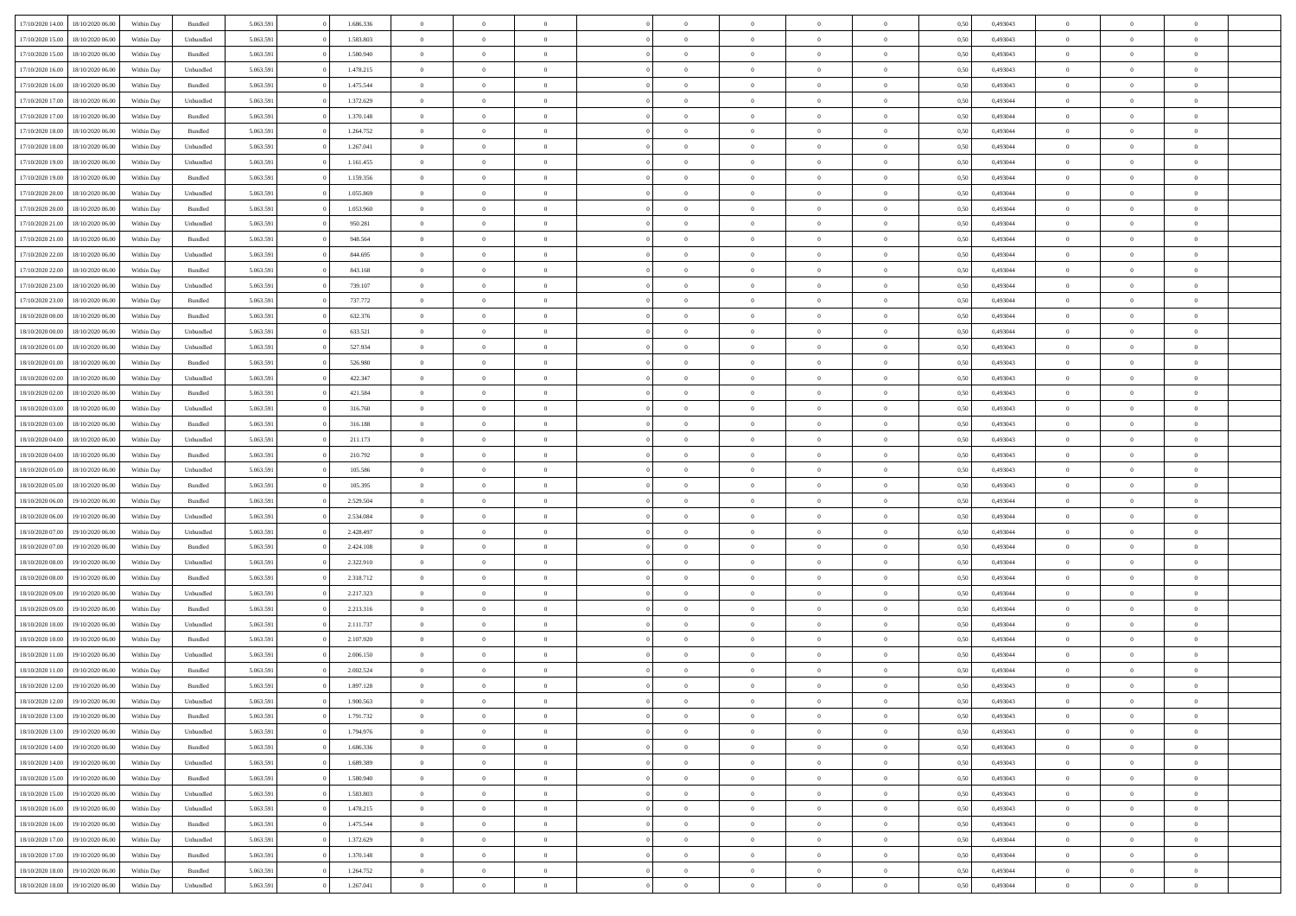| 17/10/2020 14:00 | 18/10/2020 06:00 | Within Dav | Bundled   | 5.063.591 | 1.686.336 | $\overline{0}$ | $\Omega$       |                | $\Omega$       | $\Omega$       | $\Omega$       | $\theta$       | 0.50 | 0,493043 | $\theta$       | $\theta$       | $\theta$       |  |
|------------------|------------------|------------|-----------|-----------|-----------|----------------|----------------|----------------|----------------|----------------|----------------|----------------|------|----------|----------------|----------------|----------------|--|
|                  |                  |            |           |           |           |                |                |                |                |                |                |                |      |          |                |                |                |  |
| 17/10/2020 15:00 | 18/10/2020 06:00 | Within Day | Unbundled | 5.063.591 | 1.583.803 | $\overline{0}$ | $\theta$       | $\overline{0}$ | $\overline{0}$ | $\bf{0}$       | $\overline{0}$ | $\overline{0}$ | 0,50 | 0,493043 | $\theta$       | $\overline{0}$ | $\overline{0}$ |  |
| 17/10/2020 15:00 | 18/10/2020 06:00 | Within Day | Bundled   | 5.063.591 | 1.580.940 | $\overline{0}$ | $\overline{0}$ | $\overline{0}$ | $\bf{0}$       | $\bf{0}$       | $\bf{0}$       | $\bf{0}$       | 0,50 | 0,493043 | $\overline{0}$ | $\overline{0}$ | $\overline{0}$ |  |
|                  |                  |            |           |           |           |                |                |                |                |                |                |                |      |          |                |                |                |  |
| 17/10/2020 16:00 | 18/10/2020 06:00 | Within Dav | Unbundled | 5.063.591 | 1.478.215 | $\overline{0}$ | $\overline{0}$ | $\overline{0}$ | $\overline{0}$ | $\bf{0}$       | $\overline{0}$ | $\overline{0}$ | 0.50 | 0,493043 | $\theta$       | $\theta$       | $\overline{0}$ |  |
| 17/10/2020 16:00 | 18/10/2020 06:00 | Within Day | Bundled   | 5.063.591 | 1.475.544 | $\overline{0}$ | $\theta$       | $\overline{0}$ | $\overline{0}$ | $\bf{0}$       | $\overline{0}$ | $\bf{0}$       | 0,50 | 0,493043 | $\theta$       | $\theta$       | $\overline{0}$ |  |
| 17/10/2020 17.00 | 18/10/2020 06:00 | Within Day | Unbundled | 5.063.591 | 1.372.629 | $\overline{0}$ | $\bf{0}$       | $\overline{0}$ | $\bf{0}$       | $\overline{0}$ | $\overline{0}$ | $\mathbf{0}$   | 0,50 | 0,493044 | $\overline{0}$ | $\overline{0}$ | $\bf{0}$       |  |
| 17/10/2020 17:00 | 18/10/2020 06:00 | Within Dav | Bundled   | 5.063.591 | 1.370.148 | $\overline{0}$ | $\overline{0}$ | $\overline{0}$ | $\overline{0}$ | $\bf{0}$       | $\overline{0}$ | $\overline{0}$ | 0.50 | 0,493044 | $\theta$       | $\overline{0}$ | $\overline{0}$ |  |
|                  |                  |            |           |           |           |                |                |                |                |                |                |                |      |          |                |                |                |  |
| 17/10/2020 18:00 | 18/10/2020 06:00 | Within Day | Bundled   | 5.063.591 | 1.264.752 | $\overline{0}$ | $\theta$       | $\overline{0}$ | $\overline{0}$ | $\bf{0}$       | $\overline{0}$ | $\bf{0}$       | 0,50 | 0,493044 | $\theta$       | $\theta$       | $\overline{0}$ |  |
| 17/10/2020 18:00 | 18/10/2020 06:00 | Within Day | Unbundled | 5.063.591 | 1.267.041 | $\overline{0}$ | $\overline{0}$ | $\overline{0}$ | $\bf{0}$       | $\bf{0}$       | $\bf{0}$       | $\bf{0}$       | 0,50 | 0,493044 | $\,0\,$        | $\overline{0}$ | $\overline{0}$ |  |
| 17/10/2020 19:00 | 18/10/2020 06:00 | Within Dav | Unbundled | 5.063.591 | 1.161.455 | $\overline{0}$ | $\overline{0}$ | $\overline{0}$ | $\overline{0}$ | $\overline{0}$ | $\overline{0}$ | $\overline{0}$ | 0.50 | 0,493044 | $\theta$       | $\overline{0}$ | $\overline{0}$ |  |
|                  |                  |            |           |           |           |                |                |                |                |                |                |                |      |          |                |                |                |  |
| 17/10/2020 19:00 | 18/10/2020 06:00 | Within Day | Bundled   | 5.063.591 | 1.159.356 | $\overline{0}$ | $\theta$       | $\overline{0}$ | $\overline{0}$ | $\bf{0}$       | $\overline{0}$ | $\bf{0}$       | 0,50 | 0,493044 | $\,$ 0 $\,$    | $\theta$       | $\overline{0}$ |  |
| 17/10/2020 20.00 | 18/10/2020 06:00 | Within Day | Unbundled | 5.063.591 | 1.055.869 | $\overline{0}$ | $\overline{0}$ | $\overline{0}$ | $\bf{0}$       | $\bf{0}$       | $\bf{0}$       | $\bf{0}$       | 0,50 | 0,493044 | $\overline{0}$ | $\overline{0}$ | $\overline{0}$ |  |
| 17/10/2020 20:00 | 18/10/2020 06:00 | Within Day | Bundled   | 5.063.591 | 1.053.960 | $\overline{0}$ | $\overline{0}$ | $\overline{0}$ | $\overline{0}$ | $\bf{0}$       | $\overline{0}$ | $\overline{0}$ | 0.50 | 0,493044 | $\theta$       | $\theta$       | $\overline{0}$ |  |
|                  |                  |            |           |           |           |                |                |                |                |                |                |                |      |          |                |                |                |  |
| 17/10/2020 21.00 | 18/10/2020 06:00 | Within Day | Unbundled | 5.063.591 | 950.281   | $\overline{0}$ | $\theta$       | $\overline{0}$ | $\overline{0}$ | $\bf{0}$       | $\overline{0}$ | $\bf{0}$       | 0,50 | 0,493044 | $\theta$       | $\overline{0}$ | $\overline{0}$ |  |
| 17/10/2020 21:00 | 18/10/2020 06:00 | Within Day | Bundled   | 5.063.591 | 948.564   | $\overline{0}$ | $\bf{0}$       | $\overline{0}$ | $\bf{0}$       | $\overline{0}$ | $\overline{0}$ | $\mathbf{0}$   | 0,50 | 0,493044 | $\overline{0}$ | $\overline{0}$ | $\bf{0}$       |  |
| 17/10/2020 22.00 | 18/10/2020 06:00 | Within Dav | Unbundled | 5.063.591 | 844.695   | $\overline{0}$ | $\overline{0}$ | $\overline{0}$ | $\overline{0}$ | $\overline{0}$ | $\overline{0}$ | $\overline{0}$ | 0.50 | 0,493044 | $\theta$       | $\overline{0}$ | $\overline{0}$ |  |
| 17/10/2020 22.00 | 18/10/2020 06:00 | Within Day | Bundled   | 5.063.591 | 843.168   | $\overline{0}$ | $\theta$       | $\overline{0}$ | $\overline{0}$ | $\bf{0}$       | $\overline{0}$ | $\bf{0}$       | 0,50 | 0,493044 | $\theta$       | $\theta$       | $\overline{0}$ |  |
|                  |                  |            |           |           |           |                |                |                |                |                |                |                |      |          |                |                |                |  |
| 17/10/2020 23.00 | 18/10/2020 06:00 | Within Day | Unbundled | 5.063.591 | 739.107   | $\overline{0}$ | $\overline{0}$ | $\overline{0}$ | $\bf{0}$       | $\bf{0}$       | $\bf{0}$       | $\bf{0}$       | 0,50 | 0,493044 | $\,0\,$        | $\overline{0}$ | $\overline{0}$ |  |
| 17/10/2020 23.00 | 18/10/2020 06:00 | Within Dav | Bundled   | 5.063.591 | 737.772   | $\overline{0}$ | $\overline{0}$ | $\overline{0}$ | $\overline{0}$ | $\overline{0}$ | $\overline{0}$ | $\overline{0}$ | 0.50 | 0,493044 | $\theta$       | $\overline{0}$ | $\overline{0}$ |  |
| 18/10/2020 00:00 | 18/10/2020 06:00 | Within Day | Bundled   | 5.063.591 | 632.376   | $\overline{0}$ | $\theta$       | $\overline{0}$ | $\overline{0}$ | $\bf{0}$       | $\overline{0}$ | $\bf{0}$       | 0,50 | 0,493044 | $\,$ 0 $\,$    | $\theta$       | $\overline{0}$ |  |
|                  |                  |            |           |           |           |                |                |                |                |                |                |                |      |          |                |                |                |  |
| 18/10/2020 00:00 | 18/10/2020 06:00 | Within Day | Unbundled | 5.063.591 | 633.521   | $\overline{0}$ | $\overline{0}$ | $\overline{0}$ | $\bf{0}$       | $\bf{0}$       | $\bf{0}$       | $\bf{0}$       | 0,50 | 0,493044 | $\bf{0}$       | $\overline{0}$ | $\overline{0}$ |  |
| 18/10/2020 01:00 | 18/10/2020 06:00 | Within Day | Unbundled | 5.063.591 | 527.934   | $\overline{0}$ | $\overline{0}$ | $\overline{0}$ | $\overline{0}$ | $\bf{0}$       | $\overline{0}$ | $\overline{0}$ | 0.50 | 0,493043 | $\theta$       | $\theta$       | $\overline{0}$ |  |
| 18/10/2020 01:00 | 18/10/2020 06:00 | Within Day | Bundled   | 5.063.591 | 526.980   | $\overline{0}$ | $\theta$       | $\overline{0}$ | $\overline{0}$ | $\bf{0}$       | $\overline{0}$ | $\bf{0}$       | 0,50 | 0,493043 | $\theta$       | $\overline{0}$ | $\overline{0}$ |  |
| 18/10/2020 02.00 | 18/10/2020 06:00 | Within Day | Unbundled | 5.063.591 | 422.347   | $\overline{0}$ | $\bf{0}$       | $\overline{0}$ | $\bf{0}$       | $\overline{0}$ | $\overline{0}$ | $\mathbf{0}$   | 0,50 | 0,493043 | $\overline{0}$ | $\overline{0}$ | $\bf{0}$       |  |
|                  |                  |            |           |           |           |                |                |                |                |                |                |                |      |          |                |                |                |  |
| 18/10/2020 02:00 | 18/10/2020 06:00 | Within Dav | Bundled   | 5.063.591 | 421.584   | $\overline{0}$ | $\overline{0}$ | $\overline{0}$ | $\overline{0}$ | $\overline{0}$ | $\overline{0}$ | $\overline{0}$ | 0.50 | 0,493043 | $\theta$       | $\overline{0}$ | $\overline{0}$ |  |
| 18/10/2020 03:00 | 18/10/2020 06:00 | Within Day | Unbundled | 5.063.591 | 316.760   | $\overline{0}$ | $\theta$       | $\overline{0}$ | $\overline{0}$ | $\bf{0}$       | $\overline{0}$ | $\bf{0}$       | 0,50 | 0,493043 | $\theta$       | $\theta$       | $\overline{0}$ |  |
| 18/10/2020 03:00 | 18/10/2020 06:00 | Within Day | Bundled   | 5.063.591 | 316.188   | $\overline{0}$ | $\overline{0}$ | $\overline{0}$ | $\bf{0}$       | $\bf{0}$       | $\bf{0}$       | $\bf{0}$       | 0,50 | 0,493043 | $\,0\,$        | $\overline{0}$ | $\overline{0}$ |  |
|                  |                  |            |           |           |           |                |                |                |                |                |                |                |      |          |                |                |                |  |
| 18/10/2020 04:00 | 18/10/2020 06:00 | Within Day | Unbundled | 5.063.591 | 211.173   | $\overline{0}$ | $\overline{0}$ | $\overline{0}$ | $\overline{0}$ | $\overline{0}$ | $\overline{0}$ | $\overline{0}$ | 0.50 | 0,493043 | $\theta$       | $\overline{0}$ | $\overline{0}$ |  |
| 18/10/2020 04:00 | 18/10/2020 06:00 | Within Day | Bundled   | 5.063.591 | 210.792   | $\overline{0}$ | $\theta$       | $\overline{0}$ | $\overline{0}$ | $\bf{0}$       | $\overline{0}$ | $\bf{0}$       | 0,50 | 0,493043 | $\,$ 0 $\,$    | $\overline{0}$ | $\overline{0}$ |  |
| 18/10/2020 05:00 | 18/10/2020 06:00 | Within Day | Unbundled | 5.063.591 | 105.586   | $\overline{0}$ | $\overline{0}$ | $\overline{0}$ | $\bf{0}$       | $\bf{0}$       | $\bf{0}$       | $\bf{0}$       | 0,50 | 0,493043 | $\overline{0}$ | $\overline{0}$ | $\overline{0}$ |  |
|                  |                  |            |           |           |           |                |                |                |                |                |                |                |      |          |                |                | $\theta$       |  |
| 18/10/2020 05:00 | 18/10/2020 06:00 | Within Day | Bundled   | 5.063.591 | 105.395   | $\overline{0}$ | $\Omega$       | $\Omega$       | $\Omega$       | $\Omega$       | $\Omega$       | $\overline{0}$ | 0,50 | 0,493043 | $\,0\,$        | $\theta$       |                |  |
| 18/10/2020 06:00 | 19/10/2020 06.00 | Within Day | Bundled   | 5.063.591 | 2.529.504 | $\overline{0}$ | $\theta$       | $\overline{0}$ | $\overline{0}$ | $\bf{0}$       | $\overline{0}$ | $\bf{0}$       | 0,50 | 0,493044 | $\theta$       | $\theta$       | $\overline{0}$ |  |
| 18/10/2020 06:00 | 19/10/2020 06.00 | Within Day | Unbundled | 5.063.591 | 2.534.084 | $\overline{0}$ | $\overline{0}$ | $\overline{0}$ | $\bf{0}$       | $\bf{0}$       | $\overline{0}$ | $\mathbf{0}$   | 0,50 | 0,493044 | $\overline{0}$ | $\overline{0}$ | $\bf{0}$       |  |
| 18/10/2020 07:00 | 19/10/2020 06:00 | Within Day | Unbundled | 5.063.591 | 2.428.497 | $\overline{0}$ | $\Omega$       | $\Omega$       | $\Omega$       | $\bf{0}$       | $\overline{0}$ | $\overline{0}$ | 0.50 | 0,493044 | $\theta$       | $\theta$       | $\theta$       |  |
|                  |                  |            |           |           |           |                |                |                |                |                |                |                |      |          |                |                |                |  |
| 18/10/2020 07:00 | 19/10/2020 06.00 | Within Day | Bundled   | 5.063.591 | 2.424.108 | $\overline{0}$ | $\theta$       | $\overline{0}$ | $\overline{0}$ | $\bf{0}$       | $\overline{0}$ | $\bf{0}$       | 0,50 | 0,493044 | $\,$ 0 $\,$    | $\theta$       | $\overline{0}$ |  |
| 18/10/2020 08:00 | 19/10/2020 06.00 | Within Day | Unbundled | 5.063.591 | 2.322.910 | $\overline{0}$ | $\overline{0}$ | $\overline{0}$ | $\bf{0}$       | $\bf{0}$       | $\bf{0}$       | $\bf{0}$       | 0,50 | 0,493044 | $\,0\,$        | $\overline{0}$ | $\overline{0}$ |  |
| 18/10/2020 08:00 | 19/10/2020 06:00 | Within Day | Bundled   | 5.063.591 | 2.318.712 | $\overline{0}$ | $\Omega$       | $\Omega$       | $\Omega$       | $\Omega$       | $\theta$       | $\overline{0}$ | 0.50 | 0,493044 | $\theta$       | $\theta$       | $\theta$       |  |
| 18/10/2020 09:00 | 19/10/2020 06.00 | Within Day | Unbundled | 5.063.591 | 2.217.323 | $\overline{0}$ | $\theta$       | $\overline{0}$ | $\overline{0}$ | $\bf{0}$       | $\overline{0}$ | $\bf{0}$       | 0,50 | 0,493044 | $\,$ 0 $\,$    | $\overline{0}$ | $\overline{0}$ |  |
|                  |                  |            |           |           |           |                |                |                |                |                |                |                |      |          |                |                |                |  |
| 18/10/2020 09:00 | 19/10/2020 06.00 | Within Day | Bundled   | 5.063.591 | 2.213.316 | $\overline{0}$ | $\overline{0}$ | $\overline{0}$ | $\bf{0}$       | $\bf{0}$       | $\bf{0}$       | $\bf{0}$       | 0,50 | 0,493044 | $\bf{0}$       | $\overline{0}$ | $\overline{0}$ |  |
| 18/10/2020 10:00 | 19/10/2020 06.00 | Within Day | Unbundled | 5.063.591 | 2.111.737 | $\overline{0}$ | $\Omega$       | $\Omega$       | $\Omega$       | $\Omega$       | $\overline{0}$ | $\overline{0}$ | 0,50 | 0,493044 | $\,0\,$        | $\theta$       | $\theta$       |  |
| 18/10/2020 10:00 | 19/10/2020 06.00 | Within Day | Bundled   | 5.063.591 | 2.107.920 | $\overline{0}$ | $\theta$       | $\overline{0}$ | $\overline{0}$ | $\bf{0}$       | $\overline{0}$ | $\bf{0}$       | 0,50 | 0,493044 | $\,$ 0 $\,$    | $\overline{0}$ | $\overline{0}$ |  |
|                  |                  |            |           |           |           |                |                |                |                |                |                |                |      |          |                |                |                |  |
| 18/10/2020 11:00 | 19/10/2020 06.00 | Within Day | Unbundled | 5.063.591 | 2.006.150 | $\overline{0}$ | $\overline{0}$ | $\overline{0}$ | $\bf{0}$       | $\bf{0}$       | $\bf{0}$       | $\mathbf{0}$   | 0,50 | 0,493044 | $\bf{0}$       | $\overline{0}$ | $\bf{0}$       |  |
| 18/10/2020 11:00 | 19/10/2020 06:00 | Within Day | Bundled   | 5.063.591 | 2.002.524 | $\overline{0}$ | $\Omega$       | $\Omega$       | $\Omega$       | $\Omega$       | $\Omega$       | $\overline{0}$ | 0.50 | 0.493044 | $\theta$       | $\theta$       | $\theta$       |  |
| 18/10/2020 12:00 | 19/10/2020 06:00 | Within Day | Bundled   | 5.063.591 | 1.897.128 | $\overline{0}$ | $\,$ 0 $\,$    | $\overline{0}$ | $\bf{0}$       | $\,$ 0         | $\bf{0}$       | $\bf{0}$       | 0,50 | 0,493043 | $\,0\,$        | $\overline{0}$ | $\overline{0}$ |  |
| 18/10/2020 12:00 | 19/10/2020 06.00 | Within Day | Unbundled | 5.063.591 | 1.900.563 | $\bf{0}$       | $\bf{0}$       |                |                |                |                |                | 0,50 | 0,493043 | $\bf{0}$       | $\overline{0}$ |                |  |
|                  |                  |            |           |           |           |                |                |                |                |                |                |                |      |          |                |                |                |  |
| 18/10/2020 13:00 | 19/10/2020 06:00 | Within Day | Bundled   | 5.063.591 | 1.791.732 | $\overline{0}$ | $\overline{0}$ | $\overline{0}$ | $\Omega$       | $\theta$       | $\overline{0}$ | $\overline{0}$ | 0.50 | 0.493043 | $\theta$       | $\theta$       | $\theta$       |  |
| 18/10/2020 13:00 | 19/10/2020 06.00 | Within Day | Unbundled | 5.063.591 | 1.794.976 | $\overline{0}$ | $\,$ 0         | $\overline{0}$ | $\bf{0}$       | $\,$ 0 $\,$    | $\overline{0}$ | $\mathbf{0}$   | 0,50 | 0,493043 | $\,$ 0 $\,$    | $\,$ 0 $\,$    | $\,$ 0         |  |
| 18/10/2020 14:00 | 19/10/2020 06:00 | Within Day | Bundled   | 5.063.591 | 1.686.336 | $\overline{0}$ | $\overline{0}$ | $\overline{0}$ | $\overline{0}$ | $\overline{0}$ | $\overline{0}$ | $\mathbf{0}$   | 0,50 | 0,493043 | $\overline{0}$ | $\bf{0}$       | $\bf{0}$       |  |
|                  |                  |            |           |           |           |                |                |                |                |                |                |                |      |          |                |                |                |  |
| 18/10/2020 14:00 | 19/10/2020 06:00 | Within Day | Unbundled | 5.063.591 | 1.689.389 | $\overline{0}$ | $\overline{0}$ | $\overline{0}$ | $\Omega$       | $\overline{0}$ | $\overline{0}$ | $\bf{0}$       | 0,50 | 0,493043 | $\bf{0}$       | $\theta$       | $\overline{0}$ |  |
| 18/10/2020 15:00 | 19/10/2020 06.00 | Within Day | Bundled   | 5.063.591 | 1.580.940 | $\overline{0}$ | $\,$ 0         | $\overline{0}$ | $\overline{0}$ | $\,$ 0 $\,$    | $\overline{0}$ | $\mathbf{0}$   | 0,50 | 0,493043 | $\,$ 0 $\,$    | $\overline{0}$ | $\overline{0}$ |  |
| 18/10/2020 15:00 | 19/10/2020 06:00 | Within Day | Unbundled | 5.063.591 | 1.583.803 | $\overline{0}$ | $\overline{0}$ | $\overline{0}$ | $\overline{0}$ | $\overline{0}$ | $\overline{0}$ | $\mathbf{0}$   | 0,50 | 0,493043 | $\overline{0}$ | $\overline{0}$ | $\bf{0}$       |  |
| 18/10/2020 16:00 | 19/10/2020 06:00 | Within Day | Unbundled | 5.063.591 | 1.478.215 | $\overline{0}$ | $\overline{0}$ | $\overline{0}$ | $\Omega$       | $\overline{0}$ | $\overline{0}$ | $\bf{0}$       | 0.50 | 0,493043 | $\overline{0}$ | $\theta$       | $\overline{0}$ |  |
|                  |                  |            |           |           |           |                |                |                |                |                |                |                |      |          |                |                |                |  |
| 18/10/2020 16:00 | 19/10/2020 06.00 | Within Day | Bundled   | 5.063.591 | 1.475.544 | $\overline{0}$ | $\,$ 0         | $\overline{0}$ | $\bf{0}$       | $\bf{0}$       | $\bf{0}$       | $\bf{0}$       | 0,50 | 0,493043 | $\,$ 0 $\,$    | $\overline{0}$ | $\overline{0}$ |  |
| 18/10/2020 17:00 | 19/10/2020 06:00 | Within Day | Unbundled | 5.063.591 | 1.372.629 | $\overline{0}$ | $\bf{0}$       | $\overline{0}$ | $\overline{0}$ | $\overline{0}$ | $\overline{0}$ | $\mathbf{0}$   | 0,50 | 0,493044 | $\overline{0}$ | $\overline{0}$ | $\bf{0}$       |  |
| 18/10/2020 17:00 | 19/10/2020 06:00 | Within Day | Bundled   | 5.063.591 | 1.370.148 | $\overline{0}$ | $\overline{0}$ | $\overline{0}$ | $\Omega$       | $\overline{0}$ | $\overline{0}$ | $\bf{0}$       | 0.50 | 0,493044 | $\overline{0}$ | $\theta$       | $\overline{0}$ |  |
|                  |                  |            |           |           |           |                | $\bf{0}$       |                |                |                |                |                |      |          | $\,$ 0 $\,$    | $\,$ 0 $\,$    |                |  |
| 18/10/2020 18:00 | 19/10/2020 06.00 | Within Day | Bundled   | 5.063.591 | 1.264.752 | $\overline{0}$ |                | $\overline{0}$ | $\bf{0}$       | $\bf{0}$       | $\bf{0}$       | $\mathbf{0}$   | 0,50 | 0,493044 |                |                | $\bf{0}$       |  |
| 18/10/2020 18:00 | 19/10/2020 06:00 | Within Day | Unbundled | 5.063.591 | 1.267.041 | $\overline{0}$ | $\overline{0}$ | $\overline{0}$ | $\overline{0}$ | $\overline{0}$ | $\bf{0}$       | $\mathbf{0}$   | 0,50 | 0,493044 | $\overline{0}$ | $\bf{0}$       | $\bf{0}$       |  |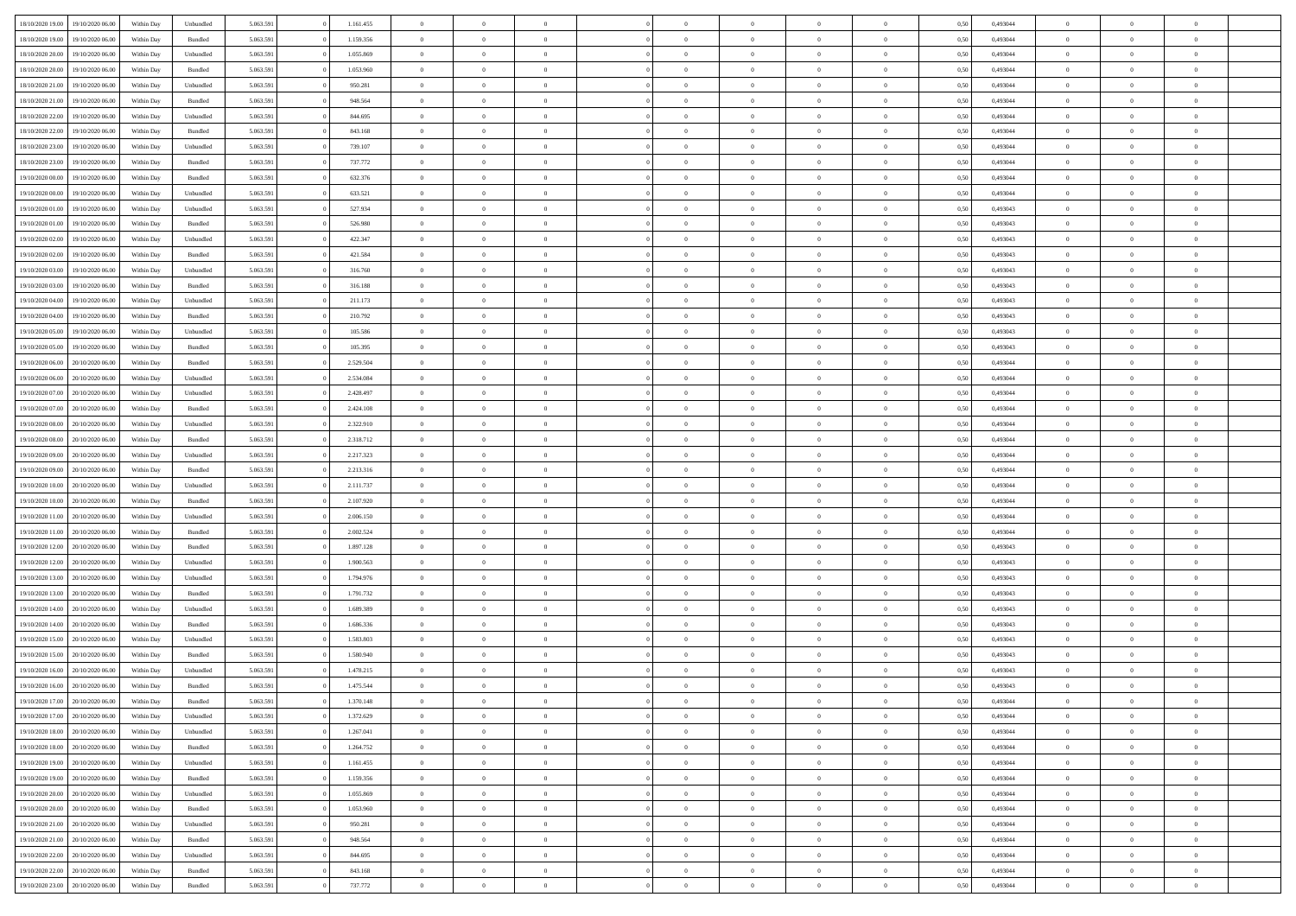| 18/10/2020 19:00 | 19/10/2020 06:00 | Within Dav | Unbundled | 5.063.591 | 1.161.455 | $\overline{0}$ | $\Omega$       |                | $\Omega$       | $\Omega$       | $\Omega$       | $\theta$       | 0.50 | 0,493044 | $\theta$       | $\theta$       | $\theta$       |  |
|------------------|------------------|------------|-----------|-----------|-----------|----------------|----------------|----------------|----------------|----------------|----------------|----------------|------|----------|----------------|----------------|----------------|--|
|                  |                  |            |           |           |           |                |                |                |                |                |                |                |      |          |                |                |                |  |
| 18/10/2020 19:00 | 19/10/2020 06.00 | Within Day | Bundled   | 5.063.591 | 1.159.356 | $\overline{0}$ | $\theta$       | $\overline{0}$ | $\overline{0}$ | $\bf{0}$       | $\overline{0}$ | $\bf{0}$       | 0,50 | 0,493044 | $\theta$       | $\overline{0}$ | $\overline{0}$ |  |
| 18/10/2020 20:00 | 19/10/2020 06:00 | Within Day | Unbundled | 5.063.591 | 1.055.869 | $\overline{0}$ | $\overline{0}$ | $\overline{0}$ | $\bf{0}$       | $\bf{0}$       | $\bf{0}$       | $\bf{0}$       | 0,50 | 0,493044 | $\bf{0}$       | $\overline{0}$ | $\overline{0}$ |  |
| 18/10/2020 20:00 | 19/10/2020 06:00 | Within Dav | Bundled   | 5.063.591 | 1.053.960 | $\overline{0}$ | $\overline{0}$ | $\overline{0}$ | $\overline{0}$ | $\bf{0}$       | $\overline{0}$ | $\overline{0}$ | 0.50 | 0.493044 | $\theta$       | $\theta$       | $\overline{0}$ |  |
| 18/10/2020 21:00 | 19/10/2020 06.00 | Within Day | Unbundled | 5.063.591 | 950.281   | $\overline{0}$ | $\theta$       | $\overline{0}$ | $\overline{0}$ | $\bf{0}$       | $\overline{0}$ | $\bf{0}$       | 0,50 | 0,493044 | $\theta$       | $\theta$       | $\overline{0}$ |  |
| 18/10/2020 21.00 | 19/10/2020 06.00 | Within Day | Bundled   | 5.063.591 | 948.564   | $\overline{0}$ | $\bf{0}$       | $\overline{0}$ | $\bf{0}$       | $\overline{0}$ | $\overline{0}$ | $\mathbf{0}$   | 0,50 | 0,493044 | $\overline{0}$ | $\overline{0}$ | $\bf{0}$       |  |
|                  |                  |            |           |           |           |                |                |                |                |                |                |                |      |          |                |                |                |  |
| 18/10/2020 22.00 | 19/10/2020 06.00 | Within Dav | Unbundled | 5.063.591 | 844.695   | $\overline{0}$ | $\overline{0}$ | $\overline{0}$ | $\overline{0}$ | $\overline{0}$ | $\overline{0}$ | $\overline{0}$ | 0.50 | 0,493044 | $\theta$       | $\overline{0}$ | $\overline{0}$ |  |
| 18/10/2020 22.00 | 19/10/2020 06.00 | Within Day | Bundled   | 5.063.591 | 843.168   | $\overline{0}$ | $\theta$       | $\overline{0}$ | $\overline{0}$ | $\bf{0}$       | $\overline{0}$ | $\bf{0}$       | 0,50 | 0,493044 | $\theta$       | $\theta$       | $\overline{0}$ |  |
| 18/10/2020 23:00 | 19/10/2020 06.00 | Within Day | Unbundled | 5.063.591 | 739.107   | $\overline{0}$ | $\overline{0}$ | $\overline{0}$ | $\bf{0}$       | $\bf{0}$       | $\bf{0}$       | $\bf{0}$       | 0,50 | 0,493044 | $\,0\,$        | $\overline{0}$ | $\overline{0}$ |  |
| 18/10/2020 23:00 | 19/10/2020 06:00 | Within Dav | Bundled   | 5.063.591 | 737.772   | $\overline{0}$ | $\overline{0}$ | $\overline{0}$ | $\overline{0}$ | $\overline{0}$ | $\overline{0}$ | $\overline{0}$ | 0.50 | 0,493044 | $\theta$       | $\overline{0}$ | $\overline{0}$ |  |
| 19/10/2020 00:00 | 19/10/2020 06.00 | Within Day | Bundled   | 5.063.591 | 632.376   | $\overline{0}$ | $\theta$       | $\overline{0}$ | $\overline{0}$ | $\bf{0}$       | $\overline{0}$ | $\bf{0}$       | 0,50 | 0,493044 | $\,$ 0 $\,$    | $\theta$       | $\overline{0}$ |  |
| 19/10/2020 00.00 | 19/10/2020 06.00 | Within Day | Unbundled | 5.063.591 | 633.521   | $\overline{0}$ | $\overline{0}$ | $\overline{0}$ | $\bf{0}$       | $\bf{0}$       | $\bf{0}$       | $\bf{0}$       | 0,50 | 0,493044 | $\overline{0}$ | $\overline{0}$ | $\overline{0}$ |  |
| 19/10/2020 01:00 | 19/10/2020 06:00 | Within Day | Unbundled | 5.063.591 | 527.934   | $\overline{0}$ | $\overline{0}$ | $\overline{0}$ | $\overline{0}$ | $\bf{0}$       | $\overline{0}$ | $\overline{0}$ | 0.50 | 0,493043 | $\theta$       | $\theta$       | $\overline{0}$ |  |
| 19/10/2020 01:00 | 19/10/2020 06.00 |            |           | 5.063.591 | 526.980   | $\overline{0}$ | $\theta$       | $\overline{0}$ | $\overline{0}$ | $\bf{0}$       | $\overline{0}$ |                |      | 0,493043 | $\theta$       | $\overline{0}$ | $\overline{0}$ |  |
|                  |                  | Within Day | Bundled   |           |           |                |                |                |                |                |                | $\bf{0}$       | 0,50 |          |                |                |                |  |
| 19/10/2020 02.00 | 19/10/2020 06.00 | Within Day | Unbundled | 5.063.591 | 422.347   | $\overline{0}$ | $\bf{0}$       | $\overline{0}$ | $\bf{0}$       | $\overline{0}$ | $\overline{0}$ | $\mathbf{0}$   | 0,50 | 0,493043 | $\overline{0}$ | $\overline{0}$ | $\bf{0}$       |  |
| 19/10/2020 02.00 | 19/10/2020 06:00 | Within Dav | Bundled   | 5.063.591 | 421.584   | $\overline{0}$ | $\overline{0}$ | $\overline{0}$ | $\overline{0}$ | $\overline{0}$ | $\overline{0}$ | $\overline{0}$ | 0.50 | 0,493043 | $\theta$       | $\overline{0}$ | $\overline{0}$ |  |
| 19/10/2020 03:00 | 19/10/2020 06.00 | Within Day | Unbundled | 5.063.591 | 316.760   | $\overline{0}$ | $\theta$       | $\overline{0}$ | $\overline{0}$ | $\bf{0}$       | $\overline{0}$ | $\bf{0}$       | 0,50 | 0,493043 | $\theta$       | $\theta$       | $\overline{0}$ |  |
| 19/10/2020 03:00 | 19/10/2020 06.00 | Within Day | Bundled   | 5.063.591 | 316.188   | $\overline{0}$ | $\overline{0}$ | $\overline{0}$ | $\bf{0}$       | $\bf{0}$       | $\bf{0}$       | $\bf{0}$       | 0,50 | 0,493043 | $\,0\,$        | $\overline{0}$ | $\overline{0}$ |  |
| 19/10/2020 04:00 | 19/10/2020 06:00 | Within Day | Unbundled | 5.063.591 | 211.173   | $\overline{0}$ | $\overline{0}$ | $\overline{0}$ | $\overline{0}$ | $\overline{0}$ | $\overline{0}$ | $\overline{0}$ | 0.50 | 0,493043 | $\theta$       | $\overline{0}$ | $\overline{0}$ |  |
| 19/10/2020 04:00 | 19/10/2020 06.00 | Within Day | Bundled   | 5.063.591 | 210.792   | $\overline{0}$ | $\theta$       | $\overline{0}$ | $\overline{0}$ | $\bf{0}$       | $\overline{0}$ | $\bf{0}$       | 0,50 | 0,493043 | $\,$ 0 $\,$    | $\theta$       | $\overline{0}$ |  |
| 19/10/2020 05:00 | 19/10/2020 06.00 | Within Day | Unbundled | 5.063.591 | 105.586   | $\overline{0}$ | $\overline{0}$ | $\overline{0}$ | $\bf{0}$       | $\bf{0}$       | $\bf{0}$       | $\bf{0}$       | 0,50 | 0,493043 | $\bf{0}$       | $\overline{0}$ | $\overline{0}$ |  |
|                  |                  |            |           |           |           |                |                |                |                |                |                |                |      |          | $\theta$       |                |                |  |
| 19/10/2020 05:00 | 19/10/2020 06:00 | Within Day | Bundled   | 5.063.591 | 105.395   | $\overline{0}$ | $\overline{0}$ | $\overline{0}$ | $\overline{0}$ | $\bf{0}$       | $\overline{0}$ | $\overline{0}$ | 0.50 | 0.493043 |                | $\theta$       | $\overline{0}$ |  |
| 19/10/2020 06.00 | 20/10/2020 06.00 | Within Day | Bundled   | 5.063.591 | 2.529.504 | $\overline{0}$ | $\theta$       | $\overline{0}$ | $\overline{0}$ | $\bf{0}$       | $\overline{0}$ | $\bf{0}$       | 0,50 | 0,493044 | $\,$ 0 $\,$    | $\overline{0}$ | $\overline{0}$ |  |
| 19/10/2020 06.00 | 20/10/2020 06:00 | Within Day | Unbundled | 5.063.591 | 2.534.084 | $\overline{0}$ | $\bf{0}$       | $\overline{0}$ | $\bf{0}$       | $\overline{0}$ | $\overline{0}$ | $\mathbf{0}$   | 0,50 | 0,493044 | $\overline{0}$ | $\overline{0}$ | $\bf{0}$       |  |
| 19/10/2020 07:00 | 20/10/2020 06:00 | Within Dav | Unbundled | 5.063.591 | 2.428.497 | $\overline{0}$ | $\overline{0}$ | $\overline{0}$ | $\overline{0}$ | $\overline{0}$ | $\overline{0}$ | $\overline{0}$ | 0.50 | 0,493044 | $\theta$       | $\overline{0}$ | $\overline{0}$ |  |
| 19/10/2020 07.00 | 20/10/2020 06.00 | Within Day | Bundled   | 5.063.591 | 2.424.108 | $\overline{0}$ | $\theta$       | $\overline{0}$ | $\overline{0}$ | $\bf{0}$       | $\overline{0}$ | $\bf{0}$       | 0,50 | 0,493044 | $\theta$       | $\theta$       | $\overline{0}$ |  |
| 19/10/2020 08:00 | 20/10/2020 06:00 | Within Day | Unbundled | 5.063.591 | 2.322.910 | $\overline{0}$ | $\overline{0}$ | $\overline{0}$ | $\bf{0}$       | $\bf{0}$       | $\bf{0}$       | $\bf{0}$       | 0,50 | 0,493044 | $\,0\,$        | $\overline{0}$ | $\overline{0}$ |  |
| 19/10/2020 08:00 | 20/10/2020 06:00 | Within Day | Bundled   | 5.063.591 | 2.318.712 | $\overline{0}$ | $\overline{0}$ | $\overline{0}$ | $\overline{0}$ | $\overline{0}$ | $\overline{0}$ | $\overline{0}$ | 0.50 | 0,493044 | $\theta$       | $\overline{0}$ | $\overline{0}$ |  |
| 19/10/2020 09:00 | 20/10/2020 06.00 |            |           | 5.063.591 | 2.217.323 | $\overline{0}$ | $\theta$       | $\overline{0}$ | $\overline{0}$ | $\bf{0}$       | $\overline{0}$ |                |      | 0,493044 | $\,$ 0 $\,$    | $\overline{0}$ | $\overline{0}$ |  |
|                  |                  | Within Day | Unbundled |           |           |                |                |                |                |                |                | $\bf{0}$       | 0,50 |          |                |                |                |  |
| 19/10/2020 09:00 | 20/10/2020 06:00 | Within Day | Bundled   | 5.063.591 | 2.213.316 | $\overline{0}$ | $\overline{0}$ | $\overline{0}$ | $\bf{0}$       | $\bf{0}$       | $\bf{0}$       | $\bf{0}$       | 0,50 | 0,493044 | $\overline{0}$ | $\overline{0}$ | $\overline{0}$ |  |
| 19/10/2020 10:00 | 20/10/2020 06.00 | Within Day | Unbundled | 5.063.591 | 2.111.737 | $\overline{0}$ | $\Omega$       | $\Omega$       | $\Omega$       | $\Omega$       | $\Omega$       | $\overline{0}$ | 0,50 | 0,493044 | $\,0\,$        | $\theta$       | $\theta$       |  |
| 19/10/2020 10:00 | 20/10/2020 06.00 | Within Day | Bundled   | 5.063.591 | 2.107.920 | $\overline{0}$ | $\theta$       | $\overline{0}$ | $\overline{0}$ | $\bf{0}$       | $\overline{0}$ | $\bf{0}$       | 0,50 | 0,493044 | $\theta$       | $\theta$       | $\overline{0}$ |  |
| 19/10/2020 11:00 | 20/10/2020 06:00 | Within Day | Unbundled | 5.063.591 | 2.006.150 | $\overline{0}$ | $\overline{0}$ | $\overline{0}$ | $\bf{0}$       | $\bf{0}$       | $\overline{0}$ | $\mathbf{0}$   | 0,50 | 0,493044 | $\overline{0}$ | $\overline{0}$ | $\bf{0}$       |  |
| 19/10/2020 11:00 | 20/10/2020 06:00 | Within Day | Bundled   | 5.063.591 | 2.002.524 | $\overline{0}$ | $\Omega$       | $\Omega$       | $\Omega$       | $\bf{0}$       | $\overline{0}$ | $\overline{0}$ | 0.50 | 0,493044 | $\theta$       | $\theta$       | $\theta$       |  |
| 19/10/2020 12:00 | 20/10/2020 06.00 | Within Day | Bundled   | 5.063.591 | 1.897.128 | $\overline{0}$ | $\theta$       | $\overline{0}$ | $\overline{0}$ | $\bf{0}$       | $\overline{0}$ | $\bf{0}$       | 0,50 | 0,493043 | $\,$ 0 $\,$    | $\theta$       | $\overline{0}$ |  |
| 19/10/2020 12:00 | 20/10/2020 06:00 | Within Day | Unbundled | 5.063.591 | 1.900.563 | $\overline{0}$ | $\overline{0}$ | $\overline{0}$ | $\bf{0}$       | $\bf{0}$       | $\bf{0}$       | $\bf{0}$       | 0,50 | 0,493043 | $\,0\,$        | $\overline{0}$ | $\overline{0}$ |  |
|                  |                  |            |           |           |           |                | $\Omega$       |                |                | $\theta$       | $\theta$       |                |      |          |                |                | $\theta$       |  |
| 19/10/2020 13:00 | 20/10/2020 06:00 | Within Day | Unbundled | 5.063.591 | 1.794.976 | $\overline{0}$ |                | $\Omega$       | $\Omega$       |                |                | $\overline{0}$ | 0.50 | 0,493043 | $\theta$       | $\theta$       |                |  |
| 19/10/2020 13:00 | 20/10/2020 06.00 | Within Day | Bundled   | 5.063.591 | 1.791.732 | $\overline{0}$ | $\theta$       | $\overline{0}$ | $\overline{0}$ | $\bf{0}$       | $\overline{0}$ | $\bf{0}$       | 0,50 | 0,493043 | $\,$ 0 $\,$    | $\overline{0}$ | $\overline{0}$ |  |
| 19/10/2020 14:00 | 20/10/2020 06:00 | Within Day | Unbundled | 5.063.591 | 1.689.389 | $\overline{0}$ | $\overline{0}$ | $\overline{0}$ | $\bf{0}$       | $\bf{0}$       | $\bf{0}$       | $\bf{0}$       | 0,50 | 0,493043 | $\bf{0}$       | $\overline{0}$ | $\overline{0}$ |  |
| 19/10/2020 14:00 | 20/10/2020 06.00 | Within Day | Bundled   | 5.063.591 | 1.686.336 | $\overline{0}$ | $\Omega$       | $\overline{0}$ | $\Omega$       | $\Omega$       | $\overline{0}$ | $\overline{0}$ | 0,50 | 0,493043 | $\,0\,$        | $\theta$       | $\theta$       |  |
| 19/10/2020 15:00 | 20/10/2020 06.00 | Within Day | Unbundled | 5.063.591 | 1.583.803 | $\overline{0}$ | $\theta$       | $\overline{0}$ | $\overline{0}$ | $\,$ 0         | $\overline{0}$ | $\bf{0}$       | 0,50 | 0,493043 | $\,$ 0 $\,$    | $\overline{0}$ | $\overline{0}$ |  |
| 19/10/2020 15:00 | 20/10/2020 06:00 | Within Day | Bundled   | 5.063.591 | 1.580.940 | $\overline{0}$ | $\overline{0}$ | $\overline{0}$ | $\bf{0}$       | $\bf{0}$       | $\bf{0}$       | $\mathbf{0}$   | 0,50 | 0,493043 | $\bf{0}$       | $\overline{0}$ | $\bf{0}$       |  |
| 19/10/2020 16:00 | 20/10/2020 06:00 | Within Day | Unbundled | 5.063.591 | 1.478.215 | $\overline{0}$ | $\Omega$       | $\Omega$       | $\Omega$       | $\Omega$       | $\Omega$       | $\overline{0}$ | 0.50 | 0,493043 | $\theta$       | $\theta$       | $\theta$       |  |
| 19/10/2020 16:00 | 20/10/2020 06.00 | Within Day | Bundled   | 5.063.591 | 1.475.544 | $\overline{0}$ | $\,$ 0 $\,$    | $\overline{0}$ | $\bf{0}$       | $\,$ 0         | $\bf{0}$       | $\bf{0}$       | 0,50 | 0,493043 | $\,0\,$        | $\overline{0}$ | $\overline{0}$ |  |
| 19/10/2020 17:00 | 20/10/2020 06:00 | Within Day | Bundled   | 5.063.591 | 1.370.148 | $\bf{0}$       | $\bf{0}$       |                |                |                |                |                | 0,50 | 0,493044 | $\bf{0}$       | $\overline{0}$ |                |  |
|                  |                  |            |           |           |           |                |                |                |                |                |                |                |      |          |                |                |                |  |
| 19/10/2020 17:00 | 20/10/2020 06:00 | Within Day | Unbundled | 5.063.591 | 1.372.629 | $\overline{0}$ | $\overline{0}$ | $\overline{0}$ | $\Omega$       | $\overline{0}$ | $\overline{0}$ | $\overline{0}$ | 0,50 | 0,493044 | $\theta$       | $\theta$       | $\theta$       |  |
| 19/10/2020 18:00 | 20/10/2020 06.00 | Within Day | Unbundled | 5.063.591 | 1.267.041 | $\overline{0}$ | $\,$ 0         | $\overline{0}$ | $\bf{0}$       | $\,$ 0 $\,$    | $\overline{0}$ | $\mathbf{0}$   | 0,50 | 0,493044 | $\,$ 0 $\,$    | $\,$ 0 $\,$    | $\,$ 0         |  |
| 19/10/2020 18:00 | 20/10/2020 06.00 | Within Day | Bundled   | 5.063.591 | 1.264.752 | $\overline{0}$ | $\overline{0}$ | $\overline{0}$ | $\overline{0}$ | $\overline{0}$ | $\overline{0}$ | $\mathbf{0}$   | 0,50 | 0,493044 | $\overline{0}$ | $\bf{0}$       | $\bf{0}$       |  |
| 19/10/2020 19:00 | 20/10/2020 06.00 | Within Day | Unbundled | 5.063.591 | 1.161.455 | $\overline{0}$ | $\overline{0}$ | $\overline{0}$ | $\Omega$       | $\overline{0}$ | $\overline{0}$ | $\overline{0}$ | 0,50 | 0,493044 | $\bf{0}$       | $\theta$       | $\overline{0}$ |  |
| 19/10/2020 19:00 | 20/10/2020 06.00 | Within Day | Bundled   | 5.063.591 | 1.159.356 | $\overline{0}$ | $\,$ 0         | $\overline{0}$ | $\overline{0}$ | $\,$ 0 $\,$    | $\overline{0}$ | $\mathbf{0}$   | 0,50 | 0,493044 | $\,$ 0 $\,$    | $\overline{0}$ | $\overline{0}$ |  |
| 19/10/2020 20:00 | 20/10/2020 06.00 | Within Day | Unbundled | 5.063.591 | 1.055.869 | $\overline{0}$ | $\overline{0}$ | $\overline{0}$ | $\overline{0}$ | $\overline{0}$ | $\overline{0}$ | $\mathbf{0}$   | 0,50 | 0,493044 | $\overline{0}$ | $\overline{0}$ | $\bf{0}$       |  |
| 19/10/2020 20:00 | 20/10/2020 06.00 | Within Day | Bundled   | 5.063.591 | 1.053.960 | $\overline{0}$ | $\overline{0}$ | $\overline{0}$ | $\Omega$       | $\overline{0}$ | $\overline{0}$ | $\bf{0}$       | 0.50 | 0,493044 | $\overline{0}$ | $\theta$       | $\overline{0}$ |  |
| 19/10/2020 21:00 | 20/10/2020 06.00 | Within Day | Unbundled | 5.063.591 | 950.281   | $\overline{0}$ | $\,$ 0         | $\overline{0}$ | $\bf{0}$       | $\bf{0}$       | $\bf{0}$       | $\bf{0}$       | 0,50 | 0,493044 | $\,$ 0 $\,$    | $\overline{0}$ | $\overline{0}$ |  |
|                  |                  |            |           |           |           |                |                |                |                |                |                |                |      |          |                |                |                |  |
| 19/10/2020 21:00 | 20/10/2020 06.00 | Within Day | Bundled   | 5.063.591 | 948.564   | $\overline{0}$ | $\bf{0}$       | $\overline{0}$ | $\overline{0}$ | $\overline{0}$ | $\overline{0}$ | $\mathbf{0}$   | 0,50 | 0,493044 | $\overline{0}$ | $\overline{0}$ | $\bf{0}$       |  |
| 19/10/2020 22.00 | 20/10/2020 06:00 | Within Day | Unbundled | 5.063.591 | 844.695   | $\overline{0}$ | $\overline{0}$ | $\overline{0}$ | $\Omega$       | $\overline{0}$ | $\overline{0}$ | $\overline{0}$ | 0.50 | 0,493044 | $\overline{0}$ | $\overline{0}$ | $\overline{0}$ |  |
| 19/10/2020 22.00 | 20/10/2020 06.00 | Within Day | Bundled   | 5.063.591 | 843.168   | $\overline{0}$ | $\bf{0}$       | $\overline{0}$ | $\bf{0}$       | $\bf{0}$       | $\bf{0}$       | $\mathbf{0}$   | 0,50 | 0,493044 | $\,$ 0 $\,$    | $\,$ 0 $\,$    | $\bf{0}$       |  |
| 19/10/2020 23.00 | 20/10/2020 06.00 | Within Day | Bundled   | 5.063.591 | 737.772   | $\overline{0}$ | $\overline{0}$ | $\overline{0}$ | $\overline{0}$ | $\overline{0}$ | $\bf{0}$       | $\mathbf{0}$   | 0,50 | 0,493044 | $\overline{0}$ | $\bf{0}$       | $\bf{0}$       |  |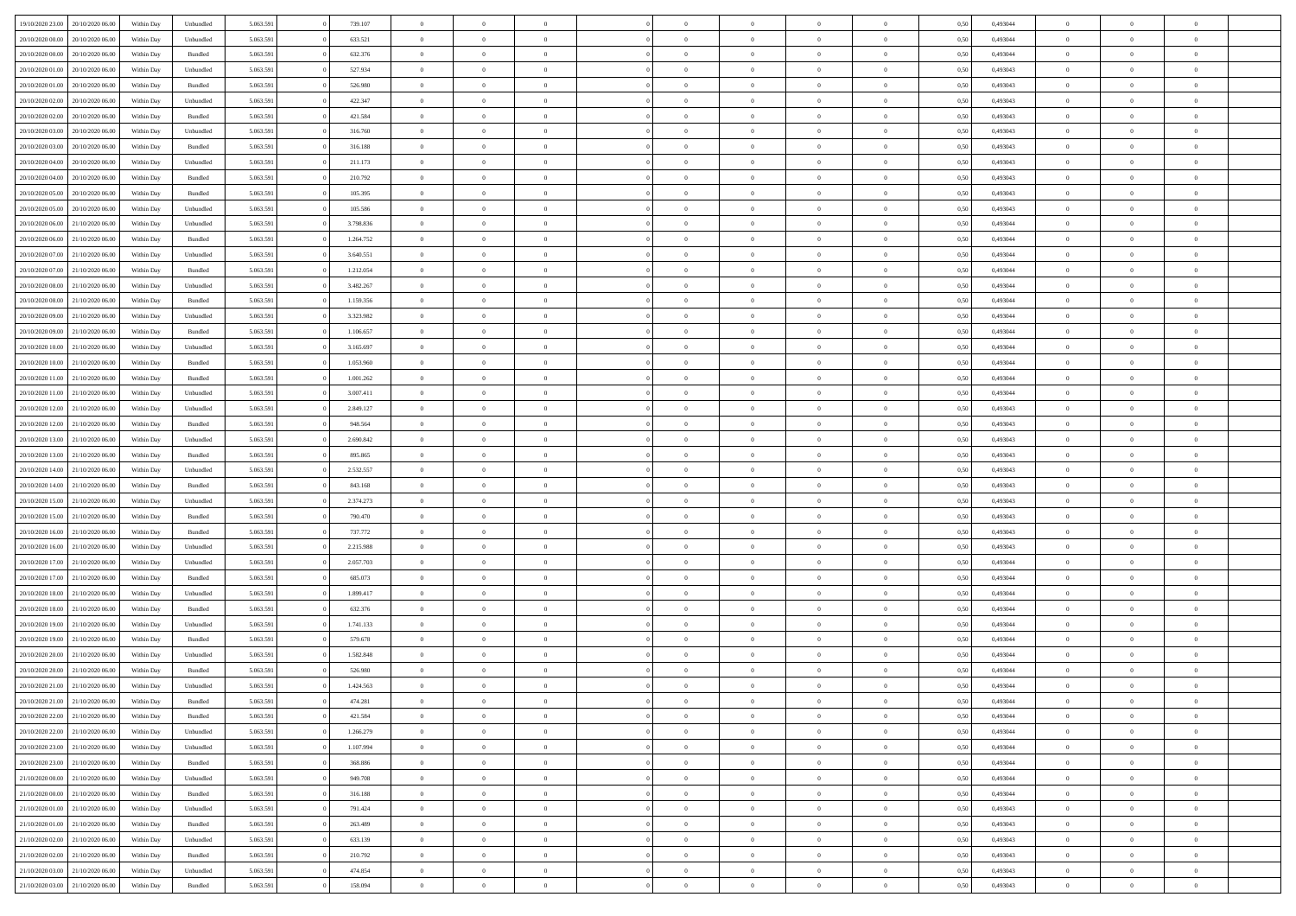|                                   |                  |            |                    |           |           | $\overline{0}$ | $\Omega$       |                |                | $\Omega$       | $\Omega$       |                |      |          | $\theta$       |                | $\theta$       |  |
|-----------------------------------|------------------|------------|--------------------|-----------|-----------|----------------|----------------|----------------|----------------|----------------|----------------|----------------|------|----------|----------------|----------------|----------------|--|
| 19/10/2020 23:00                  | 20/10/2020 06:00 | Within Dav | Unbundled          | 5.063.591 | 739.107   |                |                |                | $\Omega$       |                |                | $\Omega$       | 0.50 | 0,493044 |                | $\theta$       |                |  |
| 20/10/2020 00:00                  | 20/10/2020 06.00 | Within Day | Unbundled          | 5.063.591 | 633.521   | $\overline{0}$ | $\theta$       | $\overline{0}$ | $\overline{0}$ | $\bf{0}$       | $\overline{0}$ | $\bf{0}$       | 0,50 | 0,493044 | $\theta$       | $\theta$       | $\overline{0}$ |  |
| 20/10/2020 00:00                  | 20/10/2020 06:00 | Within Day | Bundled            | 5.063.591 | 632.376   | $\overline{0}$ | $\overline{0}$ | $\overline{0}$ | $\bf{0}$       | $\bf{0}$       | $\bf{0}$       | $\bf{0}$       | 0,50 | 0,493044 | $\overline{0}$ | $\overline{0}$ | $\overline{0}$ |  |
| 20/10/2020 01:00                  | 20/10/2020 06:00 | Within Dav | Unbundled          | 5.063.591 | 527.934   | $\overline{0}$ | $\overline{0}$ | $\overline{0}$ | $\overline{0}$ | $\bf{0}$       | $\overline{0}$ | $\overline{0}$ | 0.50 | 0,493043 | $\theta$       | $\theta$       | $\overline{0}$ |  |
|                                   |                  |            |                    |           |           |                |                |                |                |                |                |                |      |          |                |                |                |  |
| 20/10/2020 01:00                  | 20/10/2020 06.00 | Within Day | Bundled            | 5.063.591 | 526.980   | $\overline{0}$ | $\theta$       | $\overline{0}$ | $\overline{0}$ | $\bf{0}$       | $\overline{0}$ | $\bf{0}$       | 0,50 | 0,493043 | $\theta$       | $\theta$       | $\overline{0}$ |  |
| 20/10/2020 02:00                  | 20/10/2020 06:00 | Within Day | Unbundled          | 5.063.591 | 422.347   | $\overline{0}$ | $\bf{0}$       | $\overline{0}$ | $\bf{0}$       | $\overline{0}$ | $\overline{0}$ | $\mathbf{0}$   | 0,50 | 0,493043 | $\overline{0}$ | $\overline{0}$ | $\bf{0}$       |  |
| 20/10/2020 02:00                  | 20/10/2020 06:00 | Within Dav | Bundled            | 5.063.591 | 421.584   | $\overline{0}$ | $\overline{0}$ | $\overline{0}$ | $\overline{0}$ | $\overline{0}$ | $\overline{0}$ | $\overline{0}$ | 0.50 | 0,493043 | $\theta$       | $\overline{0}$ | $\overline{0}$ |  |
| 20/10/2020 03:00                  | 20/10/2020 06.00 | Within Day | Unbundled          | 5.063.591 | 316.760   | $\overline{0}$ | $\theta$       | $\overline{0}$ | $\overline{0}$ | $\bf{0}$       | $\overline{0}$ | $\bf{0}$       | 0,50 | 0,493043 | $\theta$       | $\theta$       | $\overline{0}$ |  |
|                                   |                  |            |                    |           |           |                |                |                |                |                |                |                |      |          |                |                |                |  |
| 20/10/2020 03:00                  | 20/10/2020 06:00 | Within Day | Bundled            | 5.063.591 | 316.188   | $\overline{0}$ | $\overline{0}$ | $\overline{0}$ | $\bf{0}$       | $\bf{0}$       | $\bf{0}$       | $\bf{0}$       | 0,50 | 0,493043 | $\,0\,$        | $\overline{0}$ | $\overline{0}$ |  |
| 20/10/2020 04:00                  | 20/10/2020 06:00 | Within Dav | Unbundled          | 5.063.591 | 211.173   | $\overline{0}$ | $\overline{0}$ | $\overline{0}$ | $\overline{0}$ | $\overline{0}$ | $\overline{0}$ | $\overline{0}$ | 0.50 | 0,493043 | $\theta$       | $\overline{0}$ | $\overline{0}$ |  |
| 20/10/2020 04:00                  | 20/10/2020 06.00 | Within Day | Bundled            | 5.063.591 | 210.792   | $\overline{0}$ | $\theta$       | $\overline{0}$ | $\overline{0}$ | $\bf{0}$       | $\overline{0}$ | $\bf{0}$       | 0,50 | 0,493043 | $\theta$       | $\theta$       | $\overline{0}$ |  |
| 20/10/2020 05:00                  | 20/10/2020 06:00 | Within Day | Bundled            | 5.063.591 | 105.395   | $\overline{0}$ | $\overline{0}$ | $\overline{0}$ | $\bf{0}$       | $\bf{0}$       | $\bf{0}$       | $\bf{0}$       | 0,50 | 0,493043 | $\overline{0}$ | $\overline{0}$ | $\overline{0}$ |  |
|                                   |                  |            |                    |           |           |                |                |                |                |                |                |                |      |          |                |                |                |  |
| 20/10/2020 05:00                  | 20/10/2020 06:00 | Within Day | Unbundled          | 5.063.591 | 105.586   | $\overline{0}$ | $\overline{0}$ | $\overline{0}$ | $\overline{0}$ | $\bf{0}$       | $\overline{0}$ | $\overline{0}$ | 0.50 | 0,493043 | $\theta$       | $\theta$       | $\overline{0}$ |  |
| 20/10/2020 06:00                  | 21/10/2020 06.00 | Within Day | Unbundled          | 5.063.591 | 3.798.836 | $\overline{0}$ | $\theta$       | $\overline{0}$ | $\overline{0}$ | $\bf{0}$       | $\overline{0}$ | $\bf{0}$       | 0,50 | 0,493044 | $\theta$       | $\theta$       | $\overline{0}$ |  |
| 20/10/2020 06:00                  | 21/10/2020 06.00 | Within Day | Bundled            | 5.063.591 | 1.264.752 | $\overline{0}$ | $\bf{0}$       | $\overline{0}$ | $\bf{0}$       | $\overline{0}$ | $\overline{0}$ | $\mathbf{0}$   | 0,50 | 0,493044 | $\overline{0}$ | $\overline{0}$ | $\bf{0}$       |  |
| 20/10/2020 07:00                  | 21/10/2020 06.00 | Within Dav | Unbundled          | 5.063.591 | 3.640.551 | $\overline{0}$ | $\overline{0}$ | $\overline{0}$ | $\overline{0}$ | $\overline{0}$ | $\overline{0}$ | $\overline{0}$ | 0.50 | 0,493044 | $\theta$       | $\overline{0}$ | $\overline{0}$ |  |
|                                   |                  |            |                    |           |           |                |                |                |                |                |                |                |      |          |                |                |                |  |
| 20/10/2020 07.00                  | 21/10/2020 06.00 | Within Day | Bundled            | 5.063.591 | 1.212.054 | $\overline{0}$ | $\theta$       | $\overline{0}$ | $\overline{0}$ | $\bf{0}$       | $\overline{0}$ | $\bf{0}$       | 0,50 | 0,493044 | $\theta$       | $\theta$       | $\overline{0}$ |  |
| 20/10/2020 08:00                  | 21/10/2020 06.00 | Within Day | Unbundled          | 5.063.591 | 3.482.267 | $\overline{0}$ | $\overline{0}$ | $\overline{0}$ | $\bf{0}$       | $\bf{0}$       | $\bf{0}$       | $\bf{0}$       | 0,50 | 0,493044 | $\,0\,$        | $\overline{0}$ | $\overline{0}$ |  |
| 20/10/2020 08:00                  | 21/10/2020 06:00 | Within Day | Bundled            | 5.063.591 | 1.159.356 | $\overline{0}$ | $\overline{0}$ | $\overline{0}$ | $\overline{0}$ | $\overline{0}$ | $\overline{0}$ | $\overline{0}$ | 0.50 | 0,493044 | $\theta$       | $\overline{0}$ | $\overline{0}$ |  |
| 20/10/2020 09:00                  | 21/10/2020 06.00 | Within Day | Unbundled          | 5.063.591 | 3.323.982 | $\overline{0}$ | $\theta$       | $\overline{0}$ | $\overline{0}$ | $\bf{0}$       | $\overline{0}$ | $\bf{0}$       | 0,50 | 0,493044 | $\,$ 0 $\,$    | $\theta$       | $\overline{0}$ |  |
|                                   |                  |            |                    |           |           |                |                |                |                |                |                |                |      |          |                |                |                |  |
| 20/10/2020 09:00                  | 21/10/2020 06.00 | Within Day | Bundled            | 5.063.591 | 1.106.657 | $\overline{0}$ | $\overline{0}$ | $\overline{0}$ | $\bf{0}$       | $\bf{0}$       | $\bf{0}$       | $\bf{0}$       | 0,50 | 0,493044 | $\bf{0}$       | $\overline{0}$ | $\overline{0}$ |  |
| 20/10/2020 10:00                  | 21/10/2020 06:00 | Within Day | Unbundled          | 5.063.591 | 3.165.697 | $\overline{0}$ | $\overline{0}$ | $\overline{0}$ | $\overline{0}$ | $\bf{0}$       | $\overline{0}$ | $\overline{0}$ | 0.50 | 0.493044 | $\theta$       | $\theta$       | $\overline{0}$ |  |
| 20/10/2020 10:00                  | 21/10/2020 06.00 | Within Day | Bundled            | 5.063.591 | 1.053.960 | $\overline{0}$ | $\theta$       | $\overline{0}$ | $\overline{0}$ | $\bf{0}$       | $\overline{0}$ | $\bf{0}$       | 0,50 | 0,493044 | $\theta$       | $\overline{0}$ | $\overline{0}$ |  |
| 20/10/2020 11:00                  | 21/10/2020 06.00 | Within Day | Bundled            | 5.063.591 | 1.001.262 | $\overline{0}$ | $\bf{0}$       | $\overline{0}$ | $\bf{0}$       | $\overline{0}$ | $\overline{0}$ | $\mathbf{0}$   | 0,50 | 0,493044 | $\bf{0}$       | $\overline{0}$ | $\bf{0}$       |  |
|                                   | 21/10/2020 06:00 |            | Unbundled          | 5.063.591 | 3.007.411 | $\overline{0}$ | $\overline{0}$ | $\overline{0}$ |                | $\overline{0}$ | $\overline{0}$ | $\overline{0}$ | 0.50 | 0,493044 | $\theta$       | $\overline{0}$ | $\overline{0}$ |  |
| 20/10/2020 11:00                  |                  | Within Day |                    |           |           |                |                |                | $\overline{0}$ |                |                |                |      |          |                |                |                |  |
| 20/10/2020 12:00                  | 21/10/2020 06.00 | Within Day | Unbundled          | 5.063.591 | 2.849.127 | $\overline{0}$ | $\theta$       | $\overline{0}$ | $\overline{0}$ | $\bf{0}$       | $\overline{0}$ | $\bf{0}$       | 0,50 | 0,493043 | $\theta$       | $\theta$       | $\overline{0}$ |  |
| 20/10/2020 12:00                  | 21/10/2020 06.00 | Within Day | Bundled            | 5.063.591 | 948.564   | $\overline{0}$ | $\overline{0}$ | $\overline{0}$ | $\bf{0}$       | $\bf{0}$       | $\bf{0}$       | $\bf{0}$       | 0,50 | 0,493043 | $\,0\,$        | $\overline{0}$ | $\overline{0}$ |  |
| 20/10/2020 13:00                  | 21/10/2020 06:00 | Within Day | Unbundled          | 5.063.591 | 2.690.842 | $\overline{0}$ | $\overline{0}$ | $\overline{0}$ | $\overline{0}$ | $\overline{0}$ | $\overline{0}$ | $\overline{0}$ | 0.50 | 0,493043 | $\theta$       | $\overline{0}$ | $\overline{0}$ |  |
| 20/10/2020 13:00                  | 21/10/2020 06.00 |            | Bundled            | 5.063.591 | 895.865   | $\overline{0}$ | $\theta$       | $\overline{0}$ | $\overline{0}$ | $\bf{0}$       | $\overline{0}$ |                |      | 0,493043 | $\,$ 0 $\,$    | $\overline{0}$ | $\overline{0}$ |  |
|                                   |                  | Within Day |                    |           |           |                |                |                |                |                |                | $\bf{0}$       | 0,50 |          |                |                |                |  |
| 20/10/2020 14:00                  | 21/10/2020 06.00 | Within Day | Unbundled          | 5.063.591 | 2.532.557 | $\overline{0}$ | $\overline{0}$ | $\overline{0}$ | $\bf{0}$       | $\bf{0}$       | $\bf{0}$       | $\bf{0}$       | 0,50 | 0,493043 | $\bf{0}$       | $\overline{0}$ | $\overline{0}$ |  |
| 20/10/2020 14:00                  | 21/10/2020 06.00 | Within Day | Bundled            | 5.063.591 | 843.168   | $\overline{0}$ | $\Omega$       | $\Omega$       | $\Omega$       | $\Omega$       | $\Omega$       | $\overline{0}$ | 0,50 | 0,493043 | $\,0\,$        | $\theta$       | $\theta$       |  |
| 20/10/2020 15:00                  | 21/10/2020 06.00 | Within Day | Unbundled          | 5.063.591 | 2.374.273 | $\overline{0}$ | $\theta$       | $\overline{0}$ | $\overline{0}$ | $\bf{0}$       | $\overline{0}$ | $\bf{0}$       | 0,50 | 0,493043 | $\theta$       | $\theta$       | $\overline{0}$ |  |
| 20/10/2020 15:00                  | 21/10/2020 06.00 | Within Day | Bundled            | 5.063.591 | 790.470   | $\overline{0}$ | $\overline{0}$ | $\overline{0}$ | $\bf{0}$       | $\bf{0}$       | $\overline{0}$ | $\mathbf{0}$   | 0,50 | 0,493043 | $\overline{0}$ | $\overline{0}$ | $\bf{0}$       |  |
|                                   |                  |            |                    |           |           |                |                |                |                |                |                |                |      |          |                |                |                |  |
| 20/10/2020 16:00                  | 21/10/2020 06.00 | Within Day | Bundled            | 5.063.591 | 737.772   | $\overline{0}$ | $\Omega$       | $\Omega$       | $\Omega$       | $\bf{0}$       | $\overline{0}$ | $\overline{0}$ | 0.50 | 0,493043 | $\theta$       | $\theta$       | $\theta$       |  |
| 20/10/2020 16:00                  | 21/10/2020 06.00 | Within Day | Unbundled          | 5.063.591 | 2.215.988 | $\overline{0}$ | $\theta$       | $\overline{0}$ | $\overline{0}$ | $\bf{0}$       | $\overline{0}$ | $\bf{0}$       | 0,50 | 0,493043 | $\,$ 0 $\,$    | $\theta$       | $\overline{0}$ |  |
| 20/10/2020 17:00                  | 21/10/2020 06.00 | Within Day | Unbundled          | 5.063.591 | 2.057.703 | $\overline{0}$ | $\overline{0}$ | $\overline{0}$ | $\bf{0}$       | $\bf{0}$       | $\bf{0}$       | $\bf{0}$       | 0,50 | 0,493044 | $\,0\,$        | $\overline{0}$ | $\overline{0}$ |  |
| 20/10/2020 17:00                  | 21/10/2020 06:00 | Within Day | Bundled            | 5.063.591 | 685,073   | $\overline{0}$ | $\Omega$       | $\Omega$       | $\Omega$       | $\theta$       | $\theta$       | $\overline{0}$ | 0.50 | 0,493044 | $\theta$       | $\theta$       | $\theta$       |  |
|                                   |                  |            |                    |           |           |                |                |                |                |                |                |                |      |          |                |                |                |  |
| 20/10/2020 18:00                  | 21/10/2020 06.00 | Within Day | Unbundled          | 5.063.591 | 1.899.417 | $\overline{0}$ | $\theta$       | $\overline{0}$ | $\overline{0}$ | $\bf{0}$       | $\overline{0}$ | $\bf{0}$       | 0,50 | 0,493044 | $\,$ 0 $\,$    | $\overline{0}$ | $\overline{0}$ |  |
| 20/10/2020 18:00                  | 21/10/2020 06.00 | Within Day | Bundled            | 5.063.591 | 632.376   | $\overline{0}$ | $\overline{0}$ | $\overline{0}$ | $\bf{0}$       | $\bf{0}$       | $\bf{0}$       | $\bf{0}$       | 0,50 | 0,493044 | $\overline{0}$ | $\overline{0}$ | $\overline{0}$ |  |
| 20/10/2020 19:00                  | 21/10/2020 06.00 | Within Day | Unbundled          | 5.063.591 | 1.741.133 | $\overline{0}$ | $\Omega$       | $\overline{0}$ | $\Omega$       | $\Omega$       | $\overline{0}$ | $\overline{0}$ | 0.50 | 0,493044 | $\,0\,$        | $\theta$       | $\theta$       |  |
| 20/10/2020 19:00                  | 21/10/2020 06.00 | Within Day | Bundled            | 5.063.591 | 579.678   | $\overline{0}$ | $\theta$       | $\overline{0}$ | $\overline{0}$ | $\bf{0}$       | $\overline{0}$ | $\bf{0}$       | 0,50 | 0,493044 | $\,$ 0 $\,$    | $\overline{0}$ | $\overline{0}$ |  |
|                                   |                  |            |                    |           |           |                |                |                |                |                |                |                |      |          |                |                |                |  |
| 20/10/2020 20:00                  | 21/10/2020 06.00 | Within Day | Unbundled          | 5.063.591 | 1.582.848 | $\overline{0}$ | $\overline{0}$ | $\overline{0}$ | $\bf{0}$       | $\bf{0}$       | $\bf{0}$       | $\mathbf{0}$   | 0,50 | 0,493044 | $\overline{0}$ | $\overline{0}$ | $\bf{0}$       |  |
| 20/10/2020 20:00                  | 21/10/2020 06:00 | Within Day | Bundled            | 5.063.591 | 526.980   | $\overline{0}$ | $\Omega$       | $\Omega$       | $\Omega$       | $\Omega$       | $\Omega$       | $\overline{0}$ | 0.50 | 0.493044 | $\theta$       | $\theta$       | $\theta$       |  |
| 20/10/2020 21:00                  | 21/10/2020 06.00 | Within Day | Unbundled          | 5.063.591 | 1.424.563 | $\overline{0}$ | $\,$ 0 $\,$    | $\overline{0}$ | $\bf{0}$       | $\,$ 0         | $\bf{0}$       | $\bf{0}$       | 0,50 | 0,493044 | $\,0\,$        | $\overline{0}$ | $\overline{0}$ |  |
| 20/10/2020 21:00                  | 21/10/2020 06.00 | Within Day | $\mathbf B$ undled | 5.063.591 | 474.281   | $\bf{0}$       | $\bf{0}$       |                |                |                |                |                | 0,50 | 0,493044 | $\bf{0}$       | $\overline{0}$ |                |  |
| 20/10/2020 22:00                  | 21/10/2020 06:00 | Within Day | Bundled            | 5.063.591 | 421.584   | $\overline{0}$ | $\overline{0}$ | $\overline{0}$ | $\Omega$       | $\overline{0}$ | $\overline{0}$ | $\overline{0}$ | 0,50 | 0,493044 | $\theta$       | $\theta$       | $\theta$       |  |
|                                   |                  |            |                    |           |           |                |                |                |                |                |                |                |      |          |                |                |                |  |
| 20/10/2020 22.00                  | 21/10/2020 06.00 | Within Day | Unbundled          | 5.063.591 | 1.266.279 | $\overline{0}$ | $\bf{0}$       | $\overline{0}$ | $\bf{0}$       | $\,$ 0 $\,$    | $\overline{0}$ | $\,$ 0 $\,$    | 0,50 | 0,493044 | $\,$ 0 $\,$    | $\,$ 0 $\,$    | $\,$ 0         |  |
| 20/10/2020 23.00                  | 21/10/2020 06.00 | Within Day | Unbundled          | 5.063.591 | 1.107.994 | $\overline{0}$ | $\overline{0}$ | $\overline{0}$ | $\overline{0}$ | $\overline{0}$ | $\overline{0}$ | $\mathbf{0}$   | 0,50 | 0,493044 | $\overline{0}$ | $\bf{0}$       | $\bf{0}$       |  |
| 20/10/2020 23:00                  | 21/10/2020 06.00 | Within Day | $\mathbf B$ undled | 5.063.591 | 368.886   | $\overline{0}$ | $\overline{0}$ | $\overline{0}$ | $\Omega$       | $\overline{0}$ | $\overline{0}$ | $\overline{0}$ | 0,50 | 0,493044 | $\overline{0}$ | $\,$ 0 $\,$    | $\overline{0}$ |  |
| 21/10/2020 00:00                  | 21/10/2020 06.00 | Within Day | Unbundled          | 5.063.591 | 949.708   | $\overline{0}$ | $\,$ 0         | $\overline{0}$ | $\bf{0}$       | $\,$ 0 $\,$    | $\overline{0}$ | $\mathbf{0}$   | 0,50 | 0,493044 | $\,$ 0 $\,$    | $\overline{0}$ | $\overline{0}$ |  |
|                                   |                  |            |                    |           |           |                |                |                |                |                |                |                |      |          |                |                |                |  |
| 21/10/2020 00.00                  | 21/10/2020 06.00 | Within Day | Bundled            | 5.063.591 | 316.188   | $\overline{0}$ | $\overline{0}$ | $\overline{0}$ | $\overline{0}$ | $\overline{0}$ | $\overline{0}$ | $\mathbf{0}$   | 0,50 | 0,493044 | $\overline{0}$ | $\overline{0}$ | $\bf{0}$       |  |
| 21/10/2020 01:00                  | 21/10/2020 06.00 | Within Day | Unbundled          | 5.063.591 | 791.424   | $\overline{0}$ | $\overline{0}$ | $\overline{0}$ | $\overline{0}$ | $\overline{0}$ | $\overline{0}$ | $\bf{0}$       | 0.50 | 0,493043 | $\overline{0}$ | $\theta$       | $\overline{0}$ |  |
| 21/10/2020 01:00                  | 21/10/2020 06.00 | Within Day | Bundled            | 5.063.591 | 263.489   | $\overline{0}$ | $\,$ 0         | $\overline{0}$ | $\bf{0}$       | $\bf{0}$       | $\bf{0}$       | $\bf{0}$       | 0,50 | 0,493043 | $\,$ 0 $\,$    | $\overline{0}$ | $\overline{0}$ |  |
| 21/10/2020 02.00                  | 21/10/2020 06.00 | Within Day | Unbundled          | 5.063.591 | 633.139   | $\overline{0}$ | $\bf{0}$       | $\overline{0}$ | $\overline{0}$ | $\overline{0}$ | $\overline{0}$ | $\mathbf{0}$   | 0,50 | 0,493043 | $\overline{0}$ | $\overline{0}$ | $\bf{0}$       |  |
|                                   |                  |            |                    |           |           |                |                |                |                |                |                |                |      |          |                |                |                |  |
| 21/10/2020 02.00                  | 21/10/2020 06:00 | Within Day | Bundled            | 5.063.591 | 210.792   | $\overline{0}$ | $\overline{0}$ | $\overline{0}$ | $\Omega$       | $\overline{0}$ | $\overline{0}$ | $\overline{0}$ | 0.50 | 0,493043 | $\overline{0}$ | $\overline{0}$ | $\overline{0}$ |  |
| 21/10/2020 03:00                  | 21/10/2020 06.00 | Within Day | Unbundled          | 5.063.591 | 474.854   | $\overline{0}$ | $\bf{0}$       | $\overline{0}$ | $\bf{0}$       | $\bf{0}$       | $\overline{0}$ | $\mathbf{0}$   | 0,50 | 0,493043 | $\,$ 0 $\,$    | $\,$ 0 $\,$    | $\bf{0}$       |  |
| 21/10/2020 03.00 21/10/2020 06.00 |                  | Within Day | Bundled            | 5.063.591 | 158.094   | $\overline{0}$ | $\overline{0}$ | $\overline{0}$ | $\overline{0}$ | $\overline{0}$ | $\overline{0}$ | $\mathbf{0}$   | 0,50 | 0,493043 | $\overline{0}$ | $\bf{0}$       | $\overline{0}$ |  |
|                                   |                  |            |                    |           |           |                |                |                |                |                |                |                |      |          |                |                |                |  |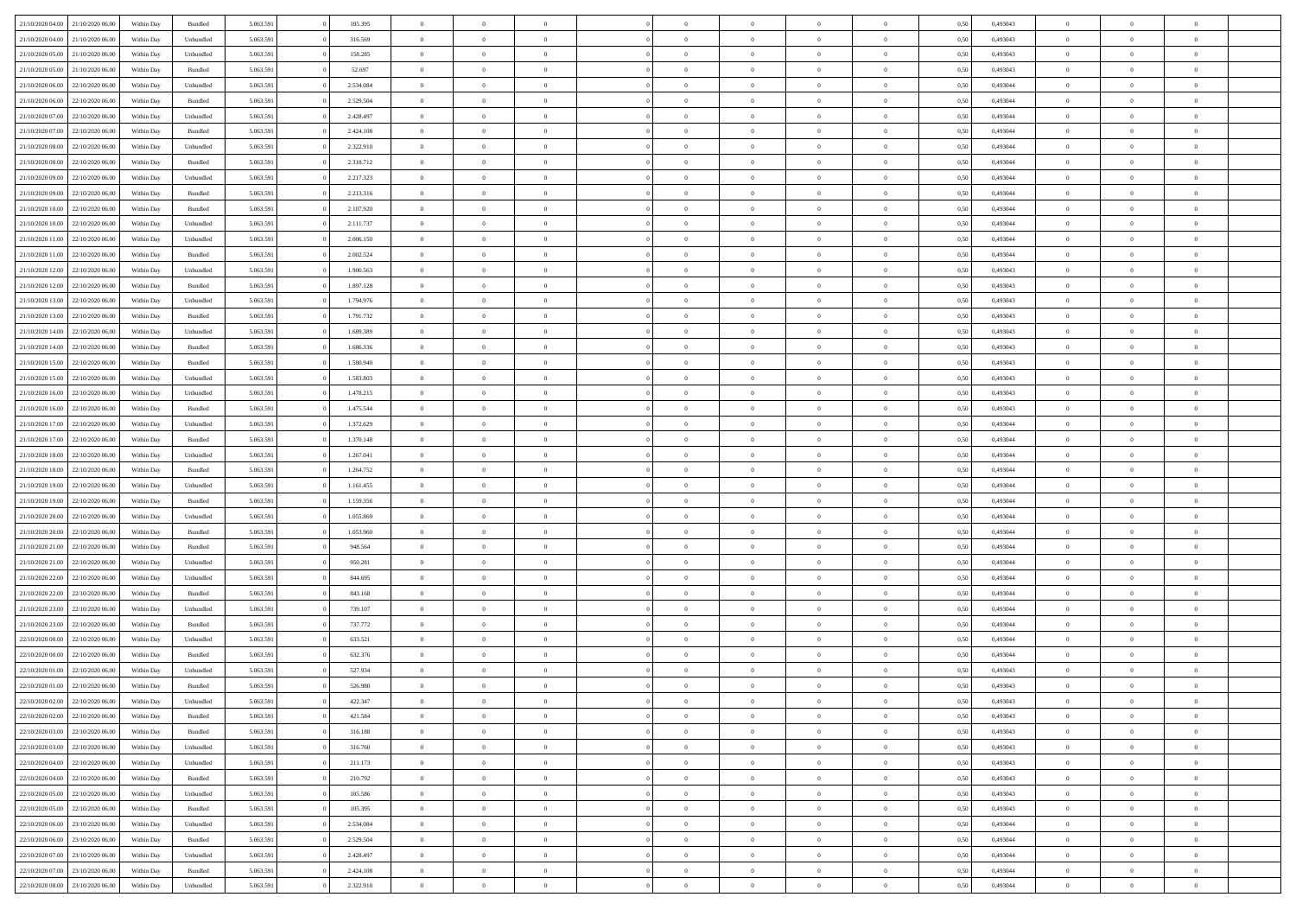| 21/10/2020 04:00                  | 21/10/2020 06:00 | Within Dav | Bundled   | 5.063.591 | 105.395   | $\overline{0}$ | $\Omega$       |                | $\Omega$       | $\Omega$       | $\Omega$       | $\theta$       | 0.50 | 0,493043 | $\theta$       | $\theta$       | $\theta$       |  |
|-----------------------------------|------------------|------------|-----------|-----------|-----------|----------------|----------------|----------------|----------------|----------------|----------------|----------------|------|----------|----------------|----------------|----------------|--|
|                                   |                  |            |           |           |           |                |                |                |                |                |                |                |      |          |                |                |                |  |
| 21/10/2020 04.00                  | 21/10/2020 06.00 | Within Day | Unbundled | 5.063.591 | 316.569   | $\overline{0}$ | $\theta$       | $\overline{0}$ | $\overline{0}$ | $\bf{0}$       | $\overline{0}$ | $\overline{0}$ | 0,50 | 0,493043 | $\theta$       | $\theta$       | $\overline{0}$ |  |
| 21/10/2020 05:00                  | 21/10/2020 06.00 | Within Day | Unbundled | 5.063.591 | 158.285   | $\overline{0}$ | $\overline{0}$ | $\overline{0}$ | $\bf{0}$       | $\bf{0}$       | $\bf{0}$       | $\bf{0}$       | 0,50 | 0,493043 | $\overline{0}$ | $\overline{0}$ | $\overline{0}$ |  |
| 21/10/2020 05:00                  | 21/10/2020 06:00 | Within Dav | Bundled   | 5.063.591 | 52.697    | $\overline{0}$ | $\overline{0}$ | $\overline{0}$ | $\overline{0}$ | $\bf{0}$       | $\overline{0}$ | $\overline{0}$ | 0.50 | 0,493043 | $\theta$       | $\theta$       | $\overline{0}$ |  |
|                                   |                  |            |           |           |           |                |                |                |                |                |                |                |      |          |                |                |                |  |
| 21/10/2020 06.00                  | 22/10/2020 06.00 | Within Day | Unbundled | 5.063.591 | 2.534.084 | $\overline{0}$ | $\theta$       | $\overline{0}$ | $\overline{0}$ | $\bf{0}$       | $\overline{0}$ | $\bf{0}$       | 0,50 | 0,493044 | $\theta$       | $\theta$       | $\overline{0}$ |  |
| 21/10/2020 06.00                  | 22/10/2020 06.00 | Within Day | Bundled   | 5.063.591 | 2.529.504 | $\overline{0}$ | $\bf{0}$       | $\overline{0}$ | $\bf{0}$       | $\overline{0}$ | $\overline{0}$ | $\mathbf{0}$   | 0,50 | 0,493044 | $\overline{0}$ | $\overline{0}$ | $\bf{0}$       |  |
| 21/10/2020 07:00                  | 22/10/2020 06.00 | Within Dav | Unbundled | 5.063.591 | 2.428.497 | $\overline{0}$ | $\overline{0}$ | $\overline{0}$ | $\overline{0}$ | $\bf{0}$       | $\overline{0}$ | $\overline{0}$ | 0.50 | 0,493044 | $\theta$       | $\overline{0}$ | $\overline{0}$ |  |
| 21/10/2020 07.00                  | 22/10/2020 06.00 | Within Day | Bundled   | 5.063.591 | 2.424.108 | $\overline{0}$ | $\theta$       | $\overline{0}$ | $\overline{0}$ | $\bf{0}$       | $\overline{0}$ | $\bf{0}$       | 0,50 | 0,493044 | $\theta$       | $\theta$       | $\overline{0}$ |  |
|                                   |                  |            |           |           |           |                | $\overline{0}$ |                |                | $\bf{0}$       |                |                |      |          | $\,0\,$        | $\overline{0}$ | $\overline{0}$ |  |
| 21/10/2020 08:00                  | 22/10/2020 06.00 | Within Day | Unbundled | 5.063.591 | 2.322.910 | $\overline{0}$ |                | $\overline{0}$ | $\bf{0}$       |                | $\bf{0}$       | $\bf{0}$       | 0,50 | 0,493044 |                |                |                |  |
| 21/10/2020 08:00                  | 22/10/2020 06.00 | Within Dav | Bundled   | 5.063.591 | 2.318.712 | $\overline{0}$ | $\overline{0}$ | $\overline{0}$ | $\overline{0}$ | $\overline{0}$ | $\overline{0}$ | $\overline{0}$ | 0.50 | 0,493044 | $\theta$       | $\overline{0}$ | $\overline{0}$ |  |
| 21/10/2020 09:00                  | 22/10/2020 06.00 | Within Day | Unbundled | 5.063.591 | 2.217.323 | $\overline{0}$ | $\theta$       | $\overline{0}$ | $\overline{0}$ | $\bf{0}$       | $\overline{0}$ | $\bf{0}$       | 0,50 | 0,493044 | $\theta$       | $\theta$       | $\overline{0}$ |  |
| 21/10/2020 09:00                  | 22/10/2020 06.00 | Within Day | Bundled   | 5.063.591 | 2.213.316 | $\overline{0}$ | $\overline{0}$ | $\overline{0}$ | $\bf{0}$       | $\bf{0}$       | $\bf{0}$       | $\bf{0}$       | 0,50 | 0,493044 | $\overline{0}$ | $\overline{0}$ | $\overline{0}$ |  |
| 21/10/2020 10:00                  | 22/10/2020 06:00 | Within Day | Bundled   | 5.063.591 | 2.107.920 | $\overline{0}$ | $\overline{0}$ | $\overline{0}$ | $\overline{0}$ | $\bf{0}$       | $\overline{0}$ | $\overline{0}$ | 0.50 | 0,493044 | $\theta$       | $\theta$       | $\overline{0}$ |  |
|                                   |                  |            |           |           |           | $\overline{0}$ | $\theta$       | $\overline{0}$ |                | $\bf{0}$       | $\overline{0}$ | $\overline{0}$ |      |          | $\theta$       | $\theta$       | $\overline{0}$ |  |
| 21/10/2020 10:00                  | 22/10/2020 06.00 | Within Day | Unbundled | 5.063.591 | 2.111.737 |                |                |                | $\overline{0}$ |                |                |                | 0,50 | 0,493044 |                |                |                |  |
| 21/10/2020 11:00                  | 22/10/2020 06.00 | Within Day | Unbundled | 5.063.591 | 2.006.150 | $\overline{0}$ | $\bf{0}$       | $\overline{0}$ | $\bf{0}$       | $\overline{0}$ | $\overline{0}$ | $\mathbf{0}$   | 0,50 | 0,493044 | $\overline{0}$ | $\overline{0}$ | $\bf{0}$       |  |
| 21/10/2020 11:00                  | 22/10/2020 06.00 | Within Dav | Bundled   | 5.063.591 | 2.002.524 | $\overline{0}$ | $\overline{0}$ | $\overline{0}$ | $\overline{0}$ | $\overline{0}$ | $\overline{0}$ | $\overline{0}$ | 0.50 | 0,493044 | $\theta$       | $\overline{0}$ | $\overline{0}$ |  |
| 21/10/2020 12:00                  | 22/10/2020 06.00 | Within Day | Unbundled | 5.063.591 | 1.900.563 | $\overline{0}$ | $\theta$       | $\overline{0}$ | $\overline{0}$ | $\bf{0}$       | $\overline{0}$ | $\bf{0}$       | 0,50 | 0,493043 | $\theta$       | $\theta$       | $\overline{0}$ |  |
| 21/10/2020 12:00                  | 22/10/2020 06.00 | Within Day | Bundled   | 5.063.591 | 1.897.128 | $\overline{0}$ | $\overline{0}$ | $\overline{0}$ | $\bf{0}$       | $\bf{0}$       | $\bf{0}$       | $\bf{0}$       | 0,50 | 0,493043 | $\,0\,$        | $\overline{0}$ | $\overline{0}$ |  |
|                                   |                  |            |           |           |           |                |                |                |                |                |                |                |      |          |                |                |                |  |
| 21/10/2020 13:00                  | 22/10/2020 06:00 | Within Day | Unbundled | 5.063.591 | 1.794.976 | $\overline{0}$ | $\overline{0}$ | $\overline{0}$ | $\overline{0}$ | $\overline{0}$ | $\overline{0}$ | $\overline{0}$ | 0.50 | 0,493043 | $\theta$       | $\overline{0}$ | $\overline{0}$ |  |
| 21/10/2020 13:00                  | 22/10/2020 06.00 | Within Day | Bundled   | 5.063.591 | 1.791.732 | $\overline{0}$ | $\theta$       | $\overline{0}$ | $\overline{0}$ | $\bf{0}$       | $\overline{0}$ | $\bf{0}$       | 0,50 | 0,493043 | $\theta$       | $\theta$       | $\overline{0}$ |  |
| 21/10/2020 14:00                  | 22/10/2020 06.00 | Within Day | Unbundled | 5.063.591 | 1.689.389 | $\overline{0}$ | $\overline{0}$ | $\overline{0}$ | $\bf{0}$       | $\bf{0}$       | $\bf{0}$       | $\bf{0}$       | 0,50 | 0,493043 | $\,0\,$        | $\overline{0}$ | $\overline{0}$ |  |
| 21/10/2020 14:00                  | 22/10/2020 06:00 | Within Day | Bundled   | 5.063.591 | 1.686.336 | $\overline{0}$ | $\overline{0}$ | $\overline{0}$ | $\overline{0}$ | $\bf{0}$       | $\overline{0}$ | $\overline{0}$ | 0.50 | 0.493043 | $\theta$       | $\theta$       | $\overline{0}$ |  |
| 21/10/2020 15:00                  | 22/10/2020 06.00 | Within Day |           | 5.063.591 | 1.580.940 | $\overline{0}$ | $\theta$       | $\overline{0}$ | $\overline{0}$ | $\bf{0}$       | $\overline{0}$ |                |      | 0,493043 | $\theta$       | $\overline{0}$ | $\overline{0}$ |  |
|                                   |                  |            | Bundled   |           |           |                |                |                |                |                |                | $\bf{0}$       | 0,50 |          |                |                |                |  |
| 21/10/2020 15:00                  | 22/10/2020 06.00 | Within Day | Unbundled | 5.063.591 | 1.583.803 | $\overline{0}$ | $\bf{0}$       | $\overline{0}$ | $\bf{0}$       | $\overline{0}$ | $\overline{0}$ | $\mathbf{0}$   | 0,50 | 0,493043 | $\overline{0}$ | $\overline{0}$ | $\bf{0}$       |  |
| 21/10/2020 16:00                  | 22/10/2020 06.00 | Within Dav | Unbundled | 5.063.591 | 1.478.215 | $\overline{0}$ | $\overline{0}$ | $\overline{0}$ | $\overline{0}$ | $\overline{0}$ | $\overline{0}$ | $\overline{0}$ | 0.50 | 0,493043 | $\theta$       | $\overline{0}$ | $\overline{0}$ |  |
| 21/10/2020 16.00                  | 22/10/2020 06.00 | Within Day | Bundled   | 5.063.591 | 1.475.544 | $\overline{0}$ | $\theta$       | $\overline{0}$ | $\overline{0}$ | $\bf{0}$       | $\overline{0}$ | $\bf{0}$       | 0,50 | 0,493043 | $\theta$       | $\theta$       | $\overline{0}$ |  |
| 21/10/2020 17.00                  | 22/10/2020 06.00 | Within Day | Unbundled | 5.063.591 | 1.372.629 | $\overline{0}$ | $\overline{0}$ | $\overline{0}$ | $\bf{0}$       | $\bf{0}$       | $\bf{0}$       | $\bf{0}$       | 0,50 | 0,493044 | $\,0\,$        | $\overline{0}$ | $\overline{0}$ |  |
|                                   |                  |            |           |           |           |                | $\overline{0}$ |                |                | $\overline{0}$ |                |                |      |          | $\theta$       | $\overline{0}$ | $\overline{0}$ |  |
| 21/10/2020 17:00                  | 22/10/2020 06.00 | Within Day | Bundled   | 5.063.591 | 1.370.148 | $\overline{0}$ |                | $\overline{0}$ | $\overline{0}$ |                | $\overline{0}$ | $\overline{0}$ | 0.50 | 0,493044 |                |                |                |  |
| 21/10/2020 18.00                  | 22/10/2020 06.00 | Within Day | Unbundled | 5.063.591 | 1.267.041 | $\overline{0}$ | $\theta$       | $\overline{0}$ | $\overline{0}$ | $\bf{0}$       | $\overline{0}$ | $\bf{0}$       | 0,50 | 0,493044 | $\,$ 0 $\,$    | $\overline{0}$ | $\overline{0}$ |  |
| 21/10/2020 18:00                  | 22/10/2020 06.00 | Within Day | Bundled   | 5.063.591 | 1.264.752 | $\overline{0}$ | $\overline{0}$ | $\overline{0}$ | $\bf{0}$       | $\bf{0}$       | $\bf{0}$       | $\bf{0}$       | 0,50 | 0,493044 | $\bf{0}$       | $\overline{0}$ | $\overline{0}$ |  |
| 21/10/2020 19:00                  | 22/10/2020 06.00 | Within Day | Unbundled | 5.063.591 | 1.161.455 | $\overline{0}$ | $\Omega$       | $\Omega$       | $\Omega$       | $\Omega$       | $\Omega$       | $\overline{0}$ | 0,50 | 0,493044 | $\,0\,$        | $\theta$       | $\theta$       |  |
| 21/10/2020 19:00                  | 22/10/2020 06.00 | Within Day | Bundled   | 5.063.591 | 1.159.356 | $\overline{0}$ | $\theta$       | $\overline{0}$ | $\overline{0}$ | $\bf{0}$       | $\overline{0}$ | $\bf{0}$       | 0,50 | 0,493044 | $\theta$       | $\theta$       | $\overline{0}$ |  |
|                                   |                  |            |           |           |           |                |                |                |                |                |                |                |      |          |                |                |                |  |
| 21/10/2020 20:00                  | 22/10/2020 06.00 | Within Day | Unbundled | 5.063.591 | 1.055.869 | $\overline{0}$ | $\overline{0}$ | $\overline{0}$ | $\overline{0}$ | $\bf{0}$       | $\overline{0}$ | $\mathbf{0}$   | 0,50 | 0,493044 | $\bf{0}$       | $\overline{0}$ | $\bf{0}$       |  |
| 21/10/2020 20:00                  | 22/10/2020 06.00 | Within Day | Bundled   | 5.063.591 | 1.053.960 | $\overline{0}$ | $\Omega$       | $\Omega$       | $\Omega$       | $\bf{0}$       | $\overline{0}$ | $\overline{0}$ | 0.50 | 0,493044 | $\theta$       | $\theta$       | $\theta$       |  |
| 21/10/2020 21.00                  | 22/10/2020 06.00 | Within Day | Bundled   | 5.063.591 | 948.564   | $\overline{0}$ | $\theta$       | $\overline{0}$ | $\overline{0}$ | $\bf{0}$       | $\overline{0}$ | $\bf{0}$       | 0,50 | 0,493044 | $\,$ 0 $\,$    | $\theta$       | $\overline{0}$ |  |
| 21/10/2020 21:00                  | 22/10/2020 06.00 | Within Day | Unbundled | 5.063.591 | 950.281   | $\overline{0}$ | $\overline{0}$ | $\overline{0}$ | $\overline{0}$ | $\bf{0}$       | $\overline{0}$ | $\bf{0}$       | 0,50 | 0,493044 | $\,0\,$        | $\overline{0}$ | $\overline{0}$ |  |
| 21/10/2020 22.00                  | 22/10/2020 06:00 |            | Unbundled | 5.063.591 | 844,695   | $\overline{0}$ | $\Omega$       | $\Omega$       | $\Omega$       | $\Omega$       | $\theta$       | $\overline{0}$ | 0.50 | 0,493044 | $\theta$       | $\theta$       | $\theta$       |  |
|                                   |                  | Within Day |           |           |           |                |                |                |                |                |                |                |      |          |                |                |                |  |
| 21/10/2020 22.00                  | 22/10/2020 06.00 | Within Day | Bundled   | 5.063.591 | 843.168   | $\overline{0}$ | $\theta$       | $\overline{0}$ | $\overline{0}$ | $\bf{0}$       | $\overline{0}$ | $\bf{0}$       | 0,50 | 0,493044 | $\,$ 0 $\,$    | $\overline{0}$ | $\overline{0}$ |  |
| 21/10/2020 23.00                  | 22/10/2020 06.00 | Within Day | Unbundled | 5.063.591 | 739.107   | $\overline{0}$ | $\overline{0}$ | $\overline{0}$ | $\overline{0}$ | $\bf{0}$       | $\overline{0}$ | $\bf{0}$       | 0,50 | 0,493044 | $\overline{0}$ | $\overline{0}$ | $\overline{0}$ |  |
| 21/10/2020 23.00                  | 22/10/2020 06.00 | Within Day | Bundled   | 5.063.591 | 737.772   | $\overline{0}$ | $\Omega$       | $\Omega$       | $\Omega$       | $\Omega$       | $\overline{0}$ | $\overline{0}$ | 0,50 | 0,493044 | $\,0\,$        | $\theta$       | $\theta$       |  |
| 22/10/2020 00.00                  | 22/10/2020 06.00 | Within Day | Unbundled | 5.063.591 | 633.521   | $\overline{0}$ | $\theta$       | $\overline{0}$ | $\overline{0}$ | $\bf{0}$       | $\overline{0}$ | $\bf{0}$       | 0,50 | 0,493044 | $\,$ 0 $\,$    | $\overline{0}$ | $\overline{0}$ |  |
| 22/10/2020 00.00                  | 22/10/2020 06.00 | Within Day | Bundled   | 5.063.591 | 632.376   | $\overline{0}$ | $\overline{0}$ | $\overline{0}$ | $\bf{0}$       | $\bf{0}$       | $\bf{0}$       | $\mathbf{0}$   | 0,50 | 0,493044 | $\overline{0}$ | $\overline{0}$ | $\bf{0}$       |  |
|                                   |                  |            |           |           |           |                |                |                |                |                |                |                |      |          |                |                |                |  |
| 22/10/2020 01:00                  | 22/10/2020 06:00 | Within Day | Unbundled | 5.063.591 | 527.934   | $\overline{0}$ | $\Omega$       | $\Omega$       | $\Omega$       | $\Omega$       | $\Omega$       | $\overline{0}$ | 0.50 | 0,493043 | $\theta$       | $\theta$       | $\theta$       |  |
| 22/10/2020 01:00                  | 22/10/2020 06.00 | Within Day | Bundled   | 5.063.591 | 526.980   | $\overline{0}$ | $\,$ 0 $\,$    | $\overline{0}$ | $\bf{0}$       | $\,$ 0         | $\bf{0}$       | $\bf{0}$       | 0,50 | 0,493043 | $\,0\,$        | $\overline{0}$ | $\overline{0}$ |  |
| 22/10/2020 02.00                  | 22/10/2020 06.00 | Within Day | Unbundled | 5.063.591 | 422.347   | $\bf{0}$       | $\bf{0}$       |                |                |                |                |                | 0,50 | 0,493043 | $\bf{0}$       | $\overline{0}$ |                |  |
| 22/10/2020 02:00                  | 22/10/2020 06:00 | Within Day | Bundled   | 5.063.591 | 421.584   | $\overline{0}$ | $\overline{0}$ | $\overline{0}$ | $\Omega$       | $\theta$       | $\overline{0}$ | $\overline{0}$ | 0.50 | 0,493043 | $\theta$       | $\theta$       | $\theta$       |  |
| 22/10/2020 03.00                  | 22/10/2020 06.00 | Within Day | Bundled   | 5.063.591 | 316.188   | $\overline{0}$ | $\,$ 0         | $\overline{0}$ | $\bf{0}$       | $\,$ 0 $\,$    | $\overline{0}$ | $\,$ 0 $\,$    | 0,50 | 0,493043 | $\,$ 0 $\,$    | $\,$ 0 $\,$    | $\,$ 0         |  |
|                                   |                  |            |           |           |           |                |                |                |                |                |                |                |      |          |                |                |                |  |
| 22/10/2020 03.00                  | 22/10/2020 06.00 | Within Day | Unbundled | 5.063.591 | 316.760   | $\overline{0}$ | $\overline{0}$ | $\overline{0}$ | $\overline{0}$ | $\overline{0}$ | $\overline{0}$ | $\mathbf{0}$   | 0,50 | 0,493043 | $\overline{0}$ | $\bf{0}$       | $\bf{0}$       |  |
| 22/10/2020 04:00                  | 22/10/2020 06.00 | Within Day | Unbundled | 5.063.591 | 211.173   | $\overline{0}$ | $\overline{0}$ | $\overline{0}$ | $\Omega$       | $\overline{0}$ | $\overline{0}$ | $\overline{0}$ | 0,50 | 0,493043 | $\overline{0}$ | $\theta$       | $\overline{0}$ |  |
| 22/10/2020 04:00                  | 22/10/2020 06.00 | Within Day | Bundled   | 5.063.591 | 210.792   | $\overline{0}$ | $\,$ 0         | $\overline{0}$ | $\overline{0}$ | $\,$ 0 $\,$    | $\overline{0}$ | $\mathbf{0}$   | 0,50 | 0,493043 | $\,$ 0 $\,$    | $\overline{0}$ | $\overline{0}$ |  |
| 22/10/2020 05.00                  | 22/10/2020 06.00 | Within Day | Unbundled | 5.063.591 | 105.586   | $\overline{0}$ | $\overline{0}$ | $\overline{0}$ | $\overline{0}$ | $\overline{0}$ | $\overline{0}$ | $\mathbf{0}$   | 0,50 | 0,493043 | $\overline{0}$ | $\overline{0}$ | $\bf{0}$       |  |
|                                   |                  |            |           |           |           |                | $\overline{0}$ | $\overline{0}$ | $\Omega$       | $\overline{0}$ | $\overline{0}$ |                | 0.50 |          |                | $\theta$       | $\overline{0}$ |  |
| 22/10/2020 05:00                  | 22/10/2020 06.00 | Within Day | Bundled   | 5.063.591 | 105.395   | $\overline{0}$ |                |                |                |                |                | $\bf{0}$       |      | 0,493043 | $\overline{0}$ |                |                |  |
| 22/10/2020 06.00                  | 23/10/2020 06.00 | Within Day | Unbundled | 5.063.591 | 2.534.084 | $\overline{0}$ | $\,$ 0         | $\overline{0}$ | $\bf{0}$       | $\bf{0}$       | $\bf{0}$       | $\bf{0}$       | 0,50 | 0,493044 | $\,$ 0 $\,$    | $\overline{0}$ | $\overline{0}$ |  |
| 22/10/2020 06.00                  | 23/10/2020 06.00 | Within Day | Bundled   | 5.063.591 | 2.529.504 | $\overline{0}$ | $\bf{0}$       | $\overline{0}$ | $\overline{0}$ | $\overline{0}$ | $\overline{0}$ | $\mathbf{0}$   | 0,50 | 0,493044 | $\overline{0}$ | $\overline{0}$ | $\bf{0}$       |  |
| 22/10/2020 07:00                  | 23/10/2020 06:00 | Within Day | Unbundled | 5.063.591 | 2.428.497 | $\overline{0}$ | $\overline{0}$ | $\overline{0}$ | $\Omega$       | $\overline{0}$ | $\overline{0}$ | $\overline{0}$ | 0.50 | 0,493044 | $\overline{0}$ | $\theta$       | $\overline{0}$ |  |
| 22/10/2020 07:00                  | 23/10/2020 06.00 | Within Day | Bundled   | 5.063.591 | 2.424.108 | $\overline{0}$ | $\bf{0}$       | $\overline{0}$ | $\bf{0}$       | $\bf{0}$       | $\bf{0}$       | $\mathbf{0}$   | 0,50 | 0,493044 | $\,$ 0 $\,$    | $\,$ 0 $\,$    | $\bf{0}$       |  |
|                                   |                  |            |           |           |           |                |                |                |                |                |                |                |      |          |                |                |                |  |
| 22/10/2020 08:00 23/10/2020 06:00 |                  | Within Day | Unbundled | 5.063.591 | 2.322.910 | $\overline{0}$ | $\overline{0}$ | $\overline{0}$ | $\overline{0}$ | $\overline{0}$ | $\bf{0}$       | $\mathbf{0}$   | 0,50 | 0,493044 | $\overline{0}$ | $\bf{0}$       | $\bf{0}$       |  |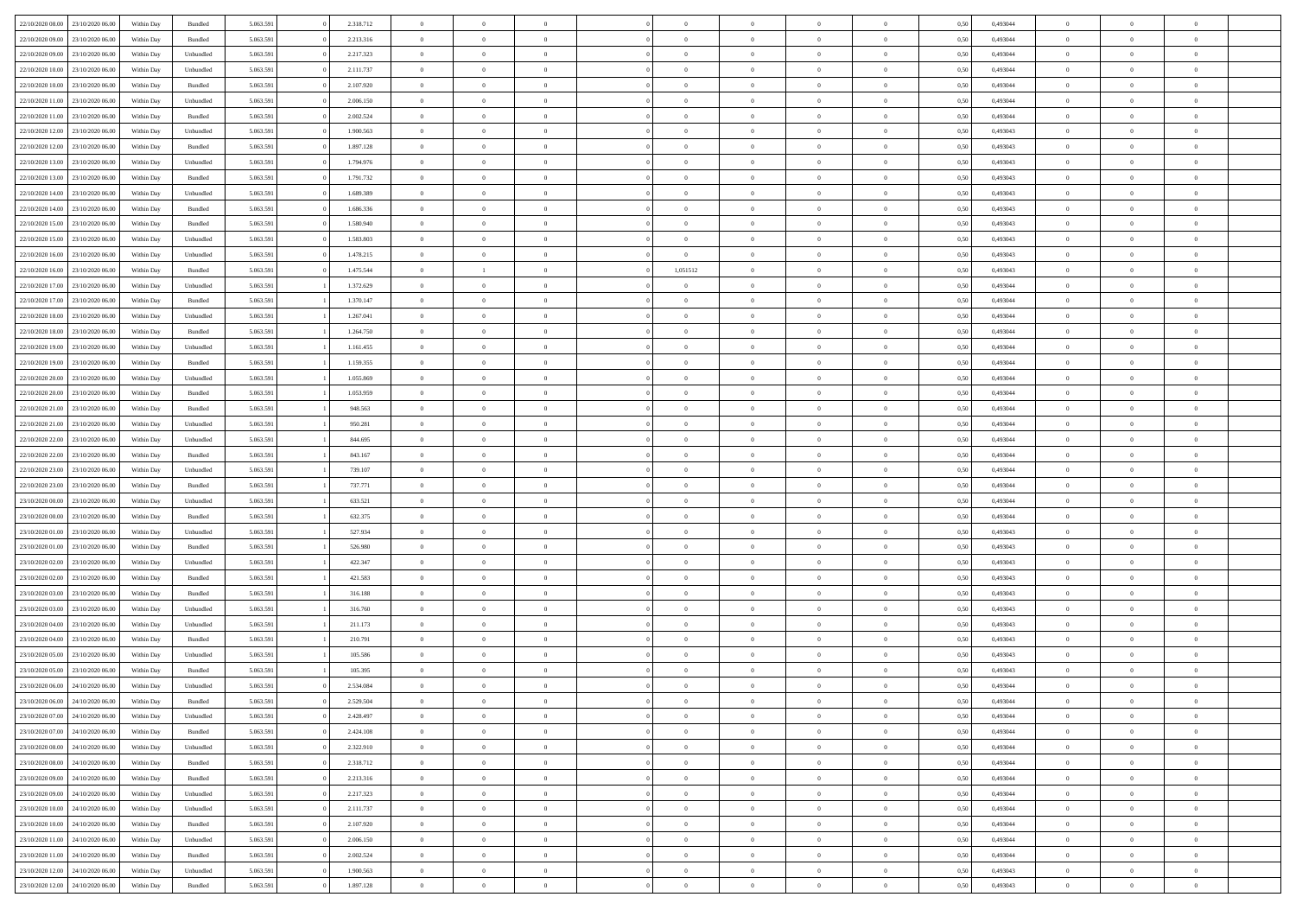|                                   | 23/10/2020 06:00 | Within Dav | Bundled            | 5.063.591 | 2.318.712 | $\overline{0}$ | $\Omega$       |                | $\Omega$       | $\Omega$       | $\Omega$       | $\theta$       | 0.50 | 0,493044 | $\theta$       | $\theta$       | $\theta$       |  |
|-----------------------------------|------------------|------------|--------------------|-----------|-----------|----------------|----------------|----------------|----------------|----------------|----------------|----------------|------|----------|----------------|----------------|----------------|--|
| 22/10/2020 08:00                  |                  |            |                    |           |           |                |                |                |                |                |                |                |      |          |                |                |                |  |
| 22/10/2020 09:00                  | 23/10/2020 06.00 | Within Day | Bundled            | 5.063.591 | 2.213.316 | $\overline{0}$ | $\theta$       | $\overline{0}$ | $\overline{0}$ | $\bf{0}$       | $\overline{0}$ | $\overline{0}$ | 0,50 | 0,493044 | $\theta$       | $\theta$       | $\overline{0}$ |  |
| 22/10/2020 09:00                  | 23/10/2020 06.00 | Within Day | Unbundled          | 5.063.591 | 2.217.323 | $\overline{0}$ | $\overline{0}$ | $\overline{0}$ | $\bf{0}$       | $\bf{0}$       | $\bf{0}$       | $\bf{0}$       | 0,50 | 0,493044 | $\bf{0}$       | $\overline{0}$ | $\overline{0}$ |  |
|                                   |                  |            |                    |           |           |                |                |                |                |                |                |                |      |          | $\theta$       |                |                |  |
| 22/10/2020 10:00                  | 23/10/2020 06:00 | Within Dav | Unbundled          | 5.063.591 | 2.111.737 | $\overline{0}$ | $\overline{0}$ | $\overline{0}$ | $\overline{0}$ | $\bf{0}$       | $\overline{0}$ | $\overline{0}$ | 0.50 | 0.493044 |                | $\theta$       | $\overline{0}$ |  |
| 22/10/2020 10:00                  | 23/10/2020 06.00 | Within Day | Bundled            | 5.063.591 | 2.107.920 | $\overline{0}$ | $\theta$       | $\overline{0}$ | $\overline{0}$ | $\bf{0}$       | $\overline{0}$ | $\bf{0}$       | 0,50 | 0,493044 | $\theta$       | $\theta$       | $\overline{0}$ |  |
| 22/10/2020 11:00                  | 23/10/2020 06.00 | Within Day | Unbundled          | 5.063.591 | 2.006.150 | $\overline{0}$ | $\bf{0}$       | $\overline{0}$ | $\bf{0}$       | $\overline{0}$ | $\overline{0}$ | $\mathbf{0}$   | 0,50 | 0,493044 | $\overline{0}$ | $\overline{0}$ | $\bf{0}$       |  |
| 22/10/2020 11:00                  | 23/10/2020 06.00 | Within Dav | Bundled            | 5.063.591 | 2.002.524 | $\overline{0}$ | $\overline{0}$ | $\overline{0}$ | $\overline{0}$ | $\overline{0}$ | $\overline{0}$ | $\overline{0}$ | 0.50 | 0,493044 | $\theta$       | $\overline{0}$ | $\overline{0}$ |  |
|                                   |                  |            |                    |           |           |                |                |                |                |                |                |                |      |          |                |                |                |  |
| 22/10/2020 12:00                  | 23/10/2020 06.00 | Within Day | Unbundled          | 5.063.591 | 1.900.563 | $\overline{0}$ | $\theta$       | $\overline{0}$ | $\overline{0}$ | $\bf{0}$       | $\overline{0}$ | $\bf{0}$       | 0,50 | 0,493043 | $\theta$       | $\theta$       | $\overline{0}$ |  |
| 22/10/2020 12:00                  | 23/10/2020 06.00 | Within Day | Bundled            | 5.063.591 | 1.897.128 | $\overline{0}$ | $\overline{0}$ | $\overline{0}$ | $\bf{0}$       | $\bf{0}$       | $\bf{0}$       | $\bf{0}$       | 0,50 | 0,493043 | $\,0\,$        | $\overline{0}$ | $\overline{0}$ |  |
| 22/10/2020 13:00                  | 23/10/2020 06.00 | Within Dav | Unbundled          | 5.063.591 | 1.794.976 | $\overline{0}$ | $\overline{0}$ | $\overline{0}$ | $\overline{0}$ | $\overline{0}$ | $\overline{0}$ | $\overline{0}$ | 0.50 | 0,493043 | $\theta$       | $\overline{0}$ | $\overline{0}$ |  |
|                                   |                  |            |                    |           |           |                |                |                |                |                |                |                |      |          |                |                |                |  |
| 22/10/2020 13:00                  | 23/10/2020 06.00 | Within Day | Bundled            | 5.063.591 | 1.791.732 | $\overline{0}$ | $\theta$       | $\overline{0}$ | $\overline{0}$ | $\bf{0}$       | $\overline{0}$ | $\bf{0}$       | 0,50 | 0,493043 | $\theta$       | $\theta$       | $\overline{0}$ |  |
| 22/10/2020 14:00                  | 23/10/2020 06.00 | Within Day | Unbundled          | 5.063.591 | 1.689.389 | $\overline{0}$ | $\overline{0}$ | $\overline{0}$ | $\bf{0}$       | $\bf{0}$       | $\bf{0}$       | $\bf{0}$       | 0,50 | 0,493043 | $\overline{0}$ | $\overline{0}$ | $\overline{0}$ |  |
| 22/10/2020 14:00                  | 23/10/2020 06:00 | Within Day | Bundled            | 5.063.591 | 1.686.336 | $\overline{0}$ | $\overline{0}$ | $\overline{0}$ | $\overline{0}$ | $\bf{0}$       | $\overline{0}$ | $\overline{0}$ | 0.50 | 0,493043 | $\theta$       | $\theta$       | $\overline{0}$ |  |
| 22/10/2020 15:00                  | 23/10/2020 06.00 | Within Day | Bundled            | 5.063.591 | 1.580.940 | $\overline{0}$ | $\theta$       | $\overline{0}$ | $\overline{0}$ | $\bf{0}$       | $\overline{0}$ | $\overline{0}$ | 0,50 | 0,493043 | $\theta$       | $\theta$       | $\overline{0}$ |  |
|                                   |                  |            |                    |           |           |                |                |                |                |                |                |                |      |          |                |                |                |  |
| 22/10/2020 15:00                  | 23/10/2020 06.00 | Within Day | Unbundled          | 5.063.591 | 1.583.803 | $\overline{0}$ | $\bf{0}$       | $\overline{0}$ | $\bf{0}$       | $\bf{0}$       | $\overline{0}$ | $\mathbf{0}$   | 0,50 | 0,493043 | $\overline{0}$ | $\overline{0}$ | $\bf{0}$       |  |
| 22/10/2020 16:00                  | 23/10/2020 06.00 | Within Dav | Unbundled          | 5.063.591 | 1.478.215 | $\overline{0}$ | $\overline{0}$ | $\overline{0}$ | $\overline{0}$ | $\overline{0}$ | $\overline{0}$ | $\overline{0}$ | 0.50 | 0,493043 | $\theta$       | $\overline{0}$ | $\overline{0}$ |  |
| 22/10/2020 16:00                  | 23/10/2020 06.00 | Within Day | Bundled            | 5.063.591 | 1.475.544 | $\overline{0}$ | $\mathbf{1}$   | $\overline{0}$ | 1,051512       | $\bf{0}$       | $\overline{0}$ | $\bf{0}$       | 0,50 | 0,493043 | $\theta$       | $\theta$       | $\overline{0}$ |  |
|                                   |                  |            |                    |           |           |                |                |                |                |                |                |                |      |          |                |                |                |  |
| 22/10/2020 17:00                  | 23/10/2020 06.00 | Within Day | Unbundled          | 5.063.591 | 1.372.629 | $\overline{0}$ | $\overline{0}$ | $\overline{0}$ | $\bf{0}$       | $\bf{0}$       | $\bf{0}$       | $\bf{0}$       | 0,50 | 0,493044 | $\,0\,$        | $\overline{0}$ | $\overline{0}$ |  |
| 22/10/2020 17:00                  | 23/10/2020 06:00 | Within Day | Bundled            | 5.063.591 | 1.370.147 | $\overline{0}$ | $\overline{0}$ | $\overline{0}$ | $\overline{0}$ | $\overline{0}$ | $\overline{0}$ | $\overline{0}$ | 0.50 | 0,493044 | $\theta$       | $\overline{0}$ | $\overline{0}$ |  |
| 22/10/2020 18:00                  | 23/10/2020 06.00 | Within Day | Unbundled          | 5.063.591 | 1.267.041 | $\overline{0}$ | $\theta$       | $\overline{0}$ | $\overline{0}$ | $\bf{0}$       | $\overline{0}$ | $\bf{0}$       | 0,50 | 0,493044 | $\theta$       | $\theta$       | $\overline{0}$ |  |
| 22/10/2020 18:00                  | 23/10/2020 06.00 | Within Day | Bundled            | 5.063.591 | 1.264.750 | $\overline{0}$ | $\overline{0}$ | $\overline{0}$ | $\bf{0}$       | $\bf{0}$       | $\bf{0}$       | $\bf{0}$       | 0,50 | 0,493044 | $\,0\,$        | $\overline{0}$ | $\overline{0}$ |  |
|                                   |                  |            |                    |           |           |                |                |                |                |                |                |                |      |          |                |                |                |  |
| 22/10/2020 19:00                  | 23/10/2020 06:00 | Within Day | Unbundled          | 5.063.591 | 1.161.455 | $\overline{0}$ | $\overline{0}$ | $\overline{0}$ | $\overline{0}$ | $\bf{0}$       | $\overline{0}$ | $\overline{0}$ | 0.50 | 0.493044 | $\theta$       | $\theta$       | $\overline{0}$ |  |
| 22/10/2020 19:00                  | 23/10/2020 06.00 | Within Day | Bundled            | 5.063.591 | 1.159.355 | $\overline{0}$ | $\theta$       | $\overline{0}$ | $\overline{0}$ | $\bf{0}$       | $\overline{0}$ | $\bf{0}$       | 0,50 | 0,493044 | $\theta$       | $\overline{0}$ | $\overline{0}$ |  |
| 22/10/2020 20:00                  | 23/10/2020 06.00 | Within Day | Unbundled          | 5.063.591 | 1.055.869 | $\overline{0}$ | $\bf{0}$       | $\overline{0}$ | $\bf{0}$       | $\overline{0}$ | $\overline{0}$ | $\mathbf{0}$   | 0,50 | 0,493044 | $\overline{0}$ | $\overline{0}$ | $\bf{0}$       |  |
| 22/10/2020 20:00                  | 23/10/2020 06.00 | Within Dav | Bundled            | 5.063.591 | 1.053.959 | $\overline{0}$ | $\overline{0}$ | $\overline{0}$ | $\overline{0}$ | $\overline{0}$ | $\overline{0}$ | $\overline{0}$ | 0.50 | 0,493044 | $\theta$       | $\overline{0}$ | $\overline{0}$ |  |
|                                   |                  |            |                    |           |           |                |                |                |                |                |                |                |      |          |                |                |                |  |
| 22/10/2020 21.00                  | 23/10/2020 06.00 | Within Day | Bundled            | 5.063.591 | 948.563   | $\overline{0}$ | $\theta$       | $\overline{0}$ | $\overline{0}$ | $\bf{0}$       | $\overline{0}$ | $\bf{0}$       | 0,50 | 0,493044 | $\theta$       | $\theta$       | $\overline{0}$ |  |
| 22/10/2020 21:00                  | 23/10/2020 06.00 | Within Day | Unbundled          | 5.063.591 | 950.281   | $\overline{0}$ | $\overline{0}$ | $\overline{0}$ | $\bf{0}$       | $\bf{0}$       | $\bf{0}$       | $\bf{0}$       | 0,50 | 0,493044 | $\,0\,$        | $\overline{0}$ | $\overline{0}$ |  |
| 22/10/2020 22.00                  | 23/10/2020 06.00 | Within Day | Unbundled          | 5.063.591 | 844,695   | $\overline{0}$ | $\overline{0}$ | $\overline{0}$ | $\overline{0}$ | $\overline{0}$ | $\overline{0}$ | $\overline{0}$ | 0.50 | 0,493044 | $\theta$       | $\overline{0}$ | $\overline{0}$ |  |
|                                   |                  |            |                    |           |           |                |                |                |                |                |                |                |      |          |                |                |                |  |
| 22/10/2020 22.00                  | 23/10/2020 06.00 | Within Day | Bundled            | 5.063.591 | 843.167   | $\overline{0}$ | $\theta$       | $\overline{0}$ | $\overline{0}$ | $\bf{0}$       | $\overline{0}$ | $\bf{0}$       | 0,50 | 0,493044 | $\,$ 0 $\,$    | $\overline{0}$ | $\overline{0}$ |  |
| 22/10/2020 23.00                  | 23/10/2020 06.00 | Within Day | Unbundled          | 5.063.591 | 739.107   | $\overline{0}$ | $\overline{0}$ | $\overline{0}$ | $\bf{0}$       | $\bf{0}$       | $\bf{0}$       | $\bf{0}$       | 0,50 | 0,493044 | $\overline{0}$ | $\overline{0}$ | $\overline{0}$ |  |
| 22/10/2020 23:00                  | 23/10/2020 06.00 | Within Day | Bundled            | 5.063.591 | 737.771   | $\overline{0}$ | $\Omega$       | $\Omega$       | $\Omega$       | $\Omega$       | $\Omega$       | $\overline{0}$ | 0,50 | 0,493044 | $\,0\,$        | $\theta$       | $\theta$       |  |
| 23/10/2020 00.00                  | 23/10/2020 06.00 | Within Day | Unbundled          | 5.063.591 | 633.521   | $\overline{0}$ | $\theta$       | $\overline{0}$ | $\overline{0}$ | $\bf{0}$       | $\overline{0}$ | $\bf{0}$       | 0,50 | 0,493044 | $\theta$       | $\theta$       | $\overline{0}$ |  |
|                                   |                  |            |                    |           |           |                |                |                |                |                |                |                |      |          |                |                |                |  |
| 23/10/2020 00:00                  | 23/10/2020 06.00 | Within Day | Bundled            | 5.063.591 | 632.375   | $\overline{0}$ | $\overline{0}$ | $\overline{0}$ | $\bf{0}$       | $\bf{0}$       | $\overline{0}$ | $\mathbf{0}$   | 0,50 | 0,493044 | $\overline{0}$ | $\overline{0}$ | $\bf{0}$       |  |
| 23/10/2020 01:00                  | 23/10/2020 06:00 | Within Day | Unbundled          | 5.063.591 | 527.934   | $\overline{0}$ | $\Omega$       | $\Omega$       | $\Omega$       | $\bf{0}$       | $\overline{0}$ | $\overline{0}$ | 0.50 | 0,493043 | $\theta$       | $\theta$       | $\theta$       |  |
| 23/10/2020 01:00                  | 23/10/2020 06.00 | Within Day | Bundled            | 5.063.591 | 526.980   | $\overline{0}$ | $\theta$       | $\overline{0}$ | $\overline{0}$ | $\bf{0}$       | $\overline{0}$ | $\bf{0}$       | 0,50 | 0,493043 | $\,$ 0 $\,$    | $\theta$       | $\overline{0}$ |  |
| 23/10/2020 02.00                  | 23/10/2020 06.00 | Within Day | Unbundled          | 5.063.591 | 422.347   | $\overline{0}$ | $\overline{0}$ | $\overline{0}$ | $\bf{0}$       | $\bf{0}$       | $\bf{0}$       | $\bf{0}$       | 0,50 | 0,493043 | $\,0\,$        | $\overline{0}$ | $\overline{0}$ |  |
|                                   |                  |            |                    |           |           |                |                |                |                |                |                |                |      |          |                |                |                |  |
| 23/10/2020 02:00                  | 23/10/2020 06:00 | Within Day | Bundled            | 5.063.591 | 421.583   | $\overline{0}$ | $\Omega$       | $\Omega$       | $\Omega$       | $\Omega$       | $\theta$       | $\overline{0}$ | 0.50 | 0,493043 | $\theta$       | $\theta$       | $\theta$       |  |
| 23/10/2020 03.00                  | 23/10/2020 06.00 | Within Day | Bundled            | 5.063.591 | 316.188   | $\overline{0}$ | $\theta$       | $\overline{0}$ | $\overline{0}$ | $\bf{0}$       | $\overline{0}$ | $\bf{0}$       | 0,50 | 0,493043 | $\,$ 0 $\,$    | $\overline{0}$ | $\overline{0}$ |  |
| 23/10/2020 03.00                  | 23/10/2020 06.00 | Within Day | Unbundled          | 5.063.591 | 316.760   | $\overline{0}$ | $\overline{0}$ | $\overline{0}$ | $\bf{0}$       | $\bf{0}$       | $\bf{0}$       | $\bf{0}$       | 0,50 | 0,493043 | $\overline{0}$ | $\overline{0}$ | $\overline{0}$ |  |
|                                   |                  |            |                    |           |           |                |                |                |                |                |                |                |      |          |                |                |                |  |
| 23/10/2020 04:00                  | 23/10/2020 06.00 | Within Day | Unbundled          | 5.063.591 | 211.173   | $\overline{0}$ | $\Omega$       | $\Omega$       | $\Omega$       | $\Omega$       | $\overline{0}$ | $\overline{0}$ | 0,50 | 0,493043 | $\,0\,$        | $\theta$       | $\theta$       |  |
| 23/10/2020 04:00                  | 23/10/2020 06.00 | Within Day | Bundled            | 5.063.591 | 210.791   | $\overline{0}$ | $\theta$       | $\overline{0}$ | $\overline{0}$ | $\bf{0}$       | $\overline{0}$ | $\bf{0}$       | 0,50 | 0,493043 | $\,$ 0 $\,$    | $\overline{0}$ | $\overline{0}$ |  |
| 23/10/2020 05.00                  | 23/10/2020 06.00 | Within Day | Unbundled          | 5.063.591 | 105.586   | $\overline{0}$ | $\overline{0}$ | $\overline{0}$ | $\overline{0}$ | $\bf{0}$       | $\overline{0}$ | $\mathbf{0}$   | 0,50 | 0,493043 | $\overline{0}$ | $\overline{0}$ | $\bf{0}$       |  |
| 23/10/2020 05:00                  | 23/10/2020 06:00 | Within Day | Bundled            | 5.063.591 | 105,395   | $\overline{0}$ | $\Omega$       | $\Omega$       | $\Omega$       | $\Omega$       | $\Omega$       | $\overline{0}$ | 0.50 | 0,493043 | $\theta$       | $\theta$       | $\theta$       |  |
|                                   |                  |            |                    |           |           |                |                |                |                |                |                |                |      |          |                |                |                |  |
| 23/10/2020 06:00                  | 24/10/2020 06.00 | Within Day | Unbundled          | 5.063.591 | 2.534.084 | $\overline{0}$ | $\,$ 0 $\,$    | $\overline{0}$ | $\bf{0}$       | $\,$ 0         | $\overline{0}$ | $\bf{0}$       | 0,50 | 0,493044 | $\,0\,$        | $\overline{0}$ | $\overline{0}$ |  |
| 23/10/2020 06:00 24/10/2020 06:00 |                  | Within Day | $\mathbf B$ undled | 5.063.591 | 2.529.504 | $\bf{0}$       | $\bf{0}$       |                |                |                |                |                | 0,50 | 0,493044 | $\bf{0}$       | $\overline{0}$ |                |  |
| 23/10/2020 07:00                  | 24/10/2020 06:00 | Within Day | Unbundled          | 5.063.591 | 2.428.497 | $\overline{0}$ | $\overline{0}$ | $\overline{0}$ | $\Omega$       | $\theta$       | $\overline{0}$ | $\overline{0}$ | 0,50 | 0,493044 | $\theta$       | $\theta$       | $\theta$       |  |
| 23/10/2020 07.00                  | 24/10/2020 06.00 |            | Bundled            | 5.063.591 | 2.424.108 | $\overline{0}$ | $\,$ 0         | $\overline{0}$ |                | $\,$ 0 $\,$    | $\overline{0}$ |                |      | 0,493044 | $\,$ 0 $\,$    | $\,$ 0 $\,$    | $\,$ 0         |  |
|                                   |                  | Within Day |                    |           |           |                |                |                | $\overline{0}$ |                |                | $\mathbf{0}$   | 0,50 |          |                |                |                |  |
| 23/10/2020 08:00                  | 24/10/2020 06.00 | Within Day | Unbundled          | 5.063.591 | 2.322.910 | $\overline{0}$ | $\overline{0}$ | $\overline{0}$ | $\overline{0}$ | $\overline{0}$ | $\overline{0}$ | $\mathbf{0}$   | 0,50 | 0,493044 | $\overline{0}$ | $\bf{0}$       | $\bf{0}$       |  |
| 23/10/2020 08:00                  | 24/10/2020 06.00 | Within Day | $\mathbf B$ undled | 5.063.591 | 2.318.712 | $\overline{0}$ | $\overline{0}$ | $\overline{0}$ | $\Omega$       | $\overline{0}$ | $\overline{0}$ | $\bf{0}$       | 0,50 | 0,493044 | $\overline{0}$ | $\theta$       | $\overline{0}$ |  |
| 23/10/2020 09:00                  | 24/10/2020 06.00 | Within Day | Bundled            | 5.063.591 | 2.213.316 | $\overline{0}$ | $\,$ 0         | $\overline{0}$ | $\overline{0}$ | $\,$ 0 $\,$    | $\overline{0}$ | $\bf{0}$       | 0,50 | 0,493044 | $\,$ 0 $\,$    | $\overline{0}$ | $\overline{0}$ |  |
|                                   |                  |            |                    |           |           |                |                |                |                |                |                |                |      |          |                |                |                |  |
| 23/10/2020 09:00                  | 24/10/2020 06.00 | Within Day | Unbundled          | 5.063.591 | 2.217.323 | $\overline{0}$ | $\overline{0}$ | $\overline{0}$ | $\overline{0}$ | $\overline{0}$ | $\overline{0}$ | $\mathbf{0}$   | 0,50 | 0,493044 | $\overline{0}$ | $\overline{0}$ | $\bf{0}$       |  |
| 23/10/2020 10:00                  | 24/10/2020 06.00 | Within Day | Unbundled          | 5.063.591 | 2.111.737 | $\overline{0}$ | $\overline{0}$ | $\overline{0}$ | $\Omega$       | $\overline{0}$ | $\overline{0}$ | $\bf{0}$       | 0.50 | 0,493044 | $\overline{0}$ | $\theta$       | $\overline{0}$ |  |
| 23/10/2020 10:00                  | 24/10/2020 06.00 | Within Day | Bundled            | 5.063.591 | 2.107.920 | $\overline{0}$ | $\,$ 0         | $\overline{0}$ | $\overline{0}$ | $\bf{0}$       | $\overline{0}$ | $\bf{0}$       | 0,50 | 0,493044 | $\,$ 0 $\,$    | $\overline{0}$ | $\overline{0}$ |  |
| 23/10/2020 11:00                  | 24/10/2020 06.00 | Within Day | Unbundled          | 5.063.591 | 2.006.150 | $\overline{0}$ | $\bf{0}$       | $\overline{0}$ | $\overline{0}$ | $\overline{0}$ | $\overline{0}$ | $\mathbf{0}$   | 0,50 | 0,493044 | $\overline{0}$ | $\overline{0}$ | $\bf{0}$       |  |
|                                   |                  |            |                    |           |           |                |                |                |                |                |                |                |      |          |                |                |                |  |
| 23/10/2020 11:00                  | 24/10/2020 06.00 | Within Day | Bundled            | 5.063.591 | 2.002.524 | $\overline{0}$ | $\overline{0}$ | $\overline{0}$ | $\Omega$       | $\overline{0}$ | $\overline{0}$ | $\bf{0}$       | 0.50 | 0,493044 | $\overline{0}$ | $\theta$       | $\overline{0}$ |  |
| 23/10/2020 12:00                  | 24/10/2020 06.00 | Within Day | Unbundled          | 5.063.591 | 1.900.563 | $\overline{0}$ | $\bf{0}$       | $\overline{0}$ | $\overline{0}$ | $\bf{0}$       | $\overline{0}$ | $\mathbf{0}$   | 0,50 | 0,493043 | $\,$ 0 $\,$    | $\,$ 0 $\,$    | $\bf{0}$       |  |
| 23/10/2020 12.00 24/10/2020 06.00 |                  | Within Day | Bundled            | 5.063.591 | 1.897.128 | $\overline{0}$ | $\overline{0}$ | $\overline{0}$ | $\overline{0}$ | $\bf{0}$       | $\overline{0}$ | $\mathbf{0}$   | 0,50 | 0,493043 | $\overline{0}$ | $\bf{0}$       | $\bf{0}$       |  |
|                                   |                  |            |                    |           |           |                |                |                |                |                |                |                |      |          |                |                |                |  |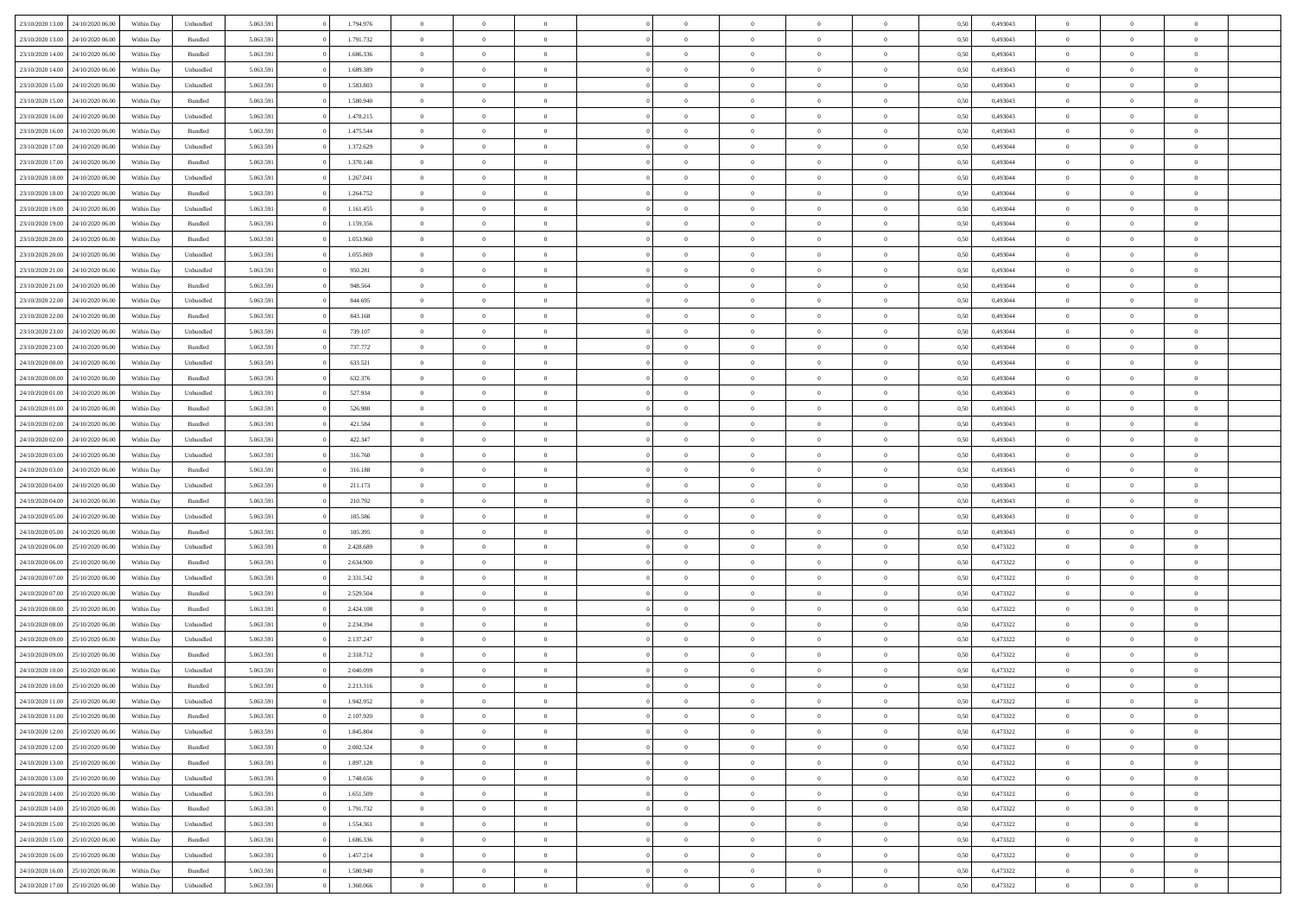|                                   |                  |            |                    |           |           | $\overline{0}$ | $\Omega$       |                |                | $\Omega$       | $\Omega$       | $\theta$       |      |          | $\theta$       |                | $\theta$       |  |
|-----------------------------------|------------------|------------|--------------------|-----------|-----------|----------------|----------------|----------------|----------------|----------------|----------------|----------------|------|----------|----------------|----------------|----------------|--|
| 23/10/2020 13:00                  | 24/10/2020 06.00 | Within Dav | Unbundled          | 5.063.591 | 1.794.976 |                |                |                | $\Omega$       |                |                |                | 0.50 | 0,493043 |                | $\theta$       |                |  |
| 23/10/2020 13:00                  | 24/10/2020 06.00 | Within Day | Bundled            | 5.063.591 | 1.791.732 | $\overline{0}$ | $\theta$       | $\overline{0}$ | $\overline{0}$ | $\bf{0}$       | $\overline{0}$ | $\bf{0}$       | 0,50 | 0,493043 | $\theta$       | $\overline{0}$ | $\overline{0}$ |  |
| 23/10/2020 14:00                  | 24/10/2020 06.00 | Within Day | Bundled            | 5.063.591 | 1.686.336 | $\overline{0}$ | $\overline{0}$ | $\overline{0}$ | $\overline{0}$ | $\bf{0}$       | $\bf{0}$       | $\bf{0}$       | 0,50 | 0,493043 | $\bf{0}$       | $\overline{0}$ | $\overline{0}$ |  |
|                                   |                  |            |                    |           |           |                |                |                |                |                |                |                |      |          | $\theta$       |                |                |  |
| 23/10/2020 14:00                  | 24/10/2020 06.00 | Within Dav | Unbundled          | 5.063.591 | 1.689.389 | $\overline{0}$ | $\overline{0}$ | $\overline{0}$ | $\overline{0}$ | $\bf{0}$       | $\overline{0}$ | $\overline{0}$ | 0.50 | 0,493043 |                | $\theta$       | $\overline{0}$ |  |
| 23/10/2020 15:00                  | 24/10/2020 06.00 | Within Day | Unbundled          | 5.063.591 | 1.583.803 | $\overline{0}$ | $\theta$       | $\overline{0}$ | $\overline{0}$ | $\bf{0}$       | $\overline{0}$ | $\bf{0}$       | 0,50 | 0,493043 | $\theta$       | $\theta$       | $\overline{0}$ |  |
| 23/10/2020 15:00                  | 24/10/2020 06.00 | Within Day | Bundled            | 5.063.591 | 1.580.940 | $\overline{0}$ | $\bf{0}$       | $\overline{0}$ | $\bf{0}$       | $\overline{0}$ | $\overline{0}$ | $\mathbf{0}$   | 0,50 | 0,493043 | $\overline{0}$ | $\overline{0}$ | $\bf{0}$       |  |
| 23/10/2020 16:00                  | 24/10/2020 06.00 | Within Dav | Unbundled          | 5.063.591 | 1.478.215 | $\overline{0}$ | $\overline{0}$ | $\overline{0}$ | $\overline{0}$ | $\overline{0}$ | $\overline{0}$ | $\overline{0}$ | 0.50 | 0,493043 | $\theta$       | $\overline{0}$ | $\overline{0}$ |  |
|                                   |                  |            |                    |           |           |                |                |                |                |                |                |                |      |          |                |                |                |  |
| 23/10/2020 16:00                  | 24/10/2020 06.00 | Within Day | Bundled            | 5.063.591 | 1.475.544 | $\overline{0}$ | $\theta$       | $\overline{0}$ | $\overline{0}$ | $\bf{0}$       | $\overline{0}$ | $\bf{0}$       | 0,50 | 0,493043 | $\theta$       | $\theta$       | $\overline{0}$ |  |
| 23/10/2020 17:00                  | 24/10/2020 06.00 | Within Day | Unbundled          | 5.063.591 | 1.372.629 | $\overline{0}$ | $\overline{0}$ | $\overline{0}$ | $\bf{0}$       | $\bf{0}$       | $\bf{0}$       | $\bf{0}$       | 0,50 | 0,493044 | $\,0\,$        | $\overline{0}$ | $\overline{0}$ |  |
| 23/10/2020 17:00                  | 24/10/2020 06.00 | Within Dav | Bundled            | 5.063.591 | 1.370.148 | $\overline{0}$ | $\overline{0}$ | $\overline{0}$ | $\overline{0}$ | $\overline{0}$ | $\overline{0}$ | $\overline{0}$ | 0.50 | 0,493044 | $\theta$       | $\overline{0}$ | $\overline{0}$ |  |
|                                   |                  |            |                    |           |           |                |                |                |                |                |                |                |      |          |                |                |                |  |
| 23/10/2020 18:00                  | 24/10/2020 06.00 | Within Day | Unbundled          | 5.063.591 | 1.267.041 | $\overline{0}$ | $\theta$       | $\overline{0}$ | $\overline{0}$ | $\bf{0}$       | $\overline{0}$ | $\bf{0}$       | 0,50 | 0,493044 | $\,$ 0 $\,$    | $\theta$       | $\overline{0}$ |  |
| 23/10/2020 18:00                  | 24/10/2020 06.00 | Within Day | Bundled            | 5.063.591 | 1.264.752 | $\overline{0}$ | $\overline{0}$ | $\overline{0}$ | $\bf{0}$       | $\bf{0}$       | $\bf{0}$       | $\bf{0}$       | 0,50 | 0,493044 | $\overline{0}$ | $\overline{0}$ | $\overline{0}$ |  |
| 23/10/2020 19:00                  | 24/10/2020 06.00 | Within Day | Unbundled          | 5.063.591 | 1.161.455 | $\overline{0}$ | $\overline{0}$ | $\overline{0}$ | $\overline{0}$ | $\bf{0}$       | $\overline{0}$ | $\overline{0}$ | 0.50 | 0,493044 | $\theta$       | $\theta$       | $\overline{0}$ |  |
| 23/10/2020 19:00                  | 24/10/2020 06.00 | Within Day | Bundled            | 5.063.591 | 1.159.356 | $\overline{0}$ | $\theta$       | $\overline{0}$ | $\overline{0}$ | $\bf{0}$       | $\overline{0}$ | $\bf{0}$       | 0,50 | 0,493044 | $\theta$       | $\theta$       | $\overline{0}$ |  |
|                                   |                  |            |                    |           |           |                |                |                |                |                |                |                |      |          |                |                |                |  |
| 23/10/2020 20:00                  | 24/10/2020 06.00 | Within Day | Bundled            | 5.063.591 | 1.053.960 | $\overline{0}$ | $\bf{0}$       | $\overline{0}$ | $\bf{0}$       | $\overline{0}$ | $\overline{0}$ | $\mathbf{0}$   | 0,50 | 0,493044 | $\bf{0}$       | $\overline{0}$ | $\bf{0}$       |  |
| 23/10/2020 20:00                  | 24/10/2020 06.00 | Within Dav | Unbundled          | 5.063.591 | 1.055.869 | $\overline{0}$ | $\overline{0}$ | $\overline{0}$ | $\overline{0}$ | $\overline{0}$ | $\overline{0}$ | $\overline{0}$ | 0.50 | 0,493044 | $\theta$       | $\overline{0}$ | $\overline{0}$ |  |
| 23/10/2020 21.00                  | 24/10/2020 06.00 | Within Day | Unbundled          | 5.063.591 | 950.281   | $\overline{0}$ | $\theta$       | $\overline{0}$ | $\overline{0}$ | $\bf{0}$       | $\overline{0}$ | $\bf{0}$       | 0,50 | 0,493044 | $\theta$       | $\theta$       | $\overline{0}$ |  |
|                                   |                  |            |                    |           |           |                |                |                |                |                |                |                |      |          |                |                |                |  |
| 23/10/2020 21:00                  | 24/10/2020 06.00 | Within Day | Bundled            | 5.063.591 | 948.564   | $\overline{0}$ | $\overline{0}$ | $\overline{0}$ | $\overline{0}$ | $\bf{0}$       | $\overline{0}$ | $\bf{0}$       | 0,50 | 0,493044 | $\,0\,$        | $\overline{0}$ | $\overline{0}$ |  |
| 23/10/2020 22.00                  | 24/10/2020 06.00 | Within Day | Unbundled          | 5.063.591 | 844.695   | $\overline{0}$ | $\overline{0}$ | $\overline{0}$ | $\overline{0}$ | $\overline{0}$ | $\overline{0}$ | $\overline{0}$ | 0.50 | 0,493044 | $\theta$       | $\overline{0}$ | $\overline{0}$ |  |
| 23/10/2020 22.00                  | 24/10/2020 06.00 | Within Day | Bundled            | 5.063.591 | 843.168   | $\overline{0}$ | $\theta$       | $\overline{0}$ | $\overline{0}$ | $\bf{0}$       | $\overline{0}$ | $\bf{0}$       | 0,50 | 0,493044 | $\,$ 0 $\,$    | $\theta$       | $\overline{0}$ |  |
| 23/10/2020 23.00                  | 24/10/2020 06.00 | Within Day | Unbundled          | 5.063.591 | 739.107   | $\overline{0}$ | $\overline{0}$ | $\overline{0}$ | $\overline{0}$ | $\bf{0}$       | $\overline{0}$ | $\bf{0}$       | 0,50 | 0,493044 | $\bf{0}$       | $\overline{0}$ | $\overline{0}$ |  |
|                                   |                  |            |                    |           |           |                |                |                |                |                |                |                |      |          |                |                |                |  |
| 23/10/2020 23:00                  | 24/10/2020 06.00 | Within Day | Bundled            | 5.063.591 | 737.772   | $\overline{0}$ | $\overline{0}$ | $\overline{0}$ | $\overline{0}$ | $\bf{0}$       | $\overline{0}$ | $\overline{0}$ | 0.50 | 0.493044 | $\theta$       | $\theta$       | $\overline{0}$ |  |
| 24/10/2020 00.00                  | 24/10/2020 06.00 | Within Day | Unbundled          | 5.063.591 | 633.521   | $\overline{0}$ | $\theta$       | $\overline{0}$ | $\overline{0}$ | $\bf{0}$       | $\overline{0}$ | $\bf{0}$       | 0,50 | 0,493044 | $\theta$       | $\overline{0}$ | $\overline{0}$ |  |
| 24/10/2020 00.00                  | 24/10/2020 06.00 | Within Day | Bundled            | 5.063.591 | 632.376   | $\overline{0}$ | $\bf{0}$       | $\overline{0}$ | $\overline{0}$ | $\overline{0}$ | $\overline{0}$ | $\mathbf{0}$   | 0,50 | 0,493044 | $\bf{0}$       | $\overline{0}$ | $\bf{0}$       |  |
| 24/10/2020 01:00                  | 24/10/2020 06.00 | Within Dav | Unbundled          | 5.063.591 | 527.934   | $\overline{0}$ | $\overline{0}$ | $\overline{0}$ | $\overline{0}$ | $\overline{0}$ | $\overline{0}$ | $\overline{0}$ | 0.50 | 0,493043 | $\theta$       | $\overline{0}$ | $\overline{0}$ |  |
|                                   |                  |            |                    |           |           |                |                |                |                |                |                |                |      |          |                |                |                |  |
| 24/10/2020 01.00                  | 24/10/2020 06.00 | Within Day | Bundled            | 5.063.591 | 526.980   | $\overline{0}$ | $\theta$       | $\overline{0}$ | $\overline{0}$ | $\bf{0}$       | $\overline{0}$ | $\bf{0}$       | 0,50 | 0,493043 | $\theta$       | $\theta$       | $\overline{0}$ |  |
| 24/10/2020 02.00                  | 24/10/2020 06.00 | Within Day | Bundled            | 5.063.591 | 421.584   | $\overline{0}$ | $\overline{0}$ | $\overline{0}$ | $\overline{0}$ | $\bf{0}$       | $\overline{0}$ | $\bf{0}$       | 0,50 | 0,493043 | $\,0\,$        | $\overline{0}$ | $\overline{0}$ |  |
| 24/10/2020 02.00                  | 24/10/2020 06.00 | Within Day | Unbundled          | 5.063.591 | 422.347   | $\overline{0}$ | $\overline{0}$ | $\overline{0}$ | $\overline{0}$ | $\overline{0}$ | $\overline{0}$ | $\overline{0}$ | 0.50 | 0,493043 | $\theta$       | $\overline{0}$ | $\overline{0}$ |  |
| 24/10/2020 03.00                  | 24/10/2020 06.00 | Within Day | Unbundled          | 5.063.591 | 316.760   | $\overline{0}$ | $\theta$       | $\overline{0}$ | $\overline{0}$ | $\bf{0}$       | $\overline{0}$ | $\bf{0}$       | 0,50 | 0,493043 | $\,$ 0 $\,$    | $\overline{0}$ | $\overline{0}$ |  |
|                                   |                  |            |                    |           |           |                |                |                |                |                |                |                |      |          |                |                |                |  |
| 24/10/2020 03.00                  | 24/10/2020 06.00 | Within Day | Bundled            | 5.063.591 | 316.188   | $\overline{0}$ | $\overline{0}$ | $\overline{0}$ | $\overline{0}$ | $\bf{0}$       | $\overline{0}$ | $\bf{0}$       | 0,50 | 0,493043 | $\bf{0}$       | $\overline{0}$ | $\overline{0}$ |  |
| 24/10/2020 04:00                  | 24/10/2020 06.00 | Within Day | Unbundled          | 5.063.591 | 211.173   | $\overline{0}$ | $\Omega$       | $\Omega$       | $\Omega$       | $\Omega$       | $\overline{0}$ | $\overline{0}$ | 0,50 | 0,493043 | $\,0\,$        | $\theta$       | $\theta$       |  |
| 24/10/2020 04.00                  | 24/10/2020 06.00 | Within Day | Bundled            | 5.063.591 | 210.792   | $\overline{0}$ | $\theta$       | $\overline{0}$ | $\overline{0}$ | $\bf{0}$       | $\overline{0}$ | $\bf{0}$       | 0,50 | 0,493043 | $\theta$       | $\theta$       | $\overline{0}$ |  |
|                                   |                  |            |                    |           |           |                |                |                |                |                |                |                |      |          |                |                |                |  |
| 24/10/2020 05.00                  | 24/10/2020 06.00 | Within Day | Unbundled          | 5.063.591 | 105.586   | $\overline{0}$ | $\overline{0}$ | $\overline{0}$ | $\overline{0}$ | $\bf{0}$       | $\overline{0}$ | $\mathbf{0}$   | 0,50 | 0,493043 | $\bf{0}$       | $\overline{0}$ | $\bf{0}$       |  |
| 24/10/2020 05.00                  | 24/10/2020 06.00 | Within Day | Bundled            | 5.063.591 | 105.395   | $\overline{0}$ | $\Omega$       | $\Omega$       | $\Omega$       | $\bf{0}$       | $\overline{0}$ | $\overline{0}$ | 0.50 | 0,493043 | $\,0\,$        | $\theta$       | $\theta$       |  |
| 24/10/2020 06.00                  | 25/10/2020 06.00 | Within Day | Unbundled          | 5.063.591 | 2.428.689 | $\overline{0}$ | $\theta$       | $\overline{0}$ | $\overline{0}$ | $\bf{0}$       | $\overline{0}$ | $\bf{0}$       | 0,50 | 0,473322 | $\,$ 0 $\,$    | $\theta$       | $\overline{0}$ |  |
| 24/10/2020 06:00                  | 25/10/2020 06.00 | Within Day | Bundled            | 5.063.591 | 2.634.900 | $\overline{0}$ | $\overline{0}$ | $\overline{0}$ | $\overline{0}$ | $\bf{0}$       | $\overline{0}$ | $\bf{0}$       | 0,50 | 0,473322 | $\bf{0}$       | $\overline{0}$ | $\overline{0}$ |  |
|                                   |                  |            |                    |           |           |                |                |                |                |                |                |                |      |          |                |                |                |  |
| 24/10/2020 07:00                  | 25/10/2020 06.00 | Within Day | Unbundled          | 5.063.591 | 2.331.542 | $\overline{0}$ | $\Omega$       | $\Omega$       | $\Omega$       | $\theta$       | $\overline{0}$ | $\overline{0}$ | 0.50 | 0,473322 | $\,0\,$        | $\theta$       | $\theta$       |  |
| 24/10/2020 07.00                  | 25/10/2020 06.00 | Within Day | Bundled            | 5.063.591 | 2.529.504 | $\overline{0}$ | $\theta$       | $\overline{0}$ | $\overline{0}$ | $\bf{0}$       | $\overline{0}$ | $\bf{0}$       | 0,50 | 0,473322 | $\,$ 0 $\,$    | $\overline{0}$ | $\overline{0}$ |  |
| 24/10/2020 08.00                  | 25/10/2020 06.00 | Within Day | Bundled            | 5.063.591 | 2.424.108 | $\overline{0}$ | $\overline{0}$ | $\overline{0}$ | $\overline{0}$ | $\bf{0}$       | $\overline{0}$ | $\bf{0}$       | 0,50 | 0,473322 | $\bf{0}$       | $\overline{0}$ | $\overline{0}$ |  |
|                                   |                  |            |                    |           |           |                |                |                |                |                |                |                |      |          |                |                |                |  |
| 24/10/2020 08:00                  | 25/10/2020 06.00 | Within Day | Unbundled          | 5.063.591 | 2.234.394 | $\overline{0}$ | $\Omega$       | $\overline{0}$ | $\Omega$       | $\Omega$       | $\overline{0}$ | $\overline{0}$ | 0,50 | 0,473322 | $\,0\,$        | $\theta$       | $\theta$       |  |
| 24/10/2020 09:00                  | 25/10/2020 06.00 | Within Day | Unbundled          | 5.063.591 | 2.137.247 | $\overline{0}$ | $\theta$       | $\overline{0}$ | $\overline{0}$ | $\,$ 0         | $\overline{0}$ | $\bf{0}$       | 0,50 | 0,473322 | $\,$ 0 $\,$    | $\overline{0}$ | $\overline{0}$ |  |
| 24/10/2020 09:00                  | 25/10/2020 06.00 | Within Day | Bundled            | 5.063.591 | 2.318.712 | $\overline{0}$ | $\overline{0}$ | $\overline{0}$ | $\overline{0}$ | $\bf{0}$       | $\overline{0}$ | $\mathbf{0}$   | 0,50 | 0,473322 | $\bf{0}$       | $\overline{0}$ | $\bf{0}$       |  |
| 24/10/2020 10:00                  | 25/10/2020 06:00 | Within Day | Unbundled          | 5.063.591 | 2.040.099 | $\overline{0}$ | $\Omega$       | $\Omega$       | $\Omega$       | $\Omega$       | $\Omega$       | $\overline{0}$ | 0.50 | 0,473322 | $\theta$       | $\theta$       | $\theta$       |  |
|                                   |                  |            |                    |           |           | $\overline{0}$ |                | $\overline{0}$ |                |                |                |                |      |          |                |                |                |  |
| 24/10/2020 10:00                  | 25/10/2020 06.00 | Within Day | Bundled            | 5.063.591 | 2.213.316 |                | $\,$ 0 $\,$    |                | $\bf{0}$       | $\,$ 0         | $\overline{0}$ | $\bf{0}$       | 0,50 | 0,473322 | $\,0\,$        | $\overline{0}$ | $\overline{0}$ |  |
| 24/10/2020 11:00                  | 25/10/2020 06.00 | Within Day | Unbundled          | 5.063.591 | 1.942.952 | $\bf{0}$       | $\bf{0}$       |                |                |                |                |                | 0,50 | 0,473322 | $\bf{0}$       | $\overline{0}$ |                |  |
| 24/10/2020 11:00                  | 25/10/2020 06:00 | Within Day | Bundled            | 5.063.591 | 2.107.920 | $\overline{0}$ | $\overline{0}$ | $\overline{0}$ | $\Omega$       | $\theta$       | $\overline{0}$ | $\overline{0}$ | 0,50 | 0,473322 | $\theta$       | $\theta$       | $\theta$       |  |
| 24/10/2020 12.00                  | 25/10/2020 06.00 | Within Day | Unbundled          | 5.063.591 | 1.845.804 | $\overline{0}$ | $\,$ 0         | $\overline{0}$ | $\bf{0}$       | $\,$ 0 $\,$    | $\overline{0}$ | $\mathbf{0}$   | 0,50 | 0,473322 | $\,$ 0 $\,$    | $\,$ 0 $\,$    | $\,$ 0         |  |
|                                   |                  |            |                    |           |           |                |                |                |                |                |                |                |      |          |                |                |                |  |
| 24/10/2020 12:00                  | 25/10/2020 06.00 | Within Day | Bundled            | 5.063.591 | 2.002.524 | $\overline{0}$ | $\overline{0}$ | $\overline{0}$ | $\overline{0}$ | $\overline{0}$ | $\overline{0}$ | $\mathbf{0}$   | 0,50 | 0,473322 | $\overline{0}$ | $\bf{0}$       | $\bf{0}$       |  |
| 24/10/2020 13:00                  | 25/10/2020 06.00 | Within Day | $\mathbf B$ undled | 5.063.591 | 1.897.128 | $\overline{0}$ | $\overline{0}$ | $\overline{0}$ | $\Omega$       | $\overline{0}$ | $\overline{0}$ | $\bf{0}$       | 0,50 | 0,473322 | $\overline{0}$ | $\theta$       | $\overline{0}$ |  |
| 24/10/2020 13:00                  | 25/10/2020 06.00 | Within Day | Unbundled          | 5.063.591 | 1.748.656 | $\overline{0}$ | $\,$ 0         | $\overline{0}$ | $\overline{0}$ | $\,$ 0 $\,$    | $\overline{0}$ | $\mathbf{0}$   | 0,50 | 0,473322 | $\,$ 0 $\,$    | $\overline{0}$ | $\overline{0}$ |  |
|                                   |                  |            |                    |           |           |                |                |                |                |                |                |                |      |          |                |                |                |  |
| 24/10/2020 14:00                  | 25/10/2020 06.00 | Within Day | Unbundled          | 5.063.591 | 1.651.509 | $\overline{0}$ | $\overline{0}$ | $\overline{0}$ | $\overline{0}$ | $\overline{0}$ | $\overline{0}$ | $\mathbf{0}$   | 0,50 | 0,473322 | $\overline{0}$ | $\overline{0}$ | $\bf{0}$       |  |
| 24/10/2020 14:00                  | 25/10/2020 06.00 | Within Day | Bundled            | 5.063.591 | 1.791.732 | $\overline{0}$ | $\overline{0}$ | $\overline{0}$ | $\Omega$       | $\overline{0}$ | $\overline{0}$ | $\bf{0}$       | 0.50 | 0,473322 | $\overline{0}$ | $\theta$       | $\overline{0}$ |  |
| 24/10/2020 15.00                  | 25/10/2020 06.00 | Within Day | Unbundled          | 5.063.591 | 1.554.361 | $\overline{0}$ | $\,$ 0         | $\overline{0}$ | $\bf{0}$       | $\bf{0}$       | $\bf{0}$       | $\bf{0}$       | 0,50 | 0,473322 | $\,$ 0 $\,$    | $\overline{0}$ | $\overline{0}$ |  |
| 24/10/2020 15:00                  | 25/10/2020 06.00 | Within Day | Bundled            | 5.063.591 | 1.686.336 | $\overline{0}$ | $\bf{0}$       | $\overline{0}$ | $\overline{0}$ | $\overline{0}$ | $\overline{0}$ | $\mathbf{0}$   | 0,50 | 0,473322 | $\overline{0}$ | $\overline{0}$ | $\bf{0}$       |  |
|                                   |                  |            |                    |           |           |                |                |                |                |                |                |                |      |          |                |                |                |  |
| 24/10/2020 16.00                  | 25/10/2020 06:00 | Within Day | Unbundled          | 5.063.591 | 1.457.214 | $\overline{0}$ | $\overline{0}$ | $\overline{0}$ | $\Omega$       | $\overline{0}$ | $\overline{0}$ | $\bf{0}$       | 0.50 | 0,473322 | $\overline{0}$ | $\theta$       | $\overline{0}$ |  |
| 24/10/2020 16.00                  | 25/10/2020 06.00 | Within Day | Bundled            | 5.063.591 | 1.580.940 | $\overline{0}$ | $\bf{0}$       | $\overline{0}$ | $\overline{0}$ | $\bf{0}$       | $\bf{0}$       | $\mathbf{0}$   | 0,50 | 0,473322 | $\,$ 0 $\,$    | $\,$ 0 $\,$    | $\bf{0}$       |  |
| 24/10/2020 17.00 25/10/2020 06.00 |                  | Within Day | Unbundled          | 5.063.591 | 1.360.066 | $\overline{0}$ | $\overline{0}$ | $\overline{0}$ | $\overline{0}$ | $\bf{0}$       | $\bf{0}$       | $\mathbf{0}$   | 0,50 | 0,473322 | $\overline{0}$ | $\bf{0}$       | $\bf{0}$       |  |
|                                   |                  |            |                    |           |           |                |                |                |                |                |                |                |      |          |                |                |                |  |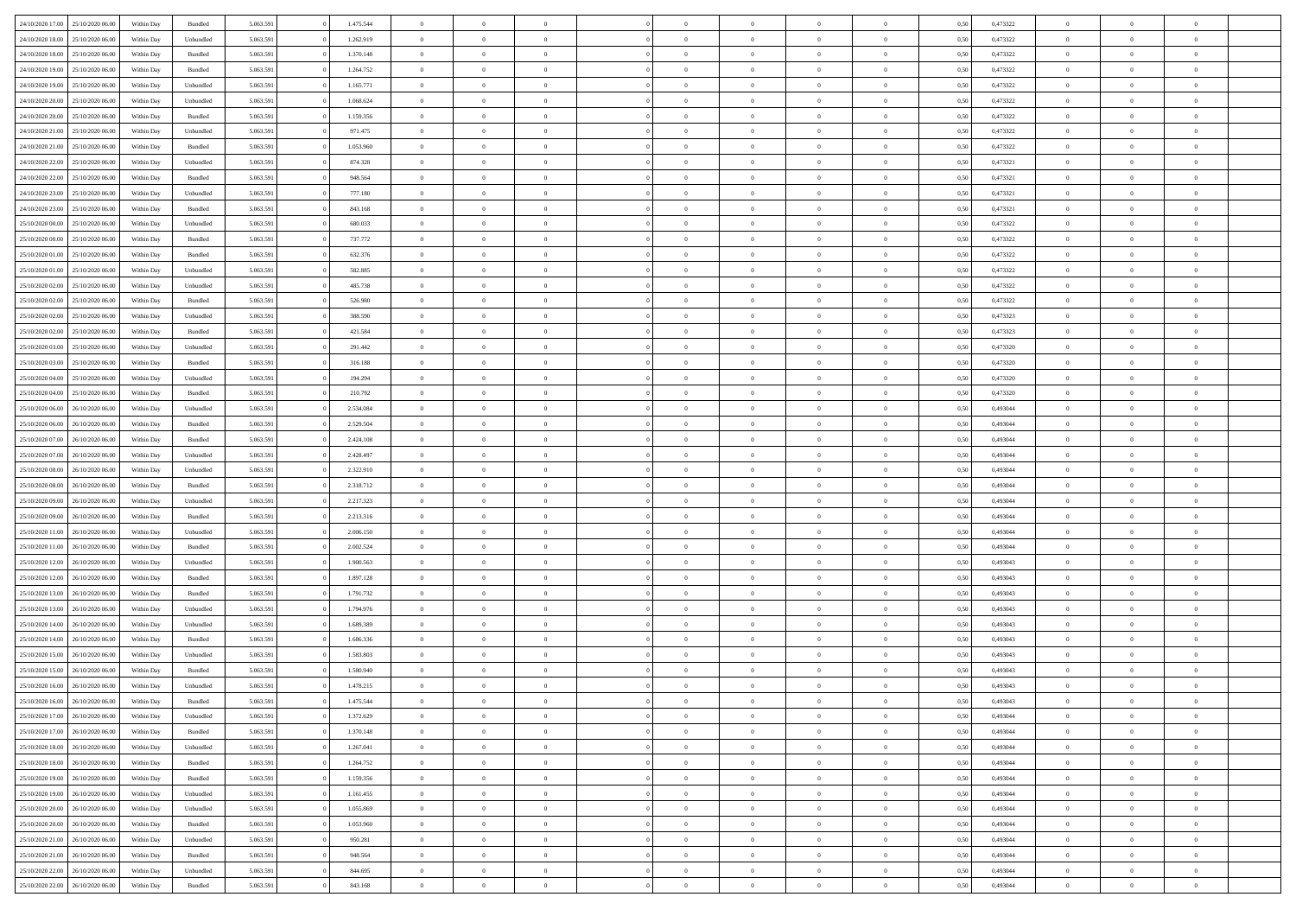|                  |                  |            |                    |           | 1.475.544 |                |                |                |                | $\Omega$       | $\theta$       | $\theta$       |      |          | $\theta$       | $\overline{0}$ | $\theta$       |  |
|------------------|------------------|------------|--------------------|-----------|-----------|----------------|----------------|----------------|----------------|----------------|----------------|----------------|------|----------|----------------|----------------|----------------|--|
| 24/10/2020 17:00 | 25/10/2020 06:00 | Within Dav | Bundled            | 5.063.591 |           | $\overline{0}$ | $\theta$       |                | $\Omega$       |                |                |                | 0.50 | 0,473322 |                |                |                |  |
| 24/10/2020 18.00 | 25/10/2020 06.00 | Within Day | Unbundled          | 5.063.591 | 1.262.919 | $\overline{0}$ | $\theta$       | $\overline{0}$ | $\overline{0}$ | $\bf{0}$       | $\overline{0}$ | $\bf{0}$       | 0,50 | 0,473322 | $\theta$       | $\overline{0}$ | $\overline{0}$ |  |
| 24/10/2020 18:00 | 25/10/2020 06.00 | Within Day | Bundled            | 5.063.591 | 1.370.148 | $\overline{0}$ | $\bf{0}$       | $\overline{0}$ | $\bf{0}$       | $\bf{0}$       | $\bf{0}$       | $\mathbf{0}$   | 0,50 | 0,473322 | $\overline{0}$ | $\overline{0}$ | $\overline{0}$ |  |
|                  |                  |            |                    |           |           |                |                |                |                |                |                |                |      |          | $\theta$       |                |                |  |
| 24/10/2020 19:00 | 25/10/2020 06:00 | Within Dav | Bundled            | 5.063.591 | 1.264.752 | $\overline{0}$ | $\overline{0}$ | $\overline{0}$ | $\overline{0}$ | $\bf{0}$       | $\overline{0}$ | $\overline{0}$ | 0.50 | 0,473322 |                | $\overline{0}$ | $\overline{0}$ |  |
| 24/10/2020 19:00 | 25/10/2020 06.00 | Within Day | Unbundled          | 5.063.591 | 1.165.771 | $\overline{0}$ | $\theta$       | $\overline{0}$ | $\overline{0}$ | $\bf{0}$       | $\overline{0}$ | $\bf{0}$       | 0,50 | 0,473322 | $\,$ 0 $\,$    | $\overline{0}$ | $\overline{0}$ |  |
| 24/10/2020 20.00 | 25/10/2020 06.00 | Within Day | Unbundled          | 5.063.591 | 1.068.624 | $\overline{0}$ | $\overline{0}$ | $\overline{0}$ | $\bf{0}$       | $\overline{0}$ | $\overline{0}$ | $\mathbf{0}$   | 0,50 | 0,473322 | $\overline{0}$ | $\overline{0}$ | $\bf{0}$       |  |
| 24/10/2020 20:00 | 25/10/2020 06.00 | Within Dav | Bundled            | 5.063.591 | 1.159.356 | $\overline{0}$ | $\overline{0}$ | $\overline{0}$ | $\overline{0}$ | $\overline{0}$ | $\overline{0}$ | $\overline{0}$ | 0.50 | 0,473322 | $\theta$       | $\overline{0}$ | $\overline{0}$ |  |
|                  |                  |            |                    |           |           |                |                |                |                |                |                |                |      |          |                |                |                |  |
| 24/10/2020 21.00 | 25/10/2020 06.00 | Within Day | Unbundled          | 5.063.591 | 971.475   | $\overline{0}$ | $\theta$       | $\overline{0}$ | $\overline{0}$ | $\bf{0}$       | $\overline{0}$ | $\bf{0}$       | 0,50 | 0,473322 | $\theta$       | $\theta$       | $\overline{0}$ |  |
| 24/10/2020 21.00 | 25/10/2020 06.00 | Within Day | Bundled            | 5.063.591 | 1.053.960 | $\overline{0}$ | $\overline{0}$ | $\overline{0}$ | $\bf{0}$       | $\bf{0}$       | $\bf{0}$       | $\bf{0}$       | 0,50 | 0,473322 | $\,0\,$        | $\overline{0}$ | $\overline{0}$ |  |
| 24/10/2020 22.00 | 25/10/2020 06.00 | Within Dav | Unbundled          | 5.063.591 | 874.328   | $\overline{0}$ | $\overline{0}$ | $\overline{0}$ | $\overline{0}$ | $\overline{0}$ | $\overline{0}$ | $\overline{0}$ | 0.50 | 0,473321 | $\theta$       | $\overline{0}$ | $\overline{0}$ |  |
|                  |                  |            |                    |           |           |                |                |                |                |                |                |                |      |          |                |                |                |  |
| 24/10/2020 22.00 | 25/10/2020 06.00 | Within Day | Bundled            | 5.063.591 | 948.564   | $\overline{0}$ | $\theta$       | $\overline{0}$ | $\overline{0}$ | $\bf{0}$       | $\overline{0}$ | $\bf{0}$       | 0,50 | 0,473321 | $\,$ 0 $\,$    | $\overline{0}$ | $\overline{0}$ |  |
| 24/10/2020 23.00 | 25/10/2020 06.00 | Within Day | Unbundled          | 5.063.591 | 777.180   | $\overline{0}$ | $\overline{0}$ | $\overline{0}$ | $\bf{0}$       | $\bf{0}$       | $\bf{0}$       | $\mathbf{0}$   | 0,50 | 0,473321 | $\overline{0}$ | $\overline{0}$ | $\bf{0}$       |  |
| 24/10/2020 23:00 | 25/10/2020 06:00 | Within Day | Bundled            | 5.063.591 | 843.168   | $\overline{0}$ | $\overline{0}$ | $\overline{0}$ | $\overline{0}$ | $\bf{0}$       | $\overline{0}$ | $\overline{0}$ | 0.50 | 0,473321 | $\theta$       | $\theta$       | $\overline{0}$ |  |
| 25/10/2020 00.00 | 25/10/2020 06.00 | Within Day | Unbundled          | 5.063.591 | 680.033   | $\overline{0}$ | $\theta$       | $\overline{0}$ | $\overline{0}$ | $\bf{0}$       | $\overline{0}$ | $\bf{0}$       | 0,50 | 0,473322 | $\theta$       | $\overline{0}$ | $\overline{0}$ |  |
|                  |                  |            |                    |           |           |                |                |                |                |                |                |                |      |          |                |                |                |  |
| 25/10/2020 00:00 | 25/10/2020 06.00 | Within Day | Bundled            | 5.063.591 | 737.772   | $\overline{0}$ | $\overline{0}$ | $\overline{0}$ | $\bf{0}$       | $\overline{0}$ | $\overline{0}$ | $\mathbf{0}$   | 0,50 | 0,473322 | $\bf{0}$       | $\overline{0}$ | $\bf{0}$       |  |
| 25/10/2020 01:00 | 25/10/2020 06:00 | Within Dav | Bundled            | 5.063.591 | 632.376   | $\overline{0}$ | $\overline{0}$ | $\overline{0}$ | $\overline{0}$ | $\overline{0}$ | $\overline{0}$ | $\overline{0}$ | 0.50 | 0,473322 | $\theta$       | $\overline{0}$ | $\overline{0}$ |  |
| 25/10/2020 01.00 | 25/10/2020 06.00 | Within Day | Unbundled          | 5.063.591 | 582.885   | $\overline{0}$ | $\theta$       | $\overline{0}$ | $\overline{0}$ | $\bf{0}$       | $\overline{0}$ | $\bf{0}$       | 0,50 | 0,473322 | $\,$ 0 $\,$    | $\overline{0}$ | $\overline{0}$ |  |
|                  |                  |            |                    |           |           |                |                |                |                |                |                |                |      |          |                |                |                |  |
| 25/10/2020 02:00 | 25/10/2020 06.00 | Within Day | Unbundled          | 5.063.591 | 485.738   | $\overline{0}$ | $\overline{0}$ | $\overline{0}$ | $\bf{0}$       | $\bf{0}$       | $\bf{0}$       | $\mathbf{0}$   | 0,50 | 0,473322 | $\bf{0}$       | $\overline{0}$ | $\overline{0}$ |  |
| 25/10/2020 02:00 | 25/10/2020 06:00 | Within Day | Bundled            | 5.063.591 | 526.980   | $\overline{0}$ | $\overline{0}$ | $\overline{0}$ | $\overline{0}$ | $\overline{0}$ | $\overline{0}$ | $\overline{0}$ | 0.50 | 0,473322 | $\theta$       | $\overline{0}$ | $\overline{0}$ |  |
| 25/10/2020 02.00 | 25/10/2020 06.00 | Within Day | Unbundled          | 5.063.591 | 388.590   | $\overline{0}$ | $\theta$       | $\overline{0}$ | $\overline{0}$ | $\bf{0}$       | $\overline{0}$ | $\bf{0}$       | 0,50 | 0,473323 | $\,$ 0 $\,$    | $\overline{0}$ | $\overline{0}$ |  |
| 25/10/2020 02:00 | 25/10/2020 06.00 | Within Day | Bundled            | 5.063.591 | 421.584   | $\overline{0}$ | $\overline{0}$ | $\overline{0}$ | $\bf{0}$       | $\bf{0}$       | $\bf{0}$       | $\bf{0}$       | 0,50 | 0,473323 | $\bf{0}$       | $\overline{0}$ | $\bf{0}$       |  |
|                  |                  |            |                    |           |           |                |                |                |                |                |                |                |      |          |                |                |                |  |
| 25/10/2020 03:00 | 25/10/2020 06:00 | Within Day | Unbundled          | 5.063.591 | 291.442   | $\overline{0}$ | $\overline{0}$ | $\overline{0}$ | $\overline{0}$ | $\overline{0}$ | $\overline{0}$ | $\overline{0}$ | 0.50 | 0,473320 | $\theta$       | $\overline{0}$ | $\overline{0}$ |  |
| 25/10/2020 03.00 | 25/10/2020 06.00 | Within Day | Bundled            | 5.063.591 | 316.188   | $\overline{0}$ | $\theta$       | $\overline{0}$ | $\overline{0}$ | $\bf{0}$       | $\overline{0}$ | $\bf{0}$       | 0,50 | 0,473320 | $\,$ 0 $\,$    | $\overline{0}$ | $\overline{0}$ |  |
| 25/10/2020 04:00 | 25/10/2020 06.00 | Within Day | Unbundled          | 5.063.591 | 194.294   | $\overline{0}$ | $\overline{0}$ | $\overline{0}$ | $\bf{0}$       | $\overline{0}$ | $\overline{0}$ | $\mathbf{0}$   | 0,50 | 0,473320 | $\bf{0}$       | $\overline{0}$ | $\bf{0}$       |  |
| 25/10/2020 04:00 | 25/10/2020 06.00 | Within Dav | Bundled            | 5.063.591 | 210.792   | $\overline{0}$ | $\overline{0}$ | $\overline{0}$ | $\overline{0}$ | $\overline{0}$ | $\overline{0}$ | $\overline{0}$ | 0.50 | 0,473320 | $\overline{0}$ | $\overline{0}$ | $\overline{0}$ |  |
|                  |                  |            |                    |           |           |                |                |                |                |                |                |                |      |          |                |                |                |  |
| 25/10/2020 06.00 | 26/10/2020 06.00 | Within Day | Unbundled          | 5.063.591 | 2.534.084 | $\overline{0}$ | $\theta$       | $\overline{0}$ | $\overline{0}$ | $\bf{0}$       | $\overline{0}$ | $\bf{0}$       | 0,50 | 0,493044 | $\theta$       | $\theta$       | $\overline{0}$ |  |
| 25/10/2020 06.00 | 26/10/2020 06.00 | Within Day | Bundled            | 5.063.591 | 2.529.504 | $\overline{0}$ | $\overline{0}$ | $\overline{0}$ | $\bf{0}$       | $\bf{0}$       | $\bf{0}$       | $\bf{0}$       | 0,50 | 0,493044 | $\,0\,$        | $\overline{0}$ | $\overline{0}$ |  |
| 25/10/2020 07:00 | 26/10/2020 06:00 | Within Day | Bundled            | 5.063.591 | 2.424.108 | $\overline{0}$ | $\overline{0}$ | $\overline{0}$ | $\overline{0}$ | $\overline{0}$ | $\overline{0}$ | $\overline{0}$ | 0.50 | 0,493044 | $\theta$       | $\overline{0}$ | $\overline{0}$ |  |
| 25/10/2020 07.00 | 26/10/2020 06.00 | Within Day | Unbundled          | 5.063.591 | 2.428.497 | $\overline{0}$ | $\theta$       | $\overline{0}$ | $\overline{0}$ | $\bf{0}$       | $\overline{0}$ | $\bf{0}$       | 0,50 | 0,493044 | $\,$ 0 $\,$    | $\overline{0}$ | $\overline{0}$ |  |
|                  |                  |            |                    |           |           |                |                |                |                |                |                |                |      |          |                |                |                |  |
| 25/10/2020 08:00 | 26/10/2020 06.00 | Within Day | Unbundled          | 5.063.591 | 2.322.910 | $\overline{0}$ | $\overline{0}$ | $\overline{0}$ | $\bf{0}$       | $\bf{0}$       | $\bf{0}$       | $\bf{0}$       | 0,50 | 0,493044 | $\overline{0}$ | $\overline{0}$ | $\bf{0}$       |  |
| 25/10/2020 08:00 | 26/10/2020 06.00 | Within Day | Bundled            | 5.063.591 | 2.318.712 | $\overline{0}$ | $\Omega$       | $\overline{0}$ | $\Omega$       | $\Omega$       | $\overline{0}$ | $\overline{0}$ | 0,50 | 0,493044 | $\,0\,$        | $\theta$       | $\theta$       |  |
| 25/10/2020 09:00 | 26/10/2020 06.00 | Within Day | Unbundled          | 5.063.591 | 2.217.323 | $\overline{0}$ | $\theta$       | $\overline{0}$ | $\overline{0}$ | $\bf{0}$       | $\overline{0}$ | $\bf{0}$       | 0,50 | 0,493044 | $\,$ 0 $\,$    | $\overline{0}$ | $\overline{0}$ |  |
|                  |                  |            |                    |           |           |                |                |                |                |                |                |                |      |          |                |                |                |  |
| 25/10/2020 09:00 | 26/10/2020 06.00 | Within Day | Bundled            | 5.063.591 | 2.213.316 | $\overline{0}$ | $\overline{0}$ | $\overline{0}$ | $\bf{0}$       | $\overline{0}$ | $\overline{0}$ | $\mathbf{0}$   | 0,50 | 0,493044 | $\overline{0}$ | $\overline{0}$ | $\bf{0}$       |  |
| 25/10/2020 11:00 | 26/10/2020 06:00 | Within Day | Unbundled          | 5.063.591 | 2.006.150 | $\overline{0}$ | $\Omega$       | $\Omega$       | $\Omega$       | $\overline{0}$ | $\overline{0}$ | $\overline{0}$ | 0.50 | 0,493044 | $\,0\,$        | $\theta$       | $\theta$       |  |
| 25/10/2020 11:00 | 26/10/2020 06.00 | Within Day | Bundled            | 5.063.591 | 2.002.524 | $\overline{0}$ | $\theta$       | $\overline{0}$ | $\overline{0}$ | $\bf{0}$       | $\overline{0}$ | $\bf{0}$       | 0,50 | 0,493044 | $\,$ 0 $\,$    | $\overline{0}$ | $\overline{0}$ |  |
| 25/10/2020 12:00 | 26/10/2020 06.00 | Within Day | Unbundled          | 5.063.591 | 1.900.563 | $\overline{0}$ | $\overline{0}$ | $\overline{0}$ | $\bf{0}$       | $\bf{0}$       | $\bf{0}$       | $\bf{0}$       | 0,50 | 0,493043 | $\bf{0}$       | $\overline{0}$ | $\bf{0}$       |  |
|                  |                  |            |                    |           |           |                |                |                |                |                |                |                |      |          |                |                |                |  |
| 25/10/2020 12:00 | 26/10/2020 06:00 | Within Day | Bundled            | 5.063.591 | 1.897.128 | $\overline{0}$ | $\Omega$       | $\overline{0}$ | $\Omega$       | $\overline{0}$ | $\overline{0}$ | $\overline{0}$ | 0.50 | 0,493043 | $\,$ 0 $\,$    | $\theta$       | $\theta$       |  |
| 25/10/2020 13:00 | 26/10/2020 06.00 | Within Day | Bundled            | 5.063.591 | 1.791.732 | $\overline{0}$ | $\overline{0}$ | $\overline{0}$ | $\overline{0}$ | $\,$ 0         | $\overline{0}$ | $\bf{0}$       | 0,50 | 0,493043 | $\,$ 0 $\,$    | $\overline{0}$ | $\overline{0}$ |  |
| 25/10/2020 13:00 | 26/10/2020 06.00 | Within Day | Unbundled          | 5.063.591 | 1.794.976 | $\overline{0}$ | $\overline{0}$ | $\overline{0}$ | $\bf{0}$       | $\bf{0}$       | $\bf{0}$       | $\bf{0}$       | 0,50 | 0,493043 | $\overline{0}$ | $\overline{0}$ | $\bf{0}$       |  |
|                  |                  |            |                    |           |           | $\overline{0}$ | $\Omega$       | $\overline{0}$ | $\Omega$       | $\overline{0}$ | $\overline{0}$ | $\overline{0}$ |      |          | $\,0\,$        | $\theta$       | $\theta$       |  |
| 25/10/2020 14:00 | 26/10/2020 06.00 | Within Day | Unbundled          | 5.063.591 | 1.689.389 |                |                |                |                |                |                |                | 0,50 | 0,493043 |                |                |                |  |
| 25/10/2020 14:00 | 26/10/2020 06.00 | Within Day | Bundled            | 5.063.591 | 1.686.336 | $\overline{0}$ | $\overline{0}$ | $\overline{0}$ | $\overline{0}$ | $\,$ 0         | $\overline{0}$ | $\bf{0}$       | 0,50 | 0,493043 | $\,$ 0 $\,$    | $\overline{0}$ | $\overline{0}$ |  |
| 25/10/2020 15:00 | 26/10/2020 06.00 | Within Day | Unbundled          | 5.063.591 | 1.583.803 | $\overline{0}$ | $\overline{0}$ | $\overline{0}$ | $\bf{0}$       | $\bf{0}$       | $\overline{0}$ | $\mathbf{0}$   | 0,50 | 0,493043 | $\overline{0}$ | $\overline{0}$ | $\bf{0}$       |  |
| 25/10/2020 15:00 | 26/10/2020 06:00 | Within Day | Bundled            | 5.063.591 | 1.580.940 | $\overline{0}$ | $\Omega$       | $\Omega$       | $\Omega$       | $\Omega$       | $\Omega$       | $\overline{0}$ | 0.50 | 0,493043 | $\theta$       | $\theta$       | $\theta$       |  |
| 25/10/2020 16:00 | 26/10/2020 06.00 | Within Day | Unbundled          | 5.063.591 | 1.478.215 | $\overline{0}$ | $\overline{0}$ | $\overline{0}$ | $\bf{0}$       | $\,$ 0         | $\bf{0}$       | $\bf{0}$       | 0,50 | 0,493043 | $\,0\,$        | $\,0\,$        | $\overline{0}$ |  |
|                  |                  |            |                    |           |           |                |                |                |                |                |                |                |      |          |                |                |                |  |
| 25/10/2020 16:00 | 26/10/2020 06.00 | Within Day | $\mathbf B$ undled | 5.063.591 | 1.475.544 | $\bf{0}$       | $\bf{0}$       |                |                | $\bf{0}$       |                |                | 0,50 | 0,493043 | $\bf{0}$       | $\overline{0}$ |                |  |
| 25/10/2020 17:00 | 26/10/2020 06:00 | Within Day | Unbundled          | 5.063.591 | 1.372.629 | $\overline{0}$ | $\overline{0}$ | $\Omega$       | $\Omega$       | $\overline{0}$ | $\overline{0}$ | $\overline{0}$ | 0.50 | 0.493044 | $\theta$       | $\theta$       | $\theta$       |  |
| 25/10/2020 17.00 | 26/10/2020 06.00 | Within Day | Bundled            | 5.063.591 | 1.370.148 | $\overline{0}$ | $\,$ 0         | $\overline{0}$ | $\bf{0}$       | $\,$ 0 $\,$    | $\overline{0}$ | $\mathbf{0}$   | 0,50 | 0,493044 | $\,$ 0 $\,$    | $\,$ 0 $\,$    | $\,$ 0         |  |
|                  |                  |            |                    |           |           |                |                |                |                |                |                |                |      |          |                |                |                |  |
| 25/10/2020 18:00 | 26/10/2020 06.00 | Within Day | Unbundled          | 5.063.591 | 1.267.041 | $\overline{0}$ | $\overline{0}$ | $\overline{0}$ | $\overline{0}$ | $\overline{0}$ | $\overline{0}$ | $\mathbf{0}$   | 0,50 | 0,493044 | $\overline{0}$ | $\bf{0}$       | $\bf{0}$       |  |
| 25/10/2020 18:00 | 26/10/2020 06.00 | Within Day | $\mathbf B$ undled | 5.063.591 | 1.264.752 | $\overline{0}$ | $\overline{0}$ | $\overline{0}$ | $\Omega$       | $\overline{0}$ | $\overline{0}$ | $\overline{0}$ | 0,50 | 0,493044 | $\bf{0}$       | $\theta$       | $\overline{0}$ |  |
| 25/10/2020 19:00 | 26/10/2020 06.00 | Within Day | Bundled            | 5.063.591 | 1.159.356 | $\overline{0}$ | $\,$ 0         | $\overline{0}$ | $\overline{0}$ | $\,$ 0 $\,$    | $\overline{0}$ | $\mathbf{0}$   | 0,50 | 0,493044 | $\,$ 0 $\,$    | $\overline{0}$ | $\overline{0}$ |  |
| 25/10/2020 19:00 | 26/10/2020 06.00 | Within Day | Unbundled          | 5.063.591 | 1.161.455 | $\overline{0}$ | $\overline{0}$ | $\overline{0}$ | $\overline{0}$ | $\overline{0}$ | $\overline{0}$ | $\mathbf{0}$   | 0,50 | 0,493044 | $\overline{0}$ | $\overline{0}$ | $\bf{0}$       |  |
|                  |                  |            |                    |           |           |                |                |                |                |                |                |                |      |          |                |                |                |  |
| 25/10/2020 20.00 | 26/10/2020 06:00 | Within Day | Unbundled          | 5.063.591 | 1.055.869 | $\overline{0}$ | $\overline{0}$ | $\overline{0}$ | $\Omega$       | $\overline{0}$ | $\overline{0}$ | $\bf{0}$       | 0.50 | 0,493044 | $\overline{0}$ | $\theta$       | $\overline{0}$ |  |
| 25/10/2020 20:00 | 26/10/2020 06.00 | Within Day | Bundled            | 5.063.591 | 1.053.960 | $\overline{0}$ | $\,$ 0         | $\overline{0}$ | $\bf{0}$       | $\bf{0}$       | $\bf{0}$       | $\bf{0}$       | 0,50 | 0,493044 | $\,$ 0 $\,$    | $\overline{0}$ | $\overline{0}$ |  |
| 25/10/2020 21.00 | 26/10/2020 06.00 | Within Day | Unbundled          | 5.063.591 | 950.281   | $\overline{0}$ | $\bf{0}$       | $\overline{0}$ | $\overline{0}$ | $\overline{0}$ | $\overline{0}$ | $\mathbf{0}$   | 0,50 | 0,493044 | $\overline{0}$ | $\overline{0}$ | $\bf{0}$       |  |
|                  | 26/10/2020 06:00 |            |                    |           | 948.564   | $\overline{0}$ | $\overline{0}$ | $\overline{0}$ | $\Omega$       | $\overline{0}$ | $\overline{0}$ |                |      |          |                | $\theta$       | $\overline{0}$ |  |
| 25/10/2020 21.00 |                  | Within Day | Bundled            | 5.063.591 |           |                |                |                |                |                |                | $\bf{0}$       | 0.50 | 0,493044 | $\overline{0}$ |                |                |  |
| 25/10/2020 22.00 | 26/10/2020 06.00 | Within Day | Unbundled          | 5.063.591 | 844.695   | $\overline{0}$ | $\bf{0}$       | $\overline{0}$ | $\overline{0}$ | $\bf{0}$       | $\bf{0}$       | $\mathbf{0}$   | 0,50 | 0,493044 | $\,$ 0 $\,$    | $\,$ 0 $\,$    | $\bf{0}$       |  |
|                  |                  |            | Bundled            | 5.063.591 | 843.168   | $\overline{0}$ | $\overline{0}$ | $\overline{0}$ | $\overline{0}$ | $\overline{0}$ | $\bf{0}$       | $\mathbf{0}$   | 0,50 | 0,493044 | $\overline{0}$ | $\bf{0}$       | $\bf{0}$       |  |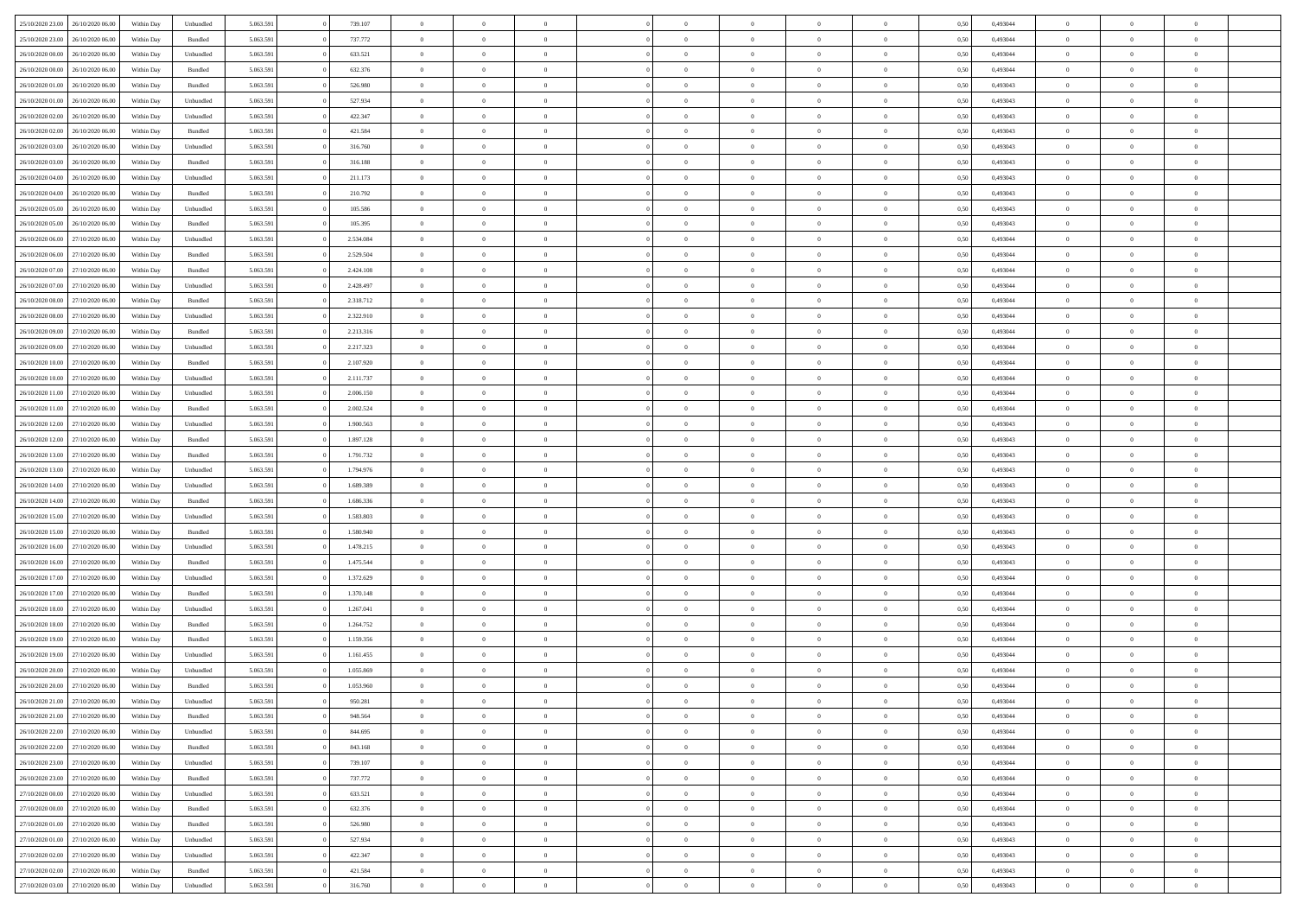| 25/10/2020 23:00    | 26/10/2020 06.00                  | Within Dav | Unbundled | 5.063.591 | 739.107   | $\overline{0}$ | $\Omega$       |                | $\Omega$       | $\Omega$       | $\Omega$       | $\theta$       | 0,50 | 0,493044 | $\theta$       | $\theta$       | $\theta$       |  |
|---------------------|-----------------------------------|------------|-----------|-----------|-----------|----------------|----------------|----------------|----------------|----------------|----------------|----------------|------|----------|----------------|----------------|----------------|--|
| 25/10/2020 23.00    | 26/10/2020 06.00                  | Within Day | Bundled   | 5.063.591 | 737.772   | $\overline{0}$ | $\theta$       | $\overline{0}$ | $\overline{0}$ | $\bf{0}$       | $\overline{0}$ | $\overline{0}$ | 0,50 | 0,493044 | $\theta$       | $\theta$       | $\overline{0}$ |  |
| 26/10/2020 00:00    | 26/10/2020 06.00                  | Within Day | Unbundled | 5.063.591 | 633.521   | $\overline{0}$ | $\overline{0}$ | $\overline{0}$ | $\bf{0}$       | $\bf{0}$       | $\bf{0}$       | $\bf{0}$       | 0,50 | 0,493044 | $\bf{0}$       | $\overline{0}$ | $\overline{0}$ |  |
|                     |                                   |            |           |           |           |                |                |                |                |                |                |                |      |          | $\theta$       |                |                |  |
| 26/10/2020 00:00    | 26/10/2020 06:00                  | Within Dav | Bundled   | 5.063.591 | 632.376   | $\overline{0}$ | $\overline{0}$ | $\overline{0}$ | $\overline{0}$ | $\bf{0}$       | $\overline{0}$ | $\overline{0}$ | 0.50 | 0.493044 |                | $\theta$       | $\overline{0}$ |  |
| 26/10/2020 01:00    | 26/10/2020 06.00                  | Within Day | Bundled   | 5.063.591 | 526.980   | $\overline{0}$ | $\theta$       | $\overline{0}$ | $\overline{0}$ | $\bf{0}$       | $\overline{0}$ | $\bf{0}$       | 0,50 | 0,493043 | $\theta$       | $\theta$       | $\overline{0}$ |  |
| 26/10/2020 01.00    | 26/10/2020 06.00                  | Within Day | Unbundled | 5.063.591 | 527.934   | $\overline{0}$ | $\bf{0}$       | $\overline{0}$ | $\bf{0}$       | $\overline{0}$ | $\overline{0}$ | $\mathbf{0}$   | 0,50 | 0,493043 | $\overline{0}$ | $\overline{0}$ | $\bf{0}$       |  |
| 26/10/2020 02:00    | 26/10/2020 06.00                  | Within Dav | Unbundled | 5.063.591 | 422.347   | $\overline{0}$ | $\overline{0}$ | $\overline{0}$ | $\overline{0}$ | $\overline{0}$ | $\overline{0}$ | $\overline{0}$ | 0.50 | 0,493043 | $\theta$       | $\overline{0}$ | $\overline{0}$ |  |
|                     |                                   |            |           |           |           |                |                |                |                |                |                |                |      |          |                |                |                |  |
| 26/10/2020 02.00    | 26/10/2020 06.00                  | Within Day | Bundled   | 5.063.591 | 421.584   | $\overline{0}$ | $\theta$       | $\overline{0}$ | $\overline{0}$ | $\bf{0}$       | $\overline{0}$ | $\bf{0}$       | 0,50 | 0,493043 | $\theta$       | $\theta$       | $\overline{0}$ |  |
| 26/10/2020 03:00    | 26/10/2020 06.00                  | Within Day | Unbundled | 5.063.591 | 316.760   | $\overline{0}$ | $\overline{0}$ | $\overline{0}$ | $\bf{0}$       | $\bf{0}$       | $\bf{0}$       | $\bf{0}$       | 0,50 | 0,493043 | $\,0\,$        | $\overline{0}$ | $\overline{0}$ |  |
| 26/10/2020 03:00    | 26/10/2020 06:00                  | Within Dav | Bundled   | 5.063.591 | 316.188   | $\overline{0}$ | $\overline{0}$ | $\overline{0}$ | $\overline{0}$ | $\overline{0}$ | $\overline{0}$ | $\overline{0}$ | 0.50 | 0,493043 | $\theta$       | $\overline{0}$ | $\overline{0}$ |  |
|                     |                                   |            |           |           |           |                |                |                |                |                |                |                |      |          |                |                |                |  |
| 26/10/2020 04.00    | 26/10/2020 06.00                  | Within Day | Unbundled | 5.063.591 | 211.173   | $\overline{0}$ | $\theta$       | $\overline{0}$ | $\overline{0}$ | $\bf{0}$       | $\overline{0}$ | $\bf{0}$       | 0,50 | 0,493043 | $\theta$       | $\theta$       | $\overline{0}$ |  |
| 26/10/2020 04.00    | 26/10/2020 06.00                  | Within Day | Bundled   | 5.063.591 | 210.792   | $\overline{0}$ | $\overline{0}$ | $\overline{0}$ | $\bf{0}$       | $\bf{0}$       | $\bf{0}$       | $\bf{0}$       | 0,50 | 0,493043 | $\overline{0}$ | $\overline{0}$ | $\overline{0}$ |  |
| 26/10/2020 05:00    | 26/10/2020 06:00                  | Within Day | Unbundled | 5.063.591 | 105.586   | $\overline{0}$ | $\overline{0}$ | $\overline{0}$ | $\overline{0}$ | $\bf{0}$       | $\overline{0}$ | $\overline{0}$ | 0.50 | 0,493043 | $\theta$       | $\theta$       | $\overline{0}$ |  |
| 26/10/2020 05.00    | 26/10/2020 06.00                  | Within Day | Bundled   | 5.063.591 | 105.395   | $\overline{0}$ | $\theta$       | $\overline{0}$ | $\overline{0}$ | $\bf{0}$       | $\overline{0}$ | $\bf{0}$       | 0,50 | 0,493043 | $\theta$       | $\theta$       | $\overline{0}$ |  |
|                     |                                   |            |           |           |           |                |                |                |                |                |                |                |      |          |                |                |                |  |
| 26/10/2020 06:00    | 27/10/2020 06.00                  | Within Day | Unbundled | 5.063.591 | 2.534.084 | $\overline{0}$ | $\bf{0}$       | $\overline{0}$ | $\bf{0}$       | $\overline{0}$ | $\overline{0}$ | $\mathbf{0}$   | 0,50 | 0,493044 | $\overline{0}$ | $\overline{0}$ | $\bf{0}$       |  |
| 26/10/2020 06.00    | 27/10/2020 06.00                  | Within Dav | Bundled   | 5.063.591 | 2.529.504 | $\overline{0}$ | $\overline{0}$ | $\overline{0}$ | $\overline{0}$ | $\overline{0}$ | $\overline{0}$ | $\overline{0}$ | 0.50 | 0,493044 | $\theta$       | $\overline{0}$ | $\overline{0}$ |  |
| 26/10/2020 07.00    | 27/10/2020 06.00                  | Within Day | Bundled   | 5.063.591 | 2.424.108 | $\overline{0}$ | $\theta$       | $\overline{0}$ | $\overline{0}$ | $\bf{0}$       | $\overline{0}$ | $\bf{0}$       | 0,50 | 0,493044 | $\theta$       | $\theta$       | $\overline{0}$ |  |
|                     |                                   |            |           |           |           |                |                |                |                |                |                |                |      |          |                |                |                |  |
| 26/10/2020 07.00    | 27/10/2020 06.00                  | Within Day | Unbundled | 5.063.591 | 2.428.497 | $\overline{0}$ | $\overline{0}$ | $\overline{0}$ | $\bf{0}$       | $\bf{0}$       | $\bf{0}$       | $\bf{0}$       | 0,50 | 0,493044 | $\,0\,$        | $\overline{0}$ | $\overline{0}$ |  |
| 26/10/2020 08:00    | 27/10/2020 06.00                  | Within Day | Bundled   | 5.063.591 | 2.318.712 | $\overline{0}$ | $\overline{0}$ | $\overline{0}$ | $\overline{0}$ | $\overline{0}$ | $\overline{0}$ | $\overline{0}$ | 0.50 | 0,493044 | $\theta$       | $\overline{0}$ | $\overline{0}$ |  |
| 26/10/2020 08:00    | 27/10/2020 06.00                  | Within Day | Unbundled | 5.063.591 | 2.322.910 | $\overline{0}$ | $\theta$       | $\overline{0}$ | $\overline{0}$ | $\bf{0}$       | $\overline{0}$ | $\bf{0}$       | 0,50 | 0,493044 | $\,$ 0 $\,$    | $\theta$       | $\overline{0}$ |  |
| 26/10/2020 09:00    | 27/10/2020 06.00                  | Within Day | Bundled   | 5.063.591 | 2.213.316 | $\overline{0}$ | $\overline{0}$ | $\overline{0}$ | $\bf{0}$       | $\bf{0}$       | $\bf{0}$       | $\bf{0}$       | 0,50 | 0,493044 | $\,0\,$        | $\overline{0}$ | $\overline{0}$ |  |
|                     |                                   |            |           |           |           |                |                |                |                |                |                |                |      |          | $\theta$       |                |                |  |
| 26/10/2020 09:00    | 27/10/2020 06:00                  | Within Day | Unbundled | 5.063.591 | 2.217.323 | $\overline{0}$ | $\overline{0}$ | $\overline{0}$ | $\overline{0}$ | $\bf{0}$       | $\overline{0}$ | $\overline{0}$ | 0.50 | 0.493044 |                | $\theta$       | $\overline{0}$ |  |
| 26/10/2020 10:00    | 27/10/2020 06.00                  | Within Day | Bundled   | 5.063.591 | 2.107.920 | $\overline{0}$ | $\theta$       | $\overline{0}$ | $\overline{0}$ | $\bf{0}$       | $\overline{0}$ | $\bf{0}$       | 0,50 | 0,493044 | $\theta$       | $\overline{0}$ | $\overline{0}$ |  |
| 26/10/2020 10:00    | 27/10/2020 06.00                  | Within Day | Unbundled | 5.063.591 | 2.111.737 | $\overline{0}$ | $\bf{0}$       | $\overline{0}$ | $\bf{0}$       | $\overline{0}$ | $\overline{0}$ | $\mathbf{0}$   | 0,50 | 0,493044 | $\overline{0}$ | $\overline{0}$ | $\bf{0}$       |  |
| 26/10/2020 11:00    | 27/10/2020 06.00                  | Within Dav | Unbundled | 5.063.591 | 2.006.150 | $\overline{0}$ | $\overline{0}$ | $\overline{0}$ | $\overline{0}$ | $\overline{0}$ | $\overline{0}$ | $\overline{0}$ | 0.50 | 0,493044 | $\theta$       | $\overline{0}$ | $\overline{0}$ |  |
|                     |                                   |            |           |           |           |                |                |                |                |                |                |                |      |          |                |                |                |  |
| 26/10/2020 11:00    | 27/10/2020 06.00                  | Within Day | Bundled   | 5.063.591 | 2.002.524 | $\overline{0}$ | $\theta$       | $\overline{0}$ | $\overline{0}$ | $\bf{0}$       | $\overline{0}$ | $\bf{0}$       | 0,50 | 0,493044 | $\theta$       | $\theta$       | $\overline{0}$ |  |
| 26/10/2020 12:00    | 27/10/2020 06.00                  | Within Day | Unbundled | 5.063.591 | 1.900.563 | $\overline{0}$ | $\overline{0}$ | $\overline{0}$ | $\bf{0}$       | $\bf{0}$       | $\bf{0}$       | $\bf{0}$       | 0,50 | 0,493043 | $\,0\,$        | $\overline{0}$ | $\overline{0}$ |  |
| 26/10/2020 12:00    | 27/10/2020 06.00                  | Within Day | Bundled   | 5.063.591 | 1.897.128 | $\overline{0}$ | $\overline{0}$ | $\overline{0}$ | $\overline{0}$ | $\overline{0}$ | $\overline{0}$ | $\overline{0}$ | 0.50 | 0,493043 | $\theta$       | $\overline{0}$ | $\overline{0}$ |  |
| 26/10/2020 13:00    | 27/10/2020 06.00                  | Within Day | Bundled   | 5.063.591 | 1.791.732 | $\overline{0}$ | $\theta$       | $\overline{0}$ | $\overline{0}$ | $\bf{0}$       | $\overline{0}$ | $\bf{0}$       | 0,50 | 0,493043 | $\,$ 0 $\,$    | $\overline{0}$ | $\overline{0}$ |  |
|                     |                                   |            |           |           |           |                |                |                |                |                |                |                |      |          |                |                |                |  |
| 26/10/2020 13:00    | 27/10/2020 06.00                  | Within Day | Unbundled | 5.063.591 | 1.794.976 | $\overline{0}$ | $\overline{0}$ | $\overline{0}$ | $\bf{0}$       | $\bf{0}$       | $\bf{0}$       | $\bf{0}$       | 0,50 | 0,493043 | $\overline{0}$ | $\overline{0}$ | $\overline{0}$ |  |
| 26/10/2020 14:00    | 27/10/2020 06.00                  | Within Day | Unbundled | 5.063.591 | 1.689.389 | $\overline{0}$ | $\Omega$       | $\Omega$       | $\Omega$       | $\Omega$       | $\Omega$       | $\overline{0}$ | 0,50 | 0,493043 | $\,0\,$        | $\theta$       | $\theta$       |  |
| 26/10/2020 14:00    | 27/10/2020 06.00                  | Within Day | Bundled   | 5.063.591 | 1.686.336 | $\overline{0}$ | $\theta$       | $\overline{0}$ | $\overline{0}$ | $\bf{0}$       | $\overline{0}$ | $\bf{0}$       | 0,50 | 0,493043 | $\theta$       | $\theta$       | $\overline{0}$ |  |
|                     |                                   |            |           |           |           |                |                |                |                |                |                |                |      |          |                |                |                |  |
| 26/10/2020 15:00    | 27/10/2020 06.00                  | Within Day | Unbundled | 5.063.591 | 1.583.803 | $\overline{0}$ | $\overline{0}$ | $\overline{0}$ | $\bf{0}$       | $\bf{0}$       | $\overline{0}$ | $\mathbf{0}$   | 0,50 | 0,493043 | $\overline{0}$ | $\overline{0}$ | $\bf{0}$       |  |
| 26/10/2020 15:00    | 27/10/2020 06.00                  | Within Day | Bundled   | 5.063.591 | 1.580.940 | $\overline{0}$ | $\Omega$       | $\Omega$       | $\Omega$       | $\bf{0}$       | $\overline{0}$ | $\overline{0}$ | 0.50 | 0,493043 | $\theta$       | $\theta$       | $\theta$       |  |
| 26/10/2020 16:00    | 27/10/2020 06.00                  | Within Day | Unbundled | 5.063.591 | 1.478.215 | $\overline{0}$ | $\theta$       | $\overline{0}$ | $\overline{0}$ | $\bf{0}$       | $\overline{0}$ | $\bf{0}$       | 0,50 | 0,493043 | $\theta$       | $\theta$       | $\overline{0}$ |  |
| 26/10/2020 16:00    | 27/10/2020 06.00                  | Within Day | Bundled   | 5.063.591 | 1.475.544 | $\overline{0}$ | $\overline{0}$ | $\overline{0}$ | $\bf{0}$       | $\bf{0}$       | $\bf{0}$       | $\bf{0}$       | 0,50 | 0,493043 | $\,0\,$        | $\overline{0}$ | $\overline{0}$ |  |
|                     |                                   |            |           |           |           |                |                |                |                |                |                |                |      |          |                |                |                |  |
| 26/10/2020 17:00    | 27/10/2020 06.00                  | Within Day | Unbundled | 5.063.591 | 1.372.629 | $\overline{0}$ | $\Omega$       | $\Omega$       | $\Omega$       | $\Omega$       | $\theta$       | $\overline{0}$ | 0.50 | 0,493044 | $\theta$       | $\theta$       | $\theta$       |  |
| 26/10/2020 17.00    | 27/10/2020 06.00                  | Within Day | Bundled   | 5.063.591 | 1.370.148 | $\overline{0}$ | $\theta$       | $\overline{0}$ | $\overline{0}$ | $\bf{0}$       | $\overline{0}$ | $\bf{0}$       | 0,50 | 0,493044 | $\,$ 0 $\,$    | $\overline{0}$ | $\overline{0}$ |  |
| 26/10/2020 18:00    | 27/10/2020 06.00                  | Within Day | Unbundled | 5.063.591 | 1.267.041 | $\overline{0}$ | $\overline{0}$ | $\overline{0}$ | $\bf{0}$       | $\bf{0}$       | $\bf{0}$       | $\bf{0}$       | 0,50 | 0,493044 | $\overline{0}$ | $\overline{0}$ | $\overline{0}$ |  |
|                     |                                   |            |           |           |           | $\overline{0}$ | $\Omega$       | $\Omega$       | $\Omega$       | $\Omega$       | $\overline{0}$ | $\overline{0}$ | 0.50 |          | $\,0\,$        | $\theta$       | $\theta$       |  |
| 26/10/2020 18:00    | 27/10/2020 06.00                  | Within Day | Bundled   | 5.063.591 | 1.264.752 |                |                |                |                |                |                |                |      | 0,493044 |                |                |                |  |
| 26/10/2020 19:00    | 27/10/2020 06.00                  | Within Day | Bundled   | 5.063.591 | 1.159.356 | $\overline{0}$ | $\theta$       | $\overline{0}$ | $\overline{0}$ | $\bf{0}$       | $\overline{0}$ | $\bf{0}$       | 0,50 | 0,493044 | $\,$ 0 $\,$    | $\overline{0}$ | $\overline{0}$ |  |
| 26/10/2020 19:00    | 27/10/2020 06.00                  | Within Day | Unbundled | 5.063.591 | 1.161.455 | $\overline{0}$ | $\overline{0}$ | $\overline{0}$ | $\bf{0}$       | $\bf{0}$       | $\bf{0}$       | $\mathbf{0}$   | 0,50 | 0,493044 | $\bf{0}$       | $\overline{0}$ | $\bf{0}$       |  |
| 26/10/2020 20:00    | 27/10/2020 06.00                  | Within Day | Unbundled | 5.063.591 | 1.055.869 | $\overline{0}$ | $\Omega$       | $\Omega$       | $\Omega$       | $\Omega$       | $\Omega$       | $\overline{0}$ | 0.50 | 0.493044 | $\theta$       | $\theta$       | $\theta$       |  |
| 26/10/2020 20:00    | 27/10/2020 06.00                  | Within Day | Bundled   | 5.063.591 | 1.053.960 | $\overline{0}$ | $\,$ 0 $\,$    | $\overline{0}$ | $\bf{0}$       | $\,$ 0         | $\bf{0}$       | $\bf{0}$       | 0,50 | 0,493044 | $\,0\,$        | $\overline{0}$ | $\overline{0}$ |  |
|                     |                                   |            |           |           |           |                |                |                |                |                |                |                |      |          |                |                |                |  |
| 26/10/2020 21:00    | 27/10/2020 06.00                  | Within Day | Unbundled | 5.063.591 | 950.281   | $\bf{0}$       | $\bf{0}$       |                |                |                |                |                | 0,50 | 0,493044 | $\bf{0}$       | $\overline{0}$ |                |  |
| 26/10/2020 21:00    | 27/10/2020 06:00                  | Within Day | Bundled   | 5.063.591 | 948,564   | $\overline{0}$ | $\overline{0}$ | $\overline{0}$ | $\Omega$       | $\overline{0}$ | $\overline{0}$ | $\overline{0}$ | 0,50 | 0,493044 | $\theta$       | $\theta$       | $\theta$       |  |
| 26/10/2020 22.00    | 27/10/2020 06.00                  | Within Day | Unbundled | 5.063.591 | 844.695   | $\overline{0}$ | $\bf{0}$       | $\overline{0}$ | $\bf{0}$       | $\,$ 0 $\,$    | $\overline{0}$ | $\,$ 0 $\,$    | 0,50 | 0,493044 | $\,$ 0 $\,$    | $\,$ 0 $\,$    | $\,$ 0         |  |
|                     |                                   |            |           |           |           |                |                |                |                |                |                |                |      |          |                |                |                |  |
| 26/10/2020 22.00    | 27/10/2020 06.00                  | Within Day | Bundled   | 5.063.591 | 843.168   | $\overline{0}$ | $\overline{0}$ | $\overline{0}$ | $\overline{0}$ | $\overline{0}$ | $\overline{0}$ | $\mathbf{0}$   | 0,50 | 0,493044 | $\overline{0}$ | $\bf{0}$       | $\overline{0}$ |  |
| 26/10/2020 23.00    | 27/10/2020 06.00                  | Within Day | Unbundled | 5.063.591 | 739.107   | $\overline{0}$ | $\overline{0}$ | $\overline{0}$ | $\Omega$       | $\overline{0}$ | $\overline{0}$ | $\overline{0}$ | 0,50 | 0,493044 | $\overline{0}$ | $\,$ 0 $\,$    | $\overline{0}$ |  |
| 26/10/2020 23.00    | 27/10/2020 06.00                  | Within Day | Bundled   | 5.063.591 | 737.772   | $\overline{0}$ | $\,$ 0         | $\overline{0}$ | $\bf{0}$       | $\,$ 0 $\,$    | $\overline{0}$ | $\mathbf{0}$   | 0,50 | 0,493044 | $\,$ 0 $\,$    | $\overline{0}$ | $\,$ 0         |  |
| 27/10/2020 00.00    | 27/10/2020 06.00                  | Within Day | Unbundled | 5.063.591 | 633.521   | $\overline{0}$ | $\overline{0}$ | $\overline{0}$ | $\overline{0}$ | $\overline{0}$ | $\overline{0}$ | $\mathbf{0}$   | 0,50 | 0,493044 | $\overline{0}$ | $\overline{0}$ | $\bf{0}$       |  |
|                     |                                   |            |           |           |           |                |                |                |                |                |                |                |      |          |                |                |                |  |
| $27/10/2020\;00.00$ | 27/10/2020 06.00                  | Within Day | Bundled   | 5.063.591 | 632.376   | $\overline{0}$ | $\overline{0}$ | $\overline{0}$ | $\overline{0}$ | $\overline{0}$ | $\overline{0}$ | $\bf{0}$       | 0.50 | 0,493044 | $\overline{0}$ | $\theta$       | $\overline{0}$ |  |
| 27/10/2020 01:00    | 27/10/2020 06.00                  | Within Day | Bundled   | 5.063.591 | 526.980   | $\overline{0}$ | $\,$ 0         | $\overline{0}$ | $\bf{0}$       | $\bf{0}$       | $\bf{0}$       | $\bf{0}$       | 0,50 | 0,493043 | $\,$ 0 $\,$    | $\overline{0}$ | $\overline{0}$ |  |
| 27/10/2020 01:00    | 27/10/2020 06.00                  | Within Day | Unbundled | 5.063.591 | 527.934   | $\overline{0}$ | $\bf{0}$       | $\overline{0}$ | $\overline{0}$ | $\overline{0}$ | $\overline{0}$ | $\mathbf{0}$   | 0,50 | 0,493043 | $\overline{0}$ | $\overline{0}$ | $\bf{0}$       |  |
|                     |                                   |            |           |           |           |                | $\overline{0}$ | $\overline{0}$ | $\Omega$       | $\overline{0}$ | $\overline{0}$ |                |      |          |                | $\overline{0}$ | $\overline{0}$ |  |
| 27/10/2020 02.00    | 27/10/2020 06.00                  | Within Day | Unbundled | 5.063.591 | 422.347   | $\overline{0}$ |                |                |                |                |                | $\overline{0}$ | 0.50 | 0,493043 | $\overline{0}$ |                |                |  |
| 27/10/2020 02.00    | 27/10/2020 06.00                  | Within Day | Bundled   | 5.063.591 | 421.584   | $\overline{0}$ | $\bf{0}$       | $\overline{0}$ | $\bf{0}$       | $\bf{0}$       | $\bf{0}$       | $\mathbf{0}$   | 0,50 | 0,493043 | $\,$ 0 $\,$    | $\,$ 0 $\,$    | $\bf{0}$       |  |
|                     | 27/10/2020 03.00 27/10/2020 06.00 | Within Day | Unbundled | 5.063.591 | 316.760   | $\overline{0}$ | $\overline{0}$ | $\overline{0}$ | $\overline{0}$ | $\overline{0}$ | $\bf{0}$       | $\mathbf{0}$   | 0,50 | 0,493043 | $\overline{0}$ | $\bf{0}$       | $\overline{0}$ |  |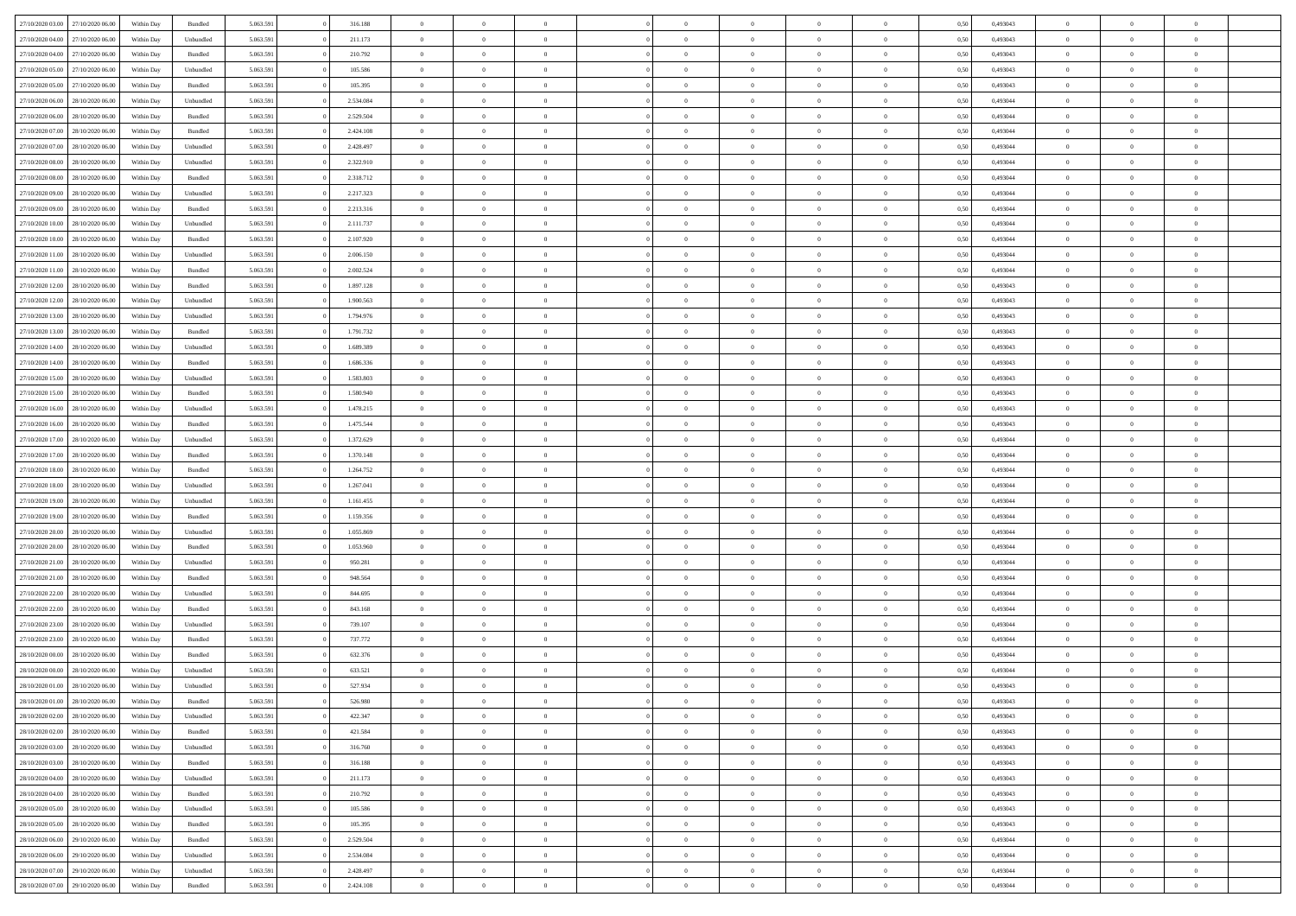|                  | 27/10/2020 06.00 | Within Dav | Bundled            | 5.063.591 | 316.188   | $\overline{0}$ | $\Omega$       |                | $\Omega$       | $\Omega$       | $\Omega$       | $\theta$       | 0.50 | 0,493043 | $\theta$       | $\theta$       | $\theta$       |  |
|------------------|------------------|------------|--------------------|-----------|-----------|----------------|----------------|----------------|----------------|----------------|----------------|----------------|------|----------|----------------|----------------|----------------|--|
| 27/10/2020 03:00 |                  |            |                    |           |           |                |                |                |                |                |                |                |      |          |                |                |                |  |
| 27/10/2020 04.00 | 27/10/2020 06.00 | Within Day | Unbundled          | 5.063.591 | 211.173   | $\overline{0}$ | $\theta$       | $\overline{0}$ | $\overline{0}$ | $\bf{0}$       | $\overline{0}$ | $\overline{0}$ | 0,50 | 0,493043 | $\theta$       | $\theta$       | $\overline{0}$ |  |
| 27/10/2020 04:00 | 27/10/2020 06.00 | Within Day | Bundled            | 5.063.591 | 210.792   | $\overline{0}$ | $\overline{0}$ | $\overline{0}$ | $\bf{0}$       | $\bf{0}$       | $\bf{0}$       | $\bf{0}$       | 0,50 | 0,493043 | $\overline{0}$ | $\overline{0}$ | $\overline{0}$ |  |
|                  |                  |            |                    |           |           |                |                |                |                |                |                |                |      |          | $\theta$       |                |                |  |
| 27/10/2020 05:00 | 27/10/2020 06:00 | Within Dav | Unbundled          | 5.063.591 | 105.586   | $\overline{0}$ | $\overline{0}$ | $\overline{0}$ | $\overline{0}$ | $\bf{0}$       | $\overline{0}$ | $\overline{0}$ | 0.50 | 0,493043 |                | $\theta$       | $\overline{0}$ |  |
| 27/10/2020 05.00 | 27/10/2020 06.00 | Within Day | Bundled            | 5.063.591 | 105.395   | $\overline{0}$ | $\theta$       | $\overline{0}$ | $\overline{0}$ | $\bf{0}$       | $\overline{0}$ | $\bf{0}$       | 0,50 | 0,493043 | $\theta$       | $\theta$       | $\overline{0}$ |  |
| 27/10/2020 06.00 | 28/10/2020 06.00 | Within Day | Unbundled          | 5.063.591 | 2.534.084 | $\overline{0}$ | $\bf{0}$       | $\overline{0}$ | $\bf{0}$       | $\overline{0}$ | $\overline{0}$ | $\mathbf{0}$   | 0,50 | 0,493044 | $\overline{0}$ | $\overline{0}$ | $\bf{0}$       |  |
| 27/10/2020 06:00 | 28/10/2020 06:00 | Within Dav | Bundled            | 5.063.591 | 2.529.504 | $\overline{0}$ | $\overline{0}$ | $\overline{0}$ | $\overline{0}$ | $\bf{0}$       | $\overline{0}$ | $\overline{0}$ | 0.50 | 0,493044 | $\theta$       | $\overline{0}$ | $\overline{0}$ |  |
|                  |                  |            |                    |           |           |                |                |                |                |                |                |                |      |          |                |                |                |  |
| 27/10/2020 07.00 | 28/10/2020 06.00 | Within Day | Bundled            | 5.063.591 | 2.424.108 | $\overline{0}$ | $\theta$       | $\overline{0}$ | $\overline{0}$ | $\bf{0}$       | $\overline{0}$ | $\bf{0}$       | 0,50 | 0,493044 | $\theta$       | $\theta$       | $\overline{0}$ |  |
| 27/10/2020 07.00 | 28/10/2020 06.00 | Within Day | Unbundled          | 5.063.591 | 2.428.497 | $\overline{0}$ | $\overline{0}$ | $\overline{0}$ | $\bf{0}$       | $\bf{0}$       | $\bf{0}$       | $\bf{0}$       | 0,50 | 0,493044 | $\,0\,$        | $\overline{0}$ | $\overline{0}$ |  |
| 27/10/2020 08:00 | 28/10/2020 06:00 | Within Dav | Unbundled          | 5.063.591 | 2.322.910 | $\overline{0}$ | $\overline{0}$ | $\overline{0}$ | $\overline{0}$ | $\overline{0}$ | $\overline{0}$ | $\overline{0}$ | 0.50 | 0,493044 | $\theta$       | $\overline{0}$ | $\overline{0}$ |  |
|                  |                  |            |                    |           |           |                |                |                |                |                |                |                |      |          |                |                |                |  |
| 27/10/2020 08.00 | 28/10/2020 06.00 | Within Day | Bundled            | 5.063.591 | 2.318.712 | $\overline{0}$ | $\theta$       | $\overline{0}$ | $\overline{0}$ | $\bf{0}$       | $\overline{0}$ | $\bf{0}$       | 0,50 | 0,493044 | $\theta$       | $\theta$       | $\overline{0}$ |  |
| 27/10/2020 09:00 | 28/10/2020 06.00 | Within Day | Unbundled          | 5.063.591 | 2.217.323 | $\overline{0}$ | $\overline{0}$ | $\overline{0}$ | $\bf{0}$       | $\bf{0}$       | $\bf{0}$       | $\bf{0}$       | 0,50 | 0,493044 | $\overline{0}$ | $\overline{0}$ | $\overline{0}$ |  |
| 27/10/2020 09:00 | 28/10/2020 06:00 | Within Day | Bundled            | 5.063.591 | 2.213.316 | $\overline{0}$ | $\overline{0}$ | $\overline{0}$ | $\overline{0}$ | $\bf{0}$       | $\overline{0}$ | $\overline{0}$ | 0.50 | 0,493044 | $\theta$       | $\theta$       | $\overline{0}$ |  |
|                  |                  |            |                    |           |           |                |                |                |                |                |                |                |      |          |                |                |                |  |
| 27/10/2020 10:00 | 28/10/2020 06.00 | Within Day | Unbundled          | 5.063.591 | 2.111.737 | $\overline{0}$ | $\theta$       | $\overline{0}$ | $\overline{0}$ | $\bf{0}$       | $\overline{0}$ | $\overline{0}$ | 0,50 | 0,493044 | $\theta$       | $\theta$       | $\overline{0}$ |  |
| 27/10/2020 10:00 | 28/10/2020 06.00 | Within Day | Bundled            | 5.063.591 | 2.107.920 | $\overline{0}$ | $\overline{0}$ | $\overline{0}$ | $\bf{0}$       | $\overline{0}$ | $\overline{0}$ | $\mathbf{0}$   | 0,50 | 0,493044 | $\overline{0}$ | $\overline{0}$ | $\bf{0}$       |  |
| 27/10/2020 11:00 | 28/10/2020 06:00 | Within Dav | Unbundled          | 5.063.591 | 2.006.150 | $\overline{0}$ | $\overline{0}$ | $\overline{0}$ | $\overline{0}$ | $\overline{0}$ | $\overline{0}$ | $\overline{0}$ | 0.50 | 0,493044 | $\theta$       | $\overline{0}$ | $\overline{0}$ |  |
| 27/10/2020 11:00 | 28/10/2020 06.00 | Within Day | Bundled            | 5.063.591 | 2.002.524 | $\overline{0}$ | $\theta$       | $\overline{0}$ | $\overline{0}$ | $\bf{0}$       | $\overline{0}$ | $\bf{0}$       | 0,50 | 0,493044 | $\theta$       | $\theta$       | $\overline{0}$ |  |
|                  |                  |            |                    |           |           |                |                |                |                |                |                |                |      |          |                |                |                |  |
| 27/10/2020 12:00 | 28/10/2020 06.00 | Within Day | Bundled            | 5.063.591 | 1.897.128 | $\overline{0}$ | $\overline{0}$ | $\overline{0}$ | $\bf{0}$       | $\bf{0}$       | $\bf{0}$       | $\bf{0}$       | 0,50 | 0,493043 | $\,0\,$        | $\overline{0}$ | $\overline{0}$ |  |
| 27/10/2020 12:00 | 28/10/2020 06:00 | Within Day | Unbundled          | 5.063.591 | 1.900.563 | $\overline{0}$ | $\overline{0}$ | $\overline{0}$ | $\overline{0}$ | $\overline{0}$ | $\overline{0}$ | $\overline{0}$ | 0.50 | 0,493043 | $\theta$       | $\overline{0}$ | $\overline{0}$ |  |
| 27/10/2020 13:00 | 28/10/2020 06.00 | Within Day | Unbundled          | 5.063.591 | 1.794.976 | $\overline{0}$ | $\theta$       | $\overline{0}$ | $\overline{0}$ | $\bf{0}$       | $\overline{0}$ | $\bf{0}$       | 0,50 | 0,493043 | $\,$ 0 $\,$    | $\theta$       | $\overline{0}$ |  |
|                  |                  |            |                    |           |           |                |                |                |                |                |                |                |      |          |                |                |                |  |
| 27/10/2020 13.00 | 28/10/2020 06.00 | Within Day | Bundled            | 5.063.591 | 1.791.732 | $\overline{0}$ | $\overline{0}$ | $\overline{0}$ | $\bf{0}$       | $\bf{0}$       | $\bf{0}$       | $\bf{0}$       | 0,50 | 0,493043 | $\,0\,$        | $\overline{0}$ | $\overline{0}$ |  |
| 27/10/2020 14:00 | 28/10/2020 06:00 | Within Day | Unbundled          | 5.063.591 | 1.689.389 | $\overline{0}$ | $\overline{0}$ | $\overline{0}$ | $\overline{0}$ | $\bf{0}$       | $\overline{0}$ | $\overline{0}$ | 0.50 | 0.493043 | $\theta$       | $\theta$       | $\overline{0}$ |  |
| 27/10/2020 14:00 | 28/10/2020 06.00 | Within Day | Bundled            | 5.063.591 | 1.686.336 | $\overline{0}$ | $\theta$       | $\overline{0}$ | $\overline{0}$ | $\bf{0}$       | $\overline{0}$ | $\bf{0}$       | 0,50 | 0,493043 | $\theta$       | $\overline{0}$ | $\overline{0}$ |  |
|                  |                  |            |                    |           |           |                | $\bf{0}$       |                |                |                |                |                |      |          |                | $\overline{0}$ | $\bf{0}$       |  |
| 27/10/2020 15:00 | 28/10/2020 06.00 | Within Day | Unbundled          | 5.063.591 | 1.583.803 | $\overline{0}$ |                | $\overline{0}$ | $\bf{0}$       | $\overline{0}$ | $\overline{0}$ | $\mathbf{0}$   | 0,50 | 0,493043 | $\overline{0}$ |                |                |  |
| 27/10/2020 15:00 | 28/10/2020 06:00 | Within Dav | Bundled            | 5.063.591 | 1.580.940 | $\overline{0}$ | $\overline{0}$ | $\overline{0}$ | $\overline{0}$ | $\overline{0}$ | $\overline{0}$ | $\overline{0}$ | 0.50 | 0,493043 | $\theta$       | $\overline{0}$ | $\overline{0}$ |  |
| 27/10/2020 16.00 | 28/10/2020 06.00 | Within Day | Unbundled          | 5.063.591 | 1.478.215 | $\overline{0}$ | $\theta$       | $\overline{0}$ | $\overline{0}$ | $\bf{0}$       | $\overline{0}$ | $\bf{0}$       | 0,50 | 0,493043 | $\theta$       | $\theta$       | $\overline{0}$ |  |
| 27/10/2020 16:00 | 28/10/2020 06.00 | Within Day | Bundled            | 5.063.591 | 1.475.544 | $\overline{0}$ | $\overline{0}$ | $\overline{0}$ | $\bf{0}$       | $\bf{0}$       | $\bf{0}$       | $\bf{0}$       | 0,50 | 0,493043 | $\,0\,$        | $\overline{0}$ | $\overline{0}$ |  |
|                  |                  |            |                    |           |           |                |                |                |                |                |                |                |      |          |                |                |                |  |
| 27/10/2020 17:00 | 28/10/2020 06:00 | Within Day | Unbundled          | 5.063.591 | 1.372.629 | $\overline{0}$ | $\overline{0}$ | $\overline{0}$ | $\overline{0}$ | $\overline{0}$ | $\overline{0}$ | $\overline{0}$ | 0.50 | 0,493044 | $\theta$       | $\overline{0}$ | $\overline{0}$ |  |
| 27/10/2020 17.00 | 28/10/2020 06.00 | Within Day | Bundled            | 5.063.591 | 1.370.148 | $\overline{0}$ | $\theta$       | $\overline{0}$ | $\overline{0}$ | $\bf{0}$       | $\overline{0}$ | $\bf{0}$       | 0,50 | 0,493044 | $\,$ 0 $\,$    | $\overline{0}$ | $\overline{0}$ |  |
| 27/10/2020 18.00 | 28/10/2020 06.00 | Within Day | Bundled            | 5.063.591 | 1.264.752 | $\overline{0}$ | $\overline{0}$ | $\overline{0}$ | $\bf{0}$       | $\bf{0}$       | $\bf{0}$       | $\bf{0}$       | 0,50 | 0,493044 | $\overline{0}$ | $\overline{0}$ | $\overline{0}$ |  |
|                  |                  |            |                    |           |           |                |                |                |                |                |                |                |      |          |                |                |                |  |
| 27/10/2020 18:00 | 28/10/2020 06.00 | Within Day | Unbundled          | 5.063.591 | 1.267.041 | $\overline{0}$ | $\Omega$       | $\Omega$       | $\Omega$       | $\Omega$       | $\Omega$       | $\overline{0}$ | 0,50 | 0,493044 | $\,0\,$        | $\theta$       | $\theta$       |  |
| 27/10/2020 19:00 | 28/10/2020 06.00 | Within Day | Unbundled          | 5.063.591 | 1.161.455 | $\overline{0}$ | $\theta$       | $\overline{0}$ | $\overline{0}$ | $\bf{0}$       | $\overline{0}$ | $\bf{0}$       | 0,50 | 0,493044 | $\theta$       | $\theta$       | $\overline{0}$ |  |
| 27/10/2020 19:00 | 28/10/2020 06.00 | Within Day | Bundled            | 5.063.591 | 1.159.356 | $\overline{0}$ | $\bf{0}$       | $\overline{0}$ | $\bf{0}$       | $\bf{0}$       | $\overline{0}$ | $\mathbf{0}$   | 0,50 | 0,493044 | $\overline{0}$ | $\overline{0}$ | $\bf{0}$       |  |
| 27/10/2020 20:00 | 28/10/2020 06:00 | Within Day | Unbundled          | 5.063.591 | 1.055.869 | $\overline{0}$ | $\Omega$       | $\Omega$       | $\Omega$       | $\bf{0}$       | $\overline{0}$ | $\overline{0}$ | 0.50 | 0,493044 | $\theta$       | $\theta$       | $\theta$       |  |
|                  |                  |            |                    |           |           |                |                |                |                |                |                |                |      |          |                |                |                |  |
| 27/10/2020 20.00 | 28/10/2020 06.00 | Within Day | Bundled            | 5.063.591 | 1.053.960 | $\overline{0}$ | $\theta$       | $\overline{0}$ | $\overline{0}$ | $\bf{0}$       | $\overline{0}$ | $\bf{0}$       | 0,50 | 0,493044 | $\,$ 0 $\,$    | $\theta$       | $\overline{0}$ |  |
| 27/10/2020 21:00 | 28/10/2020 06.00 | Within Day | Unbundled          | 5.063.591 | 950.281   | $\overline{0}$ | $\overline{0}$ | $\overline{0}$ | $\bf{0}$       | $\bf{0}$       | $\bf{0}$       | $\bf{0}$       | 0,50 | 0,493044 | $\,0\,$        | $\overline{0}$ | $\overline{0}$ |  |
| 27/10/2020 21:00 | 28/10/2020 06:00 | Within Day | Bundled            | 5.063.591 | 948,564   | $\overline{0}$ | $\Omega$       | $\Omega$       | $\Omega$       | $\Omega$       | $\theta$       | $\overline{0}$ | 0.50 | 0,493044 | $\theta$       | $\theta$       | $\theta$       |  |
| 27/10/2020 22.00 | 28/10/2020 06.00 | Within Day | Unbundled          | 5.063.591 | 844.695   | $\overline{0}$ | $\theta$       | $\overline{0}$ | $\overline{0}$ | $\bf{0}$       | $\overline{0}$ | $\bf{0}$       | 0,50 | 0,493044 | $\,$ 0 $\,$    | $\overline{0}$ | $\overline{0}$ |  |
|                  |                  |            |                    |           |           |                |                |                |                |                |                |                |      |          |                |                |                |  |
| 27/10/2020 22.00 | 28/10/2020 06.00 | Within Day | Bundled            | 5.063.591 | 843.168   | $\overline{0}$ | $\overline{0}$ | $\overline{0}$ | $\bf{0}$       | $\bf{0}$       | $\bf{0}$       | $\bf{0}$       | 0,50 | 0,493044 | $\overline{0}$ | $\overline{0}$ | $\overline{0}$ |  |
| 27/10/2020 23.00 | 28/10/2020 06.00 | Within Day | Unbundled          | 5.063.591 | 739.107   | $\overline{0}$ | $\Omega$       | $\Omega$       | $\Omega$       | $\Omega$       | $\overline{0}$ | $\overline{0}$ | 0.50 | 0,493044 | $\,0\,$        | $\theta$       | $\theta$       |  |
| 27/10/2020 23.00 | 28/10/2020 06.00 | Within Day | Bundled            | 5.063.591 | 737.772   | $\overline{0}$ | $\theta$       | $\overline{0}$ | $\overline{0}$ | $\bf{0}$       | $\overline{0}$ | $\bf{0}$       | 0,50 | 0,493044 | $\,$ 0 $\,$    | $\overline{0}$ | $\overline{0}$ |  |
|                  |                  |            |                    |           |           |                |                |                |                |                |                |                |      |          |                |                |                |  |
| 28/10/2020 00.00 | 28/10/2020 06.00 | Within Day | Bundled            | 5.063.591 | 632.376   | $\overline{0}$ | $\overline{0}$ | $\overline{0}$ | $\overline{0}$ | $\bf{0}$       | $\overline{0}$ | $\mathbf{0}$   | 0,50 | 0,493044 | $\overline{0}$ | $\overline{0}$ | $\bf{0}$       |  |
| 28/10/2020 00:00 | 28/10/2020 06:00 | Within Day | Unbundled          | 5.063.591 | 633.521   | $\overline{0}$ | $\Omega$       | $\Omega$       | $\Omega$       | $\Omega$       | $\Omega$       | $\overline{0}$ | 0.50 | 0.493044 | $\theta$       | $\theta$       | $\theta$       |  |
| 28/10/2020 01:00 | 28/10/2020 06.00 | Within Day | Unbundled          | 5.063.591 | 527.934   | $\overline{0}$ | $\,$ 0 $\,$    | $\overline{0}$ | $\bf{0}$       | $\,$ 0         | $\overline{0}$ | $\bf{0}$       | 0,50 | 0,493043 | $\,0\,$        | $\overline{0}$ | $\overline{0}$ |  |
| 28/10/2020 01:00 | 28/10/2020 06.00 | Within Day | $\mathbf B$ undled | 5.063.591 | 526.980   | $\bf{0}$       | $\bf{0}$       |                |                |                |                |                | 0,50 | 0,493043 | $\bf{0}$       | $\overline{0}$ |                |  |
|                  |                  |            |                    |           |           |                |                |                |                |                |                |                |      |          |                |                |                |  |
| 28/10/2020 02:00 | 28/10/2020 06:00 | Within Day | Unbundled          | 5.063.591 | 422.347   | $\overline{0}$ | $\overline{0}$ | $\Omega$       | $\Omega$       | $\overline{0}$ | $\overline{0}$ | $\overline{0}$ | 0.50 | 0,493043 | $\theta$       | $\theta$       | $\theta$       |  |
| 28/10/2020 02:00 | 28/10/2020 06.00 | Within Day | Bundled            | 5.063.591 | 421.584   | $\overline{0}$ | $\,$ 0         | $\overline{0}$ | $\overline{0}$ | $\,$ 0 $\,$    | $\overline{0}$ | $\mathbf{0}$   | 0,50 | 0,493043 | $\,$ 0 $\,$    | $\,$ 0 $\,$    | $\,$ 0         |  |
| 28/10/2020 03:00 | 28/10/2020 06.00 | Within Day | Unbundled          | 5.063.591 | 316.760   | $\overline{0}$ | $\overline{0}$ | $\overline{0}$ | $\overline{0}$ | $\overline{0}$ | $\overline{0}$ | $\mathbf{0}$   | 0,50 | 0,493043 | $\overline{0}$ | $\bf{0}$       | $\bf{0}$       |  |
|                  |                  |            |                    |           |           |                |                |                |                |                |                |                |      |          |                |                |                |  |
| 28/10/2020 03:00 | 28/10/2020 06.00 | Within Day | $\mathbf B$ undled | 5.063.591 | 316.188   | $\overline{0}$ | $\overline{0}$ | $\overline{0}$ | $\Omega$       | $\overline{0}$ | $\overline{0}$ | $\overline{0}$ | 0,50 | 0,493043 | $\overline{0}$ | $\theta$       | $\overline{0}$ |  |
| 28/10/2020 04:00 | 28/10/2020 06.00 | Within Day | Unbundled          | 5.063.591 | 211.173   | $\overline{0}$ | $\,$ 0         | $\overline{0}$ | $\overline{0}$ | $\,$ 0 $\,$    | $\overline{0}$ | $\mathbf{0}$   | 0,50 | 0,493043 | $\,$ 0 $\,$    | $\overline{0}$ | $\overline{0}$ |  |
| 28/10/2020 04.00 | 28/10/2020 06.00 | Within Day | Bundled            | 5.063.591 | 210.792   | $\overline{0}$ | $\overline{0}$ | $\overline{0}$ | $\overline{0}$ | $\overline{0}$ | $\overline{0}$ | $\mathbf{0}$   | 0,50 | 0,493043 | $\overline{0}$ | $\overline{0}$ | $\bf{0}$       |  |
|                  | 28/10/2020 06:00 |            |                    |           | 105.586   |                | $\overline{0}$ | $\overline{0}$ | $\Omega$       | $\overline{0}$ | $\overline{0}$ |                | 0.50 |          |                | $\theta$       | $\overline{0}$ |  |
| 28/10/2020 05:00 |                  | Within Day | Unbundled          | 5.063.591 |           | $\overline{0}$ |                |                |                |                |                | $\bf{0}$       |      | 0,493043 | $\overline{0}$ |                |                |  |
| 28/10/2020 05.00 | 28/10/2020 06.00 | Within Day | Bundled            | 5.063.591 | 105.395   | $\overline{0}$ | $\,$ 0         | $\overline{0}$ | $\overline{0}$ | $\bf{0}$       | $\overline{0}$ | $\bf{0}$       | 0,50 | 0,493043 | $\,$ 0 $\,$    | $\overline{0}$ | $\overline{0}$ |  |
| 28/10/2020 06:00 | 29/10/2020 06.00 | Within Day | Bundled            | 5.063.591 | 2.529.504 | $\overline{0}$ | $\bf{0}$       | $\overline{0}$ | $\overline{0}$ | $\overline{0}$ | $\overline{0}$ | $\mathbf{0}$   | 0,50 | 0,493044 | $\overline{0}$ | $\overline{0}$ | $\bf{0}$       |  |
| 28/10/2020 06.00 | 29/10/2020 06:00 | Within Day | Unbundled          | 5.063.591 | 2.534.084 | $\overline{0}$ | $\overline{0}$ | $\overline{0}$ | $\Omega$       | $\overline{0}$ | $\overline{0}$ | $\overline{0}$ | 0.50 | 0,493044 | $\overline{0}$ | $\overline{0}$ | $\overline{0}$ |  |
|                  |                  |            |                    |           |           |                |                |                |                |                |                |                |      |          |                |                |                |  |
| 28/10/2020 07:00 | 29/10/2020 06.00 | Within Day | Unbundled          | 5.063.591 | 2.428.497 | $\overline{0}$ | $\bf{0}$       | $\overline{0}$ | $\bf{0}$       | $\bf{0}$       | $\overline{0}$ | $\mathbf{0}$   | 0,50 | 0,493044 | $\,$ 0 $\,$    | $\,$ 0 $\,$    | $\bf{0}$       |  |
| 28/10/2020 07:00 | 29/10/2020 06:00 | Within Day | Bundled            | 5.063.591 | 2.424.108 | $\overline{0}$ | $\overline{0}$ | $\overline{0}$ | $\overline{0}$ | $\overline{0}$ | $\overline{0}$ | $\mathbf{0}$   | 0,50 | 0,493044 | $\overline{0}$ | $\bf{0}$       | $\bf{0}$       |  |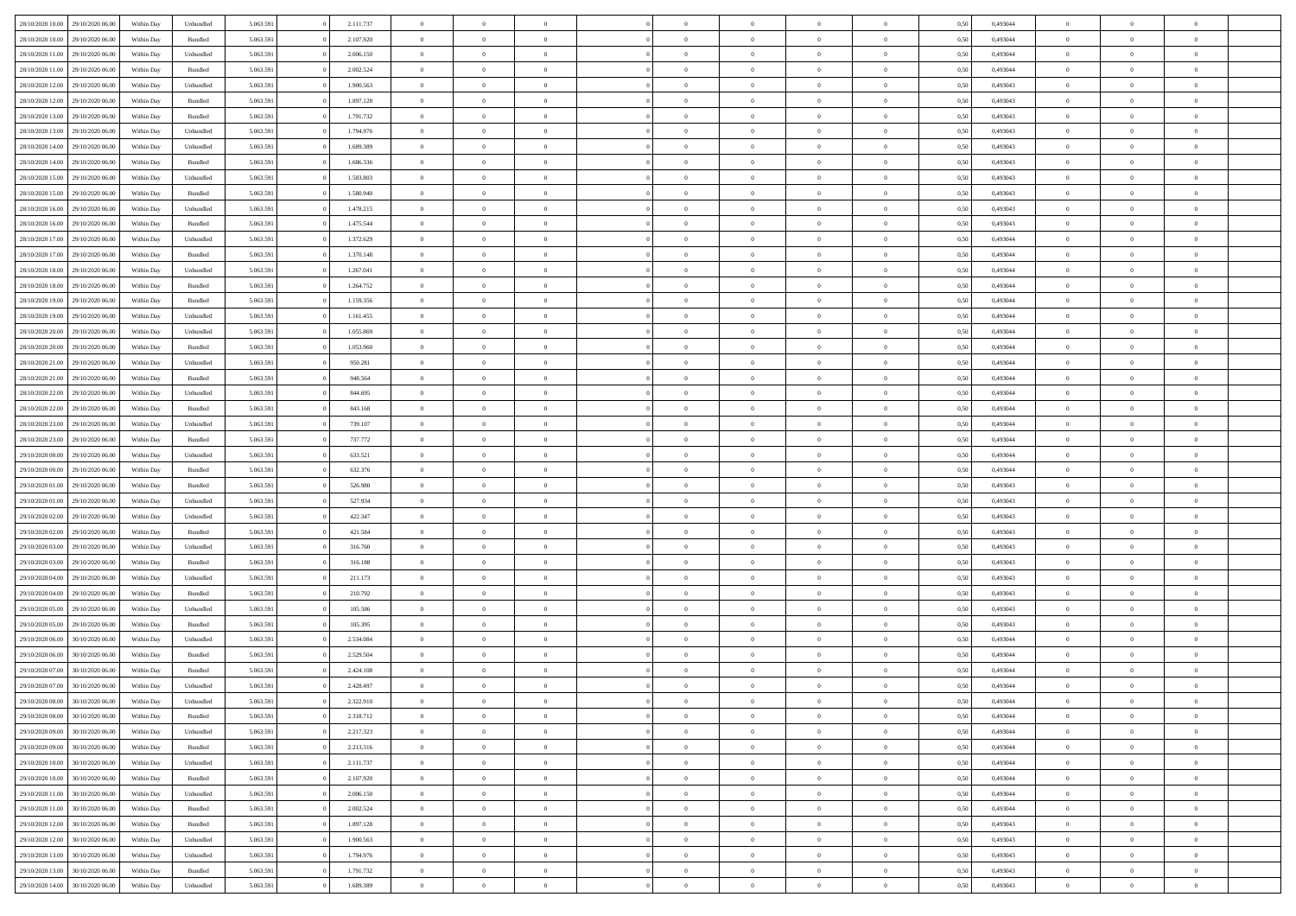| 28/10/2020 10:00 | 29/10/2020 06.00 | Within Dav | Unbundled | 5.063.591 | 2.111.737 | $\overline{0}$ | $\Omega$       |                | $\Omega$       | $\Omega$       | $\Omega$       | $\theta$       | 0,50 | 0,493044 | $\theta$       | $\theta$       | $\theta$       |  |
|------------------|------------------|------------|-----------|-----------|-----------|----------------|----------------|----------------|----------------|----------------|----------------|----------------|------|----------|----------------|----------------|----------------|--|
|                  |                  |            |           |           |           |                |                |                |                |                |                |                |      |          |                |                |                |  |
| 28/10/2020 10:00 | 29/10/2020 06.00 | Within Day | Bundled   | 5.063.591 | 2.107.920 | $\overline{0}$ | $\theta$       | $\overline{0}$ | $\overline{0}$ | $\bf{0}$       | $\overline{0}$ | $\overline{0}$ | 0,50 | 0,493044 | $\theta$       | $\overline{0}$ | $\overline{0}$ |  |
| 28/10/2020 11:00 | 29/10/2020 06.00 | Within Day | Unbundled | 5.063.591 | 2.006.150 | $\overline{0}$ | $\overline{0}$ | $\overline{0}$ | $\bf{0}$       | $\bf{0}$       | $\bf{0}$       | $\bf{0}$       | 0,50 | 0,493044 | $\overline{0}$ | $\overline{0}$ | $\overline{0}$ |  |
| 28/10/2020 11:00 | 29/10/2020 06:00 | Within Dav | Bundled   | 5.063.591 | 2.002.524 | $\overline{0}$ | $\overline{0}$ | $\overline{0}$ | $\overline{0}$ | $\bf{0}$       | $\overline{0}$ | $\overline{0}$ | 0.50 | 0.493044 | $\theta$       | $\theta$       | $\overline{0}$ |  |
|                  |                  |            |           |           |           |                |                |                |                |                |                |                |      |          |                |                |                |  |
| 28/10/2020 12:00 | 29/10/2020 06.00 | Within Day | Unbundled | 5.063.591 | 1.900.563 | $\overline{0}$ | $\theta$       | $\overline{0}$ | $\overline{0}$ | $\bf{0}$       | $\overline{0}$ | $\bf{0}$       | 0,50 | 0,493043 | $\theta$       | $\theta$       | $\overline{0}$ |  |
| 28/10/2020 12:00 | 29/10/2020 06.00 | Within Day | Bundled   | 5.063.591 | 1.897.128 | $\overline{0}$ | $\bf{0}$       | $\overline{0}$ | $\bf{0}$       | $\overline{0}$ | $\overline{0}$ | $\mathbf{0}$   | 0,50 | 0,493043 | $\overline{0}$ | $\overline{0}$ | $\bf{0}$       |  |
| 28/10/2020 13:00 | 29/10/2020 06:00 | Within Dav | Bundled   | 5.063.591 | 1.791.732 | $\overline{0}$ | $\overline{0}$ | $\overline{0}$ | $\overline{0}$ | $\overline{0}$ | $\overline{0}$ | $\overline{0}$ | 0.50 | 0,493043 | $\theta$       | $\overline{0}$ | $\overline{0}$ |  |
| 28/10/2020 13:00 | 29/10/2020 06.00 | Within Day | Unbundled | 5.063.591 | 1.794.976 | $\overline{0}$ | $\theta$       | $\overline{0}$ | $\overline{0}$ | $\bf{0}$       | $\overline{0}$ | $\bf{0}$       | 0,50 | 0,493043 | $\theta$       | $\theta$       | $\overline{0}$ |  |
|                  |                  |            |           |           |           |                |                |                |                |                |                |                |      |          |                |                |                |  |
| 28/10/2020 14:00 | 29/10/2020 06.00 | Within Day | Unbundled | 5.063.591 | 1.689.389 | $\overline{0}$ | $\overline{0}$ | $\overline{0}$ | $\bf{0}$       | $\bf{0}$       | $\bf{0}$       | $\bf{0}$       | 0,50 | 0,493043 | $\,0\,$        | $\overline{0}$ | $\overline{0}$ |  |
| 28/10/2020 14:00 | 29/10/2020 06:00 | Within Dav | Bundled   | 5.063.591 | 1.686.336 | $\overline{0}$ | $\overline{0}$ | $\overline{0}$ | $\overline{0}$ | $\overline{0}$ | $\overline{0}$ | $\overline{0}$ | 0.50 | 0,493043 | $\theta$       | $\overline{0}$ | $\overline{0}$ |  |
| 28/10/2020 15:00 | 29/10/2020 06.00 | Within Day | Unbundled | 5.063.591 | 1.583.803 | $\overline{0}$ | $\theta$       | $\overline{0}$ | $\overline{0}$ | $\bf{0}$       | $\overline{0}$ | $\bf{0}$       | 0,50 | 0,493043 | $\,$ 0 $\,$    | $\overline{0}$ | $\overline{0}$ |  |
| 28/10/2020 15:00 | 29/10/2020 06.00 | Within Day | Bundled   | 5.063.591 | 1.580.940 | $\overline{0}$ | $\overline{0}$ | $\overline{0}$ | $\bf{0}$       | $\bf{0}$       | $\bf{0}$       | $\bf{0}$       | 0,50 | 0,493043 | $\overline{0}$ | $\overline{0}$ | $\overline{0}$ |  |
| 28/10/2020 16:00 | 29/10/2020 06:00 | Within Day | Unbundled | 5.063.591 | 1.478.215 | $\overline{0}$ | $\overline{0}$ | $\overline{0}$ | $\overline{0}$ | $\bf{0}$       | $\overline{0}$ | $\overline{0}$ | 0.50 | 0,493043 | $\theta$       | $\theta$       | $\overline{0}$ |  |
|                  |                  |            |           |           |           | $\overline{0}$ | $\theta$       |                |                |                |                |                |      |          | $\theta$       | $\overline{0}$ |                |  |
| 28/10/2020 16:00 | 29/10/2020 06.00 | Within Day | Bundled   | 5.063.591 | 1.475.544 |                |                | $\overline{0}$ | $\overline{0}$ | $\bf{0}$       | $\overline{0}$ | $\bf{0}$       | 0,50 | 0,493043 |                |                | $\overline{0}$ |  |
| 28/10/2020 17:00 | 29/10/2020 06.00 | Within Day | Unbundled | 5.063.591 | 1.372.629 | $\overline{0}$ | $\bf{0}$       | $\overline{0}$ | $\bf{0}$       | $\overline{0}$ | $\overline{0}$ | $\mathbf{0}$   | 0,50 | 0,493044 | $\overline{0}$ | $\overline{0}$ | $\bf{0}$       |  |
| 28/10/2020 17:00 | 29/10/2020 06:00 | Within Dav | Bundled   | 5.063.591 | 1.370.148 | $\overline{0}$ | $\overline{0}$ | $\overline{0}$ | $\overline{0}$ | $\overline{0}$ | $\overline{0}$ | $\overline{0}$ | 0.50 | 0,493044 | $\theta$       | $\overline{0}$ | $\overline{0}$ |  |
| 28/10/2020 18:00 | 29/10/2020 06.00 | Within Day | Unbundled | 5.063.591 | 1.267.041 | $\overline{0}$ | $\theta$       | $\overline{0}$ | $\overline{0}$ | $\bf{0}$       | $\overline{0}$ | $\bf{0}$       | 0,50 | 0,493044 | $\theta$       | $\theta$       | $\overline{0}$ |  |
| 28/10/2020 18:00 | 29/10/2020 06.00 | Within Day | Bundled   | 5.063.591 | 1.264.752 | $\overline{0}$ | $\overline{0}$ | $\overline{0}$ | $\bf{0}$       | $\bf{0}$       | $\bf{0}$       | $\bf{0}$       | 0,50 | 0,493044 | $\,0\,$        | $\overline{0}$ | $\overline{0}$ |  |
|                  |                  |            |           |           |           |                |                |                |                |                |                |                |      |          |                |                |                |  |
| 28/10/2020 19:00 | 29/10/2020 06:00 | Within Day | Bundled   | 5.063.591 | 1.159.356 | $\overline{0}$ | $\overline{0}$ | $\overline{0}$ | $\overline{0}$ | $\overline{0}$ | $\overline{0}$ | $\overline{0}$ | 0.50 | 0,493044 | $\theta$       | $\overline{0}$ | $\overline{0}$ |  |
| 28/10/2020 19:00 | 29/10/2020 06.00 | Within Day | Unbundled | 5.063.591 | 1.161.455 | $\overline{0}$ | $\theta$       | $\overline{0}$ | $\overline{0}$ | $\bf{0}$       | $\overline{0}$ | $\bf{0}$       | 0,50 | 0,493044 | $\,$ 0 $\,$    | $\theta$       | $\overline{0}$ |  |
| 28/10/2020 20:00 | 29/10/2020 06.00 | Within Day | Unbundled | 5.063.591 | 1.055.869 | $\overline{0}$ | $\overline{0}$ | $\overline{0}$ | $\bf{0}$       | $\bf{0}$       | $\bf{0}$       | $\bf{0}$       | 0,50 | 0,493044 | $\bf{0}$       | $\overline{0}$ | $\overline{0}$ |  |
| 28/10/2020 20:00 | 29/10/2020 06:00 | Within Day | Bundled   | 5.063.591 | 1.053.960 | $\overline{0}$ | $\overline{0}$ | $\overline{0}$ | $\overline{0}$ | $\bf{0}$       | $\overline{0}$ | $\overline{0}$ | 0.50 | 0.493044 | $\theta$       | $\theta$       | $\overline{0}$ |  |
| 28/10/2020 21.00 | 29/10/2020 06.00 | Within Day |           | 5.063.591 | 950.281   | $\overline{0}$ | $\theta$       | $\overline{0}$ | $\overline{0}$ | $\bf{0}$       | $\overline{0}$ |                |      | 0,493044 | $\,$ 0 $\,$    | $\overline{0}$ | $\overline{0}$ |  |
|                  |                  |            | Unbundled |           |           |                |                |                |                |                |                | $\bf{0}$       | 0,50 |          |                |                |                |  |
| 28/10/2020 21.00 | 29/10/2020 06.00 | Within Day | Bundled   | 5.063.591 | 948.564   | $\overline{0}$ | $\bf{0}$       | $\overline{0}$ | $\bf{0}$       | $\overline{0}$ | $\overline{0}$ | $\mathbf{0}$   | 0,50 | 0,493044 | $\overline{0}$ | $\overline{0}$ | $\bf{0}$       |  |
| 28/10/2020 22:00 | 29/10/2020 06:00 | Within Dav | Unbundled | 5.063.591 | 844.695   | $\overline{0}$ | $\overline{0}$ | $\overline{0}$ | $\overline{0}$ | $\overline{0}$ | $\overline{0}$ | $\overline{0}$ | 0.50 | 0,493044 | $\theta$       | $\overline{0}$ | $\overline{0}$ |  |
| 28/10/2020 22.00 | 29/10/2020 06.00 | Within Day | Bundled   | 5.063.591 | 843.168   | $\overline{0}$ | $\theta$       | $\overline{0}$ | $\overline{0}$ | $\bf{0}$       | $\overline{0}$ | $\bf{0}$       | 0,50 | 0,493044 | $\theta$       | $\theta$       | $\overline{0}$ |  |
| 28/10/2020 23:00 | 29/10/2020 06.00 | Within Day | Unbundled | 5.063.591 | 739.107   | $\overline{0}$ | $\overline{0}$ | $\overline{0}$ | $\overline{0}$ | $\bf{0}$       | $\overline{0}$ | $\bf{0}$       | 0,50 | 0,493044 | $\,0\,$        | $\overline{0}$ | $\overline{0}$ |  |
|                  |                  |            |           |           |           |                | $\overline{0}$ |                |                | $\overline{0}$ |                |                |      |          | $\theta$       | $\overline{0}$ | $\overline{0}$ |  |
| 28/10/2020 23:00 | 29/10/2020 06:00 | Within Day | Bundled   | 5.063.591 | 737.772   | $\overline{0}$ |                | $\overline{0}$ | $\overline{0}$ |                | $\overline{0}$ | $\overline{0}$ | 0.50 | 0,493044 |                |                |                |  |
| 29/10/2020 00.00 | 29/10/2020 06.00 | Within Day | Unbundled | 5.063.591 | 633.521   | $\overline{0}$ | $\theta$       | $\overline{0}$ | $\overline{0}$ | $\bf{0}$       | $\overline{0}$ | $\bf{0}$       | 0,50 | 0,493044 | $\,$ 0 $\,$    | $\overline{0}$ | $\overline{0}$ |  |
| 29/10/2020 00.00 | 29/10/2020 06.00 | Within Day | Bundled   | 5.063.591 | 632.376   | $\overline{0}$ | $\overline{0}$ | $\overline{0}$ | $\overline{0}$ | $\bf{0}$       | $\overline{0}$ | $\bf{0}$       | 0,50 | 0,493044 | $\bf{0}$       | $\overline{0}$ | $\overline{0}$ |  |
| 29/10/2020 01:00 | 29/10/2020 06.00 | Within Day | Bundled   | 5.063.591 | 526.980   | $\overline{0}$ | $\Omega$       | $\Omega$       | $\Omega$       | $\Omega$       | $\Omega$       | $\overline{0}$ | 0,50 | 0,493043 | $\,0\,$        | $\theta$       | $\theta$       |  |
| 29/10/2020 01:00 | 29/10/2020 06.00 | Within Day | Unbundled | 5.063.591 | 527.934   | $\overline{0}$ | $\theta$       | $\overline{0}$ | $\overline{0}$ | $\bf{0}$       | $\overline{0}$ | $\bf{0}$       | 0,50 | 0,493043 | $\theta$       | $\theta$       | $\overline{0}$ |  |
|                  |                  |            |           |           |           |                |                |                |                |                |                |                |      |          |                |                |                |  |
| 29/10/2020 02.00 | 29/10/2020 06.00 | Within Day | Unbundled | 5.063.591 | 422.347   | $\overline{0}$ | $\overline{0}$ | $\overline{0}$ | $\overline{0}$ | $\bf{0}$       | $\overline{0}$ | $\mathbf{0}$   | 0,50 | 0,493043 | $\bf{0}$       | $\overline{0}$ | $\bf{0}$       |  |
| 29/10/2020 02.00 | 29/10/2020 06:00 | Within Day | Bundled   | 5.063.591 | 421.584   | $\overline{0}$ | $\Omega$       | $\Omega$       | $\Omega$       | $\bf{0}$       | $\overline{0}$ | $\overline{0}$ | 0.50 | 0,493043 | $\theta$       | $\theta$       | $\theta$       |  |
| 29/10/2020 03.00 | 29/10/2020 06.00 | Within Day | Unbundled | 5.063.591 | 316.760   | $\overline{0}$ | $\theta$       | $\overline{0}$ | $\overline{0}$ | $\bf{0}$       | $\overline{0}$ | $\bf{0}$       | 0,50 | 0,493043 | $\,$ 0 $\,$    | $\theta$       | $\overline{0}$ |  |
| 29/10/2020 03:00 | 29/10/2020 06.00 | Within Day | Bundled   | 5.063.591 | 316.188   | $\overline{0}$ | $\overline{0}$ | $\overline{0}$ | $\overline{0}$ | $\bf{0}$       | $\overline{0}$ | $\bf{0}$       | 0,50 | 0,493043 | $\,0\,$        | $\overline{0}$ | $\overline{0}$ |  |
|                  | 29/10/2020 06:00 |            |           |           |           | $\overline{0}$ | $\Omega$       | $\Omega$       | $\Omega$       | $\theta$       | $\theta$       | $\overline{0}$ | 0.50 | 0,493043 | $\theta$       | $\theta$       | $\theta$       |  |
| 29/10/2020 04:00 |                  | Within Day | Unbundled | 5.063.591 | 211.173   |                |                |                |                |                |                |                |      |          |                |                |                |  |
| 29/10/2020 04.00 | 29/10/2020 06.00 | Within Day | Bundled   | 5.063.591 | 210.792   | $\overline{0}$ | $\theta$       | $\overline{0}$ | $\overline{0}$ | $\bf{0}$       | $\overline{0}$ | $\bf{0}$       | 0,50 | 0,493043 | $\,$ 0 $\,$    | $\overline{0}$ | $\overline{0}$ |  |
| 29/10/2020 05.00 | 29/10/2020 06.00 | Within Day | Unbundled | 5.063.591 | 105.586   | $\overline{0}$ | $\overline{0}$ | $\overline{0}$ | $\overline{0}$ | $\bf{0}$       | $\overline{0}$ | $\bf{0}$       | 0,50 | 0,493043 | $\bf{0}$       | $\overline{0}$ | $\overline{0}$ |  |
| 29/10/2020 05:00 | 29/10/2020 06.00 | Within Day | Bundled   | 5.063.591 | 105.395   | $\overline{0}$ | $\Omega$       | $\overline{0}$ | $\Omega$       | $\Omega$       | $\overline{0}$ | $\overline{0}$ | 0,50 | 0,493043 | $\,0\,$        | $\theta$       | $\theta$       |  |
| 29/10/2020 06.00 | 30/10/2020 06.00 | Within Day | Unbundled | 5.063.591 | 2.534.084 | $\overline{0}$ | $\theta$       | $\overline{0}$ | $\overline{0}$ | $\bf{0}$       | $\overline{0}$ | $\bf{0}$       | 0,50 | 0,493044 | $\,$ 0 $\,$    | $\overline{0}$ | $\overline{0}$ |  |
|                  |                  |            |           |           |           |                |                |                |                |                |                |                |      |          |                |                |                |  |
| 29/10/2020 06:00 | 30/10/2020 06.00 | Within Day | Bundled   | 5.063.591 | 2.529.504 | $\overline{0}$ | $\overline{0}$ | $\overline{0}$ | $\overline{0}$ | $\bf{0}$       | $\overline{0}$ | $\mathbf{0}$   | 0,50 | 0,493044 | $\bf{0}$       | $\overline{0}$ | $\bf{0}$       |  |
| 29/10/2020 07:00 | 30/10/2020 06:00 | Within Day | Bundled   | 5.063.591 | 2.424.108 | $\overline{0}$ | $\Omega$       | $\Omega$       | $\Omega$       | $\Omega$       | $\Omega$       | $\overline{0}$ | 0.50 | 0.493044 | $\theta$       | $\theta$       | $\theta$       |  |
| 29/10/2020 07.00 | 30/10/2020 06:00 | Within Day | Unbundled | 5.063.591 | 2.428.497 | $\overline{0}$ | $\,$ 0 $\,$    | $\overline{0}$ | $\bf{0}$       | $\,$ 0         | $\overline{0}$ | $\bf{0}$       | 0,50 | 0,493044 | $\,0\,$        | $\overline{0}$ | $\overline{0}$ |  |
| 29/10/2020 08:00 | 30/10/2020 06.00 | Within Day | Unbundled | 5.063.591 | 2.322.910 | $\bf{0}$       | $\bf{0}$       |                |                |                |                |                | 0,50 | 0,493044 | $\bf{0}$       | $\overline{0}$ |                |  |
| 29/10/2020 08:00 | 30/10/2020 06:00 | Within Day | Bundled   | 5.063.591 | 2.318.712 | $\overline{0}$ | $\overline{0}$ | $\overline{0}$ | $\Omega$       | $\theta$       | $\overline{0}$ | $\overline{0}$ | 0,50 | 0,493044 | $\theta$       | $\theta$       | $\theta$       |  |
|                  |                  |            |           |           |           |                |                |                |                |                |                |                |      |          |                |                |                |  |
| 29/10/2020 09:00 | 30/10/2020 06.00 | Within Day | Unbundled | 5.063.591 | 2.217.323 | $\overline{0}$ | $\,$ 0         | $\overline{0}$ | $\overline{0}$ | $\,$ 0 $\,$    | $\overline{0}$ | $\mathbf{0}$   | 0,50 | 0,493044 | $\,$ 0 $\,$    | $\,$ 0 $\,$    | $\,$ 0         |  |
| 29/10/2020 09:00 | 30/10/2020 06.00 | Within Day | Bundled   | 5.063.591 | 2.213.316 | $\overline{0}$ | $\overline{0}$ | $\overline{0}$ | $\overline{0}$ | $\overline{0}$ | $\overline{0}$ | $\mathbf{0}$   | 0,50 | 0,493044 | $\overline{0}$ | $\bf{0}$       | $\bf{0}$       |  |
| 29/10/2020 10:00 | 30/10/2020 06.00 | Within Day | Unbundled | 5.063.591 | 2.111.737 | $\overline{0}$ | $\overline{0}$ | $\overline{0}$ | $\Omega$       | $\overline{0}$ | $\overline{0}$ | $\bf{0}$       | 0,50 | 0,493044 | $\bf{0}$       | $\theta$       | $\overline{0}$ |  |
| 29/10/2020 10:00 | 30/10/2020 06.00 | Within Day | Bundled   | 5.063.591 | 2.107.920 | $\overline{0}$ | $\,$ 0         | $\overline{0}$ | $\overline{0}$ | $\,$ 0 $\,$    | $\overline{0}$ | $\bf{0}$       | 0,50 | 0,493044 | $\,$ 0 $\,$    | $\overline{0}$ | $\overline{0}$ |  |
| 29/10/2020 11:00 | 30/10/2020 06.00 | Within Day | Unbundled | 5.063.591 | 2.006.150 | $\overline{0}$ | $\overline{0}$ | $\overline{0}$ | $\overline{0}$ | $\overline{0}$ | $\overline{0}$ | $\mathbf{0}$   | 0,50 | 0,493044 | $\overline{0}$ | $\overline{0}$ | $\bf{0}$       |  |
|                  |                  |            |           |           |           |                |                |                |                |                |                |                |      |          |                |                |                |  |
| 29/10/2020 11:00 | 30/10/2020 06.00 | Within Day | Bundled   | 5.063.591 | 2.002.524 | $\overline{0}$ | $\overline{0}$ | $\overline{0}$ | $\Omega$       | $\overline{0}$ | $\overline{0}$ | $\bf{0}$       | 0.50 | 0,493044 | $\overline{0}$ | $\theta$       | $\overline{0}$ |  |
| 29/10/2020 12:00 | 30/10/2020 06.00 | Within Day | Bundled   | 5.063.591 | 1.897.128 | $\overline{0}$ | $\,$ 0         | $\overline{0}$ | $\overline{0}$ | $\bf{0}$       | $\overline{0}$ | $\bf{0}$       | 0,50 | 0,493043 | $\,$ 0 $\,$    | $\overline{0}$ | $\overline{0}$ |  |
| 29/10/2020 12:00 | 30/10/2020 06.00 | Within Day | Unbundled | 5.063.591 | 1.900.563 | $\overline{0}$ | $\bf{0}$       | $\overline{0}$ | $\overline{0}$ | $\overline{0}$ | $\overline{0}$ | $\mathbf{0}$   | 0,50 | 0,493043 | $\overline{0}$ | $\overline{0}$ | $\bf{0}$       |  |
| 29/10/2020 13:00 | 30/10/2020 06:00 | Within Day | Unbundled | 5.063.591 | 1.794.976 | $\overline{0}$ | $\overline{0}$ | $\overline{0}$ | $\Omega$       | $\overline{0}$ | $\overline{0}$ | $\bf{0}$       | 0.50 | 0,493043 | $\overline{0}$ | $\theta$       | $\overline{0}$ |  |
| 29/10/2020 13:00 | 30/10/2020 06.00 | Within Day | Bundled   | 5.063.591 | 1.791.732 | $\overline{0}$ | $\bf{0}$       | $\overline{0}$ | $\overline{0}$ | $\bf{0}$       | $\bf{0}$       | $\mathbf{0}$   | 0,50 | 0,493043 | $\,$ 0 $\,$    | $\,$ 0 $\,$    | $\bf{0}$       |  |
|                  |                  |            |           |           |           |                |                |                |                |                |                |                |      |          |                |                |                |  |
| 29/10/2020 14:00 | 30/10/2020 06.00 | Within Day | Unbundled | 5.063.591 | 1.689.389 | $\overline{0}$ | $\overline{0}$ | $\overline{0}$ | $\overline{0}$ | $\bf{0}$       | $\bf{0}$       | $\mathbf{0}$   | 0,50 | 0,493043 | $\overline{0}$ | $\bf{0}$       | $\bf{0}$       |  |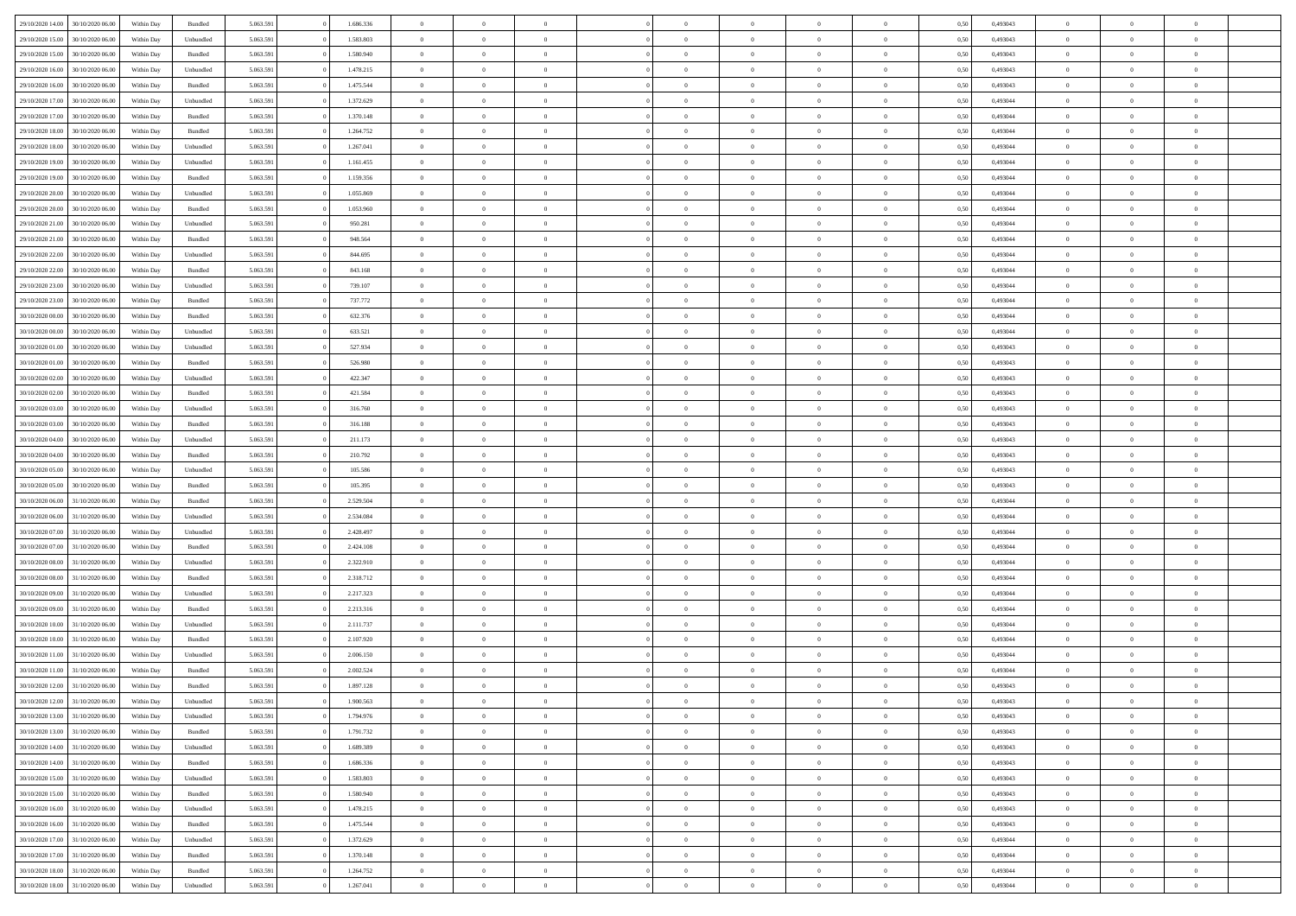| 29/10/2020 14:00                  | 30/10/2020 06:00 | Within Dav | Bundled            | 5.063.591 | 1.686.336 | $\overline{0}$ | $\Omega$       |                | $\Omega$       | $\Omega$       | $\Omega$       | $\theta$       | 0.50 | 0,493043 | $\theta$       | $\theta$       | $\theta$       |  |
|-----------------------------------|------------------|------------|--------------------|-----------|-----------|----------------|----------------|----------------|----------------|----------------|----------------|----------------|------|----------|----------------|----------------|----------------|--|
|                                   |                  |            |                    |           |           |                |                |                |                |                |                |                |      |          |                |                |                |  |
| 29/10/2020 15:00                  | 30/10/2020 06.00 | Within Day | Unbundled          | 5.063.591 | 1.583.803 | $\overline{0}$ | $\theta$       | $\overline{0}$ | $\overline{0}$ | $\bf{0}$       | $\overline{0}$ | $\overline{0}$ | 0,50 | 0,493043 | $\theta$       | $\overline{0}$ | $\overline{0}$ |  |
| 29/10/2020 15:00                  | 30/10/2020 06.00 | Within Day | Bundled            | 5.063.591 | 1.580.940 | $\overline{0}$ | $\overline{0}$ | $\overline{0}$ | $\bf{0}$       | $\bf{0}$       | $\bf{0}$       | $\bf{0}$       | 0,50 | 0,493043 | $\overline{0}$ | $\overline{0}$ | $\overline{0}$ |  |
| 29/10/2020 16:00                  | 30/10/2020 06:00 | Within Dav | Unbundled          | 5.063.591 | 1.478.215 | $\overline{0}$ | $\overline{0}$ | $\overline{0}$ | $\overline{0}$ | $\bf{0}$       | $\overline{0}$ | $\overline{0}$ | 0.50 | 0,493043 | $\theta$       | $\theta$       | $\overline{0}$ |  |
| 29/10/2020 16.00                  | 30/10/2020 06.00 | Within Day | Bundled            | 5.063.591 | 1.475.544 | $\overline{0}$ | $\theta$       | $\overline{0}$ | $\overline{0}$ | $\bf{0}$       | $\overline{0}$ | $\bf{0}$       | 0,50 | 0,493043 | $\theta$       | $\theta$       | $\overline{0}$ |  |
|                                   |                  |            |                    |           |           |                |                |                |                |                |                |                |      |          |                |                |                |  |
| 29/10/2020 17.00                  | 30/10/2020 06.00 | Within Day | Unbundled          | 5.063.591 | 1.372.629 | $\overline{0}$ | $\bf{0}$       | $\overline{0}$ | $\bf{0}$       | $\overline{0}$ | $\overline{0}$ | $\mathbf{0}$   | 0,50 | 0,493044 | $\overline{0}$ | $\overline{0}$ | $\bf{0}$       |  |
| 29/10/2020 17:00                  | 30/10/2020 06.00 | Within Dav | Bundled            | 5.063.591 | 1.370.148 | $\overline{0}$ | $\overline{0}$ | $\overline{0}$ | $\overline{0}$ | $\bf{0}$       | $\overline{0}$ | $\overline{0}$ | 0.50 | 0,493044 | $\theta$       | $\overline{0}$ | $\overline{0}$ |  |
| 29/10/2020 18:00                  | 30/10/2020 06.00 | Within Day | Bundled            | 5.063.591 | 1.264.752 | $\overline{0}$ | $\theta$       | $\overline{0}$ | $\overline{0}$ | $\bf{0}$       | $\overline{0}$ | $\bf{0}$       | 0,50 | 0,493044 | $\theta$       | $\theta$       | $\overline{0}$ |  |
| 29/10/2020 18:00                  | 30/10/2020 06.00 | Within Day | Unbundled          | 5.063.591 | 1.267.041 | $\overline{0}$ | $\overline{0}$ | $\overline{0}$ | $\bf{0}$       | $\bf{0}$       | $\bf{0}$       | $\bf{0}$       | 0,50 | 0,493044 | $\,0\,$        | $\overline{0}$ | $\overline{0}$ |  |
| 29/10/2020 19:00                  | 30/10/2020 06.00 | Within Dav | Unbundled          | 5.063.591 | 1.161.455 | $\overline{0}$ | $\overline{0}$ | $\overline{0}$ | $\overline{0}$ | $\overline{0}$ | $\overline{0}$ | $\overline{0}$ | 0.50 | 0,493044 | $\theta$       | $\overline{0}$ | $\overline{0}$ |  |
|                                   |                  |            |                    |           |           |                |                |                |                |                |                |                |      |          |                |                |                |  |
| 29/10/2020 19:00                  | 30/10/2020 06.00 | Within Day | Bundled            | 5.063.591 | 1.159.356 | $\overline{0}$ | $\theta$       | $\overline{0}$ | $\overline{0}$ | $\bf{0}$       | $\overline{0}$ | $\bf{0}$       | 0,50 | 0,493044 | $\,$ 0 $\,$    | $\theta$       | $\overline{0}$ |  |
| 29/10/2020 20.00                  | 30/10/2020 06.00 | Within Day | Unbundled          | 5.063.591 | 1.055.869 | $\overline{0}$ | $\overline{0}$ | $\overline{0}$ | $\bf{0}$       | $\bf{0}$       | $\bf{0}$       | $\bf{0}$       | 0,50 | 0,493044 | $\bf{0}$       | $\overline{0}$ | $\overline{0}$ |  |
| 29/10/2020 20:00                  | 30/10/2020 06:00 | Within Day | Bundled            | 5.063.591 | 1.053.960 | $\overline{0}$ | $\overline{0}$ | $\overline{0}$ | $\overline{0}$ | $\bf{0}$       | $\overline{0}$ | $\overline{0}$ | 0.50 | 0,493044 | $\theta$       | $\theta$       | $\overline{0}$ |  |
| 29/10/2020 21.00                  | 30/10/2020 06.00 | Within Day | Unbundled          | 5.063.591 | 950.281   | $\overline{0}$ | $\theta$       | $\overline{0}$ | $\overline{0}$ | $\bf{0}$       | $\overline{0}$ | $\bf{0}$       | 0,50 | 0,493044 | $\theta$       | $\theta$       | $\overline{0}$ |  |
|                                   | 30/10/2020 06.00 | Within Day | Bundled            | 5.063.591 | 948.564   | $\overline{0}$ | $\bf{0}$       | $\overline{0}$ | $\bf{0}$       | $\overline{0}$ | $\overline{0}$ | $\mathbf{0}$   | 0,50 | 0,493044 | $\bf{0}$       | $\overline{0}$ | $\bf{0}$       |  |
| 29/10/2020 21:00                  |                  |            |                    |           |           |                |                |                |                |                |                |                |      |          |                |                |                |  |
| 29/10/2020 22.00                  | 30/10/2020 06:00 | Within Dav | Unbundled          | 5.063.591 | 844.695   | $\overline{0}$ | $\overline{0}$ | $\overline{0}$ | $\overline{0}$ | $\overline{0}$ | $\overline{0}$ | $\overline{0}$ | 0.50 | 0,493044 | $\theta$       | $\overline{0}$ | $\overline{0}$ |  |
| 29/10/2020 22.00                  | 30/10/2020 06.00 | Within Day | Bundled            | 5.063.591 | 843.168   | $\overline{0}$ | $\theta$       | $\overline{0}$ | $\overline{0}$ | $\bf{0}$       | $\overline{0}$ | $\bf{0}$       | 0,50 | 0,493044 | $\theta$       | $\theta$       | $\overline{0}$ |  |
| 29/10/2020 23:00                  | 30/10/2020 06.00 | Within Day | Unbundled          | 5.063.591 | 739.107   | $\overline{0}$ | $\overline{0}$ | $\overline{0}$ | $\bf{0}$       | $\bf{0}$       | $\bf{0}$       | $\bf{0}$       | 0,50 | 0,493044 | $\,0\,$        | $\overline{0}$ | $\overline{0}$ |  |
| 29/10/2020 23:00                  | 30/10/2020 06.00 | Within Day | Bundled            | 5.063.591 | 737.772   | $\overline{0}$ | $\overline{0}$ | $\overline{0}$ | $\overline{0}$ | $\overline{0}$ | $\overline{0}$ | $\overline{0}$ | 0.50 | 0,493044 | $\theta$       | $\overline{0}$ | $\overline{0}$ |  |
| 30/10/2020 00:00                  | 30/10/2020 06.00 | Within Day | Bundled            | 5.063.591 | 632.376   | $\overline{0}$ | $\theta$       | $\overline{0}$ | $\overline{0}$ | $\bf{0}$       | $\overline{0}$ | $\bf{0}$       | 0,50 | 0,493044 | $\,$ 0 $\,$    | $\theta$       | $\overline{0}$ |  |
|                                   |                  |            |                    |           |           |                |                |                |                |                |                |                |      |          |                |                |                |  |
| 30/10/2020 00.00                  | 30/10/2020 06.00 | Within Day | Unbundled          | 5.063.591 | 633.521   | $\overline{0}$ | $\overline{0}$ | $\overline{0}$ | $\bf{0}$       | $\bf{0}$       | $\bf{0}$       | $\bf{0}$       | 0,50 | 0,493044 | $\bf{0}$       | $\overline{0}$ | $\overline{0}$ |  |
| 30/10/2020 01:00                  | 30/10/2020 06:00 | Within Day | Unbundled          | 5.063.591 | 527.934   | $\overline{0}$ | $\overline{0}$ | $\overline{0}$ | $\overline{0}$ | $\bf{0}$       | $\overline{0}$ | $\overline{0}$ | 0.50 | 0,493043 | $\theta$       | $\theta$       | $\overline{0}$ |  |
| 30/10/2020 01:00                  | 30/10/2020 06.00 | Within Day | Bundled            | 5.063.591 | 526.980   | $\overline{0}$ | $\theta$       | $\overline{0}$ | $\overline{0}$ | $\bf{0}$       | $\overline{0}$ | $\bf{0}$       | 0,50 | 0,493043 | $\theta$       | $\overline{0}$ | $\overline{0}$ |  |
| 30/10/2020 02.00                  | 30/10/2020 06.00 | Within Day | Unbundled          | 5.063.591 | 422.347   | $\overline{0}$ | $\bf{0}$       | $\overline{0}$ | $\bf{0}$       | $\overline{0}$ | $\overline{0}$ | $\mathbf{0}$   | 0,50 | 0,493043 | $\bf{0}$       | $\overline{0}$ | $\bf{0}$       |  |
| 30/10/2020 02.00                  | 30/10/2020 06.00 | Within Dav | Bundled            | 5.063.591 | 421.584   | $\overline{0}$ | $\overline{0}$ | $\overline{0}$ | $\overline{0}$ | $\overline{0}$ | $\overline{0}$ | $\overline{0}$ | 0.50 | 0,493043 | $\theta$       | $\overline{0}$ | $\overline{0}$ |  |
|                                   |                  |            |                    |           |           |                |                |                |                |                |                |                |      |          |                |                |                |  |
| 30/10/2020 03:00                  | 30/10/2020 06.00 | Within Day | Unbundled          | 5.063.591 | 316.760   | $\overline{0}$ | $\theta$       | $\overline{0}$ | $\overline{0}$ | $\bf{0}$       | $\overline{0}$ | $\bf{0}$       | 0,50 | 0,493043 | $\theta$       | $\theta$       | $\overline{0}$ |  |
| 30/10/2020 03:00                  | 30/10/2020 06.00 | Within Day | Bundled            | 5.063.591 | 316.188   | $\overline{0}$ | $\overline{0}$ | $\overline{0}$ | $\overline{0}$ | $\bf{0}$       | $\overline{0}$ | $\bf{0}$       | 0,50 | 0,493043 | $\,0\,$        | $\overline{0}$ | $\overline{0}$ |  |
| 30/10/2020 04:00                  | 30/10/2020 06.00 | Within Day | Unbundled          | 5.063.591 | 211.173   | $\overline{0}$ | $\overline{0}$ | $\overline{0}$ | $\overline{0}$ | $\overline{0}$ | $\overline{0}$ | $\overline{0}$ | 0.50 | 0,493043 | $\theta$       | $\overline{0}$ | $\overline{0}$ |  |
| 30/10/2020 04:00                  | 30/10/2020 06.00 | Within Day | Bundled            | 5.063.591 | 210.792   | $\overline{0}$ | $\theta$       | $\overline{0}$ | $\overline{0}$ | $\bf{0}$       | $\overline{0}$ | $\bf{0}$       | 0,50 | 0,493043 | $\,$ 0 $\,$    | $\overline{0}$ | $\overline{0}$ |  |
| 30/10/2020 05:00                  | 30/10/2020 06.00 | Within Day | Unbundled          | 5.063.591 | 105.586   | $\overline{0}$ | $\overline{0}$ | $\overline{0}$ | $\overline{0}$ | $\bf{0}$       | $\overline{0}$ | $\bf{0}$       | 0,50 | 0,493043 | $\overline{0}$ | $\overline{0}$ | $\overline{0}$ |  |
| 30/10/2020 05.00                  | 30/10/2020 06.00 | Within Day | Bundled            | 5.063.591 | 105.395   | $\overline{0}$ | $\Omega$       | $\Omega$       | $\Omega$       | $\Omega$       | $\Omega$       | $\overline{0}$ | 0,50 | 0,493043 | $\,0\,$        | $\theta$       | $\theta$       |  |
|                                   |                  |            |                    |           |           | $\overline{0}$ | $\theta$       |                |                |                |                |                |      |          | $\theta$       |                |                |  |
| 30/10/2020 06.00                  | 31/10/2020 06.00 | Within Day | Bundled            | 5.063.591 | 2.529.504 |                |                | $\overline{0}$ | $\overline{0}$ | $\bf{0}$       | $\overline{0}$ | $\bf{0}$       | 0,50 | 0,493044 |                | $\theta$       | $\overline{0}$ |  |
| 30/10/2020 06.00                  | 31/10/2020 06.00 | Within Day | Unbundled          | 5.063.591 | 2.534.084 | $\overline{0}$ | $\overline{0}$ | $\overline{0}$ | $\overline{0}$ | $\bf{0}$       | $\overline{0}$ | $\mathbf{0}$   | 0,50 | 0,493044 | $\overline{0}$ | $\overline{0}$ | $\bf{0}$       |  |
| 30/10/2020 07.00                  | 31/10/2020 06.00 | Within Day | Unbundled          | 5.063.591 | 2.428.497 | $\overline{0}$ | $\Omega$       | $\Omega$       | $\Omega$       | $\bf{0}$       | $\overline{0}$ | $\overline{0}$ | 0.50 | 0,493044 | $\theta$       | $\theta$       | $\theta$       |  |
| 30/10/2020 07.00                  | 31/10/2020 06.00 | Within Day | Bundled            | 5.063.591 | 2.424.108 | $\overline{0}$ | $\theta$       | $\overline{0}$ | $\overline{0}$ | $\bf{0}$       | $\overline{0}$ | $\bf{0}$       | 0,50 | 0,493044 | $\,$ 0 $\,$    | $\theta$       | $\overline{0}$ |  |
| 30/10/2020 08:00                  | 31/10/2020 06.00 | Within Day | Unbundled          | 5.063.591 | 2.322.910 | $\overline{0}$ | $\overline{0}$ | $\overline{0}$ | $\overline{0}$ | $\bf{0}$       | $\overline{0}$ | $\bf{0}$       | 0,50 | 0,493044 | $\,0\,$        | $\overline{0}$ | $\overline{0}$ |  |
| 30/10/2020 08:00                  | 31/10/2020 06:00 |            | Bundled            | 5.063.591 | 2.318.712 | $\overline{0}$ | $\Omega$       | $\Omega$       | $\Omega$       | $\Omega$       | $\theta$       | $\overline{0}$ | 0.50 | 0,493044 | $\theta$       | $\theta$       | $\theta$       |  |
|                                   |                  | Within Day |                    |           |           |                |                |                |                |                |                |                |      |          |                |                |                |  |
| 30/10/2020 09:00                  | 31/10/2020 06.00 | Within Day | Unbundled          | 5.063.591 | 2.217.323 | $\overline{0}$ | $\theta$       | $\overline{0}$ | $\overline{0}$ | $\bf{0}$       | $\overline{0}$ | $\bf{0}$       | 0,50 | 0,493044 | $\,$ 0 $\,$    | $\overline{0}$ | $\overline{0}$ |  |
| 30/10/2020 09:00                  | 31/10/2020 06.00 | Within Day | Bundled            | 5.063.591 | 2.213.316 | $\overline{0}$ | $\overline{0}$ | $\overline{0}$ | $\overline{0}$ | $\bf{0}$       | $\overline{0}$ | $\bf{0}$       | 0,50 | 0,493044 | $\overline{0}$ | $\overline{0}$ | $\overline{0}$ |  |
| 30/10/2020 10:00                  | 31/10/2020 06.00 | Within Day | Unbundled          | 5.063.591 | 2.111.737 | $\overline{0}$ | $\Omega$       | $\Omega$       | $\Omega$       | $\Omega$       | $\overline{0}$ | $\overline{0}$ | 0.50 | 0,493044 | $\,0\,$        | $\theta$       | $\theta$       |  |
| 30/10/2020 10:00                  | 31/10/2020 06.00 | Within Day | Bundled            | 5.063.591 | 2.107.920 | $\overline{0}$ | $\theta$       | $\overline{0}$ | $\overline{0}$ | $\bf{0}$       | $\overline{0}$ | $\bf{0}$       | 0,50 | 0,493044 | $\,$ 0 $\,$    | $\overline{0}$ | $\overline{0}$ |  |
| 30/10/2020 11:00                  | 31/10/2020 06.00 | Within Day | Unbundled          | 5.063.591 | 2.006.150 | $\overline{0}$ | $\overline{0}$ | $\overline{0}$ | $\bf{0}$       | $\bf{0}$       | $\bf{0}$       | $\mathbf{0}$   | 0,50 | 0,493044 | $\overline{0}$ | $\overline{0}$ | $\bf{0}$       |  |
|                                   | 31/10/2020 06.00 |            |                    |           | 2.002.524 | $\overline{0}$ | $\Omega$       | $\Omega$       | $\Omega$       | $\Omega$       | $\Omega$       | $\overline{0}$ | 0.50 | 0.493044 | $\theta$       | $\theta$       | $\theta$       |  |
| 30/10/2020 11:00                  |                  | Within Day | Bundled            | 5.063.591 |           |                |                |                |                |                |                |                |      |          |                |                |                |  |
| 30/10/2020 12:00                  | 31/10/2020 06.00 | Within Day | Bundled            | 5.063.591 | 1.897.128 | $\overline{0}$ | $\,$ 0 $\,$    | $\overline{0}$ | $\bf{0}$       | $\,$ 0         | $\bf{0}$       | $\bf{0}$       | 0,50 | 0,493043 | $\,0\,$        | $\overline{0}$ | $\overline{0}$ |  |
| 30/10/2020 12:00 31/10/2020 06:00 |                  | Within Day | Unbundled          | 5.063.591 | 1.900.563 | $\bf{0}$       | $\bf{0}$       |                |                |                |                |                | 0,50 | 0,493043 | $\bf{0}$       | $\overline{0}$ |                |  |
| 30/10/2020 13:00                  | 31/10/2020 06:00 | Within Day | Unbundled          | 5.063.591 | 1.794.976 | $\overline{0}$ | $\Omega$       | $\overline{0}$ | $\Omega$       | $\theta$       | $\overline{0}$ | $\overline{0}$ | 0.50 | 0.493043 | $\theta$       | $\theta$       | $\theta$       |  |
| 30/10/2020 13:00                  | 31/10/2020 06.00 | Within Day | Bundled            | 5.063.591 | 1.791.732 | $\overline{0}$ | $\,$ 0         | $\overline{0}$ | $\bf{0}$       | $\,$ 0 $\,$    | $\overline{0}$ | $\mathbf{0}$   | 0,50 | 0,493043 | $\,$ 0 $\,$    | $\,$ 0 $\,$    | $\,$ 0         |  |
| 30/10/2020 14:00                  | 31/10/2020 06.00 | Within Day | Unbundled          | 5.063.591 | 1.689.389 | $\overline{0}$ | $\overline{0}$ | $\overline{0}$ | $\overline{0}$ | $\overline{0}$ | $\overline{0}$ | $\mathbf{0}$   | 0,50 | 0,493043 | $\overline{0}$ | $\bf{0}$       | $\bf{0}$       |  |
|                                   |                  |            |                    |           |           |                | $\overline{0}$ |                | $\Omega$       | $\overline{0}$ | $\overline{0}$ |                |      |          |                | $\theta$       | $\overline{0}$ |  |
| 30/10/2020 14:00                  | 31/10/2020 06.00 | Within Day | $\mathbf B$ undled | 5.063.591 | 1.686.336 | $\overline{0}$ |                | $\overline{0}$ |                |                |                | $\bf{0}$       | 0,50 | 0,493043 | $\overline{0}$ |                |                |  |
| 30/10/2020 15:00                  | 31/10/2020 06.00 | Within Day | Unbundled          | 5.063.591 | 1.583.803 | $\overline{0}$ | $\,$ 0         | $\overline{0}$ | $\overline{0}$ | $\,$ 0 $\,$    | $\overline{0}$ | $\mathbf{0}$   | 0,50 | 0,493043 | $\,$ 0 $\,$    | $\overline{0}$ | $\overline{0}$ |  |
| 30/10/2020 15.00                  | 31/10/2020 06.00 | Within Day | Bundled            | 5.063.591 | 1.580.940 | $\overline{0}$ | $\overline{0}$ | $\overline{0}$ | $\overline{0}$ | $\overline{0}$ | $\overline{0}$ | $\mathbf{0}$   | 0,50 | 0,493043 | $\overline{0}$ | $\overline{0}$ | $\bf{0}$       |  |
| 30/10/2020 16:00                  | 31/10/2020 06.00 | Within Day | Unbundled          | 5.063.591 | 1.478.215 | $\overline{0}$ | $\overline{0}$ | $\overline{0}$ | $\Omega$       | $\overline{0}$ | $\overline{0}$ | $\bf{0}$       | 0.50 | 0,493043 | $\overline{0}$ | $\theta$       | $\overline{0}$ |  |
| 30/10/2020 16:00                  | 31/10/2020 06.00 | Within Day | Bundled            | 5.063.591 | 1.475.544 | $\overline{0}$ | $\,$ 0         | $\overline{0}$ | $\bf{0}$       | $\bf{0}$       | $\bf{0}$       | $\bf{0}$       | 0,50 | 0,493043 | $\,$ 0 $\,$    | $\overline{0}$ | $\overline{0}$ |  |
| 30/10/2020 17.00                  | 31/10/2020 06.00 | Within Day | Unbundled          | 5.063.591 | 1.372.629 | $\overline{0}$ | $\bf{0}$       | $\overline{0}$ | $\overline{0}$ | $\overline{0}$ | $\overline{0}$ | $\mathbf{0}$   | 0,50 | 0,493044 | $\overline{0}$ | $\overline{0}$ | $\bf{0}$       |  |
|                                   |                  |            |                    |           |           |                |                |                |                |                |                |                |      |          |                |                |                |  |
| 30/10/2020 17:00                  | 31/10/2020 06.00 | Within Day | Bundled            | 5.063.591 | 1.370.148 | $\overline{0}$ | $\overline{0}$ | $\overline{0}$ | $\Omega$       | $\overline{0}$ | $\overline{0}$ | $\bf{0}$       | 0.50 | 0,493044 | $\overline{0}$ | $\theta$       | $\overline{0}$ |  |
| 30/10/2020 18:00                  | 31/10/2020 06.00 | Within Day | Bundled            | 5.063.591 | 1.264.752 | $\overline{0}$ | $\bf{0}$       | $\overline{0}$ | $\overline{0}$ | $\bf{0}$       | $\bf{0}$       | $\mathbf{0}$   | 0,50 | 0,493044 | $\,$ 0 $\,$    | $\,$ 0 $\,$    | $\bf{0}$       |  |
| 30/10/2020 18:00                  | 31/10/2020 06.00 | Within Day | Unbundled          | 5.063.591 | 1.267.041 | $\overline{0}$ | $\overline{0}$ | $\overline{0}$ | $\overline{0}$ | $\bf{0}$       | $\bf{0}$       | $\mathbf{0}$   | 0,50 | 0,493044 | $\overline{0}$ | $\bf{0}$       | $\bf{0}$       |  |